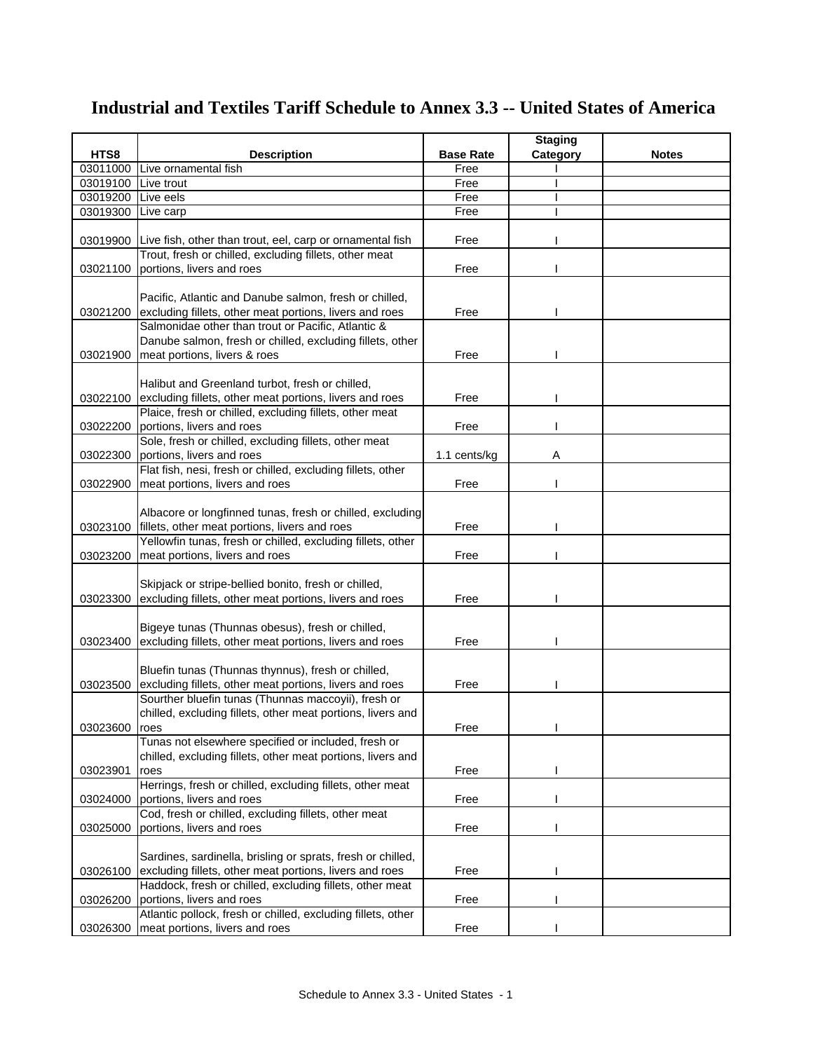|          |                                                                    |                  | <b>Staging</b> |              |
|----------|--------------------------------------------------------------------|------------------|----------------|--------------|
| HTS8     | <b>Description</b>                                                 | <b>Base Rate</b> | Category       | <b>Notes</b> |
| 03011000 | Live ornamental fish                                               | Free             |                |              |
| 03019100 | Live trout                                                         | Free             |                |              |
| 03019200 | Live eels                                                          | Free             |                |              |
| 03019300 | Live carp                                                          | Free             |                |              |
|          |                                                                    |                  |                |              |
|          | 03019900 Live fish, other than trout, eel, carp or ornamental fish | Free             |                |              |
|          | Trout, fresh or chilled, excluding fillets, other meat             |                  |                |              |
| 03021100 | portions, livers and roes                                          | Free             |                |              |
|          |                                                                    |                  |                |              |
|          | Pacific, Atlantic and Danube salmon, fresh or chilled,             |                  |                |              |
| 03021200 | excluding fillets, other meat portions, livers and roes            | Free             |                |              |
|          | Salmonidae other than trout or Pacific, Atlantic &                 |                  |                |              |
|          | Danube salmon, fresh or chilled, excluding fillets, other          |                  |                |              |
| 03021900 | meat portions, livers & roes                                       | Free             |                |              |
|          |                                                                    |                  |                |              |
|          | Halibut and Greenland turbot, fresh or chilled,                    |                  |                |              |
| 03022100 | excluding fillets, other meat portions, livers and roes            | Free             |                |              |
|          | Plaice, fresh or chilled, excluding fillets, other meat            |                  |                |              |
| 03022200 | portions, livers and roes                                          | Free             |                |              |
|          | Sole, fresh or chilled, excluding fillets, other meat              |                  |                |              |
| 03022300 | portions, livers and roes                                          | 1.1 cents/kg     | Α              |              |
|          | Flat fish, nesi, fresh or chilled, excluding fillets, other        |                  |                |              |
| 03022900 | meat portions, livers and roes                                     | Free             |                |              |
|          |                                                                    |                  |                |              |
|          | Albacore or longfinned tunas, fresh or chilled, excluding          |                  |                |              |
| 03023100 | fillets, other meat portions, livers and roes                      | Free             |                |              |
|          | Yellowfin tunas, fresh or chilled, excluding fillets, other        |                  |                |              |
| 03023200 | meat portions, livers and roes                                     | Free             |                |              |
|          |                                                                    |                  |                |              |
|          | Skipjack or stripe-bellied bonito, fresh or chilled,               |                  |                |              |
| 03023300 | excluding fillets, other meat portions, livers and roes            | Free             |                |              |
|          |                                                                    |                  |                |              |
|          | Bigeye tunas (Thunnas obesus), fresh or chilled,                   |                  |                |              |
| 03023400 | excluding fillets, other meat portions, livers and roes            | Free             |                |              |
|          |                                                                    |                  |                |              |
|          | Bluefin tunas (Thunnas thynnus), fresh or chilled,                 |                  |                |              |
| 03023500 | excluding fillets, other meat portions, livers and roes            | Free             |                |              |
|          | Sourther bluefin tunas (Thunnas maccoyii), fresh or                |                  |                |              |
|          | chilled, excluding fillets, other meat portions, livers and        |                  |                |              |
| 03023600 | <b>roes</b>                                                        | Free             |                |              |
|          | Tunas not elsewhere specified or included, fresh or                |                  |                |              |
|          | chilled, excluding fillets, other meat portions, livers and        |                  |                |              |
| 03023901 | roes                                                               | Free             |                |              |
|          | Herrings, fresh or chilled, excluding fillets, other meat          |                  |                |              |
| 03024000 | portions, livers and roes                                          | Free             |                |              |
|          | Cod, fresh or chilled, excluding fillets, other meat               |                  |                |              |
| 03025000 | portions, livers and roes                                          | Free             |                |              |
|          |                                                                    |                  |                |              |
|          | Sardines, sardinella, brisling or sprats, fresh or chilled,        |                  |                |              |
| 03026100 | excluding fillets, other meat portions, livers and roes            | Free             |                |              |
|          | Haddock, fresh or chilled, excluding fillets, other meat           |                  |                |              |
| 03026200 | portions, livers and roes                                          | Free             |                |              |
|          | Atlantic pollock, fresh or chilled, excluding fillets, other       |                  |                |              |
| 03026300 | meat portions, livers and roes                                     | Free             |                |              |

## **Industrial and Textiles Tariff Schedule to Annex 3.3 -- United States of America**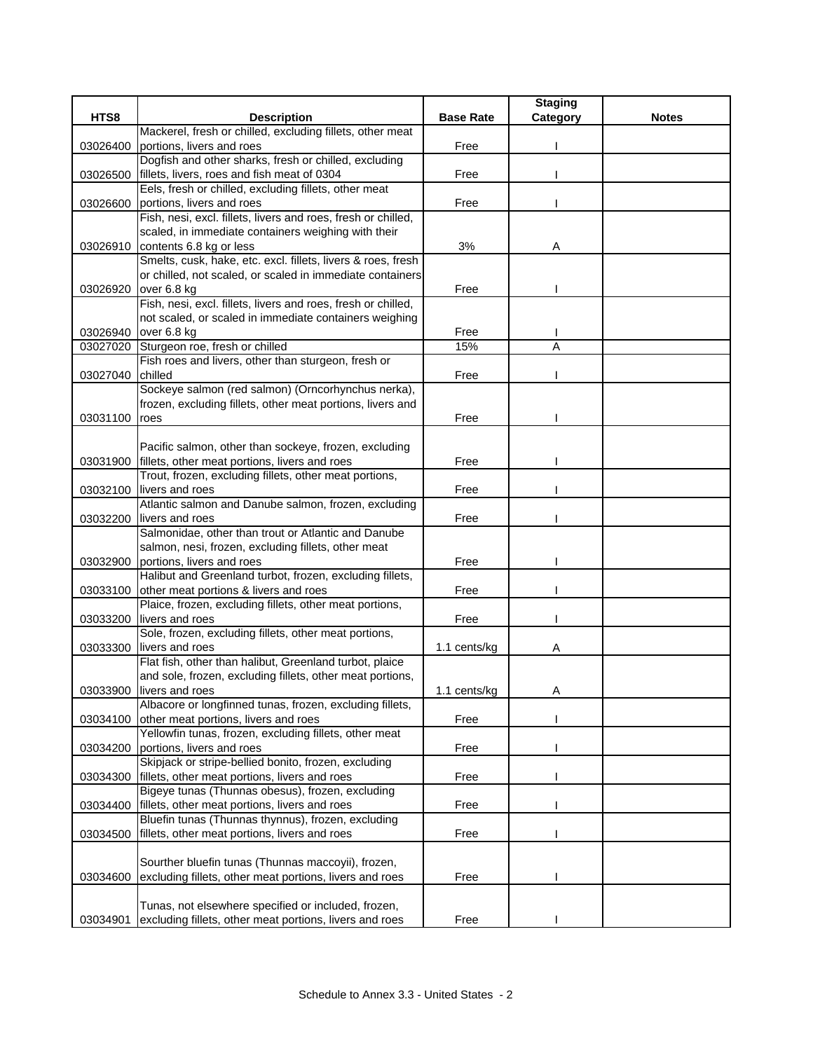|          |                                                                                       |                  | <b>Staging</b> |              |
|----------|---------------------------------------------------------------------------------------|------------------|----------------|--------------|
| HTS8     | <b>Description</b>                                                                    | <b>Base Rate</b> | Category       | <b>Notes</b> |
|          | Mackerel, fresh or chilled, excluding fillets, other meat                             |                  |                |              |
| 03026400 | portions, livers and roes                                                             | Free             |                |              |
|          | Dogfish and other sharks, fresh or chilled, excluding                                 |                  |                |              |
| 03026500 | fillets, livers, roes and fish meat of 0304                                           | Free             |                |              |
|          | Eels, fresh or chilled, excluding fillets, other meat                                 |                  |                |              |
| 03026600 | portions, livers and roes                                                             | Free             |                |              |
|          | Fish, nesi, excl. fillets, livers and roes, fresh or chilled,                         |                  |                |              |
|          | scaled, in immediate containers weighing with their                                   |                  |                |              |
| 03026910 | contents 6.8 kg or less                                                               | 3%               | Α              |              |
|          | Smelts, cusk, hake, etc. excl. fillets, livers & roes, fresh                          |                  |                |              |
|          | or chilled, not scaled, or scaled in immediate containers                             |                  |                |              |
| 03026920 | over 6.8 kg                                                                           | Free             |                |              |
|          | Fish, nesi, excl. fillets, livers and roes, fresh or chilled,                         |                  |                |              |
|          | not scaled, or scaled in immediate containers weighing                                |                  |                |              |
|          | 03026940 over 6.8 kg                                                                  | Free             |                |              |
| 03027020 | Sturgeon roe, fresh or chilled<br>Fish roes and livers, other than sturgeon, fresh or | 15%              | A              |              |
|          | chilled                                                                               | Free             |                |              |
| 03027040 | Sockeye salmon (red salmon) (Orncorhynchus nerka),                                    |                  |                |              |
|          | frozen, excluding fillets, other meat portions, livers and                            |                  |                |              |
| 03031100 | roes                                                                                  | Free             |                |              |
|          |                                                                                       |                  |                |              |
|          | Pacific salmon, other than sockeye, frozen, excluding                                 |                  |                |              |
| 03031900 | fillets, other meat portions, livers and roes                                         | Free             |                |              |
|          | Trout, frozen, excluding fillets, other meat portions,                                |                  |                |              |
| 03032100 | livers and roes                                                                       | Free             |                |              |
|          | Atlantic salmon and Danube salmon, frozen, excluding                                  |                  |                |              |
| 03032200 | livers and roes                                                                       | Free             |                |              |
|          | Salmonidae, other than trout or Atlantic and Danube                                   |                  |                |              |
|          | salmon, nesi, frozen, excluding fillets, other meat                                   |                  |                |              |
| 03032900 | portions, livers and roes                                                             | Free             |                |              |
|          | Halibut and Greenland turbot, frozen, excluding fillets,                              |                  |                |              |
| 03033100 | other meat portions & livers and roes                                                 | Free             |                |              |
|          | Plaice, frozen, excluding fillets, other meat portions,                               |                  |                |              |
| 03033200 | livers and roes                                                                       | Free             |                |              |
|          | Sole, frozen, excluding fillets, other meat portions,                                 |                  |                |              |
| 03033300 | livers and roes                                                                       | 1.1 cents/kg     | А              |              |
|          | Flat fish, other than halibut, Greenland turbot, plaice                               |                  |                |              |
|          | and sole, frozen, excluding fillets, other meat portions,                             |                  |                |              |
|          | 03033900 livers and roes                                                              | 1.1 cents/kg     | A              |              |
|          | Albacore or longfinned tunas, frozen, excluding fillets,                              |                  |                |              |
| 03034100 | other meat portions, livers and roes                                                  | Free             |                |              |
|          | Yellowfin tunas, frozen, excluding fillets, other meat                                |                  |                |              |
| 03034200 | portions, livers and roes                                                             | Free             |                |              |
|          | Skipjack or stripe-bellied bonito, frozen, excluding                                  |                  |                |              |
| 03034300 | fillets, other meat portions, livers and roes                                         | Free             |                |              |
|          | Bigeye tunas (Thunnas obesus), frozen, excluding                                      |                  |                |              |
| 03034400 | fillets, other meat portions, livers and roes                                         | Free             |                |              |
|          | Bluefin tunas (Thunnas thynnus), frozen, excluding                                    |                  |                |              |
| 03034500 | fillets, other meat portions, livers and roes                                         | Free             |                |              |
|          |                                                                                       |                  |                |              |
|          | Sourther bluefin tunas (Thunnas maccoyii), frozen,                                    |                  |                |              |
| 03034600 | excluding fillets, other meat portions, livers and roes                               | Free             |                |              |
|          | Tunas, not elsewhere specified or included, frozen,                                   |                  |                |              |
| 03034901 | excluding fillets, other meat portions, livers and roes                               | Free             |                |              |
|          |                                                                                       |                  |                |              |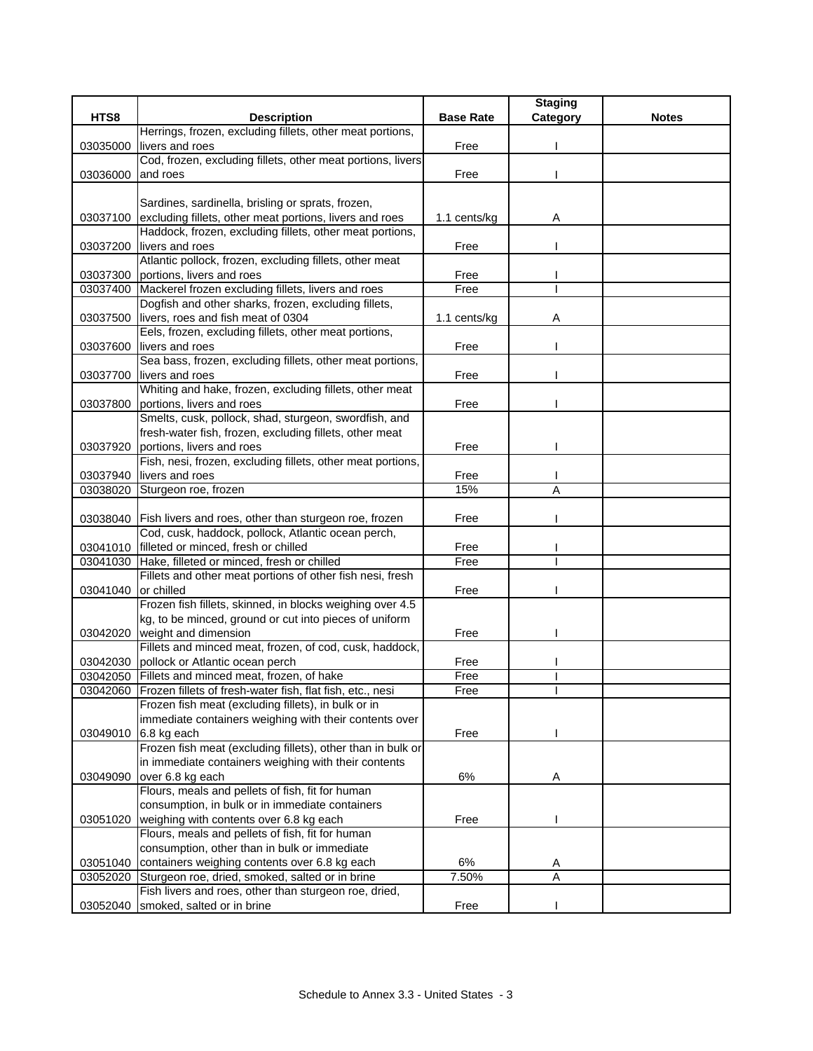|          |                                                                                                              |                  | <b>Staging</b> |              |
|----------|--------------------------------------------------------------------------------------------------------------|------------------|----------------|--------------|
| HTS8     | <b>Description</b>                                                                                           | <b>Base Rate</b> | Category       | <b>Notes</b> |
|          | Herrings, frozen, excluding fillets, other meat portions,                                                    |                  |                |              |
| 03035000 | livers and roes                                                                                              | Free             |                |              |
|          | Cod, frozen, excluding fillets, other meat portions, livers                                                  |                  |                |              |
| 03036000 | and roes                                                                                                     | Free             |                |              |
|          |                                                                                                              |                  |                |              |
|          | Sardines, sardinella, brisling or sprats, frozen,<br>excluding fillets, other meat portions, livers and roes | 1.1 cents/kg     |                |              |
| 03037100 | Haddock, frozen, excluding fillets, other meat portions,                                                     |                  | Α              |              |
| 03037200 | livers and roes                                                                                              | Free             |                |              |
|          | Atlantic pollock, frozen, excluding fillets, other meat                                                      |                  |                |              |
| 03037300 | portions, livers and roes                                                                                    | Free             |                |              |
|          | 03037400 Mackerel frozen excluding fillets, livers and roes                                                  | Free             |                |              |
|          | Dogfish and other sharks, frozen, excluding fillets,                                                         |                  |                |              |
| 03037500 | livers, roes and fish meat of 0304                                                                           | 1.1 cents/kg     | Α              |              |
|          | Eels, frozen, excluding fillets, other meat portions,                                                        |                  |                |              |
| 03037600 | livers and roes                                                                                              | Free             |                |              |
|          | Sea bass, frozen, excluding fillets, other meat portions,                                                    |                  |                |              |
| 03037700 | livers and roes                                                                                              | Free             |                |              |
|          | Whiting and hake, frozen, excluding fillets, other meat                                                      |                  |                |              |
| 03037800 | portions, livers and roes                                                                                    | Free             |                |              |
|          | Smelts, cusk, pollock, shad, sturgeon, swordfish, and                                                        |                  |                |              |
|          | fresh-water fish, frozen, excluding fillets, other meat                                                      |                  |                |              |
| 03037920 | portions, livers and roes                                                                                    | Free             |                |              |
|          | Fish, nesi, frozen, excluding fillets, other meat portions,                                                  |                  |                |              |
| 03037940 | livers and roes                                                                                              | Free             |                |              |
| 03038020 | Sturgeon roe, frozen                                                                                         | 15%              | A              |              |
|          |                                                                                                              |                  |                |              |
| 03038040 | Fish livers and roes, other than sturgeon roe, frozen<br>Cod, cusk, haddock, pollock, Atlantic ocean perch,  | Free             |                |              |
|          | 03041010 filleted or minced, fresh or chilled                                                                | Free             |                |              |
| 03041030 | Hake, filleted or minced, fresh or chilled                                                                   | Free             |                |              |
|          | Fillets and other meat portions of other fish nesi, fresh                                                    |                  |                |              |
| 03041040 | or chilled                                                                                                   | Free             |                |              |
|          | Frozen fish fillets, skinned, in blocks weighing over 4.5                                                    |                  |                |              |
|          | kg, to be minced, ground or cut into pieces of uniform                                                       |                  |                |              |
| 03042020 | weight and dimension                                                                                         | Free             |                |              |
|          | Fillets and minced meat, frozen, of cod, cusk, haddock,                                                      |                  |                |              |
| 03042030 | pollock or Atlantic ocean perch                                                                              | Free             |                |              |
|          | 03042050 Fillets and minced meat, frozen, of hake                                                            | Free             |                |              |
|          | 03042060 Frozen fillets of fresh-water fish, flat fish, etc., nesi                                           | Free             |                |              |
|          | Frozen fish meat (excluding fillets), in bulk or in                                                          |                  |                |              |
|          | immediate containers weighing with their contents over                                                       |                  |                |              |
| 03049010 | 6.8 kg each                                                                                                  | Free             |                |              |
|          | Frozen fish meat (excluding fillets), other than in bulk or                                                  |                  |                |              |
|          | in immediate containers weighing with their contents                                                         |                  |                |              |
| 03049090 | over 6.8 kg each                                                                                             | 6%               | Α              |              |
|          | Flours, meals and pellets of fish, fit for human                                                             |                  |                |              |
|          | consumption, in bulk or in immediate containers                                                              |                  |                |              |
| 03051020 | weighing with contents over 6.8 kg each<br>Flours, meals and pellets of fish, fit for human                  | Free             |                |              |
|          | consumption, other than in bulk or immediate                                                                 |                  |                |              |
| 03051040 | containers weighing contents over 6.8 kg each                                                                | 6%               | Α              |              |
| 03052020 | Sturgeon roe, dried, smoked, salted or in brine                                                              | 7.50%            | Α              |              |
|          | Fish livers and roes, other than sturgeon roe, dried,                                                        |                  |                |              |
| 03052040 | smoked, salted or in brine                                                                                   | Free             |                |              |
|          |                                                                                                              |                  |                |              |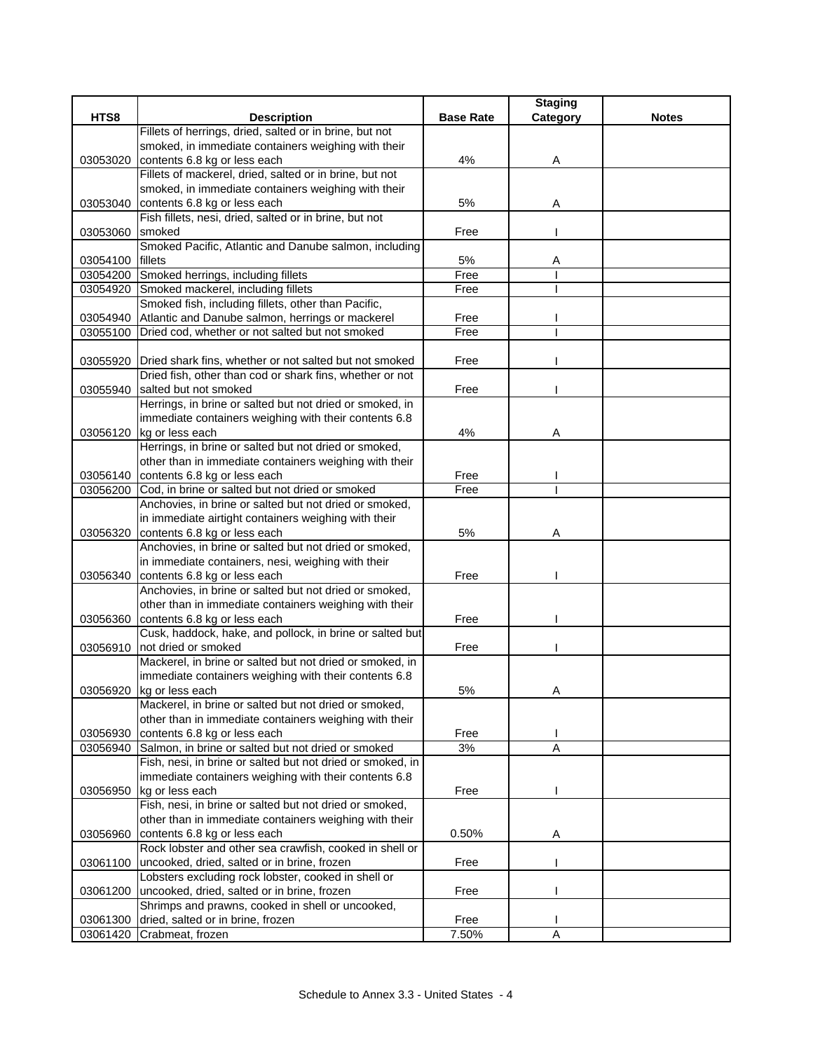|          |                                                                 |                  | <b>Staging</b> |              |
|----------|-----------------------------------------------------------------|------------------|----------------|--------------|
| HTS8     | <b>Description</b>                                              | <b>Base Rate</b> | Category       | <b>Notes</b> |
|          | Fillets of herrings, dried, salted or in brine, but not         |                  |                |              |
|          | smoked, in immediate containers weighing with their             |                  |                |              |
| 03053020 | contents 6.8 kg or less each                                    | 4%               | Α              |              |
|          | Fillets of mackerel, dried, salted or in brine, but not         |                  |                |              |
|          | smoked, in immediate containers weighing with their             |                  |                |              |
| 03053040 | contents 6.8 kg or less each                                    | 5%               | Α              |              |
|          | Fish fillets, nesi, dried, salted or in brine, but not          |                  |                |              |
| 03053060 | smoked                                                          | Free             |                |              |
|          | Smoked Pacific, Atlantic and Danube salmon, including           |                  |                |              |
| 03054100 | fillets                                                         | 5%               | Α              |              |
|          | 03054200 Smoked herrings, including fillets                     | Free             |                |              |
| 03054920 | Smoked mackerel, including fillets                              | Free             |                |              |
|          | Smoked fish, including fillets, other than Pacific,             |                  |                |              |
|          | 03054940 Atlantic and Danube salmon, herrings or mackerel       | Free             |                |              |
| 03055100 | Dried cod, whether or not salted but not smoked                 | Free             |                |              |
|          |                                                                 |                  |                |              |
|          | 03055920 Dried shark fins, whether or not salted but not smoked | Free             |                |              |
|          | Dried fish, other than cod or shark fins, whether or not        |                  |                |              |
|          | 03055940 salted but not smoked                                  | Free             |                |              |
|          | Herrings, in brine or salted but not dried or smoked, in        |                  |                |              |
|          | immediate containers weighing with their contents 6.8           |                  |                |              |
|          | 03056120 kg or less each                                        | 4%               | Α              |              |
|          | Herrings, in brine or salted but not dried or smoked,           |                  |                |              |
|          | other than in immediate containers weighing with their          |                  |                |              |
| 03056140 | contents 6.8 kg or less each                                    | Free             |                |              |
| 03056200 | Cod, in brine or salted but not dried or smoked                 | Free             |                |              |
|          | Anchovies, in brine or salted but not dried or smoked,          |                  |                |              |
|          | in immediate airtight containers weighing with their            |                  |                |              |
|          | 03056320 contents 6.8 kg or less each                           | 5%               | Α              |              |
|          | Anchovies, in brine or salted but not dried or smoked,          |                  |                |              |
|          | in immediate containers, nesi, weighing with their              |                  |                |              |
|          | 03056340 contents 6.8 kg or less each                           | Free             |                |              |
|          | Anchovies, in brine or salted but not dried or smoked,          |                  |                |              |
|          | other than in immediate containers weighing with their          |                  |                |              |
| 03056360 | contents 6.8 kg or less each                                    | Free             |                |              |
|          | Cusk, haddock, hake, and pollock, in brine or salted but        |                  |                |              |
| 03056910 | not dried or smoked                                             | Free             |                |              |
|          | Mackerel, in brine or salted but not dried or smoked, in        |                  |                |              |
|          | immediate containers weighing with their contents 6.8           |                  |                |              |
|          | 03056920 kg or less each                                        | 5%               | A              |              |
|          | Mackerel, in brine or salted but not dried or smoked,           |                  |                |              |
|          | other than in immediate containers weighing with their          |                  |                |              |
| 03056930 | contents 6.8 kg or less each                                    | Free             |                |              |
|          | 03056940 Salmon, in brine or salted but not dried or smoked     | 3%               | Α              |              |
|          | Fish, nesi, in brine or salted but not dried or smoked, in      |                  |                |              |
|          | immediate containers weighing with their contents 6.8           |                  |                |              |
|          | 03056950 kg or less each                                        | Free             |                |              |
|          | Fish, nesi, in brine or salted but not dried or smoked,         |                  |                |              |
|          | other than in immediate containers weighing with their          |                  |                |              |
| 03056960 | contents 6.8 kg or less each                                    | 0.50%            | A              |              |
|          | Rock lobster and other sea crawfish, cooked in shell or         |                  |                |              |
| 03061100 | uncooked, dried, salted or in brine, frozen                     | Free             |                |              |
|          | Lobsters excluding rock lobster, cooked in shell or             |                  |                |              |
|          | 03061200 uncooked, dried, salted or in brine, frozen            | Free             |                |              |
|          | Shrimps and prawns, cooked in shell or uncooked,                |                  |                |              |
| 03061300 | dried, salted or in brine, frozen                               | Free             |                |              |
| 03061420 | Crabmeat, frozen                                                | 7.50%            | A              |              |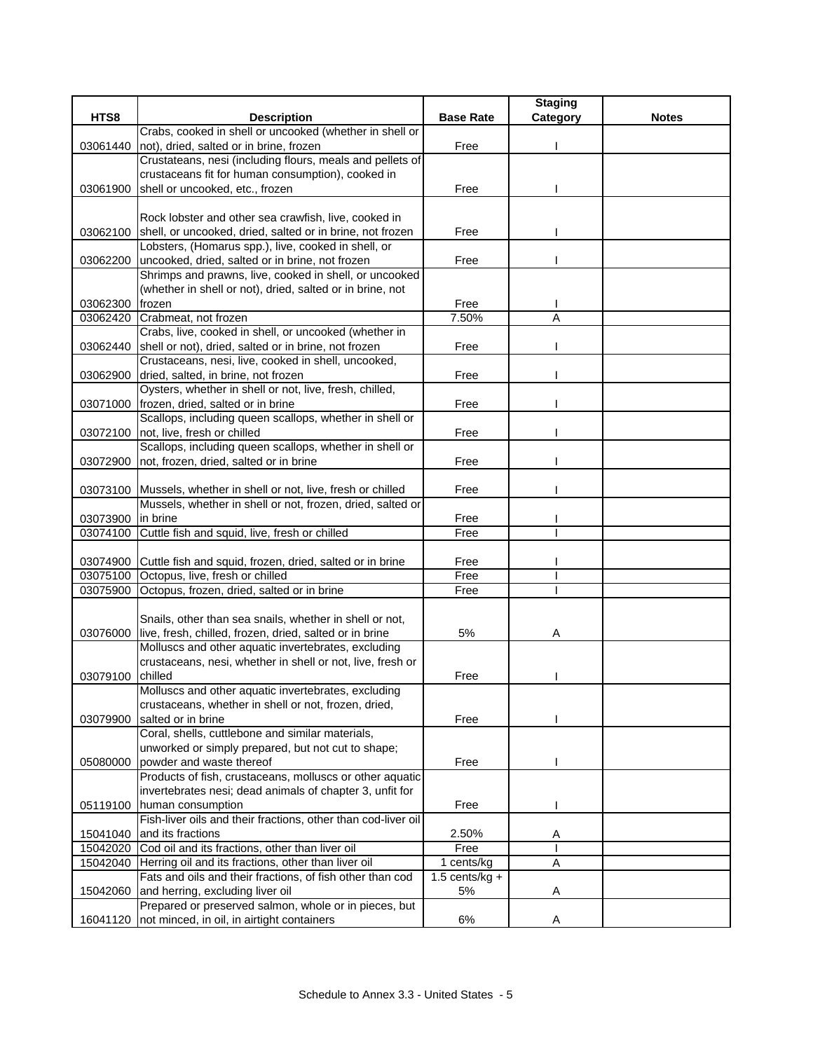|          |                                                                                                                  |                  | <b>Staging</b> |              |
|----------|------------------------------------------------------------------------------------------------------------------|------------------|----------------|--------------|
| HTS8     | <b>Description</b>                                                                                               | <b>Base Rate</b> | Category       | <b>Notes</b> |
|          | Crabs, cooked in shell or uncooked (whether in shell or                                                          |                  |                |              |
| 03061440 | not), dried, salted or in brine, frozen                                                                          | Free             |                |              |
|          | Crustateans, nesi (including flours, meals and pellets of                                                        |                  |                |              |
|          | crustaceans fit for human consumption), cooked in                                                                |                  |                |              |
| 03061900 | shell or uncooked, etc., frozen                                                                                  | Free             |                |              |
|          |                                                                                                                  |                  |                |              |
|          | Rock lobster and other sea crawfish, live, cooked in                                                             |                  |                |              |
| 03062100 | shell, or uncooked, dried, salted or in brine, not frozen<br>Lobsters, (Homarus spp.), live, cooked in shell, or | Free             |                |              |
|          | 03062200 uncooked, dried, salted or in brine, not frozen                                                         | Free             |                |              |
|          | Shrimps and prawns, live, cooked in shell, or uncooked                                                           |                  |                |              |
|          | (whether in shell or not), dried, salted or in brine, not                                                        |                  |                |              |
| 03062300 | frozen                                                                                                           | Free             |                |              |
| 03062420 | Crabmeat, not frozen                                                                                             | 7.50%            | Α              |              |
|          | Crabs, live, cooked in shell, or uncooked (whether in                                                            |                  |                |              |
| 03062440 | shell or not), dried, salted or in brine, not frozen                                                             | Free             |                |              |
|          | Crustaceans, nesi, live, cooked in shell, uncooked,                                                              |                  |                |              |
| 03062900 | dried, salted, in brine, not frozen                                                                              | Free             |                |              |
|          | Oysters, whether in shell or not, live, fresh, chilled,                                                          |                  |                |              |
|          | 03071000 frozen, dried, salted or in brine                                                                       | Free             |                |              |
|          | Scallops, including queen scallops, whether in shell or                                                          |                  |                |              |
|          | 03072100 not, live, fresh or chilled                                                                             | Free             |                |              |
|          | Scallops, including queen scallops, whether in shell or                                                          |                  |                |              |
| 03072900 | not, frozen, dried, salted or in brine                                                                           | Free             |                |              |
|          |                                                                                                                  |                  |                |              |
|          | 03073100 Mussels, whether in shell or not, live, fresh or chilled                                                | Free             |                |              |
|          | Mussels, whether in shell or not, frozen, dried, salted or                                                       |                  |                |              |
| 03073900 | in brine                                                                                                         | Free             |                |              |
| 03074100 | Cuttle fish and squid, live, fresh or chilled                                                                    | Free             |                |              |
|          |                                                                                                                  |                  |                |              |
|          | 03074900 Cuttle fish and squid, frozen, dried, salted or in brine<br>03075100 Octopus, live, fresh or chilled    | Free<br>Free     |                |              |
| 03075900 | Octopus, frozen, dried, salted or in brine                                                                       | Free             |                |              |
|          |                                                                                                                  |                  |                |              |
|          | Snails, other than sea snails, whether in shell or not,                                                          |                  |                |              |
| 03076000 | live, fresh, chilled, frozen, dried, salted or in brine                                                          | 5%               | Α              |              |
|          | Molluscs and other aquatic invertebrates, excluding                                                              |                  |                |              |
|          | crustaceans, nesi, whether in shell or not, live, fresh or                                                       |                  |                |              |
| 03079100 | chilled                                                                                                          | Free             |                |              |
|          | Molluscs and other aquatic invertebrates, excluding                                                              |                  |                |              |
|          | crustaceans, whether in shell or not, frozen, dried,                                                             |                  |                |              |
| 03079900 | salted or in brine                                                                                               | Free             |                |              |
|          | Coral, shells, cuttlebone and similar materials,                                                                 |                  |                |              |
|          | unworked or simply prepared, but not cut to shape;                                                               |                  |                |              |
| 05080000 | powder and waste thereof                                                                                         | Free             |                |              |
|          | Products of fish, crustaceans, molluscs or other aquatic                                                         |                  |                |              |
|          | invertebrates nesi; dead animals of chapter 3, unfit for                                                         |                  |                |              |
|          | 05119100 human consumption                                                                                       | Free             |                |              |
|          | Fish-liver oils and their fractions, other than cod-liver oil                                                    |                  |                |              |
| 15041040 | and its fractions                                                                                                | 2.50%            | A              |              |
| 15042020 | Cod oil and its fractions, other than liver oil                                                                  | Free             |                |              |
| 15042040 | Herring oil and its fractions, other than liver oil                                                              | 1 cents/kg       | Α              |              |
|          | Fats and oils and their fractions, of fish other than cod                                                        | $1.5$ cents/kg + |                |              |
| 15042060 | and herring, excluding liver oil<br>Prepared or preserved salmon, whole or in pieces, but                        | 5%               | Α              |              |
| 16041120 | not minced, in oil, in airtight containers                                                                       | 6%               | Α              |              |
|          |                                                                                                                  |                  |                |              |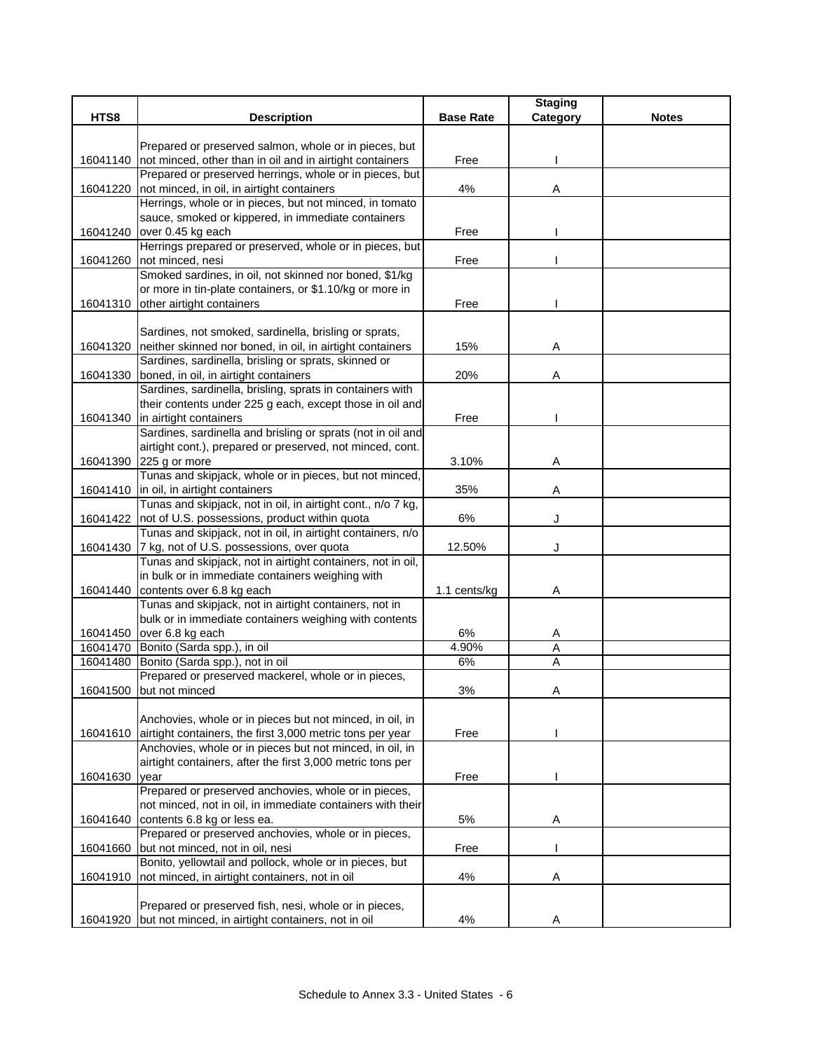|          |                                                                                                                 |                  | <b>Staging</b> |              |
|----------|-----------------------------------------------------------------------------------------------------------------|------------------|----------------|--------------|
| HTS8     | <b>Description</b>                                                                                              | <b>Base Rate</b> | Category       | <b>Notes</b> |
|          |                                                                                                                 |                  |                |              |
|          | Prepared or preserved salmon, whole or in pieces, but                                                           |                  |                |              |
|          | 16041140 not minced, other than in oil and in airtight containers                                               | Free             |                |              |
|          | Prepared or preserved herrings, whole or in pieces, but                                                         |                  |                |              |
|          | 16041220 not minced, in oil, in airtight containers                                                             | 4%               | Α              |              |
|          | Herrings, whole or in pieces, but not minced, in tomato                                                         |                  |                |              |
|          | sauce, smoked or kippered, in immediate containers                                                              |                  |                |              |
|          | 16041240 over 0.45 kg each<br>Herrings prepared or preserved, whole or in pieces, but                           | Free             |                |              |
|          | 16041260 not minced, nesi                                                                                       | Free             |                |              |
|          | Smoked sardines, in oil, not skinned nor boned, \$1/kg                                                          |                  |                |              |
|          | or more in tin-plate containers, or \$1.10/kg or more in                                                        |                  |                |              |
| 16041310 | other airtight containers                                                                                       | Free             |                |              |
|          |                                                                                                                 |                  |                |              |
|          | Sardines, not smoked, sardinella, brisling or sprats,                                                           |                  |                |              |
|          | 16041320 neither skinned nor boned, in oil, in airtight containers                                              | 15%              | Α              |              |
|          | Sardines, sardinella, brisling or sprats, skinned or                                                            |                  |                |              |
| 16041330 | boned, in oil, in airtight containers                                                                           | 20%              | Α              |              |
|          | Sardines, sardinella, brisling, sprats in containers with                                                       |                  |                |              |
|          | their contents under 225 g each, except those in oil and                                                        |                  |                |              |
|          | 16041340 in airtight containers                                                                                 | Free             |                |              |
|          | Sardines, sardinella and brisling or sprats (not in oil and                                                     |                  |                |              |
|          | airtight cont.), prepared or preserved, not minced, cont.                                                       |                  |                |              |
|          | 16041390 225 g or more                                                                                          | 3.10%            | Α              |              |
|          | Tunas and skipjack, whole or in pieces, but not minced,                                                         |                  |                |              |
|          | 16041410 in oil, in airtight containers                                                                         | 35%              | Α              |              |
|          | Tunas and skipjack, not in oil, in airtight cont., n/o 7 kg,                                                    |                  |                |              |
|          | 16041422   not of U.S. possessions, product within quota                                                        | 6%               | J              |              |
|          | Tunas and skipjack, not in oil, in airtight containers, n/o                                                     |                  |                |              |
|          | 16041430 7 kg, not of U.S. possessions, over quota                                                              | 12.50%           | J              |              |
|          | Tunas and skipjack, not in airtight containers, not in oil,<br>in bulk or in immediate containers weighing with |                  |                |              |
| 16041440 | contents over 6.8 kg each                                                                                       | 1.1 cents/kg     | Α              |              |
|          | Tunas and skipjack, not in airtight containers, not in                                                          |                  |                |              |
|          | bulk or in immediate containers weighing with contents                                                          |                  |                |              |
|          | 16041450 over 6.8 kg each                                                                                       | $6\%$            | Α              |              |
|          | 16041470 Bonito (Sarda spp.), in oil                                                                            | 4.90%            | A              |              |
|          | 16041480 Bonito (Sarda spp.), not in oil                                                                        | 6%               | Α              |              |
|          | Prepared or preserved mackerel, whole or in pieces,                                                             |                  |                |              |
|          | 16041500 but not minced                                                                                         | 3%               | Α              |              |
|          |                                                                                                                 |                  |                |              |
|          | Anchovies, whole or in pieces but not minced, in oil, in                                                        |                  |                |              |
|          | 16041610 airtight containers, the first 3,000 metric tons per year                                              | Free             |                |              |
|          | Anchovies, whole or in pieces but not minced, in oil, in                                                        |                  |                |              |
|          | airtight containers, after the first 3,000 metric tons per                                                      |                  |                |              |
| 16041630 | year                                                                                                            | Free             |                |              |
|          | Prepared or preserved anchovies, whole or in pieces,                                                            |                  |                |              |
|          | not minced, not in oil, in immediate containers with their                                                      |                  |                |              |
| 16041640 | contents 6.8 kg or less ea.                                                                                     | 5%               | Α              |              |
|          | Prepared or preserved anchovies, whole or in pieces,                                                            |                  |                |              |
| 16041660 | but not minced, not in oil, nesi                                                                                | Free             |                |              |
|          | Bonito, yellowtail and pollock, whole or in pieces, but                                                         |                  |                |              |
| 16041910 | not minced, in airtight containers, not in oil                                                                  | 4%               | Α              |              |
|          | Prepared or preserved fish, nesi, whole or in pieces,                                                           |                  |                |              |
|          | 16041920 but not minced, in airtight containers, not in oil                                                     | 4%               |                |              |
|          |                                                                                                                 |                  |                |              |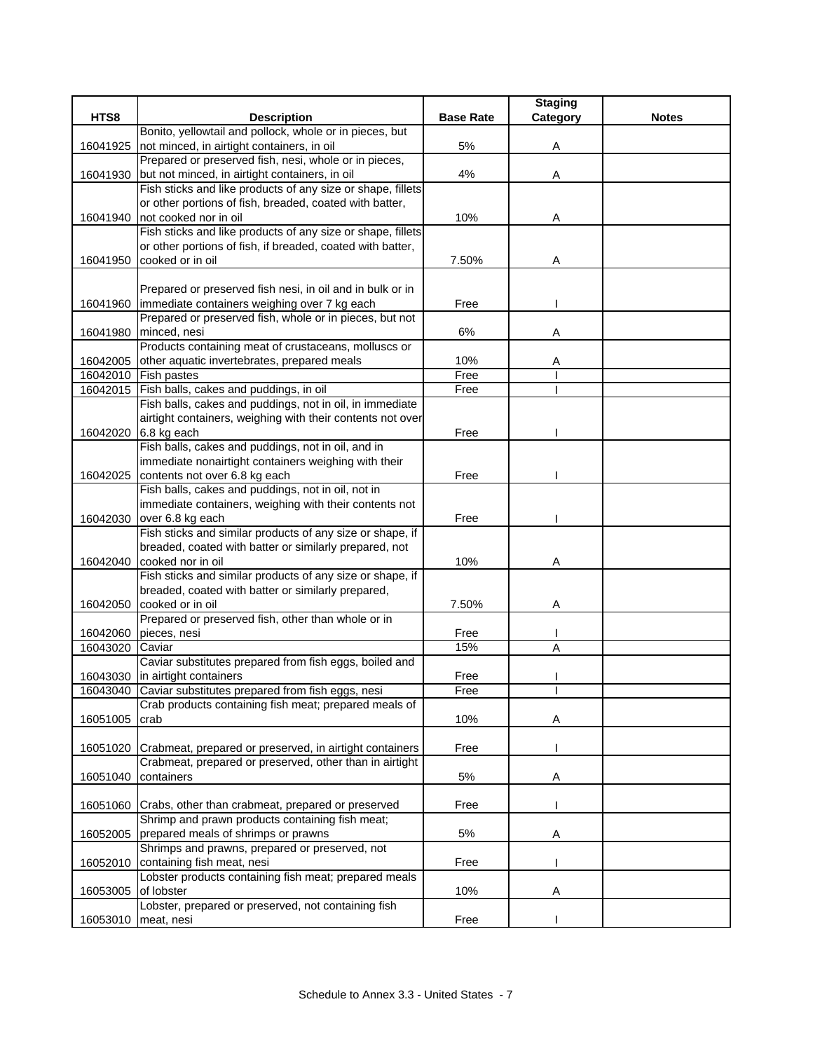|          |                                                                                           |                  | <b>Staging</b> |              |
|----------|-------------------------------------------------------------------------------------------|------------------|----------------|--------------|
| HTS8     | <b>Description</b>                                                                        | <b>Base Rate</b> | Category       | <b>Notes</b> |
|          | Bonito, yellowtail and pollock, whole or in pieces, but                                   |                  |                |              |
| 16041925 | not minced, in airtight containers, in oil                                                | 5%               | Α              |              |
|          | Prepared or preserved fish, nesi, whole or in pieces,                                     |                  |                |              |
| 16041930 | but not minced, in airtight containers, in oil                                            | 4%               | Α              |              |
|          | Fish sticks and like products of any size or shape, fillets                               |                  |                |              |
|          | or other portions of fish, breaded, coated with batter,<br>not cooked nor in oil          |                  |                |              |
| 16041940 | Fish sticks and like products of any size or shape, fillets                               | 10%              | Α              |              |
|          | or other portions of fish, if breaded, coated with batter,                                |                  |                |              |
| 16041950 | cooked or in oil                                                                          | 7.50%            | Α              |              |
|          |                                                                                           |                  |                |              |
|          | Prepared or preserved fish nesi, in oil and in bulk or in                                 |                  |                |              |
| 16041960 | immediate containers weighing over 7 kg each                                              | Free             |                |              |
|          | Prepared or preserved fish, whole or in pieces, but not                                   |                  |                |              |
| 16041980 | minced, nesi                                                                              | 6%               | Α              |              |
|          | Products containing meat of crustaceans, molluscs or                                      |                  |                |              |
| 16042005 | other aquatic invertebrates, prepared meals                                               | 10%              | Α              |              |
|          | 16042010 Fish pastes                                                                      | Free             |                |              |
|          | 16042015 Fish balls, cakes and puddings, in oil                                           | Free             |                |              |
|          | Fish balls, cakes and puddings, not in oil, in immediate                                  |                  |                |              |
|          | airtight containers, weighing with their contents not over                                |                  |                |              |
|          | 16042020 6.8 kg each                                                                      | Free             |                |              |
|          | Fish balls, cakes and puddings, not in oil, and in                                        |                  |                |              |
|          | immediate nonairtight containers weighing with their                                      |                  |                |              |
|          | 16042025 contents not over 6.8 kg each                                                    | Free             |                |              |
|          | Fish balls, cakes and puddings, not in oil, not in                                        |                  |                |              |
|          | immediate containers, weighing with their contents not                                    |                  |                |              |
| 16042030 | over 6.8 kg each                                                                          | Free             |                |              |
|          | Fish sticks and similar products of any size or shape, if                                 |                  |                |              |
|          | breaded, coated with batter or similarly prepared, not                                    |                  |                |              |
| 16042040 | cooked nor in oil                                                                         | 10%              | Α              |              |
|          | Fish sticks and similar products of any size or shape, if                                 |                  |                |              |
|          | breaded, coated with batter or similarly prepared,                                        |                  |                |              |
| 16042050 | cooked or in oil                                                                          | 7.50%            | Α              |              |
|          | Prepared or preserved fish, other than whole or in                                        |                  |                |              |
| 16042060 | pieces, nesi<br>Caviar                                                                    | Free             |                |              |
| 16043020 |                                                                                           | 15%              | Α              |              |
|          | Caviar substitutes prepared from fish eggs, boiled and<br>16043030 in airtight containers | Free             |                |              |
|          | 16043040 Caviar substitutes prepared from fish eggs, nesi                                 | Free             |                |              |
|          | Crab products containing fish meat; prepared meals of                                     |                  |                |              |
| 16051005 | crab                                                                                      | 10%              | Α              |              |
|          |                                                                                           |                  |                |              |
| 16051020 | Crabmeat, prepared or preserved, in airtight containers                                   | Free             |                |              |
|          | Crabmeat, prepared or preserved, other than in airtight                                   |                  |                |              |
| 16051040 | containers                                                                                | 5%               | Α              |              |
|          |                                                                                           |                  |                |              |
| 16051060 | Crabs, other than crabmeat, prepared or preserved                                         | Free             |                |              |
|          | Shrimp and prawn products containing fish meat;                                           |                  |                |              |
| 16052005 | prepared meals of shrimps or prawns                                                       | 5%               | Α              |              |
|          | Shrimps and prawns, prepared or preserved, not                                            |                  |                |              |
| 16052010 | containing fish meat, nesi                                                                | Free             |                |              |
|          | Lobster products containing fish meat; prepared meals                                     |                  |                |              |
| 16053005 | of lobster                                                                                | 10%              | Α              |              |
|          | Lobster, prepared or preserved, not containing fish                                       |                  |                |              |
| 16053010 | meat, nesi                                                                                | Free             |                |              |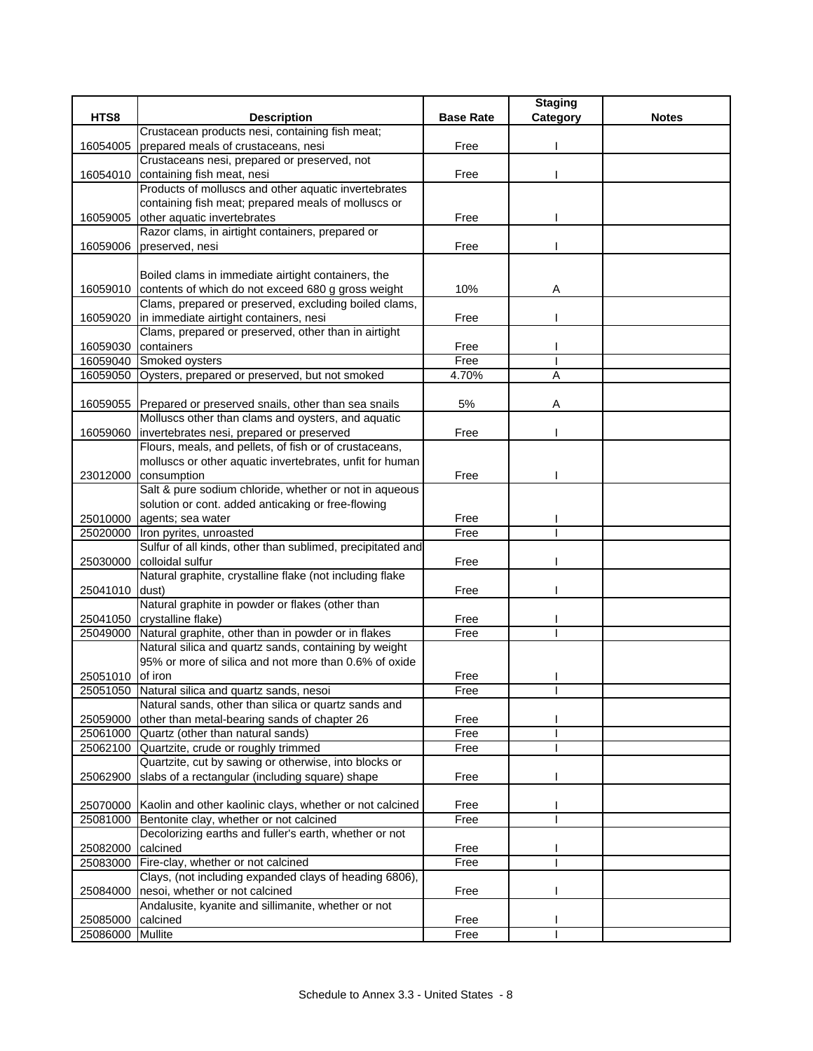|                  |                                                                                                          |                  | <b>Staging</b> |              |
|------------------|----------------------------------------------------------------------------------------------------------|------------------|----------------|--------------|
| HTS8             | <b>Description</b>                                                                                       | <b>Base Rate</b> | Category       | <b>Notes</b> |
|                  | Crustacean products nesi, containing fish meat;                                                          |                  |                |              |
| 16054005         | prepared meals of crustaceans, nesi                                                                      | Free             |                |              |
|                  | Crustaceans nesi, prepared or preserved, not                                                             |                  |                |              |
| 16054010         | containing fish meat, nesi                                                                               | Free             |                |              |
|                  | Products of molluscs and other aquatic invertebrates                                                     |                  |                |              |
|                  | containing fish meat; prepared meals of molluscs or                                                      |                  |                |              |
| 16059005         | other aquatic invertebrates                                                                              | Free             |                |              |
|                  | Razor clams, in airtight containers, prepared or                                                         |                  |                |              |
| 16059006         | preserved, nesi                                                                                          | Free             |                |              |
|                  |                                                                                                          |                  |                |              |
|                  | Boiled clams in immediate airtight containers, the                                                       |                  |                |              |
|                  | 16059010 contents of which do not exceed 680 g gross weight                                              | 10%              | Α              |              |
|                  | Clams, prepared or preserved, excluding boiled clams,                                                    |                  |                |              |
| 16059020         | in immediate airtight containers, nesi                                                                   | Free             |                |              |
|                  | Clams, prepared or preserved, other than in airtight                                                     |                  |                |              |
| 16059030         | containers                                                                                               | Free             |                |              |
|                  | 16059040 Smoked oysters                                                                                  | Free             |                |              |
| 16059050         | Oysters, prepared or preserved, but not smoked                                                           | 4.70%            | A              |              |
|                  |                                                                                                          |                  |                |              |
|                  | 16059055 Prepared or preserved snails, other than sea snails                                             | 5%               | Α              |              |
|                  | Molluscs other than clams and oysters, and aquatic                                                       |                  |                |              |
|                  | 16059060 invertebrates nesi, prepared or preserved                                                       | Free             |                |              |
|                  | Flours, meals, and pellets, of fish or of crustaceans,                                                   |                  |                |              |
|                  | molluscs or other aquatic invertebrates, unfit for human                                                 |                  |                |              |
|                  | 23012000 consumption                                                                                     | Free             |                |              |
|                  | Salt & pure sodium chloride, whether or not in aqueous                                                   |                  |                |              |
|                  | solution or cont. added anticaking or free-flowing                                                       |                  |                |              |
| 25010000         | agents; sea water                                                                                        | Free             |                |              |
| 25020000         | Iron pyrites, unroasted                                                                                  | Free             |                |              |
|                  | Sulfur of all kinds, other than sublimed, precipitated and                                               |                  |                |              |
| 25030000         | colloidal sulfur                                                                                         | Free             |                |              |
|                  | Natural graphite, crystalline flake (not including flake                                                 |                  |                |              |
| 25041010         | dust)                                                                                                    | Free             |                |              |
|                  | Natural graphite in powder or flakes (other than                                                         |                  |                |              |
|                  | 25041050 crystalline flake)                                                                              | Free             |                |              |
| 25049000         | Natural graphite, other than in powder or in flakes                                                      | Free             |                |              |
|                  | Natural silica and quartz sands, containing by weight                                                    |                  |                |              |
|                  | 95% or more of silica and not more than 0.6% of oxide                                                    |                  |                |              |
| 25051010 of iron |                                                                                                          | Free             |                |              |
|                  | 25051050 Natural silica and quartz sands, nesoi                                                          | Free             |                |              |
|                  | Natural sands, other than silica or quartz sands and                                                     |                  |                |              |
| 25059000         | other than metal-bearing sands of chapter 26<br>Quartz (other than natural sands)                        | Free<br>Free     |                |              |
| 25061000         |                                                                                                          |                  |                |              |
| 25062100         | Quartzite, crude or roughly trimmed                                                                      | Free             |                |              |
| 25062900         | Quartzite, cut by sawing or otherwise, into blocks or<br>slabs of a rectangular (including square) shape | Free             |                |              |
|                  |                                                                                                          |                  |                |              |
|                  | 25070000 Kaolin and other kaolinic clays, whether or not calcined                                        | Free             |                |              |
|                  | Bentonite clay, whether or not calcined                                                                  | Free             |                |              |
| 25081000         | Decolorizing earths and fuller's earth, whether or not                                                   |                  |                |              |
| 25082000         | calcined                                                                                                 | Free             |                |              |
| 25083000         | Fire-clay, whether or not calcined                                                                       | Free             |                |              |
|                  | Clays, (not including expanded clays of heading 6806),                                                   |                  |                |              |
| 25084000         | nesoi, whether or not calcined                                                                           | Free             |                |              |
|                  | Andalusite, kyanite and sillimanite, whether or not                                                      |                  |                |              |
| 25085000         | calcined                                                                                                 | Free             |                |              |
| 25086000         | <b>Mullite</b>                                                                                           | Free             |                |              |
|                  |                                                                                                          |                  |                |              |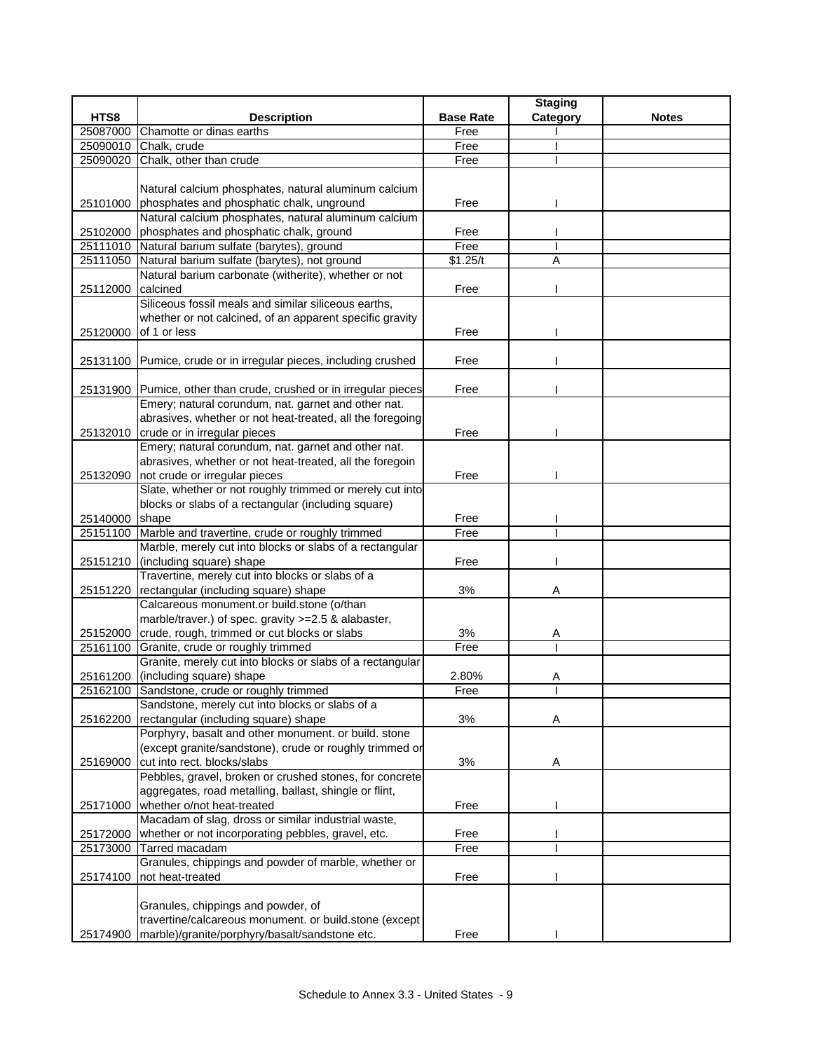|          |                                                                   |                  | <b>Staging</b> |              |
|----------|-------------------------------------------------------------------|------------------|----------------|--------------|
| HTS8     | <b>Description</b>                                                | <b>Base Rate</b> | Category       | <b>Notes</b> |
| 25087000 | Chamotte or dinas earths                                          | Free             |                |              |
| 25090010 | Chalk, crude                                                      | Free             |                |              |
| 25090020 | Chalk, other than crude                                           | Free             |                |              |
|          |                                                                   |                  |                |              |
|          | Natural calcium phosphates, natural aluminum calcium              |                  |                |              |
|          | 25101000 phosphates and phosphatic chalk, unground                | Free             |                |              |
|          | Natural calcium phosphates, natural aluminum calcium              |                  |                |              |
| 25102000 | phosphates and phosphatic chalk, ground                           | Free             |                |              |
|          | 25111010 Natural barium sulfate (barytes), ground                 | Free             |                |              |
|          | 25111050 Natural barium sulfate (barytes), not ground             | \$1.25/t         | A              |              |
|          | Natural barium carbonate (witherite), whether or not<br>calcined  | Free             |                |              |
| 25112000 | Siliceous fossil meals and similar siliceous earths,              |                  |                |              |
|          | whether or not calcined, of an apparent specific gravity          |                  |                |              |
| 25120000 | of 1 or less                                                      | Free             |                |              |
|          |                                                                   |                  |                |              |
|          | 25131100 Pumice, crude or in irregular pieces, including crushed  | Free             |                |              |
|          |                                                                   |                  |                |              |
|          | 25131900 Pumice, other than crude, crushed or in irregular pieces | Free             |                |              |
|          | Emery; natural corundum, nat. garnet and other nat.               |                  |                |              |
|          | abrasives, whether or not heat-treated, all the foregoing         |                  |                |              |
|          | 25132010 crude or in irregular pieces                             | Free             |                |              |
|          | Emery; natural corundum, nat. garnet and other nat.               |                  |                |              |
|          | abrasives, whether or not heat-treated, all the foregoin          |                  |                |              |
|          | 25132090 not crude or irregular pieces                            | Free             |                |              |
|          | Slate, whether or not roughly trimmed or merely cut into          |                  |                |              |
|          | blocks or slabs of a rectangular (including square)               |                  |                |              |
| 25140000 | shape                                                             | Free             |                |              |
|          | 25151100 Marble and travertine, crude or roughly trimmed          | Free             |                |              |
|          | Marble, merely cut into blocks or slabs of a rectangular          |                  |                |              |
| 25151210 | (including square) shape                                          | Free             |                |              |
|          | Travertine, merely cut into blocks or slabs of a                  |                  |                |              |
| 25151220 | rectangular (including square) shape                              | 3%               | Α              |              |
|          | Calcareous monument.or build.stone (o/than                        |                  |                |              |
|          | marble/traver.) of spec. gravity >=2.5 & alabaster,               |                  |                |              |
| 25152000 | crude, rough, trimmed or cut blocks or slabs                      | 3%               | Α              |              |
| 25161100 | Granite, crude or roughly trimmed                                 | Free             |                |              |
|          | Granite, merely cut into blocks or slabs of a rectangular         |                  |                |              |
|          | 25161200 (including square) shape                                 | 2.80%            | Α              |              |
|          | 25162100 Sandstone, crude or roughly trimmed                      | Free             |                |              |
|          | Sandstone, merely cut into blocks or slabs of a                   |                  |                |              |
| 25162200 | rectangular (including square) shape                              | 3%               | Α              |              |
|          | Porphyry, basalt and other monument. or build. stone              |                  |                |              |
|          | (except granite/sandstone), crude or roughly trimmed or           |                  |                |              |
| 25169000 | cut into rect. blocks/slabs                                       | 3%               | Α              |              |
|          | Pebbles, gravel, broken or crushed stones, for concrete           |                  |                |              |
|          | aggregates, road metalling, ballast, shingle or flint,            |                  |                |              |
| 25171000 | whether o/not heat-treated                                        | Free             |                |              |
|          | Macadam of slag, dross or similar industrial waste,               |                  |                |              |
| 25172000 | whether or not incorporating pebbles, gravel, etc.                | Free             |                |              |
| 25173000 | Tarred macadam                                                    | Free             |                |              |
|          | Granules, chippings and powder of marble, whether or              |                  |                |              |
| 25174100 | not heat-treated                                                  | Free             |                |              |
|          | Granules, chippings and powder, of                                |                  |                |              |
|          | travertine/calcareous monument. or build.stone (except            |                  |                |              |
| 25174900 | marble)/granite/porphyry/basalt/sandstone etc.                    | Free             |                |              |
|          |                                                                   |                  |                |              |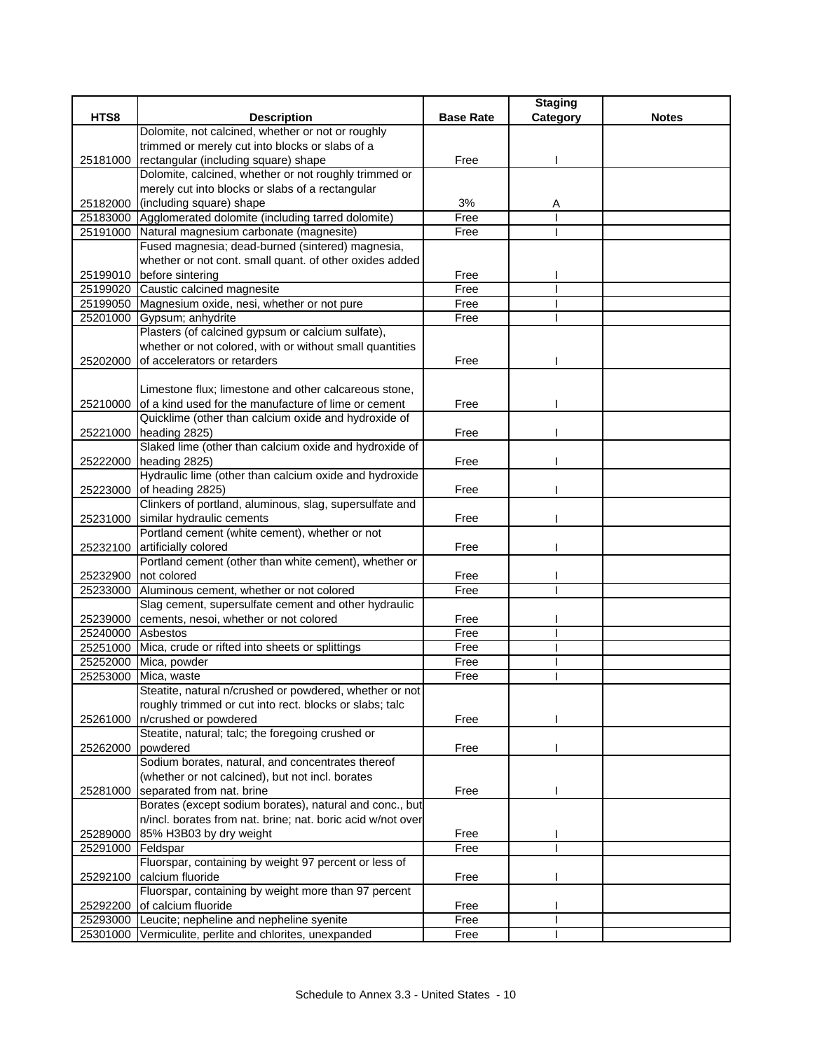|                   |                                                             |                  | <b>Staging</b> |              |
|-------------------|-------------------------------------------------------------|------------------|----------------|--------------|
| HTS8              | <b>Description</b>                                          | <b>Base Rate</b> | Category       | <b>Notes</b> |
|                   | Dolomite, not calcined, whether or not or roughly           |                  |                |              |
|                   | trimmed or merely cut into blocks or slabs of a             |                  |                |              |
| 25181000          | rectangular (including square) shape                        | Free             |                |              |
|                   | Dolomite, calcined, whether or not roughly trimmed or       |                  |                |              |
|                   | merely cut into blocks or slabs of a rectangular            |                  |                |              |
| 25182000          | (including square) shape                                    | 3%               | Α              |              |
|                   | 25183000 Agglomerated dolomite (including tarred dolomite)  | Free             |                |              |
|                   | 25191000 Natural magnesium carbonate (magnesite)            | Free             |                |              |
|                   | Fused magnesia; dead-burned (sintered) magnesia,            |                  |                |              |
|                   | whether or not cont. small quant. of other oxides added     |                  |                |              |
|                   | 25199010 before sintering                                   | Free             |                |              |
|                   | 25199020 Caustic calcined magnesite                         | Free             |                |              |
|                   | 25199050 Magnesium oxide, nesi, whether or not pure         | Free             |                |              |
|                   | 25201000 Gypsum; anhydrite                                  | Free             |                |              |
|                   | Plasters (of calcined gypsum or calcium sulfate),           |                  |                |              |
|                   | whether or not colored, with or without small quantities    |                  |                |              |
| 25202000          | of accelerators or retarders                                | Free             |                |              |
|                   |                                                             |                  |                |              |
|                   | Limestone flux; limestone and other calcareous stone,       |                  |                |              |
| 25210000          | of a kind used for the manufacture of lime or cement        | Free             |                |              |
|                   | Quicklime (other than calcium oxide and hydroxide of        |                  |                |              |
|                   | 25221000 heading 2825)                                      | Free             |                |              |
|                   | Slaked lime (other than calcium oxide and hydroxide of      |                  |                |              |
|                   | 25222000 heading 2825)                                      | Free             |                |              |
|                   | Hydraulic lime (other than calcium oxide and hydroxide      |                  |                |              |
| 25223000          | of heading 2825)                                            | Free             |                |              |
|                   | Clinkers of portland, aluminous, slag, supersulfate and     |                  |                |              |
| 25231000          | similar hydraulic cements                                   | Free             |                |              |
|                   | Portland cement (white cement), whether or not              |                  |                |              |
| 25232100          | artificially colored                                        | Free             |                |              |
|                   | Portland cement (other than white cement), whether or       |                  |                |              |
| 25232900          | not colored                                                 | Free             |                |              |
| 25233000          | Aluminous cement, whether or not colored                    | Free             |                |              |
|                   | Slag cement, supersulfate cement and other hydraulic        |                  |                |              |
| 25239000          | cements, nesoi, whether or not colored                      | Free             |                |              |
| 25240000 Asbestos |                                                             | Free             |                |              |
|                   | 25251000 Mica, crude or rifted into sheets or splittings    | Free             |                |              |
|                   | 25252000 Mica, powder                                       | Free             |                |              |
| 25253000          | Mica, waste                                                 | Free             |                |              |
|                   | Steatite, natural n/crushed or powdered, whether or not     |                  |                |              |
|                   | roughly trimmed or cut into rect. blocks or slabs; talc     |                  |                |              |
| 25261000          | n/crushed or powdered                                       | Free             |                |              |
|                   | Steatite, natural; talc; the foregoing crushed or           |                  |                |              |
| 25262000          | powdered                                                    | Free             |                |              |
|                   | Sodium borates, natural, and concentrates thereof           |                  |                |              |
|                   | (whether or not calcined), but not incl. borates            |                  |                |              |
| 25281000          | separated from nat. brine                                   | Free             |                |              |
|                   | Borates (except sodium borates), natural and conc., but     |                  |                |              |
|                   | n/incl. borates from nat. brine; nat. boric acid w/not over |                  |                |              |
| 25289000          | 85% H3B03 by dry weight                                     | Free             |                |              |
| 25291000          | Feldspar                                                    | Free             |                |              |
|                   | Fluorspar, containing by weight 97 percent or less of       |                  |                |              |
| 25292100          | calcium fluoride                                            | Free             |                |              |
|                   | Fluorspar, containing by weight more than 97 percent        |                  |                |              |
| 25292200          | of calcium fluoride                                         | Free             |                |              |
| 25293000          | Leucite; nepheline and nepheline syenite                    | Free             |                |              |
| 25301000          | Vermiculite, perlite and chlorites, unexpanded              | Free             |                |              |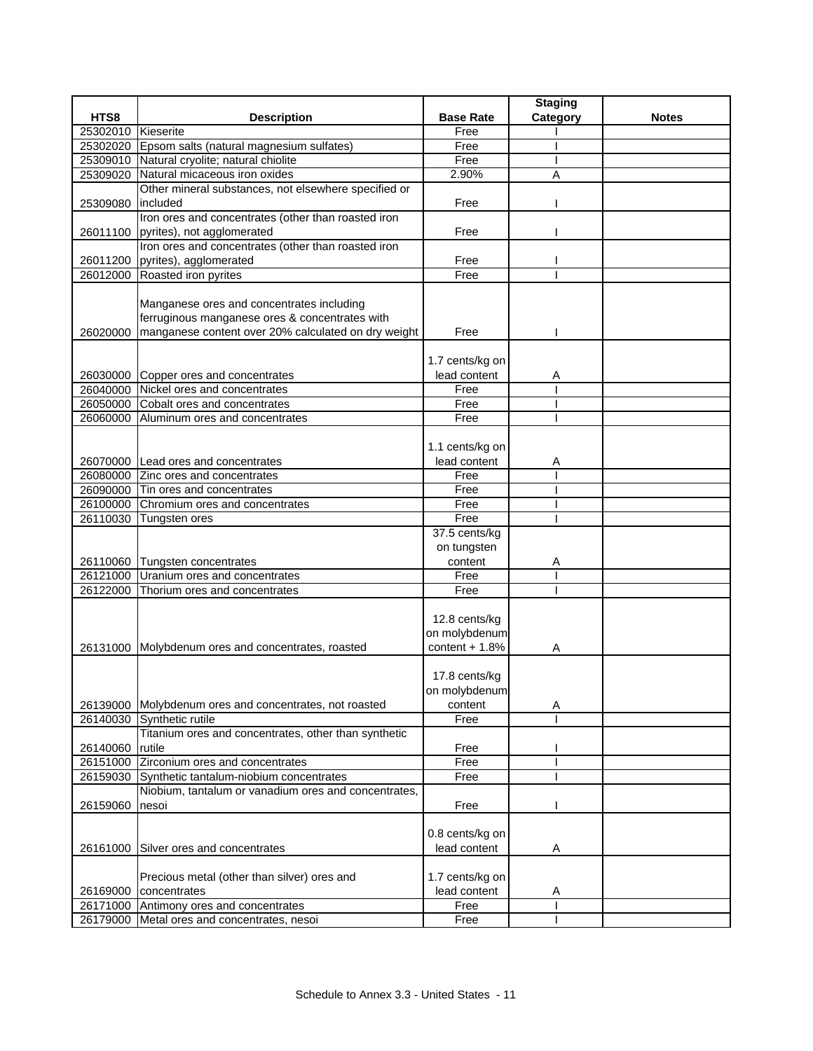|                    |                                                                  |                  | <b>Staging</b> |              |
|--------------------|------------------------------------------------------------------|------------------|----------------|--------------|
| HTS8               | <b>Description</b>                                               | <b>Base Rate</b> | Category       | <b>Notes</b> |
| 25302010 Kieserite |                                                                  | Free             |                |              |
|                    | 25302020 Epsom salts (natural magnesium sulfates)                | Free             |                |              |
|                    | 25309010 Natural cryolite; natural chiolite                      | Free             |                |              |
|                    | 25309020 Natural micaceous iron oxides                           | 2.90%            | A              |              |
|                    | Other mineral substances, not elsewhere specified or             |                  |                |              |
| 25309080           | lincluded                                                        | Free             |                |              |
|                    | Iron ores and concentrates (other than roasted iron              |                  |                |              |
|                    | 26011100 pyrites), not agglomerated                              | Free             |                |              |
|                    | Iron ores and concentrates (other than roasted iron              |                  |                |              |
|                    | 26011200 pyrites), agglomerated                                  | Free             |                |              |
|                    | 26012000 Roasted iron pyrites                                    | Free             |                |              |
|                    |                                                                  |                  |                |              |
|                    | Manganese ores and concentrates including                        |                  |                |              |
|                    | ferruginous manganese ores & concentrates with                   |                  |                |              |
| 26020000           | manganese content over 20% calculated on dry weight              | Free             |                |              |
|                    |                                                                  | 1.7 cents/kg on  |                |              |
|                    | 26030000 Copper ores and concentrates                            | lead content     |                |              |
|                    | 26040000 Nickel ores and concentrates                            | Free             | A              |              |
|                    | 26050000 Cobalt ores and concentrates                            | Free             |                |              |
|                    | 26060000 Aluminum ores and concentrates                          | Free             |                |              |
|                    |                                                                  |                  |                |              |
|                    |                                                                  | 1.1 cents/kg on  |                |              |
|                    | 26070000 Lead ores and concentrates                              | lead content     | Α              |              |
|                    | 26080000 Zinc ores and concentrates                              | Free             |                |              |
|                    | 26090000 Tin ores and concentrates                               | Free             |                |              |
|                    | 26100000 Chromium ores and concentrates                          | Free             |                |              |
|                    | 26110030 Tungsten ores                                           | Free             |                |              |
|                    |                                                                  | 37.5 cents/kg    |                |              |
|                    |                                                                  | on tungsten      |                |              |
|                    | 26110060 Tungsten concentrates                                   | content          | Α              |              |
| 26121000           | Uranium ores and concentrates                                    | Free             |                |              |
|                    | 26122000 Thorium ores and concentrates                           | Free             |                |              |
|                    |                                                                  |                  |                |              |
|                    |                                                                  | 12.8 cents/kg    |                |              |
|                    |                                                                  | on molybdenum    |                |              |
|                    | 26131000 Molybdenum ores and concentrates, roasted               | content $+ 1.8%$ | Α              |              |
|                    |                                                                  |                  |                |              |
|                    |                                                                  | 17.8 cents/kg    |                |              |
|                    |                                                                  | on molybdenum    |                |              |
|                    | 26139000 Molybdenum ores and concentrates, not roasted           | content          | Α              |              |
| 26140030           | Synthetic rutile                                                 | Free             |                |              |
|                    | Titanium ores and concentrates, other than synthetic             |                  |                |              |
| 26140060 rutile    |                                                                  | Free             |                |              |
|                    | 26151000 Zirconium ores and concentrates                         | Free             |                |              |
| 26159030           | Synthetic tantalum-niobium concentrates                          | Free             |                |              |
|                    | Niobium, tantalum or vanadium ores and concentrates,             |                  |                |              |
| 26159060           | nesoi                                                            | Free             |                |              |
|                    |                                                                  |                  |                |              |
|                    |                                                                  | 0.8 cents/kg on  |                |              |
| 26161000           | Silver ores and concentrates                                     | lead content     | Α              |              |
|                    | Precious metal (other than silver) ores and                      | 1.7 cents/kg on  |                |              |
|                    |                                                                  | lead content     |                |              |
|                    | 26169000 concentrates<br>26171000 Antimony ores and concentrates | Free             | A              |              |
|                    | 26179000 Metal ores and concentrates, nesoi                      | Free             |                |              |
|                    |                                                                  |                  |                |              |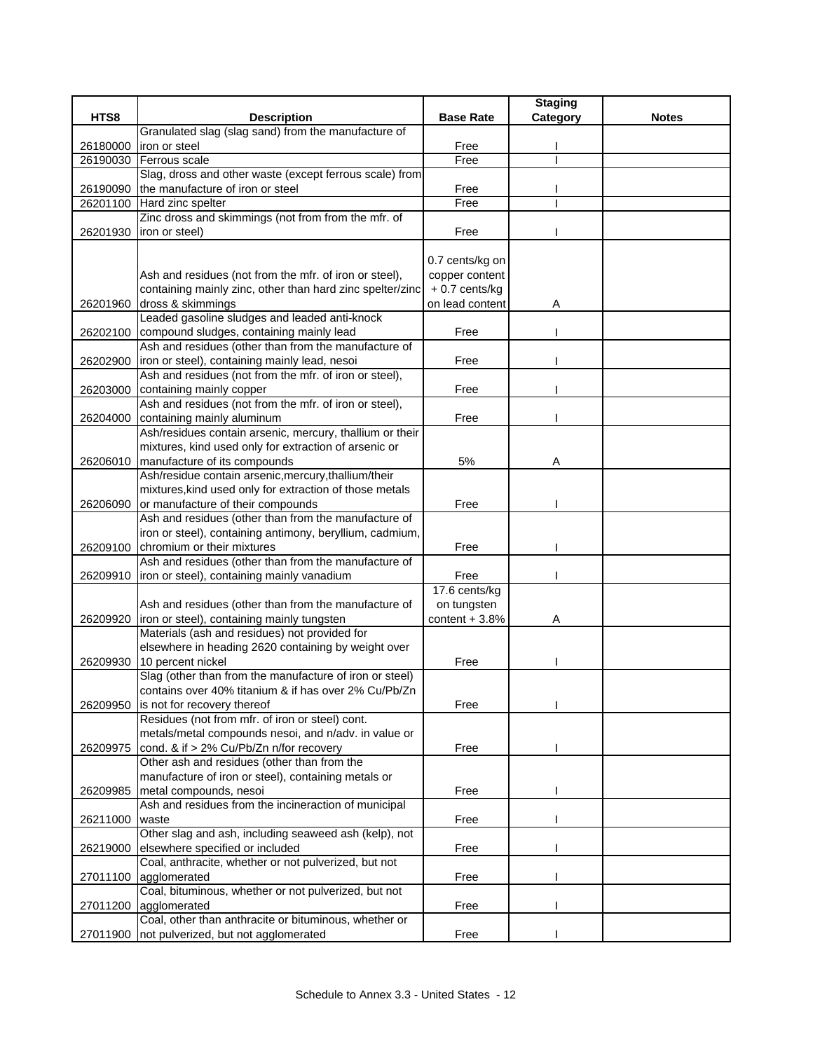|          |                                                                                           |                  | <b>Staging</b> |              |
|----------|-------------------------------------------------------------------------------------------|------------------|----------------|--------------|
| HTS8     | <b>Description</b>                                                                        | <b>Base Rate</b> | Category       | <b>Notes</b> |
|          | Granulated slag (slag sand) from the manufacture of                                       |                  |                |              |
| 26180000 | iron or steel                                                                             | Free             |                |              |
| 26190030 | Ferrous scale                                                                             | Free             |                |              |
|          | Slag, dross and other waste (except ferrous scale) from                                   |                  |                |              |
| 26190090 | the manufacture of iron or steel                                                          | Free             |                |              |
| 26201100 | Hard zinc spelter                                                                         | Free             |                |              |
|          | Zinc dross and skimmings (not from from the mfr. of                                       |                  |                |              |
| 26201930 | iron or steel)                                                                            | Free             |                |              |
|          |                                                                                           |                  |                |              |
|          |                                                                                           | 0.7 cents/kg on  |                |              |
|          | Ash and residues (not from the mfr. of iron or steel),                                    | copper content   |                |              |
|          | containing mainly zinc, other than hard zinc spelter/zinc                                 | $+0.7$ cents/kg  |                |              |
| 26201960 | dross & skimmings                                                                         | on lead content  | Α              |              |
|          | Leaded gasoline sludges and leaded anti-knock                                             |                  |                |              |
| 26202100 | compound sludges, containing mainly lead                                                  | Free             |                |              |
|          | Ash and residues (other than from the manufacture of                                      |                  |                |              |
| 26202900 | iron or steel), containing mainly lead, nesoi                                             | Free             |                |              |
|          | Ash and residues (not from the mfr. of iron or steel),                                    |                  |                |              |
| 26203000 | containing mainly copper                                                                  | Free             |                |              |
|          | Ash and residues (not from the mfr. of iron or steel),                                    |                  |                |              |
| 26204000 | containing mainly aluminum                                                                | Free             |                |              |
|          | Ash/residues contain arsenic, mercury, thallium or their                                  |                  |                |              |
|          | mixtures, kind used only for extraction of arsenic or                                     |                  |                |              |
|          | 26206010   manufacture of its compounds                                                   | 5%               | Α              |              |
|          | Ash/residue contain arsenic, mercury, thallium/their                                      |                  |                |              |
|          | mixtures, kind used only for extraction of those metals                                   |                  |                |              |
| 26206090 | or manufacture of their compounds<br>Ash and residues (other than from the manufacture of | Free             |                |              |
|          | iron or steel), containing antimony, beryllium, cadmium,                                  |                  |                |              |
| 26209100 | chromium or their mixtures                                                                | Free             |                |              |
|          | Ash and residues (other than from the manufacture of                                      |                  |                |              |
| 26209910 | iron or steel), containing mainly vanadium                                                | Free             |                |              |
|          |                                                                                           | 17.6 cents/kg    |                |              |
|          | Ash and residues (other than from the manufacture of                                      | on tungsten      |                |              |
| 26209920 | iron or steel), containing mainly tungsten                                                | content $+3.8%$  | Α              |              |
|          | Materials (ash and residues) not provided for                                             |                  |                |              |
|          | elsewhere in heading 2620 containing by weight over                                       |                  |                |              |
| 26209930 | 10 percent nickel                                                                         | Free             |                |              |
|          | Slag (other than from the manufacture of iron or steel)                                   |                  |                |              |
|          | contains over 40% titanium & if has over 2% Cu/Pb/Zn                                      |                  |                |              |
| 26209950 | is not for recovery thereof                                                               | Free             |                |              |
|          | Residues (not from mfr. of iron or steel) cont.                                           |                  |                |              |
|          | metals/metal compounds nesoi, and n/adv. in value or                                      |                  |                |              |
| 26209975 | cond. & if > 2% Cu/Pb/Zn n/for recovery                                                   | Free             |                |              |
|          | Other ash and residues (other than from the                                               |                  |                |              |
|          | manufacture of iron or steel), containing metals or                                       |                  |                |              |
| 26209985 | metal compounds, nesoi                                                                    | Free             |                |              |
|          | Ash and residues from the incineraction of municipal                                      |                  |                |              |
| 26211000 | waste                                                                                     | Free             |                |              |
|          | Other slag and ash, including seaweed ash (kelp), not                                     |                  |                |              |
| 26219000 | elsewhere specified or included                                                           | Free             |                |              |
|          | Coal, anthracite, whether or not pulverized, but not                                      |                  |                |              |
| 27011100 | agglomerated                                                                              | Free             |                |              |
|          | Coal, bituminous, whether or not pulverized, but not                                      |                  |                |              |
| 27011200 | agglomerated                                                                              | Free             |                |              |
|          | Coal, other than anthracite or bituminous, whether or                                     |                  |                |              |
| 27011900 | not pulverized, but not agglomerated                                                      | Free             |                |              |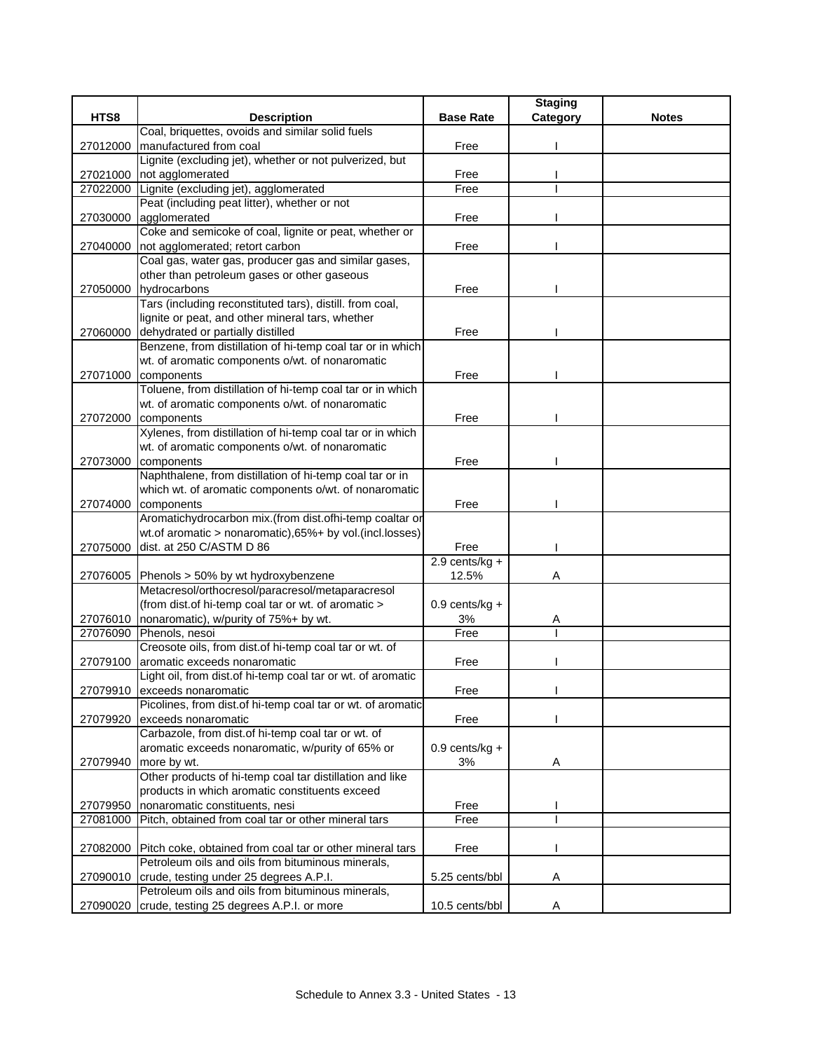|          |                                                             |                  | <b>Staging</b> |              |
|----------|-------------------------------------------------------------|------------------|----------------|--------------|
| HTS8     | <b>Description</b>                                          | <b>Base Rate</b> | Category       | <b>Notes</b> |
|          | Coal, briquettes, ovoids and similar solid fuels            |                  |                |              |
| 27012000 | manufactured from coal                                      | Free             |                |              |
|          | Lignite (excluding jet), whether or not pulverized, but     |                  |                |              |
| 27021000 | not agglomerated                                            | Free             |                |              |
| 27022000 | Lignite (excluding jet), agglomerated                       | Free             |                |              |
|          | Peat (including peat litter), whether or not                |                  |                |              |
| 27030000 | agglomerated                                                | Free             |                |              |
|          | Coke and semicoke of coal, lignite or peat, whether or      |                  |                |              |
| 27040000 | not agglomerated; retort carbon                             | Free             |                |              |
|          | Coal gas, water gas, producer gas and similar gases,        |                  |                |              |
|          | other than petroleum gases or other gaseous                 |                  |                |              |
| 27050000 | hydrocarbons                                                | Free             |                |              |
|          | Tars (including reconstituted tars), distill. from coal,    |                  |                |              |
|          | lignite or peat, and other mineral tars, whether            |                  |                |              |
| 27060000 | dehydrated or partially distilled                           | Free             |                |              |
|          | Benzene, from distillation of hi-temp coal tar or in which  |                  |                |              |
|          | wt. of aromatic components o/wt. of nonaromatic             |                  |                |              |
| 27071000 | components                                                  | Free             |                |              |
|          | Toluene, from distillation of hi-temp coal tar or in which  |                  |                |              |
|          | wt. of aromatic components o/wt. of nonaromatic             |                  |                |              |
| 27072000 | components                                                  | Free             |                |              |
|          | Xylenes, from distillation of hi-temp coal tar or in which  |                  |                |              |
|          | wt. of aromatic components o/wt. of nonaromatic             |                  |                |              |
| 27073000 | components                                                  | Free             |                |              |
|          | Naphthalene, from distillation of hi-temp coal tar or in    |                  |                |              |
|          | which wt. of aromatic components o/wt. of nonaromatic       |                  |                |              |
| 27074000 | components                                                  | Free             |                |              |
|          | Aromatichydrocarbon mix.(from dist.ofhi-temp coaltar or     |                  |                |              |
|          | wt.of aromatic > nonaromatic), 65%+ by vol. (incl.losses)   |                  |                |              |
| 27075000 | dist. at 250 C/ASTM D 86                                    | Free             |                |              |
|          |                                                             | $2.9$ cents/kg + |                |              |
| 27076005 | Phenols > 50% by wt hydroxybenzene                          | 12.5%            | Α              |              |
|          | Metacresol/orthocresol/paracresol/metaparacresol            |                  |                |              |
|          | (from dist.of hi-temp coal tar or wt. of aromatic >         | $0.9$ cents/kg + |                |              |
| 27076010 | nonaromatic), w/purity of 75%+ by wt.                       | 3%               | A              |              |
| 27076090 | Phenols, nesoi                                              | Free             |                |              |
|          | Creosote oils, from dist.of hi-temp coal tar or wt. of      |                  |                |              |
| 27079100 | aromatic exceeds nonaromatic                                | Free             |                |              |
|          | Light oil, from dist.of hi-temp coal tar or wt. of aromatic |                  |                |              |
|          | 27079910 exceeds nonaromatic                                | Free             |                |              |
|          | Picolines, from dist of hi-temp coal tar or wt. of aromatic |                  |                |              |
| 27079920 | exceeds nonaromatic                                         | Free             |                |              |
|          | Carbazole, from dist.of hi-temp coal tar or wt. of          |                  |                |              |
|          | aromatic exceeds nonaromatic, w/purity of 65% or            | $0.9$ cents/kg + |                |              |
| 27079940 | more by wt.                                                 | 3%               | Α              |              |
|          | Other products of hi-temp coal tar distillation and like    |                  |                |              |
|          | products in which aromatic constituents exceed              |                  |                |              |
| 27079950 | nonaromatic constituents, nesi                              | Free             |                |              |
| 27081000 | Pitch, obtained from coal tar or other mineral tars         | Free             |                |              |
|          |                                                             |                  |                |              |
| 27082000 | Pitch coke, obtained from coal tar or other mineral tars    | Free             |                |              |
|          | Petroleum oils and oils from bituminous minerals,           |                  |                |              |
| 27090010 | crude, testing under 25 degrees A.P.I.                      | 5.25 cents/bbl   | A              |              |
|          | Petroleum oils and oils from bituminous minerals,           |                  |                |              |
| 27090020 | crude, testing 25 degrees A.P.I. or more                    | 10.5 cents/bbl   | A              |              |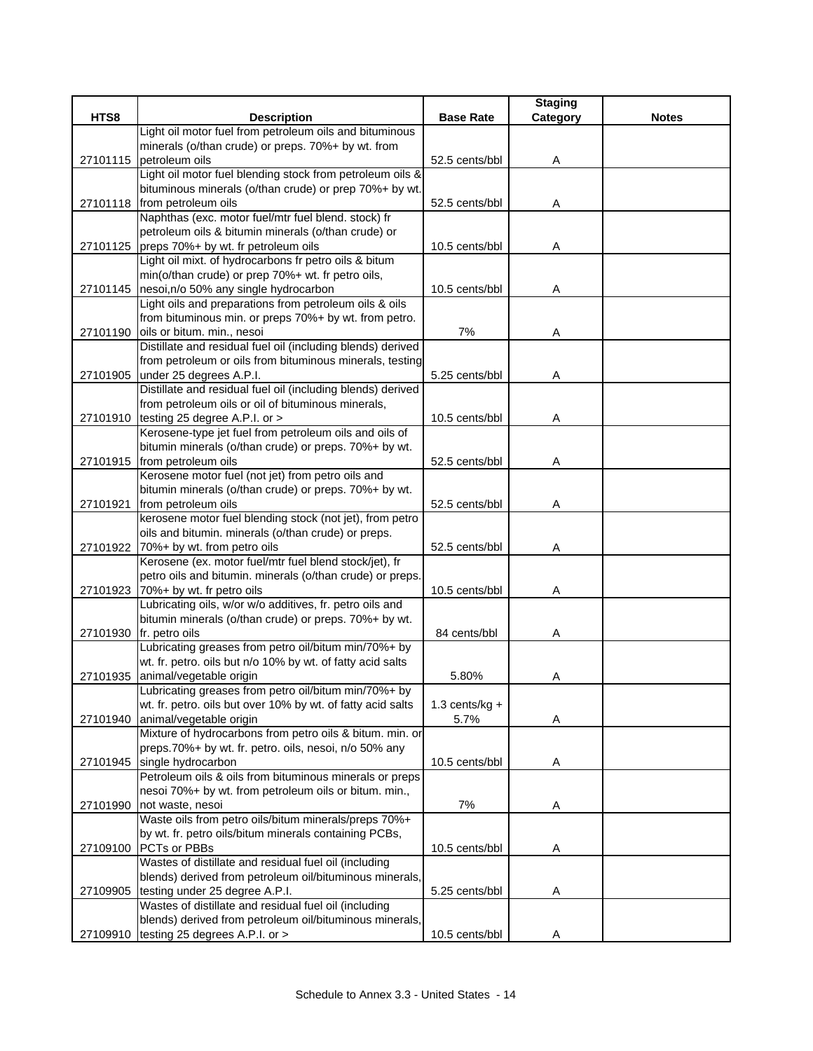|          |                                                                                                                 |                  | <b>Staging</b> |              |
|----------|-----------------------------------------------------------------------------------------------------------------|------------------|----------------|--------------|
| HTS8     | <b>Description</b>                                                                                              | <b>Base Rate</b> | Category       | <b>Notes</b> |
|          | Light oil motor fuel from petroleum oils and bituminous                                                         |                  |                |              |
|          | minerals (o/than crude) or preps. 70%+ by wt. from                                                              |                  |                |              |
| 27101115 | petroleum oils                                                                                                  | 52.5 cents/bbl   | Α              |              |
|          | Light oil motor fuel blending stock from petroleum oils &                                                       |                  |                |              |
|          | bituminous minerals (o/than crude) or prep 70%+ by wt.                                                          |                  |                |              |
|          | 27101118 from petroleum oils                                                                                    | 52.5 cents/bbl   | Α              |              |
|          | Naphthas (exc. motor fuel/mtr fuel blend. stock) fr<br>petroleum oils & bitumin minerals (o/than crude) or      |                  |                |              |
|          | 27101125 preps 70%+ by wt. fr petroleum oils                                                                    | 10.5 cents/bbl   | Α              |              |
|          | Light oil mixt. of hydrocarbons fr petro oils & bitum                                                           |                  |                |              |
|          | min(o/than crude) or prep 70%+ wt. fr petro oils,                                                               |                  |                |              |
|          | 27101145 nesoi, n/o 50% any single hydrocarbon                                                                  | 10.5 cents/bbl   | Α              |              |
|          | Light oils and preparations from petroleum oils & oils                                                          |                  |                |              |
|          | from bituminous min. or preps 70%+ by wt. from petro.                                                           |                  |                |              |
|          | 27101190 oils or bitum. min., nesoi                                                                             | 7%               | Α              |              |
|          | Distillate and residual fuel oil (including blends) derived                                                     |                  |                |              |
|          | from petroleum or oils from bituminous minerals, testing                                                        |                  |                |              |
| 27101905 | under 25 degrees A.P.I.                                                                                         | 5.25 cents/bbl   | Α              |              |
|          | Distillate and residual fuel oil (including blends) derived                                                     |                  |                |              |
|          | from petroleum oils or oil of bituminous minerals,                                                              |                  |                |              |
|          | 27101910 testing 25 degree A.P.I. or >                                                                          | 10.5 cents/bbl   | Α              |              |
|          | Kerosene-type jet fuel from petroleum oils and oils of                                                          |                  |                |              |
|          | bitumin minerals (o/than crude) or preps. 70%+ by wt.                                                           |                  |                |              |
|          | 27101915 from petroleum oils                                                                                    | 52.5 cents/bbl   | Α              |              |
|          | Kerosene motor fuel (not jet) from petro oils and                                                               |                  |                |              |
|          | bitumin minerals (o/than crude) or preps. 70%+ by wt.                                                           |                  |                |              |
| 27101921 | from petroleum oils                                                                                             | 52.5 cents/bbl   | Α              |              |
|          | kerosene motor fuel blending stock (not jet), from petro<br>oils and bitumin. minerals (o/than crude) or preps. |                  |                |              |
|          | 27101922 70%+ by wt. from petro oils                                                                            | 52.5 cents/bbl   | Α              |              |
|          | Kerosene (ex. motor fuel/mtr fuel blend stock/jet), fr                                                          |                  |                |              |
|          | petro oils and bitumin. minerals (o/than crude) or preps.                                                       |                  |                |              |
| 27101923 | 70%+ by wt. fr petro oils                                                                                       | 10.5 cents/bbl   | Α              |              |
|          | Lubricating oils, w/or w/o additives, fr. petro oils and                                                        |                  |                |              |
|          | bitumin minerals (o/than crude) or preps. 70%+ by wt.                                                           |                  |                |              |
| 27101930 | fr. petro oils                                                                                                  | 84 cents/bbl     | Α              |              |
|          | Lubricating greases from petro oil/bitum min/70%+ by                                                            |                  |                |              |
|          | wt. fr. petro. oils but n/o 10% by wt. of fatty acid salts                                                      |                  |                |              |
| 27101935 | animal/vegetable origin                                                                                         | 5.80%            | Α              |              |
|          | Lubricating greases from petro oil/bitum min/70%+ by                                                            |                  |                |              |
|          | wt. fr. petro. oils but over 10% by wt. of fatty acid salts                                                     | $1.3$ cents/kg + |                |              |
| 27101940 | animal/vegetable origin                                                                                         | 5.7%             | A              |              |
|          | Mixture of hydrocarbons from petro oils & bitum. min. or                                                        |                  |                |              |
|          | preps.70%+ by wt. fr. petro. oils, nesoi, n/o 50% any                                                           |                  |                |              |
|          | 27101945 single hydrocarbon                                                                                     | 10.5 cents/bbl   | Α              |              |
|          | Petroleum oils & oils from bituminous minerals or preps                                                         |                  |                |              |
|          | nesoi 70%+ by wt. from petroleum oils or bitum. min.,<br>not waste, nesoi                                       |                  |                |              |
| 27101990 | Waste oils from petro oils/bitum minerals/preps 70%+                                                            | 7%               | A              |              |
|          | by wt. fr. petro oils/bitum minerals containing PCBs,                                                           |                  |                |              |
| 27109100 | PCTs or PBBs                                                                                                    | 10.5 cents/bbl   | A              |              |
|          | Wastes of distillate and residual fuel oil (including                                                           |                  |                |              |
|          | blends) derived from petroleum oil/bituminous minerals,                                                         |                  |                |              |
| 27109905 | testing under 25 degree A.P.I.                                                                                  | 5.25 cents/bbl   | Α              |              |
|          | Wastes of distillate and residual fuel oil (including                                                           |                  |                |              |
|          | blends) derived from petroleum oil/bituminous minerals,                                                         |                  |                |              |
| 27109910 | testing 25 degrees A.P.I. or >                                                                                  | 10.5 cents/bbl   | Α              |              |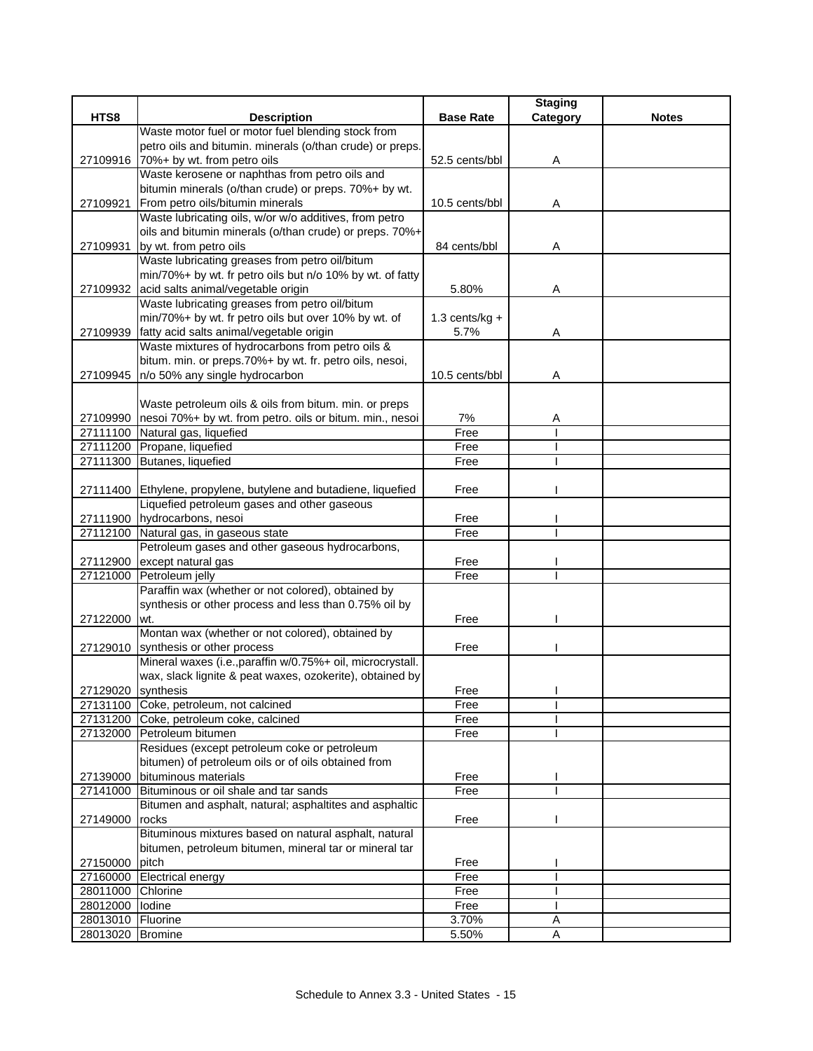|                   |                                                                                  |                  | <b>Staging</b> |              |
|-------------------|----------------------------------------------------------------------------------|------------------|----------------|--------------|
| HTS8              | <b>Description</b>                                                               | <b>Base Rate</b> | Category       | <b>Notes</b> |
|                   | Waste motor fuel or motor fuel blending stock from                               |                  |                |              |
|                   | petro oils and bitumin. minerals (o/than crude) or preps.                        |                  |                |              |
|                   | 27109916 70%+ by wt. from petro oils                                             | 52.5 cents/bbl   | Α              |              |
|                   | Waste kerosene or naphthas from petro oils and                                   |                  |                |              |
|                   | bitumin minerals (o/than crude) or preps. 70%+ by wt.                            |                  |                |              |
| 27109921          | From petro oils/bitumin minerals                                                 | 10.5 cents/bbl   | Α              |              |
|                   | Waste lubricating oils, w/or w/o additives, from petro                           |                  |                |              |
|                   | oils and bitumin minerals (o/than crude) or preps. 70%+                          |                  |                |              |
| 27109931          | by wt. from petro oils                                                           | 84 cents/bbl     | Α              |              |
|                   | Waste lubricating greases from petro oil/bitum                                   |                  |                |              |
|                   | min/70%+ by wt. fr petro oils but n/o 10% by wt. of fatty                        |                  |                |              |
|                   | 27109932 acid salts animal/vegetable origin                                      | 5.80%            | Α              |              |
|                   | Waste lubricating greases from petro oil/bitum                                   |                  |                |              |
|                   | min/70%+ by wt. fr petro oils but over 10% by wt. of                             | $1.3$ cents/kg + |                |              |
| 27109939          | fatty acid salts animal/vegetable origin                                         | 5.7%             | Α              |              |
|                   | Waste mixtures of hydrocarbons from petro oils &                                 |                  |                |              |
|                   | bitum. min. or preps.70%+ by wt. fr. petro oils, nesoi,                          |                  |                |              |
| 27109945          | n/o 50% any single hydrocarbon                                                   | 10.5 cents/bbl   | Α              |              |
|                   |                                                                                  |                  |                |              |
|                   | Waste petroleum oils & oils from bitum. min. or preps                            |                  |                |              |
| 27109990          | nesoi 70%+ by wt. from petro. oils or bitum. min., nesoi                         | 7%               | Α              |              |
| 27111100          | Natural gas, liquefied                                                           | Free             |                |              |
| 27111200          | Propane, liquefied                                                               | Free             |                |              |
| 27111300          | Butanes, liquefied                                                               | Free             |                |              |
|                   |                                                                                  |                  |                |              |
|                   | 27111400 Ethylene, propylene, butylene and butadiene, liquefied                  | Free             |                |              |
|                   | Liquefied petroleum gases and other gaseous                                      |                  |                |              |
|                   | 27111900 hydrocarbons, nesoi                                                     | Free<br>Free     |                |              |
| 27112100          | Natural gas, in gaseous state<br>Petroleum gases and other gaseous hydrocarbons, |                  |                |              |
| 27112900          | except natural gas                                                               | Free             |                |              |
| 27121000          | Petroleum jelly                                                                  | Free             |                |              |
|                   | Paraffin wax (whether or not colored), obtained by                               |                  |                |              |
|                   | synthesis or other process and less than 0.75% oil by                            |                  |                |              |
| 27122000          | wt.                                                                              | Free             |                |              |
|                   | Montan wax (whether or not colored), obtained by                                 |                  |                |              |
|                   | 27129010 synthesis or other process                                              | Free             |                |              |
|                   | Mineral waxes (i.e., paraffin w/0.75%+ oil, microcrystall.                       |                  |                |              |
|                   | wax, slack lignite & peat waxes, ozokerite), obtained by                         |                  |                |              |
|                   | 27129020 synthesis                                                               | Free             |                |              |
|                   | 27131100 Coke, petroleum, not calcined                                           | Free             |                |              |
|                   | 27131200 Coke, petroleum coke, calcined                                          | Free             |                |              |
|                   | 27132000 Petroleum bitumen                                                       | Free             |                |              |
|                   | Residues (except petroleum coke or petroleum                                     |                  |                |              |
|                   | bitumen) of petroleum oils or of oils obtained from                              |                  |                |              |
| 27139000          | bituminous materials                                                             | Free             |                |              |
| 27141000          | Bituminous or oil shale and tar sands                                            | Free             |                |              |
|                   | Bitumen and asphalt, natural; asphaltites and asphaltic                          |                  |                |              |
| 27149000          | rocks                                                                            | Free             |                |              |
|                   | Bituminous mixtures based on natural asphalt, natural                            |                  |                |              |
|                   | bitumen, petroleum bitumen, mineral tar or mineral tar                           |                  |                |              |
| 27150000          | pitch                                                                            | Free             |                |              |
| 27160000          | <b>Electrical energy</b>                                                         | Free             |                |              |
| 28011000          | Chlorine                                                                         | Free             |                |              |
| 28012000 lodine   |                                                                                  | Free             |                |              |
| 28013010 Fluorine |                                                                                  | 3.70%            | Α              |              |
| 28013020 Bromine  |                                                                                  | 5.50%            | Α              |              |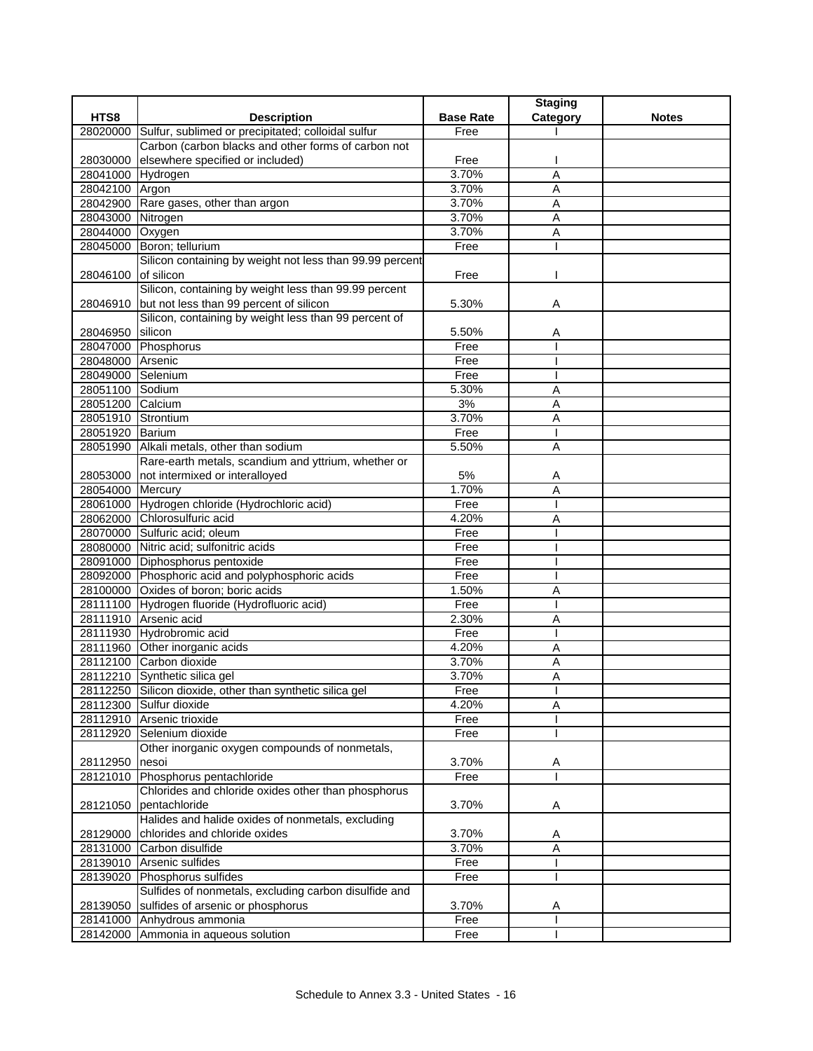|                    |                                                           |                  | <b>Staging</b> |              |
|--------------------|-----------------------------------------------------------|------------------|----------------|--------------|
| HTS8               | <b>Description</b>                                        | <b>Base Rate</b> | Category       | <b>Notes</b> |
| 28020000           | Sulfur, sublimed or precipitated; colloidal sulfur        | Free             |                |              |
|                    | Carbon (carbon blacks and other forms of carbon not       |                  |                |              |
| 28030000           | elsewhere specified or included)                          | Free             |                |              |
| 28041000 Hydrogen  |                                                           | 3.70%            | A              |              |
| 28042100 Argon     |                                                           | 3.70%            | $\overline{A}$ |              |
|                    | 28042900 Rare gases, other than argon                     | 3.70%            | A              |              |
| 28043000 Nitrogen  |                                                           | 3.70%            | Α              |              |
| 28044000 Oxygen    |                                                           | 3.70%            | Α              |              |
|                    | 28045000 Boron; tellurium                                 | Free             |                |              |
|                    | Silicon containing by weight not less than 99.99 percent  |                  |                |              |
| 28046100           | of silicon                                                | Free             |                |              |
|                    | Silicon, containing by weight less than 99.99 percent     |                  |                |              |
| 28046910           | but not less than 99 percent of silicon                   | 5.30%            | Α              |              |
|                    | Silicon, containing by weight less than 99 percent of     |                  |                |              |
| 28046950           | silicon                                                   | 5.50%            | Α              |              |
|                    | 28047000 Phosphorus                                       | Free             |                |              |
| 28048000 Arsenic   |                                                           | Free             |                |              |
| 28049000 Selenium  |                                                           | Free             |                |              |
| 28051100 Sodium    |                                                           | 5.30%            | A              |              |
| 28051200 Calcium   |                                                           | 3%               | $\overline{A}$ |              |
| 28051910 Strontium |                                                           | 3.70%            | Α              |              |
| 28051920 Barium    |                                                           | Free             |                |              |
|                    | 28051990 Alkali metals, other than sodium                 | 5.50%            | A              |              |
|                    | Rare-earth metals, scandium and yttrium, whether or       |                  |                |              |
| 28053000           | not intermixed or interalloyed                            | 5%               | A              |              |
| 28054000 Mercury   |                                                           | 1.70%            | A              |              |
|                    | 28061000 Hydrogen chloride (Hydrochloric acid)            | Free             |                |              |
|                    | 28062000 Chlorosulfuric acid                              | 4.20%            | A              |              |
|                    | 28070000 Sulfuric acid; oleum                             | Free             |                |              |
|                    | 28080000 Nitric acid; sulfonitric acids                   | Free             |                |              |
|                    | 28091000 Diphosphorus pentoxide                           | Free             |                |              |
|                    | 28092000 Phosphoric acid and polyphosphoric acids         | Free             |                |              |
|                    | 28100000 Oxides of boron; boric acids                     | 1.50%            | Α              |              |
|                    | 28111100 Hydrogen fluoride (Hydrofluoric acid)            | Free             |                |              |
|                    | 28111910 Arsenic acid                                     | 2.30%            | A              |              |
|                    | 28111930 Hydrobromic acid                                 | Free             |                |              |
|                    | 28111960 Other inorganic acids                            | 4.20%            | Α              |              |
|                    | 28112100 Carbon dioxide                                   | 3.70%            | Α              |              |
|                    | 28112210 Synthetic silica gel                             | 3.70%            | Α              |              |
|                    | 28112250 Silicon dioxide, other than synthetic silica gel | Free             |                |              |
|                    | 28112300 Sulfur dioxide                                   | 4.20%            | Α              |              |
|                    | 28112910 Arsenic trioxide                                 | Free             |                |              |
|                    | 28112920 Selenium dioxide                                 | Free             |                |              |
|                    | Other inorganic oxygen compounds of nonmetals,            |                  |                |              |
| 28112950           | nesoi                                                     | 3.70%            | A              |              |
|                    | 28121010 Phosphorus pentachloride                         | Free             |                |              |
|                    | Chlorides and chloride oxides other than phosphorus       |                  |                |              |
| 28121050           | pentachloride                                             | 3.70%            | A              |              |
|                    | Halides and halide oxides of nonmetals, excluding         |                  |                |              |
| 28129000           | chlorides and chloride oxides                             | 3.70%            | Α              |              |
| 28131000           | Carbon disulfide                                          | 3.70%            | Α              |              |
| 28139010           | Arsenic sulfides                                          | Free             |                |              |
| 28139020           | Phosphorus sulfides                                       | Free             |                |              |
|                    | Sulfides of nonmetals, excluding carbon disulfide and     |                  |                |              |
| 28139050           | sulfides of arsenic or phosphorus                         | 3.70%            | Α              |              |
|                    | 28141000 Anhydrous ammonia                                | Free             |                |              |
|                    | 28142000 Ammonia in aqueous solution                      | Free             |                |              |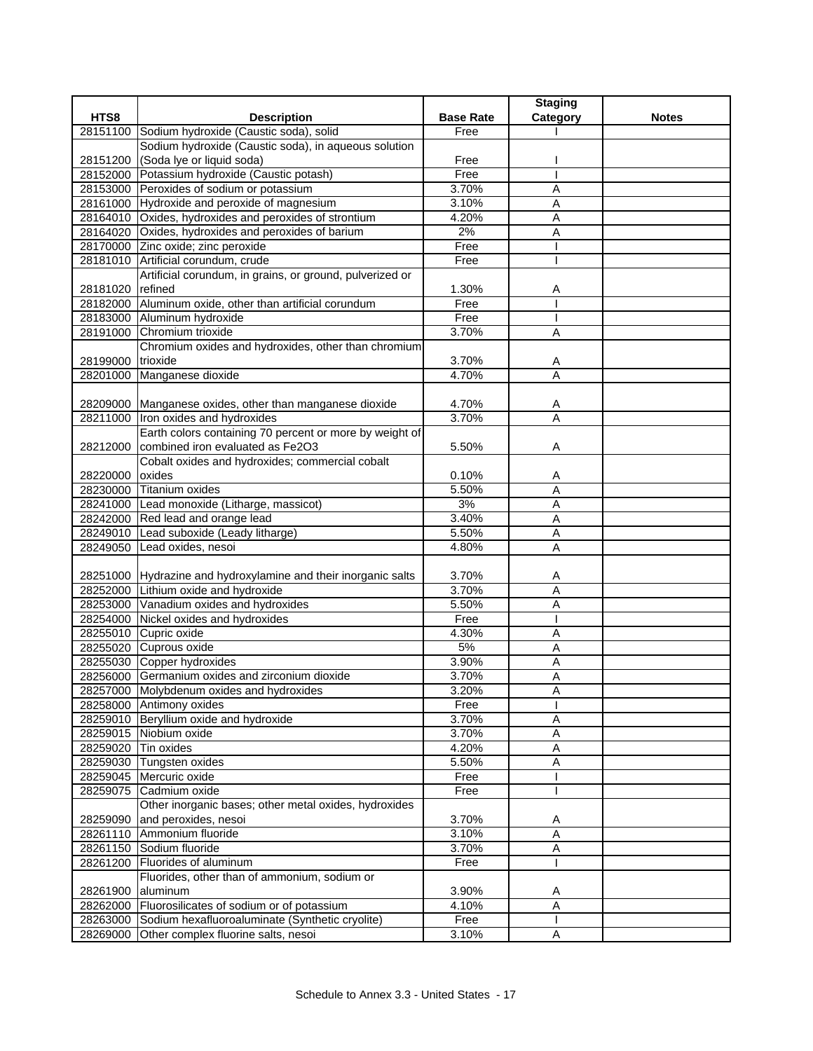|                     |                                                                |                  | <b>Staging</b> |              |
|---------------------|----------------------------------------------------------------|------------------|----------------|--------------|
| HTS8                | <b>Description</b>                                             | <b>Base Rate</b> | Category       | <b>Notes</b> |
| 28151100            | Sodium hydroxide (Caustic soda), solid                         | Free             |                |              |
|                     | Sodium hydroxide (Caustic soda), in aqueous solution           |                  |                |              |
|                     | 28151200 (Soda lye or liquid soda)                             | Free             |                |              |
|                     | 28152000 Potassium hydroxide (Caustic potash)                  | Free             |                |              |
|                     | 28153000 Peroxides of sodium or potassium                      | 3.70%            | A              |              |
|                     | 28161000 Hydroxide and peroxide of magnesium                   | 3.10%            | Α              |              |
|                     | 28164010 Oxides, hydroxides and peroxides of strontium         | 4.20%            | Α              |              |
|                     | 28164020 Oxides, hydroxides and peroxides of barium            | 2%               | Α              |              |
|                     | 28170000 Zinc oxide; zinc peroxide                             | Free             |                |              |
|                     | 28181010 Artificial corundum, crude                            | Free             |                |              |
|                     | Artificial corundum, in grains, or ground, pulverized or       |                  |                |              |
| 28181020 refined    |                                                                | 1.30%            | Α              |              |
|                     | 28182000 Aluminum oxide, other than artificial corundum        | Free             |                |              |
|                     | 28183000 Aluminum hydroxide                                    | Free             |                |              |
|                     | 28191000 Chromium trioxide                                     | 3.70%            | A              |              |
|                     | Chromium oxides and hydroxides, other than chromium            |                  |                |              |
| 28199000 trioxide   |                                                                | 3.70%            | A              |              |
|                     | 28201000 Manganese dioxide                                     | 4.70%            | A              |              |
|                     |                                                                |                  |                |              |
|                     | 28209000 Manganese oxides, other than manganese dioxide        | 4.70%            | Α              |              |
|                     | 28211000   Iron oxides and hydroxides                          | 3.70%            | A              |              |
|                     | Earth colors containing 70 percent or more by weight of        |                  |                |              |
| 28212000            | combined iron evaluated as Fe2O3                               | 5.50%            | Α              |              |
|                     | Cobalt oxides and hydroxides; commercial cobalt                |                  |                |              |
| 28220000 oxides     |                                                                | 0.10%            | A              |              |
|                     | 28230000 Titanium oxides                                       | 5.50%            | A              |              |
|                     | 28241000 Lead monoxide (Litharge, massicot)                    | 3%               | Α              |              |
|                     | 28242000 Red lead and orange lead                              | 3.40%            | Α              |              |
|                     | 28249010 Lead suboxide (Leady litharge)                        | 5.50%            | A              |              |
|                     | 28249050 Lead oxides, nesoi                                    | 4.80%            | A              |              |
|                     |                                                                |                  |                |              |
|                     | 28251000 Hydrazine and hydroxylamine and their inorganic salts | 3.70%            | A              |              |
|                     | 28252000 Lithium oxide and hydroxide                           | 3.70%            | Α              |              |
|                     | 28253000 Vanadium oxides and hydroxides                        | 5.50%            | Α              |              |
|                     | 28254000 Nickel oxides and hydroxides                          | Free             |                |              |
|                     | 28255010 Cupric oxide                                          | 4.30%            | Α              |              |
|                     | 28255020 Cuprous oxide                                         | 5%               | Α              |              |
|                     | 28255030 Copper hydroxides                                     | 3.90%            | Α              |              |
|                     | 28256000 Germanium oxides and zirconium dioxide                | 3.70%            | Α              |              |
|                     | 28257000 Molybdenum oxides and hydroxides                      | 3.20%            | A              |              |
|                     | 28258000 Antimony oxides                                       | Free             |                |              |
|                     | 28259010 Beryllium oxide and hydroxide                         | 3.70%            | Α              |              |
|                     | 28259015 Niobium oxide                                         | 3.70%            | Α              |              |
| 28259020 Tin oxides |                                                                | 4.20%            | $\overline{A}$ |              |
|                     | 28259030 Tungsten oxides                                       | 5.50%            | A              |              |
|                     | 28259045 Mercuric oxide                                        | Free             |                |              |
| 28259075            | Cadmium oxide                                                  | Free             |                |              |
|                     | Other inorganic bases; other metal oxides, hydroxides          |                  |                |              |
| 28259090            | and peroxides, nesoi                                           | 3.70%            | Α              |              |
|                     | 28261110 Ammonium fluoride                                     | 3.10%            | $\overline{A}$ |              |
|                     | 28261150 Sodium fluoride                                       | 3.70%            | Α              |              |
| 28261200            | Fluorides of aluminum                                          | Free             |                |              |
|                     | Fluorides, other than of ammonium, sodium or                   |                  |                |              |
| 28261900 aluminum   |                                                                | 3.90%            | Α              |              |
|                     | 28262000 Fluorosilicates of sodium or of potassium             | 4.10%            | A              |              |
| 28263000            | Sodium hexafluoroaluminate (Synthetic cryolite)                | Free             |                |              |
| 28269000            | Other complex fluorine salts, nesoi                            | 3.10%            | Α              |              |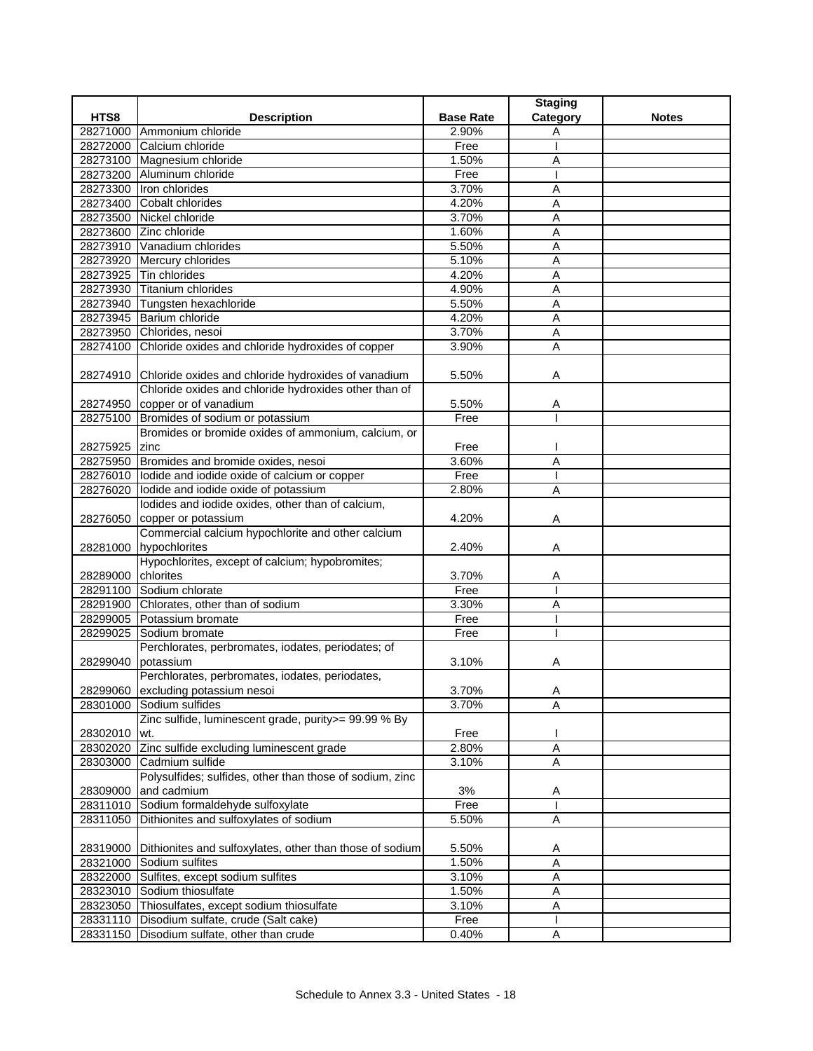|                    |                                                                   |                  | <b>Staging</b> |              |
|--------------------|-------------------------------------------------------------------|------------------|----------------|--------------|
| HTS8               | <b>Description</b>                                                | <b>Base Rate</b> | Category       | <b>Notes</b> |
|                    | 28271000 Ammonium chloride                                        | 2.90%            | Α              |              |
|                    | 28272000 Calcium chloride                                         | Free             |                |              |
|                    | 28273100 Magnesium chloride                                       | 1.50%            | Α              |              |
|                    | 28273200 Aluminum chloride                                        | Free             |                |              |
|                    | 28273300 Iron chlorides                                           | 3.70%            | Α              |              |
|                    | 28273400 Cobalt chlorides                                         | 4.20%            | Α              |              |
|                    | 28273500 Nickel chloride                                          | 3.70%            | A              |              |
|                    | 28273600 Zinc chloride                                            | 1.60%            | Α              |              |
|                    | 28273910 Vanadium chlorides                                       | 5.50%            | Α              |              |
|                    | 28273920 Mercury chlorides                                        | 5.10%            | A              |              |
|                    | 28273925 Tin chlorides                                            | 4.20%            | Α              |              |
|                    | 28273930 Titanium chlorides                                       | 4.90%            | A              |              |
|                    | 28273940 Tungsten hexachloride                                    | 5.50%            | Α              |              |
|                    | 28273945 Barium chloride                                          | 4.20%            | $\overline{A}$ |              |
|                    | 28273950 Chlorides, nesoi                                         | 3.70%            | A              |              |
|                    | 28274100 Chloride oxides and chloride hydroxides of copper        | 3.90%            | Α              |              |
|                    |                                                                   |                  |                |              |
|                    | 28274910 Chloride oxides and chloride hydroxides of vanadium      | 5.50%            | Α              |              |
|                    | Chloride oxides and chloride hydroxides other than of             |                  |                |              |
|                    | 28274950 copper or of vanadium                                    | 5.50%            | Α              |              |
|                    | 28275100 Bromides of sodium or potassium                          | Free             |                |              |
|                    | Bromides or bromide oxides of ammonium, calcium, or               |                  |                |              |
| 28275925 zinc      |                                                                   | Free             |                |              |
|                    | 28275950 Bromides and bromide oxides, nesoi                       | 3.60%            | Α              |              |
|                    | 28276010 lodide and iodide oxide of calcium or copper             | Free             |                |              |
|                    | 28276020 lodide and iodide oxide of potassium                     | 2.80%            | Α              |              |
|                    | lodides and iodide oxides, other than of calcium,                 |                  |                |              |
|                    | 28276050 copper or potassium                                      | 4.20%            | Α              |              |
|                    | Commercial calcium hypochlorite and other calcium                 |                  |                |              |
|                    | 28281000 hypochlorites                                            | 2.40%            | Α              |              |
|                    | Hypochlorites, except of calcium; hypobromites;                   |                  |                |              |
| 28289000 chlorites |                                                                   | 3.70%            | Α              |              |
|                    | 28291100 Sodium chlorate                                          | Free             |                |              |
|                    | 28291900 Chlorates, other than of sodium                          | 3.30%            | Α              |              |
|                    | 28299005 Potassium bromate                                        | Free             |                |              |
|                    | 28299025 Sodium bromate                                           | Free             |                |              |
|                    | Perchlorates, perbromates, iodates, periodates; of                |                  |                |              |
| 28299040 potassium |                                                                   | 3.10%            | Α              |              |
|                    | Perchlorates, perbromates, iodates, periodates,                   |                  |                |              |
|                    | 28299060 excluding potassium nesoi                                | 3.70%            | A              |              |
|                    | 28301000 Sodium sulfides                                          | 3.70%            | A              |              |
|                    | Zinc sulfide, luminescent grade, purity>= 99.99 % By              |                  |                |              |
| 28302010           | wt.                                                               | Free             |                |              |
|                    | 28302020 Zinc sulfide excluding luminescent grade                 | 2.80%            | $\overline{A}$ |              |
| 28303000           | Cadmium sulfide                                                   | 3.10%            | A              |              |
|                    | Polysulfides; sulfides, other than those of sodium, zinc          |                  |                |              |
| 28309000           | and cadmium                                                       | 3%               | Α              |              |
|                    | 28311010 Sodium formaldehyde sulfoxylate                          | Free             |                |              |
|                    | 28311050 Dithionites and sulfoxylates of sodium                   | 5.50%            | A              |              |
|                    |                                                                   |                  |                |              |
|                    | 28319000 Dithionites and sulfoxylates, other than those of sodium | 5.50%            |                |              |
|                    | 28321000 Sodium sulfites                                          | 1.50%            | Α<br>А         |              |
|                    | 28322000 Sulfites, except sodium sulfites                         | 3.10%            |                |              |
|                    |                                                                   |                  | Α              |              |
|                    | 28323010 Sodium thiosulfate                                       | 1.50%            | Α              |              |
|                    | 28323050 Thiosulfates, except sodium thiosulfate                  | 3.10%            | A              |              |
|                    | 28331110 Disodium sulfate, crude (Salt cake)                      | Free             |                |              |
|                    | 28331150 Disodium sulfate, other than crude                       | 0.40%            | Α              |              |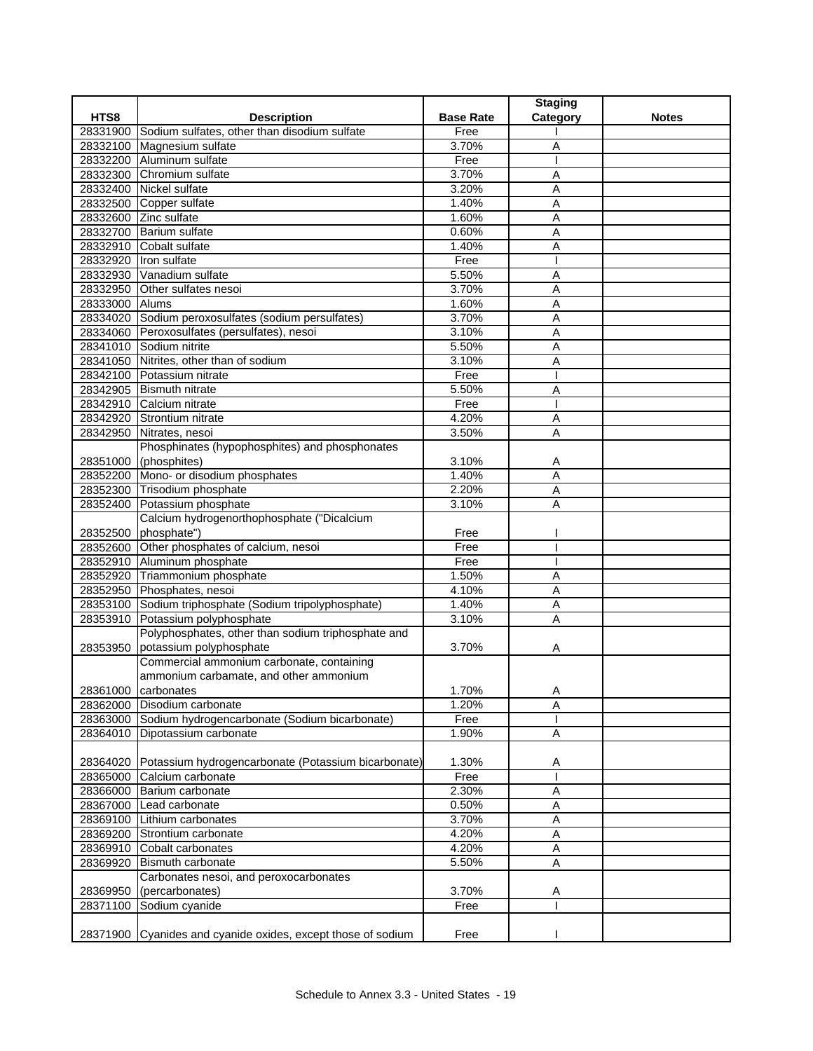|                |                                                              |                  | <b>Staging</b> |              |
|----------------|--------------------------------------------------------------|------------------|----------------|--------------|
| HTS8           | <b>Description</b>                                           | <b>Base Rate</b> | Category       | <b>Notes</b> |
|                | 28331900 Sodium sulfates, other than disodium sulfate        | Free             |                |              |
|                | 28332100 Magnesium sulfate                                   | 3.70%            | Α              |              |
|                | 28332200 Aluminum sulfate                                    | Free             |                |              |
|                | 28332300 Chromium sulfate                                    | 3.70%            | A              |              |
| 28332400       | Nickel sulfate                                               | 3.20%            | Α              |              |
|                | 28332500 Copper sulfate                                      | 1.40%            | A              |              |
|                | 28332600 Zinc sulfate                                        | 1.60%            | Α              |              |
|                | 28332700 Barium sulfate                                      | 0.60%            | Α              |              |
|                | 28332910 Cobalt sulfate                                      | 1.40%            | Α              |              |
|                | 28332920 Iron sulfate                                        | Free             |                |              |
|                | 28332930 Vanadium sulfate                                    | 5.50%            | A              |              |
| 28332950       | Other sulfates nesoi                                         | 3.70%            | Α              |              |
| 28333000 Alums |                                                              | 1.60%            | A              |              |
|                | 28334020 Sodium peroxosulfates (sodium persulfates)          | 3.70%            | A              |              |
|                | 28334060 Peroxosulfates (persulfates), nesoi                 | 3.10%            | A              |              |
|                | 28341010 Sodium nitrite                                      | 5.50%            | A              |              |
|                | 28341050 Nitrites, other than of sodium                      | 3.10%            | Α              |              |
|                | 28342100 Potassium nitrate                                   | Free             |                |              |
|                | 28342905 Bismuth nitrate                                     | 5.50%            | Α              |              |
|                | 28342910 Calcium nitrate                                     | Free             |                |              |
|                | 28342920 Strontium nitrate                                   | 4.20%            | A              |              |
|                | 28342950 Nitrates, nesoi                                     | 3.50%            | Α              |              |
|                | Phosphinates (hypophosphites) and phosphonates               |                  |                |              |
|                | 28351000 (phosphites)                                        | 3.10%            | Α              |              |
|                | 28352200 Mono- or disodium phosphates                        | 1.40%            | A              |              |
|                | 28352300 Trisodium phosphate                                 | 2.20%            | A              |              |
| 28352400       | Potassium phosphate                                          | 3.10%            | Α              |              |
|                | Calcium hydrogenorthophosphate ("Dicalcium                   |                  |                |              |
|                | 28352500 phosphate")                                         | Free             |                |              |
|                | 28352600 Other phosphates of calcium, nesoi                  | Free             |                |              |
|                | 28352910 Aluminum phosphate                                  | Free             |                |              |
|                | 28352920 Triammonium phosphate                               | 1.50%            | Α              |              |
|                | 28352950 Phosphates, nesoi                                   | 4.10%            | Α              |              |
|                | 28353100 Sodium triphosphate (Sodium tripolyphosphate)       | 1.40%            | A              |              |
|                | 28353910 Potassium polyphosphate                             | 3.10%            | Α              |              |
|                | Polyphosphates, other than sodium triphosphate and           |                  |                |              |
|                | 28353950 potassium polyphosphate                             | 3.70%            | Α              |              |
|                | Commercial ammonium carbonate, containing                    |                  |                |              |
|                | ammonium carbamate, and other ammonium                       |                  |                |              |
|                | 28361000 carbonates                                          | 1.70%            | Α              |              |
|                | 28362000 Disodium carbonate                                  | 1.20%            | Α              |              |
|                | 28363000 Sodium hydrogencarbonate (Sodium bicarbonate)       | Free             |                |              |
|                | 28364010 Dipotassium carbonate                               | 1.90%            | Α              |              |
|                |                                                              |                  |                |              |
|                | 28364020 Potassium hydrogencarbonate (Potassium bicarbonate) | 1.30%            | Α              |              |
|                | 28365000 Calcium carbonate                                   | Free             |                |              |
|                | 28366000 Barium carbonate                                    | 2.30%            | Α              |              |
|                | 28367000 Lead carbonate                                      | 0.50%            | Α              |              |
|                | 28369100 Lithium carbonates                                  | 3.70%            | Α              |              |
|                | 28369200 Strontium carbonate                                 | 4.20%            | Α              |              |
|                | 28369910 Cobalt carbonates                                   | 4.20%            | A              |              |
| 28369920       | <b>Bismuth carbonate</b>                                     | 5.50%            | Α              |              |
|                | Carbonates nesoi, and peroxocarbonates                       |                  |                |              |
| 28369950       | (percarbonates)                                              | 3.70%            | Α              |              |
|                | 28371100 Sodium cyanide                                      | Free             |                |              |
|                |                                                              |                  |                |              |
|                | 28371900 Cyanides and cyanide oxides, except those of sodium | Free             |                |              |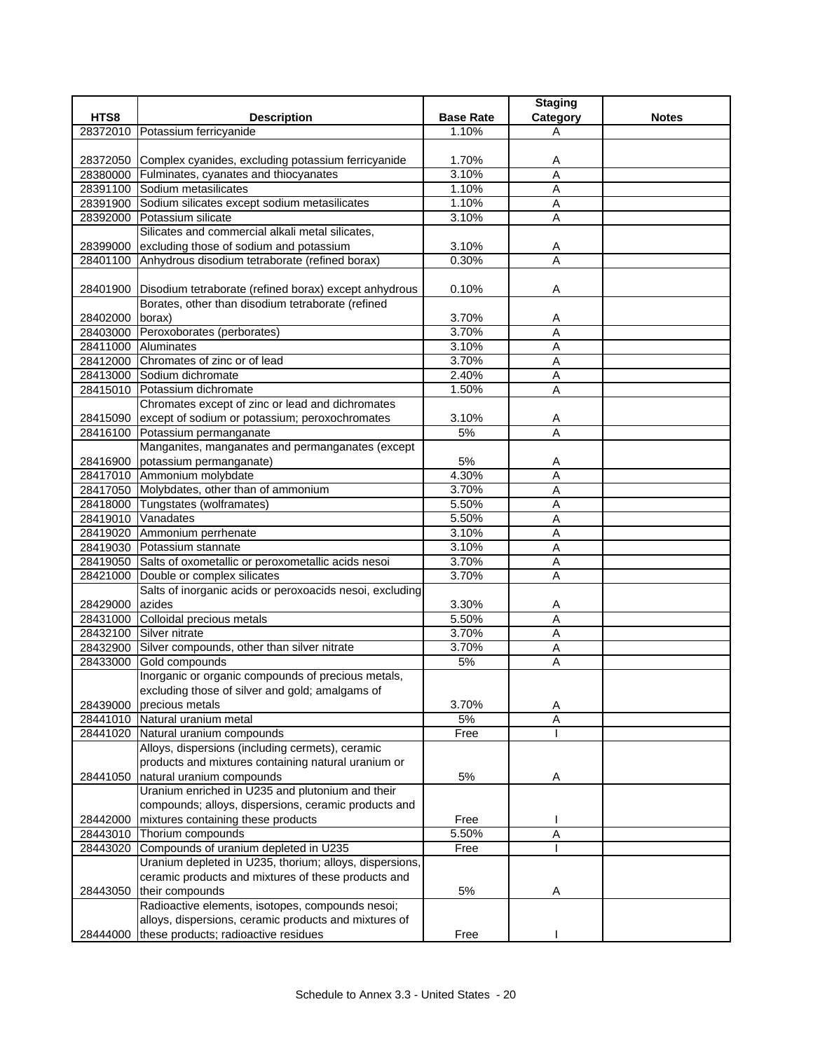|                 |                                                                |                  | <b>Staging</b>      |              |
|-----------------|----------------------------------------------------------------|------------------|---------------------|--------------|
| HTS8            | <b>Description</b>                                             | <b>Base Rate</b> | Category            | <b>Notes</b> |
| 28372010        | Potassium ferricyanide                                         | 1.10%            | A                   |              |
|                 |                                                                |                  |                     |              |
|                 | 28372050 Complex cyanides, excluding potassium ferricyanide    | 1.70%            | A                   |              |
|                 | 28380000 Fulminates, cyanates and thiocyanates                 | 3.10%            | $\overline{A}$      |              |
|                 | 28391100 Sodium metasilicates                                  | 1.10%            | A                   |              |
|                 | 28391900 Sodium silicates except sodium metasilicates          | 1.10%            | Α                   |              |
|                 | 28392000 Potassium silicate                                    | 3.10%            | Α                   |              |
|                 | Silicates and commercial alkali metal silicates,               |                  |                     |              |
|                 | 28399000 excluding those of sodium and potassium               | 3.10%            | A                   |              |
|                 | 28401100 Anhydrous disodium tetraborate (refined borax)        | 0.30%            | $\overline{A}$      |              |
|                 |                                                                |                  |                     |              |
|                 |                                                                | 0.10%            |                     |              |
|                 | 28401900 Disodium tetraborate (refined borax) except anhydrous |                  | Α                   |              |
|                 | Borates, other than disodium tetraborate (refined              |                  |                     |              |
| 28402000 borax) |                                                                | 3.70%            | A                   |              |
|                 | 28403000 Peroxoborates (perborates)                            | 3.70%            | $\overline{A}$      |              |
|                 | 28411000 Aluminates                                            | 3.10%            | A                   |              |
|                 | 28412000 Chromates of zinc or of lead                          | 3.70%            | Α                   |              |
|                 | 28413000 Sodium dichromate                                     | 2.40%            | A                   |              |
|                 | 28415010 Potassium dichromate                                  | 1.50%            | Ā                   |              |
|                 | Chromates except of zinc or lead and dichromates               |                  |                     |              |
|                 | 28415090 except of sodium or potassium; peroxochromates        | 3.10%            | Α                   |              |
|                 | 28416100 Potassium permanganate                                | 5%               | A                   |              |
|                 | Manganites, manganates and permanganates (except               |                  |                     |              |
|                 | 28416900 potassium permanganate)                               | 5%               | Α                   |              |
|                 | 28417010 Ammonium molybdate                                    | 4.30%            | $\overline{A}$      |              |
|                 | 28417050 Molybdates, other than of ammonium                    | 3.70%            | A                   |              |
|                 | 28418000 Tungstates (wolframates)                              | 5.50%            | Α                   |              |
|                 | 28419010 Vanadates                                             | 5.50%            | A                   |              |
|                 | 28419020 Ammonium perrhenate                                   | 3.10%            | A                   |              |
|                 | 28419030 Potassium stannate                                    | 3.10%            | $\overline{A}$      |              |
|                 | 28419050 Salts of oxometallic or peroxometallic acids nesoi    | 3.70%            | A                   |              |
|                 | 28421000 Double or complex silicates                           | 3.70%            | Α                   |              |
|                 | Salts of inorganic acids or peroxoacids nesoi, excluding       |                  |                     |              |
|                 | azides                                                         |                  |                     |              |
| 28429000        |                                                                | 3.30%            | A<br>$\overline{A}$ |              |
|                 | 28431000 Colloidal precious metals                             | 5.50%            |                     |              |
|                 | 28432100 Silver nitrate                                        | 3.70%            | Α                   |              |
|                 | 28432900 Silver compounds, other than silver nitrate           | 3.70%            | Α                   |              |
| 28433000        | Gold compounds                                                 | 5%               | A                   |              |
|                 | Inorganic or organic compounds of precious metals,             |                  |                     |              |
|                 | excluding those of silver and gold; amalgams of                |                  |                     |              |
| 28439000        | precious metals                                                | 3.70%            | A                   |              |
|                 | 28441010 Natural uranium metal                                 | 5%               | Α                   |              |
|                 | 28441020 Natural uranium compounds                             | Free             |                     |              |
|                 | Alloys, dispersions (including cermets), ceramic               |                  |                     |              |
|                 | products and mixtures containing natural uranium or            |                  |                     |              |
| 28441050        | natural uranium compounds                                      | 5%               | Α                   |              |
|                 | Uranium enriched in U235 and plutonium and their               |                  |                     |              |
|                 | compounds; alloys, dispersions, ceramic products and           |                  |                     |              |
| 28442000        | mixtures containing these products                             | Free             |                     |              |
| 28443010        | Thorium compounds                                              | 5.50%            | $\overline{A}$      |              |
| 28443020        | Compounds of uranium depleted in U235                          | Free             |                     |              |
|                 | Uranium depleted in U235, thorium; alloys, dispersions,        |                  |                     |              |
|                 | ceramic products and mixtures of these products and            |                  |                     |              |
| 28443050        | their compounds                                                | 5%               | Α                   |              |
|                 | Radioactive elements, isotopes, compounds nesoi;               |                  |                     |              |
|                 | alloys, dispersions, ceramic products and mixtures of          |                  |                     |              |
| 28444000        | these products; radioactive residues                           | Free             |                     |              |
|                 |                                                                |                  |                     |              |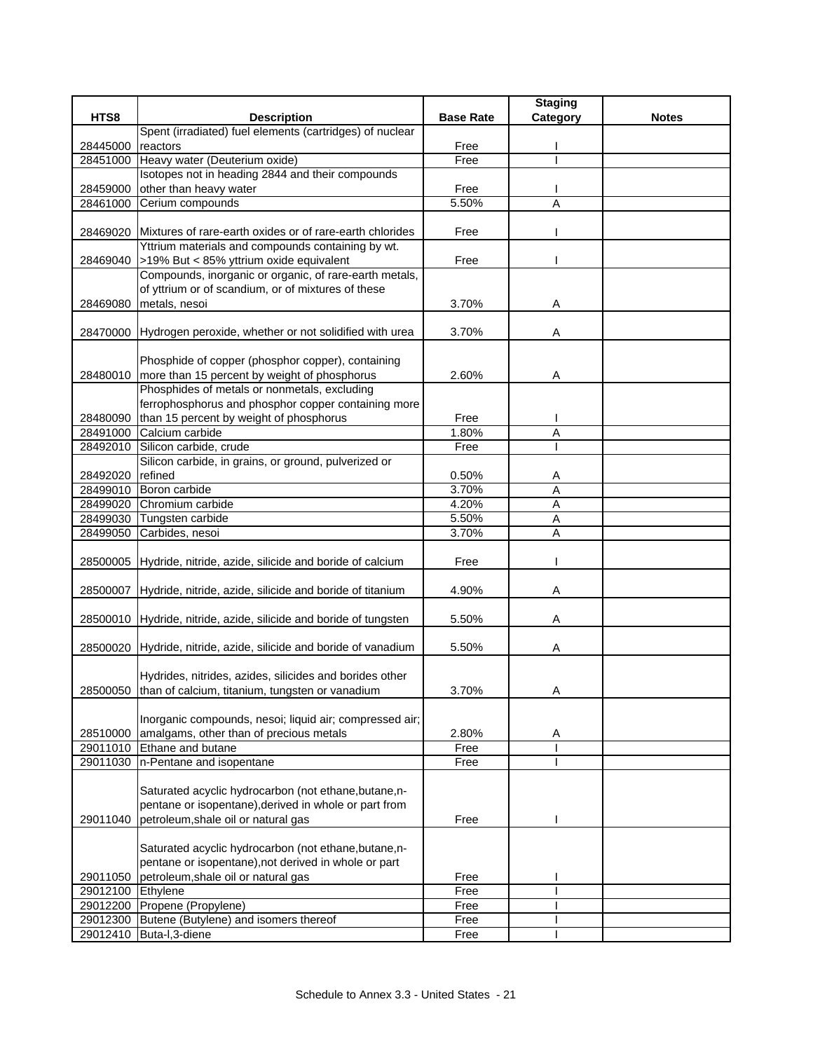|                   |                                                                                                       |                  | <b>Staging</b> |              |
|-------------------|-------------------------------------------------------------------------------------------------------|------------------|----------------|--------------|
| HTS8              | <b>Description</b>                                                                                    | <b>Base Rate</b> | Category       | <b>Notes</b> |
|                   | Spent (irradiated) fuel elements (cartridges) of nuclear                                              |                  |                |              |
| 28445000          | reactors                                                                                              | Free             |                |              |
| 28451000          | Heavy water (Deuterium oxide)<br>Isotopes not in heading 2844 and their compounds                     | Free             |                |              |
| 28459000          |                                                                                                       |                  |                |              |
| 28461000          | other than heavy water<br>Cerium compounds                                                            | Free<br>5.50%    | A              |              |
|                   |                                                                                                       |                  |                |              |
|                   | 28469020 Mixtures of rare-earth oxides or of rare-earth chlorides                                     | Free             |                |              |
|                   | Yttrium materials and compounds containing by wt.                                                     |                  |                |              |
|                   | 28469040 >19% But < 85% yttrium oxide equivalent                                                      | Free             |                |              |
|                   | Compounds, inorganic or organic, of rare-earth metals,                                                |                  |                |              |
|                   | of yttrium or of scandium, or of mixtures of these                                                    |                  |                |              |
| 28469080          | metals, nesoi                                                                                         | 3.70%            | Α              |              |
|                   |                                                                                                       |                  |                |              |
|                   | 28470000 Hydrogen peroxide, whether or not solidified with urea                                       | 3.70%            | Α              |              |
|                   |                                                                                                       |                  |                |              |
|                   | Phosphide of copper (phosphor copper), containing                                                     |                  |                |              |
|                   | 28480010 more than 15 percent by weight of phosphorus<br>Phosphides of metals or nonmetals, excluding | 2.60%            | Α              |              |
|                   | ferrophosphorus and phosphor copper containing more                                                   |                  |                |              |
|                   | 28480090 than 15 percent by weight of phosphorus                                                      | Free             |                |              |
|                   | 28491000 Calcium carbide                                                                              | 1.80%            | A              |              |
| 28492010          | Silicon carbide, crude                                                                                | Free             |                |              |
|                   | Silicon carbide, in grains, or ground, pulverized or                                                  |                  |                |              |
| 28492020          | refined                                                                                               | 0.50%            | A              |              |
| 28499010          | Boron carbide                                                                                         | 3.70%            | A              |              |
| 28499020          | Chromium carbide                                                                                      | 4.20%            | Α              |              |
| 28499030          | Tungsten carbide                                                                                      | 5.50%            | Α              |              |
| 28499050          | Carbides, nesoi                                                                                       | 3.70%            | A              |              |
|                   |                                                                                                       |                  |                |              |
|                   | 28500005 Hydride, nitride, azide, silicide and boride of calcium                                      | Free             |                |              |
|                   |                                                                                                       |                  |                |              |
|                   | 28500007 Hydride, nitride, azide, silicide and boride of titanium                                     | 4.90%            | Α              |              |
|                   | 28500010 Hydride, nitride, azide, silicide and boride of tungsten                                     | 5.50%            |                |              |
|                   |                                                                                                       |                  | Α              |              |
|                   | 28500020 Hydride, nitride, azide, silicide and boride of vanadium                                     | 5.50%            | Α              |              |
|                   |                                                                                                       |                  |                |              |
|                   | Hydrides, nitrides, azides, silicides and borides other                                               |                  |                |              |
|                   | 28500050 than of calcium, titanium, tungsten or vanadium                                              | 3.70%            | Α              |              |
|                   |                                                                                                       |                  |                |              |
|                   | Inorganic compounds, nesoi; liquid air; compressed air;                                               |                  |                |              |
| 28510000          | amalgams, other than of precious metals                                                               | 2.80%            | Α              |              |
|                   | 29011010 Ethane and butane                                                                            | Free             |                |              |
| 29011030          | n-Pentane and isopentane                                                                              | Free             |                |              |
|                   |                                                                                                       |                  |                |              |
|                   | Saturated acyclic hydrocarbon (not ethane, butane, n-                                                 |                  |                |              |
|                   | pentane or isopentane), derived in whole or part from                                                 |                  |                |              |
| 29011040          | petroleum, shale oil or natural gas                                                                   | Free             |                |              |
|                   | Saturated acyclic hydrocarbon (not ethane, butane, n-                                                 |                  |                |              |
|                   | pentane or isopentane), not derived in whole or part                                                  |                  |                |              |
| 29011050          | petroleum, shale oil or natural gas                                                                   | Free             |                |              |
| 29012100 Ethylene |                                                                                                       | Free             |                |              |
| 29012200          | Propene (Propylene)                                                                                   | Free             |                |              |
| 29012300          | Butene (Butylene) and isomers thereof                                                                 | Free             |                |              |
|                   | 29012410 Buta-I, 3-diene                                                                              | Free             |                |              |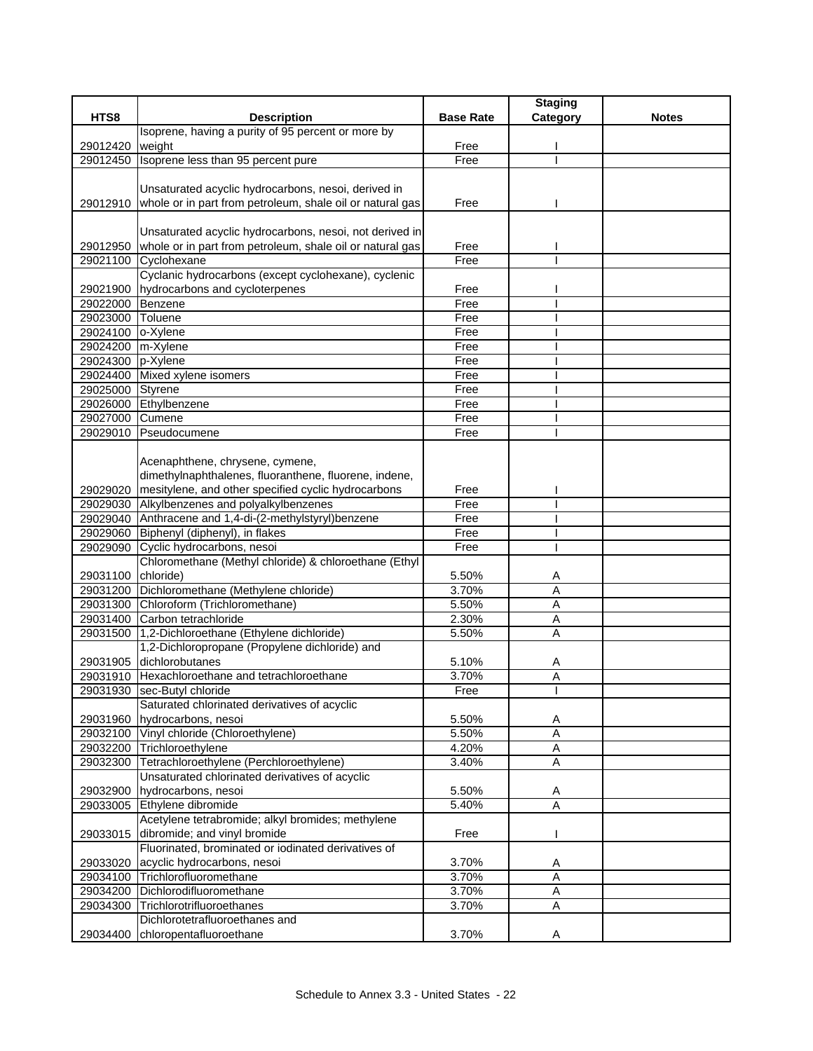|                                        |                                                                    |                  | <b>Staging</b> |              |
|----------------------------------------|--------------------------------------------------------------------|------------------|----------------|--------------|
| HTS8                                   | <b>Description</b>                                                 | <b>Base Rate</b> | Category       | <b>Notes</b> |
|                                        | Isoprene, having a purity of 95 percent or more by                 |                  |                |              |
| 29012420                               | weight                                                             | Free             |                |              |
| 29012450                               | Isoprene less than 95 percent pure                                 | Free             |                |              |
|                                        |                                                                    |                  |                |              |
|                                        | Unsaturated acyclic hydrocarbons, nesoi, derived in                |                  |                |              |
|                                        | 29012910 whole or in part from petroleum, shale oil or natural gas | Free             |                |              |
|                                        |                                                                    |                  |                |              |
|                                        | Unsaturated acyclic hydrocarbons, nesoi, not derived in            |                  |                |              |
| 29012950                               | whole or in part from petroleum, shale oil or natural gas          | Free             |                |              |
|                                        | 29021100 Cyclohexane                                               | Free             |                |              |
|                                        | Cyclanic hydrocarbons (except cyclohexane), cyclenic               | Free             |                |              |
|                                        | 29021900 hydrocarbons and cycloterpenes                            |                  |                |              |
| 29022000 Benzene                       |                                                                    | Free             |                |              |
| 29023000 Toluene                       |                                                                    | Free<br>Free     |                |              |
| 29024100 o-Xylene                      |                                                                    |                  |                |              |
| 29024200 m-Xylene<br>29024300 p-Xylene |                                                                    | Free<br>Free     |                |              |
|                                        |                                                                    |                  |                |              |
| 29025000 Styrene                       | 29024400 Mixed xylene isomers                                      | Free<br>Free     |                |              |
|                                        | 29026000 Ethylbenzene                                              | Free             |                |              |
| 29027000 Cumene                        |                                                                    | Free             |                |              |
| 29029010                               | Pseudocumene                                                       | Free             |                |              |
|                                        |                                                                    |                  |                |              |
|                                        | Acenaphthene, chrysene, cymene,                                    |                  |                |              |
|                                        | dimethylnaphthalenes, fluoranthene, fluorene, indene,              |                  |                |              |
| 29029020                               | mesitylene, and other specified cyclic hydrocarbons                | Free             |                |              |
|                                        | 29029030 Alkylbenzenes and polyalkylbenzenes                       | Free             |                |              |
|                                        | 29029040 Anthracene and 1,4-di-(2-methylstyryl)benzene             | Free             |                |              |
|                                        | 29029060 Biphenyl (diphenyl), in flakes                            | Free             |                |              |
| 29029090                               | Cyclic hydrocarbons, nesoi                                         | Free             |                |              |
|                                        | Chloromethane (Methyl chloride) & chloroethane (Ethyl              |                  |                |              |
| 29031100 chloride)                     |                                                                    | 5.50%            | A              |              |
|                                        | 29031200 Dichloromethane (Methylene chloride)                      | 3.70%            | Α              |              |
|                                        | 29031300 Chloroform (Trichloromethane)                             | 5.50%            | A              |              |
| 29031400                               | Carbon tetrachloride                                               | 2.30%            | A              |              |
|                                        | 29031500 1,2-Dichloroethane (Ethylene dichloride)                  | 5.50%            | Α              |              |
|                                        | 1,2-Dichloropropane (Propylene dichloride) and                     |                  |                |              |
|                                        | 29031905 dichlorobutanes                                           | 5.10%            | Α              |              |
|                                        | 29031910 Hexachloroethane and tetrachloroethane                    | 3.70%            | Α              |              |
|                                        | 29031930 sec-Butyl chloride                                        | Free             |                |              |
|                                        | Saturated chlorinated derivatives of acyclic                       |                  |                |              |
|                                        | 29031960 hydrocarbons, nesoi                                       | 5.50%            | A              |              |
|                                        | 29032100 Vinyl chloride (Chloroethylene)                           | 5.50%            | Α              |              |
| 29032200                               | Trichloroethylene                                                  | 4.20%            | $\overline{A}$ |              |
| 29032300                               | Tetrachloroethylene (Perchloroethylene)                            | 3.40%            | A              |              |
|                                        | Unsaturated chlorinated derivatives of acyclic                     |                  |                |              |
| 29032900                               | hydrocarbons, nesoi                                                | 5.50%            | A              |              |
| 29033005                               | Ethylene dibromide                                                 | 5.40%            | $\overline{A}$ |              |
|                                        | Acetylene tetrabromide; alkyl bromides; methylene                  |                  |                |              |
| 29033015                               | dibromide; and vinyl bromide                                       | Free             |                |              |
|                                        | Fluorinated, brominated or iodinated derivatives of                |                  |                |              |
| 29033020                               | acyclic hydrocarbons, nesoi                                        | 3.70%            | A              |              |
| 29034100                               | Trichlorofluoromethane                                             | 3.70%            | Α              |              |
| 29034200                               | Dichlorodifluoromethane                                            | 3.70%            | $\overline{A}$ |              |
| 29034300                               | Trichlorotrifluoroethanes                                          | 3.70%            | A              |              |
|                                        | Dichlorotetrafluoroethanes and                                     |                  |                |              |
| 29034400                               | chloropentafluoroethane                                            | 3.70%            | Α              |              |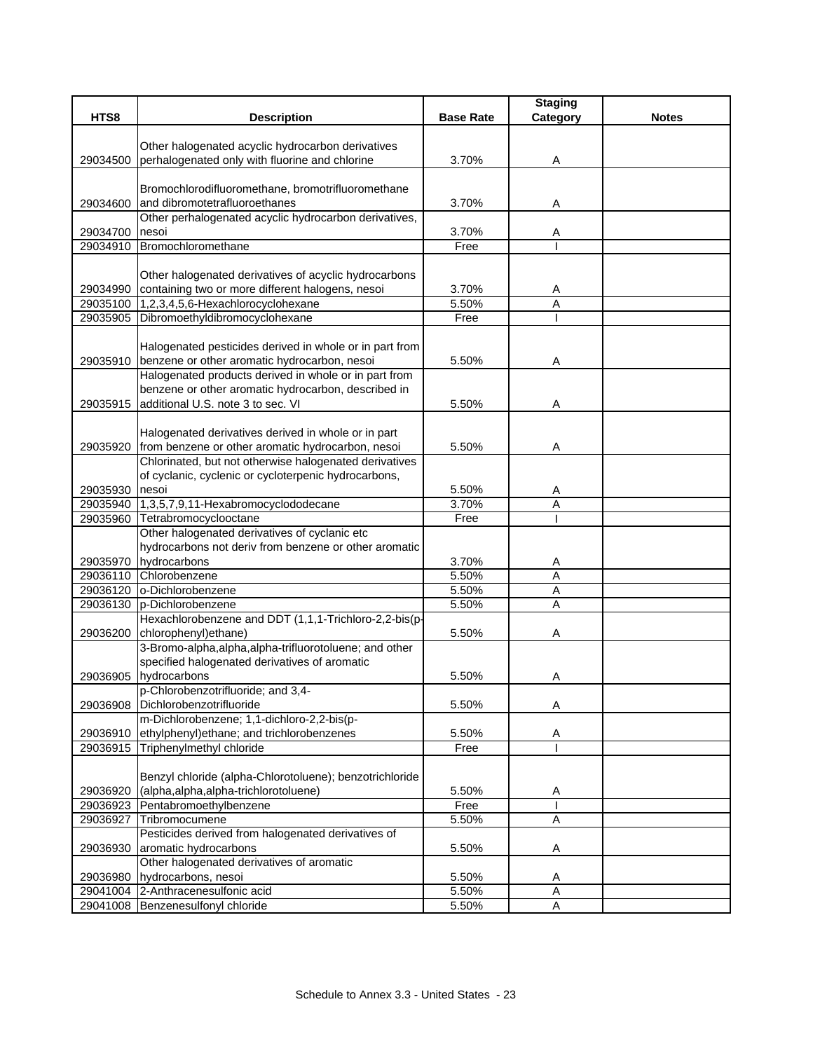|          |                                                         |                  | <b>Staging</b> |              |
|----------|---------------------------------------------------------|------------------|----------------|--------------|
| HTS8     | <b>Description</b>                                      | <b>Base Rate</b> | Category       | <b>Notes</b> |
|          |                                                         |                  |                |              |
|          | Other halogenated acyclic hydrocarbon derivatives       |                  |                |              |
| 29034500 | perhalogenated only with fluorine and chlorine          | 3.70%            | Α              |              |
|          |                                                         |                  |                |              |
|          | Bromochlorodifluoromethane, bromotrifluoromethane       |                  |                |              |
| 29034600 | and dibromotetrafluoroethanes                           | 3.70%            | Α              |              |
|          | Other perhalogenated acyclic hydrocarbon derivatives,   |                  |                |              |
| 29034700 | nesoi                                                   | 3.70%            | A              |              |
| 29034910 | Bromochloromethane                                      | Free             |                |              |
|          |                                                         |                  |                |              |
|          | Other halogenated derivatives of acyclic hydrocarbons   |                  |                |              |
| 29034990 | containing two or more different halogens, nesoi        | 3.70%            | A              |              |
| 29035100 | 1,2,3,4,5,6-Hexachlorocyclohexane                       | 5.50%            | A              |              |
| 29035905 | Dibromoethyldibromocyclohexane                          | Free             |                |              |
|          |                                                         |                  |                |              |
|          | Halogenated pesticides derived in whole or in part from |                  |                |              |
|          | 29035910 benzene or other aromatic hydrocarbon, nesoi   | 5.50%            | Α              |              |
|          | Halogenated products derived in whole or in part from   |                  |                |              |
|          | benzene or other aromatic hydrocarbon, described in     |                  |                |              |
|          | 29035915 additional U.S. note 3 to sec. VI              | 5.50%            | Α              |              |
|          |                                                         |                  |                |              |
|          | Halogenated derivatives derived in whole or in part     |                  |                |              |
| 29035920 | from benzene or other aromatic hydrocarbon, nesoi       | 5.50%            | Α              |              |
|          | Chlorinated, but not otherwise halogenated derivatives  |                  |                |              |
|          | of cyclanic, cyclenic or cycloterpenic hydrocarbons,    |                  |                |              |
| 29035930 | nesoi                                                   | 5.50%            | A              |              |
|          | 29035940 1,3,5,7,9,11-Hexabromocyclododecane            | 3.70%            | Α              |              |
| 29035960 | Tetrabromocyclooctane                                   | Free             |                |              |
|          | Other halogenated derivatives of cyclanic etc           |                  |                |              |
|          | hydrocarbons not deriv from benzene or other aromatic   |                  |                |              |
| 29035970 | hydrocarbons                                            | 3.70%            | Α              |              |
|          | 29036110 Chlorobenzene                                  | 5.50%            | A              |              |
| 29036120 | o-Dichlorobenzene                                       | 5.50%            | Α              |              |
| 29036130 | p-Dichlorobenzene                                       | 5.50%            | A              |              |
|          | Hexachlorobenzene and DDT (1,1,1-Trichloro-2,2-bis(p-   |                  |                |              |
| 29036200 | chlorophenyl) ethane)                                   | 5.50%            | Α              |              |
|          | 3-Bromo-alpha, alpha, alpha-trifluorotoluene; and other |                  |                |              |
|          | specified halogenated derivatives of aromatic           |                  |                |              |
| 29036905 | hydrocarbons                                            | 5.50%            | Α              |              |
|          | p-Chlorobenzotrifluoride; and 3,4-                      |                  |                |              |
| 29036908 | Dichlorobenzotrifluoride                                | 5.50%            | Α              |              |
|          | m-Dichlorobenzene; 1,1-dichloro-2,2-bis(p-              |                  |                |              |
| 29036910 | ethylphenyl) ethane; and trichlorobenzenes              | 5.50%            | A              |              |
| 29036915 | Triphenylmethyl chloride                                | Free             |                |              |
|          |                                                         |                  |                |              |
|          | Benzyl chloride (alpha-Chlorotoluene); benzotrichloride |                  |                |              |
|          |                                                         |                  |                |              |
| 29036920 | (alpha, alpha, alpha-trichlorotoluene)                  | 5.50%<br>Free    | A              |              |
| 29036923 | Pentabromoethylbenzene                                  |                  |                |              |
| 29036927 | Tribromocumene                                          | 5.50%            | Α              |              |
|          | Pesticides derived from halogenated derivatives of      |                  |                |              |
| 29036930 | aromatic hydrocarbons                                   | 5.50%            | A              |              |
|          | Other halogenated derivatives of aromatic               |                  |                |              |
| 29036980 | hydrocarbons, nesoi                                     | 5.50%            | A              |              |
|          | 29041004 2-Anthracenesulfonic acid                      | 5.50%            | Α              |              |
|          | 29041008 Benzenesulfonyl chloride                       | 5.50%            | $\overline{A}$ |              |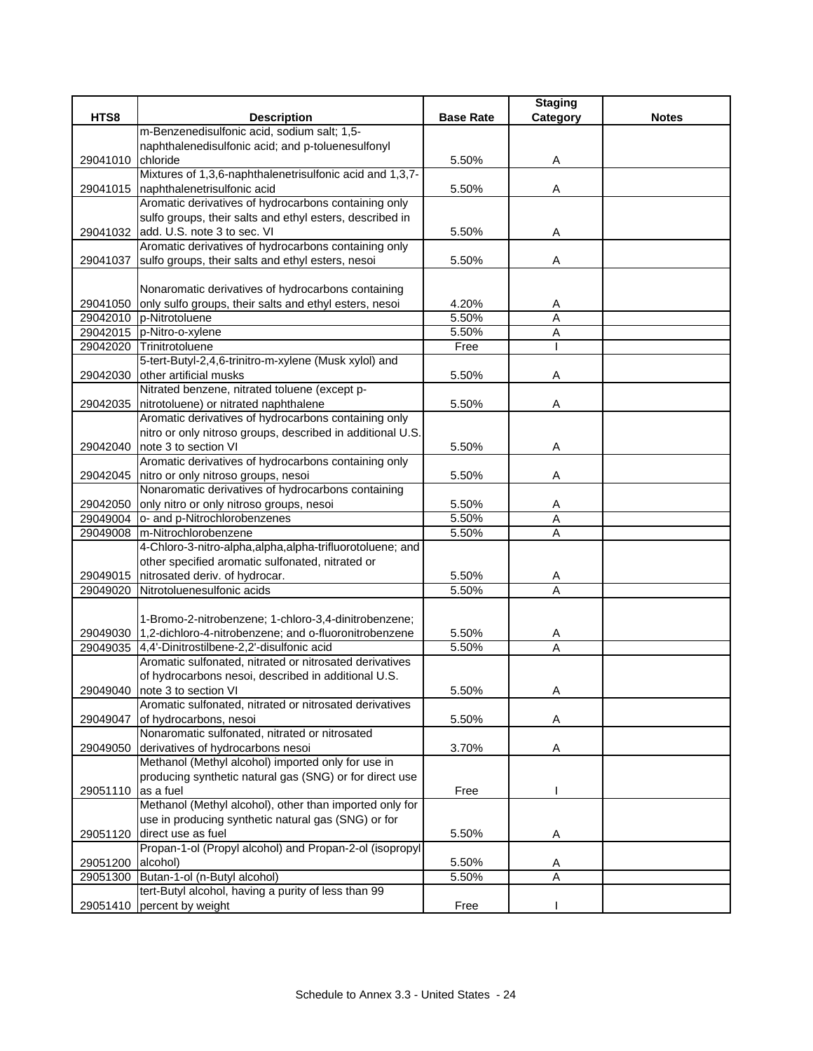|                    |                                                                |                  | <b>Staging</b> |              |
|--------------------|----------------------------------------------------------------|------------------|----------------|--------------|
| HTS8               | <b>Description</b>                                             | <b>Base Rate</b> | Category       | <b>Notes</b> |
|                    | m-Benzenedisulfonic acid, sodium salt; 1,5-                    |                  |                |              |
|                    | naphthalenedisulfonic acid; and p-toluenesulfonyl              |                  |                |              |
| 29041010           | chloride                                                       | 5.50%            | Α              |              |
|                    | Mixtures of 1,3,6-naphthalenetrisulfonic acid and 1,3,7-       |                  |                |              |
|                    | 29041015   naphthalenetrisulfonic acid                         | 5.50%            | Α              |              |
|                    | Aromatic derivatives of hydrocarbons containing only           |                  |                |              |
|                    | sulfo groups, their salts and ethyl esters, described in       |                  |                |              |
|                    | 29041032 add. U.S. note 3 to sec. VI                           | 5.50%            | Α              |              |
|                    | Aromatic derivatives of hydrocarbons containing only           |                  |                |              |
| 29041037           | sulfo groups, their salts and ethyl esters, nesoi              | 5.50%            | Α              |              |
|                    |                                                                |                  |                |              |
|                    | Nonaromatic derivatives of hydrocarbons containing             |                  |                |              |
| 29041050           | only sulfo groups, their salts and ethyl esters, nesoi         | 4.20%            | Α              |              |
|                    | 29042010 p-Nitrotoluene                                        | 5.50%            | $\overline{A}$ |              |
|                    | 29042015 p-Nitro-o-xylene                                      | 5.50%            | A              |              |
|                    | 29042020 Trinitrotoluene                                       | Free             |                |              |
|                    | 5-tert-Butyl-2,4,6-trinitro-m-xylene (Musk xylol) and          |                  |                |              |
| 29042030           | other artificial musks                                         | 5.50%            | Α              |              |
|                    | Nitrated benzene, nitrated toluene (except p-                  |                  |                |              |
|                    | 29042035 nitrotoluene) or nitrated naphthalene                 | 5.50%            | Α              |              |
|                    | Aromatic derivatives of hydrocarbons containing only           |                  |                |              |
|                    | nitro or only nitroso groups, described in additional U.S.     |                  |                |              |
| 29042040           | note 3 to section VI                                           | 5.50%            | Α              |              |
|                    | Aromatic derivatives of hydrocarbons containing only           |                  |                |              |
|                    | 29042045 nitro or only nitroso groups, nesoi                   | 5.50%            | Α              |              |
|                    | Nonaromatic derivatives of hydrocarbons containing             |                  |                |              |
| 29042050           | only nitro or only nitroso groups, nesoi                       | 5.50%            | Α              |              |
| 29049004           | o- and p-Nitrochlorobenzenes                                   | 5.50%            | Α              |              |
| 29049008           | m-Nitrochlorobenzene                                           | 5.50%            | A              |              |
|                    | 4-Chloro-3-nitro-alpha, alpha, alpha-trifluorotoluene; and     |                  |                |              |
|                    | other specified aromatic sulfonated, nitrated or               |                  |                |              |
| 29049015           | nitrosated deriv. of hydrocar.                                 | 5.50%            | Α              |              |
| 29049020           | Nitrotoluenesulfonic acids                                     | 5.50%            | Α              |              |
|                    |                                                                |                  |                |              |
|                    | 1-Bromo-2-nitrobenzene; 1-chloro-3,4-dinitrobenzene;           |                  |                |              |
|                    | 29049030 1,2-dichloro-4-nitrobenzene; and o-fluoronitrobenzene | 5.50%            | A              |              |
| 29049035           | 4,4'-Dinitrostilbene-2,2'-disulfonic acid                      | 5.50%            | A              |              |
|                    | Aromatic sulfonated, nitrated or nitrosated derivatives        |                  |                |              |
|                    | of hydrocarbons nesoi, described in additional U.S.            |                  |                |              |
|                    | 29049040 note 3 to section VI                                  | 5.50%            | Α              |              |
|                    | Aromatic sulfonated, nitrated or nitrosated derivatives        |                  |                |              |
| 29049047           | of hydrocarbons, nesoi                                         | 5.50%            | Α              |              |
|                    | Nonaromatic sulfonated, nitrated or nitrosated                 |                  |                |              |
| 29049050           | derivatives of hydrocarbons nesoi                              | 3.70%            | Α              |              |
|                    | Methanol (Methyl alcohol) imported only for use in             |                  |                |              |
|                    | producing synthetic natural gas (SNG) or for direct use        |                  |                |              |
| 29051110 as a fuel |                                                                | Free             |                |              |
|                    | Methanol (Methyl alcohol), other than imported only for        |                  |                |              |
|                    | use in producing synthetic natural gas (SNG) or for            |                  |                |              |
| 29051120           | direct use as fuel                                             | 5.50%            | A              |              |
|                    | Propan-1-ol (Propyl alcohol) and Propan-2-ol (isopropyl        |                  |                |              |
| 29051200           | alcohol)                                                       | 5.50%            | Α              |              |
| 29051300           | Butan-1-ol (n-Butyl alcohol)                                   | 5.50%            | Α              |              |
|                    | tert-Butyl alcohol, having a purity of less than 99            |                  |                |              |
|                    | 29051410 percent by weight                                     | Free             |                |              |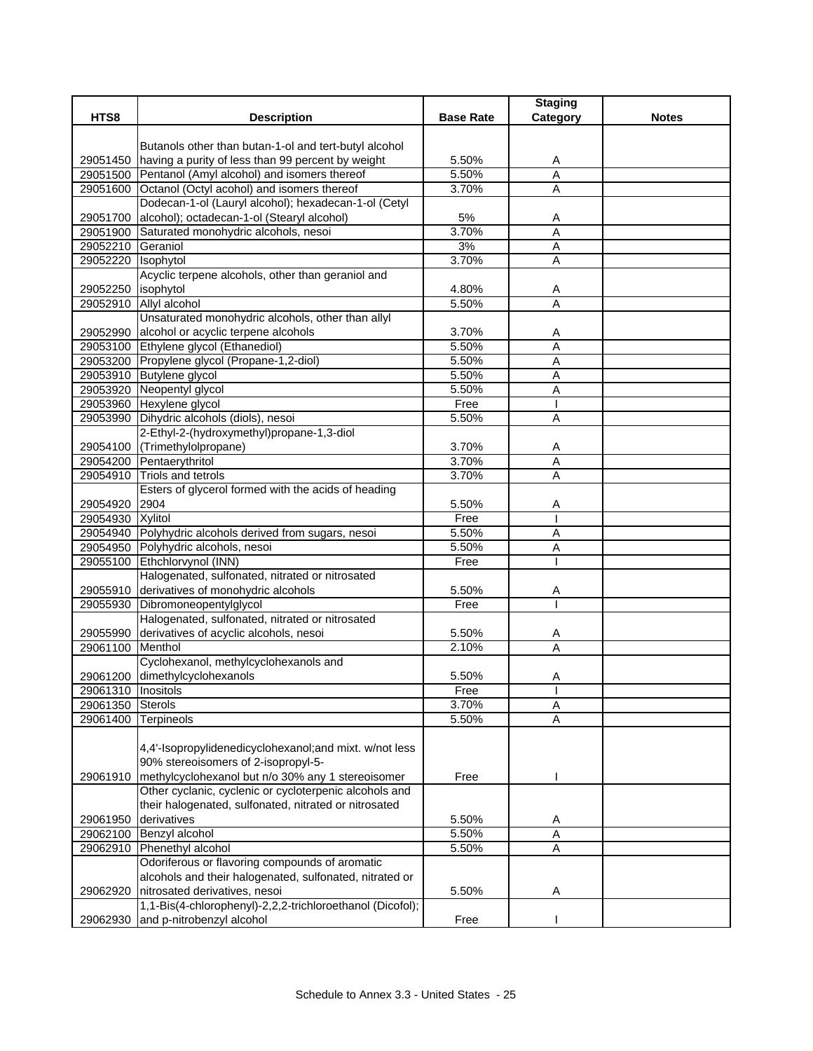|                      |                                                            |                  | <b>Staging</b> |              |
|----------------------|------------------------------------------------------------|------------------|----------------|--------------|
| HTS8                 | <b>Description</b>                                         | <b>Base Rate</b> | Category       | <b>Notes</b> |
|                      | Butanols other than butan-1-ol and tert-butyl alcohol      |                  |                |              |
|                      | 29051450 having a purity of less than 99 percent by weight | 5.50%            | A              |              |
|                      | 29051500 Pentanol (Amyl alcohol) and isomers thereof       | 5.50%            | A              |              |
|                      | 29051600 Octanol (Octyl acohol) and isomers thereof        | 3.70%            | A              |              |
|                      | Dodecan-1-ol (Lauryl alcohol); hexadecan-1-ol (Cetyl       |                  |                |              |
| 29051700             | alcohol); octadecan-1-ol (Stearyl alcohol)                 | 5%               | A              |              |
|                      | 29051900 Saturated monohydric alcohols, nesoi              | 3.70%            | A              |              |
| 29052210 Geraniol    |                                                            | 3%               | A              |              |
| 29052220 Isophytol   |                                                            | 3.70%            | $\overline{A}$ |              |
|                      | Acyclic terpene alcohols, other than geraniol and          |                  |                |              |
| 29052250             | isophytol                                                  | 4.80%            | A              |              |
| 29052910             | Allyl alcohol                                              | 5.50%            | $\overline{A}$ |              |
|                      | Unsaturated monohydric alcohols, other than allyl          |                  |                |              |
| 29052990             | alcohol or acyclic terpene alcohols                        | 3.70%            | A              |              |
|                      | 29053100 Ethylene glycol (Ethanediol)                      | 5.50%            | A              |              |
|                      | 29053200 Propylene glycol (Propane-1,2-diol)               | 5.50%            | Α              |              |
|                      | 29053910 Butylene glycol                                   | 5.50%            | Α              |              |
|                      | 29053920 Neopentyl glycol                                  | 5.50%            | A              |              |
|                      | 29053960 Hexylene glycol                                   | Free             | T              |              |
|                      | 29053990 Dihydric alcohols (diols), nesoi                  | 5.50%            | Α              |              |
|                      | 2-Ethyl-2-(hydroxymethyl)propane-1,3-diol                  |                  |                |              |
|                      | 29054100 (Trimethylolpropane)                              | 3.70%            | A              |              |
|                      | 29054200 Pentaerythritol                                   | 3.70%            | $\overline{A}$ |              |
| 29054910             | <b>Triols and tetrols</b>                                  | 3.70%            | $\overline{A}$ |              |
|                      | Esters of glycerol formed with the acids of heading        |                  |                |              |
| 29054920             | 2904                                                       | 5.50%<br>Free    | A              |              |
| 29054930 Xylitol     | 29054940 Polyhydric alcohols derived from sugars, nesoi    | 5.50%            | A              |              |
|                      | 29054950 Polyhydric alcohols, nesoi                        | 5.50%            | Α              |              |
|                      | 29055100 Ethchlorvynol (INN)                               | Free             |                |              |
|                      | Halogenated, sulfonated, nitrated or nitrosated            |                  |                |              |
|                      | 29055910 derivatives of monohydric alcohols                | 5.50%            | A              |              |
|                      | 29055930 Dibromoneopentylglycol                            | Free             |                |              |
|                      | Halogenated, sulfonated, nitrated or nitrosated            |                  |                |              |
| 29055990             | derivatives of acyclic alcohols, nesoi                     | 5.50%            | A              |              |
| 29061100             | Menthol                                                    | 2.10%            | A              |              |
|                      | Cyclohexanol, methylcyclohexanols and                      |                  |                |              |
|                      | 29061200 dimethylcyclohexanols                             | 5.50%            | Α              |              |
| 29061310   Inositols |                                                            | Free             |                |              |
| 29061350 Sterols     |                                                            | 3.70%            | Α              |              |
| 29061400 Terpineols  |                                                            | 5.50%            | A              |              |
|                      |                                                            |                  |                |              |
|                      | 4,4'-Isopropylidenedicyclohexanol; and mixt. w/not less    |                  |                |              |
|                      | 90% stereoisomers of 2-isopropyl-5-                        |                  |                |              |
| 29061910             | methylcyclohexanol but n/o 30% any 1 stereoisomer          | Free             |                |              |
|                      | Other cyclanic, cyclenic or cycloterpenic alcohols and     |                  |                |              |
|                      | their halogenated, sulfonated, nitrated or nitrosated      |                  |                |              |
| 29061950             | derivatives                                                | 5.50%            | A              |              |
| 29062100             | Benzyl alcohol                                             | 5.50%            | $\overline{A}$ |              |
| 29062910             | Phenethyl alcohol                                          | 5.50%            | A              |              |
|                      | Odoriferous or flavoring compounds of aromatic             |                  |                |              |
|                      | alcohols and their halogenated, sulfonated, nitrated or    |                  |                |              |
| 29062920             | nitrosated derivatives, nesoi                              | 5.50%            | Α              |              |
|                      | 1,1-Bis(4-chlorophenyl)-2,2,2-trichloroethanol (Dicofol);  |                  |                |              |
| 29062930             | and p-nitrobenzyl alcohol                                  | Free             |                |              |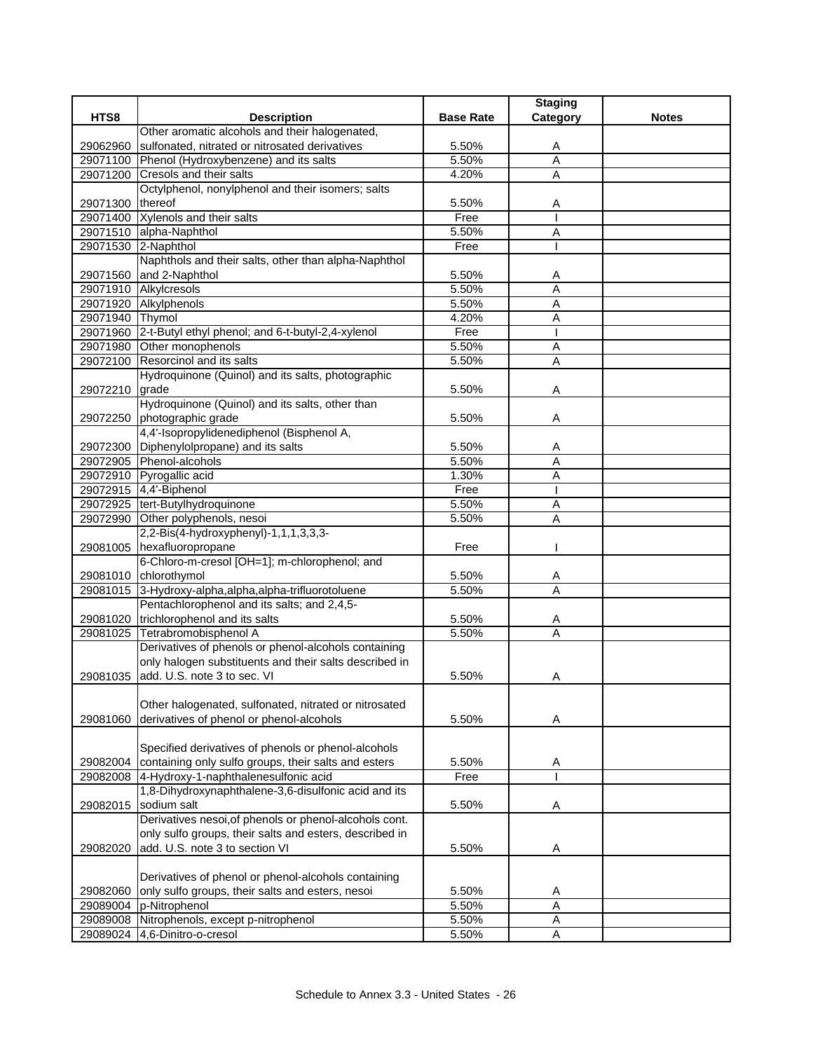|                 |                                                            |                  | <b>Staging</b>            |              |
|-----------------|------------------------------------------------------------|------------------|---------------------------|--------------|
| HTS8            | <b>Description</b>                                         | <b>Base Rate</b> | Category                  | <b>Notes</b> |
|                 | Other aromatic alcohols and their halogenated,             |                  |                           |              |
| 29062960        | sulfonated, nitrated or nitrosated derivatives             | 5.50%            | Α                         |              |
|                 | 29071100 Phenol (Hydroxybenzene) and its salts             | 5.50%            | A                         |              |
|                 | 29071200 Cresols and their salts                           | 4.20%            | $\overline{A}$            |              |
|                 | Octylphenol, nonylphenol and their isomers; salts          |                  |                           |              |
| 29071300        | thereof                                                    | 5.50%            | Α                         |              |
|                 | 29071400 Xylenols and their salts                          | Free             |                           |              |
|                 | 29071510 alpha-Naphthol                                    | 5.50%            | Α                         |              |
|                 | 29071530 2-Naphthol                                        | Free             |                           |              |
|                 | Naphthols and their salts, other than alpha-Naphthol       |                  |                           |              |
|                 | 29071560 and 2-Naphthol                                    | 5.50%            | Α                         |              |
|                 | 29071910 Alkylcresols                                      | 5.50%            | A                         |              |
|                 | 29071920 Alkylphenols                                      | 5.50%            | A                         |              |
| 29071940 Thymol |                                                            | 4.20%            | $\overline{A}$            |              |
|                 | 29071960 2-t-Butyl ethyl phenol; and 6-t-butyl-2,4-xylenol | Free             |                           |              |
|                 | 29071980 Other monophenols                                 | 5.50%            | A                         |              |
|                 | 29072100 Resorcinol and its salts                          | 5.50%            | A                         |              |
|                 | Hydroquinone (Quinol) and its salts, photographic          |                  |                           |              |
| 29072210 grade  |                                                            | 5.50%            | A                         |              |
|                 | Hydroquinone (Quinol) and its salts, other than            |                  |                           |              |
|                 | 29072250 photographic grade                                | 5.50%            | Α                         |              |
|                 | 4,4'-Isopropylidenediphenol (Bisphenol A,                  |                  |                           |              |
|                 | 29072300 Diphenylolpropane) and its salts                  | 5.50%            | A                         |              |
|                 | 29072905 Phenol-alcohols                                   | 5.50%            | A                         |              |
|                 | 29072910 Pyrogallic acid                                   | 1.30%            | A                         |              |
|                 | 29072915 4,4'-Biphenol                                     | Free             |                           |              |
|                 | 29072925 tert-Butylhydroquinone                            | 5.50%            | Α                         |              |
|                 | 29072990 Other polyphenols, nesoi                          | 5.50%            | Α                         |              |
|                 | 2,2-Bis(4-hydroxyphenyl)-1,1,1,3,3,3-                      |                  |                           |              |
|                 | 29081005 hexafluoropropane                                 | Free             |                           |              |
|                 | 6-Chloro-m-cresol [OH=1]; m-chlorophenol; and              |                  |                           |              |
|                 | 29081010 chlorothymol                                      | 5.50%            | A                         |              |
|                 | 29081015 3-Hydroxy-alpha, alpha, alpha-trifluorotoluene    | 5.50%            | $\overline{A}$            |              |
|                 | Pentachlorophenol and its salts; and 2,4,5-                |                  |                           |              |
|                 | 29081020 trichlorophenol and its salts                     | 5.50%            | A                         |              |
|                 | 29081025 Tetrabromobisphenol A                             | 5.50%            | A                         |              |
|                 | Derivatives of phenols or phenol-alcohols containing       |                  |                           |              |
|                 | only halogen substituents and their salts described in     |                  |                           |              |
| 29081035        | add. U.S. note 3 to sec. VI                                | 5.50%            | Α                         |              |
|                 |                                                            |                  |                           |              |
|                 | Other halogenated, sulfonated, nitrated or nitrosated      |                  |                           |              |
| 29081060        | derivatives of phenol or phenol-alcohols                   | 5.50%            | Α                         |              |
|                 |                                                            |                  |                           |              |
|                 | Specified derivatives of phenols or phenol-alcohols        |                  |                           |              |
| 29082004        | containing only sulfo groups, their salts and esters       | 5.50%            | A                         |              |
|                 | 29082008 4-Hydroxy-1-naphthalenesulfonic acid              | Free             |                           |              |
|                 | 1,8-Dihydroxynaphthalene-3,6-disulfonic acid and its       |                  |                           |              |
| 29082015        | sodium salt                                                | 5.50%            | Α                         |              |
|                 | Derivatives nesoi, of phenols or phenol-alcohols cont.     |                  |                           |              |
|                 | only sulfo groups, their salts and esters, described in    |                  |                           |              |
| 29082020        | add. U.S. note 3 to section VI                             | 5.50%            | Α                         |              |
|                 |                                                            |                  |                           |              |
|                 | Derivatives of phenol or phenol-alcohols containing        |                  |                           |              |
| 29082060        | only sulfo groups, their salts and esters, nesoi           | 5.50%            | A                         |              |
| 29089004        | p-Nitrophenol                                              | 5.50%            | A                         |              |
| 29089008        | Nitrophenols, except p-nitrophenol                         | 5.50%            | $\boldsymbol{\mathsf{A}}$ |              |
| 29089024        | 4,6-Dinitro-o-cresol                                       | 5.50%            | Α                         |              |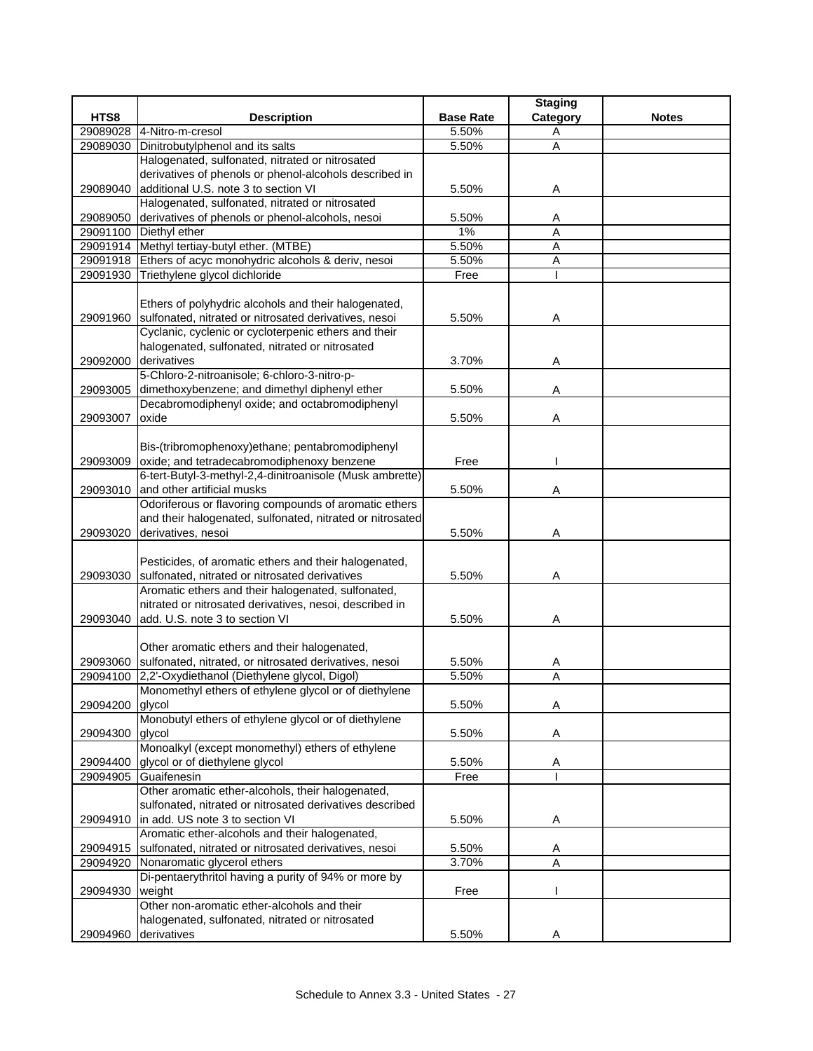|                      |                                                            |                  | <b>Staging</b> |              |
|----------------------|------------------------------------------------------------|------------------|----------------|--------------|
| HTS8                 | <b>Description</b>                                         | <b>Base Rate</b> | Category       | <b>Notes</b> |
| 29089028             | 4-Nitro-m-cresol                                           | 5.50%            | Α              |              |
| 29089030             | Dinitrobutylphenol and its salts                           | 5.50%            | Α              |              |
|                      | Halogenated, sulfonated, nitrated or nitrosated            |                  |                |              |
|                      | derivatives of phenols or phenol-alcohols described in     |                  |                |              |
| 29089040             | additional U.S. note 3 to section VI                       | 5.50%            | A              |              |
|                      | Halogenated, sulfonated, nitrated or nitrosated            |                  |                |              |
| 29089050             | derivatives of phenols or phenol-alcohols, nesoi           | 5.50%            | A              |              |
| 29091100             | Diethyl ether                                              | 1%               | A              |              |
|                      | 29091914 Methyl tertiay-butyl ether. (MTBE)                | 5.50%            | A              |              |
|                      | 29091918 Ethers of acyc monohydric alcohols & deriv, nesoi | 5.50%            | Α              |              |
|                      | 29091930 Triethylene glycol dichloride                     | Free             |                |              |
|                      |                                                            |                  |                |              |
|                      | Ethers of polyhydric alcohols and their halogenated,       |                  |                |              |
| 29091960             | sulfonated, nitrated or nitrosated derivatives, nesoi      | 5.50%            | Α              |              |
|                      | Cyclanic, cyclenic or cycloterpenic ethers and their       |                  |                |              |
|                      | halogenated, sulfonated, nitrated or nitrosated            |                  |                |              |
| 29092000             | derivatives                                                | 3.70%            | A              |              |
|                      | 5-Chloro-2-nitroanisole; 6-chloro-3-nitro-p-               |                  |                |              |
| 29093005             | dimethoxybenzene; and dimethyl diphenyl ether              | 5.50%            | Α              |              |
|                      | Decabromodiphenyl oxide; and octabromodiphenyl             |                  |                |              |
| 29093007             | oxide                                                      | 5.50%            | Α              |              |
|                      |                                                            |                  |                |              |
|                      | Bis-(tribromophenoxy)ethane; pentabromodiphenyl            |                  |                |              |
| 29093009             | oxide; and tetradecabromodiphenoxy benzene                 | Free             |                |              |
|                      | 6-tert-Butyl-3-methyl-2,4-dinitroanisole (Musk ambrette)   |                  |                |              |
| 29093010             | and other artificial musks                                 | 5.50%            | Α              |              |
|                      | Odoriferous or flavoring compounds of aromatic ethers      |                  |                |              |
|                      | and their halogenated, sulfonated, nitrated or nitrosated  |                  |                |              |
| 29093020             | derivatives, nesoi                                         | 5.50%            | Α              |              |
|                      |                                                            |                  |                |              |
|                      | Pesticides, of aromatic ethers and their halogenated,      |                  |                |              |
| 29093030             | sulfonated, nitrated or nitrosated derivatives             | 5.50%            | Α              |              |
|                      | Aromatic ethers and their halogenated, sulfonated,         |                  |                |              |
|                      | nitrated or nitrosated derivatives, nesoi, described in    |                  |                |              |
| 29093040             | add. U.S. note 3 to section VI                             | 5.50%            | Α              |              |
|                      | Other aromatic ethers and their halogenated,               |                  |                |              |
|                      | sulfonated, nitrated, or nitrosated derivatives, nesoi     | 5.50%            |                |              |
| 29093060<br>29094100 | 2,2'-Oxydiethanol (Diethylene glycol, Digol)               | 5.50%            | A<br>A         |              |
|                      | Monomethyl ethers of ethylene glycol or of diethylene      |                  |                |              |
| 29094200             | qlycol                                                     | 5.50%            | Α              |              |
|                      | Monobutyl ethers of ethylene glycol or of diethylene       |                  |                |              |
| 29094300             | glycol                                                     | 5.50%            | A              |              |
|                      | Monoalkyl (except monomethyl) ethers of ethylene           |                  |                |              |
| 29094400             | glycol or of diethylene glycol                             | 5.50%            | Α              |              |
|                      | 29094905 Guaifenesin                                       | Free             |                |              |
|                      | Other aromatic ether-alcohols, their halogenated,          |                  |                |              |
|                      | sulfonated, nitrated or nitrosated derivatives described   |                  |                |              |
| 29094910             | in add. US note 3 to section VI                            | 5.50%            | Α              |              |
|                      | Aromatic ether-alcohols and their halogenated,             |                  |                |              |
| 29094915             | sulfonated, nitrated or nitrosated derivatives, nesoi      | 5.50%            | A              |              |
| 29094920             | Nonaromatic glycerol ethers                                | 3.70%            | A              |              |
|                      | Di-pentaerythritol having a purity of 94% or more by       |                  |                |              |
| 29094930             | weight                                                     | Free             |                |              |
|                      | Other non-aromatic ether-alcohols and their                |                  |                |              |
|                      | halogenated, sulfonated, nitrated or nitrosated            |                  |                |              |
| 29094960             | derivatives                                                | 5.50%            | Α              |              |
|                      |                                                            |                  |                |              |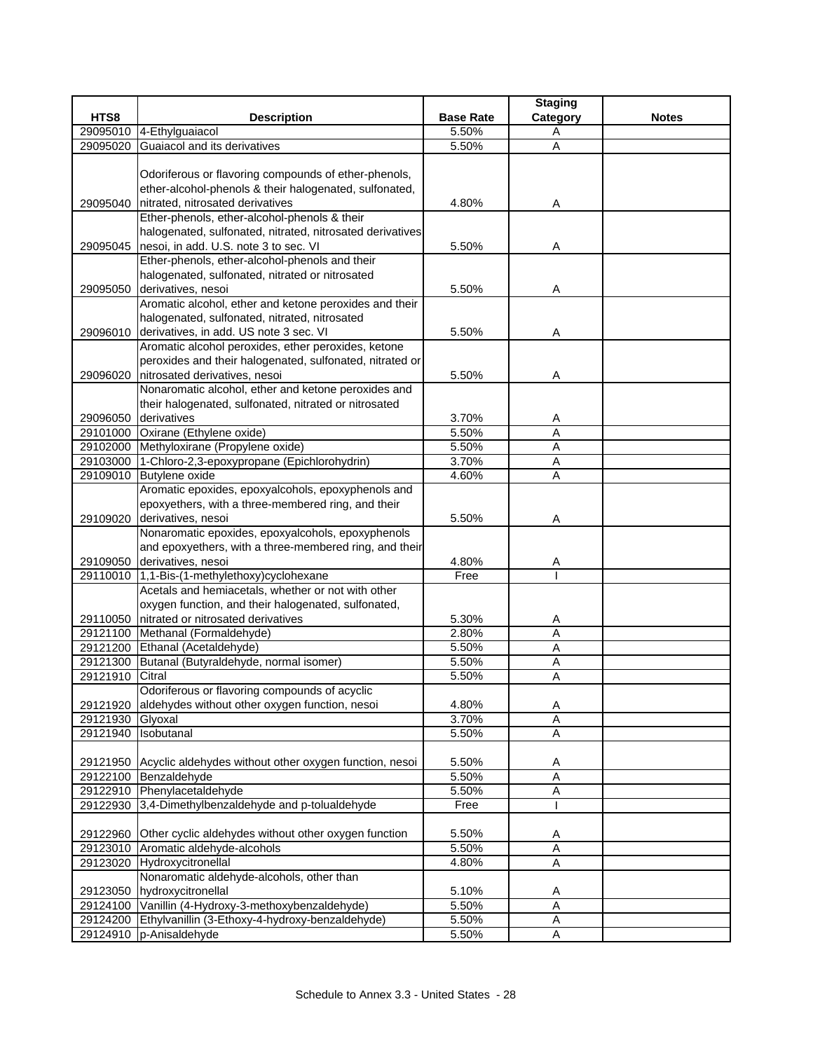|          |                                                                                    |                  | <b>Staging</b> |              |
|----------|------------------------------------------------------------------------------------|------------------|----------------|--------------|
| HTS8     | <b>Description</b>                                                                 | <b>Base Rate</b> | Category       | <b>Notes</b> |
|          | 29095010 4-Ethylguaiacol                                                           | 5.50%            | Α              |              |
| 29095020 | Guaiacol and its derivatives                                                       | 5.50%            | Α              |              |
|          |                                                                                    |                  |                |              |
|          | Odoriferous or flavoring compounds of ether-phenols,                               |                  |                |              |
|          | ether-alcohol-phenols & their halogenated, sulfonated,                             |                  |                |              |
| 29095040 | nitrated, nitrosated derivatives                                                   | 4.80%            | Α              |              |
|          | Ether-phenols, ether-alcohol-phenols & their                                       |                  |                |              |
|          | halogenated, sulfonated, nitrated, nitrosated derivatives                          |                  |                |              |
| 29095045 | nesoi, in add. U.S. note 3 to sec. VI                                              | 5.50%            | Α              |              |
|          | Ether-phenols, ether-alcohol-phenols and their                                     |                  |                |              |
|          | halogenated, sulfonated, nitrated or nitrosated                                    |                  |                |              |
| 29095050 | derivatives, nesoi                                                                 | 5.50%            | Α              |              |
|          | Aromatic alcohol, ether and ketone peroxides and their                             |                  |                |              |
|          | halogenated, sulfonated, nitrated, nitrosated                                      |                  |                |              |
|          | 29096010 derivatives, in add. US note 3 sec. VI                                    | 5.50%            | Α              |              |
|          | Aromatic alcohol peroxides, ether peroxides, ketone                                |                  |                |              |
|          | peroxides and their halogenated, sulfonated, nitrated or                           |                  |                |              |
| 29096020 | nitrosated derivatives, nesoi                                                      | 5.50%            | Α              |              |
|          | Nonaromatic alcohol, ether and ketone peroxides and                                |                  |                |              |
|          | their halogenated, sulfonated, nitrated or nitrosated                              |                  |                |              |
|          | 29096050 derivatives                                                               | 3.70%            | Α              |              |
|          | 29101000 Oxirane (Ethylene oxide)                                                  | 5.50%            | A              |              |
|          | 29102000 Methyloxirane (Propylene oxide)                                           | 5.50%            | Α              |              |
|          | 29103000 1-Chloro-2,3-epoxypropane (Epichlorohydrin)                               | 3.70%            | A              |              |
|          | 29109010 Butylene oxide                                                            | 4.60%            | A              |              |
|          | Aromatic epoxides, epoxyalcohols, epoxyphenols and                                 |                  |                |              |
|          | epoxyethers, with a three-membered ring, and their                                 |                  |                |              |
| 29109020 | derivatives, nesoi                                                                 | 5.50%            | Α              |              |
|          | Nonaromatic epoxides, epoxyalcohols, epoxyphenols                                  |                  |                |              |
|          | and epoxyethers, with a three-membered ring, and their                             |                  |                |              |
|          | 29109050 derivatives, nesoi                                                        | 4.80%            | Α              |              |
|          | 29110010 1,1-Bis-(1-methylethoxy)cyclohexane                                       | Free             |                |              |
|          | Acetals and hemiacetals, whether or not with other                                 |                  |                |              |
|          | oxygen function, and their halogenated, sulfonated,                                |                  |                |              |
|          | 29110050 nitrated or nitrosated derivatives                                        | 5.30%            | A              |              |
|          | 29121100 Methanal (Formaldehyde)                                                   | 2.80%            | $\overline{A}$ |              |
|          | 29121200 Ethanal (Acetaldehyde)<br>29121300 Butanal (Butyraldehyde, normal isomer) | 5.50%<br>5.50%   | Α              |              |
| 29121910 | Citral                                                                             | 5.50%            | Α<br>A         |              |
|          | Odoriferous or flavoring compounds of acyclic                                      |                  |                |              |
| 29121920 | aldehydes without other oxygen function, nesoi                                     | 4.80%            | A              |              |
| 29121930 | Glyoxal                                                                            | 3.70%            | A              |              |
| 29121940 | Isobutanal                                                                         | 5.50%            | Α              |              |
|          |                                                                                    |                  |                |              |
|          | 29121950 Acyclic aldehydes without other oxygen function, nesoi                    | 5.50%            | A              |              |
|          | 29122100 Benzaldehyde                                                              | 5.50%            | $\overline{A}$ |              |
|          | 29122910 Phenylacetaldehyde                                                        | 5.50%            | A              |              |
|          | 29122930 3,4-Dimethylbenzaldehyde and p-tolualdehyde                               | Free             |                |              |
|          |                                                                                    |                  |                |              |
|          | 29122960 Other cyclic aldehydes without other oxygen function                      | 5.50%            | A              |              |
| 29123010 | Aromatic aldehyde-alcohols                                                         | 5.50%            | $\overline{A}$ |              |
|          | 29123020 Hydroxycitronellal                                                        | 4.80%            | Α              |              |
|          | Nonaromatic aldehyde-alcohols, other than                                          |                  |                |              |
|          | 29123050 hydroxycitronellal                                                        | 5.10%            | Α              |              |
| 29124100 | Vanillin (4-Hydroxy-3-methoxybenzaldehyde)                                         | 5.50%            | $\overline{A}$ |              |
| 29124200 | Ethylvanillin (3-Ethoxy-4-hydroxy-benzaldehyde)                                    | 5.50%            | A              |              |
|          | 29124910 p-Anisaldehyde                                                            | 5.50%            | Α              |              |
|          |                                                                                    |                  |                |              |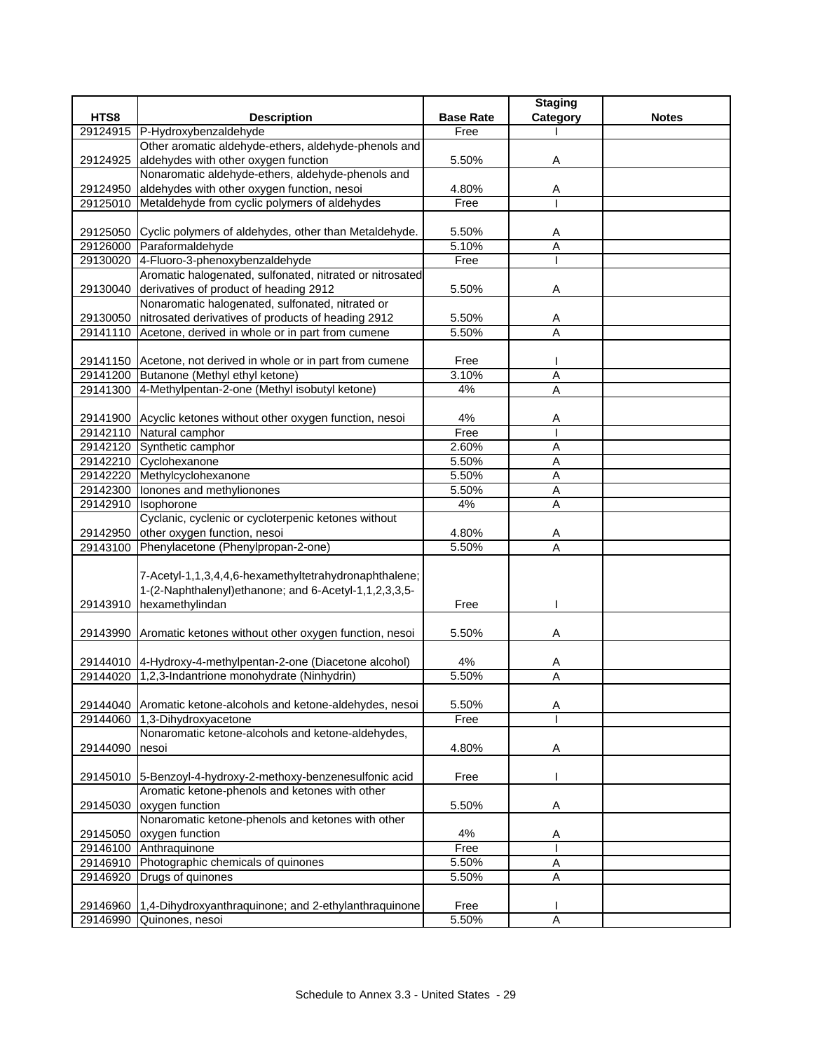|          |                                                                                                |                  | <b>Staging</b> |              |
|----------|------------------------------------------------------------------------------------------------|------------------|----------------|--------------|
| HTS8     | <b>Description</b>                                                                             | <b>Base Rate</b> | Category       | <b>Notes</b> |
|          | 29124915 P-Hydroxybenzaldehyde                                                                 | Free             |                |              |
|          | Other aromatic aldehyde-ethers, aldehyde-phenols and                                           |                  |                |              |
| 29124925 | aldehydes with other oxygen function                                                           | 5.50%            | Α              |              |
|          | Nonaromatic aldehyde-ethers, aldehyde-phenols and                                              |                  |                |              |
| 29124950 | aldehydes with other oxygen function, nesoi                                                    | 4.80%            | Α              |              |
|          | 29125010 Metaldehyde from cyclic polymers of aldehydes                                         | Free             |                |              |
|          |                                                                                                |                  |                |              |
|          | 29125050 Cyclic polymers of aldehydes, other than Metaldehyde.                                 | 5.50%            | Α              |              |
|          | 29126000 Paraformaldehyde<br>29130020 4-Fluoro-3-phenoxybenzaldehyde                           | 5.10%            | $\overline{A}$ |              |
|          | Aromatic halogenated, sulfonated, nitrated or nitrosated                                       | Free             |                |              |
| 29130040 | derivatives of product of heading 2912                                                         | 5.50%            | Α              |              |
|          | Nonaromatic halogenated, sulfonated, nitrated or                                               |                  |                |              |
|          | 29130050 nitrosated derivatives of products of heading 2912                                    | 5.50%            | Α              |              |
|          | 29141110 Acetone, derived in whole or in part from cumene                                      | 5.50%            | A              |              |
|          |                                                                                                |                  |                |              |
|          | 29141150 Acetone, not derived in whole or in part from cumene                                  | Free             |                |              |
|          | 29141200 Butanone (Methyl ethyl ketone)                                                        | 3.10%            | A              |              |
|          | 29141300 4-Methylpentan-2-one (Methyl isobutyl ketone)                                         | 4%               | A              |              |
|          |                                                                                                |                  |                |              |
|          | 29141900 Acyclic ketones without other oxygen function, nesoi                                  | 4%               | Α              |              |
|          | 29142110 Natural camphor                                                                       | Free             |                |              |
|          | 29142120 Synthetic camphor                                                                     | 2.60%            | Α              |              |
|          | 29142210 Cyclohexanone                                                                         | 5.50%            | A              |              |
|          | 29142220 Methylcyclohexanone                                                                   | 5.50%            | A              |              |
|          | 29142300 Ionones and methylionones                                                             | 5.50%            | A              |              |
| 29142910 | Isophorone                                                                                     | 4%               | Α              |              |
|          | Cyclanic, cyclenic or cycloterpenic ketones without                                            |                  |                |              |
|          | 29142950 other oxygen function, nesoi                                                          | 4.80%            | Α              |              |
|          | 29143100 Phenylacetone (Phenylpropan-2-one)                                                    | 5.50%            | A              |              |
|          |                                                                                                |                  |                |              |
|          | 7-Acetyl-1,1,3,4,4,6-hexamethyltetrahydronaphthalene;                                          |                  |                |              |
|          | 1-(2-Naphthalenyl)ethanone; and 6-Acetyl-1,1,2,3,3,5-                                          |                  |                |              |
| 29143910 | hexamethylindan                                                                                | Free             |                |              |
|          |                                                                                                |                  |                |              |
|          | 29143990 Aromatic ketones without other oxygen function, nesoi                                 | 5.50%            | Α              |              |
|          |                                                                                                |                  |                |              |
|          | 29144010 4-Hydroxy-4-methylpentan-2-one (Diacetone alcohol)                                    | 4%               | A              |              |
|          | 29144020 1,2,3-Indantrione monohydrate (Ninhydrin)                                             | 5.50%            | Α              |              |
|          |                                                                                                |                  |                |              |
|          | 29144040 Aromatic ketone-alcohols and ketone-aldehydes, nesoi<br>29144060 1,3-Dihydroxyacetone | 5.50%            | Α              |              |
|          | Nonaromatic ketone-alcohols and ketone-aldehydes,                                              | Free             |                |              |
| 29144090 | nesoi                                                                                          | 4.80%            | Α              |              |
|          |                                                                                                |                  |                |              |
|          | 29145010 5-Benzoyl-4-hydroxy-2-methoxy-benzenesulfonic acid                                    | Free             |                |              |
|          | Aromatic ketone-phenols and ketones with other                                                 |                  |                |              |
| 29145030 | oxygen function                                                                                | 5.50%            | Α              |              |
|          | Nonaromatic ketone-phenols and ketones with other                                              |                  |                |              |
| 29145050 | oxygen function                                                                                | 4%               | Α              |              |
|          | 29146100 Anthraquinone                                                                         | Free             |                |              |
|          | 29146910 Photographic chemicals of quinones                                                    | 5.50%            | Α              |              |
| 29146920 | Drugs of quinones                                                                              | 5.50%            | Α              |              |
|          |                                                                                                |                  |                |              |
|          | 29146960 1,4-Dihydroxyanthraquinone; and 2-ethylanthraquinone                                  | Free             |                |              |
|          | 29146990 Quinones, nesoi                                                                       | 5.50%            | $\overline{A}$ |              |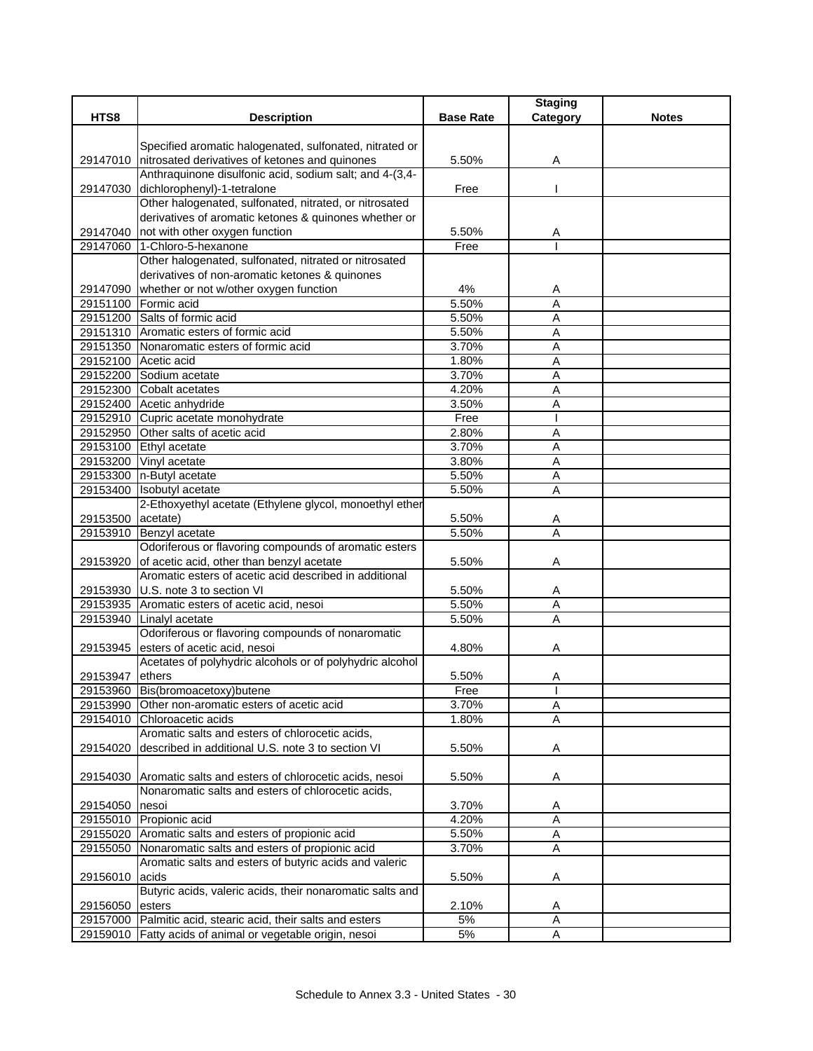|                   |                                                                                                                      |                  | <b>Staging</b>      |              |
|-------------------|----------------------------------------------------------------------------------------------------------------------|------------------|---------------------|--------------|
| HTS8              | <b>Description</b>                                                                                                   | <b>Base Rate</b> | Category            | <b>Notes</b> |
|                   |                                                                                                                      |                  |                     |              |
|                   | Specified aromatic halogenated, sulfonated, nitrated or                                                              |                  |                     |              |
|                   | 29147010 nitrosated derivatives of ketones and quinones                                                              | 5.50%            | Α                   |              |
|                   | Anthraquinone disulfonic acid, sodium salt; and 4-(3,4-                                                              |                  |                     |              |
| 29147030          | dichlorophenyl)-1-tetralone                                                                                          | Free             |                     |              |
|                   | Other halogenated, sulfonated, nitrated, or nitrosated                                                               |                  |                     |              |
|                   | derivatives of aromatic ketones & quinones whether or                                                                | 5.50%            |                     |              |
|                   | 29147040 not with other oxygen function<br>29147060 1-Chloro-5-hexanone                                              |                  | A                   |              |
|                   | Other halogenated, sulfonated, nitrated or nitrosated                                                                | Free             |                     |              |
|                   |                                                                                                                      |                  |                     |              |
|                   | derivatives of non-aromatic ketones & quinones<br>29147090 whether or not w/other oxygen function                    | 4%               |                     |              |
|                   | 29151100 Formic acid                                                                                                 | 5.50%            | A                   |              |
|                   | 29151200 Salts of formic acid                                                                                        | 5.50%            | A<br>A              |              |
|                   | 29151310 Aromatic esters of formic acid                                                                              |                  |                     |              |
|                   |                                                                                                                      | 5.50%            | A                   |              |
|                   | 29151350 Nonaromatic esters of formic acid<br>29152100 Acetic acid                                                   | 3.70%<br>1.80%   | A                   |              |
|                   |                                                                                                                      |                  | Α                   |              |
|                   | 29152200 Sodium acetate                                                                                              | 3.70%            | Α                   |              |
|                   | 29152300 Cobalt acetates                                                                                             | 4.20%            | A                   |              |
|                   | 29152400 Acetic anhydride                                                                                            | 3.50%            | A                   |              |
|                   | 29152910 Cupric acetate monohydrate                                                                                  | Free             |                     |              |
|                   | 29152950 Other salts of acetic acid                                                                                  | 2.80%            | Α                   |              |
|                   | 29153100 Ethyl acetate                                                                                               | 3.70%            | A                   |              |
|                   | 29153200 Vinyl acetate                                                                                               | 3.80%            | A                   |              |
|                   | 29153300 n-Butyl acetate                                                                                             | 5.50%            | A                   |              |
| 29153400          | Isobutyl acetate                                                                                                     | 5.50%            | A                   |              |
|                   | 2-Ethoxyethyl acetate (Ethylene glycol, monoethyl ether                                                              |                  |                     |              |
| 29153500 acetate) |                                                                                                                      | 5.50%            | Α                   |              |
|                   | 29153910 Benzyl acetate                                                                                              | 5.50%            | $\overline{A}$      |              |
|                   | Odoriferous or flavoring compounds of aromatic esters                                                                |                  |                     |              |
|                   | 29153920 of acetic acid, other than benzyl acetate<br>Aromatic esters of acetic acid described in additional         | 5.50%            | Α                   |              |
|                   |                                                                                                                      |                  |                     |              |
|                   | 29153930 U.S. note 3 to section VI                                                                                   | 5.50%            | A                   |              |
|                   | 29153935 Aromatic esters of acetic acid, nesoi                                                                       | 5.50%            | A<br>$\overline{A}$ |              |
|                   | 29153940 Linalyl acetate                                                                                             | 5.50%            |                     |              |
|                   | Odoriferous or flavoring compounds of nonaromatic<br>29153945 esters of acetic acid, nesoi                           | 4.80%            |                     |              |
|                   | Acetates of polyhydric alcohols or of polyhydric alcohol                                                             |                  | Α                   |              |
|                   |                                                                                                                      |                  |                     |              |
| 29153947 ethers   | 29153960 Bis(bromoacetoxy)butene                                                                                     | 5.50%            | Α                   |              |
|                   |                                                                                                                      | Free             | л.                  |              |
|                   | 29153990 Other non-aromatic esters of acetic acid                                                                    | 3.70%            | Α                   |              |
|                   | 29154010 Chloroacetic acids<br>Aromatic salts and esters of chlorocetic acids,                                       | 1.80%            | Α                   |              |
|                   | described in additional U.S. note 3 to section VI                                                                    |                  |                     |              |
| 29154020          |                                                                                                                      | 5.50%            | Α                   |              |
|                   |                                                                                                                      |                  |                     |              |
|                   | 29154030 Aromatic salts and esters of chlorocetic acids, nesoi<br>Nonaromatic salts and esters of chlorocetic acids, | 5.50%            | Α                   |              |
|                   |                                                                                                                      |                  |                     |              |
| 29154050          | nesoi<br>29155010 Propionic acid                                                                                     | 3.70%<br>4.20%   | A<br>A              |              |
|                   | 29155020 Aromatic salts and esters of propionic acid                                                                 | 5.50%            | Α                   |              |
| 29155050          | Nonaromatic salts and esters of propionic acid                                                                       | 3.70%            |                     |              |
|                   | Aromatic salts and esters of butyric acids and valeric                                                               |                  | Α                   |              |
|                   | acids                                                                                                                | 5.50%            |                     |              |
| 29156010          | Butyric acids, valeric acids, their nonaromatic salts and                                                            |                  | Α                   |              |
|                   |                                                                                                                      |                  |                     |              |
| 29156050          | esters<br>29157000 Palmitic acid, stearic acid, their salts and esters                                               | 2.10%<br>$5%$    | Α                   |              |
|                   | 29159010 Fatty acids of animal or vegetable origin, nesoi                                                            | 5%               | Α<br>Α              |              |
|                   |                                                                                                                      |                  |                     |              |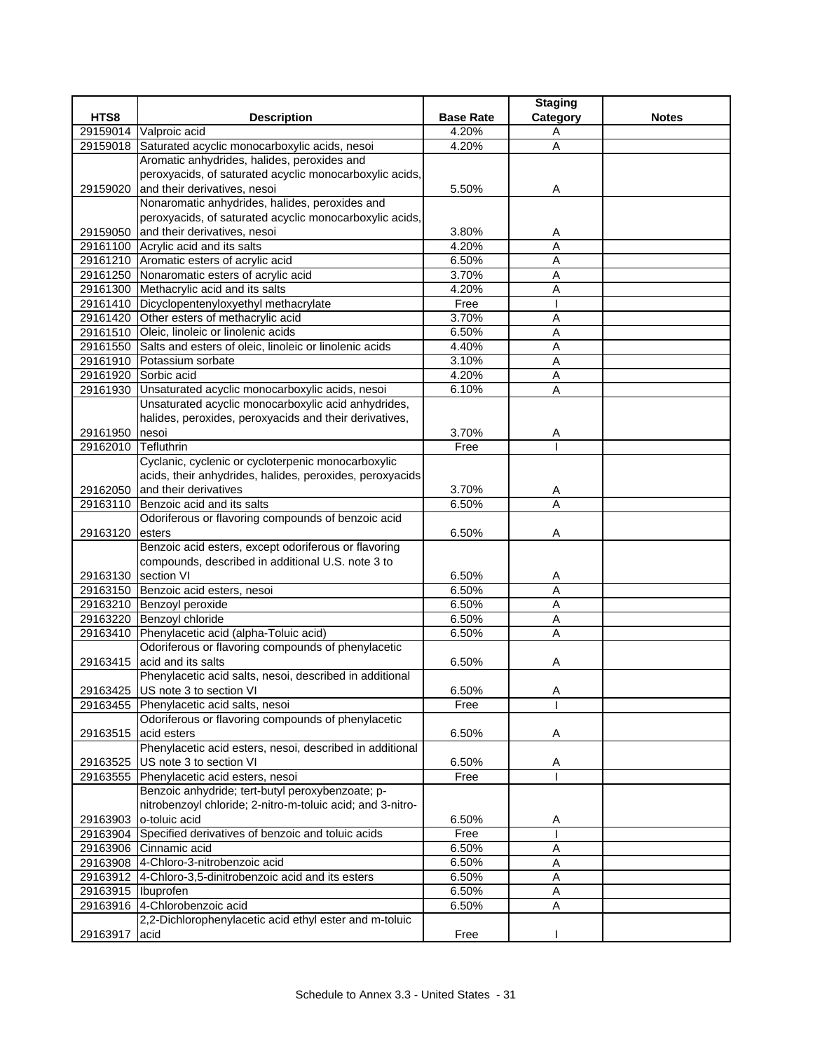|                      |                                                            |                  | <b>Staging</b> |              |
|----------------------|------------------------------------------------------------|------------------|----------------|--------------|
| HTS8                 | <b>Description</b>                                         | <b>Base Rate</b> | Category       | <b>Notes</b> |
|                      | 29159014 Valproic acid                                     | 4.20%            | A              |              |
|                      | 29159018 Saturated acyclic monocarboxylic acids, nesoi     | 4.20%            | A              |              |
|                      | Aromatic anhydrides, halides, peroxides and                |                  |                |              |
|                      | peroxyacids, of saturated acyclic monocarboxylic acids,    |                  |                |              |
| 29159020             | and their derivatives, nesoi                               | 5.50%            | Α              |              |
|                      | Nonaromatic anhydrides, halides, peroxides and             |                  |                |              |
|                      | peroxyacids, of saturated acyclic monocarboxylic acids,    |                  |                |              |
|                      | 29159050 and their derivatives, nesoi                      | 3.80%            | A              |              |
|                      | 29161100 Acrylic acid and its salts                        | 4.20%            | $\overline{A}$ |              |
|                      | 29161210 Aromatic esters of acrylic acid                   | 6.50%            | A              |              |
|                      | 29161250 Nonaromatic esters of acrylic acid                | 3.70%            | A              |              |
|                      | 29161300 Methacrylic acid and its salts                    | 4.20%            | A              |              |
|                      | 29161410 Dicyclopentenyloxyethyl methacrylate              | Free             |                |              |
|                      | 29161420 Other esters of methacrylic acid                  | 3.70%            | A              |              |
|                      | 29161510 Oleic, linoleic or linolenic acids                | 6.50%            | $\overline{A}$ |              |
| 29161550             | Salts and esters of oleic, linoleic or linolenic acids     | 4.40%            | A              |              |
| 29161910             | Potassium sorbate                                          | 3.10%            | A              |              |
|                      | 29161920 Sorbic acid                                       | 4.20%            | Α              |              |
|                      | 29161930 Unsaturated acyclic monocarboxylic acids, nesoi   | 6.10%            | Ā              |              |
|                      | Unsaturated acyclic monocarboxylic acid anhydrides,        |                  |                |              |
|                      | halides, peroxides, peroxyacids and their derivatives,     |                  |                |              |
| 29161950             | nesoi                                                      | 3.70%            | Α              |              |
| 29162010             | Tefluthrin                                                 | Free             |                |              |
|                      | Cyclanic, cyclenic or cycloterpenic monocarboxylic         |                  |                |              |
|                      | acids, their anhydrides, halides, peroxides, peroxyacids   |                  |                |              |
| 29162050             | and their derivatives                                      | 3.70%            | A              |              |
| 29163110             | Benzoic acid and its salts                                 | 6.50%            | A              |              |
|                      | Odoriferous or flavoring compounds of benzoic acid         |                  |                |              |
| 29163120             | esters                                                     | 6.50%            | Α              |              |
|                      | Benzoic acid esters, except odoriferous or flavoring       |                  |                |              |
|                      | compounds, described in additional U.S. note 3 to          |                  |                |              |
| 29163130 section VI  |                                                            | 6.50%            | A              |              |
|                      | 29163150 Benzoic acid esters, nesoi                        | 6.50%            | Α              |              |
|                      | 29163210 Benzoyl peroxide                                  | 6.50%            | A              |              |
|                      | 29163220 Benzoyl chloride                                  | 6.50%            | $\overline{A}$ |              |
|                      | 29163410 Phenylacetic acid (alpha-Toluic acid)             | 6.50%            | A              |              |
|                      | Odoriferous or flavoring compounds of phenylacetic         |                  |                |              |
|                      | 29163415 acid and its salts                                | 6.50%            | A              |              |
|                      | Phenylacetic acid salts, nesoi, described in additional    |                  |                |              |
|                      | 29163425 US note 3 to section VI                           | 6.50%            | Α              |              |
|                      | 29163455 Phenylacetic acid salts, nesoi                    | Free             |                |              |
|                      | Odoriferous or flavoring compounds of phenylacetic         |                  |                |              |
| 29163515             | acid esters                                                | 6.50%            | Α              |              |
|                      | Phenylacetic acid esters, nesoi, described in additional   |                  |                |              |
| 29163525             | US note 3 to section VI                                    | 6.50%            | Α              |              |
|                      | 29163555 Phenylacetic acid esters, nesoi                   | Free             |                |              |
|                      | Benzoic anhydride; tert-butyl peroxybenzoate; p-           |                  |                |              |
|                      | nitrobenzoyl chloride; 2-nitro-m-toluic acid; and 3-nitro- |                  |                |              |
|                      | 29163903 o-toluic acid                                     | 6.50%            | Α              |              |
|                      | 29163904 Specified derivatives of benzoic and toluic acids | Free             |                |              |
|                      | 29163906 Cinnamic acid                                     | 6.50%            | Α              |              |
|                      | 29163908 4-Chloro-3-nitrobenzoic acid                      | 6.50%            | Α              |              |
|                      | 29163912 4-Chloro-3,5-dinitrobenzoic acid and its esters   | 6.50%            | Α              |              |
| 29163915   Ibuprofen |                                                            | 6.50%            | Α              |              |
|                      | 29163916 4-Chlorobenzoic acid                              | 6.50%            | A              |              |
|                      | 2,2-Dichlorophenylacetic acid ethyl ester and m-toluic     |                  |                |              |
| 29163917             | acid                                                       | Free             |                |              |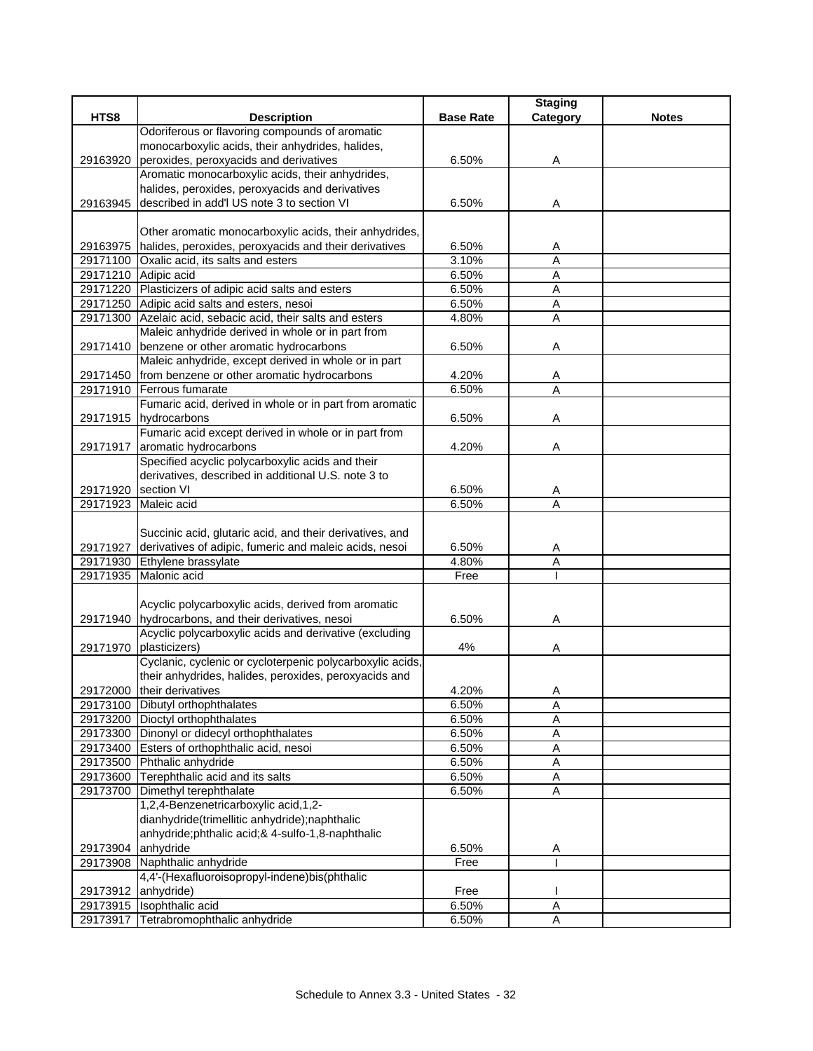|                     |                                                                                  |                  | <b>Staging</b> |              |
|---------------------|----------------------------------------------------------------------------------|------------------|----------------|--------------|
| HTS8                | <b>Description</b>                                                               | <b>Base Rate</b> | Category       | <b>Notes</b> |
|                     | Odoriferous or flavoring compounds of aromatic                                   |                  |                |              |
|                     | monocarboxylic acids, their anhydrides, halides,                                 |                  |                |              |
| 29163920            | peroxides, peroxyacids and derivatives                                           | 6.50%            | Α              |              |
|                     | Aromatic monocarboxylic acids, their anhydrides,                                 |                  |                |              |
|                     | halides, peroxides, peroxyacids and derivatives                                  |                  |                |              |
|                     | 29163945 described in add'l US note 3 to section VI                              | 6.50%            | A              |              |
|                     | Other aromatic monocarboxylic acids, their anhydrides,                           |                  |                |              |
|                     | 29163975 halides, peroxides, peroxyacids and their derivatives                   | 6.50%            |                |              |
|                     | 29171100 Oxalic acid, its salts and esters                                       | 3.10%            | A<br>A         |              |
|                     | 29171210 Adipic acid                                                             | 6.50%            | A              |              |
|                     | 29171220 Plasticizers of adipic acid salts and esters                            | 6.50%            | Α              |              |
|                     | 29171250 Adipic acid salts and esters, nesoi                                     | 6.50%            | Α              |              |
|                     | 29171300 Azelaic acid, sebacic acid, their salts and esters                      | 4.80%            | $\overline{A}$ |              |
|                     | Maleic anhydride derived in whole or in part from                                |                  |                |              |
|                     | 29171410 benzene or other aromatic hydrocarbons                                  | 6.50%            | Α              |              |
|                     | Maleic anhydride, except derived in whole or in part                             |                  |                |              |
|                     | 29171450 from benzene or other aromatic hydrocarbons                             | 4.20%            | A              |              |
|                     | 29171910 Ferrous fumarate                                                        | 6.50%            | A              |              |
|                     | Fumaric acid, derived in whole or in part from aromatic                          |                  |                |              |
|                     | 29171915 hydrocarbons                                                            | 6.50%            | Α              |              |
|                     | Fumaric acid except derived in whole or in part from                             |                  |                |              |
| 29171917            | aromatic hydrocarbons                                                            | 4.20%            | Α              |              |
|                     | Specified acyclic polycarboxylic acids and their                                 |                  |                |              |
|                     | derivatives, described in additional U.S. note 3 to                              |                  |                |              |
| 29171920 section VI |                                                                                  | 6.50%            | A              |              |
| 29171923            | Maleic acid                                                                      | 6.50%            | A              |              |
|                     |                                                                                  |                  |                |              |
|                     | Succinic acid, glutaric acid, and their derivatives, and                         |                  |                |              |
| 29171927            | derivatives of adipic, fumeric and maleic acids, nesoi                           | 6.50%            | Α              |              |
| 29171930            | Ethylene brassylate                                                              | 4.80%            | A              |              |
| 29171935            | Malonic acid                                                                     | Free             |                |              |
|                     |                                                                                  |                  |                |              |
|                     | Acyclic polycarboxylic acids, derived from aromatic                              |                  |                |              |
|                     | 29171940 hydrocarbons, and their derivatives, nesoi                              | 6.50%            | Α              |              |
|                     | Acyclic polycarboxylic acids and derivative (excluding<br>29171970 plasticizers) |                  |                |              |
|                     | Cyclanic, cyclenic or cycloterpenic polycarboxylic acids,                        | 4%               | Α              |              |
|                     | their anhydrides, halides, peroxides, peroxyacids and                            |                  |                |              |
|                     | 29172000 their derivatives                                                       | 4.20%            | A              |              |
|                     | 29173100 Dibutyl orthophthalates                                                 | 6.50%            | Α              |              |
|                     | 29173200 Dioctyl orthophthalates                                                 | 6.50%            | Α              |              |
|                     | 29173300 Dinonyl or didecyl orthophthalates                                      | 6.50%            | A              |              |
|                     | 29173400 Esters of orthophthalic acid, nesoi                                     | 6.50%            | $\overline{A}$ |              |
|                     | 29173500 Phthalic anhydride                                                      | 6.50%            | $\mathsf A$    |              |
|                     | 29173600 Terephthalic acid and its salts                                         | 6.50%            | A              |              |
|                     | 29173700 Dimethyl terephthalate                                                  | 6.50%            | Α              |              |
|                     | 1,2,4-Benzenetricarboxylic acid,1,2-                                             |                  |                |              |
|                     | dianhydride(trimellitic anhydride);naphthalic                                    |                  |                |              |
|                     | anhydride;phthalic acid;& 4-sulfo-1,8-naphthalic                                 |                  |                |              |
| 29173904            | anhydride                                                                        | 6.50%            | Α              |              |
| 29173908            | Naphthalic anhydride                                                             | Free             |                |              |
|                     | 4,4'-(Hexafluoroisopropyl-indene)bis(phthalic                                    |                  |                |              |
| 29173912            | anhydride)                                                                       | Free             |                |              |
| 29173915            | Isophthalic acid                                                                 | 6.50%            | $\overline{A}$ |              |
| 29173917            | Tetrabromophthalic anhydride                                                     | 6.50%            | A              |              |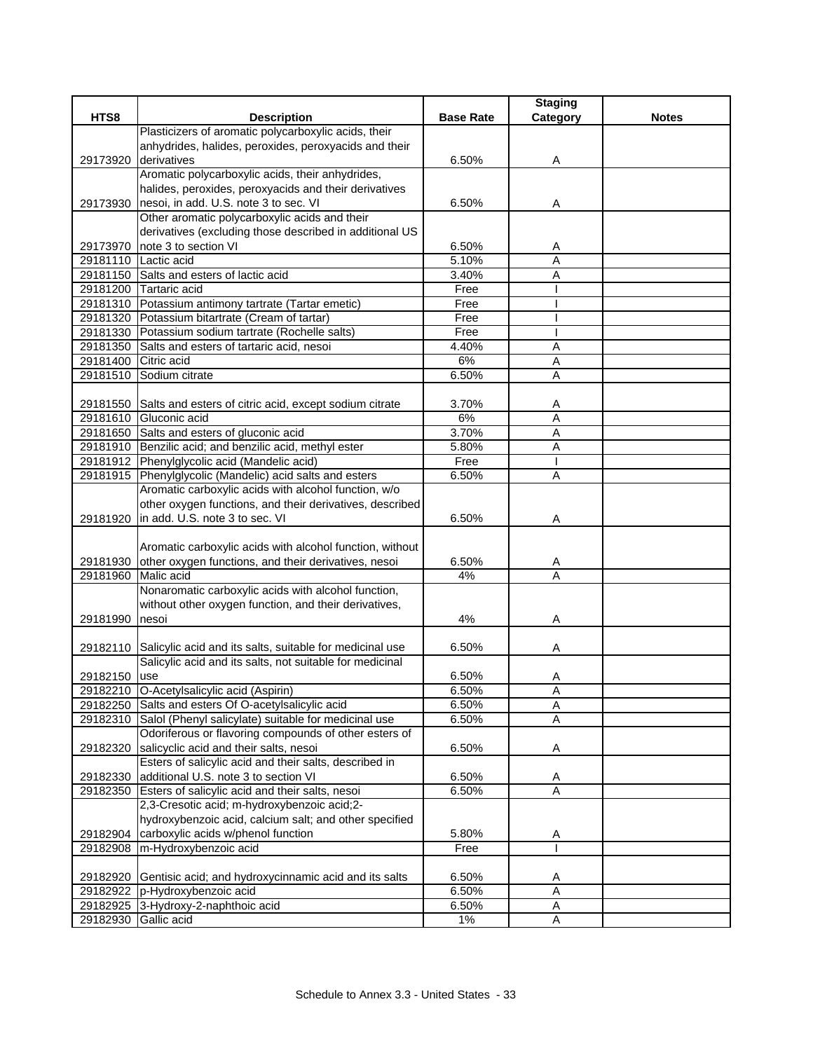|                      |                                                                   |                  | <b>Staging</b> |              |
|----------------------|-------------------------------------------------------------------|------------------|----------------|--------------|
| HTS8                 | <b>Description</b>                                                | <b>Base Rate</b> | Category       | <b>Notes</b> |
|                      | Plasticizers of aromatic polycarboxylic acids, their              |                  |                |              |
|                      | anhydrides, halides, peroxides, peroxyacids and their             |                  |                |              |
| 29173920             | derivatives<br>Aromatic polycarboxylic acids, their anhydrides,   | 6.50%            | A              |              |
|                      | halides, peroxides, peroxyacids and their derivatives             |                  |                |              |
| 29173930             | nesoi, in add. U.S. note 3 to sec. VI                             | 6.50%            | Α              |              |
|                      | Other aromatic polycarboxylic acids and their                     |                  |                |              |
|                      | derivatives (excluding those described in additional US           |                  |                |              |
|                      | 29173970 note 3 to section VI                                     | 6.50%            | Α              |              |
|                      | 29181110 Lactic acid                                              | 5.10%            | A              |              |
|                      | 29181150 Salts and esters of lactic acid                          | 3.40%            | A              |              |
|                      | 29181200 Tartaric acid                                            | Free             |                |              |
|                      | 29181310 Potassium antimony tartrate (Tartar emetic)              | Free             |                |              |
|                      | 29181320 Potassium bitartrate (Cream of tartar)                   | Free             |                |              |
|                      | 29181330 Potassium sodium tartrate (Rochelle salts)               | Free             |                |              |
|                      | 29181350 Salts and esters of tartaric acid, nesoi                 | 4.40%            | A              |              |
| 29181400 Citric acid |                                                                   | 6%               | Α              |              |
| 29181510             | Sodium citrate                                                    | 6.50%            | Α              |              |
|                      |                                                                   |                  |                |              |
|                      | 29181550 Salts and esters of citric acid, except sodium citrate   | 3.70%            | A              |              |
|                      | 29181610 Gluconic acid                                            | 6%               | $\overline{A}$ |              |
|                      | 29181650 Salts and esters of gluconic acid                        | 3.70%            | Α              |              |
|                      | 29181910 Benzilic acid; and benzilic acid, methyl ester           | 5.80%            | Α              |              |
|                      | 29181912 Phenylglycolic acid (Mandelic acid)                      | Free             |                |              |
|                      | 29181915 Phenylglycolic (Mandelic) acid salts and esters          | 6.50%            | Α              |              |
|                      | Aromatic carboxylic acids with alcohol function, w/o              |                  |                |              |
|                      | other oxygen functions, and their derivatives, described          |                  |                |              |
| 29181920             | in add. U.S. note 3 to sec. VI                                    | 6.50%            | Α              |              |
|                      |                                                                   |                  |                |              |
|                      | Aromatic carboxylic acids with alcohol function, without          |                  |                |              |
|                      | 29181930 other oxygen functions, and their derivatives, nesoi     | 6.50%            | A              |              |
| 29181960             | Malic acid                                                        | 4%               | A              |              |
|                      | Nonaromatic carboxylic acids with alcohol function,               |                  |                |              |
| 29181990             | without other oxygen function, and their derivatives,<br>nesoi    | 4%               |                |              |
|                      |                                                                   |                  | Α              |              |
|                      | 29182110 Salicylic acid and its salts, suitable for medicinal use | 6.50%            | Α              |              |
|                      | Salicylic acid and its salts, not suitable for medicinal          |                  |                |              |
| 29182150 <b>Juse</b> |                                                                   | 6.50%            | Α              |              |
|                      | 29182210 O-Acetylsalicylic acid (Aspirin)                         | 6.50%            | A              |              |
|                      | 29182250 Salts and esters Of O-acetylsalicylic acid               | 6.50%            | A              |              |
|                      | 29182310 Salol (Phenyl salicylate) suitable for medicinal use     | 6.50%            | Α              |              |
|                      | Odoriferous or flavoring compounds of other esters of             |                  |                |              |
| 29182320             | salicyclic acid and their salts, nesoi                            | 6.50%            | Α              |              |
|                      | Esters of salicylic acid and their salts, described in            |                  |                |              |
| 29182330             | additional U.S. note 3 to section VI                              | 6.50%            | A              |              |
|                      | 29182350 Esters of salicylic acid and their salts, nesoi          | 6.50%            | A              |              |
|                      | 2,3-Cresotic acid; m-hydroxybenzoic acid;2-                       |                  |                |              |
|                      | hydroxybenzoic acid, calcium salt; and other specified            |                  |                |              |
|                      | 29182904 carboxylic acids w/phenol function                       | 5.80%            | Α              |              |
|                      | 29182908 m-Hydroxybenzoic acid                                    | Free             |                |              |
|                      |                                                                   |                  |                |              |
|                      | 29182920 Gentisic acid; and hydroxycinnamic acid and its salts    | 6.50%            | A              |              |
|                      | 29182922 p-Hydroxybenzoic acid                                    | 6.50%            | A              |              |
|                      | 29182925 3-Hydroxy-2-naphthoic acid                               | 6.50%            | Α              |              |
| 29182930 Gallic acid |                                                                   | $1\%$            | $\mathsf A$    |              |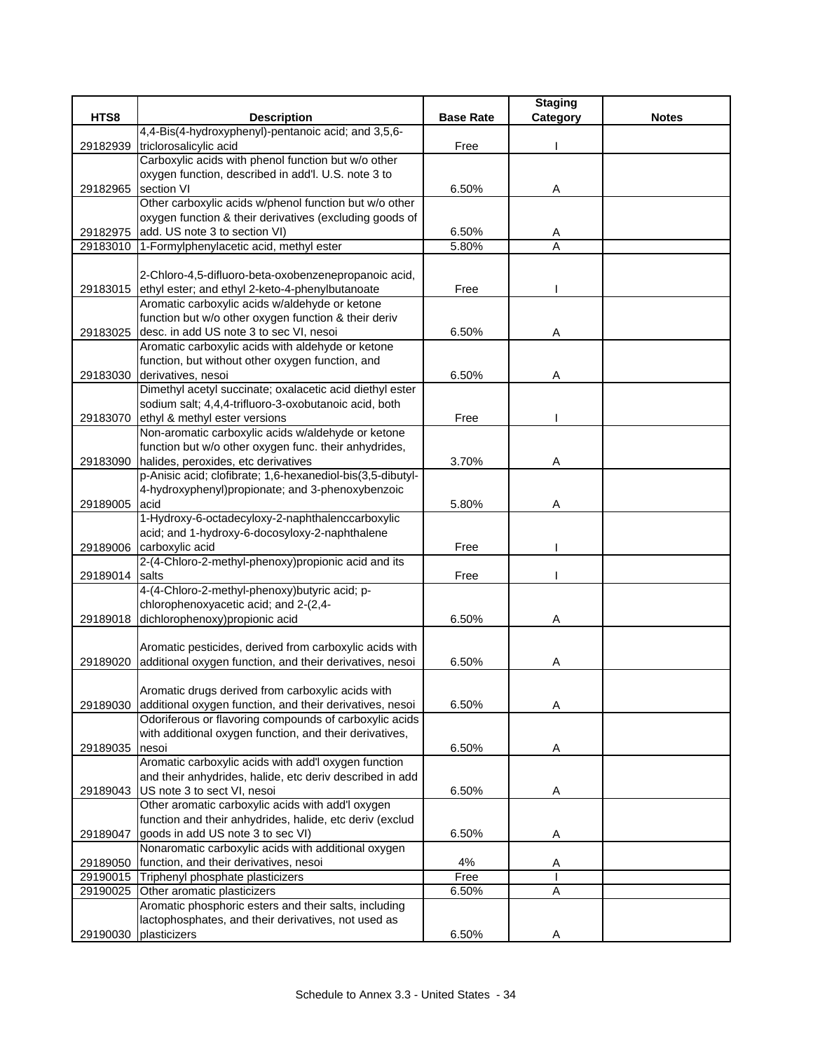|                |                                                            |                  | <b>Staging</b> |              |
|----------------|------------------------------------------------------------|------------------|----------------|--------------|
| HTS8           | <b>Description</b>                                         | <b>Base Rate</b> | Category       | <b>Notes</b> |
|                | 4,4-Bis(4-hydroxyphenyl)-pentanoic acid; and 3,5,6-        |                  |                |              |
| 29182939       | triclorosalicylic acid                                     | Free             |                |              |
|                | Carboxylic acids with phenol function but w/o other        |                  |                |              |
|                | oxygen function, described in add'l. U.S. note 3 to        |                  |                |              |
| 29182965       | section VI                                                 | 6.50%            | A              |              |
|                | Other carboxylic acids w/phenol function but w/o other     |                  |                |              |
|                | oxygen function & their derivatives (excluding goods of    |                  |                |              |
| 29182975       | add. US note 3 to section VI)                              | 6.50%            | A              |              |
| 29183010       | 1-Formylphenylacetic acid, methyl ester                    | 5.80%            | $\overline{A}$ |              |
|                |                                                            |                  |                |              |
|                | 2-Chloro-4,5-difluoro-beta-oxobenzenepropanoic acid,       |                  |                |              |
| 29183015       | ethyl ester; and ethyl 2-keto-4-phenylbutanoate            | Free             |                |              |
|                | Aromatic carboxylic acids w/aldehyde or ketone             |                  |                |              |
|                | function but w/o other oxygen function & their deriv       |                  |                |              |
| 29183025       | desc. in add US note 3 to sec VI, nesoi                    | 6.50%            | Α              |              |
|                | Aromatic carboxylic acids with aldehyde or ketone          |                  |                |              |
|                | function, but without other oxygen function, and           |                  |                |              |
| 29183030       | derivatives, nesoi                                         | 6.50%            | Α              |              |
|                | Dimethyl acetyl succinate; oxalacetic acid diethyl ester   |                  |                |              |
|                | sodium salt; 4,4,4-trifluoro-3-oxobutanoic acid, both      |                  |                |              |
| 29183070       | ethyl & methyl ester versions                              | Free             |                |              |
|                | Non-aromatic carboxylic acids w/aldehyde or ketone         |                  |                |              |
|                | function but w/o other oxygen func. their anhydrides,      |                  |                |              |
| 29183090       | halides, peroxides, etc derivatives                        | 3.70%            | Α              |              |
|                | p-Anisic acid; clofibrate; 1,6-hexanediol-bis(3,5-dibutyl- |                  |                |              |
|                | 4-hydroxyphenyl)propionate; and 3-phenoxybenzoic           |                  |                |              |
| 29189005       | acid                                                       | 5.80%            | Α              |              |
|                | 1-Hydroxy-6-octadecyloxy-2-naphthalenccarboxylic           |                  |                |              |
|                | acid; and 1-hydroxy-6-docosyloxy-2-naphthalene             |                  |                |              |
|                | 29189006 carboxylic acid                                   | Free             |                |              |
|                | 2-(4-Chloro-2-methyl-phenoxy)propionic acid and its        |                  |                |              |
| 29189014 salts |                                                            | Free             |                |              |
|                | 4-(4-Chloro-2-methyl-phenoxy)butyric acid; p-              |                  |                |              |
|                | chlorophenoxyacetic acid; and 2-(2,4-                      |                  |                |              |
| 29189018       | dichlorophenoxy) propionic acid                            | 6.50%            | Α              |              |
|                |                                                            |                  |                |              |
|                | Aromatic pesticides, derived from carboxylic acids with    |                  |                |              |
| 29189020       | additional oxygen function, and their derivatives, nesoi   | 6.50%            | A              |              |
|                |                                                            |                  |                |              |
|                | Aromatic drugs derived from carboxylic acids with          |                  |                |              |
| 29189030       | additional oxygen function, and their derivatives, nesoi   | 6.50%            | Α              |              |
|                | Odoriferous or flavoring compounds of carboxylic acids     |                  |                |              |
|                | with additional oxygen function, and their derivatives,    |                  |                |              |
| 29189035       | nesoi                                                      | 6.50%            | Α              |              |
|                | Aromatic carboxylic acids with add'l oxygen function       |                  |                |              |
|                | and their anhydrides, halide, etc deriv described in add   |                  |                |              |
|                | 29189043 US note 3 to sect VI, nesoi                       | 6.50%            | A              |              |
|                | Other aromatic carboxylic acids with add'l oxygen          |                  |                |              |
|                | function and their anhydrides, halide, etc deriv (exclud   |                  |                |              |
| 29189047       | goods in add US note 3 to sec VI)                          | 6.50%            | A              |              |
|                | Nonaromatic carboxylic acids with additional oxygen        |                  |                |              |
| 29189050       | function, and their derivatives, nesoi                     | 4%               | A              |              |
| 29190015       | Triphenyl phosphate plasticizers                           | Free             |                |              |
| 29190025       | Other aromatic plasticizers                                | 6.50%            | A              |              |
|                | Aromatic phosphoric esters and their salts, including      |                  |                |              |
|                | lactophosphates, and their derivatives, not used as        |                  |                |              |
| 29190030       | plasticizers                                               | 6.50%            | Α              |              |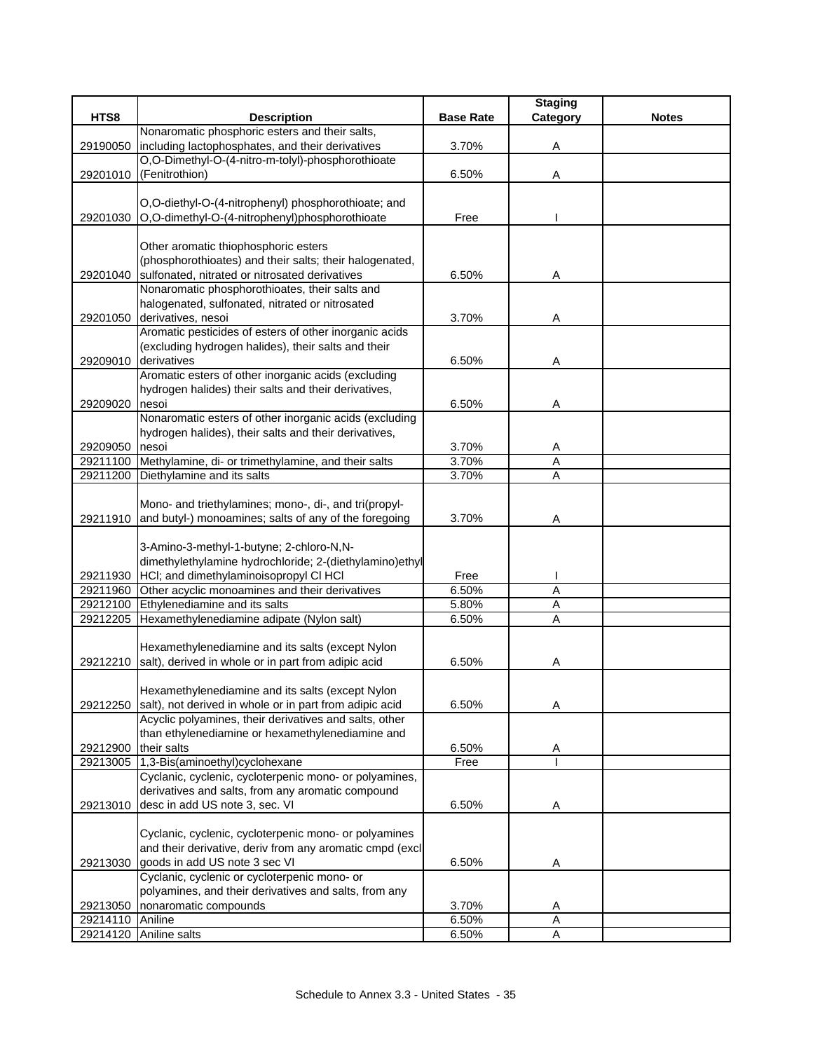|                  |                                                                                                   |                  | <b>Staging</b> |              |
|------------------|---------------------------------------------------------------------------------------------------|------------------|----------------|--------------|
| HTS8             | <b>Description</b>                                                                                | <b>Base Rate</b> | Category       | <b>Notes</b> |
|                  | Nonaromatic phosphoric esters and their salts,                                                    |                  |                |              |
| 29190050         | including lactophosphates, and their derivatives                                                  | 3.70%            | Α              |              |
|                  | O,O-Dimethyl-O-(4-nitro-m-tolyl)-phosphorothioate                                                 |                  |                |              |
| 29201010         | (Fenitrothion)                                                                                    | 6.50%            | Α              |              |
|                  |                                                                                                   |                  |                |              |
|                  | O,O-diethyl-O-(4-nitrophenyl) phosphorothioate; and                                               |                  |                |              |
| 29201030         | O,O-dimethyl-O-(4-nitrophenyl)phosphorothioate                                                    | Free             |                |              |
|                  |                                                                                                   |                  |                |              |
|                  | Other aromatic thiophosphoric esters                                                              |                  |                |              |
|                  | (phosphorothioates) and their salts; their halogenated,                                           |                  |                |              |
| 29201040         | sulfonated, nitrated or nitrosated derivatives                                                    | 6.50%            | Α              |              |
|                  | Nonaromatic phosphorothioates, their salts and                                                    |                  |                |              |
|                  | halogenated, sulfonated, nitrated or nitrosated                                                   |                  |                |              |
| 29201050         | derivatives, nesoi                                                                                | 3.70%            | Α              |              |
|                  | Aromatic pesticides of esters of other inorganic acids                                            |                  |                |              |
|                  | (excluding hydrogen halides), their salts and their                                               |                  |                |              |
| 29209010         | derivatives                                                                                       | 6.50%            | Α              |              |
|                  | Aromatic esters of other inorganic acids (excluding                                               |                  |                |              |
|                  | hydrogen halides) their salts and their derivatives,                                              |                  |                |              |
| 29209020         | nesoi                                                                                             | 6.50%            | Α              |              |
|                  | Nonaromatic esters of other inorganic acids (excluding                                            |                  |                |              |
|                  | hydrogen halides), their salts and their derivatives,                                             |                  |                |              |
| 29209050         | nesoi                                                                                             | 3.70%            | A              |              |
|                  | 29211100 Methylamine, di- or trimethylamine, and their salts                                      | 3.70%            | A              |              |
|                  | 29211200 Diethylamine and its salts                                                               | 3.70%            | A              |              |
|                  |                                                                                                   |                  |                |              |
|                  | Mono- and triethylamines; mono-, di-, and tri(propyl-                                             |                  |                |              |
|                  | 29211910 and butyl-) monoamines; salts of any of the foregoing                                    | 3.70%            | A              |              |
|                  |                                                                                                   |                  |                |              |
|                  | 3-Amino-3-methyl-1-butyne; 2-chloro-N,N-                                                          |                  |                |              |
|                  | dimethylethylamine hydrochloride; 2-(diethylamino)ethyl                                           | Free             |                |              |
| 29211930         | HCI; and dimethylaminoisopropyl CI HCI<br>29211960 Other acyclic monoamines and their derivatives | 6.50%            | Α              |              |
|                  | 29212100 Ethylenediamine and its salts                                                            | 5.80%            | Α              |              |
| 29212205         | Hexamethylenediamine adipate (Nylon salt)                                                         | 6.50%            | A              |              |
|                  |                                                                                                   |                  |                |              |
|                  | Hexamethylenediamine and its salts (except Nylon                                                  |                  |                |              |
|                  | 29212210 salt), derived in whole or in part from adipic acid                                      | 6.50%            | A              |              |
|                  |                                                                                                   |                  |                |              |
|                  | Hexamethylenediamine and its salts (except Nylon                                                  |                  |                |              |
| 29212250         | salt), not derived in whole or in part from adipic acid                                           | 6.50%            | Α              |              |
|                  | Acyclic polyamines, their derivatives and salts, other                                            |                  |                |              |
|                  | than ethylenediamine or hexamethylenediamine and                                                  |                  |                |              |
| 29212900         | their salts                                                                                       | 6.50%            | A              |              |
|                  | 29213005 1,3-Bis(aminoethyl)cyclohexane                                                           | Free             |                |              |
|                  | Cyclanic, cyclenic, cycloterpenic mono- or polyamines,                                            |                  |                |              |
|                  | derivatives and salts, from any aromatic compound                                                 |                  |                |              |
| 29213010         | desc in add US note 3, sec. VI                                                                    | 6.50%            | A              |              |
|                  |                                                                                                   |                  |                |              |
|                  | Cyclanic, cyclenic, cycloterpenic mono- or polyamines                                             |                  |                |              |
|                  | and their derivative, deriv from any aromatic cmpd (excl                                          |                  |                |              |
| 29213030         | goods in add US note 3 sec VI                                                                     | 6.50%            | Α              |              |
|                  | Cyclanic, cyclenic or cycloterpenic mono- or                                                      |                  |                |              |
|                  | polyamines, and their derivatives and salts, from any                                             |                  |                |              |
| 29213050         | nonaromatic compounds                                                                             | 3.70%            | Α              |              |
| 29214110 Aniline |                                                                                                   | 6.50%            | A              |              |
|                  | 29214120 Aniline salts                                                                            | 6.50%            | A              |              |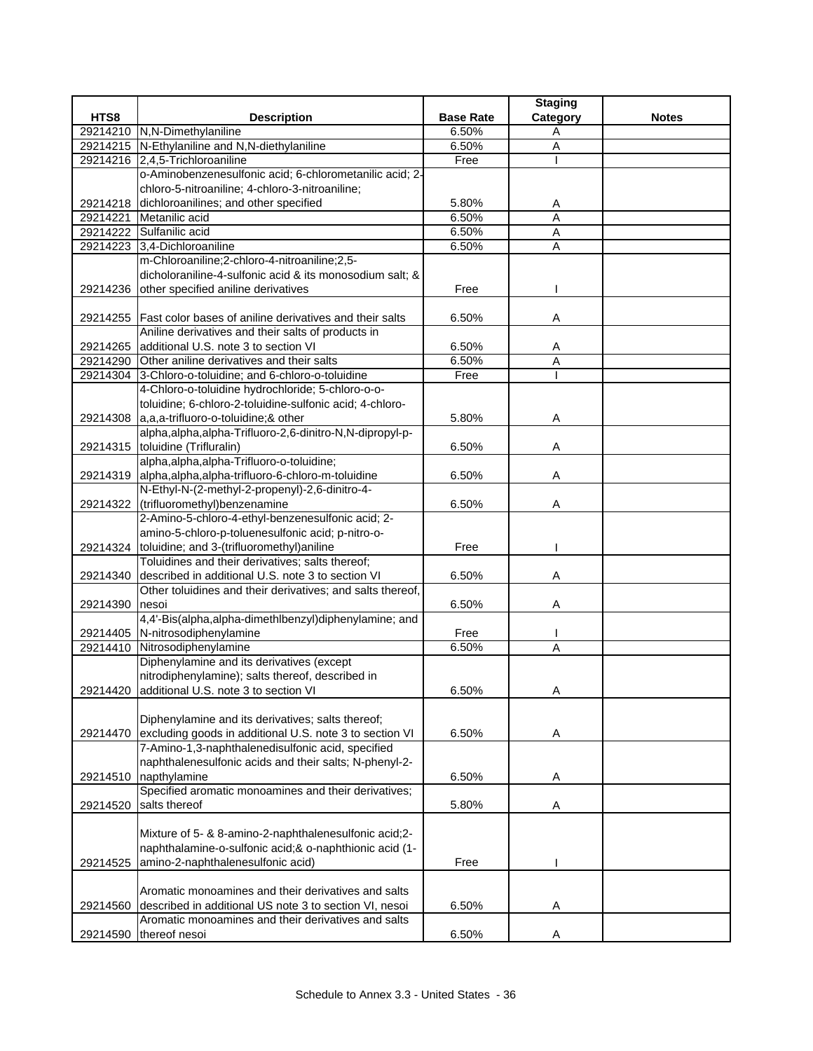| HTS8<br><b>Base Rate</b><br>Category<br><b>Notes</b><br><b>Description</b><br>29214210 N,N-Dimethylaniline<br>6.50%<br>Α<br>29214215 N-Ethylaniline and N,N-diethylaniline<br>6.50%<br>A<br>29214216 2,4,5-Trichloroaniline<br>Free<br>o-Aminobenzenesulfonic acid; 6-chlorometanilic acid; 2-<br>chloro-5-nitroaniline; 4-chloro-3-nitroaniline;<br>dichloroanilines; and other specified<br>29214218<br>5.80%<br>A<br>Metanilic acid<br>6.50%<br>29214221<br>A<br>29214222 Sulfanilic acid<br>6.50%<br>Α<br>A<br>29214223 3,4-Dichloroaniline<br>6.50%<br>m-Chloroaniline;2-chloro-4-nitroaniline;2,5-<br>dicholoraniline-4-sulfonic acid & its monosodium salt; &<br>other specified aniline derivatives |  |
|-------------------------------------------------------------------------------------------------------------------------------------------------------------------------------------------------------------------------------------------------------------------------------------------------------------------------------------------------------------------------------------------------------------------------------------------------------------------------------------------------------------------------------------------------------------------------------------------------------------------------------------------------------------------------------------------------------------|--|
|                                                                                                                                                                                                                                                                                                                                                                                                                                                                                                                                                                                                                                                                                                             |  |
|                                                                                                                                                                                                                                                                                                                                                                                                                                                                                                                                                                                                                                                                                                             |  |
|                                                                                                                                                                                                                                                                                                                                                                                                                                                                                                                                                                                                                                                                                                             |  |
|                                                                                                                                                                                                                                                                                                                                                                                                                                                                                                                                                                                                                                                                                                             |  |
|                                                                                                                                                                                                                                                                                                                                                                                                                                                                                                                                                                                                                                                                                                             |  |
|                                                                                                                                                                                                                                                                                                                                                                                                                                                                                                                                                                                                                                                                                                             |  |
|                                                                                                                                                                                                                                                                                                                                                                                                                                                                                                                                                                                                                                                                                                             |  |
|                                                                                                                                                                                                                                                                                                                                                                                                                                                                                                                                                                                                                                                                                                             |  |
|                                                                                                                                                                                                                                                                                                                                                                                                                                                                                                                                                                                                                                                                                                             |  |
|                                                                                                                                                                                                                                                                                                                                                                                                                                                                                                                                                                                                                                                                                                             |  |
|                                                                                                                                                                                                                                                                                                                                                                                                                                                                                                                                                                                                                                                                                                             |  |
|                                                                                                                                                                                                                                                                                                                                                                                                                                                                                                                                                                                                                                                                                                             |  |
| Free<br>29214236                                                                                                                                                                                                                                                                                                                                                                                                                                                                                                                                                                                                                                                                                            |  |
|                                                                                                                                                                                                                                                                                                                                                                                                                                                                                                                                                                                                                                                                                                             |  |
| 29214255   Fast color bases of aniline derivatives and their salts<br>6.50%<br>Α                                                                                                                                                                                                                                                                                                                                                                                                                                                                                                                                                                                                                            |  |
| Aniline derivatives and their salts of products in                                                                                                                                                                                                                                                                                                                                                                                                                                                                                                                                                                                                                                                          |  |
| additional U.S. note 3 to section VI<br>29214265<br>6.50%<br>A                                                                                                                                                                                                                                                                                                                                                                                                                                                                                                                                                                                                                                              |  |
| Other aniline derivatives and their salts<br>6.50%<br>29214290<br>A                                                                                                                                                                                                                                                                                                                                                                                                                                                                                                                                                                                                                                         |  |
| 3-Chloro-o-toluidine; and 6-chloro-o-toluidine<br>Free<br>29214304                                                                                                                                                                                                                                                                                                                                                                                                                                                                                                                                                                                                                                          |  |
| 4-Chloro-o-toluidine hydrochloride; 5-chloro-o-o-                                                                                                                                                                                                                                                                                                                                                                                                                                                                                                                                                                                                                                                           |  |
| toluidine; 6-chloro-2-toluidine-sulfonic acid; 4-chloro-                                                                                                                                                                                                                                                                                                                                                                                                                                                                                                                                                                                                                                                    |  |
| 29214308 a,a,a-trifluoro-o-toluidine;& other<br>5.80%<br>Α                                                                                                                                                                                                                                                                                                                                                                                                                                                                                                                                                                                                                                                  |  |
| alpha, alpha, alpha-Trifluoro-2,6-dinitro-N, N-dipropyl-p-                                                                                                                                                                                                                                                                                                                                                                                                                                                                                                                                                                                                                                                  |  |
| 29214315 toluidine (Trifluralin)<br>6.50%<br>Α                                                                                                                                                                                                                                                                                                                                                                                                                                                                                                                                                                                                                                                              |  |
| alpha, alpha, alpha-Trifluoro-o-toluidine;                                                                                                                                                                                                                                                                                                                                                                                                                                                                                                                                                                                                                                                                  |  |
| 29214319 alpha, alpha, alpha-trifluoro-6-chloro-m-toluidine<br>6.50%<br>Α                                                                                                                                                                                                                                                                                                                                                                                                                                                                                                                                                                                                                                   |  |
| N-Ethyl-N-(2-methyl-2-propenyl)-2,6-dinitro-4-                                                                                                                                                                                                                                                                                                                                                                                                                                                                                                                                                                                                                                                              |  |
| 29214322 (trifluoromethyl) benzenamine<br>6.50%<br>Α                                                                                                                                                                                                                                                                                                                                                                                                                                                                                                                                                                                                                                                        |  |
| 2-Amino-5-chloro-4-ethyl-benzenesulfonic acid; 2-                                                                                                                                                                                                                                                                                                                                                                                                                                                                                                                                                                                                                                                           |  |
| amino-5-chloro-p-toluenesulfonic acid; p-nitro-o-                                                                                                                                                                                                                                                                                                                                                                                                                                                                                                                                                                                                                                                           |  |
| 29214324 toluidine; and 3-(trifluoromethyl) aniline<br>Free                                                                                                                                                                                                                                                                                                                                                                                                                                                                                                                                                                                                                                                 |  |
| Toluidines and their derivatives; salts thereof;                                                                                                                                                                                                                                                                                                                                                                                                                                                                                                                                                                                                                                                            |  |
| described in additional U.S. note 3 to section VI<br>6.50%<br>29214340<br>Α                                                                                                                                                                                                                                                                                                                                                                                                                                                                                                                                                                                                                                 |  |
| Other toluidines and their derivatives; and salts thereof,                                                                                                                                                                                                                                                                                                                                                                                                                                                                                                                                                                                                                                                  |  |
| 6.50%<br>29214390<br>nesoi<br>Α                                                                                                                                                                                                                                                                                                                                                                                                                                                                                                                                                                                                                                                                             |  |
| 4,4'-Bis(alpha,alpha-dimethlbenzyl)diphenylamine; and                                                                                                                                                                                                                                                                                                                                                                                                                                                                                                                                                                                                                                                       |  |
| 29214405 N-nitrosodiphenylamine<br>Free                                                                                                                                                                                                                                                                                                                                                                                                                                                                                                                                                                                                                                                                     |  |
| Nitrosodiphenylamine<br>6.50%<br>29214410<br>A                                                                                                                                                                                                                                                                                                                                                                                                                                                                                                                                                                                                                                                              |  |
| Diphenylamine and its derivatives (except                                                                                                                                                                                                                                                                                                                                                                                                                                                                                                                                                                                                                                                                   |  |
| nitrodiphenylamine); salts thereof, described in                                                                                                                                                                                                                                                                                                                                                                                                                                                                                                                                                                                                                                                            |  |
| 29214420 additional U.S. note 3 to section VI<br>6.50%<br>A                                                                                                                                                                                                                                                                                                                                                                                                                                                                                                                                                                                                                                                 |  |
| Diphenylamine and its derivatives; salts thereof;                                                                                                                                                                                                                                                                                                                                                                                                                                                                                                                                                                                                                                                           |  |
| excluding goods in additional U.S. note 3 to section VI<br>6.50%                                                                                                                                                                                                                                                                                                                                                                                                                                                                                                                                                                                                                                            |  |
| 29214470<br>Α<br>7-Amino-1,3-naphthalenedisulfonic acid, specified                                                                                                                                                                                                                                                                                                                                                                                                                                                                                                                                                                                                                                          |  |
| naphthalenesulfonic acids and their salts; N-phenyl-2-                                                                                                                                                                                                                                                                                                                                                                                                                                                                                                                                                                                                                                                      |  |
| 29214510<br>napthylamine<br>6.50%<br>Α                                                                                                                                                                                                                                                                                                                                                                                                                                                                                                                                                                                                                                                                      |  |
| Specified aromatic monoamines and their derivatives;                                                                                                                                                                                                                                                                                                                                                                                                                                                                                                                                                                                                                                                        |  |
| salts thereof<br>5.80%<br>29214520                                                                                                                                                                                                                                                                                                                                                                                                                                                                                                                                                                                                                                                                          |  |
| A                                                                                                                                                                                                                                                                                                                                                                                                                                                                                                                                                                                                                                                                                                           |  |
| Mixture of 5- & 8-amino-2-naphthalenesulfonic acid;2-                                                                                                                                                                                                                                                                                                                                                                                                                                                                                                                                                                                                                                                       |  |
| naphthalamine-o-sulfonic acid;& o-naphthionic acid (1-                                                                                                                                                                                                                                                                                                                                                                                                                                                                                                                                                                                                                                                      |  |
| amino-2-naphthalenesulfonic acid)<br>Free<br>29214525                                                                                                                                                                                                                                                                                                                                                                                                                                                                                                                                                                                                                                                       |  |
|                                                                                                                                                                                                                                                                                                                                                                                                                                                                                                                                                                                                                                                                                                             |  |
| Aromatic monoamines and their derivatives and salts                                                                                                                                                                                                                                                                                                                                                                                                                                                                                                                                                                                                                                                         |  |
| described in additional US note 3 to section VI, nesoi<br>6.50%<br>29214560<br>Α                                                                                                                                                                                                                                                                                                                                                                                                                                                                                                                                                                                                                            |  |
| Aromatic monoamines and their derivatives and salts                                                                                                                                                                                                                                                                                                                                                                                                                                                                                                                                                                                                                                                         |  |
| thereof nesoi<br>6.50%<br>29214590<br>Α                                                                                                                                                                                                                                                                                                                                                                                                                                                                                                                                                                                                                                                                     |  |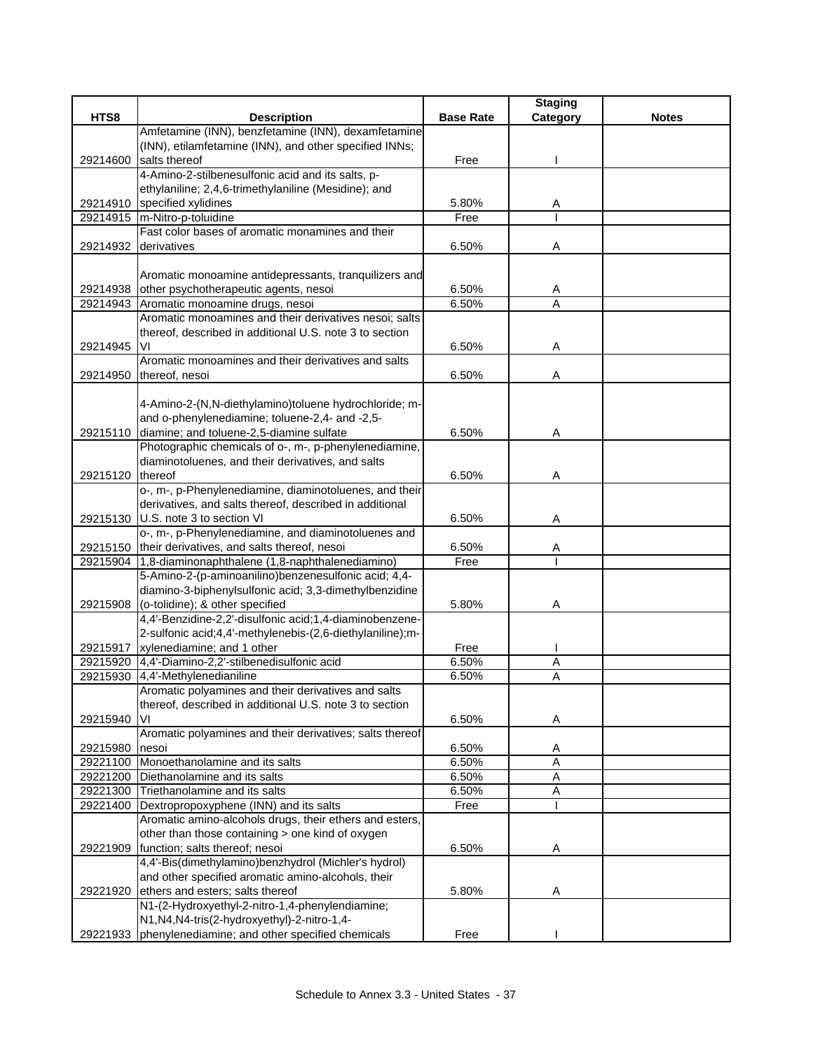|          |                                                                                |                  | <b>Staging</b> |              |
|----------|--------------------------------------------------------------------------------|------------------|----------------|--------------|
| HTS8     | <b>Description</b>                                                             | <b>Base Rate</b> | Category       | <b>Notes</b> |
|          | Amfetamine (INN), benzfetamine (INN), dexamfetamine                            |                  |                |              |
|          | (INN), etilamfetamine (INN), and other specified INNs;                         |                  |                |              |
| 29214600 | salts thereof                                                                  | Free             |                |              |
|          | 4-Amino-2-stilbenesulfonic acid and its salts, p-                              |                  |                |              |
|          | ethylaniline; 2,4,6-trimethylaniline (Mesidine); and                           |                  |                |              |
|          | 29214910 specified xylidines                                                   | 5.80%            | A              |              |
| 29214915 | m-Nitro-p-toluidine                                                            | Free             |                |              |
|          | Fast color bases of aromatic monamines and their<br>derivatives                |                  |                |              |
| 29214932 |                                                                                | 6.50%            | Α              |              |
|          | Aromatic monoamine antidepressants, tranquilizers and                          |                  |                |              |
|          | 29214938 other psychotherapeutic agents, nesoi                                 | 6.50%            | A              |              |
|          | 29214943 Aromatic monoamine drugs, nesoi                                       | 6.50%            | A              |              |
|          | Aromatic monoamines and their derivatives nesoi; salts                         |                  |                |              |
|          | thereof, described in additional U.S. note 3 to section                        |                  |                |              |
| 29214945 | VI                                                                             | 6.50%            | Α              |              |
|          | Aromatic monoamines and their derivatives and salts                            |                  |                |              |
| 29214950 | thereof, nesoi                                                                 | 6.50%            | Α              |              |
|          |                                                                                |                  |                |              |
|          | 4-Amino-2-(N,N-diethylamino)toluene hydrochloride; m-                          |                  |                |              |
|          | and o-phenylenediamine; toluene-2,4- and -2,5-                                 |                  |                |              |
|          | 29215110 diamine; and toluene-2,5-diamine sulfate                              | 6.50%            | Α              |              |
|          | Photographic chemicals of o-, m-, p-phenylenediamine,                          |                  |                |              |
|          | diaminotoluenes, and their derivatives, and salts                              |                  |                |              |
| 29215120 | thereof                                                                        | 6.50%            | Α              |              |
|          | o-, m-, p-Phenylenediamine, diaminotoluenes, and their                         |                  |                |              |
|          | derivatives, and salts thereof, described in additional                        |                  |                |              |
|          | 29215130 U.S. note 3 to section VI                                             | 6.50%            | Α              |              |
|          | o-, m-, p-Phenylenediamine, and diaminotoluenes and                            |                  |                |              |
|          | 29215150 their derivatives, and salts thereof, nesoi                           | 6.50%            | Α              |              |
|          | 29215904 1,8-diaminonaphthalene (1,8-naphthalenediamino)                       | Free             |                |              |
|          | 5-Amino-2-(p-aminoanilino)benzenesulfonic acid; 4,4-                           |                  |                |              |
|          | diamino-3-biphenylsulfonic acid; 3,3-dimethylbenzidine                         |                  |                |              |
| 29215908 | (o-tolidine); & other specified                                                | 5.80%            | Α              |              |
|          | 4,4'-Benzidine-2,2'-disulfonic acid;1,4-diaminobenzene-                        |                  |                |              |
|          | 2-sulfonic acid;4,4'-methylenebis-(2,6-diethylaniline);m-                      |                  |                |              |
|          | 29215917 xylenediamine; and 1 other                                            | Free             |                |              |
|          | 29215920 4,4'-Diamino-2,2'-stilbenedisulfonic acid                             | 6.50%            | Α              |              |
| 29215930 | 4,4'-Methylenedianiline<br>Aromatic polyamines and their derivatives and salts | 6.50%            | A              |              |
|          | thereof, described in additional U.S. note 3 to section                        |                  |                |              |
|          | VI                                                                             | 6.50%            | Α              |              |
| 29215940 | Aromatic polyamines and their derivatives; salts thereof                       |                  |                |              |
| 29215980 | nesoi                                                                          | 6.50%            | Α              |              |
|          | 29221100 Monoethanolamine and its salts                                        | 6.50%            | $\overline{A}$ |              |
| 29221200 | Diethanolamine and its salts                                                   | 6.50%            | A              |              |
|          | 29221300 Triethanolamine and its salts                                         | 6.50%            | Α              |              |
| 29221400 | Dextropropoxyphene (INN) and its salts                                         | Free             |                |              |
|          | Aromatic amino-alcohols drugs, their ethers and esters,                        |                  |                |              |
|          | other than those containing > one kind of oxygen                               |                  |                |              |
|          | 29221909 function; salts thereof; nesoi                                        | 6.50%            | A              |              |
|          | 4,4'-Bis(dimethylamino)benzhydrol (Michler's hydrol)                           |                  |                |              |
|          | and other specified aromatic amino-alcohols, their                             |                  |                |              |
| 29221920 | ethers and esters; salts thereof                                               | 5.80%            | Α              |              |
|          | N1-(2-Hydroxyethyl-2-nitro-1,4-phenylendiamine;                                |                  |                |              |
|          | N1, N4, N4-tris(2-hydroxyethyl)-2-nitro-1, 4-                                  |                  |                |              |
|          | 29221933 phenylenediamine; and other specified chemicals                       | Free             |                |              |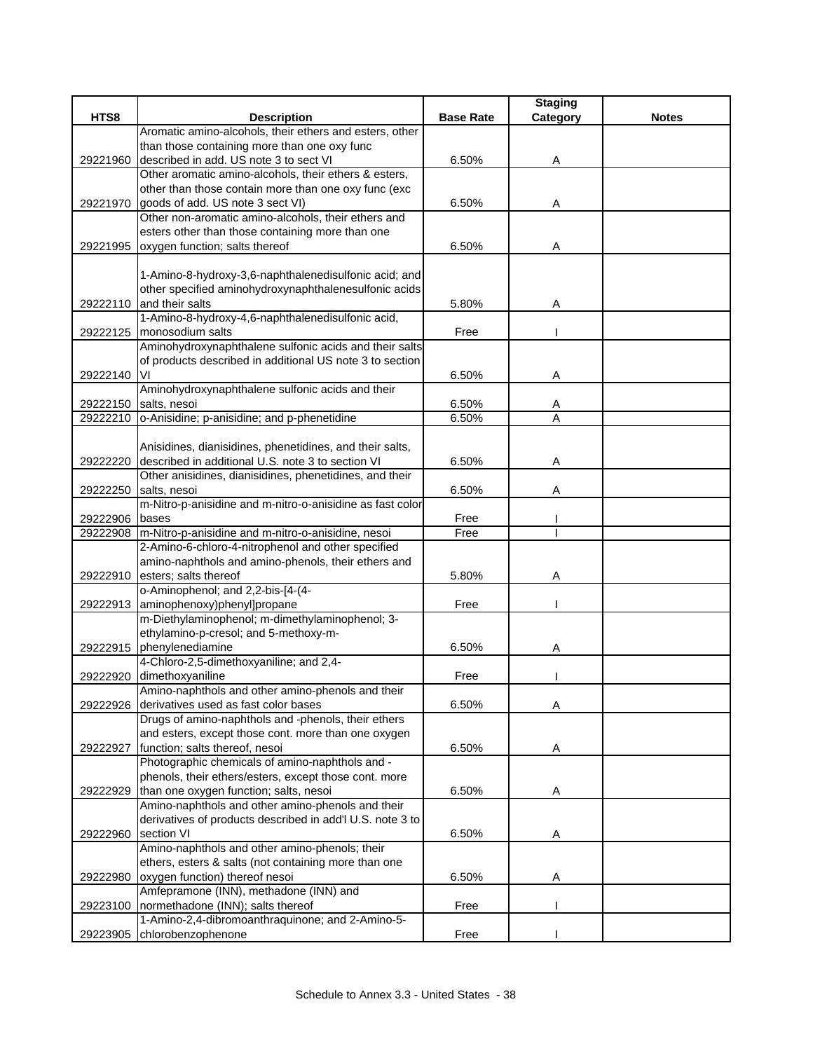|          |                                                                       |                  | <b>Staging</b> |              |
|----------|-----------------------------------------------------------------------|------------------|----------------|--------------|
| HTS8     | <b>Description</b>                                                    | <b>Base Rate</b> | Category       | <b>Notes</b> |
|          | Aromatic amino-alcohols, their ethers and esters, other               |                  |                |              |
|          | than those containing more than one oxy func                          |                  |                |              |
| 29221960 | described in add. US note 3 to sect VI                                | 6.50%            | Α              |              |
|          | Other aromatic amino-alcohols, their ethers & esters,                 |                  |                |              |
|          | other than those contain more than one oxy func (exc                  |                  |                |              |
| 29221970 | goods of add. US note 3 sect VI)                                      | 6.50%            | Α              |              |
|          | Other non-aromatic amino-alcohols, their ethers and                   |                  |                |              |
|          | esters other than those containing more than one                      |                  |                |              |
| 29221995 | oxygen function; salts thereof                                        | 6.50%            | Α              |              |
|          |                                                                       |                  |                |              |
|          | 1-Amino-8-hydroxy-3,6-naphthalenedisulfonic acid; and                 |                  |                |              |
|          | other specified aminohydroxynaphthalenesulfonic acids                 |                  |                |              |
| 29222110 | and their salts                                                       | 5.80%            | Α              |              |
|          | 1-Amino-8-hydroxy-4,6-naphthalenedisulfonic acid,                     |                  |                |              |
| 29222125 | monosodium salts                                                      | Free             |                |              |
|          | Aminohydroxynaphthalene sulfonic acids and their salts                |                  |                |              |
|          | of products described in additional US note 3 to section              |                  |                |              |
| 29222140 | VI                                                                    | 6.50%            | Α              |              |
|          | Aminohydroxynaphthalene sulfonic acids and their                      |                  |                |              |
| 29222150 | salts, nesoi                                                          | 6.50%            | A              |              |
|          | 29222210 o-Anisidine; p-anisidine; and p-phenetidine                  | 6.50%            | A              |              |
|          |                                                                       |                  |                |              |
|          | Anisidines, dianisidines, phenetidines, and their salts,              |                  |                |              |
| 29222220 | described in additional U.S. note 3 to section VI                     | 6.50%            | Α              |              |
|          | Other anisidines, dianisidines, phenetidines, and their               |                  |                |              |
| 29222250 | salts, nesoi                                                          | 6.50%            | Α              |              |
|          | m-Nitro-p-anisidine and m-nitro-o-anisidine as fast color             |                  |                |              |
| 29222906 | bases                                                                 | Free             |                |              |
| 29222908 | m-Nitro-p-anisidine and m-nitro-o-anisidine, nesoi                    | Free             |                |              |
|          | 2-Amino-6-chloro-4-nitrophenol and other specified                    |                  |                |              |
|          | amino-naphthols and amino-phenols, their ethers and                   |                  |                |              |
| 29222910 | esters; salts thereof                                                 | 5.80%            | Α              |              |
|          | o-Aminophenol; and 2,2-bis-[4-(4-                                     |                  |                |              |
| 29222913 | aminophenoxy)phenyl]propane                                           | Free             |                |              |
|          | m-Diethylaminophenol; m-dimethylaminophenol; 3-                       |                  |                |              |
|          | ethylamino-p-cresol; and 5-methoxy-m-                                 |                  |                |              |
| 29222915 | phenylenediamine                                                      | 6.50%            | Α              |              |
| 29222920 | 4-Chloro-2,5-dimethoxyaniline; and 2,4-                               |                  |                |              |
|          | dimethoxyaniline<br>Amino-naphthols and other amino-phenols and their | Free             |                |              |
| 29222926 | derivatives used as fast color bases                                  |                  |                |              |
|          | Drugs of amino-naphthols and -phenols, their ethers                   | 6.50%            | Α              |              |
|          | and esters, except those cont. more than one oxygen                   |                  |                |              |
| 29222927 | function; salts thereof, nesoi                                        | 6.50%            | Α              |              |
|          | Photographic chemicals of amino-naphthols and -                       |                  |                |              |
|          | phenols, their ethers/esters, except those cont. more                 |                  |                |              |
| 29222929 | than one oxygen function; salts, nesoi                                | 6.50%            |                |              |
|          | Amino-naphthols and other amino-phenols and their                     |                  | A              |              |
|          | derivatives of products described in add'l U.S. note 3 to             |                  |                |              |
| 29222960 | section VI                                                            | 6.50%            | A              |              |
|          | Amino-naphthols and other amino-phenols; their                        |                  |                |              |
|          | ethers, esters & salts (not containing more than one                  |                  |                |              |
| 29222980 | oxygen function) thereof nesoi                                        | 6.50%            | Α              |              |
|          | Amfepramone (INN), methadone (INN) and                                |                  |                |              |
| 29223100 | normethadone (INN); salts thereof                                     | Free             |                |              |
|          | 1-Amino-2,4-dibromoanthraquinone; and 2-Amino-5-                      |                  |                |              |
| 29223905 | chlorobenzophenone                                                    | Free             |                |              |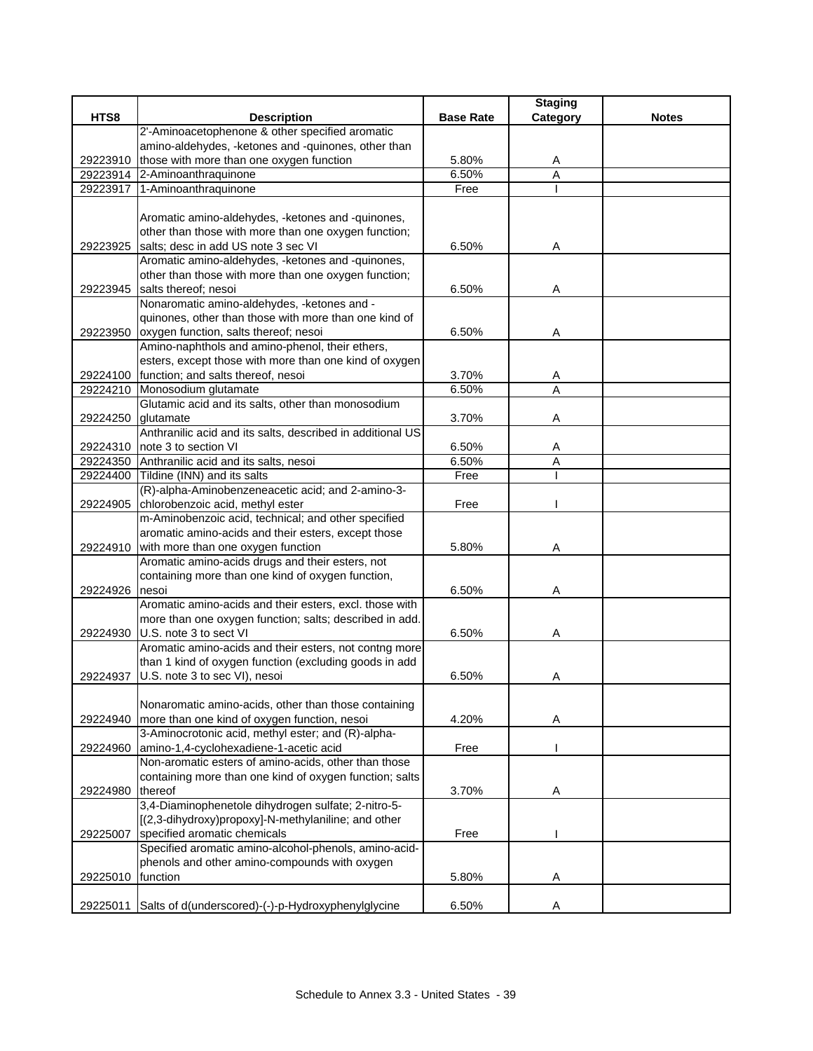|          |                                                            |                  | <b>Staging</b> |              |
|----------|------------------------------------------------------------|------------------|----------------|--------------|
| HTS8     | <b>Description</b>                                         | <b>Base Rate</b> | Category       | <b>Notes</b> |
|          | 2'-Aminoacetophenone & other specified aromatic            |                  |                |              |
|          | amino-aldehydes, -ketones and -quinones, other than        |                  |                |              |
|          | 29223910 those with more than one oxygen function          | 5.80%            | A              |              |
|          | 29223914 2-Aminoanthraquinone                              | 6.50%            | A              |              |
| 29223917 | 1-Aminoanthraquinone                                       | Free             |                |              |
|          |                                                            |                  |                |              |
|          | Aromatic amino-aldehydes, -ketones and -quinones,          |                  |                |              |
|          | other than those with more than one oxygen function;       |                  |                |              |
|          | 29223925 salts; desc in add US note 3 sec VI               | 6.50%            | Α              |              |
|          | Aromatic amino-aldehydes, -ketones and -quinones,          |                  |                |              |
|          | other than those with more than one oxygen function;       |                  |                |              |
|          | 29223945 salts thereof; nesoi                              | 6.50%            | Α              |              |
|          | Nonaromatic amino-aldehydes, -ketones and -                |                  |                |              |
|          | quinones, other than those with more than one kind of      |                  |                |              |
|          | 29223950 oxygen function, salts thereof; nesoi             | 6.50%            | Α              |              |
|          | Amino-naphthols and amino-phenol, their ethers,            |                  |                |              |
|          | esters, except those with more than one kind of oxygen     |                  |                |              |
|          | 29224100 function; and salts thereof, nesoi                | 3.70%            | A              |              |
|          | 29224210 Monosodium glutamate                              | 6.50%            | A              |              |
|          | Glutamic acid and its salts, other than monosodium         |                  |                |              |
| 29224250 | glutamate                                                  | 3.70%            | A              |              |
|          | Anthranilic acid and its salts, described in additional US |                  |                |              |
| 29224310 | note 3 to section VI                                       | 6.50%            | A              |              |
|          | 29224350 Anthranilic acid and its salts, nesoi             | 6.50%            | Α              |              |
|          | 29224400 Tildine (INN) and its salts                       | Free             |                |              |
|          | (R)-alpha-Aminobenzeneacetic acid; and 2-amino-3-          |                  |                |              |
| 29224905 | chlorobenzoic acid, methyl ester                           | Free             |                |              |
|          | m-Aminobenzoic acid, technical; and other specified        |                  |                |              |
|          | aromatic amino-acids and their esters, except those        |                  |                |              |
|          | 29224910 with more than one oxygen function                | 5.80%            | A              |              |
|          | Aromatic amino-acids drugs and their esters, not           |                  |                |              |
|          | containing more than one kind of oxygen function,          |                  |                |              |
| 29224926 | nesoi                                                      | 6.50%            | Α              |              |
|          | Aromatic amino-acids and their esters, excl. those with    |                  |                |              |
|          | more than one oxygen function; salts; described in add.    |                  |                |              |
|          | 29224930 U.S. note 3 to sect VI                            | 6.50%            | Α              |              |
|          | Aromatic amino-acids and their esters, not contng more     |                  |                |              |
|          | than 1 kind of oxygen function (excluding goods in add     |                  |                |              |
| 29224937 | U.S. note 3 to sec VI), nesoi                              | 6.50%            | Α              |              |
|          |                                                            |                  |                |              |
|          | Nonaromatic amino-acids, other than those containing       |                  |                |              |
| 29224940 | more than one kind of oxygen function, nesoi               | 4.20%            | Α              |              |
|          | 3-Aminocrotonic acid, methyl ester; and (R)-alpha-         |                  |                |              |
| 29224960 | amino-1,4-cyclohexadiene-1-acetic acid                     | Free             |                |              |
|          | Non-aromatic esters of amino-acids, other than those       |                  |                |              |
|          | containing more than one kind of oxygen function; salts    |                  |                |              |
| 29224980 | thereof                                                    | 3.70%            | Α              |              |
|          | 3,4-Diaminophenetole dihydrogen sulfate; 2-nitro-5-        |                  |                |              |
|          | [(2,3-dihydroxy)propoxy]-N-methylaniline; and other        |                  |                |              |
| 29225007 | specified aromatic chemicals                               | Free             |                |              |
|          | Specified aromatic amino-alcohol-phenols, amino-acid-      |                  |                |              |
|          | phenols and other amino-compounds with oxygen              |                  |                |              |
| 29225010 | function                                                   | 5.80%            | A              |              |
|          |                                                            |                  |                |              |
| 29225011 | Salts of d(underscored)-(-)-p-Hydroxyphenylglycine         | 6.50%            | Α              |              |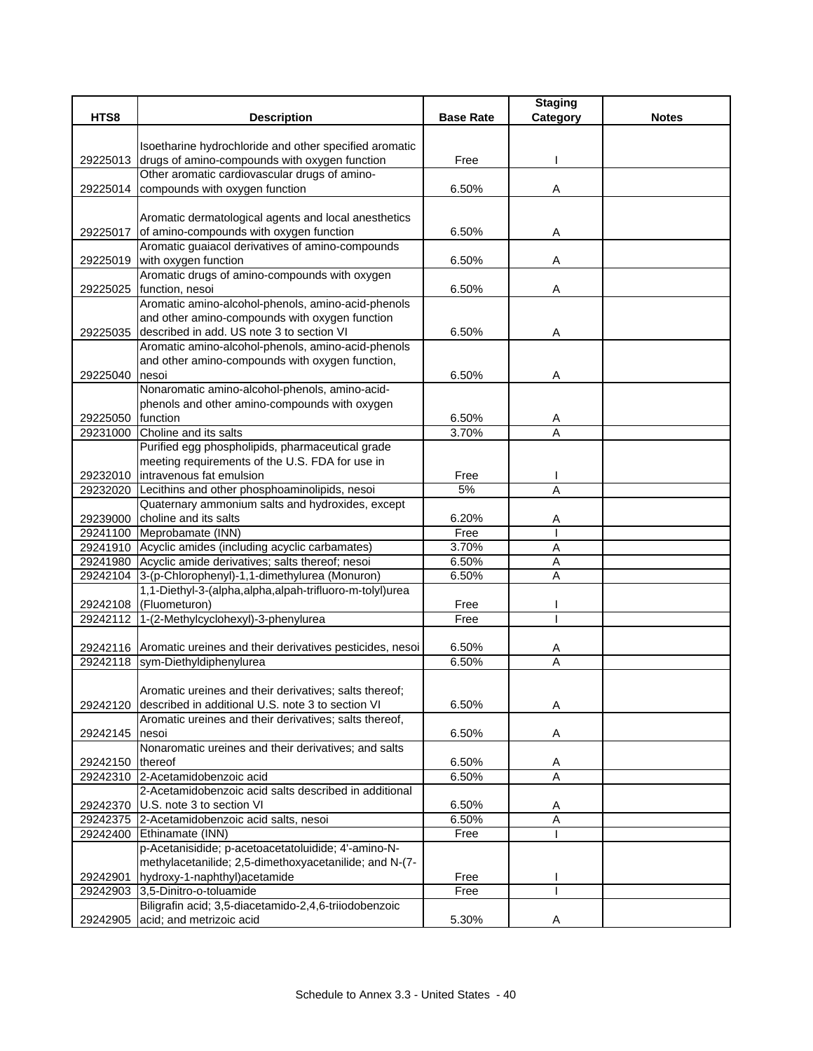|          |                                                                                                         |                  | <b>Staging</b> |              |
|----------|---------------------------------------------------------------------------------------------------------|------------------|----------------|--------------|
| HTS8     | <b>Description</b>                                                                                      | <b>Base Rate</b> | Category       | <b>Notes</b> |
|          |                                                                                                         |                  |                |              |
| 29225013 | Isoetharine hydrochloride and other specified aromatic<br>drugs of amino-compounds with oxygen function | Free             |                |              |
|          | Other aromatic cardiovascular drugs of amino-                                                           |                  |                |              |
|          | 29225014 compounds with oxygen function                                                                 | 6.50%            | Α              |              |
|          |                                                                                                         |                  |                |              |
|          | Aromatic dermatological agents and local anesthetics                                                    |                  |                |              |
| 29225017 | of amino-compounds with oxygen function                                                                 | 6.50%            | Α              |              |
|          | Aromatic guaiacol derivatives of amino-compounds                                                        |                  |                |              |
|          | 29225019 with oxygen function                                                                           | 6.50%            | Α              |              |
|          | Aromatic drugs of amino-compounds with oxygen                                                           |                  |                |              |
| 29225025 | function, nesoi                                                                                         | 6.50%            | Α              |              |
|          | Aromatic amino-alcohol-phenols, amino-acid-phenols                                                      |                  |                |              |
|          | and other amino-compounds with oxygen function                                                          |                  |                |              |
|          | 29225035 described in add. US note 3 to section VI                                                      | 6.50%            | Α              |              |
|          | Aromatic amino-alcohol-phenols, amino-acid-phenols                                                      |                  |                |              |
|          | and other amino-compounds with oxygen function,                                                         |                  |                |              |
| 29225040 | nesoi                                                                                                   | 6.50%            | Α              |              |
|          | Nonaromatic amino-alcohol-phenols, amino-acid-                                                          |                  |                |              |
| 29225050 | phenols and other amino-compounds with oxygen<br>function                                               | 6.50%            | Α              |              |
| 29231000 | Choline and its salts                                                                                   | 3.70%            | A              |              |
|          | Purified egg phospholipids, pharmaceutical grade                                                        |                  |                |              |
|          | meeting requirements of the U.S. FDA for use in                                                         |                  |                |              |
|          | 29232010 Intravenous fat emulsion                                                                       | Free             |                |              |
| 29232020 | Lecithins and other phosphoaminolipids, nesoi                                                           | 5%               | A              |              |
|          | Quaternary ammonium salts and hydroxides, except                                                        |                  |                |              |
| 29239000 | choline and its salts                                                                                   | 6.20%            | A              |              |
|          | 29241100 Meprobamate (INN)                                                                              | Free             |                |              |
|          | 29241910 Acyclic amides (including acyclic carbamates)                                                  | 3.70%            | A              |              |
|          | 29241980 Acyclic amide derivatives; salts thereof; nesoi                                                | 6.50%            | A              |              |
| 29242104 | 3-(p-Chlorophenyl)-1,1-dimethylurea (Monuron)                                                           | 6.50%            | Α              |              |
|          | 1,1-Diethyl-3-(alpha,alpha,alpah-trifluoro-m-tolyl)urea                                                 |                  |                |              |
| 29242108 | (Fluometuron)                                                                                           | Free             |                |              |
|          | 29242112 1-(2-Methylcyclohexyl)-3-phenylurea                                                            | Free             |                |              |
|          |                                                                                                         |                  |                |              |
|          | 29242116 Aromatic ureines and their derivatives pesticides, nesoi<br>29242118 sym-Diethyldiphenylurea   | 6.50%<br>6.50%   | A<br>Α         |              |
|          |                                                                                                         |                  |                |              |
|          | Aromatic ureines and their derivatives; salts thereof;                                                  |                  |                |              |
| 29242120 | described in additional U.S. note 3 to section VI                                                       | 6.50%            | Α              |              |
|          | Aromatic ureines and their derivatives; salts thereof,                                                  |                  |                |              |
| 29242145 | nesoi                                                                                                   | 6.50%            | A              |              |
|          | Nonaromatic ureines and their derivatives; and salts                                                    |                  |                |              |
| 29242150 | thereof                                                                                                 | 6.50%            | A              |              |
|          | 29242310 2-Acetamidobenzoic acid                                                                        | 6.50%            | $\overline{A}$ |              |
|          | 2-Acetamidobenzoic acid salts described in additional                                                   |                  |                |              |
| 29242370 | U.S. note 3 to section VI                                                                               | 6.50%            | A              |              |
|          | 29242375 2-Acetamidobenzoic acid salts, nesoi                                                           | 6.50%            | Α              |              |
|          | 29242400 Ethinamate (INN)                                                                               | Free             |                |              |
|          | p-Acetanisidide; p-acetoacetatoluidide; 4'-amino-N-                                                     |                  |                |              |
|          | methylacetanilide; 2,5-dimethoxyacetanilide; and N-(7-                                                  |                  |                |              |
| 29242901 | hydroxy-1-naphthyl) acetamide<br>29242903 3,5-Dinitro-o-toluamide                                       | Free<br>Free     |                |              |
|          | Biligrafin acid; 3,5-diacetamido-2,4,6-triiodobenzoic                                                   |                  |                |              |
| 29242905 | acid; and metrizoic acid                                                                                | 5.30%            | Α              |              |
|          |                                                                                                         |                  |                |              |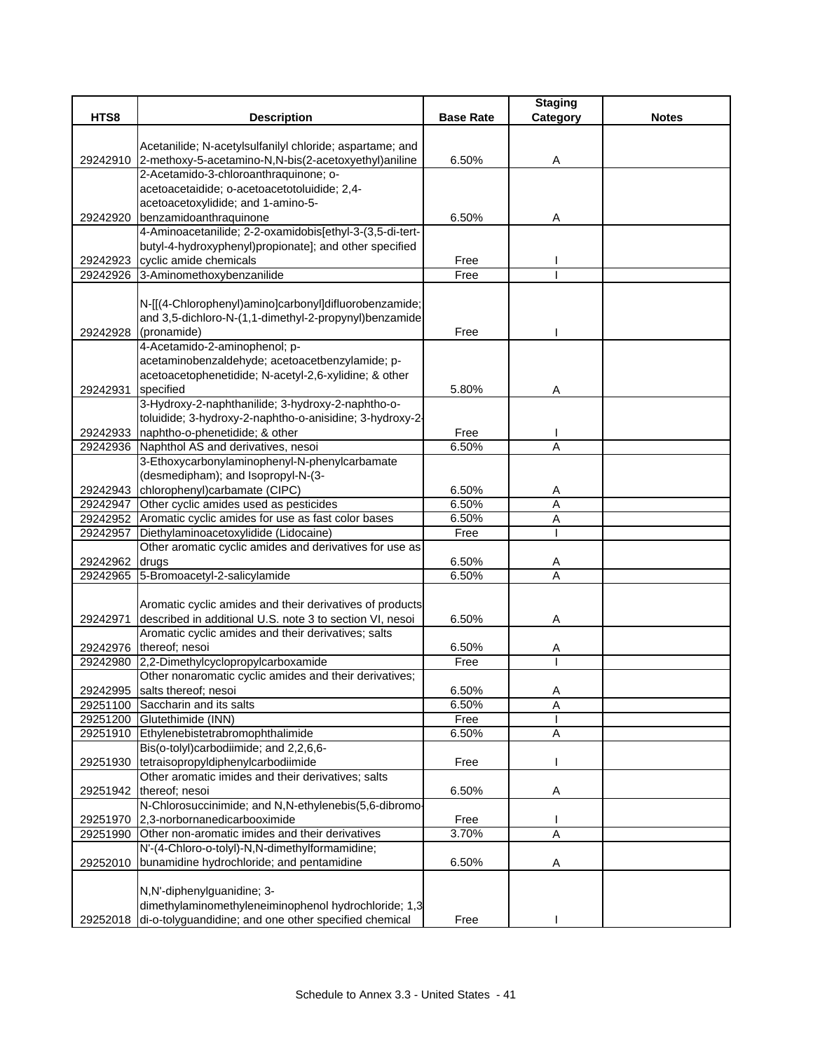|          |                                                                                                                      |                  | <b>Staging</b> |              |
|----------|----------------------------------------------------------------------------------------------------------------------|------------------|----------------|--------------|
| HTS8     | <b>Description</b>                                                                                                   | <b>Base Rate</b> | Category       | <b>Notes</b> |
|          |                                                                                                                      |                  |                |              |
|          | Acetanilide; N-acetylsulfanilyl chloride; aspartame; and                                                             |                  |                |              |
|          | 29242910 2-methoxy-5-acetamino-N,N-bis(2-acetoxyethyl)aniline                                                        | 6.50%            | Α              |              |
|          | 2-Acetamido-3-chloroanthraquinone; o-<br>acetoacetaidide; o-acetoacetotoluidide; 2,4-                                |                  |                |              |
|          | acetoacetoxylidide; and 1-amino-5-                                                                                   |                  |                |              |
| 29242920 | benzamidoanthraquinone                                                                                               | 6.50%            | Α              |              |
|          | 4-Aminoacetanilide; 2-2-oxamidobis[ethyl-3-(3,5-di-tert-                                                             |                  |                |              |
|          | butyl-4-hydroxyphenyl)propionate]; and other specified                                                               |                  |                |              |
| 29242923 | cyclic amide chemicals                                                                                               | Free             |                |              |
|          | 29242926 3-Aminomethoxybenzanilide                                                                                   | Free             |                |              |
|          |                                                                                                                      |                  |                |              |
|          | N-[[(4-Chlorophenyl)amino]carbonyl]difluorobenzamide;                                                                |                  |                |              |
|          | and 3,5-dichloro-N-(1,1-dimethyl-2-propynyl)benzamide                                                                |                  |                |              |
| 29242928 | (pronamide)                                                                                                          | Free             |                |              |
|          | 4-Acetamido-2-aminophenol; p-                                                                                        |                  |                |              |
|          | acetaminobenzaldehyde; acetoacetbenzylamide; p-                                                                      |                  |                |              |
|          | acetoacetophenetidide; N-acetyl-2,6-xylidine; & other                                                                |                  |                |              |
| 29242931 | specified                                                                                                            | 5.80%            | Α              |              |
|          | 3-Hydroxy-2-naphthanilide; 3-hydroxy-2-naphtho-o-                                                                    |                  |                |              |
|          | toluidide; 3-hydroxy-2-naphtho-o-anisidine; 3-hydroxy-2-                                                             |                  |                |              |
| 29242933 | naphtho-o-phenetidide; & other                                                                                       | Free             |                |              |
| 29242936 | Naphthol AS and derivatives, nesoi                                                                                   | 6.50%            | A              |              |
|          | 3-Ethoxycarbonylaminophenyl-N-phenylcarbamate                                                                        |                  |                |              |
|          | (desmedipham); and Isopropyl-N-(3-                                                                                   |                  |                |              |
|          | 29242943 chlorophenyl)carbamate (CIPC)                                                                               | 6.50%            | A              |              |
| 29242947 | Other cyclic amides used as pesticides                                                                               | 6.50%            | A              |              |
| 29242952 | Aromatic cyclic amides for use as fast color bases                                                                   | 6.50%            | Α              |              |
| 29242957 | Diethylaminoacetoxylidide (Lidocaine)                                                                                | Free             |                |              |
|          | Other aromatic cyclic amides and derivatives for use as                                                              |                  |                |              |
| 29242962 | drugs                                                                                                                | 6.50%            | A              |              |
|          | 29242965 5-Bromoacetyl-2-salicylamide                                                                                | 6.50%            | A              |              |
|          |                                                                                                                      |                  |                |              |
| 29242971 | Aromatic cyclic amides and their derivatives of products<br>described in additional U.S. note 3 to section VI, nesoi | 6.50%            |                |              |
|          | Aromatic cyclic amides and their derivatives; salts                                                                  |                  | Α              |              |
|          | 29242976 thereof; nesoi                                                                                              | 6.50%            | A              |              |
|          | 29242980 2,2-Dimethylcyclopropylcarboxamide                                                                          | Free             |                |              |
|          | Other nonaromatic cyclic amides and their derivatives;                                                               |                  |                |              |
|          | 29242995 salts thereof; nesoi                                                                                        | 6.50%            | Α              |              |
|          | 29251100 Saccharin and its salts                                                                                     | 6.50%            | Α              |              |
|          | 29251200 Glutethimide (INN)                                                                                          | Free             |                |              |
|          | 29251910 Ethylenebistetrabromophthalimide                                                                            | 6.50%            | A              |              |
|          | Bis(o-tolyl)carbodiimide; and 2,2,6,6-                                                                               |                  |                |              |
| 29251930 | tetraisopropyldiphenylcarbodiimide                                                                                   | Free             |                |              |
|          | Other aromatic imides and their derivatives; salts                                                                   |                  |                |              |
|          | 29251942 thereof; nesoi                                                                                              | 6.50%            | A              |              |
|          | N-Chlorosuccinimide; and N,N-ethylenebis(5,6-dibromo-                                                                |                  |                |              |
|          | 29251970 2,3-norbornanedicarbooximide                                                                                | Free             |                |              |
| 29251990 | Other non-aromatic imides and their derivatives                                                                      | 3.70%            | $\overline{A}$ |              |
|          | N'-(4-Chloro-o-tolyl)-N,N-dimethylformamidine;                                                                       |                  |                |              |
| 29252010 | bunamidine hydrochloride; and pentamidine                                                                            | 6.50%            | A              |              |
|          |                                                                                                                      |                  |                |              |
|          | N,N'-diphenylguanidine; 3-                                                                                           |                  |                |              |
|          | dimethylaminomethyleneiminophenol hydrochloride; 1,3                                                                 |                  |                |              |
| 29252018 | di-o-tolyguandidine; and one other specified chemical                                                                | Free             |                |              |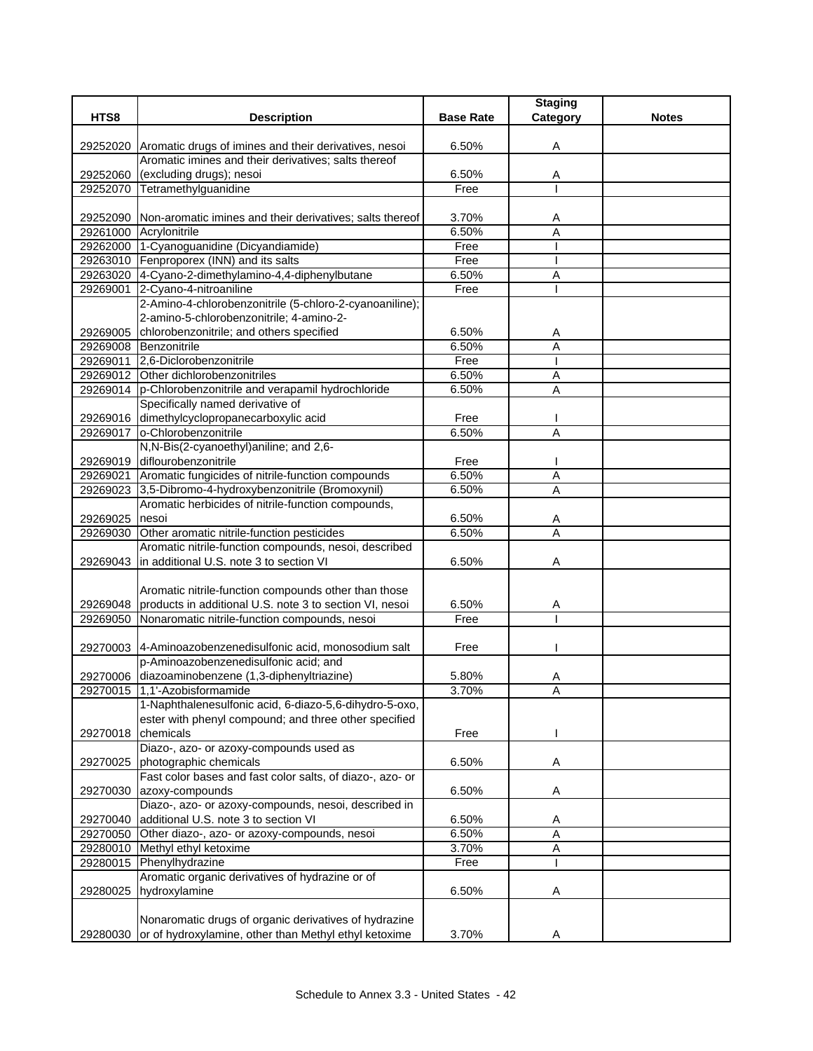|                |                                                                                                     |                  | <b>Staging</b>      |              |
|----------------|-----------------------------------------------------------------------------------------------------|------------------|---------------------|--------------|
| HTS8           | <b>Description</b>                                                                                  | <b>Base Rate</b> | Category            | <b>Notes</b> |
|                | 29252020 Aromatic drugs of imines and their derivatives, nesoi                                      | 6.50%            | Α                   |              |
|                | Aromatic imines and their derivatives; salts thereof                                                |                  |                     |              |
| 29252060       | (excluding drugs); nesoi                                                                            | 6.50%            | Α                   |              |
| 29252070       | Tetramethylguanidine                                                                                | Free             |                     |              |
|                |                                                                                                     |                  |                     |              |
|                | 29252090 Non-aromatic imines and their derivatives; salts thereof                                   | 3.70%            | A                   |              |
|                | 29261000 Acrylonitrile                                                                              | 6.50%            | Α                   |              |
|                | 29262000 1-Cyanoguanidine (Dicyandiamide)                                                           | Free             |                     |              |
|                | 29263010 Fenproporex (INN) and its salts                                                            | Free             |                     |              |
|                | 29263020 4-Cyano-2-dimethylamino-4,4-diphenylbutane                                                 | 6.50%            | A                   |              |
| 29269001       | 2-Cyano-4-nitroaniline                                                                              | Free             |                     |              |
|                | 2-Amino-4-chlorobenzonitrile (5-chloro-2-cyanoaniline);<br>2-amino-5-chlorobenzonitrile; 4-amino-2- |                  |                     |              |
| 29269005       | chlorobenzonitrile; and others specified                                                            | 6.50%            |                     |              |
|                | 29269008 Benzonitrile                                                                               | 6.50%            | A<br>$\overline{A}$ |              |
|                | 29269011 2,6-Diclorobenzonitrile                                                                    | Free             |                     |              |
|                | 29269012 Other dichlorobenzonitriles                                                                | 6.50%            | Α                   |              |
|                | 29269014 p-Chlorobenzonitrile and verapamil hydrochloride                                           | 6.50%            | A                   |              |
|                | Specifically named derivative of                                                                    |                  |                     |              |
|                | 29269016 dimethylcyclopropanecarboxylic acid                                                        | Free             |                     |              |
| 29269017       | o-Chlorobenzonitrile                                                                                | 6.50%            | Α                   |              |
|                | N,N-Bis(2-cyanoethyl)aniline; and 2,6-                                                              |                  |                     |              |
|                | 29269019 diflourobenzonitrile                                                                       | Free             |                     |              |
|                | 29269021 Aromatic fungicides of nitrile-function compounds                                          | 6.50%            | $\overline{A}$      |              |
|                | 29269023 3,5-Dibromo-4-hydroxybenzonitrile (Bromoxynil)                                             | 6.50%            | $\overline{A}$      |              |
|                | Aromatic herbicides of nitrile-function compounds,                                                  |                  |                     |              |
| 29269025 nesoi |                                                                                                     | 6.50%            | A                   |              |
|                | 29269030 Other aromatic nitrile-function pesticides                                                 | 6.50%            | $\overline{A}$      |              |
|                | Aromatic nitrile-function compounds, nesoi, described                                               |                  |                     |              |
|                | 29269043 In additional U.S. note 3 to section VI                                                    | 6.50%            | Α                   |              |
|                |                                                                                                     |                  |                     |              |
|                | Aromatic nitrile-function compounds other than those                                                |                  |                     |              |
|                | 29269048 products in additional U.S. note 3 to section VI, nesoi                                    | 6.50%            | Α                   |              |
|                | 29269050 Nonaromatic nitrile-function compounds, nesoi                                              | Free             |                     |              |
|                | 29270003 4-Aminoazobenzenedisulfonic acid, monosodium salt                                          | Free             |                     |              |
|                | p-Aminoazobenzenedisulfonic acid; and                                                               |                  |                     |              |
|                | 29270006 diazoaminobenzene (1,3-diphenyltriazine)                                                   | 5.80%            | Α                   |              |
|                | 29270015 1,1'-Azobisformamide                                                                       | 3.70%            | Α                   |              |
|                | 1-Naphthalenesulfonic acid, 6-diazo-5,6-dihydro-5-oxo,                                              |                  |                     |              |
|                | ester with phenyl compound; and three other specified                                               |                  |                     |              |
| 29270018       | chemicals                                                                                           | Free             |                     |              |
|                | Diazo-, azo- or azoxy-compounds used as                                                             |                  |                     |              |
| 29270025       | photographic chemicals                                                                              | 6.50%            | Α                   |              |
|                | Fast color bases and fast color salts, of diazo-, azo- or                                           |                  |                     |              |
| 29270030       | azoxy-compounds                                                                                     | 6.50%            | A                   |              |
|                | Diazo-, azo- or azoxy-compounds, nesoi, described in                                                |                  |                     |              |
| 29270040       | additional U.S. note 3 to section VI                                                                | 6.50%            | Α                   |              |
| 29270050       | Other diazo-, azo- or azoxy-compounds, nesoi                                                        | 6.50%            | A                   |              |
| 29280010       | Methyl ethyl ketoxime                                                                               | 3.70%            | A                   |              |
| 29280015       | Phenylhydrazine                                                                                     | Free             |                     |              |
|                | Aromatic organic derivatives of hydrazine or of                                                     |                  |                     |              |
| 29280025       | hydroxylamine                                                                                       | 6.50%            | Α                   |              |
|                |                                                                                                     |                  |                     |              |
|                | Nonaromatic drugs of organic derivatives of hydrazine                                               |                  |                     |              |
|                | 29280030 or of hydroxylamine, other than Methyl ethyl ketoxime                                      | 3.70%            | A                   |              |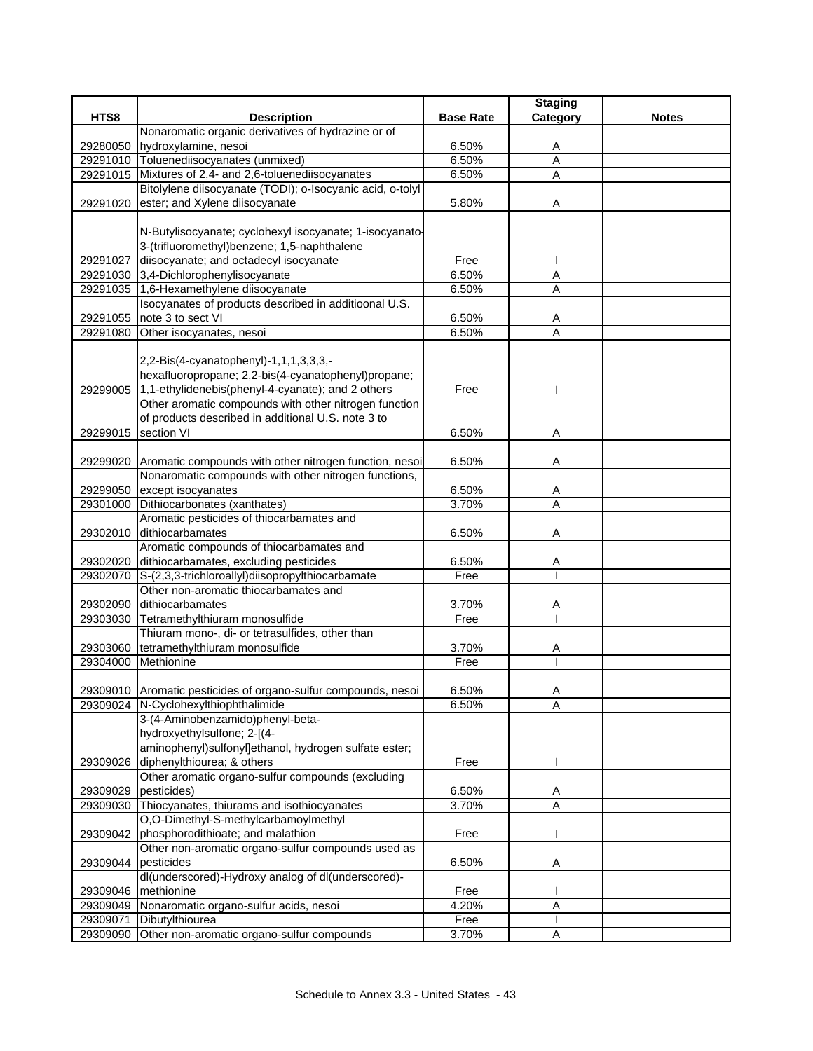|          |                                                                        |                  | <b>Staging</b> |              |
|----------|------------------------------------------------------------------------|------------------|----------------|--------------|
| HTS8     | <b>Description</b>                                                     | <b>Base Rate</b> | Category       | <b>Notes</b> |
|          | Nonaromatic organic derivatives of hydrazine or of                     |                  |                |              |
|          | 29280050 hydroxylamine, nesoi                                          | 6.50%            | Α              |              |
|          | 29291010 Toluenediisocyanates (unmixed)                                | 6.50%            | $\overline{A}$ |              |
|          | 29291015 Mixtures of 2,4- and 2,6-toluenediisocyanates                 | 6.50%            | $\overline{A}$ |              |
|          | Bitolylene diisocyanate (TODI); o-Isocyanic acid, o-tolyl              |                  |                |              |
|          | 29291020 ester; and Xylene diisocyanate                                | 5.80%            | Α              |              |
|          |                                                                        |                  |                |              |
|          | N-Butylisocyanate; cyclohexyl isocyanate; 1-isocyanato-                |                  |                |              |
|          | 3-(trifluoromethyl)benzene; 1,5-naphthalene                            |                  |                |              |
| 29291027 | diisocyanate; and octadecyl isocyanate                                 | Free             |                |              |
|          | 29291030 3,4-Dichlorophenylisocyanate                                  | 6.50%            | $\overline{A}$ |              |
|          | 29291035 1,6-Hexamethylene diisocyanate                                | 6.50%            | A              |              |
|          | Isocyanates of products described in additioonal U.S.                  |                  |                |              |
| 29291055 | note 3 to sect VI                                                      | 6.50%            | A              |              |
| 29291080 | Other isocyanates, nesoi                                               | 6.50%            | A              |              |
|          |                                                                        |                  |                |              |
|          | 2,2-Bis(4-cyanatophenyl)-1,1,1,3,3,3,-                                 |                  |                |              |
|          | hexafluoropropane; 2,2-bis(4-cyanatophenyl)propane;                    |                  |                |              |
|          | 29299005 1,1-ethylidenebis(phenyl-4-cyanate); and 2 others             | Free             |                |              |
|          | Other aromatic compounds with other nitrogen function                  |                  |                |              |
|          | of products described in additional U.S. note 3 to                     |                  |                |              |
| 29299015 | section VI                                                             | 6.50%            | Α              |              |
|          |                                                                        |                  |                |              |
|          | 29299020 Aromatic compounds with other nitrogen function, nesoi        | 6.50%            | Α              |              |
|          | Nonaromatic compounds with other nitrogen functions,                   |                  |                |              |
|          | 29299050 except isocyanates                                            | 6.50%            | A              |              |
| 29301000 | Dithiocarbonates (xanthates)                                           | 3.70%            | Α              |              |
|          | Aromatic pesticides of thiocarbamates and                              |                  |                |              |
|          | 29302010 dithiocarbamates                                              | 6.50%            | Α              |              |
|          | Aromatic compounds of thiocarbamates and                               |                  |                |              |
|          | 29302020 dithiocarbamates, excluding pesticides                        | 6.50%            | Α              |              |
| 29302070 | S-(2,3,3-trichloroallyl)diisopropylthiocarbamate                       | Free             |                |              |
|          | Other non-aromatic thiocarbamates and                                  |                  |                |              |
|          | 29302090 dithiocarbamates                                              | 3.70%            | A              |              |
| 29303030 | Tetramethylthiuram monosulfide                                         | Free             |                |              |
|          | Thiuram mono-, di- or tetrasulfides, other than                        |                  |                |              |
| 29303060 | tetramethylthiuram monosulfide                                         | 3.70%            | A              |              |
| 29304000 | Methionine                                                             | Free             |                |              |
|          |                                                                        |                  |                |              |
|          | 29309010 Aromatic pesticides of organo-sulfur compounds, nesoi         | 6.50%            | A              |              |
|          | 29309024 N-Cyclohexylthiophthalimide                                   | 6.50%            | A              |              |
|          | 3-(4-Aminobenzamido)phenyl-beta-                                       |                  |                |              |
|          | hydroxyethylsulfone; 2-[(4-                                            |                  |                |              |
|          | aminophenyl)sulfonyl]ethanol, hydrogen sulfate ester;                  |                  |                |              |
| 29309026 | diphenylthiourea; & others                                             | Free             |                |              |
|          | Other aromatic organo-sulfur compounds (excluding                      |                  |                |              |
| 29309029 | pesticides)                                                            | 6.50%            | A              |              |
| 29309030 | Thiocyanates, thiurams and isothiocyanates                             | 3.70%            | $\overline{A}$ |              |
|          | O,O-Dimethyl-S-methylcarbamoylmethyl                                   |                  |                |              |
| 29309042 | phosphorodithioate; and malathion                                      | Free             |                |              |
|          | Other non-aromatic organo-sulfur compounds used as                     |                  |                |              |
| 29309044 | pesticides<br>dl(underscored)-Hydroxy analog of dl(underscored)-       | 6.50%            | Α              |              |
|          |                                                                        |                  |                |              |
|          | 29309046 methionine<br>29309049 Nonaromatic organo-sulfur acids, nesoi | Free<br>4.20%    | $\overline{A}$ |              |
| 29309071 | Dibutylthiourea                                                        | Free             |                |              |
| 29309090 | Other non-aromatic organo-sulfur compounds                             | 3.70%            | Α              |              |
|          |                                                                        |                  |                |              |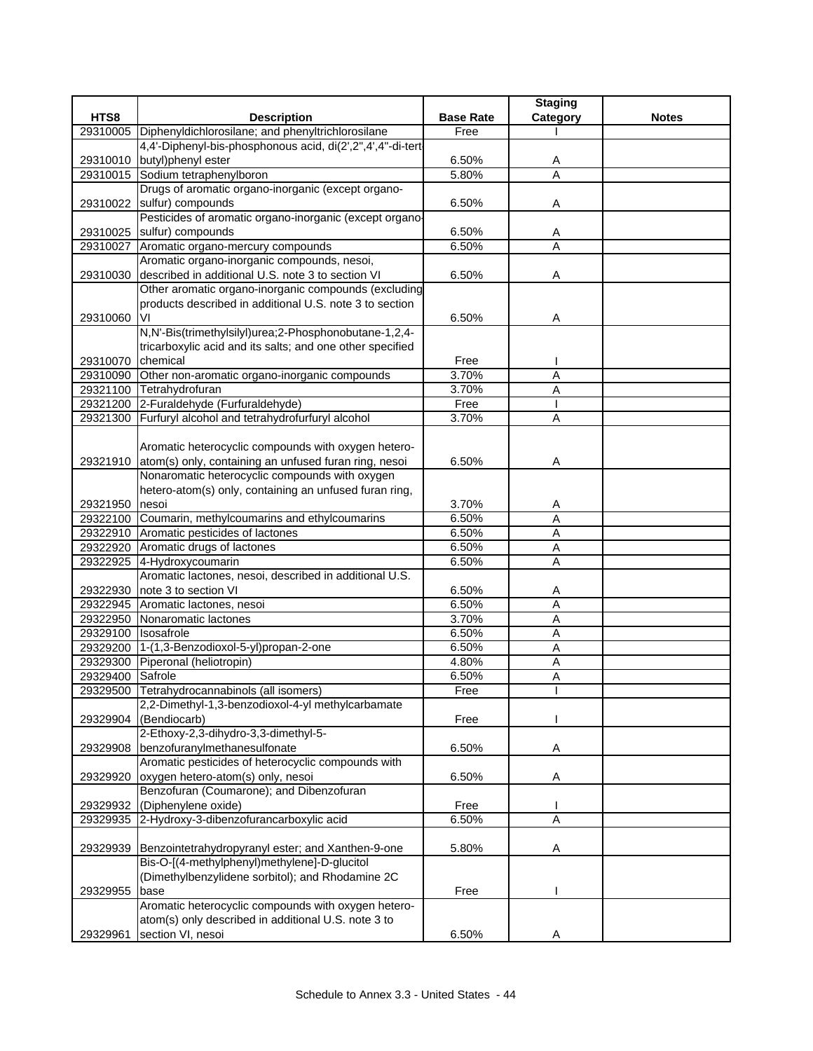|                   |                                                                |                  | <b>Staging</b> |              |
|-------------------|----------------------------------------------------------------|------------------|----------------|--------------|
| HTS8              | <b>Description</b>                                             | <b>Base Rate</b> | Category       | <b>Notes</b> |
|                   | 29310005 Diphenyldichlorosilane; and phenyltrichlorosilane     | Free             |                |              |
|                   | 4,4'-Diphenyl-bis-phosphonous acid, di(2',2",4',4"-di-tert     |                  |                |              |
|                   | 29310010 butyl)phenyl ester                                    | 6.50%            | A              |              |
|                   | 29310015 Sodium tetraphenylboron                               | 5.80%            | $\overline{A}$ |              |
|                   | Drugs of aromatic organo-inorganic (except organo-             |                  |                |              |
| 29310022          | sulfur) compounds                                              | 6.50%            | Α              |              |
|                   | Pesticides of aromatic organo-inorganic (except organo-        |                  |                |              |
| 29310025          | sulfur) compounds                                              | 6.50%            | A              |              |
|                   | 29310027 Aromatic organo-mercury compounds                     | 6.50%            | A              |              |
|                   | Aromatic organo-inorganic compounds, nesoi,                    |                  |                |              |
| 29310030          | described in additional U.S. note 3 to section VI              | 6.50%            | Α              |              |
|                   | Other aromatic organo-inorganic compounds (excluding           |                  |                |              |
|                   | products described in additional U.S. note 3 to section        |                  |                |              |
| 29310060          | VI                                                             | 6.50%            | Α              |              |
|                   | N,N'-Bis(trimethylsilyl)urea;2-Phosphonobutane-1,2,4-          |                  |                |              |
|                   | tricarboxylic acid and its salts; and one other specified      |                  |                |              |
| 29310070 chemical |                                                                | Free             |                |              |
|                   | 29310090 Other non-aromatic organo-inorganic compounds         | 3.70%            | Α              |              |
|                   | 29321100 Tetrahydrofuran                                       | 3.70%            | A              |              |
|                   | 29321200 2-Furaldehyde (Furfuraldehyde)                        | Free             |                |              |
|                   | 29321300 Furfuryl alcohol and tetrahydrofurfuryl alcohol       | 3.70%            | $\overline{A}$ |              |
|                   |                                                                |                  |                |              |
|                   | Aromatic heterocyclic compounds with oxygen hetero-            |                  |                |              |
|                   | 29321910 atom(s) only, containing an unfused furan ring, nesoi | 6.50%            | Α              |              |
|                   | Nonaromatic heterocyclic compounds with oxygen                 |                  |                |              |
|                   | hetero-atom(s) only, containing an unfused furan ring,         |                  |                |              |
| 29321950 nesoi    |                                                                | 3.70%            | A              |              |
|                   | 29322100 Coumarin, methylcoumarins and ethylcoumarins          | 6.50%            | Α              |              |
|                   | 29322910 Aromatic pesticides of lactones                       | 6.50%            | A              |              |
|                   | 29322920 Aromatic drugs of lactones                            | 6.50%            | A              |              |
|                   | 29322925 4-Hydroxycoumarin                                     | 6.50%            | $\overline{A}$ |              |
|                   | Aromatic lactones, nesoi, described in additional U.S.         |                  |                |              |
| 29322930          | note 3 to section VI                                           | 6.50%            | A              |              |
|                   | 29322945 Aromatic lactones, nesoi                              | 6.50%            | A              |              |
|                   | 29322950 Nonaromatic lactones                                  | 3.70%            | Α              |              |
| 29329100          | Isosafrole                                                     | 6.50%            | A              |              |
|                   | 29329200 1-(1,3-Benzodioxol-5-yl)propan-2-one                  | 6.50%            | Α              |              |
|                   | 29329300 Piperonal (heliotropin)                               | 4.80%            | Α              |              |
| 29329400 Safrole  |                                                                | 6.50%            | A              |              |
|                   | 29329500 Tetrahydrocannabinols (all isomers)                   | Free             | T              |              |
|                   | 2,2-Dimethyl-1,3-benzodioxol-4-yl methylcarbamate              |                  |                |              |
| 29329904          | (Bendiocarb)                                                   | Free             |                |              |
|                   | 2-Ethoxy-2,3-dihydro-3,3-dimethyl-5-                           |                  |                |              |
| 29329908          | benzofuranylmethanesulfonate                                   | 6.50%            | Α              |              |
|                   | Aromatic pesticides of heterocyclic compounds with             |                  |                |              |
| 29329920          | oxygen hetero-atom(s) only, nesoi                              | 6.50%            | Α              |              |
|                   | Benzofuran (Coumarone); and Dibenzofuran                       |                  |                |              |
| 29329932          | (Diphenylene oxide)                                            | Free             |                |              |
| 29329935          | 2-Hydroxy-3-dibenzofurancarboxylic acid                        | 6.50%            | A              |              |
|                   |                                                                |                  |                |              |
| 29329939          | Benzointetrahydropyranyl ester; and Xanthen-9-one              | 5.80%            | Α              |              |
|                   | Bis-O-[(4-methylphenyl)methylene]-D-glucitol                   |                  |                |              |
|                   | (Dimethylbenzylidene sorbitol); and Rhodamine 2C               |                  |                |              |
| 29329955          | base                                                           | Free             |                |              |
|                   | Aromatic heterocyclic compounds with oxygen hetero-            |                  |                |              |
|                   | atom(s) only described in additional U.S. note 3 to            |                  |                |              |
| 29329961          | section VI, nesoi                                              | 6.50%            | Α              |              |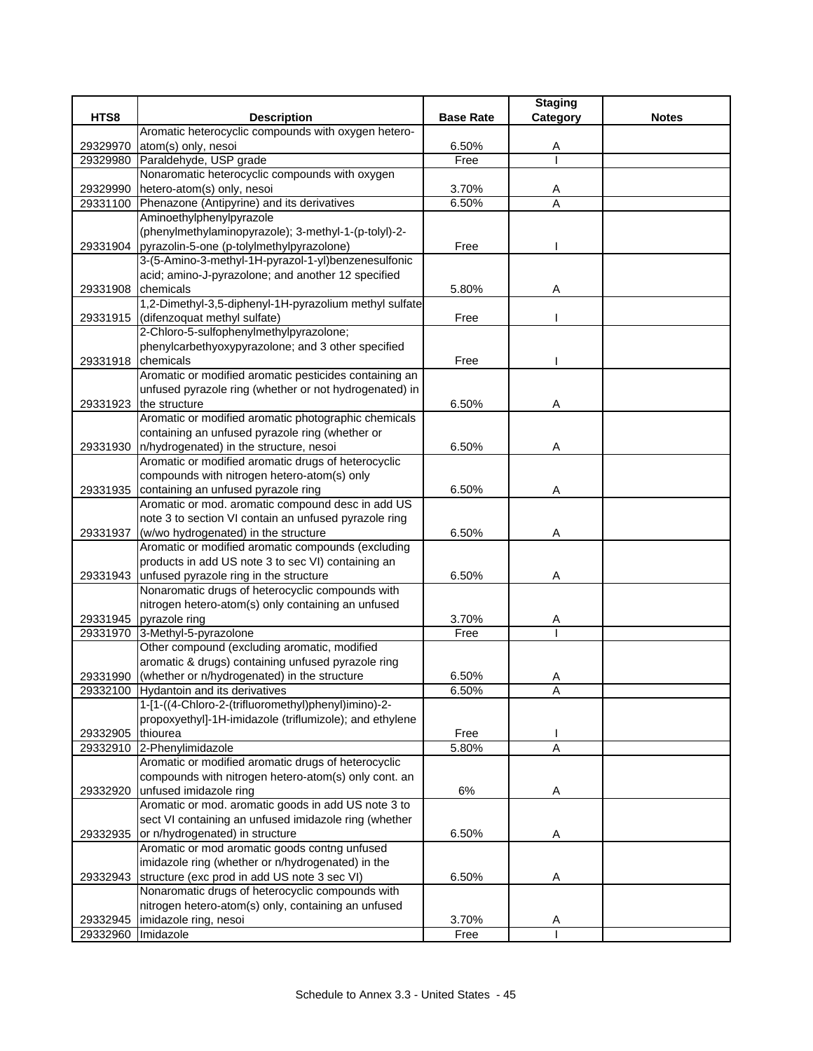|                    |                                                                                                        |                  | <b>Staging</b> |              |
|--------------------|--------------------------------------------------------------------------------------------------------|------------------|----------------|--------------|
| HTS8               | <b>Description</b>                                                                                     | <b>Base Rate</b> | Category       | <b>Notes</b> |
|                    | Aromatic heterocyclic compounds with oxygen hetero-                                                    |                  |                |              |
| 29329970           | atom(s) only, nesoi                                                                                    | 6.50%            | A              |              |
| 29329980           | Paraldehyde, USP grade                                                                                 | Free             |                |              |
|                    | Nonaromatic heterocyclic compounds with oxygen                                                         |                  |                |              |
| 29329990           | hetero-atom(s) only, nesoi                                                                             | 3.70%            | A              |              |
| 29331100           | Phenazone (Antipyrine) and its derivatives                                                             | 6.50%            | A              |              |
|                    | Aminoethylphenylpyrazole                                                                               |                  |                |              |
|                    | (phenylmethylaminopyrazole); 3-methyl-1-(p-tolyl)-2-                                                   |                  |                |              |
|                    | 29331904 pyrazolin-5-one (p-tolylmethylpyrazolone)                                                     | Free             |                |              |
|                    | 3-(5-Amino-3-methyl-1H-pyrazol-1-yl)benzenesulfonic                                                    |                  |                |              |
|                    | acid; amino-J-pyrazolone; and another 12 specified                                                     |                  |                |              |
| 29331908           | chemicals                                                                                              | 5.80%            | Α              |              |
|                    | 1,2-Dimethyl-3,5-diphenyl-1H-pyrazolium methyl sulfate                                                 |                  |                |              |
| 29331915           | (difenzoquat methyl sulfate)                                                                           | Free             |                |              |
|                    | 2-Chloro-5-sulfophenylmethylpyrazolone;                                                                |                  |                |              |
|                    | phenylcarbethyoxypyrazolone; and 3 other specified                                                     |                  |                |              |
| 29331918 chemicals |                                                                                                        | Free             |                |              |
|                    | Aromatic or modified aromatic pesticides containing an                                                 |                  |                |              |
|                    | unfused pyrazole ring (whether or not hydrogenated) in                                                 |                  |                |              |
| 29331923           | the structure                                                                                          | 6.50%            | Α              |              |
|                    | Aromatic or modified aromatic photographic chemicals                                                   |                  |                |              |
|                    | containing an unfused pyrazole ring (whether or                                                        |                  |                |              |
| 29331930           | n/hydrogenated) in the structure, nesoi                                                                | 6.50%            | Α              |              |
|                    | Aromatic or modified aromatic drugs of heterocyclic                                                    |                  |                |              |
|                    | compounds with nitrogen hetero-atom(s) only                                                            |                  |                |              |
|                    | 29331935 containing an unfused pyrazole ring                                                           | 6.50%            | Α              |              |
|                    | Aromatic or mod. aromatic compound desc in add US                                                      |                  |                |              |
|                    | note 3 to section VI contain an unfused pyrazole ring                                                  |                  |                |              |
| 29331937           | (w/wo hydrogenated) in the structure                                                                   | 6.50%            | Α              |              |
|                    | Aromatic or modified aromatic compounds (excluding                                                     |                  |                |              |
|                    | products in add US note 3 to sec VI) containing an                                                     |                  |                |              |
|                    | 29331943 unfused pyrazole ring in the structure                                                        | 6.50%            | Α              |              |
|                    | Nonaromatic drugs of heterocyclic compounds with<br>nitrogen hetero-atom(s) only containing an unfused |                  |                |              |
|                    | 29331945 pyrazole ring                                                                                 | 3.70%            |                |              |
|                    |                                                                                                        | Free             | A              |              |
|                    | 29331970 3-Methyl-5-pyrazolone<br>Other compound (excluding aromatic, modified                         |                  |                |              |
|                    | aromatic & drugs) containing unfused pyrazole ring                                                     |                  |                |              |
|                    | 29331990 (whether or n/hydrogenated) in the structure                                                  | 6.50%            | Α              |              |
|                    | 29332100 Hydantoin and its derivatives                                                                 | 6.50%            | Α              |              |
|                    | 1-[1-((4-Chloro-2-(trifluoromethyl)phenyl)imino)-2-                                                    |                  |                |              |
|                    | propoxyethyl]-1H-imidazole (triflumizole); and ethylene                                                |                  |                |              |
| 29332905           | thiourea                                                                                               | Free             |                |              |
|                    | 29332910 2-Phenylimidazole                                                                             | 5.80%            | A              |              |
|                    | Aromatic or modified aromatic drugs of heterocyclic                                                    |                  |                |              |
|                    | compounds with nitrogen hetero-atom(s) only cont. an                                                   |                  |                |              |
| 29332920           | unfused imidazole ring                                                                                 | 6%               | A              |              |
|                    | Aromatic or mod. aromatic goods in add US note 3 to                                                    |                  |                |              |
|                    | sect VI containing an unfused imidazole ring (whether                                                  |                  |                |              |
| 29332935           | or n/hydrogenated) in structure                                                                        | 6.50%            | Α              |              |
|                    | Aromatic or mod aromatic goods contng unfused                                                          |                  |                |              |
|                    | imidazole ring (whether or n/hydrogenated) in the                                                      |                  |                |              |
| 29332943           | structure (exc prod in add US note 3 sec VI)                                                           | 6.50%            | Α              |              |
|                    | Nonaromatic drugs of heterocyclic compounds with                                                       |                  |                |              |
|                    | nitrogen hetero-atom(s) only, containing an unfused                                                    |                  |                |              |
| 29332945           | imidazole ring, nesoi                                                                                  | 3.70%            | A              |              |
| 29332960           | Imidazole                                                                                              | Free             |                |              |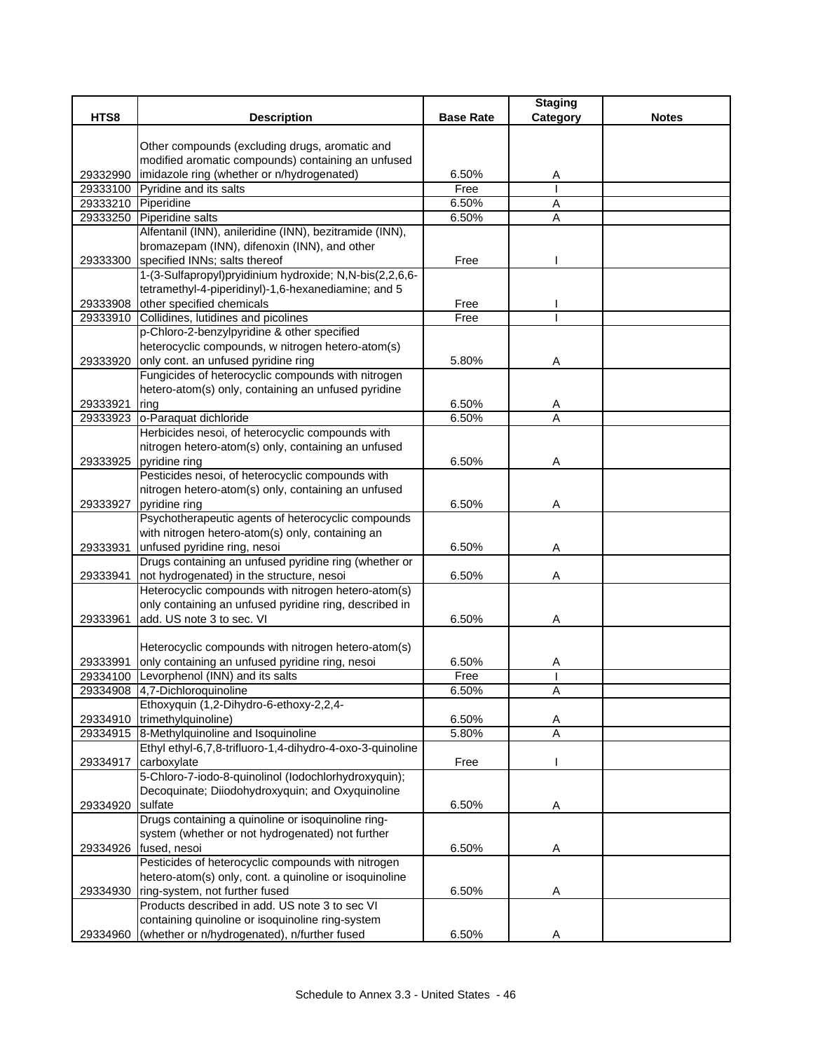|          |                                                           |                  | <b>Staging</b> |              |
|----------|-----------------------------------------------------------|------------------|----------------|--------------|
| HTS8     | <b>Description</b>                                        | <b>Base Rate</b> | Category       | <b>Notes</b> |
|          |                                                           |                  |                |              |
|          | Other compounds (excluding drugs, aromatic and            |                  |                |              |
|          | modified aromatic compounds) containing an unfused        |                  |                |              |
| 29332990 | imidazole ring (whether or n/hydrogenated)                | 6.50%            | A              |              |
| 29333100 | Pyridine and its salts                                    | Free             |                |              |
| 29333210 | Piperidine                                                | 6.50%            | Α              |              |
| 29333250 | Piperidine salts                                          | 6.50%            | Α              |              |
|          | Alfentanil (INN), anileridine (INN), bezitramide (INN),   |                  |                |              |
|          | bromazepam (INN), difenoxin (INN), and other              |                  |                |              |
|          | 29333300 specified INNs; salts thereof                    | Free             |                |              |
|          | 1-(3-Sulfapropyl)pryidinium hydroxide; N,N-bis(2,2,6,6-   |                  |                |              |
|          | tetramethyl-4-piperidinyl)-1,6-hexanediamine; and 5       |                  |                |              |
| 29333908 | other specified chemicals                                 | Free             |                |              |
| 29333910 | Collidines, lutidines and picolines                       | Free             |                |              |
|          | p-Chloro-2-benzylpyridine & other specified               |                  |                |              |
|          | heterocyclic compounds, w nitrogen hetero-atom(s)         |                  |                |              |
| 29333920 | only cont. an unfused pyridine ring                       | 5.80%            | A              |              |
|          | Fungicides of heterocyclic compounds with nitrogen        |                  |                |              |
|          | hetero-atom(s) only, containing an unfused pyridine       |                  |                |              |
| 29333921 | ring                                                      | 6.50%            | A              |              |
| 29333923 | o-Paraquat dichloride                                     | 6.50%            | A              |              |
|          | Herbicides nesoi, of heterocyclic compounds with          |                  |                |              |
|          | nitrogen hetero-atom(s) only, containing an unfused       |                  |                |              |
| 29333925 | pyridine ring                                             | 6.50%            | Α              |              |
|          | Pesticides nesoi, of heterocyclic compounds with          |                  |                |              |
|          | nitrogen hetero-atom(s) only, containing an unfused       |                  |                |              |
| 29333927 | pyridine ring                                             | 6.50%            | Α              |              |
|          | Psychotherapeutic agents of heterocyclic compounds        |                  |                |              |
|          | with nitrogen hetero-atom(s) only, containing an          |                  |                |              |
| 29333931 | unfused pyridine ring, nesoi                              | 6.50%            | Α              |              |
|          | Drugs containing an unfused pyridine ring (whether or     |                  |                |              |
| 29333941 | not hydrogenated) in the structure, nesoi                 | 6.50%            | Α              |              |
|          | Heterocyclic compounds with nitrogen hetero-atom(s)       |                  |                |              |
|          | only containing an unfused pyridine ring, described in    |                  |                |              |
| 29333961 | add. US note 3 to sec. VI                                 | 6.50%            | Α              |              |
|          |                                                           |                  |                |              |
|          | Heterocyclic compounds with nitrogen hetero-atom(s)       |                  |                |              |
| 29333991 | only containing an unfused pyridine ring, nesoi           | 6.50%            | Α              |              |
|          | 29334100 Levorphenol (INN) and its salts                  | Free             |                |              |
|          | 29334908 4,7-Dichloroquinoline                            | 6.50%            | Δ<br>n         |              |
|          | Ethoxyquin (1,2-Dihydro-6-ethoxy-2,2,4-                   |                  |                |              |
|          | 29334910 trimethylquinoline)                              | 6.50%            | A              |              |
|          | 29334915 8-Methylquinoline and Isoquinoline               | 5.80%            | $\overline{A}$ |              |
|          | Ethyl ethyl-6,7,8-trifluoro-1,4-dihydro-4-oxo-3-quinoline |                  |                |              |
| 29334917 | carboxylate                                               | Free             |                |              |
|          | 5-Chloro-7-iodo-8-quinolinol (lodochlorhydroxyquin);      |                  |                |              |
|          | Decoquinate; Diiodohydroxyquin; and Oxyquinoline          |                  |                |              |
| 29334920 | sulfate                                                   | 6.50%            | Α              |              |
|          | Drugs containing a quinoline or isoquinoline ring-        |                  |                |              |
|          | system (whether or not hydrogenated) not further          |                  |                |              |
| 29334926 | fused, nesoi                                              | 6.50%            | Α              |              |
|          | Pesticides of heterocyclic compounds with nitrogen        |                  |                |              |
|          | hetero-atom(s) only, cont. a quinoline or isoquinoline    |                  |                |              |
| 29334930 | ring-system, not further fused                            | 6.50%            | Α              |              |
|          | Products described in add. US note 3 to sec VI            |                  |                |              |
|          | containing quinoline or isoquinoline ring-system          |                  |                |              |
|          | (whether or n/hydrogenated), n/further fused              | 6.50%            |                |              |
| 29334960 |                                                           |                  | Α              |              |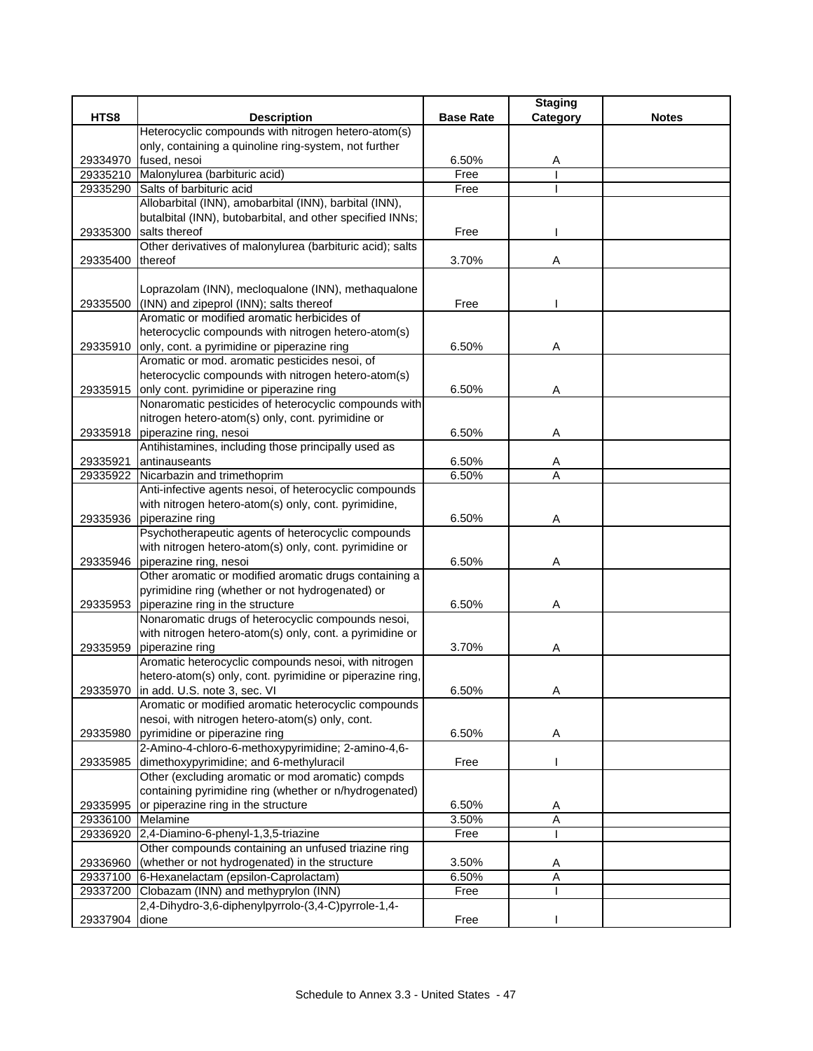|                               |                                                                                        |                  | <b>Staging</b> |              |
|-------------------------------|----------------------------------------------------------------------------------------|------------------|----------------|--------------|
| HTS8                          | <b>Description</b>                                                                     | <b>Base Rate</b> | Category       | <b>Notes</b> |
|                               | Heterocyclic compounds with nitrogen hetero-atom(s)                                    |                  |                |              |
|                               | only, containing a quinoline ring-system, not further                                  |                  |                |              |
| 29334970                      | fused, nesoi                                                                           | 6.50%            | Α              |              |
|                               | 29335210 Malonylurea (barbituric acid)                                                 | Free             |                |              |
| 29335290                      | Salts of barbituric acid                                                               | Free             |                |              |
|                               | Allobarbital (INN), amobarbital (INN), barbital (INN),                                 |                  |                |              |
|                               | butalbital (INN), butobarbital, and other specified INNs;                              |                  |                |              |
| 29335300                      | salts thereof                                                                          | Free             |                |              |
|                               | Other derivatives of malonylurea (barbituric acid); salts                              |                  |                |              |
| 29335400                      | thereof                                                                                | 3.70%            | Α              |              |
|                               |                                                                                        |                  |                |              |
|                               | Loprazolam (INN), mecloqualone (INN), methaqualone                                     | Free             |                |              |
| 29335500                      | (INN) and zipeprol (INN); salts thereof<br>Aromatic or modified aromatic herbicides of |                  |                |              |
|                               | heterocyclic compounds with nitrogen hetero-atom(s)                                    |                  |                |              |
| 29335910                      | only, cont. a pyrimidine or piperazine ring                                            | 6.50%            | Α              |              |
|                               | Aromatic or mod. aromatic pesticides nesoi, of                                         |                  |                |              |
|                               | heterocyclic compounds with nitrogen hetero-atom(s)                                    |                  |                |              |
| 29335915                      | only cont. pyrimidine or piperazine ring                                               | 6.50%            | Α              |              |
|                               | Nonaromatic pesticides of heterocyclic compounds with                                  |                  |                |              |
|                               | nitrogen hetero-atom(s) only, cont. pyrimidine or                                      |                  |                |              |
| 29335918                      | piperazine ring, nesoi                                                                 | 6.50%            | Α              |              |
|                               | Antihistamines, including those principally used as                                    |                  |                |              |
| 29335921                      | antinauseants                                                                          | 6.50%            | Α              |              |
| 29335922                      | Nicarbazin and trimethoprim                                                            | 6.50%            | A              |              |
|                               | Anti-infective agents nesoi, of heterocyclic compounds                                 |                  |                |              |
|                               | with nitrogen hetero-atom(s) only, cont. pyrimidine,                                   |                  |                |              |
| 29335936                      | piperazine ring                                                                        | 6.50%            | Α              |              |
|                               | Psychotherapeutic agents of heterocyclic compounds                                     |                  |                |              |
|                               | with nitrogen hetero-atom(s) only, cont. pyrimidine or                                 |                  |                |              |
| 29335946                      | piperazine ring, nesoi                                                                 | 6.50%            | Α              |              |
|                               | Other aromatic or modified aromatic drugs containing a                                 |                  |                |              |
|                               | pyrimidine ring (whether or not hydrogenated) or                                       |                  |                |              |
| 29335953                      | piperazine ring in the structure                                                       | 6.50%            | Α              |              |
|                               | Nonaromatic drugs of heterocyclic compounds nesoi,                                     |                  |                |              |
|                               | with nitrogen hetero-atom(s) only, cont. a pyrimidine or                               |                  |                |              |
| 29335959                      | piperazine ring                                                                        | 3.70%            | Α              |              |
|                               | Aromatic heterocyclic compounds nesoi, with nitrogen                                   |                  |                |              |
|                               | hetero-atom(s) only, cont. pyrimidine or piperazine ring,                              |                  |                |              |
|                               | 29335970 in add. U.S. note 3, sec. VI                                                  | 6.50%            | Α              |              |
|                               | Aromatic or modified aromatic heterocyclic compounds                                   |                  |                |              |
|                               | nesoi, with nitrogen hetero-atom(s) only, cont.                                        |                  |                |              |
| 29335980                      | pyrimidine or piperazine ring                                                          | 6.50%            | A              |              |
|                               | 2-Amino-4-chloro-6-methoxypyrimidine; 2-amino-4,6-                                     |                  |                |              |
| 29335985                      | dimethoxypyrimidine; and 6-methyluracil                                                | Free             |                |              |
|                               | Other (excluding aromatic or mod aromatic) compds                                      |                  |                |              |
|                               | containing pyrimidine ring (whether or n/hydrogenated)                                 |                  |                |              |
| 29335995                      | or piperazine ring in the structure                                                    | 6.50%            | A<br>A         |              |
| 29336100 Melamine<br>29336920 | 2,4-Diamino-6-phenyl-1,3,5-triazine                                                    | 3.50%<br>Free    |                |              |
|                               | Other compounds containing an unfused triazine ring                                    |                  |                |              |
| 29336960                      | (whether or not hydrogenated) in the structure                                         | 3.50%            | A              |              |
|                               | 29337100 6-Hexanelactam (epsilon-Caprolactam)                                          | 6.50%            | Α              |              |
|                               | 29337200 Clobazam (INN) and methyprylon (INN)                                          | Free             |                |              |
|                               | 2,4-Dihydro-3,6-diphenylpyrrolo-(3,4-C)pyrrole-1,4-                                    |                  |                |              |
| 29337904                      | dione                                                                                  | Free             |                |              |
|                               |                                                                                        |                  |                |              |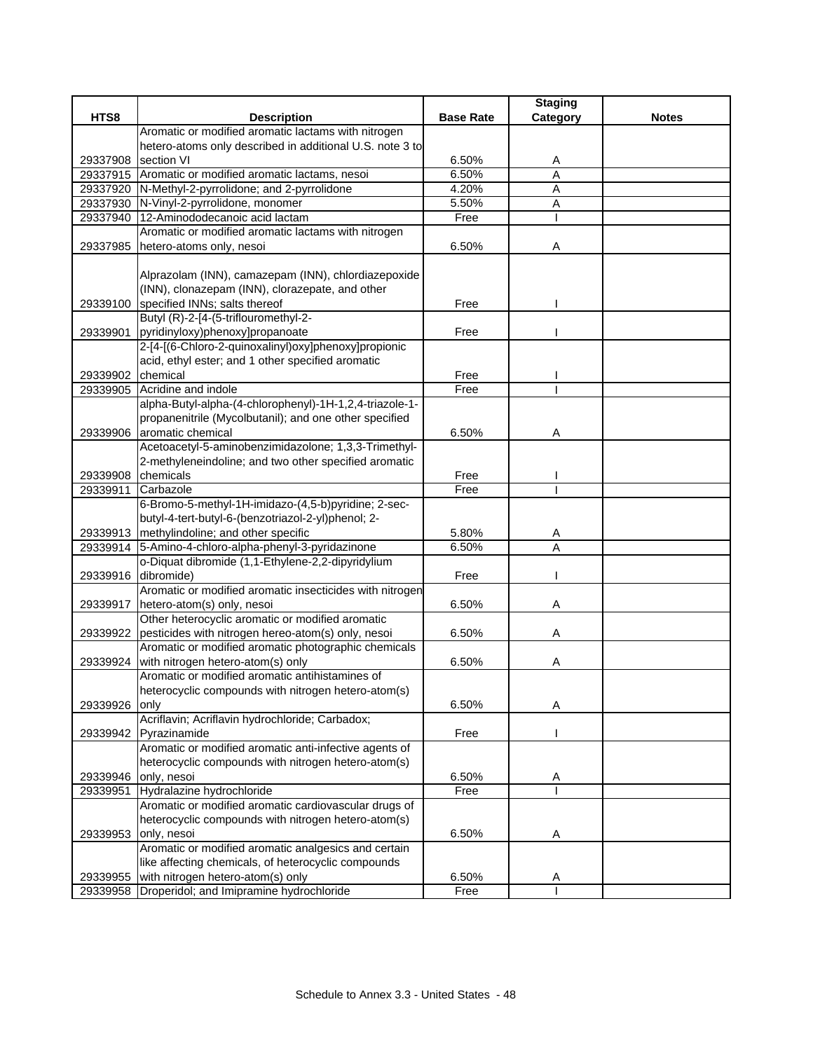|                    |                                                          |                  | <b>Staging</b> |              |
|--------------------|----------------------------------------------------------|------------------|----------------|--------------|
| HTS8               | <b>Description</b>                                       | <b>Base Rate</b> | Category       | <b>Notes</b> |
|                    | Aromatic or modified aromatic lactams with nitrogen      |                  |                |              |
|                    | hetero-atoms only described in additional U.S. note 3 to |                  |                |              |
| 29337908           | section VI                                               | 6.50%            | A              |              |
|                    | 29337915 Aromatic or modified aromatic lactams, nesoi    | 6.50%            | $\overline{A}$ |              |
|                    | 29337920 N-Methyl-2-pyrrolidone; and 2-pyrrolidone       | 4.20%            | A              |              |
|                    | 29337930 N-Vinyl-2-pyrrolidone, monomer                  | 5.50%            | A              |              |
| 29337940           | 12-Aminododecanoic acid lactam                           | Free             |                |              |
|                    | Aromatic or modified aromatic lactams with nitrogen      |                  |                |              |
| 29337985           | hetero-atoms only, nesoi                                 | 6.50%            | Α              |              |
|                    |                                                          |                  |                |              |
|                    | Alprazolam (INN), camazepam (INN), chlordiazepoxide      |                  |                |              |
|                    | (INN), clonazepam (INN), clorazepate, and other          |                  |                |              |
| 29339100           | specified INNs; salts thereof                            | Free             |                |              |
|                    | Butyl (R)-2-[4-(5-triflouromethyl-2-                     |                  |                |              |
|                    | 29339901 pyridinyloxy)phenoxy]propanoate                 | Free             |                |              |
|                    | 2-[4-[(6-Chloro-2-quinoxalinyl)oxy]phenoxy]propionic     |                  |                |              |
|                    | acid, ethyl ester; and 1 other specified aromatic        |                  |                |              |
| 29339902           | chemical                                                 | Free             |                |              |
| 29339905           | Acridine and indole                                      | Free             |                |              |
|                    | alpha-Butyl-alpha-(4-chlorophenyl)-1H-1,2,4-triazole-1-  |                  |                |              |
|                    | propanenitrile (Mycolbutanil); and one other specified   |                  |                |              |
| 29339906           | aromatic chemical                                        | 6.50%            | Α              |              |
|                    | Acetoacetyl-5-aminobenzimidazolone; 1,3,3-Trimethyl-     |                  |                |              |
|                    | 2-methyleneindoline; and two other specified aromatic    |                  |                |              |
| 29339908 chemicals |                                                          | Free             |                |              |
| 29339911           | Carbazole                                                | Free             |                |              |
|                    | 6-Bromo-5-methyl-1H-imidazo-(4,5-b)pyridine; 2-sec-      |                  |                |              |
|                    | butyl-4-tert-butyl-6-(benzotriazol-2-yl)phenol; 2-       |                  |                |              |
|                    | 29339913 methylindoline; and other specific              | 5.80%            | Α              |              |
| 29339914           | 5-Amino-4-chloro-alpha-phenyl-3-pyridazinone             | 6.50%            | A              |              |
|                    | o-Diquat dibromide (1,1-Ethylene-2,2-dipyridylium        |                  |                |              |
| 29339916           | dibromide)                                               | Free             |                |              |
|                    | Aromatic or modified aromatic insecticides with nitrogen |                  |                |              |
| 29339917           | hetero-atom(s) only, nesoi                               | 6.50%            | Α              |              |
|                    | Other heterocyclic aromatic or modified aromatic         |                  |                |              |
| 29339922           | pesticides with nitrogen hereo-atom(s) only, nesoi       | 6.50%            | Α              |              |
|                    | Aromatic or modified aromatic photographic chemicals     |                  |                |              |
| 29339924           | with nitrogen hetero-atom(s) only                        | 6.50%            | Α              |              |
|                    | Aromatic or modified aromatic antihistamines of          |                  |                |              |
|                    | heterocyclic compounds with nitrogen hetero-atom(s)      | 6.50%            |                |              |
| 29339926           | only<br>Acriflavin; Acriflavin hydrochloride; Carbadox;  |                  | Α              |              |
|                    | Pyrazinamide                                             | Free             |                |              |
| 29339942           | Aromatic or modified aromatic anti-infective agents of   |                  |                |              |
|                    | heterocyclic compounds with nitrogen hetero-atom(s)      |                  |                |              |
| 29339946           | only, nesoi                                              | 6.50%            | A              |              |
| 29339951           | Hydralazine hydrochloride                                | Free             |                |              |
|                    | Aromatic or modified aromatic cardiovascular drugs of    |                  |                |              |
|                    | heterocyclic compounds with nitrogen hetero-atom(s)      |                  |                |              |
| 29339953           | only, nesoi                                              | 6.50%            | A              |              |
|                    | Aromatic or modified aromatic analgesics and certain     |                  |                |              |
|                    | like affecting chemicals, of heterocyclic compounds      |                  |                |              |
| 29339955           | with nitrogen hetero-atom(s) only                        | 6.50%            | A              |              |
| 29339958           | Droperidol; and Imipramine hydrochloride                 | Free             |                |              |
|                    |                                                          |                  |                |              |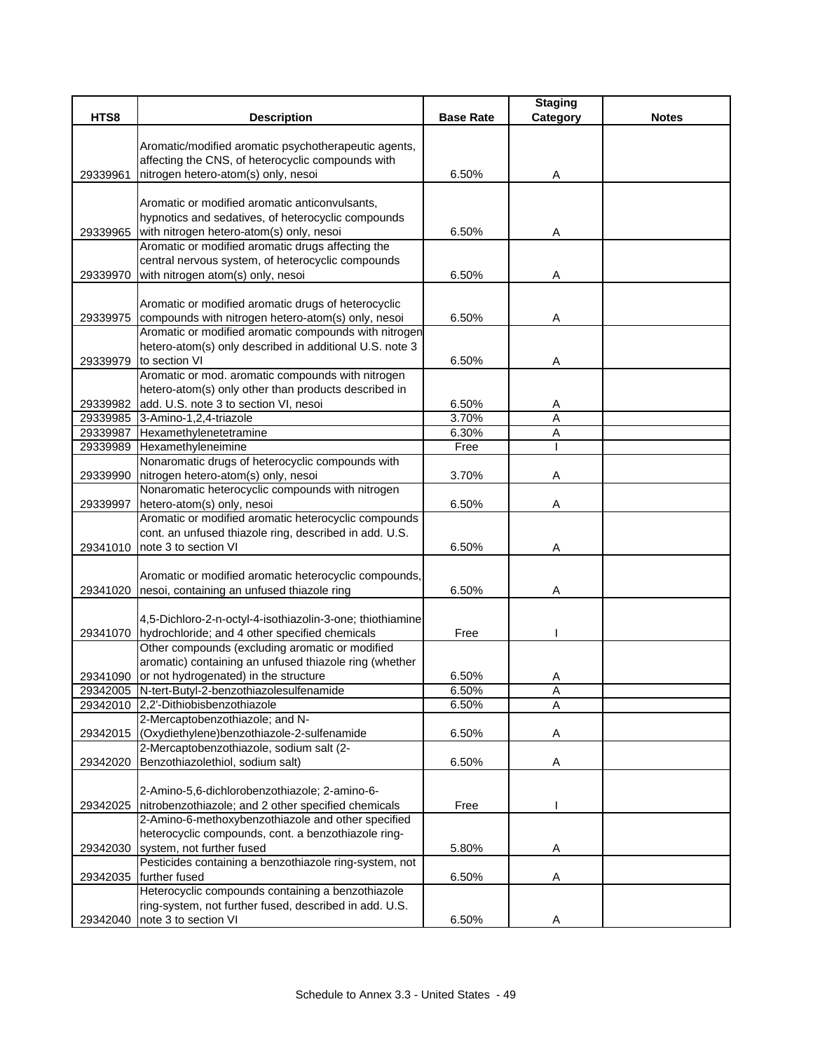|          |                                                                                                            |                  | <b>Staging</b>      |              |
|----------|------------------------------------------------------------------------------------------------------------|------------------|---------------------|--------------|
| HTS8     | <b>Description</b>                                                                                         | <b>Base Rate</b> | Category            | <b>Notes</b> |
|          |                                                                                                            |                  |                     |              |
|          | Aromatic/modified aromatic psychotherapeutic agents,                                                       |                  |                     |              |
|          | affecting the CNS, of heterocyclic compounds with                                                          | 6.50%            |                     |              |
| 29339961 | nitrogen hetero-atom(s) only, nesoi                                                                        |                  | Α                   |              |
|          | Aromatic or modified aromatic anticonvulsants,                                                             |                  |                     |              |
|          | hypnotics and sedatives, of heterocyclic compounds                                                         |                  |                     |              |
| 29339965 | with nitrogen hetero-atom(s) only, nesoi                                                                   | 6.50%            | Α                   |              |
|          | Aromatic or modified aromatic drugs affecting the                                                          |                  |                     |              |
|          | central nervous system, of heterocyclic compounds                                                          |                  |                     |              |
| 29339970 | with nitrogen atom(s) only, nesoi                                                                          | 6.50%            | Α                   |              |
|          |                                                                                                            |                  |                     |              |
|          | Aromatic or modified aromatic drugs of heterocyclic                                                        |                  |                     |              |
| 29339975 | compounds with nitrogen hetero-atom(s) only, nesoi                                                         | 6.50%            | Α                   |              |
|          | Aromatic or modified aromatic compounds with nitrogen                                                      |                  |                     |              |
|          | hetero-atom(s) only described in additional U.S. note 3                                                    |                  |                     |              |
| 29339979 | to section VI                                                                                              | 6.50%            | A                   |              |
|          | Aromatic or mod. aromatic compounds with nitrogen                                                          |                  |                     |              |
|          | hetero-atom(s) only other than products described in                                                       |                  |                     |              |
| 29339982 | add. U.S. note 3 to section VI, nesoi                                                                      | 6.50%<br>3.70%   | Α                   |              |
| 29339987 | 29339985 3-Amino-1,2,4-triazole<br>Hexamethylenetetramine                                                  | 6.30%            | $\overline{A}$<br>Α |              |
| 29339989 | Hexamethyleneimine                                                                                         | Free             |                     |              |
|          | Nonaromatic drugs of heterocyclic compounds with                                                           |                  |                     |              |
| 29339990 | nitrogen hetero-atom(s) only, nesoi                                                                        | 3.70%            | Α                   |              |
|          | Nonaromatic heterocyclic compounds with nitrogen                                                           |                  |                     |              |
| 29339997 | hetero-atom(s) only, nesoi                                                                                 | 6.50%            | Α                   |              |
|          | Aromatic or modified aromatic heterocyclic compounds                                                       |                  |                     |              |
|          | cont. an unfused thiazole ring, described in add. U.S.                                                     |                  |                     |              |
| 29341010 | note 3 to section VI                                                                                       | 6.50%            | Α                   |              |
|          |                                                                                                            |                  |                     |              |
|          | Aromatic or modified aromatic heterocyclic compounds,                                                      |                  |                     |              |
| 29341020 | nesoi, containing an unfused thiazole ring                                                                 | 6.50%            | Α                   |              |
|          |                                                                                                            |                  |                     |              |
|          | 4,5-Dichloro-2-n-octyl-4-isothiazolin-3-one; thiothiamine                                                  |                  |                     |              |
|          | 29341070 hydrochloride; and 4 other specified chemicals<br>Other compounds (excluding aromatic or modified | Free             |                     |              |
|          | aromatic) containing an unfused thiazole ring (whether                                                     |                  |                     |              |
|          | 29341090 or not hydrogenated) in the structure                                                             | 6.50%            | Α                   |              |
|          | 29342005 N-tert-Butyl-2-benzothiazolesulfenamide                                                           | 6.50%            | Α                   |              |
|          | 29342010 2,2'-Dithiobisbenzothiazole                                                                       | 6.50%            | A                   |              |
|          | 2-Mercaptobenzothiazole; and N-                                                                            |                  |                     |              |
|          | 29342015 (Oxydiethylene)benzothiazole-2-sulfenamide                                                        | 6.50%            | A                   |              |
|          | 2-Mercaptobenzothiazole, sodium salt (2-                                                                   |                  |                     |              |
| 29342020 | Benzothiazolethiol, sodium salt)                                                                           | 6.50%            | Α                   |              |
|          |                                                                                                            |                  |                     |              |
|          | 2-Amino-5,6-dichlorobenzothiazole; 2-amino-6-                                                              |                  |                     |              |
| 29342025 | nitrobenzothiazole; and 2 other specified chemicals                                                        | Free             |                     |              |
|          | 2-Amino-6-methoxybenzothiazole and other specified                                                         |                  |                     |              |
|          | heterocyclic compounds, cont. a benzothiazole ring-                                                        |                  |                     |              |
| 29342030 | system, not further fused                                                                                  | 5.80%            | Α                   |              |
|          | Pesticides containing a benzothiazole ring-system, not                                                     |                  |                     |              |
| 29342035 | further fused<br>Heterocyclic compounds containing a benzothiazole                                         | 6.50%            | Α                   |              |
|          | ring-system, not further fused, described in add. U.S.                                                     |                  |                     |              |
|          | 29342040 note 3 to section VI                                                                              | 6.50%            | Α                   |              |
|          |                                                                                                            |                  |                     |              |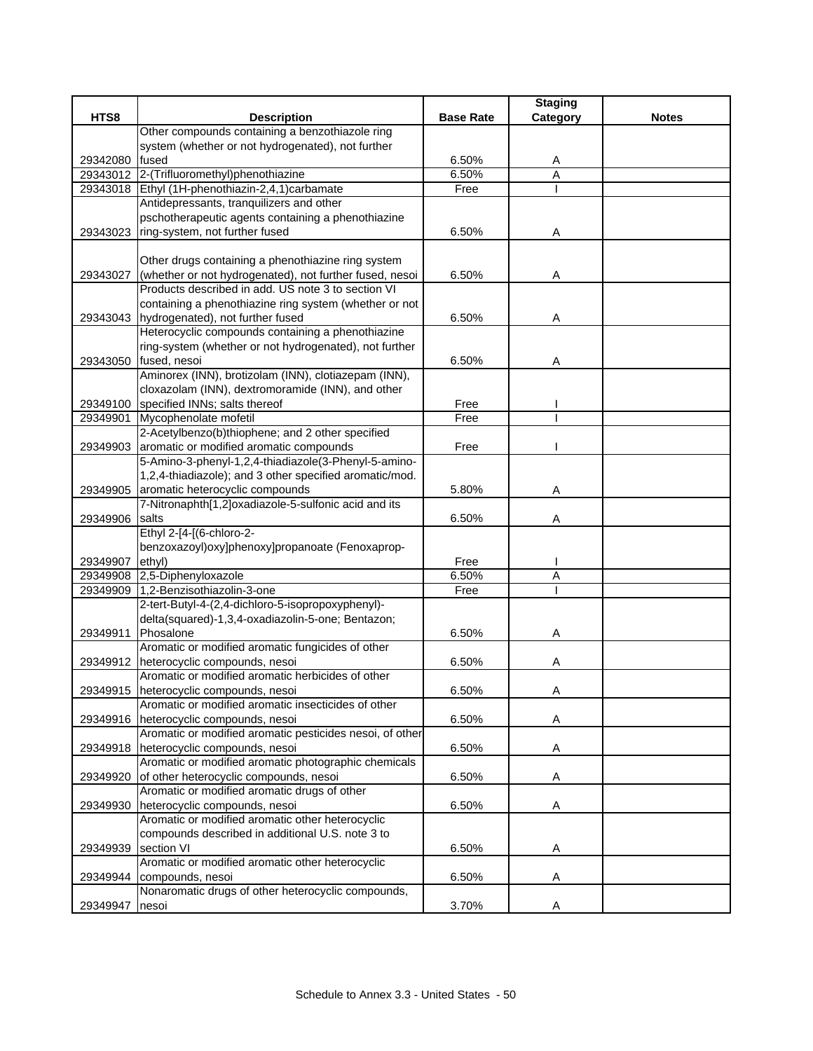|          |                                                          |                  | <b>Staging</b> |              |
|----------|----------------------------------------------------------|------------------|----------------|--------------|
| HTS8     | <b>Description</b>                                       | <b>Base Rate</b> | Category       | <b>Notes</b> |
|          | Other compounds containing a benzothiazole ring          |                  |                |              |
|          | system (whether or not hydrogenated), not further        |                  |                |              |
| 29342080 | fused                                                    | 6.50%            | A              |              |
|          | 29343012 2-(Trifluoromethyl)phenothiazine                | 6.50%            | $\overline{A}$ |              |
|          | 29343018 Ethyl (1H-phenothiazin-2,4,1)carbamate          | Free             |                |              |
|          | Antidepressants, tranquilizers and other                 |                  |                |              |
|          | pschotherapeutic agents containing a phenothiazine       |                  |                |              |
| 29343023 | ring-system, not further fused                           | 6.50%            | Α              |              |
|          |                                                          |                  |                |              |
|          | Other drugs containing a phenothiazine ring system       |                  |                |              |
| 29343027 | (whether or not hydrogenated), not further fused, nesoi  | 6.50%            | Α              |              |
|          | Products described in add. US note 3 to section VI       |                  |                |              |
|          | containing a phenothiazine ring system (whether or not   |                  |                |              |
|          | 29343043 hydrogenated), not further fused                | 6.50%            | Α              |              |
|          | Heterocyclic compounds containing a phenothiazine        |                  |                |              |
|          | ring-system (whether or not hydrogenated), not further   |                  |                |              |
| 29343050 | fused, nesoi                                             | 6.50%            | Α              |              |
|          | Aminorex (INN), brotizolam (INN), clotiazepam (INN),     |                  |                |              |
|          | cloxazolam (INN), dextromoramide (INN), and other        |                  |                |              |
|          | 29349100 specified INNs; salts thereof                   | Free             |                |              |
| 29349901 | Mycophenolate mofetil                                    | Free             |                |              |
|          | 2-Acetylbenzo(b)thiophene; and 2 other specified         |                  |                |              |
| 29349903 | aromatic or modified aromatic compounds                  | Free             |                |              |
|          | 5-Amino-3-phenyl-1,2,4-thiadiazole(3-Phenyl-5-amino-     |                  |                |              |
|          | 1,2,4-thiadiazole); and 3 other specified aromatic/mod.  |                  |                |              |
| 29349905 | aromatic heterocyclic compounds                          | 5.80%            | Α              |              |
|          | 7-Nitronaphth[1,2]oxadiazole-5-sulfonic acid and its     |                  |                |              |
| 29349906 | salts                                                    | 6.50%            | Α              |              |
|          | Ethyl 2-[4-[(6-chloro-2-                                 |                  |                |              |
|          | benzoxazoyl) oxy]phenoxy]propanoate (Fenoxaprop-         |                  |                |              |
| 29349907 | ethyl)                                                   | Free             |                |              |
| 29349908 | 2,5-Diphenyloxazole                                      | 6.50%            | Α              |              |
| 29349909 | 1,2-Benzisothiazolin-3-one                               | Free             |                |              |
|          | 2-tert-Butyl-4-(2,4-dichloro-5-isopropoxyphenyl)-        |                  |                |              |
|          | delta(squared)-1,3,4-oxadiazolin-5-one; Bentazon;        |                  |                |              |
| 29349911 | Phosalone                                                | 6.50%            | Α              |              |
|          | Aromatic or modified aromatic fungicides of other        |                  |                |              |
| 29349912 | heterocyclic compounds, nesoi                            | 6.50%            | Α              |              |
|          | Aromatic or modified aromatic herbicides of other        |                  |                |              |
|          | 29349915 heterocyclic compounds, nesoi                   | 6.50%            | A              |              |
|          | Aromatic or modified aromatic insecticides of other      |                  |                |              |
| 29349916 | heterocyclic compounds, nesoi                            | 6.50%            | Α              |              |
|          | Aromatic or modified aromatic pesticides nesoi, of other |                  |                |              |
| 29349918 | heterocyclic compounds, nesoi                            | 6.50%            | Α              |              |
|          | Aromatic or modified aromatic photographic chemicals     |                  |                |              |
| 29349920 | of other heterocyclic compounds, nesoi                   | 6.50%            | Α              |              |
|          | Aromatic or modified aromatic drugs of other             |                  |                |              |
| 29349930 | heterocyclic compounds, nesoi                            | 6.50%            | Α              |              |
|          | Aromatic or modified aromatic other heterocyclic         |                  |                |              |
|          | compounds described in additional U.S. note 3 to         |                  |                |              |
| 29349939 | section VI                                               | 6.50%            | Α              |              |
|          | Aromatic or modified aromatic other heterocyclic         |                  |                |              |
| 29349944 | compounds, nesoi                                         | 6.50%            | A              |              |
|          | Nonaromatic drugs of other heterocyclic compounds,       |                  |                |              |
| 29349947 | nesoi                                                    | 3.70%            | Α              |              |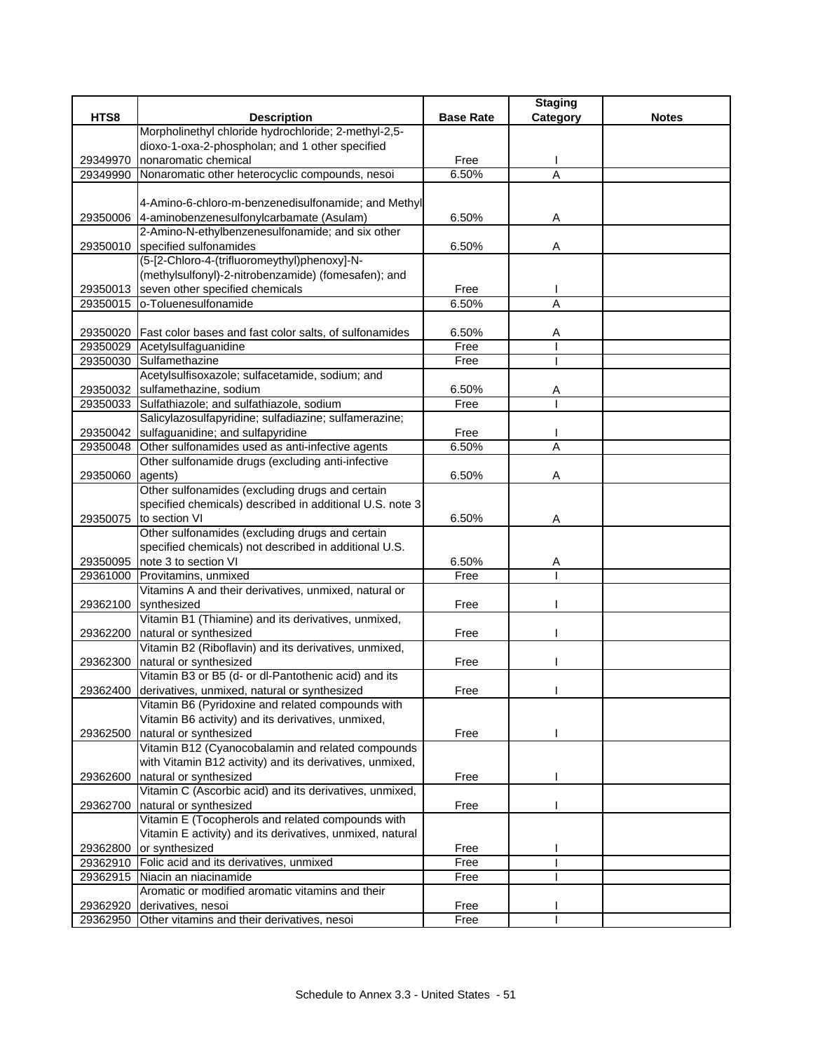|                      |                                                                                                                |                  | <b>Staging</b> |              |
|----------------------|----------------------------------------------------------------------------------------------------------------|------------------|----------------|--------------|
| HTS8                 | <b>Description</b>                                                                                             | <b>Base Rate</b> | Category       | <b>Notes</b> |
|                      | Morpholinethyl chloride hydrochloride; 2-methyl-2,5-                                                           |                  |                |              |
|                      | dioxo-1-oxa-2-phospholan; and 1 other specified                                                                |                  |                |              |
| 29349970             | nonaromatic chemical                                                                                           | Free             |                |              |
| 29349990             | Nonaromatic other heterocyclic compounds, nesoi                                                                | 6.50%            | $\overline{A}$ |              |
|                      |                                                                                                                |                  |                |              |
|                      | 4-Amino-6-chloro-m-benzenedisulfonamide; and Methyl                                                            |                  |                |              |
| 29350006             | 4-aminobenzenesulfonylcarbamate (Asulam)                                                                       | 6.50%            | Α              |              |
|                      | 2-Amino-N-ethylbenzenesulfonamide; and six other                                                               |                  |                |              |
|                      | 29350010 specified sulfonamides                                                                                | 6.50%            | Α              |              |
|                      | (5-[2-Chloro-4-(trifluoromeythyl)phenoxy]-N-                                                                   |                  |                |              |
|                      | (methylsulfonyl)-2-nitrobenzamide) (fomesafen); and                                                            |                  |                |              |
| 29350013             | seven other specified chemicals                                                                                | Free             |                |              |
| 29350015             | o-Toluenesulfonamide                                                                                           | 6.50%            | A              |              |
|                      |                                                                                                                | 6.50%            |                |              |
|                      | 29350020 Fast color bases and fast color salts, of sulfonamides<br>29350029 Acetylsulfaguanidine               | Free             | Α              |              |
| 29350030             | Sulfamethazine                                                                                                 | Free             |                |              |
|                      | Acetylsulfisoxazole; sulfacetamide, sodium; and                                                                |                  |                |              |
|                      | 29350032 sulfamethazine, sodium                                                                                | 6.50%            |                |              |
|                      | 29350033 Sulfathiazole; and sulfathiazole, sodium                                                              | Free             | A              |              |
|                      | Salicylazosulfapyridine; sulfadiazine; sulfamerazine;                                                          |                  |                |              |
| 29350042             | sulfaguanidine; and sulfapyridine                                                                              | Free             |                |              |
| 29350048             | Other sulfonamides used as anti-infective agents                                                               | 6.50%            | $\overline{A}$ |              |
|                      | Other sulfonamide drugs (excluding anti-infective                                                              |                  |                |              |
| 29350060             | agents)                                                                                                        | 6.50%            | Α              |              |
|                      | Other sulfonamides (excluding drugs and certain                                                                |                  |                |              |
|                      | specified chemicals) described in additional U.S. note 3                                                       |                  |                |              |
|                      | 29350075 to section VI                                                                                         | 6.50%            | A              |              |
|                      | Other sulfonamides (excluding drugs and certain                                                                |                  |                |              |
|                      | specified chemicals) not described in additional U.S.                                                          |                  |                |              |
| 29350095             | note 3 to section VI                                                                                           | 6.50%            | Α              |              |
| 29361000             | Provitamins, unmixed                                                                                           | Free             |                |              |
|                      | Vitamins A and their derivatives, unmixed, natural or                                                          |                  |                |              |
| 29362100             | synthesized                                                                                                    | Free             |                |              |
|                      | Vitamin B1 (Thiamine) and its derivatives, unmixed,                                                            |                  |                |              |
| 29362200             | natural or synthesized                                                                                         | Free             |                |              |
|                      | Vitamin B2 (Riboflavin) and its derivatives, unmixed,                                                          |                  |                |              |
| 29362300             | natural or synthesized                                                                                         | Free             |                |              |
|                      | Vitamin B3 or B5 (d- or dl-Pantothenic acid) and its                                                           |                  |                |              |
| 29362400             | derivatives, unmixed, natural or synthesized                                                                   | Free             |                |              |
|                      | Vitamin B6 (Pyridoxine and related compounds with                                                              |                  |                |              |
|                      | Vitamin B6 activity) and its derivatives, unmixed,                                                             |                  |                |              |
| 29362500             | natural or synthesized                                                                                         | Free             |                |              |
|                      | Vitamin B12 (Cyanocobalamin and related compounds                                                              |                  |                |              |
|                      | with Vitamin B12 activity) and its derivatives, unmixed,                                                       |                  |                |              |
| 29362600             | natural or synthesized                                                                                         | Free             |                |              |
|                      | Vitamin C (Ascorbic acid) and its derivatives, unmixed,                                                        |                  |                |              |
| 29362700             | natural or synthesized                                                                                         | Free             |                |              |
|                      | Vitamin E (Tocopherols and related compounds with<br>Vitamin E activity) and its derivatives, unmixed, natural |                  |                |              |
|                      |                                                                                                                |                  |                |              |
| 29362800             | or synthesized<br>Folic acid and its derivatives, unmixed                                                      | Free<br>Free     |                |              |
| 29362910<br>29362915 | Niacin an niacinamide                                                                                          | Free             |                |              |
|                      | Aromatic or modified aromatic vitamins and their                                                               |                  |                |              |
| 29362920             | derivatives, nesoi                                                                                             | Free             |                |              |
|                      | 29362950 Other vitamins and their derivatives, nesoi                                                           | Free             |                |              |
|                      |                                                                                                                |                  |                |              |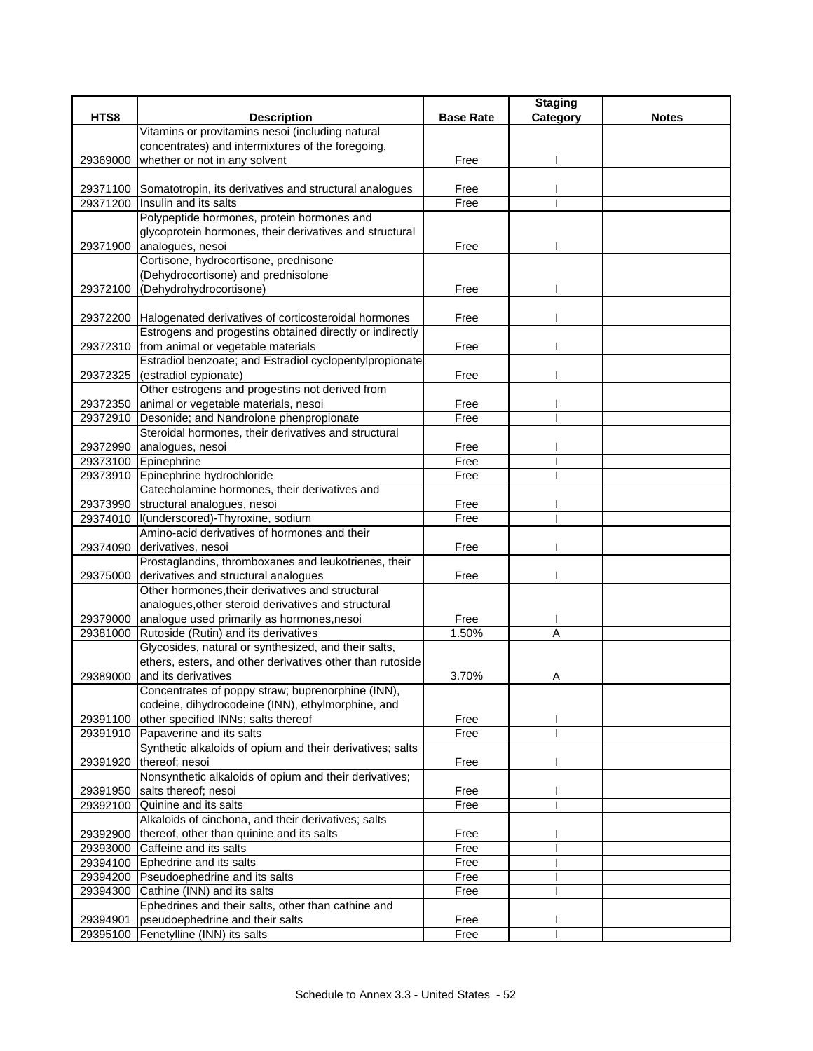|          |                                                                                          |                  | <b>Staging</b> |              |
|----------|------------------------------------------------------------------------------------------|------------------|----------------|--------------|
| HTS8     | <b>Description</b>                                                                       | <b>Base Rate</b> | Category       | <b>Notes</b> |
|          | Vitamins or provitamins nesoi (including natural                                         |                  |                |              |
|          | concentrates) and intermixtures of the foregoing,                                        |                  |                |              |
| 29369000 | whether or not in any solvent                                                            | Free             |                |              |
|          |                                                                                          | Free             |                |              |
| 29371200 | 29371100 Somatotropin, its derivatives and structural analogues<br>Insulin and its salts | Free             |                |              |
|          | Polypeptide hormones, protein hormones and                                               |                  |                |              |
|          | glycoprotein hormones, their derivatives and structural                                  |                  |                |              |
|          |                                                                                          | Free             |                |              |
| 29371900 | analogues, nesoi<br>Cortisone, hydrocortisone, prednisone                                |                  |                |              |
|          | (Dehydrocortisone) and prednisolone                                                      |                  |                |              |
| 29372100 | (Dehydrohydrocortisone)                                                                  | Free             |                |              |
|          |                                                                                          |                  |                |              |
|          | 29372200 Halogenated derivatives of corticosteroidal hormones                            | Free             |                |              |
|          | Estrogens and progestins obtained directly or indirectly                                 |                  |                |              |
|          | 29372310 from animal or vegetable materials                                              | Free             |                |              |
|          | Estradiol benzoate; and Estradiol cyclopentylpropionate                                  |                  |                |              |
| 29372325 | (estradiol cypionate)                                                                    | Free             |                |              |
|          | Other estrogens and progestins not derived from                                          |                  |                |              |
|          | 29372350 animal or vegetable materials, nesoi                                            | Free             |                |              |
|          | 29372910 Desonide; and Nandrolone phenpropionate                                         | Free             |                |              |
|          | Steroidal hormones, their derivatives and structural                                     |                  |                |              |
| 29372990 | analogues, nesoi                                                                         | Free             |                |              |
|          | 29373100 Epinephrine                                                                     | Free             |                |              |
|          | 29373910 Epinephrine hydrochloride                                                       | Free             |                |              |
|          | Catecholamine hormones, their derivatives and                                            |                  |                |              |
|          | 29373990 structural analogues, nesoi                                                     | Free             |                |              |
| 29374010 | I(underscored)-Thyroxine, sodium                                                         | Free             |                |              |
|          | Amino-acid derivatives of hormones and their                                             |                  |                |              |
| 29374090 | derivatives, nesoi                                                                       | Free             |                |              |
|          | Prostaglandins, thromboxanes and leukotrienes, their                                     |                  |                |              |
| 29375000 | derivatives and structural analogues                                                     | Free             |                |              |
|          | Other hormones, their derivatives and structural                                         |                  |                |              |
|          | analogues, other steroid derivatives and structural                                      |                  |                |              |
| 29379000 | analogue used primarily as hormones, nesoi                                               | Free             |                |              |
| 29381000 | Rutoside (Rutin) and its derivatives                                                     | 1.50%            | A              |              |
|          | Glycosides, natural or synthesized, and their salts,                                     |                  |                |              |
|          | ethers, esters, and other derivatives other than rutoside                                |                  |                |              |
| 29389000 | and its derivatives                                                                      | 3.70%            | Α              |              |
|          | Concentrates of poppy straw; buprenorphine (INN),                                        |                  |                |              |
|          | codeine, dihydrocodeine (INN), ethylmorphine, and                                        |                  |                |              |
| 29391100 | other specified INNs; salts thereof                                                      | Free             |                |              |
|          | 29391910 Papaverine and its salts                                                        | Free             |                |              |
|          | Synthetic alkaloids of opium and their derivatives; salts                                |                  |                |              |
|          | 29391920 thereof; nesoi                                                                  | Free             |                |              |
|          | Nonsynthetic alkaloids of opium and their derivatives;                                   |                  |                |              |
| 29391950 | salts thereof; nesoi                                                                     | Free             |                |              |
| 29392100 | Quinine and its salts                                                                    | Free             |                |              |
|          | Alkaloids of cinchona, and their derivatives; salts                                      |                  |                |              |
| 29392900 | thereof, other than quinine and its salts                                                | Free             |                |              |
| 29393000 | Caffeine and its salts                                                                   | Free             |                |              |
|          | 29394100 Ephedrine and its salts                                                         | Free             |                |              |
|          | 29394200 Pseudoephedrine and its salts                                                   | Free             |                |              |
| 29394300 | Cathine (INN) and its salts                                                              | Free             |                |              |
|          | Ephedrines and their salts, other than cathine and                                       |                  |                |              |
| 29394901 | pseudoephedrine and their salts                                                          | Free             |                |              |
|          | 29395100 Fenetylline (INN) its salts                                                     | Free             |                |              |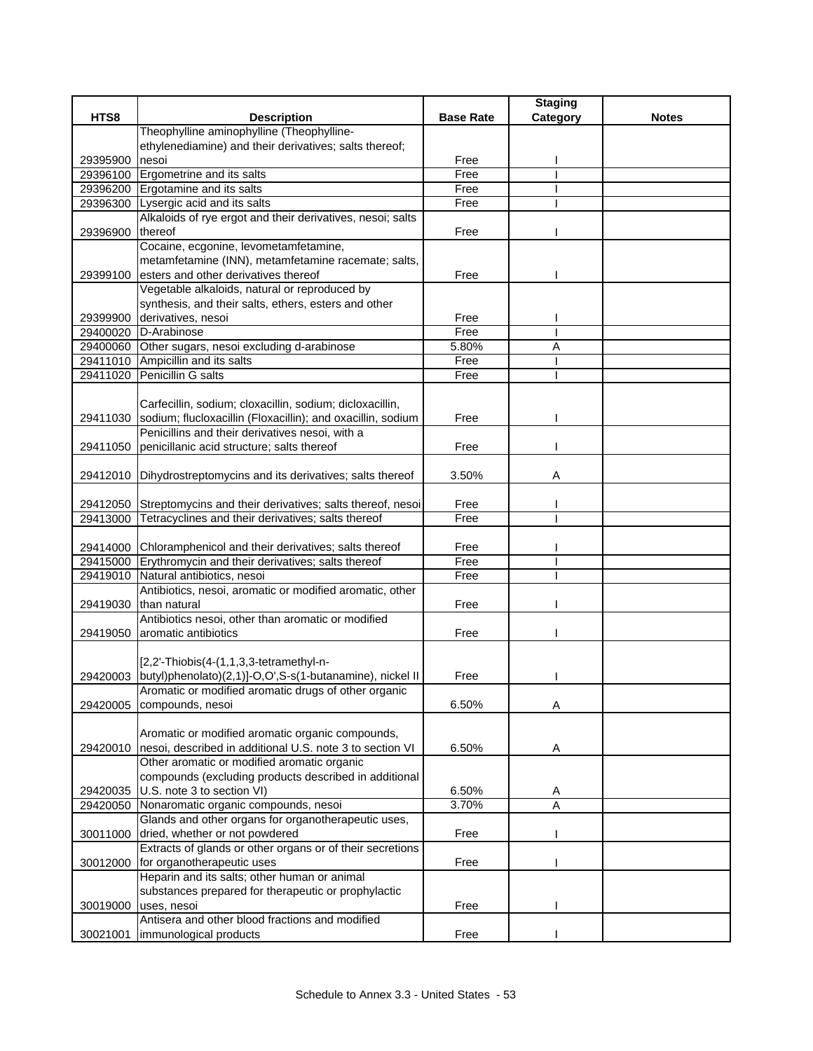|          |                                                                                                   |                  | <b>Staging</b> |              |
|----------|---------------------------------------------------------------------------------------------------|------------------|----------------|--------------|
| HTS8     | <b>Description</b>                                                                                | <b>Base Rate</b> | Category       | <b>Notes</b> |
|          | Theophylline aminophylline (Theophylline-                                                         |                  |                |              |
|          | ethylenediamine) and their derivatives; salts thereof;                                            |                  |                |              |
| 29395900 | nesoi                                                                                             | Free             |                |              |
| 29396100 | Ergometrine and its salts                                                                         | Free             |                |              |
| 29396200 | Ergotamine and its salts                                                                          | Free             |                |              |
| 29396300 | Lysergic acid and its salts                                                                       | Free             |                |              |
|          | Alkaloids of rye ergot and their derivatives, nesoi; salts                                        |                  |                |              |
| 29396900 | thereof                                                                                           | Free             |                |              |
|          | Cocaine, ecgonine, levometamfetamine,                                                             |                  |                |              |
|          | metamfetamine (INN), metamfetamine racemate; salts,                                               |                  |                |              |
| 29399100 | esters and other derivatives thereof                                                              | Free             |                |              |
|          | Vegetable alkaloids, natural or reproduced by                                                     |                  |                |              |
|          | synthesis, and their salts, ethers, esters and other                                              |                  |                |              |
|          | 29399900 derivatives, nesoi                                                                       | Free             |                |              |
| 29400020 | D-Arabinose                                                                                       | Free             |                |              |
|          | 29400060 Other sugars, nesoi excluding d-arabinose                                                | 5.80%            | Α              |              |
|          | 29411010 Ampicillin and its salts                                                                 | Free             |                |              |
| 29411020 | Penicillin G salts                                                                                | Free             |                |              |
|          |                                                                                                   |                  |                |              |
|          | Carfecillin, sodium; cloxacillin, sodium; dicloxacillin,                                          |                  |                |              |
|          | 29411030 sodium; flucloxacillin (Floxacillin); and oxacillin, sodium                              | Free             |                |              |
|          | Penicillins and their derivatives nesoi, with a                                                   |                  |                |              |
|          | penicillanic acid structure; salts thereof                                                        | Free             |                |              |
| 29411050 |                                                                                                   |                  |                |              |
|          |                                                                                                   |                  |                |              |
|          | 29412010 Dihydrostreptomycins and its derivatives; salts thereof                                  | 3.50%            | Α              |              |
|          |                                                                                                   |                  |                |              |
|          | 29412050 Streptomycins and their derivatives; salts thereof, nesoi                                | Free<br>Free     |                |              |
| 29413000 | Tetracyclines and their derivatives; salts thereof                                                |                  |                |              |
|          |                                                                                                   | Free             |                |              |
|          | 29414000 Chloramphenicol and their derivatives; salts thereof                                     | Free             |                |              |
|          | 29415000 Erythromycin and their derivatives; salts thereof<br>29419010 Natural antibiotics, nesoi | Free             |                |              |
|          | Antibiotics, nesoi, aromatic or modified aromatic, other                                          |                  |                |              |
|          | 29419030 than natural                                                                             | Free             |                |              |
|          | Antibiotics nesoi, other than aromatic or modified                                                |                  |                |              |
|          |                                                                                                   |                  |                |              |
|          | 29419050 aromatic antibiotics                                                                     | Free             |                |              |
|          | $[2,2'-Thiobis(4-(1,1,3,3-tetramethyl-n-1)]$                                                      |                  |                |              |
|          | 29420003 butyl)phenolato)(2,1)]-O,O',S-s(1-butanamine), nickel II                                 | Free             |                |              |
|          | Aromatic or modified aromatic drugs of other organic                                              |                  |                |              |
|          |                                                                                                   |                  |                |              |
| 29420005 | compounds, nesoi                                                                                  | 6.50%            | А              |              |
|          | Aromatic or modified aromatic organic compounds,                                                  |                  |                |              |
|          | 29420010 nesoi, described in additional U.S. note 3 to section VI                                 |                  |                |              |
|          |                                                                                                   | 6.50%            | Α              |              |
|          | Other aromatic or modified aromatic organic                                                       |                  |                |              |
|          | compounds (excluding products described in additional                                             |                  |                |              |
| 29420035 | U.S. note 3 to section VI)                                                                        | 6.50%            | A              |              |
| 29420050 | Nonaromatic organic compounds, nesoi                                                              | 3.70%            | A              |              |
|          | Glands and other organs for organotherapeutic uses,                                               |                  |                |              |
| 30011000 | dried, whether or not powdered                                                                    | Free             |                |              |
|          | Extracts of glands or other organs or of their secretions                                         |                  |                |              |
| 30012000 | for organotherapeutic uses                                                                        | Free             |                |              |
|          | Heparin and its salts; other human or animal                                                      |                  |                |              |
|          | substances prepared for therapeutic or prophylactic                                               |                  |                |              |
| 30019000 | uses, nesoi                                                                                       | Free             |                |              |
|          | Antisera and other blood fractions and modified                                                   |                  |                |              |
| 30021001 | immunological products                                                                            | Free             |                |              |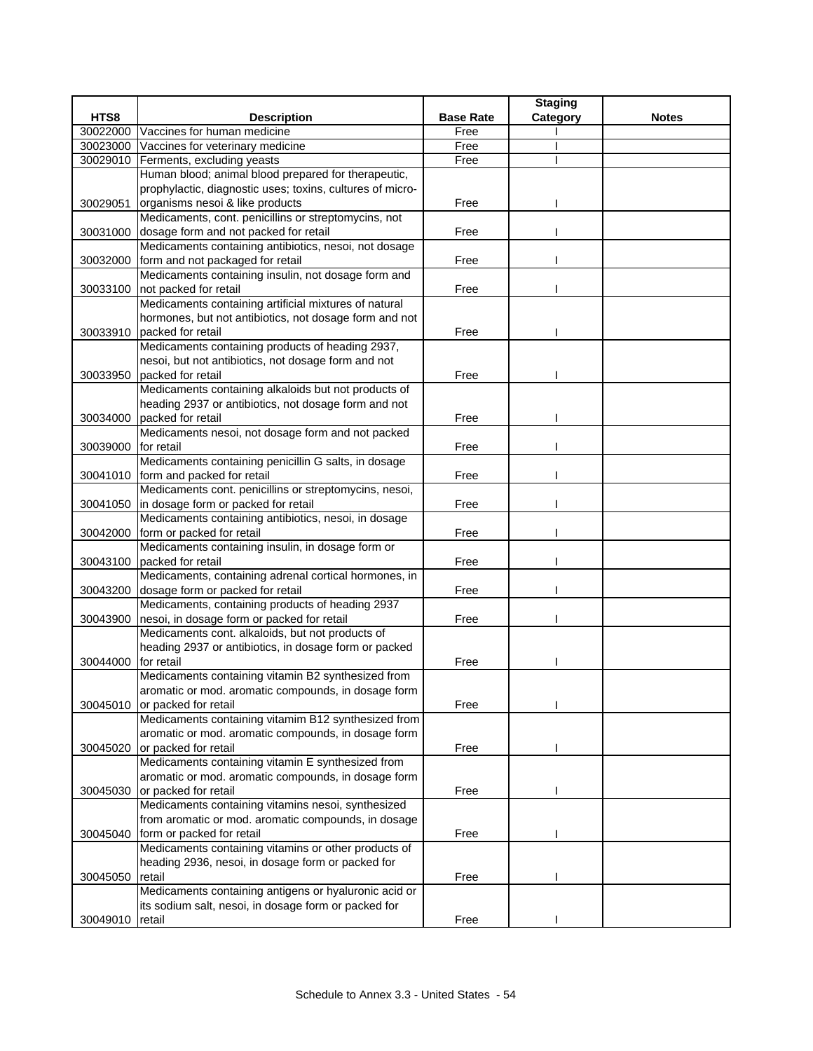|          |                                                           |                  | <b>Staging</b> |              |
|----------|-----------------------------------------------------------|------------------|----------------|--------------|
| HTS8     | <b>Description</b>                                        | <b>Base Rate</b> | Category       | <b>Notes</b> |
| 30022000 | Vaccines for human medicine                               | Free             |                |              |
| 30023000 | Vaccines for veterinary medicine                          | Free             |                |              |
| 30029010 | Ferments, excluding yeasts                                | Free             |                |              |
|          | Human blood; animal blood prepared for therapeutic,       |                  |                |              |
|          | prophylactic, diagnostic uses; toxins, cultures of micro- |                  |                |              |
| 30029051 | organisms nesoi & like products                           | Free             |                |              |
|          | Medicaments, cont. penicillins or streptomycins, not      |                  |                |              |
| 30031000 | dosage form and not packed for retail                     | Free             |                |              |
|          | Medicaments containing antibiotics, nesoi, not dosage     |                  |                |              |
| 30032000 | form and not packaged for retail                          | Free             |                |              |
|          | Medicaments containing insulin, not dosage form and       |                  |                |              |
| 30033100 | not packed for retail                                     | Free             |                |              |
|          | Medicaments containing artificial mixtures of natural     |                  |                |              |
|          | hormones, but not antibiotics, not dosage form and not    |                  |                |              |
| 30033910 | packed for retail                                         | Free             |                |              |
|          | Medicaments containing products of heading 2937,          |                  |                |              |
|          | nesoi, but not antibiotics, not dosage form and not       |                  |                |              |
| 30033950 | packed for retail                                         | Free             |                |              |
|          | Medicaments containing alkaloids but not products of      |                  |                |              |
|          | heading 2937 or antibiotics, not dosage form and not      |                  |                |              |
| 30034000 | packed for retail                                         | Free             |                |              |
|          | Medicaments nesoi, not dosage form and not packed         |                  |                |              |
| 30039000 | for retail                                                | Free             |                |              |
|          | Medicaments containing penicillin G salts, in dosage      |                  |                |              |
|          | 30041010 form and packed for retail                       | Free             |                |              |
|          | Medicaments cont. penicillins or streptomycins, nesoi,    |                  |                |              |
| 30041050 | in dosage form or packed for retail                       | Free             |                |              |
|          | Medicaments containing antibiotics, nesoi, in dosage      |                  |                |              |
| 30042000 | form or packed for retail                                 | Free             |                |              |
|          | Medicaments containing insulin, in dosage form or         |                  |                |              |
| 30043100 | packed for retail                                         | Free             |                |              |
|          | Medicaments, containing adrenal cortical hormones, in     |                  |                |              |
| 30043200 | dosage form or packed for retail                          | Free             |                |              |
|          | Medicaments, containing products of heading 2937          |                  |                |              |
| 30043900 | nesoi, in dosage form or packed for retail                | Free             |                |              |
|          | Medicaments cont. alkaloids, but not products of          |                  |                |              |
|          | heading 2937 or antibiotics, in dosage form or packed     |                  |                |              |
| 30044000 | for retail                                                | Free             |                |              |
|          | Medicaments containing vitamin B2 synthesized from        |                  |                |              |
|          | aromatic or mod. aromatic compounds, in dosage form       |                  |                |              |
| 30045010 | or packed for retail                                      | Free             |                |              |
|          | Medicaments containing vitamim B12 synthesized from       |                  |                |              |
|          | aromatic or mod. aromatic compounds, in dosage form       |                  |                |              |
| 30045020 | or packed for retail                                      | Free             |                |              |
|          | Medicaments containing vitamin E synthesized from         |                  |                |              |
|          | aromatic or mod. aromatic compounds, in dosage form       |                  |                |              |
| 30045030 | or packed for retail                                      | Free             |                |              |
|          | Medicaments containing vitamins nesoi, synthesized        |                  |                |              |
|          | from aromatic or mod. aromatic compounds, in dosage       |                  |                |              |
| 30045040 | form or packed for retail                                 | Free             |                |              |
|          | Medicaments containing vitamins or other products of      |                  |                |              |
|          | heading 2936, nesoi, in dosage form or packed for         |                  |                |              |
| 30045050 | retail                                                    | Free             |                |              |
|          | Medicaments containing antigens or hyaluronic acid or     |                  |                |              |
|          | its sodium salt, nesoi, in dosage form or packed for      |                  |                |              |
| 30049010 | retail                                                    | Free             |                |              |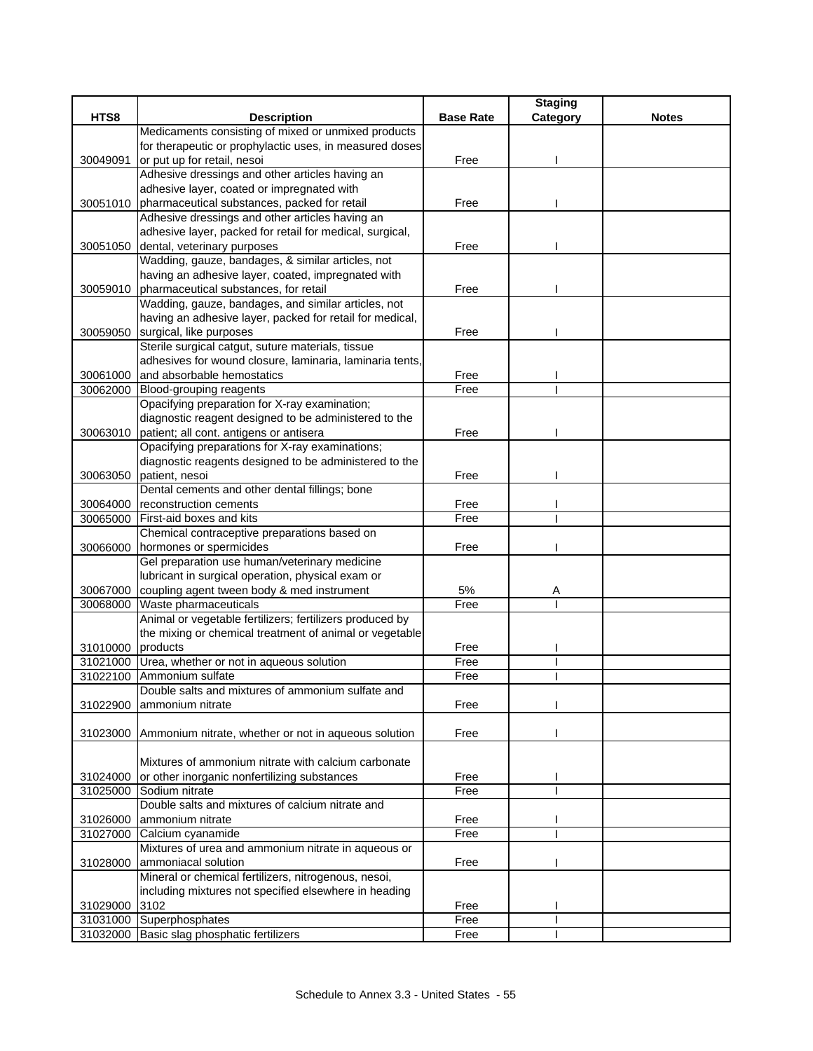|                   |                                                          |                  | <b>Staging</b> |              |
|-------------------|----------------------------------------------------------|------------------|----------------|--------------|
| HTS8              | <b>Description</b>                                       | <b>Base Rate</b> | Category       | <b>Notes</b> |
|                   | Medicaments consisting of mixed or unmixed products      |                  |                |              |
|                   | for therapeutic or prophylactic uses, in measured doses  |                  |                |              |
| 30049091          | or put up for retail, nesoi                              | Free             |                |              |
|                   | Adhesive dressings and other articles having an          |                  |                |              |
|                   | adhesive layer, coated or impregnated with               |                  |                |              |
|                   | 30051010 pharmaceutical substances, packed for retail    | Free             |                |              |
|                   | Adhesive dressings and other articles having an          |                  |                |              |
|                   | adhesive layer, packed for retail for medical, surgical, |                  |                |              |
| 30051050          | dental, veterinary purposes                              | Free             |                |              |
|                   | Wadding, gauze, bandages, & similar articles, not        |                  |                |              |
|                   | having an adhesive layer, coated, impregnated with       |                  |                |              |
| 30059010          | pharmaceutical substances, for retail                    | Free             |                |              |
|                   | Wadding, gauze, bandages, and similar articles, not      |                  |                |              |
|                   | having an adhesive layer, packed for retail for medical, |                  |                |              |
| 30059050          | surgical, like purposes                                  | Free             |                |              |
|                   | Sterile surgical catgut, suture materials, tissue        |                  |                |              |
|                   | adhesives for wound closure, laminaria, laminaria tents, |                  |                |              |
| 30061000          | and absorbable hemostatics                               | Free             |                |              |
| 30062000          | Blood-grouping reagents                                  | Free             |                |              |
|                   | Opacifying preparation for X-ray examination;            |                  |                |              |
|                   | diagnostic reagent designed to be administered to the    |                  |                |              |
|                   | 30063010 patient; all cont. antigens or antisera         | Free             |                |              |
|                   | Opacifying preparations for X-ray examinations;          |                  |                |              |
|                   | diagnostic reagents designed to be administered to the   |                  |                |              |
| 30063050          | patient, nesoi                                           | Free             |                |              |
|                   | Dental cements and other dental fillings; bone           |                  |                |              |
| 30064000          | reconstruction cements                                   | Free             |                |              |
| 30065000          | First-aid boxes and kits                                 | Free             |                |              |
|                   | Chemical contraceptive preparations based on             |                  |                |              |
| 30066000          | hormones or spermicides                                  | Free             |                |              |
|                   | Gel preparation use human/veterinary medicine            |                  |                |              |
|                   | lubricant in surgical operation, physical exam or        |                  |                |              |
| 30067000          | coupling agent tween body & med instrument               | 5%               | Α              |              |
| 30068000          | Waste pharmaceuticals                                    | Free             |                |              |
|                   | Animal or vegetable fertilizers; fertilizers produced by |                  |                |              |
|                   | the mixing or chemical treatment of animal or vegetable  |                  |                |              |
| 31010000 products |                                                          | Free             |                |              |
| 31021000          | Urea, whether or not in aqueous solution                 | Free             |                |              |
| 31022100          | Ammonium sulfate                                         | Free             |                |              |
|                   | Double salts and mixtures of ammonium sulfate and        |                  |                |              |
| 31022900          | ammonium nitrate                                         | Free             |                |              |
|                   |                                                          |                  |                |              |
| 31023000          | Ammonium nitrate, whether or not in aqueous solution     | Free             |                |              |
|                   |                                                          |                  |                |              |
|                   | Mixtures of ammonium nitrate with calcium carbonate      |                  |                |              |
| 31024000          | or other inorganic nonfertilizing substances             | Free             |                |              |
| 31025000          | Sodium nitrate                                           | Free             |                |              |
|                   | Double salts and mixtures of calcium nitrate and         |                  |                |              |
| 31026000          | ammonium nitrate                                         | Free             |                |              |
| 31027000          | Calcium cyanamide                                        | Free             |                |              |
|                   | Mixtures of urea and ammonium nitrate in aqueous or      |                  |                |              |
| 31028000          | ammoniacal solution                                      | Free             |                |              |
|                   | Mineral or chemical fertilizers, nitrogenous, nesoi,     |                  |                |              |
|                   | including mixtures not specified elsewhere in heading    |                  |                |              |
| 31029000          | 3102                                                     | Free             |                |              |
|                   | 31031000 Superphosphates                                 | Free             |                |              |
|                   | 31032000 Basic slag phosphatic fertilizers               | Free             |                |              |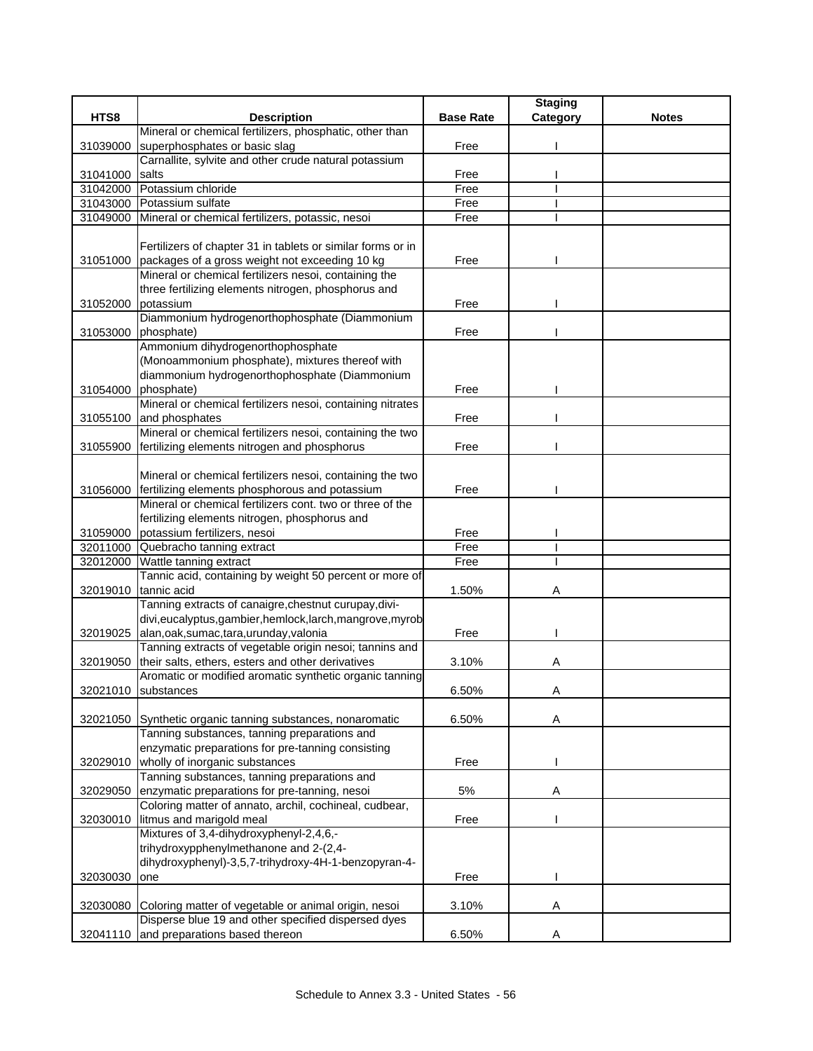| HTS8<br><b>Description</b><br><b>Base Rate</b><br>Category<br><b>Notes</b><br>Mineral or chemical fertilizers, phosphatic, other than<br>superphosphates or basic slag<br>Free<br>31039000<br>Carnallite, sylvite and other crude natural potassium<br>Free<br>31041000<br>salts<br>31042000 Potassium chloride<br>Free<br>31043000 Potassium sulfate<br>Free<br>Mineral or chemical fertilizers, potassic, nesoi<br>Free<br>31049000<br>Fertilizers of chapter 31 in tablets or similar forms or in<br>31051000<br>packages of a gross weight not exceeding 10 kg<br>Free<br>Mineral or chemical fertilizers nesoi, containing the<br>three fertilizing elements nitrogen, phosphorus and<br>potassium<br>Free<br>31052000<br>Diammonium hydrogenorthophosphate (Diammonium<br>31053000<br>phosphate)<br>Free<br>Ammonium dihydrogenorthophosphate<br>(Monoammonium phosphate), mixtures thereof with<br>diammonium hydrogenorthophosphate (Diammonium<br>phosphate)<br>Free<br>31054000<br>Mineral or chemical fertilizers nesoi, containing nitrates<br>31055100<br>and phosphates<br>Free<br>Mineral or chemical fertilizers nesoi, containing the two<br>fertilizing elements nitrogen and phosphorus<br>Free<br>31055900<br>Mineral or chemical fertilizers nesoi, containing the two<br>fertilizing elements phosphorous and potassium<br>31056000<br>Free<br>Mineral or chemical fertilizers cont. two or three of the<br>fertilizing elements nitrogen, phosphorus and<br>31059000 potassium fertilizers, nesoi<br>Free<br>Free<br>32011000 Quebracho tanning extract<br>32012000<br>Wattle tanning extract<br>Free<br>Tannic acid, containing by weight 50 percent or more of<br>tannic acid<br>1.50%<br>32019010<br>Α<br>Tanning extracts of canaigre, chestnut curupay, divi-<br>divi,eucalyptus,gambier,hemlock,larch,mangrove,myrob<br>alan, oak, sumac, tara, urunday, valonia<br>32019025<br>Free<br>Tanning extracts of vegetable origin nesoi; tannins and |
|------------------------------------------------------------------------------------------------------------------------------------------------------------------------------------------------------------------------------------------------------------------------------------------------------------------------------------------------------------------------------------------------------------------------------------------------------------------------------------------------------------------------------------------------------------------------------------------------------------------------------------------------------------------------------------------------------------------------------------------------------------------------------------------------------------------------------------------------------------------------------------------------------------------------------------------------------------------------------------------------------------------------------------------------------------------------------------------------------------------------------------------------------------------------------------------------------------------------------------------------------------------------------------------------------------------------------------------------------------------------------------------------------------------------------------------------------------------------------------------------------------------------------------------------------------------------------------------------------------------------------------------------------------------------------------------------------------------------------------------------------------------------------------------------------------------------------------------------------------------------------------------------------------------------------------------------------------------------------|
|                                                                                                                                                                                                                                                                                                                                                                                                                                                                                                                                                                                                                                                                                                                                                                                                                                                                                                                                                                                                                                                                                                                                                                                                                                                                                                                                                                                                                                                                                                                                                                                                                                                                                                                                                                                                                                                                                                                                                                              |
|                                                                                                                                                                                                                                                                                                                                                                                                                                                                                                                                                                                                                                                                                                                                                                                                                                                                                                                                                                                                                                                                                                                                                                                                                                                                                                                                                                                                                                                                                                                                                                                                                                                                                                                                                                                                                                                                                                                                                                              |
|                                                                                                                                                                                                                                                                                                                                                                                                                                                                                                                                                                                                                                                                                                                                                                                                                                                                                                                                                                                                                                                                                                                                                                                                                                                                                                                                                                                                                                                                                                                                                                                                                                                                                                                                                                                                                                                                                                                                                                              |
|                                                                                                                                                                                                                                                                                                                                                                                                                                                                                                                                                                                                                                                                                                                                                                                                                                                                                                                                                                                                                                                                                                                                                                                                                                                                                                                                                                                                                                                                                                                                                                                                                                                                                                                                                                                                                                                                                                                                                                              |
|                                                                                                                                                                                                                                                                                                                                                                                                                                                                                                                                                                                                                                                                                                                                                                                                                                                                                                                                                                                                                                                                                                                                                                                                                                                                                                                                                                                                                                                                                                                                                                                                                                                                                                                                                                                                                                                                                                                                                                              |
|                                                                                                                                                                                                                                                                                                                                                                                                                                                                                                                                                                                                                                                                                                                                                                                                                                                                                                                                                                                                                                                                                                                                                                                                                                                                                                                                                                                                                                                                                                                                                                                                                                                                                                                                                                                                                                                                                                                                                                              |
|                                                                                                                                                                                                                                                                                                                                                                                                                                                                                                                                                                                                                                                                                                                                                                                                                                                                                                                                                                                                                                                                                                                                                                                                                                                                                                                                                                                                                                                                                                                                                                                                                                                                                                                                                                                                                                                                                                                                                                              |
|                                                                                                                                                                                                                                                                                                                                                                                                                                                                                                                                                                                                                                                                                                                                                                                                                                                                                                                                                                                                                                                                                                                                                                                                                                                                                                                                                                                                                                                                                                                                                                                                                                                                                                                                                                                                                                                                                                                                                                              |
|                                                                                                                                                                                                                                                                                                                                                                                                                                                                                                                                                                                                                                                                                                                                                                                                                                                                                                                                                                                                                                                                                                                                                                                                                                                                                                                                                                                                                                                                                                                                                                                                                                                                                                                                                                                                                                                                                                                                                                              |
|                                                                                                                                                                                                                                                                                                                                                                                                                                                                                                                                                                                                                                                                                                                                                                                                                                                                                                                                                                                                                                                                                                                                                                                                                                                                                                                                                                                                                                                                                                                                                                                                                                                                                                                                                                                                                                                                                                                                                                              |
|                                                                                                                                                                                                                                                                                                                                                                                                                                                                                                                                                                                                                                                                                                                                                                                                                                                                                                                                                                                                                                                                                                                                                                                                                                                                                                                                                                                                                                                                                                                                                                                                                                                                                                                                                                                                                                                                                                                                                                              |
|                                                                                                                                                                                                                                                                                                                                                                                                                                                                                                                                                                                                                                                                                                                                                                                                                                                                                                                                                                                                                                                                                                                                                                                                                                                                                                                                                                                                                                                                                                                                                                                                                                                                                                                                                                                                                                                                                                                                                                              |
|                                                                                                                                                                                                                                                                                                                                                                                                                                                                                                                                                                                                                                                                                                                                                                                                                                                                                                                                                                                                                                                                                                                                                                                                                                                                                                                                                                                                                                                                                                                                                                                                                                                                                                                                                                                                                                                                                                                                                                              |
|                                                                                                                                                                                                                                                                                                                                                                                                                                                                                                                                                                                                                                                                                                                                                                                                                                                                                                                                                                                                                                                                                                                                                                                                                                                                                                                                                                                                                                                                                                                                                                                                                                                                                                                                                                                                                                                                                                                                                                              |
|                                                                                                                                                                                                                                                                                                                                                                                                                                                                                                                                                                                                                                                                                                                                                                                                                                                                                                                                                                                                                                                                                                                                                                                                                                                                                                                                                                                                                                                                                                                                                                                                                                                                                                                                                                                                                                                                                                                                                                              |
|                                                                                                                                                                                                                                                                                                                                                                                                                                                                                                                                                                                                                                                                                                                                                                                                                                                                                                                                                                                                                                                                                                                                                                                                                                                                                                                                                                                                                                                                                                                                                                                                                                                                                                                                                                                                                                                                                                                                                                              |
|                                                                                                                                                                                                                                                                                                                                                                                                                                                                                                                                                                                                                                                                                                                                                                                                                                                                                                                                                                                                                                                                                                                                                                                                                                                                                                                                                                                                                                                                                                                                                                                                                                                                                                                                                                                                                                                                                                                                                                              |
|                                                                                                                                                                                                                                                                                                                                                                                                                                                                                                                                                                                                                                                                                                                                                                                                                                                                                                                                                                                                                                                                                                                                                                                                                                                                                                                                                                                                                                                                                                                                                                                                                                                                                                                                                                                                                                                                                                                                                                              |
|                                                                                                                                                                                                                                                                                                                                                                                                                                                                                                                                                                                                                                                                                                                                                                                                                                                                                                                                                                                                                                                                                                                                                                                                                                                                                                                                                                                                                                                                                                                                                                                                                                                                                                                                                                                                                                                                                                                                                                              |
|                                                                                                                                                                                                                                                                                                                                                                                                                                                                                                                                                                                                                                                                                                                                                                                                                                                                                                                                                                                                                                                                                                                                                                                                                                                                                                                                                                                                                                                                                                                                                                                                                                                                                                                                                                                                                                                                                                                                                                              |
|                                                                                                                                                                                                                                                                                                                                                                                                                                                                                                                                                                                                                                                                                                                                                                                                                                                                                                                                                                                                                                                                                                                                                                                                                                                                                                                                                                                                                                                                                                                                                                                                                                                                                                                                                                                                                                                                                                                                                                              |
|                                                                                                                                                                                                                                                                                                                                                                                                                                                                                                                                                                                                                                                                                                                                                                                                                                                                                                                                                                                                                                                                                                                                                                                                                                                                                                                                                                                                                                                                                                                                                                                                                                                                                                                                                                                                                                                                                                                                                                              |
|                                                                                                                                                                                                                                                                                                                                                                                                                                                                                                                                                                                                                                                                                                                                                                                                                                                                                                                                                                                                                                                                                                                                                                                                                                                                                                                                                                                                                                                                                                                                                                                                                                                                                                                                                                                                                                                                                                                                                                              |
|                                                                                                                                                                                                                                                                                                                                                                                                                                                                                                                                                                                                                                                                                                                                                                                                                                                                                                                                                                                                                                                                                                                                                                                                                                                                                                                                                                                                                                                                                                                                                                                                                                                                                                                                                                                                                                                                                                                                                                              |
|                                                                                                                                                                                                                                                                                                                                                                                                                                                                                                                                                                                                                                                                                                                                                                                                                                                                                                                                                                                                                                                                                                                                                                                                                                                                                                                                                                                                                                                                                                                                                                                                                                                                                                                                                                                                                                                                                                                                                                              |
|                                                                                                                                                                                                                                                                                                                                                                                                                                                                                                                                                                                                                                                                                                                                                                                                                                                                                                                                                                                                                                                                                                                                                                                                                                                                                                                                                                                                                                                                                                                                                                                                                                                                                                                                                                                                                                                                                                                                                                              |
|                                                                                                                                                                                                                                                                                                                                                                                                                                                                                                                                                                                                                                                                                                                                                                                                                                                                                                                                                                                                                                                                                                                                                                                                                                                                                                                                                                                                                                                                                                                                                                                                                                                                                                                                                                                                                                                                                                                                                                              |
|                                                                                                                                                                                                                                                                                                                                                                                                                                                                                                                                                                                                                                                                                                                                                                                                                                                                                                                                                                                                                                                                                                                                                                                                                                                                                                                                                                                                                                                                                                                                                                                                                                                                                                                                                                                                                                                                                                                                                                              |
|                                                                                                                                                                                                                                                                                                                                                                                                                                                                                                                                                                                                                                                                                                                                                                                                                                                                                                                                                                                                                                                                                                                                                                                                                                                                                                                                                                                                                                                                                                                                                                                                                                                                                                                                                                                                                                                                                                                                                                              |
|                                                                                                                                                                                                                                                                                                                                                                                                                                                                                                                                                                                                                                                                                                                                                                                                                                                                                                                                                                                                                                                                                                                                                                                                                                                                                                                                                                                                                                                                                                                                                                                                                                                                                                                                                                                                                                                                                                                                                                              |
|                                                                                                                                                                                                                                                                                                                                                                                                                                                                                                                                                                                                                                                                                                                                                                                                                                                                                                                                                                                                                                                                                                                                                                                                                                                                                                                                                                                                                                                                                                                                                                                                                                                                                                                                                                                                                                                                                                                                                                              |
|                                                                                                                                                                                                                                                                                                                                                                                                                                                                                                                                                                                                                                                                                                                                                                                                                                                                                                                                                                                                                                                                                                                                                                                                                                                                                                                                                                                                                                                                                                                                                                                                                                                                                                                                                                                                                                                                                                                                                                              |
|                                                                                                                                                                                                                                                                                                                                                                                                                                                                                                                                                                                                                                                                                                                                                                                                                                                                                                                                                                                                                                                                                                                                                                                                                                                                                                                                                                                                                                                                                                                                                                                                                                                                                                                                                                                                                                                                                                                                                                              |
|                                                                                                                                                                                                                                                                                                                                                                                                                                                                                                                                                                                                                                                                                                                                                                                                                                                                                                                                                                                                                                                                                                                                                                                                                                                                                                                                                                                                                                                                                                                                                                                                                                                                                                                                                                                                                                                                                                                                                                              |
|                                                                                                                                                                                                                                                                                                                                                                                                                                                                                                                                                                                                                                                                                                                                                                                                                                                                                                                                                                                                                                                                                                                                                                                                                                                                                                                                                                                                                                                                                                                                                                                                                                                                                                                                                                                                                                                                                                                                                                              |
|                                                                                                                                                                                                                                                                                                                                                                                                                                                                                                                                                                                                                                                                                                                                                                                                                                                                                                                                                                                                                                                                                                                                                                                                                                                                                                                                                                                                                                                                                                                                                                                                                                                                                                                                                                                                                                                                                                                                                                              |
|                                                                                                                                                                                                                                                                                                                                                                                                                                                                                                                                                                                                                                                                                                                                                                                                                                                                                                                                                                                                                                                                                                                                                                                                                                                                                                                                                                                                                                                                                                                                                                                                                                                                                                                                                                                                                                                                                                                                                                              |
| their salts, ethers, esters and other derivatives<br>3.10%<br>32019050<br>Α                                                                                                                                                                                                                                                                                                                                                                                                                                                                                                                                                                                                                                                                                                                                                                                                                                                                                                                                                                                                                                                                                                                                                                                                                                                                                                                                                                                                                                                                                                                                                                                                                                                                                                                                                                                                                                                                                                  |
| Aromatic or modified aromatic synthetic organic tanning                                                                                                                                                                                                                                                                                                                                                                                                                                                                                                                                                                                                                                                                                                                                                                                                                                                                                                                                                                                                                                                                                                                                                                                                                                                                                                                                                                                                                                                                                                                                                                                                                                                                                                                                                                                                                                                                                                                      |
| 6.50%<br>32021010<br>substances<br>Α                                                                                                                                                                                                                                                                                                                                                                                                                                                                                                                                                                                                                                                                                                                                                                                                                                                                                                                                                                                                                                                                                                                                                                                                                                                                                                                                                                                                                                                                                                                                                                                                                                                                                                                                                                                                                                                                                                                                         |
|                                                                                                                                                                                                                                                                                                                                                                                                                                                                                                                                                                                                                                                                                                                                                                                                                                                                                                                                                                                                                                                                                                                                                                                                                                                                                                                                                                                                                                                                                                                                                                                                                                                                                                                                                                                                                                                                                                                                                                              |
| 6.50%<br>32021050<br>Synthetic organic tanning substances, nonaromatic<br>Α                                                                                                                                                                                                                                                                                                                                                                                                                                                                                                                                                                                                                                                                                                                                                                                                                                                                                                                                                                                                                                                                                                                                                                                                                                                                                                                                                                                                                                                                                                                                                                                                                                                                                                                                                                                                                                                                                                  |
| Tanning substances, tanning preparations and                                                                                                                                                                                                                                                                                                                                                                                                                                                                                                                                                                                                                                                                                                                                                                                                                                                                                                                                                                                                                                                                                                                                                                                                                                                                                                                                                                                                                                                                                                                                                                                                                                                                                                                                                                                                                                                                                                                                 |
| enzymatic preparations for pre-tanning consisting                                                                                                                                                                                                                                                                                                                                                                                                                                                                                                                                                                                                                                                                                                                                                                                                                                                                                                                                                                                                                                                                                                                                                                                                                                                                                                                                                                                                                                                                                                                                                                                                                                                                                                                                                                                                                                                                                                                            |
| wholly of inorganic substances<br>32029010<br>Free                                                                                                                                                                                                                                                                                                                                                                                                                                                                                                                                                                                                                                                                                                                                                                                                                                                                                                                                                                                                                                                                                                                                                                                                                                                                                                                                                                                                                                                                                                                                                                                                                                                                                                                                                                                                                                                                                                                           |
| Tanning substances, tanning preparations and                                                                                                                                                                                                                                                                                                                                                                                                                                                                                                                                                                                                                                                                                                                                                                                                                                                                                                                                                                                                                                                                                                                                                                                                                                                                                                                                                                                                                                                                                                                                                                                                                                                                                                                                                                                                                                                                                                                                 |
| enzymatic preparations for pre-tanning, nesoi<br>5%<br>32029050<br>Α                                                                                                                                                                                                                                                                                                                                                                                                                                                                                                                                                                                                                                                                                                                                                                                                                                                                                                                                                                                                                                                                                                                                                                                                                                                                                                                                                                                                                                                                                                                                                                                                                                                                                                                                                                                                                                                                                                         |
| Coloring matter of annato, archil, cochineal, cudbear,                                                                                                                                                                                                                                                                                                                                                                                                                                                                                                                                                                                                                                                                                                                                                                                                                                                                                                                                                                                                                                                                                                                                                                                                                                                                                                                                                                                                                                                                                                                                                                                                                                                                                                                                                                                                                                                                                                                       |
| litmus and marigold meal<br>Free<br>32030010                                                                                                                                                                                                                                                                                                                                                                                                                                                                                                                                                                                                                                                                                                                                                                                                                                                                                                                                                                                                                                                                                                                                                                                                                                                                                                                                                                                                                                                                                                                                                                                                                                                                                                                                                                                                                                                                                                                                 |
| Mixtures of 3,4-dihydroxyphenyl-2,4,6,-                                                                                                                                                                                                                                                                                                                                                                                                                                                                                                                                                                                                                                                                                                                                                                                                                                                                                                                                                                                                                                                                                                                                                                                                                                                                                                                                                                                                                                                                                                                                                                                                                                                                                                                                                                                                                                                                                                                                      |
| trihydroxypphenylmethanone and 2-(2,4-                                                                                                                                                                                                                                                                                                                                                                                                                                                                                                                                                                                                                                                                                                                                                                                                                                                                                                                                                                                                                                                                                                                                                                                                                                                                                                                                                                                                                                                                                                                                                                                                                                                                                                                                                                                                                                                                                                                                       |
| dihydroxyphenyl)-3,5,7-trihydroxy-4H-1-benzopyran-4-                                                                                                                                                                                                                                                                                                                                                                                                                                                                                                                                                                                                                                                                                                                                                                                                                                                                                                                                                                                                                                                                                                                                                                                                                                                                                                                                                                                                                                                                                                                                                                                                                                                                                                                                                                                                                                                                                                                         |
| Free<br>32030030<br>one<br>ı                                                                                                                                                                                                                                                                                                                                                                                                                                                                                                                                                                                                                                                                                                                                                                                                                                                                                                                                                                                                                                                                                                                                                                                                                                                                                                                                                                                                                                                                                                                                                                                                                                                                                                                                                                                                                                                                                                                                                 |
|                                                                                                                                                                                                                                                                                                                                                                                                                                                                                                                                                                                                                                                                                                                                                                                                                                                                                                                                                                                                                                                                                                                                                                                                                                                                                                                                                                                                                                                                                                                                                                                                                                                                                                                                                                                                                                                                                                                                                                              |
| Coloring matter of vegetable or animal origin, nesoi<br>3.10%<br>32030080<br>Α                                                                                                                                                                                                                                                                                                                                                                                                                                                                                                                                                                                                                                                                                                                                                                                                                                                                                                                                                                                                                                                                                                                                                                                                                                                                                                                                                                                                                                                                                                                                                                                                                                                                                                                                                                                                                                                                                               |
| Disperse blue 19 and other specified dispersed dyes                                                                                                                                                                                                                                                                                                                                                                                                                                                                                                                                                                                                                                                                                                                                                                                                                                                                                                                                                                                                                                                                                                                                                                                                                                                                                                                                                                                                                                                                                                                                                                                                                                                                                                                                                                                                                                                                                                                          |
| and preparations based thereon<br>6.50%<br>32041110<br>Α                                                                                                                                                                                                                                                                                                                                                                                                                                                                                                                                                                                                                                                                                                                                                                                                                                                                                                                                                                                                                                                                                                                                                                                                                                                                                                                                                                                                                                                                                                                                                                                                                                                                                                                                                                                                                                                                                                                     |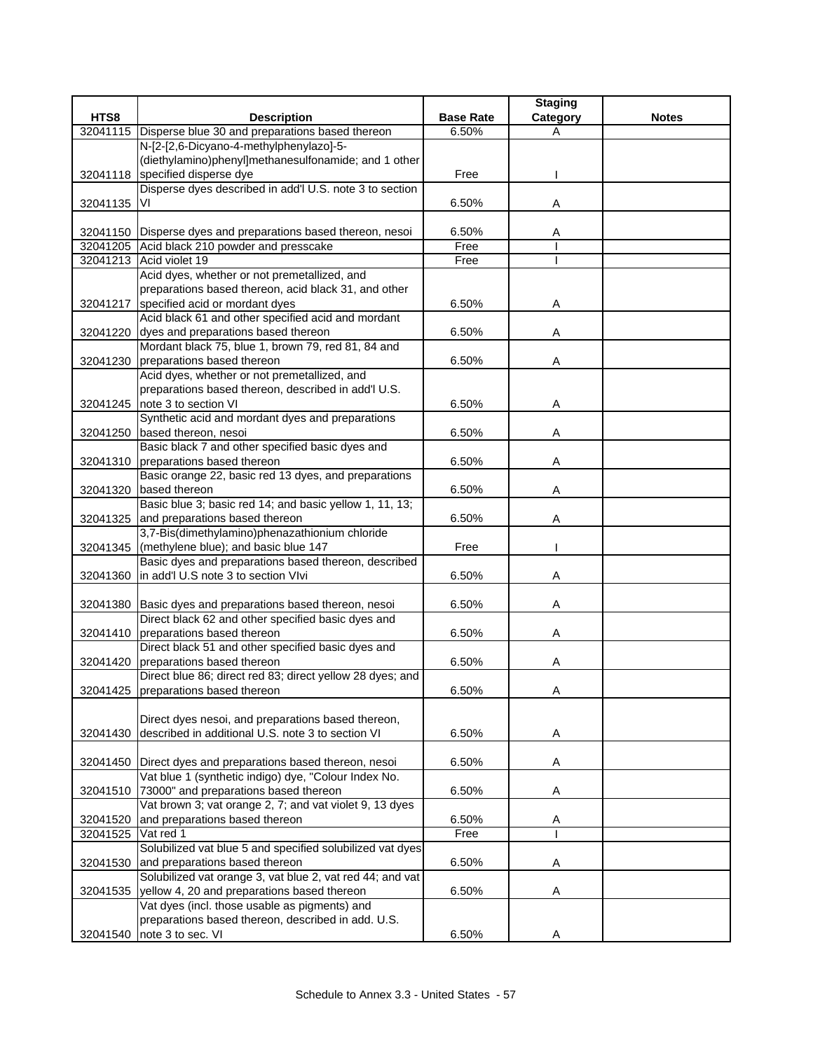|          |                                                                                                  |                  | <b>Staging</b> |              |
|----------|--------------------------------------------------------------------------------------------------|------------------|----------------|--------------|
| HTS8     | <b>Description</b>                                                                               | <b>Base Rate</b> | Category       | <b>Notes</b> |
| 32041115 | Disperse blue 30 and preparations based thereon                                                  | 6.50%            | A              |              |
|          | N-[2-[2,6-Dicyano-4-methylphenylazo]-5-                                                          |                  |                |              |
|          | (diethylamino)phenyl]methanesulfonamide; and 1 other                                             |                  |                |              |
|          | 32041118 specified disperse dye                                                                  | Free             |                |              |
|          | Disperse dyes described in add'l U.S. note 3 to section                                          |                  |                |              |
| 32041135 | VI                                                                                               | 6.50%            | Α              |              |
|          |                                                                                                  |                  |                |              |
|          | 32041150 Disperse dyes and preparations based thereon, nesoi                                     | 6.50%            | Α              |              |
|          | 32041205 Acid black 210 powder and presscake                                                     | Free             |                |              |
|          | 32041213 Acid violet 19                                                                          | Free             |                |              |
|          | Acid dyes, whether or not premetallized, and                                                     |                  |                |              |
|          | preparations based thereon, acid black 31, and other                                             |                  |                |              |
| 32041217 | specified acid or mordant dyes                                                                   | 6.50%            | Α              |              |
|          | Acid black 61 and other specified acid and mordant                                               |                  |                |              |
|          | 32041220 dyes and preparations based thereon                                                     | 6.50%            | Α              |              |
|          | Mordant black 75, blue 1, brown 79, red 81, 84 and                                               |                  |                |              |
|          | 32041230 preparations based thereon<br>Acid dyes, whether or not premetallized, and              | 6.50%            | A              |              |
|          | preparations based thereon, described in add'l U.S.                                              |                  |                |              |
|          | 32041245   note 3 to section VI                                                                  | 6.50%            | Α              |              |
|          | Synthetic acid and mordant dyes and preparations                                                 |                  |                |              |
|          | 32041250 based thereon, nesoi                                                                    | 6.50%            | Α              |              |
|          | Basic black 7 and other specified basic dyes and                                                 |                  |                |              |
|          | 32041310 preparations based thereon                                                              | 6.50%            | Α              |              |
|          | Basic orange 22, basic red 13 dyes, and preparations                                             |                  |                |              |
|          | 32041320 based thereon                                                                           | 6.50%            | Α              |              |
|          | Basic blue 3; basic red 14; and basic yellow 1, 11, 13;                                          |                  |                |              |
|          | 32041325 and preparations based thereon                                                          | 6.50%            | Α              |              |
|          | 3,7-Bis(dimethylamino)phenazathionium chloride                                                   |                  |                |              |
|          | 32041345 (methylene blue); and basic blue 147                                                    | Free             |                |              |
|          | Basic dyes and preparations based thereon, described                                             |                  |                |              |
| 32041360 | in add'l U.S note 3 to section VIvi                                                              | 6.50%            | Α              |              |
|          |                                                                                                  |                  |                |              |
|          | 32041380 Basic dyes and preparations based thereon, nesoi                                        | 6.50%            | Α              |              |
|          | Direct black 62 and other specified basic dyes and                                               |                  |                |              |
|          | 32041410 preparations based thereon                                                              | 6.50%            | Α              |              |
|          | Direct black 51 and other specified basic dyes and                                               |                  |                |              |
|          | 32041420 preparations based thereon                                                              | 6.50%            | Α              |              |
|          | Direct blue 86; direct red 83; direct yellow 28 dyes; and                                        |                  |                |              |
|          | 32041425 preparations based thereon                                                              | 6.50%            | n              |              |
|          |                                                                                                  |                  |                |              |
|          | Direct dyes nesoi, and preparations based thereon,                                               |                  |                |              |
| 32041430 | described in additional U.S. note 3 to section VI                                                | 6.50%            | A              |              |
|          |                                                                                                  |                  |                |              |
| 32041450 | Direct dyes and preparations based thereon, nesoi                                                | 6.50%            | Α              |              |
|          | Vat blue 1 (synthetic indigo) dye, "Colour Index No.                                             |                  |                |              |
| 32041510 | 73000" and preparations based thereon<br>Vat brown 3; vat orange 2, 7; and vat violet 9, 13 dyes | 6.50%            | Α              |              |
| 32041520 | and preparations based thereon                                                                   |                  |                |              |
| 32041525 | Vat red 1                                                                                        | 6.50%<br>Free    | Α              |              |
|          | Solubilized vat blue 5 and specified solubilized vat dyes                                        |                  |                |              |
| 32041530 | and preparations based thereon                                                                   | 6.50%            | Α              |              |
|          | Solubilized vat orange 3, vat blue 2, vat red 44; and vat                                        |                  |                |              |
| 32041535 | yellow 4, 20 and preparations based thereon                                                      | 6.50%            | Α              |              |
|          | Vat dyes (incl. those usable as pigments) and                                                    |                  |                |              |
|          | preparations based thereon, described in add. U.S.                                               |                  |                |              |
| 32041540 | note 3 to sec. VI                                                                                | 6.50%            | Α              |              |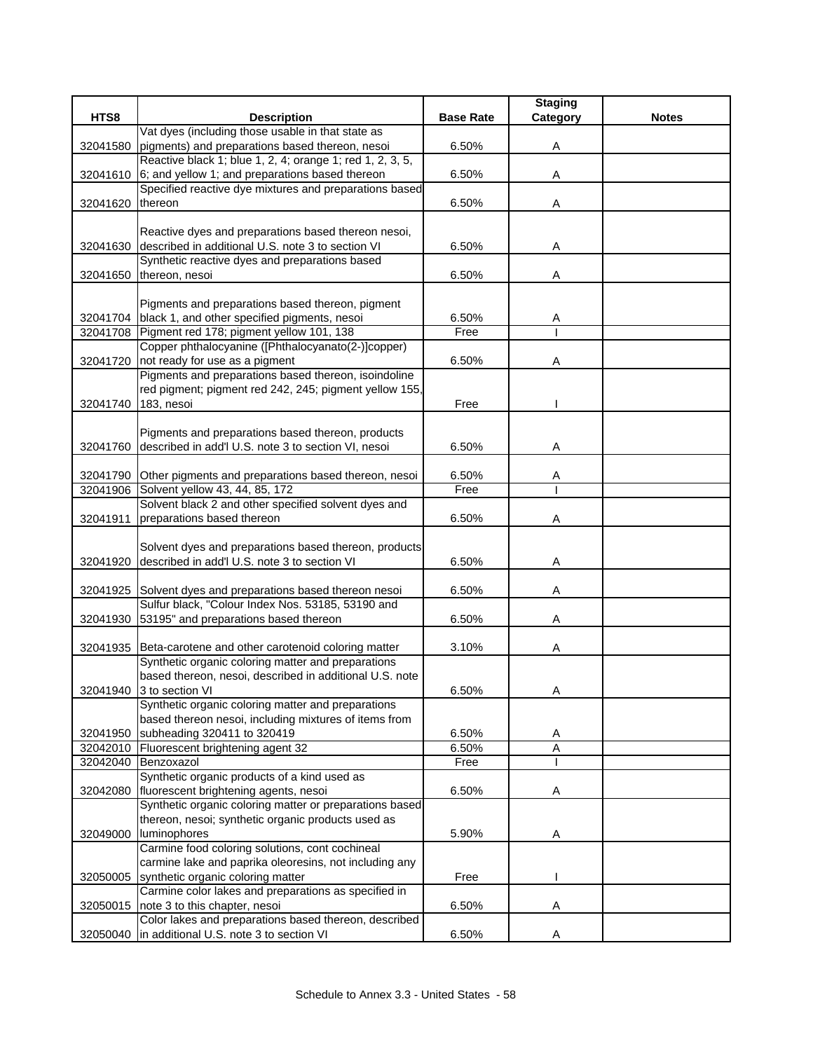|          |                                                             |                  | <b>Staging</b> |              |
|----------|-------------------------------------------------------------|------------------|----------------|--------------|
| HTS8     | <b>Description</b>                                          | <b>Base Rate</b> | Category       | <b>Notes</b> |
|          | Vat dyes (including those usable in that state as           |                  |                |              |
| 32041580 | pigments) and preparations based thereon, nesoi             | 6.50%            | Α              |              |
|          | Reactive black 1; blue 1, 2, 4; orange 1; red 1, 2, 3, 5,   |                  |                |              |
| 32041610 | 6; and yellow 1; and preparations based thereon             | 6.50%            | Α              |              |
|          | Specified reactive dye mixtures and preparations based      |                  |                |              |
| 32041620 | thereon                                                     | 6.50%            | Α              |              |
|          |                                                             |                  |                |              |
|          | Reactive dyes and preparations based thereon nesoi,         |                  |                |              |
| 32041630 | described in additional U.S. note 3 to section VI           | 6.50%            | Α              |              |
|          | Synthetic reactive dyes and preparations based              |                  |                |              |
| 32041650 | thereon, nesoi                                              | 6.50%            | Α              |              |
|          |                                                             |                  |                |              |
|          | Pigments and preparations based thereon, pigment            |                  |                |              |
|          | 32041704 black 1, and other specified pigments, nesoi       | 6.50%            | A              |              |
|          | 32041708 Pigment red 178; pigment yellow 101, 138           | Free             |                |              |
|          | Copper phthalocyanine ([Phthalocyanato(2-)]copper)          |                  |                |              |
| 32041720 | not ready for use as a pigment                              | 6.50%            | Α              |              |
|          | Pigments and preparations based thereon, isoindoline        |                  |                |              |
|          | red pigment; pigment red 242, 245; pigment yellow 155,      |                  |                |              |
| 32041740 | 183, nesoi                                                  | Free             |                |              |
|          |                                                             |                  |                |              |
|          | Pigments and preparations based thereon, products           |                  |                |              |
| 32041760 | described in add'l U.S. note 3 to section VI, nesoi         | 6.50%            | Α              |              |
|          |                                                             |                  |                |              |
| 32041790 | Other pigments and preparations based thereon, nesoi        | 6.50%            | A              |              |
| 32041906 | Solvent yellow 43, 44, 85, 172                              | Free             |                |              |
|          | Solvent black 2 and other specified solvent dyes and        |                  |                |              |
| 32041911 | preparations based thereon                                  | 6.50%            | A              |              |
|          |                                                             |                  |                |              |
|          | Solvent dyes and preparations based thereon, products       |                  |                |              |
| 32041920 | described in add'l U.S. note 3 to section VI                | 6.50%            | Α              |              |
|          |                                                             |                  |                |              |
|          | 32041925 Solvent dyes and preparations based thereon nesoi  | 6.50%            | Α              |              |
|          | Sulfur black, "Colour Index Nos. 53185, 53190 and           |                  |                |              |
| 32041930 | 53195" and preparations based thereon                       | 6.50%            | Α              |              |
|          |                                                             |                  |                |              |
|          | 32041935 Beta-carotene and other carotenoid coloring matter | 3.10%            | A              |              |
|          | Synthetic organic coloring matter and preparations          |                  |                |              |
|          | based thereon, nesoi, described in additional U.S. note     |                  |                |              |
|          | 32041940 3 to section VI                                    | 6.50%            | A              |              |
|          | Synthetic organic coloring matter and preparations          |                  |                |              |
|          | based thereon nesoi, including mixtures of items from       |                  |                |              |
| 32041950 | subheading 320411 to 320419                                 | 6.50%            | Α              |              |
|          | 32042010 Fluorescent brightening agent 32                   | 6.50%            | A              |              |
|          | 32042040 Benzoxazol                                         | Free             |                |              |
|          | Synthetic organic products of a kind used as                |                  |                |              |
| 32042080 | fluorescent brightening agents, nesoi                       | 6.50%            | Α              |              |
|          | Synthetic organic coloring matter or preparations based     |                  |                |              |
|          | thereon, nesoi; synthetic organic products used as          |                  |                |              |
| 32049000 | luminophores                                                | 5.90%            | Α              |              |
|          | Carmine food coloring solutions, cont cochineal             |                  |                |              |
|          | carmine lake and paprika oleoresins, not including any      |                  |                |              |
| 32050005 | synthetic organic coloring matter                           | Free             |                |              |
|          | Carmine color lakes and preparations as specified in        |                  |                |              |
| 32050015 | note 3 to this chapter, nesoi                               | 6.50%            | Α              |              |
|          | Color lakes and preparations based thereon, described       |                  |                |              |
| 32050040 | in additional U.S. note 3 to section VI                     | 6.50%            | Α              |              |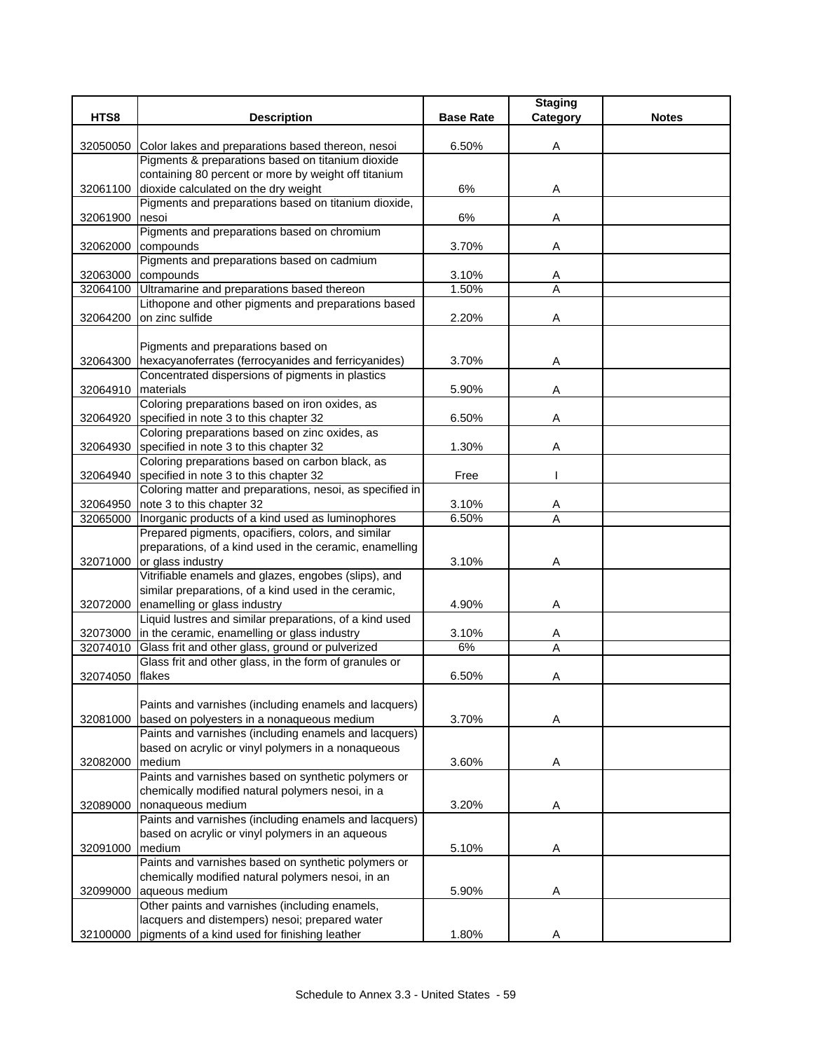|          |                                                                                                                  |                  | <b>Staging</b> |              |
|----------|------------------------------------------------------------------------------------------------------------------|------------------|----------------|--------------|
| HTS8     | <b>Description</b>                                                                                               | <b>Base Rate</b> | Category       | <b>Notes</b> |
|          |                                                                                                                  |                  |                |              |
| 32050050 | Color lakes and preparations based thereon, nesoi<br>Pigments & preparations based on titanium dioxide           | 6.50%            | A              |              |
|          | containing 80 percent or more by weight off titanium                                                             |                  |                |              |
|          | 32061100 dioxide calculated on the dry weight                                                                    | 6%               | Α              |              |
|          | Pigments and preparations based on titanium dioxide,                                                             |                  |                |              |
| 32061900 | nesoi                                                                                                            | 6%               | A              |              |
|          | Pigments and preparations based on chromium                                                                      |                  |                |              |
| 32062000 | compounds                                                                                                        | 3.70%            | A              |              |
|          | Pigments and preparations based on cadmium                                                                       |                  |                |              |
| 32063000 | compounds                                                                                                        | 3.10%            | Α              |              |
|          | 32064100 Ultramarine and preparations based thereon                                                              | 1.50%            | A              |              |
|          | Lithopone and other pigments and preparations based                                                              |                  |                |              |
| 32064200 | on zinc sulfide                                                                                                  | 2.20%            | Α              |              |
|          |                                                                                                                  |                  |                |              |
|          | Pigments and preparations based on                                                                               |                  |                |              |
| 32064300 | hexacyanoferrates (ferrocyanides and ferricyanides)                                                              | 3.70%            | Α              |              |
|          | Concentrated dispersions of pigments in plastics                                                                 |                  |                |              |
| 32064910 | materials<br>Coloring preparations based on iron oxides, as                                                      | 5.90%            | A              |              |
| 32064920 | specified in note 3 to this chapter 32                                                                           | 6.50%            | Α              |              |
|          | Coloring preparations based on zinc oxides, as                                                                   |                  |                |              |
| 32064930 | specified in note 3 to this chapter 32                                                                           | 1.30%            | Α              |              |
|          | Coloring preparations based on carbon black, as                                                                  |                  |                |              |
| 32064940 | specified in note 3 to this chapter 32                                                                           | Free             |                |              |
|          | Coloring matter and preparations, nesoi, as specified in                                                         |                  |                |              |
| 32064950 | note 3 to this chapter 32                                                                                        | 3.10%            | A              |              |
| 32065000 | Inorganic products of a kind used as luminophores                                                                | 6.50%            | A              |              |
|          | Prepared pigments, opacifiers, colors, and similar                                                               |                  |                |              |
|          | preparations, of a kind used in the ceramic, enamelling                                                          |                  |                |              |
| 32071000 | or glass industry                                                                                                | 3.10%            | Α              |              |
|          | Vitrifiable enamels and glazes, engobes (slips), and                                                             |                  |                |              |
|          | similar preparations, of a kind used in the ceramic,                                                             |                  |                |              |
| 32072000 | enamelling or glass industry                                                                                     | 4.90%            | Α              |              |
|          | Liquid lustres and similar preparations, of a kind used<br>32073000 in the ceramic, enamelling or glass industry |                  |                |              |
| 32074010 | Glass frit and other glass, ground or pulverized                                                                 | 3.10%<br>6%      | A<br>A         |              |
|          | Glass frit and other glass, in the form of granules or                                                           |                  |                |              |
| 32074050 | flakes                                                                                                           | 6.50%            | Α              |              |
|          |                                                                                                                  |                  |                |              |
|          | Paints and varnishes (including enamels and lacquers)                                                            |                  |                |              |
| 32081000 | based on polyesters in a nonaqueous medium                                                                       | 3.70%            | Α              |              |
|          | Paints and varnishes (including enamels and lacquers)                                                            |                  |                |              |
|          | based on acrylic or vinyl polymers in a nonaqueous                                                               |                  |                |              |
| 32082000 | medium                                                                                                           | 3.60%            | Α              |              |
|          | Paints and varnishes based on synthetic polymers or                                                              |                  |                |              |
|          | chemically modified natural polymers nesoi, in a                                                                 |                  |                |              |
| 32089000 | nonaqueous medium                                                                                                | 3.20%            | A              |              |
|          | Paints and varnishes (including enamels and lacquers)                                                            |                  |                |              |
|          | based on acrylic or vinyl polymers in an aqueous                                                                 |                  |                |              |
| 32091000 | medium<br>Paints and varnishes based on synthetic polymers or                                                    | 5.10%            | A              |              |
|          | chemically modified natural polymers nesoi, in an                                                                |                  |                |              |
| 32099000 | aqueous medium                                                                                                   | 5.90%            | Α              |              |
|          | Other paints and varnishes (including enamels,                                                                   |                  |                |              |
|          | lacquers and distempers) nesoi; prepared water                                                                   |                  |                |              |
| 32100000 | pigments of a kind used for finishing leather                                                                    | 1.80%            | A              |              |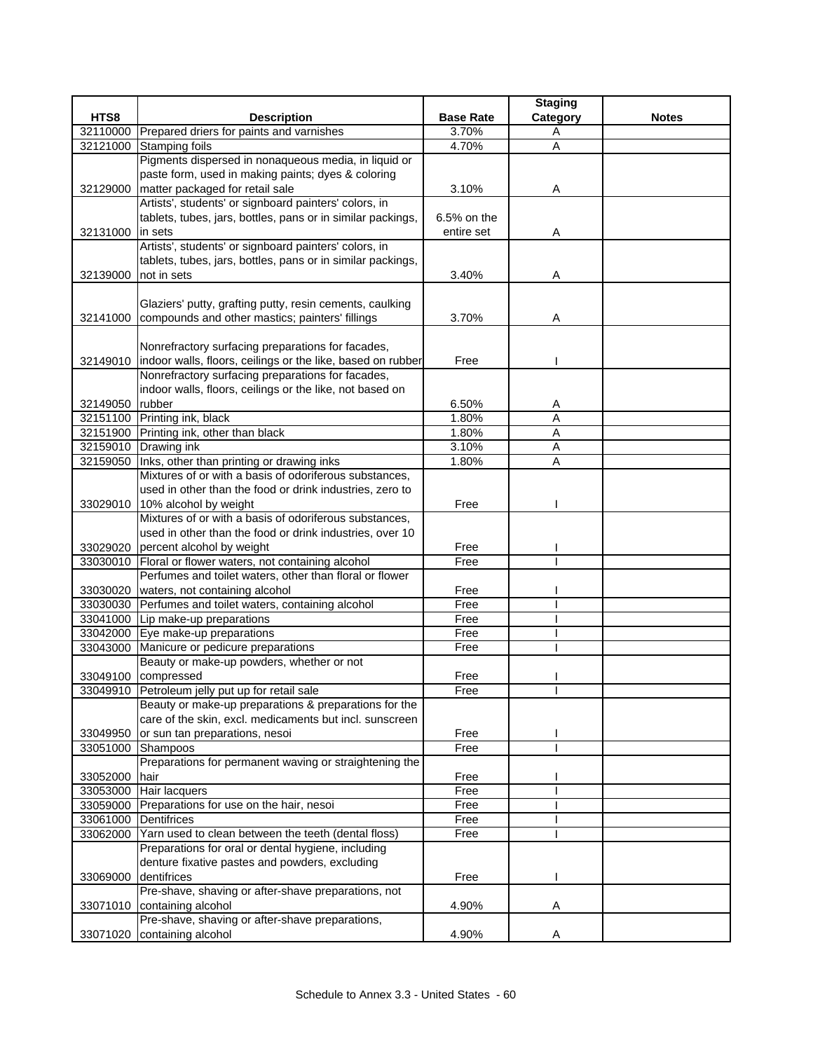|                 |                                                                      |                  | <b>Staging</b> |              |
|-----------------|----------------------------------------------------------------------|------------------|----------------|--------------|
| HTS8            | <b>Description</b>                                                   | <b>Base Rate</b> | Category       | <b>Notes</b> |
| 32110000        | Prepared driers for paints and varnishes                             | 3.70%            | Α              |              |
| 32121000        | <b>Stamping foils</b>                                                | 4.70%            | A              |              |
|                 | Pigments dispersed in nonaqueous media, in liquid or                 |                  |                |              |
|                 | paste form, used in making paints; dyes & coloring                   |                  |                |              |
|                 | 32129000 matter packaged for retail sale                             | 3.10%            | Α              |              |
|                 | Artists', students' or signboard painters' colors, in                |                  |                |              |
|                 | tablets, tubes, jars, bottles, pans or in similar packings,          | 6.5% on the      |                |              |
| 32131000        | in sets                                                              | entire set       | Α              |              |
|                 | Artists', students' or signboard painters' colors, in                |                  |                |              |
|                 | tablets, tubes, jars, bottles, pans or in similar packings,          |                  |                |              |
| 32139000        | not in sets                                                          | 3.40%            | Α              |              |
|                 |                                                                      |                  |                |              |
|                 | Glaziers' putty, grafting putty, resin cements, caulking             |                  |                |              |
| 32141000        | compounds and other mastics; painters' fillings                      | 3.70%            | A              |              |
|                 |                                                                      |                  |                |              |
|                 | Nonrefractory surfacing preparations for facades,                    |                  |                |              |
|                 | 32149010 indoor walls, floors, ceilings or the like, based on rubber | Free             |                |              |
|                 | Nonrefractory surfacing preparations for facades,                    |                  |                |              |
|                 | indoor walls, floors, ceilings or the like, not based on             |                  |                |              |
| 32149050 rubber |                                                                      | 6.50%            | A              |              |
|                 | 32151100 Printing ink, black                                         | 1.80%            | A              |              |
|                 | 32151900 Printing ink, other than black                              | 1.80%            | Α              |              |
|                 | 32159010 Drawing ink                                                 | 3.10%            | Α              |              |
|                 | 32159050 Inks, other than printing or drawing inks                   | 1.80%            | A              |              |
|                 | Mixtures of or with a basis of odoriferous substances,               |                  |                |              |
|                 | used in other than the food or drink industries, zero to             |                  |                |              |
|                 | 33029010 10% alcohol by weight                                       | Free             |                |              |
|                 | Mixtures of or with a basis of odoriferous substances,               |                  |                |              |
|                 | used in other than the food or drink industries, over 10             |                  |                |              |
|                 | 33029020 percent alcohol by weight                                   | Free             |                |              |
| 33030010        | Floral or flower waters, not containing alcohol                      | Free             |                |              |
|                 | Perfumes and toilet waters, other than floral or flower              |                  |                |              |
| 33030020        | waters, not containing alcohol                                       | Free             |                |              |
|                 | 33030030 Perfumes and toilet waters, containing alcohol              | Free             |                |              |
|                 | 33041000 Lip make-up preparations                                    | Free             |                |              |
|                 | 33042000 Eye make-up preparations                                    | Free             |                |              |
| 33043000        | Manicure or pedicure preparations                                    | Free             |                |              |
|                 | Beauty or make-up powders, whether or not                            |                  |                |              |
|                 | 33049100 compressed                                                  | Free             |                |              |
|                 | 33049910 Petroleum jelly put up for retail sale                      | Free             |                |              |
|                 | Beauty or make-up preparations & preparations for the                |                  |                |              |
|                 | care of the skin, excl. medicaments but incl. sunscreen              |                  |                |              |
| 33049950        | or sun tan preparations, nesoi                                       | Free             |                |              |
| 33051000        | Shampoos                                                             | Free             |                |              |
|                 | Preparations for permanent waving or straightening the               |                  |                |              |
| 33052000        | hair                                                                 | Free             |                |              |
|                 | 33053000 Hair lacquers                                               | Free             |                |              |
| 33059000        | Preparations for use on the hair, nesoi                              | Free             |                |              |
| 33061000        | <b>Dentifrices</b>                                                   | Free             |                |              |
| 33062000        | Yarn used to clean between the teeth (dental floss)                  | Free             |                |              |
|                 | Preparations for oral or dental hygiene, including                   |                  |                |              |
|                 | denture fixative pastes and powders, excluding                       |                  |                |              |
| 33069000        | dentifrices                                                          | Free             |                |              |
|                 | Pre-shave, shaving or after-shave preparations, not                  |                  |                |              |
|                 | 33071010 containing alcohol                                          | 4.90%            | Α              |              |
|                 | Pre-shave, shaving or after-shave preparations,                      |                  |                |              |
| 33071020        | containing alcohol                                                   | 4.90%            | Α              |              |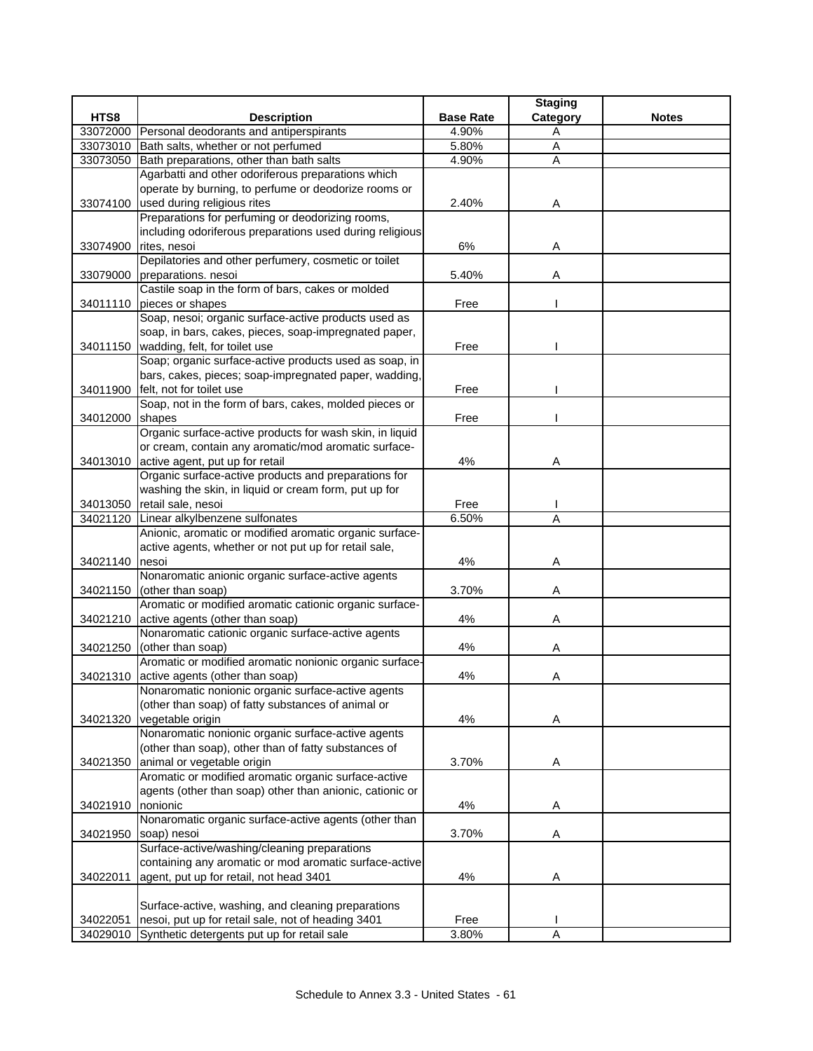|          |                                                          |                  | <b>Staging</b> |              |
|----------|----------------------------------------------------------|------------------|----------------|--------------|
| HTS8     | <b>Description</b>                                       | <b>Base Rate</b> | Category       | <b>Notes</b> |
|          | 33072000 Personal deodorants and antiperspirants         | 4.90%            | Α              |              |
|          | 33073010 Bath salts, whether or not perfumed             | 5.80%            | A              |              |
| 33073050 | Bath preparations, other than bath salts                 | 4.90%            | Α              |              |
|          | Agarbatti and other odoriferous preparations which       |                  |                |              |
|          | operate by burning, to perfume or deodorize rooms or     |                  |                |              |
|          | 33074100 used during religious rites                     | 2.40%            | A              |              |
|          | Preparations for perfuming or deodorizing rooms,         |                  |                |              |
|          | including odoriferous preparations used during religious |                  |                |              |
| 33074900 | rites, nesoi                                             | 6%               | Α              |              |
|          | Depilatories and other perfumery, cosmetic or toilet     |                  |                |              |
| 33079000 | preparations. nesoi                                      | 5.40%            | Α              |              |
|          | Castile soap in the form of bars, cakes or molded        |                  |                |              |
|          | 34011110 pieces or shapes                                | Free             |                |              |
|          | Soap, nesoi; organic surface-active products used as     |                  |                |              |
|          | soap, in bars, cakes, pieces, soap-impregnated paper,    |                  |                |              |
|          | 34011150 wadding, felt, for toilet use                   | Free             |                |              |
|          | Soap; organic surface-active products used as soap, in   |                  |                |              |
|          | bars, cakes, pieces; soap-impregnated paper, wadding,    |                  |                |              |
|          | 34011900 felt, not for toilet use                        | Free             |                |              |
|          | Soap, not in the form of bars, cakes, molded pieces or   |                  |                |              |
| 34012000 | shapes                                                   | Free             |                |              |
|          | Organic surface-active products for wash skin, in liquid |                  |                |              |
|          | or cream, contain any aromatic/mod aromatic surface-     |                  |                |              |
|          | 34013010 active agent, put up for retail                 | 4%               | Α              |              |
|          | Organic surface-active products and preparations for     |                  |                |              |
|          | washing the skin, in liquid or cream form, put up for    |                  |                |              |
| 34013050 | retail sale, nesoi                                       | Free             |                |              |
| 34021120 | Linear alkylbenzene sulfonates                           | 6.50%            | A              |              |
|          | Anionic, aromatic or modified aromatic organic surface-  |                  |                |              |
|          | active agents, whether or not put up for retail sale,    |                  |                |              |
| 34021140 | nesoi                                                    | 4%               | Α              |              |
|          | Nonaromatic anionic organic surface-active agents        |                  |                |              |
| 34021150 | (other than soap)                                        | 3.70%            | Α              |              |
|          | Aromatic or modified aromatic cationic organic surface-  |                  |                |              |
|          | 34021210 active agents (other than soap)                 | 4%               | Α              |              |
|          | Nonaromatic cationic organic surface-active agents       |                  |                |              |
| 34021250 | (other than soap)                                        | 4%               | Α              |              |
|          | Aromatic or modified aromatic nonionic organic surface-  |                  |                |              |
|          | 34021310 active agents (other than soap)                 | 4%               | Α              |              |
|          | Nonaromatic nonionic organic surface-active agents       |                  |                |              |
|          | (other than soap) of fatty substances of animal or       |                  |                |              |
| 34021320 | vegetable origin                                         | 4%               | A              |              |
|          | Nonaromatic nonionic organic surface-active agents       |                  |                |              |
|          | (other than soap), other than of fatty substances of     |                  |                |              |
| 34021350 | animal or vegetable origin                               | 3.70%            | Α              |              |
|          | Aromatic or modified aromatic organic surface-active     |                  |                |              |
|          | agents (other than soap) other than anionic, cationic or |                  |                |              |
| 34021910 | Inonionic                                                | 4%               | Α              |              |
|          | Nonaromatic organic surface-active agents (other than    |                  |                |              |
| 34021950 | soap) nesoi                                              | 3.70%            | Α              |              |
|          | Surface-active/washing/cleaning preparations             |                  |                |              |
|          | containing any aromatic or mod aromatic surface-active   |                  |                |              |
| 34022011 | agent, put up for retail, not head 3401                  | 4%               | A              |              |
|          |                                                          |                  |                |              |
|          | Surface-active, washing, and cleaning preparations       |                  |                |              |
| 34022051 | nesoi, put up for retail sale, not of heading 3401       | Free             |                |              |
|          | 34029010 Synthetic detergents put up for retail sale     | 3.80%            | A              |              |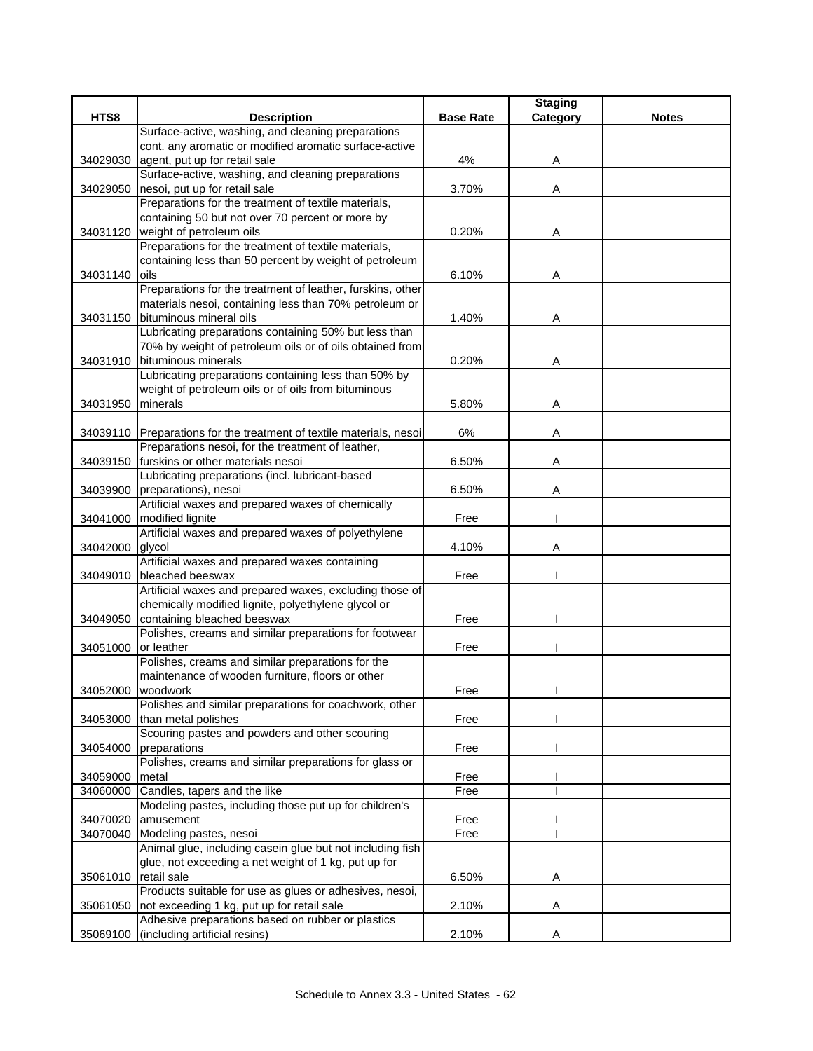|          |                                                                      |                  | <b>Staging</b> |              |
|----------|----------------------------------------------------------------------|------------------|----------------|--------------|
| HTS8     | <b>Description</b>                                                   | <b>Base Rate</b> | Category       | <b>Notes</b> |
|          | Surface-active, washing, and cleaning preparations                   |                  |                |              |
|          | cont. any aromatic or modified aromatic surface-active               |                  |                |              |
| 34029030 | agent, put up for retail sale                                        | 4%               | Α              |              |
|          | Surface-active, washing, and cleaning preparations                   |                  |                |              |
| 34029050 | nesoi, put up for retail sale                                        | 3.70%            | Α              |              |
|          | Preparations for the treatment of textile materials,                 |                  |                |              |
|          | containing 50 but not over 70 percent or more by                     |                  |                |              |
| 34031120 | weight of petroleum oils                                             | 0.20%            | A              |              |
|          | Preparations for the treatment of textile materials,                 |                  |                |              |
|          | containing less than 50 percent by weight of petroleum               |                  |                |              |
| 34031140 | oils                                                                 | 6.10%            | Α              |              |
|          | Preparations for the treatment of leather, furskins, other           |                  |                |              |
|          | materials nesoi, containing less than 70% petroleum or               |                  |                |              |
| 34031150 | bituminous mineral oils                                              | 1.40%            | Α              |              |
|          | Lubricating preparations containing 50% but less than                |                  |                |              |
|          | 70% by weight of petroleum oils or of oils obtained from             |                  |                |              |
|          | 34031910 bituminous minerals                                         | 0.20%            | A              |              |
|          | Lubricating preparations containing less than 50% by                 |                  |                |              |
|          | weight of petroleum oils or of oils from bituminous                  |                  |                |              |
| 34031950 | minerals                                                             | 5.80%            | Α              |              |
|          |                                                                      |                  |                |              |
|          | 34039110 Preparations for the treatment of textile materials, nesoi  | 6%               | Α              |              |
|          | Preparations nesoi, for the treatment of leather,                    |                  |                |              |
| 34039150 | furskins or other materials nesoi                                    | 6.50%            | Α              |              |
|          | Lubricating preparations (incl. lubricant-based                      |                  |                |              |
| 34039900 | preparations), nesoi                                                 | 6.50%            | Α              |              |
|          | Artificial waxes and prepared waxes of chemically                    |                  |                |              |
| 34041000 | modified lignite                                                     | Free             |                |              |
|          | Artificial waxes and prepared waxes of polyethylene                  |                  |                |              |
| 34042000 | glycol                                                               | 4.10%            | Α              |              |
|          | Artificial waxes and prepared waxes containing                       |                  |                |              |
| 34049010 | bleached beeswax                                                     | Free             |                |              |
|          | Artificial waxes and prepared waxes, excluding those of              |                  |                |              |
|          | chemically modified lignite, polyethylene glycol or                  | Free             |                |              |
| 34049050 | containing bleached beeswax                                          |                  |                |              |
|          | Polishes, creams and similar preparations for footwear<br>or leather | Free             |                |              |
| 34051000 | Polishes, creams and similar preparations for the                    |                  |                |              |
|          | maintenance of wooden furniture, floors or other                     |                  |                |              |
| 34052000 | woodwork                                                             | Free             |                |              |
|          | Polishes and similar preparations for coachwork, other               |                  |                |              |
| 34053000 | than metal polishes                                                  | Free             |                |              |
|          | Scouring pastes and powders and other scouring                       |                  |                |              |
| 34054000 | preparations                                                         | Free             |                |              |
|          | Polishes, creams and similar preparations for glass or               |                  |                |              |
| 34059000 | metal                                                                | Free             |                |              |
| 34060000 | Candles, tapers and the like                                         | Free             |                |              |
|          | Modeling pastes, including those put up for children's               |                  |                |              |
| 34070020 | amusement                                                            | Free             |                |              |
| 34070040 | Modeling pastes, nesoi                                               | Free             |                |              |
|          | Animal glue, including casein glue but not including fish            |                  |                |              |
|          | glue, not exceeding a net weight of 1 kg, put up for                 |                  |                |              |
| 35061010 | retail sale                                                          | 6.50%            | Α              |              |
|          | Products suitable for use as glues or adhesives, nesoi,              |                  |                |              |
| 35061050 | not exceeding 1 kg, put up for retail sale                           | 2.10%            | Α              |              |
|          | Adhesive preparations based on rubber or plastics                    |                  |                |              |
| 35069100 | (including artificial resins)                                        | 2.10%            | Α              |              |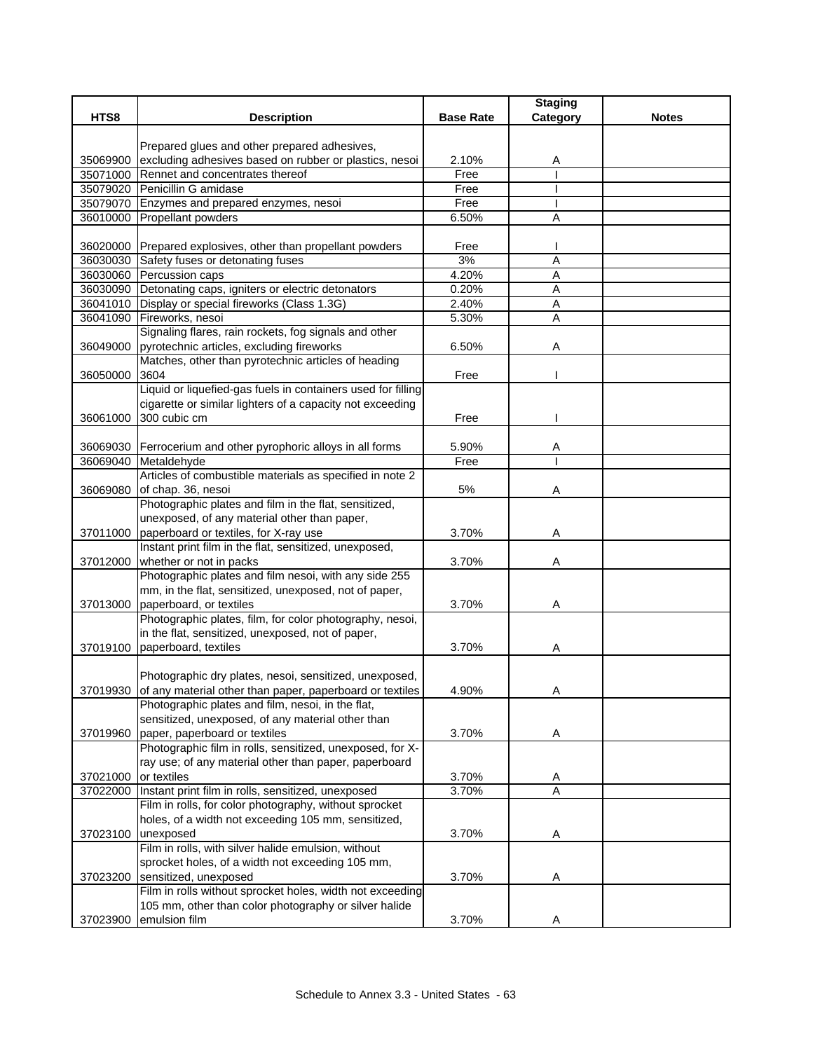| HTS8<br><b>Base Rate</b><br>Category<br><b>Notes</b><br><b>Description</b><br>Prepared glues and other prepared adhesives,<br>excluding adhesives based on rubber or plastics, nesoi<br>2.10%<br>35069900<br>A<br>Free<br>35071000 Rennet and concentrates thereof<br>35079020 Penicillin G amidase<br>Free<br>35079070 Enzymes and prepared enzymes, nesoi<br>Free<br>36010000 Propellant powders<br>6.50%<br>Α<br>36020000 Prepared explosives, other than propellant powders<br>Free<br>A<br>36030030 Safety fuses or detonating fuses<br>3%<br>36030060 Percussion caps<br>4.20%<br>A<br>36030090 Detonating caps, igniters or electric detonators<br>0.20%<br>Α<br>36041010 Display or special fireworks (Class 1.3G)<br>2.40%<br>Α |  |
|------------------------------------------------------------------------------------------------------------------------------------------------------------------------------------------------------------------------------------------------------------------------------------------------------------------------------------------------------------------------------------------------------------------------------------------------------------------------------------------------------------------------------------------------------------------------------------------------------------------------------------------------------------------------------------------------------------------------------------------|--|
|                                                                                                                                                                                                                                                                                                                                                                                                                                                                                                                                                                                                                                                                                                                                          |  |
|                                                                                                                                                                                                                                                                                                                                                                                                                                                                                                                                                                                                                                                                                                                                          |  |
|                                                                                                                                                                                                                                                                                                                                                                                                                                                                                                                                                                                                                                                                                                                                          |  |
|                                                                                                                                                                                                                                                                                                                                                                                                                                                                                                                                                                                                                                                                                                                                          |  |
|                                                                                                                                                                                                                                                                                                                                                                                                                                                                                                                                                                                                                                                                                                                                          |  |
|                                                                                                                                                                                                                                                                                                                                                                                                                                                                                                                                                                                                                                                                                                                                          |  |
|                                                                                                                                                                                                                                                                                                                                                                                                                                                                                                                                                                                                                                                                                                                                          |  |
|                                                                                                                                                                                                                                                                                                                                                                                                                                                                                                                                                                                                                                                                                                                                          |  |
|                                                                                                                                                                                                                                                                                                                                                                                                                                                                                                                                                                                                                                                                                                                                          |  |
|                                                                                                                                                                                                                                                                                                                                                                                                                                                                                                                                                                                                                                                                                                                                          |  |
|                                                                                                                                                                                                                                                                                                                                                                                                                                                                                                                                                                                                                                                                                                                                          |  |
|                                                                                                                                                                                                                                                                                                                                                                                                                                                                                                                                                                                                                                                                                                                                          |  |
| 5.30%<br>A                                                                                                                                                                                                                                                                                                                                                                                                                                                                                                                                                                                                                                                                                                                               |  |
| 36041090 Fireworks, nesoi<br>Signaling flares, rain rockets, fog signals and other                                                                                                                                                                                                                                                                                                                                                                                                                                                                                                                                                                                                                                                       |  |
| pyrotechnic articles, excluding fireworks<br>36049000<br>6.50%<br>Α                                                                                                                                                                                                                                                                                                                                                                                                                                                                                                                                                                                                                                                                      |  |
| Matches, other than pyrotechnic articles of heading                                                                                                                                                                                                                                                                                                                                                                                                                                                                                                                                                                                                                                                                                      |  |
| 3604<br>Free<br>36050000                                                                                                                                                                                                                                                                                                                                                                                                                                                                                                                                                                                                                                                                                                                 |  |
| Liquid or liquefied-gas fuels in containers used for filling                                                                                                                                                                                                                                                                                                                                                                                                                                                                                                                                                                                                                                                                             |  |
| cigarette or similar lighters of a capacity not exceeding                                                                                                                                                                                                                                                                                                                                                                                                                                                                                                                                                                                                                                                                                |  |
| 300 cubic cm<br>36061000<br>Free                                                                                                                                                                                                                                                                                                                                                                                                                                                                                                                                                                                                                                                                                                         |  |
|                                                                                                                                                                                                                                                                                                                                                                                                                                                                                                                                                                                                                                                                                                                                          |  |
| 36069030 Ferrocerium and other pyrophoric alloys in all forms<br>5.90%<br>A                                                                                                                                                                                                                                                                                                                                                                                                                                                                                                                                                                                                                                                              |  |
| 36069040 Metaldehyde<br>Free                                                                                                                                                                                                                                                                                                                                                                                                                                                                                                                                                                                                                                                                                                             |  |
| Articles of combustible materials as specified in note 2                                                                                                                                                                                                                                                                                                                                                                                                                                                                                                                                                                                                                                                                                 |  |
| 36069080<br>of chap. 36, nesoi<br>5%<br>Α<br>Photographic plates and film in the flat, sensitized,                                                                                                                                                                                                                                                                                                                                                                                                                                                                                                                                                                                                                                       |  |
| unexposed, of any material other than paper,                                                                                                                                                                                                                                                                                                                                                                                                                                                                                                                                                                                                                                                                                             |  |
| 37011000 paperboard or textiles, for X-ray use<br>3.70%<br>A                                                                                                                                                                                                                                                                                                                                                                                                                                                                                                                                                                                                                                                                             |  |
| Instant print film in the flat, sensitized, unexposed,                                                                                                                                                                                                                                                                                                                                                                                                                                                                                                                                                                                                                                                                                   |  |
| whether or not in packs<br>3.70%<br>37012000<br>Α                                                                                                                                                                                                                                                                                                                                                                                                                                                                                                                                                                                                                                                                                        |  |
| Photographic plates and film nesoi, with any side 255                                                                                                                                                                                                                                                                                                                                                                                                                                                                                                                                                                                                                                                                                    |  |
| mm, in the flat, sensitized, unexposed, not of paper,                                                                                                                                                                                                                                                                                                                                                                                                                                                                                                                                                                                                                                                                                    |  |
| 37013000 paperboard, or textiles<br>3.70%<br>Α                                                                                                                                                                                                                                                                                                                                                                                                                                                                                                                                                                                                                                                                                           |  |
| Photographic plates, film, for color photography, nesoi,                                                                                                                                                                                                                                                                                                                                                                                                                                                                                                                                                                                                                                                                                 |  |
| in the flat, sensitized, unexposed, not of paper,                                                                                                                                                                                                                                                                                                                                                                                                                                                                                                                                                                                                                                                                                        |  |
| 37019100 paperboard, textiles<br>3.70%<br>Α                                                                                                                                                                                                                                                                                                                                                                                                                                                                                                                                                                                                                                                                                              |  |
|                                                                                                                                                                                                                                                                                                                                                                                                                                                                                                                                                                                                                                                                                                                                          |  |
| Photographic dry plates, nesoi, sensitized, unexposed,<br>37019930 of any material other than paper, paperboard or textiles<br>4.90%                                                                                                                                                                                                                                                                                                                                                                                                                                                                                                                                                                                                     |  |
| A<br>Photographic plates and film, nesoi, in the flat,                                                                                                                                                                                                                                                                                                                                                                                                                                                                                                                                                                                                                                                                                   |  |
| sensitized, unexposed, of any material other than                                                                                                                                                                                                                                                                                                                                                                                                                                                                                                                                                                                                                                                                                        |  |
| paper, paperboard or textiles<br>3.70%<br>A<br>37019960                                                                                                                                                                                                                                                                                                                                                                                                                                                                                                                                                                                                                                                                                  |  |
| Photographic film in rolls, sensitized, unexposed, for X-                                                                                                                                                                                                                                                                                                                                                                                                                                                                                                                                                                                                                                                                                |  |
| ray use; of any material other than paper, paperboard                                                                                                                                                                                                                                                                                                                                                                                                                                                                                                                                                                                                                                                                                    |  |
| or textiles<br>37021000<br>3.70%<br>A                                                                                                                                                                                                                                                                                                                                                                                                                                                                                                                                                                                                                                                                                                    |  |
| Instant print film in rolls, sensitized, unexposed<br>3.70%<br>$\overline{A}$<br>37022000                                                                                                                                                                                                                                                                                                                                                                                                                                                                                                                                                                                                                                                |  |
| Film in rolls, for color photography, without sprocket                                                                                                                                                                                                                                                                                                                                                                                                                                                                                                                                                                                                                                                                                   |  |
| holes, of a width not exceeding 105 mm, sensitized,                                                                                                                                                                                                                                                                                                                                                                                                                                                                                                                                                                                                                                                                                      |  |
| 37023100<br>unexposed<br>3.70%<br>Α                                                                                                                                                                                                                                                                                                                                                                                                                                                                                                                                                                                                                                                                                                      |  |
| Film in rolls, with silver halide emulsion, without                                                                                                                                                                                                                                                                                                                                                                                                                                                                                                                                                                                                                                                                                      |  |
| sprocket holes, of a width not exceeding 105 mm,<br>sensitized, unexposed<br>3.70%                                                                                                                                                                                                                                                                                                                                                                                                                                                                                                                                                                                                                                                       |  |
| 37023200<br>Α<br>Film in rolls without sprocket holes, width not exceeding                                                                                                                                                                                                                                                                                                                                                                                                                                                                                                                                                                                                                                                               |  |
| 105 mm, other than color photography or silver halide                                                                                                                                                                                                                                                                                                                                                                                                                                                                                                                                                                                                                                                                                    |  |
| emulsion film<br>37023900<br>3.70%<br>A                                                                                                                                                                                                                                                                                                                                                                                                                                                                                                                                                                                                                                                                                                  |  |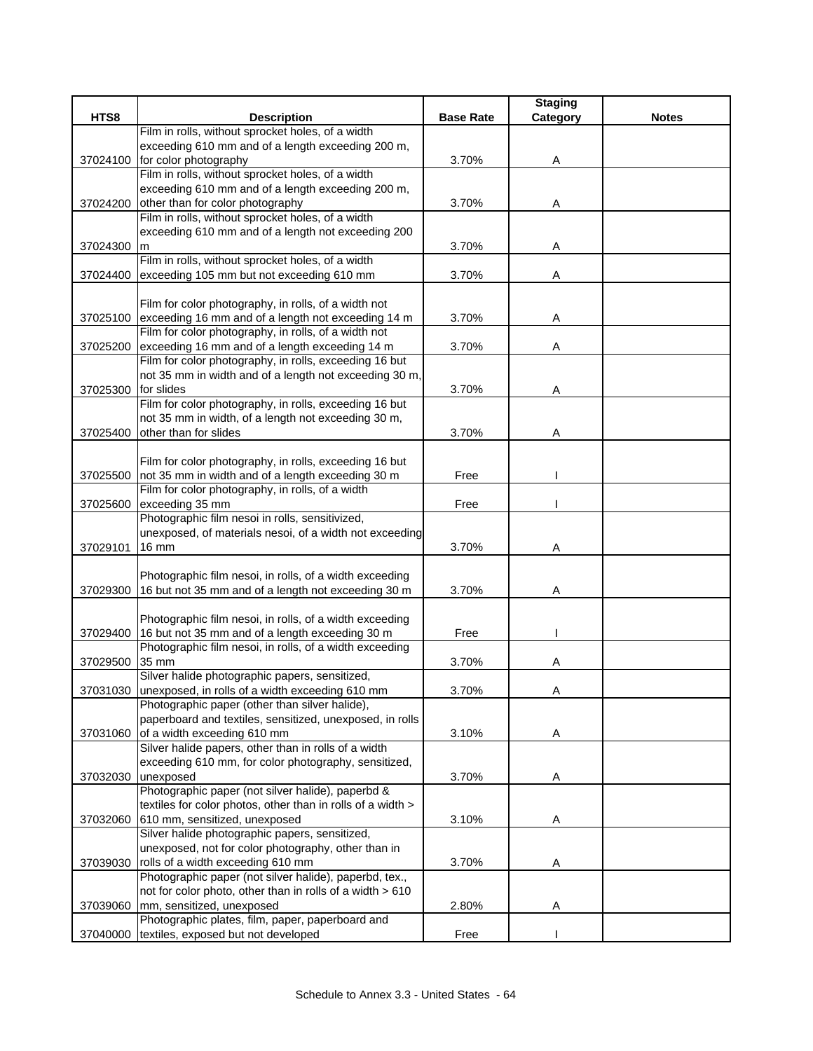|          |                                                             |                  | <b>Staging</b> |              |
|----------|-------------------------------------------------------------|------------------|----------------|--------------|
| HTS8     | <b>Description</b>                                          | <b>Base Rate</b> | Category       | <b>Notes</b> |
|          | Film in rolls, without sprocket holes, of a width           |                  |                |              |
|          | exceeding 610 mm and of a length exceeding 200 m,           |                  |                |              |
| 37024100 | for color photography                                       | 3.70%            | Α              |              |
|          | Film in rolls, without sprocket holes, of a width           |                  |                |              |
|          | exceeding 610 mm and of a length exceeding 200 m,           |                  |                |              |
| 37024200 | other than for color photography                            | 3.70%            | A              |              |
|          | Film in rolls, without sprocket holes, of a width           |                  |                |              |
|          | exceeding 610 mm and of a length not exceeding 200          |                  |                |              |
| 37024300 | m                                                           | 3.70%            | Α              |              |
|          | Film in rolls, without sprocket holes, of a width           |                  |                |              |
| 37024400 | exceeding 105 mm but not exceeding 610 mm                   | 3.70%            | Α              |              |
|          |                                                             |                  |                |              |
|          |                                                             |                  |                |              |
|          | Film for color photography, in rolls, of a width not        |                  |                |              |
|          | 37025100 exceeding 16 mm and of a length not exceeding 14 m | 3.70%            | Α              |              |
|          | Film for color photography, in rolls, of a width not        |                  |                |              |
| 37025200 | exceeding 16 mm and of a length exceeding 14 m              | 3.70%            | Α              |              |
|          | Film for color photography, in rolls, exceeding 16 but      |                  |                |              |
|          | not 35 mm in width and of a length not exceeding 30 m,      |                  |                |              |
| 37025300 | for slides                                                  | 3.70%            | Α              |              |
|          | Film for color photography, in rolls, exceeding 16 but      |                  |                |              |
|          | not 35 mm in width, of a length not exceeding 30 m,         |                  |                |              |
| 37025400 | other than for slides                                       | 3.70%            | Α              |              |
|          |                                                             |                  |                |              |
|          | Film for color photography, in rolls, exceeding 16 but      |                  |                |              |
| 37025500 | not 35 mm in width and of a length exceeding 30 m           | Free             |                |              |
|          | Film for color photography, in rolls, of a width            |                  |                |              |
| 37025600 | exceeding 35 mm                                             | Free             |                |              |
|          | Photographic film nesoi in rolls, sensitivized,             |                  |                |              |
|          | unexposed, of materials nesoi, of a width not exceeding     |                  |                |              |
|          |                                                             |                  |                |              |
| 37029101 | $16 \text{ mm}$                                             | 3.70%            | Α              |              |
|          |                                                             |                  |                |              |
|          | Photographic film nesoi, in rolls, of a width exceeding     |                  |                |              |
| 37029300 | 16 but not 35 mm and of a length not exceeding 30 m         | 3.70%            | Α              |              |
|          |                                                             |                  |                |              |
|          | Photographic film nesoi, in rolls, of a width exceeding     |                  |                |              |
|          | 37029400 16 but not 35 mm and of a length exceeding 30 m    | Free             |                |              |
|          | Photographic film nesoi, in rolls, of a width exceeding     |                  |                |              |
| 37029500 | 35 mm                                                       | 3.70%            | Α              |              |
|          | Silver halide photographic papers, sensitized,              |                  |                |              |
|          | 37031030 unexposed, in rolls of a width exceeding 610 mm    | 3.70%            | A              |              |
|          | Photographic paper (other than silver halide),              |                  |                |              |
|          | paperboard and textiles, sensitized, unexposed, in rolls    |                  |                |              |
| 37031060 | of a width exceeding 610 mm                                 | 3.10%            | A              |              |
|          | Silver halide papers, other than in rolls of a width        |                  |                |              |
|          | exceeding 610 mm, for color photography, sensitized,        |                  |                |              |
| 37032030 | unexposed                                                   | 3.70%            | Α              |              |
|          | Photographic paper (not silver halide), paperbd &           |                  |                |              |
|          | textiles for color photos, other than in rolls of a width > |                  |                |              |
|          |                                                             |                  |                |              |
| 37032060 | 610 mm, sensitized, unexposed                               | 3.10%            | A              |              |
|          | Silver halide photographic papers, sensitized,              |                  |                |              |
|          | unexposed, not for color photography, other than in         |                  |                |              |
| 37039030 | rolls of a width exceeding 610 mm                           | 3.70%            | A              |              |
|          | Photographic paper (not silver halide), paperbd, tex.,      |                  |                |              |
|          | not for color photo, other than in rolls of a width > 610   |                  |                |              |
| 37039060 | mm, sensitized, unexposed                                   | 2.80%            | Α              |              |
|          | Photographic plates, film, paper, paperboard and            |                  |                |              |
|          | 37040000 textiles, exposed but not developed                | Free             |                |              |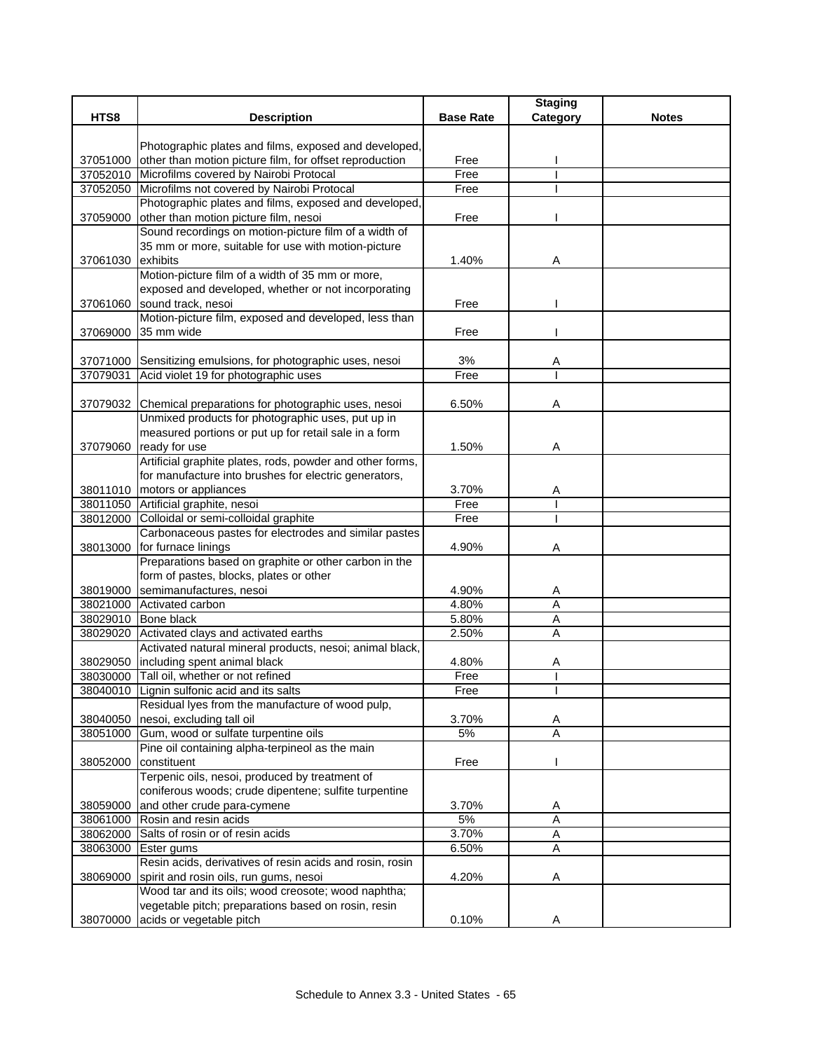|          |                                                                                                                  |                  | <b>Staging</b> |              |
|----------|------------------------------------------------------------------------------------------------------------------|------------------|----------------|--------------|
| HTS8     | <b>Description</b>                                                                                               | <b>Base Rate</b> | Category       | <b>Notes</b> |
|          |                                                                                                                  |                  |                |              |
|          | Photographic plates and films, exposed and developed,<br>other than motion picture film, for offset reproduction | Free             |                |              |
| 37051000 | 37052010 Microfilms covered by Nairobi Protocal                                                                  | Free             |                |              |
|          | 37052050 Microfilms not covered by Nairobi Protocal                                                              | Free             |                |              |
|          | Photographic plates and films, exposed and developed,                                                            |                  |                |              |
| 37059000 | other than motion picture film, nesoi                                                                            | Free             |                |              |
|          | Sound recordings on motion-picture film of a width of                                                            |                  |                |              |
|          | 35 mm or more, suitable for use with motion-picture                                                              |                  |                |              |
| 37061030 | exhibits                                                                                                         | 1.40%            | Α              |              |
|          | Motion-picture film of a width of 35 mm or more,                                                                 |                  |                |              |
|          | exposed and developed, whether or not incorporating                                                              |                  |                |              |
| 37061060 | sound track, nesoi                                                                                               | Free             |                |              |
|          | Motion-picture film, exposed and developed, less than                                                            |                  |                |              |
| 37069000 | 35 mm wide                                                                                                       | Free             |                |              |
|          |                                                                                                                  |                  |                |              |
|          | 37071000 Sensitizing emulsions, for photographic uses, nesoi                                                     | 3%               | A              |              |
| 37079031 | Acid violet 19 for photographic uses                                                                             | Free             |                |              |
|          |                                                                                                                  |                  |                |              |
|          | 37079032 Chemical preparations for photographic uses, nesoi                                                      | 6.50%            | Α              |              |
|          | Unmixed products for photographic uses, put up in                                                                |                  |                |              |
|          | measured portions or put up for retail sale in a form                                                            |                  |                |              |
| 37079060 | ready for use                                                                                                    | 1.50%            | Α              |              |
|          | Artificial graphite plates, rods, powder and other forms,                                                        |                  |                |              |
|          | for manufacture into brushes for electric generators,                                                            |                  |                |              |
|          | 38011010   motors or appliances                                                                                  | 3.70%            | Α              |              |
|          | 38011050 Artificial graphite, nesoi                                                                              | Free             |                |              |
| 38012000 | Colloidal or semi-colloidal graphite                                                                             | Free             |                |              |
|          | Carbonaceous pastes for electrodes and similar pastes                                                            |                  |                |              |
|          | 38013000 for furnace linings                                                                                     | 4.90%            | Α              |              |
|          | Preparations based on graphite or other carbon in the                                                            |                  |                |              |
|          | form of pastes, blocks, plates or other<br>semimanufactures, nesoi                                               | 4.90%            |                |              |
| 38019000 | 38021000 Activated carbon                                                                                        | 4.80%            | A<br>A         |              |
|          | 38029010 Bone black                                                                                              | 5.80%            | A              |              |
| 38029020 | Activated clays and activated earths                                                                             | 2.50%            | A              |              |
|          | Activated natural mineral products, nesoi; animal black,                                                         |                  |                |              |
|          | 38029050 including spent animal black                                                                            | 4.80%            | A              |              |
|          | 38030000 Tall oil, whether or not refined                                                                        | Free             |                |              |
|          | 38040010 Lignin sulfonic acid and its salts                                                                      | Free             |                |              |
|          | Residual lyes from the manufacture of wood pulp,                                                                 |                  |                |              |
| 38040050 | nesoi, excluding tall oil                                                                                        | 3.70%            | Α              |              |
| 38051000 | Gum, wood or sulfate turpentine oils                                                                             | 5%               | Α              |              |
|          | Pine oil containing alpha-terpineol as the main                                                                  |                  |                |              |
| 38052000 | constituent                                                                                                      | Free             |                |              |
|          | Terpenic oils, nesoi, produced by treatment of                                                                   |                  |                |              |
|          | coniferous woods; crude dipentene; sulfite turpentine                                                            |                  |                |              |
| 38059000 | and other crude para-cymene                                                                                      | 3.70%            | Α              |              |
| 38061000 | Rosin and resin acids                                                                                            | 5%               | A              |              |
| 38062000 | Salts of rosin or of resin acids                                                                                 | 3.70%            | Α              |              |
| 38063000 | Ester gums                                                                                                       | 6.50%            | $\overline{A}$ |              |
|          | Resin acids, derivatives of resin acids and rosin, rosin                                                         |                  |                |              |
| 38069000 | spirit and rosin oils, run gums, nesoi                                                                           | 4.20%            | Α              |              |
|          | Wood tar and its oils; wood creosote; wood naphtha;                                                              |                  |                |              |
|          | vegetable pitch; preparations based on rosin, resin                                                              |                  |                |              |
| 38070000 | acids or vegetable pitch                                                                                         | 0.10%            | A              |              |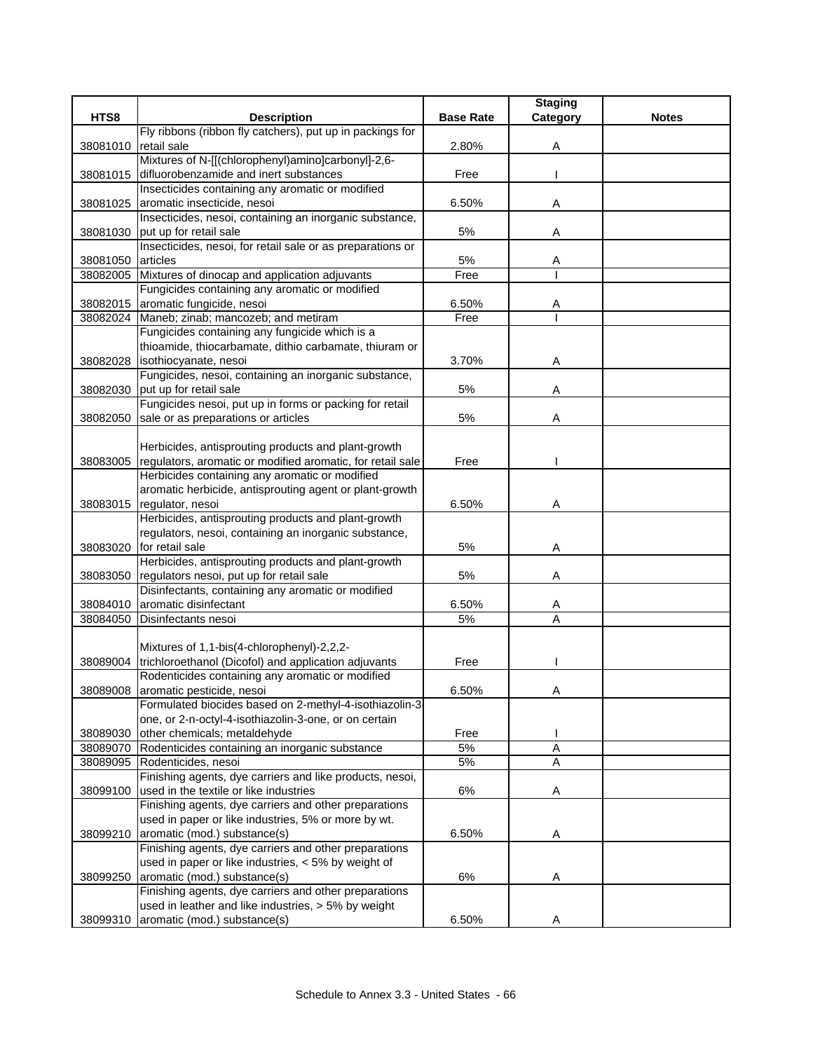|          |                                                                                                              |                  | <b>Staging</b> |              |
|----------|--------------------------------------------------------------------------------------------------------------|------------------|----------------|--------------|
| HTS8     | <b>Description</b>                                                                                           | <b>Base Rate</b> | Category       | <b>Notes</b> |
|          | Fly ribbons (ribbon fly catchers), put up in packings for                                                    |                  |                |              |
| 38081010 | retail sale                                                                                                  | 2.80%            | Α              |              |
|          | Mixtures of N-[[(chlorophenyl)amino]carbonyl]-2,6-                                                           |                  |                |              |
| 38081015 | difluorobenzamide and inert substances                                                                       | Free             |                |              |
|          | Insecticides containing any aromatic or modified                                                             |                  |                |              |
| 38081025 | aromatic insecticide, nesoi                                                                                  | 6.50%            | Α              |              |
|          | Insecticides, nesoi, containing an inorganic substance,<br>put up for retail sale                            | 5%               |                |              |
| 38081030 | Insecticides, nesoi, for retail sale or as preparations or                                                   |                  | Α              |              |
| 38081050 | articles                                                                                                     | 5%               | Α              |              |
|          | 38082005 Mixtures of dinocap and application adjuvants                                                       | Free             |                |              |
|          | Fungicides containing any aromatic or modified                                                               |                  |                |              |
| 38082015 | aromatic fungicide, nesoi                                                                                    | 6.50%            | A              |              |
|          | 38082024 Maneb; zinab; mancozeb; and metiram                                                                 | Free             |                |              |
|          | Fungicides containing any fungicide which is a                                                               |                  |                |              |
|          | thioamide, thiocarbamate, dithio carbamate, thiuram or                                                       |                  |                |              |
| 38082028 | isothiocyanate, nesoi                                                                                        | 3.70%            | Α              |              |
|          | Fungicides, nesoi, containing an inorganic substance,                                                        |                  |                |              |
| 38082030 | put up for retail sale                                                                                       | 5%               | Α              |              |
|          | Fungicides nesoi, put up in forms or packing for retail                                                      |                  |                |              |
| 38082050 | sale or as preparations or articles                                                                          | 5%               | A              |              |
|          |                                                                                                              |                  |                |              |
|          | Herbicides, antisprouting products and plant-growth                                                          | Free             |                |              |
| 38083005 | regulators, aromatic or modified aromatic, for retail sale<br>Herbicides containing any aromatic or modified |                  |                |              |
|          | aromatic herbicide, antisprouting agent or plant-growth                                                      |                  |                |              |
| 38083015 | regulator, nesoi                                                                                             | 6.50%            | Α              |              |
|          | Herbicides, antisprouting products and plant-growth                                                          |                  |                |              |
|          | regulators, nesoi, containing an inorganic substance,                                                        |                  |                |              |
| 38083020 | for retail sale                                                                                              | 5%               | Α              |              |
|          | Herbicides, antisprouting products and plant-growth                                                          |                  |                |              |
| 38083050 | regulators nesoi, put up for retail sale                                                                     | 5%               | Α              |              |
|          | Disinfectants, containing any aromatic or modified                                                           |                  |                |              |
| 38084010 | aromatic disinfectant                                                                                        | 6.50%            | Α              |              |
| 38084050 | Disinfectants nesoi                                                                                          | 5%               | A              |              |
|          |                                                                                                              |                  |                |              |
|          | Mixtures of 1,1-bis(4-chlorophenyl)-2,2,2-                                                                   |                  |                |              |
| 38089004 | trichloroethanol (Dicofol) and application adjuvants                                                         | Free             |                |              |
|          | Rodenticides containing any aromatic or modified                                                             |                  |                |              |
|          | 38089008 aromatic pesticide, nesoi<br>Formulated biocides based on 2-methyl-4-isothiazolin-3                 | 6.50%            | A              |              |
|          | one, or 2-n-octyl-4-isothiazolin-3-one, or on certain                                                        |                  |                |              |
| 38089030 | other chemicals; metaldehyde                                                                                 | Free             |                |              |
|          | 38089070 Rodenticides containing an inorganic substance                                                      | 5%               | A              |              |
|          | 38089095 Rodenticides, nesoi                                                                                 | 5%               | A              |              |
|          | Finishing agents, dye carriers and like products, nesoi,                                                     |                  |                |              |
| 38099100 | used in the textile or like industries                                                                       | 6%               | Α              |              |
|          | Finishing agents, dye carriers and other preparations                                                        |                  |                |              |
|          | used in paper or like industries, 5% or more by wt.                                                          |                  |                |              |
| 38099210 | aromatic (mod.) substance(s)                                                                                 | 6.50%            | Α              |              |
|          | Finishing agents, dye carriers and other preparations                                                        |                  |                |              |
|          | used in paper or like industries, < 5% by weight of                                                          |                  |                |              |
| 38099250 | aromatic (mod.) substance(s)                                                                                 | 6%               | Α              |              |
|          | Finishing agents, dye carriers and other preparations                                                        |                  |                |              |
|          | used in leather and like industries, > 5% by weight                                                          |                  |                |              |
| 38099310 | aromatic (mod.) substance(s)                                                                                 | 6.50%            | Α              |              |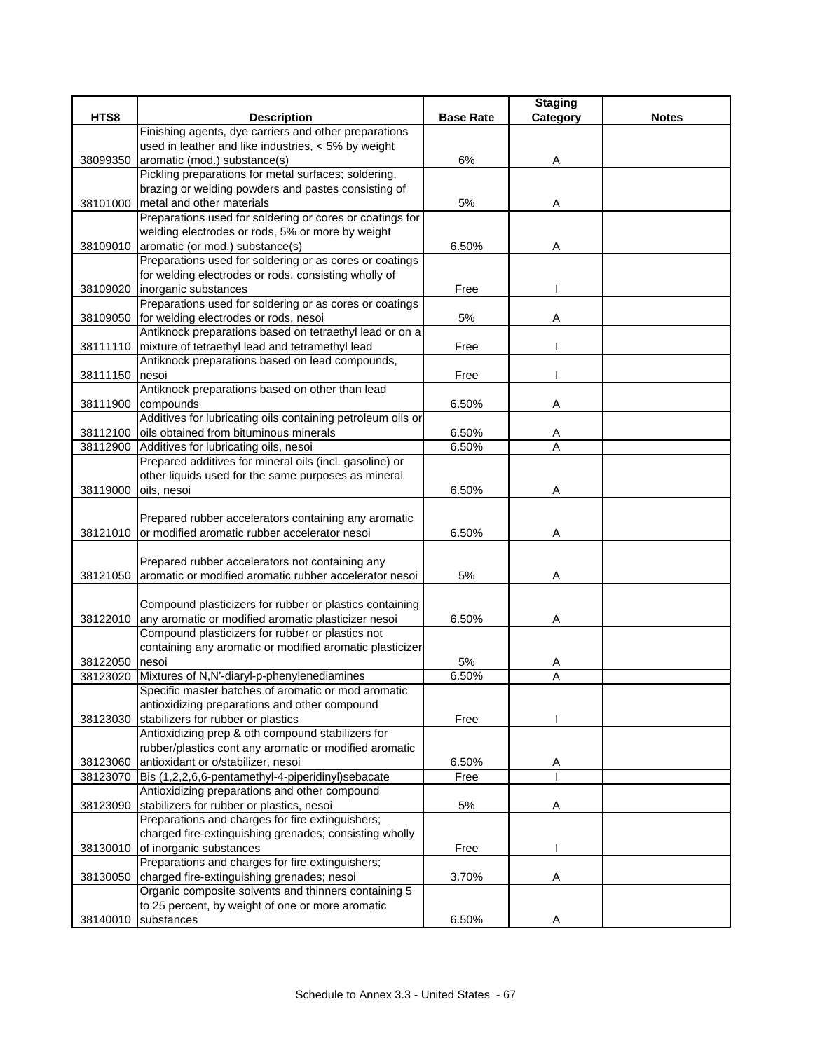|                      |                                                                                       |                  | <b>Staging</b> |              |
|----------------------|---------------------------------------------------------------------------------------|------------------|----------------|--------------|
| HTS8                 | <b>Description</b>                                                                    | <b>Base Rate</b> | Category       | <b>Notes</b> |
|                      | Finishing agents, dye carriers and other preparations                                 |                  |                |              |
|                      | used in leather and like industries, < 5% by weight                                   |                  |                |              |
| 38099350             | aromatic (mod.) substance(s)                                                          | 6%               | Α              |              |
|                      | Pickling preparations for metal surfaces; soldering,                                  |                  |                |              |
|                      | brazing or welding powders and pastes consisting of                                   |                  |                |              |
| 38101000             | metal and other materials<br>Preparations used for soldering or cores or coatings for | 5%               | Α              |              |
|                      | welding electrodes or rods, 5% or more by weight                                      |                  |                |              |
|                      | 38109010 aromatic (or mod.) substance(s)                                              | 6.50%            | Α              |              |
|                      | Preparations used for soldering or as cores or coatings                               |                  |                |              |
|                      | for welding electrodes or rods, consisting wholly of                                  |                  |                |              |
|                      | 38109020 inorganic substances                                                         | Free             |                |              |
|                      | Preparations used for soldering or as cores or coatings                               |                  |                |              |
|                      | 38109050 for welding electrodes or rods, nesoi                                        | 5%               | Α              |              |
|                      | Antiknock preparations based on tetraethyl lead or on a                               |                  |                |              |
|                      | 38111110 mixture of tetraethyl lead and tetramethyl lead                              | Free             |                |              |
|                      | Antiknock preparations based on lead compounds,                                       |                  |                |              |
| 38111150             | nesoi                                                                                 | Free             |                |              |
|                      | Antiknock preparations based on other than lead                                       |                  |                |              |
| 38111900             | compounds                                                                             | 6.50%            | Α              |              |
|                      | Additives for lubricating oils containing petroleum oils or                           |                  |                |              |
| 38112100             | oils obtained from bituminous minerals                                                | 6.50%            | A              |              |
| 38112900             | Additives for lubricating oils, nesoi                                                 | 6.50%            | A              |              |
|                      | Prepared additives for mineral oils (incl. gasoline) or                               |                  |                |              |
|                      | other liquids used for the same purposes as mineral                                   |                  |                |              |
| 38119000             | oils, nesoi                                                                           | 6.50%            | Α              |              |
|                      |                                                                                       |                  |                |              |
|                      | Prepared rubber accelerators containing any aromatic                                  |                  |                |              |
|                      | 38121010 or modified aromatic rubber accelerator nesoi                                | 6.50%            | Α              |              |
|                      |                                                                                       |                  |                |              |
|                      | Prepared rubber accelerators not containing any                                       |                  |                |              |
| 38121050             | aromatic or modified aromatic rubber accelerator nesoi                                | 5%               | Α              |              |
|                      |                                                                                       |                  |                |              |
|                      | Compound plasticizers for rubber or plastics containing                               |                  |                |              |
|                      | 38122010 any aromatic or modified aromatic plasticizer nesoi                          | 6.50%            | Α              |              |
|                      | Compound plasticizers for rubber or plastics not                                      |                  |                |              |
|                      | containing any aromatic or modified aromatic plasticizer<br>nesoi                     | 5%               |                |              |
| 38122050<br>38123020 | Mixtures of N,N'-diaryl-p-phenylenediamines                                           | 6.50%            | A<br>A         |              |
|                      | Specific master batches of aromatic or mod aromatic                                   |                  |                |              |
|                      | antioxidizing preparations and other compound                                         |                  |                |              |
| 38123030             | stabilizers for rubber or plastics                                                    | Free             |                |              |
|                      | Antioxidizing prep & oth compound stabilizers for                                     |                  |                |              |
|                      | rubber/plastics cont any aromatic or modified aromatic                                |                  |                |              |
| 38123060             | antioxidant or o/stabilizer, nesoi                                                    | 6.50%            | A              |              |
|                      | 38123070 Bis (1,2,2,6,6-pentamethyl-4-piperidinyl)sebacate                            | Free             |                |              |
|                      | Antioxidizing preparations and other compound                                         |                  |                |              |
| 38123090             | stabilizers for rubber or plastics, nesoi                                             | 5%               | Α              |              |
|                      | Preparations and charges for fire extinguishers;                                      |                  |                |              |
|                      | charged fire-extinguishing grenades; consisting wholly                                |                  |                |              |
|                      | 38130010 of inorganic substances                                                      | Free             |                |              |
|                      | Preparations and charges for fire extinguishers;                                      |                  |                |              |
| 38130050             | charged fire-extinguishing grenades; nesoi                                            | 3.70%            | Α              |              |
|                      | Organic composite solvents and thinners containing 5                                  |                  |                |              |
|                      | to 25 percent, by weight of one or more aromatic                                      |                  |                |              |
| 38140010             | substances                                                                            | 6.50%            | A              |              |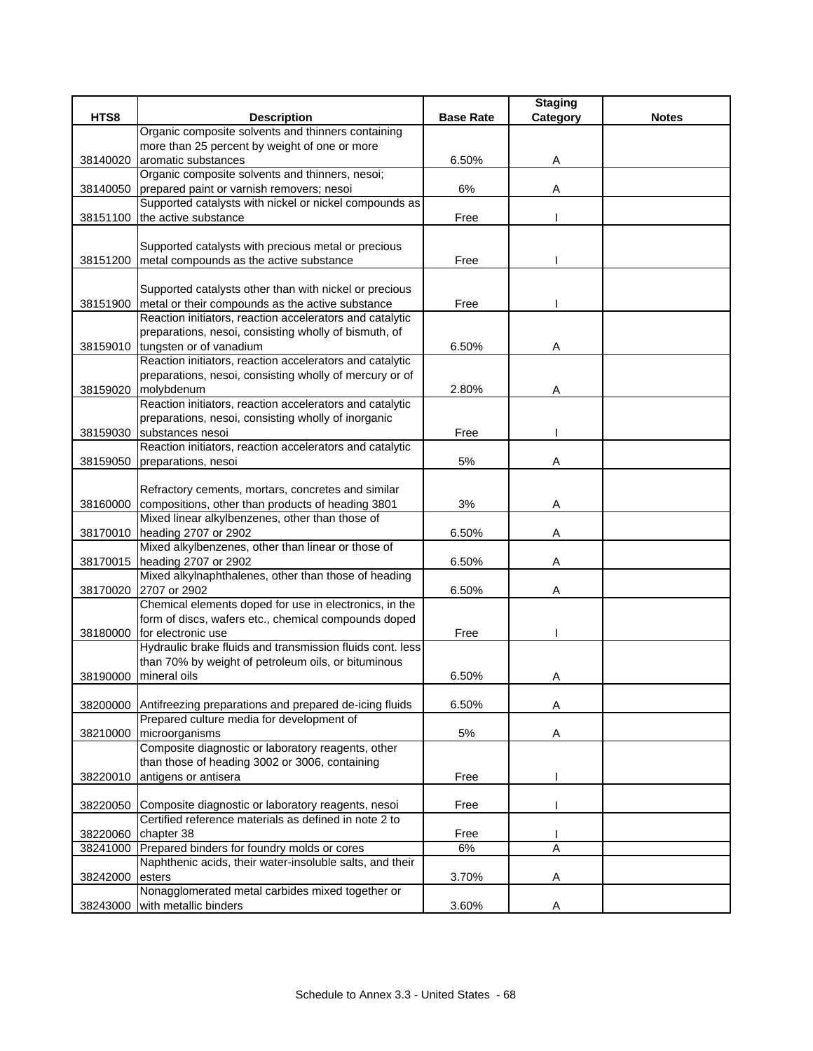|          |                                                                                                             |                  | <b>Staging</b> |              |
|----------|-------------------------------------------------------------------------------------------------------------|------------------|----------------|--------------|
| HTS8     | <b>Description</b>                                                                                          | <b>Base Rate</b> | Category       | <b>Notes</b> |
|          | Organic composite solvents and thinners containing                                                          |                  |                |              |
|          | more than 25 percent by weight of one or more                                                               |                  |                |              |
| 38140020 | aromatic substances                                                                                         | 6.50%            | A              |              |
|          | Organic composite solvents and thinners, nesoi;                                                             |                  |                |              |
| 38140050 | prepared paint or varnish removers; nesoi                                                                   | 6%               | Α              |              |
|          | Supported catalysts with nickel or nickel compounds as                                                      |                  |                |              |
| 38151100 | the active substance                                                                                        | Free             |                |              |
|          |                                                                                                             |                  |                |              |
|          | Supported catalysts with precious metal or precious                                                         |                  |                |              |
| 38151200 | metal compounds as the active substance                                                                     | Free             |                |              |
|          |                                                                                                             |                  |                |              |
|          | Supported catalysts other than with nickel or precious<br>metal or their compounds as the active substance  | Free             |                |              |
| 38151900 | Reaction initiators, reaction accelerators and catalytic                                                    |                  |                |              |
|          | preparations, nesoi, consisting wholly of bismuth, of                                                       |                  |                |              |
| 38159010 | tungsten or of vanadium                                                                                     | 6.50%            | A              |              |
|          | Reaction initiators, reaction accelerators and catalytic                                                    |                  |                |              |
|          | preparations, nesoi, consisting wholly of mercury or of                                                     |                  |                |              |
| 38159020 | molybdenum                                                                                                  | 2.80%            | Α              |              |
|          | Reaction initiators, reaction accelerators and catalytic                                                    |                  |                |              |
|          | preparations, nesoi, consisting wholly of inorganic                                                         |                  |                |              |
| 38159030 | substances nesoi                                                                                            | Free             |                |              |
|          | Reaction initiators, reaction accelerators and catalytic                                                    |                  |                |              |
| 38159050 | preparations, nesoi                                                                                         | 5%               | Α              |              |
|          |                                                                                                             |                  |                |              |
|          | Refractory cements, mortars, concretes and similar                                                          |                  |                |              |
|          | 38160000 compositions, other than products of heading 3801                                                  | 3%               | Α              |              |
|          | Mixed linear alkylbenzenes, other than those of                                                             |                  |                |              |
|          | 38170010 heading 2707 or 2902                                                                               | 6.50%            | A              |              |
|          | Mixed alkylbenzenes, other than linear or those of                                                          |                  |                |              |
| 38170015 | heading 2707 or 2902                                                                                        | 6.50%            | Α              |              |
|          | Mixed alkylnaphthalenes, other than those of heading                                                        |                  |                |              |
| 38170020 | 2707 or 2902                                                                                                | 6.50%            | Α              |              |
|          | Chemical elements doped for use in electronics, in the                                                      |                  |                |              |
|          | form of discs, wafers etc., chemical compounds doped                                                        |                  |                |              |
| 38180000 | for electronic use                                                                                          | Free             |                |              |
|          | Hydraulic brake fluids and transmission fluids cont. less                                                   |                  |                |              |
|          | than 70% by weight of petroleum oils, or bituminous                                                         |                  |                |              |
| 38190000 | mineral oils                                                                                                | 6.50%            | Α              |              |
|          |                                                                                                             |                  |                |              |
| 38200000 | Antifreezing preparations and prepared de-icing fluids                                                      | 6.50%            | Α              |              |
|          | Prepared culture media for development of                                                                   |                  |                |              |
| 38210000 | microorganisms                                                                                              | $5%$             | Α              |              |
|          | Composite diagnostic or laboratory reagents, other                                                          |                  |                |              |
|          | than those of heading 3002 or 3006, containing                                                              |                  |                |              |
| 38220010 | antigens or antisera                                                                                        | Free             |                |              |
|          |                                                                                                             |                  |                |              |
| 38220050 | Composite diagnostic or laboratory reagents, nesoi<br>Certified reference materials as defined in note 2 to | Free             |                |              |
| 38220060 | chapter 38                                                                                                  | Free             |                |              |
| 38241000 | Prepared binders for foundry molds or cores                                                                 | $6\%$            | $\overline{A}$ |              |
|          | Naphthenic acids, their water-insoluble salts, and their                                                    |                  |                |              |
| 38242000 | esters                                                                                                      | 3.70%            | Α              |              |
|          | Nonagglomerated metal carbides mixed together or                                                            |                  |                |              |
| 38243000 | with metallic binders                                                                                       | 3.60%            | Α              |              |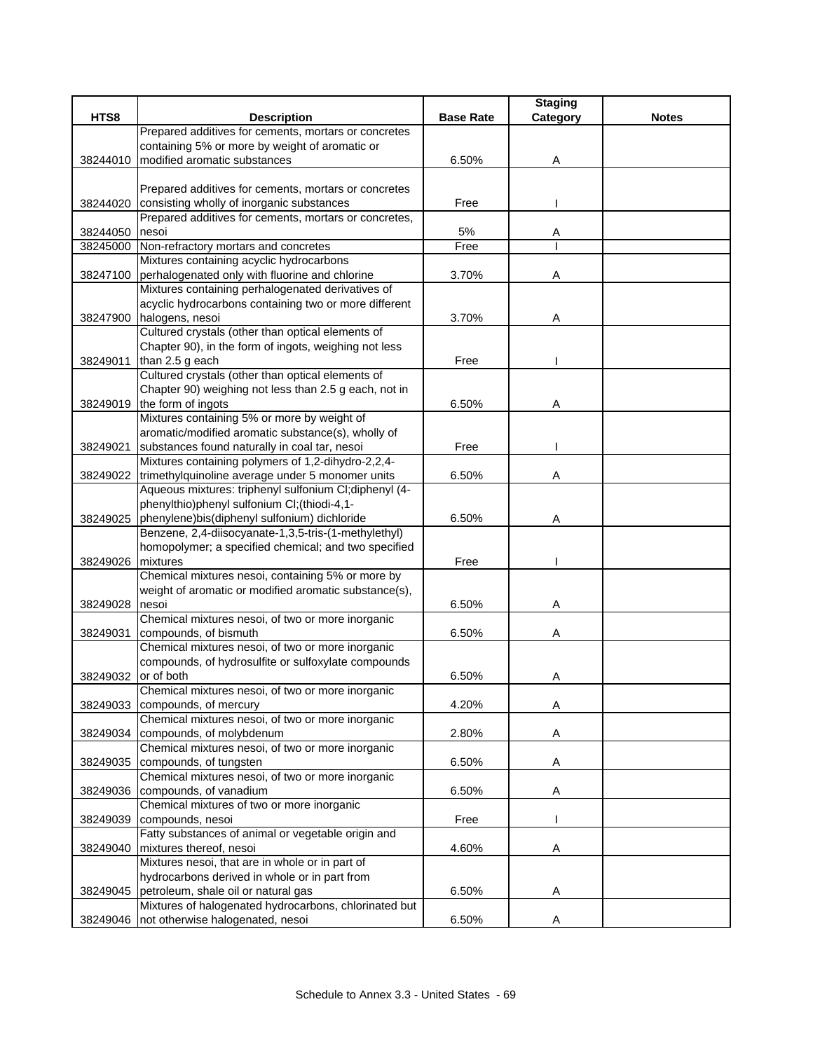|          |                                                                             |                  | <b>Staging</b> |              |
|----------|-----------------------------------------------------------------------------|------------------|----------------|--------------|
| HTS8     | <b>Description</b>                                                          | <b>Base Rate</b> | Category       | <b>Notes</b> |
|          | Prepared additives for cements, mortars or concretes                        |                  |                |              |
|          | containing 5% or more by weight of aromatic or                              |                  |                |              |
| 38244010 | modified aromatic substances                                                | 6.50%            | Α              |              |
|          |                                                                             |                  |                |              |
|          | Prepared additives for cements, mortars or concretes                        |                  |                |              |
| 38244020 | consisting wholly of inorganic substances                                   | Free             |                |              |
|          | Prepared additives for cements, mortars or concretes,                       |                  |                |              |
| 38244050 | nesoi                                                                       | 5%               | Α              |              |
| 38245000 | Non-refractory mortars and concretes                                        | Free             |                |              |
|          | Mixtures containing acyclic hydrocarbons                                    |                  |                |              |
| 38247100 | perhalogenated only with fluorine and chlorine                              | 3.70%            | Α              |              |
|          | Mixtures containing perhalogenated derivatives of                           |                  |                |              |
|          | acyclic hydrocarbons containing two or more different                       |                  |                |              |
| 38247900 | halogens, nesoi                                                             | 3.70%            | Α              |              |
|          | Cultured crystals (other than optical elements of                           |                  |                |              |
|          | Chapter 90), in the form of ingots, weighing not less                       |                  |                |              |
| 38249011 | than 2.5 g each                                                             | Free             |                |              |
|          | Cultured crystals (other than optical elements of                           |                  |                |              |
|          | Chapter 90) weighing not less than 2.5 g each, not in                       |                  |                |              |
|          | 38249019 the form of ingots                                                 | 6.50%            | Α              |              |
|          | Mixtures containing 5% or more by weight of                                 |                  |                |              |
|          | aromatic/modified aromatic substance(s), wholly of                          |                  |                |              |
| 38249021 | substances found naturally in coal tar, nesoi                               | Free             |                |              |
|          | Mixtures containing polymers of 1,2-dihydro-2,2,4-                          |                  |                |              |
| 38249022 | trimethylquinoline average under 5 monomer units                            | 6.50%            | Α              |              |
|          | Aqueous mixtures: triphenyl sulfonium Cl;diphenyl (4-                       |                  |                |              |
|          | phenylthio)phenyl sulfonium CI;(thiodi-4,1-                                 |                  |                |              |
| 38249025 | phenylene)bis(diphenyl sulfonium) dichloride                                | 6.50%            | Α              |              |
|          | Benzene, 2,4-diisocyanate-1,3,5-tris-(1-methylethyl)                        |                  |                |              |
|          | homopolymer; a specified chemical; and two specified                        |                  |                |              |
| 38249026 | mixtures                                                                    | Free             |                |              |
|          | Chemical mixtures nesoi, containing 5% or more by                           |                  |                |              |
|          | weight of aromatic or modified aromatic substance(s),                       |                  |                |              |
| 38249028 | nesoi                                                                       | 6.50%            | A              |              |
|          | Chemical mixtures nesoi, of two or more inorganic                           |                  |                |              |
| 38249031 | compounds, of bismuth                                                       | 6.50%            | Α              |              |
|          | Chemical mixtures nesoi, of two or more inorganic                           |                  |                |              |
|          | compounds, of hydrosulfite or sulfoxylate compounds                         |                  |                |              |
| 38249032 | or of both                                                                  | 6.50%            | Α              |              |
|          | Chemical mixtures nesoi, of two or more inorganic                           |                  |                |              |
| 38249033 | compounds, of mercury<br>Chemical mixtures nesoi, of two or more inorganic  | 4.20%            | Α              |              |
|          |                                                                             |                  |                |              |
| 38249034 | compounds, of molybdenum                                                    | 2.80%            | A              |              |
|          | Chemical mixtures nesoi, of two or more inorganic                           |                  |                |              |
| 38249035 | compounds, of tungsten<br>Chemical mixtures nesoi, of two or more inorganic | 6.50%            | Α              |              |
|          |                                                                             |                  |                |              |
| 38249036 | compounds, of vanadium<br>Chemical mixtures of two or more inorganic        | 6.50%            | Α              |              |
| 38249039 | compounds, nesoi                                                            | Free             |                |              |
|          | Fatty substances of animal or vegetable origin and                          |                  |                |              |
|          | mixtures thereof, nesoi                                                     |                  |                |              |
| 38249040 | Mixtures nesoi, that are in whole or in part of                             | 4.60%            | Α              |              |
|          | hydrocarbons derived in whole or in part from                               |                  |                |              |
| 38249045 | petroleum, shale oil or natural gas                                         | 6.50%            | Α              |              |
|          | Mixtures of halogenated hydrocarbons, chlorinated but                       |                  |                |              |
| 38249046 | not otherwise halogenated, nesoi                                            | 6.50%            | Α              |              |
|          |                                                                             |                  |                |              |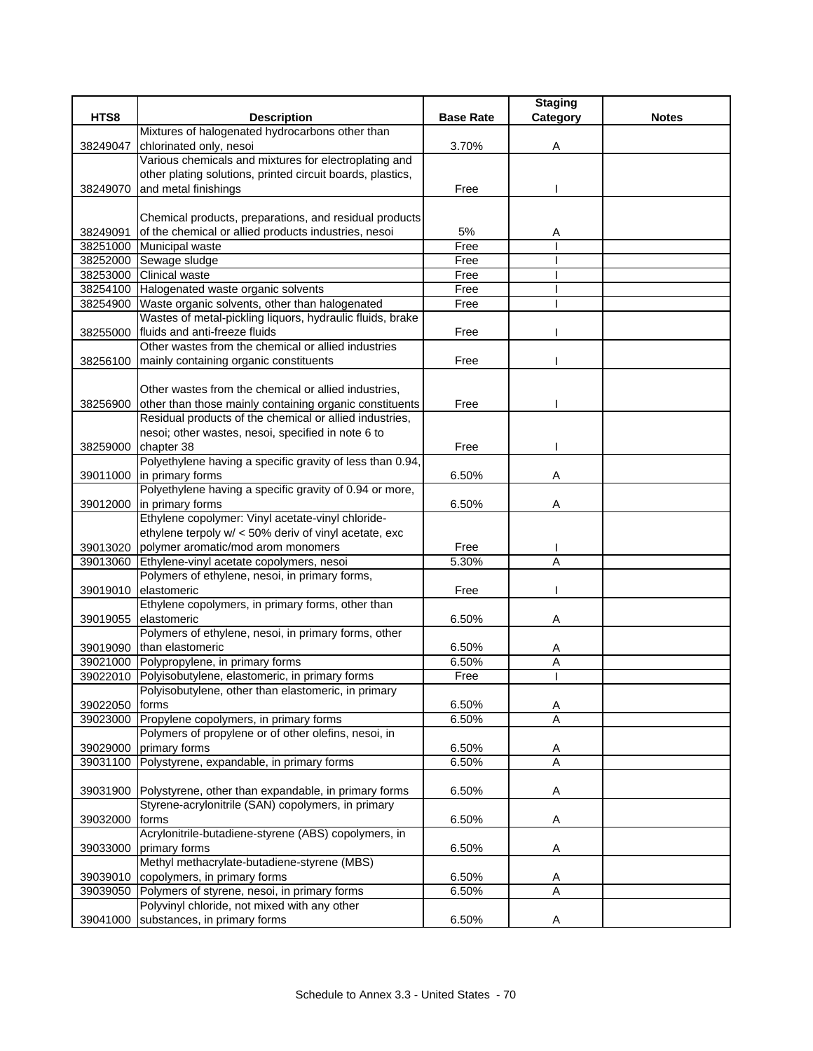|          |                                                                                                                |                  | <b>Staging</b>      |              |
|----------|----------------------------------------------------------------------------------------------------------------|------------------|---------------------|--------------|
| HTS8     | <b>Description</b>                                                                                             | <b>Base Rate</b> | Category            | <b>Notes</b> |
|          | Mixtures of halogenated hydrocarbons other than                                                                |                  |                     |              |
| 38249047 | chlorinated only, nesoi                                                                                        | 3.70%            | Α                   |              |
|          | Various chemicals and mixtures for electroplating and                                                          |                  |                     |              |
|          | other plating solutions, printed circuit boards, plastics,                                                     |                  |                     |              |
| 38249070 | and metal finishings                                                                                           | Free             |                     |              |
|          |                                                                                                                |                  |                     |              |
| 38249091 | Chemical products, preparations, and residual products<br>of the chemical or allied products industries, nesoi | 5%               |                     |              |
|          | 38251000 Municipal waste                                                                                       | Free             | A                   |              |
|          | 38252000 Sewage sludge                                                                                         | Free             |                     |              |
| 38253000 | <b>Clinical waste</b>                                                                                          | Free             |                     |              |
| 38254100 | Halogenated waste organic solvents                                                                             | Free             |                     |              |
| 38254900 | Waste organic solvents, other than halogenated                                                                 | Free             |                     |              |
|          | Wastes of metal-pickling liquors, hydraulic fluids, brake                                                      |                  |                     |              |
| 38255000 | fluids and anti-freeze fluids                                                                                  | Free             |                     |              |
|          | Other wastes from the chemical or allied industries                                                            |                  |                     |              |
| 38256100 | mainly containing organic constituents                                                                         | Free             |                     |              |
|          |                                                                                                                |                  |                     |              |
|          | Other wastes from the chemical or allied industries,                                                           |                  |                     |              |
| 38256900 | other than those mainly containing organic constituents                                                        | Free             |                     |              |
|          | Residual products of the chemical or allied industries,                                                        |                  |                     |              |
|          | nesoi; other wastes, nesoi, specified in note 6 to                                                             |                  |                     |              |
| 38259000 | chapter 38                                                                                                     | Free             |                     |              |
|          | Polyethylene having a specific gravity of less than 0.94,                                                      |                  |                     |              |
| 39011000 | in primary forms                                                                                               | 6.50%            | Α                   |              |
|          | Polyethylene having a specific gravity of 0.94 or more,<br>in primary forms                                    | 6.50%            |                     |              |
| 39012000 | Ethylene copolymer: Vinyl acetate-vinyl chloride-                                                              |                  | Α                   |              |
|          | ethylene terpoly w/ < 50% deriv of vinyl acetate, exc                                                          |                  |                     |              |
| 39013020 | polymer aromatic/mod arom monomers                                                                             | Free             |                     |              |
| 39013060 | Ethylene-vinyl acetate copolymers, nesoi                                                                       | 5.30%            | A                   |              |
|          | Polymers of ethylene, nesoi, in primary forms,                                                                 |                  |                     |              |
| 39019010 | elastomeric                                                                                                    | Free             |                     |              |
|          | Ethylene copolymers, in primary forms, other than                                                              |                  |                     |              |
| 39019055 | elastomeric                                                                                                    | 6.50%            | Α                   |              |
|          | Polymers of ethylene, nesoi, in primary forms, other                                                           |                  |                     |              |
| 39019090 | than elastomeric                                                                                               | 6.50%            | A                   |              |
| 39021000 | Polypropylene, in primary forms                                                                                | 6.50%            | Α                   |              |
| 39022010 | Polyisobutylene, elastomeric, in primary forms                                                                 | Free             |                     |              |
|          | Polyisobutylene, other than elastomeric, in primary                                                            |                  |                     |              |
| 39022050 | forms                                                                                                          | 6.50%            | A                   |              |
| 39023000 | Propylene copolymers, in primary forms                                                                         | 6.50%            | Α                   |              |
|          | Polymers of propylene or of other olefins, nesoi, in                                                           |                  |                     |              |
| 39029000 | primary forms                                                                                                  | 6.50%<br>6.50%   | Α<br>$\overline{A}$ |              |
| 39031100 | Polystyrene, expandable, in primary forms                                                                      |                  |                     |              |
| 39031900 | Polystyrene, other than expandable, in primary forms                                                           | 6.50%            |                     |              |
|          | Styrene-acrylonitrile (SAN) copolymers, in primary                                                             |                  | Α                   |              |
| 39032000 | forms                                                                                                          | 6.50%            | A                   |              |
|          | Acrylonitrile-butadiene-styrene (ABS) copolymers, in                                                           |                  |                     |              |
| 39033000 | primary forms                                                                                                  | 6.50%            | A                   |              |
|          | Methyl methacrylate-butadiene-styrene (MBS)                                                                    |                  |                     |              |
| 39039010 | copolymers, in primary forms                                                                                   | 6.50%            | Α                   |              |
| 39039050 | Polymers of styrene, nesoi, in primary forms                                                                   | 6.50%            | Α                   |              |
|          | Polyvinyl chloride, not mixed with any other                                                                   |                  |                     |              |
| 39041000 | substances, in primary forms                                                                                   | 6.50%            | Α                   |              |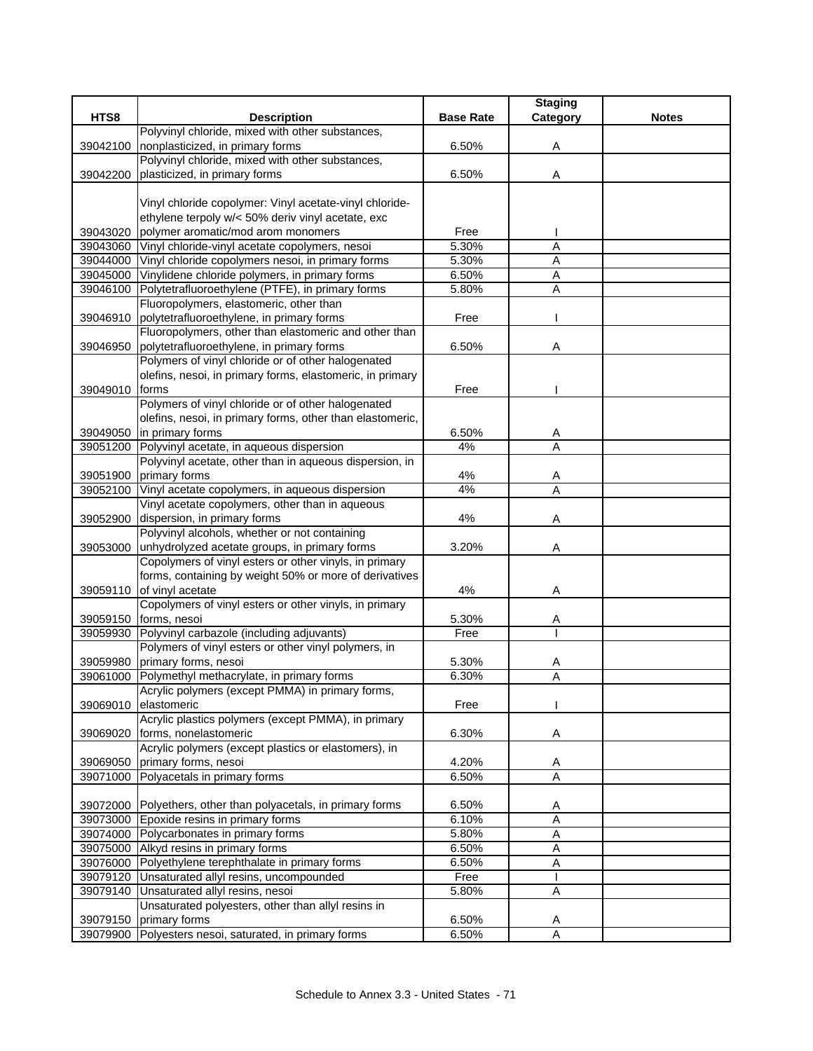|          |                                                               |                  | <b>Staging</b> |              |
|----------|---------------------------------------------------------------|------------------|----------------|--------------|
| HTS8     | <b>Description</b>                                            | <b>Base Rate</b> | Category       | <b>Notes</b> |
|          | Polyvinyl chloride, mixed with other substances,              |                  |                |              |
| 39042100 | nonplasticized, in primary forms                              | 6.50%            | Α              |              |
|          | Polyvinyl chloride, mixed with other substances,              |                  |                |              |
| 39042200 | plasticized, in primary forms                                 | 6.50%            | Α              |              |
|          |                                                               |                  |                |              |
|          | Vinyl chloride copolymer: Vinyl acetate-vinyl chloride-       |                  |                |              |
|          | ethylene terpoly w/< 50% deriv vinyl acetate, exc             |                  |                |              |
| 39043020 | polymer aromatic/mod arom monomers                            | Free             |                |              |
| 39043060 | Vinyl chloride-vinyl acetate copolymers, nesoi                | 5.30%            | $\overline{A}$ |              |
| 39044000 | Vinyl chloride copolymers nesoi, in primary forms             | 5.30%            | $\overline{A}$ |              |
| 39045000 | Vinylidene chloride polymers, in primary forms                | 6.50%            | A              |              |
| 39046100 | Polytetrafluoroethylene (PTFE), in primary forms              | 5.80%            | Α              |              |
|          | Fluoropolymers, elastomeric, other than                       |                  |                |              |
| 39046910 | polytetrafluoroethylene, in primary forms                     | Free             |                |              |
|          | Fluoropolymers, other than elastomeric and other than         |                  |                |              |
| 39046950 | polytetrafluoroethylene, in primary forms                     | 6.50%            | Α              |              |
|          | Polymers of vinyl chloride or of other halogenated            |                  |                |              |
|          | olefins, nesoi, in primary forms, elastomeric, in primary     |                  |                |              |
| 39049010 | forms                                                         | Free             |                |              |
|          | Polymers of vinyl chloride or of other halogenated            |                  |                |              |
|          | olefins, nesoi, in primary forms, other than elastomeric,     |                  |                |              |
| 39049050 | in primary forms                                              | 6.50%            | A              |              |
| 39051200 | Polyvinyl acetate, in aqueous dispersion                      | 4%               | $\overline{A}$ |              |
|          | Polyvinyl acetate, other than in aqueous dispersion, in       |                  |                |              |
| 39051900 | primary forms                                                 | 4%               | Α              |              |
| 39052100 | Vinyl acetate copolymers, in aqueous dispersion               | 4%               | A              |              |
|          | Vinyl acetate copolymers, other than in aqueous               |                  |                |              |
| 39052900 | dispersion, in primary forms                                  | 4%               | Α              |              |
|          | Polyvinyl alcohols, whether or not containing                 |                  |                |              |
| 39053000 | unhydrolyzed acetate groups, in primary forms                 | 3.20%            | Α              |              |
|          | Copolymers of vinyl esters or other vinyls, in primary        |                  |                |              |
|          | forms, containing by weight 50% or more of derivatives        |                  |                |              |
| 39059110 | of vinyl acetate                                              | 4%               | Α              |              |
|          | Copolymers of vinyl esters or other vinyls, in primary        |                  |                |              |
| 39059150 | forms, nesoi                                                  | 5.30%            | Α              |              |
| 39059930 | Polyvinyl carbazole (including adjuvants)                     | Free             |                |              |
|          | Polymers of vinyl esters or other vinyl polymers, in          |                  |                |              |
| 39059980 | primary forms, nesoi                                          | 5.30%            | A              |              |
| 39061000 | Polymethyl methacrylate, in primary forms                     | 6.30%            | A              |              |
|          | Acrylic polymers (except PMMA) in primary forms,              |                  |                |              |
| 39069010 | elastomeric                                                   | Free             |                |              |
|          | Acrylic plastics polymers (except PMMA), in primary           |                  |                |              |
| 39069020 | forms, nonelastomeric                                         | 6.30%            | A              |              |
|          | Acrylic polymers (except plastics or elastomers), in          |                  |                |              |
| 39069050 | primary forms, nesoi                                          | 4.20%            | Α              |              |
|          | 39071000 Polyacetals in primary forms                         | 6.50%            | $\overline{A}$ |              |
|          |                                                               |                  |                |              |
|          | 39072000 Polyethers, other than polyacetals, in primary forms | 6.50%            | Α              |              |
|          | 39073000 Epoxide resins in primary forms                      | 6.10%            | A              |              |
|          | 39074000 Polycarbonates in primary forms                      | 5.80%            | Α              |              |
| 39075000 | Alkyd resins in primary forms                                 | 6.50%            | A              |              |
| 39076000 | Polyethylene terephthalate in primary forms                   | 6.50%            | Α              |              |
|          | 39079120 Unsaturated allyl resins, uncompounded               | Free             | $\mathbf{I}$   |              |
| 39079140 | Unsaturated allyl resins, nesoi                               | 5.80%            | Α              |              |
|          | Unsaturated polyesters, other than allyl resins in            |                  |                |              |
| 39079150 | primary forms                                                 | 6.50%            | A              |              |
|          | 39079900 Polyesters nesoi, saturated, in primary forms        | 6.50%            | A              |              |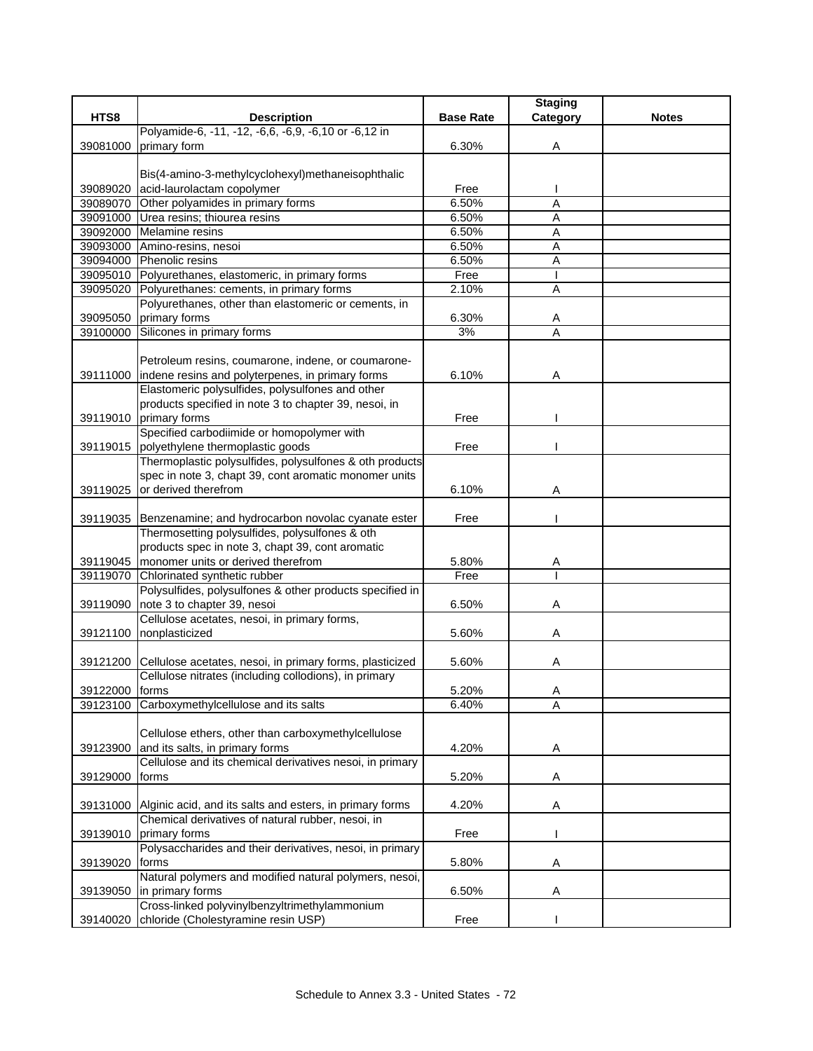|                |                                                                                             |                  | <b>Staging</b> |              |
|----------------|---------------------------------------------------------------------------------------------|------------------|----------------|--------------|
| HTS8           | <b>Description</b>                                                                          | <b>Base Rate</b> | Category       | <b>Notes</b> |
|                | Polyamide-6, -11, -12, -6,6, -6,9, -6,10 or -6,12 in                                        |                  |                |              |
| 39081000       | primary form                                                                                | 6.30%            | Α              |              |
|                |                                                                                             |                  |                |              |
|                | Bis(4-amino-3-methylcyclohexyl)methaneisophthalic                                           |                  |                |              |
| 39089020       | acid-laurolactam copolymer                                                                  | Free             |                |              |
|                | 39089070 Other polyamides in primary forms                                                  | 6.50%            | A              |              |
|                | 39091000 Urea resins; thiourea resins<br>39092000 Melamine resins                           | 6.50%<br>6.50%   | Α              |              |
|                | 39093000 Amino-resins, nesoi                                                                | 6.50%            | Α<br>A         |              |
|                | 39094000 Phenolic resins                                                                    | 6.50%            | A              |              |
|                | 39095010 Polyurethanes, elastomeric, in primary forms                                       | Free             | ı              |              |
|                | 39095020 Polyurethanes: cements, in primary forms                                           | 2.10%            | A              |              |
|                | Polyurethanes, other than elastomeric or cements, in                                        |                  |                |              |
| 39095050       | primary forms                                                                               | 6.30%            | Α              |              |
| 39100000       | Silicones in primary forms                                                                  | 3%               | $\overline{A}$ |              |
|                |                                                                                             |                  |                |              |
|                | Petroleum resins, coumarone, indene, or coumarone-                                          |                  |                |              |
| 39111000       | indene resins and polyterpenes, in primary forms                                            | 6.10%            | Α              |              |
|                | Elastomeric polysulfides, polysulfones and other                                            |                  |                |              |
|                | products specified in note 3 to chapter 39, nesoi, in                                       |                  |                |              |
|                | 39119010 primary forms                                                                      | Free             |                |              |
|                | Specified carbodiimide or homopolymer with                                                  |                  |                |              |
|                | 39119015 polyethylene thermoplastic goods                                                   | Free             |                |              |
|                | Thermoplastic polysulfides, polysulfones & oth products                                     |                  |                |              |
|                | spec in note 3, chapt 39, cont aromatic monomer units                                       |                  |                |              |
| 39119025       | or derived therefrom                                                                        | 6.10%            | Α              |              |
|                |                                                                                             |                  |                |              |
|                | 39119035 Benzenamine; and hydrocarbon novolac cyanate ester                                 | Free             |                |              |
|                | Thermosetting polysulfides, polysulfones & oth                                              |                  |                |              |
|                | products spec in note 3, chapt 39, cont aromatic                                            |                  |                |              |
|                | 39119045   monomer units or derived therefrom                                               | 5.80%            | A              |              |
|                | 39119070 Chlorinated synthetic rubber                                                       | Free             |                |              |
|                | Polysulfides, polysulfones & other products specified in                                    |                  |                |              |
|                | 39119090 note 3 to chapter 39, nesoi                                                        | 6.50%            | Α              |              |
|                | Cellulose acetates, nesoi, in primary forms,                                                |                  |                |              |
| 39121100       | nonplasticized                                                                              | 5.60%            | Α              |              |
|                |                                                                                             |                  |                |              |
|                | 39121200 Cellulose acetates, nesoi, in primary forms, plasticized                           | 5.60%            | Α              |              |
|                | Cellulose nitrates (including collodions), in primary                                       |                  |                |              |
| 39122000 forms |                                                                                             | 5.20%            | A              |              |
|                | 39123100 Carboxymethylcellulose and its salts                                               | 6.40%            | A              |              |
|                |                                                                                             |                  |                |              |
|                | Cellulose ethers, other than carboxymethylcellulose                                         |                  |                |              |
| 39123900       | and its salts, in primary forms<br>Cellulose and its chemical derivatives nesoi, in primary | 4.20%            | Α              |              |
|                | forms                                                                                       |                  |                |              |
| 39129000       |                                                                                             | 5.20%            | A              |              |
| 39131000       | Alginic acid, and its salts and esters, in primary forms                                    | 4.20%            |                |              |
|                | Chemical derivatives of natural rubber, nesoi, in                                           |                  | A              |              |
| 39139010       | primary forms                                                                               | Free             |                |              |
|                | Polysaccharides and their derivatives, nesoi, in primary                                    |                  |                |              |
| 39139020       | forms                                                                                       | 5.80%            | Α              |              |
|                | Natural polymers and modified natural polymers, nesoi,                                      |                  |                |              |
| 39139050       | in primary forms                                                                            | 6.50%            | Α              |              |
|                | Cross-linked polyvinylbenzyltrimethylammonium                                               |                  |                |              |
| 39140020       | chloride (Cholestyramine resin USP)                                                         | Free             |                |              |
|                |                                                                                             |                  |                |              |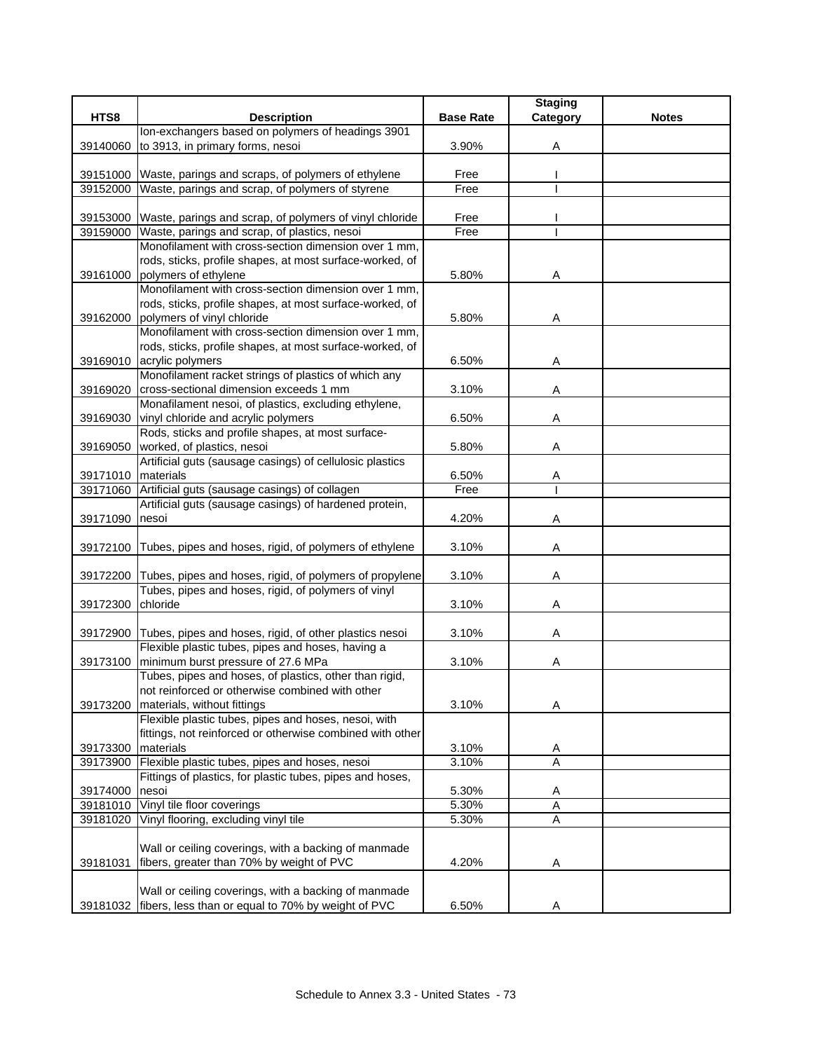|                      |                                                                                                         |                  | <b>Staging</b> |              |
|----------------------|---------------------------------------------------------------------------------------------------------|------------------|----------------|--------------|
| HTS8                 | <b>Description</b>                                                                                      | <b>Base Rate</b> | Category       | <b>Notes</b> |
|                      | Ion-exchangers based on polymers of headings 3901                                                       |                  |                |              |
| 39140060             | to 3913, in primary forms, nesoi                                                                        | 3.90%            | Α              |              |
|                      |                                                                                                         |                  |                |              |
|                      | 39151000 Waste, parings and scraps, of polymers of ethylene                                             | Free             |                |              |
|                      | 39152000 Waste, parings and scrap, of polymers of styrene                                               | Free             |                |              |
|                      |                                                                                                         |                  |                |              |
|                      | 39153000 Waste, parings and scrap, of polymers of vinyl chloride                                        | Free             |                |              |
|                      | 39159000 Waste, parings and scrap, of plastics, nesoi                                                   | Free             |                |              |
|                      | Monofilament with cross-section dimension over 1 mm,                                                    |                  |                |              |
| 39161000             | rods, sticks, profile shapes, at most surface-worked, of<br>polymers of ethylene                        | 5.80%            | Α              |              |
|                      | Monofilament with cross-section dimension over 1 mm,                                                    |                  |                |              |
|                      | rods, sticks, profile shapes, at most surface-worked, of                                                |                  |                |              |
| 39162000             | polymers of vinyl chloride                                                                              | 5.80%            | Α              |              |
|                      | Monofilament with cross-section dimension over 1 mm,                                                    |                  |                |              |
|                      | rods, sticks, profile shapes, at most surface-worked, of                                                |                  |                |              |
|                      | 39169010 acrylic polymers                                                                               | 6.50%            | Α              |              |
|                      | Monofilament racket strings of plastics of which any                                                    |                  |                |              |
| 39169020             | cross-sectional dimension exceeds 1 mm                                                                  | 3.10%            | Α              |              |
|                      | Monafilament nesoi, of plastics, excluding ethylene,                                                    |                  |                |              |
| 39169030             | vinyl chloride and acrylic polymers                                                                     | 6.50%            | Α              |              |
|                      | Rods, sticks and profile shapes, at most surface-                                                       |                  |                |              |
|                      | 39169050 worked, of plastics, nesoi                                                                     | 5.80%            | Α              |              |
|                      | Artificial guts (sausage casings) of cellulosic plastics                                                |                  |                |              |
| 39171010   materials |                                                                                                         | 6.50%            | Α              |              |
| 39171060             | Artificial guts (sausage casings) of collagen<br>Artificial guts (sausage casings) of hardened protein, | Free             | т              |              |
| 39171090             | nesoi                                                                                                   | 4.20%            | A              |              |
|                      |                                                                                                         |                  |                |              |
| 39172100             | Tubes, pipes and hoses, rigid, of polymers of ethylene                                                  | 3.10%            | Α              |              |
|                      |                                                                                                         |                  |                |              |
| 39172200             | Tubes, pipes and hoses, rigid, of polymers of propylene                                                 | 3.10%            | Α              |              |
|                      | Tubes, pipes and hoses, rigid, of polymers of vinyl                                                     |                  |                |              |
| 39172300             | chloride                                                                                                | 3.10%            | Α              |              |
|                      |                                                                                                         |                  |                |              |
|                      | 39172900 Tubes, pipes and hoses, rigid, of other plastics nesoi                                         | 3.10%            | Α              |              |
|                      | Flexible plastic tubes, pipes and hoses, having a                                                       |                  |                |              |
| 39173100             | minimum burst pressure of 27.6 MPa<br>Tubes, pipes and hoses, of plastics, other than rigid,            | 3.10%            | A              |              |
|                      | not reinforced or otherwise combined with other                                                         |                  |                |              |
| 39173200             | materials, without fittings                                                                             | 3.10%            | Α              |              |
|                      | Flexible plastic tubes, pipes and hoses, nesoi, with                                                    |                  |                |              |
|                      | fittings, not reinforced or otherwise combined with other                                               |                  |                |              |
| 39173300             | materials                                                                                               | 3.10%            | A              |              |
| 39173900             | Flexible plastic tubes, pipes and hoses, nesoi                                                          | 3.10%            | A              |              |
|                      | Fittings of plastics, for plastic tubes, pipes and hoses,                                               |                  |                |              |
| 39174000             | nesoi                                                                                                   | 5.30%            | A              |              |
| 39181010             | Vinyl tile floor coverings                                                                              | 5.30%            | A              |              |
| 39181020             | Vinyl flooring, excluding vinyl tile                                                                    | 5.30%            | A              |              |
|                      |                                                                                                         |                  |                |              |
|                      | Wall or ceiling coverings, with a backing of manmade                                                    |                  |                |              |
| 39181031             | fibers, greater than 70% by weight of PVC                                                               | 4.20%            | Α              |              |
|                      | Wall or ceiling coverings, with a backing of manmade                                                    |                  |                |              |
| 39181032             | fibers, less than or equal to 70% by weight of PVC                                                      | 6.50%            | A              |              |
|                      |                                                                                                         |                  |                |              |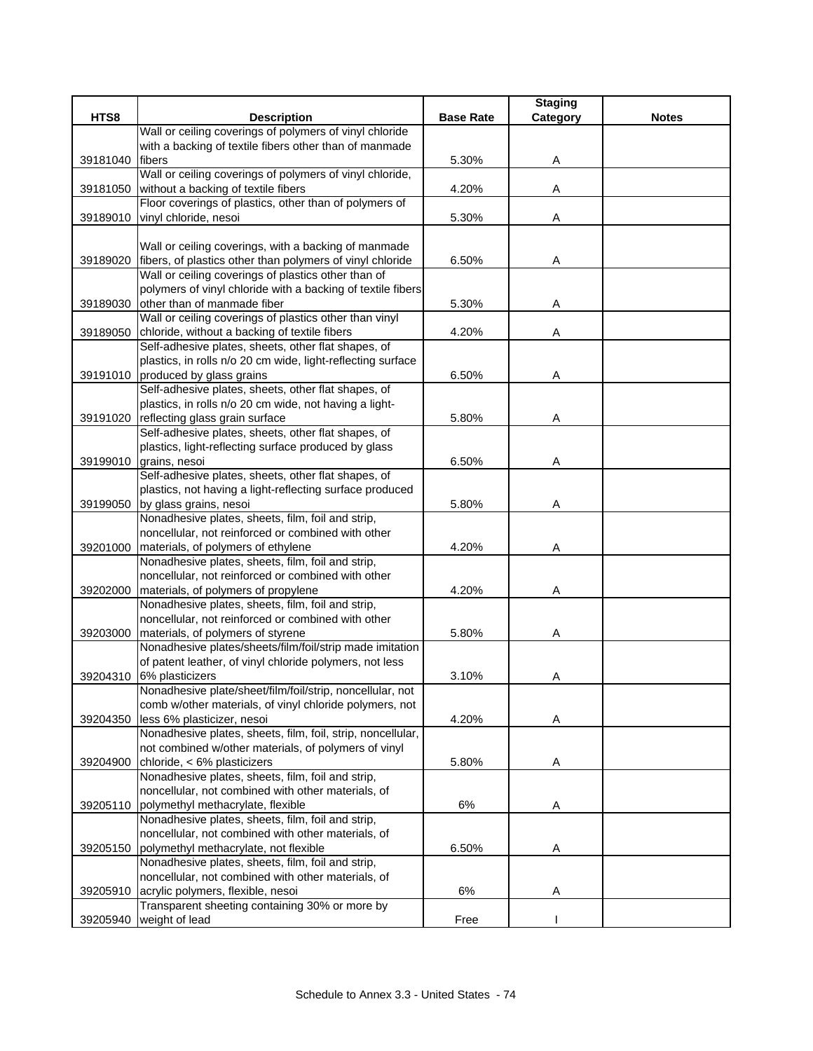| HTS8<br><b>Base Rate</b><br><b>Notes</b><br><b>Description</b><br>Wall or ceiling coverings of polymers of vinyl chloride<br>with a backing of textile fibers other than of manmade<br><b>fibers</b><br>5.30%<br>39181040<br>Α<br>Wall or ceiling coverings of polymers of vinyl chloride,<br>without a backing of textile fibers<br>4.20%<br>39181050<br>Α<br>Floor coverings of plastics, other than of polymers of<br>vinyl chloride, nesoi<br>5.30%<br>39189010<br>Α<br>Wall or ceiling coverings, with a backing of manmade<br>39189020 fibers, of plastics other than polymers of vinyl chloride<br>6.50%<br>Α<br>Wall or ceiling coverings of plastics other than of<br>polymers of vinyl chloride with a backing of textile fibers<br>other than of manmade fiber<br>5.30%<br>39189030<br>Α<br>Wall or ceiling coverings of plastics other than vinyl<br>chloride, without a backing of textile fibers<br>4.20%<br>39189050<br>Α<br>Self-adhesive plates, sheets, other flat shapes, of<br>plastics, in rolls n/o 20 cm wide, light-reflecting surface<br>39191010 produced by glass grains<br>6.50%<br>A<br>Self-adhesive plates, sheets, other flat shapes, of<br>plastics, in rolls n/o 20 cm wide, not having a light-<br>reflecting glass grain surface<br>39191020<br>5.80%<br>Α<br>Self-adhesive plates, sheets, other flat shapes, of<br>plastics, light-reflecting surface produced by glass<br>39199010 grains, nesoi<br>6.50%<br>Α<br>Self-adhesive plates, sheets, other flat shapes, of<br>plastics, not having a light-reflecting surface produced<br>by glass grains, nesoi<br>5.80%<br>39199050<br>Α<br>Nonadhesive plates, sheets, film, foil and strip,<br>noncellular, not reinforced or combined with other<br>39201000<br>materials, of polymers of ethylene<br>4.20%<br>Α<br>Nonadhesive plates, sheets, film, foil and strip,<br>noncellular, not reinforced or combined with other<br>materials, of polymers of propylene<br>4.20%<br>39202000<br>Α<br>Nonadhesive plates, sheets, film, foil and strip,<br>noncellular, not reinforced or combined with other<br>39203000<br>materials, of polymers of styrene<br>5.80%<br>Α<br>Nonadhesive plates/sheets/film/foil/strip made imitation<br>of patent leather, of vinyl chloride polymers, not less<br>6% plasticizers<br>3.10%<br>39204310<br>Α<br>Nonadhesive plate/sheet/film/foil/strip, noncellular, not<br>comb w/other materials, of vinyl chloride polymers, not<br>less 6% plasticizer, nesoi<br>4.20%<br>39204350<br>Α<br>Nonadhesive plates, sheets, film, foil, strip, noncellular,<br>not combined w/other materials, of polymers of vinyl<br>chloride, < 6% plasticizers<br>39204900<br>5.80%<br>Α<br>Nonadhesive plates, sheets, film, foil and strip,<br>noncellular, not combined with other materials, of<br>polymethyl methacrylate, flexible<br>6%<br>39205110<br>Α<br>Nonadhesive plates, sheets, film, foil and strip,<br>noncellular, not combined with other materials, of<br>polymethyl methacrylate, not flexible<br>39205150<br>6.50%<br>Α<br>Nonadhesive plates, sheets, film, foil and strip,<br>noncellular, not combined with other materials, of<br>acrylic polymers, flexible, nesoi<br>6%<br>Α<br>39205910<br>Transparent sheeting containing 30% or more by<br>weight of lead<br>39205940 |  |      | <b>Staging</b> |  |
|---------------------------------------------------------------------------------------------------------------------------------------------------------------------------------------------------------------------------------------------------------------------------------------------------------------------------------------------------------------------------------------------------------------------------------------------------------------------------------------------------------------------------------------------------------------------------------------------------------------------------------------------------------------------------------------------------------------------------------------------------------------------------------------------------------------------------------------------------------------------------------------------------------------------------------------------------------------------------------------------------------------------------------------------------------------------------------------------------------------------------------------------------------------------------------------------------------------------------------------------------------------------------------------------------------------------------------------------------------------------------------------------------------------------------------------------------------------------------------------------------------------------------------------------------------------------------------------------------------------------------------------------------------------------------------------------------------------------------------------------------------------------------------------------------------------------------------------------------------------------------------------------------------------------------------------------------------------------------------------------------------------------------------------------------------------------------------------------------------------------------------------------------------------------------------------------------------------------------------------------------------------------------------------------------------------------------------------------------------------------------------------------------------------------------------------------------------------------------------------------------------------------------------------------------------------------------------------------------------------------------------------------------------------------------------------------------------------------------------------------------------------------------------------------------------------------------------------------------------------------------------------------------------------------------------------------------------------------------------------------------------------------------------------------------------------------------------------------------------------------------------------------------------------------------------------------------------------------------------------------------------------------------------------------------------------|--|------|----------------|--|
|                                                                                                                                                                                                                                                                                                                                                                                                                                                                                                                                                                                                                                                                                                                                                                                                                                                                                                                                                                                                                                                                                                                                                                                                                                                                                                                                                                                                                                                                                                                                                                                                                                                                                                                                                                                                                                                                                                                                                                                                                                                                                                                                                                                                                                                                                                                                                                                                                                                                                                                                                                                                                                                                                                                                                                                                                                                                                                                                                                                                                                                                                                                                                                                                                                                                                                               |  |      | Category       |  |
|                                                                                                                                                                                                                                                                                                                                                                                                                                                                                                                                                                                                                                                                                                                                                                                                                                                                                                                                                                                                                                                                                                                                                                                                                                                                                                                                                                                                                                                                                                                                                                                                                                                                                                                                                                                                                                                                                                                                                                                                                                                                                                                                                                                                                                                                                                                                                                                                                                                                                                                                                                                                                                                                                                                                                                                                                                                                                                                                                                                                                                                                                                                                                                                                                                                                                                               |  |      |                |  |
|                                                                                                                                                                                                                                                                                                                                                                                                                                                                                                                                                                                                                                                                                                                                                                                                                                                                                                                                                                                                                                                                                                                                                                                                                                                                                                                                                                                                                                                                                                                                                                                                                                                                                                                                                                                                                                                                                                                                                                                                                                                                                                                                                                                                                                                                                                                                                                                                                                                                                                                                                                                                                                                                                                                                                                                                                                                                                                                                                                                                                                                                                                                                                                                                                                                                                                               |  |      |                |  |
|                                                                                                                                                                                                                                                                                                                                                                                                                                                                                                                                                                                                                                                                                                                                                                                                                                                                                                                                                                                                                                                                                                                                                                                                                                                                                                                                                                                                                                                                                                                                                                                                                                                                                                                                                                                                                                                                                                                                                                                                                                                                                                                                                                                                                                                                                                                                                                                                                                                                                                                                                                                                                                                                                                                                                                                                                                                                                                                                                                                                                                                                                                                                                                                                                                                                                                               |  |      |                |  |
|                                                                                                                                                                                                                                                                                                                                                                                                                                                                                                                                                                                                                                                                                                                                                                                                                                                                                                                                                                                                                                                                                                                                                                                                                                                                                                                                                                                                                                                                                                                                                                                                                                                                                                                                                                                                                                                                                                                                                                                                                                                                                                                                                                                                                                                                                                                                                                                                                                                                                                                                                                                                                                                                                                                                                                                                                                                                                                                                                                                                                                                                                                                                                                                                                                                                                                               |  |      |                |  |
|                                                                                                                                                                                                                                                                                                                                                                                                                                                                                                                                                                                                                                                                                                                                                                                                                                                                                                                                                                                                                                                                                                                                                                                                                                                                                                                                                                                                                                                                                                                                                                                                                                                                                                                                                                                                                                                                                                                                                                                                                                                                                                                                                                                                                                                                                                                                                                                                                                                                                                                                                                                                                                                                                                                                                                                                                                                                                                                                                                                                                                                                                                                                                                                                                                                                                                               |  |      |                |  |
|                                                                                                                                                                                                                                                                                                                                                                                                                                                                                                                                                                                                                                                                                                                                                                                                                                                                                                                                                                                                                                                                                                                                                                                                                                                                                                                                                                                                                                                                                                                                                                                                                                                                                                                                                                                                                                                                                                                                                                                                                                                                                                                                                                                                                                                                                                                                                                                                                                                                                                                                                                                                                                                                                                                                                                                                                                                                                                                                                                                                                                                                                                                                                                                                                                                                                                               |  |      |                |  |
|                                                                                                                                                                                                                                                                                                                                                                                                                                                                                                                                                                                                                                                                                                                                                                                                                                                                                                                                                                                                                                                                                                                                                                                                                                                                                                                                                                                                                                                                                                                                                                                                                                                                                                                                                                                                                                                                                                                                                                                                                                                                                                                                                                                                                                                                                                                                                                                                                                                                                                                                                                                                                                                                                                                                                                                                                                                                                                                                                                                                                                                                                                                                                                                                                                                                                                               |  |      |                |  |
|                                                                                                                                                                                                                                                                                                                                                                                                                                                                                                                                                                                                                                                                                                                                                                                                                                                                                                                                                                                                                                                                                                                                                                                                                                                                                                                                                                                                                                                                                                                                                                                                                                                                                                                                                                                                                                                                                                                                                                                                                                                                                                                                                                                                                                                                                                                                                                                                                                                                                                                                                                                                                                                                                                                                                                                                                                                                                                                                                                                                                                                                                                                                                                                                                                                                                                               |  |      |                |  |
|                                                                                                                                                                                                                                                                                                                                                                                                                                                                                                                                                                                                                                                                                                                                                                                                                                                                                                                                                                                                                                                                                                                                                                                                                                                                                                                                                                                                                                                                                                                                                                                                                                                                                                                                                                                                                                                                                                                                                                                                                                                                                                                                                                                                                                                                                                                                                                                                                                                                                                                                                                                                                                                                                                                                                                                                                                                                                                                                                                                                                                                                                                                                                                                                                                                                                                               |  |      |                |  |
|                                                                                                                                                                                                                                                                                                                                                                                                                                                                                                                                                                                                                                                                                                                                                                                                                                                                                                                                                                                                                                                                                                                                                                                                                                                                                                                                                                                                                                                                                                                                                                                                                                                                                                                                                                                                                                                                                                                                                                                                                                                                                                                                                                                                                                                                                                                                                                                                                                                                                                                                                                                                                                                                                                                                                                                                                                                                                                                                                                                                                                                                                                                                                                                                                                                                                                               |  |      |                |  |
|                                                                                                                                                                                                                                                                                                                                                                                                                                                                                                                                                                                                                                                                                                                                                                                                                                                                                                                                                                                                                                                                                                                                                                                                                                                                                                                                                                                                                                                                                                                                                                                                                                                                                                                                                                                                                                                                                                                                                                                                                                                                                                                                                                                                                                                                                                                                                                                                                                                                                                                                                                                                                                                                                                                                                                                                                                                                                                                                                                                                                                                                                                                                                                                                                                                                                                               |  |      |                |  |
|                                                                                                                                                                                                                                                                                                                                                                                                                                                                                                                                                                                                                                                                                                                                                                                                                                                                                                                                                                                                                                                                                                                                                                                                                                                                                                                                                                                                                                                                                                                                                                                                                                                                                                                                                                                                                                                                                                                                                                                                                                                                                                                                                                                                                                                                                                                                                                                                                                                                                                                                                                                                                                                                                                                                                                                                                                                                                                                                                                                                                                                                                                                                                                                                                                                                                                               |  |      |                |  |
|                                                                                                                                                                                                                                                                                                                                                                                                                                                                                                                                                                                                                                                                                                                                                                                                                                                                                                                                                                                                                                                                                                                                                                                                                                                                                                                                                                                                                                                                                                                                                                                                                                                                                                                                                                                                                                                                                                                                                                                                                                                                                                                                                                                                                                                                                                                                                                                                                                                                                                                                                                                                                                                                                                                                                                                                                                                                                                                                                                                                                                                                                                                                                                                                                                                                                                               |  |      |                |  |
|                                                                                                                                                                                                                                                                                                                                                                                                                                                                                                                                                                                                                                                                                                                                                                                                                                                                                                                                                                                                                                                                                                                                                                                                                                                                                                                                                                                                                                                                                                                                                                                                                                                                                                                                                                                                                                                                                                                                                                                                                                                                                                                                                                                                                                                                                                                                                                                                                                                                                                                                                                                                                                                                                                                                                                                                                                                                                                                                                                                                                                                                                                                                                                                                                                                                                                               |  |      |                |  |
|                                                                                                                                                                                                                                                                                                                                                                                                                                                                                                                                                                                                                                                                                                                                                                                                                                                                                                                                                                                                                                                                                                                                                                                                                                                                                                                                                                                                                                                                                                                                                                                                                                                                                                                                                                                                                                                                                                                                                                                                                                                                                                                                                                                                                                                                                                                                                                                                                                                                                                                                                                                                                                                                                                                                                                                                                                                                                                                                                                                                                                                                                                                                                                                                                                                                                                               |  |      |                |  |
|                                                                                                                                                                                                                                                                                                                                                                                                                                                                                                                                                                                                                                                                                                                                                                                                                                                                                                                                                                                                                                                                                                                                                                                                                                                                                                                                                                                                                                                                                                                                                                                                                                                                                                                                                                                                                                                                                                                                                                                                                                                                                                                                                                                                                                                                                                                                                                                                                                                                                                                                                                                                                                                                                                                                                                                                                                                                                                                                                                                                                                                                                                                                                                                                                                                                                                               |  |      |                |  |
|                                                                                                                                                                                                                                                                                                                                                                                                                                                                                                                                                                                                                                                                                                                                                                                                                                                                                                                                                                                                                                                                                                                                                                                                                                                                                                                                                                                                                                                                                                                                                                                                                                                                                                                                                                                                                                                                                                                                                                                                                                                                                                                                                                                                                                                                                                                                                                                                                                                                                                                                                                                                                                                                                                                                                                                                                                                                                                                                                                                                                                                                                                                                                                                                                                                                                                               |  |      |                |  |
|                                                                                                                                                                                                                                                                                                                                                                                                                                                                                                                                                                                                                                                                                                                                                                                                                                                                                                                                                                                                                                                                                                                                                                                                                                                                                                                                                                                                                                                                                                                                                                                                                                                                                                                                                                                                                                                                                                                                                                                                                                                                                                                                                                                                                                                                                                                                                                                                                                                                                                                                                                                                                                                                                                                                                                                                                                                                                                                                                                                                                                                                                                                                                                                                                                                                                                               |  |      |                |  |
|                                                                                                                                                                                                                                                                                                                                                                                                                                                                                                                                                                                                                                                                                                                                                                                                                                                                                                                                                                                                                                                                                                                                                                                                                                                                                                                                                                                                                                                                                                                                                                                                                                                                                                                                                                                                                                                                                                                                                                                                                                                                                                                                                                                                                                                                                                                                                                                                                                                                                                                                                                                                                                                                                                                                                                                                                                                                                                                                                                                                                                                                                                                                                                                                                                                                                                               |  |      |                |  |
|                                                                                                                                                                                                                                                                                                                                                                                                                                                                                                                                                                                                                                                                                                                                                                                                                                                                                                                                                                                                                                                                                                                                                                                                                                                                                                                                                                                                                                                                                                                                                                                                                                                                                                                                                                                                                                                                                                                                                                                                                                                                                                                                                                                                                                                                                                                                                                                                                                                                                                                                                                                                                                                                                                                                                                                                                                                                                                                                                                                                                                                                                                                                                                                                                                                                                                               |  |      |                |  |
|                                                                                                                                                                                                                                                                                                                                                                                                                                                                                                                                                                                                                                                                                                                                                                                                                                                                                                                                                                                                                                                                                                                                                                                                                                                                                                                                                                                                                                                                                                                                                                                                                                                                                                                                                                                                                                                                                                                                                                                                                                                                                                                                                                                                                                                                                                                                                                                                                                                                                                                                                                                                                                                                                                                                                                                                                                                                                                                                                                                                                                                                                                                                                                                                                                                                                                               |  |      |                |  |
|                                                                                                                                                                                                                                                                                                                                                                                                                                                                                                                                                                                                                                                                                                                                                                                                                                                                                                                                                                                                                                                                                                                                                                                                                                                                                                                                                                                                                                                                                                                                                                                                                                                                                                                                                                                                                                                                                                                                                                                                                                                                                                                                                                                                                                                                                                                                                                                                                                                                                                                                                                                                                                                                                                                                                                                                                                                                                                                                                                                                                                                                                                                                                                                                                                                                                                               |  |      |                |  |
|                                                                                                                                                                                                                                                                                                                                                                                                                                                                                                                                                                                                                                                                                                                                                                                                                                                                                                                                                                                                                                                                                                                                                                                                                                                                                                                                                                                                                                                                                                                                                                                                                                                                                                                                                                                                                                                                                                                                                                                                                                                                                                                                                                                                                                                                                                                                                                                                                                                                                                                                                                                                                                                                                                                                                                                                                                                                                                                                                                                                                                                                                                                                                                                                                                                                                                               |  |      |                |  |
|                                                                                                                                                                                                                                                                                                                                                                                                                                                                                                                                                                                                                                                                                                                                                                                                                                                                                                                                                                                                                                                                                                                                                                                                                                                                                                                                                                                                                                                                                                                                                                                                                                                                                                                                                                                                                                                                                                                                                                                                                                                                                                                                                                                                                                                                                                                                                                                                                                                                                                                                                                                                                                                                                                                                                                                                                                                                                                                                                                                                                                                                                                                                                                                                                                                                                                               |  |      |                |  |
|                                                                                                                                                                                                                                                                                                                                                                                                                                                                                                                                                                                                                                                                                                                                                                                                                                                                                                                                                                                                                                                                                                                                                                                                                                                                                                                                                                                                                                                                                                                                                                                                                                                                                                                                                                                                                                                                                                                                                                                                                                                                                                                                                                                                                                                                                                                                                                                                                                                                                                                                                                                                                                                                                                                                                                                                                                                                                                                                                                                                                                                                                                                                                                                                                                                                                                               |  |      |                |  |
|                                                                                                                                                                                                                                                                                                                                                                                                                                                                                                                                                                                                                                                                                                                                                                                                                                                                                                                                                                                                                                                                                                                                                                                                                                                                                                                                                                                                                                                                                                                                                                                                                                                                                                                                                                                                                                                                                                                                                                                                                                                                                                                                                                                                                                                                                                                                                                                                                                                                                                                                                                                                                                                                                                                                                                                                                                                                                                                                                                                                                                                                                                                                                                                                                                                                                                               |  |      |                |  |
|                                                                                                                                                                                                                                                                                                                                                                                                                                                                                                                                                                                                                                                                                                                                                                                                                                                                                                                                                                                                                                                                                                                                                                                                                                                                                                                                                                                                                                                                                                                                                                                                                                                                                                                                                                                                                                                                                                                                                                                                                                                                                                                                                                                                                                                                                                                                                                                                                                                                                                                                                                                                                                                                                                                                                                                                                                                                                                                                                                                                                                                                                                                                                                                                                                                                                                               |  |      |                |  |
|                                                                                                                                                                                                                                                                                                                                                                                                                                                                                                                                                                                                                                                                                                                                                                                                                                                                                                                                                                                                                                                                                                                                                                                                                                                                                                                                                                                                                                                                                                                                                                                                                                                                                                                                                                                                                                                                                                                                                                                                                                                                                                                                                                                                                                                                                                                                                                                                                                                                                                                                                                                                                                                                                                                                                                                                                                                                                                                                                                                                                                                                                                                                                                                                                                                                                                               |  |      |                |  |
|                                                                                                                                                                                                                                                                                                                                                                                                                                                                                                                                                                                                                                                                                                                                                                                                                                                                                                                                                                                                                                                                                                                                                                                                                                                                                                                                                                                                                                                                                                                                                                                                                                                                                                                                                                                                                                                                                                                                                                                                                                                                                                                                                                                                                                                                                                                                                                                                                                                                                                                                                                                                                                                                                                                                                                                                                                                                                                                                                                                                                                                                                                                                                                                                                                                                                                               |  |      |                |  |
|                                                                                                                                                                                                                                                                                                                                                                                                                                                                                                                                                                                                                                                                                                                                                                                                                                                                                                                                                                                                                                                                                                                                                                                                                                                                                                                                                                                                                                                                                                                                                                                                                                                                                                                                                                                                                                                                                                                                                                                                                                                                                                                                                                                                                                                                                                                                                                                                                                                                                                                                                                                                                                                                                                                                                                                                                                                                                                                                                                                                                                                                                                                                                                                                                                                                                                               |  |      |                |  |
|                                                                                                                                                                                                                                                                                                                                                                                                                                                                                                                                                                                                                                                                                                                                                                                                                                                                                                                                                                                                                                                                                                                                                                                                                                                                                                                                                                                                                                                                                                                                                                                                                                                                                                                                                                                                                                                                                                                                                                                                                                                                                                                                                                                                                                                                                                                                                                                                                                                                                                                                                                                                                                                                                                                                                                                                                                                                                                                                                                                                                                                                                                                                                                                                                                                                                                               |  |      |                |  |
|                                                                                                                                                                                                                                                                                                                                                                                                                                                                                                                                                                                                                                                                                                                                                                                                                                                                                                                                                                                                                                                                                                                                                                                                                                                                                                                                                                                                                                                                                                                                                                                                                                                                                                                                                                                                                                                                                                                                                                                                                                                                                                                                                                                                                                                                                                                                                                                                                                                                                                                                                                                                                                                                                                                                                                                                                                                                                                                                                                                                                                                                                                                                                                                                                                                                                                               |  |      |                |  |
|                                                                                                                                                                                                                                                                                                                                                                                                                                                                                                                                                                                                                                                                                                                                                                                                                                                                                                                                                                                                                                                                                                                                                                                                                                                                                                                                                                                                                                                                                                                                                                                                                                                                                                                                                                                                                                                                                                                                                                                                                                                                                                                                                                                                                                                                                                                                                                                                                                                                                                                                                                                                                                                                                                                                                                                                                                                                                                                                                                                                                                                                                                                                                                                                                                                                                                               |  |      |                |  |
|                                                                                                                                                                                                                                                                                                                                                                                                                                                                                                                                                                                                                                                                                                                                                                                                                                                                                                                                                                                                                                                                                                                                                                                                                                                                                                                                                                                                                                                                                                                                                                                                                                                                                                                                                                                                                                                                                                                                                                                                                                                                                                                                                                                                                                                                                                                                                                                                                                                                                                                                                                                                                                                                                                                                                                                                                                                                                                                                                                                                                                                                                                                                                                                                                                                                                                               |  |      |                |  |
|                                                                                                                                                                                                                                                                                                                                                                                                                                                                                                                                                                                                                                                                                                                                                                                                                                                                                                                                                                                                                                                                                                                                                                                                                                                                                                                                                                                                                                                                                                                                                                                                                                                                                                                                                                                                                                                                                                                                                                                                                                                                                                                                                                                                                                                                                                                                                                                                                                                                                                                                                                                                                                                                                                                                                                                                                                                                                                                                                                                                                                                                                                                                                                                                                                                                                                               |  |      |                |  |
|                                                                                                                                                                                                                                                                                                                                                                                                                                                                                                                                                                                                                                                                                                                                                                                                                                                                                                                                                                                                                                                                                                                                                                                                                                                                                                                                                                                                                                                                                                                                                                                                                                                                                                                                                                                                                                                                                                                                                                                                                                                                                                                                                                                                                                                                                                                                                                                                                                                                                                                                                                                                                                                                                                                                                                                                                                                                                                                                                                                                                                                                                                                                                                                                                                                                                                               |  |      |                |  |
|                                                                                                                                                                                                                                                                                                                                                                                                                                                                                                                                                                                                                                                                                                                                                                                                                                                                                                                                                                                                                                                                                                                                                                                                                                                                                                                                                                                                                                                                                                                                                                                                                                                                                                                                                                                                                                                                                                                                                                                                                                                                                                                                                                                                                                                                                                                                                                                                                                                                                                                                                                                                                                                                                                                                                                                                                                                                                                                                                                                                                                                                                                                                                                                                                                                                                                               |  |      |                |  |
|                                                                                                                                                                                                                                                                                                                                                                                                                                                                                                                                                                                                                                                                                                                                                                                                                                                                                                                                                                                                                                                                                                                                                                                                                                                                                                                                                                                                                                                                                                                                                                                                                                                                                                                                                                                                                                                                                                                                                                                                                                                                                                                                                                                                                                                                                                                                                                                                                                                                                                                                                                                                                                                                                                                                                                                                                                                                                                                                                                                                                                                                                                                                                                                                                                                                                                               |  |      |                |  |
|                                                                                                                                                                                                                                                                                                                                                                                                                                                                                                                                                                                                                                                                                                                                                                                                                                                                                                                                                                                                                                                                                                                                                                                                                                                                                                                                                                                                                                                                                                                                                                                                                                                                                                                                                                                                                                                                                                                                                                                                                                                                                                                                                                                                                                                                                                                                                                                                                                                                                                                                                                                                                                                                                                                                                                                                                                                                                                                                                                                                                                                                                                                                                                                                                                                                                                               |  |      |                |  |
|                                                                                                                                                                                                                                                                                                                                                                                                                                                                                                                                                                                                                                                                                                                                                                                                                                                                                                                                                                                                                                                                                                                                                                                                                                                                                                                                                                                                                                                                                                                                                                                                                                                                                                                                                                                                                                                                                                                                                                                                                                                                                                                                                                                                                                                                                                                                                                                                                                                                                                                                                                                                                                                                                                                                                                                                                                                                                                                                                                                                                                                                                                                                                                                                                                                                                                               |  |      |                |  |
|                                                                                                                                                                                                                                                                                                                                                                                                                                                                                                                                                                                                                                                                                                                                                                                                                                                                                                                                                                                                                                                                                                                                                                                                                                                                                                                                                                                                                                                                                                                                                                                                                                                                                                                                                                                                                                                                                                                                                                                                                                                                                                                                                                                                                                                                                                                                                                                                                                                                                                                                                                                                                                                                                                                                                                                                                                                                                                                                                                                                                                                                                                                                                                                                                                                                                                               |  |      |                |  |
|                                                                                                                                                                                                                                                                                                                                                                                                                                                                                                                                                                                                                                                                                                                                                                                                                                                                                                                                                                                                                                                                                                                                                                                                                                                                                                                                                                                                                                                                                                                                                                                                                                                                                                                                                                                                                                                                                                                                                                                                                                                                                                                                                                                                                                                                                                                                                                                                                                                                                                                                                                                                                                                                                                                                                                                                                                                                                                                                                                                                                                                                                                                                                                                                                                                                                                               |  |      |                |  |
|                                                                                                                                                                                                                                                                                                                                                                                                                                                                                                                                                                                                                                                                                                                                                                                                                                                                                                                                                                                                                                                                                                                                                                                                                                                                                                                                                                                                                                                                                                                                                                                                                                                                                                                                                                                                                                                                                                                                                                                                                                                                                                                                                                                                                                                                                                                                                                                                                                                                                                                                                                                                                                                                                                                                                                                                                                                                                                                                                                                                                                                                                                                                                                                                                                                                                                               |  |      |                |  |
|                                                                                                                                                                                                                                                                                                                                                                                                                                                                                                                                                                                                                                                                                                                                                                                                                                                                                                                                                                                                                                                                                                                                                                                                                                                                                                                                                                                                                                                                                                                                                                                                                                                                                                                                                                                                                                                                                                                                                                                                                                                                                                                                                                                                                                                                                                                                                                                                                                                                                                                                                                                                                                                                                                                                                                                                                                                                                                                                                                                                                                                                                                                                                                                                                                                                                                               |  |      |                |  |
|                                                                                                                                                                                                                                                                                                                                                                                                                                                                                                                                                                                                                                                                                                                                                                                                                                                                                                                                                                                                                                                                                                                                                                                                                                                                                                                                                                                                                                                                                                                                                                                                                                                                                                                                                                                                                                                                                                                                                                                                                                                                                                                                                                                                                                                                                                                                                                                                                                                                                                                                                                                                                                                                                                                                                                                                                                                                                                                                                                                                                                                                                                                                                                                                                                                                                                               |  |      |                |  |
|                                                                                                                                                                                                                                                                                                                                                                                                                                                                                                                                                                                                                                                                                                                                                                                                                                                                                                                                                                                                                                                                                                                                                                                                                                                                                                                                                                                                                                                                                                                                                                                                                                                                                                                                                                                                                                                                                                                                                                                                                                                                                                                                                                                                                                                                                                                                                                                                                                                                                                                                                                                                                                                                                                                                                                                                                                                                                                                                                                                                                                                                                                                                                                                                                                                                                                               |  |      |                |  |
|                                                                                                                                                                                                                                                                                                                                                                                                                                                                                                                                                                                                                                                                                                                                                                                                                                                                                                                                                                                                                                                                                                                                                                                                                                                                                                                                                                                                                                                                                                                                                                                                                                                                                                                                                                                                                                                                                                                                                                                                                                                                                                                                                                                                                                                                                                                                                                                                                                                                                                                                                                                                                                                                                                                                                                                                                                                                                                                                                                                                                                                                                                                                                                                                                                                                                                               |  |      |                |  |
|                                                                                                                                                                                                                                                                                                                                                                                                                                                                                                                                                                                                                                                                                                                                                                                                                                                                                                                                                                                                                                                                                                                                                                                                                                                                                                                                                                                                                                                                                                                                                                                                                                                                                                                                                                                                                                                                                                                                                                                                                                                                                                                                                                                                                                                                                                                                                                                                                                                                                                                                                                                                                                                                                                                                                                                                                                                                                                                                                                                                                                                                                                                                                                                                                                                                                                               |  |      |                |  |
|                                                                                                                                                                                                                                                                                                                                                                                                                                                                                                                                                                                                                                                                                                                                                                                                                                                                                                                                                                                                                                                                                                                                                                                                                                                                                                                                                                                                                                                                                                                                                                                                                                                                                                                                                                                                                                                                                                                                                                                                                                                                                                                                                                                                                                                                                                                                                                                                                                                                                                                                                                                                                                                                                                                                                                                                                                                                                                                                                                                                                                                                                                                                                                                                                                                                                                               |  |      |                |  |
|                                                                                                                                                                                                                                                                                                                                                                                                                                                                                                                                                                                                                                                                                                                                                                                                                                                                                                                                                                                                                                                                                                                                                                                                                                                                                                                                                                                                                                                                                                                                                                                                                                                                                                                                                                                                                                                                                                                                                                                                                                                                                                                                                                                                                                                                                                                                                                                                                                                                                                                                                                                                                                                                                                                                                                                                                                                                                                                                                                                                                                                                                                                                                                                                                                                                                                               |  |      |                |  |
|                                                                                                                                                                                                                                                                                                                                                                                                                                                                                                                                                                                                                                                                                                                                                                                                                                                                                                                                                                                                                                                                                                                                                                                                                                                                                                                                                                                                                                                                                                                                                                                                                                                                                                                                                                                                                                                                                                                                                                                                                                                                                                                                                                                                                                                                                                                                                                                                                                                                                                                                                                                                                                                                                                                                                                                                                                                                                                                                                                                                                                                                                                                                                                                                                                                                                                               |  |      |                |  |
|                                                                                                                                                                                                                                                                                                                                                                                                                                                                                                                                                                                                                                                                                                                                                                                                                                                                                                                                                                                                                                                                                                                                                                                                                                                                                                                                                                                                                                                                                                                                                                                                                                                                                                                                                                                                                                                                                                                                                                                                                                                                                                                                                                                                                                                                                                                                                                                                                                                                                                                                                                                                                                                                                                                                                                                                                                                                                                                                                                                                                                                                                                                                                                                                                                                                                                               |  |      |                |  |
|                                                                                                                                                                                                                                                                                                                                                                                                                                                                                                                                                                                                                                                                                                                                                                                                                                                                                                                                                                                                                                                                                                                                                                                                                                                                                                                                                                                                                                                                                                                                                                                                                                                                                                                                                                                                                                                                                                                                                                                                                                                                                                                                                                                                                                                                                                                                                                                                                                                                                                                                                                                                                                                                                                                                                                                                                                                                                                                                                                                                                                                                                                                                                                                                                                                                                                               |  | Free |                |  |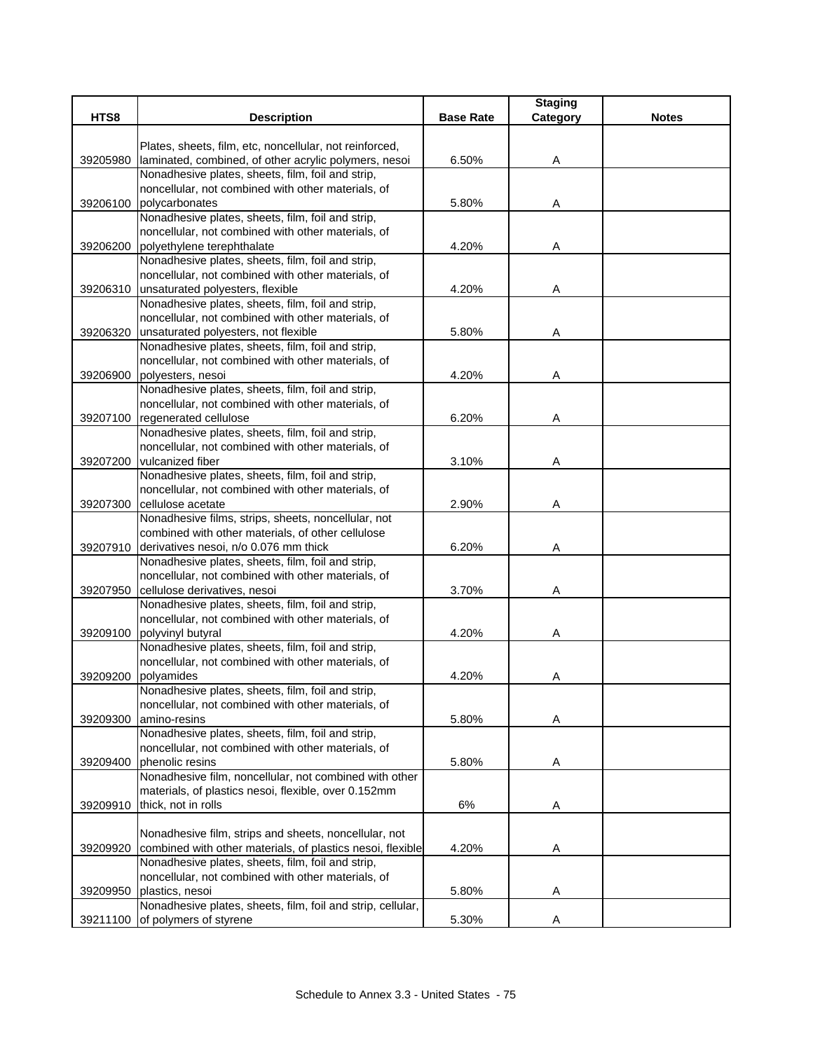|          |                                                                                                         |                  | <b>Staging</b> |              |
|----------|---------------------------------------------------------------------------------------------------------|------------------|----------------|--------------|
| HTS8     | <b>Description</b>                                                                                      | <b>Base Rate</b> | Category       | <b>Notes</b> |
|          | Plates, sheets, film, etc, noncellular, not reinforced,                                                 |                  |                |              |
| 39205980 | laminated, combined, of other acrylic polymers, nesoi                                                   | 6.50%            | Α              |              |
|          | Nonadhesive plates, sheets, film, foil and strip,                                                       |                  |                |              |
|          | noncellular, not combined with other materials, of                                                      |                  |                |              |
| 39206100 | polycarbonates                                                                                          | 5.80%            | A              |              |
|          | Nonadhesive plates, sheets, film, foil and strip,                                                       |                  |                |              |
|          | noncellular, not combined with other materials, of                                                      |                  |                |              |
| 39206200 | polyethylene terephthalate                                                                              | 4.20%            | Α              |              |
|          | Nonadhesive plates, sheets, film, foil and strip,                                                       |                  |                |              |
|          | noncellular, not combined with other materials, of                                                      |                  |                |              |
|          | 39206310 unsaturated polyesters, flexible                                                               | 4.20%            | A              |              |
|          | Nonadhesive plates, sheets, film, foil and strip,                                                       |                  |                |              |
|          | noncellular, not combined with other materials, of                                                      |                  |                |              |
| 39206320 | unsaturated polyesters, not flexible                                                                    | 5.80%            | A              |              |
|          | Nonadhesive plates, sheets, film, foil and strip,                                                       |                  |                |              |
|          | noncellular, not combined with other materials, of                                                      |                  |                |              |
| 39206900 | polyesters, nesoi                                                                                       | 4.20%            | Α              |              |
|          | Nonadhesive plates, sheets, film, foil and strip,<br>noncellular, not combined with other materials, of |                  |                |              |
| 39207100 | regenerated cellulose                                                                                   | 6.20%            | Α              |              |
|          | Nonadhesive plates, sheets, film, foil and strip,                                                       |                  |                |              |
|          | noncellular, not combined with other materials, of                                                      |                  |                |              |
| 39207200 | vulcanized fiber                                                                                        | 3.10%            | Α              |              |
|          | Nonadhesive plates, sheets, film, foil and strip,                                                       |                  |                |              |
|          | noncellular, not combined with other materials, of                                                      |                  |                |              |
|          | 39207300 cellulose acetate                                                                              | 2.90%            | Α              |              |
|          | Nonadhesive films, strips, sheets, noncellular, not                                                     |                  |                |              |
|          | combined with other materials, of other cellulose                                                       |                  |                |              |
|          | 39207910 derivatives nesoi, n/o 0.076 mm thick                                                          | 6.20%            | Α              |              |
|          | Nonadhesive plates, sheets, film, foil and strip,                                                       |                  |                |              |
|          | noncellular, not combined with other materials, of                                                      |                  |                |              |
| 39207950 | cellulose derivatives, nesoi                                                                            | 3.70%            | Α              |              |
|          | Nonadhesive plates, sheets, film, foil and strip,                                                       |                  |                |              |
|          | noncellular, not combined with other materials, of                                                      |                  |                |              |
|          | 39209100 polyvinyl butyral                                                                              | 4.20%            | Α              |              |
|          | Nonadhesive plates, sheets, film, foil and strip,                                                       |                  |                |              |
| 39209200 | noncellular, not combined with other materials, of<br>polyamides                                        | 4.20%            | Α              |              |
|          | Nonadhesive plates, sheets, film, foil and strip,                                                       |                  |                |              |
|          | noncellular, not combined with other materials, of                                                      |                  |                |              |
| 39209300 | amino-resins                                                                                            | 5.80%            | Α              |              |
|          | Nonadhesive plates, sheets, film, foil and strip,                                                       |                  |                |              |
|          | noncellular, not combined with other materials, of                                                      |                  |                |              |
| 39209400 | phenolic resins                                                                                         | 5.80%            | Α              |              |
|          | Nonadhesive film, noncellular, not combined with other                                                  |                  |                |              |
|          | materials, of plastics nesoi, flexible, over 0.152mm                                                    |                  |                |              |
| 39209910 | thick, not in rolls                                                                                     | 6%               | A              |              |
|          |                                                                                                         |                  |                |              |
|          | Nonadhesive film, strips and sheets, noncellular, not                                                   |                  |                |              |
| 39209920 | combined with other materials, of plastics nesoi, flexible                                              | 4.20%            | A              |              |
|          | Nonadhesive plates, sheets, film, foil and strip,                                                       |                  |                |              |
|          | noncellular, not combined with other materials, of                                                      |                  |                |              |
| 39209950 | plastics, nesoi<br>Nonadhesive plates, sheets, film, foil and strip, cellular,                          | 5.80%            | Α              |              |
| 39211100 | of polymers of styrene                                                                                  | 5.30%            | Α              |              |
|          |                                                                                                         |                  |                |              |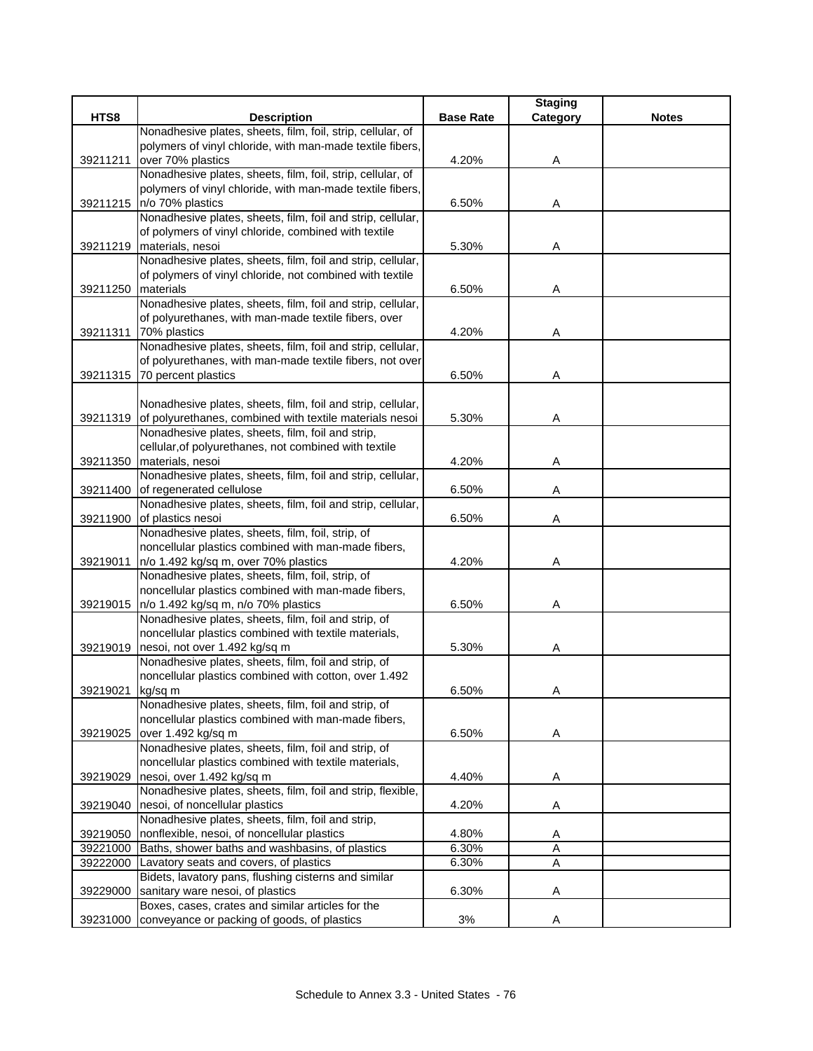|                  |                                                                                          |                  | <b>Staging</b> |              |
|------------------|------------------------------------------------------------------------------------------|------------------|----------------|--------------|
| HTS8             | <b>Description</b>                                                                       | <b>Base Rate</b> | Category       | <b>Notes</b> |
|                  | Nonadhesive plates, sheets, film, foil, strip, cellular, of                              |                  |                |              |
|                  | polymers of vinyl chloride, with man-made textile fibers,                                |                  |                |              |
| 39211211         | over 70% plastics                                                                        | 4.20%            | Α              |              |
|                  | Nonadhesive plates, sheets, film, foil, strip, cellular, of                              |                  |                |              |
|                  | polymers of vinyl chloride, with man-made textile fibers,<br>39211215   n/o 70% plastics | 6.50%            |                |              |
|                  | Nonadhesive plates, sheets, film, foil and strip, cellular,                              |                  | A              |              |
|                  | of polymers of vinyl chloride, combined with textile                                     |                  |                |              |
|                  | 39211219 materials, nesoi                                                                | 5.30%            | Α              |              |
|                  | Nonadhesive plates, sheets, film, foil and strip, cellular,                              |                  |                |              |
|                  | of polymers of vinyl chloride, not combined with textile                                 |                  |                |              |
| 39211250         | materials                                                                                | 6.50%            | Α              |              |
|                  | Nonadhesive plates, sheets, film, foil and strip, cellular,                              |                  |                |              |
|                  | of polyurethanes, with man-made textile fibers, over                                     |                  |                |              |
|                  | 39211311 70% plastics                                                                    | 4.20%            | A              |              |
|                  | Nonadhesive plates, sheets, film, foil and strip, cellular,                              |                  |                |              |
|                  | of polyurethanes, with man-made textile fibers, not over                                 |                  |                |              |
|                  | 39211315 70 percent plastics                                                             | 6.50%            | Α              |              |
|                  |                                                                                          |                  |                |              |
|                  | Nonadhesive plates, sheets, film, foil and strip, cellular,                              |                  |                |              |
|                  | 39211319 of polyurethanes, combined with textile materials nesoi                         | 5.30%            | Α              |              |
|                  | Nonadhesive plates, sheets, film, foil and strip,                                        |                  |                |              |
|                  | cellular, of polyurethanes, not combined with textile                                    |                  |                |              |
|                  | 39211350 materials, nesoi                                                                | 4.20%            | Α              |              |
|                  | Nonadhesive plates, sheets, film, foil and strip, cellular,                              |                  |                |              |
| 39211400         | of regenerated cellulose<br>Nonadhesive plates, sheets, film, foil and strip, cellular,  | 6.50%            | A              |              |
| 39211900         | of plastics nesoi                                                                        | 6.50%            | Α              |              |
|                  | Nonadhesive plates, sheets, film, foil, strip, of                                        |                  |                |              |
|                  | noncellular plastics combined with man-made fibers,                                      |                  |                |              |
| 39219011         | n/o 1.492 kg/sq m, over 70% plastics                                                     | 4.20%            | Α              |              |
|                  | Nonadhesive plates, sheets, film, foil, strip, of                                        |                  |                |              |
|                  | noncellular plastics combined with man-made fibers,                                      |                  |                |              |
|                  | 39219015   n/o 1.492 kg/sq m, n/o 70% plastics                                           | 6.50%            | Α              |              |
|                  | Nonadhesive plates, sheets, film, foil and strip, of                                     |                  |                |              |
|                  | noncellular plastics combined with textile materials,                                    |                  |                |              |
|                  | 39219019 nesoi, not over 1.492 kg/sq m                                                   | 5.30%            | Α              |              |
|                  | Nonadhesive plates, sheets, film, foil and strip, of                                     |                  |                |              |
|                  | noncellular plastics combined with cotton, over 1.492                                    |                  |                |              |
| 39219021 kg/sq m |                                                                                          | 6.50%            | Α              |              |
|                  | Nonadhesive plates, sheets, film, foil and strip, of                                     |                  |                |              |
|                  | noncellular plastics combined with man-made fibers,                                      |                  |                |              |
| 39219025         | over 1.492 kg/sq m<br>Nonadhesive plates, sheets, film, foil and strip, of               | 6.50%            | Α              |              |
|                  | noncellular plastics combined with textile materials,                                    |                  |                |              |
|                  | 39219029 nesoi, over 1.492 kg/sq m                                                       | 4.40%            |                |              |
|                  | Nonadhesive plates, sheets, film, foil and strip, flexible,                              |                  | Α              |              |
| 39219040         | nesoi, of noncellular plastics                                                           | 4.20%            | Α              |              |
|                  | Nonadhesive plates, sheets, film, foil and strip,                                        |                  |                |              |
| 39219050         | nonflexible, nesoi, of noncellular plastics                                              | 4.80%            | Α              |              |
| 39221000         | Baths, shower baths and washbasins, of plastics                                          | 6.30%            | Α              |              |
| 39222000         | Lavatory seats and covers, of plastics                                                   | 6.30%            | Α              |              |
|                  | Bidets, lavatory pans, flushing cisterns and similar                                     |                  |                |              |
| 39229000         | sanitary ware nesoi, of plastics                                                         | 6.30%            | Α              |              |
|                  | Boxes, cases, crates and similar articles for the                                        |                  |                |              |
|                  | 39231000 conveyance or packing of goods, of plastics                                     | 3%               | A              |              |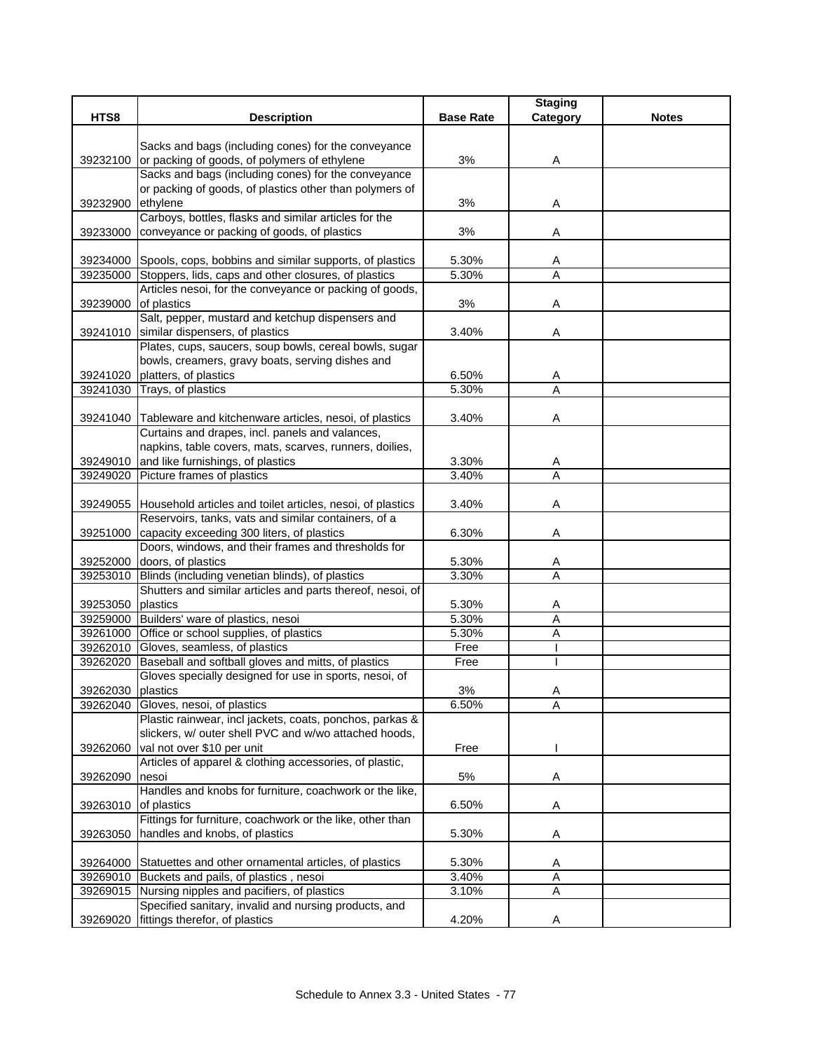|                   |                                                                                                               |                  | <b>Staging</b> |              |
|-------------------|---------------------------------------------------------------------------------------------------------------|------------------|----------------|--------------|
| HTS8              | <b>Description</b>                                                                                            | <b>Base Rate</b> | Category       | <b>Notes</b> |
|                   |                                                                                                               |                  |                |              |
| 39232100          | Sacks and bags (including cones) for the conveyance<br>or packing of goods, of polymers of ethylene           | 3%               | Α              |              |
|                   | Sacks and bags (including cones) for the conveyance                                                           |                  |                |              |
|                   | or packing of goods, of plastics other than polymers of                                                       |                  |                |              |
| 39232900          | ethylene                                                                                                      | 3%               | Α              |              |
|                   | Carboys, bottles, flasks and similar articles for the                                                         |                  |                |              |
| 39233000          | conveyance or packing of goods, of plastics                                                                   | 3%               | Α              |              |
|                   |                                                                                                               |                  |                |              |
|                   | 39234000 Spools, cops, bobbins and similar supports, of plastics                                              | 5.30%            | A              |              |
|                   | 39235000 Stoppers, lids, caps and other closures, of plastics                                                 | 5.30%            | $\overline{A}$ |              |
|                   | Articles nesoi, for the conveyance or packing of goods,                                                       |                  |                |              |
| 39239000          | of plastics<br>Salt, pepper, mustard and ketchup dispensers and                                               | 3%               | Α              |              |
|                   | 39241010 similar dispensers, of plastics                                                                      | 3.40%            | Α              |              |
|                   | Plates, cups, saucers, soup bowls, cereal bowls, sugar                                                        |                  |                |              |
|                   | bowls, creamers, gravy boats, serving dishes and                                                              |                  |                |              |
| 39241020          | platters, of plastics                                                                                         | 6.50%            | A              |              |
|                   | 39241030 Trays, of plastics                                                                                   | 5.30%            | A              |              |
|                   |                                                                                                               |                  |                |              |
|                   | 39241040 Tableware and kitchenware articles, nesoi, of plastics                                               | 3.40%            | Α              |              |
|                   | Curtains and drapes, incl. panels and valances,                                                               |                  |                |              |
|                   | napkins, table covers, mats, scarves, runners, doilies,                                                       |                  |                |              |
|                   | 39249010 and like furnishings, of plastics                                                                    | 3.30%            | Α              |              |
|                   | 39249020 Picture frames of plastics                                                                           | 3.40%            | $\overline{A}$ |              |
|                   | 39249055 Household articles and toilet articles, nesoi, of plastics                                           | 3.40%            | Α              |              |
|                   | Reservoirs, tanks, vats and similar containers, of a                                                          |                  |                |              |
| 39251000          | capacity exceeding 300 liters, of plastics                                                                    | 6.30%            | A              |              |
|                   | Doors, windows, and their frames and thresholds for                                                           |                  |                |              |
|                   | 39252000 doors, of plastics                                                                                   | 5.30%            | A              |              |
|                   | 39253010 Blinds (including venetian blinds), of plastics                                                      | 3.30%            | Α              |              |
|                   | Shutters and similar articles and parts thereof, nesoi, of                                                    |                  |                |              |
| 39253050 plastics |                                                                                                               | 5.30%            | Α              |              |
|                   | 39259000 Builders' ware of plastics, nesoi                                                                    | 5.30%            | A              |              |
|                   | 39261000 Office or school supplies, of plastics                                                               | 5.30%            | A              |              |
|                   | 39262010 Gloves, seamless, of plastics                                                                        | Free             |                |              |
| 39262020          | Baseball and softball gloves and mitts, of plastics<br>Gloves specially designed for use in sports, nesoi, of | Free             |                |              |
| 39262030 plastics |                                                                                                               | 3%               | A              |              |
|                   | 39262040 Gloves, nesoi, of plastics                                                                           | 6.50%            | A              |              |
|                   | Plastic rainwear, incl jackets, coats, ponchos, parkas &                                                      |                  |                |              |
|                   | slickers, w/ outer shell PVC and w/wo attached hoods,                                                         |                  |                |              |
| 39262060          | val not over \$10 per unit                                                                                    | Free             |                |              |
|                   | Articles of apparel & clothing accessories, of plastic,                                                       |                  |                |              |
| 39262090          | nesoi                                                                                                         | 5%               | Α              |              |
|                   | Handles and knobs for furniture, coachwork or the like,                                                       |                  |                |              |
| 39263010          | of plastics<br>Fittings for furniture, coachwork or the like, other than                                      | 6.50%            | Α              |              |
|                   |                                                                                                               |                  |                |              |
| 39263050          | handles and knobs, of plastics                                                                                | 5.30%            | Α              |              |
|                   | 39264000 Statuettes and other ornamental articles, of plastics                                                | 5.30%            | Α              |              |
| 39269010          | Buckets and pails, of plastics, nesoi                                                                         | 3.40%            | Α              |              |
|                   | 39269015 Nursing nipples and pacifiers, of plastics                                                           | 3.10%            | Α              |              |
|                   | Specified sanitary, invalid and nursing products, and                                                         |                  |                |              |
|                   | 39269020 fittings therefor, of plastics                                                                       | 4.20%            | Α              |              |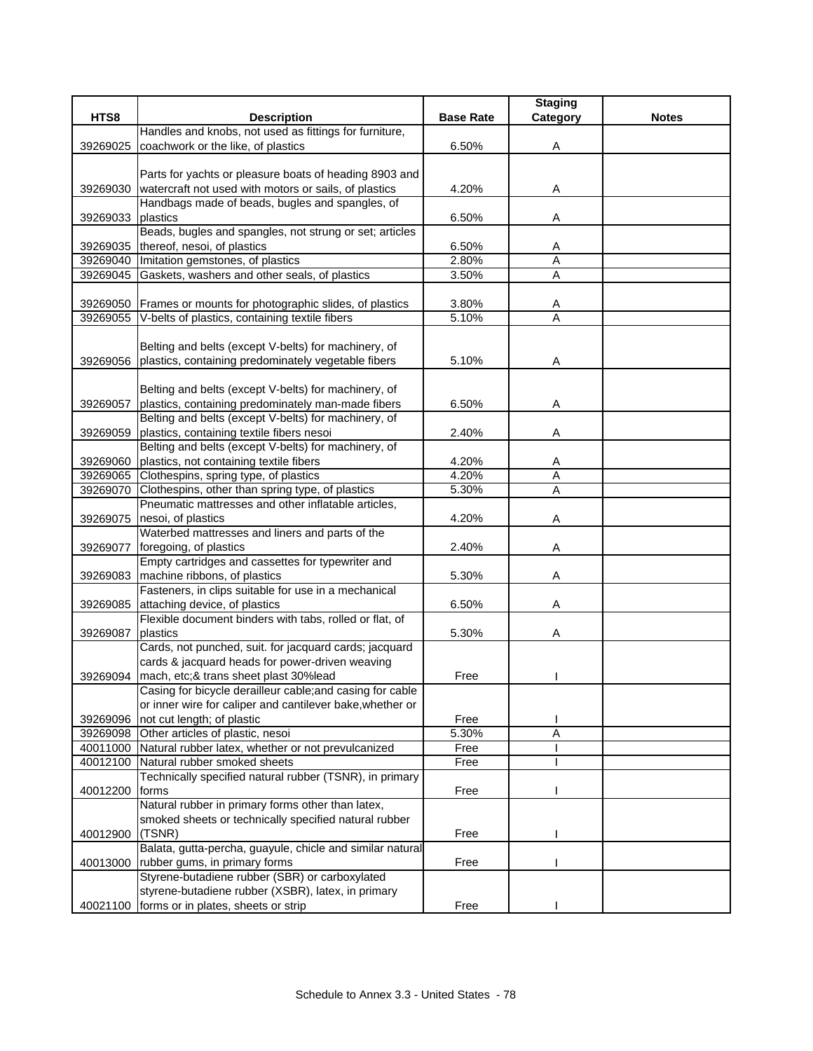| HTS8<br><b>Description</b><br><b>Base Rate</b><br><b>Notes</b><br>Category<br>Handles and knobs, not used as fittings for furniture,<br>coachwork or the like, of plastics<br>6.50%<br>39269025<br>Α<br>Parts for yachts or pleasure boats of heading 8903 and<br>watercraft not used with motors or sails, of plastics<br>4.20%<br>39269030<br>A<br>Handbags made of beads, bugles and spangles, of<br>plastics<br>6.50%<br>39269033<br>A<br>Beads, bugles and spangles, not strung or set; articles<br>thereof, nesoi, of plastics<br>39269035<br>6.50%<br>A<br>$\overline{A}$<br>39269040 Imitation gemstones, of plastics<br>2.80%<br>39269045<br>Gaskets, washers and other seals, of plastics<br>3.50%<br>$\overline{A}$<br>39269050 Frames or mounts for photographic slides, of plastics<br>3.80%<br>A<br>$\overline{A}$<br>V-belts of plastics, containing textile fibers<br>5.10%<br>39269055<br>Belting and belts (except V-belts) for machinery, of<br>plastics, containing predominately vegetable fibers<br>5.10%<br>39269056<br>A<br>Belting and belts (except V-belts) for machinery, of<br>39269057<br>plastics, containing predominately man-made fibers<br>6.50%<br>Α<br>Belting and belts (except V-belts) for machinery, of<br>plastics, containing textile fibers nesoi<br>2.40%<br>39269059<br>Α<br>Belting and belts (except V-belts) for machinery, of<br>plastics, not containing textile fibers<br>39269060<br>4.20%<br>A<br>$\overline{A}$<br>39269065 Clothespins, spring type, of plastics<br>4.20%<br>$\overline{A}$<br>Clothespins, other than spring type, of plastics<br>5.30%<br>39269070<br>Pneumatic mattresses and other inflatable articles,<br>nesoi, of plastics<br>4.20%<br>39269075<br>Α<br>Waterbed mattresses and liners and parts of the<br>39269077<br>2.40%<br>foregoing, of plastics<br>Α<br>Empty cartridges and cassettes for typewriter and<br>machine ribbons, of plastics<br>5.30%<br>39269083<br>Α<br>Fasteners, in clips suitable for use in a mechanical<br>attaching device, of plastics<br>6.50%<br>39269085<br>Α<br>Flexible document binders with tabs, rolled or flat, of<br>39269087<br>plastics<br>5.30%<br>Α<br>Cards, not punched, suit. for jacquard cards; jacquard<br>cards & jacquard heads for power-driven weaving<br>mach, etc;& trans sheet plast 30%lead<br>39269094<br>Free<br>Casing for bicycle derailleur cable; and casing for cable<br>or inner wire for caliper and cantilever bake, whether or<br>not cut length; of plastic<br>Free<br>39269096<br>Other articles of plastic, nesoi<br>5.30%<br>Α<br>39269098<br>Natural rubber latex, whether or not prevulcanized<br>Free<br>40011000<br>40012100<br>Natural rubber smoked sheets<br>Free<br>Technically specified natural rubber (TSNR), in primary<br>40012200<br>forms<br>Free<br>Natural rubber in primary forms other than latex,<br>smoked sheets or technically specified natural rubber<br>40012900<br>(TSNR)<br>Free<br>Balata, gutta-percha, guayule, chicle and similar natural<br>rubber gums, in primary forms<br>Free<br>40013000<br>Styrene-butadiene rubber (SBR) or carboxylated<br>styrene-butadiene rubber (XSBR), latex, in primary |          |                                     |      | <b>Staging</b> |  |
|-----------------------------------------------------------------------------------------------------------------------------------------------------------------------------------------------------------------------------------------------------------------------------------------------------------------------------------------------------------------------------------------------------------------------------------------------------------------------------------------------------------------------------------------------------------------------------------------------------------------------------------------------------------------------------------------------------------------------------------------------------------------------------------------------------------------------------------------------------------------------------------------------------------------------------------------------------------------------------------------------------------------------------------------------------------------------------------------------------------------------------------------------------------------------------------------------------------------------------------------------------------------------------------------------------------------------------------------------------------------------------------------------------------------------------------------------------------------------------------------------------------------------------------------------------------------------------------------------------------------------------------------------------------------------------------------------------------------------------------------------------------------------------------------------------------------------------------------------------------------------------------------------------------------------------------------------------------------------------------------------------------------------------------------------------------------------------------------------------------------------------------------------------------------------------------------------------------------------------------------------------------------------------------------------------------------------------------------------------------------------------------------------------------------------------------------------------------------------------------------------------------------------------------------------------------------------------------------------------------------------------------------------------------------------------------------------------------------------------------------------------------------------------------------------------------------------------------------------------------------------------------------------------------------------------------------------------------------------------------------------------------------------------------------------------------------------------------------------------------------------------------------------------------------------------------------------|----------|-------------------------------------|------|----------------|--|
|                                                                                                                                                                                                                                                                                                                                                                                                                                                                                                                                                                                                                                                                                                                                                                                                                                                                                                                                                                                                                                                                                                                                                                                                                                                                                                                                                                                                                                                                                                                                                                                                                                                                                                                                                                                                                                                                                                                                                                                                                                                                                                                                                                                                                                                                                                                                                                                                                                                                                                                                                                                                                                                                                                                                                                                                                                                                                                                                                                                                                                                                                                                                                                                               |          |                                     |      |                |  |
|                                                                                                                                                                                                                                                                                                                                                                                                                                                                                                                                                                                                                                                                                                                                                                                                                                                                                                                                                                                                                                                                                                                                                                                                                                                                                                                                                                                                                                                                                                                                                                                                                                                                                                                                                                                                                                                                                                                                                                                                                                                                                                                                                                                                                                                                                                                                                                                                                                                                                                                                                                                                                                                                                                                                                                                                                                                                                                                                                                                                                                                                                                                                                                                               |          |                                     |      |                |  |
|                                                                                                                                                                                                                                                                                                                                                                                                                                                                                                                                                                                                                                                                                                                                                                                                                                                                                                                                                                                                                                                                                                                                                                                                                                                                                                                                                                                                                                                                                                                                                                                                                                                                                                                                                                                                                                                                                                                                                                                                                                                                                                                                                                                                                                                                                                                                                                                                                                                                                                                                                                                                                                                                                                                                                                                                                                                                                                                                                                                                                                                                                                                                                                                               |          |                                     |      |                |  |
|                                                                                                                                                                                                                                                                                                                                                                                                                                                                                                                                                                                                                                                                                                                                                                                                                                                                                                                                                                                                                                                                                                                                                                                                                                                                                                                                                                                                                                                                                                                                                                                                                                                                                                                                                                                                                                                                                                                                                                                                                                                                                                                                                                                                                                                                                                                                                                                                                                                                                                                                                                                                                                                                                                                                                                                                                                                                                                                                                                                                                                                                                                                                                                                               |          |                                     |      |                |  |
|                                                                                                                                                                                                                                                                                                                                                                                                                                                                                                                                                                                                                                                                                                                                                                                                                                                                                                                                                                                                                                                                                                                                                                                                                                                                                                                                                                                                                                                                                                                                                                                                                                                                                                                                                                                                                                                                                                                                                                                                                                                                                                                                                                                                                                                                                                                                                                                                                                                                                                                                                                                                                                                                                                                                                                                                                                                                                                                                                                                                                                                                                                                                                                                               |          |                                     |      |                |  |
|                                                                                                                                                                                                                                                                                                                                                                                                                                                                                                                                                                                                                                                                                                                                                                                                                                                                                                                                                                                                                                                                                                                                                                                                                                                                                                                                                                                                                                                                                                                                                                                                                                                                                                                                                                                                                                                                                                                                                                                                                                                                                                                                                                                                                                                                                                                                                                                                                                                                                                                                                                                                                                                                                                                                                                                                                                                                                                                                                                                                                                                                                                                                                                                               |          |                                     |      |                |  |
|                                                                                                                                                                                                                                                                                                                                                                                                                                                                                                                                                                                                                                                                                                                                                                                                                                                                                                                                                                                                                                                                                                                                                                                                                                                                                                                                                                                                                                                                                                                                                                                                                                                                                                                                                                                                                                                                                                                                                                                                                                                                                                                                                                                                                                                                                                                                                                                                                                                                                                                                                                                                                                                                                                                                                                                                                                                                                                                                                                                                                                                                                                                                                                                               |          |                                     |      |                |  |
|                                                                                                                                                                                                                                                                                                                                                                                                                                                                                                                                                                                                                                                                                                                                                                                                                                                                                                                                                                                                                                                                                                                                                                                                                                                                                                                                                                                                                                                                                                                                                                                                                                                                                                                                                                                                                                                                                                                                                                                                                                                                                                                                                                                                                                                                                                                                                                                                                                                                                                                                                                                                                                                                                                                                                                                                                                                                                                                                                                                                                                                                                                                                                                                               |          |                                     |      |                |  |
|                                                                                                                                                                                                                                                                                                                                                                                                                                                                                                                                                                                                                                                                                                                                                                                                                                                                                                                                                                                                                                                                                                                                                                                                                                                                                                                                                                                                                                                                                                                                                                                                                                                                                                                                                                                                                                                                                                                                                                                                                                                                                                                                                                                                                                                                                                                                                                                                                                                                                                                                                                                                                                                                                                                                                                                                                                                                                                                                                                                                                                                                                                                                                                                               |          |                                     |      |                |  |
|                                                                                                                                                                                                                                                                                                                                                                                                                                                                                                                                                                                                                                                                                                                                                                                                                                                                                                                                                                                                                                                                                                                                                                                                                                                                                                                                                                                                                                                                                                                                                                                                                                                                                                                                                                                                                                                                                                                                                                                                                                                                                                                                                                                                                                                                                                                                                                                                                                                                                                                                                                                                                                                                                                                                                                                                                                                                                                                                                                                                                                                                                                                                                                                               |          |                                     |      |                |  |
|                                                                                                                                                                                                                                                                                                                                                                                                                                                                                                                                                                                                                                                                                                                                                                                                                                                                                                                                                                                                                                                                                                                                                                                                                                                                                                                                                                                                                                                                                                                                                                                                                                                                                                                                                                                                                                                                                                                                                                                                                                                                                                                                                                                                                                                                                                                                                                                                                                                                                                                                                                                                                                                                                                                                                                                                                                                                                                                                                                                                                                                                                                                                                                                               |          |                                     |      |                |  |
|                                                                                                                                                                                                                                                                                                                                                                                                                                                                                                                                                                                                                                                                                                                                                                                                                                                                                                                                                                                                                                                                                                                                                                                                                                                                                                                                                                                                                                                                                                                                                                                                                                                                                                                                                                                                                                                                                                                                                                                                                                                                                                                                                                                                                                                                                                                                                                                                                                                                                                                                                                                                                                                                                                                                                                                                                                                                                                                                                                                                                                                                                                                                                                                               |          |                                     |      |                |  |
|                                                                                                                                                                                                                                                                                                                                                                                                                                                                                                                                                                                                                                                                                                                                                                                                                                                                                                                                                                                                                                                                                                                                                                                                                                                                                                                                                                                                                                                                                                                                                                                                                                                                                                                                                                                                                                                                                                                                                                                                                                                                                                                                                                                                                                                                                                                                                                                                                                                                                                                                                                                                                                                                                                                                                                                                                                                                                                                                                                                                                                                                                                                                                                                               |          |                                     |      |                |  |
|                                                                                                                                                                                                                                                                                                                                                                                                                                                                                                                                                                                                                                                                                                                                                                                                                                                                                                                                                                                                                                                                                                                                                                                                                                                                                                                                                                                                                                                                                                                                                                                                                                                                                                                                                                                                                                                                                                                                                                                                                                                                                                                                                                                                                                                                                                                                                                                                                                                                                                                                                                                                                                                                                                                                                                                                                                                                                                                                                                                                                                                                                                                                                                                               |          |                                     |      |                |  |
|                                                                                                                                                                                                                                                                                                                                                                                                                                                                                                                                                                                                                                                                                                                                                                                                                                                                                                                                                                                                                                                                                                                                                                                                                                                                                                                                                                                                                                                                                                                                                                                                                                                                                                                                                                                                                                                                                                                                                                                                                                                                                                                                                                                                                                                                                                                                                                                                                                                                                                                                                                                                                                                                                                                                                                                                                                                                                                                                                                                                                                                                                                                                                                                               |          |                                     |      |                |  |
|                                                                                                                                                                                                                                                                                                                                                                                                                                                                                                                                                                                                                                                                                                                                                                                                                                                                                                                                                                                                                                                                                                                                                                                                                                                                                                                                                                                                                                                                                                                                                                                                                                                                                                                                                                                                                                                                                                                                                                                                                                                                                                                                                                                                                                                                                                                                                                                                                                                                                                                                                                                                                                                                                                                                                                                                                                                                                                                                                                                                                                                                                                                                                                                               |          |                                     |      |                |  |
|                                                                                                                                                                                                                                                                                                                                                                                                                                                                                                                                                                                                                                                                                                                                                                                                                                                                                                                                                                                                                                                                                                                                                                                                                                                                                                                                                                                                                                                                                                                                                                                                                                                                                                                                                                                                                                                                                                                                                                                                                                                                                                                                                                                                                                                                                                                                                                                                                                                                                                                                                                                                                                                                                                                                                                                                                                                                                                                                                                                                                                                                                                                                                                                               |          |                                     |      |                |  |
|                                                                                                                                                                                                                                                                                                                                                                                                                                                                                                                                                                                                                                                                                                                                                                                                                                                                                                                                                                                                                                                                                                                                                                                                                                                                                                                                                                                                                                                                                                                                                                                                                                                                                                                                                                                                                                                                                                                                                                                                                                                                                                                                                                                                                                                                                                                                                                                                                                                                                                                                                                                                                                                                                                                                                                                                                                                                                                                                                                                                                                                                                                                                                                                               |          |                                     |      |                |  |
|                                                                                                                                                                                                                                                                                                                                                                                                                                                                                                                                                                                                                                                                                                                                                                                                                                                                                                                                                                                                                                                                                                                                                                                                                                                                                                                                                                                                                                                                                                                                                                                                                                                                                                                                                                                                                                                                                                                                                                                                                                                                                                                                                                                                                                                                                                                                                                                                                                                                                                                                                                                                                                                                                                                                                                                                                                                                                                                                                                                                                                                                                                                                                                                               |          |                                     |      |                |  |
|                                                                                                                                                                                                                                                                                                                                                                                                                                                                                                                                                                                                                                                                                                                                                                                                                                                                                                                                                                                                                                                                                                                                                                                                                                                                                                                                                                                                                                                                                                                                                                                                                                                                                                                                                                                                                                                                                                                                                                                                                                                                                                                                                                                                                                                                                                                                                                                                                                                                                                                                                                                                                                                                                                                                                                                                                                                                                                                                                                                                                                                                                                                                                                                               |          |                                     |      |                |  |
|                                                                                                                                                                                                                                                                                                                                                                                                                                                                                                                                                                                                                                                                                                                                                                                                                                                                                                                                                                                                                                                                                                                                                                                                                                                                                                                                                                                                                                                                                                                                                                                                                                                                                                                                                                                                                                                                                                                                                                                                                                                                                                                                                                                                                                                                                                                                                                                                                                                                                                                                                                                                                                                                                                                                                                                                                                                                                                                                                                                                                                                                                                                                                                                               |          |                                     |      |                |  |
|                                                                                                                                                                                                                                                                                                                                                                                                                                                                                                                                                                                                                                                                                                                                                                                                                                                                                                                                                                                                                                                                                                                                                                                                                                                                                                                                                                                                                                                                                                                                                                                                                                                                                                                                                                                                                                                                                                                                                                                                                                                                                                                                                                                                                                                                                                                                                                                                                                                                                                                                                                                                                                                                                                                                                                                                                                                                                                                                                                                                                                                                                                                                                                                               |          |                                     |      |                |  |
|                                                                                                                                                                                                                                                                                                                                                                                                                                                                                                                                                                                                                                                                                                                                                                                                                                                                                                                                                                                                                                                                                                                                                                                                                                                                                                                                                                                                                                                                                                                                                                                                                                                                                                                                                                                                                                                                                                                                                                                                                                                                                                                                                                                                                                                                                                                                                                                                                                                                                                                                                                                                                                                                                                                                                                                                                                                                                                                                                                                                                                                                                                                                                                                               |          |                                     |      |                |  |
|                                                                                                                                                                                                                                                                                                                                                                                                                                                                                                                                                                                                                                                                                                                                                                                                                                                                                                                                                                                                                                                                                                                                                                                                                                                                                                                                                                                                                                                                                                                                                                                                                                                                                                                                                                                                                                                                                                                                                                                                                                                                                                                                                                                                                                                                                                                                                                                                                                                                                                                                                                                                                                                                                                                                                                                                                                                                                                                                                                                                                                                                                                                                                                                               |          |                                     |      |                |  |
|                                                                                                                                                                                                                                                                                                                                                                                                                                                                                                                                                                                                                                                                                                                                                                                                                                                                                                                                                                                                                                                                                                                                                                                                                                                                                                                                                                                                                                                                                                                                                                                                                                                                                                                                                                                                                                                                                                                                                                                                                                                                                                                                                                                                                                                                                                                                                                                                                                                                                                                                                                                                                                                                                                                                                                                                                                                                                                                                                                                                                                                                                                                                                                                               |          |                                     |      |                |  |
|                                                                                                                                                                                                                                                                                                                                                                                                                                                                                                                                                                                                                                                                                                                                                                                                                                                                                                                                                                                                                                                                                                                                                                                                                                                                                                                                                                                                                                                                                                                                                                                                                                                                                                                                                                                                                                                                                                                                                                                                                                                                                                                                                                                                                                                                                                                                                                                                                                                                                                                                                                                                                                                                                                                                                                                                                                                                                                                                                                                                                                                                                                                                                                                               |          |                                     |      |                |  |
|                                                                                                                                                                                                                                                                                                                                                                                                                                                                                                                                                                                                                                                                                                                                                                                                                                                                                                                                                                                                                                                                                                                                                                                                                                                                                                                                                                                                                                                                                                                                                                                                                                                                                                                                                                                                                                                                                                                                                                                                                                                                                                                                                                                                                                                                                                                                                                                                                                                                                                                                                                                                                                                                                                                                                                                                                                                                                                                                                                                                                                                                                                                                                                                               |          |                                     |      |                |  |
|                                                                                                                                                                                                                                                                                                                                                                                                                                                                                                                                                                                                                                                                                                                                                                                                                                                                                                                                                                                                                                                                                                                                                                                                                                                                                                                                                                                                                                                                                                                                                                                                                                                                                                                                                                                                                                                                                                                                                                                                                                                                                                                                                                                                                                                                                                                                                                                                                                                                                                                                                                                                                                                                                                                                                                                                                                                                                                                                                                                                                                                                                                                                                                                               |          |                                     |      |                |  |
|                                                                                                                                                                                                                                                                                                                                                                                                                                                                                                                                                                                                                                                                                                                                                                                                                                                                                                                                                                                                                                                                                                                                                                                                                                                                                                                                                                                                                                                                                                                                                                                                                                                                                                                                                                                                                                                                                                                                                                                                                                                                                                                                                                                                                                                                                                                                                                                                                                                                                                                                                                                                                                                                                                                                                                                                                                                                                                                                                                                                                                                                                                                                                                                               |          |                                     |      |                |  |
|                                                                                                                                                                                                                                                                                                                                                                                                                                                                                                                                                                                                                                                                                                                                                                                                                                                                                                                                                                                                                                                                                                                                                                                                                                                                                                                                                                                                                                                                                                                                                                                                                                                                                                                                                                                                                                                                                                                                                                                                                                                                                                                                                                                                                                                                                                                                                                                                                                                                                                                                                                                                                                                                                                                                                                                                                                                                                                                                                                                                                                                                                                                                                                                               |          |                                     |      |                |  |
|                                                                                                                                                                                                                                                                                                                                                                                                                                                                                                                                                                                                                                                                                                                                                                                                                                                                                                                                                                                                                                                                                                                                                                                                                                                                                                                                                                                                                                                                                                                                                                                                                                                                                                                                                                                                                                                                                                                                                                                                                                                                                                                                                                                                                                                                                                                                                                                                                                                                                                                                                                                                                                                                                                                                                                                                                                                                                                                                                                                                                                                                                                                                                                                               |          |                                     |      |                |  |
|                                                                                                                                                                                                                                                                                                                                                                                                                                                                                                                                                                                                                                                                                                                                                                                                                                                                                                                                                                                                                                                                                                                                                                                                                                                                                                                                                                                                                                                                                                                                                                                                                                                                                                                                                                                                                                                                                                                                                                                                                                                                                                                                                                                                                                                                                                                                                                                                                                                                                                                                                                                                                                                                                                                                                                                                                                                                                                                                                                                                                                                                                                                                                                                               |          |                                     |      |                |  |
|                                                                                                                                                                                                                                                                                                                                                                                                                                                                                                                                                                                                                                                                                                                                                                                                                                                                                                                                                                                                                                                                                                                                                                                                                                                                                                                                                                                                                                                                                                                                                                                                                                                                                                                                                                                                                                                                                                                                                                                                                                                                                                                                                                                                                                                                                                                                                                                                                                                                                                                                                                                                                                                                                                                                                                                                                                                                                                                                                                                                                                                                                                                                                                                               |          |                                     |      |                |  |
|                                                                                                                                                                                                                                                                                                                                                                                                                                                                                                                                                                                                                                                                                                                                                                                                                                                                                                                                                                                                                                                                                                                                                                                                                                                                                                                                                                                                                                                                                                                                                                                                                                                                                                                                                                                                                                                                                                                                                                                                                                                                                                                                                                                                                                                                                                                                                                                                                                                                                                                                                                                                                                                                                                                                                                                                                                                                                                                                                                                                                                                                                                                                                                                               |          |                                     |      |                |  |
|                                                                                                                                                                                                                                                                                                                                                                                                                                                                                                                                                                                                                                                                                                                                                                                                                                                                                                                                                                                                                                                                                                                                                                                                                                                                                                                                                                                                                                                                                                                                                                                                                                                                                                                                                                                                                                                                                                                                                                                                                                                                                                                                                                                                                                                                                                                                                                                                                                                                                                                                                                                                                                                                                                                                                                                                                                                                                                                                                                                                                                                                                                                                                                                               |          |                                     |      |                |  |
|                                                                                                                                                                                                                                                                                                                                                                                                                                                                                                                                                                                                                                                                                                                                                                                                                                                                                                                                                                                                                                                                                                                                                                                                                                                                                                                                                                                                                                                                                                                                                                                                                                                                                                                                                                                                                                                                                                                                                                                                                                                                                                                                                                                                                                                                                                                                                                                                                                                                                                                                                                                                                                                                                                                                                                                                                                                                                                                                                                                                                                                                                                                                                                                               |          |                                     |      |                |  |
|                                                                                                                                                                                                                                                                                                                                                                                                                                                                                                                                                                                                                                                                                                                                                                                                                                                                                                                                                                                                                                                                                                                                                                                                                                                                                                                                                                                                                                                                                                                                                                                                                                                                                                                                                                                                                                                                                                                                                                                                                                                                                                                                                                                                                                                                                                                                                                                                                                                                                                                                                                                                                                                                                                                                                                                                                                                                                                                                                                                                                                                                                                                                                                                               |          |                                     |      |                |  |
|                                                                                                                                                                                                                                                                                                                                                                                                                                                                                                                                                                                                                                                                                                                                                                                                                                                                                                                                                                                                                                                                                                                                                                                                                                                                                                                                                                                                                                                                                                                                                                                                                                                                                                                                                                                                                                                                                                                                                                                                                                                                                                                                                                                                                                                                                                                                                                                                                                                                                                                                                                                                                                                                                                                                                                                                                                                                                                                                                                                                                                                                                                                                                                                               |          |                                     |      |                |  |
|                                                                                                                                                                                                                                                                                                                                                                                                                                                                                                                                                                                                                                                                                                                                                                                                                                                                                                                                                                                                                                                                                                                                                                                                                                                                                                                                                                                                                                                                                                                                                                                                                                                                                                                                                                                                                                                                                                                                                                                                                                                                                                                                                                                                                                                                                                                                                                                                                                                                                                                                                                                                                                                                                                                                                                                                                                                                                                                                                                                                                                                                                                                                                                                               |          |                                     |      |                |  |
|                                                                                                                                                                                                                                                                                                                                                                                                                                                                                                                                                                                                                                                                                                                                                                                                                                                                                                                                                                                                                                                                                                                                                                                                                                                                                                                                                                                                                                                                                                                                                                                                                                                                                                                                                                                                                                                                                                                                                                                                                                                                                                                                                                                                                                                                                                                                                                                                                                                                                                                                                                                                                                                                                                                                                                                                                                                                                                                                                                                                                                                                                                                                                                                               |          |                                     |      |                |  |
|                                                                                                                                                                                                                                                                                                                                                                                                                                                                                                                                                                                                                                                                                                                                                                                                                                                                                                                                                                                                                                                                                                                                                                                                                                                                                                                                                                                                                                                                                                                                                                                                                                                                                                                                                                                                                                                                                                                                                                                                                                                                                                                                                                                                                                                                                                                                                                                                                                                                                                                                                                                                                                                                                                                                                                                                                                                                                                                                                                                                                                                                                                                                                                                               |          |                                     |      |                |  |
|                                                                                                                                                                                                                                                                                                                                                                                                                                                                                                                                                                                                                                                                                                                                                                                                                                                                                                                                                                                                                                                                                                                                                                                                                                                                                                                                                                                                                                                                                                                                                                                                                                                                                                                                                                                                                                                                                                                                                                                                                                                                                                                                                                                                                                                                                                                                                                                                                                                                                                                                                                                                                                                                                                                                                                                                                                                                                                                                                                                                                                                                                                                                                                                               |          |                                     |      |                |  |
|                                                                                                                                                                                                                                                                                                                                                                                                                                                                                                                                                                                                                                                                                                                                                                                                                                                                                                                                                                                                                                                                                                                                                                                                                                                                                                                                                                                                                                                                                                                                                                                                                                                                                                                                                                                                                                                                                                                                                                                                                                                                                                                                                                                                                                                                                                                                                                                                                                                                                                                                                                                                                                                                                                                                                                                                                                                                                                                                                                                                                                                                                                                                                                                               |          |                                     |      |                |  |
|                                                                                                                                                                                                                                                                                                                                                                                                                                                                                                                                                                                                                                                                                                                                                                                                                                                                                                                                                                                                                                                                                                                                                                                                                                                                                                                                                                                                                                                                                                                                                                                                                                                                                                                                                                                                                                                                                                                                                                                                                                                                                                                                                                                                                                                                                                                                                                                                                                                                                                                                                                                                                                                                                                                                                                                                                                                                                                                                                                                                                                                                                                                                                                                               |          |                                     |      |                |  |
|                                                                                                                                                                                                                                                                                                                                                                                                                                                                                                                                                                                                                                                                                                                                                                                                                                                                                                                                                                                                                                                                                                                                                                                                                                                                                                                                                                                                                                                                                                                                                                                                                                                                                                                                                                                                                                                                                                                                                                                                                                                                                                                                                                                                                                                                                                                                                                                                                                                                                                                                                                                                                                                                                                                                                                                                                                                                                                                                                                                                                                                                                                                                                                                               |          |                                     |      |                |  |
|                                                                                                                                                                                                                                                                                                                                                                                                                                                                                                                                                                                                                                                                                                                                                                                                                                                                                                                                                                                                                                                                                                                                                                                                                                                                                                                                                                                                                                                                                                                                                                                                                                                                                                                                                                                                                                                                                                                                                                                                                                                                                                                                                                                                                                                                                                                                                                                                                                                                                                                                                                                                                                                                                                                                                                                                                                                                                                                                                                                                                                                                                                                                                                                               |          |                                     |      |                |  |
|                                                                                                                                                                                                                                                                                                                                                                                                                                                                                                                                                                                                                                                                                                                                                                                                                                                                                                                                                                                                                                                                                                                                                                                                                                                                                                                                                                                                                                                                                                                                                                                                                                                                                                                                                                                                                                                                                                                                                                                                                                                                                                                                                                                                                                                                                                                                                                                                                                                                                                                                                                                                                                                                                                                                                                                                                                                                                                                                                                                                                                                                                                                                                                                               |          |                                     |      |                |  |
|                                                                                                                                                                                                                                                                                                                                                                                                                                                                                                                                                                                                                                                                                                                                                                                                                                                                                                                                                                                                                                                                                                                                                                                                                                                                                                                                                                                                                                                                                                                                                                                                                                                                                                                                                                                                                                                                                                                                                                                                                                                                                                                                                                                                                                                                                                                                                                                                                                                                                                                                                                                                                                                                                                                                                                                                                                                                                                                                                                                                                                                                                                                                                                                               |          |                                     |      |                |  |
|                                                                                                                                                                                                                                                                                                                                                                                                                                                                                                                                                                                                                                                                                                                                                                                                                                                                                                                                                                                                                                                                                                                                                                                                                                                                                                                                                                                                                                                                                                                                                                                                                                                                                                                                                                                                                                                                                                                                                                                                                                                                                                                                                                                                                                                                                                                                                                                                                                                                                                                                                                                                                                                                                                                                                                                                                                                                                                                                                                                                                                                                                                                                                                                               |          |                                     |      |                |  |
|                                                                                                                                                                                                                                                                                                                                                                                                                                                                                                                                                                                                                                                                                                                                                                                                                                                                                                                                                                                                                                                                                                                                                                                                                                                                                                                                                                                                                                                                                                                                                                                                                                                                                                                                                                                                                                                                                                                                                                                                                                                                                                                                                                                                                                                                                                                                                                                                                                                                                                                                                                                                                                                                                                                                                                                                                                                                                                                                                                                                                                                                                                                                                                                               |          |                                     |      |                |  |
|                                                                                                                                                                                                                                                                                                                                                                                                                                                                                                                                                                                                                                                                                                                                                                                                                                                                                                                                                                                                                                                                                                                                                                                                                                                                                                                                                                                                                                                                                                                                                                                                                                                                                                                                                                                                                                                                                                                                                                                                                                                                                                                                                                                                                                                                                                                                                                                                                                                                                                                                                                                                                                                                                                                                                                                                                                                                                                                                                                                                                                                                                                                                                                                               |          |                                     |      |                |  |
|                                                                                                                                                                                                                                                                                                                                                                                                                                                                                                                                                                                                                                                                                                                                                                                                                                                                                                                                                                                                                                                                                                                                                                                                                                                                                                                                                                                                                                                                                                                                                                                                                                                                                                                                                                                                                                                                                                                                                                                                                                                                                                                                                                                                                                                                                                                                                                                                                                                                                                                                                                                                                                                                                                                                                                                                                                                                                                                                                                                                                                                                                                                                                                                               |          |                                     |      |                |  |
|                                                                                                                                                                                                                                                                                                                                                                                                                                                                                                                                                                                                                                                                                                                                                                                                                                                                                                                                                                                                                                                                                                                                                                                                                                                                                                                                                                                                                                                                                                                                                                                                                                                                                                                                                                                                                                                                                                                                                                                                                                                                                                                                                                                                                                                                                                                                                                                                                                                                                                                                                                                                                                                                                                                                                                                                                                                                                                                                                                                                                                                                                                                                                                                               |          |                                     |      |                |  |
|                                                                                                                                                                                                                                                                                                                                                                                                                                                                                                                                                                                                                                                                                                                                                                                                                                                                                                                                                                                                                                                                                                                                                                                                                                                                                                                                                                                                                                                                                                                                                                                                                                                                                                                                                                                                                                                                                                                                                                                                                                                                                                                                                                                                                                                                                                                                                                                                                                                                                                                                                                                                                                                                                                                                                                                                                                                                                                                                                                                                                                                                                                                                                                                               | 40021100 | forms or in plates, sheets or strip | Free |                |  |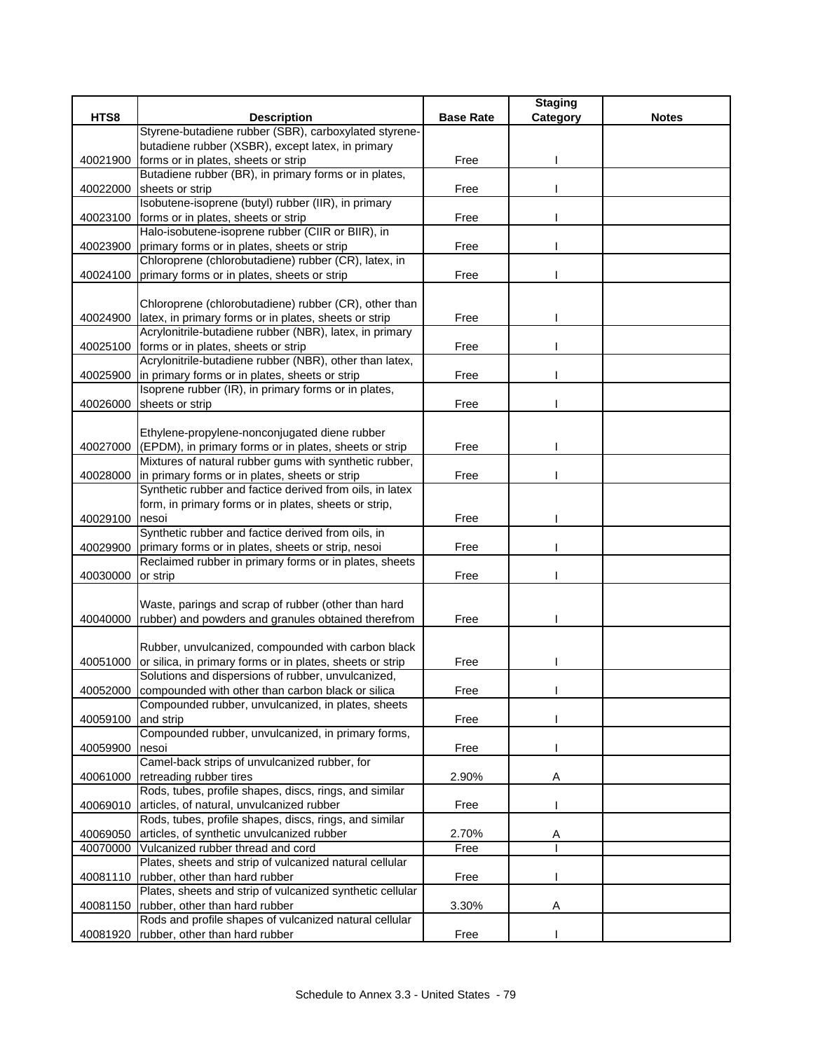| HTS8<br><b>Description</b><br><b>Base Rate</b><br><b>Notes</b><br>Category<br>Styrene-butadiene rubber (SBR), carboxylated styrene-<br>butadiene rubber (XSBR), except latex, in primary<br>forms or in plates, sheets or strip<br>Free<br>40021900<br>Butadiene rubber (BR), in primary forms or in plates,<br>40022000<br>sheets or strip<br>Free<br>Isobutene-isoprene (butyl) rubber (IIR), in primary<br>forms or in plates, sheets or strip<br>Free<br>40023100<br>Halo-isobutene-isoprene rubber (CIIR or BIIR), in<br>primary forms or in plates, sheets or strip<br>40023900<br>Free<br>Chloroprene (chlorobutadiene) rubber (CR), latex, in<br>primary forms or in plates, sheets or strip<br>40024100<br>Free<br>Chloroprene (chlorobutadiene) rubber (CR), other than<br>latex, in primary forms or in plates, sheets or strip<br>40024900<br>Free<br>Acrylonitrile-butadiene rubber (NBR), latex, in primary<br>40025100<br>forms or in plates, sheets or strip<br>Free<br>Acrylonitrile-butadiene rubber (NBR), other than latex,<br>in primary forms or in plates, sheets or strip<br>Free<br>40025900<br>Isoprene rubber (IR), in primary forms or in plates,<br>40026000<br>sheets or strip<br>Free<br>Ethylene-propylene-nonconjugated diene rubber<br>(EPDM), in primary forms or in plates, sheets or strip<br>Free<br>40027000<br>Mixtures of natural rubber gums with synthetic rubber,<br>40028000<br>in primary forms or in plates, sheets or strip<br>Free<br>Synthetic rubber and factice derived from oils, in latex<br>form, in primary forms or in plates, sheets or strip,<br>nesoi<br>Free<br>40029100<br>Synthetic rubber and factice derived from oils, in<br>primary forms or in plates, sheets or strip, nesoi<br>40029900<br>Free<br>Reclaimed rubber in primary forms or in plates, sheets<br>or strip<br>Free<br>40030000<br>Waste, parings and scrap of rubber (other than hard<br>rubber) and powders and granules obtained therefrom<br>40040000<br>Free<br>Rubber, unvulcanized, compounded with carbon black<br>or silica, in primary forms or in plates, sheets or strip<br>Free<br>40051000<br>Solutions and dispersions of rubber, unvulcanized,<br>compounded with other than carbon black or silica<br>40052000<br>Free<br>Compounded rubber, unvulcanized, in plates, sheets<br>and strip<br>Free<br>40059100<br>Compounded rubber, unvulcanized, in primary forms,<br>40059900<br>nesoi<br>Free<br>Camel-back strips of unvulcanized rubber, for<br>40061000<br>retreading rubber tires<br>2.90%<br>Α<br>Rods, tubes, profile shapes, discs, rings, and similar<br>articles, of natural, unvulcanized rubber<br>Free<br>40069010<br>Rods, tubes, profile shapes, discs, rings, and similar<br>40069050<br>articles, of synthetic unvulcanized rubber<br>2.70%<br>Α<br>40070000<br>Vulcanized rubber thread and cord<br>Free<br>Plates, sheets and strip of vulcanized natural cellular<br>rubber, other than hard rubber<br>Free<br>40081110<br>Plates, sheets and strip of vulcanized synthetic cellular<br>rubber, other than hard rubber<br>3.30%<br>40081150<br>Α<br>Rods and profile shapes of vulcanized natural cellular<br>rubber, other than hard rubber<br>Free<br>40081920 |  | <b>Staging</b> |  |
|-----------------------------------------------------------------------------------------------------------------------------------------------------------------------------------------------------------------------------------------------------------------------------------------------------------------------------------------------------------------------------------------------------------------------------------------------------------------------------------------------------------------------------------------------------------------------------------------------------------------------------------------------------------------------------------------------------------------------------------------------------------------------------------------------------------------------------------------------------------------------------------------------------------------------------------------------------------------------------------------------------------------------------------------------------------------------------------------------------------------------------------------------------------------------------------------------------------------------------------------------------------------------------------------------------------------------------------------------------------------------------------------------------------------------------------------------------------------------------------------------------------------------------------------------------------------------------------------------------------------------------------------------------------------------------------------------------------------------------------------------------------------------------------------------------------------------------------------------------------------------------------------------------------------------------------------------------------------------------------------------------------------------------------------------------------------------------------------------------------------------------------------------------------------------------------------------------------------------------------------------------------------------------------------------------------------------------------------------------------------------------------------------------------------------------------------------------------------------------------------------------------------------------------------------------------------------------------------------------------------------------------------------------------------------------------------------------------------------------------------------------------------------------------------------------------------------------------------------------------------------------------------------------------------------------------------------------------------------------------------------------------------------------------------------------------------------------------------------------------------------------------------------------------------------------------------------------------------------------------------|--|----------------|--|
|                                                                                                                                                                                                                                                                                                                                                                                                                                                                                                                                                                                                                                                                                                                                                                                                                                                                                                                                                                                                                                                                                                                                                                                                                                                                                                                                                                                                                                                                                                                                                                                                                                                                                                                                                                                                                                                                                                                                                                                                                                                                                                                                                                                                                                                                                                                                                                                                                                                                                                                                                                                                                                                                                                                                                                                                                                                                                                                                                                                                                                                                                                                                                                                                                                         |  |                |  |
|                                                                                                                                                                                                                                                                                                                                                                                                                                                                                                                                                                                                                                                                                                                                                                                                                                                                                                                                                                                                                                                                                                                                                                                                                                                                                                                                                                                                                                                                                                                                                                                                                                                                                                                                                                                                                                                                                                                                                                                                                                                                                                                                                                                                                                                                                                                                                                                                                                                                                                                                                                                                                                                                                                                                                                                                                                                                                                                                                                                                                                                                                                                                                                                                                                         |  |                |  |
|                                                                                                                                                                                                                                                                                                                                                                                                                                                                                                                                                                                                                                                                                                                                                                                                                                                                                                                                                                                                                                                                                                                                                                                                                                                                                                                                                                                                                                                                                                                                                                                                                                                                                                                                                                                                                                                                                                                                                                                                                                                                                                                                                                                                                                                                                                                                                                                                                                                                                                                                                                                                                                                                                                                                                                                                                                                                                                                                                                                                                                                                                                                                                                                                                                         |  |                |  |
|                                                                                                                                                                                                                                                                                                                                                                                                                                                                                                                                                                                                                                                                                                                                                                                                                                                                                                                                                                                                                                                                                                                                                                                                                                                                                                                                                                                                                                                                                                                                                                                                                                                                                                                                                                                                                                                                                                                                                                                                                                                                                                                                                                                                                                                                                                                                                                                                                                                                                                                                                                                                                                                                                                                                                                                                                                                                                                                                                                                                                                                                                                                                                                                                                                         |  |                |  |
|                                                                                                                                                                                                                                                                                                                                                                                                                                                                                                                                                                                                                                                                                                                                                                                                                                                                                                                                                                                                                                                                                                                                                                                                                                                                                                                                                                                                                                                                                                                                                                                                                                                                                                                                                                                                                                                                                                                                                                                                                                                                                                                                                                                                                                                                                                                                                                                                                                                                                                                                                                                                                                                                                                                                                                                                                                                                                                                                                                                                                                                                                                                                                                                                                                         |  |                |  |
|                                                                                                                                                                                                                                                                                                                                                                                                                                                                                                                                                                                                                                                                                                                                                                                                                                                                                                                                                                                                                                                                                                                                                                                                                                                                                                                                                                                                                                                                                                                                                                                                                                                                                                                                                                                                                                                                                                                                                                                                                                                                                                                                                                                                                                                                                                                                                                                                                                                                                                                                                                                                                                                                                                                                                                                                                                                                                                                                                                                                                                                                                                                                                                                                                                         |  |                |  |
|                                                                                                                                                                                                                                                                                                                                                                                                                                                                                                                                                                                                                                                                                                                                                                                                                                                                                                                                                                                                                                                                                                                                                                                                                                                                                                                                                                                                                                                                                                                                                                                                                                                                                                                                                                                                                                                                                                                                                                                                                                                                                                                                                                                                                                                                                                                                                                                                                                                                                                                                                                                                                                                                                                                                                                                                                                                                                                                                                                                                                                                                                                                                                                                                                                         |  |                |  |
|                                                                                                                                                                                                                                                                                                                                                                                                                                                                                                                                                                                                                                                                                                                                                                                                                                                                                                                                                                                                                                                                                                                                                                                                                                                                                                                                                                                                                                                                                                                                                                                                                                                                                                                                                                                                                                                                                                                                                                                                                                                                                                                                                                                                                                                                                                                                                                                                                                                                                                                                                                                                                                                                                                                                                                                                                                                                                                                                                                                                                                                                                                                                                                                                                                         |  |                |  |
|                                                                                                                                                                                                                                                                                                                                                                                                                                                                                                                                                                                                                                                                                                                                                                                                                                                                                                                                                                                                                                                                                                                                                                                                                                                                                                                                                                                                                                                                                                                                                                                                                                                                                                                                                                                                                                                                                                                                                                                                                                                                                                                                                                                                                                                                                                                                                                                                                                                                                                                                                                                                                                                                                                                                                                                                                                                                                                                                                                                                                                                                                                                                                                                                                                         |  |                |  |
|                                                                                                                                                                                                                                                                                                                                                                                                                                                                                                                                                                                                                                                                                                                                                                                                                                                                                                                                                                                                                                                                                                                                                                                                                                                                                                                                                                                                                                                                                                                                                                                                                                                                                                                                                                                                                                                                                                                                                                                                                                                                                                                                                                                                                                                                                                                                                                                                                                                                                                                                                                                                                                                                                                                                                                                                                                                                                                                                                                                                                                                                                                                                                                                                                                         |  |                |  |
|                                                                                                                                                                                                                                                                                                                                                                                                                                                                                                                                                                                                                                                                                                                                                                                                                                                                                                                                                                                                                                                                                                                                                                                                                                                                                                                                                                                                                                                                                                                                                                                                                                                                                                                                                                                                                                                                                                                                                                                                                                                                                                                                                                                                                                                                                                                                                                                                                                                                                                                                                                                                                                                                                                                                                                                                                                                                                                                                                                                                                                                                                                                                                                                                                                         |  |                |  |
|                                                                                                                                                                                                                                                                                                                                                                                                                                                                                                                                                                                                                                                                                                                                                                                                                                                                                                                                                                                                                                                                                                                                                                                                                                                                                                                                                                                                                                                                                                                                                                                                                                                                                                                                                                                                                                                                                                                                                                                                                                                                                                                                                                                                                                                                                                                                                                                                                                                                                                                                                                                                                                                                                                                                                                                                                                                                                                                                                                                                                                                                                                                                                                                                                                         |  |                |  |
|                                                                                                                                                                                                                                                                                                                                                                                                                                                                                                                                                                                                                                                                                                                                                                                                                                                                                                                                                                                                                                                                                                                                                                                                                                                                                                                                                                                                                                                                                                                                                                                                                                                                                                                                                                                                                                                                                                                                                                                                                                                                                                                                                                                                                                                                                                                                                                                                                                                                                                                                                                                                                                                                                                                                                                                                                                                                                                                                                                                                                                                                                                                                                                                                                                         |  |                |  |
|                                                                                                                                                                                                                                                                                                                                                                                                                                                                                                                                                                                                                                                                                                                                                                                                                                                                                                                                                                                                                                                                                                                                                                                                                                                                                                                                                                                                                                                                                                                                                                                                                                                                                                                                                                                                                                                                                                                                                                                                                                                                                                                                                                                                                                                                                                                                                                                                                                                                                                                                                                                                                                                                                                                                                                                                                                                                                                                                                                                                                                                                                                                                                                                                                                         |  |                |  |
|                                                                                                                                                                                                                                                                                                                                                                                                                                                                                                                                                                                                                                                                                                                                                                                                                                                                                                                                                                                                                                                                                                                                                                                                                                                                                                                                                                                                                                                                                                                                                                                                                                                                                                                                                                                                                                                                                                                                                                                                                                                                                                                                                                                                                                                                                                                                                                                                                                                                                                                                                                                                                                                                                                                                                                                                                                                                                                                                                                                                                                                                                                                                                                                                                                         |  |                |  |
|                                                                                                                                                                                                                                                                                                                                                                                                                                                                                                                                                                                                                                                                                                                                                                                                                                                                                                                                                                                                                                                                                                                                                                                                                                                                                                                                                                                                                                                                                                                                                                                                                                                                                                                                                                                                                                                                                                                                                                                                                                                                                                                                                                                                                                                                                                                                                                                                                                                                                                                                                                                                                                                                                                                                                                                                                                                                                                                                                                                                                                                                                                                                                                                                                                         |  |                |  |
|                                                                                                                                                                                                                                                                                                                                                                                                                                                                                                                                                                                                                                                                                                                                                                                                                                                                                                                                                                                                                                                                                                                                                                                                                                                                                                                                                                                                                                                                                                                                                                                                                                                                                                                                                                                                                                                                                                                                                                                                                                                                                                                                                                                                                                                                                                                                                                                                                                                                                                                                                                                                                                                                                                                                                                                                                                                                                                                                                                                                                                                                                                                                                                                                                                         |  |                |  |
|                                                                                                                                                                                                                                                                                                                                                                                                                                                                                                                                                                                                                                                                                                                                                                                                                                                                                                                                                                                                                                                                                                                                                                                                                                                                                                                                                                                                                                                                                                                                                                                                                                                                                                                                                                                                                                                                                                                                                                                                                                                                                                                                                                                                                                                                                                                                                                                                                                                                                                                                                                                                                                                                                                                                                                                                                                                                                                                                                                                                                                                                                                                                                                                                                                         |  |                |  |
|                                                                                                                                                                                                                                                                                                                                                                                                                                                                                                                                                                                                                                                                                                                                                                                                                                                                                                                                                                                                                                                                                                                                                                                                                                                                                                                                                                                                                                                                                                                                                                                                                                                                                                                                                                                                                                                                                                                                                                                                                                                                                                                                                                                                                                                                                                                                                                                                                                                                                                                                                                                                                                                                                                                                                                                                                                                                                                                                                                                                                                                                                                                                                                                                                                         |  |                |  |
|                                                                                                                                                                                                                                                                                                                                                                                                                                                                                                                                                                                                                                                                                                                                                                                                                                                                                                                                                                                                                                                                                                                                                                                                                                                                                                                                                                                                                                                                                                                                                                                                                                                                                                                                                                                                                                                                                                                                                                                                                                                                                                                                                                                                                                                                                                                                                                                                                                                                                                                                                                                                                                                                                                                                                                                                                                                                                                                                                                                                                                                                                                                                                                                                                                         |  |                |  |
|                                                                                                                                                                                                                                                                                                                                                                                                                                                                                                                                                                                                                                                                                                                                                                                                                                                                                                                                                                                                                                                                                                                                                                                                                                                                                                                                                                                                                                                                                                                                                                                                                                                                                                                                                                                                                                                                                                                                                                                                                                                                                                                                                                                                                                                                                                                                                                                                                                                                                                                                                                                                                                                                                                                                                                                                                                                                                                                                                                                                                                                                                                                                                                                                                                         |  |                |  |
|                                                                                                                                                                                                                                                                                                                                                                                                                                                                                                                                                                                                                                                                                                                                                                                                                                                                                                                                                                                                                                                                                                                                                                                                                                                                                                                                                                                                                                                                                                                                                                                                                                                                                                                                                                                                                                                                                                                                                                                                                                                                                                                                                                                                                                                                                                                                                                                                                                                                                                                                                                                                                                                                                                                                                                                                                                                                                                                                                                                                                                                                                                                                                                                                                                         |  |                |  |
|                                                                                                                                                                                                                                                                                                                                                                                                                                                                                                                                                                                                                                                                                                                                                                                                                                                                                                                                                                                                                                                                                                                                                                                                                                                                                                                                                                                                                                                                                                                                                                                                                                                                                                                                                                                                                                                                                                                                                                                                                                                                                                                                                                                                                                                                                                                                                                                                                                                                                                                                                                                                                                                                                                                                                                                                                                                                                                                                                                                                                                                                                                                                                                                                                                         |  |                |  |
|                                                                                                                                                                                                                                                                                                                                                                                                                                                                                                                                                                                                                                                                                                                                                                                                                                                                                                                                                                                                                                                                                                                                                                                                                                                                                                                                                                                                                                                                                                                                                                                                                                                                                                                                                                                                                                                                                                                                                                                                                                                                                                                                                                                                                                                                                                                                                                                                                                                                                                                                                                                                                                                                                                                                                                                                                                                                                                                                                                                                                                                                                                                                                                                                                                         |  |                |  |
|                                                                                                                                                                                                                                                                                                                                                                                                                                                                                                                                                                                                                                                                                                                                                                                                                                                                                                                                                                                                                                                                                                                                                                                                                                                                                                                                                                                                                                                                                                                                                                                                                                                                                                                                                                                                                                                                                                                                                                                                                                                                                                                                                                                                                                                                                                                                                                                                                                                                                                                                                                                                                                                                                                                                                                                                                                                                                                                                                                                                                                                                                                                                                                                                                                         |  |                |  |
|                                                                                                                                                                                                                                                                                                                                                                                                                                                                                                                                                                                                                                                                                                                                                                                                                                                                                                                                                                                                                                                                                                                                                                                                                                                                                                                                                                                                                                                                                                                                                                                                                                                                                                                                                                                                                                                                                                                                                                                                                                                                                                                                                                                                                                                                                                                                                                                                                                                                                                                                                                                                                                                                                                                                                                                                                                                                                                                                                                                                                                                                                                                                                                                                                                         |  |                |  |
|                                                                                                                                                                                                                                                                                                                                                                                                                                                                                                                                                                                                                                                                                                                                                                                                                                                                                                                                                                                                                                                                                                                                                                                                                                                                                                                                                                                                                                                                                                                                                                                                                                                                                                                                                                                                                                                                                                                                                                                                                                                                                                                                                                                                                                                                                                                                                                                                                                                                                                                                                                                                                                                                                                                                                                                                                                                                                                                                                                                                                                                                                                                                                                                                                                         |  |                |  |
|                                                                                                                                                                                                                                                                                                                                                                                                                                                                                                                                                                                                                                                                                                                                                                                                                                                                                                                                                                                                                                                                                                                                                                                                                                                                                                                                                                                                                                                                                                                                                                                                                                                                                                                                                                                                                                                                                                                                                                                                                                                                                                                                                                                                                                                                                                                                                                                                                                                                                                                                                                                                                                                                                                                                                                                                                                                                                                                                                                                                                                                                                                                                                                                                                                         |  |                |  |
|                                                                                                                                                                                                                                                                                                                                                                                                                                                                                                                                                                                                                                                                                                                                                                                                                                                                                                                                                                                                                                                                                                                                                                                                                                                                                                                                                                                                                                                                                                                                                                                                                                                                                                                                                                                                                                                                                                                                                                                                                                                                                                                                                                                                                                                                                                                                                                                                                                                                                                                                                                                                                                                                                                                                                                                                                                                                                                                                                                                                                                                                                                                                                                                                                                         |  |                |  |
|                                                                                                                                                                                                                                                                                                                                                                                                                                                                                                                                                                                                                                                                                                                                                                                                                                                                                                                                                                                                                                                                                                                                                                                                                                                                                                                                                                                                                                                                                                                                                                                                                                                                                                                                                                                                                                                                                                                                                                                                                                                                                                                                                                                                                                                                                                                                                                                                                                                                                                                                                                                                                                                                                                                                                                                                                                                                                                                                                                                                                                                                                                                                                                                                                                         |  |                |  |
|                                                                                                                                                                                                                                                                                                                                                                                                                                                                                                                                                                                                                                                                                                                                                                                                                                                                                                                                                                                                                                                                                                                                                                                                                                                                                                                                                                                                                                                                                                                                                                                                                                                                                                                                                                                                                                                                                                                                                                                                                                                                                                                                                                                                                                                                                                                                                                                                                                                                                                                                                                                                                                                                                                                                                                                                                                                                                                                                                                                                                                                                                                                                                                                                                                         |  |                |  |
|                                                                                                                                                                                                                                                                                                                                                                                                                                                                                                                                                                                                                                                                                                                                                                                                                                                                                                                                                                                                                                                                                                                                                                                                                                                                                                                                                                                                                                                                                                                                                                                                                                                                                                                                                                                                                                                                                                                                                                                                                                                                                                                                                                                                                                                                                                                                                                                                                                                                                                                                                                                                                                                                                                                                                                                                                                                                                                                                                                                                                                                                                                                                                                                                                                         |  |                |  |
|                                                                                                                                                                                                                                                                                                                                                                                                                                                                                                                                                                                                                                                                                                                                                                                                                                                                                                                                                                                                                                                                                                                                                                                                                                                                                                                                                                                                                                                                                                                                                                                                                                                                                                                                                                                                                                                                                                                                                                                                                                                                                                                                                                                                                                                                                                                                                                                                                                                                                                                                                                                                                                                                                                                                                                                                                                                                                                                                                                                                                                                                                                                                                                                                                                         |  |                |  |
|                                                                                                                                                                                                                                                                                                                                                                                                                                                                                                                                                                                                                                                                                                                                                                                                                                                                                                                                                                                                                                                                                                                                                                                                                                                                                                                                                                                                                                                                                                                                                                                                                                                                                                                                                                                                                                                                                                                                                                                                                                                                                                                                                                                                                                                                                                                                                                                                                                                                                                                                                                                                                                                                                                                                                                                                                                                                                                                                                                                                                                                                                                                                                                                                                                         |  |                |  |
|                                                                                                                                                                                                                                                                                                                                                                                                                                                                                                                                                                                                                                                                                                                                                                                                                                                                                                                                                                                                                                                                                                                                                                                                                                                                                                                                                                                                                                                                                                                                                                                                                                                                                                                                                                                                                                                                                                                                                                                                                                                                                                                                                                                                                                                                                                                                                                                                                                                                                                                                                                                                                                                                                                                                                                                                                                                                                                                                                                                                                                                                                                                                                                                                                                         |  |                |  |
|                                                                                                                                                                                                                                                                                                                                                                                                                                                                                                                                                                                                                                                                                                                                                                                                                                                                                                                                                                                                                                                                                                                                                                                                                                                                                                                                                                                                                                                                                                                                                                                                                                                                                                                                                                                                                                                                                                                                                                                                                                                                                                                                                                                                                                                                                                                                                                                                                                                                                                                                                                                                                                                                                                                                                                                                                                                                                                                                                                                                                                                                                                                                                                                                                                         |  |                |  |
|                                                                                                                                                                                                                                                                                                                                                                                                                                                                                                                                                                                                                                                                                                                                                                                                                                                                                                                                                                                                                                                                                                                                                                                                                                                                                                                                                                                                                                                                                                                                                                                                                                                                                                                                                                                                                                                                                                                                                                                                                                                                                                                                                                                                                                                                                                                                                                                                                                                                                                                                                                                                                                                                                                                                                                                                                                                                                                                                                                                                                                                                                                                                                                                                                                         |  |                |  |
|                                                                                                                                                                                                                                                                                                                                                                                                                                                                                                                                                                                                                                                                                                                                                                                                                                                                                                                                                                                                                                                                                                                                                                                                                                                                                                                                                                                                                                                                                                                                                                                                                                                                                                                                                                                                                                                                                                                                                                                                                                                                                                                                                                                                                                                                                                                                                                                                                                                                                                                                                                                                                                                                                                                                                                                                                                                                                                                                                                                                                                                                                                                                                                                                                                         |  |                |  |
|                                                                                                                                                                                                                                                                                                                                                                                                                                                                                                                                                                                                                                                                                                                                                                                                                                                                                                                                                                                                                                                                                                                                                                                                                                                                                                                                                                                                                                                                                                                                                                                                                                                                                                                                                                                                                                                                                                                                                                                                                                                                                                                                                                                                                                                                                                                                                                                                                                                                                                                                                                                                                                                                                                                                                                                                                                                                                                                                                                                                                                                                                                                                                                                                                                         |  |                |  |
|                                                                                                                                                                                                                                                                                                                                                                                                                                                                                                                                                                                                                                                                                                                                                                                                                                                                                                                                                                                                                                                                                                                                                                                                                                                                                                                                                                                                                                                                                                                                                                                                                                                                                                                                                                                                                                                                                                                                                                                                                                                                                                                                                                                                                                                                                                                                                                                                                                                                                                                                                                                                                                                                                                                                                                                                                                                                                                                                                                                                                                                                                                                                                                                                                                         |  |                |  |
|                                                                                                                                                                                                                                                                                                                                                                                                                                                                                                                                                                                                                                                                                                                                                                                                                                                                                                                                                                                                                                                                                                                                                                                                                                                                                                                                                                                                                                                                                                                                                                                                                                                                                                                                                                                                                                                                                                                                                                                                                                                                                                                                                                                                                                                                                                                                                                                                                                                                                                                                                                                                                                                                                                                                                                                                                                                                                                                                                                                                                                                                                                                                                                                                                                         |  |                |  |
|                                                                                                                                                                                                                                                                                                                                                                                                                                                                                                                                                                                                                                                                                                                                                                                                                                                                                                                                                                                                                                                                                                                                                                                                                                                                                                                                                                                                                                                                                                                                                                                                                                                                                                                                                                                                                                                                                                                                                                                                                                                                                                                                                                                                                                                                                                                                                                                                                                                                                                                                                                                                                                                                                                                                                                                                                                                                                                                                                                                                                                                                                                                                                                                                                                         |  |                |  |
|                                                                                                                                                                                                                                                                                                                                                                                                                                                                                                                                                                                                                                                                                                                                                                                                                                                                                                                                                                                                                                                                                                                                                                                                                                                                                                                                                                                                                                                                                                                                                                                                                                                                                                                                                                                                                                                                                                                                                                                                                                                                                                                                                                                                                                                                                                                                                                                                                                                                                                                                                                                                                                                                                                                                                                                                                                                                                                                                                                                                                                                                                                                                                                                                                                         |  |                |  |
|                                                                                                                                                                                                                                                                                                                                                                                                                                                                                                                                                                                                                                                                                                                                                                                                                                                                                                                                                                                                                                                                                                                                                                                                                                                                                                                                                                                                                                                                                                                                                                                                                                                                                                                                                                                                                                                                                                                                                                                                                                                                                                                                                                                                                                                                                                                                                                                                                                                                                                                                                                                                                                                                                                                                                                                                                                                                                                                                                                                                                                                                                                                                                                                                                                         |  |                |  |
|                                                                                                                                                                                                                                                                                                                                                                                                                                                                                                                                                                                                                                                                                                                                                                                                                                                                                                                                                                                                                                                                                                                                                                                                                                                                                                                                                                                                                                                                                                                                                                                                                                                                                                                                                                                                                                                                                                                                                                                                                                                                                                                                                                                                                                                                                                                                                                                                                                                                                                                                                                                                                                                                                                                                                                                                                                                                                                                                                                                                                                                                                                                                                                                                                                         |  |                |  |
|                                                                                                                                                                                                                                                                                                                                                                                                                                                                                                                                                                                                                                                                                                                                                                                                                                                                                                                                                                                                                                                                                                                                                                                                                                                                                                                                                                                                                                                                                                                                                                                                                                                                                                                                                                                                                                                                                                                                                                                                                                                                                                                                                                                                                                                                                                                                                                                                                                                                                                                                                                                                                                                                                                                                                                                                                                                                                                                                                                                                                                                                                                                                                                                                                                         |  |                |  |
|                                                                                                                                                                                                                                                                                                                                                                                                                                                                                                                                                                                                                                                                                                                                                                                                                                                                                                                                                                                                                                                                                                                                                                                                                                                                                                                                                                                                                                                                                                                                                                                                                                                                                                                                                                                                                                                                                                                                                                                                                                                                                                                                                                                                                                                                                                                                                                                                                                                                                                                                                                                                                                                                                                                                                                                                                                                                                                                                                                                                                                                                                                                                                                                                                                         |  |                |  |
|                                                                                                                                                                                                                                                                                                                                                                                                                                                                                                                                                                                                                                                                                                                                                                                                                                                                                                                                                                                                                                                                                                                                                                                                                                                                                                                                                                                                                                                                                                                                                                                                                                                                                                                                                                                                                                                                                                                                                                                                                                                                                                                                                                                                                                                                                                                                                                                                                                                                                                                                                                                                                                                                                                                                                                                                                                                                                                                                                                                                                                                                                                                                                                                                                                         |  |                |  |
|                                                                                                                                                                                                                                                                                                                                                                                                                                                                                                                                                                                                                                                                                                                                                                                                                                                                                                                                                                                                                                                                                                                                                                                                                                                                                                                                                                                                                                                                                                                                                                                                                                                                                                                                                                                                                                                                                                                                                                                                                                                                                                                                                                                                                                                                                                                                                                                                                                                                                                                                                                                                                                                                                                                                                                                                                                                                                                                                                                                                                                                                                                                                                                                                                                         |  |                |  |
|                                                                                                                                                                                                                                                                                                                                                                                                                                                                                                                                                                                                                                                                                                                                                                                                                                                                                                                                                                                                                                                                                                                                                                                                                                                                                                                                                                                                                                                                                                                                                                                                                                                                                                                                                                                                                                                                                                                                                                                                                                                                                                                                                                                                                                                                                                                                                                                                                                                                                                                                                                                                                                                                                                                                                                                                                                                                                                                                                                                                                                                                                                                                                                                                                                         |  |                |  |
|                                                                                                                                                                                                                                                                                                                                                                                                                                                                                                                                                                                                                                                                                                                                                                                                                                                                                                                                                                                                                                                                                                                                                                                                                                                                                                                                                                                                                                                                                                                                                                                                                                                                                                                                                                                                                                                                                                                                                                                                                                                                                                                                                                                                                                                                                                                                                                                                                                                                                                                                                                                                                                                                                                                                                                                                                                                                                                                                                                                                                                                                                                                                                                                                                                         |  |                |  |
|                                                                                                                                                                                                                                                                                                                                                                                                                                                                                                                                                                                                                                                                                                                                                                                                                                                                                                                                                                                                                                                                                                                                                                                                                                                                                                                                                                                                                                                                                                                                                                                                                                                                                                                                                                                                                                                                                                                                                                                                                                                                                                                                                                                                                                                                                                                                                                                                                                                                                                                                                                                                                                                                                                                                                                                                                                                                                                                                                                                                                                                                                                                                                                                                                                         |  |                |  |
|                                                                                                                                                                                                                                                                                                                                                                                                                                                                                                                                                                                                                                                                                                                                                                                                                                                                                                                                                                                                                                                                                                                                                                                                                                                                                                                                                                                                                                                                                                                                                                                                                                                                                                                                                                                                                                                                                                                                                                                                                                                                                                                                                                                                                                                                                                                                                                                                                                                                                                                                                                                                                                                                                                                                                                                                                                                                                                                                                                                                                                                                                                                                                                                                                                         |  |                |  |
|                                                                                                                                                                                                                                                                                                                                                                                                                                                                                                                                                                                                                                                                                                                                                                                                                                                                                                                                                                                                                                                                                                                                                                                                                                                                                                                                                                                                                                                                                                                                                                                                                                                                                                                                                                                                                                                                                                                                                                                                                                                                                                                                                                                                                                                                                                                                                                                                                                                                                                                                                                                                                                                                                                                                                                                                                                                                                                                                                                                                                                                                                                                                                                                                                                         |  |                |  |
|                                                                                                                                                                                                                                                                                                                                                                                                                                                                                                                                                                                                                                                                                                                                                                                                                                                                                                                                                                                                                                                                                                                                                                                                                                                                                                                                                                                                                                                                                                                                                                                                                                                                                                                                                                                                                                                                                                                                                                                                                                                                                                                                                                                                                                                                                                                                                                                                                                                                                                                                                                                                                                                                                                                                                                                                                                                                                                                                                                                                                                                                                                                                                                                                                                         |  |                |  |
|                                                                                                                                                                                                                                                                                                                                                                                                                                                                                                                                                                                                                                                                                                                                                                                                                                                                                                                                                                                                                                                                                                                                                                                                                                                                                                                                                                                                                                                                                                                                                                                                                                                                                                                                                                                                                                                                                                                                                                                                                                                                                                                                                                                                                                                                                                                                                                                                                                                                                                                                                                                                                                                                                                                                                                                                                                                                                                                                                                                                                                                                                                                                                                                                                                         |  |                |  |
|                                                                                                                                                                                                                                                                                                                                                                                                                                                                                                                                                                                                                                                                                                                                                                                                                                                                                                                                                                                                                                                                                                                                                                                                                                                                                                                                                                                                                                                                                                                                                                                                                                                                                                                                                                                                                                                                                                                                                                                                                                                                                                                                                                                                                                                                                                                                                                                                                                                                                                                                                                                                                                                                                                                                                                                                                                                                                                                                                                                                                                                                                                                                                                                                                                         |  |                |  |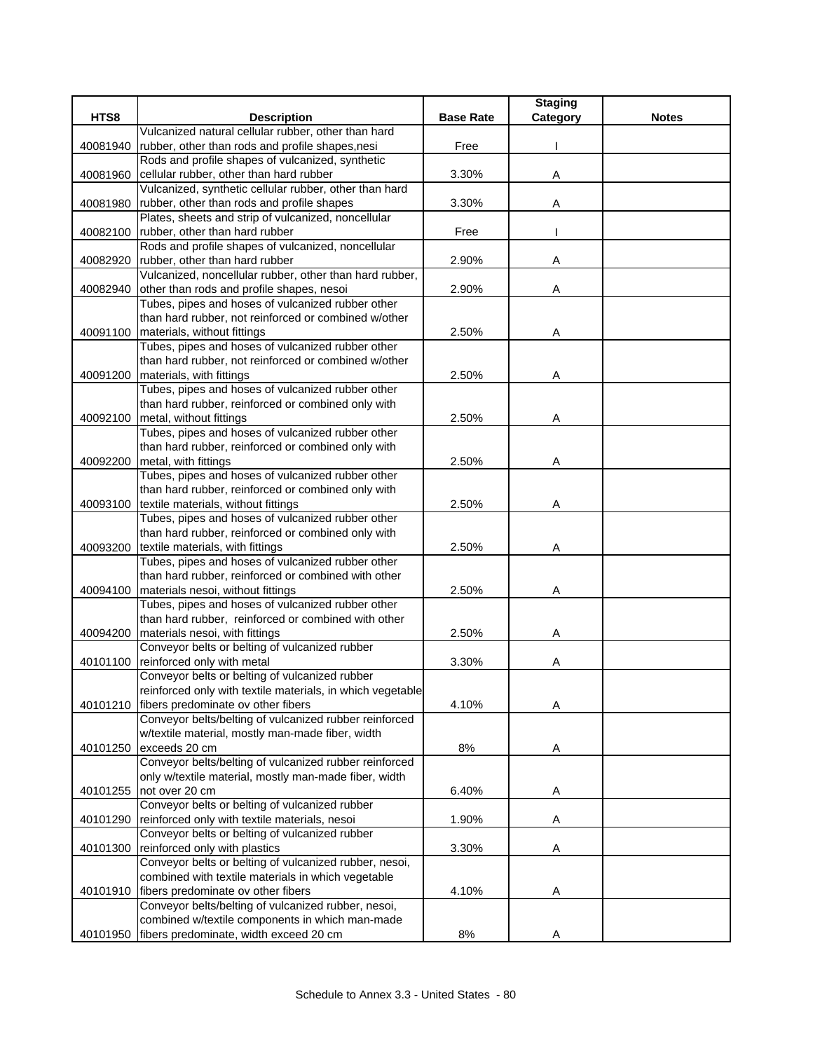|          |                                                                                                 |                  | <b>Staging</b> |              |
|----------|-------------------------------------------------------------------------------------------------|------------------|----------------|--------------|
| HTS8     | <b>Description</b>                                                                              | <b>Base Rate</b> | Category       | <b>Notes</b> |
|          | Vulcanized natural cellular rubber, other than hard                                             |                  |                |              |
| 40081940 | rubber, other than rods and profile shapes, nesi                                                | Free             |                |              |
|          | Rods and profile shapes of vulcanized, synthetic                                                |                  |                |              |
| 40081960 | cellular rubber, other than hard rubber                                                         | 3.30%            | Α              |              |
|          | Vulcanized, synthetic cellular rubber, other than hard                                          |                  |                |              |
| 40081980 | rubber, other than rods and profile shapes                                                      | 3.30%            | Α              |              |
|          | Plates, sheets and strip of vulcanized, noncellular                                             |                  |                |              |
| 40082100 | rubber, other than hard rubber                                                                  | Free             |                |              |
|          | Rods and profile shapes of vulcanized, noncellular                                              |                  |                |              |
| 40082920 | rubber, other than hard rubber                                                                  | 2.90%            | Α              |              |
|          | Vulcanized, noncellular rubber, other than hard rubber,                                         |                  |                |              |
| 40082940 | other than rods and profile shapes, nesoi                                                       | 2.90%            | Α              |              |
|          | Tubes, pipes and hoses of vulcanized rubber other                                               |                  |                |              |
|          | than hard rubber, not reinforced or combined w/other                                            |                  |                |              |
| 40091100 | materials, without fittings                                                                     | 2.50%            | Α              |              |
|          | Tubes, pipes and hoses of vulcanized rubber other                                               |                  |                |              |
|          | than hard rubber, not reinforced or combined w/other                                            |                  |                |              |
| 40091200 | materials, with fittings                                                                        | 2.50%            | Α              |              |
|          | Tubes, pipes and hoses of vulcanized rubber other                                               |                  |                |              |
|          | than hard rubber, reinforced or combined only with                                              |                  |                |              |
| 40092100 | metal, without fittings                                                                         | 2.50%            | Α              |              |
|          | Tubes, pipes and hoses of vulcanized rubber other                                               |                  |                |              |
|          | than hard rubber, reinforced or combined only with                                              |                  |                |              |
| 40092200 | metal, with fittings                                                                            | 2.50%            | Α              |              |
|          | Tubes, pipes and hoses of vulcanized rubber other                                               |                  |                |              |
|          | than hard rubber, reinforced or combined only with                                              |                  |                |              |
| 40093100 | textile materials, without fittings                                                             | 2.50%            | Α              |              |
|          | Tubes, pipes and hoses of vulcanized rubber other                                               |                  |                |              |
|          | than hard rubber, reinforced or combined only with                                              |                  |                |              |
| 40093200 | textile materials, with fittings                                                                | 2.50%            | Α              |              |
|          | Tubes, pipes and hoses of vulcanized rubber other                                               |                  |                |              |
|          | than hard rubber, reinforced or combined with other                                             |                  |                |              |
| 40094100 | materials nesoi, without fittings                                                               | 2.50%            | Α              |              |
|          | Tubes, pipes and hoses of vulcanized rubber other                                               |                  |                |              |
|          | than hard rubber, reinforced or combined with other                                             |                  |                |              |
| 40094200 | materials nesoi, with fittings                                                                  | 2.50%            | Α              |              |
|          | Conveyor belts or belting of vulcanized rubber                                                  |                  |                |              |
| 40101100 | reinforced only with metal                                                                      | 3.30%            | A              |              |
|          | Conveyor belts or belting of vulcanized rubber                                                  |                  |                |              |
|          | reinforced only with textile materials, in which vegetable                                      |                  |                |              |
| 40101210 | fibers predominate ov other fibers                                                              | 4.10%            | Α              |              |
|          | Conveyor belts/belting of vulcanized rubber reinforced                                          |                  |                |              |
|          | w/textile material, mostly man-made fiber, width<br>exceeds 20 cm                               |                  |                |              |
| 40101250 | Conveyor belts/belting of vulcanized rubber reinforced                                          | $8\%$            | Α              |              |
|          | only w/textile material, mostly man-made fiber, width                                           |                  |                |              |
|          | not over 20 cm                                                                                  |                  |                |              |
| 40101255 |                                                                                                 | 6.40%            | A              |              |
|          | Conveyor belts or belting of vulcanized rubber                                                  |                  |                |              |
| 40101290 | reinforced only with textile materials, nesoi<br>Conveyor belts or belting of vulcanized rubber | 1.90%            | Α              |              |
|          | reinforced only with plastics                                                                   |                  |                |              |
| 40101300 | Conveyor belts or belting of vulcanized rubber, nesoi,                                          | 3.30%            | Α              |              |
|          | combined with textile materials in which vegetable                                              |                  |                |              |
| 40101910 | fibers predominate ov other fibers                                                              | 4.10%            | Α              |              |
|          | Conveyor belts/belting of vulcanized rubber, nesoi,                                             |                  |                |              |
|          | combined w/textile components in which man-made                                                 |                  |                |              |
| 40101950 | fibers predominate, width exceed 20 cm                                                          | 8%               | Α              |              |
|          |                                                                                                 |                  |                |              |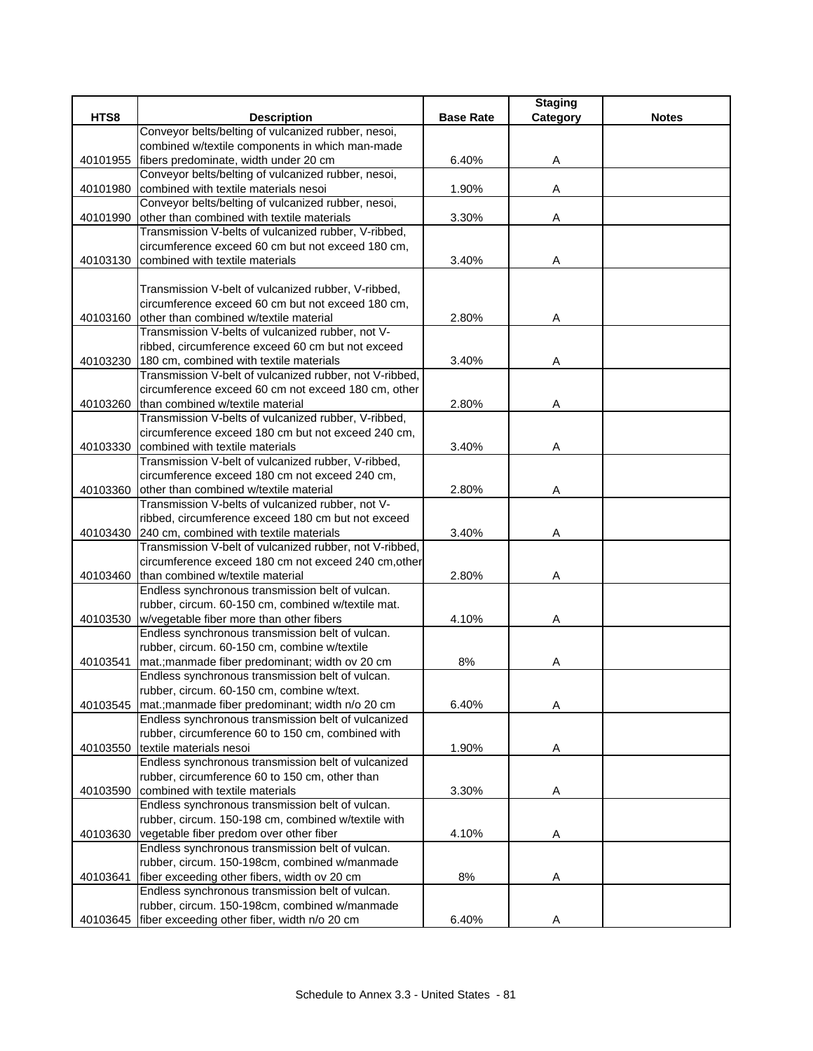|          |                                                                                                  |                  | <b>Staging</b> |              |
|----------|--------------------------------------------------------------------------------------------------|------------------|----------------|--------------|
| HTS8     | <b>Description</b>                                                                               | <b>Base Rate</b> | Category       | <b>Notes</b> |
|          | Conveyor belts/belting of vulcanized rubber, nesoi,                                              |                  |                |              |
|          | combined w/textile components in which man-made                                                  |                  |                |              |
| 40101955 | fibers predominate, width under 20 cm                                                            | 6.40%            | Α              |              |
|          | Conveyor belts/belting of vulcanized rubber, nesoi,                                              |                  |                |              |
| 40101980 | combined with textile materials nesoi                                                            | 1.90%            | Α              |              |
|          | Conveyor belts/belting of vulcanized rubber, nesoi,                                              |                  |                |              |
| 40101990 | other than combined with textile materials                                                       | 3.30%            | Α              |              |
|          | Transmission V-belts of vulcanized rubber, V-ribbed,                                             |                  |                |              |
| 40103130 | circumference exceed 60 cm but not exceed 180 cm,<br>combined with textile materials             | 3.40%            |                |              |
|          |                                                                                                  |                  | Α              |              |
|          | Transmission V-belt of vulcanized rubber, V-ribbed,                                              |                  |                |              |
|          | circumference exceed 60 cm but not exceed 180 cm,                                                |                  |                |              |
| 40103160 | other than combined w/textile material                                                           | 2.80%            | Α              |              |
|          | Transmission V-belts of vulcanized rubber, not V-                                                |                  |                |              |
|          | ribbed, circumference exceed 60 cm but not exceed                                                |                  |                |              |
| 40103230 | 180 cm, combined with textile materials                                                          | 3.40%            | Α              |              |
|          | Transmission V-belt of vulcanized rubber, not V-ribbed,                                          |                  |                |              |
|          | circumference exceed 60 cm not exceed 180 cm, other                                              |                  |                |              |
| 40103260 | than combined w/textile material                                                                 | 2.80%            | Α              |              |
|          | Transmission V-belts of vulcanized rubber, V-ribbed,                                             |                  |                |              |
|          | circumference exceed 180 cm but not exceed 240 cm,                                               |                  |                |              |
| 40103330 | combined with textile materials                                                                  | 3.40%            | Α              |              |
|          | Transmission V-belt of vulcanized rubber, V-ribbed,                                              |                  |                |              |
|          | circumference exceed 180 cm not exceed 240 cm,                                                   |                  |                |              |
| 40103360 | other than combined w/textile material                                                           | 2.80%            | Α              |              |
|          | Transmission V-belts of vulcanized rubber, not V-                                                |                  |                |              |
|          | ribbed, circumference exceed 180 cm but not exceed                                               |                  |                |              |
| 40103430 | 240 cm, combined with textile materials                                                          | 3.40%            | Α              |              |
|          | Transmission V-belt of vulcanized rubber, not V-ribbed,                                          |                  |                |              |
|          | circumference exceed 180 cm not exceed 240 cm, other                                             |                  |                |              |
| 40103460 | than combined w/textile material                                                                 | 2.80%            | Α              |              |
|          | Endless synchronous transmission belt of vulcan.                                                 |                  |                |              |
|          | rubber, circum. 60-150 cm, combined w/textile mat.                                               |                  |                |              |
|          | 40103530 w/vegetable fiber more than other fibers                                                | 4.10%            | Α              |              |
|          | Endless synchronous transmission belt of vulcan.<br>rubber, circum. 60-150 cm, combine w/textile |                  |                |              |
| 40103541 | mat.; manmade fiber predominant; width ov 20 cm                                                  | 8%               |                |              |
|          | Endless synchronous transmission belt of vulcan.                                                 |                  | Α              |              |
|          | rubber, circum. 60-150 cm, combine w/text.                                                       |                  |                |              |
| 40103545 | mat.; manmade fiber predominant; width n/o 20 cm                                                 | 6.40%            | Α              |              |
|          | Endless synchronous transmission belt of vulcanized                                              |                  |                |              |
|          | rubber, circumference 60 to 150 cm, combined with                                                |                  |                |              |
| 40103550 | textile materials nesoi                                                                          | 1.90%            | A              |              |
|          | Endless synchronous transmission belt of vulcanized                                              |                  |                |              |
|          | rubber, circumference 60 to 150 cm, other than                                                   |                  |                |              |
| 40103590 | combined with textile materials                                                                  | 3.30%            | Α              |              |
|          | Endless synchronous transmission belt of vulcan.                                                 |                  |                |              |
|          | rubber, circum. 150-198 cm, combined w/textile with                                              |                  |                |              |
| 40103630 | vegetable fiber predom over other fiber                                                          | 4.10%            | A              |              |
|          | Endless synchronous transmission belt of vulcan.                                                 |                  |                |              |
|          | rubber, circum. 150-198cm, combined w/manmade                                                    |                  |                |              |
| 40103641 | fiber exceeding other fibers, width ov 20 cm                                                     | 8%               | Α              |              |
|          | Endless synchronous transmission belt of vulcan.                                                 |                  |                |              |
|          | rubber, circum. 150-198cm, combined w/manmade                                                    |                  |                |              |
| 40103645 | fiber exceeding other fiber, width n/o 20 cm                                                     | 6.40%            | Α              |              |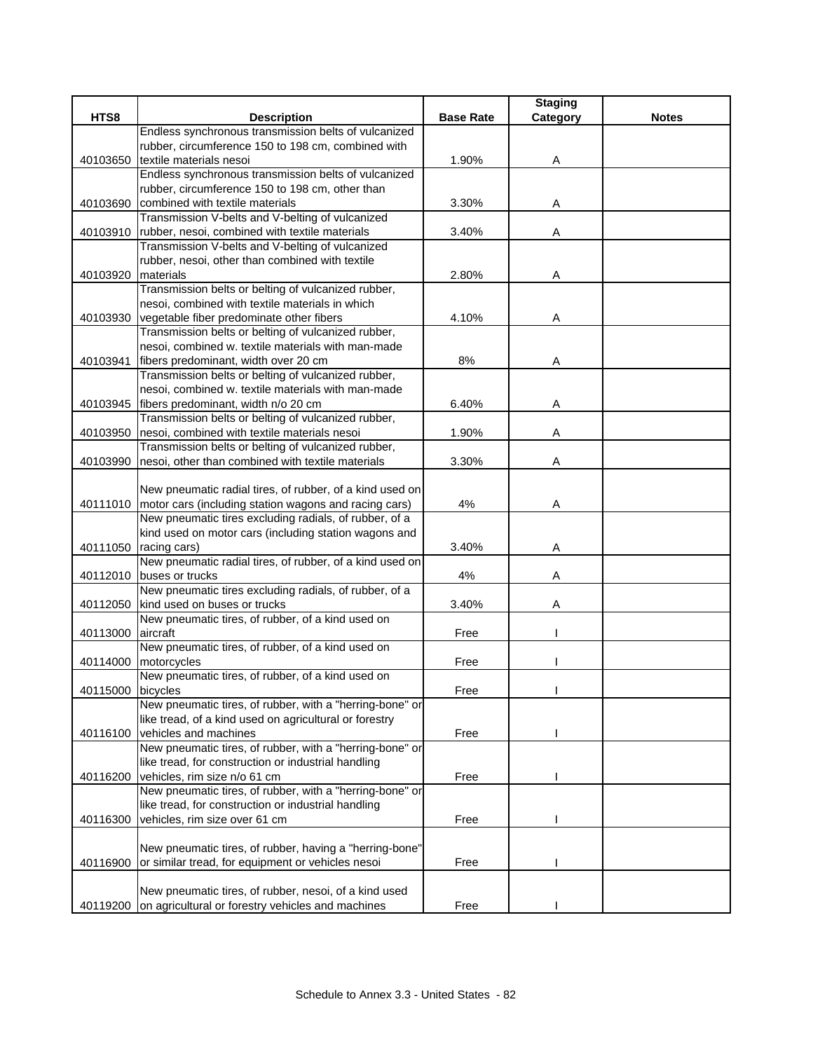|                   |                                                                                                                            |                  | <b>Staging</b> |              |
|-------------------|----------------------------------------------------------------------------------------------------------------------------|------------------|----------------|--------------|
| HTS8              | <b>Description</b>                                                                                                         | <b>Base Rate</b> | Category       | <b>Notes</b> |
|                   | Endless synchronous transmission belts of vulcanized                                                                       |                  |                |              |
|                   | rubber, circumference 150 to 198 cm, combined with                                                                         |                  |                |              |
| 40103650          | textile materials nesoi                                                                                                    | 1.90%            | A              |              |
|                   | Endless synchronous transmission belts of vulcanized                                                                       |                  |                |              |
|                   | rubber, circumference 150 to 198 cm, other than                                                                            |                  |                |              |
| 40103690          | combined with textile materials                                                                                            | 3.30%            | Α              |              |
|                   | Transmission V-belts and V-belting of vulcanized                                                                           |                  |                |              |
|                   | 40103910  rubber, nesoi, combined with textile materials                                                                   | 3.40%            | A              |              |
|                   | Transmission V-belts and V-belting of vulcanized                                                                           |                  |                |              |
|                   | rubber, nesoi, other than combined with textile                                                                            |                  |                |              |
| 40103920          | materials                                                                                                                  | 2.80%            | Α              |              |
|                   | Transmission belts or belting of vulcanized rubber,                                                                        |                  |                |              |
|                   | nesoi, combined with textile materials in which                                                                            |                  |                |              |
|                   | 40103930 vegetable fiber predominate other fibers                                                                          | 4.10%            | Α              |              |
|                   | Transmission belts or belting of vulcanized rubber,                                                                        |                  |                |              |
|                   | nesoi, combined w. textile materials with man-made                                                                         |                  |                |              |
| 40103941          | fibers predominant, width over 20 cm                                                                                       | 8%               | A              |              |
|                   | Transmission belts or belting of vulcanized rubber,                                                                        |                  |                |              |
|                   | nesoi, combined w. textile materials with man-made                                                                         |                  |                |              |
| 40103945          | fibers predominant, width n/o 20 cm                                                                                        | 6.40%            | Α              |              |
|                   | Transmission belts or belting of vulcanized rubber,                                                                        |                  |                |              |
| 40103950          | nesoi, combined with textile materials nesoi                                                                               | 1.90%            | Α              |              |
|                   | Transmission belts or belting of vulcanized rubber,                                                                        |                  |                |              |
| 40103990          | nesoi, other than combined with textile materials                                                                          | 3.30%            | Α              |              |
|                   |                                                                                                                            |                  |                |              |
|                   | New pneumatic radial tires, of rubber, of a kind used on                                                                   | 4%               |                |              |
|                   | 40111010   motor cars (including station wagons and racing cars)<br>New pneumatic tires excluding radials, of rubber, of a |                  | Α              |              |
|                   | kind used on motor cars (including station wagons and                                                                      |                  |                |              |
| 40111050          | racing cars)                                                                                                               | 3.40%            | Α              |              |
|                   | New pneumatic radial tires, of rubber, of a kind used on                                                                   |                  |                |              |
|                   | 40112010 buses or trucks                                                                                                   | 4%               | Α              |              |
|                   | New pneumatic tires excluding radials, of rubber, of a                                                                     |                  |                |              |
|                   | 40112050 kind used on buses or trucks                                                                                      | 3.40%            | Α              |              |
|                   | New pneumatic tires, of rubber, of a kind used on                                                                          |                  |                |              |
| 40113000 aircraft |                                                                                                                            | Free             |                |              |
|                   | New pneumatic tires, of rubber, of a kind used on                                                                          |                  |                |              |
|                   | 40114000 motorcycles                                                                                                       | Free             |                |              |
|                   | New pneumatic tires, of rubber, of a kind used on                                                                          |                  |                |              |
| 40115000 bicycles |                                                                                                                            | Free             |                |              |
|                   | New pneumatic tires, of rubber, with a "herring-bone" or                                                                   |                  |                |              |
|                   | like tread, of a kind used on agricultural or forestry                                                                     |                  |                |              |
| 40116100          | vehicles and machines                                                                                                      | Free             |                |              |
|                   | New pneumatic tires, of rubber, with a "herring-bone" or                                                                   |                  |                |              |
|                   | like tread, for construction or industrial handling                                                                        |                  |                |              |
| 40116200          | vehicles, rim size n/o 61 cm                                                                                               | Free             |                |              |
|                   | New pneumatic tires, of rubber, with a "herring-bone" or                                                                   |                  |                |              |
|                   | like tread, for construction or industrial handling                                                                        |                  |                |              |
| 40116300          | vehicles, rim size over 61 cm                                                                                              | Free             |                |              |
|                   |                                                                                                                            |                  |                |              |
|                   | New pneumatic tires, of rubber, having a "herring-bone"                                                                    |                  |                |              |
| 40116900          | or similar tread, for equipment or vehicles nesoi                                                                          | Free             |                |              |
|                   |                                                                                                                            |                  |                |              |
|                   | New pneumatic tires, of rubber, nesoi, of a kind used                                                                      |                  |                |              |
|                   | 40119200 on agricultural or forestry vehicles and machines                                                                 | Free             |                |              |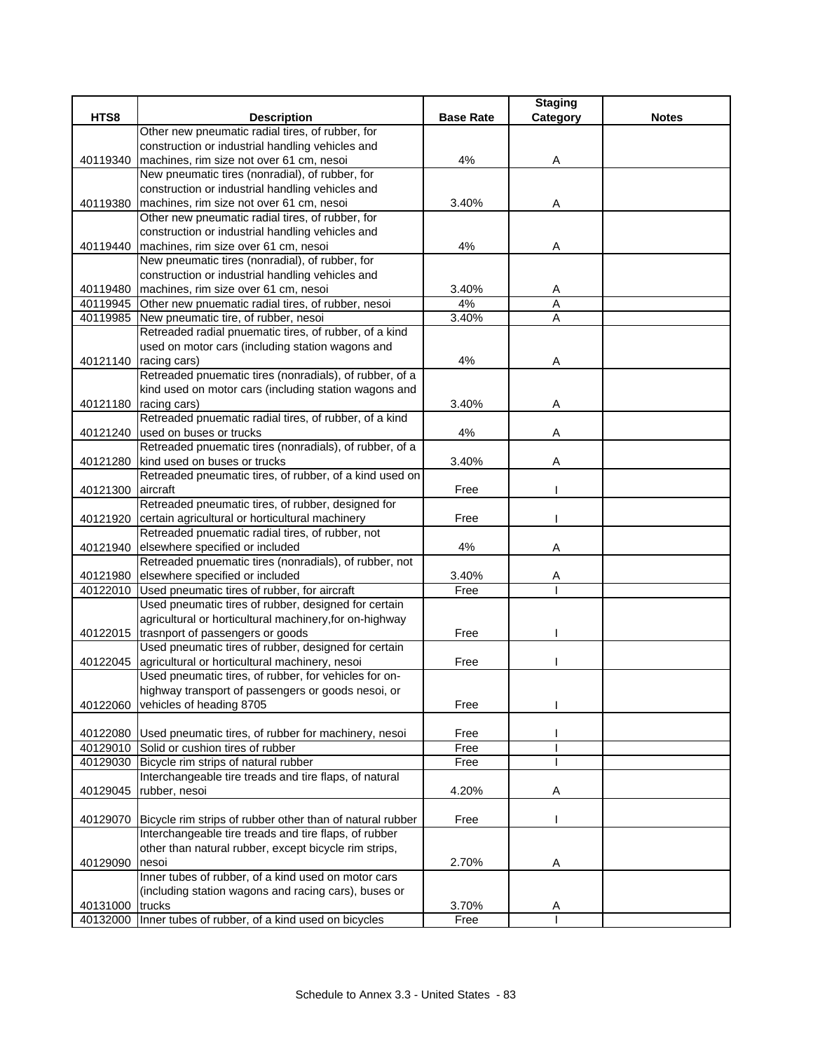|                 |                                                                                 |                  | <b>Staging</b> |              |
|-----------------|---------------------------------------------------------------------------------|------------------|----------------|--------------|
| HTS8            | <b>Description</b>                                                              | <b>Base Rate</b> | Category       | <b>Notes</b> |
|                 | Other new pneumatic radial tires, of rubber, for                                |                  |                |              |
|                 | construction or industrial handling vehicles and                                |                  |                |              |
| 40119340        | machines, rim size not over 61 cm, nesoi                                        | 4%               | Α              |              |
|                 | New pneumatic tires (nonradial), of rubber, for                                 |                  |                |              |
|                 | construction or industrial handling vehicles and                                |                  |                |              |
| 40119380        | machines, rim size not over 61 cm, nesoi                                        | 3.40%            | Α              |              |
|                 | Other new pneumatic radial tires, of rubber, for                                |                  |                |              |
|                 | construction or industrial handling vehicles and                                |                  |                |              |
| 40119440        | machines, rim size over 61 cm, nesoi                                            | 4%               | Α              |              |
|                 | New pneumatic tires (nonradial), of rubber, for                                 |                  |                |              |
|                 | construction or industrial handling vehicles and                                |                  |                |              |
|                 | 40119480 machines, rim size over 61 cm, nesoi                                   | 3.40%            | Α              |              |
| 40119945        | Other new pnuematic radial tires, of rubber, nesoi                              | 4%               | A              |              |
| 40119985        | New pneumatic tire, of rubber, nesoi                                            | 3.40%            | A              |              |
|                 | Retreaded radial pnuematic tires, of rubber, of a kind                          |                  |                |              |
|                 | used on motor cars (including station wagons and                                |                  |                |              |
|                 | 40121140 racing cars)                                                           | 4%               | A              |              |
|                 | Retreaded pnuematic tires (nonradials), of rubber, of a                         |                  |                |              |
|                 | kind used on motor cars (including station wagons and                           |                  |                |              |
|                 | 40121180 racing cars)<br>Retreaded pnuematic radial tires, of rubber, of a kind | 3.40%            | Α              |              |
|                 | 40121240 used on buses or trucks                                                | 4%               |                |              |
|                 | Retreaded pnuematic tires (nonradials), of rubber, of a                         |                  | Α              |              |
| 40121280        | kind used on buses or trucks                                                    | 3.40%            | Α              |              |
|                 | Retreaded pneumatic tires, of rubber, of a kind used on                         |                  |                |              |
| 40121300        | aircraft                                                                        | Free             |                |              |
|                 | Retreaded pneumatic tires, of rubber, designed for                              |                  |                |              |
| 40121920        | certain agricultural or horticultural machinery                                 | Free             |                |              |
|                 | Retreaded pnuematic radial tires, of rubber, not                                |                  |                |              |
| 40121940        | elsewhere specified or included                                                 | 4%               | Α              |              |
|                 | Retreaded pnuematic tires (nonradials), of rubber, not                          |                  |                |              |
| 40121980        | elsewhere specified or included                                                 | 3.40%            | A              |              |
| 40122010        | Used pneumatic tires of rubber, for aircraft                                    | Free             |                |              |
|                 | Used pneumatic tires of rubber, designed for certain                            |                  |                |              |
|                 | agricultural or horticultural machinery, for on-highway                         |                  |                |              |
|                 | 40122015 trasnport of passengers or goods                                       | Free             |                |              |
|                 | Used pneumatic tires of rubber, designed for certain                            |                  |                |              |
| 40122045        | agricultural or horticultural machinery, nesoi                                  | Free             |                |              |
|                 | Used pneumatic tires, of rubber, for vehicles for on-                           |                  |                |              |
|                 | highway transport of passengers or goods nesoi, or                              |                  |                |              |
| 40122060        | vehicles of heading 8705                                                        | Free             |                |              |
|                 |                                                                                 |                  |                |              |
|                 | 40122080 Used pneumatic tires, of rubber for machinery, nesoi                   | Free             |                |              |
|                 | 40129010 Solid or cushion tires of rubber                                       | Free             |                |              |
|                 | 40129030 Bicycle rim strips of natural rubber                                   | Free             |                |              |
|                 | Interchangeable tire treads and tire flaps, of natural                          |                  |                |              |
| 40129045        | rubber, nesoi                                                                   | 4.20%            | A              |              |
|                 | 40129070 Bicycle rim strips of rubber other than of natural rubber              | Free             |                |              |
|                 | Interchangeable tire treads and tire flaps, of rubber                           |                  |                |              |
|                 | other than natural rubber, except bicycle rim strips,                           |                  |                |              |
| 40129090        | nesoi                                                                           | 2.70%            | A              |              |
|                 | Inner tubes of rubber, of a kind used on motor cars                             |                  |                |              |
|                 | (including station wagons and racing cars), buses or                            |                  |                |              |
| 40131000 trucks |                                                                                 | 3.70%            | Α              |              |
|                 | 40132000 Inner tubes of rubber, of a kind used on bicycles                      | Free             |                |              |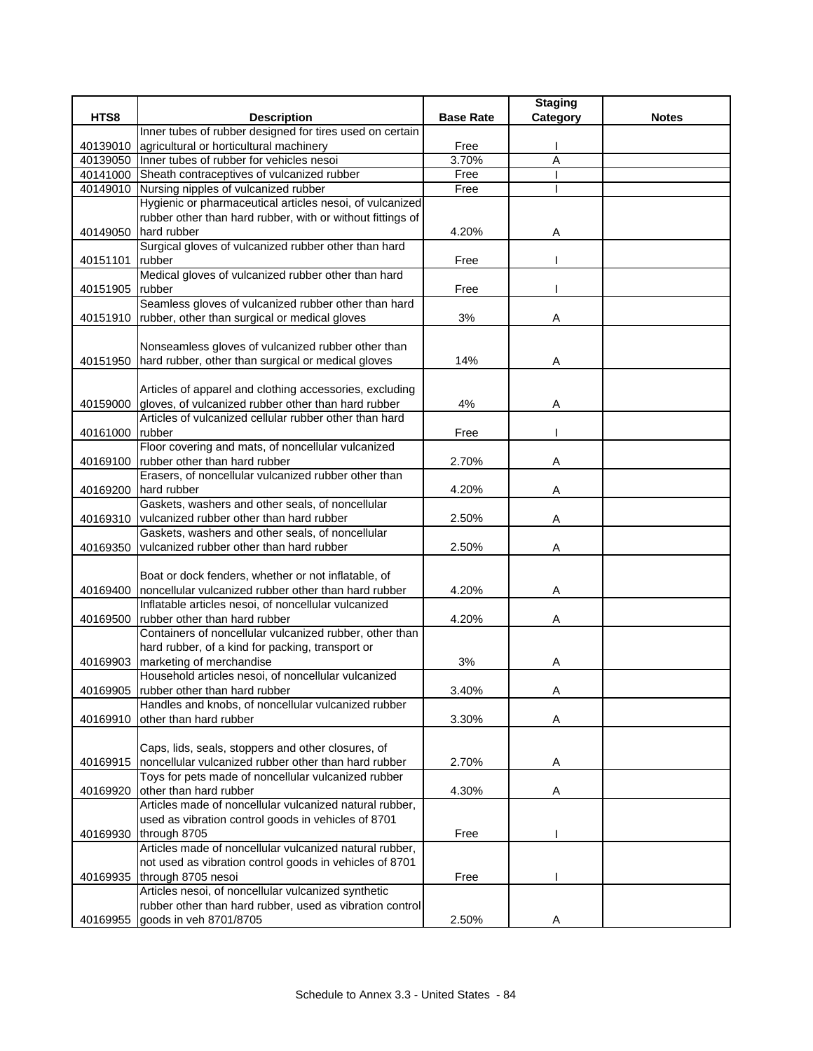|          |                                                                         |                  | <b>Staging</b> |              |
|----------|-------------------------------------------------------------------------|------------------|----------------|--------------|
| HTS8     | <b>Description</b>                                                      | <b>Base Rate</b> | Category       | <b>Notes</b> |
|          | Inner tubes of rubber designed for tires used on certain                |                  |                |              |
| 40139010 | agricultural or horticultural machinery                                 | Free             |                |              |
|          | 40139050 Inner tubes of rubber for vehicles nesoi                       | 3.70%            | $\overline{A}$ |              |
|          | 40141000 Sheath contraceptives of vulcanized rubber                     | Free             |                |              |
|          | 40149010 Nursing nipples of vulcanized rubber                           | Free             |                |              |
|          | Hygienic or pharmaceutical articles nesoi, of vulcanized                |                  |                |              |
|          | rubber other than hard rubber, with or without fittings of              |                  |                |              |
| 40149050 | hard rubber                                                             | 4.20%            | Α              |              |
|          | Surgical gloves of vulcanized rubber other than hard                    |                  |                |              |
| 40151101 | rubber                                                                  | Free             |                |              |
|          | Medical gloves of vulcanized rubber other than hard                     |                  |                |              |
| 40151905 | rubber                                                                  | Free             |                |              |
|          | Seamless gloves of vulcanized rubber other than hard                    |                  |                |              |
| 40151910 | rubber, other than surgical or medical gloves                           | 3%               | Α              |              |
|          |                                                                         |                  |                |              |
|          | Nonseamless gloves of vulcanized rubber other than                      |                  |                |              |
|          | 40151950 hard rubber, other than surgical or medical gloves             | 14%              | Α              |              |
|          |                                                                         |                  |                |              |
|          | Articles of apparel and clothing accessories, excluding                 |                  |                |              |
| 40159000 | gloves, of vulcanized rubber other than hard rubber                     | 4%               | Α              |              |
|          | Articles of vulcanized cellular rubber other than hard                  |                  |                |              |
| 40161000 | rubber                                                                  | Free             |                |              |
|          | Floor covering and mats, of noncellular vulcanized                      |                  |                |              |
| 40169100 | rubber other than hard rubber                                           | 2.70%            | Α              |              |
|          | Erasers, of noncellular vulcanized rubber other than                    |                  |                |              |
| 40169200 | hard rubber                                                             | 4.20%            | Α              |              |
|          | Gaskets, washers and other seals, of noncellular                        |                  |                |              |
| 40169310 | vulcanized rubber other than hard rubber                                | 2.50%            | Α              |              |
|          | Gaskets, washers and other seals, of noncellular                        |                  |                |              |
| 40169350 | vulcanized rubber other than hard rubber                                | 2.50%            | Α              |              |
|          |                                                                         |                  |                |              |
|          | Boat or dock fenders, whether or not inflatable, of                     |                  |                |              |
| 40169400 | noncellular vulcanized rubber other than hard rubber                    | 4.20%            | Α              |              |
|          | Inflatable articles nesoi, of noncellular vulcanized                    |                  |                |              |
| 40169500 | rubber other than hard rubber                                           | 4.20%            | Α              |              |
|          | Containers of noncellular vulcanized rubber, other than                 |                  |                |              |
|          | hard rubber, of a kind for packing, transport or                        |                  |                |              |
| 40169903 | marketing of merchandise                                                | 3%               | Α              |              |
|          | Household articles nesoi, of noncellular vulcanized                     |                  |                |              |
|          | 40169905   rubber other than hard rubber                                | 3.40%            | A              |              |
|          | Handles and knobs, of noncellular vulcanized rubber                     |                  |                |              |
| 40169910 | other than hard rubber                                                  | 3.30%            | Α              |              |
|          |                                                                         |                  |                |              |
|          | Caps, lids, seals, stoppers and other closures, of                      |                  |                |              |
| 40169915 | noncellular vulcanized rubber other than hard rubber                    | 2.70%            | Α              |              |
|          | Toys for pets made of noncellular vulcanized rubber                     |                  |                |              |
| 40169920 | other than hard rubber                                                  | 4.30%            | Α              |              |
|          | Articles made of noncellular vulcanized natural rubber,                 |                  |                |              |
|          | used as vibration control goods in vehicles of 8701                     |                  |                |              |
| 40169930 | through 8705<br>Articles made of noncellular vulcanized natural rubber, | Free             |                |              |
|          |                                                                         |                  |                |              |
|          | not used as vibration control goods in vehicles of 8701                 |                  |                |              |
| 40169935 | through 8705 nesoi                                                      | Free             |                |              |
|          | Articles nesoi, of noncellular vulcanized synthetic                     |                  |                |              |
|          | rubber other than hard rubber, used as vibration control                |                  |                |              |
| 40169955 | goods in veh 8701/8705                                                  | 2.50%            | Α              |              |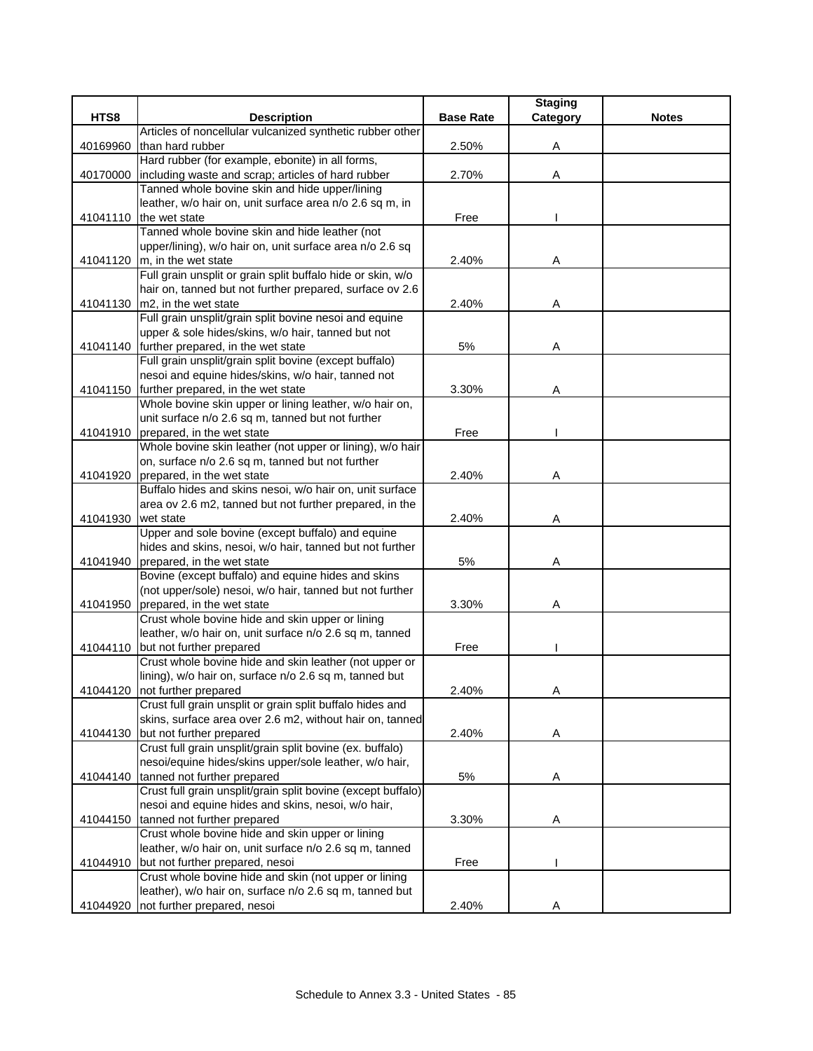|          |                                                                                                                         |                  | <b>Staging</b> |              |
|----------|-------------------------------------------------------------------------------------------------------------------------|------------------|----------------|--------------|
| HTS8     | <b>Description</b>                                                                                                      | <b>Base Rate</b> | Category       | <b>Notes</b> |
|          | Articles of noncellular vulcanized synthetic rubber other                                                               |                  |                |              |
| 40169960 | than hard rubber                                                                                                        | 2.50%            | Α              |              |
|          | Hard rubber (for example, ebonite) in all forms,                                                                        |                  |                |              |
| 40170000 | including waste and scrap; articles of hard rubber                                                                      | 2.70%            | Α              |              |
|          | Tanned whole bovine skin and hide upper/lining                                                                          |                  |                |              |
|          | leather, w/o hair on, unit surface area n/o 2.6 sq m, in                                                                |                  |                |              |
| 41041110 | the wet state                                                                                                           | Free             |                |              |
|          | Tanned whole bovine skin and hide leather (not                                                                          |                  |                |              |
|          | upper/lining), w/o hair on, unit surface area n/o 2.6 sq                                                                |                  |                |              |
|          | 41041120 $\vert$ m, in the wet state                                                                                    | 2.40%            | Α              |              |
|          | Full grain unsplit or grain split buffalo hide or skin, w/o<br>hair on, tanned but not further prepared, surface ov 2.6 |                  |                |              |
|          | m2, in the wet state                                                                                                    | 2.40%            |                |              |
| 41041130 | Full grain unsplit/grain split bovine nesoi and equine                                                                  |                  | Α              |              |
|          | upper & sole hides/skins, w/o hair, tanned but not                                                                      |                  |                |              |
| 41041140 | further prepared, in the wet state                                                                                      | 5%               | Α              |              |
|          | Full grain unsplit/grain split bovine (except buffalo)                                                                  |                  |                |              |
|          | nesoi and equine hides/skins, w/o hair, tanned not                                                                      |                  |                |              |
| 41041150 | further prepared, in the wet state                                                                                      | 3.30%            | Α              |              |
|          | Whole bovine skin upper or lining leather, w/o hair on,                                                                 |                  |                |              |
|          | unit surface n/o 2.6 sq m, tanned but not further                                                                       |                  |                |              |
| 41041910 | prepared, in the wet state                                                                                              | Free             |                |              |
|          | Whole bovine skin leather (not upper or lining), w/o hair                                                               |                  |                |              |
|          | on, surface n/o 2.6 sq m, tanned but not further                                                                        |                  |                |              |
| 41041920 | prepared, in the wet state                                                                                              | 2.40%            | Α              |              |
|          | Buffalo hides and skins nesoi, w/o hair on, unit surface                                                                |                  |                |              |
|          | area ov 2.6 m2, tanned but not further prepared, in the                                                                 |                  |                |              |
| 41041930 | wet state                                                                                                               | 2.40%            | Α              |              |
|          | Upper and sole bovine (except buffalo) and equine                                                                       |                  |                |              |
|          | hides and skins, nesoi, w/o hair, tanned but not further                                                                |                  |                |              |
| 41041940 | prepared, in the wet state                                                                                              | 5%               | A              |              |
|          | Bovine (except buffalo) and equine hides and skins                                                                      |                  |                |              |
|          | (not upper/sole) nesoi, w/o hair, tanned but not further                                                                |                  |                |              |
| 41041950 | prepared, in the wet state                                                                                              | 3.30%            | Α              |              |
|          | Crust whole bovine hide and skin upper or lining                                                                        |                  |                |              |
|          | leather, w/o hair on, unit surface n/o 2.6 sq m, tanned                                                                 |                  |                |              |
| 41044110 | but not further prepared                                                                                                | Free             |                |              |
|          | Crust whole bovine hide and skin leather (not upper or                                                                  |                  |                |              |
|          | lining), w/o hair on, surface n/o 2.6 sq m, tanned but                                                                  |                  |                |              |
|          | 41044120 not further prepared                                                                                           | 2.40%            | A              |              |
|          | Crust full grain unsplit or grain split buffalo hides and                                                               |                  |                |              |
|          | skins, surface area over 2.6 m2, without hair on, tanned                                                                |                  |                |              |
| 41044130 | but not further prepared                                                                                                | 2.40%            | A              |              |
|          | Crust full grain unsplit/grain split bovine (ex. buffalo)                                                               |                  |                |              |
|          | nesoi/equine hides/skins upper/sole leather, w/o hair,                                                                  |                  |                |              |
| 41044140 | tanned not further prepared                                                                                             | 5%               | Α              |              |
|          | Crust full grain unsplit/grain split bovine (except buffalo)                                                            |                  |                |              |
|          | nesoi and equine hides and skins, nesoi, w/o hair,                                                                      |                  |                |              |
| 41044150 | tanned not further prepared                                                                                             | 3.30%            | Α              |              |
|          | Crust whole bovine hide and skin upper or lining                                                                        |                  |                |              |
|          | leather, w/o hair on, unit surface n/o 2.6 sq m, tanned                                                                 |                  |                |              |
| 41044910 | but not further prepared, nesoi                                                                                         | Free             |                |              |
|          | Crust whole bovine hide and skin (not upper or lining                                                                   |                  |                |              |
|          | leather), w/o hair on, surface n/o 2.6 sq m, tanned but                                                                 |                  |                |              |
| 41044920 | not further prepared, nesoi                                                                                             | 2.40%            | Α              |              |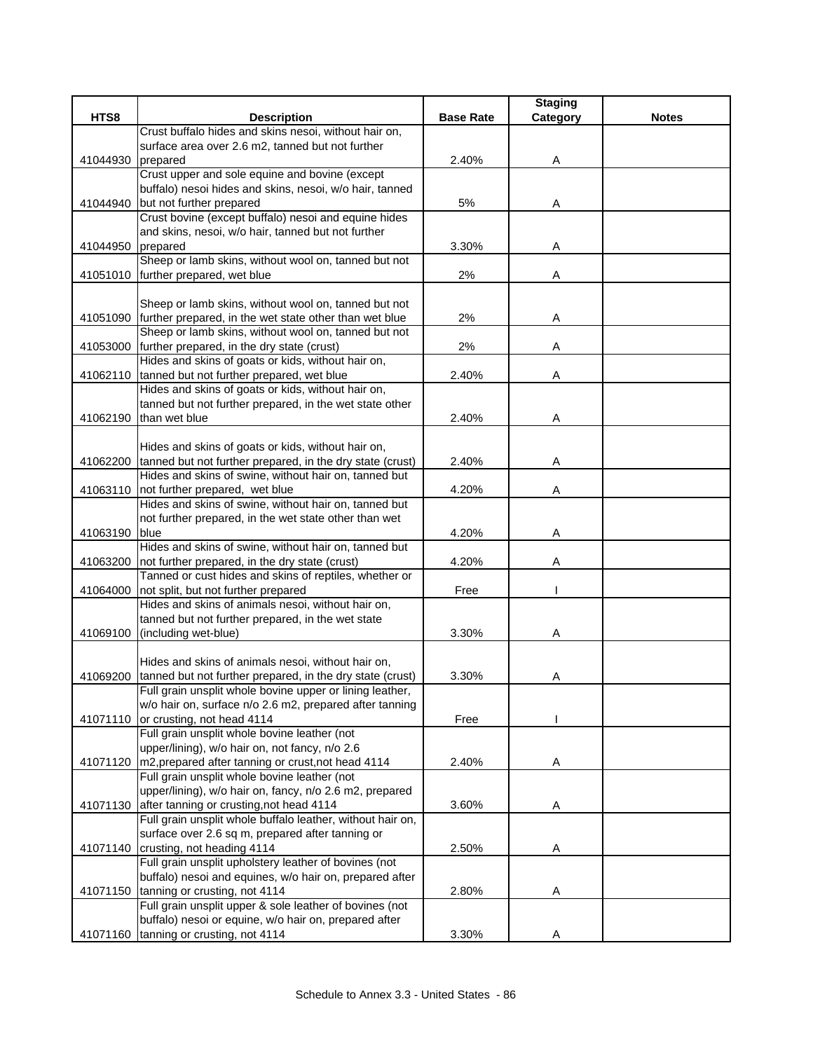|          |                                                                                                   |                  | <b>Staging</b> |              |
|----------|---------------------------------------------------------------------------------------------------|------------------|----------------|--------------|
| HTS8     | <b>Description</b>                                                                                | <b>Base Rate</b> | Category       | <b>Notes</b> |
|          | Crust buffalo hides and skins nesoi, without hair on,                                             |                  |                |              |
|          | surface area over 2.6 m2, tanned but not further                                                  |                  |                |              |
| 41044930 | prepared                                                                                          | 2.40%            | Α              |              |
|          | Crust upper and sole equine and bovine (except                                                    |                  |                |              |
|          | buffalo) nesoi hides and skins, nesoi, w/o hair, tanned                                           |                  |                |              |
| 41044940 | but not further prepared                                                                          | 5%               | Α              |              |
|          | Crust bovine (except buffalo) nesoi and equine hides                                              |                  |                |              |
|          | and skins, nesoi, w/o hair, tanned but not further                                                |                  |                |              |
| 41044950 | prepared<br>Sheep or lamb skins, without wool on, tanned but not                                  | 3.30%            | Α              |              |
|          | 41051010 further prepared, wet blue                                                               | 2%               | Α              |              |
|          |                                                                                                   |                  |                |              |
|          | Sheep or lamb skins, without wool on, tanned but not                                              |                  |                |              |
|          | 41051090 further prepared, in the wet state other than wet blue                                   | 2%               | Α              |              |
|          | Sheep or lamb skins, without wool on, tanned but not                                              |                  |                |              |
| 41053000 | further prepared, in the dry state (crust)                                                        | 2%               | Α              |              |
|          | Hides and skins of goats or kids, without hair on,                                                |                  |                |              |
| 41062110 | tanned but not further prepared, wet blue                                                         | 2.40%            | Α              |              |
|          | Hides and skins of goats or kids, without hair on,                                                |                  |                |              |
|          | tanned but not further prepared, in the wet state other                                           |                  |                |              |
| 41062190 | than wet blue                                                                                     | 2.40%            | Α              |              |
|          |                                                                                                   |                  |                |              |
|          | Hides and skins of goats or kids, without hair on,                                                |                  |                |              |
|          | 41062200 tanned but not further prepared, in the dry state (crust)                                | 2.40%            | Α              |              |
|          | Hides and skins of swine, without hair on, tanned but                                             |                  |                |              |
|          | 41063110 not further prepared, wet blue                                                           | 4.20%            | Α              |              |
|          | Hides and skins of swine, without hair on, tanned but                                             |                  |                |              |
|          | not further prepared, in the wet state other than wet                                             |                  |                |              |
| 41063190 | blue                                                                                              | 4.20%            | Α              |              |
|          | Hides and skins of swine, without hair on, tanned but                                             |                  |                |              |
| 41063200 | not further prepared, in the dry state (crust)                                                    | 4.20%            | Α              |              |
|          | Tanned or cust hides and skins of reptiles, whether or<br>not split, but not further prepared     | Free             |                |              |
| 41064000 | Hides and skins of animals nesoi, without hair on,                                                |                  |                |              |
|          | tanned but not further prepared, in the wet state                                                 |                  |                |              |
|          | 41069100 (including wet-blue)                                                                     | 3.30%            | Α              |              |
|          |                                                                                                   |                  |                |              |
|          | Hides and skins of animals nesoi, without hair on,                                                |                  |                |              |
| 41069200 | tanned but not further prepared, in the dry state (crust)                                         | 3.30%            | Α              |              |
|          | Full grain unsplit whole bovine upper or lining leather,                                          |                  |                |              |
|          | w/o hair on, surface n/o 2.6 m2, prepared after tanning                                           |                  |                |              |
|          | 41071110 or crusting, not head 4114                                                               | Free             |                |              |
|          | Full grain unsplit whole bovine leather (not                                                      |                  |                |              |
|          | upper/lining), w/o hair on, not fancy, n/o 2.6                                                    |                  |                |              |
| 41071120 | m2, prepared after tanning or crust, not head 4114                                                | 2.40%            | Α              |              |
|          | Full grain unsplit whole bovine leather (not                                                      |                  |                |              |
|          | upper/lining), w/o hair on, fancy, n/o 2.6 m2, prepared                                           |                  |                |              |
|          | 41071130 after tanning or crusting, not head 4114                                                 | 3.60%            | Α              |              |
|          | Full grain unsplit whole buffalo leather, without hair on,                                        |                  |                |              |
|          | surface over 2.6 sq m, prepared after tanning or                                                  |                  |                |              |
|          | 41071140 crusting, not heading 4114                                                               | 2.50%            | Α              |              |
|          | Full grain unsplit upholstery leather of bovines (not                                             |                  |                |              |
|          | buffalo) nesoi and equines, w/o hair on, prepared after                                           |                  |                |              |
|          | 41071150 tanning or crusting, not 4114<br>Full grain unsplit upper & sole leather of bovines (not | 2.80%            | Α              |              |
|          | buffalo) nesoi or equine, w/o hair on, prepared after                                             |                  |                |              |
|          | 41071160 tanning or crusting, not 4114                                                            | 3.30%            | Α              |              |
|          |                                                                                                   |                  |                |              |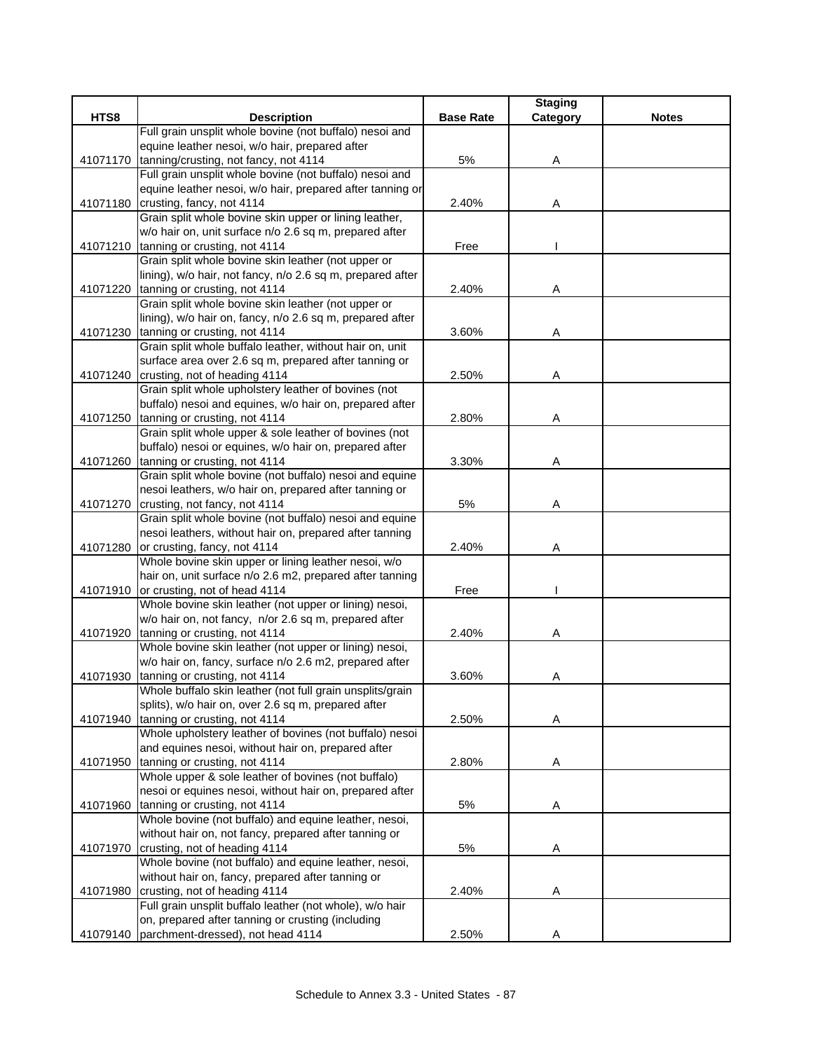|          |                                                                                                                  |                  | <b>Staging</b> |              |
|----------|------------------------------------------------------------------------------------------------------------------|------------------|----------------|--------------|
| HTS8     | <b>Description</b>                                                                                               | <b>Base Rate</b> | Category       | <b>Notes</b> |
|          | Full grain unsplit whole bovine (not buffalo) nesoi and                                                          |                  |                |              |
|          | equine leather nesoi, w/o hair, prepared after                                                                   |                  |                |              |
| 41071170 | tanning/crusting, not fancy, not 4114                                                                            | 5%               | Α              |              |
|          | Full grain unsplit whole bovine (not buffalo) nesoi and                                                          |                  |                |              |
|          | equine leather nesoi, w/o hair, prepared after tanning or                                                        |                  |                |              |
| 41071180 | crusting, fancy, not 4114                                                                                        | 2.40%            | Α              |              |
|          | Grain split whole bovine skin upper or lining leather,<br>w/o hair on, unit surface n/o 2.6 sq m, prepared after |                  |                |              |
| 41071210 | tanning or crusting, not 4114                                                                                    | Free             |                |              |
|          | Grain split whole bovine skin leather (not upper or                                                              |                  |                |              |
|          | lining), w/o hair, not fancy, n/o 2.6 sq m, prepared after                                                       |                  |                |              |
|          | 41071220 tanning or crusting, not 4114                                                                           | 2.40%            | Α              |              |
|          | Grain split whole bovine skin leather (not upper or                                                              |                  |                |              |
|          | lining), w/o hair on, fancy, n/o 2.6 sq m, prepared after                                                        |                  |                |              |
| 41071230 | tanning or crusting, not 4114                                                                                    | 3.60%            | A              |              |
|          | Grain split whole buffalo leather, without hair on, unit                                                         |                  |                |              |
|          | surface area over 2.6 sq m, prepared after tanning or                                                            |                  |                |              |
| 41071240 | crusting, not of heading 4114                                                                                    | 2.50%            | Α              |              |
|          | Grain split whole upholstery leather of bovines (not                                                             |                  |                |              |
|          | buffalo) nesoi and equines, w/o hair on, prepared after                                                          |                  |                |              |
| 41071250 | tanning or crusting, not 4114                                                                                    | 2.80%            | Α              |              |
|          | Grain split whole upper & sole leather of bovines (not                                                           |                  |                |              |
|          | buffalo) nesoi or equines, w/o hair on, prepared after                                                           |                  |                |              |
| 41071260 | tanning or crusting, not 4114                                                                                    | 3.30%            | Α              |              |
|          | Grain split whole bovine (not buffalo) nesoi and equine                                                          |                  |                |              |
|          | nesoi leathers, w/o hair on, prepared after tanning or                                                           |                  |                |              |
|          | 41071270 crusting, not fancy, not 4114                                                                           | 5%               | Α              |              |
|          | Grain split whole bovine (not buffalo) nesoi and equine                                                          |                  |                |              |
|          | nesoi leathers, without hair on, prepared after tanning                                                          |                  |                |              |
| 41071280 | or crusting, fancy, not 4114                                                                                     | 2.40%            | Α              |              |
|          | Whole bovine skin upper or lining leather nesoi, w/o                                                             |                  |                |              |
|          | hair on, unit surface n/o 2.6 m2, prepared after tanning                                                         |                  |                |              |
| 41071910 | or crusting, not of head 4114                                                                                    | Free             |                |              |
|          | Whole bovine skin leather (not upper or lining) nesoi,                                                           |                  |                |              |
|          | w/o hair on, not fancy, n/or 2.6 sq m, prepared after                                                            |                  |                |              |
| 41071920 | tanning or crusting, not 4114                                                                                    | 2.40%            | Α              |              |
|          | Whole bovine skin leather (not upper or lining) nesoi,                                                           |                  |                |              |
|          | w/o hair on, fancy, surface n/o 2.6 m2, prepared after                                                           | 3.60%            |                |              |
| 41071930 | tanning or crusting, not 4114<br>Whole buffalo skin leather (not full grain unsplits/grain                       |                  | Α              |              |
|          | splits), w/o hair on, over 2.6 sq m, prepared after                                                              |                  |                |              |
| 41071940 | tanning or crusting, not 4114                                                                                    | 2.50%            | Α              |              |
|          | Whole upholstery leather of bovines (not buffalo) nesoi                                                          |                  |                |              |
|          | and equines nesoi, without hair on, prepared after                                                               |                  |                |              |
| 41071950 | tanning or crusting, not 4114                                                                                    | 2.80%            | Α              |              |
|          | Whole upper & sole leather of bovines (not buffalo)                                                              |                  |                |              |
|          | nesoi or equines nesoi, without hair on, prepared after                                                          |                  |                |              |
| 41071960 | tanning or crusting, not 4114                                                                                    | 5%               | Α              |              |
|          | Whole bovine (not buffalo) and equine leather, nesoi,                                                            |                  |                |              |
|          | without hair on, not fancy, prepared after tanning or                                                            |                  |                |              |
| 41071970 | crusting, not of heading 4114                                                                                    | 5%               | A              |              |
|          | Whole bovine (not buffalo) and equine leather, nesoi,                                                            |                  |                |              |
|          | without hair on, fancy, prepared after tanning or                                                                |                  |                |              |
| 41071980 | crusting, not of heading 4114                                                                                    | 2.40%            | Α              |              |
|          | Full grain unsplit buffalo leather (not whole), w/o hair                                                         |                  |                |              |
|          | on, prepared after tanning or crusting (including                                                                |                  |                |              |
| 41079140 | parchment-dressed), not head 4114                                                                                | 2.50%            | Α              |              |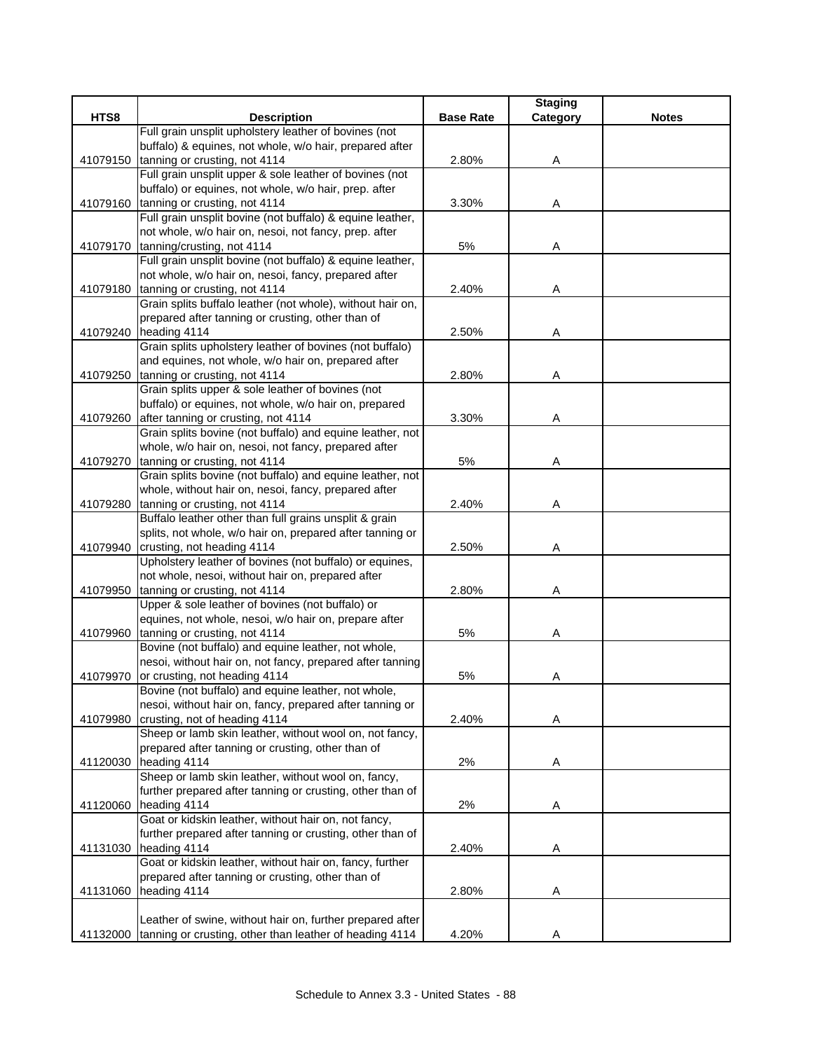|          |                                                                                            |                  | <b>Staging</b> |              |
|----------|--------------------------------------------------------------------------------------------|------------------|----------------|--------------|
| HTS8     | <b>Description</b>                                                                         | <b>Base Rate</b> | Category       | <b>Notes</b> |
|          | Full grain unsplit upholstery leather of bovines (not                                      |                  |                |              |
|          | buffalo) & equines, not whole, w/o hair, prepared after                                    |                  |                |              |
| 41079150 | tanning or crusting, not 4114                                                              | 2.80%            | Α              |              |
|          | Full grain unsplit upper & sole leather of bovines (not                                    |                  |                |              |
|          | buffalo) or equines, not whole, w/o hair, prep. after                                      |                  |                |              |
| 41079160 | tanning or crusting, not 4114<br>Full grain unsplit bovine (not buffalo) & equine leather, | 3.30%            | Α              |              |
|          | not whole, w/o hair on, nesoi, not fancy, prep. after                                      |                  |                |              |
| 41079170 | tanning/crusting, not 4114                                                                 | 5%               | Α              |              |
|          | Full grain unsplit bovine (not buffalo) & equine leather,                                  |                  |                |              |
|          | not whole, w/o hair on, nesoi, fancy, prepared after                                       |                  |                |              |
|          | 41079180 tanning or crusting, not 4114                                                     | 2.40%            | Α              |              |
|          | Grain splits buffalo leather (not whole), without hair on,                                 |                  |                |              |
|          | prepared after tanning or crusting, other than of                                          |                  |                |              |
|          | 41079240 heading 4114                                                                      | 2.50%            | Α              |              |
|          | Grain splits upholstery leather of bovines (not buffalo)                                   |                  |                |              |
|          | and equines, not whole, w/o hair on, prepared after                                        |                  |                |              |
| 41079250 | tanning or crusting, not 4114                                                              | 2.80%            | Α              |              |
|          | Grain splits upper & sole leather of bovines (not                                          |                  |                |              |
|          | buffalo) or equines, not whole, w/o hair on, prepared                                      |                  |                |              |
| 41079260 | after tanning or crusting, not 4114                                                        | 3.30%            | Α              |              |
|          | Grain splits bovine (not buffalo) and equine leather, not                                  |                  |                |              |
|          | whole, w/o hair on, nesoi, not fancy, prepared after                                       |                  |                |              |
| 41079270 | tanning or crusting, not 4114                                                              | 5%               | Α              |              |
|          | Grain splits bovine (not buffalo) and equine leather, not                                  |                  |                |              |
|          | whole, without hair on, nesoi, fancy, prepared after                                       |                  |                |              |
| 41079280 | tanning or crusting, not 4114                                                              | 2.40%            | A              |              |
|          | Buffalo leather other than full grains unsplit & grain                                     |                  |                |              |
|          | splits, not whole, w/o hair on, prepared after tanning or                                  |                  |                |              |
| 41079940 | crusting, not heading 4114<br>Upholstery leather of bovines (not buffalo) or equines,      | 2.50%            | Α              |              |
|          | not whole, nesoi, without hair on, prepared after                                          |                  |                |              |
| 41079950 | tanning or crusting, not 4114                                                              | 2.80%            | Α              |              |
|          | Upper & sole leather of bovines (not buffalo) or                                           |                  |                |              |
|          | equines, not whole, nesoi, w/o hair on, prepare after                                      |                  |                |              |
| 41079960 | tanning or crusting, not 4114                                                              | 5%               | Α              |              |
|          | Bovine (not buffalo) and equine leather, not whole,                                        |                  |                |              |
|          | nesoi, without hair on, not fancy, prepared after tanning                                  |                  |                |              |
| 41079970 | or crusting, not heading 4114                                                              | 5%               | Α              |              |
|          | Bovine (not buffalo) and equine leather, not whole,                                        |                  |                |              |
|          | nesoi, without hair on, fancy, prepared after tanning or                                   |                  |                |              |
| 41079980 | crusting, not of heading 4114                                                              | 2.40%            | Α              |              |
|          | Sheep or lamb skin leather, without wool on, not fancy,                                    |                  |                |              |
|          | prepared after tanning or crusting, other than of                                          |                  |                |              |
|          | 41120030 heading 4114                                                                      | 2%               | Α              |              |
|          | Sheep or lamb skin leather, without wool on, fancy,                                        |                  |                |              |
|          | further prepared after tanning or crusting, other than of                                  |                  |                |              |
| 41120060 | heading 4114                                                                               | 2%               | Α              |              |
|          | Goat or kidskin leather, without hair on, not fancy,                                       |                  |                |              |
|          | further prepared after tanning or crusting, other than of                                  |                  |                |              |
| 41131030 | heading 4114                                                                               | 2.40%            | A              |              |
|          | Goat or kidskin leather, without hair on, fancy, further                                   |                  |                |              |
|          | prepared after tanning or crusting, other than of<br>heading 4114                          |                  |                |              |
| 41131060 |                                                                                            | 2.80%            | Α              |              |
|          | Leather of swine, without hair on, further prepared after                                  |                  |                |              |
| 41132000 | tanning or crusting, other than leather of heading 4114                                    | 4.20%            | Α              |              |
|          |                                                                                            |                  |                |              |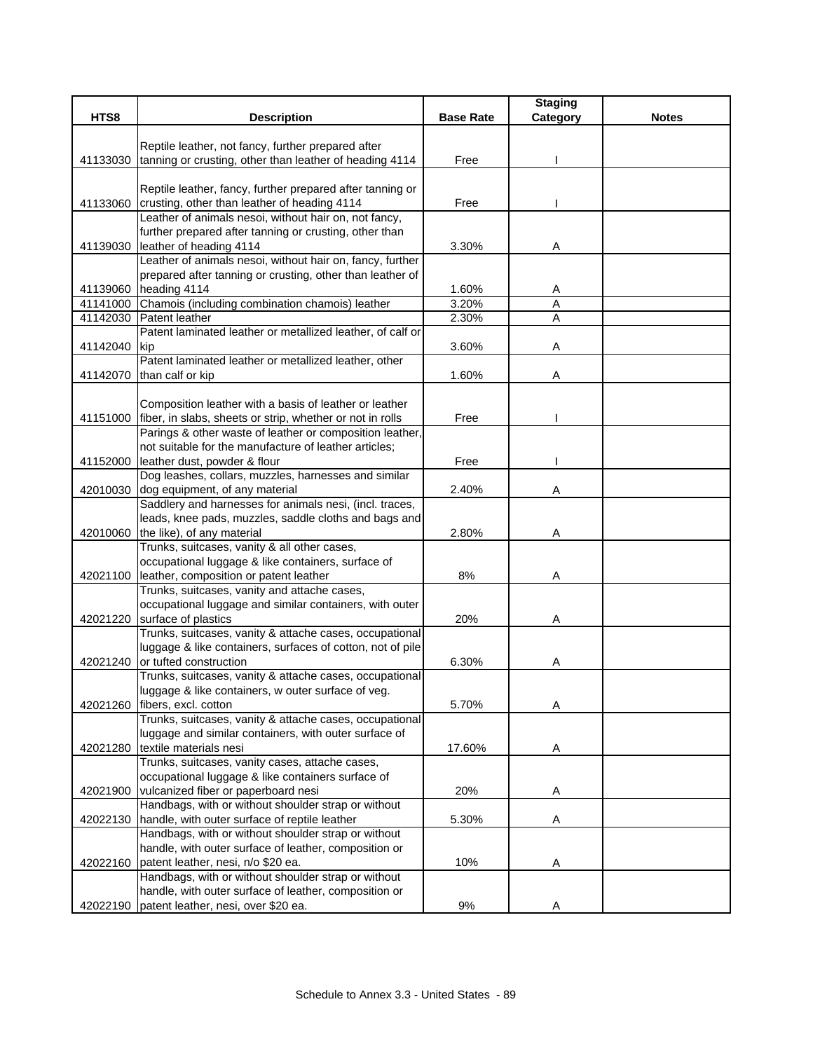|          |                                                                                                              |                  | <b>Staging</b> |              |
|----------|--------------------------------------------------------------------------------------------------------------|------------------|----------------|--------------|
| HTS8     | <b>Description</b>                                                                                           | <b>Base Rate</b> | Category       | <b>Notes</b> |
|          |                                                                                                              |                  |                |              |
|          | Reptile leather, not fancy, further prepared after                                                           |                  |                |              |
| 41133030 | tanning or crusting, other than leather of heading 4114                                                      | Free             |                |              |
|          |                                                                                                              |                  |                |              |
|          | Reptile leather, fancy, further prepared after tanning or                                                    |                  |                |              |
| 41133060 | crusting, other than leather of heading 4114                                                                 | Free             |                |              |
|          | Leather of animals nesoi, without hair on, not fancy,                                                        |                  |                |              |
|          | further prepared after tanning or crusting, other than                                                       |                  |                |              |
|          | 41139030 leather of heading 4114<br>Leather of animals nesoi, without hair on, fancy, further                | 3.30%            | Α              |              |
|          | prepared after tanning or crusting, other than leather of                                                    |                  |                |              |
|          | 41139060 heading 4114                                                                                        | 1.60%            |                |              |
|          | 41141000 Chamois (including combination chamois) leather                                                     | 3.20%            | A<br>Α         |              |
|          | 41142030 Patent leather                                                                                      | 2.30%            | A              |              |
|          | Patent laminated leather or metallized leather, of calf or                                                   |                  |                |              |
| 41142040 | <b>Ikip</b>                                                                                                  | 3.60%            | Α              |              |
|          | Patent laminated leather or metallized leather, other                                                        |                  |                |              |
|          | 41142070 than calf or kip                                                                                    | 1.60%            | Α              |              |
|          |                                                                                                              |                  |                |              |
|          | Composition leather with a basis of leather or leather                                                       |                  |                |              |
|          | 41151000 fiber, in slabs, sheets or strip, whether or not in rolls                                           | Free             |                |              |
|          | Parings & other waste of leather or composition leather,                                                     |                  |                |              |
|          | not suitable for the manufacture of leather articles;                                                        |                  |                |              |
| 41152000 | leather dust, powder & flour                                                                                 | Free             |                |              |
|          | Dog leashes, collars, muzzles, harnesses and similar                                                         |                  |                |              |
|          | 42010030 dog equipment, of any material                                                                      | 2.40%            | Α              |              |
|          | Saddlery and harnesses for animals nesi, (incl. traces,                                                      |                  |                |              |
|          | leads, knee pads, muzzles, saddle cloths and bags and                                                        |                  |                |              |
|          | 42010060 the like), of any material                                                                          | 2.80%            | Α              |              |
|          | Trunks, suitcases, vanity & all other cases,                                                                 |                  |                |              |
|          | occupational luggage & like containers, surface of                                                           |                  |                |              |
| 42021100 | leather, composition or patent leather                                                                       | 8%               | Α              |              |
|          | Trunks, suitcases, vanity and attache cases,                                                                 |                  |                |              |
|          | occupational luggage and similar containers, with outer                                                      |                  |                |              |
|          | 42021220 surface of plastics                                                                                 | 20%              | Α              |              |
|          | Trunks, suitcases, vanity & attache cases, occupational                                                      |                  |                |              |
|          | luggage & like containers, surfaces of cotton, not of pile                                                   |                  |                |              |
| 42021240 | or tufted construction                                                                                       | 6.30%            | A              |              |
|          | Trunks, suitcases, vanity & attache cases, occupational                                                      |                  |                |              |
|          | luggage & like containers, w outer surface of veg.                                                           |                  |                |              |
| 42021260 | fibers, excl. cotton                                                                                         | 5.70%            | Α              |              |
|          | Trunks, suitcases, vanity & attache cases, occupational                                                      |                  |                |              |
|          | luggage and similar containers, with outer surface of                                                        |                  |                |              |
| 42021280 | textile materials nesi                                                                                       | 17.60%           | Α              |              |
|          | Trunks, suitcases, vanity cases, attache cases,                                                              |                  |                |              |
|          | occupational luggage & like containers surface of                                                            |                  |                |              |
| 42021900 | vulcanized fiber or paperboard nesi                                                                          | 20%              | Α              |              |
|          | Handbags, with or without shoulder strap or without                                                          |                  |                |              |
| 42022130 | handle, with outer surface of reptile leather                                                                | 5.30%            | Α              |              |
|          | Handbags, with or without shoulder strap or without<br>handle, with outer surface of leather, composition or |                  |                |              |
|          |                                                                                                              |                  |                |              |
| 42022160 | patent leather, nesi, n/o \$20 ea.<br>Handbags, with or without shoulder strap or without                    | 10%              | Α              |              |
|          | handle, with outer surface of leather, composition or                                                        |                  |                |              |
|          | 42022190 patent leather, nesi, over \$20 ea.                                                                 | 9%               | Α              |              |
|          |                                                                                                              |                  |                |              |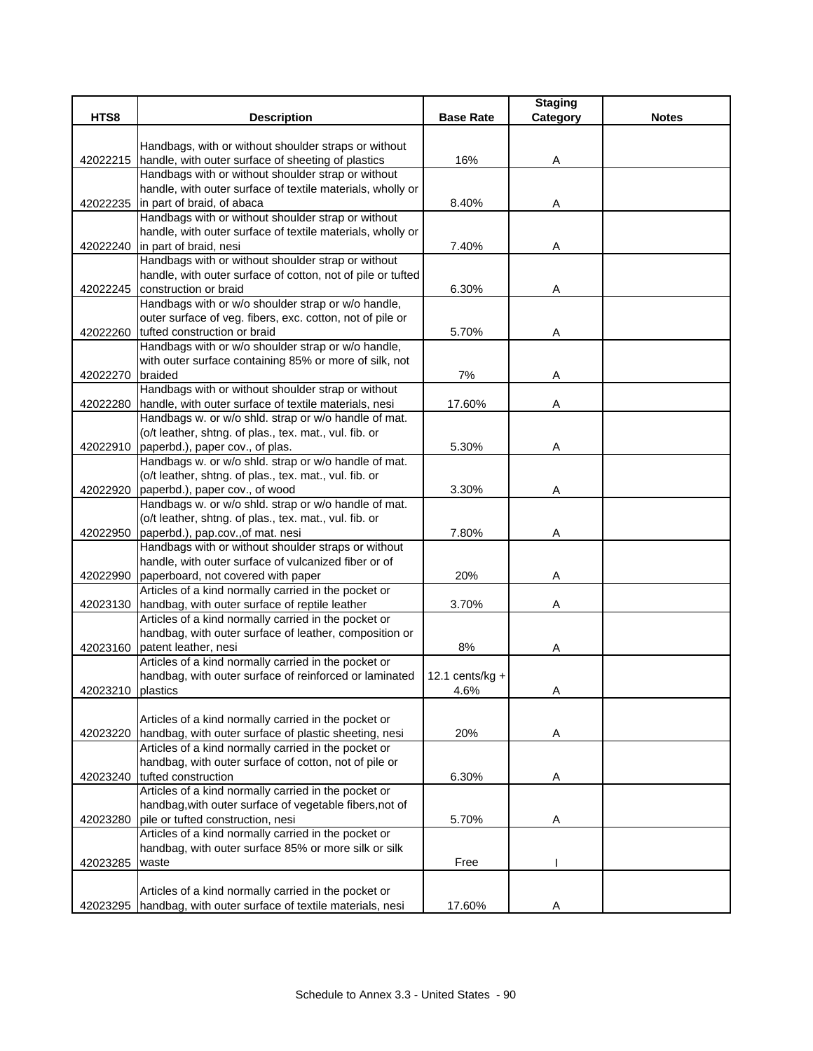| Handbags, with or without shoulder straps or without<br>handle, with outer surface of sheeting of plastics<br>16%<br>42022215<br>Α<br>Handbags with or without shoulder strap or without<br>handle, with outer surface of textile materials, wholly or<br>42022235 in part of braid, of abaca<br>8.40%<br>A<br>Handbags with or without shoulder strap or without<br>handle, with outer surface of textile materials, wholly or<br>42022240 in part of braid, nesi<br>7.40%<br>Α<br>Handbags with or without shoulder strap or without<br>handle, with outer surface of cotton, not of pile or tufted<br>construction or braid<br>6.30%<br>42022245<br>Α<br>Handbags with or w/o shoulder strap or w/o handle,<br>outer surface of veg. fibers, exc. cotton, not of pile or<br>42022260 tufted construction or braid<br>5.70%<br>A<br>Handbags with or w/o shoulder strap or w/o handle,<br>with outer surface containing 85% or more of silk, not<br>braided<br>7%<br>42022270<br>Α<br>Handbags with or without shoulder strap or without<br>handle, with outer surface of textile materials, nesi<br>17.60%<br>42022280<br>Α<br>Handbags w. or w/o shld. strap or w/o handle of mat.<br>(o/t leather, shtng. of plas., tex. mat., vul. fib. or<br>paperbd.), paper cov., of plas.<br>5.30%<br>42022910<br>Α<br>Handbags w. or w/o shld. strap or w/o handle of mat.<br>(o/t leather, shtng. of plas., tex. mat., vul. fib. or<br>42022920<br>paperbd.), paper cov., of wood<br>3.30%<br>Α<br>Handbags w. or w/o shld. strap or w/o handle of mat.<br>(o/t leather, shtng. of plas., tex. mat., vul. fib. or<br>paperbd.), pap.cov., of mat. nesi<br>7.80%<br>Α<br>42022950<br>Handbags with or without shoulder straps or without<br>handle, with outer surface of vulcanized fiber or of<br>paperboard, not covered with paper<br>20%<br>42022990<br>Α<br>Articles of a kind normally carried in the pocket or<br>handbag, with outer surface of reptile leather<br>3.70%<br>Α<br>42023130<br>Articles of a kind normally carried in the pocket or<br>handbag, with outer surface of leather, composition or<br>42023160 patent leather, nesi<br>8%<br>A<br>Articles of a kind normally carried in the pocket or<br>handbag, with outer surface of reinforced or laminated<br>12.1 cents/ $kg +$<br>42023210 plastics<br>4.6%<br>A<br>Articles of a kind normally carried in the pocket or<br>handbag, with outer surface of plastic sheeting, nesi<br>20%<br>A<br>42023220<br>Articles of a kind normally carried in the pocket or<br>handbag, with outer surface of cotton, not of pile or<br>tufted construction<br>42023240<br>6.30%<br>Α<br>Articles of a kind normally carried in the pocket or<br>handbag, with outer surface of vegetable fibers, not of<br>pile or tufted construction, nesi<br>5.70%<br>42023280<br>Α<br>Articles of a kind normally carried in the pocket or<br>handbag, with outer surface 85% or more silk or silk<br>waste<br>Free<br>42023285<br>Articles of a kind normally carried in the pocket or |          |                                                        |                  | <b>Staging</b> |              |
|-----------------------------------------------------------------------------------------------------------------------------------------------------------------------------------------------------------------------------------------------------------------------------------------------------------------------------------------------------------------------------------------------------------------------------------------------------------------------------------------------------------------------------------------------------------------------------------------------------------------------------------------------------------------------------------------------------------------------------------------------------------------------------------------------------------------------------------------------------------------------------------------------------------------------------------------------------------------------------------------------------------------------------------------------------------------------------------------------------------------------------------------------------------------------------------------------------------------------------------------------------------------------------------------------------------------------------------------------------------------------------------------------------------------------------------------------------------------------------------------------------------------------------------------------------------------------------------------------------------------------------------------------------------------------------------------------------------------------------------------------------------------------------------------------------------------------------------------------------------------------------------------------------------------------------------------------------------------------------------------------------------------------------------------------------------------------------------------------------------------------------------------------------------------------------------------------------------------------------------------------------------------------------------------------------------------------------------------------------------------------------------------------------------------------------------------------------------------------------------------------------------------------------------------------------------------------------------------------------------------------------------------------------------------------------------------------------------------------------------------------------------------------------------------------------------------------------------------------------------------------------------------------------------------------------------------------------------------------------------------------------------------------------------------|----------|--------------------------------------------------------|------------------|----------------|--------------|
|                                                                                                                                                                                                                                                                                                                                                                                                                                                                                                                                                                                                                                                                                                                                                                                                                                                                                                                                                                                                                                                                                                                                                                                                                                                                                                                                                                                                                                                                                                                                                                                                                                                                                                                                                                                                                                                                                                                                                                                                                                                                                                                                                                                                                                                                                                                                                                                                                                                                                                                                                                                                                                                                                                                                                                                                                                                                                                                                                                                                                                         | HTS8     | <b>Description</b>                                     | <b>Base Rate</b> | Category       | <b>Notes</b> |
|                                                                                                                                                                                                                                                                                                                                                                                                                                                                                                                                                                                                                                                                                                                                                                                                                                                                                                                                                                                                                                                                                                                                                                                                                                                                                                                                                                                                                                                                                                                                                                                                                                                                                                                                                                                                                                                                                                                                                                                                                                                                                                                                                                                                                                                                                                                                                                                                                                                                                                                                                                                                                                                                                                                                                                                                                                                                                                                                                                                                                                         |          |                                                        |                  |                |              |
|                                                                                                                                                                                                                                                                                                                                                                                                                                                                                                                                                                                                                                                                                                                                                                                                                                                                                                                                                                                                                                                                                                                                                                                                                                                                                                                                                                                                                                                                                                                                                                                                                                                                                                                                                                                                                                                                                                                                                                                                                                                                                                                                                                                                                                                                                                                                                                                                                                                                                                                                                                                                                                                                                                                                                                                                                                                                                                                                                                                                                                         |          |                                                        |                  |                |              |
|                                                                                                                                                                                                                                                                                                                                                                                                                                                                                                                                                                                                                                                                                                                                                                                                                                                                                                                                                                                                                                                                                                                                                                                                                                                                                                                                                                                                                                                                                                                                                                                                                                                                                                                                                                                                                                                                                                                                                                                                                                                                                                                                                                                                                                                                                                                                                                                                                                                                                                                                                                                                                                                                                                                                                                                                                                                                                                                                                                                                                                         |          |                                                        |                  |                |              |
|                                                                                                                                                                                                                                                                                                                                                                                                                                                                                                                                                                                                                                                                                                                                                                                                                                                                                                                                                                                                                                                                                                                                                                                                                                                                                                                                                                                                                                                                                                                                                                                                                                                                                                                                                                                                                                                                                                                                                                                                                                                                                                                                                                                                                                                                                                                                                                                                                                                                                                                                                                                                                                                                                                                                                                                                                                                                                                                                                                                                                                         |          |                                                        |                  |                |              |
|                                                                                                                                                                                                                                                                                                                                                                                                                                                                                                                                                                                                                                                                                                                                                                                                                                                                                                                                                                                                                                                                                                                                                                                                                                                                                                                                                                                                                                                                                                                                                                                                                                                                                                                                                                                                                                                                                                                                                                                                                                                                                                                                                                                                                                                                                                                                                                                                                                                                                                                                                                                                                                                                                                                                                                                                                                                                                                                                                                                                                                         |          |                                                        |                  |                |              |
|                                                                                                                                                                                                                                                                                                                                                                                                                                                                                                                                                                                                                                                                                                                                                                                                                                                                                                                                                                                                                                                                                                                                                                                                                                                                                                                                                                                                                                                                                                                                                                                                                                                                                                                                                                                                                                                                                                                                                                                                                                                                                                                                                                                                                                                                                                                                                                                                                                                                                                                                                                                                                                                                                                                                                                                                                                                                                                                                                                                                                                         |          |                                                        |                  |                |              |
|                                                                                                                                                                                                                                                                                                                                                                                                                                                                                                                                                                                                                                                                                                                                                                                                                                                                                                                                                                                                                                                                                                                                                                                                                                                                                                                                                                                                                                                                                                                                                                                                                                                                                                                                                                                                                                                                                                                                                                                                                                                                                                                                                                                                                                                                                                                                                                                                                                                                                                                                                                                                                                                                                                                                                                                                                                                                                                                                                                                                                                         |          |                                                        |                  |                |              |
|                                                                                                                                                                                                                                                                                                                                                                                                                                                                                                                                                                                                                                                                                                                                                                                                                                                                                                                                                                                                                                                                                                                                                                                                                                                                                                                                                                                                                                                                                                                                                                                                                                                                                                                                                                                                                                                                                                                                                                                                                                                                                                                                                                                                                                                                                                                                                                                                                                                                                                                                                                                                                                                                                                                                                                                                                                                                                                                                                                                                                                         |          |                                                        |                  |                |              |
|                                                                                                                                                                                                                                                                                                                                                                                                                                                                                                                                                                                                                                                                                                                                                                                                                                                                                                                                                                                                                                                                                                                                                                                                                                                                                                                                                                                                                                                                                                                                                                                                                                                                                                                                                                                                                                                                                                                                                                                                                                                                                                                                                                                                                                                                                                                                                                                                                                                                                                                                                                                                                                                                                                                                                                                                                                                                                                                                                                                                                                         |          |                                                        |                  |                |              |
|                                                                                                                                                                                                                                                                                                                                                                                                                                                                                                                                                                                                                                                                                                                                                                                                                                                                                                                                                                                                                                                                                                                                                                                                                                                                                                                                                                                                                                                                                                                                                                                                                                                                                                                                                                                                                                                                                                                                                                                                                                                                                                                                                                                                                                                                                                                                                                                                                                                                                                                                                                                                                                                                                                                                                                                                                                                                                                                                                                                                                                         |          |                                                        |                  |                |              |
|                                                                                                                                                                                                                                                                                                                                                                                                                                                                                                                                                                                                                                                                                                                                                                                                                                                                                                                                                                                                                                                                                                                                                                                                                                                                                                                                                                                                                                                                                                                                                                                                                                                                                                                                                                                                                                                                                                                                                                                                                                                                                                                                                                                                                                                                                                                                                                                                                                                                                                                                                                                                                                                                                                                                                                                                                                                                                                                                                                                                                                         |          |                                                        |                  |                |              |
|                                                                                                                                                                                                                                                                                                                                                                                                                                                                                                                                                                                                                                                                                                                                                                                                                                                                                                                                                                                                                                                                                                                                                                                                                                                                                                                                                                                                                                                                                                                                                                                                                                                                                                                                                                                                                                                                                                                                                                                                                                                                                                                                                                                                                                                                                                                                                                                                                                                                                                                                                                                                                                                                                                                                                                                                                                                                                                                                                                                                                                         |          |                                                        |                  |                |              |
|                                                                                                                                                                                                                                                                                                                                                                                                                                                                                                                                                                                                                                                                                                                                                                                                                                                                                                                                                                                                                                                                                                                                                                                                                                                                                                                                                                                                                                                                                                                                                                                                                                                                                                                                                                                                                                                                                                                                                                                                                                                                                                                                                                                                                                                                                                                                                                                                                                                                                                                                                                                                                                                                                                                                                                                                                                                                                                                                                                                                                                         |          |                                                        |                  |                |              |
|                                                                                                                                                                                                                                                                                                                                                                                                                                                                                                                                                                                                                                                                                                                                                                                                                                                                                                                                                                                                                                                                                                                                                                                                                                                                                                                                                                                                                                                                                                                                                                                                                                                                                                                                                                                                                                                                                                                                                                                                                                                                                                                                                                                                                                                                                                                                                                                                                                                                                                                                                                                                                                                                                                                                                                                                                                                                                                                                                                                                                                         |          |                                                        |                  |                |              |
|                                                                                                                                                                                                                                                                                                                                                                                                                                                                                                                                                                                                                                                                                                                                                                                                                                                                                                                                                                                                                                                                                                                                                                                                                                                                                                                                                                                                                                                                                                                                                                                                                                                                                                                                                                                                                                                                                                                                                                                                                                                                                                                                                                                                                                                                                                                                                                                                                                                                                                                                                                                                                                                                                                                                                                                                                                                                                                                                                                                                                                         |          |                                                        |                  |                |              |
|                                                                                                                                                                                                                                                                                                                                                                                                                                                                                                                                                                                                                                                                                                                                                                                                                                                                                                                                                                                                                                                                                                                                                                                                                                                                                                                                                                                                                                                                                                                                                                                                                                                                                                                                                                                                                                                                                                                                                                                                                                                                                                                                                                                                                                                                                                                                                                                                                                                                                                                                                                                                                                                                                                                                                                                                                                                                                                                                                                                                                                         |          |                                                        |                  |                |              |
|                                                                                                                                                                                                                                                                                                                                                                                                                                                                                                                                                                                                                                                                                                                                                                                                                                                                                                                                                                                                                                                                                                                                                                                                                                                                                                                                                                                                                                                                                                                                                                                                                                                                                                                                                                                                                                                                                                                                                                                                                                                                                                                                                                                                                                                                                                                                                                                                                                                                                                                                                                                                                                                                                                                                                                                                                                                                                                                                                                                                                                         |          |                                                        |                  |                |              |
|                                                                                                                                                                                                                                                                                                                                                                                                                                                                                                                                                                                                                                                                                                                                                                                                                                                                                                                                                                                                                                                                                                                                                                                                                                                                                                                                                                                                                                                                                                                                                                                                                                                                                                                                                                                                                                                                                                                                                                                                                                                                                                                                                                                                                                                                                                                                                                                                                                                                                                                                                                                                                                                                                                                                                                                                                                                                                                                                                                                                                                         |          |                                                        |                  |                |              |
|                                                                                                                                                                                                                                                                                                                                                                                                                                                                                                                                                                                                                                                                                                                                                                                                                                                                                                                                                                                                                                                                                                                                                                                                                                                                                                                                                                                                                                                                                                                                                                                                                                                                                                                                                                                                                                                                                                                                                                                                                                                                                                                                                                                                                                                                                                                                                                                                                                                                                                                                                                                                                                                                                                                                                                                                                                                                                                                                                                                                                                         |          |                                                        |                  |                |              |
|                                                                                                                                                                                                                                                                                                                                                                                                                                                                                                                                                                                                                                                                                                                                                                                                                                                                                                                                                                                                                                                                                                                                                                                                                                                                                                                                                                                                                                                                                                                                                                                                                                                                                                                                                                                                                                                                                                                                                                                                                                                                                                                                                                                                                                                                                                                                                                                                                                                                                                                                                                                                                                                                                                                                                                                                                                                                                                                                                                                                                                         |          |                                                        |                  |                |              |
|                                                                                                                                                                                                                                                                                                                                                                                                                                                                                                                                                                                                                                                                                                                                                                                                                                                                                                                                                                                                                                                                                                                                                                                                                                                                                                                                                                                                                                                                                                                                                                                                                                                                                                                                                                                                                                                                                                                                                                                                                                                                                                                                                                                                                                                                                                                                                                                                                                                                                                                                                                                                                                                                                                                                                                                                                                                                                                                                                                                                                                         |          |                                                        |                  |                |              |
|                                                                                                                                                                                                                                                                                                                                                                                                                                                                                                                                                                                                                                                                                                                                                                                                                                                                                                                                                                                                                                                                                                                                                                                                                                                                                                                                                                                                                                                                                                                                                                                                                                                                                                                                                                                                                                                                                                                                                                                                                                                                                                                                                                                                                                                                                                                                                                                                                                                                                                                                                                                                                                                                                                                                                                                                                                                                                                                                                                                                                                         |          |                                                        |                  |                |              |
|                                                                                                                                                                                                                                                                                                                                                                                                                                                                                                                                                                                                                                                                                                                                                                                                                                                                                                                                                                                                                                                                                                                                                                                                                                                                                                                                                                                                                                                                                                                                                                                                                                                                                                                                                                                                                                                                                                                                                                                                                                                                                                                                                                                                                                                                                                                                                                                                                                                                                                                                                                                                                                                                                                                                                                                                                                                                                                                                                                                                                                         |          |                                                        |                  |                |              |
|                                                                                                                                                                                                                                                                                                                                                                                                                                                                                                                                                                                                                                                                                                                                                                                                                                                                                                                                                                                                                                                                                                                                                                                                                                                                                                                                                                                                                                                                                                                                                                                                                                                                                                                                                                                                                                                                                                                                                                                                                                                                                                                                                                                                                                                                                                                                                                                                                                                                                                                                                                                                                                                                                                                                                                                                                                                                                                                                                                                                                                         |          |                                                        |                  |                |              |
|                                                                                                                                                                                                                                                                                                                                                                                                                                                                                                                                                                                                                                                                                                                                                                                                                                                                                                                                                                                                                                                                                                                                                                                                                                                                                                                                                                                                                                                                                                                                                                                                                                                                                                                                                                                                                                                                                                                                                                                                                                                                                                                                                                                                                                                                                                                                                                                                                                                                                                                                                                                                                                                                                                                                                                                                                                                                                                                                                                                                                                         |          |                                                        |                  |                |              |
|                                                                                                                                                                                                                                                                                                                                                                                                                                                                                                                                                                                                                                                                                                                                                                                                                                                                                                                                                                                                                                                                                                                                                                                                                                                                                                                                                                                                                                                                                                                                                                                                                                                                                                                                                                                                                                                                                                                                                                                                                                                                                                                                                                                                                                                                                                                                                                                                                                                                                                                                                                                                                                                                                                                                                                                                                                                                                                                                                                                                                                         |          |                                                        |                  |                |              |
|                                                                                                                                                                                                                                                                                                                                                                                                                                                                                                                                                                                                                                                                                                                                                                                                                                                                                                                                                                                                                                                                                                                                                                                                                                                                                                                                                                                                                                                                                                                                                                                                                                                                                                                                                                                                                                                                                                                                                                                                                                                                                                                                                                                                                                                                                                                                                                                                                                                                                                                                                                                                                                                                                                                                                                                                                                                                                                                                                                                                                                         |          |                                                        |                  |                |              |
|                                                                                                                                                                                                                                                                                                                                                                                                                                                                                                                                                                                                                                                                                                                                                                                                                                                                                                                                                                                                                                                                                                                                                                                                                                                                                                                                                                                                                                                                                                                                                                                                                                                                                                                                                                                                                                                                                                                                                                                                                                                                                                                                                                                                                                                                                                                                                                                                                                                                                                                                                                                                                                                                                                                                                                                                                                                                                                                                                                                                                                         |          |                                                        |                  |                |              |
|                                                                                                                                                                                                                                                                                                                                                                                                                                                                                                                                                                                                                                                                                                                                                                                                                                                                                                                                                                                                                                                                                                                                                                                                                                                                                                                                                                                                                                                                                                                                                                                                                                                                                                                                                                                                                                                                                                                                                                                                                                                                                                                                                                                                                                                                                                                                                                                                                                                                                                                                                                                                                                                                                                                                                                                                                                                                                                                                                                                                                                         |          |                                                        |                  |                |              |
|                                                                                                                                                                                                                                                                                                                                                                                                                                                                                                                                                                                                                                                                                                                                                                                                                                                                                                                                                                                                                                                                                                                                                                                                                                                                                                                                                                                                                                                                                                                                                                                                                                                                                                                                                                                                                                                                                                                                                                                                                                                                                                                                                                                                                                                                                                                                                                                                                                                                                                                                                                                                                                                                                                                                                                                                                                                                                                                                                                                                                                         |          |                                                        |                  |                |              |
|                                                                                                                                                                                                                                                                                                                                                                                                                                                                                                                                                                                                                                                                                                                                                                                                                                                                                                                                                                                                                                                                                                                                                                                                                                                                                                                                                                                                                                                                                                                                                                                                                                                                                                                                                                                                                                                                                                                                                                                                                                                                                                                                                                                                                                                                                                                                                                                                                                                                                                                                                                                                                                                                                                                                                                                                                                                                                                                                                                                                                                         |          |                                                        |                  |                |              |
|                                                                                                                                                                                                                                                                                                                                                                                                                                                                                                                                                                                                                                                                                                                                                                                                                                                                                                                                                                                                                                                                                                                                                                                                                                                                                                                                                                                                                                                                                                                                                                                                                                                                                                                                                                                                                                                                                                                                                                                                                                                                                                                                                                                                                                                                                                                                                                                                                                                                                                                                                                                                                                                                                                                                                                                                                                                                                                                                                                                                                                         |          |                                                        |                  |                |              |
|                                                                                                                                                                                                                                                                                                                                                                                                                                                                                                                                                                                                                                                                                                                                                                                                                                                                                                                                                                                                                                                                                                                                                                                                                                                                                                                                                                                                                                                                                                                                                                                                                                                                                                                                                                                                                                                                                                                                                                                                                                                                                                                                                                                                                                                                                                                                                                                                                                                                                                                                                                                                                                                                                                                                                                                                                                                                                                                                                                                                                                         |          |                                                        |                  |                |              |
|                                                                                                                                                                                                                                                                                                                                                                                                                                                                                                                                                                                                                                                                                                                                                                                                                                                                                                                                                                                                                                                                                                                                                                                                                                                                                                                                                                                                                                                                                                                                                                                                                                                                                                                                                                                                                                                                                                                                                                                                                                                                                                                                                                                                                                                                                                                                                                                                                                                                                                                                                                                                                                                                                                                                                                                                                                                                                                                                                                                                                                         |          |                                                        |                  |                |              |
|                                                                                                                                                                                                                                                                                                                                                                                                                                                                                                                                                                                                                                                                                                                                                                                                                                                                                                                                                                                                                                                                                                                                                                                                                                                                                                                                                                                                                                                                                                                                                                                                                                                                                                                                                                                                                                                                                                                                                                                                                                                                                                                                                                                                                                                                                                                                                                                                                                                                                                                                                                                                                                                                                                                                                                                                                                                                                                                                                                                                                                         |          |                                                        |                  |                |              |
|                                                                                                                                                                                                                                                                                                                                                                                                                                                                                                                                                                                                                                                                                                                                                                                                                                                                                                                                                                                                                                                                                                                                                                                                                                                                                                                                                                                                                                                                                                                                                                                                                                                                                                                                                                                                                                                                                                                                                                                                                                                                                                                                                                                                                                                                                                                                                                                                                                                                                                                                                                                                                                                                                                                                                                                                                                                                                                                                                                                                                                         |          |                                                        |                  |                |              |
|                                                                                                                                                                                                                                                                                                                                                                                                                                                                                                                                                                                                                                                                                                                                                                                                                                                                                                                                                                                                                                                                                                                                                                                                                                                                                                                                                                                                                                                                                                                                                                                                                                                                                                                                                                                                                                                                                                                                                                                                                                                                                                                                                                                                                                                                                                                                                                                                                                                                                                                                                                                                                                                                                                                                                                                                                                                                                                                                                                                                                                         |          |                                                        |                  |                |              |
|                                                                                                                                                                                                                                                                                                                                                                                                                                                                                                                                                                                                                                                                                                                                                                                                                                                                                                                                                                                                                                                                                                                                                                                                                                                                                                                                                                                                                                                                                                                                                                                                                                                                                                                                                                                                                                                                                                                                                                                                                                                                                                                                                                                                                                                                                                                                                                                                                                                                                                                                                                                                                                                                                                                                                                                                                                                                                                                                                                                                                                         |          |                                                        |                  |                |              |
|                                                                                                                                                                                                                                                                                                                                                                                                                                                                                                                                                                                                                                                                                                                                                                                                                                                                                                                                                                                                                                                                                                                                                                                                                                                                                                                                                                                                                                                                                                                                                                                                                                                                                                                                                                                                                                                                                                                                                                                                                                                                                                                                                                                                                                                                                                                                                                                                                                                                                                                                                                                                                                                                                                                                                                                                                                                                                                                                                                                                                                         |          |                                                        |                  |                |              |
|                                                                                                                                                                                                                                                                                                                                                                                                                                                                                                                                                                                                                                                                                                                                                                                                                                                                                                                                                                                                                                                                                                                                                                                                                                                                                                                                                                                                                                                                                                                                                                                                                                                                                                                                                                                                                                                                                                                                                                                                                                                                                                                                                                                                                                                                                                                                                                                                                                                                                                                                                                                                                                                                                                                                                                                                                                                                                                                                                                                                                                         |          |                                                        |                  |                |              |
|                                                                                                                                                                                                                                                                                                                                                                                                                                                                                                                                                                                                                                                                                                                                                                                                                                                                                                                                                                                                                                                                                                                                                                                                                                                                                                                                                                                                                                                                                                                                                                                                                                                                                                                                                                                                                                                                                                                                                                                                                                                                                                                                                                                                                                                                                                                                                                                                                                                                                                                                                                                                                                                                                                                                                                                                                                                                                                                                                                                                                                         |          |                                                        |                  |                |              |
|                                                                                                                                                                                                                                                                                                                                                                                                                                                                                                                                                                                                                                                                                                                                                                                                                                                                                                                                                                                                                                                                                                                                                                                                                                                                                                                                                                                                                                                                                                                                                                                                                                                                                                                                                                                                                                                                                                                                                                                                                                                                                                                                                                                                                                                                                                                                                                                                                                                                                                                                                                                                                                                                                                                                                                                                                                                                                                                                                                                                                                         |          |                                                        |                  |                |              |
|                                                                                                                                                                                                                                                                                                                                                                                                                                                                                                                                                                                                                                                                                                                                                                                                                                                                                                                                                                                                                                                                                                                                                                                                                                                                                                                                                                                                                                                                                                                                                                                                                                                                                                                                                                                                                                                                                                                                                                                                                                                                                                                                                                                                                                                                                                                                                                                                                                                                                                                                                                                                                                                                                                                                                                                                                                                                                                                                                                                                                                         |          |                                                        |                  |                |              |
|                                                                                                                                                                                                                                                                                                                                                                                                                                                                                                                                                                                                                                                                                                                                                                                                                                                                                                                                                                                                                                                                                                                                                                                                                                                                                                                                                                                                                                                                                                                                                                                                                                                                                                                                                                                                                                                                                                                                                                                                                                                                                                                                                                                                                                                                                                                                                                                                                                                                                                                                                                                                                                                                                                                                                                                                                                                                                                                                                                                                                                         |          |                                                        |                  |                |              |
|                                                                                                                                                                                                                                                                                                                                                                                                                                                                                                                                                                                                                                                                                                                                                                                                                                                                                                                                                                                                                                                                                                                                                                                                                                                                                                                                                                                                                                                                                                                                                                                                                                                                                                                                                                                                                                                                                                                                                                                                                                                                                                                                                                                                                                                                                                                                                                                                                                                                                                                                                                                                                                                                                                                                                                                                                                                                                                                                                                                                                                         |          |                                                        |                  |                |              |
|                                                                                                                                                                                                                                                                                                                                                                                                                                                                                                                                                                                                                                                                                                                                                                                                                                                                                                                                                                                                                                                                                                                                                                                                                                                                                                                                                                                                                                                                                                                                                                                                                                                                                                                                                                                                                                                                                                                                                                                                                                                                                                                                                                                                                                                                                                                                                                                                                                                                                                                                                                                                                                                                                                                                                                                                                                                                                                                                                                                                                                         |          |                                                        |                  |                |              |
|                                                                                                                                                                                                                                                                                                                                                                                                                                                                                                                                                                                                                                                                                                                                                                                                                                                                                                                                                                                                                                                                                                                                                                                                                                                                                                                                                                                                                                                                                                                                                                                                                                                                                                                                                                                                                                                                                                                                                                                                                                                                                                                                                                                                                                                                                                                                                                                                                                                                                                                                                                                                                                                                                                                                                                                                                                                                                                                                                                                                                                         |          |                                                        |                  |                |              |
|                                                                                                                                                                                                                                                                                                                                                                                                                                                                                                                                                                                                                                                                                                                                                                                                                                                                                                                                                                                                                                                                                                                                                                                                                                                                                                                                                                                                                                                                                                                                                                                                                                                                                                                                                                                                                                                                                                                                                                                                                                                                                                                                                                                                                                                                                                                                                                                                                                                                                                                                                                                                                                                                                                                                                                                                                                                                                                                                                                                                                                         |          |                                                        |                  |                |              |
|                                                                                                                                                                                                                                                                                                                                                                                                                                                                                                                                                                                                                                                                                                                                                                                                                                                                                                                                                                                                                                                                                                                                                                                                                                                                                                                                                                                                                                                                                                                                                                                                                                                                                                                                                                                                                                                                                                                                                                                                                                                                                                                                                                                                                                                                                                                                                                                                                                                                                                                                                                                                                                                                                                                                                                                                                                                                                                                                                                                                                                         |          |                                                        |                  |                |              |
|                                                                                                                                                                                                                                                                                                                                                                                                                                                                                                                                                                                                                                                                                                                                                                                                                                                                                                                                                                                                                                                                                                                                                                                                                                                                                                                                                                                                                                                                                                                                                                                                                                                                                                                                                                                                                                                                                                                                                                                                                                                                                                                                                                                                                                                                                                                                                                                                                                                                                                                                                                                                                                                                                                                                                                                                                                                                                                                                                                                                                                         |          |                                                        |                  |                |              |
|                                                                                                                                                                                                                                                                                                                                                                                                                                                                                                                                                                                                                                                                                                                                                                                                                                                                                                                                                                                                                                                                                                                                                                                                                                                                                                                                                                                                                                                                                                                                                                                                                                                                                                                                                                                                                                                                                                                                                                                                                                                                                                                                                                                                                                                                                                                                                                                                                                                                                                                                                                                                                                                                                                                                                                                                                                                                                                                                                                                                                                         |          |                                                        |                  |                |              |
|                                                                                                                                                                                                                                                                                                                                                                                                                                                                                                                                                                                                                                                                                                                                                                                                                                                                                                                                                                                                                                                                                                                                                                                                                                                                                                                                                                                                                                                                                                                                                                                                                                                                                                                                                                                                                                                                                                                                                                                                                                                                                                                                                                                                                                                                                                                                                                                                                                                                                                                                                                                                                                                                                                                                                                                                                                                                                                                                                                                                                                         |          |                                                        |                  |                |              |
|                                                                                                                                                                                                                                                                                                                                                                                                                                                                                                                                                                                                                                                                                                                                                                                                                                                                                                                                                                                                                                                                                                                                                                                                                                                                                                                                                                                                                                                                                                                                                                                                                                                                                                                                                                                                                                                                                                                                                                                                                                                                                                                                                                                                                                                                                                                                                                                                                                                                                                                                                                                                                                                                                                                                                                                                                                                                                                                                                                                                                                         | 42023295 | handbag, with outer surface of textile materials, nesi | 17.60%           | Α              |              |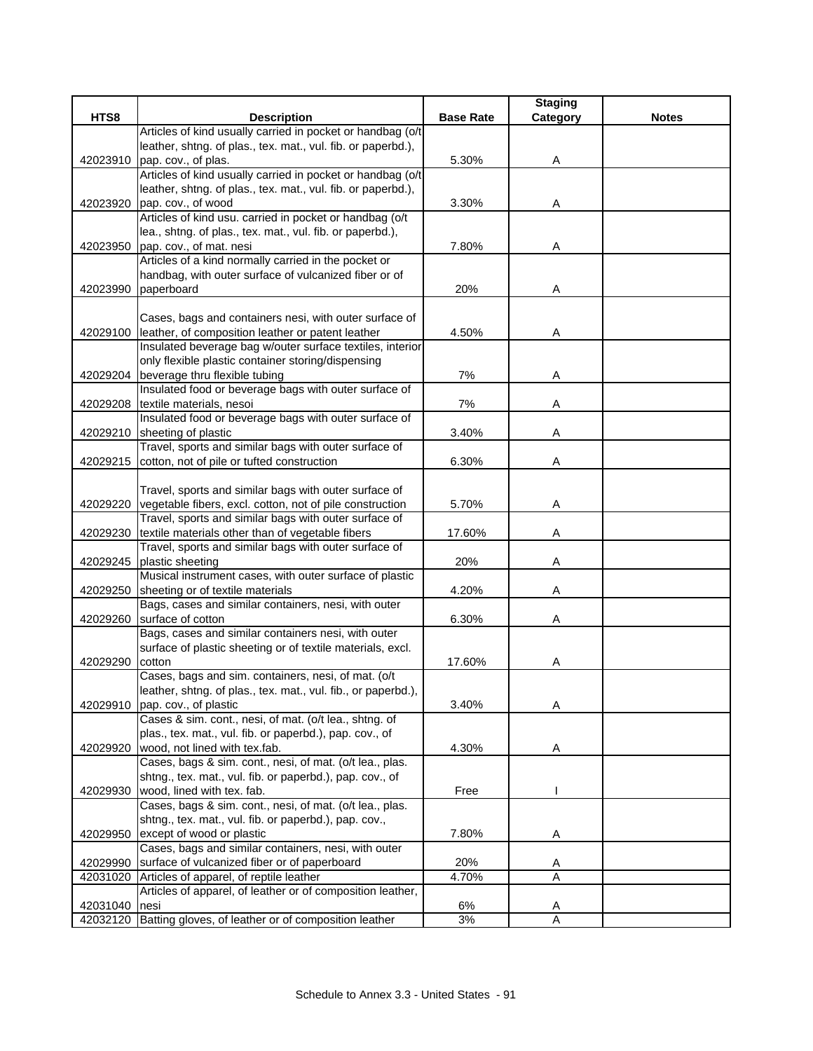|               |                                                               |                  | <b>Staging</b> |              |
|---------------|---------------------------------------------------------------|------------------|----------------|--------------|
| HTS8          | <b>Description</b>                                            | <b>Base Rate</b> | Category       | <b>Notes</b> |
|               | Articles of kind usually carried in pocket or handbag (o/t    |                  |                |              |
|               | leather, shtng. of plas., tex. mat., vul. fib. or paperbd.),  |                  |                |              |
| 42023910      | pap. cov., of plas.                                           | 5.30%            | A              |              |
|               | Articles of kind usually carried in pocket or handbag (o/t    |                  |                |              |
|               | leather, shtng. of plas., tex. mat., vul. fib. or paperbd.),  |                  |                |              |
| 42023920      | pap. cov., of wood                                            | 3.30%            | A              |              |
|               | Articles of kind usu. carried in pocket or handbag (o/t       |                  |                |              |
|               | lea., shtng. of plas., tex. mat., vul. fib. or paperbd.),     |                  |                |              |
|               | 42023950 pap. cov., of mat. nesi                              | 7.80%            | Α              |              |
|               | Articles of a kind normally carried in the pocket or          |                  |                |              |
|               | handbag, with outer surface of vulcanized fiber or of         |                  |                |              |
| 42023990      | paperboard                                                    | 20%              | Α              |              |
|               |                                                               |                  |                |              |
|               | Cases, bags and containers nesi, with outer surface of        |                  |                |              |
| 42029100      | leather, of composition leather or patent leather             | 4.50%            | Α              |              |
|               | Insulated beverage bag w/outer surface textiles, interior     |                  |                |              |
|               | only flexible plastic container storing/dispensing            |                  |                |              |
|               | 42029204 beverage thru flexible tubing                        | 7%               | A              |              |
|               | Insulated food or beverage bags with outer surface of         |                  |                |              |
| 42029208      | textile materials, nesoi                                      | 7%               | Α              |              |
|               | Insulated food or beverage bags with outer surface of         |                  |                |              |
|               | 42029210 sheeting of plastic                                  | 3.40%            | Α              |              |
|               | Travel, sports and similar bags with outer surface of         |                  |                |              |
| 42029215      | cotton, not of pile or tufted construction                    | 6.30%            | Α              |              |
|               |                                                               |                  |                |              |
|               | Travel, sports and similar bags with outer surface of         |                  |                |              |
|               |                                                               |                  |                |              |
| 42029220      | vegetable fibers, excl. cotton, not of pile construction      | 5.70%            | A              |              |
|               | Travel, sports and similar bags with outer surface of         |                  |                |              |
| 42029230      | textile materials other than of vegetable fibers              | 17.60%           | Α              |              |
|               | Travel, sports and similar bags with outer surface of         |                  |                |              |
|               | 42029245 plastic sheeting                                     | 20%              | Α              |              |
|               | Musical instrument cases, with outer surface of plastic       |                  |                |              |
| 42029250      | sheeting or of textile materials                              | 4.20%            | A              |              |
|               | Bags, cases and similar containers, nesi, with outer          |                  |                |              |
|               | 42029260 surface of cotton                                    | 6.30%            | Α              |              |
|               | Bags, cases and similar containers nesi, with outer           |                  |                |              |
|               | surface of plastic sheeting or of textile materials, excl.    |                  |                |              |
| 42029290      | cotton                                                        | 17.60%           | A              |              |
|               | Cases, bags and sim. containers, nesi, of mat. (o/t           |                  |                |              |
|               | leather, shtng. of plas., tex. mat., vul. fib., or paperbd.), |                  |                |              |
|               | 42029910 pap. cov., of plastic                                | 3.40%            | Α              |              |
|               | Cases & sim. cont., nesi, of mat. (o/t lea., shtng. of        |                  |                |              |
|               | plas., tex. mat., vul. fib. or paperbd.), pap. cov., of       |                  |                |              |
| 42029920      | wood, not lined with tex.fab.                                 | 4.30%            | Α              |              |
|               | Cases, bags & sim. cont., nesi, of mat. (o/t lea., plas.      |                  |                |              |
|               | shtng., tex. mat., vul. fib. or paperbd.), pap. cov., of      |                  |                |              |
| 42029930      | wood, lined with tex. fab.                                    | Free             |                |              |
|               | Cases, bags & sim. cont., nesi, of mat. (o/t lea., plas.      |                  |                |              |
|               | shtng., tex. mat., vul. fib. or paperbd.), pap. cov.,         |                  |                |              |
| 42029950      | except of wood or plastic                                     | 7.80%            | A              |              |
|               | Cases, bags and similar containers, nesi, with outer          |                  |                |              |
| 42029990      | surface of vulcanized fiber or of paperboard                  | 20%              | Α              |              |
| 42031020      | Articles of apparel, of reptile leather                       | 4.70%            | Α              |              |
|               | Articles of apparel, of leather or of composition leather,    |                  |                |              |
| 42031040 nesi |                                                               | $6\%$            | Α              |              |
|               | 42032120 Batting gloves, of leather or of composition leather | 3%               | $\overline{A}$ |              |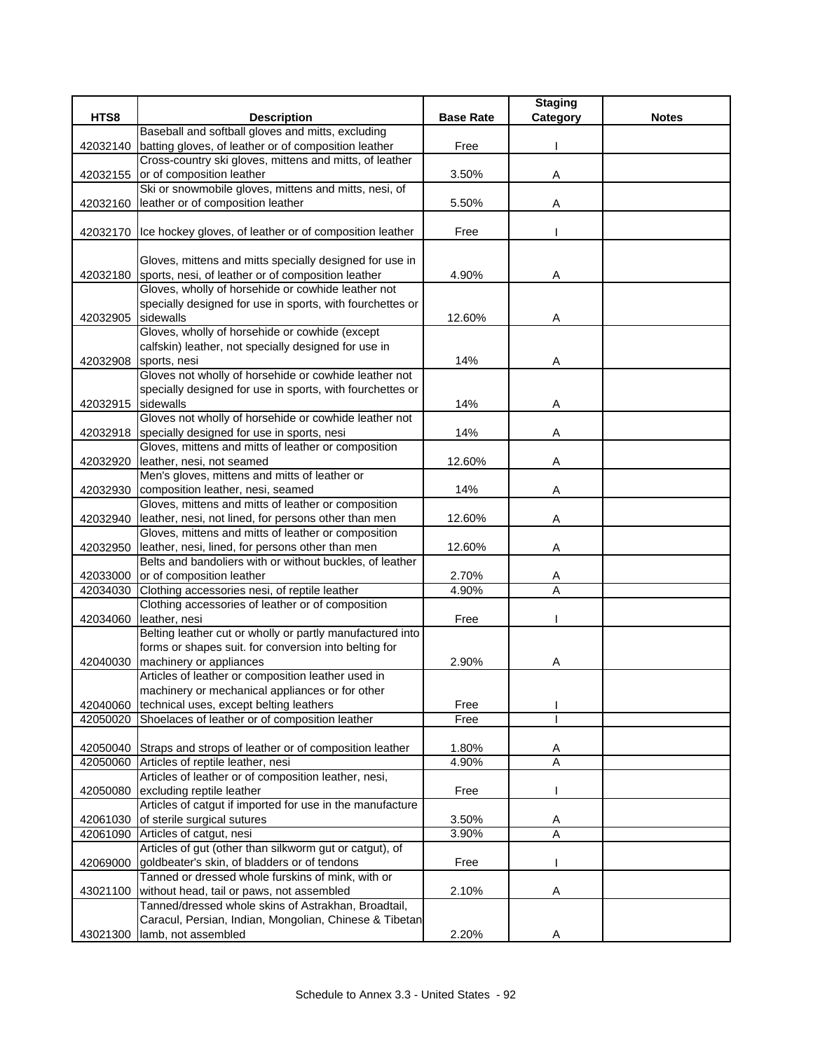|                    |                                                                                                              |                  | <b>Staging</b> |              |
|--------------------|--------------------------------------------------------------------------------------------------------------|------------------|----------------|--------------|
| HTS8               | <b>Description</b>                                                                                           | <b>Base Rate</b> | Category       | <b>Notes</b> |
|                    | Baseball and softball gloves and mitts, excluding                                                            |                  |                |              |
| 42032140           | batting gloves, of leather or of composition leather                                                         | Free             |                |              |
|                    | Cross-country ski gloves, mittens and mitts, of leather                                                      |                  |                |              |
| 42032155           | or of composition leather                                                                                    | 3.50%            | Α              |              |
|                    | Ski or snowmobile gloves, mittens and mitts, nesi, of                                                        |                  |                |              |
| 42032160           | leather or of composition leather                                                                            | 5.50%            | Α              |              |
|                    |                                                                                                              |                  |                |              |
| 42032170           | Ice hockey gloves, of leather or of composition leather                                                      | Free             |                |              |
|                    |                                                                                                              |                  |                |              |
|                    | Gloves, mittens and mitts specially designed for use in                                                      |                  |                |              |
| 42032180           | sports, nesi, of leather or of composition leather                                                           | 4.90%            | Α              |              |
|                    | Gloves, wholly of horsehide or cowhide leather not                                                           |                  |                |              |
|                    | specially designed for use in sports, with fourchettes or                                                    |                  |                |              |
| 42032905           | sidewalls                                                                                                    | 12.60%           | A              |              |
|                    | Gloves, wholly of horsehide or cowhide (except                                                               |                  |                |              |
|                    | calfskin) leather, not specially designed for use in                                                         |                  |                |              |
| 42032908           | sports, nesi                                                                                                 | 14%              | Α              |              |
|                    | Gloves not wholly of horsehide or cowhide leather not                                                        |                  |                |              |
|                    | specially designed for use in sports, with fourchettes or                                                    |                  |                |              |
| 42032915 sidewalls |                                                                                                              | 14%              | Α              |              |
|                    | Gloves not wholly of horsehide or cowhide leather not                                                        |                  |                |              |
| 42032918           | specially designed for use in sports, nesi                                                                   | 14%              | Α              |              |
|                    | Gloves, mittens and mitts of leather or composition                                                          |                  |                |              |
| 42032920           | leather, nesi, not seamed                                                                                    | 12.60%           | Α              |              |
|                    | Men's gloves, mittens and mitts of leather or                                                                |                  |                |              |
| 42032930           | composition leather, nesi, seamed                                                                            | 14%              | Α              |              |
|                    | Gloves, mittens and mitts of leather or composition                                                          |                  |                |              |
| 42032940           | leather, nesi, not lined, for persons other than men                                                         | 12.60%           | Α              |              |
|                    | Gloves, mittens and mitts of leather or composition                                                          |                  |                |              |
| 42032950           | leather, nesi, lined, for persons other than men<br>Belts and bandoliers with or without buckles, of leather | 12.60%           | Α              |              |
| 42033000           | or of composition leather                                                                                    | 2.70%            |                |              |
| 42034030           | Clothing accessories nesi, of reptile leather                                                                | 4.90%            | A<br>Α         |              |
|                    | Clothing accessories of leather or of composition                                                            |                  |                |              |
| 42034060           | leather, nesi                                                                                                | Free             |                |              |
|                    | Belting leather cut or wholly or partly manufactured into                                                    |                  |                |              |
|                    | forms or shapes suit. for conversion into belting for                                                        |                  |                |              |
| 42040030           | machinery or appliances                                                                                      | 2.90%            | A              |              |
|                    | Articles of leather or composition leather used in                                                           |                  |                |              |
|                    | machinery or mechanical appliances or for other                                                              |                  |                |              |
| 42040060           | technical uses, except belting leathers                                                                      | Free             |                |              |
| 42050020           | Shoelaces of leather or of composition leather                                                               | Free             |                |              |
|                    |                                                                                                              |                  |                |              |
|                    | 42050040 Straps and strops of leather or of composition leather                                              | 1.80%            | Α              |              |
|                    | 42050060 Articles of reptile leather, nesi                                                                   | 4.90%            | $\overline{A}$ |              |
|                    | Articles of leather or of composition leather, nesi,                                                         |                  |                |              |
| 42050080           | excluding reptile leather                                                                                    | Free             |                |              |
|                    | Articles of catgut if imported for use in the manufacture                                                    |                  |                |              |
| 42061030           | of sterile surgical sutures                                                                                  | 3.50%            | Α              |              |
| 42061090           | Articles of catgut, nesi                                                                                     | 3.90%            | $\overline{A}$ |              |
|                    | Articles of gut (other than silkworm gut or catgut), of                                                      |                  |                |              |
| 42069000           | goldbeater's skin, of bladders or of tendons                                                                 | Free             |                |              |
|                    | Tanned or dressed whole furskins of mink, with or                                                            |                  |                |              |
| 43021100           | without head, tail or paws, not assembled                                                                    | 2.10%            | Α              |              |
|                    | Tanned/dressed whole skins of Astrakhan, Broadtail,                                                          |                  |                |              |
|                    | Caracul, Persian, Indian, Mongolian, Chinese & Tibetan                                                       |                  |                |              |
| 43021300           | lamb, not assembled                                                                                          | 2.20%            | Α              |              |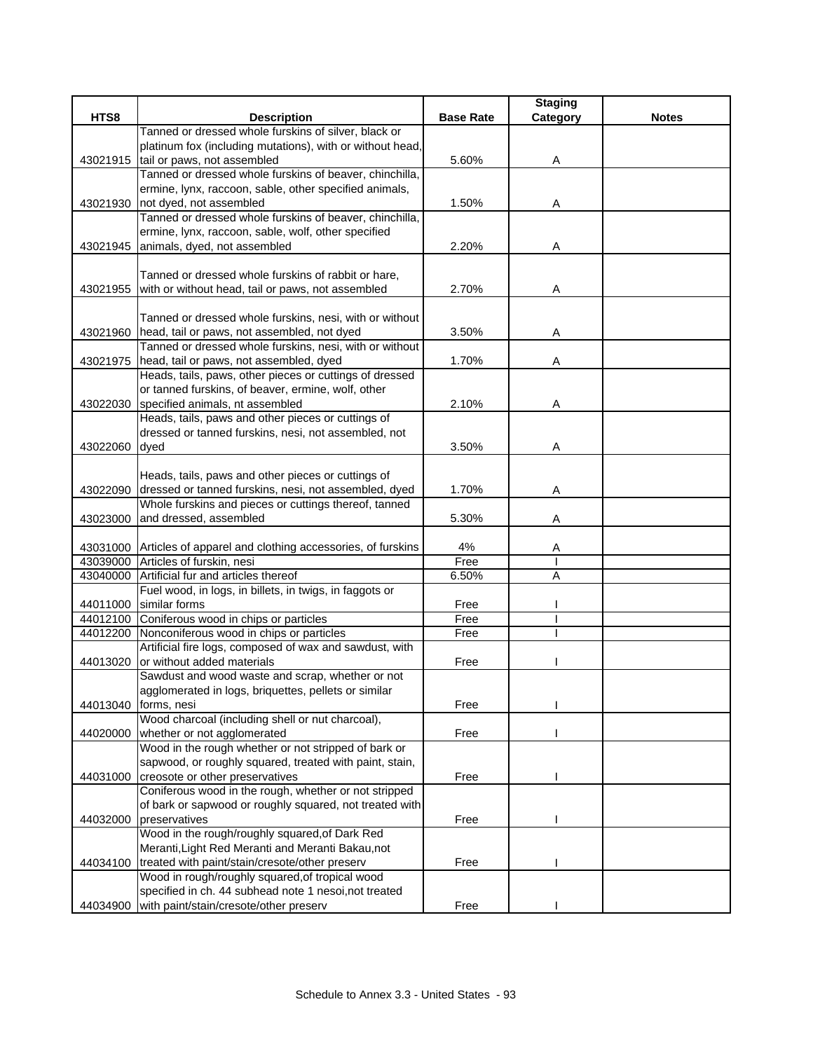|          |                                                                                                                 |                  | <b>Staging</b> |              |
|----------|-----------------------------------------------------------------------------------------------------------------|------------------|----------------|--------------|
| HTS8     | <b>Description</b>                                                                                              | <b>Base Rate</b> | Category       | <b>Notes</b> |
|          | Tanned or dressed whole furskins of silver, black or                                                            |                  |                |              |
|          | platinum fox (including mutations), with or without head,                                                       |                  |                |              |
|          | 43021915 tail or paws, not assembled                                                                            | 5.60%            | A              |              |
|          | Tanned or dressed whole furskins of beaver, chinchilla,                                                         |                  |                |              |
|          | ermine, lynx, raccoon, sable, other specified animals,                                                          |                  |                |              |
| 43021930 | not dyed, not assembled                                                                                         | 1.50%            | Α              |              |
|          | Tanned or dressed whole furskins of beaver, chinchilla,                                                         |                  |                |              |
|          | ermine, lynx, raccoon, sable, wolf, other specified                                                             |                  |                |              |
|          | 43021945 animals, dyed, not assembled                                                                           | 2.20%            | Α              |              |
|          |                                                                                                                 |                  |                |              |
|          | Tanned or dressed whole furskins of rabbit or hare,                                                             |                  |                |              |
| 43021955 | with or without head, tail or paws, not assembled                                                               | 2.70%            | Α              |              |
|          |                                                                                                                 |                  |                |              |
|          | Tanned or dressed whole furskins, nesi, with or without                                                         |                  |                |              |
|          | 43021960 head, tail or paws, not assembled, not dyed<br>Tanned or dressed whole furskins, nesi, with or without | 3.50%            | Α              |              |
|          | head, tail or paws, not assembled, dyed                                                                         | 1.70%            |                |              |
| 43021975 | Heads, tails, paws, other pieces or cuttings of dressed                                                         |                  | Α              |              |
|          | or tanned furskins, of beaver, ermine, wolf, other                                                              |                  |                |              |
| 43022030 | specified animals, nt assembled                                                                                 | 2.10%            | Α              |              |
|          | Heads, tails, paws and other pieces or cuttings of                                                              |                  |                |              |
|          | dressed or tanned furskins, nesi, not assembled, not                                                            |                  |                |              |
| 43022060 | dyed                                                                                                            | 3.50%            | Α              |              |
|          |                                                                                                                 |                  |                |              |
|          | Heads, tails, paws and other pieces or cuttings of                                                              |                  |                |              |
| 43022090 | dressed or tanned furskins, nesi, not assembled, dyed                                                           | 1.70%            | Α              |              |
|          | Whole furskins and pieces or cuttings thereof, tanned                                                           |                  |                |              |
| 43023000 | and dressed, assembled                                                                                          | 5.30%            | Α              |              |
|          |                                                                                                                 |                  |                |              |
|          | 43031000 Articles of apparel and clothing accessories, of furskins                                              | 4%               | Α              |              |
|          | 43039000 Articles of furskin, nesi                                                                              | Free             |                |              |
| 43040000 | Artificial fur and articles thereof                                                                             | 6.50%            | A              |              |
|          | Fuel wood, in logs, in billets, in twigs, in faggots or                                                         |                  |                |              |
| 44011000 | similar forms                                                                                                   | Free             |                |              |
|          | 44012100 Coniferous wood in chips or particles                                                                  | Free             |                |              |
| 44012200 | Nonconiferous wood in chips or particles                                                                        | Free             |                |              |
|          | Artificial fire logs, composed of wax and sawdust, with                                                         |                  |                |              |
| 44013020 | or without added materials                                                                                      | Free             |                |              |
|          | Sawdust and wood waste and scrap, whether or not                                                                |                  |                |              |
|          | agglomerated in logs, briquettes, pellets or similar                                                            |                  |                |              |
| 44013040 | forms, nesi                                                                                                     | Free             |                |              |
|          | Wood charcoal (including shell or nut charcoal),                                                                |                  |                |              |
| 44020000 | whether or not agglomerated                                                                                     | Free             |                |              |
|          | Wood in the rough whether or not stripped of bark or                                                            |                  |                |              |
|          | sapwood, or roughly squared, treated with paint, stain,                                                         |                  |                |              |
| 44031000 | creosote or other preservatives                                                                                 | Free             |                |              |
|          | Coniferous wood in the rough, whether or not stripped                                                           |                  |                |              |
|          | of bark or sapwood or roughly squared, not treated with                                                         |                  |                |              |
| 44032000 | preservatives                                                                                                   | Free             |                |              |
|          | Wood in the rough/roughly squared, of Dark Red                                                                  |                  |                |              |
|          | Meranti, Light Red Meranti and Meranti Bakau, not                                                               |                  |                |              |
| 44034100 | treated with paint/stain/cresote/other preserv                                                                  | Free             |                |              |
|          | Wood in rough/roughly squared, of tropical wood                                                                 |                  |                |              |
|          | specified in ch. 44 subhead note 1 nesoi, not treated                                                           |                  |                |              |
| 44034900 | with paint/stain/cresote/other preserv                                                                          | Free             |                |              |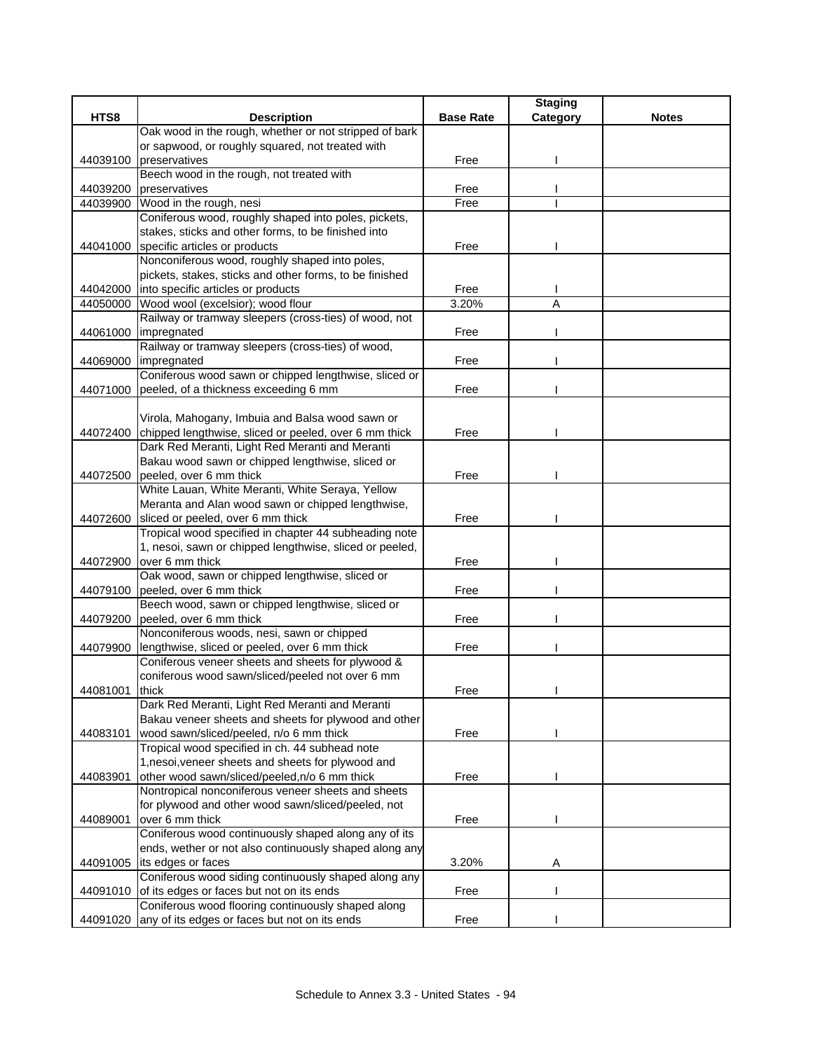|          |                                                         |                  | <b>Staging</b> |              |
|----------|---------------------------------------------------------|------------------|----------------|--------------|
| HTS8     | <b>Description</b>                                      | <b>Base Rate</b> | Category       | <b>Notes</b> |
|          | Oak wood in the rough, whether or not stripped of bark  |                  |                |              |
|          | or sapwood, or roughly squared, not treated with        |                  |                |              |
| 44039100 | preservatives                                           | Free             |                |              |
|          | Beech wood in the rough, not treated with               |                  |                |              |
| 44039200 | preservatives                                           | Free             |                |              |
| 44039900 | Wood in the rough, nesi                                 | Free             |                |              |
|          | Coniferous wood, roughly shaped into poles, pickets,    |                  |                |              |
|          | stakes, sticks and other forms, to be finished into     |                  |                |              |
|          | 44041000 specific articles or products                  | Free             |                |              |
|          | Nonconiferous wood, roughly shaped into poles,          |                  |                |              |
|          | pickets, stakes, sticks and other forms, to be finished |                  |                |              |
| 44042000 | into specific articles or products                      | Free             |                |              |
| 44050000 | Wood wool (excelsior); wood flour                       | 3.20%            | $\overline{A}$ |              |
|          | Railway or tramway sleepers (cross-ties) of wood, not   |                  |                |              |
| 44061000 | impregnated                                             | Free             |                |              |
|          | Railway or tramway sleepers (cross-ties) of wood,       |                  |                |              |
| 44069000 | impregnated                                             | Free             |                |              |
|          | Coniferous wood sawn or chipped lengthwise, sliced or   |                  |                |              |
| 44071000 | peeled, of a thickness exceeding 6 mm                   | Free             |                |              |
|          |                                                         |                  |                |              |
|          | Virola, Mahogany, Imbuia and Balsa wood sawn or         |                  |                |              |
| 44072400 | chipped lengthwise, sliced or peeled, over 6 mm thick   | Free             |                |              |
|          | Dark Red Meranti, Light Red Meranti and Meranti         |                  |                |              |
|          | Bakau wood sawn or chipped lengthwise, sliced or        |                  |                |              |
| 44072500 | peeled, over 6 mm thick                                 | Free             |                |              |
|          | White Lauan, White Meranti, White Seraya, Yellow        |                  |                |              |
|          | Meranta and Alan wood sawn or chipped lengthwise,       |                  |                |              |
| 44072600 | sliced or peeled, over 6 mm thick                       | Free             |                |              |
|          | Tropical wood specified in chapter 44 subheading note   |                  |                |              |
|          | 1, nesoi, sawn or chipped lengthwise, sliced or peeled, |                  |                |              |
| 44072900 | over 6 mm thick                                         | Free             |                |              |
|          | Oak wood, sawn or chipped lengthwise, sliced or         |                  |                |              |
| 44079100 | peeled, over 6 mm thick                                 | Free             |                |              |
|          | Beech wood, sawn or chipped lengthwise, sliced or       |                  |                |              |
| 44079200 | peeled, over 6 mm thick                                 | Free             |                |              |
|          | Nonconiferous woods, nesi, sawn or chipped              |                  |                |              |
| 44079900 | lengthwise, sliced or peeled, over 6 mm thick           | Free             |                |              |
|          | Coniferous veneer sheets and sheets for plywood &       |                  |                |              |
|          | coniferous wood sawn/sliced/peeled not over 6 mm        |                  |                |              |
| 44081001 | thick                                                   | Free             |                |              |
|          | Dark Red Meranti, Light Red Meranti and Meranti         |                  |                |              |
|          | Bakau veneer sheets and sheets for plywood and other    |                  |                |              |
| 44083101 | wood sawn/sliced/peeled, n/o 6 mm thick                 | Free             |                |              |
|          | Tropical wood specified in ch. 44 subhead note          |                  |                |              |
|          | 1, nesoi, veneer sheets and sheets for plywood and      |                  |                |              |
| 44083901 | other wood sawn/sliced/peeled, n/o 6 mm thick           | Free             |                |              |
|          | Nontropical nonconiferous veneer sheets and sheets      |                  |                |              |
|          | for plywood and other wood sawn/sliced/peeled, not      |                  |                |              |
| 44089001 | over 6 mm thick                                         | Free             |                |              |
|          | Coniferous wood continuously shaped along any of its    |                  |                |              |
|          | ends, wether or not also continuously shaped along any  |                  |                |              |
| 44091005 | its edges or faces                                      | 3.20%            | Α              |              |
|          | Coniferous wood siding continuously shaped along any    |                  |                |              |
| 44091010 | of its edges or faces but not on its ends               | Free             |                |              |
|          | Coniferous wood flooring continuously shaped along      |                  |                |              |
| 44091020 | any of its edges or faces but not on its ends           | Free             |                |              |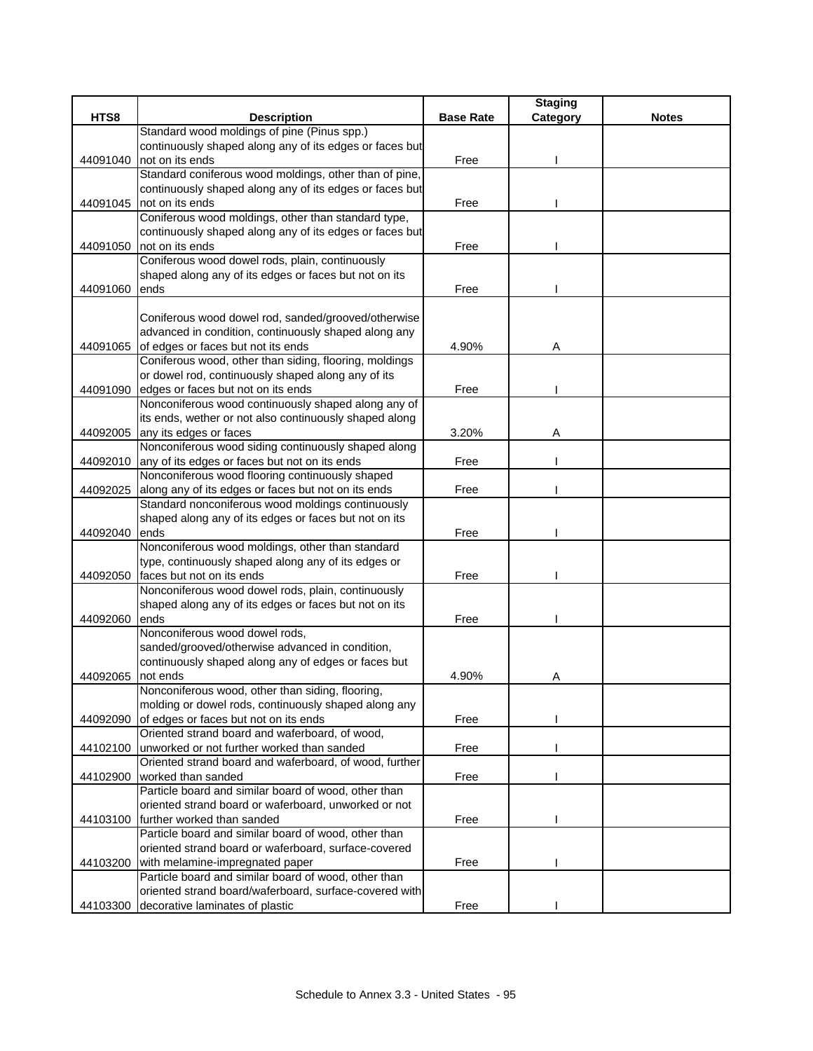|          |                                                         |                  | <b>Staging</b> |              |
|----------|---------------------------------------------------------|------------------|----------------|--------------|
| HTS8     | <b>Description</b>                                      | <b>Base Rate</b> | Category       | <b>Notes</b> |
|          | Standard wood moldings of pine (Pinus spp.)             |                  |                |              |
|          | continuously shaped along any of its edges or faces but |                  |                |              |
| 44091040 | not on its ends                                         | Free             |                |              |
|          | Standard coniferous wood moldings, other than of pine,  |                  |                |              |
|          | continuously shaped along any of its edges or faces but |                  |                |              |
| 44091045 | not on its ends                                         | Free             |                |              |
|          | Coniferous wood moldings, other than standard type,     |                  |                |              |
|          | continuously shaped along any of its edges or faces but |                  |                |              |
| 44091050 | not on its ends                                         | Free             |                |              |
|          | Coniferous wood dowel rods, plain, continuously         |                  |                |              |
|          | shaped along any of its edges or faces but not on its   |                  |                |              |
| 44091060 | ends                                                    | Free             |                |              |
|          |                                                         |                  |                |              |
|          | Coniferous wood dowel rod, sanded/grooved/otherwise     |                  |                |              |
|          | advanced in condition, continuously shaped along any    |                  |                |              |
| 44091065 | of edges or faces but not its ends                      | 4.90%            | Α              |              |
|          | Coniferous wood, other than siding, flooring, moldings  |                  |                |              |
|          | or dowel rod, continuously shaped along any of its      |                  |                |              |
| 44091090 | edges or faces but not on its ends                      | Free             |                |              |
|          | Nonconiferous wood continuously shaped along any of     |                  |                |              |
|          | its ends, wether or not also continuously shaped along  |                  |                |              |
| 44092005 | any its edges or faces                                  | 3.20%            | Α              |              |
|          | Nonconiferous wood siding continuously shaped along     |                  |                |              |
| 44092010 | any of its edges or faces but not on its ends           | Free             |                |              |
|          | Nonconiferous wood flooring continuously shaped         |                  |                |              |
| 44092025 | along any of its edges or faces but not on its ends     | Free             |                |              |
|          | Standard nonconiferous wood moldings continuously       |                  |                |              |
|          | shaped along any of its edges or faces but not on its   |                  |                |              |
| 44092040 | ends                                                    | Free             |                |              |
|          | Nonconiferous wood moldings, other than standard        |                  |                |              |
|          | type, continuously shaped along any of its edges or     |                  |                |              |
| 44092050 | faces but not on its ends                               | Free             |                |              |
|          | Nonconiferous wood dowel rods, plain, continuously      |                  |                |              |
|          | shaped along any of its edges or faces but not on its   |                  |                |              |
| 44092060 | ends                                                    | Free             |                |              |
|          | Nonconiferous wood dowel rods,                          |                  |                |              |
|          | sanded/grooved/otherwise advanced in condition,         |                  |                |              |
|          | continuously shaped along any of edges or faces but     |                  |                |              |
| 44092065 | not ends                                                | 4.90%            | Α              |              |
|          | Nonconiferous wood, other than siding, flooring,        |                  |                |              |
|          | molding or dowel rods, continuously shaped along any    |                  |                |              |
| 44092090 | of edges or faces but not on its ends                   | Free             |                |              |
|          | Oriented strand board and waferboard, of wood,          |                  |                |              |
| 44102100 | unworked or not further worked than sanded              | Free             |                |              |
|          | Oriented strand board and waferboard, of wood, further  |                  |                |              |
| 44102900 | worked than sanded                                      | Free             |                |              |
|          | Particle board and similar board of wood, other than    |                  |                |              |
|          | oriented strand board or waferboard, unworked or not    |                  |                |              |
|          | 44103100 further worked than sanded                     | Free             |                |              |
|          | Particle board and similar board of wood, other than    |                  |                |              |
|          | oriented strand board or waferboard, surface-covered    |                  |                |              |
| 44103200 | with melamine-impregnated paper                         | Free             |                |              |
|          | Particle board and similar board of wood, other than    |                  |                |              |
|          | oriented strand board/waferboard, surface-covered with  |                  |                |              |
|          | 44103300 decorative laminates of plastic                | Free             |                |              |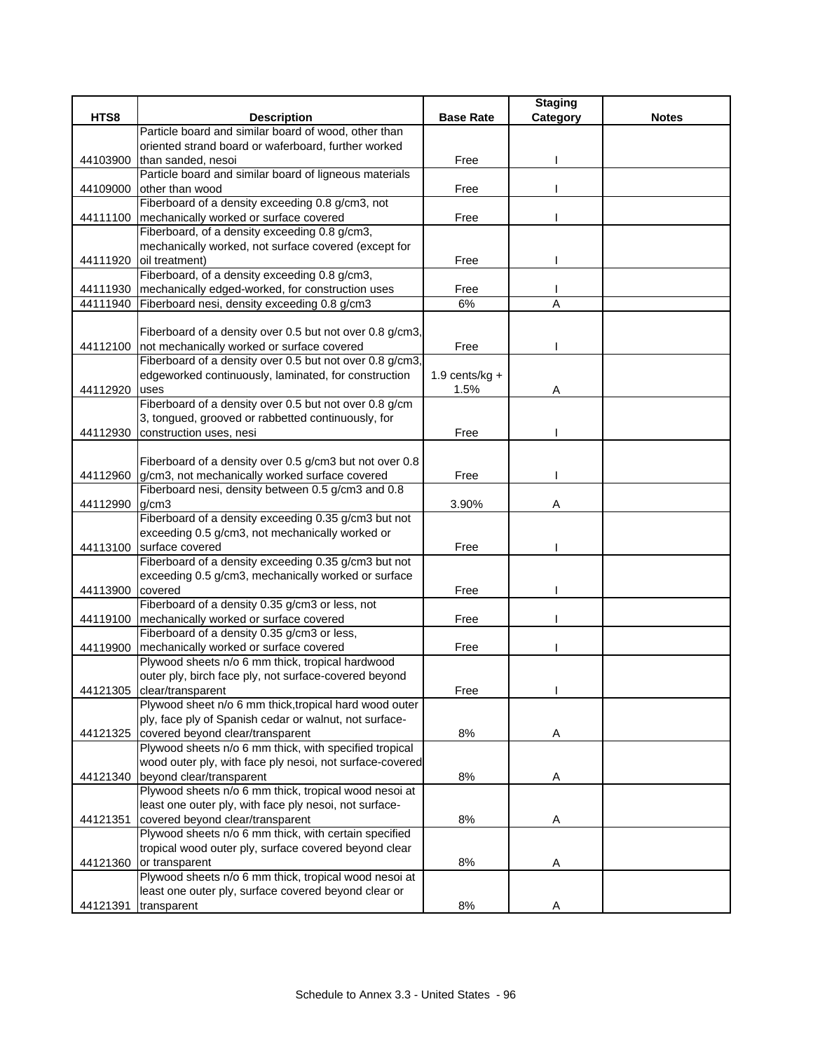|                      |                                                                                                  |                   | <b>Staging</b> |              |
|----------------------|--------------------------------------------------------------------------------------------------|-------------------|----------------|--------------|
| HTS8                 | <b>Description</b>                                                                               | <b>Base Rate</b>  | Category       | <b>Notes</b> |
|                      | Particle board and similar board of wood, other than                                             |                   |                |              |
|                      | oriented strand board or waferboard, further worked                                              |                   |                |              |
| 44103900             | than sanded, nesoi                                                                               | Free              |                |              |
|                      | Particle board and similar board of ligneous materials                                           |                   |                |              |
| 44109000             | other than wood                                                                                  | Free              |                |              |
|                      | Fiberboard of a density exceeding 0.8 g/cm3, not                                                 |                   |                |              |
| 44111100             | mechanically worked or surface covered                                                           | Free              |                |              |
|                      | Fiberboard, of a density exceeding 0.8 g/cm3,                                                    |                   |                |              |
|                      | mechanically worked, not surface covered (except for                                             |                   |                |              |
| 44111920             | oil treatment)                                                                                   | Free              |                |              |
|                      | Fiberboard, of a density exceeding 0.8 g/cm3,                                                    |                   |                |              |
| 44111930<br>44111940 | mechanically edged-worked, for construction uses<br>Fiberboard nesi, density exceeding 0.8 g/cm3 | Free<br>6%        | A              |              |
|                      |                                                                                                  |                   |                |              |
|                      | Fiberboard of a density over 0.5 but not over 0.8 g/cm3,                                         |                   |                |              |
| 44112100             | not mechanically worked or surface covered                                                       | Free              |                |              |
|                      | Fiberboard of a density over 0.5 but not over 0.8 g/cm3,                                         |                   |                |              |
|                      | edgeworked continuously, laminated, for construction                                             | 1.9 cents/ $kq +$ |                |              |
| 44112920             | uses                                                                                             | 1.5%              | Α              |              |
|                      | Fiberboard of a density over 0.5 but not over 0.8 g/cm                                           |                   |                |              |
|                      | 3, tongued, grooved or rabbetted continuously, for                                               |                   |                |              |
| 44112930             | construction uses, nesi                                                                          | Free              |                |              |
|                      |                                                                                                  |                   |                |              |
|                      | Fiberboard of a density over 0.5 g/cm3 but not over 0.8                                          |                   |                |              |
| 44112960             | g/cm3, not mechanically worked surface covered                                                   | Free              |                |              |
|                      | Fiberboard nesi, density between 0.5 g/cm3 and 0.8                                               |                   |                |              |
| 44112990             | g/cm3                                                                                            | 3.90%             | Α              |              |
|                      | Fiberboard of a density exceeding 0.35 g/cm3 but not                                             |                   |                |              |
|                      | exceeding 0.5 g/cm3, not mechanically worked or                                                  |                   |                |              |
| 44113100             | surface covered                                                                                  | Free              |                |              |
|                      | Fiberboard of a density exceeding 0.35 g/cm3 but not                                             |                   |                |              |
|                      | exceeding 0.5 g/cm3, mechanically worked or surface                                              |                   |                |              |
| 44113900             | covered                                                                                          | Free              |                |              |
|                      | Fiberboard of a density 0.35 g/cm3 or less, not                                                  |                   |                |              |
| 44119100             | mechanically worked or surface covered                                                           | Free              |                |              |
|                      | Fiberboard of a density 0.35 g/cm3 or less,                                                      |                   |                |              |
| 44119900             | mechanically worked or surface covered                                                           | Free              |                |              |
|                      | Plywood sheets n/o 6 mm thick, tropical hardwood                                                 |                   |                |              |
|                      | outer ply, birch face ply, not surface-covered beyond                                            |                   |                |              |
| 44121305             | clear/transparent                                                                                | Free              |                |              |
|                      | Plywood sheet n/o 6 mm thick, tropical hard wood outer                                           |                   |                |              |
|                      | ply, face ply of Spanish cedar or walnut, not surface-                                           |                   |                |              |
| 44121325             | covered beyond clear/transparent                                                                 | $8\%$             | A              |              |
|                      | Plywood sheets n/o 6 mm thick, with specified tropical                                           |                   |                |              |
|                      | wood outer ply, with face ply nesoi, not surface-covered                                         |                   |                |              |
| 44121340             | beyond clear/transparent<br>Plywood sheets n/o 6 mm thick, tropical wood nesoi at                | 8%                | Α              |              |
|                      | least one outer ply, with face ply nesoi, not surface-                                           |                   |                |              |
| 44121351             | covered beyond clear/transparent                                                                 | 8%                | Α              |              |
|                      | Plywood sheets n/o 6 mm thick, with certain specified                                            |                   |                |              |
|                      | tropical wood outer ply, surface covered beyond clear                                            |                   |                |              |
| 44121360             | or transparent                                                                                   | 8%                | Α              |              |
|                      | Plywood sheets n/o 6 mm thick, tropical wood nesoi at                                            |                   |                |              |
|                      | least one outer ply, surface covered beyond clear or                                             |                   |                |              |
| 44121391             | transparent                                                                                      | 8%                | Α              |              |
|                      |                                                                                                  |                   |                |              |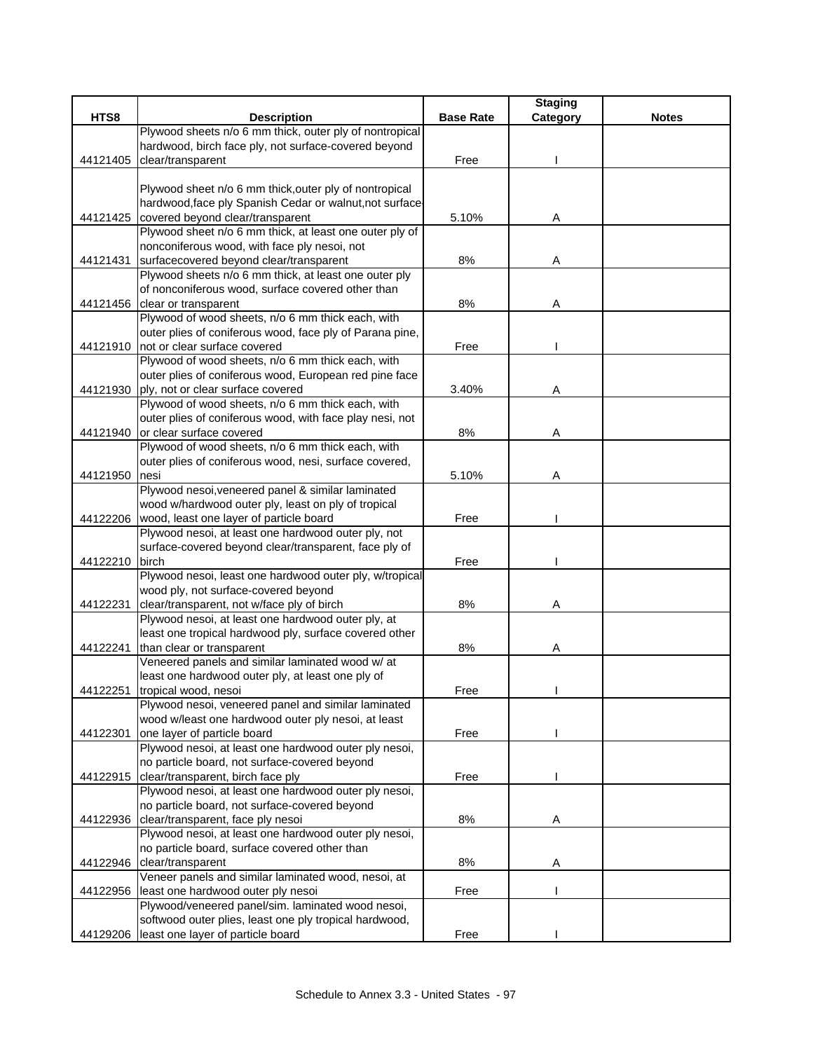|          |                                                                                    |                  | <b>Staging</b> |              |
|----------|------------------------------------------------------------------------------------|------------------|----------------|--------------|
| HTS8     | <b>Description</b>                                                                 | <b>Base Rate</b> | Category       | <b>Notes</b> |
|          | Plywood sheets n/o 6 mm thick, outer ply of nontropical                            |                  |                |              |
|          | hardwood, birch face ply, not surface-covered beyond                               |                  |                |              |
| 44121405 | clear/transparent                                                                  | Free             |                |              |
|          |                                                                                    |                  |                |              |
|          | Plywood sheet n/o 6 mm thick, outer ply of nontropical                             |                  |                |              |
|          | hardwood, face ply Spanish Cedar or walnut, not surface                            |                  |                |              |
|          | 44121425 covered beyond clear/transparent                                          | 5.10%            | Α              |              |
|          | Plywood sheet n/o 6 mm thick, at least one outer ply of                            |                  |                |              |
|          | nonconiferous wood, with face ply nesoi, not                                       |                  |                |              |
|          | 44121431 surfacecovered beyond clear/transparent                                   | $8\%$            | Α              |              |
|          | Plywood sheets n/o 6 mm thick, at least one outer ply                              |                  |                |              |
|          | of nonconiferous wood, surface covered other than                                  |                  |                |              |
|          | 44121456 clear or transparent                                                      | 8%               | Α              |              |
|          | Plywood of wood sheets, n/o 6 mm thick each, with                                  |                  |                |              |
|          | outer plies of coniferous wood, face ply of Parana pine,                           |                  |                |              |
| 44121910 | not or clear surface covered                                                       | Free             |                |              |
|          | Plywood of wood sheets, n/o 6 mm thick each, with                                  |                  |                |              |
|          | outer plies of coniferous wood, European red pine face                             |                  |                |              |
| 44121930 | ply, not or clear surface covered                                                  | 3.40%            | Α              |              |
|          | Plywood of wood sheets, n/o 6 mm thick each, with                                  |                  |                |              |
|          | outer plies of coniferous wood, with face play nesi, not                           |                  |                |              |
| 44121940 | or clear surface covered                                                           | 8%               | Α              |              |
|          | Plywood of wood sheets, n/o 6 mm thick each, with                                  |                  |                |              |
|          | outer plies of coniferous wood, nesi, surface covered,                             |                  |                |              |
| 44121950 | nesi                                                                               | 5.10%            | A              |              |
|          | Plywood nesoi, veneered panel & similar laminated                                  |                  |                |              |
|          | wood w/hardwood outer ply, least on ply of tropical                                |                  |                |              |
|          | 44122206 wood, least one layer of particle board                                   | Free             |                |              |
|          | Plywood nesoi, at least one hardwood outer ply, not                                |                  |                |              |
|          | surface-covered beyond clear/transparent, face ply of                              |                  |                |              |
| 44122210 | birch                                                                              | Free             |                |              |
|          | Plywood nesoi, least one hardwood outer ply, w/tropical                            |                  |                |              |
|          | wood ply, not surface-covered beyond                                               |                  |                |              |
| 44122231 | clear/transparent, not w/face ply of birch                                         | 8%               | Α              |              |
|          | Plywood nesoi, at least one hardwood outer ply, at                                 |                  |                |              |
|          | least one tropical hardwood ply, surface covered other                             |                  |                |              |
| 44122241 | than clear or transparent                                                          | 8%               | Α              |              |
|          | Veneered panels and similar laminated wood w/ at                                   |                  |                |              |
|          | least one hardwood outer ply, at least one ply of                                  |                  |                |              |
| 44122251 | tropical wood, nesoi                                                               | Free             |                |              |
|          | Plywood nesoi, veneered panel and similar laminated                                |                  |                |              |
|          | wood w/least one hardwood outer ply nesoi, at least<br>one layer of particle board |                  |                |              |
| 44122301 | Plywood nesoi, at least one hardwood outer ply nesoi,                              | Free             |                |              |
|          | no particle board, not surface-covered beyond                                      |                  |                |              |
| 44122915 | clear/transparent, birch face ply                                                  | Free             |                |              |
|          | Plywood nesoi, at least one hardwood outer ply nesoi,                              |                  |                |              |
|          | no particle board, not surface-covered beyond                                      |                  |                |              |
| 44122936 | clear/transparent, face ply nesoi                                                  | 8%               | Α              |              |
|          | Plywood nesoi, at least one hardwood outer ply nesoi,                              |                  |                |              |
|          | no particle board, surface covered other than                                      |                  |                |              |
| 44122946 | clear/transparent                                                                  | 8%               | Α              |              |
|          | Veneer panels and similar laminated wood, nesoi, at                                |                  |                |              |
| 44122956 | least one hardwood outer ply nesoi                                                 | Free             |                |              |
|          | Plywood/veneered panel/sim. laminated wood nesoi,                                  |                  |                |              |
|          | softwood outer plies, least one ply tropical hardwood,                             |                  |                |              |
| 44129206 | least one layer of particle board                                                  | Free             |                |              |
|          |                                                                                    |                  |                |              |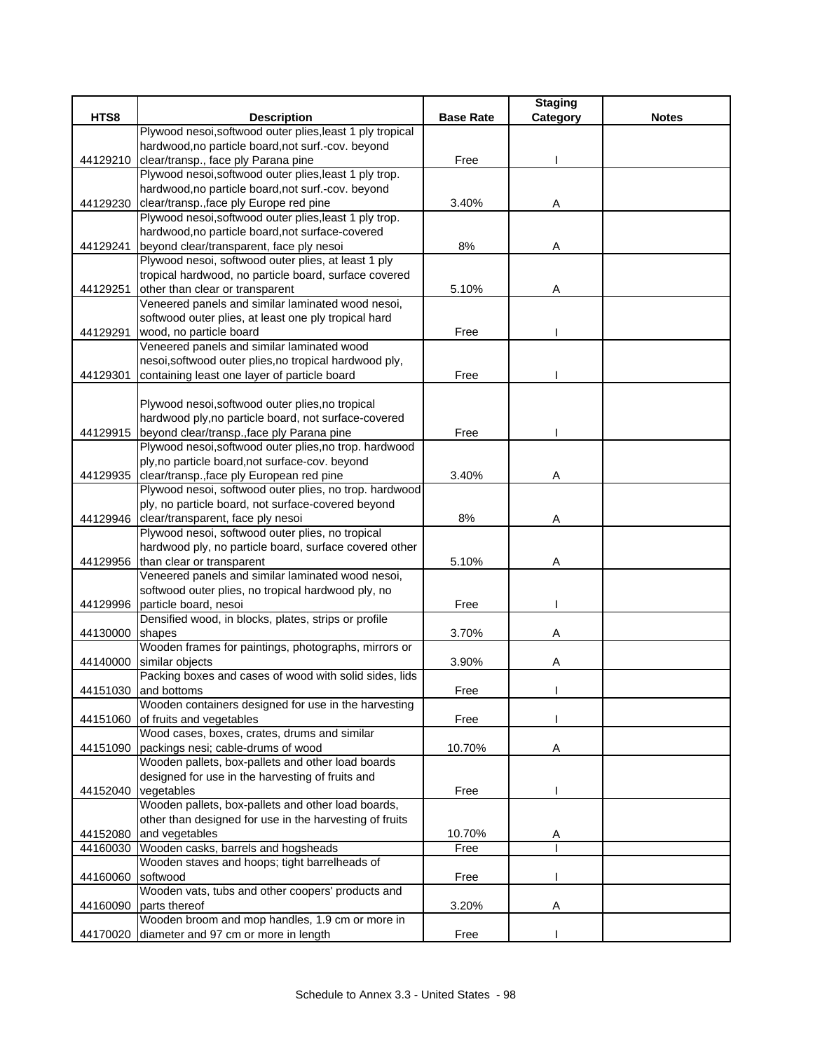|          |                                                           |                  | <b>Staging</b> |              |
|----------|-----------------------------------------------------------|------------------|----------------|--------------|
| HTS8     | <b>Description</b>                                        | <b>Base Rate</b> | Category       | <b>Notes</b> |
|          | Plywood nesoi, softwood outer plies, least 1 ply tropical |                  |                |              |
|          | hardwood, no particle board, not surf.-cov. beyond        |                  |                |              |
| 44129210 | clear/transp., face ply Parana pine                       | Free             |                |              |
|          | Plywood nesoi, softwood outer plies, least 1 ply trop.    |                  |                |              |
|          | hardwood, no particle board, not surf.-cov. beyond        |                  |                |              |
| 44129230 | clear/transp., face ply Europe red pine                   | 3.40%            | Α              |              |
|          | Plywood nesoi, softwood outer plies, least 1 ply trop.    |                  |                |              |
|          | hardwood, no particle board, not surface-covered          |                  |                |              |
| 44129241 | beyond clear/transparent, face ply nesoi                  | 8%               | Α              |              |
|          | Plywood nesoi, softwood outer plies, at least 1 ply       |                  |                |              |
|          | tropical hardwood, no particle board, surface covered     |                  |                |              |
| 44129251 | other than clear or transparent                           | 5.10%            | Α              |              |
|          | Veneered panels and similar laminated wood nesoi,         |                  |                |              |
|          | softwood outer plies, at least one ply tropical hard      |                  |                |              |
| 44129291 | wood, no particle board                                   | Free             |                |              |
|          | Veneered panels and similar laminated wood                |                  |                |              |
|          | nesoi, softwood outer plies, no tropical hardwood ply,    |                  |                |              |
| 44129301 | containing least one layer of particle board              | Free             |                |              |
|          |                                                           |                  |                |              |
|          | Plywood nesoi, softwood outer plies, no tropical          |                  |                |              |
|          | hardwood ply, no particle board, not surface-covered      |                  |                |              |
| 44129915 | beyond clear/transp., face ply Parana pine                | Free             |                |              |
|          | Plywood nesoi, softwood outer plies, no trop. hardwood    |                  |                |              |
|          | ply, no particle board, not surface-cov. beyond           |                  |                |              |
| 44129935 | clear/transp., face ply European red pine                 | 3.40%            | Α              |              |
|          | Plywood nesoi, softwood outer plies, no trop. hardwood    |                  |                |              |
|          | ply, no particle board, not surface-covered beyond        |                  |                |              |
|          | 44129946 clear/transparent, face ply nesoi                | 8%               | Α              |              |
|          | Plywood nesoi, softwood outer plies, no tropical          |                  |                |              |
|          | hardwood ply, no particle board, surface covered other    |                  |                |              |
| 44129956 | than clear or transparent                                 | 5.10%            | Α              |              |
|          | Veneered panels and similar laminated wood nesoi,         |                  |                |              |
|          | softwood outer plies, no tropical hardwood ply, no        |                  |                |              |
| 44129996 | particle board, nesoi                                     | Free             |                |              |
|          | Densified wood, in blocks, plates, strips or profile      |                  |                |              |
| 44130000 | shapes                                                    | 3.70%            | Α              |              |
|          | Wooden frames for paintings, photographs, mirrors or      |                  |                |              |
| 44140000 | similar objects                                           | 3.90%            | Α              |              |
|          | Packing boxes and cases of wood with solid sides, lids    |                  |                |              |
| 44151030 | and bottoms                                               | Free             |                |              |
|          | Wooden containers designed for use in the harvesting      |                  |                |              |
| 44151060 | of fruits and vegetables                                  | Free             |                |              |
|          | Wood cases, boxes, crates, drums and similar              |                  |                |              |
| 44151090 | packings nesi; cable-drums of wood                        | 10.70%           | Α              |              |
|          | Wooden pallets, box-pallets and other load boards         |                  |                |              |
|          | designed for use in the harvesting of fruits and          |                  |                |              |
|          | 44152040 vegetables                                       | Free             |                |              |
|          | Wooden pallets, box-pallets and other load boards,        |                  |                |              |
|          | other than designed for use in the harvesting of fruits   |                  |                |              |
| 44152080 | and vegetables                                            | 10.70%           | A              |              |
| 44160030 | Wooden casks, barrels and hogsheads                       | Free             |                |              |
|          | Wooden staves and hoops; tight barrelheads of             |                  |                |              |
| 44160060 | softwood                                                  | Free             |                |              |
|          | Wooden vats, tubs and other coopers' products and         |                  |                |              |
| 44160090 | parts thereof                                             | 3.20%            | Α              |              |
|          | Wooden broom and mop handles, 1.9 cm or more in           |                  |                |              |
| 44170020 | diameter and 97 cm or more in length                      | Free             |                |              |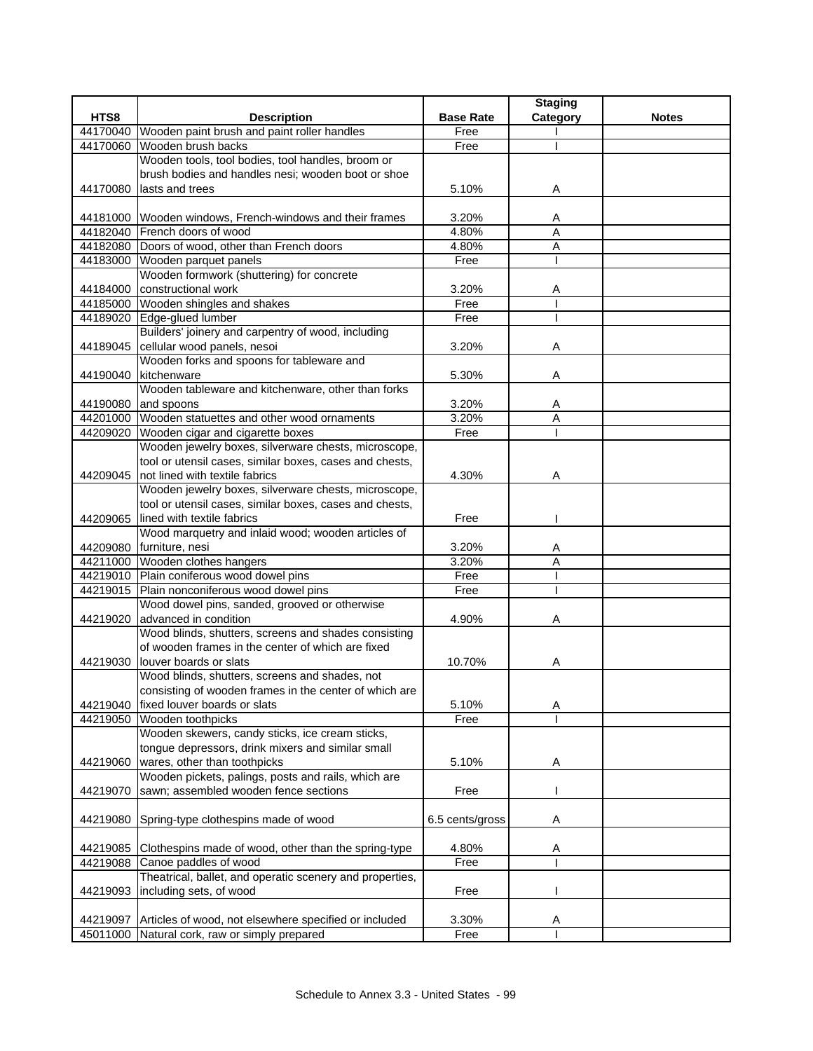|          |                                                                                                           |                  | <b>Staging</b> |              |
|----------|-----------------------------------------------------------------------------------------------------------|------------------|----------------|--------------|
| HTS8     | <b>Description</b>                                                                                        | <b>Base Rate</b> | Category       | <b>Notes</b> |
| 44170040 | Wooden paint brush and paint roller handles                                                               | Free             |                |              |
| 44170060 | Wooden brush backs                                                                                        | Free             |                |              |
|          | Wooden tools, tool bodies, tool handles, broom or                                                         |                  |                |              |
|          | brush bodies and handles nesi; wooden boot or shoe                                                        |                  |                |              |
| 44170080 | lasts and trees                                                                                           | 5.10%            | Α              |              |
|          |                                                                                                           |                  |                |              |
|          | 44181000 Wooden windows, French-windows and their frames                                                  | 3.20%            | A              |              |
|          | 44182040 French doors of wood                                                                             | 4.80%            | A              |              |
|          | 44182080 Doors of wood, other than French doors                                                           | 4.80%            | A              |              |
|          | 44183000 Wooden parquet panels                                                                            | Free             |                |              |
|          | Wooden formwork (shuttering) for concrete                                                                 |                  |                |              |
| 44184000 | constructional work                                                                                       | 3.20%            | Α              |              |
|          | 44185000 Wooden shingles and shakes                                                                       | Free             |                |              |
|          | 44189020 Edge-glued lumber                                                                                | Free             |                |              |
|          | Builders' joinery and carpentry of wood, including                                                        |                  |                |              |
|          | 44189045 cellular wood panels, nesoi                                                                      | 3.20%            | Α              |              |
|          | Wooden forks and spoons for tableware and                                                                 |                  |                |              |
|          | 44190040 kitchenware                                                                                      | 5.30%            | Α              |              |
|          | Wooden tableware and kitchenware, other than forks                                                        |                  |                |              |
|          | 44190080 and spoons                                                                                       | 3.20%            | Α              |              |
|          | 44201000 Wooden statuettes and other wood ornaments                                                       | 3.20%            | A              |              |
| 44209020 | Wooden cigar and cigarette boxes                                                                          | Free             |                |              |
|          | Wooden jewelry boxes, silverware chests, microscope,                                                      |                  |                |              |
|          | tool or utensil cases, similar boxes, cases and chests,                                                   |                  |                |              |
|          | 44209045 Inot lined with textile fabrics                                                                  | 4.30%            | Α              |              |
|          | Wooden jewelry boxes, silverware chests, microscope,                                                      |                  |                |              |
|          | tool or utensil cases, similar boxes, cases and chests,                                                   |                  |                |              |
| 44209065 | lined with textile fabrics                                                                                | Free             |                |              |
|          | Wood marquetry and inlaid wood; wooden articles of                                                        |                  |                |              |
|          | 44209080 furniture, nesi                                                                                  | 3.20%            | A              |              |
|          | 44211000 Wooden clothes hangers                                                                           | 3.20%            | A              |              |
|          | 44219010 Plain coniferous wood dowel pins                                                                 | Free             |                |              |
|          | 44219015 Plain nonconiferous wood dowel pins                                                              | Free             |                |              |
|          | Wood dowel pins, sanded, grooved or otherwise                                                             |                  |                |              |
| 44219020 | advanced in condition                                                                                     | 4.90%            | Α              |              |
|          | Wood blinds, shutters, screens and shades consisting<br>of wooden frames in the center of which are fixed |                  |                |              |
|          |                                                                                                           |                  |                |              |
| 44219030 | louver boards or slats                                                                                    | 10.70%           | A              |              |
|          | Wood blinds, shutters, screens and shades, not                                                            |                  |                |              |
|          | consisting of wooden frames in the center of which are                                                    |                  |                |              |
|          | 44219040 fixed louver boards or slats                                                                     | 5.10%<br>Free    | Α              |              |
| 44219050 | Wooden toothpicks                                                                                         |                  |                |              |
|          | Wooden skewers, candy sticks, ice cream sticks,<br>tongue depressors, drink mixers and similar small      |                  |                |              |
|          |                                                                                                           |                  |                |              |
| 44219060 | wares, other than toothpicks                                                                              | 5.10%            | Α              |              |
|          | Wooden pickets, palings, posts and rails, which are<br>sawn; assembled wooden fence sections              |                  |                |              |
| 44219070 |                                                                                                           | Free             |                |              |
|          |                                                                                                           |                  |                |              |
| 44219080 | Spring-type clothespins made of wood                                                                      | 6.5 cents/gross  | Α              |              |
|          | 44219085 Clothespins made of wood, other than the spring-type                                             | 4.80%            |                |              |
| 44219088 | Canoe paddles of wood                                                                                     | Free             | A              |              |
|          | Theatrical, ballet, and operatic scenery and properties,                                                  |                  |                |              |
| 44219093 | including sets, of wood                                                                                   | Free             |                |              |
|          |                                                                                                           |                  |                |              |
| 44219097 | Articles of wood, not elsewhere specified or included                                                     | 3.30%            | Α              |              |
|          | 45011000 Natural cork, raw or simply prepared                                                             | Free             |                |              |
|          |                                                                                                           |                  |                |              |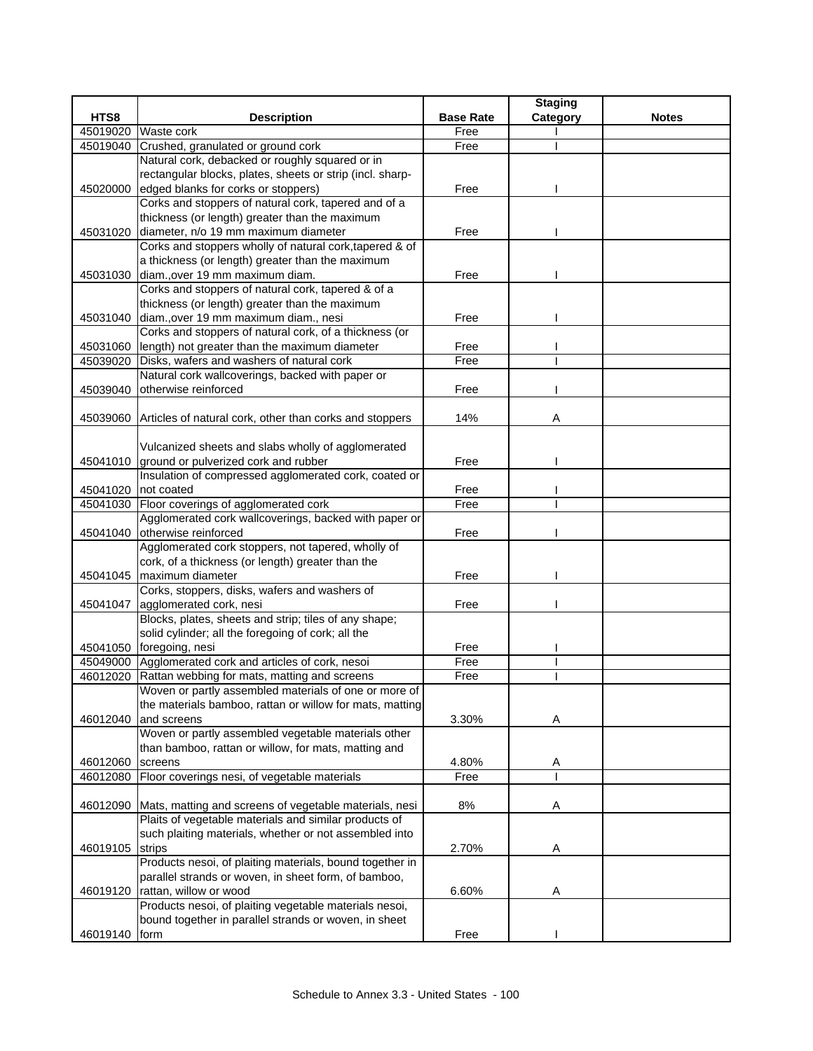| HTS8<br><b>Description</b><br><b>Base Rate</b><br><b>Notes</b><br>Category<br>45019020<br>Waste cork<br>Free<br>45019040<br>Crushed, granulated or ground cork<br>Free<br>Natural cork, debacked or roughly squared or in<br>rectangular blocks, plates, sheets or strip (incl. sharp-<br>edged blanks for corks or stoppers)<br>Free<br>45020000<br>Corks and stoppers of natural cork, tapered and of a<br>thickness (or length) greater than the maximum<br>diameter, n/o 19 mm maximum diameter<br>Free<br>45031020<br>Corks and stoppers wholly of natural cork, tapered & of<br>a thickness (or length) greater than the maximum<br>45031030<br>diam., over 19 mm maximum diam.<br>Free<br>Corks and stoppers of natural cork, tapered & of a<br>thickness (or length) greater than the maximum<br>diam., over 19 mm maximum diam., nesi<br>45031040<br>Free<br>Corks and stoppers of natural cork, of a thickness (or<br>45031060<br>length) not greater than the maximum diameter<br>Free<br>Free<br>45039020<br>Disks, wafers and washers of natural cork<br>Natural cork wallcoverings, backed with paper or<br>otherwise reinforced<br>45039040<br>Free<br>14%<br>45039060 Articles of natural cork, other than corks and stoppers<br>Α<br>Vulcanized sheets and slabs wholly of agglomerated<br>45041010 ground or pulverized cork and rubber<br>Free<br>Insulation of compressed agglomerated cork, coated or<br>45041020 not coated<br>Free<br>Floor coverings of agglomerated cork<br>Free<br>45041030<br>Agglomerated cork wallcoverings, backed with paper or<br>otherwise reinforced<br>45041040<br>Free<br>Agglomerated cork stoppers, not tapered, wholly of<br>cork, of a thickness (or length) greater than the<br>maximum diameter<br>Free<br>45041045<br>Corks, stoppers, disks, wafers and washers of<br>agglomerated cork, nesi<br>45041047<br>Free<br>Blocks, plates, sheets and strip; tiles of any shape;<br>solid cylinder; all the foregoing of cork; all the<br>45041050 foregoing, nesi<br>Free<br>Agglomerated cork and articles of cork, nesoi<br>Free<br>45049000<br>Free<br>46012020<br>Rattan webbing for mats, matting and screens<br>Woven or partly assembled materials of one or more of<br>the materials bamboo, rattan or willow for mats, matting<br>3.30%<br>and screens<br>46012040<br>A<br>Woven or partly assembled vegetable materials other<br>than bamboo, rattan or willow, for mats, matting and<br>46012060<br>4.80%<br>screens<br>A<br>Floor coverings nesi, of vegetable materials<br>46012080<br>Free<br>46012090 Mats, matting and screens of vegetable materials, nesi<br>8%<br>Α<br>Plaits of vegetable materials and similar products of<br>such plaiting materials, whether or not assembled into<br>2.70%<br>46019105<br>strips<br>A<br>Products nesoi, of plaiting materials, bound together in<br>parallel strands or woven, in sheet form, of bamboo,<br>rattan, willow or wood<br>46019120<br>6.60%<br>Α<br>Products nesoi, of plaiting vegetable materials nesoi,<br>bound together in parallel strands or woven, in sheet |          |      |      | <b>Staging</b> |  |
|-------------------------------------------------------------------------------------------------------------------------------------------------------------------------------------------------------------------------------------------------------------------------------------------------------------------------------------------------------------------------------------------------------------------------------------------------------------------------------------------------------------------------------------------------------------------------------------------------------------------------------------------------------------------------------------------------------------------------------------------------------------------------------------------------------------------------------------------------------------------------------------------------------------------------------------------------------------------------------------------------------------------------------------------------------------------------------------------------------------------------------------------------------------------------------------------------------------------------------------------------------------------------------------------------------------------------------------------------------------------------------------------------------------------------------------------------------------------------------------------------------------------------------------------------------------------------------------------------------------------------------------------------------------------------------------------------------------------------------------------------------------------------------------------------------------------------------------------------------------------------------------------------------------------------------------------------------------------------------------------------------------------------------------------------------------------------------------------------------------------------------------------------------------------------------------------------------------------------------------------------------------------------------------------------------------------------------------------------------------------------------------------------------------------------------------------------------------------------------------------------------------------------------------------------------------------------------------------------------------------------------------------------------------------------------------------------------------------------------------------------------------------------------------------------------------------------------------------------------------------------------------------------------------------------------------------------------------------------------------------------------------------------------------------------------------------------------------------------|----------|------|------|----------------|--|
|                                                                                                                                                                                                                                                                                                                                                                                                                                                                                                                                                                                                                                                                                                                                                                                                                                                                                                                                                                                                                                                                                                                                                                                                                                                                                                                                                                                                                                                                                                                                                                                                                                                                                                                                                                                                                                                                                                                                                                                                                                                                                                                                                                                                                                                                                                                                                                                                                                                                                                                                                                                                                                                                                                                                                                                                                                                                                                                                                                                                                                                                                                 |          |      |      |                |  |
|                                                                                                                                                                                                                                                                                                                                                                                                                                                                                                                                                                                                                                                                                                                                                                                                                                                                                                                                                                                                                                                                                                                                                                                                                                                                                                                                                                                                                                                                                                                                                                                                                                                                                                                                                                                                                                                                                                                                                                                                                                                                                                                                                                                                                                                                                                                                                                                                                                                                                                                                                                                                                                                                                                                                                                                                                                                                                                                                                                                                                                                                                                 |          |      |      |                |  |
|                                                                                                                                                                                                                                                                                                                                                                                                                                                                                                                                                                                                                                                                                                                                                                                                                                                                                                                                                                                                                                                                                                                                                                                                                                                                                                                                                                                                                                                                                                                                                                                                                                                                                                                                                                                                                                                                                                                                                                                                                                                                                                                                                                                                                                                                                                                                                                                                                                                                                                                                                                                                                                                                                                                                                                                                                                                                                                                                                                                                                                                                                                 |          |      |      |                |  |
|                                                                                                                                                                                                                                                                                                                                                                                                                                                                                                                                                                                                                                                                                                                                                                                                                                                                                                                                                                                                                                                                                                                                                                                                                                                                                                                                                                                                                                                                                                                                                                                                                                                                                                                                                                                                                                                                                                                                                                                                                                                                                                                                                                                                                                                                                                                                                                                                                                                                                                                                                                                                                                                                                                                                                                                                                                                                                                                                                                                                                                                                                                 |          |      |      |                |  |
|                                                                                                                                                                                                                                                                                                                                                                                                                                                                                                                                                                                                                                                                                                                                                                                                                                                                                                                                                                                                                                                                                                                                                                                                                                                                                                                                                                                                                                                                                                                                                                                                                                                                                                                                                                                                                                                                                                                                                                                                                                                                                                                                                                                                                                                                                                                                                                                                                                                                                                                                                                                                                                                                                                                                                                                                                                                                                                                                                                                                                                                                                                 |          |      |      |                |  |
|                                                                                                                                                                                                                                                                                                                                                                                                                                                                                                                                                                                                                                                                                                                                                                                                                                                                                                                                                                                                                                                                                                                                                                                                                                                                                                                                                                                                                                                                                                                                                                                                                                                                                                                                                                                                                                                                                                                                                                                                                                                                                                                                                                                                                                                                                                                                                                                                                                                                                                                                                                                                                                                                                                                                                                                                                                                                                                                                                                                                                                                                                                 |          |      |      |                |  |
|                                                                                                                                                                                                                                                                                                                                                                                                                                                                                                                                                                                                                                                                                                                                                                                                                                                                                                                                                                                                                                                                                                                                                                                                                                                                                                                                                                                                                                                                                                                                                                                                                                                                                                                                                                                                                                                                                                                                                                                                                                                                                                                                                                                                                                                                                                                                                                                                                                                                                                                                                                                                                                                                                                                                                                                                                                                                                                                                                                                                                                                                                                 |          |      |      |                |  |
|                                                                                                                                                                                                                                                                                                                                                                                                                                                                                                                                                                                                                                                                                                                                                                                                                                                                                                                                                                                                                                                                                                                                                                                                                                                                                                                                                                                                                                                                                                                                                                                                                                                                                                                                                                                                                                                                                                                                                                                                                                                                                                                                                                                                                                                                                                                                                                                                                                                                                                                                                                                                                                                                                                                                                                                                                                                                                                                                                                                                                                                                                                 |          |      |      |                |  |
|                                                                                                                                                                                                                                                                                                                                                                                                                                                                                                                                                                                                                                                                                                                                                                                                                                                                                                                                                                                                                                                                                                                                                                                                                                                                                                                                                                                                                                                                                                                                                                                                                                                                                                                                                                                                                                                                                                                                                                                                                                                                                                                                                                                                                                                                                                                                                                                                                                                                                                                                                                                                                                                                                                                                                                                                                                                                                                                                                                                                                                                                                                 |          |      |      |                |  |
|                                                                                                                                                                                                                                                                                                                                                                                                                                                                                                                                                                                                                                                                                                                                                                                                                                                                                                                                                                                                                                                                                                                                                                                                                                                                                                                                                                                                                                                                                                                                                                                                                                                                                                                                                                                                                                                                                                                                                                                                                                                                                                                                                                                                                                                                                                                                                                                                                                                                                                                                                                                                                                                                                                                                                                                                                                                                                                                                                                                                                                                                                                 |          |      |      |                |  |
|                                                                                                                                                                                                                                                                                                                                                                                                                                                                                                                                                                                                                                                                                                                                                                                                                                                                                                                                                                                                                                                                                                                                                                                                                                                                                                                                                                                                                                                                                                                                                                                                                                                                                                                                                                                                                                                                                                                                                                                                                                                                                                                                                                                                                                                                                                                                                                                                                                                                                                                                                                                                                                                                                                                                                                                                                                                                                                                                                                                                                                                                                                 |          |      |      |                |  |
|                                                                                                                                                                                                                                                                                                                                                                                                                                                                                                                                                                                                                                                                                                                                                                                                                                                                                                                                                                                                                                                                                                                                                                                                                                                                                                                                                                                                                                                                                                                                                                                                                                                                                                                                                                                                                                                                                                                                                                                                                                                                                                                                                                                                                                                                                                                                                                                                                                                                                                                                                                                                                                                                                                                                                                                                                                                                                                                                                                                                                                                                                                 |          |      |      |                |  |
|                                                                                                                                                                                                                                                                                                                                                                                                                                                                                                                                                                                                                                                                                                                                                                                                                                                                                                                                                                                                                                                                                                                                                                                                                                                                                                                                                                                                                                                                                                                                                                                                                                                                                                                                                                                                                                                                                                                                                                                                                                                                                                                                                                                                                                                                                                                                                                                                                                                                                                                                                                                                                                                                                                                                                                                                                                                                                                                                                                                                                                                                                                 |          |      |      |                |  |
|                                                                                                                                                                                                                                                                                                                                                                                                                                                                                                                                                                                                                                                                                                                                                                                                                                                                                                                                                                                                                                                                                                                                                                                                                                                                                                                                                                                                                                                                                                                                                                                                                                                                                                                                                                                                                                                                                                                                                                                                                                                                                                                                                                                                                                                                                                                                                                                                                                                                                                                                                                                                                                                                                                                                                                                                                                                                                                                                                                                                                                                                                                 |          |      |      |                |  |
|                                                                                                                                                                                                                                                                                                                                                                                                                                                                                                                                                                                                                                                                                                                                                                                                                                                                                                                                                                                                                                                                                                                                                                                                                                                                                                                                                                                                                                                                                                                                                                                                                                                                                                                                                                                                                                                                                                                                                                                                                                                                                                                                                                                                                                                                                                                                                                                                                                                                                                                                                                                                                                                                                                                                                                                                                                                                                                                                                                                                                                                                                                 |          |      |      |                |  |
|                                                                                                                                                                                                                                                                                                                                                                                                                                                                                                                                                                                                                                                                                                                                                                                                                                                                                                                                                                                                                                                                                                                                                                                                                                                                                                                                                                                                                                                                                                                                                                                                                                                                                                                                                                                                                                                                                                                                                                                                                                                                                                                                                                                                                                                                                                                                                                                                                                                                                                                                                                                                                                                                                                                                                                                                                                                                                                                                                                                                                                                                                                 |          |      |      |                |  |
|                                                                                                                                                                                                                                                                                                                                                                                                                                                                                                                                                                                                                                                                                                                                                                                                                                                                                                                                                                                                                                                                                                                                                                                                                                                                                                                                                                                                                                                                                                                                                                                                                                                                                                                                                                                                                                                                                                                                                                                                                                                                                                                                                                                                                                                                                                                                                                                                                                                                                                                                                                                                                                                                                                                                                                                                                                                                                                                                                                                                                                                                                                 |          |      |      |                |  |
|                                                                                                                                                                                                                                                                                                                                                                                                                                                                                                                                                                                                                                                                                                                                                                                                                                                                                                                                                                                                                                                                                                                                                                                                                                                                                                                                                                                                                                                                                                                                                                                                                                                                                                                                                                                                                                                                                                                                                                                                                                                                                                                                                                                                                                                                                                                                                                                                                                                                                                                                                                                                                                                                                                                                                                                                                                                                                                                                                                                                                                                                                                 |          |      |      |                |  |
|                                                                                                                                                                                                                                                                                                                                                                                                                                                                                                                                                                                                                                                                                                                                                                                                                                                                                                                                                                                                                                                                                                                                                                                                                                                                                                                                                                                                                                                                                                                                                                                                                                                                                                                                                                                                                                                                                                                                                                                                                                                                                                                                                                                                                                                                                                                                                                                                                                                                                                                                                                                                                                                                                                                                                                                                                                                                                                                                                                                                                                                                                                 |          |      |      |                |  |
|                                                                                                                                                                                                                                                                                                                                                                                                                                                                                                                                                                                                                                                                                                                                                                                                                                                                                                                                                                                                                                                                                                                                                                                                                                                                                                                                                                                                                                                                                                                                                                                                                                                                                                                                                                                                                                                                                                                                                                                                                                                                                                                                                                                                                                                                                                                                                                                                                                                                                                                                                                                                                                                                                                                                                                                                                                                                                                                                                                                                                                                                                                 |          |      |      |                |  |
|                                                                                                                                                                                                                                                                                                                                                                                                                                                                                                                                                                                                                                                                                                                                                                                                                                                                                                                                                                                                                                                                                                                                                                                                                                                                                                                                                                                                                                                                                                                                                                                                                                                                                                                                                                                                                                                                                                                                                                                                                                                                                                                                                                                                                                                                                                                                                                                                                                                                                                                                                                                                                                                                                                                                                                                                                                                                                                                                                                                                                                                                                                 |          |      |      |                |  |
|                                                                                                                                                                                                                                                                                                                                                                                                                                                                                                                                                                                                                                                                                                                                                                                                                                                                                                                                                                                                                                                                                                                                                                                                                                                                                                                                                                                                                                                                                                                                                                                                                                                                                                                                                                                                                                                                                                                                                                                                                                                                                                                                                                                                                                                                                                                                                                                                                                                                                                                                                                                                                                                                                                                                                                                                                                                                                                                                                                                                                                                                                                 |          |      |      |                |  |
|                                                                                                                                                                                                                                                                                                                                                                                                                                                                                                                                                                                                                                                                                                                                                                                                                                                                                                                                                                                                                                                                                                                                                                                                                                                                                                                                                                                                                                                                                                                                                                                                                                                                                                                                                                                                                                                                                                                                                                                                                                                                                                                                                                                                                                                                                                                                                                                                                                                                                                                                                                                                                                                                                                                                                                                                                                                                                                                                                                                                                                                                                                 |          |      |      |                |  |
|                                                                                                                                                                                                                                                                                                                                                                                                                                                                                                                                                                                                                                                                                                                                                                                                                                                                                                                                                                                                                                                                                                                                                                                                                                                                                                                                                                                                                                                                                                                                                                                                                                                                                                                                                                                                                                                                                                                                                                                                                                                                                                                                                                                                                                                                                                                                                                                                                                                                                                                                                                                                                                                                                                                                                                                                                                                                                                                                                                                                                                                                                                 |          |      |      |                |  |
|                                                                                                                                                                                                                                                                                                                                                                                                                                                                                                                                                                                                                                                                                                                                                                                                                                                                                                                                                                                                                                                                                                                                                                                                                                                                                                                                                                                                                                                                                                                                                                                                                                                                                                                                                                                                                                                                                                                                                                                                                                                                                                                                                                                                                                                                                                                                                                                                                                                                                                                                                                                                                                                                                                                                                                                                                                                                                                                                                                                                                                                                                                 |          |      |      |                |  |
|                                                                                                                                                                                                                                                                                                                                                                                                                                                                                                                                                                                                                                                                                                                                                                                                                                                                                                                                                                                                                                                                                                                                                                                                                                                                                                                                                                                                                                                                                                                                                                                                                                                                                                                                                                                                                                                                                                                                                                                                                                                                                                                                                                                                                                                                                                                                                                                                                                                                                                                                                                                                                                                                                                                                                                                                                                                                                                                                                                                                                                                                                                 |          |      |      |                |  |
|                                                                                                                                                                                                                                                                                                                                                                                                                                                                                                                                                                                                                                                                                                                                                                                                                                                                                                                                                                                                                                                                                                                                                                                                                                                                                                                                                                                                                                                                                                                                                                                                                                                                                                                                                                                                                                                                                                                                                                                                                                                                                                                                                                                                                                                                                                                                                                                                                                                                                                                                                                                                                                                                                                                                                                                                                                                                                                                                                                                                                                                                                                 |          |      |      |                |  |
|                                                                                                                                                                                                                                                                                                                                                                                                                                                                                                                                                                                                                                                                                                                                                                                                                                                                                                                                                                                                                                                                                                                                                                                                                                                                                                                                                                                                                                                                                                                                                                                                                                                                                                                                                                                                                                                                                                                                                                                                                                                                                                                                                                                                                                                                                                                                                                                                                                                                                                                                                                                                                                                                                                                                                                                                                                                                                                                                                                                                                                                                                                 |          |      |      |                |  |
|                                                                                                                                                                                                                                                                                                                                                                                                                                                                                                                                                                                                                                                                                                                                                                                                                                                                                                                                                                                                                                                                                                                                                                                                                                                                                                                                                                                                                                                                                                                                                                                                                                                                                                                                                                                                                                                                                                                                                                                                                                                                                                                                                                                                                                                                                                                                                                                                                                                                                                                                                                                                                                                                                                                                                                                                                                                                                                                                                                                                                                                                                                 |          |      |      |                |  |
|                                                                                                                                                                                                                                                                                                                                                                                                                                                                                                                                                                                                                                                                                                                                                                                                                                                                                                                                                                                                                                                                                                                                                                                                                                                                                                                                                                                                                                                                                                                                                                                                                                                                                                                                                                                                                                                                                                                                                                                                                                                                                                                                                                                                                                                                                                                                                                                                                                                                                                                                                                                                                                                                                                                                                                                                                                                                                                                                                                                                                                                                                                 |          |      |      |                |  |
|                                                                                                                                                                                                                                                                                                                                                                                                                                                                                                                                                                                                                                                                                                                                                                                                                                                                                                                                                                                                                                                                                                                                                                                                                                                                                                                                                                                                                                                                                                                                                                                                                                                                                                                                                                                                                                                                                                                                                                                                                                                                                                                                                                                                                                                                                                                                                                                                                                                                                                                                                                                                                                                                                                                                                                                                                                                                                                                                                                                                                                                                                                 |          |      |      |                |  |
|                                                                                                                                                                                                                                                                                                                                                                                                                                                                                                                                                                                                                                                                                                                                                                                                                                                                                                                                                                                                                                                                                                                                                                                                                                                                                                                                                                                                                                                                                                                                                                                                                                                                                                                                                                                                                                                                                                                                                                                                                                                                                                                                                                                                                                                                                                                                                                                                                                                                                                                                                                                                                                                                                                                                                                                                                                                                                                                                                                                                                                                                                                 |          |      |      |                |  |
|                                                                                                                                                                                                                                                                                                                                                                                                                                                                                                                                                                                                                                                                                                                                                                                                                                                                                                                                                                                                                                                                                                                                                                                                                                                                                                                                                                                                                                                                                                                                                                                                                                                                                                                                                                                                                                                                                                                                                                                                                                                                                                                                                                                                                                                                                                                                                                                                                                                                                                                                                                                                                                                                                                                                                                                                                                                                                                                                                                                                                                                                                                 |          |      |      |                |  |
|                                                                                                                                                                                                                                                                                                                                                                                                                                                                                                                                                                                                                                                                                                                                                                                                                                                                                                                                                                                                                                                                                                                                                                                                                                                                                                                                                                                                                                                                                                                                                                                                                                                                                                                                                                                                                                                                                                                                                                                                                                                                                                                                                                                                                                                                                                                                                                                                                                                                                                                                                                                                                                                                                                                                                                                                                                                                                                                                                                                                                                                                                                 |          |      |      |                |  |
|                                                                                                                                                                                                                                                                                                                                                                                                                                                                                                                                                                                                                                                                                                                                                                                                                                                                                                                                                                                                                                                                                                                                                                                                                                                                                                                                                                                                                                                                                                                                                                                                                                                                                                                                                                                                                                                                                                                                                                                                                                                                                                                                                                                                                                                                                                                                                                                                                                                                                                                                                                                                                                                                                                                                                                                                                                                                                                                                                                                                                                                                                                 |          |      |      |                |  |
|                                                                                                                                                                                                                                                                                                                                                                                                                                                                                                                                                                                                                                                                                                                                                                                                                                                                                                                                                                                                                                                                                                                                                                                                                                                                                                                                                                                                                                                                                                                                                                                                                                                                                                                                                                                                                                                                                                                                                                                                                                                                                                                                                                                                                                                                                                                                                                                                                                                                                                                                                                                                                                                                                                                                                                                                                                                                                                                                                                                                                                                                                                 |          |      |      |                |  |
|                                                                                                                                                                                                                                                                                                                                                                                                                                                                                                                                                                                                                                                                                                                                                                                                                                                                                                                                                                                                                                                                                                                                                                                                                                                                                                                                                                                                                                                                                                                                                                                                                                                                                                                                                                                                                                                                                                                                                                                                                                                                                                                                                                                                                                                                                                                                                                                                                                                                                                                                                                                                                                                                                                                                                                                                                                                                                                                                                                                                                                                                                                 |          |      |      |                |  |
|                                                                                                                                                                                                                                                                                                                                                                                                                                                                                                                                                                                                                                                                                                                                                                                                                                                                                                                                                                                                                                                                                                                                                                                                                                                                                                                                                                                                                                                                                                                                                                                                                                                                                                                                                                                                                                                                                                                                                                                                                                                                                                                                                                                                                                                                                                                                                                                                                                                                                                                                                                                                                                                                                                                                                                                                                                                                                                                                                                                                                                                                                                 |          |      |      |                |  |
|                                                                                                                                                                                                                                                                                                                                                                                                                                                                                                                                                                                                                                                                                                                                                                                                                                                                                                                                                                                                                                                                                                                                                                                                                                                                                                                                                                                                                                                                                                                                                                                                                                                                                                                                                                                                                                                                                                                                                                                                                                                                                                                                                                                                                                                                                                                                                                                                                                                                                                                                                                                                                                                                                                                                                                                                                                                                                                                                                                                                                                                                                                 |          |      |      |                |  |
|                                                                                                                                                                                                                                                                                                                                                                                                                                                                                                                                                                                                                                                                                                                                                                                                                                                                                                                                                                                                                                                                                                                                                                                                                                                                                                                                                                                                                                                                                                                                                                                                                                                                                                                                                                                                                                                                                                                                                                                                                                                                                                                                                                                                                                                                                                                                                                                                                                                                                                                                                                                                                                                                                                                                                                                                                                                                                                                                                                                                                                                                                                 |          |      |      |                |  |
|                                                                                                                                                                                                                                                                                                                                                                                                                                                                                                                                                                                                                                                                                                                                                                                                                                                                                                                                                                                                                                                                                                                                                                                                                                                                                                                                                                                                                                                                                                                                                                                                                                                                                                                                                                                                                                                                                                                                                                                                                                                                                                                                                                                                                                                                                                                                                                                                                                                                                                                                                                                                                                                                                                                                                                                                                                                                                                                                                                                                                                                                                                 |          |      |      |                |  |
|                                                                                                                                                                                                                                                                                                                                                                                                                                                                                                                                                                                                                                                                                                                                                                                                                                                                                                                                                                                                                                                                                                                                                                                                                                                                                                                                                                                                                                                                                                                                                                                                                                                                                                                                                                                                                                                                                                                                                                                                                                                                                                                                                                                                                                                                                                                                                                                                                                                                                                                                                                                                                                                                                                                                                                                                                                                                                                                                                                                                                                                                                                 |          |      |      |                |  |
|                                                                                                                                                                                                                                                                                                                                                                                                                                                                                                                                                                                                                                                                                                                                                                                                                                                                                                                                                                                                                                                                                                                                                                                                                                                                                                                                                                                                                                                                                                                                                                                                                                                                                                                                                                                                                                                                                                                                                                                                                                                                                                                                                                                                                                                                                                                                                                                                                                                                                                                                                                                                                                                                                                                                                                                                                                                                                                                                                                                                                                                                                                 |          |      |      |                |  |
|                                                                                                                                                                                                                                                                                                                                                                                                                                                                                                                                                                                                                                                                                                                                                                                                                                                                                                                                                                                                                                                                                                                                                                                                                                                                                                                                                                                                                                                                                                                                                                                                                                                                                                                                                                                                                                                                                                                                                                                                                                                                                                                                                                                                                                                                                                                                                                                                                                                                                                                                                                                                                                                                                                                                                                                                                                                                                                                                                                                                                                                                                                 |          |      |      |                |  |
|                                                                                                                                                                                                                                                                                                                                                                                                                                                                                                                                                                                                                                                                                                                                                                                                                                                                                                                                                                                                                                                                                                                                                                                                                                                                                                                                                                                                                                                                                                                                                                                                                                                                                                                                                                                                                                                                                                                                                                                                                                                                                                                                                                                                                                                                                                                                                                                                                                                                                                                                                                                                                                                                                                                                                                                                                                                                                                                                                                                                                                                                                                 |          |      |      |                |  |
|                                                                                                                                                                                                                                                                                                                                                                                                                                                                                                                                                                                                                                                                                                                                                                                                                                                                                                                                                                                                                                                                                                                                                                                                                                                                                                                                                                                                                                                                                                                                                                                                                                                                                                                                                                                                                                                                                                                                                                                                                                                                                                                                                                                                                                                                                                                                                                                                                                                                                                                                                                                                                                                                                                                                                                                                                                                                                                                                                                                                                                                                                                 |          |      |      |                |  |
|                                                                                                                                                                                                                                                                                                                                                                                                                                                                                                                                                                                                                                                                                                                                                                                                                                                                                                                                                                                                                                                                                                                                                                                                                                                                                                                                                                                                                                                                                                                                                                                                                                                                                                                                                                                                                                                                                                                                                                                                                                                                                                                                                                                                                                                                                                                                                                                                                                                                                                                                                                                                                                                                                                                                                                                                                                                                                                                                                                                                                                                                                                 |          |      |      |                |  |
|                                                                                                                                                                                                                                                                                                                                                                                                                                                                                                                                                                                                                                                                                                                                                                                                                                                                                                                                                                                                                                                                                                                                                                                                                                                                                                                                                                                                                                                                                                                                                                                                                                                                                                                                                                                                                                                                                                                                                                                                                                                                                                                                                                                                                                                                                                                                                                                                                                                                                                                                                                                                                                                                                                                                                                                                                                                                                                                                                                                                                                                                                                 |          |      |      |                |  |
|                                                                                                                                                                                                                                                                                                                                                                                                                                                                                                                                                                                                                                                                                                                                                                                                                                                                                                                                                                                                                                                                                                                                                                                                                                                                                                                                                                                                                                                                                                                                                                                                                                                                                                                                                                                                                                                                                                                                                                                                                                                                                                                                                                                                                                                                                                                                                                                                                                                                                                                                                                                                                                                                                                                                                                                                                                                                                                                                                                                                                                                                                                 |          |      |      |                |  |
|                                                                                                                                                                                                                                                                                                                                                                                                                                                                                                                                                                                                                                                                                                                                                                                                                                                                                                                                                                                                                                                                                                                                                                                                                                                                                                                                                                                                                                                                                                                                                                                                                                                                                                                                                                                                                                                                                                                                                                                                                                                                                                                                                                                                                                                                                                                                                                                                                                                                                                                                                                                                                                                                                                                                                                                                                                                                                                                                                                                                                                                                                                 |          |      |      |                |  |
|                                                                                                                                                                                                                                                                                                                                                                                                                                                                                                                                                                                                                                                                                                                                                                                                                                                                                                                                                                                                                                                                                                                                                                                                                                                                                                                                                                                                                                                                                                                                                                                                                                                                                                                                                                                                                                                                                                                                                                                                                                                                                                                                                                                                                                                                                                                                                                                                                                                                                                                                                                                                                                                                                                                                                                                                                                                                                                                                                                                                                                                                                                 |          |      |      |                |  |
|                                                                                                                                                                                                                                                                                                                                                                                                                                                                                                                                                                                                                                                                                                                                                                                                                                                                                                                                                                                                                                                                                                                                                                                                                                                                                                                                                                                                                                                                                                                                                                                                                                                                                                                                                                                                                                                                                                                                                                                                                                                                                                                                                                                                                                                                                                                                                                                                                                                                                                                                                                                                                                                                                                                                                                                                                                                                                                                                                                                                                                                                                                 |          |      |      |                |  |
|                                                                                                                                                                                                                                                                                                                                                                                                                                                                                                                                                                                                                                                                                                                                                                                                                                                                                                                                                                                                                                                                                                                                                                                                                                                                                                                                                                                                                                                                                                                                                                                                                                                                                                                                                                                                                                                                                                                                                                                                                                                                                                                                                                                                                                                                                                                                                                                                                                                                                                                                                                                                                                                                                                                                                                                                                                                                                                                                                                                                                                                                                                 |          |      |      |                |  |
|                                                                                                                                                                                                                                                                                                                                                                                                                                                                                                                                                                                                                                                                                                                                                                                                                                                                                                                                                                                                                                                                                                                                                                                                                                                                                                                                                                                                                                                                                                                                                                                                                                                                                                                                                                                                                                                                                                                                                                                                                                                                                                                                                                                                                                                                                                                                                                                                                                                                                                                                                                                                                                                                                                                                                                                                                                                                                                                                                                                                                                                                                                 |          |      |      |                |  |
|                                                                                                                                                                                                                                                                                                                                                                                                                                                                                                                                                                                                                                                                                                                                                                                                                                                                                                                                                                                                                                                                                                                                                                                                                                                                                                                                                                                                                                                                                                                                                                                                                                                                                                                                                                                                                                                                                                                                                                                                                                                                                                                                                                                                                                                                                                                                                                                                                                                                                                                                                                                                                                                                                                                                                                                                                                                                                                                                                                                                                                                                                                 |          |      |      |                |  |
|                                                                                                                                                                                                                                                                                                                                                                                                                                                                                                                                                                                                                                                                                                                                                                                                                                                                                                                                                                                                                                                                                                                                                                                                                                                                                                                                                                                                                                                                                                                                                                                                                                                                                                                                                                                                                                                                                                                                                                                                                                                                                                                                                                                                                                                                                                                                                                                                                                                                                                                                                                                                                                                                                                                                                                                                                                                                                                                                                                                                                                                                                                 |          |      |      |                |  |
|                                                                                                                                                                                                                                                                                                                                                                                                                                                                                                                                                                                                                                                                                                                                                                                                                                                                                                                                                                                                                                                                                                                                                                                                                                                                                                                                                                                                                                                                                                                                                                                                                                                                                                                                                                                                                                                                                                                                                                                                                                                                                                                                                                                                                                                                                                                                                                                                                                                                                                                                                                                                                                                                                                                                                                                                                                                                                                                                                                                                                                                                                                 | 46019140 | form | Free |                |  |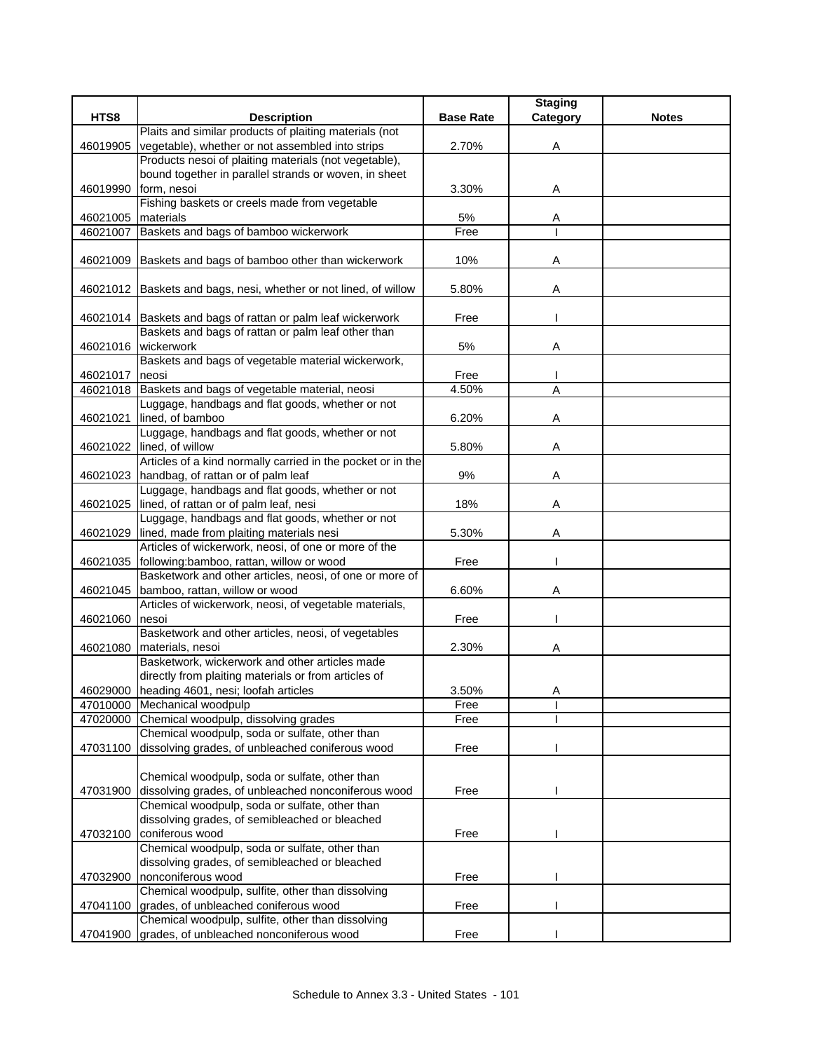|                |                                                                                                  |                  | <b>Staging</b> |              |
|----------------|--------------------------------------------------------------------------------------------------|------------------|----------------|--------------|
| HTS8           | <b>Description</b>                                                                               | <b>Base Rate</b> | Category       | <b>Notes</b> |
|                | Plaits and similar products of plaiting materials (not                                           |                  |                |              |
| 46019905       | vegetable), whether or not assembled into strips                                                 | 2.70%            | Α              |              |
|                | Products nesoi of plaiting materials (not vegetable),                                            |                  |                |              |
|                | bound together in parallel strands or woven, in sheet                                            |                  |                |              |
| 46019990       | form, nesoi                                                                                      | 3.30%            | Α              |              |
|                | Fishing baskets or creels made from vegetable                                                    |                  |                |              |
| 46021005       | materials                                                                                        | 5%               | A              |              |
| 46021007       | Baskets and bags of bamboo wickerwork                                                            | Free             |                |              |
|                |                                                                                                  |                  |                |              |
|                | 46021009 Baskets and bags of bamboo other than wickerwork                                        | 10%              | Α              |              |
|                |                                                                                                  |                  |                |              |
|                | 46021012 Baskets and bags, nesi, whether or not lined, of willow                                 | 5.80%            | Α              |              |
|                |                                                                                                  |                  |                |              |
|                | 46021014 Baskets and bags of rattan or palm leaf wickerwork                                      | Free             |                |              |
|                | Baskets and bags of rattan or palm leaf other than                                               |                  |                |              |
|                | 46021016 wickerwork                                                                              | 5%               | Α              |              |
|                | Baskets and bags of vegetable material wickerwork,                                               |                  |                |              |
| 46021017       | neosi                                                                                            | Free             |                |              |
| 46021018       | Baskets and bags of vegetable material, neosi                                                    | 4.50%            | A              |              |
|                | Luggage, handbags and flat goods, whether or not                                                 |                  |                |              |
| 46021021       | lined, of bamboo                                                                                 | 6.20%            | Α              |              |
|                | Luggage, handbags and flat goods, whether or not                                                 |                  |                |              |
| 46021022       | lined, of willow                                                                                 | 5.80%            | Α              |              |
|                | Articles of a kind normally carried in the pocket or in the                                      |                  |                |              |
|                | 46021023 handbag, of rattan or of palm leaf                                                      | 9%               | Α              |              |
|                | Luggage, handbags and flat goods, whether or not                                                 |                  |                |              |
|                | 46021025 lined, of rattan or of palm leaf, nesi                                                  | 18%              | Α              |              |
|                | Luggage, handbags and flat goods, whether or not                                                 |                  |                |              |
| 46021029       | lined, made from plaiting materials nesi                                                         | 5.30%            | A              |              |
|                | Articles of wickerwork, neosi, of one or more of the                                             |                  |                |              |
| 46021035       | following:bamboo, rattan, willow or wood                                                         | Free             |                |              |
|                | Basketwork and other articles, neosi, of one or more of                                          |                  |                |              |
| 46021045       | bamboo, rattan, willow or wood                                                                   | 6.60%            | Α              |              |
|                | Articles of wickerwork, neosi, of vegetable materials,                                           |                  |                |              |
| 46021060 nesoi |                                                                                                  | Free             |                |              |
|                | Basketwork and other articles, neosi, of vegetables                                              |                  |                |              |
|                | 46021080 materials, nesoi                                                                        | 2.30%            | Α              |              |
|                | Basketwork, wickerwork and other articles made                                                   |                  |                |              |
|                | directly from plaiting materials or from articles of                                             |                  |                |              |
|                | 46029000 heading 4601, nesi; loofah articles                                                     | 3.50%            | A              |              |
|                | 47010000 Mechanical woodpulp                                                                     | Free             |                |              |
|                | 47020000 Chemical woodpulp, dissolving grades                                                    | Free             |                |              |
|                | Chemical woodpulp, soda or sulfate, other than                                                   |                  |                |              |
| 47031100       | dissolving grades, of unbleached coniferous wood                                                 | Free             |                |              |
|                |                                                                                                  |                  |                |              |
|                | Chemical woodpulp, soda or sulfate, other than                                                   |                  |                |              |
| 47031900       | dissolving grades, of unbleached nonconiferous wood                                              | Free             |                |              |
|                | Chemical woodpulp, soda or sulfate, other than<br>dissolving grades, of semibleached or bleached |                  |                |              |
|                | coniferous wood                                                                                  |                  |                |              |
| 47032100       | Chemical woodpulp, soda or sulfate, other than                                                   | Free             |                |              |
|                |                                                                                                  |                  |                |              |
|                | dissolving grades, of semibleached or bleached<br>nonconiferous wood                             | Free             |                |              |
| 47032900       | Chemical woodpulp, sulfite, other than dissolving                                                |                  |                |              |
|                | 47041100 grades, of unbleached coniferous wood                                                   |                  |                |              |
|                | Chemical woodpulp, sulfite, other than dissolving                                                | Free             |                |              |
| 47041900       | grades, of unbleached nonconiferous wood                                                         | Free             |                |              |
|                |                                                                                                  |                  |                |              |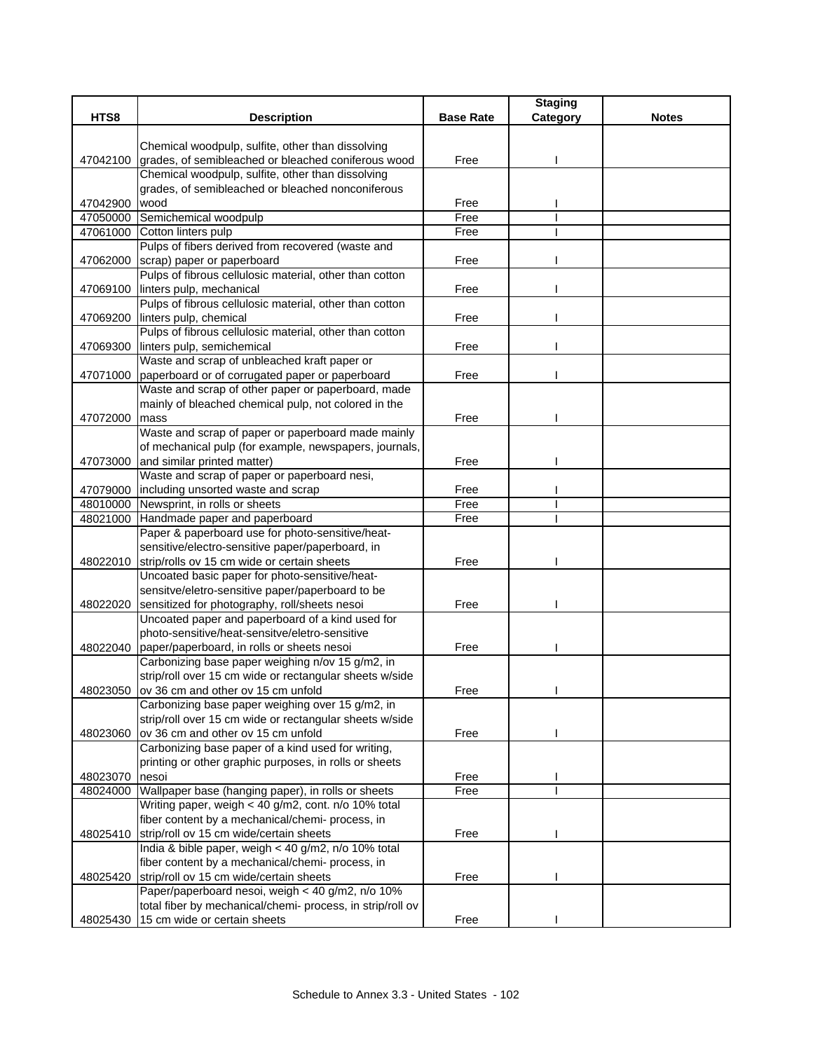|          |                                                                                                         |                  | <b>Staging</b> |              |
|----------|---------------------------------------------------------------------------------------------------------|------------------|----------------|--------------|
| HTS8     | <b>Description</b>                                                                                      | <b>Base Rate</b> | Category       | <b>Notes</b> |
|          |                                                                                                         |                  |                |              |
|          | Chemical woodpulp, sulfite, other than dissolving                                                       |                  |                |              |
| 47042100 | grades, of semibleached or bleached coniferous wood                                                     | Free             |                |              |
|          | Chemical woodpulp, sulfite, other than dissolving                                                       |                  |                |              |
|          | grades, of semibleached or bleached nonconiferous                                                       |                  |                |              |
| 47042900 | wood                                                                                                    | Free             |                |              |
| 47050000 | Semichemical woodpulp                                                                                   | Free             |                |              |
| 47061000 | Cotton linters pulp                                                                                     | Free             |                |              |
|          | Pulps of fibers derived from recovered (waste and                                                       |                  |                |              |
| 47062000 | scrap) paper or paperboard                                                                              | Free             |                |              |
|          | Pulps of fibrous cellulosic material, other than cotton                                                 | Free             |                |              |
|          | 47069100 linters pulp, mechanical<br>Pulps of fibrous cellulosic material, other than cotton            |                  |                |              |
|          | 47069200 linters pulp, chemical                                                                         | Free             |                |              |
|          | Pulps of fibrous cellulosic material, other than cotton                                                 |                  |                |              |
| 47069300 | linters pulp, semichemical                                                                              | Free             |                |              |
|          | Waste and scrap of unbleached kraft paper or                                                            |                  |                |              |
| 47071000 | paperboard or of corrugated paper or paperboard                                                         | Free             |                |              |
|          | Waste and scrap of other paper or paperboard, made                                                      |                  |                |              |
|          | mainly of bleached chemical pulp, not colored in the                                                    |                  |                |              |
| 47072000 | mass                                                                                                    | Free             |                |              |
|          | Waste and scrap of paper or paperboard made mainly                                                      |                  |                |              |
|          | of mechanical pulp (for example, newspapers, journals,                                                  |                  |                |              |
| 47073000 | and similar printed matter)                                                                             | Free             |                |              |
|          | Waste and scrap of paper or paperboard nesi,                                                            |                  |                |              |
| 47079000 | including unsorted waste and scrap                                                                      | Free             |                |              |
| 48010000 | Newsprint, in rolls or sheets                                                                           | Free             |                |              |
| 48021000 | Handmade paper and paperboard                                                                           | Free             |                |              |
|          | Paper & paperboard use for photo-sensitive/heat-                                                        |                  |                |              |
|          | sensitive/electro-sensitive paper/paperboard, in                                                        |                  |                |              |
| 48022010 | strip/rolls ov 15 cm wide or certain sheets                                                             | Free             |                |              |
|          | Uncoated basic paper for photo-sensitive/heat-                                                          |                  |                |              |
|          | sensitve/eletro-sensitive paper/paperboard to be                                                        |                  |                |              |
| 48022020 | sensitized for photography, roll/sheets nesoi                                                           | Free             |                |              |
|          | Uncoated paper and paperboard of a kind used for                                                        |                  |                |              |
|          | photo-sensitive/heat-sensitve/eletro-sensitive                                                          |                  |                |              |
|          | 48022040 paper/paperboard, in rolls or sheets nesoi                                                     | Free             |                |              |
|          | Carbonizing base paper weighing n/ov 15 g/m2, in                                                        |                  |                |              |
|          | strip/roll over 15 cm wide or rectangular sheets w/side                                                 |                  |                |              |
|          | 48023050 ov 36 cm and other ov 15 cm unfold                                                             | Free             |                |              |
|          | Carbonizing base paper weighing over 15 g/m2, in                                                        |                  |                |              |
|          | strip/roll over 15 cm wide or rectangular sheets w/side                                                 |                  |                |              |
| 48023060 | ov 36 cm and other ov 15 cm unfold                                                                      | Free             |                |              |
|          | Carbonizing base paper of a kind used for writing,                                                      |                  |                |              |
|          | printing or other graphic purposes, in rolls or sheets                                                  |                  |                |              |
| 48023070 | nesoi                                                                                                   | Free             |                |              |
| 48024000 | Wallpaper base (hanging paper), in rolls or sheets                                                      | Free             |                |              |
|          | Writing paper, weigh < 40 g/m2, cont. n/o 10% total                                                     |                  |                |              |
|          | fiber content by a mechanical/chemi- process, in                                                        |                  |                |              |
| 48025410 | strip/roll ov 15 cm wide/certain sheets                                                                 | Free             |                |              |
|          | India & bible paper, weigh < 40 g/m2, n/o 10% total<br>fiber content by a mechanical/chemi- process, in |                  |                |              |
|          | strip/roll ov 15 cm wide/certain sheets                                                                 |                  |                |              |
| 48025420 | Paper/paperboard nesoi, weigh < 40 g/m2, n/o 10%                                                        | Free             |                |              |
|          | total fiber by mechanical/chemi- process, in strip/roll ov                                              |                  |                |              |
|          | 48025430 15 cm wide or certain sheets                                                                   | Free             |                |              |
|          |                                                                                                         |                  |                |              |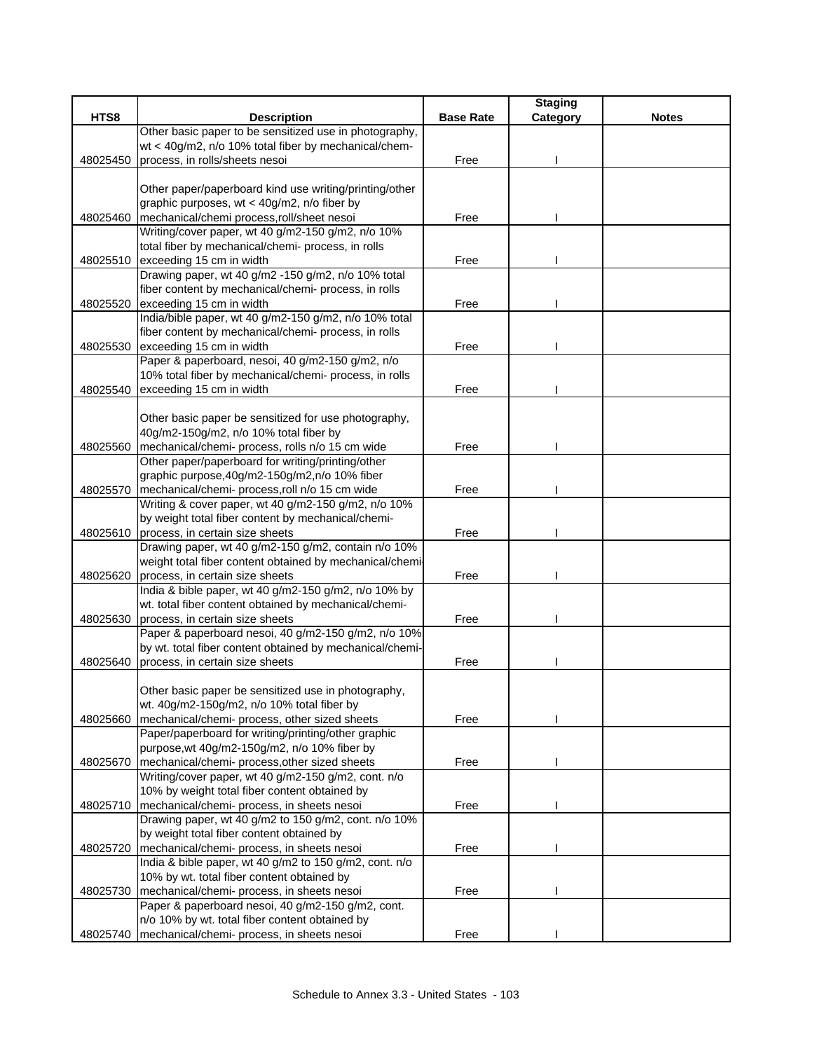|          |                                                                              |                  | <b>Staging</b> |              |
|----------|------------------------------------------------------------------------------|------------------|----------------|--------------|
| HTS8     | <b>Description</b>                                                           | <b>Base Rate</b> | Category       | <b>Notes</b> |
|          | Other basic paper to be sensitized use in photography,                       |                  |                |              |
|          | wt < 40g/m2, n/o 10% total fiber by mechanical/chem-                         |                  |                |              |
| 48025450 | process, in rolls/sheets nesoi                                               | Free             |                |              |
|          |                                                                              |                  |                |              |
|          | Other paper/paperboard kind use writing/printing/other                       |                  |                |              |
|          | graphic purposes, wt < 40g/m2, n/o fiber by                                  |                  |                |              |
| 48025460 | mechanical/chemi process, roll/sheet nesoi                                   | Free             |                |              |
|          | Writing/cover paper, wt 40 g/m2-150 g/m2, n/o 10%                            |                  |                |              |
|          | total fiber by mechanical/chemi- process, in rolls                           |                  |                |              |
|          | 48025510 exceeding 15 cm in width                                            | Free             |                |              |
|          | Drawing paper, wt 40 g/m2 -150 g/m2, n/o 10% total                           |                  |                |              |
|          | fiber content by mechanical/chemi- process, in rolls                         |                  |                |              |
| 48025520 | exceeding 15 cm in width                                                     | Free             |                |              |
|          | India/bible paper, wt 40 g/m2-150 g/m2, n/o 10% total                        |                  |                |              |
|          | fiber content by mechanical/chemi- process, in rolls                         |                  |                |              |
| 48025530 | exceeding 15 cm in width<br>Paper & paperboard, nesoi, 40 g/m2-150 g/m2, n/o | Free             |                |              |
|          | 10% total fiber by mechanical/chemi- process, in rolls                       |                  |                |              |
|          | exceeding 15 cm in width                                                     |                  |                |              |
| 48025540 |                                                                              | Free             |                |              |
|          | Other basic paper be sensitized for use photography,                         |                  |                |              |
|          | 40g/m2-150g/m2, n/o 10% total fiber by                                       |                  |                |              |
| 48025560 | mechanical/chemi- process, rolls n/o 15 cm wide                              | Free             |                |              |
|          | Other paper/paperboard for writing/printing/other                            |                  |                |              |
|          | graphic purpose, 40g/m2-150g/m2, n/o 10% fiber                               |                  |                |              |
| 48025570 | mechanical/chemi- process, roll n/o 15 cm wide                               | Free             |                |              |
|          | Writing & cover paper, wt 40 g/m2-150 g/m2, n/o 10%                          |                  |                |              |
|          | by weight total fiber content by mechanical/chemi-                           |                  |                |              |
| 48025610 | process, in certain size sheets                                              | Free             |                |              |
|          | Drawing paper, wt 40 g/m2-150 g/m2, contain n/o 10%                          |                  |                |              |
|          | weight total fiber content obtained by mechanical/chemi-                     |                  |                |              |
| 48025620 | process, in certain size sheets                                              | Free             |                |              |
|          | India & bible paper, wt 40 g/m2-150 g/m2, n/o 10% by                         |                  |                |              |
|          | wt. total fiber content obtained by mechanical/chemi-                        |                  |                |              |
| 48025630 | process, in certain size sheets                                              | Free             |                |              |
|          | Paper & paperboard nesoi, 40 g/m2-150 g/m2, n/o 10%                          |                  |                |              |
|          | by wt. total fiber content obtained by mechanical/chemi-                     |                  |                |              |
| 48025640 | process, in certain size sheets                                              | Free             |                |              |
|          |                                                                              |                  |                |              |
|          | Other basic paper be sensitized use in photography,                          |                  |                |              |
|          | wt. 40g/m2-150g/m2, n/o 10% total fiber by                                   |                  |                |              |
| 48025660 | mechanical/chemi- process, other sized sheets                                | Free             |                |              |
|          | Paper/paperboard for writing/printing/other graphic                          |                  |                |              |
|          | purpose, wt 40g/m2-150g/m2, n/o 10% fiber by                                 |                  |                |              |
| 48025670 | mechanical/chemi- process, other sized sheets                                | Free             |                |              |
|          | Writing/cover paper, wt 40 g/m2-150 g/m2, cont. n/o                          |                  |                |              |
|          | 10% by weight total fiber content obtained by                                |                  |                |              |
| 48025710 | mechanical/chemi- process, in sheets nesoi                                   | Free             |                |              |
|          | Drawing paper, wt 40 g/m2 to 150 g/m2, cont. n/o 10%                         |                  |                |              |
|          | by weight total fiber content obtained by                                    |                  |                |              |
| 48025720 | mechanical/chemi- process, in sheets nesoi                                   | Free             |                |              |
|          | India & bible paper, wt 40 g/m2 to 150 g/m2, cont. n/o                       |                  |                |              |
|          | 10% by wt. total fiber content obtained by                                   |                  |                |              |
| 48025730 | mechanical/chemi- process, in sheets nesoi                                   | Free             |                |              |
|          | Paper & paperboard nesoi, 40 g/m2-150 g/m2, cont.                            |                  |                |              |
|          | n/o 10% by wt. total fiber content obtained by                               |                  |                |              |
| 48025740 | mechanical/chemi- process, in sheets nesoi                                   | Free             |                |              |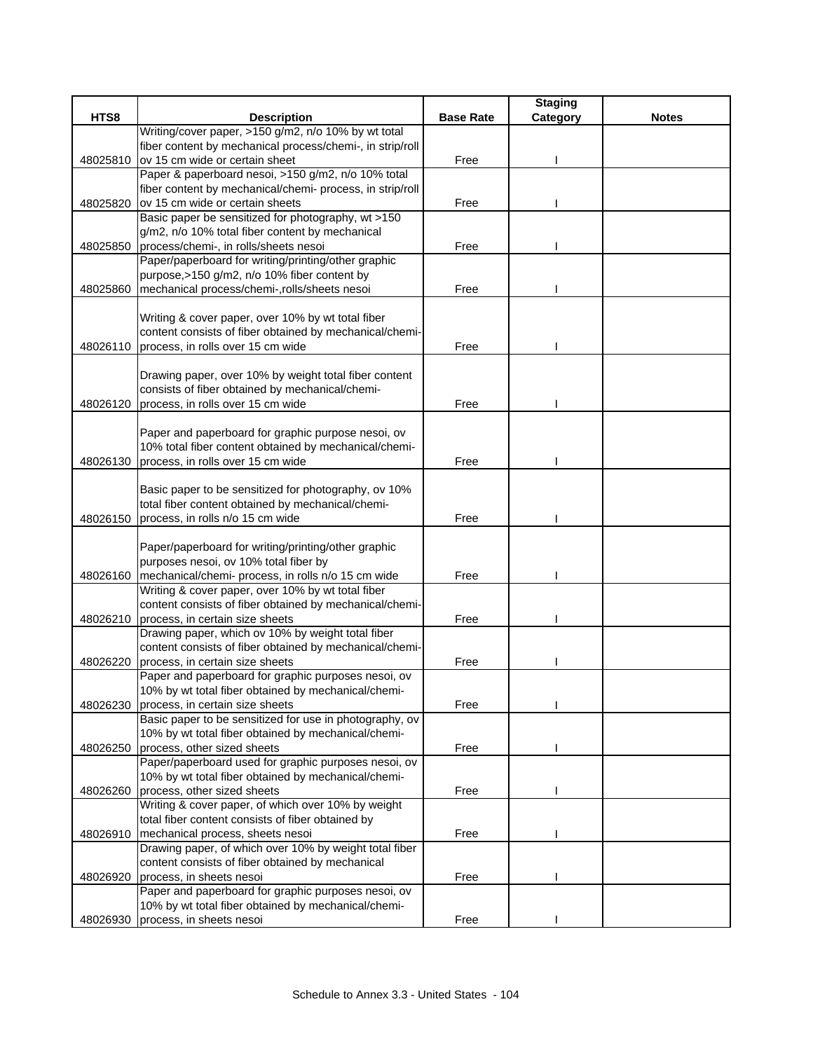|          |                                                                                                            |                  | <b>Staging</b> |              |
|----------|------------------------------------------------------------------------------------------------------------|------------------|----------------|--------------|
| HTS8     | <b>Description</b>                                                                                         | <b>Base Rate</b> | Category       | <b>Notes</b> |
|          | Writing/cover paper, >150 g/m2, n/o 10% by wt total                                                        |                  |                |              |
|          | fiber content by mechanical process/chemi-, in strip/roll                                                  |                  |                |              |
| 48025810 | ov 15 cm wide or certain sheet                                                                             | Free             |                |              |
|          | Paper & paperboard nesoi, >150 g/m2, n/o 10% total                                                         |                  |                |              |
|          | fiber content by mechanical/chemi- process, in strip/roll                                                  |                  |                |              |
| 48025820 | ov 15 cm wide or certain sheets                                                                            | Free             |                |              |
|          | Basic paper be sensitized for photography, wt >150                                                         |                  |                |              |
|          | g/m2, n/o 10% total fiber content by mechanical                                                            |                  |                |              |
| 48025850 | process/chemi-, in rolls/sheets nesoi<br>Paper/paperboard for writing/printing/other graphic               | Free             |                |              |
|          | purpose, > 150 g/m2, n/o 10% fiber content by                                                              |                  |                |              |
| 48025860 | mechanical process/chemi-,rolls/sheets nesoi                                                               | Free             |                |              |
|          |                                                                                                            |                  |                |              |
|          | Writing & cover paper, over 10% by wt total fiber                                                          |                  |                |              |
|          | content consists of fiber obtained by mechanical/chemi-                                                    |                  |                |              |
| 48026110 | process, in rolls over 15 cm wide                                                                          | Free             |                |              |
|          |                                                                                                            |                  |                |              |
|          | Drawing paper, over 10% by weight total fiber content                                                      |                  |                |              |
|          | consists of fiber obtained by mechanical/chemi-                                                            |                  |                |              |
| 48026120 | process, in rolls over 15 cm wide                                                                          | Free             |                |              |
|          |                                                                                                            |                  |                |              |
|          | Paper and paperboard for graphic purpose nesoi, ov                                                         |                  |                |              |
|          | 10% total fiber content obtained by mechanical/chemi-                                                      |                  |                |              |
| 48026130 | process, in rolls over 15 cm wide                                                                          | Free             |                |              |
|          |                                                                                                            |                  |                |              |
|          | Basic paper to be sensitized for photography, ov 10%                                                       |                  |                |              |
|          | total fiber content obtained by mechanical/chemi-                                                          |                  |                |              |
| 48026150 | process, in rolls n/o 15 cm wide                                                                           | Free             |                |              |
|          |                                                                                                            |                  |                |              |
|          | Paper/paperboard for writing/printing/other graphic                                                        |                  |                |              |
|          | purposes nesoi, ov 10% total fiber by                                                                      |                  |                |              |
| 48026160 | mechanical/chemi- process, in rolls n/o 15 cm wide                                                         | Free             |                |              |
|          | Writing & cover paper, over 10% by wt total fiber                                                          |                  |                |              |
|          | content consists of fiber obtained by mechanical/chemi-                                                    |                  |                |              |
| 48026210 | process, in certain size sheets                                                                            | Free             |                |              |
|          | Drawing paper, which ov 10% by weight total fiber                                                          |                  |                |              |
|          | content consists of fiber obtained by mechanical/chemi-                                                    |                  |                |              |
| 48026220 | process, in certain size sheets                                                                            | Free             |                |              |
|          | Paper and paperboard for graphic purposes nesoi, ov<br>10% by wt total fiber obtained by mechanical/chemi- |                  |                |              |
|          |                                                                                                            |                  |                |              |
| 48026230 | process, in certain size sheets<br>Basic paper to be sensitized for use in photography, ov                 | Free             |                |              |
|          | 10% by wt total fiber obtained by mechanical/chemi-                                                        |                  |                |              |
| 48026250 | process, other sized sheets                                                                                | Free             |                |              |
|          | Paper/paperboard used for graphic purposes nesoi, ov                                                       |                  |                |              |
|          | 10% by wt total fiber obtained by mechanical/chemi-                                                        |                  |                |              |
| 48026260 | process, other sized sheets                                                                                | Free             |                |              |
|          | Writing & cover paper, of which over 10% by weight                                                         |                  |                |              |
|          | total fiber content consists of fiber obtained by                                                          |                  |                |              |
| 48026910 | mechanical process, sheets nesoi                                                                           | Free             |                |              |
|          | Drawing paper, of which over 10% by weight total fiber                                                     |                  |                |              |
|          | content consists of fiber obtained by mechanical                                                           |                  |                |              |
| 48026920 | process, in sheets nesoi                                                                                   | Free             |                |              |
|          | Paper and paperboard for graphic purposes nesoi, ov                                                        |                  |                |              |
|          | 10% by wt total fiber obtained by mechanical/chemi-                                                        |                  |                |              |
| 48026930 | process, in sheets nesoi                                                                                   | Free             |                |              |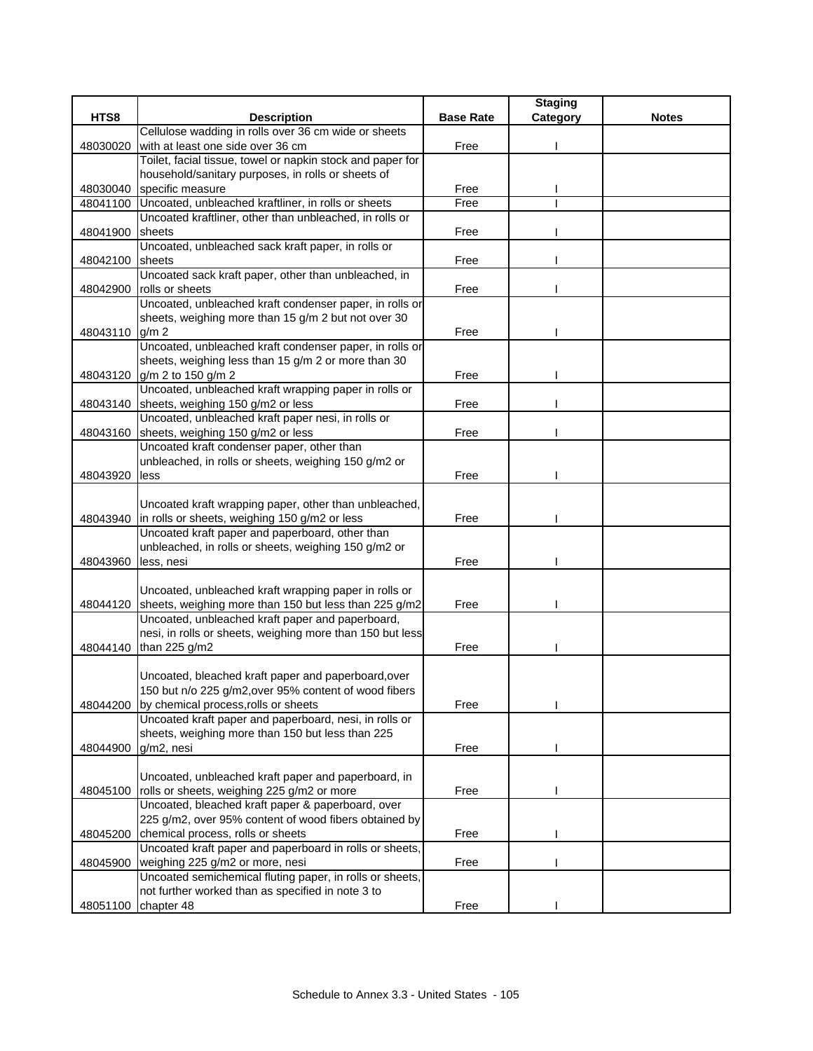|          |                                                                                                 |                  | <b>Staging</b> |              |
|----------|-------------------------------------------------------------------------------------------------|------------------|----------------|--------------|
| HTS8     | <b>Description</b>                                                                              | <b>Base Rate</b> | Category       | <b>Notes</b> |
|          | Cellulose wadding in rolls over 36 cm wide or sheets                                            |                  |                |              |
| 48030020 | with at least one side over 36 cm                                                               | Free             |                |              |
|          | Toilet, facial tissue, towel or napkin stock and paper for                                      |                  |                |              |
|          | household/sanitary purposes, in rolls or sheets of                                              |                  |                |              |
| 48030040 | specific measure                                                                                | Free             |                |              |
| 48041100 | Uncoated, unbleached kraftliner, in rolls or sheets                                             | Free             |                |              |
|          | Uncoated kraftliner, other than unbleached, in rolls or                                         |                  |                |              |
| 48041900 | sheets                                                                                          | Free             |                |              |
|          | Uncoated, unbleached sack kraft paper, in rolls or                                              |                  |                |              |
| 48042100 | sheets                                                                                          | Free             |                |              |
|          | Uncoated sack kraft paper, other than unbleached, in                                            |                  |                |              |
| 48042900 | rolls or sheets                                                                                 | Free             |                |              |
|          | Uncoated, unbleached kraft condenser paper, in rolls or                                         |                  |                |              |
| 48043110 | sheets, weighing more than 15 g/m 2 but not over 30<br>g/m <sub>2</sub>                         | Free             |                |              |
|          | Uncoated, unbleached kraft condenser paper, in rolls or                                         |                  |                |              |
|          | sheets, weighing less than 15 g/m 2 or more than 30                                             |                  |                |              |
| 48043120 | g/m 2 to 150 g/m 2                                                                              | Free             |                |              |
|          | Uncoated, unbleached kraft wrapping paper in rolls or                                           |                  |                |              |
| 48043140 | sheets, weighing 150 g/m2 or less                                                               | Free             |                |              |
|          | Uncoated, unbleached kraft paper nesi, in rolls or                                              |                  |                |              |
| 48043160 | sheets, weighing 150 g/m2 or less                                                               | Free             |                |              |
|          | Uncoated kraft condenser paper, other than                                                      |                  |                |              |
|          | unbleached, in rolls or sheets, weighing 150 g/m2 or                                            |                  |                |              |
| 48043920 | less                                                                                            | Free             |                |              |
|          |                                                                                                 |                  |                |              |
|          | Uncoated kraft wrapping paper, other than unbleached,                                           |                  |                |              |
| 48043940 | in rolls or sheets, weighing 150 g/m2 or less                                                   | Free             |                |              |
|          | Uncoated kraft paper and paperboard, other than                                                 |                  |                |              |
|          | unbleached, in rolls or sheets, weighing 150 g/m2 or                                            |                  |                |              |
| 48043960 | less, nesi                                                                                      | Free             |                |              |
|          |                                                                                                 |                  |                |              |
|          | Uncoated, unbleached kraft wrapping paper in rolls or                                           |                  |                |              |
| 48044120 | sheets, weighing more than 150 but less than 225 g/m2                                           | Free             |                |              |
|          | Uncoated, unbleached kraft paper and paperboard,                                                |                  |                |              |
|          | nesi, in rolls or sheets, weighing more than 150 but less                                       |                  |                |              |
|          | 48044140 than 225 g/m2                                                                          | Free             |                |              |
|          |                                                                                                 |                  |                |              |
|          | Uncoated, bleached kraft paper and paperboard, over                                             |                  |                |              |
|          | 150 but n/o 225 g/m2, over 95% content of wood fibers                                           |                  |                |              |
| 48044200 | by chemical process, rolls or sheets                                                            | Free             |                |              |
|          | Uncoated kraft paper and paperboard, nesi, in rolls or                                          |                  |                |              |
|          | sheets, weighing more than 150 but less than 225                                                |                  |                |              |
| 48044900 | g/m2, nesi                                                                                      | Free             |                |              |
|          |                                                                                                 |                  |                |              |
|          | Uncoated, unbleached kraft paper and paperboard, in                                             |                  |                |              |
| 48045100 | rolls or sheets, weighing 225 g/m2 or more<br>Uncoated, bleached kraft paper & paperboard, over | Free             |                |              |
|          | 225 g/m2, over 95% content of wood fibers obtained by                                           |                  |                |              |
| 48045200 | chemical process, rolls or sheets                                                               | Free             |                |              |
|          | Uncoated kraft paper and paperboard in rolls or sheets,                                         |                  |                |              |
| 48045900 | weighing 225 g/m2 or more, nesi                                                                 | Free             |                |              |
|          | Uncoated semichemical fluting paper, in rolls or sheets,                                        |                  |                |              |
|          | not further worked than as specified in note 3 to                                               |                  |                |              |
| 48051100 | chapter 48                                                                                      | Free             |                |              |
|          |                                                                                                 |                  |                |              |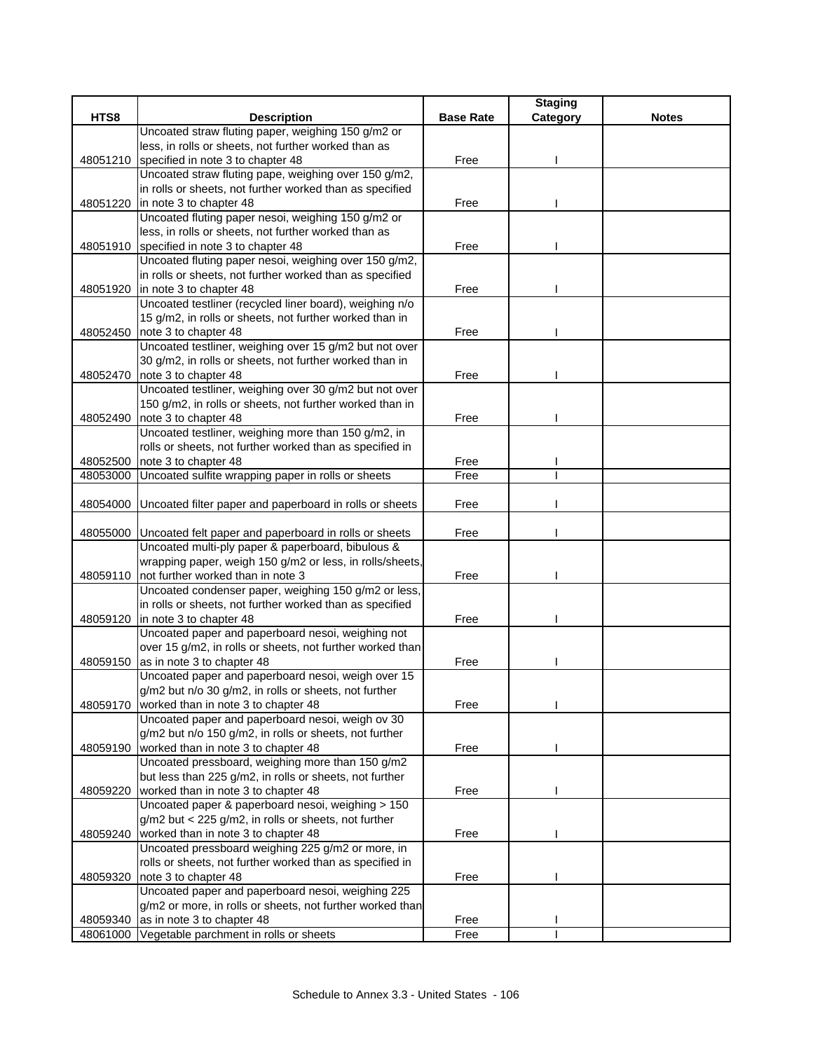|          |                                                                                              |                  | <b>Staging</b> |              |
|----------|----------------------------------------------------------------------------------------------|------------------|----------------|--------------|
| HTS8     | <b>Description</b>                                                                           | <b>Base Rate</b> | Category       | <b>Notes</b> |
|          | Uncoated straw fluting paper, weighing 150 g/m2 or                                           |                  |                |              |
|          | less, in rolls or sheets, not further worked than as                                         |                  |                |              |
| 48051210 | specified in note 3 to chapter 48                                                            | Free             |                |              |
|          | Uncoated straw fluting pape, weighing over 150 g/m2,                                         |                  |                |              |
|          | in rolls or sheets, not further worked than as specified                                     |                  |                |              |
| 48051220 | in note 3 to chapter 48                                                                      | Free             |                |              |
|          | Uncoated fluting paper nesoi, weighing 150 g/m2 or                                           |                  |                |              |
|          | less, in rolls or sheets, not further worked than as                                         |                  |                |              |
|          | 48051910 specified in note 3 to chapter 48                                                   | Free             |                |              |
|          | Uncoated fluting paper nesoi, weighing over 150 g/m2,                                        |                  |                |              |
|          | in rolls or sheets, not further worked than as specified                                     |                  |                |              |
| 48051920 | in note 3 to chapter 48                                                                      | Free             |                |              |
|          | Uncoated testliner (recycled liner board), weighing n/o                                      |                  |                |              |
|          | 15 g/m2, in rolls or sheets, not further worked than in                                      |                  |                |              |
|          | 48052450 note 3 to chapter 48                                                                | Free             |                |              |
|          | Uncoated testliner, weighing over 15 g/m2 but not over                                       |                  |                |              |
|          | 30 g/m2, in rolls or sheets, not further worked than in                                      |                  |                |              |
| 48052470 | note 3 to chapter 48                                                                         | Free             |                |              |
|          | Uncoated testliner, weighing over 30 g/m2 but not over                                       |                  |                |              |
|          | 150 g/m2, in rolls or sheets, not further worked than in                                     |                  |                |              |
| 48052490 | note 3 to chapter 48                                                                         | Free             |                |              |
|          | Uncoated testliner, weighing more than 150 g/m2, in                                          |                  |                |              |
|          | rolls or sheets, not further worked than as specified in                                     |                  |                |              |
| 48052500 | note 3 to chapter 48                                                                         | Free             |                |              |
| 48053000 | Uncoated sulfite wrapping paper in rolls or sheets                                           | Free             |                |              |
|          |                                                                                              |                  |                |              |
| 48054000 | Uncoated filter paper and paperboard in rolls or sheets                                      | Free             |                |              |
|          |                                                                                              |                  |                |              |
| 48055000 | Uncoated felt paper and paperboard in rolls or sheets                                        | Free             |                |              |
|          | Uncoated multi-ply paper & paperboard, bibulous &                                            |                  |                |              |
|          | wrapping paper, weigh 150 g/m2 or less, in rolls/sheets,                                     |                  |                |              |
| 48059110 | not further worked than in note 3                                                            | Free             |                |              |
|          | Uncoated condenser paper, weighing 150 g/m2 or less,                                         |                  |                |              |
|          | in rolls or sheets, not further worked than as specified                                     |                  |                |              |
|          | 48059120 in note 3 to chapter 48                                                             | Free             |                |              |
|          | Uncoated paper and paperboard nesoi, weighing not                                            |                  |                |              |
|          | over 15 g/m2, in rolls or sheets, not further worked than                                    |                  |                |              |
| 48059150 | as in note 3 to chapter 48                                                                   | Free             |                |              |
|          | Uncoated paper and paperboard nesoi, weigh over 15                                           |                  |                |              |
| 48059170 | g/m2 but n/o 30 g/m2, in rolls or sheets, not further<br>worked than in note 3 to chapter 48 |                  |                |              |
|          | Uncoated paper and paperboard nesoi, weigh ov 30                                             | Free             |                |              |
|          | g/m2 but n/o 150 g/m2, in rolls or sheets, not further                                       |                  |                |              |
|          |                                                                                              |                  |                |              |
| 48059190 | worked than in note 3 to chapter 48<br>Uncoated pressboard, weighing more than 150 g/m2      | Free             |                |              |
|          | but less than 225 g/m2, in rolls or sheets, not further                                      |                  |                |              |
| 48059220 | worked than in note 3 to chapter 48                                                          | Free             |                |              |
|          | Uncoated paper & paperboard nesoi, weighing > 150                                            |                  |                |              |
|          | g/m2 but < 225 g/m2, in rolls or sheets, not further                                         |                  |                |              |
| 48059240 | worked than in note 3 to chapter 48                                                          | Free             |                |              |
|          | Uncoated pressboard weighing 225 g/m2 or more, in                                            |                  |                |              |
|          | rolls or sheets, not further worked than as specified in                                     |                  |                |              |
| 48059320 | note 3 to chapter 48                                                                         | Free             |                |              |
|          | Uncoated paper and paperboard nesoi, weighing 225                                            |                  |                |              |
|          | g/m2 or more, in rolls or sheets, not further worked than                                    |                  |                |              |
| 48059340 | as in note 3 to chapter 48                                                                   | Free             |                |              |
| 48061000 | Vegetable parchment in rolls or sheets                                                       | Free             |                |              |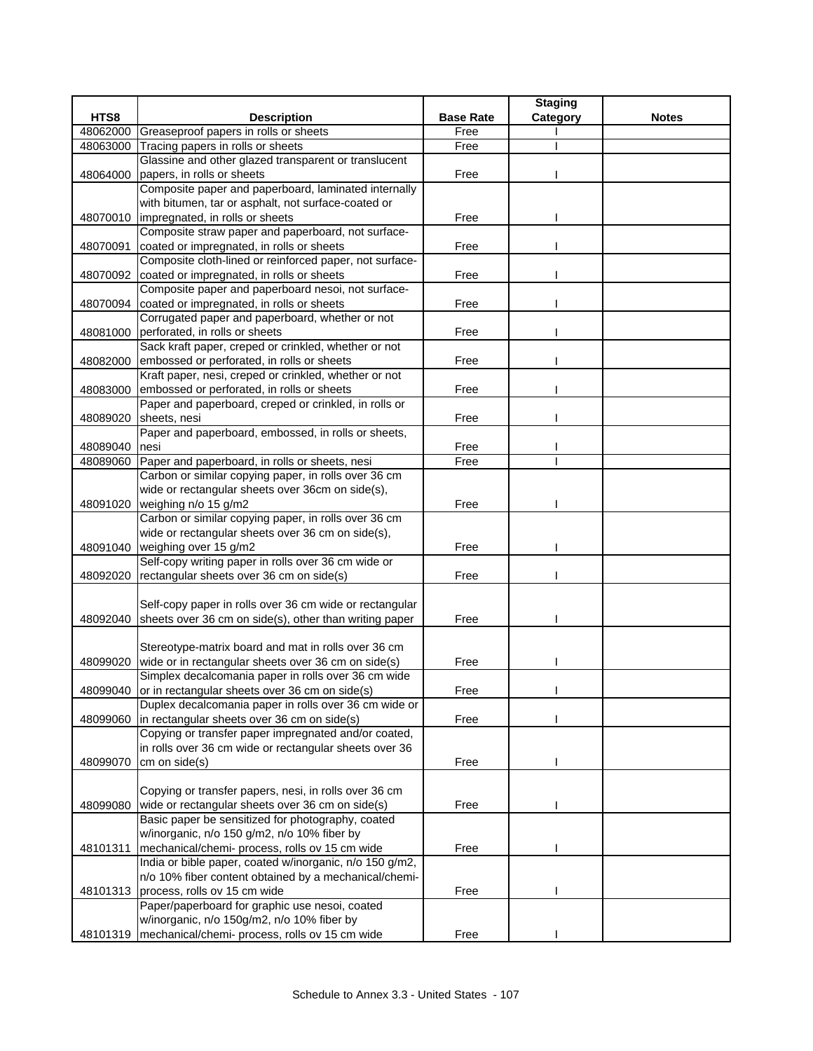| HTS8<br><b>Description</b><br><b>Base Rate</b><br>Category<br><b>Notes</b><br>48062000<br>Greaseproof papers in rolls or sheets<br>Free<br>Tracing papers in rolls or sheets<br>48063000<br>Free<br>Glassine and other glazed transparent or translucent<br>papers, in rolls or sheets<br>Free<br>48064000<br>Composite paper and paperboard, laminated internally<br>with bitumen, tar or asphalt, not surface-coated or<br>48070010 impregnated, in rolls or sheets<br>Free<br>Composite straw paper and paperboard, not surface-<br>coated or impregnated, in rolls or sheets<br>48070091<br>Free<br>Composite cloth-lined or reinforced paper, not surface-<br>48070092<br>coated or impregnated, in rolls or sheets<br>Free<br>Composite paper and paperboard nesoi, not surface-<br>coated or impregnated, in rolls or sheets<br>Free<br>48070094<br>Corrugated paper and paperboard, whether or not<br>48081000<br>perforated, in rolls or sheets<br>Free<br>Sack kraft paper, creped or crinkled, whether or not<br>embossed or perforated, in rolls or sheets<br>Free<br>48082000<br>Kraft paper, nesi, creped or crinkled, whether or not<br>embossed or perforated, in rolls or sheets<br>48083000<br>Free<br>Paper and paperboard, creped or crinkled, in rolls or<br>48089020<br>sheets, nesi<br>Free<br>Paper and paperboard, embossed, in rolls or sheets,<br>nesi<br>48089040<br>Free<br>Free<br>Paper and paperboard, in rolls or sheets, nesi<br>48089060<br>Carbon or similar copying paper, in rolls over 36 cm<br>wide or rectangular sheets over 36cm on side(s),<br>48091020 weighing n/o 15 g/m2<br>Free<br>Carbon or similar copying paper, in rolls over 36 cm<br>wide or rectangular sheets over 36 cm on side(s),<br>48091040<br>weighing over 15 g/m2<br>Free<br>Self-copy writing paper in rolls over 36 cm wide or<br>rectangular sheets over 36 cm on side(s)<br>Free<br>48092020<br>Self-copy paper in rolls over 36 cm wide or rectangular<br>48092040 sheets over 36 cm on side(s), other than writing paper<br>Free<br>Stereotype-matrix board and mat in rolls over 36 cm<br>wide or in rectangular sheets over 36 cm on side(s)<br>Free<br>48099020<br>Simplex decalcomania paper in rolls over 36 cm wide<br>48099040 or in rectangular sheets over 36 cm on side(s)<br>Free<br>Duplex decalcomania paper in rolls over 36 cm wide or<br>in rectangular sheets over 36 cm on side(s)<br>Free<br>48099060<br>Copying or transfer paper impregnated and/or coated,<br>in rolls over 36 cm wide or rectangular sheets over 36<br>48099070<br>cm on side(s)<br>Free<br>Copying or transfer papers, nesi, in rolls over 36 cm<br>wide or rectangular sheets over 36 cm on side(s)<br>Free<br>48099080<br>Basic paper be sensitized for photography, coated<br>w/inorganic, n/o 150 g/m2, n/o 10% fiber by<br>mechanical/chemi- process, rolls ov 15 cm wide<br>48101311<br>Free<br>India or bible paper, coated w/inorganic, n/o 150 g/m2,<br>n/o 10% fiber content obtained by a mechanical/chemi-<br>process, rolls ov 15 cm wide<br>48101313<br>Free<br>Paper/paperboard for graphic use nesoi, coated<br>w/inorganic, n/o 150g/m2, n/o 10% fiber by |          |                                                |      | <b>Staging</b> |  |
|-------------------------------------------------------------------------------------------------------------------------------------------------------------------------------------------------------------------------------------------------------------------------------------------------------------------------------------------------------------------------------------------------------------------------------------------------------------------------------------------------------------------------------------------------------------------------------------------------------------------------------------------------------------------------------------------------------------------------------------------------------------------------------------------------------------------------------------------------------------------------------------------------------------------------------------------------------------------------------------------------------------------------------------------------------------------------------------------------------------------------------------------------------------------------------------------------------------------------------------------------------------------------------------------------------------------------------------------------------------------------------------------------------------------------------------------------------------------------------------------------------------------------------------------------------------------------------------------------------------------------------------------------------------------------------------------------------------------------------------------------------------------------------------------------------------------------------------------------------------------------------------------------------------------------------------------------------------------------------------------------------------------------------------------------------------------------------------------------------------------------------------------------------------------------------------------------------------------------------------------------------------------------------------------------------------------------------------------------------------------------------------------------------------------------------------------------------------------------------------------------------------------------------------------------------------------------------------------------------------------------------------------------------------------------------------------------------------------------------------------------------------------------------------------------------------------------------------------------------------------------------------------------------------------------------------------------------------------------------------------------------------------------------------------------------------------------------------------------------------------------------------------------------------------------------------------|----------|------------------------------------------------|------|----------------|--|
|                                                                                                                                                                                                                                                                                                                                                                                                                                                                                                                                                                                                                                                                                                                                                                                                                                                                                                                                                                                                                                                                                                                                                                                                                                                                                                                                                                                                                                                                                                                                                                                                                                                                                                                                                                                                                                                                                                                                                                                                                                                                                                                                                                                                                                                                                                                                                                                                                                                                                                                                                                                                                                                                                                                                                                                                                                                                                                                                                                                                                                                                                                                                                                                           |          |                                                |      |                |  |
|                                                                                                                                                                                                                                                                                                                                                                                                                                                                                                                                                                                                                                                                                                                                                                                                                                                                                                                                                                                                                                                                                                                                                                                                                                                                                                                                                                                                                                                                                                                                                                                                                                                                                                                                                                                                                                                                                                                                                                                                                                                                                                                                                                                                                                                                                                                                                                                                                                                                                                                                                                                                                                                                                                                                                                                                                                                                                                                                                                                                                                                                                                                                                                                           |          |                                                |      |                |  |
|                                                                                                                                                                                                                                                                                                                                                                                                                                                                                                                                                                                                                                                                                                                                                                                                                                                                                                                                                                                                                                                                                                                                                                                                                                                                                                                                                                                                                                                                                                                                                                                                                                                                                                                                                                                                                                                                                                                                                                                                                                                                                                                                                                                                                                                                                                                                                                                                                                                                                                                                                                                                                                                                                                                                                                                                                                                                                                                                                                                                                                                                                                                                                                                           |          |                                                |      |                |  |
|                                                                                                                                                                                                                                                                                                                                                                                                                                                                                                                                                                                                                                                                                                                                                                                                                                                                                                                                                                                                                                                                                                                                                                                                                                                                                                                                                                                                                                                                                                                                                                                                                                                                                                                                                                                                                                                                                                                                                                                                                                                                                                                                                                                                                                                                                                                                                                                                                                                                                                                                                                                                                                                                                                                                                                                                                                                                                                                                                                                                                                                                                                                                                                                           |          |                                                |      |                |  |
|                                                                                                                                                                                                                                                                                                                                                                                                                                                                                                                                                                                                                                                                                                                                                                                                                                                                                                                                                                                                                                                                                                                                                                                                                                                                                                                                                                                                                                                                                                                                                                                                                                                                                                                                                                                                                                                                                                                                                                                                                                                                                                                                                                                                                                                                                                                                                                                                                                                                                                                                                                                                                                                                                                                                                                                                                                                                                                                                                                                                                                                                                                                                                                                           |          |                                                |      |                |  |
|                                                                                                                                                                                                                                                                                                                                                                                                                                                                                                                                                                                                                                                                                                                                                                                                                                                                                                                                                                                                                                                                                                                                                                                                                                                                                                                                                                                                                                                                                                                                                                                                                                                                                                                                                                                                                                                                                                                                                                                                                                                                                                                                                                                                                                                                                                                                                                                                                                                                                                                                                                                                                                                                                                                                                                                                                                                                                                                                                                                                                                                                                                                                                                                           |          |                                                |      |                |  |
|                                                                                                                                                                                                                                                                                                                                                                                                                                                                                                                                                                                                                                                                                                                                                                                                                                                                                                                                                                                                                                                                                                                                                                                                                                                                                                                                                                                                                                                                                                                                                                                                                                                                                                                                                                                                                                                                                                                                                                                                                                                                                                                                                                                                                                                                                                                                                                                                                                                                                                                                                                                                                                                                                                                                                                                                                                                                                                                                                                                                                                                                                                                                                                                           |          |                                                |      |                |  |
|                                                                                                                                                                                                                                                                                                                                                                                                                                                                                                                                                                                                                                                                                                                                                                                                                                                                                                                                                                                                                                                                                                                                                                                                                                                                                                                                                                                                                                                                                                                                                                                                                                                                                                                                                                                                                                                                                                                                                                                                                                                                                                                                                                                                                                                                                                                                                                                                                                                                                                                                                                                                                                                                                                                                                                                                                                                                                                                                                                                                                                                                                                                                                                                           |          |                                                |      |                |  |
|                                                                                                                                                                                                                                                                                                                                                                                                                                                                                                                                                                                                                                                                                                                                                                                                                                                                                                                                                                                                                                                                                                                                                                                                                                                                                                                                                                                                                                                                                                                                                                                                                                                                                                                                                                                                                                                                                                                                                                                                                                                                                                                                                                                                                                                                                                                                                                                                                                                                                                                                                                                                                                                                                                                                                                                                                                                                                                                                                                                                                                                                                                                                                                                           |          |                                                |      |                |  |
|                                                                                                                                                                                                                                                                                                                                                                                                                                                                                                                                                                                                                                                                                                                                                                                                                                                                                                                                                                                                                                                                                                                                                                                                                                                                                                                                                                                                                                                                                                                                                                                                                                                                                                                                                                                                                                                                                                                                                                                                                                                                                                                                                                                                                                                                                                                                                                                                                                                                                                                                                                                                                                                                                                                                                                                                                                                                                                                                                                                                                                                                                                                                                                                           |          |                                                |      |                |  |
|                                                                                                                                                                                                                                                                                                                                                                                                                                                                                                                                                                                                                                                                                                                                                                                                                                                                                                                                                                                                                                                                                                                                                                                                                                                                                                                                                                                                                                                                                                                                                                                                                                                                                                                                                                                                                                                                                                                                                                                                                                                                                                                                                                                                                                                                                                                                                                                                                                                                                                                                                                                                                                                                                                                                                                                                                                                                                                                                                                                                                                                                                                                                                                                           |          |                                                |      |                |  |
|                                                                                                                                                                                                                                                                                                                                                                                                                                                                                                                                                                                                                                                                                                                                                                                                                                                                                                                                                                                                                                                                                                                                                                                                                                                                                                                                                                                                                                                                                                                                                                                                                                                                                                                                                                                                                                                                                                                                                                                                                                                                                                                                                                                                                                                                                                                                                                                                                                                                                                                                                                                                                                                                                                                                                                                                                                                                                                                                                                                                                                                                                                                                                                                           |          |                                                |      |                |  |
|                                                                                                                                                                                                                                                                                                                                                                                                                                                                                                                                                                                                                                                                                                                                                                                                                                                                                                                                                                                                                                                                                                                                                                                                                                                                                                                                                                                                                                                                                                                                                                                                                                                                                                                                                                                                                                                                                                                                                                                                                                                                                                                                                                                                                                                                                                                                                                                                                                                                                                                                                                                                                                                                                                                                                                                                                                                                                                                                                                                                                                                                                                                                                                                           |          |                                                |      |                |  |
|                                                                                                                                                                                                                                                                                                                                                                                                                                                                                                                                                                                                                                                                                                                                                                                                                                                                                                                                                                                                                                                                                                                                                                                                                                                                                                                                                                                                                                                                                                                                                                                                                                                                                                                                                                                                                                                                                                                                                                                                                                                                                                                                                                                                                                                                                                                                                                                                                                                                                                                                                                                                                                                                                                                                                                                                                                                                                                                                                                                                                                                                                                                                                                                           |          |                                                |      |                |  |
|                                                                                                                                                                                                                                                                                                                                                                                                                                                                                                                                                                                                                                                                                                                                                                                                                                                                                                                                                                                                                                                                                                                                                                                                                                                                                                                                                                                                                                                                                                                                                                                                                                                                                                                                                                                                                                                                                                                                                                                                                                                                                                                                                                                                                                                                                                                                                                                                                                                                                                                                                                                                                                                                                                                                                                                                                                                                                                                                                                                                                                                                                                                                                                                           |          |                                                |      |                |  |
|                                                                                                                                                                                                                                                                                                                                                                                                                                                                                                                                                                                                                                                                                                                                                                                                                                                                                                                                                                                                                                                                                                                                                                                                                                                                                                                                                                                                                                                                                                                                                                                                                                                                                                                                                                                                                                                                                                                                                                                                                                                                                                                                                                                                                                                                                                                                                                                                                                                                                                                                                                                                                                                                                                                                                                                                                                                                                                                                                                                                                                                                                                                                                                                           |          |                                                |      |                |  |
|                                                                                                                                                                                                                                                                                                                                                                                                                                                                                                                                                                                                                                                                                                                                                                                                                                                                                                                                                                                                                                                                                                                                                                                                                                                                                                                                                                                                                                                                                                                                                                                                                                                                                                                                                                                                                                                                                                                                                                                                                                                                                                                                                                                                                                                                                                                                                                                                                                                                                                                                                                                                                                                                                                                                                                                                                                                                                                                                                                                                                                                                                                                                                                                           |          |                                                |      |                |  |
|                                                                                                                                                                                                                                                                                                                                                                                                                                                                                                                                                                                                                                                                                                                                                                                                                                                                                                                                                                                                                                                                                                                                                                                                                                                                                                                                                                                                                                                                                                                                                                                                                                                                                                                                                                                                                                                                                                                                                                                                                                                                                                                                                                                                                                                                                                                                                                                                                                                                                                                                                                                                                                                                                                                                                                                                                                                                                                                                                                                                                                                                                                                                                                                           |          |                                                |      |                |  |
|                                                                                                                                                                                                                                                                                                                                                                                                                                                                                                                                                                                                                                                                                                                                                                                                                                                                                                                                                                                                                                                                                                                                                                                                                                                                                                                                                                                                                                                                                                                                                                                                                                                                                                                                                                                                                                                                                                                                                                                                                                                                                                                                                                                                                                                                                                                                                                                                                                                                                                                                                                                                                                                                                                                                                                                                                                                                                                                                                                                                                                                                                                                                                                                           |          |                                                |      |                |  |
|                                                                                                                                                                                                                                                                                                                                                                                                                                                                                                                                                                                                                                                                                                                                                                                                                                                                                                                                                                                                                                                                                                                                                                                                                                                                                                                                                                                                                                                                                                                                                                                                                                                                                                                                                                                                                                                                                                                                                                                                                                                                                                                                                                                                                                                                                                                                                                                                                                                                                                                                                                                                                                                                                                                                                                                                                                                                                                                                                                                                                                                                                                                                                                                           |          |                                                |      |                |  |
|                                                                                                                                                                                                                                                                                                                                                                                                                                                                                                                                                                                                                                                                                                                                                                                                                                                                                                                                                                                                                                                                                                                                                                                                                                                                                                                                                                                                                                                                                                                                                                                                                                                                                                                                                                                                                                                                                                                                                                                                                                                                                                                                                                                                                                                                                                                                                                                                                                                                                                                                                                                                                                                                                                                                                                                                                                                                                                                                                                                                                                                                                                                                                                                           |          |                                                |      |                |  |
|                                                                                                                                                                                                                                                                                                                                                                                                                                                                                                                                                                                                                                                                                                                                                                                                                                                                                                                                                                                                                                                                                                                                                                                                                                                                                                                                                                                                                                                                                                                                                                                                                                                                                                                                                                                                                                                                                                                                                                                                                                                                                                                                                                                                                                                                                                                                                                                                                                                                                                                                                                                                                                                                                                                                                                                                                                                                                                                                                                                                                                                                                                                                                                                           |          |                                                |      |                |  |
|                                                                                                                                                                                                                                                                                                                                                                                                                                                                                                                                                                                                                                                                                                                                                                                                                                                                                                                                                                                                                                                                                                                                                                                                                                                                                                                                                                                                                                                                                                                                                                                                                                                                                                                                                                                                                                                                                                                                                                                                                                                                                                                                                                                                                                                                                                                                                                                                                                                                                                                                                                                                                                                                                                                                                                                                                                                                                                                                                                                                                                                                                                                                                                                           |          |                                                |      |                |  |
|                                                                                                                                                                                                                                                                                                                                                                                                                                                                                                                                                                                                                                                                                                                                                                                                                                                                                                                                                                                                                                                                                                                                                                                                                                                                                                                                                                                                                                                                                                                                                                                                                                                                                                                                                                                                                                                                                                                                                                                                                                                                                                                                                                                                                                                                                                                                                                                                                                                                                                                                                                                                                                                                                                                                                                                                                                                                                                                                                                                                                                                                                                                                                                                           |          |                                                |      |                |  |
|                                                                                                                                                                                                                                                                                                                                                                                                                                                                                                                                                                                                                                                                                                                                                                                                                                                                                                                                                                                                                                                                                                                                                                                                                                                                                                                                                                                                                                                                                                                                                                                                                                                                                                                                                                                                                                                                                                                                                                                                                                                                                                                                                                                                                                                                                                                                                                                                                                                                                                                                                                                                                                                                                                                                                                                                                                                                                                                                                                                                                                                                                                                                                                                           |          |                                                |      |                |  |
|                                                                                                                                                                                                                                                                                                                                                                                                                                                                                                                                                                                                                                                                                                                                                                                                                                                                                                                                                                                                                                                                                                                                                                                                                                                                                                                                                                                                                                                                                                                                                                                                                                                                                                                                                                                                                                                                                                                                                                                                                                                                                                                                                                                                                                                                                                                                                                                                                                                                                                                                                                                                                                                                                                                                                                                                                                                                                                                                                                                                                                                                                                                                                                                           |          |                                                |      |                |  |
|                                                                                                                                                                                                                                                                                                                                                                                                                                                                                                                                                                                                                                                                                                                                                                                                                                                                                                                                                                                                                                                                                                                                                                                                                                                                                                                                                                                                                                                                                                                                                                                                                                                                                                                                                                                                                                                                                                                                                                                                                                                                                                                                                                                                                                                                                                                                                                                                                                                                                                                                                                                                                                                                                                                                                                                                                                                                                                                                                                                                                                                                                                                                                                                           |          |                                                |      |                |  |
|                                                                                                                                                                                                                                                                                                                                                                                                                                                                                                                                                                                                                                                                                                                                                                                                                                                                                                                                                                                                                                                                                                                                                                                                                                                                                                                                                                                                                                                                                                                                                                                                                                                                                                                                                                                                                                                                                                                                                                                                                                                                                                                                                                                                                                                                                                                                                                                                                                                                                                                                                                                                                                                                                                                                                                                                                                                                                                                                                                                                                                                                                                                                                                                           |          |                                                |      |                |  |
|                                                                                                                                                                                                                                                                                                                                                                                                                                                                                                                                                                                                                                                                                                                                                                                                                                                                                                                                                                                                                                                                                                                                                                                                                                                                                                                                                                                                                                                                                                                                                                                                                                                                                                                                                                                                                                                                                                                                                                                                                                                                                                                                                                                                                                                                                                                                                                                                                                                                                                                                                                                                                                                                                                                                                                                                                                                                                                                                                                                                                                                                                                                                                                                           |          |                                                |      |                |  |
|                                                                                                                                                                                                                                                                                                                                                                                                                                                                                                                                                                                                                                                                                                                                                                                                                                                                                                                                                                                                                                                                                                                                                                                                                                                                                                                                                                                                                                                                                                                                                                                                                                                                                                                                                                                                                                                                                                                                                                                                                                                                                                                                                                                                                                                                                                                                                                                                                                                                                                                                                                                                                                                                                                                                                                                                                                                                                                                                                                                                                                                                                                                                                                                           |          |                                                |      |                |  |
|                                                                                                                                                                                                                                                                                                                                                                                                                                                                                                                                                                                                                                                                                                                                                                                                                                                                                                                                                                                                                                                                                                                                                                                                                                                                                                                                                                                                                                                                                                                                                                                                                                                                                                                                                                                                                                                                                                                                                                                                                                                                                                                                                                                                                                                                                                                                                                                                                                                                                                                                                                                                                                                                                                                                                                                                                                                                                                                                                                                                                                                                                                                                                                                           |          |                                                |      |                |  |
|                                                                                                                                                                                                                                                                                                                                                                                                                                                                                                                                                                                                                                                                                                                                                                                                                                                                                                                                                                                                                                                                                                                                                                                                                                                                                                                                                                                                                                                                                                                                                                                                                                                                                                                                                                                                                                                                                                                                                                                                                                                                                                                                                                                                                                                                                                                                                                                                                                                                                                                                                                                                                                                                                                                                                                                                                                                                                                                                                                                                                                                                                                                                                                                           |          |                                                |      |                |  |
|                                                                                                                                                                                                                                                                                                                                                                                                                                                                                                                                                                                                                                                                                                                                                                                                                                                                                                                                                                                                                                                                                                                                                                                                                                                                                                                                                                                                                                                                                                                                                                                                                                                                                                                                                                                                                                                                                                                                                                                                                                                                                                                                                                                                                                                                                                                                                                                                                                                                                                                                                                                                                                                                                                                                                                                                                                                                                                                                                                                                                                                                                                                                                                                           |          |                                                |      |                |  |
|                                                                                                                                                                                                                                                                                                                                                                                                                                                                                                                                                                                                                                                                                                                                                                                                                                                                                                                                                                                                                                                                                                                                                                                                                                                                                                                                                                                                                                                                                                                                                                                                                                                                                                                                                                                                                                                                                                                                                                                                                                                                                                                                                                                                                                                                                                                                                                                                                                                                                                                                                                                                                                                                                                                                                                                                                                                                                                                                                                                                                                                                                                                                                                                           |          |                                                |      |                |  |
|                                                                                                                                                                                                                                                                                                                                                                                                                                                                                                                                                                                                                                                                                                                                                                                                                                                                                                                                                                                                                                                                                                                                                                                                                                                                                                                                                                                                                                                                                                                                                                                                                                                                                                                                                                                                                                                                                                                                                                                                                                                                                                                                                                                                                                                                                                                                                                                                                                                                                                                                                                                                                                                                                                                                                                                                                                                                                                                                                                                                                                                                                                                                                                                           |          |                                                |      |                |  |
|                                                                                                                                                                                                                                                                                                                                                                                                                                                                                                                                                                                                                                                                                                                                                                                                                                                                                                                                                                                                                                                                                                                                                                                                                                                                                                                                                                                                                                                                                                                                                                                                                                                                                                                                                                                                                                                                                                                                                                                                                                                                                                                                                                                                                                                                                                                                                                                                                                                                                                                                                                                                                                                                                                                                                                                                                                                                                                                                                                                                                                                                                                                                                                                           |          |                                                |      |                |  |
|                                                                                                                                                                                                                                                                                                                                                                                                                                                                                                                                                                                                                                                                                                                                                                                                                                                                                                                                                                                                                                                                                                                                                                                                                                                                                                                                                                                                                                                                                                                                                                                                                                                                                                                                                                                                                                                                                                                                                                                                                                                                                                                                                                                                                                                                                                                                                                                                                                                                                                                                                                                                                                                                                                                                                                                                                                                                                                                                                                                                                                                                                                                                                                                           |          |                                                |      |                |  |
|                                                                                                                                                                                                                                                                                                                                                                                                                                                                                                                                                                                                                                                                                                                                                                                                                                                                                                                                                                                                                                                                                                                                                                                                                                                                                                                                                                                                                                                                                                                                                                                                                                                                                                                                                                                                                                                                                                                                                                                                                                                                                                                                                                                                                                                                                                                                                                                                                                                                                                                                                                                                                                                                                                                                                                                                                                                                                                                                                                                                                                                                                                                                                                                           |          |                                                |      |                |  |
|                                                                                                                                                                                                                                                                                                                                                                                                                                                                                                                                                                                                                                                                                                                                                                                                                                                                                                                                                                                                                                                                                                                                                                                                                                                                                                                                                                                                                                                                                                                                                                                                                                                                                                                                                                                                                                                                                                                                                                                                                                                                                                                                                                                                                                                                                                                                                                                                                                                                                                                                                                                                                                                                                                                                                                                                                                                                                                                                                                                                                                                                                                                                                                                           |          |                                                |      |                |  |
|                                                                                                                                                                                                                                                                                                                                                                                                                                                                                                                                                                                                                                                                                                                                                                                                                                                                                                                                                                                                                                                                                                                                                                                                                                                                                                                                                                                                                                                                                                                                                                                                                                                                                                                                                                                                                                                                                                                                                                                                                                                                                                                                                                                                                                                                                                                                                                                                                                                                                                                                                                                                                                                                                                                                                                                                                                                                                                                                                                                                                                                                                                                                                                                           |          |                                                |      |                |  |
|                                                                                                                                                                                                                                                                                                                                                                                                                                                                                                                                                                                                                                                                                                                                                                                                                                                                                                                                                                                                                                                                                                                                                                                                                                                                                                                                                                                                                                                                                                                                                                                                                                                                                                                                                                                                                                                                                                                                                                                                                                                                                                                                                                                                                                                                                                                                                                                                                                                                                                                                                                                                                                                                                                                                                                                                                                                                                                                                                                                                                                                                                                                                                                                           |          |                                                |      |                |  |
|                                                                                                                                                                                                                                                                                                                                                                                                                                                                                                                                                                                                                                                                                                                                                                                                                                                                                                                                                                                                                                                                                                                                                                                                                                                                                                                                                                                                                                                                                                                                                                                                                                                                                                                                                                                                                                                                                                                                                                                                                                                                                                                                                                                                                                                                                                                                                                                                                                                                                                                                                                                                                                                                                                                                                                                                                                                                                                                                                                                                                                                                                                                                                                                           |          |                                                |      |                |  |
|                                                                                                                                                                                                                                                                                                                                                                                                                                                                                                                                                                                                                                                                                                                                                                                                                                                                                                                                                                                                                                                                                                                                                                                                                                                                                                                                                                                                                                                                                                                                                                                                                                                                                                                                                                                                                                                                                                                                                                                                                                                                                                                                                                                                                                                                                                                                                                                                                                                                                                                                                                                                                                                                                                                                                                                                                                                                                                                                                                                                                                                                                                                                                                                           |          |                                                |      |                |  |
|                                                                                                                                                                                                                                                                                                                                                                                                                                                                                                                                                                                                                                                                                                                                                                                                                                                                                                                                                                                                                                                                                                                                                                                                                                                                                                                                                                                                                                                                                                                                                                                                                                                                                                                                                                                                                                                                                                                                                                                                                                                                                                                                                                                                                                                                                                                                                                                                                                                                                                                                                                                                                                                                                                                                                                                                                                                                                                                                                                                                                                                                                                                                                                                           |          |                                                |      |                |  |
|                                                                                                                                                                                                                                                                                                                                                                                                                                                                                                                                                                                                                                                                                                                                                                                                                                                                                                                                                                                                                                                                                                                                                                                                                                                                                                                                                                                                                                                                                                                                                                                                                                                                                                                                                                                                                                                                                                                                                                                                                                                                                                                                                                                                                                                                                                                                                                                                                                                                                                                                                                                                                                                                                                                                                                                                                                                                                                                                                                                                                                                                                                                                                                                           |          |                                                |      |                |  |
|                                                                                                                                                                                                                                                                                                                                                                                                                                                                                                                                                                                                                                                                                                                                                                                                                                                                                                                                                                                                                                                                                                                                                                                                                                                                                                                                                                                                                                                                                                                                                                                                                                                                                                                                                                                                                                                                                                                                                                                                                                                                                                                                                                                                                                                                                                                                                                                                                                                                                                                                                                                                                                                                                                                                                                                                                                                                                                                                                                                                                                                                                                                                                                                           |          |                                                |      |                |  |
|                                                                                                                                                                                                                                                                                                                                                                                                                                                                                                                                                                                                                                                                                                                                                                                                                                                                                                                                                                                                                                                                                                                                                                                                                                                                                                                                                                                                                                                                                                                                                                                                                                                                                                                                                                                                                                                                                                                                                                                                                                                                                                                                                                                                                                                                                                                                                                                                                                                                                                                                                                                                                                                                                                                                                                                                                                                                                                                                                                                                                                                                                                                                                                                           |          |                                                |      |                |  |
|                                                                                                                                                                                                                                                                                                                                                                                                                                                                                                                                                                                                                                                                                                                                                                                                                                                                                                                                                                                                                                                                                                                                                                                                                                                                                                                                                                                                                                                                                                                                                                                                                                                                                                                                                                                                                                                                                                                                                                                                                                                                                                                                                                                                                                                                                                                                                                                                                                                                                                                                                                                                                                                                                                                                                                                                                                                                                                                                                                                                                                                                                                                                                                                           |          |                                                |      |                |  |
|                                                                                                                                                                                                                                                                                                                                                                                                                                                                                                                                                                                                                                                                                                                                                                                                                                                                                                                                                                                                                                                                                                                                                                                                                                                                                                                                                                                                                                                                                                                                                                                                                                                                                                                                                                                                                                                                                                                                                                                                                                                                                                                                                                                                                                                                                                                                                                                                                                                                                                                                                                                                                                                                                                                                                                                                                                                                                                                                                                                                                                                                                                                                                                                           |          |                                                |      |                |  |
|                                                                                                                                                                                                                                                                                                                                                                                                                                                                                                                                                                                                                                                                                                                                                                                                                                                                                                                                                                                                                                                                                                                                                                                                                                                                                                                                                                                                                                                                                                                                                                                                                                                                                                                                                                                                                                                                                                                                                                                                                                                                                                                                                                                                                                                                                                                                                                                                                                                                                                                                                                                                                                                                                                                                                                                                                                                                                                                                                                                                                                                                                                                                                                                           |          |                                                |      |                |  |
|                                                                                                                                                                                                                                                                                                                                                                                                                                                                                                                                                                                                                                                                                                                                                                                                                                                                                                                                                                                                                                                                                                                                                                                                                                                                                                                                                                                                                                                                                                                                                                                                                                                                                                                                                                                                                                                                                                                                                                                                                                                                                                                                                                                                                                                                                                                                                                                                                                                                                                                                                                                                                                                                                                                                                                                                                                                                                                                                                                                                                                                                                                                                                                                           |          |                                                |      |                |  |
|                                                                                                                                                                                                                                                                                                                                                                                                                                                                                                                                                                                                                                                                                                                                                                                                                                                                                                                                                                                                                                                                                                                                                                                                                                                                                                                                                                                                                                                                                                                                                                                                                                                                                                                                                                                                                                                                                                                                                                                                                                                                                                                                                                                                                                                                                                                                                                                                                                                                                                                                                                                                                                                                                                                                                                                                                                                                                                                                                                                                                                                                                                                                                                                           |          |                                                |      |                |  |
|                                                                                                                                                                                                                                                                                                                                                                                                                                                                                                                                                                                                                                                                                                                                                                                                                                                                                                                                                                                                                                                                                                                                                                                                                                                                                                                                                                                                                                                                                                                                                                                                                                                                                                                                                                                                                                                                                                                                                                                                                                                                                                                                                                                                                                                                                                                                                                                                                                                                                                                                                                                                                                                                                                                                                                                                                                                                                                                                                                                                                                                                                                                                                                                           |          |                                                |      |                |  |
|                                                                                                                                                                                                                                                                                                                                                                                                                                                                                                                                                                                                                                                                                                                                                                                                                                                                                                                                                                                                                                                                                                                                                                                                                                                                                                                                                                                                                                                                                                                                                                                                                                                                                                                                                                                                                                                                                                                                                                                                                                                                                                                                                                                                                                                                                                                                                                                                                                                                                                                                                                                                                                                                                                                                                                                                                                                                                                                                                                                                                                                                                                                                                                                           |          |                                                |      |                |  |
|                                                                                                                                                                                                                                                                                                                                                                                                                                                                                                                                                                                                                                                                                                                                                                                                                                                                                                                                                                                                                                                                                                                                                                                                                                                                                                                                                                                                                                                                                                                                                                                                                                                                                                                                                                                                                                                                                                                                                                                                                                                                                                                                                                                                                                                                                                                                                                                                                                                                                                                                                                                                                                                                                                                                                                                                                                                                                                                                                                                                                                                                                                                                                                                           |          |                                                |      |                |  |
|                                                                                                                                                                                                                                                                                                                                                                                                                                                                                                                                                                                                                                                                                                                                                                                                                                                                                                                                                                                                                                                                                                                                                                                                                                                                                                                                                                                                                                                                                                                                                                                                                                                                                                                                                                                                                                                                                                                                                                                                                                                                                                                                                                                                                                                                                                                                                                                                                                                                                                                                                                                                                                                                                                                                                                                                                                                                                                                                                                                                                                                                                                                                                                                           |          |                                                |      |                |  |
|                                                                                                                                                                                                                                                                                                                                                                                                                                                                                                                                                                                                                                                                                                                                                                                                                                                                                                                                                                                                                                                                                                                                                                                                                                                                                                                                                                                                                                                                                                                                                                                                                                                                                                                                                                                                                                                                                                                                                                                                                                                                                                                                                                                                                                                                                                                                                                                                                                                                                                                                                                                                                                                                                                                                                                                                                                                                                                                                                                                                                                                                                                                                                                                           | 48101319 | mechanical/chemi- process, rolls ov 15 cm wide | Free |                |  |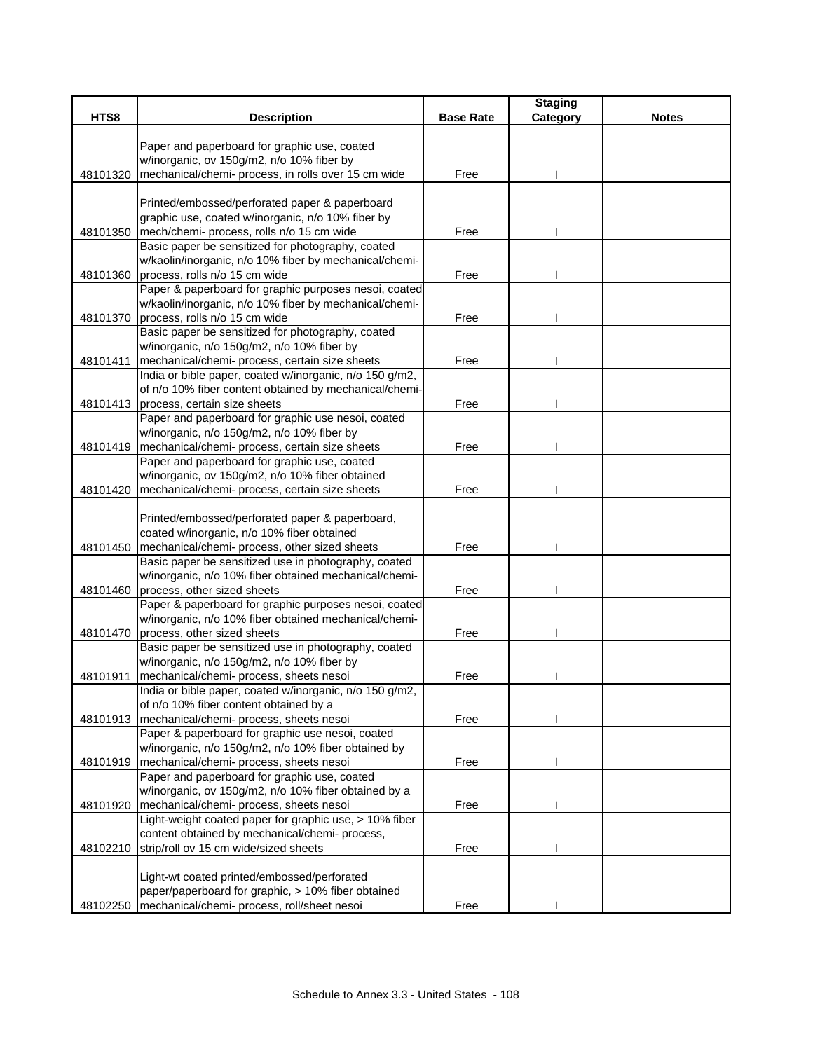|          |                                                                                                  |                  | <b>Staging</b> |              |
|----------|--------------------------------------------------------------------------------------------------|------------------|----------------|--------------|
| HTS8     | <b>Description</b>                                                                               | <b>Base Rate</b> | Category       | <b>Notes</b> |
|          | Paper and paperboard for graphic use, coated                                                     |                  |                |              |
|          | w/inorganic, ov 150g/m2, n/o 10% fiber by                                                        |                  |                |              |
| 48101320 | mechanical/chemi- process, in rolls over 15 cm wide                                              | Free             |                |              |
|          |                                                                                                  |                  |                |              |
|          | Printed/embossed/perforated paper & paperboard                                                   |                  |                |              |
|          | graphic use, coated w/inorganic, n/o 10% fiber by                                                |                  |                |              |
| 48101350 | mech/chemi- process, rolls n/o 15 cm wide                                                        | Free             |                |              |
|          | Basic paper be sensitized for photography, coated                                                |                  |                |              |
|          | w/kaolin/inorganic, n/o 10% fiber by mechanical/chemi-                                           |                  |                |              |
| 48101360 | process, rolls n/o 15 cm wide                                                                    | Free             |                |              |
|          | Paper & paperboard for graphic purposes nesoi, coated                                            |                  |                |              |
|          | w/kaolin/inorganic, n/o 10% fiber by mechanical/chemi-                                           |                  |                |              |
|          | 48101370 process, rolls n/o 15 cm wide                                                           | Free             |                |              |
|          | Basic paper be sensitized for photography, coated                                                |                  |                |              |
|          | w/inorganic, n/o 150g/m2, n/o 10% fiber by                                                       |                  |                |              |
| 48101411 | mechanical/chemi- process, certain size sheets                                                   | Free             |                |              |
|          | India or bible paper, coated w/inorganic, n/o 150 g/m2,                                          |                  |                |              |
|          | of n/o 10% fiber content obtained by mechanical/chemi-                                           |                  |                |              |
|          | 48101413 process, certain size sheets                                                            | Free             |                |              |
|          | Paper and paperboard for graphic use nesoi, coated<br>w/inorganic, n/o 150g/m2, n/o 10% fiber by |                  |                |              |
| 48101419 | mechanical/chemi- process, certain size sheets                                                   | Free             |                |              |
|          | Paper and paperboard for graphic use, coated                                                     |                  |                |              |
|          | w/inorganic, ov 150g/m2, n/o 10% fiber obtained                                                  |                  |                |              |
| 48101420 | mechanical/chemi- process, certain size sheets                                                   | Free             |                |              |
|          |                                                                                                  |                  |                |              |
|          | Printed/embossed/perforated paper & paperboard,                                                  |                  |                |              |
|          | coated w/inorganic, n/o 10% fiber obtained                                                       |                  |                |              |
|          | 48101450   mechanical/chemi- process, other sized sheets                                         | Free             |                |              |
|          | Basic paper be sensitized use in photography, coated                                             |                  |                |              |
|          | w/inorganic, n/o 10% fiber obtained mechanical/chemi-                                            |                  |                |              |
| 48101460 | process, other sized sheets                                                                      | Free             |                |              |
|          | Paper & paperboard for graphic purposes nesoi, coated                                            |                  |                |              |
|          | w/inorganic, n/o 10% fiber obtained mechanical/chemi-                                            |                  |                |              |
| 48101470 | process, other sized sheets                                                                      | Free             |                |              |
|          | Basic paper be sensitized use in photography, coated                                             |                  |                |              |
|          | w/inorganic, n/o 150g/m2, n/o 10% fiber by                                                       |                  |                |              |
| 48101911 | mechanical/chemi- process, sheets nesoi                                                          | Free             |                |              |
|          | India or bible paper, coated w/inorganic, n/o 150 g/m2,                                          |                  |                |              |
| 48101913 | of n/o 10% fiber content obtained by a                                                           | Free             |                |              |
|          | mechanical/chemi- process, sheets nesoi<br>Paper & paperboard for graphic use nesoi, coated      |                  |                |              |
|          | w/inorganic, n/o 150g/m2, n/o 10% fiber obtained by                                              |                  |                |              |
|          | 48101919   mechanical/chemi- process, sheets nesoi                                               | Free             |                |              |
|          | Paper and paperboard for graphic use, coated                                                     |                  |                |              |
|          | w/inorganic, ov 150g/m2, n/o 10% fiber obtained by a                                             |                  |                |              |
| 48101920 | mechanical/chemi- process, sheets nesoi                                                          | Free             |                |              |
|          | Light-weight coated paper for graphic use, > 10% fiber                                           |                  |                |              |
|          | content obtained by mechanical/chemi- process,                                                   |                  |                |              |
| 48102210 | strip/roll ov 15 cm wide/sized sheets                                                            | Free             |                |              |
|          |                                                                                                  |                  |                |              |
|          | Light-wt coated printed/embossed/perforated                                                      |                  |                |              |
|          | paper/paperboard for graphic, > 10% fiber obtained                                               |                  |                |              |
|          | 48102250   mechanical/chemi- process, roll/sheet nesoi                                           | Free             |                |              |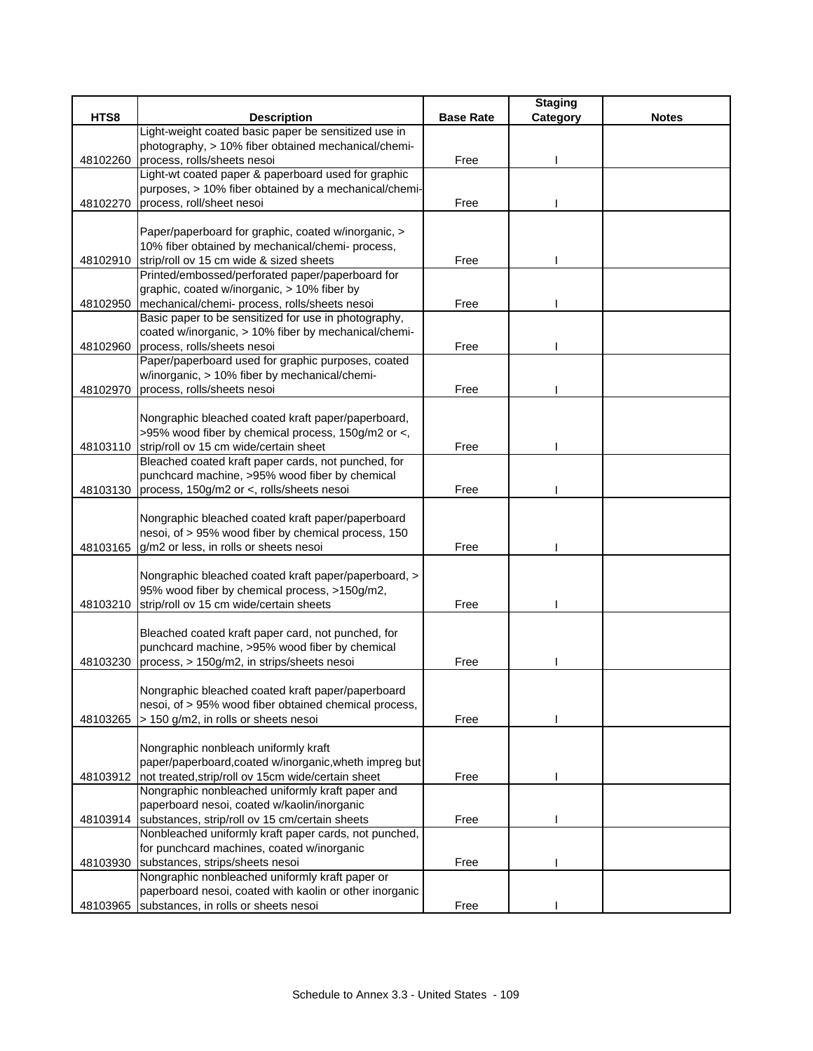|          |                                                         |                  | <b>Staging</b> |              |
|----------|---------------------------------------------------------|------------------|----------------|--------------|
| HTS8     | <b>Description</b>                                      | <b>Base Rate</b> | Category       | <b>Notes</b> |
|          | Light-weight coated basic paper be sensitized use in    |                  |                |              |
|          | photography, > 10% fiber obtained mechanical/chemi-     |                  |                |              |
| 48102260 | process, rolls/sheets nesoi                             | Free             |                |              |
|          | Light-wt coated paper & paperboard used for graphic     |                  |                |              |
|          | purposes, > 10% fiber obtained by a mechanical/chemi-   |                  |                |              |
| 48102270 | process, roll/sheet nesoi                               | Free             |                |              |
|          |                                                         |                  |                |              |
|          | Paper/paperboard for graphic, coated w/inorganic, >     |                  |                |              |
|          | 10% fiber obtained by mechanical/chemi- process,        |                  |                |              |
|          | 48102910 strip/roll ov 15 cm wide & sized sheets        | Free             |                |              |
|          | Printed/embossed/perforated paper/paperboard for        |                  |                |              |
|          | graphic, coated w/inorganic, > 10% fiber by             |                  |                |              |
| 48102950 | mechanical/chemi- process, rolls/sheets nesoi           | Free             |                |              |
|          | Basic paper to be sensitized for use in photography,    |                  |                |              |
|          | coated w/inorganic, > 10% fiber by mechanical/chemi-    |                  |                |              |
| 48102960 | process, rolls/sheets nesoi                             | Free             |                |              |
|          | Paper/paperboard used for graphic purposes, coated      |                  |                |              |
|          | w/inorganic, > 10% fiber by mechanical/chemi-           |                  |                |              |
| 48102970 | process, rolls/sheets nesoi                             | Free             |                |              |
|          |                                                         |                  |                |              |
|          | Nongraphic bleached coated kraft paper/paperboard,      |                  |                |              |
|          | >95% wood fiber by chemical process, 150g/m2 or <,      |                  |                |              |
| 48103110 | strip/roll ov 15 cm wide/certain sheet                  | Free             |                |              |
|          | Bleached coated kraft paper cards, not punched, for     |                  |                |              |
|          | punchcard machine, >95% wood fiber by chemical          |                  |                |              |
|          | 48103130 process, 150g/m2 or <, rolls/sheets nesoi      | Free             |                |              |
|          |                                                         |                  |                |              |
|          | Nongraphic bleached coated kraft paper/paperboard       |                  |                |              |
|          | nesoi, of > 95% wood fiber by chemical process, 150     |                  |                |              |
|          | 48103165 g/m2 or less, in rolls or sheets nesoi         | Free             |                |              |
|          | Nongraphic bleached coated kraft paper/paperboard, >    |                  |                |              |
|          | 95% wood fiber by chemical process, >150g/m2,           |                  |                |              |
| 48103210 | strip/roll ov 15 cm wide/certain sheets                 | Free             |                |              |
|          |                                                         |                  |                |              |
|          | Bleached coated kraft paper card, not punched, for      |                  |                |              |
|          | punchcard machine, >95% wood fiber by chemical          |                  |                |              |
| 48103230 | process, > 150g/m2, in strips/sheets nesoi              | Free             |                |              |
|          |                                                         |                  |                |              |
|          | Nongraphic bleached coated kraft paper/paperboard       |                  |                |              |
|          | nesoi, of > 95% wood fiber obtained chemical process,   |                  |                |              |
| 48103265 | > 150 g/m2, in rolls or sheets nesoi                    | Free             |                |              |
|          |                                                         |                  |                |              |
|          | Nongraphic nonbleach uniformly kraft                    |                  |                |              |
|          | paper/paperboard, coated w/inorganic, wheth impreg but  |                  |                |              |
| 48103912 | not treated, strip/roll ov 15cm wide/certain sheet      | Free             |                |              |
|          | Nongraphic nonbleached uniformly kraft paper and        |                  |                |              |
|          | paperboard nesoi, coated w/kaolin/inorganic             |                  |                |              |
|          | 48103914 substances, strip/roll ov 15 cm/certain sheets | Free             |                |              |
|          | Nonbleached uniformly kraft paper cards, not punched,   |                  |                |              |
|          | for punchcard machines, coated w/inorganic              |                  |                |              |
| 48103930 | substances, strips/sheets nesoi                         | Free             |                |              |
|          | Nongraphic nonbleached uniformly kraft paper or         |                  |                |              |
|          | paperboard nesoi, coated with kaolin or other inorganic |                  |                |              |
|          | 48103965 substances, in rolls or sheets nesoi           | Free             |                |              |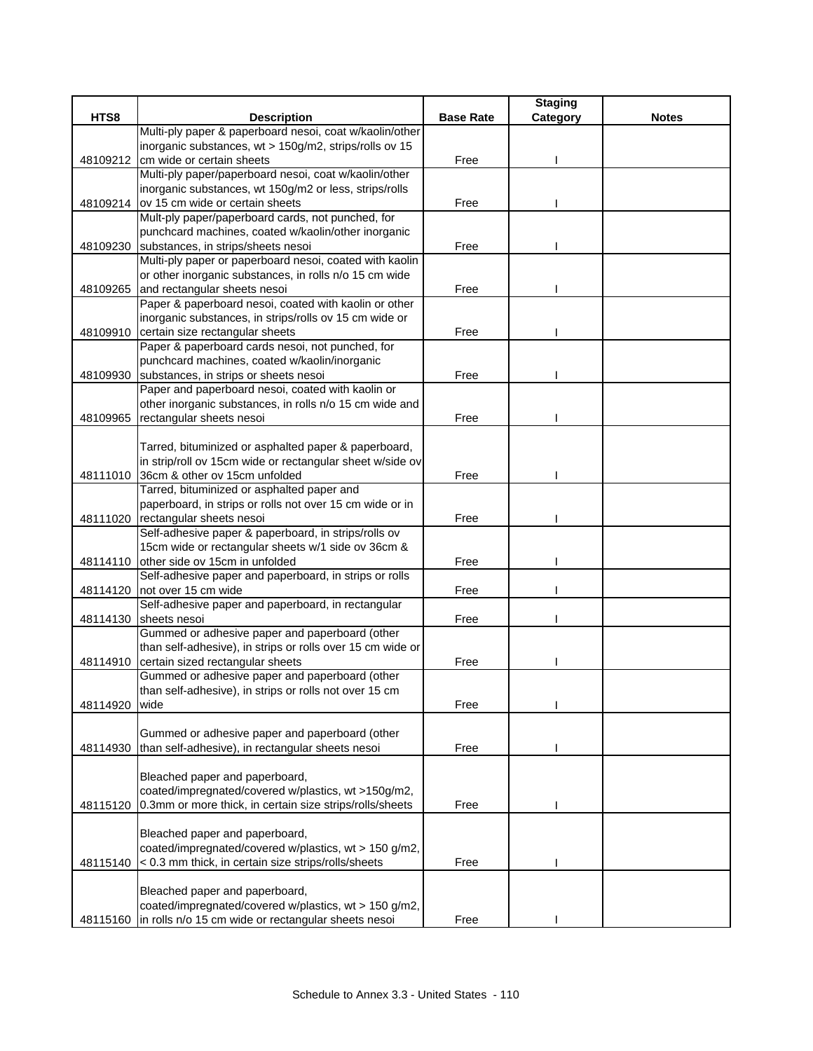|          |                                                                                                                   |                  | <b>Staging</b> |              |
|----------|-------------------------------------------------------------------------------------------------------------------|------------------|----------------|--------------|
| HTS8     | <b>Description</b>                                                                                                | <b>Base Rate</b> | Category       | <b>Notes</b> |
|          | Multi-ply paper & paperboard nesoi, coat w/kaolin/other                                                           |                  |                |              |
|          | inorganic substances, wt > 150g/m2, strips/rolls ov 15                                                            |                  |                |              |
| 48109212 | cm wide or certain sheets                                                                                         | Free             |                |              |
|          | Multi-ply paper/paperboard nesoi, coat w/kaolin/other                                                             |                  |                |              |
|          | inorganic substances, wt 150g/m2 or less, strips/rolls                                                            |                  |                |              |
|          | 48109214 ov 15 cm wide or certain sheets                                                                          | Free             |                |              |
|          | Mult-ply paper/paperboard cards, not punched, for                                                                 |                  |                |              |
|          | punchcard machines, coated w/kaolin/other inorganic                                                               |                  |                |              |
| 48109230 | substances, in strips/sheets nesoi                                                                                | Free             |                |              |
|          | Multi-ply paper or paperboard nesoi, coated with kaolin<br>or other inorganic substances, in rolls n/o 15 cm wide |                  |                |              |
|          | 48109265 and rectangular sheets nesoi                                                                             | Free             |                |              |
|          | Paper & paperboard nesoi, coated with kaolin or other                                                             |                  |                |              |
|          | inorganic substances, in strips/rolls ov 15 cm wide or                                                            |                  |                |              |
|          | 48109910 certain size rectangular sheets                                                                          | Free             |                |              |
|          | Paper & paperboard cards nesoi, not punched, for                                                                  |                  |                |              |
|          | punchcard machines, coated w/kaolin/inorganic                                                                     |                  |                |              |
| 48109930 | substances, in strips or sheets nesoi                                                                             | Free             |                |              |
|          | Paper and paperboard nesoi, coated with kaolin or                                                                 |                  |                |              |
|          | other inorganic substances, in rolls n/o 15 cm wide and                                                           |                  |                |              |
| 48109965 | rectangular sheets nesoi                                                                                          | Free             |                |              |
|          |                                                                                                                   |                  |                |              |
|          | Tarred, bituminized or asphalted paper & paperboard,                                                              |                  |                |              |
|          | in strip/roll ov 15cm wide or rectangular sheet w/side ov                                                         |                  |                |              |
|          | 48111010 36cm & other ov 15cm unfolded                                                                            | Free             |                |              |
|          | Tarred, bituminized or asphalted paper and                                                                        |                  |                |              |
|          | paperboard, in strips or rolls not over 15 cm wide or in                                                          |                  |                |              |
| 48111020 | rectangular sheets nesoi                                                                                          | Free             |                |              |
|          | Self-adhesive paper & paperboard, in strips/rolls ov                                                              |                  |                |              |
|          | 15cm wide or rectangular sheets w/1 side ov 36cm &                                                                |                  |                |              |
|          | 48114110 other side ov 15cm in unfolded                                                                           | Free             |                |              |
|          | Self-adhesive paper and paperboard, in strips or rolls                                                            |                  |                |              |
| 48114120 | not over 15 cm wide                                                                                               | Free             |                |              |
|          | Self-adhesive paper and paperboard, in rectangular                                                                |                  |                |              |
|          | 48114130 sheets nesoi                                                                                             | Free             |                |              |
|          | Gummed or adhesive paper and paperboard (other                                                                    |                  |                |              |
|          | than self-adhesive), in strips or rolls over 15 cm wide or                                                        |                  |                |              |
| 48114910 | certain sized rectangular sheets                                                                                  | Free             |                |              |
|          | Gummed or adhesive paper and paperboard (other                                                                    |                  |                |              |
|          | than self-adhesive), in strips or rolls not over 15 cm                                                            |                  |                |              |
| 48114920 | wide                                                                                                              | Free             |                |              |
|          | Gummed or adhesive paper and paperboard (other                                                                    |                  |                |              |
| 48114930 | than self-adhesive), in rectangular sheets nesoi                                                                  | Free             |                |              |
|          |                                                                                                                   |                  |                |              |
|          | Bleached paper and paperboard,                                                                                    |                  |                |              |
|          | coated/impregnated/covered w/plastics, wt >150g/m2,                                                               |                  |                |              |
| 48115120 | 0.3mm or more thick, in certain size strips/rolls/sheets                                                          | Free             |                |              |
|          |                                                                                                                   |                  |                |              |
|          | Bleached paper and paperboard,                                                                                    |                  |                |              |
|          | coated/impregnated/covered w/plastics, wt > 150 g/m2,                                                             |                  |                |              |
| 48115140 | < 0.3 mm thick, in certain size strips/rolls/sheets                                                               | Free             |                |              |
|          |                                                                                                                   |                  |                |              |
|          | Bleached paper and paperboard,                                                                                    |                  |                |              |
|          | coated/impregnated/covered w/plastics, wt > 150 g/m2,                                                             |                  |                |              |
| 48115160 | in rolls n/o 15 cm wide or rectangular sheets nesoi                                                               | Free             |                |              |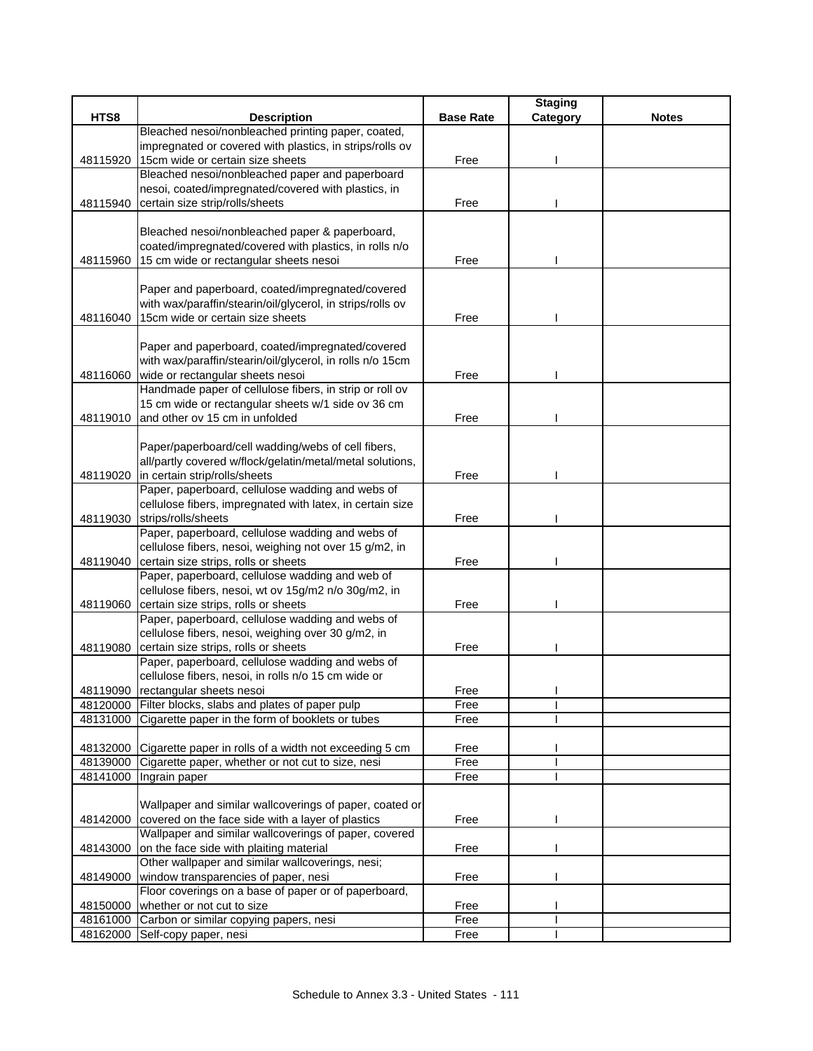|          |                                                                                                                      |                  | <b>Staging</b> |              |
|----------|----------------------------------------------------------------------------------------------------------------------|------------------|----------------|--------------|
| HTS8     | <b>Description</b>                                                                                                   | <b>Base Rate</b> | Category       | <b>Notes</b> |
|          | Bleached nesoi/nonbleached printing paper, coated,                                                                   |                  |                |              |
|          | impregnated or covered with plastics, in strips/rolls ov                                                             |                  |                |              |
| 48115920 | 15cm wide or certain size sheets                                                                                     | Free             |                |              |
|          | Bleached nesoi/nonbleached paper and paperboard                                                                      |                  |                |              |
|          | nesoi, coated/impregnated/covered with plastics, in                                                                  |                  |                |              |
| 48115940 | certain size strip/rolls/sheets                                                                                      | Free             |                |              |
|          |                                                                                                                      |                  |                |              |
|          | Bleached nesoi/nonbleached paper & paperboard,                                                                       |                  |                |              |
|          | coated/impregnated/covered with plastics, in rolls n/o                                                               |                  |                |              |
| 48115960 | 15 cm wide or rectangular sheets nesoi                                                                               | Free             |                |              |
|          |                                                                                                                      |                  |                |              |
|          | Paper and paperboard, coated/impregnated/covered                                                                     |                  |                |              |
|          | with wax/paraffin/stearin/oil/glycerol, in strips/rolls ov                                                           |                  |                |              |
| 48116040 | 15cm wide or certain size sheets                                                                                     | Free             |                |              |
|          |                                                                                                                      |                  |                |              |
|          | Paper and paperboard, coated/impregnated/covered                                                                     |                  |                |              |
|          | with wax/paraffin/stearin/oil/glycerol, in rolls n/o 15cm                                                            |                  |                |              |
| 48116060 | wide or rectangular sheets nesoi                                                                                     | Free             |                |              |
|          | Handmade paper of cellulose fibers, in strip or roll ov                                                              |                  |                |              |
|          | 15 cm wide or rectangular sheets w/1 side ov 36 cm                                                                   |                  |                |              |
| 48119010 | and other ov 15 cm in unfolded                                                                                       | Free             |                |              |
|          |                                                                                                                      |                  |                |              |
|          | Paper/paperboard/cell wadding/webs of cell fibers,                                                                   |                  |                |              |
|          | all/partly covered w/flock/gelatin/metal/metal solutions,                                                            |                  |                |              |
| 48119020 | in certain strip/rolls/sheets                                                                                        | Free             |                |              |
|          | Paper, paperboard, cellulose wadding and webs of                                                                     |                  |                |              |
|          | cellulose fibers, impregnated with latex, in certain size                                                            |                  |                |              |
| 48119030 | strips/rolls/sheets                                                                                                  | Free             |                |              |
|          | Paper, paperboard, cellulose wadding and webs of                                                                     |                  |                |              |
|          | cellulose fibers, nesoi, weighing not over 15 g/m2, in                                                               |                  |                |              |
| 48119040 | certain size strips, rolls or sheets                                                                                 | Free             |                |              |
|          | Paper, paperboard, cellulose wadding and web of                                                                      |                  |                |              |
|          | cellulose fibers, nesoi, wt ov 15g/m2 n/o 30g/m2, in                                                                 |                  |                |              |
| 48119060 | certain size strips, rolls or sheets                                                                                 | Free             |                |              |
|          | Paper, paperboard, cellulose wadding and webs of                                                                     |                  |                |              |
|          | cellulose fibers, nesoi, weighing over 30 g/m2, in                                                                   |                  |                |              |
| 48119080 | certain size strips, rolls or sheets                                                                                 | Free             |                |              |
|          | Paper, paperboard, cellulose wadding and webs of                                                                     |                  |                |              |
|          | cellulose fibers, nesoi, in rolls n/o 15 cm wide or                                                                  |                  |                |              |
|          | 48119090 rectangular sheets nesoi                                                                                    | Free             |                |              |
|          | 48120000 Filter blocks, slabs and plates of paper pulp                                                               | Free             |                |              |
|          | 48131000 Cigarette paper in the form of booklets or tubes                                                            | Free             |                |              |
|          |                                                                                                                      | Free             |                |              |
| 48139000 | 48132000 Cigarette paper in rolls of a width not exceeding 5 cm<br>Cigarette paper, whether or not cut to size, nesi | Free             |                |              |
| 48141000 | Ingrain paper                                                                                                        | Free             |                |              |
|          |                                                                                                                      |                  |                |              |
|          | Wallpaper and similar wallcoverings of paper, coated or                                                              |                  |                |              |
| 48142000 | covered on the face side with a layer of plastics                                                                    | Free             |                |              |
|          | Wallpaper and similar wallcoverings of paper, covered                                                                |                  |                |              |
| 48143000 | on the face side with plaiting material                                                                              | Free             |                |              |
|          | Other wallpaper and similar wallcoverings, nesi;                                                                     |                  |                |              |
| 48149000 | window transparencies of paper, nesi                                                                                 | Free             |                |              |
|          | Floor coverings on a base of paper or of paperboard,                                                                 |                  |                |              |
| 48150000 | whether or not cut to size                                                                                           | Free             |                |              |
|          | 48161000 Carbon or similar copying papers, nesi                                                                      | Free             |                |              |
|          | 48162000 Self-copy paper, nesi                                                                                       | Free             |                |              |
|          |                                                                                                                      |                  |                |              |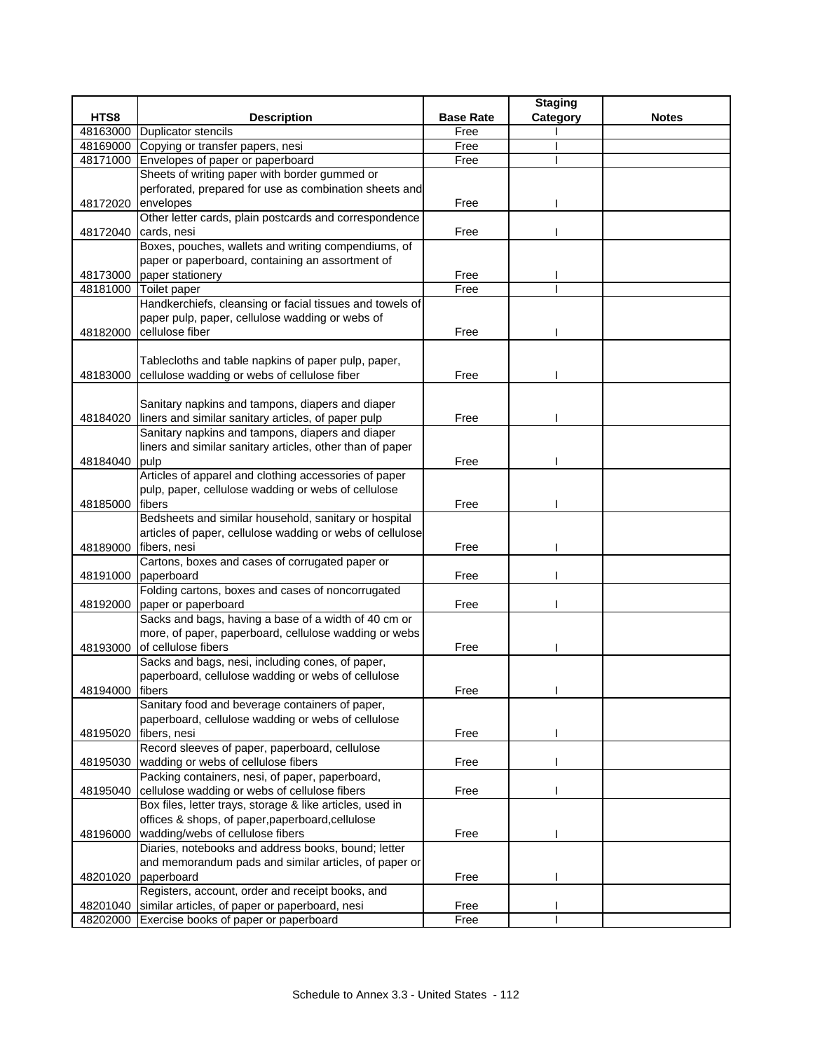|                 |                                                                                                     |                  | <b>Staging</b> |              |
|-----------------|-----------------------------------------------------------------------------------------------------|------------------|----------------|--------------|
| HTS8            | <b>Description</b>                                                                                  | <b>Base Rate</b> | Category       | <b>Notes</b> |
| 48163000        | <b>Duplicator stencils</b>                                                                          | Free             |                |              |
| 48169000        | Copying or transfer papers, nesi                                                                    | Free             |                |              |
| 48171000        | Envelopes of paper or paperboard                                                                    | Free             |                |              |
|                 | Sheets of writing paper with border gummed or                                                       |                  |                |              |
|                 | perforated, prepared for use as combination sheets and                                              |                  |                |              |
| 48172020        | envelopes                                                                                           | Free             |                |              |
|                 | Other letter cards, plain postcards and correspondence                                              |                  |                |              |
| 48172040        | cards, nesi                                                                                         | Free             |                |              |
|                 | Boxes, pouches, wallets and writing compendiums, of                                                 |                  |                |              |
|                 | paper or paperboard, containing an assortment of                                                    |                  |                |              |
| 48173000        | paper stationery                                                                                    | Free             |                |              |
| 48181000        | Toilet paper                                                                                        | Free             |                |              |
|                 | Handkerchiefs, cleansing or facial tissues and towels of                                            |                  |                |              |
|                 | paper pulp, paper, cellulose wadding or webs of                                                     |                  |                |              |
| 48182000        | cellulose fiber                                                                                     | Free             |                |              |
|                 |                                                                                                     |                  |                |              |
|                 | Tablecloths and table napkins of paper pulp, paper,<br>cellulose wadding or webs of cellulose fiber | Free             |                |              |
| 48183000        |                                                                                                     |                  |                |              |
|                 | Sanitary napkins and tampons, diapers and diaper                                                    |                  |                |              |
| 48184020        | liners and similar sanitary articles, of paper pulp                                                 | Free             |                |              |
|                 | Sanitary napkins and tampons, diapers and diaper                                                    |                  |                |              |
|                 | liners and similar sanitary articles, other than of paper                                           |                  |                |              |
| 48184040        | pulp                                                                                                | Free             |                |              |
|                 | Articles of apparel and clothing accessories of paper                                               |                  |                |              |
|                 | pulp, paper, cellulose wadding or webs of cellulose                                                 |                  |                |              |
| 48185000        | fibers                                                                                              | Free             |                |              |
|                 | Bedsheets and similar household, sanitary or hospital                                               |                  |                |              |
|                 | articles of paper, cellulose wadding or webs of cellulose                                           |                  |                |              |
| 48189000        | fibers, nesi                                                                                        | Free             |                |              |
|                 | Cartons, boxes and cases of corrugated paper or                                                     |                  |                |              |
| 48191000        | paperboard                                                                                          | Free             |                |              |
|                 | Folding cartons, boxes and cases of noncorrugated                                                   |                  |                |              |
|                 | 48192000 paper or paperboard                                                                        | Free             |                |              |
|                 | Sacks and bags, having a base of a width of 40 cm or                                                |                  |                |              |
|                 | more, of paper, paperboard, cellulose wadding or webs                                               |                  |                |              |
| 48193000        | of cellulose fibers                                                                                 | Free             |                |              |
|                 | Sacks and bags, nesi, including cones, of paper,                                                    |                  |                |              |
|                 | paperboard, cellulose wadding or webs of cellulose                                                  |                  |                |              |
| 48194000 fibers |                                                                                                     | Free             |                |              |
|                 | Sanitary food and beverage containers of paper,                                                     |                  |                |              |
|                 | paperboard, cellulose wadding or webs of cellulose                                                  |                  |                |              |
| 48195020        | fibers, nesi                                                                                        | Free             |                |              |
|                 | Record sleeves of paper, paperboard, cellulose                                                      |                  |                |              |
| 48195030        | wadding or webs of cellulose fibers                                                                 | Free             |                |              |
|                 | Packing containers, nesi, of paper, paperboard,                                                     |                  |                |              |
| 48195040        | cellulose wadding or webs of cellulose fibers                                                       | Free             |                |              |
|                 | Box files, letter trays, storage & like articles, used in                                           |                  |                |              |
|                 | offices & shops, of paper, paperboard, cellulose                                                    |                  |                |              |
| 48196000        | wadding/webs of cellulose fibers                                                                    | Free             |                |              |
|                 | Diaries, notebooks and address books, bound; letter                                                 |                  |                |              |
|                 | and memorandum pads and similar articles, of paper or                                               |                  |                |              |
| 48201020        | paperboard                                                                                          | Free             |                |              |
|                 | Registers, account, order and receipt books, and                                                    |                  |                |              |
|                 | 48201040 similar articles, of paper or paperboard, nesi                                             | Free             |                |              |
|                 | 48202000 Exercise books of paper or paperboard                                                      | Free             |                |              |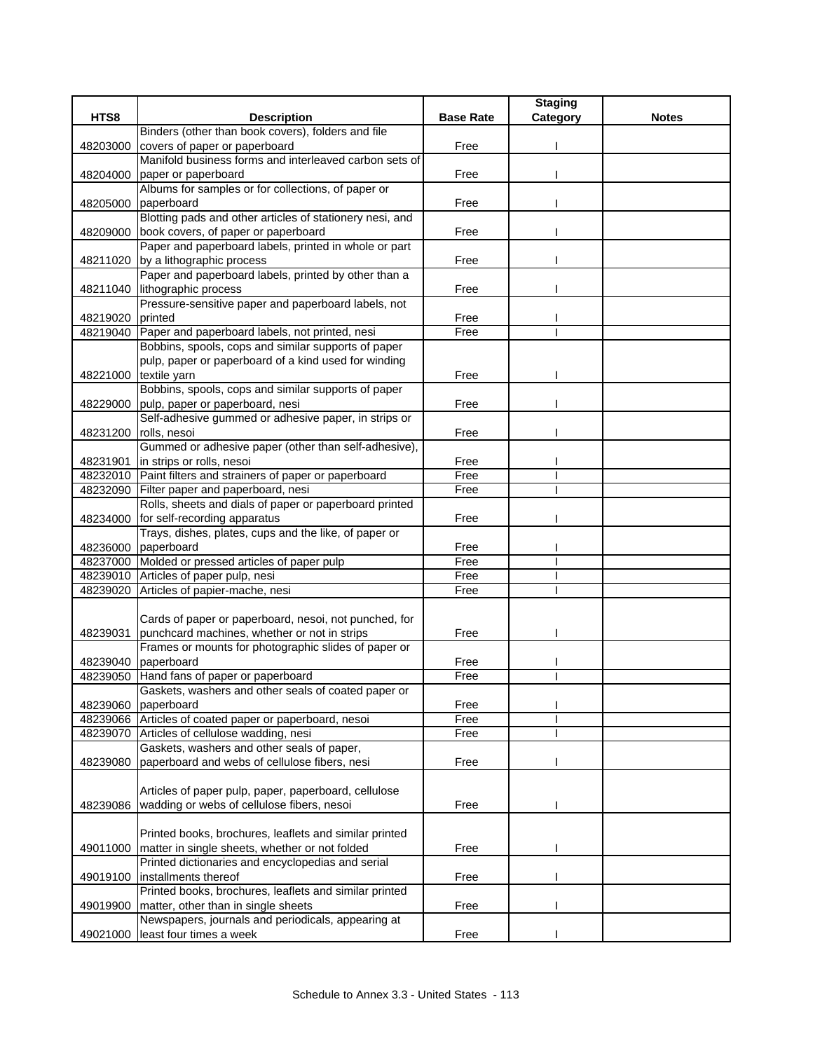|                  |                                                                                       |                  | <b>Staging</b> |              |
|------------------|---------------------------------------------------------------------------------------|------------------|----------------|--------------|
| HTS8             | <b>Description</b>                                                                    | <b>Base Rate</b> | Category       | <b>Notes</b> |
|                  | Binders (other than book covers), folders and file                                    |                  |                |              |
| 48203000         | covers of paper or paperboard                                                         | Free             |                |              |
|                  | Manifold business forms and interleaved carbon sets of                                |                  |                |              |
|                  | 48204000 paper or paperboard                                                          | Free             |                |              |
|                  | Albums for samples or for collections, of paper or                                    |                  |                |              |
|                  | 48205000 paperboard                                                                   | Free             |                |              |
|                  | Blotting pads and other articles of stationery nesi, and                              |                  |                |              |
|                  | 48209000 book covers, of paper or paperboard                                          | Free             |                |              |
|                  | Paper and paperboard labels, printed in whole or part                                 |                  |                |              |
|                  | 48211020 by a lithographic process                                                    | Free             |                |              |
|                  | Paper and paperboard labels, printed by other than a                                  |                  |                |              |
|                  | 48211040 lithographic process                                                         | Free             |                |              |
|                  | Pressure-sensitive paper and paperboard labels, not                                   |                  |                |              |
| 48219020 printed |                                                                                       | Free             |                |              |
| 48219040         | Paper and paperboard labels, not printed, nesi                                        | Free             |                |              |
|                  | Bobbins, spools, cops and similar supports of paper                                   |                  |                |              |
|                  | pulp, paper or paperboard of a kind used for winding                                  |                  |                |              |
|                  | 48221000 textile yarn                                                                 | Free             |                |              |
|                  | Bobbins, spools, cops and similar supports of paper                                   |                  |                |              |
| 48229000         | pulp, paper or paperboard, nesi                                                       | Free             |                |              |
|                  | Self-adhesive gummed or adhesive paper, in strips or                                  |                  |                |              |
| 48231200         | rolls, nesoi                                                                          | Free             |                |              |
|                  | Gummed or adhesive paper (other than self-adhesive),                                  |                  |                |              |
| 48231901         | in strips or rolls, nesoi                                                             | Free             |                |              |
|                  | 48232010 Paint filters and strainers of paper or paperboard                           | Free             |                |              |
| 48232090         | Filter paper and paperboard, nesi                                                     | Free             |                |              |
|                  | Rolls, sheets and dials of paper or paperboard printed                                |                  |                |              |
| 48234000         | for self-recording apparatus<br>Trays, dishes, plates, cups and the like, of paper or | Free             |                |              |
|                  | 48236000 paperboard                                                                   | Free             |                |              |
|                  | 48237000 Molded or pressed articles of paper pulp                                     | Free             |                |              |
|                  | 48239010 Articles of paper pulp, nesi                                                 | Free             |                |              |
|                  | 48239020 Articles of papier-mache, nesi                                               | Free             |                |              |
|                  |                                                                                       |                  |                |              |
|                  | Cards of paper or paperboard, nesoi, not punched, for                                 |                  |                |              |
| 48239031         | punchcard machines, whether or not in strips                                          | Free             |                |              |
|                  | Frames or mounts for photographic slides of paper or                                  |                  |                |              |
|                  | 48239040 paperboard                                                                   | Free             |                |              |
|                  | 48239050 Hand fans of paper or paperboard                                             | Free             |                |              |
|                  | Gaskets, washers and other seals of coated paper or                                   |                  |                |              |
| 48239060         | paperboard                                                                            | Free             |                |              |
| 48239066         | Articles of coated paper or paperboard, nesoi                                         | Free             |                |              |
| 48239070         | Articles of cellulose wadding, nesi                                                   | Free             |                |              |
|                  | Gaskets, washers and other seals of paper,                                            |                  |                |              |
| 48239080         | paperboard and webs of cellulose fibers, nesi                                         | Free             |                |              |
|                  |                                                                                       |                  |                |              |
|                  | Articles of paper pulp, paper, paperboard, cellulose                                  |                  |                |              |
| 48239086         | wadding or webs of cellulose fibers, nesoi                                            | Free             |                |              |
|                  |                                                                                       |                  |                |              |
|                  | Printed books, brochures, leaflets and similar printed                                |                  |                |              |
| 49011000         | matter in single sheets, whether or not folded                                        | Free             |                |              |
|                  | Printed dictionaries and encyclopedias and serial                                     |                  |                |              |
| 49019100         | installments thereof                                                                  | Free             |                |              |
|                  | Printed books, brochures, leaflets and similar printed                                |                  |                |              |
| 49019900         | matter, other than in single sheets                                                   | Free             |                |              |
|                  | Newspapers, journals and periodicals, appearing at                                    |                  |                |              |
| 49021000         | least four times a week                                                               | Free             |                |              |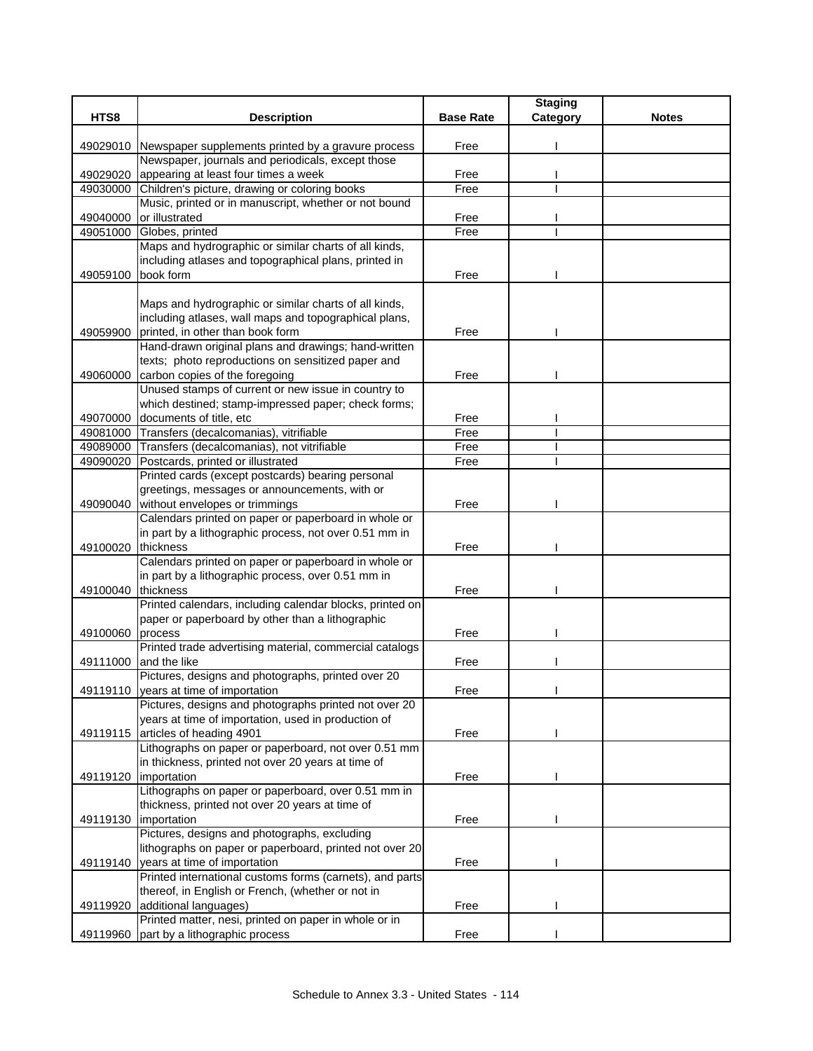|          |                                                                                                            |                  | <b>Staging</b> |              |
|----------|------------------------------------------------------------------------------------------------------------|------------------|----------------|--------------|
| HTS8     | <b>Description</b>                                                                                         | <b>Base Rate</b> | Category       | <b>Notes</b> |
|          |                                                                                                            |                  |                |              |
|          | 49029010 Newspaper supplements printed by a gravure process                                                | Free             |                |              |
|          | Newspaper, journals and periodicals, except those                                                          |                  |                |              |
| 49029020 | appearing at least four times a week                                                                       | Free             |                |              |
| 49030000 | Children's picture, drawing or coloring books                                                              | Free             |                |              |
|          | Music, printed or in manuscript, whether or not bound                                                      |                  |                |              |
| 49040000 | or illustrated                                                                                             | Free             |                |              |
| 49051000 | Globes, printed                                                                                            | Free             |                |              |
|          | Maps and hydrographic or similar charts of all kinds,                                                      |                  |                |              |
|          | including atlases and topographical plans, printed in                                                      |                  |                |              |
| 49059100 | book form                                                                                                  | Free             |                |              |
|          |                                                                                                            |                  |                |              |
|          | Maps and hydrographic or similar charts of all kinds,                                                      |                  |                |              |
|          | including atlases, wall maps and topographical plans,                                                      |                  |                |              |
| 49059900 | printed, in other than book form                                                                           | Free             |                |              |
|          | Hand-drawn original plans and drawings; hand-written                                                       |                  |                |              |
|          | texts; photo reproductions on sensitized paper and                                                         |                  |                |              |
| 49060000 | carbon copies of the foregoing                                                                             | Free             |                |              |
|          | Unused stamps of current or new issue in country to                                                        |                  |                |              |
|          | which destined; stamp-impressed paper; check forms;                                                        |                  |                |              |
| 49070000 | documents of title, etc.                                                                                   | Free             |                |              |
|          | 49081000 Transfers (decalcomanias), vitrifiable                                                            | Free             |                |              |
| 49089000 | Transfers (decalcomanias), not vitrifiable                                                                 | Free             |                |              |
| 49090020 | Postcards, printed or illustrated                                                                          | Free             |                |              |
|          | Printed cards (except postcards) bearing personal                                                          |                  |                |              |
|          | greetings, messages or announcements, with or                                                              |                  |                |              |
| 49090040 | without envelopes or trimmings                                                                             | Free             |                |              |
|          | Calendars printed on paper or paperboard in whole or                                                       |                  |                |              |
|          | in part by a lithographic process, not over 0.51 mm in                                                     |                  |                |              |
| 49100020 | thickness                                                                                                  | Free             |                |              |
|          | Calendars printed on paper or paperboard in whole or<br>in part by a lithographic process, over 0.51 mm in |                  |                |              |
| 49100040 | thickness                                                                                                  | Free             |                |              |
|          | Printed calendars, including calendar blocks, printed on                                                   |                  |                |              |
|          | paper or paperboard by other than a lithographic                                                           |                  |                |              |
| 49100060 | process                                                                                                    | Free             |                |              |
|          | Printed trade advertising material, commercial catalogs                                                    |                  |                |              |
| 49111000 | and the like                                                                                               | Free             |                |              |
|          | Pictures, designs and photographs, printed over 20                                                         |                  |                |              |
| 49119110 | years at time of importation                                                                               | Free             |                |              |
|          | Pictures, designs and photographs printed not over 20                                                      |                  |                |              |
|          | years at time of importation, used in production of                                                        |                  |                |              |
| 49119115 | articles of heading 4901                                                                                   | Free             |                |              |
|          | Lithographs on paper or paperboard, not over 0.51 mm                                                       |                  |                |              |
|          | in thickness, printed not over 20 years at time of                                                         |                  |                |              |
| 49119120 | importation                                                                                                | Free             |                |              |
|          | Lithographs on paper or paperboard, over 0.51 mm in                                                        |                  |                |              |
|          | thickness, printed not over 20 years at time of                                                            |                  |                |              |
| 49119130 | importation                                                                                                | Free             |                |              |
|          | Pictures, designs and photographs, excluding                                                               |                  |                |              |
|          | lithographs on paper or paperboard, printed not over 20                                                    |                  |                |              |
|          | 49119140 years at time of importation                                                                      | Free             |                |              |
|          | Printed international customs forms (carnets), and parts                                                   |                  |                |              |
|          | thereof, in English or French, (whether or not in                                                          |                  |                |              |
| 49119920 | additional languages)                                                                                      | Free             |                |              |
|          | Printed matter, nesi, printed on paper in whole or in                                                      |                  |                |              |
| 49119960 | part by a lithographic process                                                                             | Free             |                |              |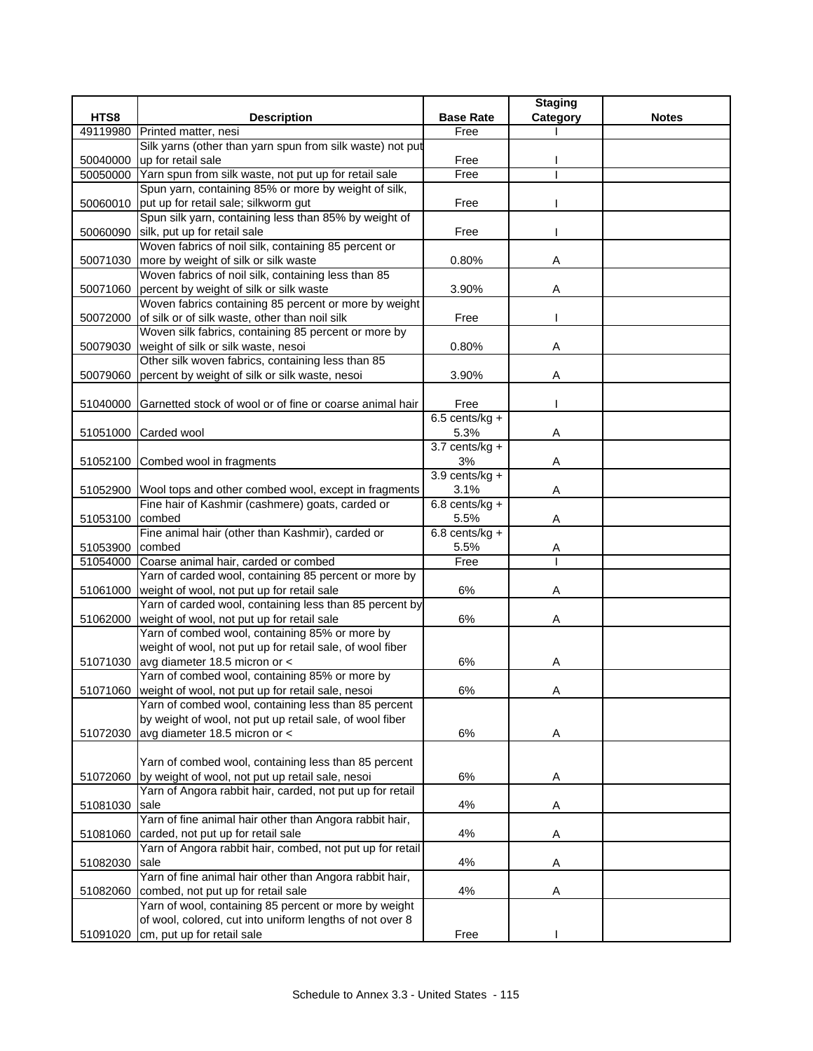|          |                                                               |                  | <b>Staging</b> |              |
|----------|---------------------------------------------------------------|------------------|----------------|--------------|
| HTS8     | <b>Description</b>                                            | <b>Base Rate</b> | Category       | <b>Notes</b> |
| 49119980 | Printed matter, nesi                                          | Free             |                |              |
|          | Silk yarns (other than yarn spun from silk waste) not put     |                  |                |              |
| 50040000 | up for retail sale                                            | Free             |                |              |
| 50050000 | Yarn spun from silk waste, not put up for retail sale         | Free             |                |              |
|          | Spun yarn, containing 85% or more by weight of silk,          |                  |                |              |
| 50060010 | put up for retail sale; silkworm gut                          | Free             |                |              |
|          | Spun silk yarn, containing less than 85% by weight of         |                  |                |              |
| 50060090 | silk, put up for retail sale                                  | Free             |                |              |
|          | Woven fabrics of noil silk, containing 85 percent or          |                  |                |              |
| 50071030 | more by weight of silk or silk waste                          | 0.80%            | Α              |              |
|          | Woven fabrics of noil silk, containing less than 85           |                  |                |              |
| 50071060 | percent by weight of silk or silk waste                       | 3.90%            | Α              |              |
|          | Woven fabrics containing 85 percent or more by weight         |                  |                |              |
| 50072000 | of silk or of silk waste, other than noil silk                | Free             |                |              |
|          | Woven silk fabrics, containing 85 percent or more by          |                  |                |              |
| 50079030 | weight of silk or silk waste, nesoi                           | 0.80%            | Α              |              |
|          | Other silk woven fabrics, containing less than 85             |                  |                |              |
| 50079060 | percent by weight of silk or silk waste, nesoi                | 3.90%            | Α              |              |
|          |                                                               |                  |                |              |
| 51040000 | Garnetted stock of wool or of fine or coarse animal hair      | Free             |                |              |
|          |                                                               | $6.5$ cents/kg + |                |              |
|          | Carded wool                                                   | 5.3%             |                |              |
| 51051000 |                                                               | $3.7$ cents/kg + | Α              |              |
|          |                                                               |                  |                |              |
|          | 51052100 Combed wool in fragments                             | 3%               | Α              |              |
|          |                                                               | $3.9$ cents/kg + |                |              |
|          | 51052900 Wool tops and other combed wool, except in fragments | 3.1%             | Α              |              |
|          | Fine hair of Kashmir (cashmere) goats, carded or              | $6.8$ cents/kg + |                |              |
| 51053100 | combed                                                        | 5.5%             | Α              |              |
|          | Fine animal hair (other than Kashmir), carded or              | $6.8$ cents/kg + |                |              |
| 51053900 | combed                                                        | 5.5%             | Α              |              |
| 51054000 | Coarse animal hair, carded or combed                          | Free             |                |              |
|          | Yarn of carded wool, containing 85 percent or more by         |                  |                |              |
| 51061000 | weight of wool, not put up for retail sale                    | 6%               | Α              |              |
|          | Yarn of carded wool, containing less than 85 percent by       |                  |                |              |
| 51062000 | weight of wool, not put up for retail sale                    | 6%               | Α              |              |
|          | Yarn of combed wool, containing 85% or more by                |                  |                |              |
|          | weight of wool, not put up for retail sale, of wool fiber     |                  |                |              |
| 51071030 | avg diameter 18.5 micron or <                                 | 6%               | Α              |              |
|          | Yarn of combed wool, containing 85% or more by                |                  |                |              |
|          | 51071060 weight of wool, not put up for retail sale, nesoi    | $6\%$            | A              |              |
|          | Yarn of combed wool, containing less than 85 percent          |                  |                |              |
|          | by weight of wool, not put up retail sale, of wool fiber      |                  |                |              |
| 51072030 | avg diameter 18.5 micron or <                                 | 6%               | A              |              |
|          |                                                               |                  |                |              |
|          | Yarn of combed wool, containing less than 85 percent          |                  |                |              |
| 51072060 | by weight of wool, not put up retail sale, nesoi              | 6%               | Α              |              |
|          | Yarn of Angora rabbit hair, carded, not put up for retail     |                  |                |              |
| 51081030 | sale                                                          | 4%               | Α              |              |
|          | Yarn of fine animal hair other than Angora rabbit hair,       |                  |                |              |
| 51081060 | carded, not put up for retail sale                            | 4%               | Α              |              |
|          | Yarn of Angora rabbit hair, combed, not put up for retail     |                  |                |              |
| 51082030 | sale                                                          | 4%               | Α              |              |
|          | Yarn of fine animal hair other than Angora rabbit hair,       |                  |                |              |
| 51082060 | combed, not put up for retail sale                            | 4%               | Α              |              |
|          | Yarn of wool, containing 85 percent or more by weight         |                  |                |              |
|          | of wool, colored, cut into uniform lengths of not over 8      |                  |                |              |
| 51091020 | cm, put up for retail sale                                    | Free             |                |              |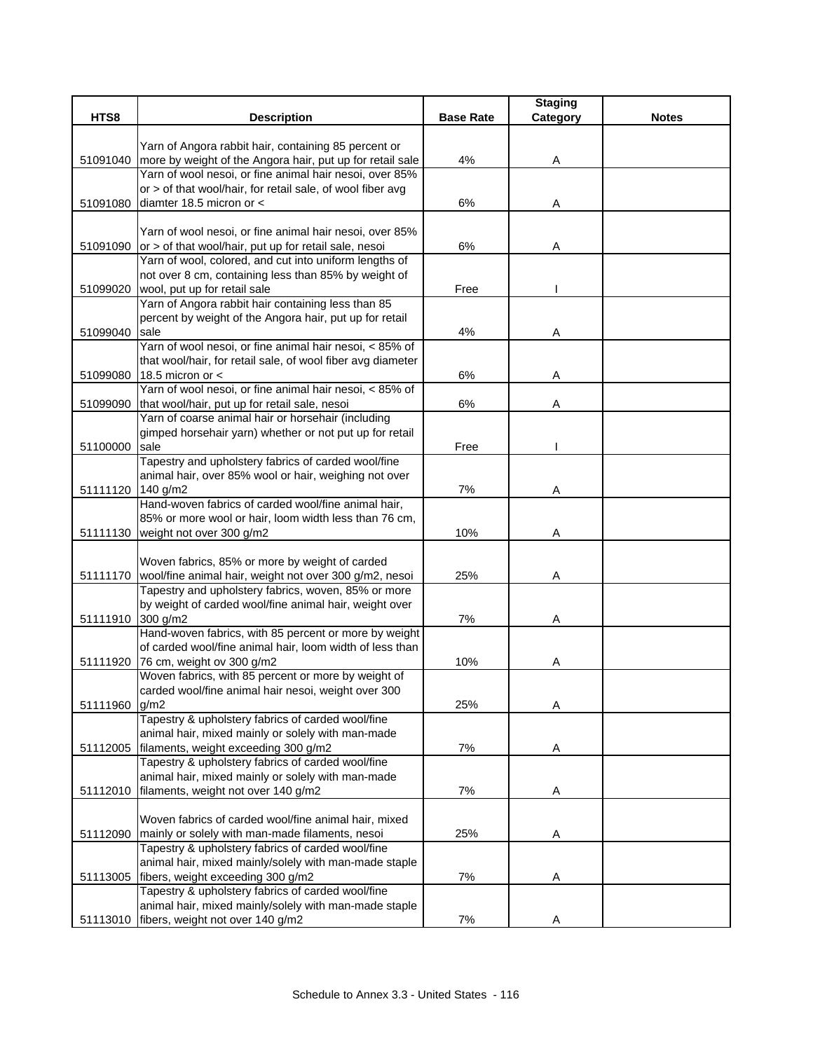|                   |                                                                                                                           |                  | <b>Staging</b> |              |
|-------------------|---------------------------------------------------------------------------------------------------------------------------|------------------|----------------|--------------|
| HTS8              | <b>Description</b>                                                                                                        | <b>Base Rate</b> | Category       | <b>Notes</b> |
|                   |                                                                                                                           |                  |                |              |
|                   | Yarn of Angora rabbit hair, containing 85 percent or                                                                      |                  |                |              |
| 51091040          | more by weight of the Angora hair, put up for retail sale                                                                 | 4%               | A              |              |
|                   | Yarn of wool nesoi, or fine animal hair nesoi, over 85%                                                                   |                  |                |              |
|                   | or > of that wool/hair, for retail sale, of wool fiber avg                                                                |                  |                |              |
| 51091080          | diamter 18.5 micron or <                                                                                                  | $6\%$            | Α              |              |
|                   |                                                                                                                           |                  |                |              |
|                   | Yarn of wool nesoi, or fine animal hair nesoi, over 85%<br>51091090 or > of that wool/hair, put up for retail sale, nesoi | 6%               | Α              |              |
|                   | Yarn of wool, colored, and cut into uniform lengths of                                                                    |                  |                |              |
|                   | not over 8 cm, containing less than 85% by weight of                                                                      |                  |                |              |
| 51099020          | wool, put up for retail sale                                                                                              | Free             |                |              |
|                   | Yarn of Angora rabbit hair containing less than 85                                                                        |                  |                |              |
|                   | percent by weight of the Angora hair, put up for retail                                                                   |                  |                |              |
| 51099040          | sale                                                                                                                      | 4%               | Α              |              |
|                   | Yarn of wool nesoi, or fine animal hair nesoi, < 85% of                                                                   |                  |                |              |
|                   | that wool/hair, for retail sale, of wool fiber avg diameter                                                               |                  |                |              |
| 51099080          | 18.5 micron or $\lt$                                                                                                      | 6%               | Α              |              |
|                   | Yarn of wool nesoi, or fine animal hair nesoi, < 85% of                                                                   |                  |                |              |
| 51099090          | that wool/hair, put up for retail sale, nesoi                                                                             | 6%               | A              |              |
|                   | Yarn of coarse animal hair or horsehair (including                                                                        |                  |                |              |
|                   | gimped horsehair yarn) whether or not put up for retail                                                                   |                  |                |              |
| 51100000          | <b>Isale</b>                                                                                                              | Free             |                |              |
|                   | Tapestry and upholstery fabrics of carded wool/fine                                                                       |                  |                |              |
|                   | animal hair, over 85% wool or hair, weighing not over                                                                     |                  |                |              |
| 51111120 140 g/m2 |                                                                                                                           | 7%               | Α              |              |
|                   | Hand-woven fabrics of carded wool/fine animal hair,                                                                       |                  |                |              |
|                   | 85% or more wool or hair, loom width less than 76 cm,                                                                     |                  |                |              |
|                   | 51111130 weight not over 300 g/m2                                                                                         | 10%              | Α              |              |
|                   | Woven fabrics, 85% or more by weight of carded                                                                            |                  |                |              |
|                   | 51111170 wool/fine animal hair, weight not over 300 g/m2, nesoi                                                           | 25%              | Α              |              |
|                   | Tapestry and upholstery fabrics, woven, 85% or more                                                                       |                  |                |              |
|                   | by weight of carded wool/fine animal hair, weight over                                                                    |                  |                |              |
| 51111910 300 g/m2 |                                                                                                                           | 7%               | Α              |              |
|                   | Hand-woven fabrics, with 85 percent or more by weight                                                                     |                  |                |              |
|                   | of carded wool/fine animal hair, loom width of less than                                                                  |                  |                |              |
|                   | 51111920 76 cm, weight ov 300 g/m2                                                                                        | 10%              | A              |              |
|                   | Woven fabrics, with 85 percent or more by weight of                                                                       |                  |                |              |
|                   | carded wool/fine animal hair nesoi, weight over 300                                                                       |                  |                |              |
| 51111960 g/m2     |                                                                                                                           | 25%              | Α              |              |
|                   | Tapestry & upholstery fabrics of carded wool/fine                                                                         |                  |                |              |
|                   | animal hair, mixed mainly or solely with man-made                                                                         |                  |                |              |
|                   | 51112005 filaments, weight exceeding 300 g/m2                                                                             | 7%               | Α              |              |
|                   | Tapestry & upholstery fabrics of carded wool/fine                                                                         |                  |                |              |
|                   | animal hair, mixed mainly or solely with man-made                                                                         |                  |                |              |
| 51112010          | filaments, weight not over 140 g/m2                                                                                       | 7%               | Α              |              |
|                   | Woven fabrics of carded wool/fine animal hair, mixed                                                                      |                  |                |              |
|                   | 51112090 mainly or solely with man-made filaments, nesoi                                                                  | 25%              | Α              |              |
|                   | Tapestry & upholstery fabrics of carded wool/fine                                                                         |                  |                |              |
|                   | animal hair, mixed mainly/solely with man-made staple                                                                     |                  |                |              |
|                   | 51113005 fibers, weight exceeding 300 g/m2                                                                                | 7%               | Α              |              |
|                   | Tapestry & upholstery fabrics of carded wool/fine                                                                         |                  |                |              |
|                   | animal hair, mixed mainly/solely with man-made staple                                                                     |                  |                |              |
|                   | 51113010 fibers, weight not over 140 g/m2                                                                                 | $7\%$            | Α              |              |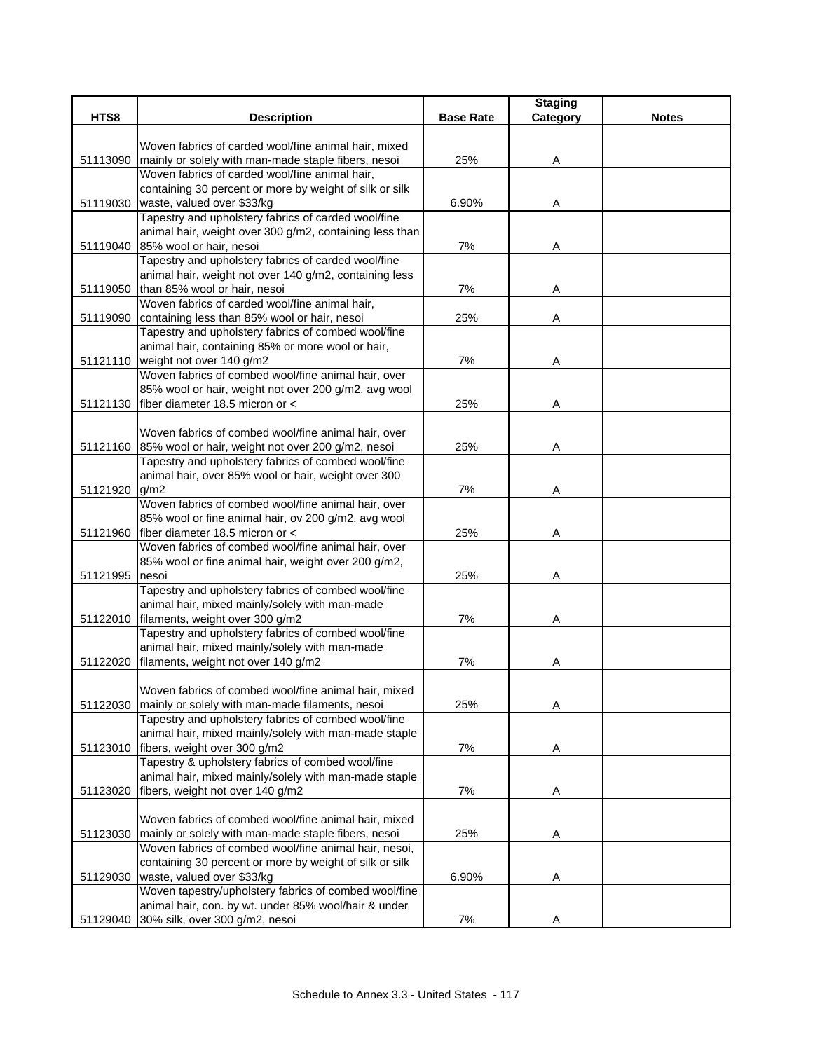|               |                                                                                                 |                  | <b>Staging</b> |              |
|---------------|-------------------------------------------------------------------------------------------------|------------------|----------------|--------------|
| HTS8          | <b>Description</b>                                                                              | <b>Base Rate</b> | Category       | <b>Notes</b> |
|               | Woven fabrics of carded wool/fine animal hair, mixed                                            |                  |                |              |
| 51113090      | mainly or solely with man-made staple fibers, nesoi                                             | 25%              | Α              |              |
|               | Woven fabrics of carded wool/fine animal hair,                                                  |                  |                |              |
|               | containing 30 percent or more by weight of silk or silk                                         |                  |                |              |
|               | 51119030 waste, valued over \$33/kg                                                             | 6.90%            | Α              |              |
|               | Tapestry and upholstery fabrics of carded wool/fine                                             |                  |                |              |
|               | animal hair, weight over 300 g/m2, containing less than                                         |                  |                |              |
|               | 51119040 85% wool or hair, nesoi                                                                | 7%               | Α              |              |
|               | Tapestry and upholstery fabrics of carded wool/fine                                             |                  |                |              |
|               | animal hair, weight not over 140 g/m2, containing less                                          |                  |                |              |
|               | 51119050 than 85% wool or hair, nesoi<br>Woven fabrics of carded wool/fine animal hair,         | 7%               | A              |              |
| 51119090      | containing less than 85% wool or hair, nesoi                                                    | 25%              | Α              |              |
|               | Tapestry and upholstery fabrics of combed wool/fine                                             |                  |                |              |
|               | animal hair, containing 85% or more wool or hair,                                               |                  |                |              |
|               | 51121110 weight not over 140 g/m2                                                               | 7%               | Α              |              |
|               | Woven fabrics of combed wool/fine animal hair, over                                             |                  |                |              |
|               | 85% wool or hair, weight not over 200 g/m2, avg wool                                            |                  |                |              |
|               | 51121130 fiber diameter 18.5 micron or <                                                        | 25%              | Α              |              |
|               |                                                                                                 |                  |                |              |
|               | Woven fabrics of combed wool/fine animal hair, over                                             |                  |                |              |
|               | 51121160 85% wool or hair, weight not over 200 g/m2, nesoi                                      | 25%              | Α              |              |
|               | Tapestry and upholstery fabrics of combed wool/fine                                             |                  |                |              |
|               | animal hair, over 85% wool or hair, weight over 300                                             |                  |                |              |
| 51121920 g/m2 |                                                                                                 | 7%               | Α              |              |
|               | Woven fabrics of combed wool/fine animal hair, over                                             |                  |                |              |
|               | 85% wool or fine animal hair, ov 200 g/m2, avg wool<br>51121960 fiber diameter 18.5 micron or < | 25%              | Α              |              |
|               | Woven fabrics of combed wool/fine animal hair, over                                             |                  |                |              |
|               | 85% wool or fine animal hair, weight over 200 g/m2,                                             |                  |                |              |
| 51121995      | nesoi                                                                                           | 25%              | Α              |              |
|               | Tapestry and upholstery fabrics of combed wool/fine                                             |                  |                |              |
|               | animal hair, mixed mainly/solely with man-made                                                  |                  |                |              |
|               | 51122010 filaments, weight over 300 g/m2                                                        | 7%               | Α              |              |
|               | Tapestry and upholstery fabrics of combed wool/fine                                             |                  |                |              |
|               | animal hair, mixed mainly/solely with man-made                                                  |                  |                |              |
| 51122020      | filaments, weight not over 140 g/m2                                                             | 7%               | A              |              |
|               | Woven fabrics of combed wool/fine animal hair, mixed                                            |                  |                |              |
| 51122030      | mainly or solely with man-made filaments, nesoi                                                 | 25%              | Α              |              |
|               | Tapestry and upholstery fabrics of combed wool/fine                                             |                  |                |              |
|               | animal hair, mixed mainly/solely with man-made staple                                           |                  |                |              |
|               | 51123010 fibers, weight over 300 g/m2                                                           | 7%               | Α              |              |
|               | Tapestry & upholstery fabrics of combed wool/fine                                               |                  |                |              |
|               | animal hair, mixed mainly/solely with man-made staple                                           |                  |                |              |
| 51123020      | fibers, weight not over 140 g/m2                                                                | 7%               | A              |              |
|               |                                                                                                 |                  |                |              |
|               | Woven fabrics of combed wool/fine animal hair, mixed                                            |                  |                |              |
|               | 51123030 mainly or solely with man-made staple fibers, nesoi                                    | 25%              | A              |              |
|               | Woven fabrics of combed wool/fine animal hair, nesoi,                                           |                  |                |              |
|               | containing 30 percent or more by weight of silk or silk                                         |                  |                |              |
| 51129030      | waste, valued over \$33/kg<br>Woven tapestry/upholstery fabrics of combed wool/fine             | 6.90%            | Α              |              |
|               | animal hair, con. by wt. under 85% wool/hair & under                                            |                  |                |              |
|               | 51129040 30% silk, over 300 g/m2, nesoi                                                         | 7%               | Α              |              |
|               |                                                                                                 |                  |                |              |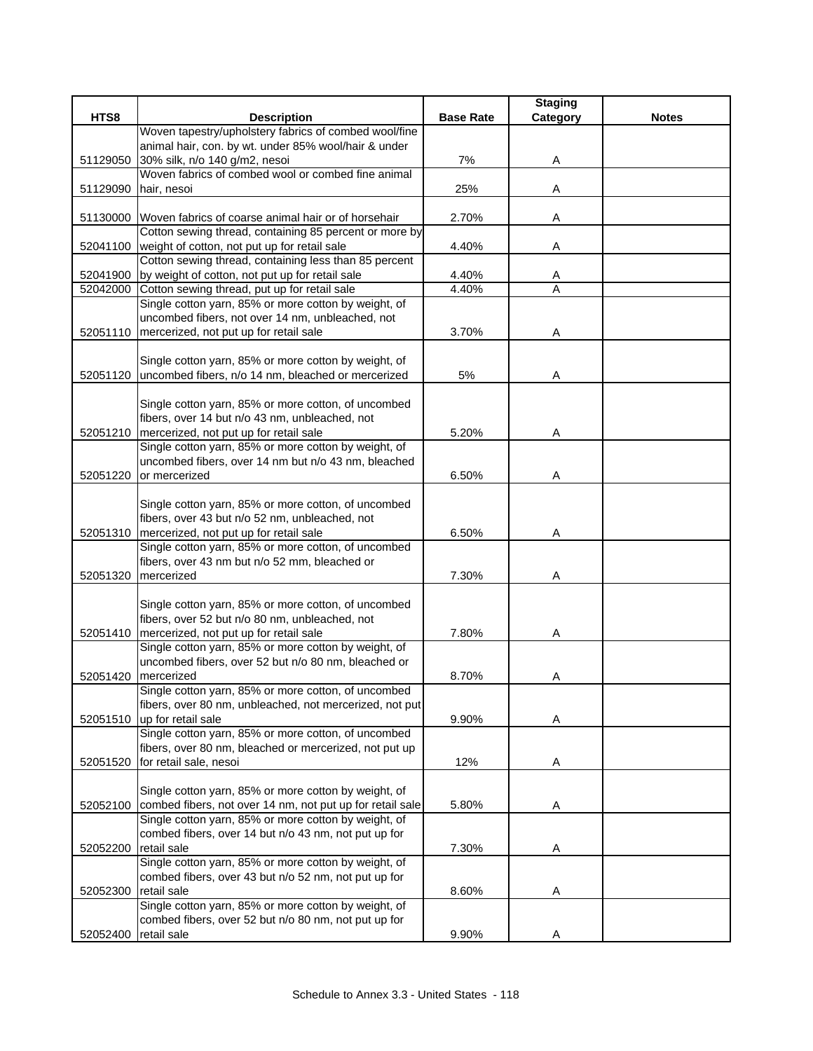|          |                                                                                                                        |                  | <b>Staging</b> |              |
|----------|------------------------------------------------------------------------------------------------------------------------|------------------|----------------|--------------|
| HTS8     | <b>Description</b>                                                                                                     | <b>Base Rate</b> | Category       | <b>Notes</b> |
|          | Woven tapestry/upholstery fabrics of combed wool/fine                                                                  |                  |                |              |
|          | animal hair, con. by wt. under 85% wool/hair & under                                                                   |                  |                |              |
| 51129050 | 30% silk, n/o 140 g/m2, nesoi                                                                                          | 7%               | Α              |              |
|          | Woven fabrics of combed wool or combed fine animal                                                                     |                  |                |              |
| 51129090 | hair, nesoi                                                                                                            | 25%              | Α              |              |
|          |                                                                                                                        |                  |                |              |
|          | 51130000 Woven fabrics of coarse animal hair or of horsehair<br>Cotton sewing thread, containing 85 percent or more by | 2.70%            | Α              |              |
|          | 52041100 weight of cotton, not put up for retail sale                                                                  | 4.40%            | Α              |              |
|          | Cotton sewing thread, containing less than 85 percent                                                                  |                  |                |              |
| 52041900 | by weight of cotton, not put up for retail sale                                                                        | 4.40%            | Α              |              |
|          | 52042000 Cotton sewing thread, put up for retail sale                                                                  | 4.40%            | A              |              |
|          | Single cotton yarn, 85% or more cotton by weight, of                                                                   |                  |                |              |
|          | uncombed fibers, not over 14 nm, unbleached, not                                                                       |                  |                |              |
|          | 52051110   mercerized, not put up for retail sale                                                                      | 3.70%            | Α              |              |
|          |                                                                                                                        |                  |                |              |
|          | Single cotton yarn, 85% or more cotton by weight, of                                                                   |                  |                |              |
| 52051120 | uncombed fibers, n/o 14 nm, bleached or mercerized                                                                     | 5%               | Α              |              |
|          |                                                                                                                        |                  |                |              |
|          | Single cotton yarn, 85% or more cotton, of uncombed                                                                    |                  |                |              |
|          | fibers, over 14 but n/o 43 nm, unbleached, not                                                                         |                  |                |              |
|          | 52051210 mercerized, not put up for retail sale                                                                        | 5.20%            | Α              |              |
|          | Single cotton yarn, 85% or more cotton by weight, of                                                                   |                  |                |              |
|          | uncombed fibers, over 14 nm but n/o 43 nm, bleached                                                                    |                  |                |              |
| 52051220 | or mercerized                                                                                                          | 6.50%            | A              |              |
|          |                                                                                                                        |                  |                |              |
|          | Single cotton yarn, 85% or more cotton, of uncombed                                                                    |                  |                |              |
|          | fibers, over 43 but n/o 52 nm, unbleached, not                                                                         |                  |                |              |
|          | 52051310   mercerized, not put up for retail sale                                                                      | 6.50%            | Α              |              |
|          | Single cotton yarn, 85% or more cotton, of uncombed                                                                    |                  |                |              |
|          | fibers, over 43 nm but n/o 52 mm, bleached or                                                                          |                  |                |              |
| 52051320 | mercerized                                                                                                             | 7.30%            | Α              |              |
|          |                                                                                                                        |                  |                |              |
|          | Single cotton yarn, 85% or more cotton, of uncombed                                                                    |                  |                |              |
|          | fibers, over 52 but n/o 80 nm, unbleached, not                                                                         |                  |                |              |
| 52051410 | mercerized, not put up for retail sale                                                                                 | 7.80%            | Α              |              |
|          | Single cotton yarn, 85% or more cotton by weight, of                                                                   |                  |                |              |
|          | uncombed fibers, over 52 but n/o 80 nm, bleached or                                                                    |                  |                |              |
| 52051420 | mercerized<br>Single cotton yarn, 85% or more cotton, of uncombed                                                      | 8.70%            | Α              |              |
|          |                                                                                                                        |                  |                |              |
| 52051510 | fibers, over 80 nm, unbleached, not mercerized, not put<br>up for retail sale                                          | 9.90%            | Α              |              |
|          | Single cotton yarn, 85% or more cotton, of uncombed                                                                    |                  |                |              |
|          | fibers, over 80 nm, bleached or mercerized, not put up                                                                 |                  |                |              |
| 52051520 | for retail sale, nesoi                                                                                                 | 12%              | Α              |              |
|          |                                                                                                                        |                  |                |              |
|          | Single cotton yarn, 85% or more cotton by weight, of                                                                   |                  |                |              |
| 52052100 | combed fibers, not over 14 nm, not put up for retail sale                                                              | 5.80%            | A              |              |
|          | Single cotton yarn, 85% or more cotton by weight, of                                                                   |                  |                |              |
|          | combed fibers, over 14 but n/o 43 nm, not put up for                                                                   |                  |                |              |
| 52052200 | retail sale                                                                                                            | 7.30%            | A              |              |
|          | Single cotton yarn, 85% or more cotton by weight, of                                                                   |                  |                |              |
|          | combed fibers, over 43 but n/o 52 nm, not put up for                                                                   |                  |                |              |
| 52052300 | retail sale                                                                                                            | 8.60%            | Α              |              |
|          | Single cotton yarn, 85% or more cotton by weight, of                                                                   |                  |                |              |
|          | combed fibers, over 52 but n/o 80 nm, not put up for                                                                   |                  |                |              |
| 52052400 | retail sale                                                                                                            | 9.90%            | Α              |              |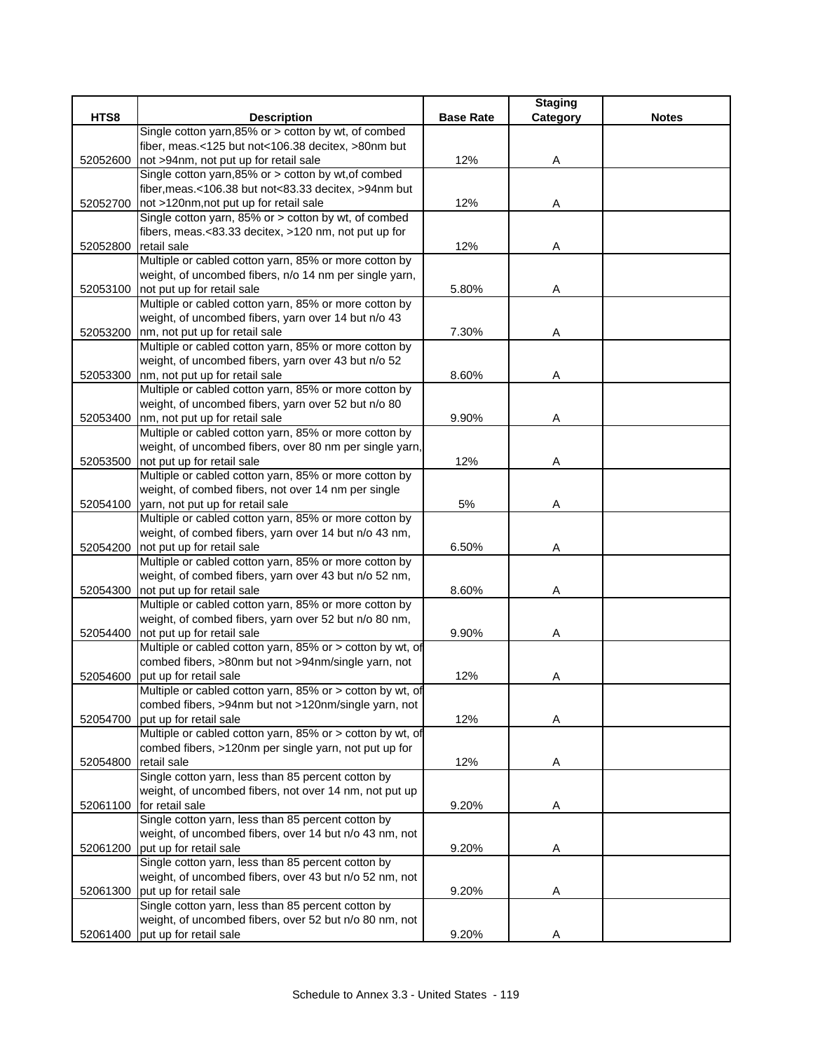|          |                                                                                              |                  | <b>Staging</b> |              |
|----------|----------------------------------------------------------------------------------------------|------------------|----------------|--------------|
| HTS8     | <b>Description</b>                                                                           | <b>Base Rate</b> | Category       | <b>Notes</b> |
|          | Single cotton yarn, 85% or > cotton by wt, of combed                                         |                  |                |              |
|          | fiber, meas.<125 but not<106.38 decitex, >80nm but                                           |                  |                |              |
| 52052600 | not >94nm, not put up for retail sale                                                        | 12%              | Α              |              |
|          | Single cotton yarn, 85% or > cotton by wt, of combed                                         |                  |                |              |
|          | fiber, meas.<106.38 but not<83.33 decitex, >94nm but                                         |                  |                |              |
| 52052700 | not >120nm, not put up for retail sale                                                       | 12%              | Α              |              |
|          | Single cotton yarn, 85% or > cotton by wt, of combed                                         |                  |                |              |
|          | fibers, meas.<83.33 decitex, >120 nm, not put up for                                         |                  |                |              |
| 52052800 | retail sale                                                                                  | 12%              | Α              |              |
|          | Multiple or cabled cotton yarn, 85% or more cotton by                                        |                  |                |              |
|          | weight, of uncombed fibers, n/o 14 nm per single yarn,                                       |                  |                |              |
| 52053100 | not put up for retail sale                                                                   | 5.80%            | Α              |              |
|          | Multiple or cabled cotton yarn, 85% or more cotton by                                        |                  |                |              |
|          | weight, of uncombed fibers, yarn over 14 but n/o 43                                          |                  |                |              |
|          | 52053200 nm, not put up for retail sale                                                      | 7.30%            | Α              |              |
|          | Multiple or cabled cotton yarn, 85% or more cotton by                                        |                  |                |              |
|          | weight, of uncombed fibers, yarn over 43 but n/o 52                                          |                  |                |              |
| 52053300 | nm, not put up for retail sale                                                               | 8.60%            | Α              |              |
|          | Multiple or cabled cotton yarn, 85% or more cotton by                                        |                  |                |              |
|          | weight, of uncombed fibers, yarn over 52 but n/o 80                                          |                  |                |              |
| 52053400 | nm, not put up for retail sale                                                               | 9.90%            | Α              |              |
|          | Multiple or cabled cotton yarn, 85% or more cotton by                                        |                  |                |              |
|          | weight, of uncombed fibers, over 80 nm per single yarn,                                      |                  |                |              |
| 52053500 | not put up for retail sale                                                                   | 12%              | Α              |              |
|          | Multiple or cabled cotton yarn, 85% or more cotton by                                        |                  |                |              |
|          | weight, of combed fibers, not over 14 nm per single                                          |                  |                |              |
|          | 52054100 yarn, not put up for retail sale                                                    | 5%               | Α              |              |
|          | Multiple or cabled cotton yarn, 85% or more cotton by                                        |                  |                |              |
|          | weight, of combed fibers, yarn over 14 but n/o 43 nm,                                        |                  |                |              |
|          | 52054200 not put up for retail sale<br>Multiple or cabled cotton yarn, 85% or more cotton by | 6.50%            | Α              |              |
|          | weight, of combed fibers, yarn over 43 but n/o 52 nm,                                        |                  |                |              |
|          | not put up for retail sale                                                                   | 8.60%            |                |              |
| 52054300 | Multiple or cabled cotton yarn, 85% or more cotton by                                        |                  | Α              |              |
|          | weight, of combed fibers, yarn over 52 but n/o 80 nm,                                        |                  |                |              |
| 52054400 | not put up for retail sale                                                                   | 9.90%            | Α              |              |
|          | Multiple or cabled cotton yarn, 85% or > cotton by wt, of                                    |                  |                |              |
|          | combed fibers, >80nm but not >94nm/single yarn, not                                          |                  |                |              |
| 52054600 | put up for retail sale                                                                       | 12%              | Α              |              |
|          | Multiple or cabled cotton yarn, 85% or > cotton by wt, of                                    |                  |                |              |
|          | combed fibers, >94nm but not >120nm/single yarn, not                                         |                  |                |              |
| 52054700 | put up for retail sale                                                                       | 12%              | Α              |              |
|          | Multiple or cabled cotton yarn, 85% or > cotton by wt, of                                    |                  |                |              |
|          | combed fibers, >120nm per single yarn, not put up for                                        |                  |                |              |
| 52054800 | retail sale                                                                                  | 12%              | Α              |              |
|          | Single cotton yarn, less than 85 percent cotton by                                           |                  |                |              |
|          | weight, of uncombed fibers, not over 14 nm, not put up                                       |                  |                |              |
|          | 52061100 for retail sale                                                                     | 9.20%            | A              |              |
|          | Single cotton yarn, less than 85 percent cotton by                                           |                  |                |              |
|          | weight, of uncombed fibers, over 14 but n/o 43 nm, not                                       |                  |                |              |
| 52061200 | put up for retail sale                                                                       | 9.20%            | Α              |              |
|          | Single cotton yarn, less than 85 percent cotton by                                           |                  |                |              |
|          | weight, of uncombed fibers, over 43 but n/o 52 nm, not                                       |                  |                |              |
| 52061300 | put up for retail sale                                                                       | 9.20%            | Α              |              |
|          | Single cotton yarn, less than 85 percent cotton by                                           |                  |                |              |
|          | weight, of uncombed fibers, over 52 but n/o 80 nm, not                                       |                  |                |              |
| 52061400 | put up for retail sale                                                                       | 9.20%            | Α              |              |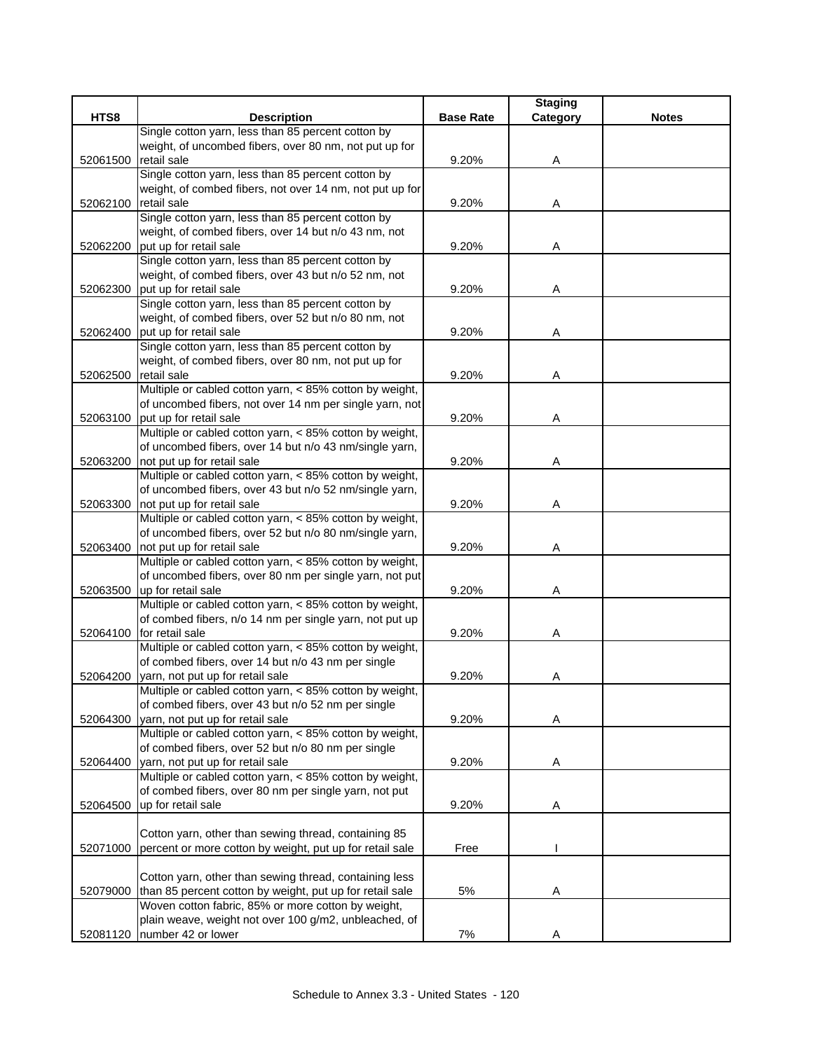|          |                                                                                                                    |                  | <b>Staging</b> |              |
|----------|--------------------------------------------------------------------------------------------------------------------|------------------|----------------|--------------|
| HTS8     | <b>Description</b>                                                                                                 | <b>Base Rate</b> | Category       | <b>Notes</b> |
|          | Single cotton yarn, less than 85 percent cotton by                                                                 |                  |                |              |
|          | weight, of uncombed fibers, over 80 nm, not put up for                                                             |                  |                |              |
| 52061500 | retail sale                                                                                                        | 9.20%            | Α              |              |
|          | Single cotton yarn, less than 85 percent cotton by                                                                 |                  |                |              |
|          | weight, of combed fibers, not over 14 nm, not put up for                                                           |                  |                |              |
| 52062100 | retail sale<br>Single cotton yarn, less than 85 percent cotton by                                                  | 9.20%            | A              |              |
|          | weight, of combed fibers, over 14 but n/o 43 nm, not                                                               |                  |                |              |
| 52062200 | put up for retail sale                                                                                             | 9.20%            | Α              |              |
|          | Single cotton yarn, less than 85 percent cotton by                                                                 |                  |                |              |
|          | weight, of combed fibers, over 43 but n/o 52 nm, not                                                               |                  |                |              |
| 52062300 | put up for retail sale                                                                                             | 9.20%            | A              |              |
|          | Single cotton yarn, less than 85 percent cotton by                                                                 |                  |                |              |
|          | weight, of combed fibers, over 52 but n/o 80 nm, not                                                               |                  |                |              |
| 52062400 | put up for retail sale                                                                                             | 9.20%            | Α              |              |
|          | Single cotton yarn, less than 85 percent cotton by                                                                 |                  |                |              |
|          | weight, of combed fibers, over 80 nm, not put up for                                                               |                  |                |              |
| 52062500 | retail sale                                                                                                        | 9.20%            | Α              |              |
|          | Multiple or cabled cotton yarn, < 85% cotton by weight,                                                            |                  |                |              |
|          | of uncombed fibers, not over 14 nm per single yarn, not                                                            |                  |                |              |
| 52063100 | put up for retail sale                                                                                             | 9.20%            | Α              |              |
|          | Multiple or cabled cotton yarn, < 85% cotton by weight,                                                            |                  |                |              |
|          | of uncombed fibers, over 14 but n/o 43 nm/single yarn,                                                             |                  |                |              |
| 52063200 | not put up for retail sale                                                                                         | 9.20%            | Α              |              |
|          | Multiple or cabled cotton yarn, < 85% cotton by weight,                                                            |                  |                |              |
|          | of uncombed fibers, over 43 but n/o 52 nm/single yarn,                                                             |                  |                |              |
| 52063300 | not put up for retail sale                                                                                         | 9.20%            | A              |              |
|          | Multiple or cabled cotton yarn, < 85% cotton by weight,                                                            |                  |                |              |
|          | of uncombed fibers, over 52 but n/o 80 nm/single yarn,                                                             |                  |                |              |
| 52063400 | not put up for retail sale                                                                                         | 9.20%            | Α              |              |
|          | Multiple or cabled cotton yarn, < 85% cotton by weight,<br>of uncombed fibers, over 80 nm per single yarn, not put |                  |                |              |
| 52063500 | up for retail sale                                                                                                 | 9.20%            | Α              |              |
|          | Multiple or cabled cotton yarn, < 85% cotton by weight,                                                            |                  |                |              |
|          | of combed fibers, n/o 14 nm per single yarn, not put up                                                            |                  |                |              |
| 52064100 | for retail sale                                                                                                    | 9.20%            | Α              |              |
|          | Multiple or cabled cotton yarn, < 85% cotton by weight,                                                            |                  |                |              |
|          | of combed fibers, over 14 but n/o 43 nm per single                                                                 |                  |                |              |
| 52064200 | yarn, not put up for retail sale                                                                                   | 9.20%            | Α              |              |
|          | Multiple or cabled cotton yarn, < 85% cotton by weight,                                                            |                  |                |              |
|          | of combed fibers, over 43 but n/o 52 nm per single                                                                 |                  |                |              |
| 52064300 | yarn, not put up for retail sale                                                                                   | 9.20%            | Α              |              |
|          | Multiple or cabled cotton yarn, < 85% cotton by weight,                                                            |                  |                |              |
|          | of combed fibers, over 52 but n/o 80 nm per single                                                                 |                  |                |              |
| 52064400 | yarn, not put up for retail sale                                                                                   | 9.20%            | Α              |              |
|          | Multiple or cabled cotton yarn, < 85% cotton by weight,                                                            |                  |                |              |
|          | of combed fibers, over 80 nm per single yarn, not put                                                              |                  |                |              |
| 52064500 | up for retail sale                                                                                                 | 9.20%            | Α              |              |
|          |                                                                                                                    |                  |                |              |
|          | Cotton yarn, other than sewing thread, containing 85                                                               |                  |                |              |
| 52071000 | percent or more cotton by weight, put up for retail sale                                                           | Free             |                |              |
|          |                                                                                                                    |                  |                |              |
|          | Cotton yarn, other than sewing thread, containing less                                                             |                  |                |              |
| 52079000 | than 85 percent cotton by weight, put up for retail sale<br>Woven cotton fabric, 85% or more cotton by weight,     | 5%               | Α              |              |
|          | plain weave, weight not over 100 g/m2, unbleached, of                                                              |                  |                |              |
| 52081120 | number 42 or lower                                                                                                 | 7%               | Α              |              |
|          |                                                                                                                    |                  |                |              |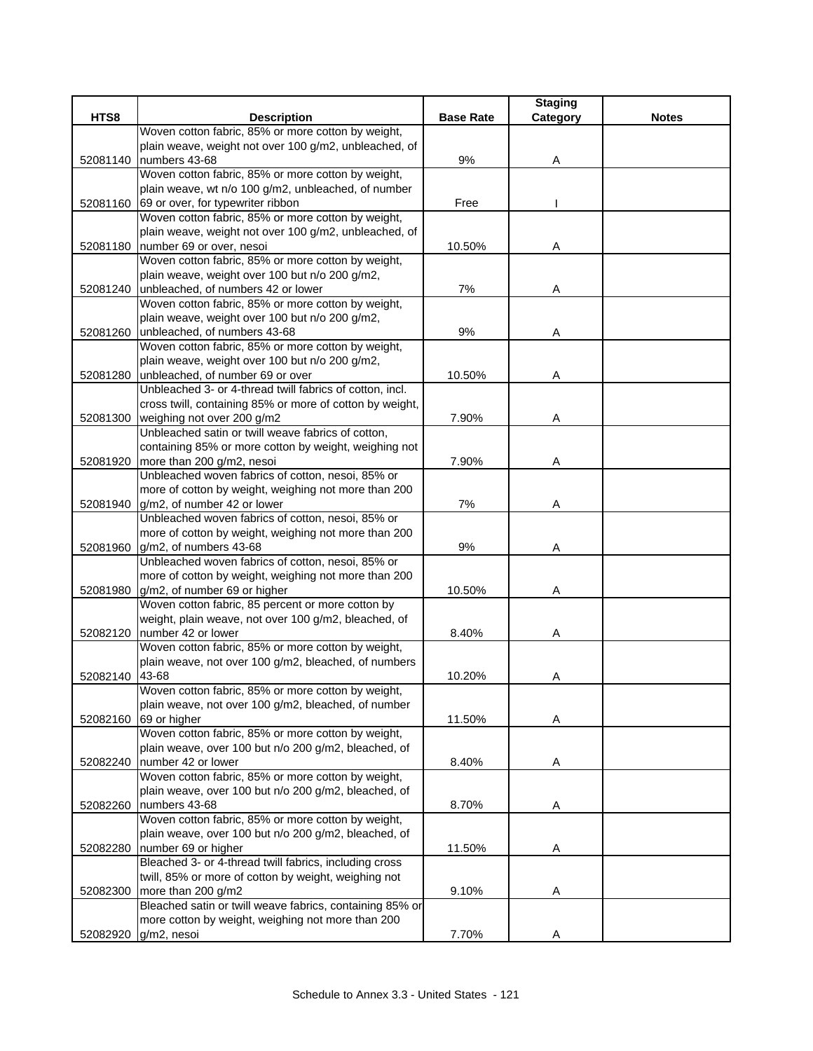|          |                                                                                              |                  | <b>Staging</b> |              |
|----------|----------------------------------------------------------------------------------------------|------------------|----------------|--------------|
| HTS8     | <b>Description</b>                                                                           | <b>Base Rate</b> | Category       | <b>Notes</b> |
|          | Woven cotton fabric, 85% or more cotton by weight,                                           |                  |                |              |
|          | plain weave, weight not over 100 g/m2, unbleached, of                                        |                  |                |              |
| 52081140 | numbers 43-68                                                                                | 9%               | Α              |              |
|          | Woven cotton fabric, 85% or more cotton by weight,                                           |                  |                |              |
|          | plain weave, wt n/o 100 g/m2, unbleached, of number                                          |                  |                |              |
| 52081160 | 69 or over, for typewriter ribbon                                                            | Free             |                |              |
|          | Woven cotton fabric, 85% or more cotton by weight,                                           |                  |                |              |
|          | plain weave, weight not over 100 g/m2, unbleached, of                                        |                  |                |              |
| 52081180 | number 69 or over, nesoi                                                                     | 10.50%           | Α              |              |
|          | Woven cotton fabric, 85% or more cotton by weight,                                           |                  |                |              |
|          | plain weave, weight over 100 but n/o 200 g/m2,                                               |                  |                |              |
|          | 52081240 unbleached, of numbers 42 or lower                                                  | 7%               | Α              |              |
|          | Woven cotton fabric, 85% or more cotton by weight,                                           |                  |                |              |
|          | plain weave, weight over 100 but n/o 200 g/m2,                                               |                  |                |              |
| 52081260 | unbleached, of numbers 43-68                                                                 | 9%               | Α              |              |
|          | Woven cotton fabric, 85% or more cotton by weight,                                           |                  |                |              |
|          | plain weave, weight over 100 but n/o 200 g/m2,                                               | 10.50%           |                |              |
| 52081280 | unbleached, of number 69 or over<br>Unbleached 3- or 4-thread twill fabrics of cotton, incl. |                  | Α              |              |
|          |                                                                                              |                  |                |              |
|          | cross twill, containing 85% or more of cotton by weight,<br>weighing not over 200 g/m2       |                  |                |              |
| 52081300 | Unbleached satin or twill weave fabrics of cotton,                                           | 7.90%            | Α              |              |
|          | containing 85% or more cotton by weight, weighing not                                        |                  |                |              |
| 52081920 | more than 200 g/m2, nesoi                                                                    | 7.90%            | Α              |              |
|          | Unbleached woven fabrics of cotton, nesoi, 85% or                                            |                  |                |              |
|          | more of cotton by weight, weighing not more than 200                                         |                  |                |              |
|          | 52081940 g/m2, of number 42 or lower                                                         | 7%               | Α              |              |
|          | Unbleached woven fabrics of cotton, nesoi, 85% or                                            |                  |                |              |
|          | more of cotton by weight, weighing not more than 200                                         |                  |                |              |
|          | 52081960 g/m2, of numbers 43-68                                                              | 9%               | Α              |              |
|          | Unbleached woven fabrics of cotton, nesoi, 85% or                                            |                  |                |              |
|          | more of cotton by weight, weighing not more than 200                                         |                  |                |              |
| 52081980 | g/m2, of number 69 or higher                                                                 | 10.50%           | Α              |              |
|          | Woven cotton fabric, 85 percent or more cotton by                                            |                  |                |              |
|          | weight, plain weave, not over 100 g/m2, bleached, of                                         |                  |                |              |
| 52082120 | number 42 or lower                                                                           | 8.40%            | Α              |              |
|          | Woven cotton fabric, 85% or more cotton by weight,                                           |                  |                |              |
|          | plain weave, not over 100 g/m2, bleached, of numbers                                         |                  |                |              |
| 52082140 | 43-68                                                                                        | 10.20%           | Α              |              |
|          | Woven cotton fabric, 85% or more cotton by weight,                                           |                  |                |              |
|          | plain weave, not over 100 g/m2, bleached, of number                                          |                  |                |              |
| 52082160 | 69 or higher                                                                                 | 11.50%           | Α              |              |
|          | Woven cotton fabric, 85% or more cotton by weight,                                           |                  |                |              |
|          | plain weave, over 100 but n/o 200 g/m2, bleached, of                                         |                  |                |              |
|          | 52082240 number 42 or lower                                                                  | 8.40%            | Α              |              |
|          | Woven cotton fabric, 85% or more cotton by weight,                                           |                  |                |              |
|          | plain weave, over 100 but n/o 200 g/m2, bleached, of                                         |                  |                |              |
| 52082260 | numbers 43-68                                                                                | 8.70%            | Α              |              |
|          | Woven cotton fabric, 85% or more cotton by weight,                                           |                  |                |              |
|          | plain weave, over 100 but n/o 200 g/m2, bleached, of                                         |                  |                |              |
| 52082280 | number 69 or higher                                                                          | 11.50%           | A              |              |
|          | Bleached 3- or 4-thread twill fabrics, including cross                                       |                  |                |              |
|          | twill, 85% or more of cotton by weight, weighing not                                         |                  |                |              |
| 52082300 | more than 200 g/m2                                                                           | 9.10%            | Α              |              |
|          | Bleached satin or twill weave fabrics, containing 85% or                                     |                  |                |              |
|          | more cotton by weight, weighing not more than 200                                            |                  |                |              |
| 52082920 | g/m2, nesoi                                                                                  | 7.70%            | Α              |              |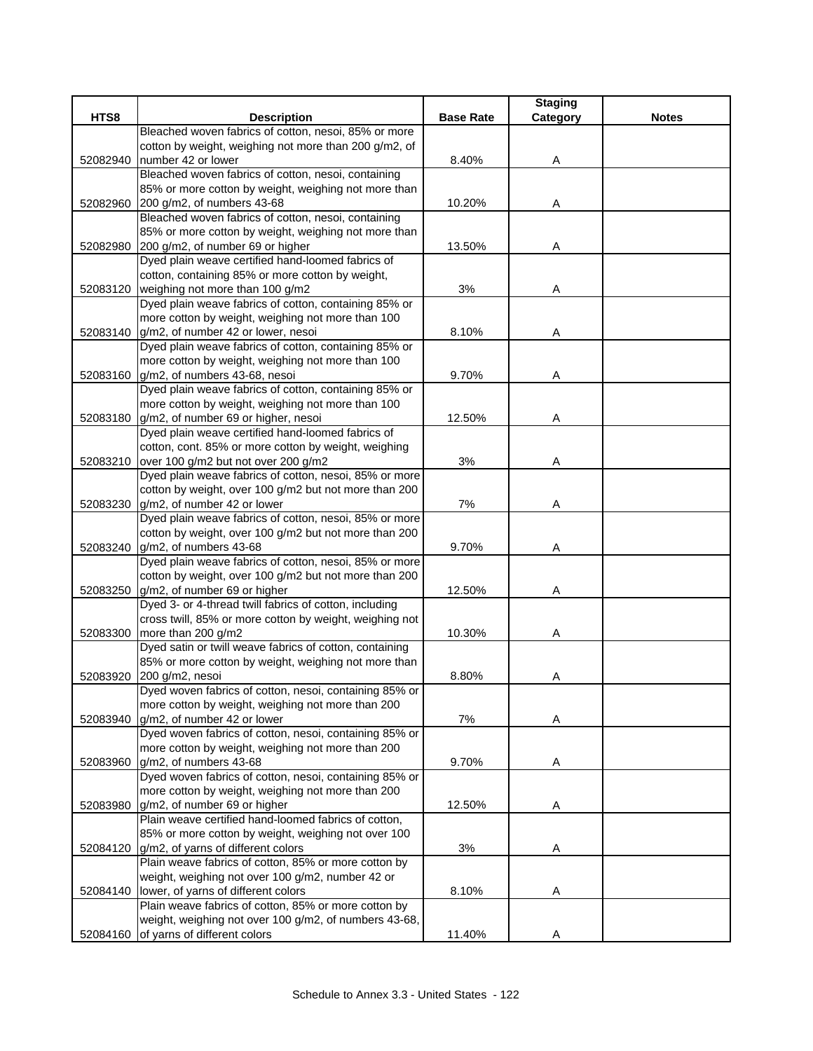|          |                                                                                             |                  | <b>Staging</b> |              |
|----------|---------------------------------------------------------------------------------------------|------------------|----------------|--------------|
| HTS8     | <b>Description</b>                                                                          | <b>Base Rate</b> | Category       | <b>Notes</b> |
|          | Bleached woven fabrics of cotton, nesoi, 85% or more                                        |                  |                |              |
|          | cotton by weight, weighing not more than 200 g/m2, of                                       |                  |                |              |
| 52082940 | number 42 or lower                                                                          | 8.40%            | Α              |              |
|          | Bleached woven fabrics of cotton, nesoi, containing                                         |                  |                |              |
|          | 85% or more cotton by weight, weighing not more than                                        |                  |                |              |
| 52082960 | 200 g/m2, of numbers 43-68                                                                  | 10.20%           | Α              |              |
|          | Bleached woven fabrics of cotton, nesoi, containing                                         |                  |                |              |
|          | 85% or more cotton by weight, weighing not more than                                        |                  |                |              |
| 52082980 | 200 g/m2, of number 69 or higher<br>Dyed plain weave certified hand-loomed fabrics of       | 13.50%           | Α              |              |
|          |                                                                                             |                  |                |              |
|          | cotton, containing 85% or more cotton by weight,                                            |                  |                |              |
|          | 52083120   weighing not more than 100 g/m2                                                  | 3%               | Α              |              |
|          | Dyed plain weave fabrics of cotton, containing 85% or                                       |                  |                |              |
|          | more cotton by weight, weighing not more than 100                                           |                  |                |              |
| 52083140 | g/m2, of number 42 or lower, nesoi<br>Dyed plain weave fabrics of cotton, containing 85% or | 8.10%            | A              |              |
|          | more cotton by weight, weighing not more than 100                                           |                  |                |              |
|          | g/m2, of numbers 43-68, nesoi                                                               | 9.70%            |                |              |
| 52083160 | Dyed plain weave fabrics of cotton, containing 85% or                                       |                  | Α              |              |
|          |                                                                                             |                  |                |              |
|          | more cotton by weight, weighing not more than 100                                           | 12.50%           |                |              |
| 52083180 | g/m2, of number 69 or higher, nesoi<br>Dyed plain weave certified hand-loomed fabrics of    |                  | Α              |              |
|          | cotton, cont. 85% or more cotton by weight, weighing                                        |                  |                |              |
| 52083210 | over 100 g/m2 but not over 200 g/m2                                                         | 3%               | Α              |              |
|          | Dyed plain weave fabrics of cotton, nesoi, 85% or more                                      |                  |                |              |
|          | cotton by weight, over 100 g/m2 but not more than 200                                       |                  |                |              |
| 52083230 | g/m2, of number 42 or lower                                                                 | 7%               | Α              |              |
|          | Dyed plain weave fabrics of cotton, nesoi, 85% or more                                      |                  |                |              |
|          | cotton by weight, over 100 g/m2 but not more than 200                                       |                  |                |              |
| 52083240 | g/m2, of numbers 43-68                                                                      | 9.70%            | Α              |              |
|          | Dyed plain weave fabrics of cotton, nesoi, 85% or more                                      |                  |                |              |
|          | cotton by weight, over 100 g/m2 but not more than 200                                       |                  |                |              |
| 52083250 | g/m2, of number 69 or higher                                                                | 12.50%           | Α              |              |
|          | Dyed 3- or 4-thread twill fabrics of cotton, including                                      |                  |                |              |
|          | cross twill, 85% or more cotton by weight, weighing not                                     |                  |                |              |
| 52083300 | more than 200 g/m2                                                                          | 10.30%           | Α              |              |
|          | Dyed satin or twill weave fabrics of cotton, containing                                     |                  |                |              |
|          | 85% or more cotton by weight, weighing not more than                                        |                  |                |              |
| 52083920 | 200 g/m2, nesoi                                                                             | 8.80%            | Α              |              |
|          | Dyed woven fabrics of cotton, nesoi, containing 85% or                                      |                  |                |              |
|          | more cotton by weight, weighing not more than 200                                           |                  |                |              |
| 52083940 | g/m2, of number 42 or lower                                                                 | 7%               | Α              |              |
|          | Dyed woven fabrics of cotton, nesoi, containing 85% or                                      |                  |                |              |
|          | more cotton by weight, weighing not more than 200                                           |                  |                |              |
| 52083960 | g/m2, of numbers 43-68                                                                      | 9.70%            | Α              |              |
|          | Dyed woven fabrics of cotton, nesoi, containing 85% or                                      |                  |                |              |
|          | more cotton by weight, weighing not more than 200                                           |                  |                |              |
| 52083980 | g/m2, of number 69 or higher                                                                | 12.50%           | A              |              |
|          | Plain weave certified hand-loomed fabrics of cotton,                                        |                  |                |              |
|          | 85% or more cotton by weight, weighing not over 100                                         |                  |                |              |
| 52084120 | g/m2, of yarns of different colors                                                          | 3%               | Α              |              |
|          | Plain weave fabrics of cotton, 85% or more cotton by                                        |                  |                |              |
|          | weight, weighing not over 100 g/m2, number 42 or                                            |                  |                |              |
| 52084140 | lower, of yarns of different colors                                                         | 8.10%            | Α              |              |
|          | Plain weave fabrics of cotton, 85% or more cotton by                                        |                  |                |              |
|          | weight, weighing not over 100 g/m2, of numbers 43-68,                                       |                  |                |              |
| 52084160 | of yarns of different colors                                                                | 11.40%           | Α              |              |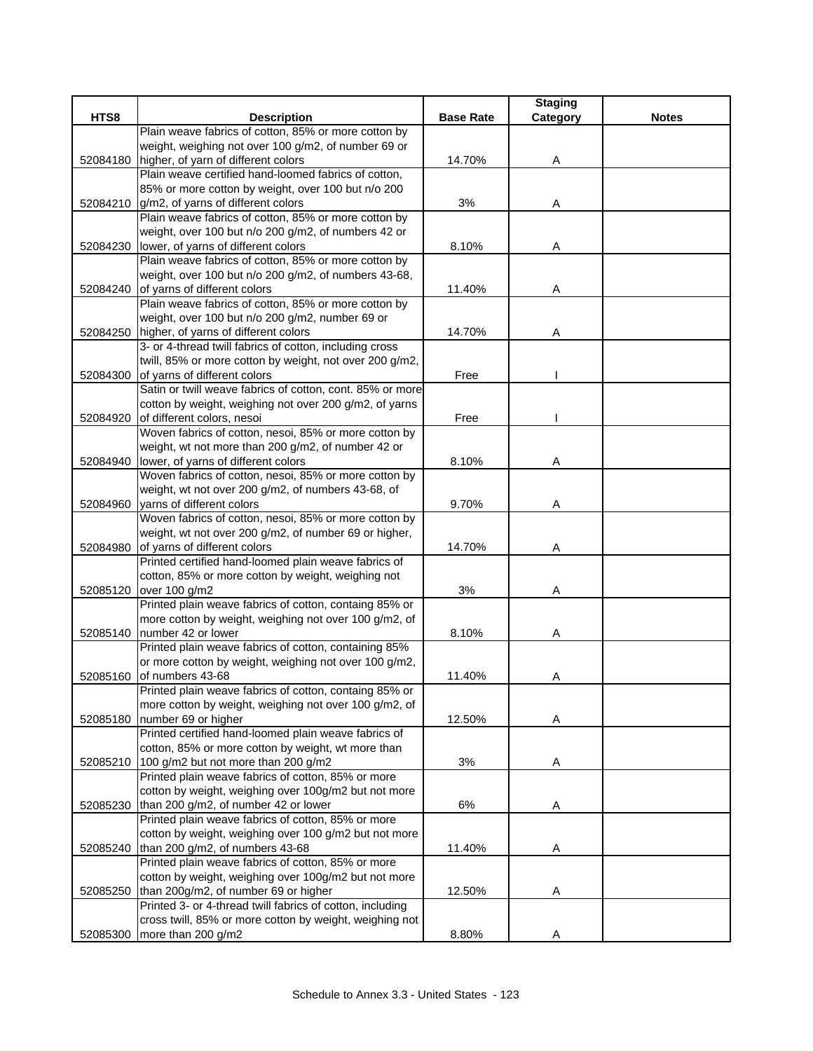|          |                                                           |                  | <b>Staging</b> |              |
|----------|-----------------------------------------------------------|------------------|----------------|--------------|
| HTS8     | <b>Description</b>                                        | <b>Base Rate</b> | Category       | <b>Notes</b> |
|          | Plain weave fabrics of cotton, 85% or more cotton by      |                  |                |              |
|          | weight, weighing not over 100 g/m2, of number 69 or       |                  |                |              |
| 52084180 | higher, of yarn of different colors                       | 14.70%           | Α              |              |
|          | Plain weave certified hand-loomed fabrics of cotton,      |                  |                |              |
|          | 85% or more cotton by weight, over 100 but n/o 200        |                  |                |              |
| 52084210 | g/m2, of yarns of different colors                        | 3%               | Α              |              |
|          | Plain weave fabrics of cotton, 85% or more cotton by      |                  |                |              |
|          | weight, over 100 but n/o 200 g/m2, of numbers 42 or       |                  |                |              |
| 52084230 | lower, of yarns of different colors                       | 8.10%            | Α              |              |
|          | Plain weave fabrics of cotton, 85% or more cotton by      |                  |                |              |
|          | weight, over 100 but n/o 200 g/m2, of numbers 43-68,      |                  |                |              |
| 52084240 | of yarns of different colors                              | 11.40%           | Α              |              |
|          | Plain weave fabrics of cotton, 85% or more cotton by      |                  |                |              |
|          | weight, over 100 but n/o 200 g/m2, number 69 or           |                  |                |              |
| 52084250 | higher, of yarns of different colors                      | 14.70%           | Α              |              |
|          | 3- or 4-thread twill fabrics of cotton, including cross   |                  |                |              |
|          | twill, 85% or more cotton by weight, not over 200 g/m2,   |                  |                |              |
| 52084300 | of yarns of different colors                              | Free             |                |              |
|          | Satin or twill weave fabrics of cotton, cont. 85% or more |                  |                |              |
|          | cotton by weight, weighing not over 200 g/m2, of yarns    |                  |                |              |
| 52084920 | of different colors, nesoi                                | Free             |                |              |
|          | Woven fabrics of cotton, nesoi, 85% or more cotton by     |                  |                |              |
|          | weight, wt not more than 200 g/m2, of number 42 or        |                  |                |              |
| 52084940 | lower, of yarns of different colors                       | 8.10%            | Α              |              |
|          | Woven fabrics of cotton, nesoi, 85% or more cotton by     |                  |                |              |
|          | weight, wt not over 200 g/m2, of numbers 43-68, of        |                  |                |              |
| 52084960 | yarns of different colors                                 | 9.70%            | Α              |              |
|          | Woven fabrics of cotton, nesoi, 85% or more cotton by     |                  |                |              |
|          | weight, wt not over 200 g/m2, of number 69 or higher,     |                  |                |              |
| 52084980 | of yarns of different colors                              | 14.70%           | Α              |              |
|          | Printed certified hand-loomed plain weave fabrics of      |                  |                |              |
|          | cotton, 85% or more cotton by weight, weighing not        |                  |                |              |
| 52085120 | over 100 g/m2                                             | 3%               | Α              |              |
|          | Printed plain weave fabrics of cotton, containg 85% or    |                  |                |              |
|          | more cotton by weight, weighing not over 100 g/m2, of     |                  |                |              |
| 52085140 | number 42 or lower                                        | 8.10%            | Α              |              |
|          | Printed plain weave fabrics of cotton, containing 85%     |                  |                |              |
|          | or more cotton by weight, weighing not over 100 g/m2,     |                  |                |              |
| 52085160 | of numbers 43-68                                          | 11.40%           | Α              |              |
|          | Printed plain weave fabrics of cotton, containg 85% or    |                  |                |              |
|          | more cotton by weight, weighing not over 100 g/m2, of     |                  |                |              |
| 52085180 | number 69 or higher                                       | 12.50%           | Α              |              |
|          | Printed certified hand-loomed plain weave fabrics of      |                  |                |              |
|          | cotton, 85% or more cotton by weight, wt more than        |                  |                |              |
| 52085210 | 100 g/m2 but not more than 200 g/m2                       | 3%               | Α              |              |
|          | Printed plain weave fabrics of cotton, 85% or more        |                  |                |              |
|          | cotton by weight, weighing over 100g/m2 but not more      |                  |                |              |
| 52085230 | than 200 g/m2, of number 42 or lower                      | 6%               | Α              |              |
|          | Printed plain weave fabrics of cotton, 85% or more        |                  |                |              |
|          | cotton by weight, weighing over 100 g/m2 but not more     |                  |                |              |
| 52085240 | than 200 g/m2, of numbers 43-68                           | 11.40%           | Α              |              |
|          | Printed plain weave fabrics of cotton, 85% or more        |                  |                |              |
|          | cotton by weight, weighing over 100g/m2 but not more      |                  |                |              |
| 52085250 | than 200g/m2, of number 69 or higher                      | 12.50%           | Α              |              |
|          | Printed 3- or 4-thread twill fabrics of cotton, including |                  |                |              |
|          | cross twill, 85% or more cotton by weight, weighing not   |                  |                |              |
| 52085300 | more than 200 g/m2                                        | 8.80%            | Α              |              |
|          |                                                           |                  |                |              |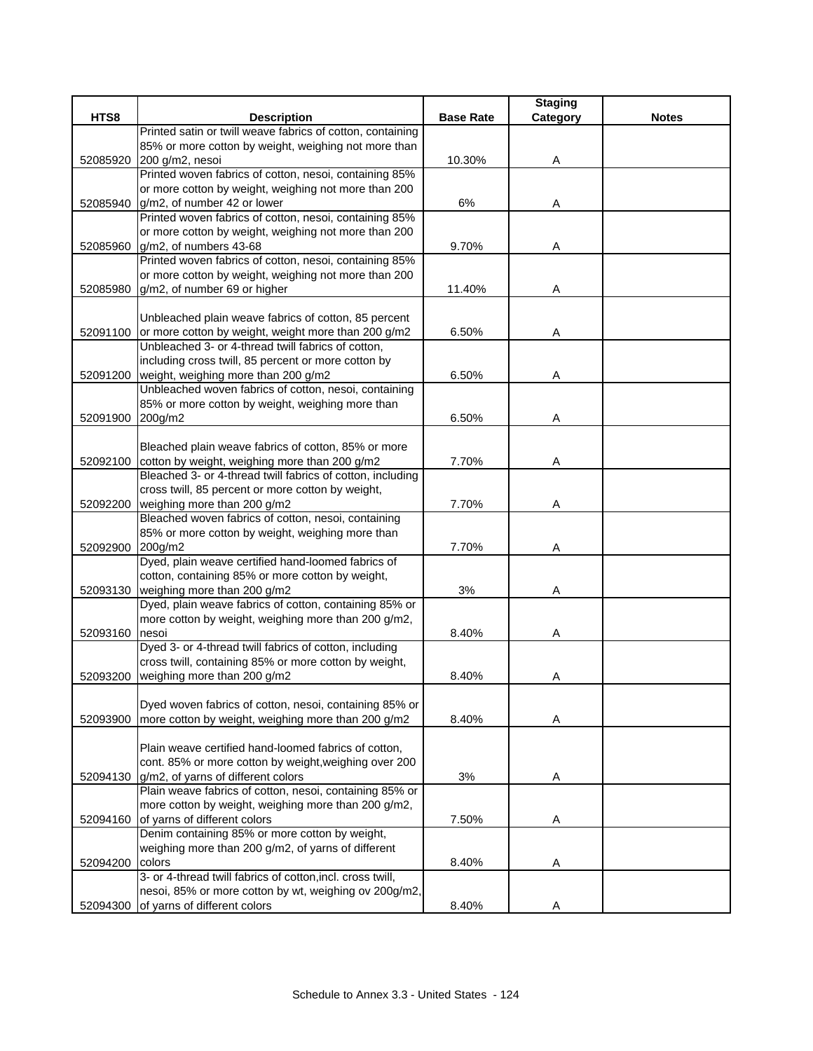| <b>Base Rate</b><br><b>Notes</b><br><b>Description</b><br>Printed satin or twill weave fabrics of cotton, containing<br>85% or more cotton by weight, weighing not more than<br>52085920 200 g/m2, nesoi<br>10.30%<br>Α<br>Printed woven fabrics of cotton, nesoi, containing 85%<br>or more cotton by weight, weighing not more than 200<br>6%<br>52085940<br>g/m2, of number 42 or lower<br>Α<br>Printed woven fabrics of cotton, nesoi, containing 85%<br>or more cotton by weight, weighing not more than 200<br>52085960 g/m2, of numbers 43-68<br>9.70%<br>Α<br>Printed woven fabrics of cotton, nesoi, containing 85%<br>or more cotton by weight, weighing not more than 200<br>g/m2, of number 69 or higher<br>11.40%<br>52085980<br>Α<br>Unbleached plain weave fabrics of cotton, 85 percent<br>52091100 or more cotton by weight, weight more than 200 g/m2<br>6.50%<br>Α<br>Unbleached 3- or 4-thread twill fabrics of cotton,<br>including cross twill, 85 percent or more cotton by<br>52091200 weight, weighing more than 200 g/m2<br>6.50%<br>Α<br>Unbleached woven fabrics of cotton, nesoi, containing<br>85% or more cotton by weight, weighing more than<br>52091900<br>200g/m2<br>6.50%<br>Α<br>Bleached plain weave fabrics of cotton, 85% or more<br>52092100 cotton by weight, weighing more than 200 g/m2<br>7.70%<br>Α<br>Bleached 3- or 4-thread twill fabrics of cotton, including<br>cross twill, 85 percent or more cotton by weight,<br>52092200 weighing more than 200 g/m2<br>7.70%<br>Α<br>Bleached woven fabrics of cotton, nesoi, containing<br>85% or more cotton by weight, weighing more than<br>7.70%<br>52092900 200g/m2<br>Α<br>Dyed, plain weave certified hand-loomed fabrics of<br>cotton, containing 85% or more cotton by weight,<br>52093130 weighing more than 200 g/m2<br>3%<br>Α<br>Dyed, plain weave fabrics of cotton, containing 85% or<br>more cotton by weight, weighing more than 200 g/m2,<br>52093160<br>8.40%<br>nesoi<br>Α<br>Dyed 3- or 4-thread twill fabrics of cotton, including<br>cross twill, containing 85% or more cotton by weight,<br>weighing more than 200 g/m2<br>52093200<br>8.40%<br>Α<br>Dyed woven fabrics of cotton, nesoi, containing 85% or<br>more cotton by weight, weighing more than 200 g/m2<br>8.40%<br>52093900<br>Α<br>Plain weave certified hand-loomed fabrics of cotton,<br>cont. 85% or more cotton by weight, weighing over 200<br>g/m2, of yarns of different colors<br>3%<br>52094130<br>Α<br>Plain weave fabrics of cotton, nesoi, containing 85% or<br>more cotton by weight, weighing more than 200 g/m2,<br>of yarns of different colors<br>52094160<br>7.50%<br>A<br>Denim containing 85% or more cotton by weight,<br>weighing more than 200 g/m2, of yarns of different<br>colors<br>8.40%<br>52094200<br>A<br>3- or 4-thread twill fabrics of cotton, incl. cross twill,<br>nesoi, 85% or more cotton by wt, weighing ov 200g/m2,<br>52094300 of yarns of different colors |      |       | <b>Staging</b> |  |
|--------------------------------------------------------------------------------------------------------------------------------------------------------------------------------------------------------------------------------------------------------------------------------------------------------------------------------------------------------------------------------------------------------------------------------------------------------------------------------------------------------------------------------------------------------------------------------------------------------------------------------------------------------------------------------------------------------------------------------------------------------------------------------------------------------------------------------------------------------------------------------------------------------------------------------------------------------------------------------------------------------------------------------------------------------------------------------------------------------------------------------------------------------------------------------------------------------------------------------------------------------------------------------------------------------------------------------------------------------------------------------------------------------------------------------------------------------------------------------------------------------------------------------------------------------------------------------------------------------------------------------------------------------------------------------------------------------------------------------------------------------------------------------------------------------------------------------------------------------------------------------------------------------------------------------------------------------------------------------------------------------------------------------------------------------------------------------------------------------------------------------------------------------------------------------------------------------------------------------------------------------------------------------------------------------------------------------------------------------------------------------------------------------------------------------------------------------------------------------------------------------------------------------------------------------------------------------------------------------------------------------------------------------------------------------------------------------------------------------------------------------------------------------------------------------------------------------------------------------------------------------------------------------------------------------------------------------------------------------------|------|-------|----------------|--|
|                                                                                                                                                                                                                                                                                                                                                                                                                                                                                                                                                                                                                                                                                                                                                                                                                                                                                                                                                                                                                                                                                                                                                                                                                                                                                                                                                                                                                                                                                                                                                                                                                                                                                                                                                                                                                                                                                                                                                                                                                                                                                                                                                                                                                                                                                                                                                                                                                                                                                                                                                                                                                                                                                                                                                                                                                                                                                                                                                                                      | HTS8 |       | Category       |  |
|                                                                                                                                                                                                                                                                                                                                                                                                                                                                                                                                                                                                                                                                                                                                                                                                                                                                                                                                                                                                                                                                                                                                                                                                                                                                                                                                                                                                                                                                                                                                                                                                                                                                                                                                                                                                                                                                                                                                                                                                                                                                                                                                                                                                                                                                                                                                                                                                                                                                                                                                                                                                                                                                                                                                                                                                                                                                                                                                                                                      |      |       |                |  |
|                                                                                                                                                                                                                                                                                                                                                                                                                                                                                                                                                                                                                                                                                                                                                                                                                                                                                                                                                                                                                                                                                                                                                                                                                                                                                                                                                                                                                                                                                                                                                                                                                                                                                                                                                                                                                                                                                                                                                                                                                                                                                                                                                                                                                                                                                                                                                                                                                                                                                                                                                                                                                                                                                                                                                                                                                                                                                                                                                                                      |      |       |                |  |
|                                                                                                                                                                                                                                                                                                                                                                                                                                                                                                                                                                                                                                                                                                                                                                                                                                                                                                                                                                                                                                                                                                                                                                                                                                                                                                                                                                                                                                                                                                                                                                                                                                                                                                                                                                                                                                                                                                                                                                                                                                                                                                                                                                                                                                                                                                                                                                                                                                                                                                                                                                                                                                                                                                                                                                                                                                                                                                                                                                                      |      |       |                |  |
|                                                                                                                                                                                                                                                                                                                                                                                                                                                                                                                                                                                                                                                                                                                                                                                                                                                                                                                                                                                                                                                                                                                                                                                                                                                                                                                                                                                                                                                                                                                                                                                                                                                                                                                                                                                                                                                                                                                                                                                                                                                                                                                                                                                                                                                                                                                                                                                                                                                                                                                                                                                                                                                                                                                                                                                                                                                                                                                                                                                      |      |       |                |  |
|                                                                                                                                                                                                                                                                                                                                                                                                                                                                                                                                                                                                                                                                                                                                                                                                                                                                                                                                                                                                                                                                                                                                                                                                                                                                                                                                                                                                                                                                                                                                                                                                                                                                                                                                                                                                                                                                                                                                                                                                                                                                                                                                                                                                                                                                                                                                                                                                                                                                                                                                                                                                                                                                                                                                                                                                                                                                                                                                                                                      |      |       |                |  |
|                                                                                                                                                                                                                                                                                                                                                                                                                                                                                                                                                                                                                                                                                                                                                                                                                                                                                                                                                                                                                                                                                                                                                                                                                                                                                                                                                                                                                                                                                                                                                                                                                                                                                                                                                                                                                                                                                                                                                                                                                                                                                                                                                                                                                                                                                                                                                                                                                                                                                                                                                                                                                                                                                                                                                                                                                                                                                                                                                                                      |      |       |                |  |
|                                                                                                                                                                                                                                                                                                                                                                                                                                                                                                                                                                                                                                                                                                                                                                                                                                                                                                                                                                                                                                                                                                                                                                                                                                                                                                                                                                                                                                                                                                                                                                                                                                                                                                                                                                                                                                                                                                                                                                                                                                                                                                                                                                                                                                                                                                                                                                                                                                                                                                                                                                                                                                                                                                                                                                                                                                                                                                                                                                                      |      |       |                |  |
|                                                                                                                                                                                                                                                                                                                                                                                                                                                                                                                                                                                                                                                                                                                                                                                                                                                                                                                                                                                                                                                                                                                                                                                                                                                                                                                                                                                                                                                                                                                                                                                                                                                                                                                                                                                                                                                                                                                                                                                                                                                                                                                                                                                                                                                                                                                                                                                                                                                                                                                                                                                                                                                                                                                                                                                                                                                                                                                                                                                      |      |       |                |  |
|                                                                                                                                                                                                                                                                                                                                                                                                                                                                                                                                                                                                                                                                                                                                                                                                                                                                                                                                                                                                                                                                                                                                                                                                                                                                                                                                                                                                                                                                                                                                                                                                                                                                                                                                                                                                                                                                                                                                                                                                                                                                                                                                                                                                                                                                                                                                                                                                                                                                                                                                                                                                                                                                                                                                                                                                                                                                                                                                                                                      |      |       |                |  |
|                                                                                                                                                                                                                                                                                                                                                                                                                                                                                                                                                                                                                                                                                                                                                                                                                                                                                                                                                                                                                                                                                                                                                                                                                                                                                                                                                                                                                                                                                                                                                                                                                                                                                                                                                                                                                                                                                                                                                                                                                                                                                                                                                                                                                                                                                                                                                                                                                                                                                                                                                                                                                                                                                                                                                                                                                                                                                                                                                                                      |      |       |                |  |
|                                                                                                                                                                                                                                                                                                                                                                                                                                                                                                                                                                                                                                                                                                                                                                                                                                                                                                                                                                                                                                                                                                                                                                                                                                                                                                                                                                                                                                                                                                                                                                                                                                                                                                                                                                                                                                                                                                                                                                                                                                                                                                                                                                                                                                                                                                                                                                                                                                                                                                                                                                                                                                                                                                                                                                                                                                                                                                                                                                                      |      |       |                |  |
|                                                                                                                                                                                                                                                                                                                                                                                                                                                                                                                                                                                                                                                                                                                                                                                                                                                                                                                                                                                                                                                                                                                                                                                                                                                                                                                                                                                                                                                                                                                                                                                                                                                                                                                                                                                                                                                                                                                                                                                                                                                                                                                                                                                                                                                                                                                                                                                                                                                                                                                                                                                                                                                                                                                                                                                                                                                                                                                                                                                      |      |       |                |  |
|                                                                                                                                                                                                                                                                                                                                                                                                                                                                                                                                                                                                                                                                                                                                                                                                                                                                                                                                                                                                                                                                                                                                                                                                                                                                                                                                                                                                                                                                                                                                                                                                                                                                                                                                                                                                                                                                                                                                                                                                                                                                                                                                                                                                                                                                                                                                                                                                                                                                                                                                                                                                                                                                                                                                                                                                                                                                                                                                                                                      |      |       |                |  |
|                                                                                                                                                                                                                                                                                                                                                                                                                                                                                                                                                                                                                                                                                                                                                                                                                                                                                                                                                                                                                                                                                                                                                                                                                                                                                                                                                                                                                                                                                                                                                                                                                                                                                                                                                                                                                                                                                                                                                                                                                                                                                                                                                                                                                                                                                                                                                                                                                                                                                                                                                                                                                                                                                                                                                                                                                                                                                                                                                                                      |      |       |                |  |
|                                                                                                                                                                                                                                                                                                                                                                                                                                                                                                                                                                                                                                                                                                                                                                                                                                                                                                                                                                                                                                                                                                                                                                                                                                                                                                                                                                                                                                                                                                                                                                                                                                                                                                                                                                                                                                                                                                                                                                                                                                                                                                                                                                                                                                                                                                                                                                                                                                                                                                                                                                                                                                                                                                                                                                                                                                                                                                                                                                                      |      |       |                |  |
|                                                                                                                                                                                                                                                                                                                                                                                                                                                                                                                                                                                                                                                                                                                                                                                                                                                                                                                                                                                                                                                                                                                                                                                                                                                                                                                                                                                                                                                                                                                                                                                                                                                                                                                                                                                                                                                                                                                                                                                                                                                                                                                                                                                                                                                                                                                                                                                                                                                                                                                                                                                                                                                                                                                                                                                                                                                                                                                                                                                      |      |       |                |  |
|                                                                                                                                                                                                                                                                                                                                                                                                                                                                                                                                                                                                                                                                                                                                                                                                                                                                                                                                                                                                                                                                                                                                                                                                                                                                                                                                                                                                                                                                                                                                                                                                                                                                                                                                                                                                                                                                                                                                                                                                                                                                                                                                                                                                                                                                                                                                                                                                                                                                                                                                                                                                                                                                                                                                                                                                                                                                                                                                                                                      |      |       |                |  |
|                                                                                                                                                                                                                                                                                                                                                                                                                                                                                                                                                                                                                                                                                                                                                                                                                                                                                                                                                                                                                                                                                                                                                                                                                                                                                                                                                                                                                                                                                                                                                                                                                                                                                                                                                                                                                                                                                                                                                                                                                                                                                                                                                                                                                                                                                                                                                                                                                                                                                                                                                                                                                                                                                                                                                                                                                                                                                                                                                                                      |      |       |                |  |
|                                                                                                                                                                                                                                                                                                                                                                                                                                                                                                                                                                                                                                                                                                                                                                                                                                                                                                                                                                                                                                                                                                                                                                                                                                                                                                                                                                                                                                                                                                                                                                                                                                                                                                                                                                                                                                                                                                                                                                                                                                                                                                                                                                                                                                                                                                                                                                                                                                                                                                                                                                                                                                                                                                                                                                                                                                                                                                                                                                                      |      |       |                |  |
|                                                                                                                                                                                                                                                                                                                                                                                                                                                                                                                                                                                                                                                                                                                                                                                                                                                                                                                                                                                                                                                                                                                                                                                                                                                                                                                                                                                                                                                                                                                                                                                                                                                                                                                                                                                                                                                                                                                                                                                                                                                                                                                                                                                                                                                                                                                                                                                                                                                                                                                                                                                                                                                                                                                                                                                                                                                                                                                                                                                      |      |       |                |  |
|                                                                                                                                                                                                                                                                                                                                                                                                                                                                                                                                                                                                                                                                                                                                                                                                                                                                                                                                                                                                                                                                                                                                                                                                                                                                                                                                                                                                                                                                                                                                                                                                                                                                                                                                                                                                                                                                                                                                                                                                                                                                                                                                                                                                                                                                                                                                                                                                                                                                                                                                                                                                                                                                                                                                                                                                                                                                                                                                                                                      |      |       |                |  |
|                                                                                                                                                                                                                                                                                                                                                                                                                                                                                                                                                                                                                                                                                                                                                                                                                                                                                                                                                                                                                                                                                                                                                                                                                                                                                                                                                                                                                                                                                                                                                                                                                                                                                                                                                                                                                                                                                                                                                                                                                                                                                                                                                                                                                                                                                                                                                                                                                                                                                                                                                                                                                                                                                                                                                                                                                                                                                                                                                                                      |      |       |                |  |
|                                                                                                                                                                                                                                                                                                                                                                                                                                                                                                                                                                                                                                                                                                                                                                                                                                                                                                                                                                                                                                                                                                                                                                                                                                                                                                                                                                                                                                                                                                                                                                                                                                                                                                                                                                                                                                                                                                                                                                                                                                                                                                                                                                                                                                                                                                                                                                                                                                                                                                                                                                                                                                                                                                                                                                                                                                                                                                                                                                                      |      |       |                |  |
|                                                                                                                                                                                                                                                                                                                                                                                                                                                                                                                                                                                                                                                                                                                                                                                                                                                                                                                                                                                                                                                                                                                                                                                                                                                                                                                                                                                                                                                                                                                                                                                                                                                                                                                                                                                                                                                                                                                                                                                                                                                                                                                                                                                                                                                                                                                                                                                                                                                                                                                                                                                                                                                                                                                                                                                                                                                                                                                                                                                      |      |       |                |  |
|                                                                                                                                                                                                                                                                                                                                                                                                                                                                                                                                                                                                                                                                                                                                                                                                                                                                                                                                                                                                                                                                                                                                                                                                                                                                                                                                                                                                                                                                                                                                                                                                                                                                                                                                                                                                                                                                                                                                                                                                                                                                                                                                                                                                                                                                                                                                                                                                                                                                                                                                                                                                                                                                                                                                                                                                                                                                                                                                                                                      |      |       |                |  |
|                                                                                                                                                                                                                                                                                                                                                                                                                                                                                                                                                                                                                                                                                                                                                                                                                                                                                                                                                                                                                                                                                                                                                                                                                                                                                                                                                                                                                                                                                                                                                                                                                                                                                                                                                                                                                                                                                                                                                                                                                                                                                                                                                                                                                                                                                                                                                                                                                                                                                                                                                                                                                                                                                                                                                                                                                                                                                                                                                                                      |      |       |                |  |
|                                                                                                                                                                                                                                                                                                                                                                                                                                                                                                                                                                                                                                                                                                                                                                                                                                                                                                                                                                                                                                                                                                                                                                                                                                                                                                                                                                                                                                                                                                                                                                                                                                                                                                                                                                                                                                                                                                                                                                                                                                                                                                                                                                                                                                                                                                                                                                                                                                                                                                                                                                                                                                                                                                                                                                                                                                                                                                                                                                                      |      |       |                |  |
|                                                                                                                                                                                                                                                                                                                                                                                                                                                                                                                                                                                                                                                                                                                                                                                                                                                                                                                                                                                                                                                                                                                                                                                                                                                                                                                                                                                                                                                                                                                                                                                                                                                                                                                                                                                                                                                                                                                                                                                                                                                                                                                                                                                                                                                                                                                                                                                                                                                                                                                                                                                                                                                                                                                                                                                                                                                                                                                                                                                      |      |       |                |  |
|                                                                                                                                                                                                                                                                                                                                                                                                                                                                                                                                                                                                                                                                                                                                                                                                                                                                                                                                                                                                                                                                                                                                                                                                                                                                                                                                                                                                                                                                                                                                                                                                                                                                                                                                                                                                                                                                                                                                                                                                                                                                                                                                                                                                                                                                                                                                                                                                                                                                                                                                                                                                                                                                                                                                                                                                                                                                                                                                                                                      |      |       |                |  |
|                                                                                                                                                                                                                                                                                                                                                                                                                                                                                                                                                                                                                                                                                                                                                                                                                                                                                                                                                                                                                                                                                                                                                                                                                                                                                                                                                                                                                                                                                                                                                                                                                                                                                                                                                                                                                                                                                                                                                                                                                                                                                                                                                                                                                                                                                                                                                                                                                                                                                                                                                                                                                                                                                                                                                                                                                                                                                                                                                                                      |      |       |                |  |
|                                                                                                                                                                                                                                                                                                                                                                                                                                                                                                                                                                                                                                                                                                                                                                                                                                                                                                                                                                                                                                                                                                                                                                                                                                                                                                                                                                                                                                                                                                                                                                                                                                                                                                                                                                                                                                                                                                                                                                                                                                                                                                                                                                                                                                                                                                                                                                                                                                                                                                                                                                                                                                                                                                                                                                                                                                                                                                                                                                                      |      |       |                |  |
|                                                                                                                                                                                                                                                                                                                                                                                                                                                                                                                                                                                                                                                                                                                                                                                                                                                                                                                                                                                                                                                                                                                                                                                                                                                                                                                                                                                                                                                                                                                                                                                                                                                                                                                                                                                                                                                                                                                                                                                                                                                                                                                                                                                                                                                                                                                                                                                                                                                                                                                                                                                                                                                                                                                                                                                                                                                                                                                                                                                      |      |       |                |  |
|                                                                                                                                                                                                                                                                                                                                                                                                                                                                                                                                                                                                                                                                                                                                                                                                                                                                                                                                                                                                                                                                                                                                                                                                                                                                                                                                                                                                                                                                                                                                                                                                                                                                                                                                                                                                                                                                                                                                                                                                                                                                                                                                                                                                                                                                                                                                                                                                                                                                                                                                                                                                                                                                                                                                                                                                                                                                                                                                                                                      |      |       |                |  |
|                                                                                                                                                                                                                                                                                                                                                                                                                                                                                                                                                                                                                                                                                                                                                                                                                                                                                                                                                                                                                                                                                                                                                                                                                                                                                                                                                                                                                                                                                                                                                                                                                                                                                                                                                                                                                                                                                                                                                                                                                                                                                                                                                                                                                                                                                                                                                                                                                                                                                                                                                                                                                                                                                                                                                                                                                                                                                                                                                                                      |      |       |                |  |
|                                                                                                                                                                                                                                                                                                                                                                                                                                                                                                                                                                                                                                                                                                                                                                                                                                                                                                                                                                                                                                                                                                                                                                                                                                                                                                                                                                                                                                                                                                                                                                                                                                                                                                                                                                                                                                                                                                                                                                                                                                                                                                                                                                                                                                                                                                                                                                                                                                                                                                                                                                                                                                                                                                                                                                                                                                                                                                                                                                                      |      |       |                |  |
|                                                                                                                                                                                                                                                                                                                                                                                                                                                                                                                                                                                                                                                                                                                                                                                                                                                                                                                                                                                                                                                                                                                                                                                                                                                                                                                                                                                                                                                                                                                                                                                                                                                                                                                                                                                                                                                                                                                                                                                                                                                                                                                                                                                                                                                                                                                                                                                                                                                                                                                                                                                                                                                                                                                                                                                                                                                                                                                                                                                      |      |       |                |  |
|                                                                                                                                                                                                                                                                                                                                                                                                                                                                                                                                                                                                                                                                                                                                                                                                                                                                                                                                                                                                                                                                                                                                                                                                                                                                                                                                                                                                                                                                                                                                                                                                                                                                                                                                                                                                                                                                                                                                                                                                                                                                                                                                                                                                                                                                                                                                                                                                                                                                                                                                                                                                                                                                                                                                                                                                                                                                                                                                                                                      |      |       |                |  |
|                                                                                                                                                                                                                                                                                                                                                                                                                                                                                                                                                                                                                                                                                                                                                                                                                                                                                                                                                                                                                                                                                                                                                                                                                                                                                                                                                                                                                                                                                                                                                                                                                                                                                                                                                                                                                                                                                                                                                                                                                                                                                                                                                                                                                                                                                                                                                                                                                                                                                                                                                                                                                                                                                                                                                                                                                                                                                                                                                                                      |      |       |                |  |
|                                                                                                                                                                                                                                                                                                                                                                                                                                                                                                                                                                                                                                                                                                                                                                                                                                                                                                                                                                                                                                                                                                                                                                                                                                                                                                                                                                                                                                                                                                                                                                                                                                                                                                                                                                                                                                                                                                                                                                                                                                                                                                                                                                                                                                                                                                                                                                                                                                                                                                                                                                                                                                                                                                                                                                                                                                                                                                                                                                                      |      |       |                |  |
|                                                                                                                                                                                                                                                                                                                                                                                                                                                                                                                                                                                                                                                                                                                                                                                                                                                                                                                                                                                                                                                                                                                                                                                                                                                                                                                                                                                                                                                                                                                                                                                                                                                                                                                                                                                                                                                                                                                                                                                                                                                                                                                                                                                                                                                                                                                                                                                                                                                                                                                                                                                                                                                                                                                                                                                                                                                                                                                                                                                      |      |       |                |  |
|                                                                                                                                                                                                                                                                                                                                                                                                                                                                                                                                                                                                                                                                                                                                                                                                                                                                                                                                                                                                                                                                                                                                                                                                                                                                                                                                                                                                                                                                                                                                                                                                                                                                                                                                                                                                                                                                                                                                                                                                                                                                                                                                                                                                                                                                                                                                                                                                                                                                                                                                                                                                                                                                                                                                                                                                                                                                                                                                                                                      |      |       |                |  |
|                                                                                                                                                                                                                                                                                                                                                                                                                                                                                                                                                                                                                                                                                                                                                                                                                                                                                                                                                                                                                                                                                                                                                                                                                                                                                                                                                                                                                                                                                                                                                                                                                                                                                                                                                                                                                                                                                                                                                                                                                                                                                                                                                                                                                                                                                                                                                                                                                                                                                                                                                                                                                                                                                                                                                                                                                                                                                                                                                                                      |      |       |                |  |
|                                                                                                                                                                                                                                                                                                                                                                                                                                                                                                                                                                                                                                                                                                                                                                                                                                                                                                                                                                                                                                                                                                                                                                                                                                                                                                                                                                                                                                                                                                                                                                                                                                                                                                                                                                                                                                                                                                                                                                                                                                                                                                                                                                                                                                                                                                                                                                                                                                                                                                                                                                                                                                                                                                                                                                                                                                                                                                                                                                                      |      |       |                |  |
|                                                                                                                                                                                                                                                                                                                                                                                                                                                                                                                                                                                                                                                                                                                                                                                                                                                                                                                                                                                                                                                                                                                                                                                                                                                                                                                                                                                                                                                                                                                                                                                                                                                                                                                                                                                                                                                                                                                                                                                                                                                                                                                                                                                                                                                                                                                                                                                                                                                                                                                                                                                                                                                                                                                                                                                                                                                                                                                                                                                      |      |       |                |  |
|                                                                                                                                                                                                                                                                                                                                                                                                                                                                                                                                                                                                                                                                                                                                                                                                                                                                                                                                                                                                                                                                                                                                                                                                                                                                                                                                                                                                                                                                                                                                                                                                                                                                                                                                                                                                                                                                                                                                                                                                                                                                                                                                                                                                                                                                                                                                                                                                                                                                                                                                                                                                                                                                                                                                                                                                                                                                                                                                                                                      |      |       |                |  |
|                                                                                                                                                                                                                                                                                                                                                                                                                                                                                                                                                                                                                                                                                                                                                                                                                                                                                                                                                                                                                                                                                                                                                                                                                                                                                                                                                                                                                                                                                                                                                                                                                                                                                                                                                                                                                                                                                                                                                                                                                                                                                                                                                                                                                                                                                                                                                                                                                                                                                                                                                                                                                                                                                                                                                                                                                                                                                                                                                                                      |      |       |                |  |
|                                                                                                                                                                                                                                                                                                                                                                                                                                                                                                                                                                                                                                                                                                                                                                                                                                                                                                                                                                                                                                                                                                                                                                                                                                                                                                                                                                                                                                                                                                                                                                                                                                                                                                                                                                                                                                                                                                                                                                                                                                                                                                                                                                                                                                                                                                                                                                                                                                                                                                                                                                                                                                                                                                                                                                                                                                                                                                                                                                                      |      |       |                |  |
|                                                                                                                                                                                                                                                                                                                                                                                                                                                                                                                                                                                                                                                                                                                                                                                                                                                                                                                                                                                                                                                                                                                                                                                                                                                                                                                                                                                                                                                                                                                                                                                                                                                                                                                                                                                                                                                                                                                                                                                                                                                                                                                                                                                                                                                                                                                                                                                                                                                                                                                                                                                                                                                                                                                                                                                                                                                                                                                                                                                      |      |       |                |  |
|                                                                                                                                                                                                                                                                                                                                                                                                                                                                                                                                                                                                                                                                                                                                                                                                                                                                                                                                                                                                                                                                                                                                                                                                                                                                                                                                                                                                                                                                                                                                                                                                                                                                                                                                                                                                                                                                                                                                                                                                                                                                                                                                                                                                                                                                                                                                                                                                                                                                                                                                                                                                                                                                                                                                                                                                                                                                                                                                                                                      |      |       |                |  |
|                                                                                                                                                                                                                                                                                                                                                                                                                                                                                                                                                                                                                                                                                                                                                                                                                                                                                                                                                                                                                                                                                                                                                                                                                                                                                                                                                                                                                                                                                                                                                                                                                                                                                                                                                                                                                                                                                                                                                                                                                                                                                                                                                                                                                                                                                                                                                                                                                                                                                                                                                                                                                                                                                                                                                                                                                                                                                                                                                                                      |      |       |                |  |
|                                                                                                                                                                                                                                                                                                                                                                                                                                                                                                                                                                                                                                                                                                                                                                                                                                                                                                                                                                                                                                                                                                                                                                                                                                                                                                                                                                                                                                                                                                                                                                                                                                                                                                                                                                                                                                                                                                                                                                                                                                                                                                                                                                                                                                                                                                                                                                                                                                                                                                                                                                                                                                                                                                                                                                                                                                                                                                                                                                                      |      |       |                |  |
|                                                                                                                                                                                                                                                                                                                                                                                                                                                                                                                                                                                                                                                                                                                                                                                                                                                                                                                                                                                                                                                                                                                                                                                                                                                                                                                                                                                                                                                                                                                                                                                                                                                                                                                                                                                                                                                                                                                                                                                                                                                                                                                                                                                                                                                                                                                                                                                                                                                                                                                                                                                                                                                                                                                                                                                                                                                                                                                                                                                      |      |       |                |  |
|                                                                                                                                                                                                                                                                                                                                                                                                                                                                                                                                                                                                                                                                                                                                                                                                                                                                                                                                                                                                                                                                                                                                                                                                                                                                                                                                                                                                                                                                                                                                                                                                                                                                                                                                                                                                                                                                                                                                                                                                                                                                                                                                                                                                                                                                                                                                                                                                                                                                                                                                                                                                                                                                                                                                                                                                                                                                                                                                                                                      |      | 8.40% | Α              |  |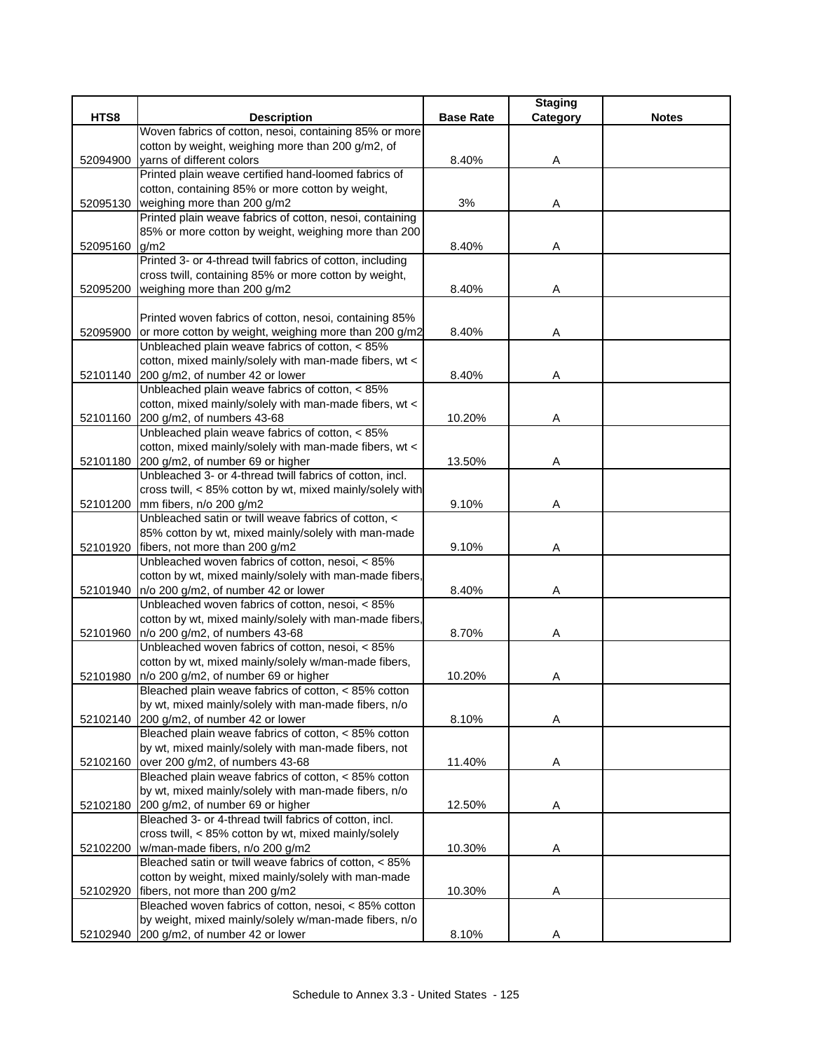|          |                                                                                             |                  | <b>Staging</b> |              |
|----------|---------------------------------------------------------------------------------------------|------------------|----------------|--------------|
| HTS8     | <b>Description</b>                                                                          | <b>Base Rate</b> | Category       | <b>Notes</b> |
|          | Woven fabrics of cotton, nesoi, containing 85% or more                                      |                  |                |              |
|          | cotton by weight, weighing more than 200 g/m2, of                                           |                  |                |              |
| 52094900 | varns of different colors                                                                   | 8.40%            | Α              |              |
|          | Printed plain weave certified hand-loomed fabrics of                                        |                  |                |              |
|          | cotton, containing 85% or more cotton by weight,                                            |                  |                |              |
| 52095130 | weighing more than 200 g/m2<br>Printed plain weave fabrics of cotton, nesoi, containing     | 3%               | Α              |              |
|          | 85% or more cotton by weight, weighing more than 200                                        |                  |                |              |
| 52095160 | g/m2                                                                                        | 8.40%            | Α              |              |
|          | Printed 3- or 4-thread twill fabrics of cotton, including                                   |                  |                |              |
|          | cross twill, containing 85% or more cotton by weight,                                       |                  |                |              |
| 52095200 | weighing more than 200 g/m2                                                                 | 8.40%            | Α              |              |
|          |                                                                                             |                  |                |              |
|          | Printed woven fabrics of cotton, nesoi, containing 85%                                      |                  |                |              |
| 52095900 | or more cotton by weight, weighing more than 200 g/m2                                       | 8.40%            | Α              |              |
|          | Unbleached plain weave fabrics of cotton, < 85%                                             |                  |                |              |
|          | cotton, mixed mainly/solely with man-made fibers, wt <                                      |                  |                |              |
|          | 52101140 200 g/m2, of number 42 or lower                                                    | 8.40%            | Α              |              |
|          | Unbleached plain weave fabrics of cotton, < 85%                                             |                  |                |              |
|          | cotton, mixed mainly/solely with man-made fibers, wt <                                      |                  |                |              |
| 52101160 | 200 g/m2, of numbers 43-68                                                                  | 10.20%           | Α              |              |
|          | Unbleached plain weave fabrics of cotton, < 85%                                             |                  |                |              |
|          | cotton, mixed mainly/solely with man-made fibers, wt <                                      |                  |                |              |
|          | 52101180 200 g/m2, of number 69 or higher                                                   | 13.50%           | Α              |              |
|          | Unbleached 3- or 4-thread twill fabrics of cotton, incl.                                    |                  |                |              |
|          | cross twill, < 85% cotton by wt, mixed mainly/solely with                                   |                  |                |              |
|          | 52101200 mm fibers, n/o 200 g/m2                                                            | 9.10%            | A              |              |
|          | Unbleached satin or twill weave fabrics of cotton, <                                        |                  |                |              |
|          | 85% cotton by wt, mixed mainly/solely with man-made                                         |                  |                |              |
|          | 52101920 fibers, not more than 200 g/m2<br>Unbleached woven fabrics of cotton, nesoi, < 85% | 9.10%            | Α              |              |
|          | cotton by wt, mixed mainly/solely with man-made fibers,                                     |                  |                |              |
| 52101940 | n/o 200 g/m2, of number 42 or lower                                                         | 8.40%            | Α              |              |
|          | Unbleached woven fabrics of cotton, nesoi, < 85%                                            |                  |                |              |
|          | cotton by wt, mixed mainly/solely with man-made fibers,                                     |                  |                |              |
| 52101960 | n/o 200 g/m2, of numbers 43-68                                                              | 8.70%            | Α              |              |
|          | Unbleached woven fabrics of cotton, nesoi, < 85%                                            |                  |                |              |
|          | cotton by wt, mixed mainly/solely w/man-made fibers,                                        |                  |                |              |
| 52101980 | n/o 200 g/m2, of number 69 or higher                                                        | 10.20%           | Α              |              |
|          | Bleached plain weave fabrics of cotton, < 85% cotton                                        |                  |                |              |
|          | by wt, mixed mainly/solely with man-made fibers, n/o                                        |                  |                |              |
|          | 52102140 200 g/m2, of number 42 or lower                                                    | 8.10%            | Α              |              |
|          | Bleached plain weave fabrics of cotton, < 85% cotton                                        |                  |                |              |
|          | by wt, mixed mainly/solely with man-made fibers, not                                        |                  |                |              |
|          | 52102160 over 200 g/m2, of numbers 43-68                                                    | 11.40%           | Α              |              |
|          | Bleached plain weave fabrics of cotton, < 85% cotton                                        |                  |                |              |
|          | by wt, mixed mainly/solely with man-made fibers, n/o                                        |                  |                |              |
|          | 52102180 200 g/m2, of number 69 or higher                                                   | 12.50%           | Α              |              |
|          | Bleached 3- or 4-thread twill fabrics of cotton, incl.                                      |                  |                |              |
|          | cross twill, < 85% cotton by wt, mixed mainly/solely                                        |                  |                |              |
| 52102200 | w/man-made fibers, n/o 200 g/m2                                                             | 10.30%           | A              |              |
|          | Bleached satin or twill weave fabrics of cotton, < 85%                                      |                  |                |              |
|          | cotton by weight, mixed mainly/solely with man-made                                         |                  |                |              |
| 52102920 | fibers, not more than 200 g/m2<br>Bleached woven fabrics of cotton, nesoi, < 85% cotton     | 10.30%           | Α              |              |
|          | by weight, mixed mainly/solely w/man-made fibers, n/o                                       |                  |                |              |
|          | 52102940 200 g/m2, of number 42 or lower                                                    | 8.10%            | Α              |              |
|          |                                                                                             |                  |                |              |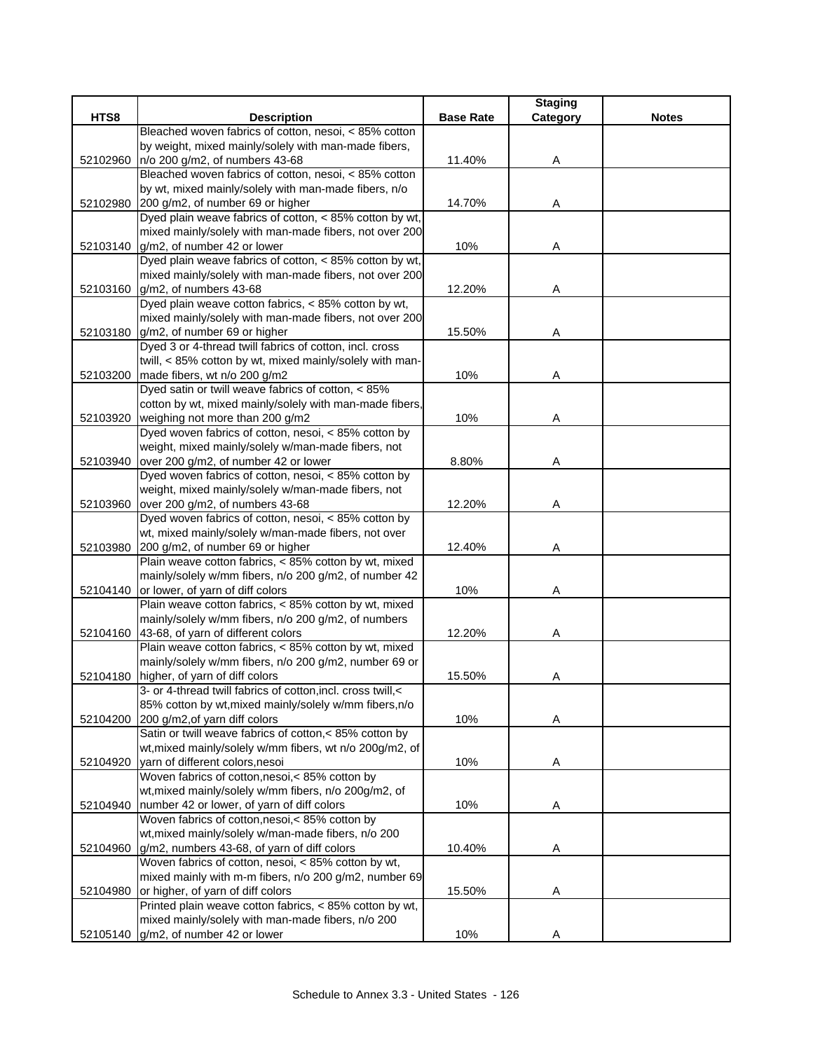|          |                                                              |                  | <b>Staging</b> |              |
|----------|--------------------------------------------------------------|------------------|----------------|--------------|
| HTS8     | <b>Description</b>                                           | <b>Base Rate</b> | Category       | <b>Notes</b> |
|          | Bleached woven fabrics of cotton, nesoi, < 85% cotton        |                  |                |              |
|          | by weight, mixed mainly/solely with man-made fibers,         |                  |                |              |
| 52102960 | n/o 200 g/m2, of numbers 43-68                               | 11.40%           | Α              |              |
|          | Bleached woven fabrics of cotton, nesoi, < 85% cotton        |                  |                |              |
|          | by wt, mixed mainly/solely with man-made fibers, n/o         |                  |                |              |
| 52102980 | 200 g/m2, of number 69 or higher                             | 14.70%           | Α              |              |
|          | Dyed plain weave fabrics of cotton, < 85% cotton by wt,      |                  |                |              |
|          | mixed mainly/solely with man-made fibers, not over 200       |                  |                |              |
|          | 52103140 g/m2, of number 42 or lower                         | 10%              | Α              |              |
|          | Dyed plain weave fabrics of cotton, < 85% cotton by wt,      |                  |                |              |
|          | mixed mainly/solely with man-made fibers, not over 200       |                  |                |              |
|          | 52103160 g/m2, of numbers 43-68                              | 12.20%           | Α              |              |
|          | Dyed plain weave cotton fabrics, < 85% cotton by wt,         |                  |                |              |
|          | mixed mainly/solely with man-made fibers, not over 200       |                  |                |              |
|          | 52103180 g/m2, of number 69 or higher                        | 15.50%           | Α              |              |
|          | Dyed 3 or 4-thread twill fabrics of cotton, incl. cross      |                  |                |              |
|          | twill, < 85% cotton by wt, mixed mainly/solely with man-     |                  |                |              |
| 52103200 | made fibers, wt n/o 200 g/m2                                 | 10%              | Α              |              |
|          | Dyed satin or twill weave fabrics of cotton, < 85%           |                  |                |              |
|          | cotton by wt, mixed mainly/solely with man-made fibers,      |                  |                |              |
| 52103920 | weighing not more than 200 g/m2                              | 10%              | Α              |              |
|          | Dyed woven fabrics of cotton, nesoi, < 85% cotton by         |                  |                |              |
|          | weight, mixed mainly/solely w/man-made fibers, not           |                  |                |              |
| 52103940 | over 200 g/m2, of number 42 or lower                         | 8.80%            | Α              |              |
|          | Dyed woven fabrics of cotton, nesoi, < 85% cotton by         |                  |                |              |
|          | weight, mixed mainly/solely w/man-made fibers, not           |                  |                |              |
| 52103960 | over 200 g/m2, of numbers 43-68                              | 12.20%           | A              |              |
|          | Dyed woven fabrics of cotton, nesoi, < 85% cotton by         |                  |                |              |
|          | wt, mixed mainly/solely w/man-made fibers, not over          |                  |                |              |
| 52103980 | 200 g/m2, of number 69 or higher                             | 12.40%           | Α              |              |
|          | Plain weave cotton fabrics, < 85% cotton by wt, mixed        |                  |                |              |
|          | mainly/solely w/mm fibers, n/o 200 g/m2, of number 42        |                  |                |              |
| 52104140 | or lower, of yarn of diff colors                             | 10%              | Α              |              |
|          | Plain weave cotton fabrics, < 85% cotton by wt, mixed        |                  |                |              |
|          | mainly/solely w/mm fibers, n/o 200 g/m2, of numbers          |                  |                |              |
|          | 52104160 43-68, of yarn of different colors                  | 12.20%           | Α              |              |
|          | Plain weave cotton fabrics, < 85% cotton by wt, mixed        |                  |                |              |
|          | mainly/solely w/mm fibers, n/o 200 g/m2, number 69 or        |                  |                |              |
| 52104180 | higher, of yarn of diff colors                               | 15.50%           | Α              |              |
|          | 3- or 4-thread twill fabrics of cotton, incl. cross twill, < |                  |                |              |
|          | 85% cotton by wt, mixed mainly/solely w/mm fibers, n/o       |                  |                |              |
| 52104200 | 200 g/m2, of yarn diff colors                                | 10%              | Α              |              |
|          | Satin or twill weave fabrics of cotton,< 85% cotton by       |                  |                |              |
|          | wt, mixed mainly/solely w/mm fibers, wt n/o 200g/m2, of      |                  |                |              |
| 52104920 | yarn of different colors, nesoi                              | 10%              | Α              |              |
|          | Woven fabrics of cotton, nesoi, < 85% cotton by              |                  |                |              |
|          | wt, mixed mainly/solely w/mm fibers, n/o 200g/m2, of         |                  |                |              |
| 52104940 | number 42 or lower, of yarn of diff colors                   | 10%              | Α              |              |
|          | Woven fabrics of cotton, nesoi, < 85% cotton by              |                  |                |              |
|          | wt, mixed mainly/solely w/man-made fibers, n/o 200           |                  |                |              |
| 52104960 | g/m2, numbers 43-68, of yarn of diff colors                  | 10.40%           | Α              |              |
|          | Woven fabrics of cotton, nesoi, < 85% cotton by wt,          |                  |                |              |
|          | mixed mainly with m-m fibers, n/o 200 g/m2, number 69        |                  |                |              |
| 52104980 | or higher, of yarn of diff colors                            | 15.50%           | Α              |              |
|          | Printed plain weave cotton fabrics, < 85% cotton by wt,      |                  |                |              |
|          | mixed mainly/solely with man-made fibers, n/o 200            |                  |                |              |
|          | 52105140 g/m2, of number 42 or lower                         | 10%              | Α              |              |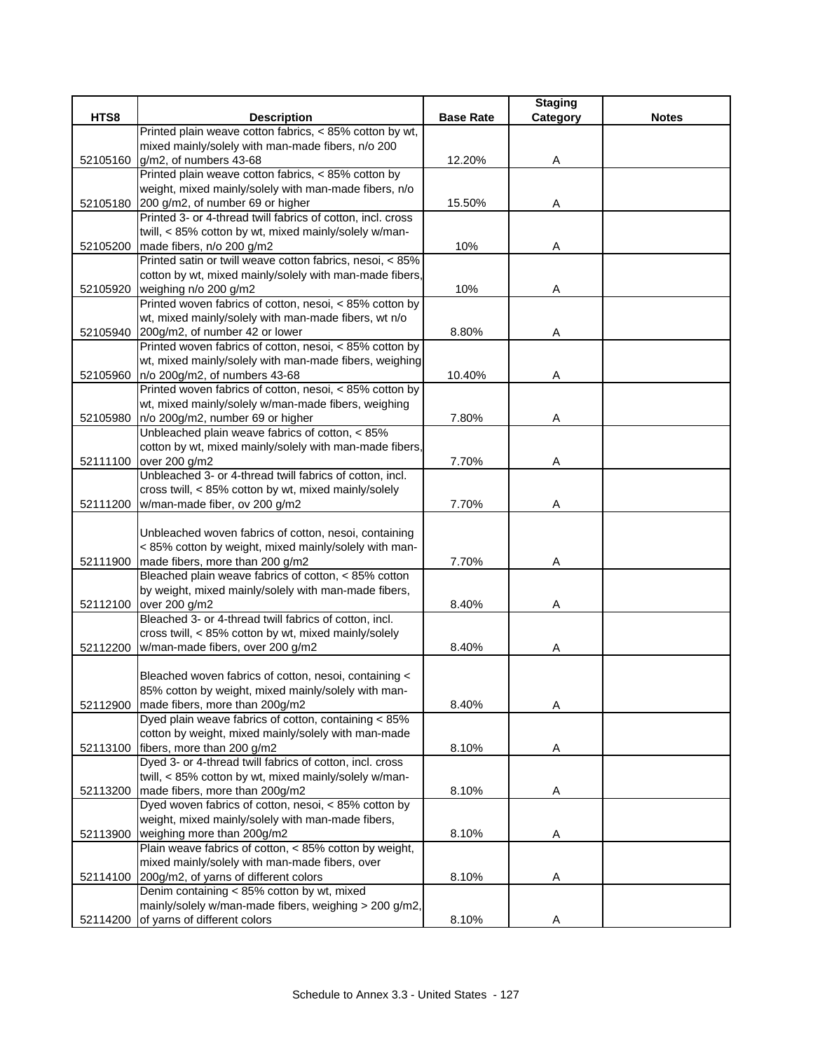|          |                                                                                           |                  | <b>Staging</b> |              |
|----------|-------------------------------------------------------------------------------------------|------------------|----------------|--------------|
| HTS8     | <b>Description</b>                                                                        | <b>Base Rate</b> | Category       | <b>Notes</b> |
|          | Printed plain weave cotton fabrics, < 85% cotton by wt,                                   |                  |                |              |
|          | mixed mainly/solely with man-made fibers, n/o 200                                         |                  |                |              |
| 52105160 | g/m2, of numbers 43-68                                                                    | 12.20%           | Α              |              |
|          | Printed plain weave cotton fabrics, < 85% cotton by                                       |                  |                |              |
|          | weight, mixed mainly/solely with man-made fibers, n/o<br>200 g/m2, of number 69 or higher |                  |                |              |
| 52105180 | Printed 3- or 4-thread twill fabrics of cotton, incl. cross                               | 15.50%           | A              |              |
|          | twill, < 85% cotton by wt, mixed mainly/solely w/man-                                     |                  |                |              |
| 52105200 | made fibers, n/o 200 g/m2                                                                 | 10%              | Α              |              |
|          | Printed satin or twill weave cotton fabrics, nesoi, < 85%                                 |                  |                |              |
|          | cotton by wt, mixed mainly/solely with man-made fibers,                                   |                  |                |              |
| 52105920 | weighing n/o 200 g/m2                                                                     | 10%              | Α              |              |
|          | Printed woven fabrics of cotton, nesoi, < 85% cotton by                                   |                  |                |              |
|          | wt, mixed mainly/solely with man-made fibers, wt n/o                                      |                  |                |              |
| 52105940 | 200g/m2, of number 42 or lower                                                            | 8.80%            | A              |              |
|          | Printed woven fabrics of cotton, nesoi, < 85% cotton by                                   |                  |                |              |
|          | wt, mixed mainly/solely with man-made fibers, weighing                                    |                  |                |              |
| 52105960 | n/o 200g/m2, of numbers 43-68                                                             | 10.40%           | Α              |              |
|          | Printed woven fabrics of cotton, nesoi, < 85% cotton by                                   |                  |                |              |
|          | wt, mixed mainly/solely w/man-made fibers, weighing                                       |                  |                |              |
| 52105980 | n/o 200g/m2, number 69 or higher                                                          | 7.80%            | Α              |              |
|          | Unbleached plain weave fabrics of cotton, < 85%                                           |                  |                |              |
|          | cotton by wt, mixed mainly/solely with man-made fibers,                                   |                  |                |              |
| 52111100 | over 200 g/m2                                                                             | 7.70%            | Α              |              |
|          | Unbleached 3- or 4-thread twill fabrics of cotton, incl.                                  |                  |                |              |
|          | cross twill, < 85% cotton by wt, mixed mainly/solely                                      |                  |                |              |
|          | 52111200 w/man-made fiber, ov 200 g/m2                                                    | 7.70%            | Α              |              |
|          |                                                                                           |                  |                |              |
|          | Unbleached woven fabrics of cotton, nesoi, containing                                     |                  |                |              |
|          | < 85% cotton by weight, mixed mainly/solely with man-                                     |                  |                |              |
| 52111900 | made fibers, more than 200 g/m2                                                           | 7.70%            | Α              |              |
|          | Bleached plain weave fabrics of cotton, < 85% cotton                                      |                  |                |              |
|          | by weight, mixed mainly/solely with man-made fibers,                                      |                  |                |              |
|          | 52112100 over 200 g/m2                                                                    | 8.40%            | Α              |              |
|          | Bleached 3- or 4-thread twill fabrics of cotton, incl.                                    |                  |                |              |
|          | cross twill, < 85% cotton by wt, mixed mainly/solely                                      |                  |                |              |
| 52112200 | w/man-made fibers, over 200 g/m2                                                          | 8.40%            | A              |              |
|          |                                                                                           |                  |                |              |
|          | Bleached woven fabrics of cotton, nesoi, containing <                                     |                  |                |              |
|          | 85% cotton by weight, mixed mainly/solely with man-                                       | 8.40%            |                |              |
| 52112900 | made fibers, more than 200g/m2<br>Dyed plain weave fabrics of cotton, containing < 85%    |                  | Α              |              |
|          | cotton by weight, mixed mainly/solely with man-made                                       |                  |                |              |
| 52113100 | fibers, more than 200 g/m2                                                                | 8.10%            | Α              |              |
|          | Dyed 3- or 4-thread twill fabrics of cotton, incl. cross                                  |                  |                |              |
|          | twill, < 85% cotton by wt, mixed mainly/solely w/man-                                     |                  |                |              |
| 52113200 | made fibers, more than 200g/m2                                                            | 8.10%            | A              |              |
|          | Dyed woven fabrics of cotton, nesoi, < 85% cotton by                                      |                  |                |              |
|          | weight, mixed mainly/solely with man-made fibers,                                         |                  |                |              |
| 52113900 | weighing more than 200g/m2                                                                | 8.10%            | A              |              |
|          | Plain weave fabrics of cotton, < 85% cotton by weight,                                    |                  |                |              |
|          | mixed mainly/solely with man-made fibers, over                                            |                  |                |              |
| 52114100 | 200g/m2, of yarns of different colors                                                     | 8.10%            | Α              |              |
|          | Denim containing < 85% cotton by wt, mixed                                                |                  |                |              |
|          | mainly/solely w/man-made fibers, weighing > 200 g/m2,                                     |                  |                |              |
| 52114200 | of yarns of different colors                                                              | 8.10%            | Α              |              |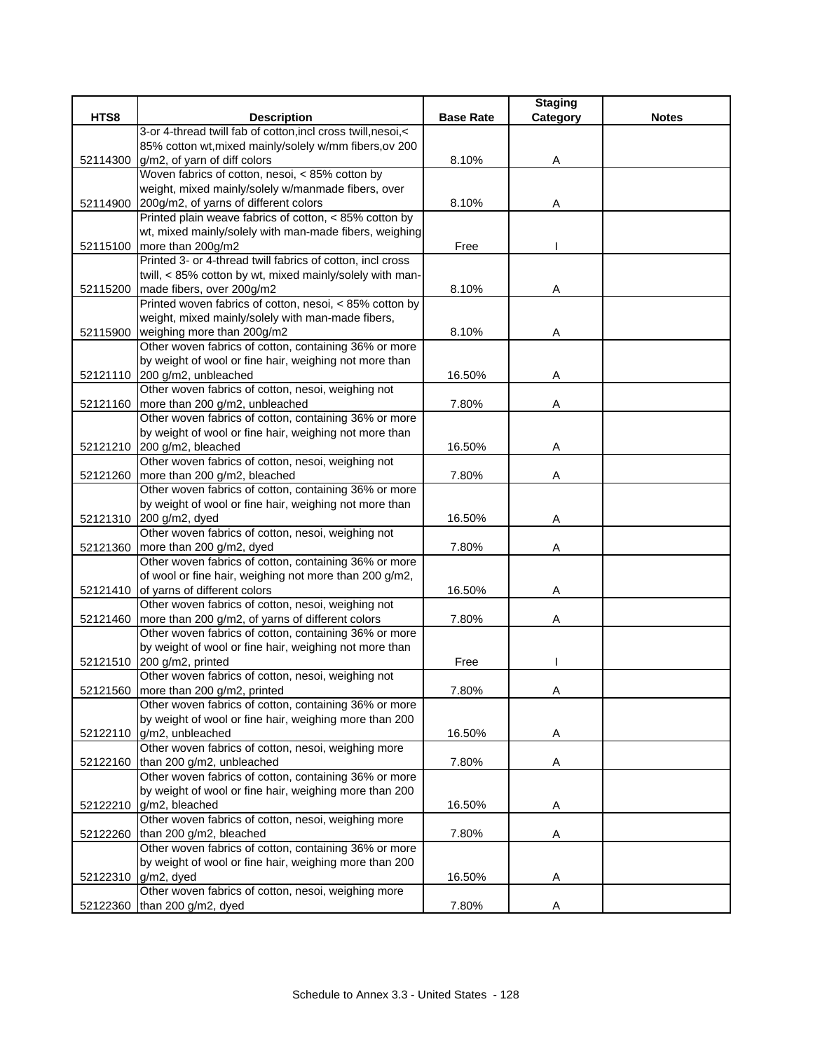|          |                                                                                |                  | <b>Staging</b> |              |
|----------|--------------------------------------------------------------------------------|------------------|----------------|--------------|
| HTS8     | <b>Description</b>                                                             | <b>Base Rate</b> | Category       | <b>Notes</b> |
|          | 3-or 4-thread twill fab of cotton, incl cross twill, nesoi, <                  |                  |                |              |
|          | 85% cotton wt, mixed mainly/solely w/mm fibers, ov 200                         |                  |                |              |
| 52114300 | g/m2, of yarn of diff colors                                                   | 8.10%            | Α              |              |
|          | Woven fabrics of cotton, nesoi, < 85% cotton by                                |                  |                |              |
|          | weight, mixed mainly/solely w/manmade fibers, over                             |                  |                |              |
| 52114900 | 200g/m2, of yarns of different colors                                          | 8.10%            | Α              |              |
|          | Printed plain weave fabrics of cotton, < 85% cotton by                         |                  |                |              |
|          | wt, mixed mainly/solely with man-made fibers, weighing                         |                  |                |              |
|          | 52115100 more than 200g/m2                                                     | Free             |                |              |
|          | Printed 3- or 4-thread twill fabrics of cotton, incl cross                     |                  |                |              |
|          | twill, < 85% cotton by wt, mixed mainly/solely with man-                       |                  |                |              |
|          | 52115200 made fibers, over 200g/m2                                             | 8.10%            | Α              |              |
|          | Printed woven fabrics of cotton, nesoi, < 85% cotton by                        |                  |                |              |
|          | weight, mixed mainly/solely with man-made fibers,                              |                  |                |              |
|          | 52115900 weighing more than 200g/m2                                            | 8.10%            | Α              |              |
|          | Other woven fabrics of cotton, containing 36% or more                          |                  |                |              |
|          | by weight of wool or fine hair, weighing not more than                         |                  |                |              |
|          | 52121110 200 g/m2, unbleached                                                  | 16.50%           | Α              |              |
|          | Other woven fabrics of cotton, nesoi, weighing not                             |                  |                |              |
|          | 52121160   more than 200 g/m2, unbleached                                      | 7.80%            | Α              |              |
|          | Other woven fabrics of cotton, containing 36% or more                          |                  |                |              |
|          | by weight of wool or fine hair, weighing not more than                         |                  |                |              |
|          | 52121210 200 g/m2, bleached                                                    | 16.50%           | Α              |              |
|          | Other woven fabrics of cotton, nesoi, weighing not                             |                  |                |              |
| 52121260 | more than 200 g/m2, bleached                                                   | 7.80%            | Α              |              |
|          | Other woven fabrics of cotton, containing 36% or more                          |                  |                |              |
|          | by weight of wool or fine hair, weighing not more than                         |                  |                |              |
|          | 52121310 200 g/m2, dyed                                                        | 16.50%           | Α              |              |
|          | Other woven fabrics of cotton, nesoi, weighing not                             |                  |                |              |
| 52121360 | more than 200 g/m2, dyed                                                       | 7.80%            | Α              |              |
|          | Other woven fabrics of cotton, containing 36% or more                          |                  |                |              |
|          | of wool or fine hair, weighing not more than 200 g/m2,                         |                  |                |              |
| 52121410 | of yarns of different colors                                                   | 16.50%           | Α              |              |
|          | Other woven fabrics of cotton, nesoi, weighing not                             |                  |                |              |
| 52121460 | more than 200 g/m2, of yarns of different colors                               | 7.80%            | Α              |              |
|          | Other woven fabrics of cotton, containing 36% or more                          |                  |                |              |
|          | by weight of wool or fine hair, weighing not more than                         |                  |                |              |
|          | 52121510 200 g/m2, printed                                                     | Free             |                |              |
|          | Other woven fabrics of cotton, nesoi, weighing not                             |                  |                |              |
|          | 52121560 more than 200 g/m2, printed                                           | 7.80%            | Α              |              |
|          | Other woven fabrics of cotton, containing 36% or more                          |                  |                |              |
|          | by weight of wool or fine hair, weighing more than 200                         |                  |                |              |
| 52122110 | g/m2, unbleached                                                               | 16.50%           | Α              |              |
|          | Other woven fabrics of cotton, nesoi, weighing more                            |                  |                |              |
| 52122160 | than 200 g/m2, unbleached                                                      | 7.80%            | Α              |              |
|          | Other woven fabrics of cotton, containing 36% or more                          |                  |                |              |
|          | by weight of wool or fine hair, weighing more than 200<br>g/m2, bleached       |                  |                |              |
| 52122210 |                                                                                | 16.50%           | A              |              |
|          | Other woven fabrics of cotton, nesoi, weighing more<br>than 200 g/m2, bleached |                  |                |              |
| 52122260 | Other woven fabrics of cotton, containing 36% or more                          | 7.80%            | A              |              |
|          | by weight of wool or fine hair, weighing more than 200                         |                  |                |              |
|          | g/m2, dyed                                                                     | 16.50%           | Α              |              |
| 52122310 | Other woven fabrics of cotton, nesoi, weighing more                            |                  |                |              |
|          | than 200 g/m2, dyed                                                            | 7.80%            | Α              |              |
| 52122360 |                                                                                |                  |                |              |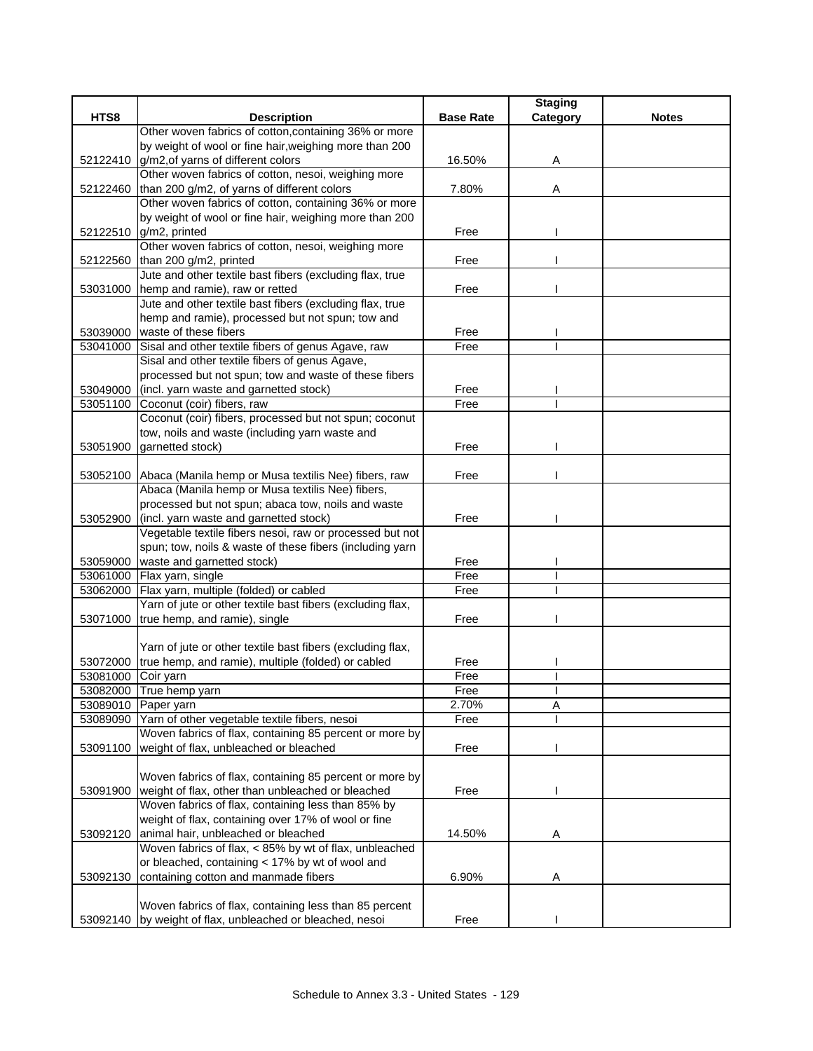|                    |                                                                                                            |                  | <b>Staging</b> |              |
|--------------------|------------------------------------------------------------------------------------------------------------|------------------|----------------|--------------|
| HTS8               | <b>Description</b>                                                                                         | <b>Base Rate</b> | Category       | <b>Notes</b> |
|                    | Other woven fabrics of cotton, containing 36% or more                                                      |                  |                |              |
|                    | by weight of wool or fine hair, weighing more than 200<br>g/m2, of yarns of different colors               | 16.50%           |                |              |
| 52122410           | Other woven fabrics of cotton, nesoi, weighing more                                                        |                  | Α              |              |
| 52122460           | than 200 g/m2, of yarns of different colors                                                                | 7.80%            | Α              |              |
|                    | Other woven fabrics of cotton, containing 36% or more                                                      |                  |                |              |
|                    | by weight of wool or fine hair, weighing more than 200                                                     |                  |                |              |
|                    | 52122510 g/m2, printed                                                                                     | Free             |                |              |
|                    | Other woven fabrics of cotton, nesoi, weighing more                                                        |                  |                |              |
| 52122560           | than 200 g/m2, printed                                                                                     | Free             |                |              |
|                    | Jute and other textile bast fibers (excluding flax, true                                                   |                  |                |              |
| 53031000           | hemp and ramie), raw or retted                                                                             | Free             |                |              |
|                    | Jute and other textile bast fibers (excluding flax, true                                                   |                  |                |              |
|                    | hemp and ramie), processed but not spun; tow and                                                           |                  |                |              |
|                    | 53039000 waste of these fibers                                                                             | Free             |                |              |
| 53041000           | Sisal and other textile fibers of genus Agave, raw                                                         | Free             |                |              |
|                    | Sisal and other textile fibers of genus Agave,                                                             |                  |                |              |
|                    | processed but not spun; tow and waste of these fibers                                                      |                  |                |              |
| 53049000           | (incl. yarn waste and garnetted stock)                                                                     | Free             |                |              |
|                    | 53051100 Coconut (coir) fibers, raw                                                                        | Free             |                |              |
|                    | Coconut (coir) fibers, processed but not spun; coconut                                                     |                  |                |              |
|                    | tow, noils and waste (including yarn waste and                                                             |                  |                |              |
| 53051900           | garnetted stock)                                                                                           | Free             |                |              |
|                    |                                                                                                            |                  |                |              |
|                    | 53052100 Abaca (Manila hemp or Musa textilis Nee) fibers, raw                                              | Free             |                |              |
|                    | Abaca (Manila hemp or Musa textilis Nee) fibers,                                                           |                  |                |              |
|                    | processed but not spun; abaca tow, noils and waste<br>(incl. yarn waste and garnetted stock)               |                  |                |              |
| 53052900           | Vegetable textile fibers nesoi, raw or processed but not                                                   | Free             |                |              |
|                    | spun; tow, noils & waste of these fibers (including yarn                                                   |                  |                |              |
| 53059000           | waste and garnetted stock)                                                                                 | Free             |                |              |
|                    | 53061000 Flax yarn, single                                                                                 | Free             |                |              |
| 53062000           | Flax yarn, multiple (folded) or cabled                                                                     | Free             |                |              |
|                    | Yarn of jute or other textile bast fibers (excluding flax,                                                 |                  |                |              |
|                    | 53071000 true hemp, and ramie), single                                                                     | Free             |                |              |
|                    |                                                                                                            |                  |                |              |
|                    | Yarn of jute or other textile bast fibers (excluding flax,                                                 |                  |                |              |
|                    | 53072000 true hemp, and ramie), multiple (folded) or cabled                                                | Free             |                |              |
| 53081000 Coir yarn |                                                                                                            | Free             |                |              |
|                    | 53082000 True hemp yarn                                                                                    | Free             |                |              |
|                    | 53089010 Paper yarn                                                                                        | 2.70%            | A              |              |
| 53089090           | Yarn of other vegetable textile fibers, nesoi                                                              | Free             |                |              |
|                    | Woven fabrics of flax, containing 85 percent or more by                                                    |                  |                |              |
| 53091100           | weight of flax, unbleached or bleached                                                                     | Free             |                |              |
|                    |                                                                                                            |                  |                |              |
|                    | Woven fabrics of flax, containing 85 percent or more by                                                    |                  |                |              |
| 53091900           | weight of flax, other than unbleached or bleached                                                          | Free             |                |              |
|                    | Woven fabrics of flax, containing less than 85% by                                                         |                  |                |              |
|                    | weight of flax, containing over 17% of wool or fine                                                        |                  |                |              |
| 53092120           | animal hair, unbleached or bleached                                                                        | 14.50%           | A              |              |
|                    | Woven fabrics of flax, < 85% by wt of flax, unbleached                                                     |                  |                |              |
|                    | or bleached, containing < 17% by wt of wool and                                                            |                  |                |              |
| 53092130           | containing cotton and manmade fibers                                                                       | 6.90%            | Α              |              |
|                    |                                                                                                            |                  |                |              |
|                    | Woven fabrics of flax, containing less than 85 percent<br>by weight of flax, unbleached or bleached, nesoi |                  |                |              |
| 53092140           |                                                                                                            | Free             |                |              |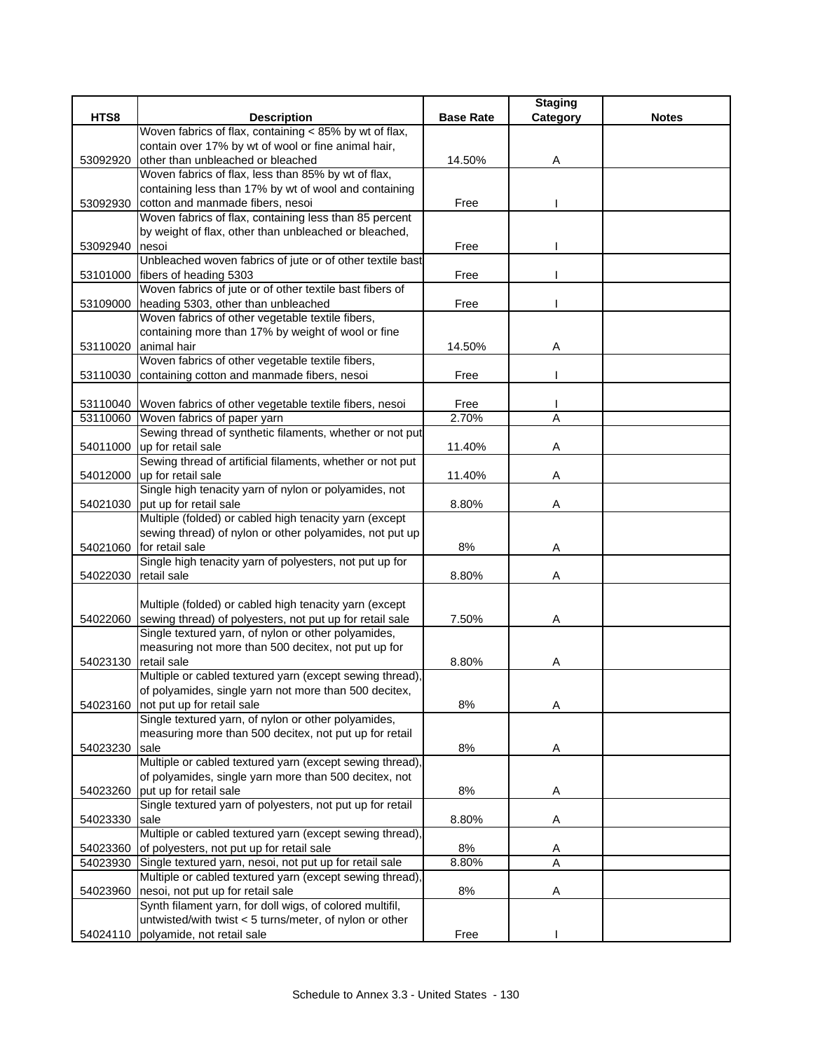|          |                                                                 |                  | <b>Staging</b> |              |
|----------|-----------------------------------------------------------------|------------------|----------------|--------------|
| HTS8     | <b>Description</b>                                              | <b>Base Rate</b> | Category       | <b>Notes</b> |
|          | Woven fabrics of flax, containing < 85% by wt of flax,          |                  |                |              |
|          | contain over 17% by wt of wool or fine animal hair,             |                  |                |              |
| 53092920 | other than unbleached or bleached                               | 14.50%           | A              |              |
|          | Woven fabrics of flax, less than 85% by wt of flax,             |                  |                |              |
|          | containing less than 17% by wt of wool and containing           |                  |                |              |
| 53092930 | cotton and manmade fibers, nesoi                                | Free             |                |              |
|          | Woven fabrics of flax, containing less than 85 percent          |                  |                |              |
|          | by weight of flax, other than unbleached or bleached,           |                  |                |              |
| 53092940 | nesoi                                                           | Free             |                |              |
|          | Unbleached woven fabrics of jute or of other textile bast       |                  |                |              |
| 53101000 | fibers of heading 5303                                          | Free             |                |              |
|          | Woven fabrics of jute or of other textile bast fibers of        |                  |                |              |
| 53109000 | heading 5303, other than unbleached                             | Free             |                |              |
|          | Woven fabrics of other vegetable textile fibers,                |                  |                |              |
|          | containing more than 17% by weight of wool or fine              |                  |                |              |
| 53110020 | animal hair                                                     | 14.50%           | Α              |              |
|          | Woven fabrics of other vegetable textile fibers,                |                  |                |              |
| 53110030 | containing cotton and manmade fibers, nesoi                     | Free             |                |              |
|          |                                                                 |                  |                |              |
|          | 53110040 Woven fabrics of other vegetable textile fibers, nesoi | Free             |                |              |
|          | 53110060 Woven fabrics of paper yarn                            | 2.70%            | A              |              |
|          | Sewing thread of synthetic filaments, whether or not put        |                  |                |              |
| 54011000 | up for retail sale                                              | 11.40%           | Α              |              |
|          | Sewing thread of artificial filaments, whether or not put       |                  |                |              |
|          | 54012000 up for retail sale                                     | 11.40%           | Α              |              |
|          | Single high tenacity yarn of nylon or polyamides, not           |                  |                |              |
|          | 54021030 put up for retail sale                                 | 8.80%            | Α              |              |
|          | Multiple (folded) or cabled high tenacity yarn (except          |                  |                |              |
|          | sewing thread) of nylon or other polyamides, not put up         |                  |                |              |
| 54021060 | for retail sale                                                 | 8%               | Α              |              |
|          | Single high tenacity yarn of polyesters, not put up for         |                  |                |              |
| 54022030 | retail sale                                                     | 8.80%            | Α              |              |
|          |                                                                 |                  |                |              |
|          | Multiple (folded) or cabled high tenacity yarn (except          |                  |                |              |
| 54022060 | sewing thread) of polyesters, not put up for retail sale        | 7.50%            | Α              |              |
|          | Single textured yarn, of nylon or other polyamides,             |                  |                |              |
|          | measuring not more than 500 decitex, not put up for             |                  |                |              |
| 54023130 | retail sale                                                     | 8.80%            | A              |              |
|          | Multiple or cabled textured yarn (except sewing thread),        |                  |                |              |
|          | of polyamides, single yarn not more than 500 decitex,           |                  |                |              |
| 54023160 | not put up for retail sale                                      | $8\%$            | Α              |              |
|          | Single textured yarn, of nylon or other polyamides,             |                  |                |              |
|          | measuring more than 500 decitex, not put up for retail          |                  |                |              |
| 54023230 | sale                                                            | 8%               | Α              |              |
|          | Multiple or cabled textured yarn (except sewing thread),        |                  |                |              |
|          | of polyamides, single yarn more than 500 decitex, not           |                  |                |              |
| 54023260 | put up for retail sale                                          | 8%               | A              |              |
|          | Single textured yarn of polyesters, not put up for retail       |                  |                |              |
| 54023330 | sale                                                            | 8.80%            | Α              |              |
|          | Multiple or cabled textured yarn (except sewing thread),        |                  |                |              |
| 54023360 | of polyesters, not put up for retail sale                       | 8%               | A              |              |
| 54023930 | Single textured yarn, nesoi, not put up for retail sale         | 8.80%            | A              |              |
|          | Multiple or cabled textured yarn (except sewing thread),        |                  |                |              |
| 54023960 | nesoi, not put up for retail sale                               | 8%               | Α              |              |
|          | Synth filament yarn, for doll wigs, of colored multifil,        |                  |                |              |
|          | untwisted/with twist < 5 turns/meter, of nylon or other         |                  |                |              |
| 54024110 | polyamide, not retail sale                                      | Free             |                |              |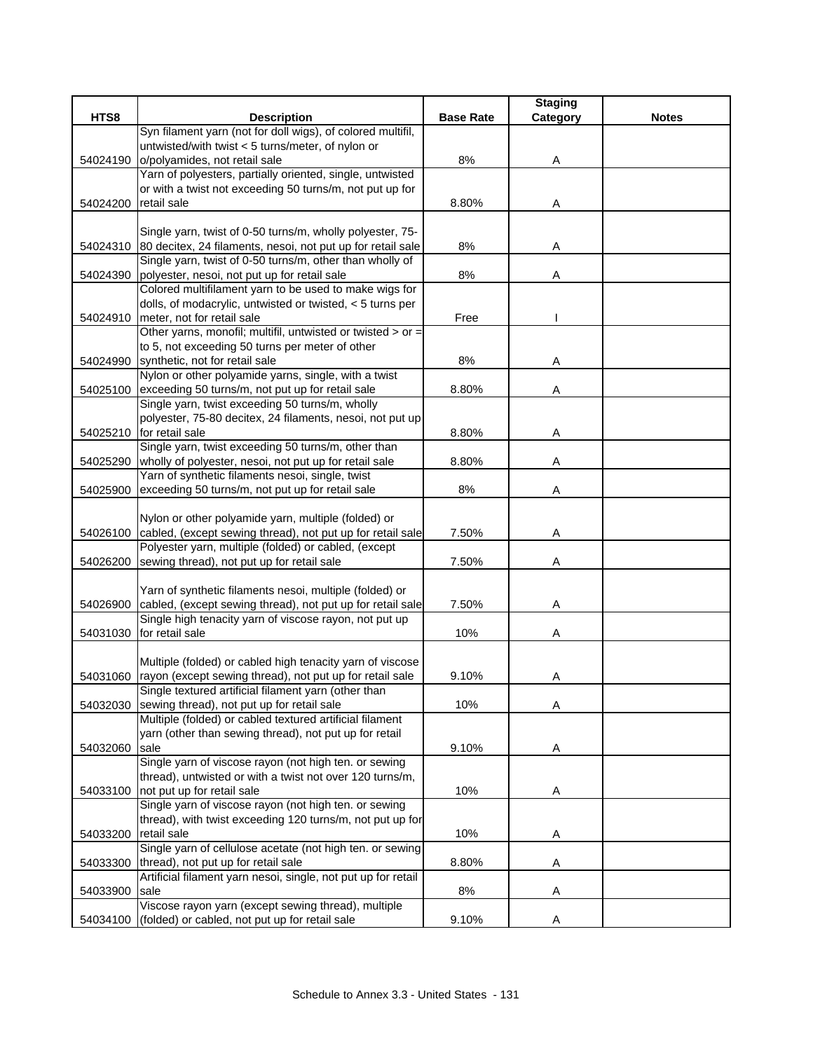|          |                                                                                                            |                  | <b>Staging</b> |              |
|----------|------------------------------------------------------------------------------------------------------------|------------------|----------------|--------------|
| HTS8     | <b>Description</b>                                                                                         | <b>Base Rate</b> | Category       | <b>Notes</b> |
|          | Syn filament yarn (not for doll wigs), of colored multifil,                                                |                  |                |              |
|          | untwisted/with twist < 5 turns/meter, of nylon or                                                          |                  |                |              |
| 54024190 | o/polyamides, not retail sale                                                                              | 8%               | Α              |              |
|          | Yarn of polyesters, partially oriented, single, untwisted                                                  |                  |                |              |
| 54024200 | or with a twist not exceeding 50 turns/m, not put up for<br>retail sale                                    | 8.80%            | Α              |              |
|          |                                                                                                            |                  |                |              |
|          | Single yarn, twist of 0-50 turns/m, wholly polyester, 75-                                                  |                  |                |              |
|          | 54024310 80 decitex, 24 filaments, nesoi, not put up for retail sale                                       | 8%               | Α              |              |
|          | Single yarn, twist of 0-50 turns/m, other than wholly of                                                   |                  |                |              |
| 54024390 | polyester, nesoi, not put up for retail sale                                                               | 8%               | Α              |              |
|          | Colored multifilament yarn to be used to make wigs for                                                     |                  |                |              |
|          | dolls, of modacrylic, untwisted or twisted, < 5 turns per                                                  |                  |                |              |
| 54024910 | meter, not for retail sale                                                                                 | Free             |                |              |
|          | Other yarns, monofil; multifil, untwisted or twisted > or =                                                |                  |                |              |
|          | to 5, not exceeding 50 turns per meter of other                                                            |                  |                |              |
|          | 54024990 synthetic, not for retail sale                                                                    | 8%               | Α              |              |
|          | Nylon or other polyamide yarns, single, with a twist                                                       |                  |                |              |
| 54025100 | exceeding 50 turns/m, not put up for retail sale                                                           | 8.80%            | Α              |              |
|          | Single yarn, twist exceeding 50 turns/m, wholly                                                            |                  |                |              |
|          | polyester, 75-80 decitex, 24 filaments, nesoi, not put up                                                  |                  |                |              |
|          | 54025210 for retail sale                                                                                   | 8.80%            | Α              |              |
|          | Single yarn, twist exceeding 50 turns/m, other than                                                        |                  |                |              |
| 54025290 | wholly of polyester, nesoi, not put up for retail sale<br>Yarn of synthetic filaments nesoi, single, twist | 8.80%            | Α              |              |
| 54025900 | exceeding 50 turns/m, not put up for retail sale                                                           | 8%               | Α              |              |
|          |                                                                                                            |                  |                |              |
|          | Nylon or other polyamide yarn, multiple (folded) or                                                        |                  |                |              |
| 54026100 | cabled, (except sewing thread), not put up for retail sale                                                 | 7.50%            | Α              |              |
|          | Polyester yarn, multiple (folded) or cabled, (except                                                       |                  |                |              |
| 54026200 | sewing thread), not put up for retail sale                                                                 | 7.50%            | Α              |              |
|          |                                                                                                            |                  |                |              |
|          | Yarn of synthetic filaments nesoi, multiple (folded) or                                                    |                  |                |              |
| 54026900 | cabled, (except sewing thread), not put up for retail sale                                                 | 7.50%            | Α              |              |
|          | Single high tenacity yarn of viscose rayon, not put up                                                     |                  |                |              |
| 54031030 | for retail sale                                                                                            | 10%              | Α              |              |
|          |                                                                                                            |                  |                |              |
|          | Multiple (folded) or cabled high tenacity yarn of viscose                                                  |                  |                |              |
|          | 54031060 rayon (except sewing thread), not put up for retail sale                                          | 9.10%            | Α              |              |
|          | Single textured artificial filament yarn (other than                                                       |                  |                |              |
| 54032030 | sewing thread), not put up for retail sale                                                                 | 10%              | Α              |              |
|          | Multiple (folded) or cabled textured artificial filament                                                   |                  |                |              |
| 54032060 | yarn (other than sewing thread), not put up for retail<br>sale                                             | 9.10%            | Α              |              |
|          | Single yarn of viscose rayon (not high ten. or sewing                                                      |                  |                |              |
|          | thread), untwisted or with a twist not over 120 turns/m,                                                   |                  |                |              |
|          | 54033100 not put up for retail sale                                                                        | 10%              | A              |              |
|          | Single yarn of viscose rayon (not high ten. or sewing                                                      |                  |                |              |
|          | thread), with twist exceeding 120 turns/m, not put up for                                                  |                  |                |              |
| 54033200 | retail sale                                                                                                | 10%              | A              |              |
|          | Single yarn of cellulose acetate (not high ten. or sewing                                                  |                  |                |              |
| 54033300 | thread), not put up for retail sale                                                                        | 8.80%            | A              |              |
|          | Artificial filament yarn nesoi, single, not put up for retail                                              |                  |                |              |
| 54033900 | sale                                                                                                       | 8%               | Α              |              |
|          | Viscose rayon yarn (except sewing thread), multiple                                                        |                  |                |              |
| 54034100 | (folded) or cabled, not put up for retail sale                                                             | 9.10%            | Α              |              |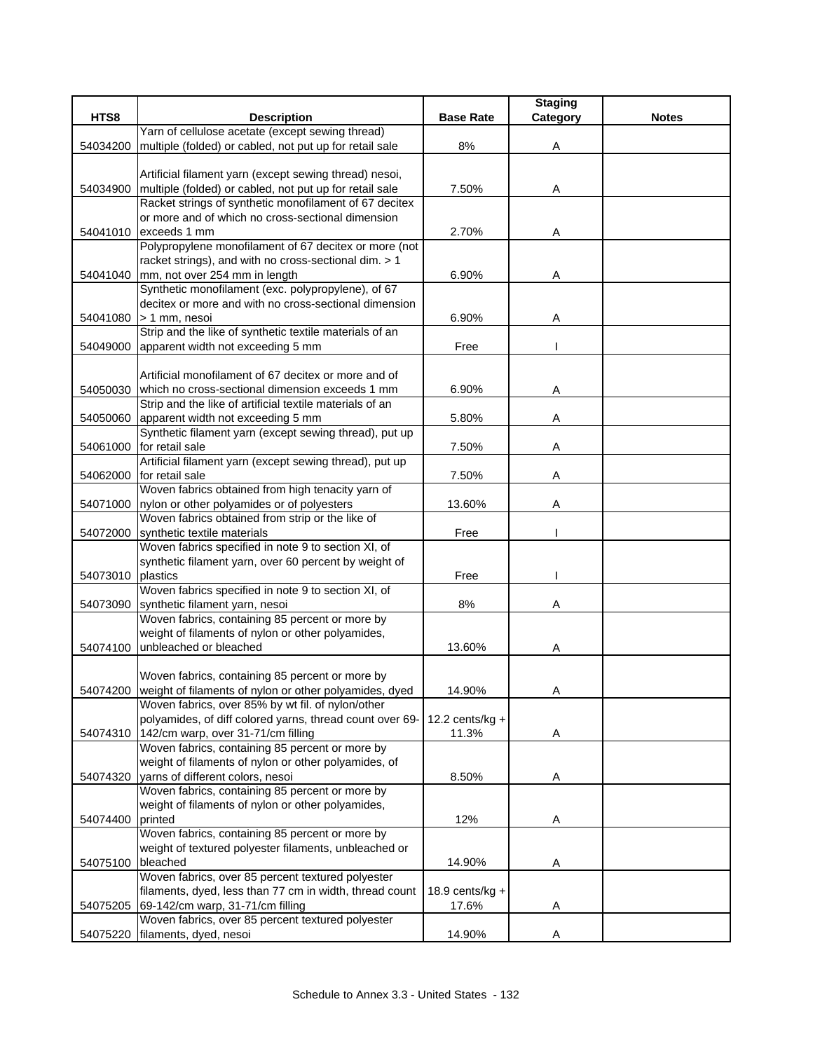|          |                                                                 |                    | <b>Staging</b> |              |
|----------|-----------------------------------------------------------------|--------------------|----------------|--------------|
| HTS8     | <b>Description</b>                                              | <b>Base Rate</b>   | Category       | <b>Notes</b> |
|          | Yarn of cellulose acetate (except sewing thread)                |                    |                |              |
| 54034200 | multiple (folded) or cabled, not put up for retail sale         | 8%                 | Α              |              |
|          |                                                                 |                    |                |              |
|          | Artificial filament yarn (except sewing thread) nesoi,          |                    |                |              |
| 54034900 | multiple (folded) or cabled, not put up for retail sale         | 7.50%              | Α              |              |
|          | Racket strings of synthetic monofilament of 67 decitex          |                    |                |              |
|          | or more and of which no cross-sectional dimension               |                    |                |              |
| 54041010 | exceeds 1 mm                                                    | 2.70%              | Α              |              |
|          | Polypropylene monofilament of 67 decitex or more (not           |                    |                |              |
|          | racket strings), and with no cross-sectional dim. > 1           |                    |                |              |
| 54041040 | mm, not over 254 mm in length                                   | 6.90%              | Α              |              |
|          | Synthetic monofilament (exc. polypropylene), of 67              |                    |                |              |
|          | decitex or more and with no cross-sectional dimension           |                    |                |              |
| 54041080 | > 1 mm, nesoi                                                   | 6.90%              | Α              |              |
|          | Strip and the like of synthetic textile materials of an         |                    |                |              |
| 54049000 | apparent width not exceeding 5 mm                               | Free               |                |              |
|          |                                                                 |                    |                |              |
|          | Artificial monofilament of 67 decitex or more and of            |                    |                |              |
| 54050030 | which no cross-sectional dimension exceeds 1 mm                 | 6.90%              | Α              |              |
|          | Strip and the like of artificial textile materials of an        |                    |                |              |
| 54050060 | apparent width not exceeding 5 mm                               | 5.80%              | Α              |              |
|          | Synthetic filament yarn (except sewing thread), put up          |                    |                |              |
| 54061000 | for retail sale                                                 | 7.50%              | Α              |              |
|          | Artificial filament yarn (except sewing thread), put up         |                    |                |              |
| 54062000 | for retail sale                                                 | 7.50%              | Α              |              |
|          | Woven fabrics obtained from high tenacity yarn of               |                    |                |              |
| 54071000 | nylon or other polyamides or of polyesters                      | 13.60%             | Α              |              |
|          | Woven fabrics obtained from strip or the like of                |                    |                |              |
| 54072000 | synthetic textile materials                                     | Free               |                |              |
|          | Woven fabrics specified in note 9 to section XI, of             |                    |                |              |
|          | synthetic filament yarn, over 60 percent by weight of           |                    |                |              |
| 54073010 | plastics                                                        | Free               |                |              |
|          | Woven fabrics specified in note 9 to section XI, of             |                    |                |              |
| 54073090 | synthetic filament yarn, nesoi                                  | 8%                 | Α              |              |
|          | Woven fabrics, containing 85 percent or more by                 |                    |                |              |
|          | weight of filaments of nylon or other polyamides,               |                    |                |              |
| 54074100 | unbleached or bleached                                          | 13.60%             | Α              |              |
|          |                                                                 |                    |                |              |
|          | Woven fabrics, containing 85 percent or more by                 |                    |                |              |
|          | 54074200 weight of filaments of nylon or other polyamides, dyed | 14.90%             | A              |              |
|          | Woven fabrics, over 85% by wt fil. of nylon/other               |                    |                |              |
|          | polyamides, of diff colored yarns, thread count over 69-        | 12.2 cents/ $kg +$ |                |              |
| 54074310 | 142/cm warp, over 31-71/cm filling                              | 11.3%              | Α              |              |
|          | Woven fabrics, containing 85 percent or more by                 |                    |                |              |
|          | weight of filaments of nylon or other polyamides, of            |                    |                |              |
| 54074320 | varns of different colors, nesoi                                | 8.50%              | Α              |              |
|          | Woven fabrics, containing 85 percent or more by                 |                    |                |              |
|          | weight of filaments of nylon or other polyamides,               |                    |                |              |
| 54074400 | printed                                                         | 12%                | Α              |              |
|          | Woven fabrics, containing 85 percent or more by                 |                    |                |              |
|          | weight of textured polyester filaments, unbleached or           |                    |                |              |
| 54075100 | bleached                                                        | 14.90%             | Α              |              |
|          | Woven fabrics, over 85 percent textured polyester               |                    |                |              |
|          | filaments, dyed, less than 77 cm in width, thread count         | 18.9 cents/ $kg +$ |                |              |
| 54075205 | 69-142/cm warp, 31-71/cm filling                                | 17.6%              | Α              |              |
|          | Woven fabrics, over 85 percent textured polyester               |                    |                |              |
| 54075220 | filaments, dyed, nesoi                                          | 14.90%             | Α              |              |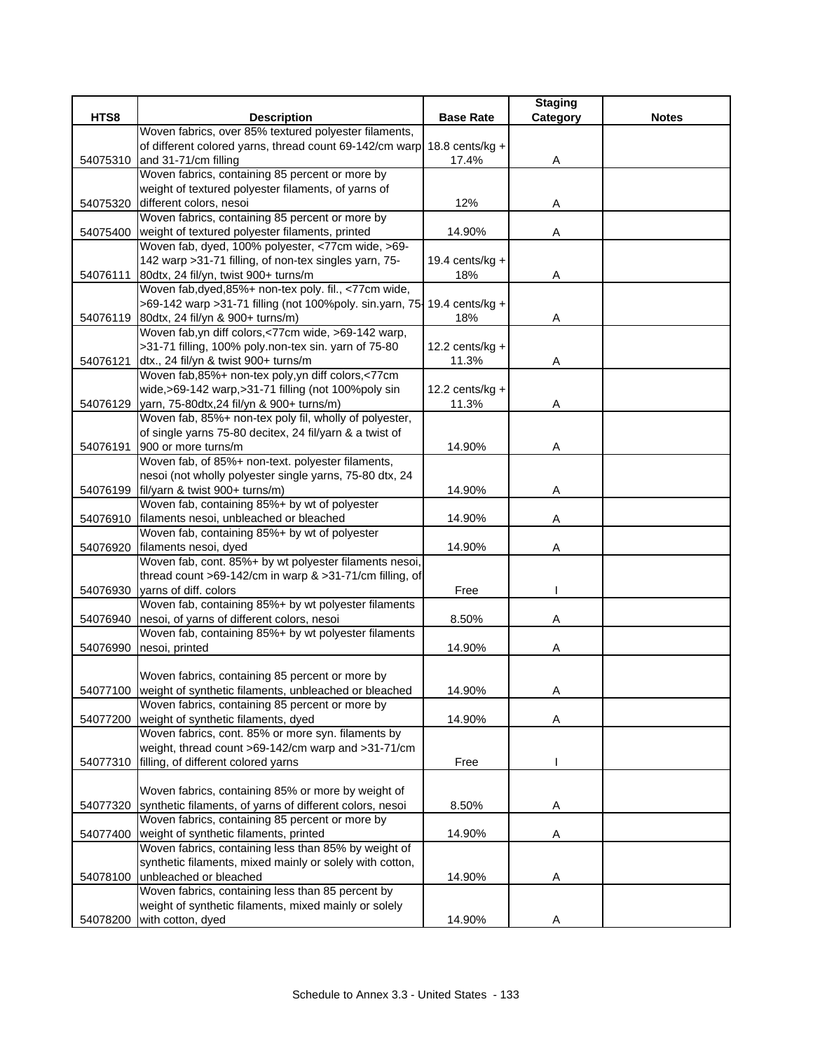| HTS8<br><b>Description</b><br><b>Base Rate</b><br><b>Notes</b><br>Category<br>Woven fabrics, over 85% textured polyester filaments,<br>of different colored yarns, thread count 69-142/cm warp<br>18.8 cents/kg $+$<br>and 31-71/cm filling<br>17.4%<br>54075310<br>Α<br>Woven fabrics, containing 85 percent or more by<br>weight of textured polyester filaments, of yarns of<br>different colors, nesoi<br>54075320<br>12%<br>Α<br>Woven fabrics, containing 85 percent or more by<br>weight of textured polyester filaments, printed<br>14.90%<br>54075400<br>Α<br>Woven fab, dyed, 100% polyester, <77cm wide, >69-<br>142 warp > 31-71 filling, of non-tex singles yarn, 75-<br>19.4 cents/ $kg +$<br>80dtx, 24 fil/yn, twist 900+ turns/m<br>18%<br>54076111<br>Α<br>Woven fab, dyed, 85%+ non-tex poly. fil., <77cm wide,<br>>69-142 warp > 31-71 filling (not 100%poly. sin.yarn, 75-<br>19.4 cents/kg $+$<br>80dtx, 24 fil/yn & 900+ turns/m)<br>54076119<br>18%<br>Α<br>Woven fab, yn diff colors, <77cm wide, >69-142 warp,<br>>31-71 filling, 100% poly.non-tex sin. yarn of 75-80<br>$12.2$ cents/kg +<br>dtx., 24 fil/yn & twist 900+ turns/m<br>11.3%<br>54076121<br>A<br>Woven fab, 85%+ non-tex poly, yn diff colors, <77cm<br>wide,>69-142 warp,>31-71 filling (not 100%poly sin<br>12.2 cents/ $kg +$<br>54076129 yarn, 75-80dtx, 24 fil/yn & 900+ turns/m)<br>11.3%<br>Α<br>Woven fab, 85%+ non-tex poly fil, wholly of polyester,<br>of single yarns 75-80 decitex, 24 fil/yarn & a twist of<br>900 or more turns/m<br>14.90%<br>54076191<br>Α<br>Woven fab, of 85%+ non-text. polyester filaments,<br>nesoi (not wholly polyester single yarns, 75-80 dtx, 24<br>54076199<br>fil/yarn & twist 900+ turns/m)<br>14.90%<br>Α<br>Woven fab, containing 85%+ by wt of polyester<br>filaments nesoi, unbleached or bleached<br>14.90%<br>54076910<br>Α<br>Woven fab, containing 85%+ by wt of polyester<br>filaments nesoi, dyed<br>14.90%<br>54076920<br>Α<br>Woven fab, cont. 85%+ by wt polyester filaments nesoi,<br>thread count >69-142/cm in warp & >31-71/cm filling, of<br>yarns of diff. colors<br>Free<br>54076930<br>Woven fab, containing 85%+ by wt polyester filaments<br>54076940 nesoi, of yarns of different colors, nesoi<br>8.50%<br>Α<br>Woven fab, containing 85%+ by wt polyester filaments<br>nesoi, printed<br>14.90%<br>54076990<br>Α<br>Woven fabrics, containing 85 percent or more by<br>54077100 weight of synthetic filaments, unbleached or bleached<br>14.90%<br>A<br>Woven fabrics, containing 85 percent or more by<br>weight of synthetic filaments, dyed<br>14.90%<br>54077200<br>Α<br>Woven fabrics, cont. 85% or more syn. filaments by<br>weight, thread count >69-142/cm warp and >31-71/cm<br>filling, of different colored yarns<br>54077310<br>Free<br>Woven fabrics, containing 85% or more by weight of<br>synthetic filaments, of yarns of different colors, nesoi<br>8.50%<br>54077320<br>Α<br>Woven fabrics, containing 85 percent or more by<br>weight of synthetic filaments, printed<br>14.90%<br>Α<br>54077400<br>Woven fabrics, containing less than 85% by weight of<br>synthetic filaments, mixed mainly or solely with cotton,<br>unbleached or bleached<br>14.90%<br>54078100<br>Α<br>Woven fabrics, containing less than 85 percent by<br>weight of synthetic filaments, mixed mainly or solely |          |                   |        | <b>Staging</b> |  |
|------------------------------------------------------------------------------------------------------------------------------------------------------------------------------------------------------------------------------------------------------------------------------------------------------------------------------------------------------------------------------------------------------------------------------------------------------------------------------------------------------------------------------------------------------------------------------------------------------------------------------------------------------------------------------------------------------------------------------------------------------------------------------------------------------------------------------------------------------------------------------------------------------------------------------------------------------------------------------------------------------------------------------------------------------------------------------------------------------------------------------------------------------------------------------------------------------------------------------------------------------------------------------------------------------------------------------------------------------------------------------------------------------------------------------------------------------------------------------------------------------------------------------------------------------------------------------------------------------------------------------------------------------------------------------------------------------------------------------------------------------------------------------------------------------------------------------------------------------------------------------------------------------------------------------------------------------------------------------------------------------------------------------------------------------------------------------------------------------------------------------------------------------------------------------------------------------------------------------------------------------------------------------------------------------------------------------------------------------------------------------------------------------------------------------------------------------------------------------------------------------------------------------------------------------------------------------------------------------------------------------------------------------------------------------------------------------------------------------------------------------------------------------------------------------------------------------------------------------------------------------------------------------------------------------------------------------------------------------------------------------------------------------------------------------------------------------------------------------------------------------------------------------------------------------------------------------------------------------------------------------------------------------------------------------------------------------------------------------------------------------|----------|-------------------|--------|----------------|--|
|                                                                                                                                                                                                                                                                                                                                                                                                                                                                                                                                                                                                                                                                                                                                                                                                                                                                                                                                                                                                                                                                                                                                                                                                                                                                                                                                                                                                                                                                                                                                                                                                                                                                                                                                                                                                                                                                                                                                                                                                                                                                                                                                                                                                                                                                                                                                                                                                                                                                                                                                                                                                                                                                                                                                                                                                                                                                                                                                                                                                                                                                                                                                                                                                                                                                                                                                                                              |          |                   |        |                |  |
|                                                                                                                                                                                                                                                                                                                                                                                                                                                                                                                                                                                                                                                                                                                                                                                                                                                                                                                                                                                                                                                                                                                                                                                                                                                                                                                                                                                                                                                                                                                                                                                                                                                                                                                                                                                                                                                                                                                                                                                                                                                                                                                                                                                                                                                                                                                                                                                                                                                                                                                                                                                                                                                                                                                                                                                                                                                                                                                                                                                                                                                                                                                                                                                                                                                                                                                                                                              |          |                   |        |                |  |
|                                                                                                                                                                                                                                                                                                                                                                                                                                                                                                                                                                                                                                                                                                                                                                                                                                                                                                                                                                                                                                                                                                                                                                                                                                                                                                                                                                                                                                                                                                                                                                                                                                                                                                                                                                                                                                                                                                                                                                                                                                                                                                                                                                                                                                                                                                                                                                                                                                                                                                                                                                                                                                                                                                                                                                                                                                                                                                                                                                                                                                                                                                                                                                                                                                                                                                                                                                              |          |                   |        |                |  |
|                                                                                                                                                                                                                                                                                                                                                                                                                                                                                                                                                                                                                                                                                                                                                                                                                                                                                                                                                                                                                                                                                                                                                                                                                                                                                                                                                                                                                                                                                                                                                                                                                                                                                                                                                                                                                                                                                                                                                                                                                                                                                                                                                                                                                                                                                                                                                                                                                                                                                                                                                                                                                                                                                                                                                                                                                                                                                                                                                                                                                                                                                                                                                                                                                                                                                                                                                                              |          |                   |        |                |  |
|                                                                                                                                                                                                                                                                                                                                                                                                                                                                                                                                                                                                                                                                                                                                                                                                                                                                                                                                                                                                                                                                                                                                                                                                                                                                                                                                                                                                                                                                                                                                                                                                                                                                                                                                                                                                                                                                                                                                                                                                                                                                                                                                                                                                                                                                                                                                                                                                                                                                                                                                                                                                                                                                                                                                                                                                                                                                                                                                                                                                                                                                                                                                                                                                                                                                                                                                                                              |          |                   |        |                |  |
|                                                                                                                                                                                                                                                                                                                                                                                                                                                                                                                                                                                                                                                                                                                                                                                                                                                                                                                                                                                                                                                                                                                                                                                                                                                                                                                                                                                                                                                                                                                                                                                                                                                                                                                                                                                                                                                                                                                                                                                                                                                                                                                                                                                                                                                                                                                                                                                                                                                                                                                                                                                                                                                                                                                                                                                                                                                                                                                                                                                                                                                                                                                                                                                                                                                                                                                                                                              |          |                   |        |                |  |
|                                                                                                                                                                                                                                                                                                                                                                                                                                                                                                                                                                                                                                                                                                                                                                                                                                                                                                                                                                                                                                                                                                                                                                                                                                                                                                                                                                                                                                                                                                                                                                                                                                                                                                                                                                                                                                                                                                                                                                                                                                                                                                                                                                                                                                                                                                                                                                                                                                                                                                                                                                                                                                                                                                                                                                                                                                                                                                                                                                                                                                                                                                                                                                                                                                                                                                                                                                              |          |                   |        |                |  |
|                                                                                                                                                                                                                                                                                                                                                                                                                                                                                                                                                                                                                                                                                                                                                                                                                                                                                                                                                                                                                                                                                                                                                                                                                                                                                                                                                                                                                                                                                                                                                                                                                                                                                                                                                                                                                                                                                                                                                                                                                                                                                                                                                                                                                                                                                                                                                                                                                                                                                                                                                                                                                                                                                                                                                                                                                                                                                                                                                                                                                                                                                                                                                                                                                                                                                                                                                                              |          |                   |        |                |  |
|                                                                                                                                                                                                                                                                                                                                                                                                                                                                                                                                                                                                                                                                                                                                                                                                                                                                                                                                                                                                                                                                                                                                                                                                                                                                                                                                                                                                                                                                                                                                                                                                                                                                                                                                                                                                                                                                                                                                                                                                                                                                                                                                                                                                                                                                                                                                                                                                                                                                                                                                                                                                                                                                                                                                                                                                                                                                                                                                                                                                                                                                                                                                                                                                                                                                                                                                                                              |          |                   |        |                |  |
|                                                                                                                                                                                                                                                                                                                                                                                                                                                                                                                                                                                                                                                                                                                                                                                                                                                                                                                                                                                                                                                                                                                                                                                                                                                                                                                                                                                                                                                                                                                                                                                                                                                                                                                                                                                                                                                                                                                                                                                                                                                                                                                                                                                                                                                                                                                                                                                                                                                                                                                                                                                                                                                                                                                                                                                                                                                                                                                                                                                                                                                                                                                                                                                                                                                                                                                                                                              |          |                   |        |                |  |
|                                                                                                                                                                                                                                                                                                                                                                                                                                                                                                                                                                                                                                                                                                                                                                                                                                                                                                                                                                                                                                                                                                                                                                                                                                                                                                                                                                                                                                                                                                                                                                                                                                                                                                                                                                                                                                                                                                                                                                                                                                                                                                                                                                                                                                                                                                                                                                                                                                                                                                                                                                                                                                                                                                                                                                                                                                                                                                                                                                                                                                                                                                                                                                                                                                                                                                                                                                              |          |                   |        |                |  |
|                                                                                                                                                                                                                                                                                                                                                                                                                                                                                                                                                                                                                                                                                                                                                                                                                                                                                                                                                                                                                                                                                                                                                                                                                                                                                                                                                                                                                                                                                                                                                                                                                                                                                                                                                                                                                                                                                                                                                                                                                                                                                                                                                                                                                                                                                                                                                                                                                                                                                                                                                                                                                                                                                                                                                                                                                                                                                                                                                                                                                                                                                                                                                                                                                                                                                                                                                                              |          |                   |        |                |  |
|                                                                                                                                                                                                                                                                                                                                                                                                                                                                                                                                                                                                                                                                                                                                                                                                                                                                                                                                                                                                                                                                                                                                                                                                                                                                                                                                                                                                                                                                                                                                                                                                                                                                                                                                                                                                                                                                                                                                                                                                                                                                                                                                                                                                                                                                                                                                                                                                                                                                                                                                                                                                                                                                                                                                                                                                                                                                                                                                                                                                                                                                                                                                                                                                                                                                                                                                                                              |          |                   |        |                |  |
|                                                                                                                                                                                                                                                                                                                                                                                                                                                                                                                                                                                                                                                                                                                                                                                                                                                                                                                                                                                                                                                                                                                                                                                                                                                                                                                                                                                                                                                                                                                                                                                                                                                                                                                                                                                                                                                                                                                                                                                                                                                                                                                                                                                                                                                                                                                                                                                                                                                                                                                                                                                                                                                                                                                                                                                                                                                                                                                                                                                                                                                                                                                                                                                                                                                                                                                                                                              |          |                   |        |                |  |
|                                                                                                                                                                                                                                                                                                                                                                                                                                                                                                                                                                                                                                                                                                                                                                                                                                                                                                                                                                                                                                                                                                                                                                                                                                                                                                                                                                                                                                                                                                                                                                                                                                                                                                                                                                                                                                                                                                                                                                                                                                                                                                                                                                                                                                                                                                                                                                                                                                                                                                                                                                                                                                                                                                                                                                                                                                                                                                                                                                                                                                                                                                                                                                                                                                                                                                                                                                              |          |                   |        |                |  |
|                                                                                                                                                                                                                                                                                                                                                                                                                                                                                                                                                                                                                                                                                                                                                                                                                                                                                                                                                                                                                                                                                                                                                                                                                                                                                                                                                                                                                                                                                                                                                                                                                                                                                                                                                                                                                                                                                                                                                                                                                                                                                                                                                                                                                                                                                                                                                                                                                                                                                                                                                                                                                                                                                                                                                                                                                                                                                                                                                                                                                                                                                                                                                                                                                                                                                                                                                                              |          |                   |        |                |  |
|                                                                                                                                                                                                                                                                                                                                                                                                                                                                                                                                                                                                                                                                                                                                                                                                                                                                                                                                                                                                                                                                                                                                                                                                                                                                                                                                                                                                                                                                                                                                                                                                                                                                                                                                                                                                                                                                                                                                                                                                                                                                                                                                                                                                                                                                                                                                                                                                                                                                                                                                                                                                                                                                                                                                                                                                                                                                                                                                                                                                                                                                                                                                                                                                                                                                                                                                                                              |          |                   |        |                |  |
|                                                                                                                                                                                                                                                                                                                                                                                                                                                                                                                                                                                                                                                                                                                                                                                                                                                                                                                                                                                                                                                                                                                                                                                                                                                                                                                                                                                                                                                                                                                                                                                                                                                                                                                                                                                                                                                                                                                                                                                                                                                                                                                                                                                                                                                                                                                                                                                                                                                                                                                                                                                                                                                                                                                                                                                                                                                                                                                                                                                                                                                                                                                                                                                                                                                                                                                                                                              |          |                   |        |                |  |
|                                                                                                                                                                                                                                                                                                                                                                                                                                                                                                                                                                                                                                                                                                                                                                                                                                                                                                                                                                                                                                                                                                                                                                                                                                                                                                                                                                                                                                                                                                                                                                                                                                                                                                                                                                                                                                                                                                                                                                                                                                                                                                                                                                                                                                                                                                                                                                                                                                                                                                                                                                                                                                                                                                                                                                                                                                                                                                                                                                                                                                                                                                                                                                                                                                                                                                                                                                              |          |                   |        |                |  |
|                                                                                                                                                                                                                                                                                                                                                                                                                                                                                                                                                                                                                                                                                                                                                                                                                                                                                                                                                                                                                                                                                                                                                                                                                                                                                                                                                                                                                                                                                                                                                                                                                                                                                                                                                                                                                                                                                                                                                                                                                                                                                                                                                                                                                                                                                                                                                                                                                                                                                                                                                                                                                                                                                                                                                                                                                                                                                                                                                                                                                                                                                                                                                                                                                                                                                                                                                                              |          |                   |        |                |  |
|                                                                                                                                                                                                                                                                                                                                                                                                                                                                                                                                                                                                                                                                                                                                                                                                                                                                                                                                                                                                                                                                                                                                                                                                                                                                                                                                                                                                                                                                                                                                                                                                                                                                                                                                                                                                                                                                                                                                                                                                                                                                                                                                                                                                                                                                                                                                                                                                                                                                                                                                                                                                                                                                                                                                                                                                                                                                                                                                                                                                                                                                                                                                                                                                                                                                                                                                                                              |          |                   |        |                |  |
|                                                                                                                                                                                                                                                                                                                                                                                                                                                                                                                                                                                                                                                                                                                                                                                                                                                                                                                                                                                                                                                                                                                                                                                                                                                                                                                                                                                                                                                                                                                                                                                                                                                                                                                                                                                                                                                                                                                                                                                                                                                                                                                                                                                                                                                                                                                                                                                                                                                                                                                                                                                                                                                                                                                                                                                                                                                                                                                                                                                                                                                                                                                                                                                                                                                                                                                                                                              |          |                   |        |                |  |
|                                                                                                                                                                                                                                                                                                                                                                                                                                                                                                                                                                                                                                                                                                                                                                                                                                                                                                                                                                                                                                                                                                                                                                                                                                                                                                                                                                                                                                                                                                                                                                                                                                                                                                                                                                                                                                                                                                                                                                                                                                                                                                                                                                                                                                                                                                                                                                                                                                                                                                                                                                                                                                                                                                                                                                                                                                                                                                                                                                                                                                                                                                                                                                                                                                                                                                                                                                              |          |                   |        |                |  |
|                                                                                                                                                                                                                                                                                                                                                                                                                                                                                                                                                                                                                                                                                                                                                                                                                                                                                                                                                                                                                                                                                                                                                                                                                                                                                                                                                                                                                                                                                                                                                                                                                                                                                                                                                                                                                                                                                                                                                                                                                                                                                                                                                                                                                                                                                                                                                                                                                                                                                                                                                                                                                                                                                                                                                                                                                                                                                                                                                                                                                                                                                                                                                                                                                                                                                                                                                                              |          |                   |        |                |  |
|                                                                                                                                                                                                                                                                                                                                                                                                                                                                                                                                                                                                                                                                                                                                                                                                                                                                                                                                                                                                                                                                                                                                                                                                                                                                                                                                                                                                                                                                                                                                                                                                                                                                                                                                                                                                                                                                                                                                                                                                                                                                                                                                                                                                                                                                                                                                                                                                                                                                                                                                                                                                                                                                                                                                                                                                                                                                                                                                                                                                                                                                                                                                                                                                                                                                                                                                                                              |          |                   |        |                |  |
|                                                                                                                                                                                                                                                                                                                                                                                                                                                                                                                                                                                                                                                                                                                                                                                                                                                                                                                                                                                                                                                                                                                                                                                                                                                                                                                                                                                                                                                                                                                                                                                                                                                                                                                                                                                                                                                                                                                                                                                                                                                                                                                                                                                                                                                                                                                                                                                                                                                                                                                                                                                                                                                                                                                                                                                                                                                                                                                                                                                                                                                                                                                                                                                                                                                                                                                                                                              |          |                   |        |                |  |
|                                                                                                                                                                                                                                                                                                                                                                                                                                                                                                                                                                                                                                                                                                                                                                                                                                                                                                                                                                                                                                                                                                                                                                                                                                                                                                                                                                                                                                                                                                                                                                                                                                                                                                                                                                                                                                                                                                                                                                                                                                                                                                                                                                                                                                                                                                                                                                                                                                                                                                                                                                                                                                                                                                                                                                                                                                                                                                                                                                                                                                                                                                                                                                                                                                                                                                                                                                              |          |                   |        |                |  |
|                                                                                                                                                                                                                                                                                                                                                                                                                                                                                                                                                                                                                                                                                                                                                                                                                                                                                                                                                                                                                                                                                                                                                                                                                                                                                                                                                                                                                                                                                                                                                                                                                                                                                                                                                                                                                                                                                                                                                                                                                                                                                                                                                                                                                                                                                                                                                                                                                                                                                                                                                                                                                                                                                                                                                                                                                                                                                                                                                                                                                                                                                                                                                                                                                                                                                                                                                                              |          |                   |        |                |  |
|                                                                                                                                                                                                                                                                                                                                                                                                                                                                                                                                                                                                                                                                                                                                                                                                                                                                                                                                                                                                                                                                                                                                                                                                                                                                                                                                                                                                                                                                                                                                                                                                                                                                                                                                                                                                                                                                                                                                                                                                                                                                                                                                                                                                                                                                                                                                                                                                                                                                                                                                                                                                                                                                                                                                                                                                                                                                                                                                                                                                                                                                                                                                                                                                                                                                                                                                                                              |          |                   |        |                |  |
|                                                                                                                                                                                                                                                                                                                                                                                                                                                                                                                                                                                                                                                                                                                                                                                                                                                                                                                                                                                                                                                                                                                                                                                                                                                                                                                                                                                                                                                                                                                                                                                                                                                                                                                                                                                                                                                                                                                                                                                                                                                                                                                                                                                                                                                                                                                                                                                                                                                                                                                                                                                                                                                                                                                                                                                                                                                                                                                                                                                                                                                                                                                                                                                                                                                                                                                                                                              |          |                   |        |                |  |
|                                                                                                                                                                                                                                                                                                                                                                                                                                                                                                                                                                                                                                                                                                                                                                                                                                                                                                                                                                                                                                                                                                                                                                                                                                                                                                                                                                                                                                                                                                                                                                                                                                                                                                                                                                                                                                                                                                                                                                                                                                                                                                                                                                                                                                                                                                                                                                                                                                                                                                                                                                                                                                                                                                                                                                                                                                                                                                                                                                                                                                                                                                                                                                                                                                                                                                                                                                              |          |                   |        |                |  |
|                                                                                                                                                                                                                                                                                                                                                                                                                                                                                                                                                                                                                                                                                                                                                                                                                                                                                                                                                                                                                                                                                                                                                                                                                                                                                                                                                                                                                                                                                                                                                                                                                                                                                                                                                                                                                                                                                                                                                                                                                                                                                                                                                                                                                                                                                                                                                                                                                                                                                                                                                                                                                                                                                                                                                                                                                                                                                                                                                                                                                                                                                                                                                                                                                                                                                                                                                                              |          |                   |        |                |  |
|                                                                                                                                                                                                                                                                                                                                                                                                                                                                                                                                                                                                                                                                                                                                                                                                                                                                                                                                                                                                                                                                                                                                                                                                                                                                                                                                                                                                                                                                                                                                                                                                                                                                                                                                                                                                                                                                                                                                                                                                                                                                                                                                                                                                                                                                                                                                                                                                                                                                                                                                                                                                                                                                                                                                                                                                                                                                                                                                                                                                                                                                                                                                                                                                                                                                                                                                                                              |          |                   |        |                |  |
|                                                                                                                                                                                                                                                                                                                                                                                                                                                                                                                                                                                                                                                                                                                                                                                                                                                                                                                                                                                                                                                                                                                                                                                                                                                                                                                                                                                                                                                                                                                                                                                                                                                                                                                                                                                                                                                                                                                                                                                                                                                                                                                                                                                                                                                                                                                                                                                                                                                                                                                                                                                                                                                                                                                                                                                                                                                                                                                                                                                                                                                                                                                                                                                                                                                                                                                                                                              |          |                   |        |                |  |
|                                                                                                                                                                                                                                                                                                                                                                                                                                                                                                                                                                                                                                                                                                                                                                                                                                                                                                                                                                                                                                                                                                                                                                                                                                                                                                                                                                                                                                                                                                                                                                                                                                                                                                                                                                                                                                                                                                                                                                                                                                                                                                                                                                                                                                                                                                                                                                                                                                                                                                                                                                                                                                                                                                                                                                                                                                                                                                                                                                                                                                                                                                                                                                                                                                                                                                                                                                              |          |                   |        |                |  |
|                                                                                                                                                                                                                                                                                                                                                                                                                                                                                                                                                                                                                                                                                                                                                                                                                                                                                                                                                                                                                                                                                                                                                                                                                                                                                                                                                                                                                                                                                                                                                                                                                                                                                                                                                                                                                                                                                                                                                                                                                                                                                                                                                                                                                                                                                                                                                                                                                                                                                                                                                                                                                                                                                                                                                                                                                                                                                                                                                                                                                                                                                                                                                                                                                                                                                                                                                                              |          |                   |        |                |  |
|                                                                                                                                                                                                                                                                                                                                                                                                                                                                                                                                                                                                                                                                                                                                                                                                                                                                                                                                                                                                                                                                                                                                                                                                                                                                                                                                                                                                                                                                                                                                                                                                                                                                                                                                                                                                                                                                                                                                                                                                                                                                                                                                                                                                                                                                                                                                                                                                                                                                                                                                                                                                                                                                                                                                                                                                                                                                                                                                                                                                                                                                                                                                                                                                                                                                                                                                                                              |          |                   |        |                |  |
|                                                                                                                                                                                                                                                                                                                                                                                                                                                                                                                                                                                                                                                                                                                                                                                                                                                                                                                                                                                                                                                                                                                                                                                                                                                                                                                                                                                                                                                                                                                                                                                                                                                                                                                                                                                                                                                                                                                                                                                                                                                                                                                                                                                                                                                                                                                                                                                                                                                                                                                                                                                                                                                                                                                                                                                                                                                                                                                                                                                                                                                                                                                                                                                                                                                                                                                                                                              |          |                   |        |                |  |
|                                                                                                                                                                                                                                                                                                                                                                                                                                                                                                                                                                                                                                                                                                                                                                                                                                                                                                                                                                                                                                                                                                                                                                                                                                                                                                                                                                                                                                                                                                                                                                                                                                                                                                                                                                                                                                                                                                                                                                                                                                                                                                                                                                                                                                                                                                                                                                                                                                                                                                                                                                                                                                                                                                                                                                                                                                                                                                                                                                                                                                                                                                                                                                                                                                                                                                                                                                              |          |                   |        |                |  |
|                                                                                                                                                                                                                                                                                                                                                                                                                                                                                                                                                                                                                                                                                                                                                                                                                                                                                                                                                                                                                                                                                                                                                                                                                                                                                                                                                                                                                                                                                                                                                                                                                                                                                                                                                                                                                                                                                                                                                                                                                                                                                                                                                                                                                                                                                                                                                                                                                                                                                                                                                                                                                                                                                                                                                                                                                                                                                                                                                                                                                                                                                                                                                                                                                                                                                                                                                                              |          |                   |        |                |  |
|                                                                                                                                                                                                                                                                                                                                                                                                                                                                                                                                                                                                                                                                                                                                                                                                                                                                                                                                                                                                                                                                                                                                                                                                                                                                                                                                                                                                                                                                                                                                                                                                                                                                                                                                                                                                                                                                                                                                                                                                                                                                                                                                                                                                                                                                                                                                                                                                                                                                                                                                                                                                                                                                                                                                                                                                                                                                                                                                                                                                                                                                                                                                                                                                                                                                                                                                                                              |          |                   |        |                |  |
|                                                                                                                                                                                                                                                                                                                                                                                                                                                                                                                                                                                                                                                                                                                                                                                                                                                                                                                                                                                                                                                                                                                                                                                                                                                                                                                                                                                                                                                                                                                                                                                                                                                                                                                                                                                                                                                                                                                                                                                                                                                                                                                                                                                                                                                                                                                                                                                                                                                                                                                                                                                                                                                                                                                                                                                                                                                                                                                                                                                                                                                                                                                                                                                                                                                                                                                                                                              |          |                   |        |                |  |
|                                                                                                                                                                                                                                                                                                                                                                                                                                                                                                                                                                                                                                                                                                                                                                                                                                                                                                                                                                                                                                                                                                                                                                                                                                                                                                                                                                                                                                                                                                                                                                                                                                                                                                                                                                                                                                                                                                                                                                                                                                                                                                                                                                                                                                                                                                                                                                                                                                                                                                                                                                                                                                                                                                                                                                                                                                                                                                                                                                                                                                                                                                                                                                                                                                                                                                                                                                              |          |                   |        |                |  |
|                                                                                                                                                                                                                                                                                                                                                                                                                                                                                                                                                                                                                                                                                                                                                                                                                                                                                                                                                                                                                                                                                                                                                                                                                                                                                                                                                                                                                                                                                                                                                                                                                                                                                                                                                                                                                                                                                                                                                                                                                                                                                                                                                                                                                                                                                                                                                                                                                                                                                                                                                                                                                                                                                                                                                                                                                                                                                                                                                                                                                                                                                                                                                                                                                                                                                                                                                                              |          |                   |        |                |  |
|                                                                                                                                                                                                                                                                                                                                                                                                                                                                                                                                                                                                                                                                                                                                                                                                                                                                                                                                                                                                                                                                                                                                                                                                                                                                                                                                                                                                                                                                                                                                                                                                                                                                                                                                                                                                                                                                                                                                                                                                                                                                                                                                                                                                                                                                                                                                                                                                                                                                                                                                                                                                                                                                                                                                                                                                                                                                                                                                                                                                                                                                                                                                                                                                                                                                                                                                                                              |          |                   |        |                |  |
|                                                                                                                                                                                                                                                                                                                                                                                                                                                                                                                                                                                                                                                                                                                                                                                                                                                                                                                                                                                                                                                                                                                                                                                                                                                                                                                                                                                                                                                                                                                                                                                                                                                                                                                                                                                                                                                                                                                                                                                                                                                                                                                                                                                                                                                                                                                                                                                                                                                                                                                                                                                                                                                                                                                                                                                                                                                                                                                                                                                                                                                                                                                                                                                                                                                                                                                                                                              |          |                   |        |                |  |
|                                                                                                                                                                                                                                                                                                                                                                                                                                                                                                                                                                                                                                                                                                                                                                                                                                                                                                                                                                                                                                                                                                                                                                                                                                                                                                                                                                                                                                                                                                                                                                                                                                                                                                                                                                                                                                                                                                                                                                                                                                                                                                                                                                                                                                                                                                                                                                                                                                                                                                                                                                                                                                                                                                                                                                                                                                                                                                                                                                                                                                                                                                                                                                                                                                                                                                                                                                              |          |                   |        |                |  |
|                                                                                                                                                                                                                                                                                                                                                                                                                                                                                                                                                                                                                                                                                                                                                                                                                                                                                                                                                                                                                                                                                                                                                                                                                                                                                                                                                                                                                                                                                                                                                                                                                                                                                                                                                                                                                                                                                                                                                                                                                                                                                                                                                                                                                                                                                                                                                                                                                                                                                                                                                                                                                                                                                                                                                                                                                                                                                                                                                                                                                                                                                                                                                                                                                                                                                                                                                                              |          |                   |        |                |  |
|                                                                                                                                                                                                                                                                                                                                                                                                                                                                                                                                                                                                                                                                                                                                                                                                                                                                                                                                                                                                                                                                                                                                                                                                                                                                                                                                                                                                                                                                                                                                                                                                                                                                                                                                                                                                                                                                                                                                                                                                                                                                                                                                                                                                                                                                                                                                                                                                                                                                                                                                                                                                                                                                                                                                                                                                                                                                                                                                                                                                                                                                                                                                                                                                                                                                                                                                                                              |          |                   |        |                |  |
|                                                                                                                                                                                                                                                                                                                                                                                                                                                                                                                                                                                                                                                                                                                                                                                                                                                                                                                                                                                                                                                                                                                                                                                                                                                                                                                                                                                                                                                                                                                                                                                                                                                                                                                                                                                                                                                                                                                                                                                                                                                                                                                                                                                                                                                                                                                                                                                                                                                                                                                                                                                                                                                                                                                                                                                                                                                                                                                                                                                                                                                                                                                                                                                                                                                                                                                                                                              |          |                   |        |                |  |
|                                                                                                                                                                                                                                                                                                                                                                                                                                                                                                                                                                                                                                                                                                                                                                                                                                                                                                                                                                                                                                                                                                                                                                                                                                                                                                                                                                                                                                                                                                                                                                                                                                                                                                                                                                                                                                                                                                                                                                                                                                                                                                                                                                                                                                                                                                                                                                                                                                                                                                                                                                                                                                                                                                                                                                                                                                                                                                                                                                                                                                                                                                                                                                                                                                                                                                                                                                              |          |                   |        |                |  |
|                                                                                                                                                                                                                                                                                                                                                                                                                                                                                                                                                                                                                                                                                                                                                                                                                                                                                                                                                                                                                                                                                                                                                                                                                                                                                                                                                                                                                                                                                                                                                                                                                                                                                                                                                                                                                                                                                                                                                                                                                                                                                                                                                                                                                                                                                                                                                                                                                                                                                                                                                                                                                                                                                                                                                                                                                                                                                                                                                                                                                                                                                                                                                                                                                                                                                                                                                                              |          |                   |        |                |  |
|                                                                                                                                                                                                                                                                                                                                                                                                                                                                                                                                                                                                                                                                                                                                                                                                                                                                                                                                                                                                                                                                                                                                                                                                                                                                                                                                                                                                                                                                                                                                                                                                                                                                                                                                                                                                                                                                                                                                                                                                                                                                                                                                                                                                                                                                                                                                                                                                                                                                                                                                                                                                                                                                                                                                                                                                                                                                                                                                                                                                                                                                                                                                                                                                                                                                                                                                                                              |          |                   |        |                |  |
|                                                                                                                                                                                                                                                                                                                                                                                                                                                                                                                                                                                                                                                                                                                                                                                                                                                                                                                                                                                                                                                                                                                                                                                                                                                                                                                                                                                                                                                                                                                                                                                                                                                                                                                                                                                                                                                                                                                                                                                                                                                                                                                                                                                                                                                                                                                                                                                                                                                                                                                                                                                                                                                                                                                                                                                                                                                                                                                                                                                                                                                                                                                                                                                                                                                                                                                                                                              |          |                   |        |                |  |
|                                                                                                                                                                                                                                                                                                                                                                                                                                                                                                                                                                                                                                                                                                                                                                                                                                                                                                                                                                                                                                                                                                                                                                                                                                                                                                                                                                                                                                                                                                                                                                                                                                                                                                                                                                                                                                                                                                                                                                                                                                                                                                                                                                                                                                                                                                                                                                                                                                                                                                                                                                                                                                                                                                                                                                                                                                                                                                                                                                                                                                                                                                                                                                                                                                                                                                                                                                              | 54078200 | with cotton, dyed | 14.90% | Α              |  |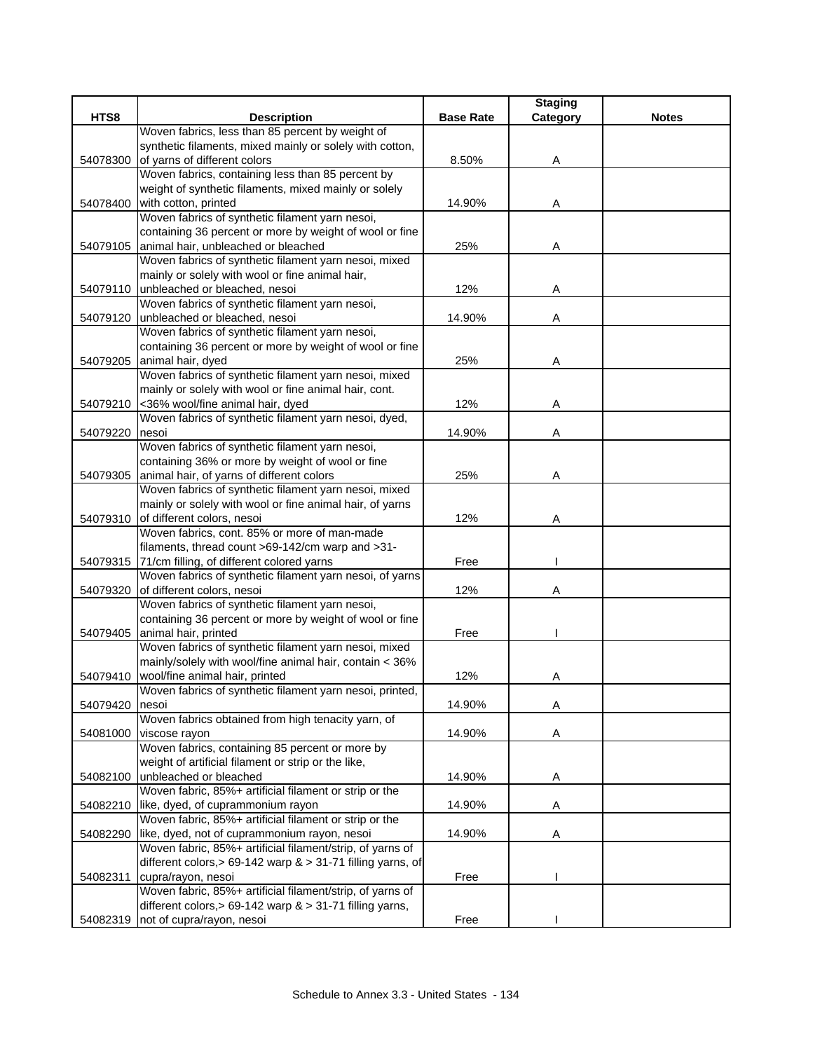|          |                                                                                                          |                  | <b>Staging</b> |              |
|----------|----------------------------------------------------------------------------------------------------------|------------------|----------------|--------------|
| HTS8     | <b>Description</b>                                                                                       | <b>Base Rate</b> | Category       | <b>Notes</b> |
|          | Woven fabrics, less than 85 percent by weight of                                                         |                  |                |              |
|          | synthetic filaments, mixed mainly or solely with cotton,                                                 |                  |                |              |
| 54078300 | of yarns of different colors                                                                             | 8.50%            | Α              |              |
|          | Woven fabrics, containing less than 85 percent by                                                        |                  |                |              |
|          | weight of synthetic filaments, mixed mainly or solely                                                    |                  |                |              |
| 54078400 | with cotton, printed                                                                                     | 14.90%           | Α              |              |
|          | Woven fabrics of synthetic filament yarn nesoi,                                                          |                  |                |              |
|          | containing 36 percent or more by weight of wool or fine                                                  |                  |                |              |
| 54079105 | animal hair, unbleached or bleached                                                                      | 25%              | Α              |              |
|          | Woven fabrics of synthetic filament yarn nesoi, mixed<br>mainly or solely with wool or fine animal hair, |                  |                |              |
| 54079110 | unbleached or bleached, nesoi                                                                            | 12%              | Α              |              |
|          | Woven fabrics of synthetic filament yarn nesoi,                                                          |                  |                |              |
| 54079120 | unbleached or bleached, nesoi                                                                            | 14.90%           | Α              |              |
|          | Woven fabrics of synthetic filament yarn nesoi,                                                          |                  |                |              |
|          | containing 36 percent or more by weight of wool or fine                                                  |                  |                |              |
| 54079205 | animal hair, dyed                                                                                        | 25%              | A              |              |
|          | Woven fabrics of synthetic filament yarn nesoi, mixed                                                    |                  |                |              |
|          | mainly or solely with wool or fine animal hair, cont.                                                    |                  |                |              |
| 54079210 | <36% wool/fine animal hair, dyed                                                                         | 12%              | Α              |              |
|          | Woven fabrics of synthetic filament yarn nesoi, dyed,                                                    |                  |                |              |
| 54079220 | nesoi                                                                                                    | 14.90%           | Α              |              |
|          | Woven fabrics of synthetic filament yarn nesoi,                                                          |                  |                |              |
|          | containing 36% or more by weight of wool or fine                                                         |                  |                |              |
| 54079305 | animal hair, of yarns of different colors                                                                | 25%              | Α              |              |
|          | Woven fabrics of synthetic filament yarn nesoi, mixed                                                    |                  |                |              |
|          | mainly or solely with wool or fine animal hair, of yarns                                                 |                  |                |              |
| 54079310 | of different colors, nesoi                                                                               | 12%              | Α              |              |
|          | Woven fabrics, cont. 85% or more of man-made                                                             |                  |                |              |
|          | filaments, thread count >69-142/cm warp and >31-                                                         |                  |                |              |
|          | 54079315 71/cm filling, of different colored yarns                                                       | Free             |                |              |
|          | Woven fabrics of synthetic filament yarn nesoi, of yarns                                                 |                  |                |              |
| 54079320 | of different colors, nesoi                                                                               | 12%              | Α              |              |
|          | Woven fabrics of synthetic filament yarn nesoi,                                                          |                  |                |              |
|          | containing 36 percent or more by weight of wool or fine                                                  |                  |                |              |
| 54079405 | animal hair, printed                                                                                     | Free             |                |              |
|          | Woven fabrics of synthetic filament yarn nesoi, mixed                                                    |                  |                |              |
|          | mainly/solely with wool/fine animal hair, contain < 36%                                                  |                  |                |              |
| 54079410 | wool/fine animal hair, printed                                                                           | 12%              | Α              |              |
|          | Woven fabrics of synthetic filament yarn nesoi, printed,                                                 |                  |                |              |
| 54079420 | nesoi<br>Woven fabrics obtained from high tenacity yarn, of                                              | 14.90%           | Α              |              |
| 54081000 | viscose rayon                                                                                            | 14.90%           | A              |              |
|          | Woven fabrics, containing 85 percent or more by                                                          |                  |                |              |
|          | weight of artificial filament or strip or the like,                                                      |                  |                |              |
| 54082100 | unbleached or bleached                                                                                   | 14.90%           | Α              |              |
|          | Woven fabric, 85%+ artificial filament or strip or the                                                   |                  |                |              |
| 54082210 | like, dyed, of cuprammonium rayon                                                                        | 14.90%           | A              |              |
|          | Woven fabric, 85%+ artificial filament or strip or the                                                   |                  |                |              |
| 54082290 | like, dyed, not of cuprammonium rayon, nesoi                                                             | 14.90%           | Α              |              |
|          | Woven fabric, 85%+ artificial filament/strip, of yarns of                                                |                  |                |              |
|          | different colors, > 69-142 warp $>$ 31-71 filling yarns, of                                              |                  |                |              |
| 54082311 | cupra/rayon, nesoi                                                                                       | Free             |                |              |
|          | Woven fabric, 85%+ artificial filament/strip, of yarns of                                                |                  |                |              |
|          | different colors, > 69-142 warp $> 31-71$ filling yarns,                                                 |                  |                |              |
|          | 54082319 not of cupra/rayon, nesoi                                                                       | Free             |                |              |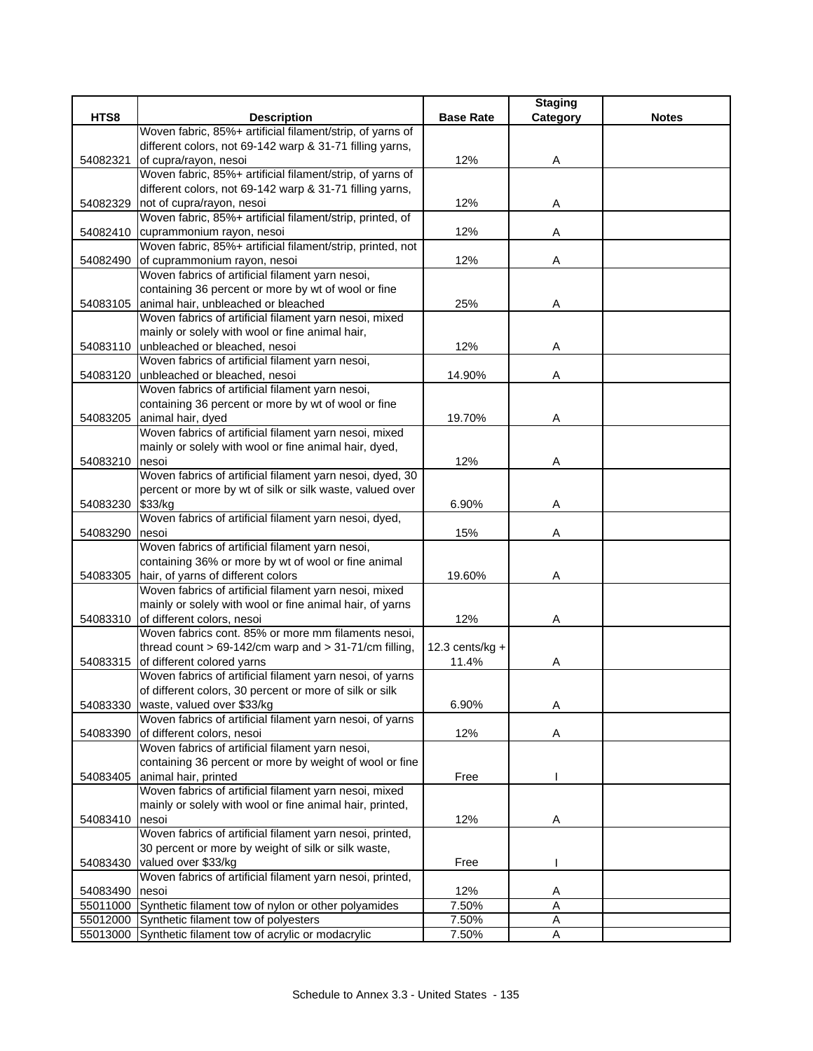|          |                                                                                         |                    | <b>Staging</b> |              |
|----------|-----------------------------------------------------------------------------------------|--------------------|----------------|--------------|
| HTS8     | <b>Description</b>                                                                      | <b>Base Rate</b>   | Category       | <b>Notes</b> |
|          | Woven fabric, 85%+ artificial filament/strip, of yarns of                               |                    |                |              |
|          | different colors, not 69-142 warp & 31-71 filling yarns,                                |                    |                |              |
| 54082321 | of cupra/rayon, nesoi                                                                   | 12%                | Α              |              |
|          | Woven fabric, 85%+ artificial filament/strip, of yarns of                               |                    |                |              |
| 54082329 | different colors, not 69-142 warp & 31-71 filling yarns,<br>not of cupra/rayon, nesoi   | 12%                | Α              |              |
|          | Woven fabric, 85%+ artificial filament/strip, printed, of                               |                    |                |              |
| 54082410 | cuprammonium rayon, nesoi                                                               | 12%                | Α              |              |
|          | Woven fabric, 85%+ artificial filament/strip, printed, not                              |                    |                |              |
| 54082490 | of cuprammonium rayon, nesoi                                                            | 12%                | Α              |              |
|          | Woven fabrics of artificial filament yarn nesoi,                                        |                    |                |              |
|          | containing 36 percent or more by wt of wool or fine                                     |                    |                |              |
| 54083105 | animal hair, unbleached or bleached                                                     | 25%                | Α              |              |
|          | Woven fabrics of artificial filament yarn nesoi, mixed                                  |                    |                |              |
|          | mainly or solely with wool or fine animal hair,                                         |                    |                |              |
| 54083110 | unbleached or bleached, nesoi                                                           | 12%                | Α              |              |
|          | Woven fabrics of artificial filament yarn nesoi,                                        |                    |                |              |
| 54083120 | unbleached or bleached, nesoi                                                           | 14.90%             | Α              |              |
|          | Woven fabrics of artificial filament yarn nesoi,                                        |                    |                |              |
|          | containing 36 percent or more by wt of wool or fine                                     |                    |                |              |
| 54083205 | animal hair, dyed                                                                       | 19.70%             | Α              |              |
|          | Woven fabrics of artificial filament yarn nesoi, mixed                                  |                    |                |              |
|          | mainly or solely with wool or fine animal hair, dyed,                                   |                    |                |              |
| 54083210 | nesoi                                                                                   | 12%                | Α              |              |
|          | Woven fabrics of artificial filament yarn nesoi, dyed, 30                               |                    |                |              |
|          | percent or more by wt of silk or silk waste, valued over                                |                    |                |              |
| 54083230 | \$33/kg                                                                                 | 6.90%              | Α              |              |
|          | Woven fabrics of artificial filament yarn nesoi, dyed,                                  |                    |                |              |
| 54083290 | nesoi                                                                                   | 15%                | A              |              |
|          | Woven fabrics of artificial filament yarn nesoi,                                        |                    |                |              |
|          | containing 36% or more by wt of wool or fine animal                                     |                    |                |              |
| 54083305 | hair, of yarns of different colors                                                      | 19.60%             | Α              |              |
|          | Woven fabrics of artificial filament yarn nesoi, mixed                                  |                    |                |              |
|          | mainly or solely with wool or fine animal hair, of yarns                                |                    |                |              |
|          | 54083310 of different colors, nesoi                                                     | 12%                | Α              |              |
|          | Woven fabrics cont. 85% or more mm filaments nesoi,                                     |                    |                |              |
|          | thread count $> 69-142$ /cm warp and $> 31-71$ /cm filling,                             | 12.3 cents/ $kg +$ |                |              |
| 54083315 | of different colored yarns<br>Woven fabrics of artificial filament yarn nesoi, of yarns | 11.4%              | A              |              |
|          | of different colors, 30 percent or more of silk or silk                                 |                    |                |              |
| 54083330 | waste, valued over \$33/kg                                                              | 6.90%              | Α              |              |
|          | Woven fabrics of artificial filament yarn nesoi, of yarns                               |                    |                |              |
| 54083390 | of different colors, nesoi                                                              | 12%                | Α              |              |
|          | Woven fabrics of artificial filament yarn nesoi,                                        |                    |                |              |
|          | containing 36 percent or more by weight of wool or fine                                 |                    |                |              |
| 54083405 | animal hair, printed                                                                    | Free               |                |              |
|          | Woven fabrics of artificial filament yarn nesoi, mixed                                  |                    |                |              |
|          | mainly or solely with wool or fine animal hair, printed,                                |                    |                |              |
| 54083410 | nesoi                                                                                   | 12%                | Α              |              |
|          | Woven fabrics of artificial filament yarn nesoi, printed,                               |                    |                |              |
|          | 30 percent or more by weight of silk or silk waste,                                     |                    |                |              |
| 54083430 | valued over \$33/kg                                                                     | Free               |                |              |
|          | Woven fabrics of artificial filament yarn nesoi, printed,                               |                    |                |              |
| 54083490 | nesoi                                                                                   | 12%                | Α              |              |
| 55011000 | Synthetic filament tow of nylon or other polyamides                                     | 7.50%              | A              |              |
| 55012000 | Synthetic filament tow of polyesters                                                    | 7.50%              | Α              |              |
| 55013000 | Synthetic filament tow of acrylic or modacrylic                                         | 7.50%              | Α              |              |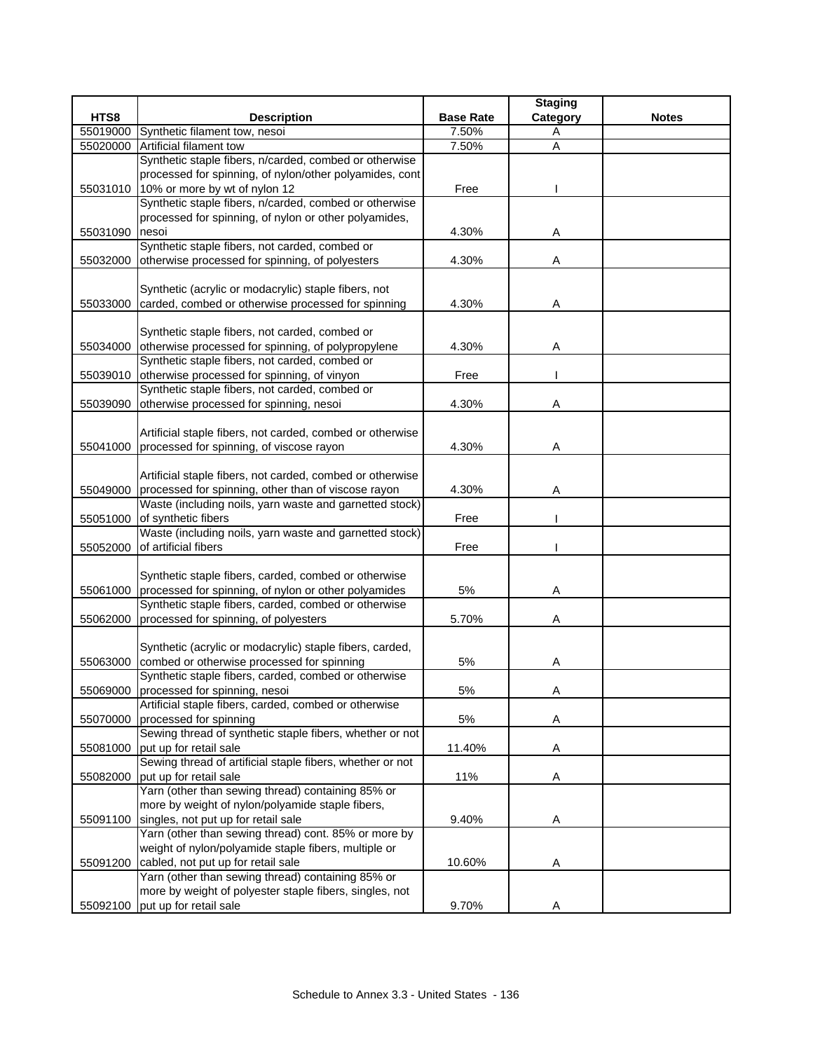|          |                                                                                         |                  | <b>Staging</b> |              |
|----------|-----------------------------------------------------------------------------------------|------------------|----------------|--------------|
| HTS8     | <b>Description</b>                                                                      | <b>Base Rate</b> | Category       | <b>Notes</b> |
| 55019000 | Synthetic filament tow, nesoi                                                           | 7.50%            | A              |              |
| 55020000 | Artificial filament tow                                                                 | 7.50%            | A              |              |
|          | Synthetic staple fibers, n/carded, combed or otherwise                                  |                  |                |              |
|          | processed for spinning, of nylon/other polyamides, cont                                 |                  |                |              |
| 55031010 | 10% or more by wt of nylon 12                                                           | Free             |                |              |
|          | Synthetic staple fibers, n/carded, combed or otherwise                                  |                  |                |              |
|          | processed for spinning, of nylon or other polyamides,                                   |                  |                |              |
| 55031090 | nesoi                                                                                   | 4.30%            | Α              |              |
|          | Synthetic staple fibers, not carded, combed or                                          |                  |                |              |
| 55032000 | otherwise processed for spinning, of polyesters                                         | 4.30%            | Α              |              |
|          |                                                                                         |                  |                |              |
|          | Synthetic (acrylic or modacrylic) staple fibers, not                                    |                  |                |              |
| 55033000 | carded, combed or otherwise processed for spinning                                      | 4.30%            | A              |              |
|          |                                                                                         |                  |                |              |
|          | Synthetic staple fibers, not carded, combed or                                          |                  |                |              |
| 55034000 | otherwise processed for spinning, of polypropylene                                      | 4.30%            | Α              |              |
|          | Synthetic staple fibers, not carded, combed or                                          |                  |                |              |
|          | 55039010 otherwise processed for spinning, of vinyon                                    | Free             |                |              |
|          | Synthetic staple fibers, not carded, combed or                                          |                  |                |              |
| 55039090 | otherwise processed for spinning, nesoi                                                 | 4.30%            | Α              |              |
|          |                                                                                         |                  |                |              |
|          | Artificial staple fibers, not carded, combed or otherwise                               |                  |                |              |
| 55041000 | processed for spinning, of viscose rayon                                                | 4.30%            | A              |              |
|          |                                                                                         |                  |                |              |
|          | Artificial staple fibers, not carded, combed or otherwise                               |                  |                |              |
| 55049000 | processed for spinning, other than of viscose rayon                                     | 4.30%            | Α              |              |
|          | Waste (including noils, yarn waste and garnetted stock)                                 |                  |                |              |
| 55051000 | of synthetic fibers                                                                     | Free             |                |              |
|          | Waste (including noils, yarn waste and garnetted stock)                                 |                  |                |              |
| 55052000 | of artificial fibers                                                                    | Free             |                |              |
|          |                                                                                         |                  |                |              |
|          | Synthetic staple fibers, carded, combed or otherwise                                    |                  |                |              |
| 55061000 | processed for spinning, of nylon or other polyamides                                    | 5%               | Α              |              |
|          | Synthetic staple fibers, carded, combed or otherwise                                    |                  |                |              |
| 55062000 | processed for spinning, of polyesters                                                   | 5.70%            | Α              |              |
|          |                                                                                         |                  |                |              |
|          | Synthetic (acrylic or modacrylic) staple fibers, carded,                                |                  |                |              |
| 55063000 | combed or otherwise processed for spinning                                              | 5%               | Α              |              |
|          | Synthetic staple fibers, carded, combed or otherwise                                    |                  |                |              |
| 55069000 | processed for spinning, nesoi                                                           | $5\%$            | A              |              |
|          | Artificial staple fibers, carded, combed or otherwise                                   |                  |                |              |
| 55070000 | processed for spinning<br>Sewing thread of synthetic staple fibers, whether or not      | 5%               | Α              |              |
| 55081000 | put up for retail sale                                                                  | 11.40%           | A              |              |
|          | Sewing thread of artificial staple fibers, whether or not                               |                  |                |              |
| 55082000 | put up for retail sale                                                                  | 11%              | A              |              |
|          | Yarn (other than sewing thread) containing 85% or                                       |                  |                |              |
|          | more by weight of nylon/polyamide staple fibers,                                        |                  |                |              |
|          | singles, not put up for retail sale                                                     | 9.40%            | Α              |              |
| 55091100 | Yarn (other than sewing thread) cont. 85% or more by                                    |                  |                |              |
|          | weight of nylon/polyamide staple fibers, multiple or                                    |                  |                |              |
|          |                                                                                         |                  |                |              |
| 55091200 | cabled, not put up for retail sale<br>Yarn (other than sewing thread) containing 85% or | 10.60%           | Α              |              |
|          | more by weight of polyester staple fibers, singles, not                                 |                  |                |              |
| 55092100 | put up for retail sale                                                                  | 9.70%            | Α              |              |
|          |                                                                                         |                  |                |              |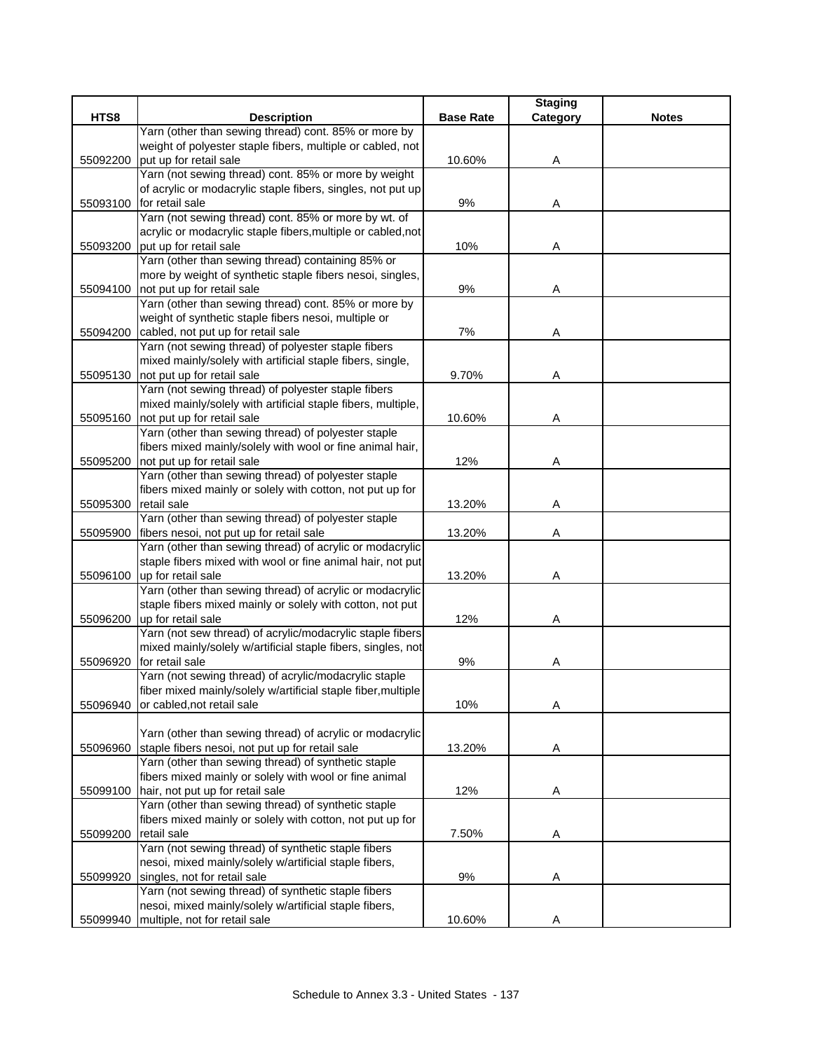|          |                                                                                 |                  | <b>Staging</b> |              |
|----------|---------------------------------------------------------------------------------|------------------|----------------|--------------|
| HTS8     | <b>Description</b>                                                              | <b>Base Rate</b> | Category       | <b>Notes</b> |
|          | Yarn (other than sewing thread) cont. 85% or more by                            |                  |                |              |
|          | weight of polyester staple fibers, multiple or cabled, not                      |                  |                |              |
| 55092200 | put up for retail sale                                                          | 10.60%           | Α              |              |
|          | Yarn (not sewing thread) cont. 85% or more by weight                            |                  |                |              |
|          | of acrylic or modacrylic staple fibers, singles, not put up                     |                  |                |              |
| 55093100 | for retail sale<br>Yarn (not sewing thread) cont. 85% or more by wt. of         | 9%               | A              |              |
|          | acrylic or modacrylic staple fibers, multiple or cabled, not                    |                  |                |              |
| 55093200 | put up for retail sale                                                          | 10%              | Α              |              |
|          | Yarn (other than sewing thread) containing 85% or                               |                  |                |              |
|          | more by weight of synthetic staple fibers nesoi, singles,                       |                  |                |              |
| 55094100 | not put up for retail sale                                                      | 9%               | Α              |              |
|          | Yarn (other than sewing thread) cont. 85% or more by                            |                  |                |              |
|          | weight of synthetic staple fibers nesoi, multiple or                            |                  |                |              |
| 55094200 | cabled, not put up for retail sale                                              | 7%               | A              |              |
|          | Yarn (not sewing thread) of polyester staple fibers                             |                  |                |              |
|          | mixed mainly/solely with artificial staple fibers, single,                      |                  |                |              |
| 55095130 | not put up for retail sale                                                      | 9.70%            | Α              |              |
|          | Yarn (not sewing thread) of polyester staple fibers                             |                  |                |              |
|          | mixed mainly/solely with artificial staple fibers, multiple,                    |                  |                |              |
| 55095160 | not put up for retail sale                                                      | 10.60%           | Α              |              |
|          | Yarn (other than sewing thread) of polyester staple                             |                  |                |              |
|          | fibers mixed mainly/solely with wool or fine animal hair,                       |                  |                |              |
| 55095200 | not put up for retail sale                                                      | 12%              | Α              |              |
|          | Yarn (other than sewing thread) of polyester staple                             |                  |                |              |
|          | fibers mixed mainly or solely with cotton, not put up for                       |                  |                |              |
| 55095300 | retail sale                                                                     | 13.20%           | Α              |              |
|          | Yarn (other than sewing thread) of polyester staple                             |                  |                |              |
| 55095900 | fibers nesoi, not put up for retail sale                                        | 13.20%           | Α              |              |
|          | Yarn (other than sewing thread) of acrylic or modacrylic                        |                  |                |              |
|          | staple fibers mixed with wool or fine animal hair, not put                      |                  |                |              |
| 55096100 | up for retail sale                                                              | 13.20%           | Α              |              |
|          | Yarn (other than sewing thread) of acrylic or modacrylic                        |                  |                |              |
|          | staple fibers mixed mainly or solely with cotton, not put                       |                  |                |              |
| 55096200 | up for retail sale                                                              | 12%              | Α              |              |
|          | Yarn (not sew thread) of acrylic/modacrylic staple fibers                       |                  |                |              |
|          | mixed mainly/solely w/artificial staple fibers, singles, not<br>for retail sale | 9%               |                |              |
| 55096920 | Yarn (not sewing thread) of acrylic/modacrylic staple                           |                  | A              |              |
|          | fiber mixed mainly/solely w/artificial staple fiber, multiple                   |                  |                |              |
| 55096940 | or cabled, not retail sale                                                      | 10%              | Α              |              |
|          |                                                                                 |                  |                |              |
|          | Yarn (other than sewing thread) of acrylic or modacrylic                        |                  |                |              |
| 55096960 | staple fibers nesoi, not put up for retail sale                                 | 13.20%           | Α              |              |
|          | Yarn (other than sewing thread) of synthetic staple                             |                  |                |              |
|          | fibers mixed mainly or solely with wool or fine animal                          |                  |                |              |
| 55099100 | hair, not put up for retail sale                                                | 12%              | A              |              |
|          | Yarn (other than sewing thread) of synthetic staple                             |                  |                |              |
|          | fibers mixed mainly or solely with cotton, not put up for                       |                  |                |              |
| 55099200 | retail sale                                                                     | 7.50%            | A              |              |
|          | Yarn (not sewing thread) of synthetic staple fibers                             |                  |                |              |
|          | nesoi, mixed mainly/solely w/artificial staple fibers,                          |                  |                |              |
| 55099920 | singles, not for retail sale                                                    | 9%               | Α              |              |
|          | Yarn (not sewing thread) of synthetic staple fibers                             |                  |                |              |
|          | nesoi, mixed mainly/solely w/artificial staple fibers,                          |                  |                |              |
| 55099940 | multiple, not for retail sale                                                   | 10.60%           | Α              |              |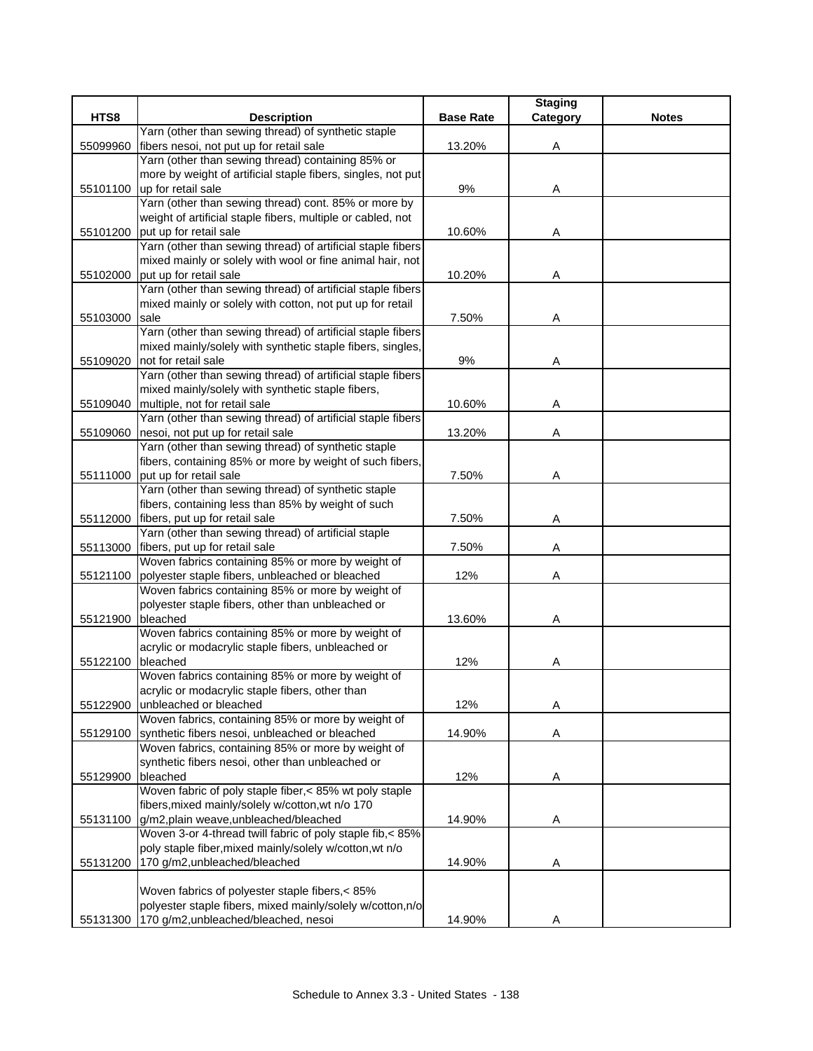|          |                                                                                                                     |                  | <b>Staging</b> |              |
|----------|---------------------------------------------------------------------------------------------------------------------|------------------|----------------|--------------|
| HTS8     | <b>Description</b>                                                                                                  | <b>Base Rate</b> | Category       | <b>Notes</b> |
|          | Yarn (other than sewing thread) of synthetic staple                                                                 |                  |                |              |
| 55099960 | fibers nesoi, not put up for retail sale                                                                            | 13.20%           | Α              |              |
|          | Yarn (other than sewing thread) containing 85% or                                                                   |                  |                |              |
|          | more by weight of artificial staple fibers, singles, not put                                                        |                  |                |              |
| 55101100 | up for retail sale                                                                                                  | 9%               | Α              |              |
|          | Yarn (other than sewing thread) cont. 85% or more by<br>weight of artificial staple fibers, multiple or cabled, not |                  |                |              |
| 55101200 | put up for retail sale                                                                                              | 10.60%           | Α              |              |
|          | Yarn (other than sewing thread) of artificial staple fibers                                                         |                  |                |              |
|          | mixed mainly or solely with wool or fine animal hair, not                                                           |                  |                |              |
| 55102000 | put up for retail sale                                                                                              | 10.20%           | A              |              |
|          | Yarn (other than sewing thread) of artificial staple fibers                                                         |                  |                |              |
|          | mixed mainly or solely with cotton, not put up for retail                                                           |                  |                |              |
| 55103000 | sale                                                                                                                | 7.50%            | Α              |              |
|          | Yarn (other than sewing thread) of artificial staple fibers                                                         |                  |                |              |
|          | mixed mainly/solely with synthetic staple fibers, singles,                                                          |                  |                |              |
| 55109020 | not for retail sale                                                                                                 | 9%               | A              |              |
|          | Yarn (other than sewing thread) of artificial staple fibers                                                         |                  |                |              |
|          | mixed mainly/solely with synthetic staple fibers,                                                                   |                  |                |              |
| 55109040 | multiple, not for retail sale                                                                                       | 10.60%           | Α              |              |
|          | Yarn (other than sewing thread) of artificial staple fibers                                                         |                  |                |              |
| 55109060 | nesoi, not put up for retail sale                                                                                   | 13.20%           | Α              |              |
|          | Yarn (other than sewing thread) of synthetic staple                                                                 |                  |                |              |
|          | fibers, containing 85% or more by weight of such fibers,                                                            |                  |                |              |
| 55111000 | put up for retail sale                                                                                              | 7.50%            | Α              |              |
|          | Yarn (other than sewing thread) of synthetic staple                                                                 |                  |                |              |
|          | fibers, containing less than 85% by weight of such                                                                  |                  |                |              |
| 55112000 | fibers, put up for retail sale<br>Yarn (other than sewing thread) of artificial staple                              | 7.50%            | Α              |              |
| 55113000 | fibers, put up for retail sale                                                                                      | 7.50%            | Α              |              |
|          | Woven fabrics containing 85% or more by weight of                                                                   |                  |                |              |
| 55121100 | polyester staple fibers, unbleached or bleached                                                                     | 12%              | Α              |              |
|          | Woven fabrics containing 85% or more by weight of                                                                   |                  |                |              |
|          | polyester staple fibers, other than unbleached or                                                                   |                  |                |              |
| 55121900 | bleached                                                                                                            | 13.60%           | Α              |              |
|          | Woven fabrics containing 85% or more by weight of                                                                   |                  |                |              |
|          | acrylic or modacrylic staple fibers, unbleached or                                                                  |                  |                |              |
| 55122100 | bleached                                                                                                            | 12%              | A              |              |
|          | Woven fabrics containing 85% or more by weight of                                                                   |                  |                |              |
|          | acrylic or modacrylic staple fibers, other than                                                                     |                  |                |              |
| 55122900 | unbleached or bleached                                                                                              | 12%              | Α              |              |
|          | Woven fabrics, containing 85% or more by weight of                                                                  |                  |                |              |
| 55129100 | synthetic fibers nesoi, unbleached or bleached                                                                      | 14.90%           | A              |              |
|          | Woven fabrics, containing 85% or more by weight of                                                                  |                  |                |              |
|          | synthetic fibers nesoi, other than unbleached or                                                                    |                  |                |              |
| 55129900 | bleached                                                                                                            | 12%              | A              |              |
|          | Woven fabric of poly staple fiber,< 85% wt poly staple                                                              |                  |                |              |
| 55131100 | fibers, mixed mainly/solely w/cotton, wt n/o 170<br>g/m2,plain weave,unbleached/bleached                            | 14.90%           | Α              |              |
|          | Woven 3-or 4-thread twill fabric of poly staple fib,< 85%                                                           |                  |                |              |
|          | poly staple fiber, mixed mainly/solely w/cotton, wt n/o                                                             |                  |                |              |
| 55131200 | 170 g/m2, unbleached/bleached                                                                                       | 14.90%           | Α              |              |
|          |                                                                                                                     |                  |                |              |
|          | Woven fabrics of polyester staple fibers,< 85%                                                                      |                  |                |              |
|          | polyester staple fibers, mixed mainly/solely w/cotton,n/o                                                           |                  |                |              |
| 55131300 | 170 g/m2, unbleached/bleached, nesoi                                                                                | 14.90%           | Α              |              |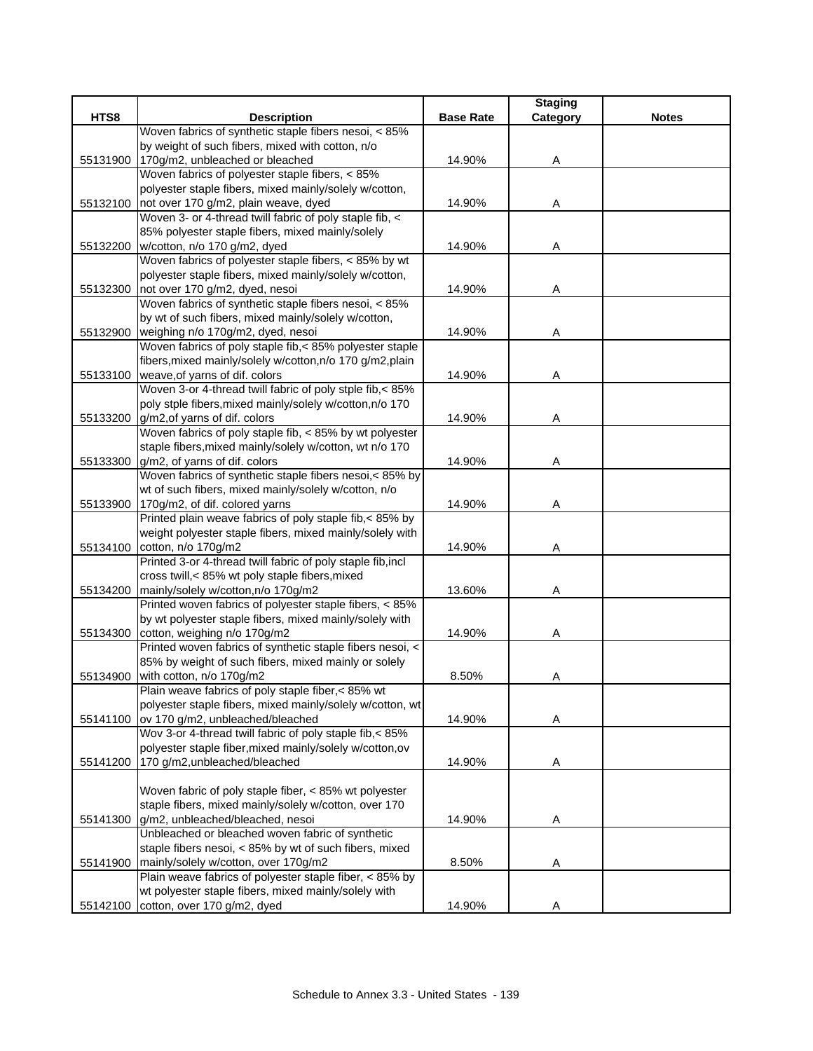|          |                                                             |                  | <b>Staging</b> |              |
|----------|-------------------------------------------------------------|------------------|----------------|--------------|
| HTS8     | <b>Description</b>                                          | <b>Base Rate</b> | Category       | <b>Notes</b> |
|          | Woven fabrics of synthetic staple fibers nesoi, < 85%       |                  |                |              |
|          | by weight of such fibers, mixed with cotton, n/o            |                  |                |              |
| 55131900 | 170g/m2, unbleached or bleached                             | 14.90%           | Α              |              |
|          | Woven fabrics of polyester staple fibers, < 85%             |                  |                |              |
|          | polyester staple fibers, mixed mainly/solely w/cotton,      |                  |                |              |
| 55132100 | not over 170 g/m2, plain weave, dyed                        | 14.90%           | Α              |              |
|          | Woven 3- or 4-thread twill fabric of poly staple fib, <     |                  |                |              |
|          | 85% polyester staple fibers, mixed mainly/solely            |                  |                |              |
|          | 55132200   w/cotton, n/o 170 g/m2, dyed                     | 14.90%           | Α              |              |
|          | Woven fabrics of polyester staple fibers, < 85% by wt       |                  |                |              |
|          | polyester staple fibers, mixed mainly/solely w/cotton,      |                  |                |              |
| 55132300 | not over 170 g/m2, dyed, nesoi                              | 14.90%           | Α              |              |
|          | Woven fabrics of synthetic staple fibers nesoi, < 85%       |                  |                |              |
|          | by wt of such fibers, mixed mainly/solely w/cotton,         |                  |                |              |
| 55132900 | weighing n/o 170g/m2, dyed, nesoi                           | 14.90%           | Α              |              |
|          | Woven fabrics of poly staple fib,< 85% polyester staple     |                  |                |              |
|          | fibers, mixed mainly/solely w/cotton, n/o 170 g/m2, plain   |                  |                |              |
|          | 55133100 weave, of yarns of dif. colors                     | 14.90%           | Α              |              |
|          | Woven 3-or 4-thread twill fabric of poly stple fib,< 85%    |                  |                |              |
|          | poly stple fibers, mixed mainly/solely w/cotton, n/o 170    |                  |                |              |
| 55133200 | g/m2, of yarns of dif. colors                               | 14.90%           | Α              |              |
|          | Woven fabrics of poly staple fib, < 85% by wt polyester     |                  |                |              |
|          | staple fibers, mixed mainly/solely w/cotton, wt n/o 170     |                  |                |              |
| 55133300 | g/m2, of yarns of dif. colors                               | 14.90%           | Α              |              |
|          | Woven fabrics of synthetic staple fibers nesoi,< 85% by     |                  |                |              |
|          | wt of such fibers, mixed mainly/solely w/cotton, n/o        |                  |                |              |
| 55133900 | 170g/m2, of dif. colored yarns                              | 14.90%           | A              |              |
|          | Printed plain weave fabrics of poly staple fib,< 85% by     |                  |                |              |
|          | weight polyester staple fibers, mixed mainly/solely with    |                  |                |              |
| 55134100 | cotton, n/o 170g/m2                                         | 14.90%           | Α              |              |
|          | Printed 3-or 4-thread twill fabric of poly staple fib, incl |                  |                |              |
|          | cross twill,< 85% wt poly staple fibers, mixed              |                  |                |              |
| 55134200 | mainly/solely w/cotton, n/o 170g/m2                         | 13.60%           | Α              |              |
|          | Printed woven fabrics of polyester staple fibers, < 85%     |                  |                |              |
|          | by wt polyester staple fibers, mixed mainly/solely with     |                  |                |              |
| 55134300 | cotton, weighing n/o 170g/m2                                | 14.90%           | Α              |              |
|          | Printed woven fabrics of synthetic staple fibers nesoi, <   |                  |                |              |
|          | 85% by weight of such fibers, mixed mainly or solely        |                  |                |              |
| 55134900 | with cotton, n/o 170g/m2                                    | 8.50%            | Α              |              |
|          | Plain weave fabrics of poly staple fiber, < 85% wt          |                  |                |              |
|          | polyester staple fibers, mixed mainly/solely w/cotton, wt   |                  |                |              |
| 55141100 | ov 170 g/m2, unbleached/bleached                            | 14.90%           | Α              |              |
|          | Wov 3-or 4-thread twill fabric of poly staple fib,< 85%     |                  |                |              |
|          | polyester staple fiber, mixed mainly/solely w/cotton, ov    |                  |                |              |
| 55141200 | 170 g/m2, unbleached/bleached                               | 14.90%           | Α              |              |
|          |                                                             |                  |                |              |
|          | Woven fabric of poly staple fiber, < 85% wt polyester       |                  |                |              |
|          | staple fibers, mixed mainly/solely w/cotton, over 170       |                  |                |              |
| 55141300 | g/m2, unbleached/bleached, nesoi                            | 14.90%           | Α              |              |
|          | Unbleached or bleached woven fabric of synthetic            |                  |                |              |
|          | staple fibers nesoi, < 85% by wt of such fibers, mixed      |                  |                |              |
| 55141900 | mainly/solely w/cotton, over 170g/m2                        | 8.50%            | Α              |              |
|          | Plain weave fabrics of polyester staple fiber, < 85% by     |                  |                |              |
|          | wt polyester staple fibers, mixed mainly/solely with        |                  |                |              |
| 55142100 | cotton, over 170 g/m2, dyed                                 | 14.90%           | Α              |              |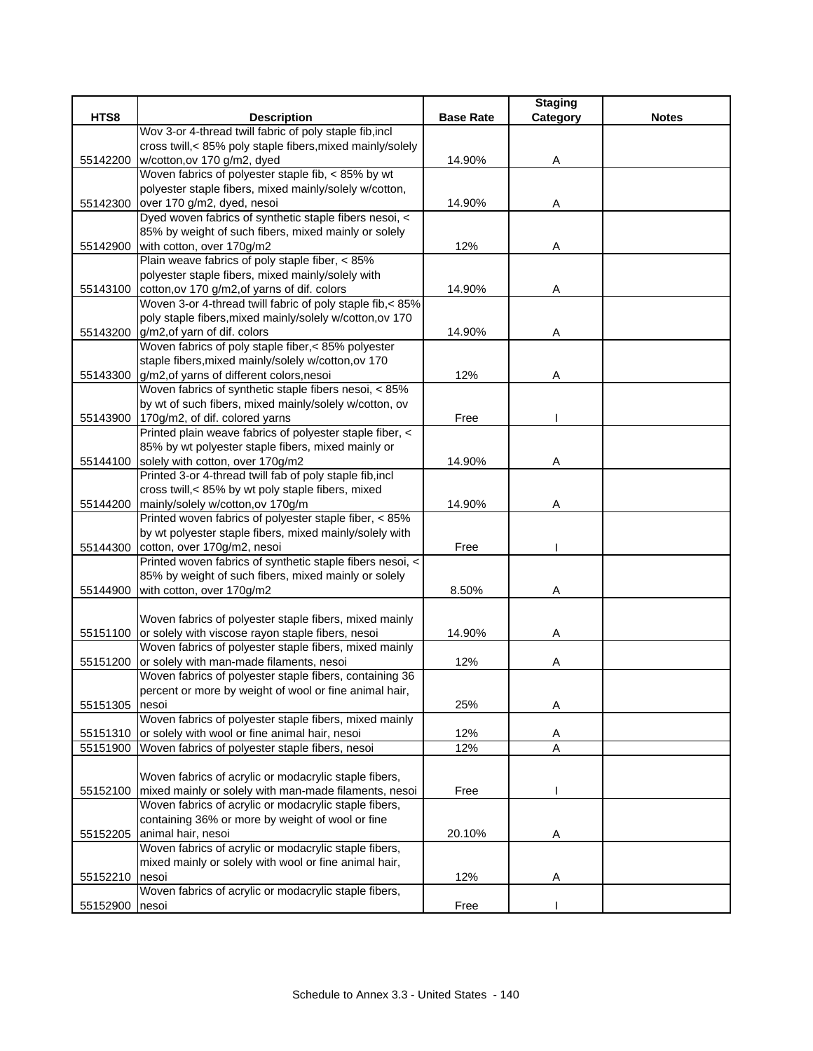|          |                                                                                                   |                  | <b>Staging</b> |              |
|----------|---------------------------------------------------------------------------------------------------|------------------|----------------|--------------|
| HTS8     | <b>Description</b>                                                                                | <b>Base Rate</b> | Category       | <b>Notes</b> |
|          | Wov 3-or 4-thread twill fabric of poly staple fib, incl                                           |                  |                |              |
|          | cross twill,< 85% poly staple fibers, mixed mainly/solely                                         |                  |                |              |
| 55142200 | w/cotton, ov 170 g/m2, dyed                                                                       | 14.90%           | Α              |              |
|          | Woven fabrics of polyester staple fib, < 85% by wt                                                |                  |                |              |
|          | polyester staple fibers, mixed mainly/solely w/cotton,                                            |                  |                |              |
| 55142300 | over 170 g/m2, dyed, nesoi                                                                        | 14.90%           | Α              |              |
|          | Dyed woven fabrics of synthetic staple fibers nesoi, <                                            |                  |                |              |
|          | 85% by weight of such fibers, mixed mainly or solely                                              |                  |                |              |
| 55142900 | with cotton, over 170g/m2                                                                         | 12%              | Α              |              |
|          | Plain weave fabrics of poly staple fiber, < 85%                                                   |                  |                |              |
|          | polyester staple fibers, mixed mainly/solely with                                                 |                  |                |              |
|          | 55143100 cotton, ov 170 g/m2, of yarns of dif. colors                                             | 14.90%           | Α              |              |
|          | Woven 3-or 4-thread twill fabric of poly staple fib,< 85%                                         |                  |                |              |
|          | poly staple fibers, mixed mainly/solely w/cotton, ov 170                                          |                  |                |              |
|          | 55143200 g/m2, of yarn of dif. colors                                                             | 14.90%           | A              |              |
|          | Woven fabrics of poly staple fiber,< 85% polyester                                                |                  |                |              |
|          | staple fibers, mixed mainly/solely w/cotton, ov 170                                               |                  |                |              |
| 55143300 | g/m2, of yarns of different colors, nesoi                                                         | 12%              | Α              |              |
|          | Woven fabrics of synthetic staple fibers nesoi, < 85%                                             |                  |                |              |
|          | by wt of such fibers, mixed mainly/solely w/cotton, ov                                            |                  |                |              |
|          | 55143900 170g/m2, of dif. colored yarns                                                           | Free             |                |              |
|          | Printed plain weave fabrics of polyester staple fiber, <                                          |                  |                |              |
|          | 85% by wt polyester staple fibers, mixed mainly or                                                |                  |                |              |
|          | 55144100 solely with cotton, over 170g/m2                                                         | 14.90%           | Α              |              |
|          | Printed 3-or 4-thread twill fab of poly staple fib, incl                                          |                  |                |              |
|          | cross twill,< 85% by wt poly staple fibers, mixed                                                 |                  |                |              |
|          | 55144200 mainly/solely w/cotton, ov 170g/m                                                        | 14.90%           | Α              |              |
|          | Printed woven fabrics of polyester staple fiber, < 85%                                            |                  |                |              |
|          | by wt polyester staple fibers, mixed mainly/solely with                                           |                  |                |              |
|          | 55144300 cotton, over 170g/m2, nesoi<br>Printed woven fabrics of synthetic staple fibers nesoi, < | Free             |                |              |
|          | 85% by weight of such fibers, mixed mainly or solely                                              |                  |                |              |
|          | with cotton, over 170g/m2                                                                         | 8.50%            |                |              |
| 55144900 |                                                                                                   |                  | Α              |              |
|          | Woven fabrics of polyester staple fibers, mixed mainly                                            |                  |                |              |
| 55151100 | or solely with viscose rayon staple fibers, nesoi                                                 | 14.90%           | Α              |              |
|          | Woven fabrics of polyester staple fibers, mixed mainly                                            |                  |                |              |
| 55151200 | or solely with man-made filaments, nesoi                                                          | 12%              | Α              |              |
|          | Woven fabrics of polyester staple fibers, containing 36                                           |                  |                |              |
|          | percent or more by weight of wool or fine animal hair,                                            |                  |                |              |
| 55151305 | nesoi                                                                                             | 25%              | Α              |              |
|          | Woven fabrics of polyester staple fibers, mixed mainly                                            |                  |                |              |
| 55151310 | or solely with wool or fine animal hair, nesoi                                                    | 12%              | A              |              |
| 55151900 | Woven fabrics of polyester staple fibers, nesoi                                                   | 12%              | $\overline{A}$ |              |
|          |                                                                                                   |                  |                |              |
|          | Woven fabrics of acrylic or modacrylic staple fibers,                                             |                  |                |              |
|          | 55152100 mixed mainly or solely with man-made filaments, nesoi                                    | Free             |                |              |
|          | Woven fabrics of acrylic or modacrylic staple fibers,                                             |                  |                |              |
|          | containing 36% or more by weight of wool or fine                                                  |                  |                |              |
| 55152205 | animal hair, nesoi                                                                                | 20.10%           | A              |              |
|          | Woven fabrics of acrylic or modacrylic staple fibers,                                             |                  |                |              |
|          | mixed mainly or solely with wool or fine animal hair,                                             |                  |                |              |
| 55152210 | nesoi                                                                                             | 12%              | Α              |              |
|          | Woven fabrics of acrylic or modacrylic staple fibers,                                             |                  |                |              |
| 55152900 | nesoi                                                                                             | Free             |                |              |
|          |                                                                                                   |                  |                |              |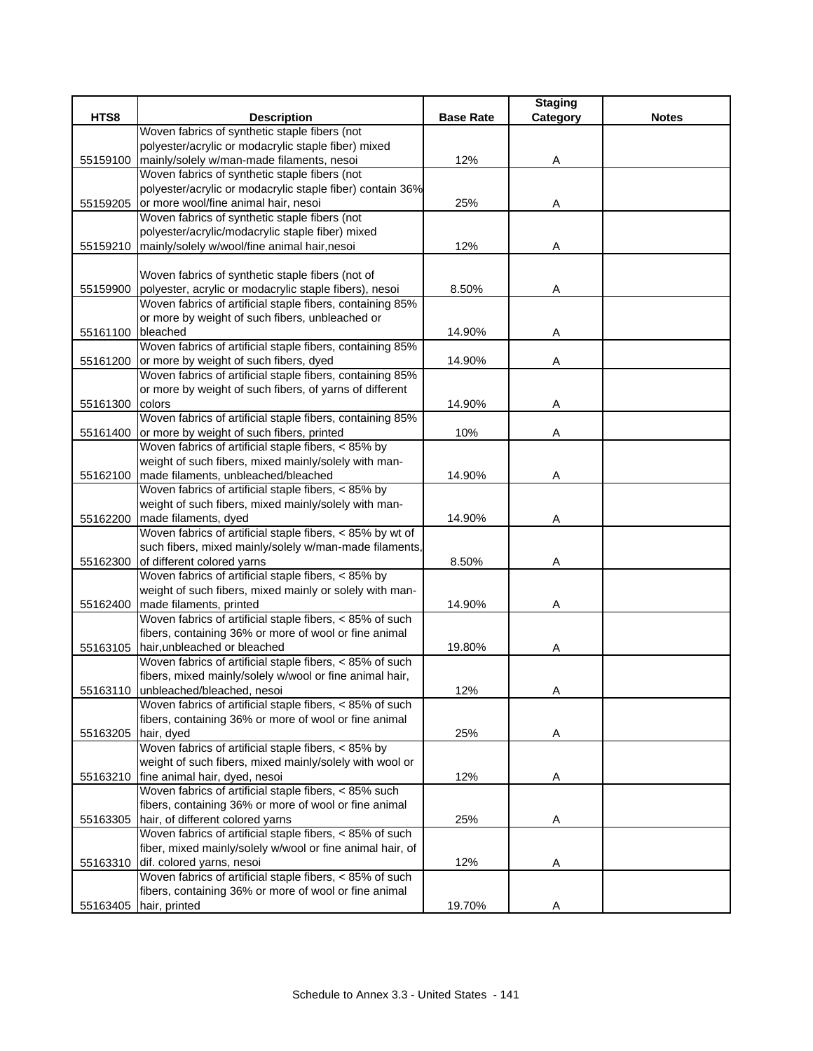| HTS8<br><b>Description</b><br><b>Base Rate</b><br><b>Notes</b><br>Woven fabrics of synthetic staple fibers (not<br>polyester/acrylic or modacrylic staple fiber) mixed<br>mainly/solely w/man-made filaments, nesoi<br>12%<br>55159100<br>Α<br>Woven fabrics of synthetic staple fibers (not<br>polyester/acrylic or modacrylic staple fiber) contain 36%<br>or more wool/fine animal hair, nesoi<br>55159205<br>25%<br>Α<br>Woven fabrics of synthetic staple fibers (not<br>polyester/acrylic/modacrylic staple fiber) mixed<br>mainly/solely w/wool/fine animal hair,nesoi<br>12%<br>Α<br>55159210<br>Woven fabrics of synthetic staple fibers (not of<br>polyester, acrylic or modacrylic staple fibers), nesoi<br>8.50%<br>55159900<br>Α<br>Woven fabrics of artificial staple fibers, containing 85%<br>or more by weight of such fibers, unbleached or<br>55161100<br>bleached<br>14.90%<br>Α<br>Woven fabrics of artificial staple fibers, containing 85%<br>or more by weight of such fibers, dyed<br>14.90%<br>55161200<br>A<br>Woven fabrics of artificial staple fibers, containing 85%<br>or more by weight of such fibers, of yarns of different<br>55161300<br>colors<br>14.90%<br>Α<br>Woven fabrics of artificial staple fibers, containing 85%<br>or more by weight of such fibers, printed<br>10%<br>55161400<br>Α<br>Woven fabrics of artificial staple fibers, < 85% by<br>weight of such fibers, mixed mainly/solely with man-<br>55162100<br>made filaments, unbleached/bleached<br>14.90%<br>Α<br>Woven fabrics of artificial staple fibers, < 85% by<br>weight of such fibers, mixed mainly/solely with man-<br>made filaments, dyed<br>14.90%<br>55162200<br>Α<br>Woven fabrics of artificial staple fibers, < 85% by wt of<br>such fibers, mixed mainly/solely w/man-made filaments,<br>of different colored yarns<br>55162300<br>8.50%<br>Α<br>Woven fabrics of artificial staple fibers, < 85% by<br>weight of such fibers, mixed mainly or solely with man-<br>made filaments, printed<br>14.90%<br>55162400<br>Α<br>Woven fabrics of artificial staple fibers, < 85% of such<br>fibers, containing 36% or more of wool or fine animal<br>hair, unbleached or bleached<br>19.80%<br>55163105<br>A<br>Woven fabrics of artificial staple fibers, < 85% of such<br>fibers, mixed mainly/solely w/wool or fine animal hair,<br>55163110 unbleached/bleached, nesoi<br>12%<br>Α<br>Woven fabrics of artificial staple fibers, < 85% of such<br>fibers, containing 36% or more of wool or fine animal<br>25%<br>hair, dyed<br>55163205<br>Α<br>Woven fabrics of artificial staple fibers, < 85% by<br>weight of such fibers, mixed mainly/solely with wool or<br>55163210<br>fine animal hair, dyed, nesoi<br>12%<br>Α<br>Woven fabrics of artificial staple fibers, < 85% such<br>fibers, containing 36% or more of wool or fine animal<br>hair, of different colored yarns<br>55163305<br>25%<br>Α<br>Woven fabrics of artificial staple fibers, < 85% of such<br>fiber, mixed mainly/solely w/wool or fine animal hair, of<br>dif. colored yarns, nesoi<br>12%<br>55163310<br>A<br>Woven fabrics of artificial staple fibers, < 85% of such<br>fibers, containing 36% or more of wool or fine animal<br>hair, printed<br>Α |          |        | <b>Staging</b> |  |
|--------------------------------------------------------------------------------------------------------------------------------------------------------------------------------------------------------------------------------------------------------------------------------------------------------------------------------------------------------------------------------------------------------------------------------------------------------------------------------------------------------------------------------------------------------------------------------------------------------------------------------------------------------------------------------------------------------------------------------------------------------------------------------------------------------------------------------------------------------------------------------------------------------------------------------------------------------------------------------------------------------------------------------------------------------------------------------------------------------------------------------------------------------------------------------------------------------------------------------------------------------------------------------------------------------------------------------------------------------------------------------------------------------------------------------------------------------------------------------------------------------------------------------------------------------------------------------------------------------------------------------------------------------------------------------------------------------------------------------------------------------------------------------------------------------------------------------------------------------------------------------------------------------------------------------------------------------------------------------------------------------------------------------------------------------------------------------------------------------------------------------------------------------------------------------------------------------------------------------------------------------------------------------------------------------------------------------------------------------------------------------------------------------------------------------------------------------------------------------------------------------------------------------------------------------------------------------------------------------------------------------------------------------------------------------------------------------------------------------------------------------------------------------------------------------------------------------------------------------------------------------------------------------------------------------------------------------------------------------------------------------------------------------------------------------------------------------------------------------------------------------------------------------------------------------------------------------------------------------------------------------|----------|--------|----------------|--|
|                                                                                                                                                                                                                                                                                                                                                                                                                                                                                                                                                                                                                                                                                                                                                                                                                                                                                                                                                                                                                                                                                                                                                                                                                                                                                                                                                                                                                                                                                                                                                                                                                                                                                                                                                                                                                                                                                                                                                                                                                                                                                                                                                                                                                                                                                                                                                                                                                                                                                                                                                                                                                                                                                                                                                                                                                                                                                                                                                                                                                                                                                                                                                                                                                                                        |          |        | Category       |  |
|                                                                                                                                                                                                                                                                                                                                                                                                                                                                                                                                                                                                                                                                                                                                                                                                                                                                                                                                                                                                                                                                                                                                                                                                                                                                                                                                                                                                                                                                                                                                                                                                                                                                                                                                                                                                                                                                                                                                                                                                                                                                                                                                                                                                                                                                                                                                                                                                                                                                                                                                                                                                                                                                                                                                                                                                                                                                                                                                                                                                                                                                                                                                                                                                                                                        |          |        |                |  |
|                                                                                                                                                                                                                                                                                                                                                                                                                                                                                                                                                                                                                                                                                                                                                                                                                                                                                                                                                                                                                                                                                                                                                                                                                                                                                                                                                                                                                                                                                                                                                                                                                                                                                                                                                                                                                                                                                                                                                                                                                                                                                                                                                                                                                                                                                                                                                                                                                                                                                                                                                                                                                                                                                                                                                                                                                                                                                                                                                                                                                                                                                                                                                                                                                                                        |          |        |                |  |
|                                                                                                                                                                                                                                                                                                                                                                                                                                                                                                                                                                                                                                                                                                                                                                                                                                                                                                                                                                                                                                                                                                                                                                                                                                                                                                                                                                                                                                                                                                                                                                                                                                                                                                                                                                                                                                                                                                                                                                                                                                                                                                                                                                                                                                                                                                                                                                                                                                                                                                                                                                                                                                                                                                                                                                                                                                                                                                                                                                                                                                                                                                                                                                                                                                                        |          |        |                |  |
|                                                                                                                                                                                                                                                                                                                                                                                                                                                                                                                                                                                                                                                                                                                                                                                                                                                                                                                                                                                                                                                                                                                                                                                                                                                                                                                                                                                                                                                                                                                                                                                                                                                                                                                                                                                                                                                                                                                                                                                                                                                                                                                                                                                                                                                                                                                                                                                                                                                                                                                                                                                                                                                                                                                                                                                                                                                                                                                                                                                                                                                                                                                                                                                                                                                        |          |        |                |  |
|                                                                                                                                                                                                                                                                                                                                                                                                                                                                                                                                                                                                                                                                                                                                                                                                                                                                                                                                                                                                                                                                                                                                                                                                                                                                                                                                                                                                                                                                                                                                                                                                                                                                                                                                                                                                                                                                                                                                                                                                                                                                                                                                                                                                                                                                                                                                                                                                                                                                                                                                                                                                                                                                                                                                                                                                                                                                                                                                                                                                                                                                                                                                                                                                                                                        |          |        |                |  |
|                                                                                                                                                                                                                                                                                                                                                                                                                                                                                                                                                                                                                                                                                                                                                                                                                                                                                                                                                                                                                                                                                                                                                                                                                                                                                                                                                                                                                                                                                                                                                                                                                                                                                                                                                                                                                                                                                                                                                                                                                                                                                                                                                                                                                                                                                                                                                                                                                                                                                                                                                                                                                                                                                                                                                                                                                                                                                                                                                                                                                                                                                                                                                                                                                                                        |          |        |                |  |
|                                                                                                                                                                                                                                                                                                                                                                                                                                                                                                                                                                                                                                                                                                                                                                                                                                                                                                                                                                                                                                                                                                                                                                                                                                                                                                                                                                                                                                                                                                                                                                                                                                                                                                                                                                                                                                                                                                                                                                                                                                                                                                                                                                                                                                                                                                                                                                                                                                                                                                                                                                                                                                                                                                                                                                                                                                                                                                                                                                                                                                                                                                                                                                                                                                                        |          |        |                |  |
|                                                                                                                                                                                                                                                                                                                                                                                                                                                                                                                                                                                                                                                                                                                                                                                                                                                                                                                                                                                                                                                                                                                                                                                                                                                                                                                                                                                                                                                                                                                                                                                                                                                                                                                                                                                                                                                                                                                                                                                                                                                                                                                                                                                                                                                                                                                                                                                                                                                                                                                                                                                                                                                                                                                                                                                                                                                                                                                                                                                                                                                                                                                                                                                                                                                        |          |        |                |  |
|                                                                                                                                                                                                                                                                                                                                                                                                                                                                                                                                                                                                                                                                                                                                                                                                                                                                                                                                                                                                                                                                                                                                                                                                                                                                                                                                                                                                                                                                                                                                                                                                                                                                                                                                                                                                                                                                                                                                                                                                                                                                                                                                                                                                                                                                                                                                                                                                                                                                                                                                                                                                                                                                                                                                                                                                                                                                                                                                                                                                                                                                                                                                                                                                                                                        |          |        |                |  |
|                                                                                                                                                                                                                                                                                                                                                                                                                                                                                                                                                                                                                                                                                                                                                                                                                                                                                                                                                                                                                                                                                                                                                                                                                                                                                                                                                                                                                                                                                                                                                                                                                                                                                                                                                                                                                                                                                                                                                                                                                                                                                                                                                                                                                                                                                                                                                                                                                                                                                                                                                                                                                                                                                                                                                                                                                                                                                                                                                                                                                                                                                                                                                                                                                                                        |          |        |                |  |
|                                                                                                                                                                                                                                                                                                                                                                                                                                                                                                                                                                                                                                                                                                                                                                                                                                                                                                                                                                                                                                                                                                                                                                                                                                                                                                                                                                                                                                                                                                                                                                                                                                                                                                                                                                                                                                                                                                                                                                                                                                                                                                                                                                                                                                                                                                                                                                                                                                                                                                                                                                                                                                                                                                                                                                                                                                                                                                                                                                                                                                                                                                                                                                                                                                                        |          |        |                |  |
|                                                                                                                                                                                                                                                                                                                                                                                                                                                                                                                                                                                                                                                                                                                                                                                                                                                                                                                                                                                                                                                                                                                                                                                                                                                                                                                                                                                                                                                                                                                                                                                                                                                                                                                                                                                                                                                                                                                                                                                                                                                                                                                                                                                                                                                                                                                                                                                                                                                                                                                                                                                                                                                                                                                                                                                                                                                                                                                                                                                                                                                                                                                                                                                                                                                        |          |        |                |  |
|                                                                                                                                                                                                                                                                                                                                                                                                                                                                                                                                                                                                                                                                                                                                                                                                                                                                                                                                                                                                                                                                                                                                                                                                                                                                                                                                                                                                                                                                                                                                                                                                                                                                                                                                                                                                                                                                                                                                                                                                                                                                                                                                                                                                                                                                                                                                                                                                                                                                                                                                                                                                                                                                                                                                                                                                                                                                                                                                                                                                                                                                                                                                                                                                                                                        |          |        |                |  |
|                                                                                                                                                                                                                                                                                                                                                                                                                                                                                                                                                                                                                                                                                                                                                                                                                                                                                                                                                                                                                                                                                                                                                                                                                                                                                                                                                                                                                                                                                                                                                                                                                                                                                                                                                                                                                                                                                                                                                                                                                                                                                                                                                                                                                                                                                                                                                                                                                                                                                                                                                                                                                                                                                                                                                                                                                                                                                                                                                                                                                                                                                                                                                                                                                                                        |          |        |                |  |
|                                                                                                                                                                                                                                                                                                                                                                                                                                                                                                                                                                                                                                                                                                                                                                                                                                                                                                                                                                                                                                                                                                                                                                                                                                                                                                                                                                                                                                                                                                                                                                                                                                                                                                                                                                                                                                                                                                                                                                                                                                                                                                                                                                                                                                                                                                                                                                                                                                                                                                                                                                                                                                                                                                                                                                                                                                                                                                                                                                                                                                                                                                                                                                                                                                                        |          |        |                |  |
|                                                                                                                                                                                                                                                                                                                                                                                                                                                                                                                                                                                                                                                                                                                                                                                                                                                                                                                                                                                                                                                                                                                                                                                                                                                                                                                                                                                                                                                                                                                                                                                                                                                                                                                                                                                                                                                                                                                                                                                                                                                                                                                                                                                                                                                                                                                                                                                                                                                                                                                                                                                                                                                                                                                                                                                                                                                                                                                                                                                                                                                                                                                                                                                                                                                        |          |        |                |  |
|                                                                                                                                                                                                                                                                                                                                                                                                                                                                                                                                                                                                                                                                                                                                                                                                                                                                                                                                                                                                                                                                                                                                                                                                                                                                                                                                                                                                                                                                                                                                                                                                                                                                                                                                                                                                                                                                                                                                                                                                                                                                                                                                                                                                                                                                                                                                                                                                                                                                                                                                                                                                                                                                                                                                                                                                                                                                                                                                                                                                                                                                                                                                                                                                                                                        |          |        |                |  |
|                                                                                                                                                                                                                                                                                                                                                                                                                                                                                                                                                                                                                                                                                                                                                                                                                                                                                                                                                                                                                                                                                                                                                                                                                                                                                                                                                                                                                                                                                                                                                                                                                                                                                                                                                                                                                                                                                                                                                                                                                                                                                                                                                                                                                                                                                                                                                                                                                                                                                                                                                                                                                                                                                                                                                                                                                                                                                                                                                                                                                                                                                                                                                                                                                                                        |          |        |                |  |
|                                                                                                                                                                                                                                                                                                                                                                                                                                                                                                                                                                                                                                                                                                                                                                                                                                                                                                                                                                                                                                                                                                                                                                                                                                                                                                                                                                                                                                                                                                                                                                                                                                                                                                                                                                                                                                                                                                                                                                                                                                                                                                                                                                                                                                                                                                                                                                                                                                                                                                                                                                                                                                                                                                                                                                                                                                                                                                                                                                                                                                                                                                                                                                                                                                                        |          |        |                |  |
|                                                                                                                                                                                                                                                                                                                                                                                                                                                                                                                                                                                                                                                                                                                                                                                                                                                                                                                                                                                                                                                                                                                                                                                                                                                                                                                                                                                                                                                                                                                                                                                                                                                                                                                                                                                                                                                                                                                                                                                                                                                                                                                                                                                                                                                                                                                                                                                                                                                                                                                                                                                                                                                                                                                                                                                                                                                                                                                                                                                                                                                                                                                                                                                                                                                        |          |        |                |  |
|                                                                                                                                                                                                                                                                                                                                                                                                                                                                                                                                                                                                                                                                                                                                                                                                                                                                                                                                                                                                                                                                                                                                                                                                                                                                                                                                                                                                                                                                                                                                                                                                                                                                                                                                                                                                                                                                                                                                                                                                                                                                                                                                                                                                                                                                                                                                                                                                                                                                                                                                                                                                                                                                                                                                                                                                                                                                                                                                                                                                                                                                                                                                                                                                                                                        |          |        |                |  |
|                                                                                                                                                                                                                                                                                                                                                                                                                                                                                                                                                                                                                                                                                                                                                                                                                                                                                                                                                                                                                                                                                                                                                                                                                                                                                                                                                                                                                                                                                                                                                                                                                                                                                                                                                                                                                                                                                                                                                                                                                                                                                                                                                                                                                                                                                                                                                                                                                                                                                                                                                                                                                                                                                                                                                                                                                                                                                                                                                                                                                                                                                                                                                                                                                                                        |          |        |                |  |
|                                                                                                                                                                                                                                                                                                                                                                                                                                                                                                                                                                                                                                                                                                                                                                                                                                                                                                                                                                                                                                                                                                                                                                                                                                                                                                                                                                                                                                                                                                                                                                                                                                                                                                                                                                                                                                                                                                                                                                                                                                                                                                                                                                                                                                                                                                                                                                                                                                                                                                                                                                                                                                                                                                                                                                                                                                                                                                                                                                                                                                                                                                                                                                                                                                                        |          |        |                |  |
|                                                                                                                                                                                                                                                                                                                                                                                                                                                                                                                                                                                                                                                                                                                                                                                                                                                                                                                                                                                                                                                                                                                                                                                                                                                                                                                                                                                                                                                                                                                                                                                                                                                                                                                                                                                                                                                                                                                                                                                                                                                                                                                                                                                                                                                                                                                                                                                                                                                                                                                                                                                                                                                                                                                                                                                                                                                                                                                                                                                                                                                                                                                                                                                                                                                        |          |        |                |  |
|                                                                                                                                                                                                                                                                                                                                                                                                                                                                                                                                                                                                                                                                                                                                                                                                                                                                                                                                                                                                                                                                                                                                                                                                                                                                                                                                                                                                                                                                                                                                                                                                                                                                                                                                                                                                                                                                                                                                                                                                                                                                                                                                                                                                                                                                                                                                                                                                                                                                                                                                                                                                                                                                                                                                                                                                                                                                                                                                                                                                                                                                                                                                                                                                                                                        |          |        |                |  |
|                                                                                                                                                                                                                                                                                                                                                                                                                                                                                                                                                                                                                                                                                                                                                                                                                                                                                                                                                                                                                                                                                                                                                                                                                                                                                                                                                                                                                                                                                                                                                                                                                                                                                                                                                                                                                                                                                                                                                                                                                                                                                                                                                                                                                                                                                                                                                                                                                                                                                                                                                                                                                                                                                                                                                                                                                                                                                                                                                                                                                                                                                                                                                                                                                                                        |          |        |                |  |
|                                                                                                                                                                                                                                                                                                                                                                                                                                                                                                                                                                                                                                                                                                                                                                                                                                                                                                                                                                                                                                                                                                                                                                                                                                                                                                                                                                                                                                                                                                                                                                                                                                                                                                                                                                                                                                                                                                                                                                                                                                                                                                                                                                                                                                                                                                                                                                                                                                                                                                                                                                                                                                                                                                                                                                                                                                                                                                                                                                                                                                                                                                                                                                                                                                                        |          |        |                |  |
|                                                                                                                                                                                                                                                                                                                                                                                                                                                                                                                                                                                                                                                                                                                                                                                                                                                                                                                                                                                                                                                                                                                                                                                                                                                                                                                                                                                                                                                                                                                                                                                                                                                                                                                                                                                                                                                                                                                                                                                                                                                                                                                                                                                                                                                                                                                                                                                                                                                                                                                                                                                                                                                                                                                                                                                                                                                                                                                                                                                                                                                                                                                                                                                                                                                        |          |        |                |  |
|                                                                                                                                                                                                                                                                                                                                                                                                                                                                                                                                                                                                                                                                                                                                                                                                                                                                                                                                                                                                                                                                                                                                                                                                                                                                                                                                                                                                                                                                                                                                                                                                                                                                                                                                                                                                                                                                                                                                                                                                                                                                                                                                                                                                                                                                                                                                                                                                                                                                                                                                                                                                                                                                                                                                                                                                                                                                                                                                                                                                                                                                                                                                                                                                                                                        |          |        |                |  |
|                                                                                                                                                                                                                                                                                                                                                                                                                                                                                                                                                                                                                                                                                                                                                                                                                                                                                                                                                                                                                                                                                                                                                                                                                                                                                                                                                                                                                                                                                                                                                                                                                                                                                                                                                                                                                                                                                                                                                                                                                                                                                                                                                                                                                                                                                                                                                                                                                                                                                                                                                                                                                                                                                                                                                                                                                                                                                                                                                                                                                                                                                                                                                                                                                                                        |          |        |                |  |
|                                                                                                                                                                                                                                                                                                                                                                                                                                                                                                                                                                                                                                                                                                                                                                                                                                                                                                                                                                                                                                                                                                                                                                                                                                                                                                                                                                                                                                                                                                                                                                                                                                                                                                                                                                                                                                                                                                                                                                                                                                                                                                                                                                                                                                                                                                                                                                                                                                                                                                                                                                                                                                                                                                                                                                                                                                                                                                                                                                                                                                                                                                                                                                                                                                                        |          |        |                |  |
|                                                                                                                                                                                                                                                                                                                                                                                                                                                                                                                                                                                                                                                                                                                                                                                                                                                                                                                                                                                                                                                                                                                                                                                                                                                                                                                                                                                                                                                                                                                                                                                                                                                                                                                                                                                                                                                                                                                                                                                                                                                                                                                                                                                                                                                                                                                                                                                                                                                                                                                                                                                                                                                                                                                                                                                                                                                                                                                                                                                                                                                                                                                                                                                                                                                        |          |        |                |  |
|                                                                                                                                                                                                                                                                                                                                                                                                                                                                                                                                                                                                                                                                                                                                                                                                                                                                                                                                                                                                                                                                                                                                                                                                                                                                                                                                                                                                                                                                                                                                                                                                                                                                                                                                                                                                                                                                                                                                                                                                                                                                                                                                                                                                                                                                                                                                                                                                                                                                                                                                                                                                                                                                                                                                                                                                                                                                                                                                                                                                                                                                                                                                                                                                                                                        |          |        |                |  |
|                                                                                                                                                                                                                                                                                                                                                                                                                                                                                                                                                                                                                                                                                                                                                                                                                                                                                                                                                                                                                                                                                                                                                                                                                                                                                                                                                                                                                                                                                                                                                                                                                                                                                                                                                                                                                                                                                                                                                                                                                                                                                                                                                                                                                                                                                                                                                                                                                                                                                                                                                                                                                                                                                                                                                                                                                                                                                                                                                                                                                                                                                                                                                                                                                                                        |          |        |                |  |
|                                                                                                                                                                                                                                                                                                                                                                                                                                                                                                                                                                                                                                                                                                                                                                                                                                                                                                                                                                                                                                                                                                                                                                                                                                                                                                                                                                                                                                                                                                                                                                                                                                                                                                                                                                                                                                                                                                                                                                                                                                                                                                                                                                                                                                                                                                                                                                                                                                                                                                                                                                                                                                                                                                                                                                                                                                                                                                                                                                                                                                                                                                                                                                                                                                                        |          |        |                |  |
|                                                                                                                                                                                                                                                                                                                                                                                                                                                                                                                                                                                                                                                                                                                                                                                                                                                                                                                                                                                                                                                                                                                                                                                                                                                                                                                                                                                                                                                                                                                                                                                                                                                                                                                                                                                                                                                                                                                                                                                                                                                                                                                                                                                                                                                                                                                                                                                                                                                                                                                                                                                                                                                                                                                                                                                                                                                                                                                                                                                                                                                                                                                                                                                                                                                        |          |        |                |  |
|                                                                                                                                                                                                                                                                                                                                                                                                                                                                                                                                                                                                                                                                                                                                                                                                                                                                                                                                                                                                                                                                                                                                                                                                                                                                                                                                                                                                                                                                                                                                                                                                                                                                                                                                                                                                                                                                                                                                                                                                                                                                                                                                                                                                                                                                                                                                                                                                                                                                                                                                                                                                                                                                                                                                                                                                                                                                                                                                                                                                                                                                                                                                                                                                                                                        |          |        |                |  |
|                                                                                                                                                                                                                                                                                                                                                                                                                                                                                                                                                                                                                                                                                                                                                                                                                                                                                                                                                                                                                                                                                                                                                                                                                                                                                                                                                                                                                                                                                                                                                                                                                                                                                                                                                                                                                                                                                                                                                                                                                                                                                                                                                                                                                                                                                                                                                                                                                                                                                                                                                                                                                                                                                                                                                                                                                                                                                                                                                                                                                                                                                                                                                                                                                                                        |          |        |                |  |
|                                                                                                                                                                                                                                                                                                                                                                                                                                                                                                                                                                                                                                                                                                                                                                                                                                                                                                                                                                                                                                                                                                                                                                                                                                                                                                                                                                                                                                                                                                                                                                                                                                                                                                                                                                                                                                                                                                                                                                                                                                                                                                                                                                                                                                                                                                                                                                                                                                                                                                                                                                                                                                                                                                                                                                                                                                                                                                                                                                                                                                                                                                                                                                                                                                                        |          |        |                |  |
|                                                                                                                                                                                                                                                                                                                                                                                                                                                                                                                                                                                                                                                                                                                                                                                                                                                                                                                                                                                                                                                                                                                                                                                                                                                                                                                                                                                                                                                                                                                                                                                                                                                                                                                                                                                                                                                                                                                                                                                                                                                                                                                                                                                                                                                                                                                                                                                                                                                                                                                                                                                                                                                                                                                                                                                                                                                                                                                                                                                                                                                                                                                                                                                                                                                        |          |        |                |  |
|                                                                                                                                                                                                                                                                                                                                                                                                                                                                                                                                                                                                                                                                                                                                                                                                                                                                                                                                                                                                                                                                                                                                                                                                                                                                                                                                                                                                                                                                                                                                                                                                                                                                                                                                                                                                                                                                                                                                                                                                                                                                                                                                                                                                                                                                                                                                                                                                                                                                                                                                                                                                                                                                                                                                                                                                                                                                                                                                                                                                                                                                                                                                                                                                                                                        |          |        |                |  |
|                                                                                                                                                                                                                                                                                                                                                                                                                                                                                                                                                                                                                                                                                                                                                                                                                                                                                                                                                                                                                                                                                                                                                                                                                                                                                                                                                                                                                                                                                                                                                                                                                                                                                                                                                                                                                                                                                                                                                                                                                                                                                                                                                                                                                                                                                                                                                                                                                                                                                                                                                                                                                                                                                                                                                                                                                                                                                                                                                                                                                                                                                                                                                                                                                                                        |          |        |                |  |
|                                                                                                                                                                                                                                                                                                                                                                                                                                                                                                                                                                                                                                                                                                                                                                                                                                                                                                                                                                                                                                                                                                                                                                                                                                                                                                                                                                                                                                                                                                                                                                                                                                                                                                                                                                                                                                                                                                                                                                                                                                                                                                                                                                                                                                                                                                                                                                                                                                                                                                                                                                                                                                                                                                                                                                                                                                                                                                                                                                                                                                                                                                                                                                                                                                                        |          |        |                |  |
|                                                                                                                                                                                                                                                                                                                                                                                                                                                                                                                                                                                                                                                                                                                                                                                                                                                                                                                                                                                                                                                                                                                                                                                                                                                                                                                                                                                                                                                                                                                                                                                                                                                                                                                                                                                                                                                                                                                                                                                                                                                                                                                                                                                                                                                                                                                                                                                                                                                                                                                                                                                                                                                                                                                                                                                                                                                                                                                                                                                                                                                                                                                                                                                                                                                        |          |        |                |  |
|                                                                                                                                                                                                                                                                                                                                                                                                                                                                                                                                                                                                                                                                                                                                                                                                                                                                                                                                                                                                                                                                                                                                                                                                                                                                                                                                                                                                                                                                                                                                                                                                                                                                                                                                                                                                                                                                                                                                                                                                                                                                                                                                                                                                                                                                                                                                                                                                                                                                                                                                                                                                                                                                                                                                                                                                                                                                                                                                                                                                                                                                                                                                                                                                                                                        |          |        |                |  |
|                                                                                                                                                                                                                                                                                                                                                                                                                                                                                                                                                                                                                                                                                                                                                                                                                                                                                                                                                                                                                                                                                                                                                                                                                                                                                                                                                                                                                                                                                                                                                                                                                                                                                                                                                                                                                                                                                                                                                                                                                                                                                                                                                                                                                                                                                                                                                                                                                                                                                                                                                                                                                                                                                                                                                                                                                                                                                                                                                                                                                                                                                                                                                                                                                                                        |          |        |                |  |
|                                                                                                                                                                                                                                                                                                                                                                                                                                                                                                                                                                                                                                                                                                                                                                                                                                                                                                                                                                                                                                                                                                                                                                                                                                                                                                                                                                                                                                                                                                                                                                                                                                                                                                                                                                                                                                                                                                                                                                                                                                                                                                                                                                                                                                                                                                                                                                                                                                                                                                                                                                                                                                                                                                                                                                                                                                                                                                                                                                                                                                                                                                                                                                                                                                                        |          |        |                |  |
|                                                                                                                                                                                                                                                                                                                                                                                                                                                                                                                                                                                                                                                                                                                                                                                                                                                                                                                                                                                                                                                                                                                                                                                                                                                                                                                                                                                                                                                                                                                                                                                                                                                                                                                                                                                                                                                                                                                                                                                                                                                                                                                                                                                                                                                                                                                                                                                                                                                                                                                                                                                                                                                                                                                                                                                                                                                                                                                                                                                                                                                                                                                                                                                                                                                        |          |        |                |  |
|                                                                                                                                                                                                                                                                                                                                                                                                                                                                                                                                                                                                                                                                                                                                                                                                                                                                                                                                                                                                                                                                                                                                                                                                                                                                                                                                                                                                                                                                                                                                                                                                                                                                                                                                                                                                                                                                                                                                                                                                                                                                                                                                                                                                                                                                                                                                                                                                                                                                                                                                                                                                                                                                                                                                                                                                                                                                                                                                                                                                                                                                                                                                                                                                                                                        |          |        |                |  |
|                                                                                                                                                                                                                                                                                                                                                                                                                                                                                                                                                                                                                                                                                                                                                                                                                                                                                                                                                                                                                                                                                                                                                                                                                                                                                                                                                                                                                                                                                                                                                                                                                                                                                                                                                                                                                                                                                                                                                                                                                                                                                                                                                                                                                                                                                                                                                                                                                                                                                                                                                                                                                                                                                                                                                                                                                                                                                                                                                                                                                                                                                                                                                                                                                                                        |          |        |                |  |
|                                                                                                                                                                                                                                                                                                                                                                                                                                                                                                                                                                                                                                                                                                                                                                                                                                                                                                                                                                                                                                                                                                                                                                                                                                                                                                                                                                                                                                                                                                                                                                                                                                                                                                                                                                                                                                                                                                                                                                                                                                                                                                                                                                                                                                                                                                                                                                                                                                                                                                                                                                                                                                                                                                                                                                                                                                                                                                                                                                                                                                                                                                                                                                                                                                                        |          |        |                |  |
|                                                                                                                                                                                                                                                                                                                                                                                                                                                                                                                                                                                                                                                                                                                                                                                                                                                                                                                                                                                                                                                                                                                                                                                                                                                                                                                                                                                                                                                                                                                                                                                                                                                                                                                                                                                                                                                                                                                                                                                                                                                                                                                                                                                                                                                                                                                                                                                                                                                                                                                                                                                                                                                                                                                                                                                                                                                                                                                                                                                                                                                                                                                                                                                                                                                        |          |        |                |  |
|                                                                                                                                                                                                                                                                                                                                                                                                                                                                                                                                                                                                                                                                                                                                                                                                                                                                                                                                                                                                                                                                                                                                                                                                                                                                                                                                                                                                                                                                                                                                                                                                                                                                                                                                                                                                                                                                                                                                                                                                                                                                                                                                                                                                                                                                                                                                                                                                                                                                                                                                                                                                                                                                                                                                                                                                                                                                                                                                                                                                                                                                                                                                                                                                                                                        |          |        |                |  |
|                                                                                                                                                                                                                                                                                                                                                                                                                                                                                                                                                                                                                                                                                                                                                                                                                                                                                                                                                                                                                                                                                                                                                                                                                                                                                                                                                                                                                                                                                                                                                                                                                                                                                                                                                                                                                                                                                                                                                                                                                                                                                                                                                                                                                                                                                                                                                                                                                                                                                                                                                                                                                                                                                                                                                                                                                                                                                                                                                                                                                                                                                                                                                                                                                                                        |          |        |                |  |
|                                                                                                                                                                                                                                                                                                                                                                                                                                                                                                                                                                                                                                                                                                                                                                                                                                                                                                                                                                                                                                                                                                                                                                                                                                                                                                                                                                                                                                                                                                                                                                                                                                                                                                                                                                                                                                                                                                                                                                                                                                                                                                                                                                                                                                                                                                                                                                                                                                                                                                                                                                                                                                                                                                                                                                                                                                                                                                                                                                                                                                                                                                                                                                                                                                                        | 55163405 | 19.70% |                |  |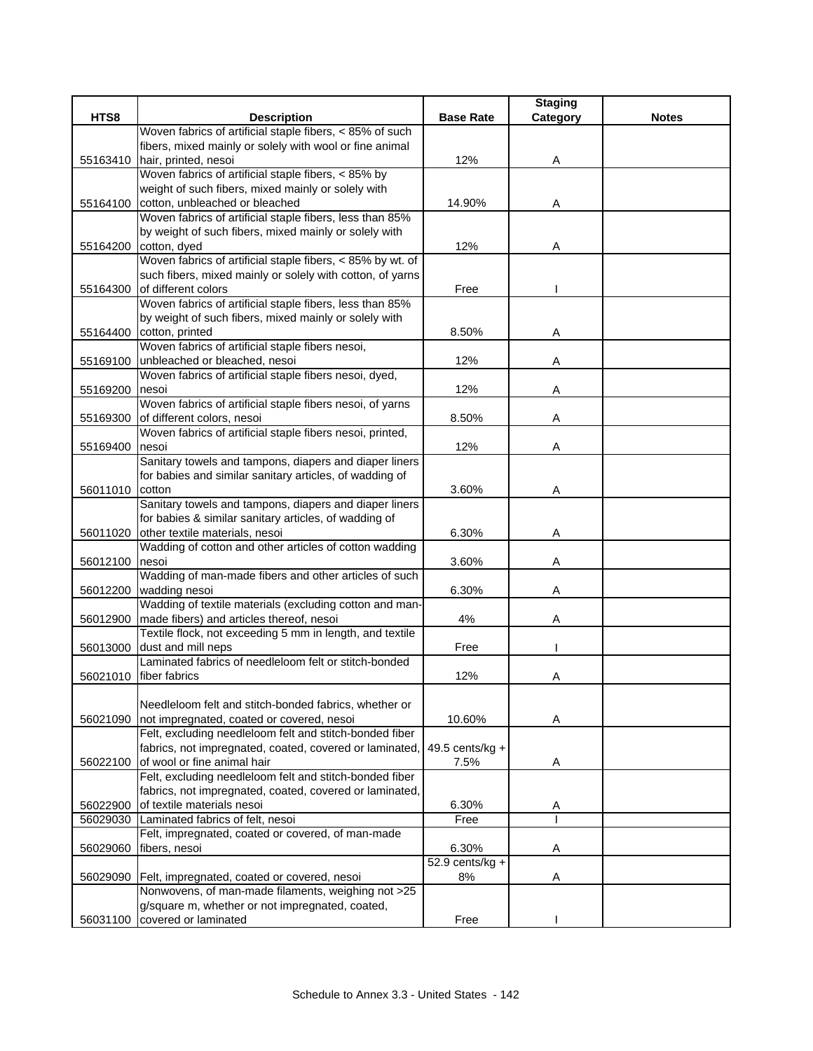|                 |                                                                                                           |                    | <b>Staging</b> |              |
|-----------------|-----------------------------------------------------------------------------------------------------------|--------------------|----------------|--------------|
| HTS8            | <b>Description</b>                                                                                        | <b>Base Rate</b>   | Category       | <b>Notes</b> |
|                 | Woven fabrics of artificial staple fibers, < 85% of such                                                  |                    |                |              |
|                 | fibers, mixed mainly or solely with wool or fine animal                                                   |                    |                |              |
| 55163410        | hair, printed, nesoi                                                                                      | 12%                | Α              |              |
|                 | Woven fabrics of artificial staple fibers, < 85% by<br>weight of such fibers, mixed mainly or solely with |                    |                |              |
| 55164100        | cotton, unbleached or bleached                                                                            | 14.90%             | Α              |              |
|                 | Woven fabrics of artificial staple fibers, less than 85%                                                  |                    |                |              |
|                 | by weight of such fibers, mixed mainly or solely with                                                     |                    |                |              |
|                 | 55164200 cotton, dyed                                                                                     | 12%                | A              |              |
|                 | Woven fabrics of artificial staple fibers, < 85% by wt. of                                                |                    |                |              |
|                 | such fibers, mixed mainly or solely with cotton, of yarns                                                 |                    |                |              |
| 55164300        | of different colors                                                                                       | Free               |                |              |
|                 | Woven fabrics of artificial staple fibers, less than 85%                                                  |                    |                |              |
|                 | by weight of such fibers, mixed mainly or solely with                                                     |                    |                |              |
|                 | 55164400 cotton, printed                                                                                  | 8.50%              | Α              |              |
|                 | Woven fabrics of artificial staple fibers nesoi,                                                          |                    |                |              |
|                 | 55169100 unbleached or bleached, nesoi                                                                    | 12%                | Α              |              |
|                 | Woven fabrics of artificial staple fibers nesoi, dyed,                                                    |                    |                |              |
| 55169200        | nesoi                                                                                                     | 12%                | A              |              |
|                 | Woven fabrics of artificial staple fibers nesoi, of yarns                                                 |                    |                |              |
| 55169300        | of different colors, nesoi                                                                                | 8.50%              | A              |              |
|                 | Woven fabrics of artificial staple fibers nesoi, printed,                                                 |                    |                |              |
| 55169400        | nesoi                                                                                                     | 12%                | Α              |              |
|                 | Sanitary towels and tampons, diapers and diaper liners                                                    |                    |                |              |
|                 | for babies and similar sanitary articles, of wadding of                                                   |                    |                |              |
| 56011010 cotton |                                                                                                           | 3.60%              | Α              |              |
|                 | Sanitary towels and tampons, diapers and diaper liners                                                    |                    |                |              |
| 56011020        | for babies & similar sanitary articles, of wadding of<br>other textile materials, nesoi                   | 6.30%              | A              |              |
|                 | Wadding of cotton and other articles of cotton wadding                                                    |                    |                |              |
| 56012100        | nesoi                                                                                                     | 3.60%              | Α              |              |
|                 | Wadding of man-made fibers and other articles of such                                                     |                    |                |              |
| 56012200        | wadding nesoi                                                                                             | 6.30%              | Α              |              |
|                 | Wadding of textile materials (excluding cotton and man-                                                   |                    |                |              |
|                 | 56012900 made fibers) and articles thereof, nesoi                                                         | 4%                 | Α              |              |
|                 | Textile flock, not exceeding 5 mm in length, and textile                                                  |                    |                |              |
|                 | 56013000 dust and mill neps                                                                               | Free               |                |              |
|                 | Laminated fabrics of needleloom felt or stitch-bonded                                                     |                    |                |              |
|                 | 56021010 fiber fabrics                                                                                    | 12%                | Α              |              |
|                 |                                                                                                           |                    |                |              |
|                 | Needleloom felt and stitch-bonded fabrics, whether or                                                     |                    |                |              |
|                 | 56021090 not impregnated, coated or covered, nesoi                                                        | 10.60%             | Α              |              |
|                 | Felt, excluding needleloom felt and stitch-bonded fiber                                                   |                    |                |              |
|                 | fabrics, not impregnated, coated, covered or laminated,                                                   | 49.5 cents/ $kg +$ |                |              |
|                 | 56022100 of wool or fine animal hair                                                                      | 7.5%               | Α              |              |
|                 | Felt, excluding needleloom felt and stitch-bonded fiber                                                   |                    |                |              |
|                 | fabrics, not impregnated, coated, covered or laminated,                                                   |                    |                |              |
| 56022900        | of textile materials nesoi<br>Laminated fabrics of felt, nesoi                                            | 6.30%              | A              |              |
| 56029030        | Felt, impregnated, coated or covered, of man-made                                                         | Free               |                |              |
| 56029060        | fibers, nesoi                                                                                             | 6.30%              | Α              |              |
|                 |                                                                                                           | $52.9$ cents/kg +  |                |              |
|                 | 56029090   Felt, impregnated, coated or covered, nesoi                                                    | 8%                 | Α              |              |
|                 | Nonwovens, of man-made filaments, weighing not >25                                                        |                    |                |              |
|                 | g/square m, whether or not impregnated, coated,                                                           |                    |                |              |
| 56031100        | covered or laminated                                                                                      | Free               |                |              |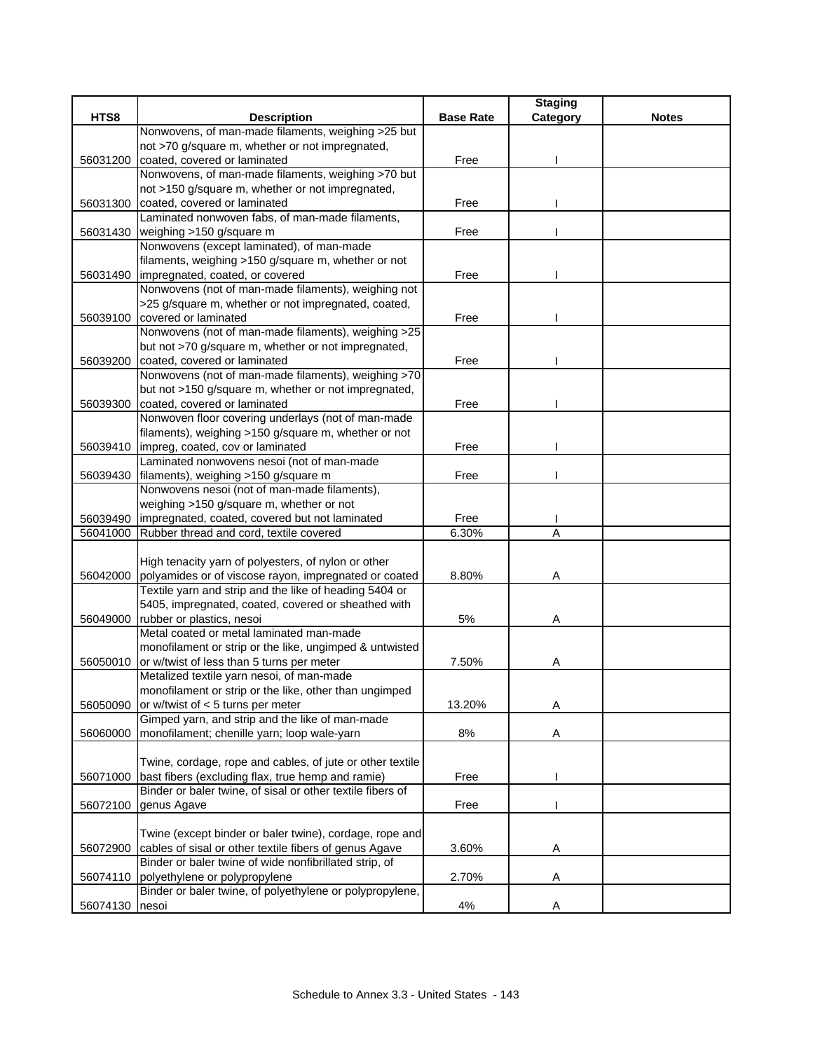|                |                                                                |                  | <b>Staging</b> |              |
|----------------|----------------------------------------------------------------|------------------|----------------|--------------|
| HTS8           | <b>Description</b>                                             | <b>Base Rate</b> | Category       | <b>Notes</b> |
|                | Nonwovens, of man-made filaments, weighing >25 but             |                  |                |              |
|                | not >70 g/square m, whether or not impregnated,                |                  |                |              |
| 56031200       | coated, covered or laminated                                   | Free             |                |              |
|                | Nonwovens, of man-made filaments, weighing >70 but             |                  |                |              |
|                | not >150 g/square m, whether or not impregnated,               |                  |                |              |
| 56031300       | coated, covered or laminated                                   | Free             |                |              |
|                | Laminated nonwoven fabs, of man-made filaments,                |                  |                |              |
| 56031430       | weighing >150 g/square m                                       | Free             |                |              |
|                | Nonwovens (except laminated), of man-made                      |                  |                |              |
|                | filaments, weighing >150 g/square m, whether or not            |                  |                |              |
| 56031490       | impregnated, coated, or covered                                | Free             |                |              |
|                | Nonwovens (not of man-made filaments), weighing not            |                  |                |              |
|                | >25 g/square m, whether or not impregnated, coated,            |                  |                |              |
| 56039100       | covered or laminated                                           | Free             |                |              |
|                | Nonwovens (not of man-made filaments), weighing >25            |                  |                |              |
|                | but not >70 g/square m, whether or not impregnated,            |                  |                |              |
|                | 56039200 coated, covered or laminated                          | Free             |                |              |
|                | Nonwovens (not of man-made filaments), weighing >70            |                  |                |              |
|                | but not >150 g/square m, whether or not impregnated,           |                  |                |              |
| 56039300       | coated, covered or laminated                                   | Free             |                |              |
|                | Nonwoven floor covering underlays (not of man-made             |                  |                |              |
|                | filaments), weighing >150 g/square m, whether or not           |                  |                |              |
| 56039410       | impreg, coated, cov or laminated                               | Free             |                |              |
|                | Laminated nonwovens nesoi (not of man-made                     |                  |                |              |
|                | 56039430 filaments), weighing >150 g/square m                  | Free             |                |              |
|                | Nonwovens nesoi (not of man-made filaments),                   |                  |                |              |
|                | weighing >150 g/square m, whether or not                       |                  |                |              |
| 56039490       | impregnated, coated, covered but not laminated                 | Free             |                |              |
| 56041000       | Rubber thread and cord, textile covered                        | 6.30%            | A              |              |
|                |                                                                |                  |                |              |
|                | High tenacity yarn of polyesters, of nylon or other            |                  |                |              |
|                | 56042000 polyamides or of viscose rayon, impregnated or coated | 8.80%            | Α              |              |
|                | Textile yarn and strip and the like of heading 5404 or         |                  |                |              |
|                | 5405, impregnated, coated, covered or sheathed with            |                  |                |              |
|                | 56049000 rubber or plastics, nesoi                             | 5%               | Α              |              |
|                | Metal coated or metal laminated man-made                       |                  |                |              |
|                | monofilament or strip or the like, ungimped & untwisted        |                  |                |              |
| 56050010       | or w/twist of less than 5 turns per meter                      | 7.50%            | A              |              |
|                | Metalized textile yarn nesoi, of man-made                      |                  |                |              |
|                | monofilament or strip or the like, other than ungimped         |                  |                |              |
| 56050090       | or w/twist of < 5 turns per meter                              | 13.20%           | Α              |              |
|                | Gimped yarn, and strip and the like of man-made                |                  |                |              |
| 56060000       | monofilament; chenille yarn; loop wale-yarn                    | 8%               | Α              |              |
|                |                                                                |                  |                |              |
|                | Twine, cordage, rope and cables, of jute or other textile      |                  |                |              |
| 56071000       | bast fibers (excluding flax, true hemp and ramie)              | Free             |                |              |
|                | Binder or baler twine, of sisal or other textile fibers of     |                  |                |              |
| 56072100       | genus Agave                                                    | Free             |                |              |
|                |                                                                |                  |                |              |
|                | Twine (except binder or baler twine), cordage, rope and        |                  |                |              |
| 56072900       | cables of sisal or other textile fibers of genus Agave         | 3.60%            | Α              |              |
|                | Binder or baler twine of wide nonfibrillated strip, of         |                  |                |              |
| 56074110       | polyethylene or polypropylene                                  | 2.70%            | Α              |              |
|                | Binder or baler twine, of polyethylene or polypropylene,       |                  |                |              |
| 56074130 nesoi |                                                                | 4%               | A              |              |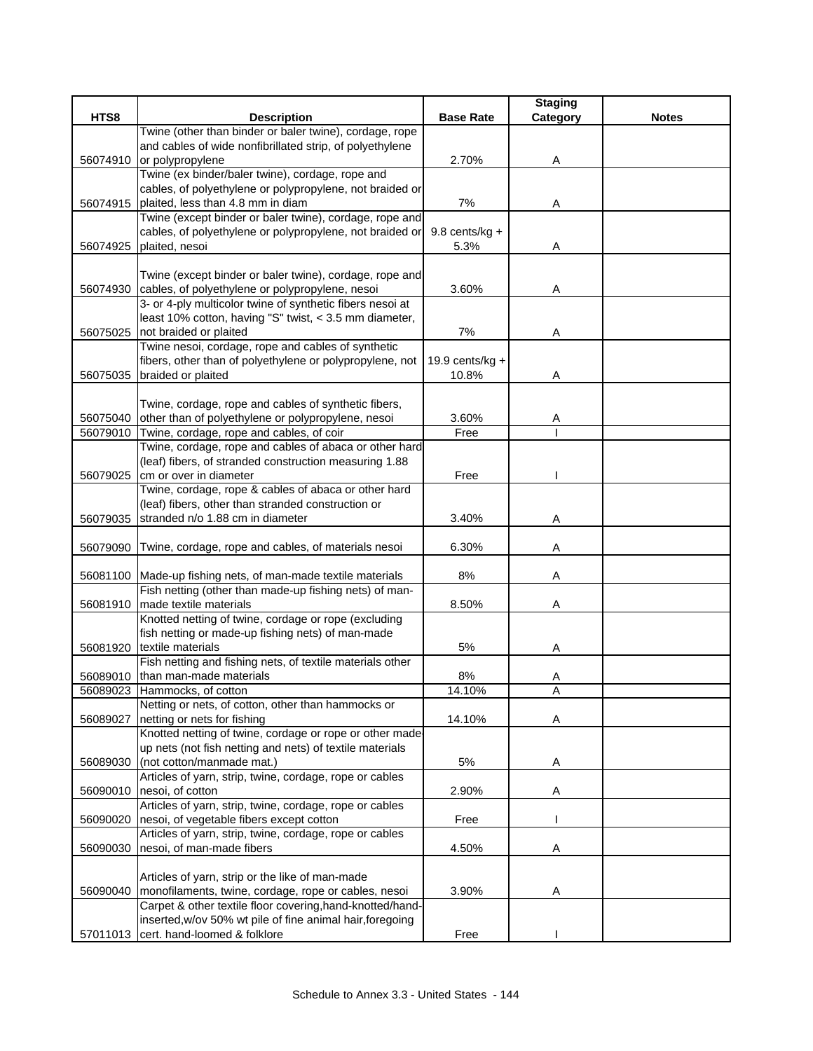|          |                                                                                                                   |                    | <b>Staging</b> |              |
|----------|-------------------------------------------------------------------------------------------------------------------|--------------------|----------------|--------------|
| HTS8     | <b>Description</b>                                                                                                | <b>Base Rate</b>   | Category       | <b>Notes</b> |
|          | Twine (other than binder or baler twine), cordage, rope                                                           |                    |                |              |
|          | and cables of wide nonfibrillated strip, of polyethylene                                                          |                    |                |              |
| 56074910 | or polypropylene                                                                                                  | 2.70%              | Α              |              |
|          | Twine (ex binder/baler twine), cordage, rope and                                                                  |                    |                |              |
|          | cables, of polyethylene or polypropylene, not braided or                                                          |                    |                |              |
| 56074915 | plaited, less than 4.8 mm in diam                                                                                 | 7%                 | Α              |              |
|          | Twine (except binder or baler twine), cordage, rope and                                                           |                    |                |              |
|          | cables, of polyethylene or polypropylene, not braided or                                                          | 9.8 cents/kg $+$   |                |              |
| 56074925 | plaited, nesoi                                                                                                    | 5.3%               | Α              |              |
|          |                                                                                                                   |                    |                |              |
|          | Twine (except binder or baler twine), cordage, rope and                                                           |                    |                |              |
|          | 56074930 cables, of polyethylene or polypropylene, nesoi                                                          | 3.60%              | Α              |              |
|          | 3- or 4-ply multicolor twine of synthetic fibers nesoi at                                                         |                    |                |              |
|          | least 10% cotton, having "S" twist, < 3.5 mm diameter,                                                            |                    |                |              |
| 56075025 | not braided or plaited                                                                                            | 7%                 | Α              |              |
|          | Twine nesoi, cordage, rope and cables of synthetic                                                                |                    |                |              |
|          | fibers, other than of polyethylene or polypropylene, not                                                          | 19.9 cents/ $kg +$ |                |              |
| 56075035 | braided or plaited                                                                                                | 10.8%              | Α              |              |
|          |                                                                                                                   |                    |                |              |
|          | Twine, cordage, rope and cables of synthetic fibers,                                                              |                    |                |              |
| 56075040 | other than of polyethylene or polypropylene, nesoi<br>Twine, cordage, rope and cables, of coir                    | 3.60%<br>Free      | Α              |              |
| 56079010 | Twine, cordage, rope and cables of abaca or other hard                                                            |                    |                |              |
|          | (leaf) fibers, of stranded construction measuring 1.88                                                            |                    |                |              |
| 56079025 | cm or over in diameter                                                                                            | Free               |                |              |
|          | Twine, cordage, rope & cables of abaca or other hard                                                              |                    |                |              |
|          | (leaf) fibers, other than stranded construction or                                                                |                    |                |              |
| 56079035 | stranded n/o 1.88 cm in diameter                                                                                  | 3.40%              | Α              |              |
|          |                                                                                                                   |                    |                |              |
| 56079090 | Twine, cordage, rope and cables, of materials nesoi                                                               | 6.30%              | Α              |              |
|          |                                                                                                                   |                    |                |              |
|          | 56081100 Made-up fishing nets, of man-made textile materials                                                      | 8%                 | Α              |              |
|          | Fish netting (other than made-up fishing nets) of man-                                                            |                    |                |              |
|          | 56081910 made textile materials                                                                                   | 8.50%              | Α              |              |
|          | Knotted netting of twine, cordage or rope (excluding                                                              |                    |                |              |
|          | fish netting or made-up fishing nets) of man-made                                                                 |                    |                |              |
|          | 56081920 textile materials                                                                                        | 5%                 | Α              |              |
|          | Fish netting and fishing nets, of textile materials other                                                         |                    |                |              |
|          | 56089010 than man-made materials                                                                                  | 8%                 | Α              |              |
|          | 56089023 Hammocks, of cotton                                                                                      | 14.10%             | Α              |              |
|          | Netting or nets, of cotton, other than hammocks or                                                                |                    |                |              |
| 56089027 | netting or nets for fishing                                                                                       | 14.10%             | A              |              |
|          | Knotted netting of twine, cordage or rope or other made                                                           |                    |                |              |
|          | up nets (not fish netting and nets) of textile materials                                                          |                    |                |              |
| 56089030 | (not cotton/manmade mat.)                                                                                         | 5%                 | Α              |              |
|          | Articles of yarn, strip, twine, cordage, rope or cables                                                           |                    |                |              |
| 56090010 | nesoi, of cotton                                                                                                  | 2.90%              | Α              |              |
|          | Articles of yarn, strip, twine, cordage, rope or cables                                                           |                    |                |              |
| 56090020 | nesoi, of vegetable fibers except cotton                                                                          | Free               |                |              |
|          | Articles of yarn, strip, twine, cordage, rope or cables                                                           |                    |                |              |
| 56090030 | nesoi, of man-made fibers                                                                                         | 4.50%              | Α              |              |
|          |                                                                                                                   |                    |                |              |
|          | Articles of yarn, strip or the like of man-made                                                                   |                    |                |              |
| 56090040 | monofilaments, twine, cordage, rope or cables, nesoi<br>Carpet & other textile floor covering, hand-knotted/hand- | 3.90%              | Α              |              |
|          | inserted, w/ov 50% wt pile of fine animal hair, foregoing                                                         |                    |                |              |
|          | 57011013 cert. hand-loomed & folklore                                                                             | Free               |                |              |
|          |                                                                                                                   |                    |                |              |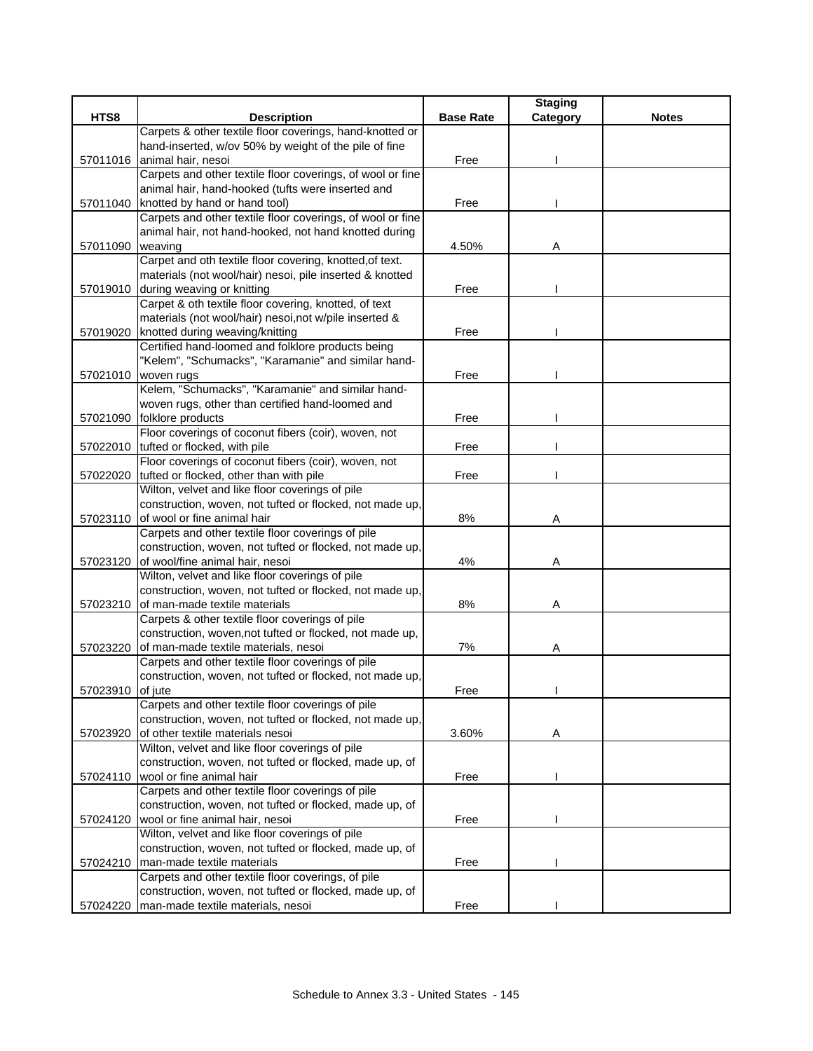|          |                                                                               |                  | <b>Staging</b> |              |
|----------|-------------------------------------------------------------------------------|------------------|----------------|--------------|
| HTS8     | <b>Description</b>                                                            | <b>Base Rate</b> | Category       | <b>Notes</b> |
|          | Carpets & other textile floor coverings, hand-knotted or                      |                  |                |              |
|          | hand-inserted, w/ov 50% by weight of the pile of fine                         |                  |                |              |
| 57011016 | animal hair, nesoi                                                            | Free             |                |              |
|          | Carpets and other textile floor coverings, of wool or fine                    |                  |                |              |
|          | animal hair, hand-hooked (tufts were inserted and                             |                  |                |              |
| 57011040 | knotted by hand or hand tool)                                                 | Free             |                |              |
|          | Carpets and other textile floor coverings, of wool or fine                    |                  |                |              |
|          | animal hair, not hand-hooked, not hand knotted during                         |                  |                |              |
| 57011090 | weaving                                                                       | 4.50%            | Α              |              |
|          | Carpet and oth textile floor covering, knotted, of text.                      |                  |                |              |
|          | materials (not wool/hair) nesoi, pile inserted & knotted                      |                  |                |              |
|          | 57019010 during weaving or knitting                                           | Free             |                |              |
|          | Carpet & oth textile floor covering, knotted, of text                         |                  |                |              |
|          | materials (not wool/hair) nesoi, not w/pile inserted &                        |                  |                |              |
| 57019020 | knotted during weaving/knitting                                               | Free             |                |              |
|          | Certified hand-loomed and folklore products being                             |                  |                |              |
|          | "Kelem", "Schumacks", "Karamanie" and similar hand-                           |                  |                |              |
| 57021010 | woven rugs                                                                    | Free             |                |              |
|          | Kelem, "Schumacks", "Karamanie" and similar hand-                             |                  |                |              |
|          | woven rugs, other than certified hand-loomed and                              |                  |                |              |
| 57021090 | folklore products                                                             | Free             |                |              |
|          | Floor coverings of coconut fibers (coir), woven, not                          |                  |                |              |
| 57022010 | tufted or flocked, with pile                                                  | Free             |                |              |
|          | Floor coverings of coconut fibers (coir), woven, not                          |                  |                |              |
| 57022020 | tufted or flocked, other than with pile                                       | Free             |                |              |
|          | Wilton, velvet and like floor coverings of pile                               |                  |                |              |
|          | construction, woven, not tufted or flocked, not made up,                      |                  |                |              |
| 57023110 | of wool or fine animal hair                                                   | 8%               | Α              |              |
|          | Carpets and other textile floor coverings of pile                             |                  |                |              |
|          | construction, woven, not tufted or flocked, not made up,                      |                  |                |              |
| 57023120 | of wool/fine animal hair, nesoi                                               | 4%               | Α              |              |
|          | Wilton, velvet and like floor coverings of pile                               |                  |                |              |
|          | construction, woven, not tufted or flocked, not made up,                      |                  |                |              |
| 57023210 | of man-made textile materials                                                 | 8%               | Α              |              |
|          | Carpets & other textile floor coverings of pile                               |                  |                |              |
|          | construction, woven, not tufted or flocked, not made up,                      |                  |                |              |
| 57023220 | of man-made textile materials, nesoi                                          | 7%               | Α              |              |
|          | Carpets and other textile floor coverings of pile                             |                  |                |              |
|          | construction, woven, not tufted or flocked, not made up,                      |                  |                |              |
| 57023910 | of jute<br>Carpets and other textile floor coverings of pile                  | Free             |                |              |
|          | construction, woven, not tufted or flocked, not made up,                      |                  |                |              |
|          | of other textile materials nesoi                                              | 3.60%            |                |              |
| 57023920 | Wilton, velvet and like floor coverings of pile                               |                  | Α              |              |
|          | construction, woven, not tufted or flocked, made up, of                       |                  |                |              |
|          |                                                                               |                  |                |              |
| 57024110 | wool or fine animal hair<br>Carpets and other textile floor coverings of pile | Free             |                |              |
|          | construction, woven, not tufted or flocked, made up, of                       |                  |                |              |
| 57024120 | wool or fine animal hair, nesoi                                               | Free             |                |              |
|          | Wilton, velvet and like floor coverings of pile                               |                  |                |              |
|          | construction, woven, not tufted or flocked, made up, of                       |                  |                |              |
| 57024210 | man-made textile materials                                                    | Free             |                |              |
|          | Carpets and other textile floor coverings, of pile                            |                  |                |              |
|          | construction, woven, not tufted or flocked, made up, of                       |                  |                |              |
|          | man-made textile materials, nesoi                                             | Free             |                |              |
| 57024220 |                                                                               |                  |                |              |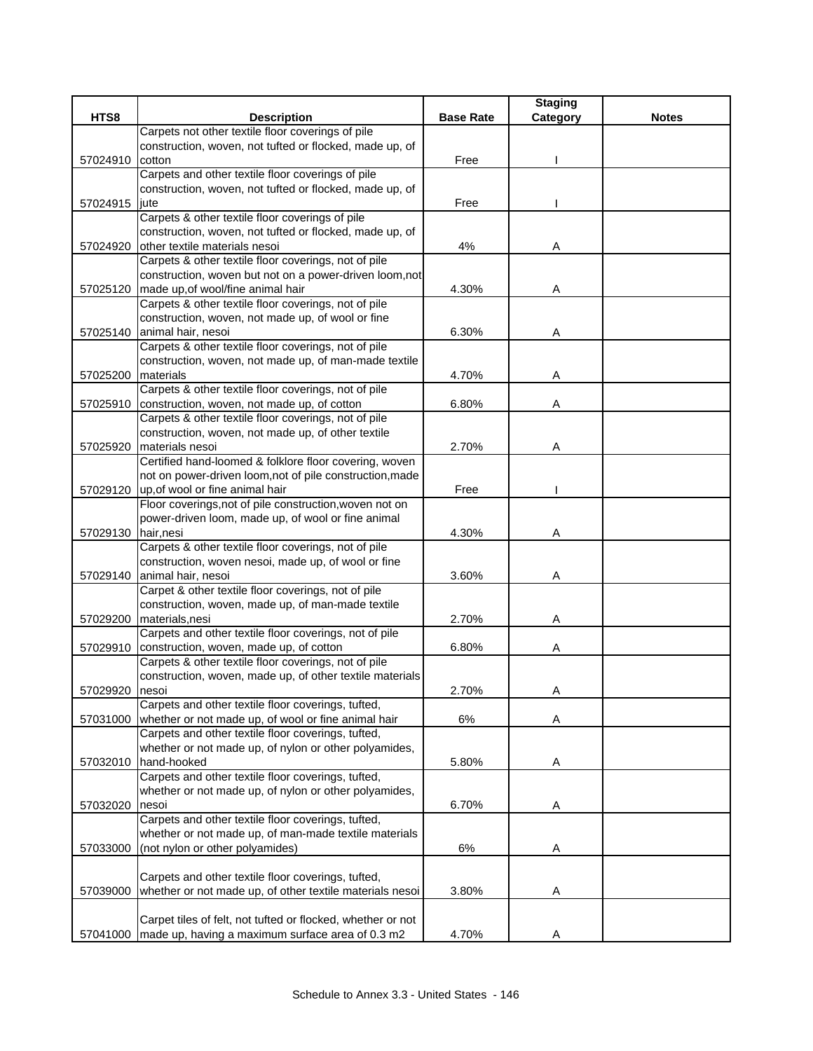|                     |                                                                                    |                  | <b>Staging</b> |              |
|---------------------|------------------------------------------------------------------------------------|------------------|----------------|--------------|
| HTS8                | <b>Description</b>                                                                 | <b>Base Rate</b> | Category       | <b>Notes</b> |
|                     | Carpets not other textile floor coverings of pile                                  |                  |                |              |
|                     | construction, woven, not tufted or flocked, made up, of                            |                  |                |              |
| 57024910            | cotton                                                                             | Free             |                |              |
|                     | Carpets and other textile floor coverings of pile                                  |                  |                |              |
|                     | construction, woven, not tufted or flocked, made up, of                            |                  |                |              |
| 57024915            | jute                                                                               | Free             |                |              |
|                     | Carpets & other textile floor coverings of pile                                    |                  |                |              |
|                     | construction, woven, not tufted or flocked, made up, of                            |                  |                |              |
|                     | 57024920 other textile materials nesoi                                             | 4%               | Α              |              |
|                     | Carpets & other textile floor coverings, not of pile                               |                  |                |              |
|                     | construction, woven but not on a power-driven loom,not                             |                  |                |              |
|                     | 57025120 made up, of wool/fine animal hair                                         | 4.30%            | Α              |              |
|                     | Carpets & other textile floor coverings, not of pile                               |                  |                |              |
|                     | construction, woven, not made up, of wool or fine                                  |                  |                |              |
| 57025140            | animal hair, nesoi                                                                 | 6.30%            | Α              |              |
|                     | Carpets & other textile floor coverings, not of pile                               |                  |                |              |
|                     | construction, woven, not made up, of man-made textile                              |                  |                |              |
| 57025200            | materials                                                                          | 4.70%            | Α              |              |
|                     | Carpets & other textile floor coverings, not of pile                               |                  |                |              |
| 57025910            | construction, woven, not made up, of cotton                                        | 6.80%            | Α              |              |
|                     | Carpets & other textile floor coverings, not of pile                               |                  |                |              |
|                     | construction, woven, not made up, of other textile                                 |                  |                |              |
| 57025920            | materials nesoi                                                                    | 2.70%            | Α              |              |
|                     | Certified hand-loomed & folklore floor covering, woven                             |                  |                |              |
|                     | not on power-driven loom, not of pile construction, made                           |                  |                |              |
|                     | 57029120 up, of wool or fine animal hair                                           | Free             |                |              |
|                     | Floor coverings, not of pile construction, woven not on                            |                  |                |              |
|                     | power-driven loom, made up, of wool or fine animal                                 |                  |                |              |
| 57029130 hair, nesi |                                                                                    | 4.30%            | Α              |              |
|                     | Carpets & other textile floor coverings, not of pile                               |                  |                |              |
|                     | construction, woven nesoi, made up, of wool or fine                                | 3.60%            |                |              |
|                     | 57029140 animal hair, nesoi<br>Carpet & other textile floor coverings, not of pile |                  | Α              |              |
|                     | construction, woven, made up, of man-made textile                                  |                  |                |              |
| 57029200            | materials, nesi                                                                    | 2.70%            | A              |              |
|                     | Carpets and other textile floor coverings, not of pile                             |                  |                |              |
| 57029910            | construction, woven, made up, of cotton                                            | 6.80%            | Α              |              |
|                     | Carpets & other textile floor coverings, not of pile                               |                  |                |              |
|                     | construction, woven, made up, of other textile materials                           |                  |                |              |
| 57029920 nesoi      |                                                                                    | 2.70%            | Α              |              |
|                     | Carpets and other textile floor coverings, tufted,                                 |                  |                |              |
| 57031000            | whether or not made up, of wool or fine animal hair                                | 6%               | A              |              |
|                     | Carpets and other textile floor coverings, tufted,                                 |                  |                |              |
|                     | whether or not made up, of nylon or other polyamides,                              |                  |                |              |
| 57032010            | hand-hooked                                                                        | 5.80%            | Α              |              |
|                     | Carpets and other textile floor coverings, tufted,                                 |                  |                |              |
|                     | whether or not made up, of nylon or other polyamides,                              |                  |                |              |
| 57032020            | nesoi                                                                              | 6.70%            | A              |              |
|                     | Carpets and other textile floor coverings, tufted,                                 |                  |                |              |
|                     | whether or not made up, of man-made textile materials                              |                  |                |              |
| 57033000            | (not nylon or other polyamides)                                                    | 6%               | A              |              |
|                     |                                                                                    |                  |                |              |
|                     | Carpets and other textile floor coverings, tufted,                                 |                  |                |              |
| 57039000            | whether or not made up, of other textile materials nesoi                           | 3.80%            | Α              |              |
|                     |                                                                                    |                  |                |              |
|                     | Carpet tiles of felt, not tufted or flocked, whether or not                        |                  |                |              |
| 57041000            | made up, having a maximum surface area of 0.3 m2                                   | 4.70%            | Α              |              |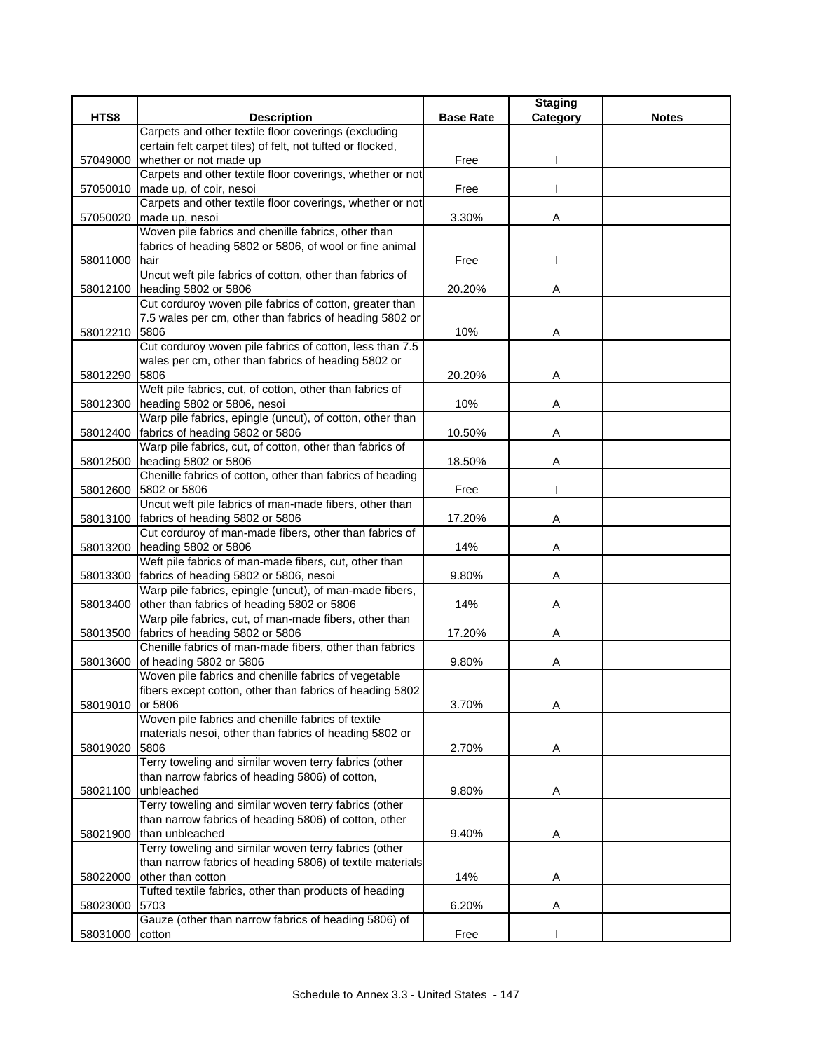| Carpets and other textile floor coverings (excluding<br>certain felt carpet tiles) of felt, not tufted or flocked,<br>whether or not made up<br>Free<br>57049000<br>Carpets and other textile floor coverings, whether or not<br>57050010<br>made up, of coir, nesoi<br>Free<br>Carpets and other textile floor coverings, whether or not<br>made up, nesoi<br>3.30%<br>57050020<br>A<br>Woven pile fabrics and chenille fabrics, other than<br>fabrics of heading 5802 or 5806, of wool or fine animal<br>58011000<br>hair<br>Free<br>Uncut weft pile fabrics of cotton, other than fabrics of<br>heading 5802 or 5806<br>20.20%<br>58012100<br>Α<br>Cut corduroy woven pile fabrics of cotton, greater than<br>7.5 wales per cm, other than fabrics of heading 5802 or<br>10%<br>58012210<br>5806<br>Α<br>Cut corduroy woven pile fabrics of cotton, less than 7.5<br>wales per cm, other than fabrics of heading 5802 or<br>5806<br>20.20%<br>58012290<br>Α<br>Weft pile fabrics, cut, of cotton, other than fabrics of<br>heading 5802 or 5806, nesoi<br>10%<br>58012300<br>Α<br>Warp pile fabrics, epingle (uncut), of cotton, other than<br>fabrics of heading 5802 or 5806<br>10.50%<br>58012400<br>Α<br>Warp pile fabrics, cut, of cotton, other than fabrics of<br>heading 5802 or 5806<br>18.50%<br>58012500<br>Α<br>Chenille fabrics of cotton, other than fabrics of heading<br>5802 or 5806<br>58012600<br>Free<br>Uncut weft pile fabrics of man-made fibers, other than<br>fabrics of heading 5802 or 5806<br>17.20%<br>58013100<br>Α<br>Cut corduroy of man-made fibers, other than fabrics of<br>heading 5802 or 5806<br>58013200<br>14%<br>A<br>Weft pile fabrics of man-made fibers, cut, other than<br>fabrics of heading 5802 or 5806, nesoi<br>9.80%<br>58013300<br>Α<br>Warp pile fabrics, epingle (uncut), of man-made fibers,<br>other than fabrics of heading 5802 or 5806<br>14%<br>58013400<br>Α<br>Warp pile fabrics, cut, of man-made fibers, other than<br>fabrics of heading 5802 or 5806<br>58013500<br>17.20%<br>Α<br>Chenille fabrics of man-made fibers, other than fabrics<br>of heading 5802 or 5806<br>9.80%<br>58013600<br>Α<br>Woven pile fabrics and chenille fabrics of vegetable<br>fibers except cotton, other than fabrics of heading 5802<br>3.70%<br>58019010<br>or 5806<br>Α<br>Woven pile fabrics and chenille fabrics of textile<br>materials nesoi, other than fabrics of heading 5802 or<br>5806<br>58019020<br>2.70%<br>Α<br>Terry toweling and similar woven terry fabrics (other<br>than narrow fabrics of heading 5806) of cotton,<br>unbleached<br>9.80%<br>58021100<br>A<br>Terry toweling and similar woven terry fabrics (other<br>than narrow fabrics of heading 5806) of cotton, other<br>than unbleached<br>58021900<br>9.40%<br>A<br>Terry toweling and similar woven terry fabrics (other<br>than narrow fabrics of heading 5806) of textile materials<br>other than cotton<br>14%<br>58022000<br>Α<br>Tufted textile fabrics, other than products of heading<br>5703<br>58023000<br>6.20%<br>Α<br>Gauze (other than narrow fabrics of heading 5806) of |          |                    |                  | <b>Staging</b> |              |
|---------------------------------------------------------------------------------------------------------------------------------------------------------------------------------------------------------------------------------------------------------------------------------------------------------------------------------------------------------------------------------------------------------------------------------------------------------------------------------------------------------------------------------------------------------------------------------------------------------------------------------------------------------------------------------------------------------------------------------------------------------------------------------------------------------------------------------------------------------------------------------------------------------------------------------------------------------------------------------------------------------------------------------------------------------------------------------------------------------------------------------------------------------------------------------------------------------------------------------------------------------------------------------------------------------------------------------------------------------------------------------------------------------------------------------------------------------------------------------------------------------------------------------------------------------------------------------------------------------------------------------------------------------------------------------------------------------------------------------------------------------------------------------------------------------------------------------------------------------------------------------------------------------------------------------------------------------------------------------------------------------------------------------------------------------------------------------------------------------------------------------------------------------------------------------------------------------------------------------------------------------------------------------------------------------------------------------------------------------------------------------------------------------------------------------------------------------------------------------------------------------------------------------------------------------------------------------------------------------------------------------------------------------------------------------------------------------------------------------------------------------------------------------------------------------------------------------------------------------------------------------------------------------------------------------------------------------------------------------------------------------------------------------------------------------------------------------------------------------------------------|----------|--------------------|------------------|----------------|--------------|
|                                                                                                                                                                                                                                                                                                                                                                                                                                                                                                                                                                                                                                                                                                                                                                                                                                                                                                                                                                                                                                                                                                                                                                                                                                                                                                                                                                                                                                                                                                                                                                                                                                                                                                                                                                                                                                                                                                                                                                                                                                                                                                                                                                                                                                                                                                                                                                                                                                                                                                                                                                                                                                                                                                                                                                                                                                                                                                                                                                                                                                                                                                                           | HTS8     | <b>Description</b> | <b>Base Rate</b> | Category       | <b>Notes</b> |
|                                                                                                                                                                                                                                                                                                                                                                                                                                                                                                                                                                                                                                                                                                                                                                                                                                                                                                                                                                                                                                                                                                                                                                                                                                                                                                                                                                                                                                                                                                                                                                                                                                                                                                                                                                                                                                                                                                                                                                                                                                                                                                                                                                                                                                                                                                                                                                                                                                                                                                                                                                                                                                                                                                                                                                                                                                                                                                                                                                                                                                                                                                                           |          |                    |                  |                |              |
|                                                                                                                                                                                                                                                                                                                                                                                                                                                                                                                                                                                                                                                                                                                                                                                                                                                                                                                                                                                                                                                                                                                                                                                                                                                                                                                                                                                                                                                                                                                                                                                                                                                                                                                                                                                                                                                                                                                                                                                                                                                                                                                                                                                                                                                                                                                                                                                                                                                                                                                                                                                                                                                                                                                                                                                                                                                                                                                                                                                                                                                                                                                           |          |                    |                  |                |              |
|                                                                                                                                                                                                                                                                                                                                                                                                                                                                                                                                                                                                                                                                                                                                                                                                                                                                                                                                                                                                                                                                                                                                                                                                                                                                                                                                                                                                                                                                                                                                                                                                                                                                                                                                                                                                                                                                                                                                                                                                                                                                                                                                                                                                                                                                                                                                                                                                                                                                                                                                                                                                                                                                                                                                                                                                                                                                                                                                                                                                                                                                                                                           |          |                    |                  |                |              |
|                                                                                                                                                                                                                                                                                                                                                                                                                                                                                                                                                                                                                                                                                                                                                                                                                                                                                                                                                                                                                                                                                                                                                                                                                                                                                                                                                                                                                                                                                                                                                                                                                                                                                                                                                                                                                                                                                                                                                                                                                                                                                                                                                                                                                                                                                                                                                                                                                                                                                                                                                                                                                                                                                                                                                                                                                                                                                                                                                                                                                                                                                                                           |          |                    |                  |                |              |
|                                                                                                                                                                                                                                                                                                                                                                                                                                                                                                                                                                                                                                                                                                                                                                                                                                                                                                                                                                                                                                                                                                                                                                                                                                                                                                                                                                                                                                                                                                                                                                                                                                                                                                                                                                                                                                                                                                                                                                                                                                                                                                                                                                                                                                                                                                                                                                                                                                                                                                                                                                                                                                                                                                                                                                                                                                                                                                                                                                                                                                                                                                                           |          |                    |                  |                |              |
|                                                                                                                                                                                                                                                                                                                                                                                                                                                                                                                                                                                                                                                                                                                                                                                                                                                                                                                                                                                                                                                                                                                                                                                                                                                                                                                                                                                                                                                                                                                                                                                                                                                                                                                                                                                                                                                                                                                                                                                                                                                                                                                                                                                                                                                                                                                                                                                                                                                                                                                                                                                                                                                                                                                                                                                                                                                                                                                                                                                                                                                                                                                           |          |                    |                  |                |              |
|                                                                                                                                                                                                                                                                                                                                                                                                                                                                                                                                                                                                                                                                                                                                                                                                                                                                                                                                                                                                                                                                                                                                                                                                                                                                                                                                                                                                                                                                                                                                                                                                                                                                                                                                                                                                                                                                                                                                                                                                                                                                                                                                                                                                                                                                                                                                                                                                                                                                                                                                                                                                                                                                                                                                                                                                                                                                                                                                                                                                                                                                                                                           |          |                    |                  |                |              |
|                                                                                                                                                                                                                                                                                                                                                                                                                                                                                                                                                                                                                                                                                                                                                                                                                                                                                                                                                                                                                                                                                                                                                                                                                                                                                                                                                                                                                                                                                                                                                                                                                                                                                                                                                                                                                                                                                                                                                                                                                                                                                                                                                                                                                                                                                                                                                                                                                                                                                                                                                                                                                                                                                                                                                                                                                                                                                                                                                                                                                                                                                                                           |          |                    |                  |                |              |
|                                                                                                                                                                                                                                                                                                                                                                                                                                                                                                                                                                                                                                                                                                                                                                                                                                                                                                                                                                                                                                                                                                                                                                                                                                                                                                                                                                                                                                                                                                                                                                                                                                                                                                                                                                                                                                                                                                                                                                                                                                                                                                                                                                                                                                                                                                                                                                                                                                                                                                                                                                                                                                                                                                                                                                                                                                                                                                                                                                                                                                                                                                                           |          |                    |                  |                |              |
|                                                                                                                                                                                                                                                                                                                                                                                                                                                                                                                                                                                                                                                                                                                                                                                                                                                                                                                                                                                                                                                                                                                                                                                                                                                                                                                                                                                                                                                                                                                                                                                                                                                                                                                                                                                                                                                                                                                                                                                                                                                                                                                                                                                                                                                                                                                                                                                                                                                                                                                                                                                                                                                                                                                                                                                                                                                                                                                                                                                                                                                                                                                           |          |                    |                  |                |              |
|                                                                                                                                                                                                                                                                                                                                                                                                                                                                                                                                                                                                                                                                                                                                                                                                                                                                                                                                                                                                                                                                                                                                                                                                                                                                                                                                                                                                                                                                                                                                                                                                                                                                                                                                                                                                                                                                                                                                                                                                                                                                                                                                                                                                                                                                                                                                                                                                                                                                                                                                                                                                                                                                                                                                                                                                                                                                                                                                                                                                                                                                                                                           |          |                    |                  |                |              |
|                                                                                                                                                                                                                                                                                                                                                                                                                                                                                                                                                                                                                                                                                                                                                                                                                                                                                                                                                                                                                                                                                                                                                                                                                                                                                                                                                                                                                                                                                                                                                                                                                                                                                                                                                                                                                                                                                                                                                                                                                                                                                                                                                                                                                                                                                                                                                                                                                                                                                                                                                                                                                                                                                                                                                                                                                                                                                                                                                                                                                                                                                                                           |          |                    |                  |                |              |
|                                                                                                                                                                                                                                                                                                                                                                                                                                                                                                                                                                                                                                                                                                                                                                                                                                                                                                                                                                                                                                                                                                                                                                                                                                                                                                                                                                                                                                                                                                                                                                                                                                                                                                                                                                                                                                                                                                                                                                                                                                                                                                                                                                                                                                                                                                                                                                                                                                                                                                                                                                                                                                                                                                                                                                                                                                                                                                                                                                                                                                                                                                                           |          |                    |                  |                |              |
|                                                                                                                                                                                                                                                                                                                                                                                                                                                                                                                                                                                                                                                                                                                                                                                                                                                                                                                                                                                                                                                                                                                                                                                                                                                                                                                                                                                                                                                                                                                                                                                                                                                                                                                                                                                                                                                                                                                                                                                                                                                                                                                                                                                                                                                                                                                                                                                                                                                                                                                                                                                                                                                                                                                                                                                                                                                                                                                                                                                                                                                                                                                           |          |                    |                  |                |              |
|                                                                                                                                                                                                                                                                                                                                                                                                                                                                                                                                                                                                                                                                                                                                                                                                                                                                                                                                                                                                                                                                                                                                                                                                                                                                                                                                                                                                                                                                                                                                                                                                                                                                                                                                                                                                                                                                                                                                                                                                                                                                                                                                                                                                                                                                                                                                                                                                                                                                                                                                                                                                                                                                                                                                                                                                                                                                                                                                                                                                                                                                                                                           |          |                    |                  |                |              |
|                                                                                                                                                                                                                                                                                                                                                                                                                                                                                                                                                                                                                                                                                                                                                                                                                                                                                                                                                                                                                                                                                                                                                                                                                                                                                                                                                                                                                                                                                                                                                                                                                                                                                                                                                                                                                                                                                                                                                                                                                                                                                                                                                                                                                                                                                                                                                                                                                                                                                                                                                                                                                                                                                                                                                                                                                                                                                                                                                                                                                                                                                                                           |          |                    |                  |                |              |
|                                                                                                                                                                                                                                                                                                                                                                                                                                                                                                                                                                                                                                                                                                                                                                                                                                                                                                                                                                                                                                                                                                                                                                                                                                                                                                                                                                                                                                                                                                                                                                                                                                                                                                                                                                                                                                                                                                                                                                                                                                                                                                                                                                                                                                                                                                                                                                                                                                                                                                                                                                                                                                                                                                                                                                                                                                                                                                                                                                                                                                                                                                                           |          |                    |                  |                |              |
|                                                                                                                                                                                                                                                                                                                                                                                                                                                                                                                                                                                                                                                                                                                                                                                                                                                                                                                                                                                                                                                                                                                                                                                                                                                                                                                                                                                                                                                                                                                                                                                                                                                                                                                                                                                                                                                                                                                                                                                                                                                                                                                                                                                                                                                                                                                                                                                                                                                                                                                                                                                                                                                                                                                                                                                                                                                                                                                                                                                                                                                                                                                           |          |                    |                  |                |              |
|                                                                                                                                                                                                                                                                                                                                                                                                                                                                                                                                                                                                                                                                                                                                                                                                                                                                                                                                                                                                                                                                                                                                                                                                                                                                                                                                                                                                                                                                                                                                                                                                                                                                                                                                                                                                                                                                                                                                                                                                                                                                                                                                                                                                                                                                                                                                                                                                                                                                                                                                                                                                                                                                                                                                                                                                                                                                                                                                                                                                                                                                                                                           |          |                    |                  |                |              |
|                                                                                                                                                                                                                                                                                                                                                                                                                                                                                                                                                                                                                                                                                                                                                                                                                                                                                                                                                                                                                                                                                                                                                                                                                                                                                                                                                                                                                                                                                                                                                                                                                                                                                                                                                                                                                                                                                                                                                                                                                                                                                                                                                                                                                                                                                                                                                                                                                                                                                                                                                                                                                                                                                                                                                                                                                                                                                                                                                                                                                                                                                                                           |          |                    |                  |                |              |
|                                                                                                                                                                                                                                                                                                                                                                                                                                                                                                                                                                                                                                                                                                                                                                                                                                                                                                                                                                                                                                                                                                                                                                                                                                                                                                                                                                                                                                                                                                                                                                                                                                                                                                                                                                                                                                                                                                                                                                                                                                                                                                                                                                                                                                                                                                                                                                                                                                                                                                                                                                                                                                                                                                                                                                                                                                                                                                                                                                                                                                                                                                                           |          |                    |                  |                |              |
|                                                                                                                                                                                                                                                                                                                                                                                                                                                                                                                                                                                                                                                                                                                                                                                                                                                                                                                                                                                                                                                                                                                                                                                                                                                                                                                                                                                                                                                                                                                                                                                                                                                                                                                                                                                                                                                                                                                                                                                                                                                                                                                                                                                                                                                                                                                                                                                                                                                                                                                                                                                                                                                                                                                                                                                                                                                                                                                                                                                                                                                                                                                           |          |                    |                  |                |              |
|                                                                                                                                                                                                                                                                                                                                                                                                                                                                                                                                                                                                                                                                                                                                                                                                                                                                                                                                                                                                                                                                                                                                                                                                                                                                                                                                                                                                                                                                                                                                                                                                                                                                                                                                                                                                                                                                                                                                                                                                                                                                                                                                                                                                                                                                                                                                                                                                                                                                                                                                                                                                                                                                                                                                                                                                                                                                                                                                                                                                                                                                                                                           |          |                    |                  |                |              |
|                                                                                                                                                                                                                                                                                                                                                                                                                                                                                                                                                                                                                                                                                                                                                                                                                                                                                                                                                                                                                                                                                                                                                                                                                                                                                                                                                                                                                                                                                                                                                                                                                                                                                                                                                                                                                                                                                                                                                                                                                                                                                                                                                                                                                                                                                                                                                                                                                                                                                                                                                                                                                                                                                                                                                                                                                                                                                                                                                                                                                                                                                                                           |          |                    |                  |                |              |
|                                                                                                                                                                                                                                                                                                                                                                                                                                                                                                                                                                                                                                                                                                                                                                                                                                                                                                                                                                                                                                                                                                                                                                                                                                                                                                                                                                                                                                                                                                                                                                                                                                                                                                                                                                                                                                                                                                                                                                                                                                                                                                                                                                                                                                                                                                                                                                                                                                                                                                                                                                                                                                                                                                                                                                                                                                                                                                                                                                                                                                                                                                                           |          |                    |                  |                |              |
|                                                                                                                                                                                                                                                                                                                                                                                                                                                                                                                                                                                                                                                                                                                                                                                                                                                                                                                                                                                                                                                                                                                                                                                                                                                                                                                                                                                                                                                                                                                                                                                                                                                                                                                                                                                                                                                                                                                                                                                                                                                                                                                                                                                                                                                                                                                                                                                                                                                                                                                                                                                                                                                                                                                                                                                                                                                                                                                                                                                                                                                                                                                           |          |                    |                  |                |              |
|                                                                                                                                                                                                                                                                                                                                                                                                                                                                                                                                                                                                                                                                                                                                                                                                                                                                                                                                                                                                                                                                                                                                                                                                                                                                                                                                                                                                                                                                                                                                                                                                                                                                                                                                                                                                                                                                                                                                                                                                                                                                                                                                                                                                                                                                                                                                                                                                                                                                                                                                                                                                                                                                                                                                                                                                                                                                                                                                                                                                                                                                                                                           |          |                    |                  |                |              |
|                                                                                                                                                                                                                                                                                                                                                                                                                                                                                                                                                                                                                                                                                                                                                                                                                                                                                                                                                                                                                                                                                                                                                                                                                                                                                                                                                                                                                                                                                                                                                                                                                                                                                                                                                                                                                                                                                                                                                                                                                                                                                                                                                                                                                                                                                                                                                                                                                                                                                                                                                                                                                                                                                                                                                                                                                                                                                                                                                                                                                                                                                                                           |          |                    |                  |                |              |
|                                                                                                                                                                                                                                                                                                                                                                                                                                                                                                                                                                                                                                                                                                                                                                                                                                                                                                                                                                                                                                                                                                                                                                                                                                                                                                                                                                                                                                                                                                                                                                                                                                                                                                                                                                                                                                                                                                                                                                                                                                                                                                                                                                                                                                                                                                                                                                                                                                                                                                                                                                                                                                                                                                                                                                                                                                                                                                                                                                                                                                                                                                                           |          |                    |                  |                |              |
|                                                                                                                                                                                                                                                                                                                                                                                                                                                                                                                                                                                                                                                                                                                                                                                                                                                                                                                                                                                                                                                                                                                                                                                                                                                                                                                                                                                                                                                                                                                                                                                                                                                                                                                                                                                                                                                                                                                                                                                                                                                                                                                                                                                                                                                                                                                                                                                                                                                                                                                                                                                                                                                                                                                                                                                                                                                                                                                                                                                                                                                                                                                           |          |                    |                  |                |              |
|                                                                                                                                                                                                                                                                                                                                                                                                                                                                                                                                                                                                                                                                                                                                                                                                                                                                                                                                                                                                                                                                                                                                                                                                                                                                                                                                                                                                                                                                                                                                                                                                                                                                                                                                                                                                                                                                                                                                                                                                                                                                                                                                                                                                                                                                                                                                                                                                                                                                                                                                                                                                                                                                                                                                                                                                                                                                                                                                                                                                                                                                                                                           |          |                    |                  |                |              |
|                                                                                                                                                                                                                                                                                                                                                                                                                                                                                                                                                                                                                                                                                                                                                                                                                                                                                                                                                                                                                                                                                                                                                                                                                                                                                                                                                                                                                                                                                                                                                                                                                                                                                                                                                                                                                                                                                                                                                                                                                                                                                                                                                                                                                                                                                                                                                                                                                                                                                                                                                                                                                                                                                                                                                                                                                                                                                                                                                                                                                                                                                                                           |          |                    |                  |                |              |
|                                                                                                                                                                                                                                                                                                                                                                                                                                                                                                                                                                                                                                                                                                                                                                                                                                                                                                                                                                                                                                                                                                                                                                                                                                                                                                                                                                                                                                                                                                                                                                                                                                                                                                                                                                                                                                                                                                                                                                                                                                                                                                                                                                                                                                                                                                                                                                                                                                                                                                                                                                                                                                                                                                                                                                                                                                                                                                                                                                                                                                                                                                                           |          |                    |                  |                |              |
|                                                                                                                                                                                                                                                                                                                                                                                                                                                                                                                                                                                                                                                                                                                                                                                                                                                                                                                                                                                                                                                                                                                                                                                                                                                                                                                                                                                                                                                                                                                                                                                                                                                                                                                                                                                                                                                                                                                                                                                                                                                                                                                                                                                                                                                                                                                                                                                                                                                                                                                                                                                                                                                                                                                                                                                                                                                                                                                                                                                                                                                                                                                           |          |                    |                  |                |              |
|                                                                                                                                                                                                                                                                                                                                                                                                                                                                                                                                                                                                                                                                                                                                                                                                                                                                                                                                                                                                                                                                                                                                                                                                                                                                                                                                                                                                                                                                                                                                                                                                                                                                                                                                                                                                                                                                                                                                                                                                                                                                                                                                                                                                                                                                                                                                                                                                                                                                                                                                                                                                                                                                                                                                                                                                                                                                                                                                                                                                                                                                                                                           |          |                    |                  |                |              |
|                                                                                                                                                                                                                                                                                                                                                                                                                                                                                                                                                                                                                                                                                                                                                                                                                                                                                                                                                                                                                                                                                                                                                                                                                                                                                                                                                                                                                                                                                                                                                                                                                                                                                                                                                                                                                                                                                                                                                                                                                                                                                                                                                                                                                                                                                                                                                                                                                                                                                                                                                                                                                                                                                                                                                                                                                                                                                                                                                                                                                                                                                                                           |          |                    |                  |                |              |
|                                                                                                                                                                                                                                                                                                                                                                                                                                                                                                                                                                                                                                                                                                                                                                                                                                                                                                                                                                                                                                                                                                                                                                                                                                                                                                                                                                                                                                                                                                                                                                                                                                                                                                                                                                                                                                                                                                                                                                                                                                                                                                                                                                                                                                                                                                                                                                                                                                                                                                                                                                                                                                                                                                                                                                                                                                                                                                                                                                                                                                                                                                                           |          |                    |                  |                |              |
|                                                                                                                                                                                                                                                                                                                                                                                                                                                                                                                                                                                                                                                                                                                                                                                                                                                                                                                                                                                                                                                                                                                                                                                                                                                                                                                                                                                                                                                                                                                                                                                                                                                                                                                                                                                                                                                                                                                                                                                                                                                                                                                                                                                                                                                                                                                                                                                                                                                                                                                                                                                                                                                                                                                                                                                                                                                                                                                                                                                                                                                                                                                           |          |                    |                  |                |              |
|                                                                                                                                                                                                                                                                                                                                                                                                                                                                                                                                                                                                                                                                                                                                                                                                                                                                                                                                                                                                                                                                                                                                                                                                                                                                                                                                                                                                                                                                                                                                                                                                                                                                                                                                                                                                                                                                                                                                                                                                                                                                                                                                                                                                                                                                                                                                                                                                                                                                                                                                                                                                                                                                                                                                                                                                                                                                                                                                                                                                                                                                                                                           |          |                    |                  |                |              |
|                                                                                                                                                                                                                                                                                                                                                                                                                                                                                                                                                                                                                                                                                                                                                                                                                                                                                                                                                                                                                                                                                                                                                                                                                                                                                                                                                                                                                                                                                                                                                                                                                                                                                                                                                                                                                                                                                                                                                                                                                                                                                                                                                                                                                                                                                                                                                                                                                                                                                                                                                                                                                                                                                                                                                                                                                                                                                                                                                                                                                                                                                                                           |          |                    |                  |                |              |
|                                                                                                                                                                                                                                                                                                                                                                                                                                                                                                                                                                                                                                                                                                                                                                                                                                                                                                                                                                                                                                                                                                                                                                                                                                                                                                                                                                                                                                                                                                                                                                                                                                                                                                                                                                                                                                                                                                                                                                                                                                                                                                                                                                                                                                                                                                                                                                                                                                                                                                                                                                                                                                                                                                                                                                                                                                                                                                                                                                                                                                                                                                                           |          |                    |                  |                |              |
|                                                                                                                                                                                                                                                                                                                                                                                                                                                                                                                                                                                                                                                                                                                                                                                                                                                                                                                                                                                                                                                                                                                                                                                                                                                                                                                                                                                                                                                                                                                                                                                                                                                                                                                                                                                                                                                                                                                                                                                                                                                                                                                                                                                                                                                                                                                                                                                                                                                                                                                                                                                                                                                                                                                                                                                                                                                                                                                                                                                                                                                                                                                           |          |                    |                  |                |              |
|                                                                                                                                                                                                                                                                                                                                                                                                                                                                                                                                                                                                                                                                                                                                                                                                                                                                                                                                                                                                                                                                                                                                                                                                                                                                                                                                                                                                                                                                                                                                                                                                                                                                                                                                                                                                                                                                                                                                                                                                                                                                                                                                                                                                                                                                                                                                                                                                                                                                                                                                                                                                                                                                                                                                                                                                                                                                                                                                                                                                                                                                                                                           |          |                    |                  |                |              |
|                                                                                                                                                                                                                                                                                                                                                                                                                                                                                                                                                                                                                                                                                                                                                                                                                                                                                                                                                                                                                                                                                                                                                                                                                                                                                                                                                                                                                                                                                                                                                                                                                                                                                                                                                                                                                                                                                                                                                                                                                                                                                                                                                                                                                                                                                                                                                                                                                                                                                                                                                                                                                                                                                                                                                                                                                                                                                                                                                                                                                                                                                                                           |          |                    |                  |                |              |
|                                                                                                                                                                                                                                                                                                                                                                                                                                                                                                                                                                                                                                                                                                                                                                                                                                                                                                                                                                                                                                                                                                                                                                                                                                                                                                                                                                                                                                                                                                                                                                                                                                                                                                                                                                                                                                                                                                                                                                                                                                                                                                                                                                                                                                                                                                                                                                                                                                                                                                                                                                                                                                                                                                                                                                                                                                                                                                                                                                                                                                                                                                                           |          |                    |                  |                |              |
|                                                                                                                                                                                                                                                                                                                                                                                                                                                                                                                                                                                                                                                                                                                                                                                                                                                                                                                                                                                                                                                                                                                                                                                                                                                                                                                                                                                                                                                                                                                                                                                                                                                                                                                                                                                                                                                                                                                                                                                                                                                                                                                                                                                                                                                                                                                                                                                                                                                                                                                                                                                                                                                                                                                                                                                                                                                                                                                                                                                                                                                                                                                           |          |                    |                  |                |              |
|                                                                                                                                                                                                                                                                                                                                                                                                                                                                                                                                                                                                                                                                                                                                                                                                                                                                                                                                                                                                                                                                                                                                                                                                                                                                                                                                                                                                                                                                                                                                                                                                                                                                                                                                                                                                                                                                                                                                                                                                                                                                                                                                                                                                                                                                                                                                                                                                                                                                                                                                                                                                                                                                                                                                                                                                                                                                                                                                                                                                                                                                                                                           |          |                    |                  |                |              |
|                                                                                                                                                                                                                                                                                                                                                                                                                                                                                                                                                                                                                                                                                                                                                                                                                                                                                                                                                                                                                                                                                                                                                                                                                                                                                                                                                                                                                                                                                                                                                                                                                                                                                                                                                                                                                                                                                                                                                                                                                                                                                                                                                                                                                                                                                                                                                                                                                                                                                                                                                                                                                                                                                                                                                                                                                                                                                                                                                                                                                                                                                                                           |          |                    |                  |                |              |
|                                                                                                                                                                                                                                                                                                                                                                                                                                                                                                                                                                                                                                                                                                                                                                                                                                                                                                                                                                                                                                                                                                                                                                                                                                                                                                                                                                                                                                                                                                                                                                                                                                                                                                                                                                                                                                                                                                                                                                                                                                                                                                                                                                                                                                                                                                                                                                                                                                                                                                                                                                                                                                                                                                                                                                                                                                                                                                                                                                                                                                                                                                                           |          |                    |                  |                |              |
|                                                                                                                                                                                                                                                                                                                                                                                                                                                                                                                                                                                                                                                                                                                                                                                                                                                                                                                                                                                                                                                                                                                                                                                                                                                                                                                                                                                                                                                                                                                                                                                                                                                                                                                                                                                                                                                                                                                                                                                                                                                                                                                                                                                                                                                                                                                                                                                                                                                                                                                                                                                                                                                                                                                                                                                                                                                                                                                                                                                                                                                                                                                           |          |                    |                  |                |              |
|                                                                                                                                                                                                                                                                                                                                                                                                                                                                                                                                                                                                                                                                                                                                                                                                                                                                                                                                                                                                                                                                                                                                                                                                                                                                                                                                                                                                                                                                                                                                                                                                                                                                                                                                                                                                                                                                                                                                                                                                                                                                                                                                                                                                                                                                                                                                                                                                                                                                                                                                                                                                                                                                                                                                                                                                                                                                                                                                                                                                                                                                                                                           |          |                    |                  |                |              |
|                                                                                                                                                                                                                                                                                                                                                                                                                                                                                                                                                                                                                                                                                                                                                                                                                                                                                                                                                                                                                                                                                                                                                                                                                                                                                                                                                                                                                                                                                                                                                                                                                                                                                                                                                                                                                                                                                                                                                                                                                                                                                                                                                                                                                                                                                                                                                                                                                                                                                                                                                                                                                                                                                                                                                                                                                                                                                                                                                                                                                                                                                                                           |          |                    |                  |                |              |
|                                                                                                                                                                                                                                                                                                                                                                                                                                                                                                                                                                                                                                                                                                                                                                                                                                                                                                                                                                                                                                                                                                                                                                                                                                                                                                                                                                                                                                                                                                                                                                                                                                                                                                                                                                                                                                                                                                                                                                                                                                                                                                                                                                                                                                                                                                                                                                                                                                                                                                                                                                                                                                                                                                                                                                                                                                                                                                                                                                                                                                                                                                                           |          |                    |                  |                |              |
|                                                                                                                                                                                                                                                                                                                                                                                                                                                                                                                                                                                                                                                                                                                                                                                                                                                                                                                                                                                                                                                                                                                                                                                                                                                                                                                                                                                                                                                                                                                                                                                                                                                                                                                                                                                                                                                                                                                                                                                                                                                                                                                                                                                                                                                                                                                                                                                                                                                                                                                                                                                                                                                                                                                                                                                                                                                                                                                                                                                                                                                                                                                           | 58031000 | cotton             | Free             |                |              |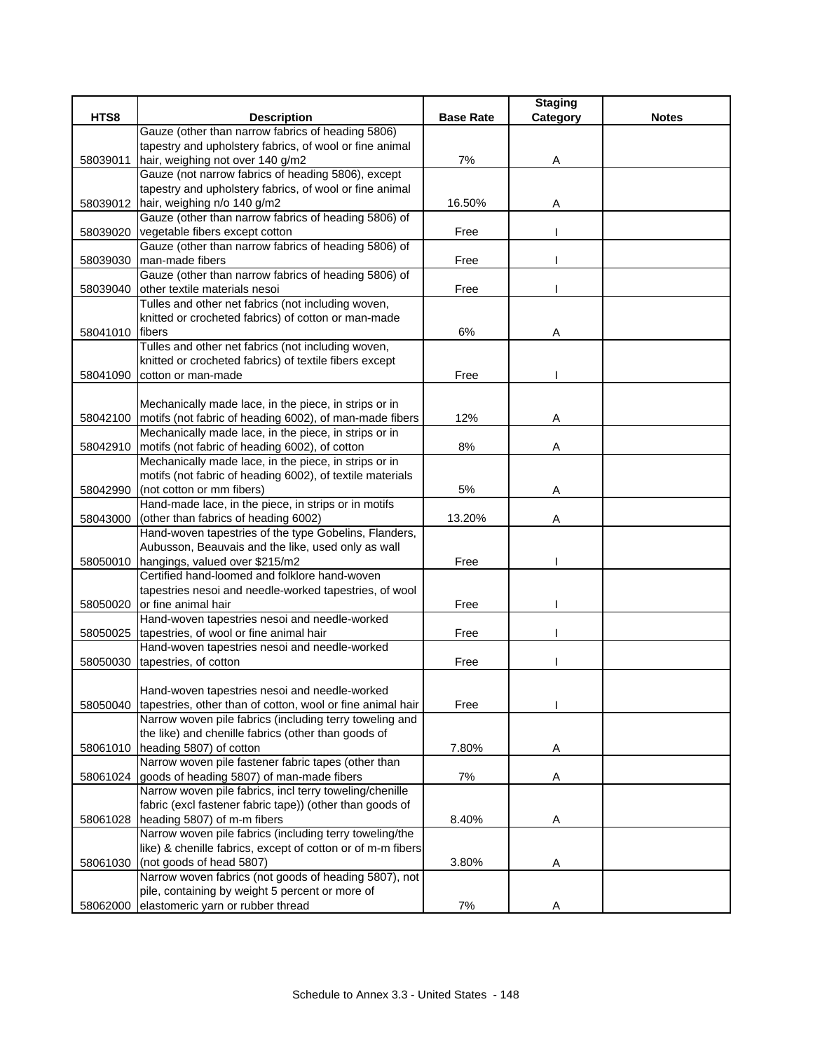|          |                                                                                                   |                  | <b>Staging</b> |              |
|----------|---------------------------------------------------------------------------------------------------|------------------|----------------|--------------|
| HTS8     | <b>Description</b>                                                                                | <b>Base Rate</b> | Category       | <b>Notes</b> |
|          | Gauze (other than narrow fabrics of heading 5806)                                                 |                  |                |              |
|          | tapestry and upholstery fabrics, of wool or fine animal                                           |                  |                |              |
| 58039011 | hair, weighing not over 140 g/m2                                                                  | 7%               | Α              |              |
|          | Gauze (not narrow fabrics of heading 5806), except                                                |                  |                |              |
|          | tapestry and upholstery fabrics, of wool or fine animal                                           |                  |                |              |
|          | 58039012 hair, weighing n/o 140 g/m2                                                              | 16.50%           | Α              |              |
|          | Gauze (other than narrow fabrics of heading 5806) of                                              |                  |                |              |
| 58039020 | vegetable fibers except cotton                                                                    | Free             |                |              |
|          | Gauze (other than narrow fabrics of heading 5806) of                                              |                  |                |              |
| 58039030 | man-made fibers                                                                                   | Free             |                |              |
|          | Gauze (other than narrow fabrics of heading 5806) of                                              |                  |                |              |
| 58039040 | other textile materials nesoi                                                                     | Free             |                |              |
|          | Tulles and other net fabrics (not including woven,                                                |                  |                |              |
|          | knitted or crocheted fabrics) of cotton or man-made                                               |                  |                |              |
| 58041010 | <b>fibers</b>                                                                                     | 6%               | Α              |              |
|          | Tulles and other net fabrics (not including woven,                                                |                  |                |              |
|          | knitted or crocheted fabrics) of textile fibers except                                            |                  |                |              |
|          | 58041090 cotton or man-made                                                                       | Free             |                |              |
|          |                                                                                                   |                  |                |              |
|          | Mechanically made lace, in the piece, in strips or in                                             |                  |                |              |
|          | 58042100 motifs (not fabric of heading 6002), of man-made fibers                                  | 12%              | Α              |              |
|          | Mechanically made lace, in the piece, in strips or in                                             |                  |                |              |
| 58042910 | motifs (not fabric of heading 6002), of cotton                                                    | 8%               | Α              |              |
|          | Mechanically made lace, in the piece, in strips or in                                             |                  |                |              |
|          | motifs (not fabric of heading 6002), of textile materials                                         |                  |                |              |
| 58042990 | (not cotton or mm fibers)                                                                         | 5%               | Α              |              |
|          | Hand-made lace, in the piece, in strips or in motifs                                              |                  |                |              |
| 58043000 | (other than fabrics of heading 6002)                                                              | 13.20%           | Α              |              |
|          | Hand-woven tapestries of the type Gobelins, Flanders,                                             |                  |                |              |
|          | Aubusson, Beauvais and the like, used only as wall                                                |                  |                |              |
|          | 58050010 hangings, valued over \$215/m2<br>Certified hand-loomed and folklore hand-woven          | Free             |                |              |
|          |                                                                                                   |                  |                |              |
|          | tapestries nesoi and needle-worked tapestries, of wool<br>or fine animal hair                     | Free             |                |              |
| 58050020 | Hand-woven tapestries nesoi and needle-worked                                                     |                  |                |              |
|          |                                                                                                   | Free             |                |              |
|          | 58050025 tapestries, of wool or fine animal hair<br>Hand-woven tapestries nesoi and needle-worked |                  |                |              |
|          | tapestries, of cotton                                                                             | Free             |                |              |
| 58050030 |                                                                                                   |                  |                |              |
|          | Hand-woven tapestries nesoi and needle-worked                                                     |                  |                |              |
| 58050040 | tapestries, other than of cotton, wool or fine animal hair                                        | Free             |                |              |
|          | Narrow woven pile fabrics (including terry toweling and                                           |                  |                |              |
|          | the like) and chenille fabrics (other than goods of                                               |                  |                |              |
|          | 58061010   heading 5807) of cotton                                                                | 7.80%            | Α              |              |
|          | Narrow woven pile fastener fabric tapes (other than                                               |                  |                |              |
|          | 58061024 goods of heading 5807) of man-made fibers                                                | 7%               | Α              |              |
|          | Narrow woven pile fabrics, incl terry toweling/chenille                                           |                  |                |              |
|          | fabric (excl fastener fabric tape)) (other than goods of                                          |                  |                |              |
|          | 58061028 heading 5807) of m-m fibers                                                              | 8.40%            | Α              |              |
|          | Narrow woven pile fabrics (including terry toweling/the                                           |                  |                |              |
|          | like) & chenille fabrics, except of cotton or of m-m fibers                                       |                  |                |              |
| 58061030 | (not goods of head 5807)                                                                          | 3.80%            | Α              |              |
|          | Narrow woven fabrics (not goods of heading 5807), not                                             |                  |                |              |
|          | pile, containing by weight 5 percent or more of                                                   |                  |                |              |
| 58062000 | elastomeric yarn or rubber thread                                                                 | 7%               | Α              |              |
|          |                                                                                                   |                  |                |              |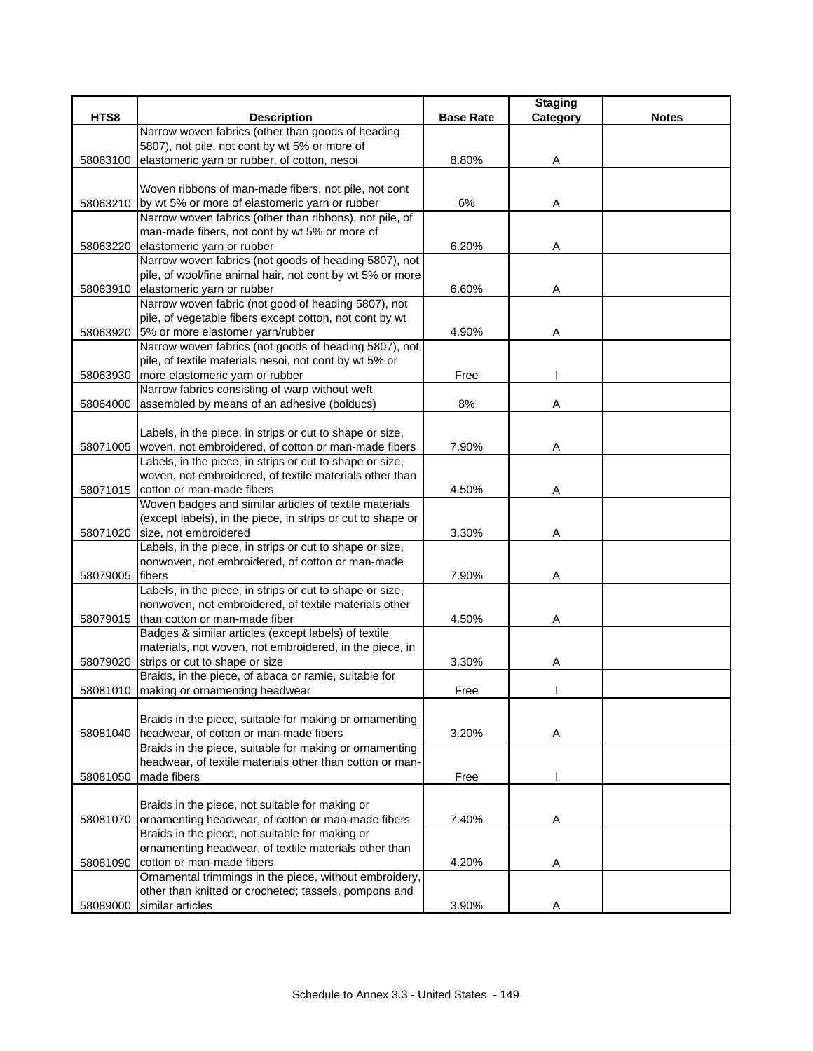|          |                                                                                     |                  | <b>Staging</b> |              |
|----------|-------------------------------------------------------------------------------------|------------------|----------------|--------------|
| HTS8     | <b>Description</b>                                                                  | <b>Base Rate</b> | Category       | <b>Notes</b> |
|          | Narrow woven fabrics (other than goods of heading                                   |                  |                |              |
|          | 5807), not pile, not cont by wt 5% or more of                                       |                  |                |              |
| 58063100 | elastomeric yarn or rubber, of cotton, nesoi                                        | 8.80%            | Α              |              |
|          |                                                                                     |                  |                |              |
|          | Woven ribbons of man-made fibers, not pile, not cont                                |                  |                |              |
| 58063210 | by wt 5% or more of elastomeric yarn or rubber                                      | $6\%$            | A              |              |
|          | Narrow woven fabrics (other than ribbons), not pile, of                             |                  |                |              |
|          | man-made fibers, not cont by wt 5% or more of                                       |                  |                |              |
| 58063220 | elastomeric yarn or rubber                                                          | 6.20%            | Α              |              |
|          | Narrow woven fabrics (not goods of heading 5807), not                               |                  |                |              |
|          | pile, of wool/fine animal hair, not cont by wt 5% or more                           |                  |                |              |
| 58063910 | elastomeric yarn or rubber                                                          | 6.60%            | Α              |              |
|          | Narrow woven fabric (not good of heading 5807), not                                 |                  |                |              |
|          | pile, of vegetable fibers except cotton, not cont by wt                             |                  |                |              |
| 58063920 | 5% or more elastomer yarn/rubber                                                    | 4.90%            | Α              |              |
|          | Narrow woven fabrics (not goods of heading 5807), not                               |                  |                |              |
|          | pile, of textile materials nesoi, not cont by wt 5% or                              |                  |                |              |
| 58063930 | more elastomeric yarn or rubber                                                     | Free             |                |              |
|          | Narrow fabrics consisting of warp without weft                                      |                  |                |              |
| 58064000 | assembled by means of an adhesive (bolducs)                                         | 8%               | Α              |              |
|          |                                                                                     |                  |                |              |
|          | Labels, in the piece, in strips or cut to shape or size,                            |                  |                |              |
|          | 58071005 woven, not embroidered, of cotton or man-made fibers                       | 7.90%            | Α              |              |
|          | Labels, in the piece, in strips or cut to shape or size,                            |                  |                |              |
|          | woven, not embroidered, of textile materials other than                             |                  |                |              |
| 58071015 | cotton or man-made fibers<br>Woven badges and similar articles of textile materials | 4.50%            | Α              |              |
|          | (except labels), in the piece, in strips or cut to shape or                         |                  |                |              |
| 58071020 | size, not embroidered                                                               | 3.30%            | Α              |              |
|          | Labels, in the piece, in strips or cut to shape or size,                            |                  |                |              |
|          | nonwoven, not embroidered, of cotton or man-made                                    |                  |                |              |
| 58079005 | fibers                                                                              | 7.90%            | Α              |              |
|          | Labels, in the piece, in strips or cut to shape or size,                            |                  |                |              |
|          | nonwoven, not embroidered, of textile materials other                               |                  |                |              |
|          | 58079015 than cotton or man-made fiber                                              | 4.50%            | Α              |              |
|          | Badges & similar articles (except labels) of textile                                |                  |                |              |
|          | materials, not woven, not embroidered, in the piece, in                             |                  |                |              |
| 58079020 | strips or cut to shape or size                                                      | 3.30%            | A              |              |
|          | Braids, in the piece, of abaca or ramie, suitable for                               |                  |                |              |
| 58081010 | making or ornamenting headwear                                                      | Free             |                |              |
|          |                                                                                     |                  |                |              |
|          | Braids in the piece, suitable for making or ornamenting                             |                  |                |              |
| 58081040 | headwear, of cotton or man-made fibers                                              | 3.20%            | Α              |              |
|          | Braids in the piece, suitable for making or ornamenting                             |                  |                |              |
|          | headwear, of textile materials other than cotton or man-                            |                  |                |              |
| 58081050 | made fibers                                                                         | Free             |                |              |
|          |                                                                                     |                  |                |              |
|          | Braids in the piece, not suitable for making or                                     |                  |                |              |
| 58081070 | ornamenting headwear, of cotton or man-made fibers                                  | 7.40%            | A              |              |
|          | Braids in the piece, not suitable for making or                                     |                  |                |              |
|          | ornamenting headwear, of textile materials other than                               |                  |                |              |
| 58081090 | cotton or man-made fibers                                                           | 4.20%            | Α              |              |
|          | Ornamental trimmings in the piece, without embroidery,                              |                  |                |              |
|          | other than knitted or crocheted; tassels, pompons and                               |                  |                |              |
| 58089000 | similar articles                                                                    | 3.90%            | A              |              |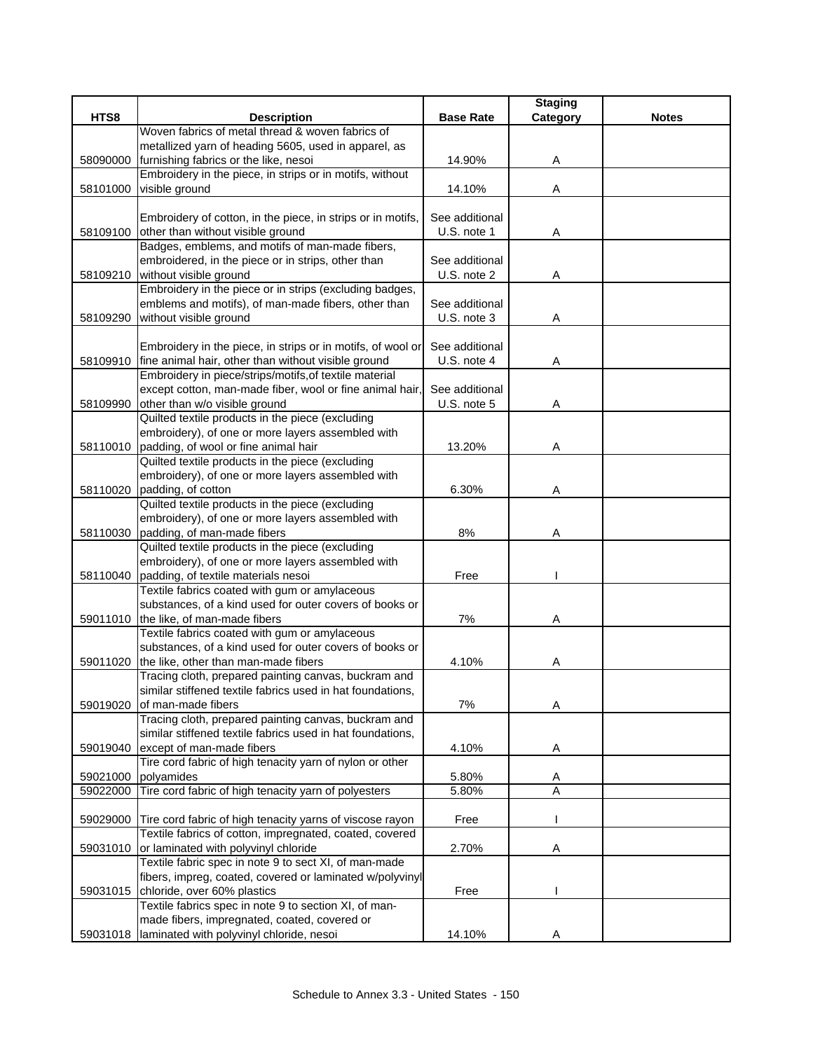|          |                                                                                                       |                               | <b>Staging</b> |              |
|----------|-------------------------------------------------------------------------------------------------------|-------------------------------|----------------|--------------|
| HTS8     | <b>Description</b>                                                                                    | <b>Base Rate</b>              | Category       | <b>Notes</b> |
|          | Woven fabrics of metal thread & woven fabrics of                                                      |                               |                |              |
|          | metallized yarn of heading 5605, used in apparel, as                                                  |                               |                |              |
| 58090000 | furnishing fabrics or the like, nesoi                                                                 | 14.90%                        | Α              |              |
|          | Embroidery in the piece, in strips or in motifs, without                                              |                               |                |              |
| 58101000 | visible ground                                                                                        | 14.10%                        | Α              |              |
|          |                                                                                                       |                               |                |              |
|          | Embroidery of cotton, in the piece, in strips or in motifs,                                           | See additional<br>U.S. note 1 |                |              |
| 58109100 | other than without visible ground<br>Badges, emblems, and motifs of man-made fibers,                  |                               | Α              |              |
|          | embroidered, in the piece or in strips, other than                                                    | See additional                |                |              |
|          | 58109210 without visible ground                                                                       | U.S. note 2                   | Α              |              |
|          | Embroidery in the piece or in strips (excluding badges,                                               |                               |                |              |
|          | emblems and motifs), of man-made fibers, other than                                                   | See additional                |                |              |
| 58109290 | without visible ground                                                                                | U.S. note 3                   | Α              |              |
|          |                                                                                                       |                               |                |              |
|          | Embroidery in the piece, in strips or in motifs, of wool or                                           | See additional                |                |              |
|          | 58109910 fine animal hair, other than without visible ground                                          | U.S. note 4                   | Α              |              |
|          | Embroidery in piece/strips/motifs, of textile material                                                |                               |                |              |
|          | except cotton, man-made fiber, wool or fine animal hair,                                              | See additional                |                |              |
| 58109990 | other than w/o visible ground                                                                         | U.S. note 5                   | Α              |              |
|          | Quilted textile products in the piece (excluding                                                      |                               |                |              |
|          | embroidery), of one or more layers assembled with                                                     |                               |                |              |
| 58110010 | padding, of wool or fine animal hair                                                                  | 13.20%                        | Α              |              |
|          | Quilted textile products in the piece (excluding                                                      |                               |                |              |
|          | embroidery), of one or more layers assembled with                                                     |                               |                |              |
| 58110020 | padding, of cotton                                                                                    | 6.30%                         | Α              |              |
|          | Quilted textile products in the piece (excluding                                                      |                               |                |              |
|          | embroidery), of one or more layers assembled with                                                     |                               |                |              |
| 58110030 | padding, of man-made fibers                                                                           | 8%                            | Α              |              |
|          | Quilted textile products in the piece (excluding                                                      |                               |                |              |
|          | embroidery), of one or more layers assembled with                                                     |                               |                |              |
| 58110040 | padding, of textile materials nesoi                                                                   | Free                          |                |              |
|          | Textile fabrics coated with gum or amylaceous                                                         |                               |                |              |
|          | substances, of a kind used for outer covers of books or                                               |                               |                |              |
| 59011010 | the like, of man-made fibers                                                                          | 7%                            | Α              |              |
|          | Textile fabrics coated with gum or amylaceous                                                         |                               |                |              |
|          | substances, of a kind used for outer covers of books or                                               |                               |                |              |
| 59011020 | the like, other than man-made fibers                                                                  | 4.10%                         | Α              |              |
|          | Tracing cloth, prepared painting canvas, buckram and                                                  |                               |                |              |
|          | similar stiffened textile fabrics used in hat foundations,                                            |                               |                |              |
| 59019020 | of man-made fibers                                                                                    | 7%                            | Α              |              |
|          | Tracing cloth, prepared painting canvas, buckram and                                                  |                               |                |              |
|          | similar stiffened textile fabrics used in hat foundations,                                            |                               |                |              |
| 59019040 | except of man-made fibers                                                                             | 4.10%                         | Α              |              |
|          | Tire cord fabric of high tenacity yarn of nylon or other                                              |                               |                |              |
| 59021000 | polyamides                                                                                            | 5.80%                         | A              |              |
| 59022000 | Tire cord fabric of high tenacity yarn of polyesters                                                  | 5.80%                         | A              |              |
|          |                                                                                                       |                               |                |              |
| 59029000 | Tire cord fabric of high tenacity yarns of viscose rayon                                              | Free                          |                |              |
|          | Textile fabrics of cotton, impregnated, coated, covered                                               |                               |                |              |
| 59031010 | or laminated with polyvinyl chloride                                                                  | 2.70%                         | A              |              |
|          | Textile fabric spec in note 9 to sect XI, of man-made                                                 |                               |                |              |
|          | fibers, impreg, coated, covered or laminated w/polyvinyl                                              |                               |                |              |
| 59031015 | chloride, over 60% plastics                                                                           | Free                          |                |              |
|          | Textile fabrics spec in note 9 to section XI, of man-<br>made fibers, impregnated, coated, covered or |                               |                |              |
|          | laminated with polyvinyl chloride, nesoi                                                              | 14.10%                        |                |              |
| 59031018 |                                                                                                       |                               | Α              |              |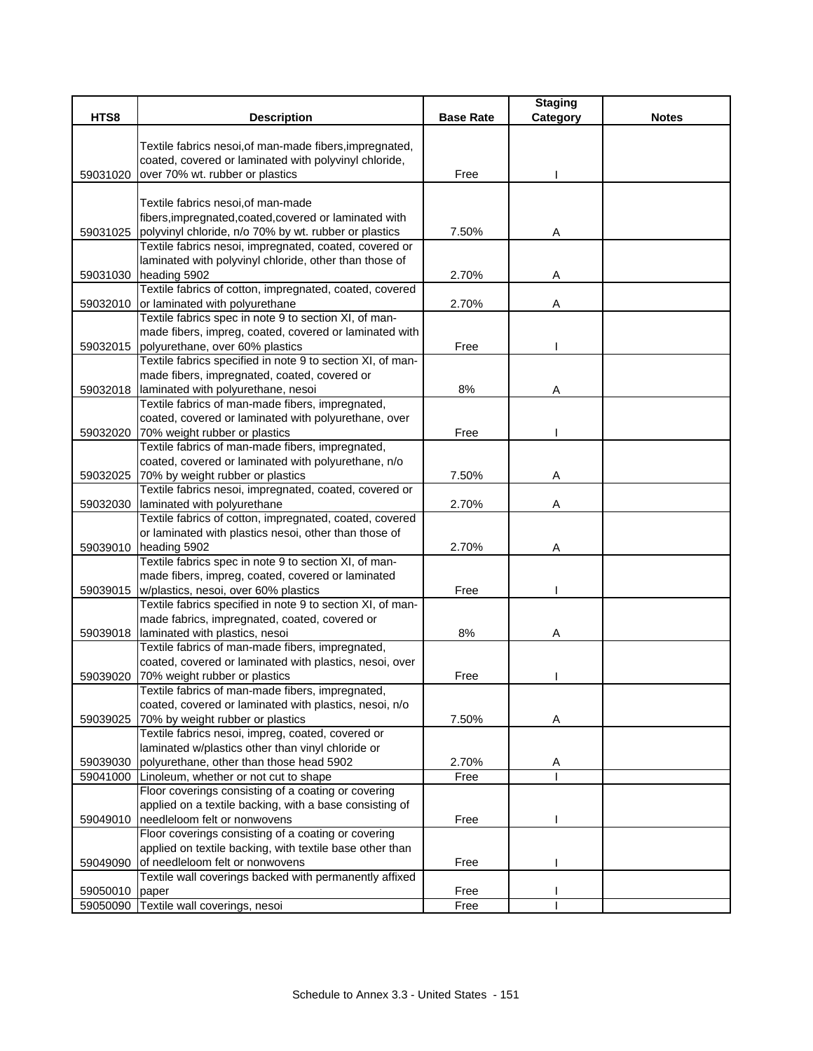|                |                                                                                   |                  | <b>Staging</b> |              |
|----------------|-----------------------------------------------------------------------------------|------------------|----------------|--------------|
| HTS8           | <b>Description</b>                                                                | <b>Base Rate</b> | Category       | <b>Notes</b> |
|                | Textile fabrics nesoi, of man-made fibers, impregnated,                           |                  |                |              |
|                | coated, covered or laminated with polyvinyl chloride,                             |                  |                |              |
| 59031020       | over 70% wt. rubber or plastics                                                   | Free             |                |              |
|                |                                                                                   |                  |                |              |
|                | Textile fabrics nesoi, of man-made                                                |                  |                |              |
|                | fibers, impregnated, coated, covered or laminated with                            |                  |                |              |
| 59031025       | polyvinyl chloride, n/o 70% by wt. rubber or plastics                             | 7.50%            | Α              |              |
|                | Textile fabrics nesoi, impregnated, coated, covered or                            |                  |                |              |
|                | laminated with polyvinyl chloride, other than those of                            |                  |                |              |
| 59031030       | heading 5902                                                                      | 2.70%            | Α              |              |
|                | Textile fabrics of cotton, impregnated, coated, covered                           |                  |                |              |
| 59032010       | or laminated with polyurethane                                                    | 2.70%            | Α              |              |
|                | Textile fabrics spec in note 9 to section XI, of man-                             |                  |                |              |
|                | made fibers, impreg, coated, covered or laminated with                            |                  |                |              |
|                | 59032015 polyurethane, over 60% plastics                                          | Free             |                |              |
|                | Textile fabrics specified in note 9 to section XI, of man-                        |                  |                |              |
|                | made fibers, impregnated, coated, covered or                                      |                  |                |              |
| 59032018       | laminated with polyurethane, nesoi                                                | 8%               | Α              |              |
|                | Textile fabrics of man-made fibers, impregnated,                                  |                  |                |              |
|                | coated, covered or laminated with polyurethane, over                              |                  |                |              |
|                | 59032020 70% weight rubber or plastics                                            | Free             |                |              |
|                | Textile fabrics of man-made fibers, impregnated,                                  |                  |                |              |
|                | coated, covered or laminated with polyurethane, n/o                               |                  |                |              |
|                | 59032025 70% by weight rubber or plastics                                         | 7.50%            | Α              |              |
|                | Textile fabrics nesoi, impregnated, coated, covered or                            |                  |                |              |
| 59032030       | laminated with polyurethane                                                       | 2.70%            | Α              |              |
|                | Textile fabrics of cotton, impregnated, coated, covered                           |                  |                |              |
|                | or laminated with plastics nesoi, other than those of                             |                  |                |              |
|                | 59039010 heading 5902                                                             | 2.70%            | Α              |              |
|                | Textile fabrics spec in note 9 to section XI, of man-                             |                  |                |              |
|                | made fibers, impreg, coated, covered or laminated                                 |                  |                |              |
| 59039015       | w/plastics, nesoi, over 60% plastics                                              | Free             |                |              |
|                | Textile fabrics specified in note 9 to section XI, of man-                        |                  |                |              |
|                | made fabrics, impregnated, coated, covered or                                     |                  |                |              |
| 59039018       | laminated with plastics, nesoi                                                    | $8%$             | Α              |              |
|                | Textile fabrics of man-made fibers, impregnated,                                  |                  |                |              |
|                | coated, covered or laminated with plastics, nesoi, over                           |                  |                |              |
| 59039020       | 70% weight rubber or plastics<br>Textile fabrics of man-made fibers, impregnated, | Free             |                |              |
|                | coated, covered or laminated with plastics, nesoi, n/o                            |                  |                |              |
| 59039025       | 70% by weight rubber or plastics                                                  | 7.50%            | Α              |              |
|                | Textile fabrics nesoi, impreg, coated, covered or                                 |                  |                |              |
|                | laminated w/plastics other than vinyl chloride or                                 |                  |                |              |
| 59039030       | polyurethane, other than those head 5902                                          | 2.70%            | A              |              |
|                | 59041000 Linoleum, whether or not cut to shape                                    | Free             |                |              |
|                | Floor coverings consisting of a coating or covering                               |                  |                |              |
|                | applied on a textile backing, with a base consisting of                           |                  |                |              |
| 59049010       | needleloom felt or nonwovens                                                      | Free             |                |              |
|                | Floor coverings consisting of a coating or covering                               |                  |                |              |
|                | applied on textile backing, with textile base other than                          |                  |                |              |
| 59049090       | of needleloom felt or nonwovens                                                   | Free             |                |              |
|                | Textile wall coverings backed with permanently affixed                            |                  |                |              |
| 59050010 paper |                                                                                   | Free             |                |              |
|                | 59050090 Textile wall coverings, nesoi                                            | Free             |                |              |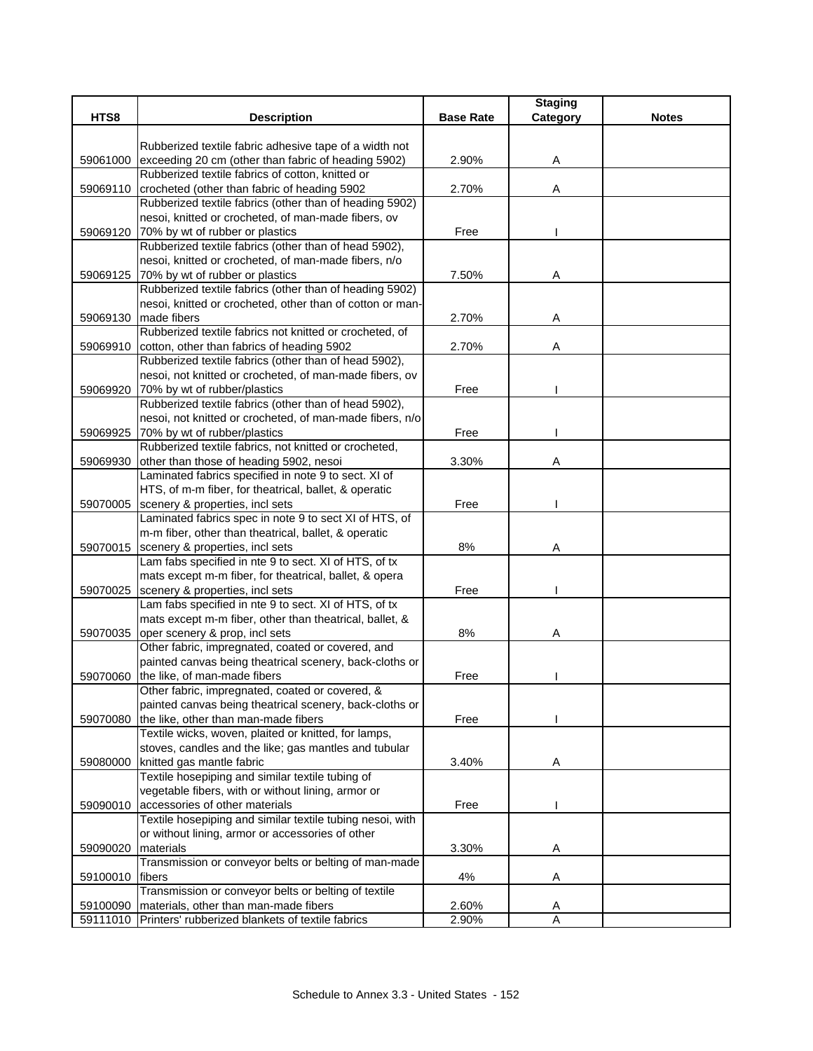|          |                                                                                                               |                  | <b>Staging</b>      |              |
|----------|---------------------------------------------------------------------------------------------------------------|------------------|---------------------|--------------|
| HTS8     | <b>Description</b>                                                                                            | <b>Base Rate</b> | Category            | <b>Notes</b> |
|          |                                                                                                               |                  |                     |              |
| 59061000 | Rubberized textile fabric adhesive tape of a width not<br>exceeding 20 cm (other than fabric of heading 5902) | 2.90%            | Α                   |              |
|          | Rubberized textile fabrics of cotton, knitted or                                                              |                  |                     |              |
| 59069110 | crocheted (other than fabric of heading 5902                                                                  | 2.70%            | Α                   |              |
|          | Rubberized textile fabrics (other than of heading 5902)                                                       |                  |                     |              |
|          | nesoi, knitted or crocheted, of man-made fibers, ov                                                           |                  |                     |              |
| 59069120 | 70% by wt of rubber or plastics                                                                               | Free             |                     |              |
|          | Rubberized textile fabrics (other than of head 5902),                                                         |                  |                     |              |
|          | nesoi, knitted or crocheted, of man-made fibers, n/o                                                          |                  |                     |              |
| 59069125 | 70% by wt of rubber or plastics                                                                               | 7.50%            | Α                   |              |
|          | Rubberized textile fabrics (other than of heading 5902)                                                       |                  |                     |              |
|          | nesoi, knitted or crocheted, other than of cotton or man-                                                     |                  |                     |              |
| 59069130 | made fibers                                                                                                   | 2.70%            | Α                   |              |
|          | Rubberized textile fabrics not knitted or crocheted, of                                                       |                  |                     |              |
| 59069910 | cotton, other than fabrics of heading 5902                                                                    | 2.70%            | Α                   |              |
|          | Rubberized textile fabrics (other than of head 5902),                                                         |                  |                     |              |
|          | nesoi, not knitted or crocheted, of man-made fibers, ov                                                       |                  |                     |              |
| 59069920 | 70% by wt of rubber/plastics                                                                                  | Free             |                     |              |
|          | Rubberized textile fabrics (other than of head 5902),                                                         |                  |                     |              |
|          | nesoi, not knitted or crocheted, of man-made fibers, n/o<br>59069925 70% by wt of rubber/plastics             | Free             |                     |              |
|          | Rubberized textile fabrics, not knitted or crocheted,                                                         |                  |                     |              |
| 59069930 | other than those of heading 5902, nesoi                                                                       | 3.30%            | Α                   |              |
|          | Laminated fabrics specified in note 9 to sect. XI of                                                          |                  |                     |              |
|          | HTS, of m-m fiber, for theatrical, ballet, & operatic                                                         |                  |                     |              |
| 59070005 | scenery & properties, incl sets                                                                               | Free             |                     |              |
|          | Laminated fabrics spec in note 9 to sect XI of HTS, of                                                        |                  |                     |              |
|          | m-m fiber, other than theatrical, ballet, & operatic                                                          |                  |                     |              |
| 59070015 | scenery & properties, incl sets                                                                               | $8%$             | Α                   |              |
|          | Lam fabs specified in nte 9 to sect. XI of HTS, of tx                                                         |                  |                     |              |
|          | mats except m-m fiber, for theatrical, ballet, & opera                                                        |                  |                     |              |
| 59070025 | scenery & properties, incl sets                                                                               | Free             |                     |              |
|          | Lam fabs specified in nte 9 to sect. XI of HTS, of tx                                                         |                  |                     |              |
|          | mats except m-m fiber, other than theatrical, ballet, &                                                       |                  |                     |              |
| 59070035 | oper scenery & prop, incl sets                                                                                | 8%               | Α                   |              |
|          | Other fabric, impregnated, coated or covered, and                                                             |                  |                     |              |
|          | painted canvas being theatrical scenery, back-cloths or                                                       |                  |                     |              |
| 59070060 | the like, of man-made fibers<br>Other fabric, impregnated, coated or covered, &                               | Free             |                     |              |
|          | painted canvas being theatrical scenery, back-cloths or                                                       |                  |                     |              |
| 59070080 | the like, other than man-made fibers                                                                          | Free             |                     |              |
|          | Textile wicks, woven, plaited or knitted, for lamps,                                                          |                  |                     |              |
|          | stoves, candles and the like; gas mantles and tubular                                                         |                  |                     |              |
| 59080000 | knitted gas mantle fabric                                                                                     | 3.40%            | Α                   |              |
|          | Textile hosepiping and similar textile tubing of                                                              |                  |                     |              |
|          | vegetable fibers, with or without lining, armor or                                                            |                  |                     |              |
| 59090010 | accessories of other materials                                                                                | Free             |                     |              |
|          | Textile hosepiping and similar textile tubing nesoi, with                                                     |                  |                     |              |
|          | or without lining, armor or accessories of other                                                              |                  |                     |              |
| 59090020 | materials                                                                                                     | 3.30%            | Α                   |              |
|          | Transmission or conveyor belts or belting of man-made                                                         |                  |                     |              |
| 59100010 | fibers                                                                                                        | 4%               | Α                   |              |
|          | Transmission or conveyor belts or belting of textile                                                          |                  |                     |              |
| 59100090 | materials, other than man-made fibers<br>59111010 Printers' rubberized blankets of textile fabrics            | 2.60%<br>2.90%   | A<br>$\overline{A}$ |              |
|          |                                                                                                               |                  |                     |              |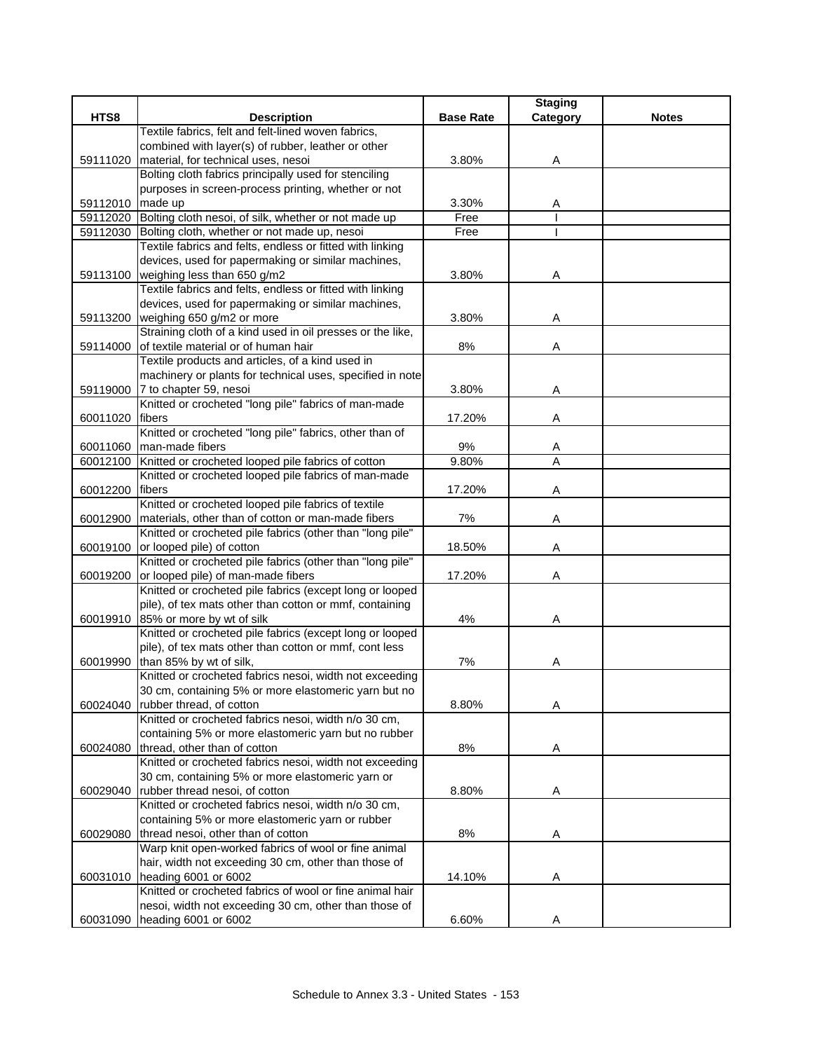|          |                                                                                                    |                  | <b>Staging</b> |              |
|----------|----------------------------------------------------------------------------------------------------|------------------|----------------|--------------|
| HTS8     | <b>Description</b>                                                                                 | <b>Base Rate</b> | Category       | <b>Notes</b> |
|          | Textile fabrics, felt and felt-lined woven fabrics,                                                |                  |                |              |
|          | combined with layer(s) of rubber, leather or other                                                 |                  |                |              |
| 59111020 | material, for technical uses, nesoi                                                                | 3.80%            | Α              |              |
|          | Bolting cloth fabrics principally used for stenciling                                              |                  |                |              |
|          | purposes in screen-process printing, whether or not                                                |                  |                |              |
| 59112010 | made up                                                                                            | 3.30%            | Α              |              |
|          | 59112020 Bolting cloth nesoi, of silk, whether or not made up                                      | Free             |                |              |
|          | 59112030 Bolting cloth, whether or not made up, nesoi                                              | Free             |                |              |
|          | Textile fabrics and felts, endless or fitted with linking                                          |                  |                |              |
|          | devices, used for papermaking or similar machines,                                                 |                  |                |              |
|          | 59113100 weighing less than 650 g/m2                                                               | 3.80%            | Α              |              |
|          | Textile fabrics and felts, endless or fitted with linking                                          |                  |                |              |
|          | devices, used for papermaking or similar machines,                                                 |                  |                |              |
|          | 59113200   weighing 650 g/m2 or more<br>Straining cloth of a kind used in oil presses or the like, | 3.80%            | A              |              |
|          | of textile material or of human hair                                                               |                  |                |              |
| 59114000 | Textile products and articles, of a kind used in                                                   | 8%               | Α              |              |
|          | machinery or plants for technical uses, specified in note                                          |                  |                |              |
|          | 59119000 7 to chapter 59, nesoi                                                                    | 3.80%            | Α              |              |
|          | Knitted or crocheted "long pile" fabrics of man-made                                               |                  |                |              |
| 60011020 | fibers                                                                                             | 17.20%           | Α              |              |
|          | Knitted or crocheted "long pile" fabrics, other than of                                            |                  |                |              |
| 60011060 | man-made fibers                                                                                    | 9%               |                |              |
| 60012100 | Knitted or crocheted looped pile fabrics of cotton                                                 | 9.80%            | A<br>A         |              |
|          | Knitted or crocheted looped pile fabrics of man-made                                               |                  |                |              |
| 60012200 | fibers                                                                                             | 17.20%           | Α              |              |
|          | Knitted or crocheted looped pile fabrics of textile                                                |                  |                |              |
| 60012900 | materials, other than of cotton or man-made fibers                                                 | 7%               | Α              |              |
|          | Knitted or crocheted pile fabrics (other than "long pile"                                          |                  |                |              |
| 60019100 | or looped pile) of cotton                                                                          | 18.50%           | Α              |              |
|          | Knitted or crocheted pile fabrics (other than "long pile"                                          |                  |                |              |
| 60019200 | or looped pile) of man-made fibers                                                                 | 17.20%           | Α              |              |
|          | Knitted or crocheted pile fabrics (except long or looped                                           |                  |                |              |
|          | pile), of tex mats other than cotton or mmf, containing                                            |                  |                |              |
| 60019910 | 85% or more by wt of silk                                                                          | 4%               | Α              |              |
|          | Knitted or crocheted pile fabrics (except long or looped                                           |                  |                |              |
|          | pile), of tex mats other than cotton or mmf, cont less                                             |                  |                |              |
| 60019990 | than 85% by wt of silk,                                                                            | 7%               | A              |              |
|          | Knitted or crocheted fabrics nesoi, width not exceeding                                            |                  |                |              |
|          | 30 cm, containing 5% or more elastomeric yarn but no                                               |                  |                |              |
| 60024040 | rubber thread, of cotton                                                                           | 8.80%            | Α              |              |
|          | Knitted or crocheted fabrics nesoi, width n/o 30 cm,                                               |                  |                |              |
|          | containing 5% or more elastomeric yarn but no rubber                                               |                  |                |              |
| 60024080 | thread, other than of cotton                                                                       | 8%               | Α              |              |
|          | Knitted or crocheted fabrics nesoi, width not exceeding                                            |                  |                |              |
|          | 30 cm, containing 5% or more elastomeric yarn or                                                   |                  |                |              |
| 60029040 | rubber thread nesoi, of cotton                                                                     | 8.80%            | A              |              |
|          | Knitted or crocheted fabrics nesoi, width n/o 30 cm,                                               |                  |                |              |
|          | containing 5% or more elastomeric yarn or rubber                                                   |                  |                |              |
| 60029080 | thread nesoi, other than of cotton                                                                 | 8%               | A              |              |
|          | Warp knit open-worked fabrics of wool or fine animal                                               |                  |                |              |
|          | hair, width not exceeding 30 cm, other than those of                                               |                  |                |              |
| 60031010 | heading 6001 or 6002                                                                               | 14.10%           | Α              |              |
|          | Knitted or crocheted fabrics of wool or fine animal hair                                           |                  |                |              |
|          | nesoi, width not exceeding 30 cm, other than those of                                              |                  |                |              |
| 60031090 | heading 6001 or 6002                                                                               | 6.60%            | Α              |              |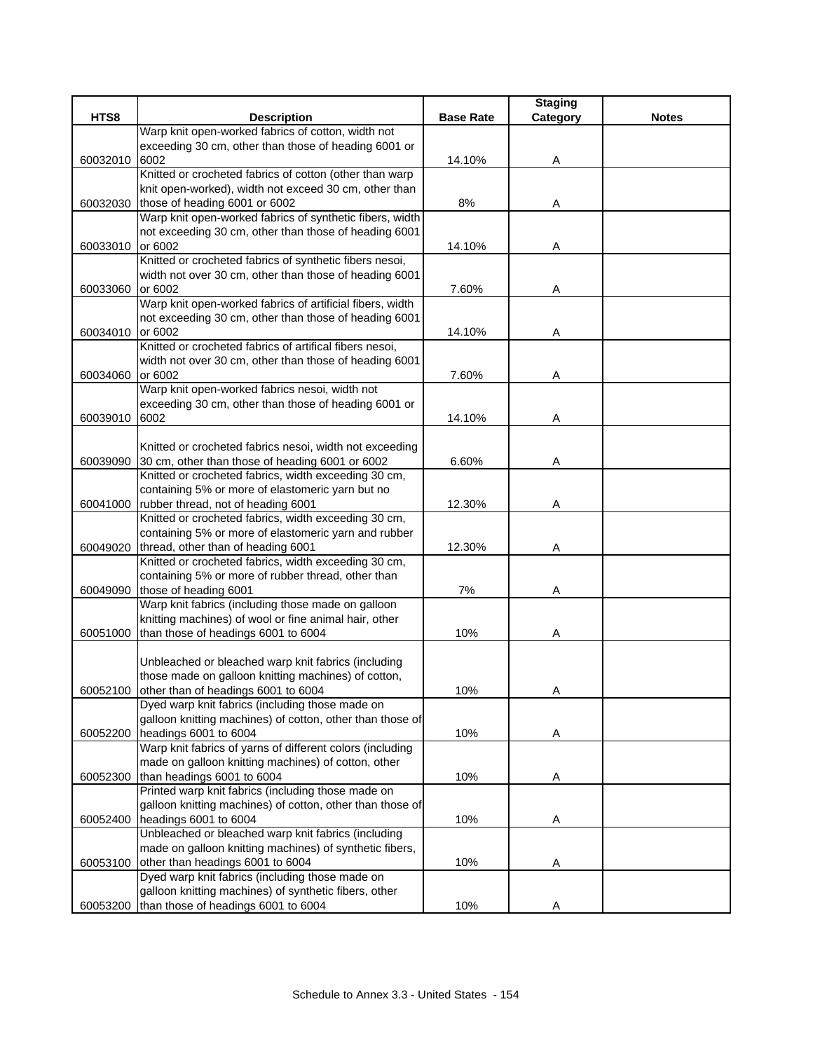|          |                                                                                    |                  | <b>Staging</b> |              |
|----------|------------------------------------------------------------------------------------|------------------|----------------|--------------|
| HTS8     | <b>Description</b>                                                                 | <b>Base Rate</b> | Category       | <b>Notes</b> |
|          | Warp knit open-worked fabrics of cotton, width not                                 |                  |                |              |
|          | exceeding 30 cm, other than those of heading 6001 or                               |                  |                |              |
| 60032010 | 6002                                                                               | 14.10%           | Α              |              |
|          | Knitted or crocheted fabrics of cotton (other than warp                            |                  |                |              |
|          | knit open-worked), width not exceed 30 cm, other than                              |                  |                |              |
| 60032030 | those of heading 6001 or 6002                                                      | 8%               | A              |              |
|          | Warp knit open-worked fabrics of synthetic fibers, width                           |                  |                |              |
|          | not exceeding 30 cm, other than those of heading 6001                              |                  |                |              |
| 60033010 | or 6002                                                                            | 14.10%           | Α              |              |
|          | Knitted or crocheted fabrics of synthetic fibers nesoi,                            |                  |                |              |
| 60033060 | width not over 30 cm, other than those of heading 6001<br>or 6002                  | 7.60%            |                |              |
|          | Warp knit open-worked fabrics of artificial fibers, width                          |                  | Α              |              |
|          | not exceeding 30 cm, other than those of heading 6001                              |                  |                |              |
| 60034010 | or 6002                                                                            | 14.10%           | Α              |              |
|          | Knitted or crocheted fabrics of artifical fibers nesoi,                            |                  |                |              |
|          | width not over 30 cm, other than those of heading 6001                             |                  |                |              |
| 60034060 | or 6002                                                                            | 7.60%            | Α              |              |
|          | Warp knit open-worked fabrics nesoi, width not                                     |                  |                |              |
|          | exceeding 30 cm, other than those of heading 6001 or                               |                  |                |              |
| 60039010 | 6002                                                                               | 14.10%           | Α              |              |
|          |                                                                                    |                  |                |              |
|          | Knitted or crocheted fabrics nesoi, width not exceeding                            |                  |                |              |
| 60039090 | 30 cm, other than those of heading 6001 or 6002                                    | 6.60%            | Α              |              |
|          | Knitted or crocheted fabrics, width exceeding 30 cm,                               |                  |                |              |
|          | containing 5% or more of elastomeric yarn but no                                   |                  |                |              |
| 60041000 | rubber thread, not of heading 6001                                                 | 12.30%           | Α              |              |
|          | Knitted or crocheted fabrics, width exceeding 30 cm,                               |                  |                |              |
|          | containing 5% or more of elastomeric yarn and rubber                               |                  |                |              |
| 60049020 | thread, other than of heading 6001                                                 | 12.30%           | Α              |              |
|          | Knitted or crocheted fabrics, width exceeding 30 cm,                               |                  |                |              |
|          | containing 5% or more of rubber thread, other than                                 |                  |                |              |
| 60049090 | those of heading 6001                                                              | 7%               | Α              |              |
|          | Warp knit fabrics (including those made on galloon                                 |                  |                |              |
|          | knitting machines) of wool or fine animal hair, other                              |                  |                |              |
| 60051000 | than those of headings 6001 to 6004                                                | 10%              | Α              |              |
|          |                                                                                    |                  |                |              |
|          | Unbleached or bleached warp knit fabrics (including                                |                  |                |              |
|          | those made on galloon knitting machines) of cotton,                                |                  |                |              |
| 60052100 | other than of headings 6001 to 6004                                                | 10%              | A              |              |
|          | Dyed warp knit fabrics (including those made on                                    |                  |                |              |
|          | galloon knitting machines) of cotton, other than those of<br>headings 6001 to 6004 | 10%              |                |              |
| 60052200 | Warp knit fabrics of yarns of different colors (including                          |                  | Α              |              |
|          | made on galloon knitting machines) of cotton, other                                |                  |                |              |
| 60052300 | than headings 6001 to 6004                                                         | 10%              | A              |              |
|          | Printed warp knit fabrics (including those made on                                 |                  |                |              |
|          | galloon knitting machines) of cotton, other than those of                          |                  |                |              |
| 60052400 | headings 6001 to 6004                                                              | 10%              | Α              |              |
|          | Unbleached or bleached warp knit fabrics (including                                |                  |                |              |
|          | made on galloon knitting machines) of synthetic fibers,                            |                  |                |              |
| 60053100 | other than headings 6001 to 6004                                                   | 10%              | Α              |              |
|          | Dyed warp knit fabrics (including those made on                                    |                  |                |              |
|          | galloon knitting machines) of synthetic fibers, other                              |                  |                |              |
| 60053200 | than those of headings 6001 to 6004                                                | 10%              | Α              |              |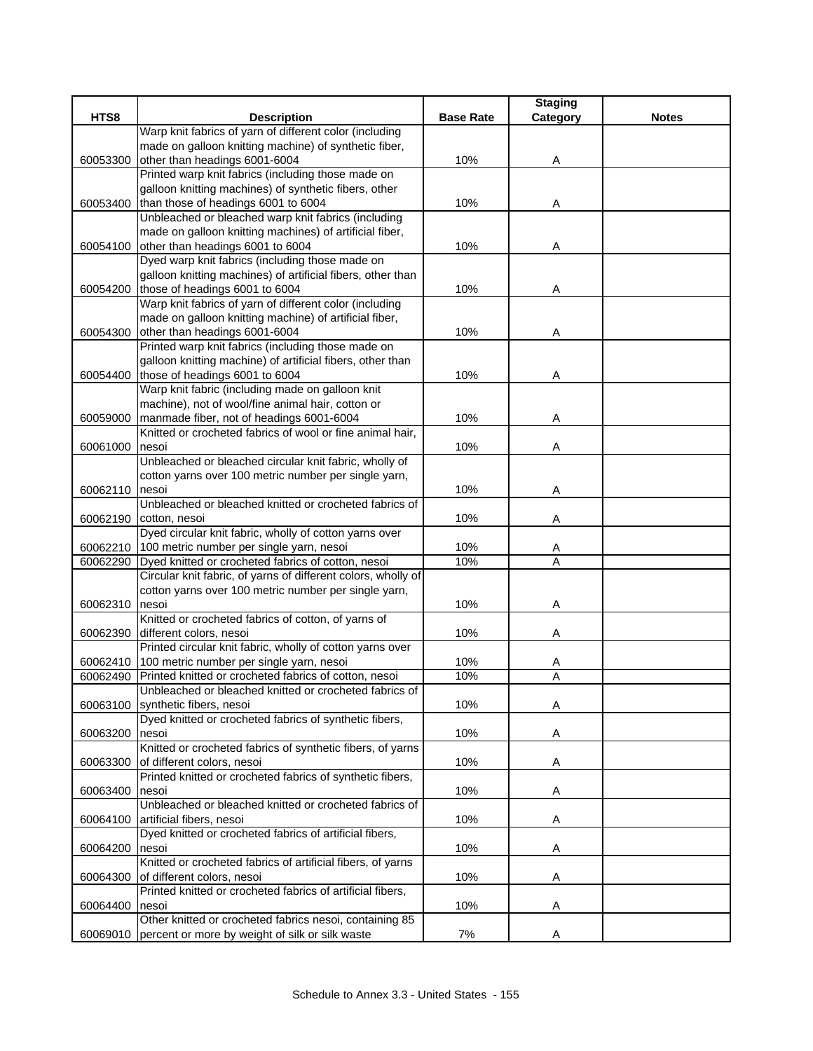|          |                                                                 |                  | <b>Staging</b> |              |
|----------|-----------------------------------------------------------------|------------------|----------------|--------------|
| HTS8     | <b>Description</b>                                              | <b>Base Rate</b> | Category       | <b>Notes</b> |
|          | Warp knit fabrics of yarn of different color (including         |                  |                |              |
|          | made on galloon knitting machine) of synthetic fiber,           |                  |                |              |
| 60053300 | other than headings 6001-6004                                   | 10%              | Α              |              |
|          | Printed warp knit fabrics (including those made on              |                  |                |              |
|          | galloon knitting machines) of synthetic fibers, other           |                  |                |              |
| 60053400 | than those of headings 6001 to 6004                             | 10%              | A              |              |
|          | Unbleached or bleached warp knit fabrics (including             |                  |                |              |
|          | made on galloon knitting machines) of artificial fiber,         |                  |                |              |
| 60054100 | other than headings 6001 to 6004                                | 10%              | Α              |              |
|          | Dyed warp knit fabrics (including those made on                 |                  |                |              |
|          | galloon knitting machines) of artificial fibers, other than     |                  |                |              |
| 60054200 | those of headings 6001 to 6004                                  | 10%              | Α              |              |
|          | Warp knit fabrics of yarn of different color (including         |                  |                |              |
|          | made on galloon knitting machine) of artificial fiber,          |                  |                |              |
| 60054300 | other than headings 6001-6004                                   | 10%              | Α              |              |
|          | Printed warp knit fabrics (including those made on              |                  |                |              |
|          | galloon knitting machine) of artificial fibers, other than      |                  |                |              |
| 60054400 | those of headings 6001 to 6004                                  | 10%              | Α              |              |
|          | Warp knit fabric (including made on galloon knit                |                  |                |              |
|          | machine), not of wool/fine animal hair, cotton or               |                  |                |              |
| 60059000 | manmade fiber, not of headings 6001-6004                        | 10%              | Α              |              |
|          | Knitted or crocheted fabrics of wool or fine animal hair.       |                  |                |              |
| 60061000 | nesoi                                                           | 10%              | Α              |              |
|          | Unbleached or bleached circular knit fabric, wholly of          |                  |                |              |
|          | cotton yarns over 100 metric number per single yarn,            |                  |                |              |
| 60062110 | nesoi                                                           | 10%              | Α              |              |
|          | Unbleached or bleached knitted or crocheted fabrics of          |                  |                |              |
| 60062190 | cotton, nesoi                                                   | 10%              | Α              |              |
|          | Dyed circular knit fabric, wholly of cotton yarns over          |                  |                |              |
| 60062210 | 100 metric number per single yarn, nesoi                        | 10%              | A              |              |
| 60062290 | Dyed knitted or crocheted fabrics of cotton, nesoi              | 10%              | A              |              |
|          | Circular knit fabric, of yarns of different colors, wholly of   |                  |                |              |
|          | cotton yarns over 100 metric number per single yarn,            |                  |                |              |
| 60062310 | nesoi                                                           | 10%              | Α              |              |
|          | Knitted or crocheted fabrics of cotton, of yarns of             |                  |                |              |
| 60062390 | different colors, nesoi                                         | 10%              | Α              |              |
|          | Printed circular knit fabric, wholly of cotton yarns over       |                  |                |              |
| 60062410 | 100 metric number per single yarn, nesoi                        | 10%              | Α              |              |
| 60062490 | Printed knitted or crocheted fabrics of cotton, nesoi           | 10%              | A              |              |
|          | Unbleached or bleached knitted or crocheted fabrics of          |                  |                |              |
| 60063100 | synthetic fibers, nesoi                                         | 10%              | Α              |              |
|          | Dyed knitted or crocheted fabrics of synthetic fibers,          |                  |                |              |
| 60063200 | nesoi                                                           | 10%              | Α              |              |
|          | Knitted or crocheted fabrics of synthetic fibers, of yarns      |                  |                |              |
| 60063300 | of different colors, nesoi                                      | 10%              | Α              |              |
|          | Printed knitted or crocheted fabrics of synthetic fibers,       |                  |                |              |
| 60063400 | nesoi<br>Unbleached or bleached knitted or crocheted fabrics of | 10%              | A              |              |
|          | artificial fibers, nesoi                                        |                  |                |              |
| 60064100 | Dyed knitted or crocheted fabrics of artificial fibers,         | 10%              | Α              |              |
| 60064200 | nesoi                                                           | 10%              |                |              |
|          | Knitted or crocheted fabrics of artificial fibers, of yarns     |                  | A              |              |
|          | of different colors, nesoi                                      | 10%              |                |              |
| 60064300 | Printed knitted or crocheted fabrics of artificial fibers,      |                  | Α              |              |
| 60064400 | nesoi                                                           | 10%              | Α              |              |
|          | Other knitted or crocheted fabrics nesoi, containing 85         |                  |                |              |
| 60069010 | percent or more by weight of silk or silk waste                 | 7%               | Α              |              |
|          |                                                                 |                  |                |              |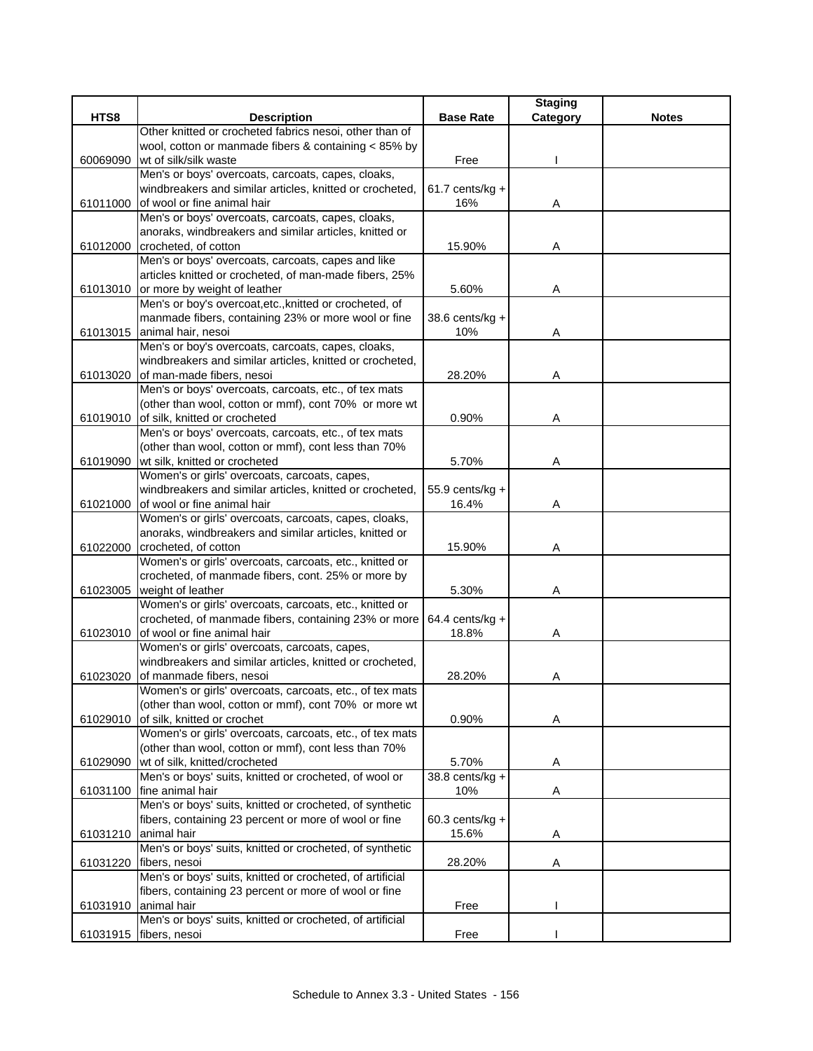|          |                                                                                         |                   | <b>Staging</b> |              |
|----------|-----------------------------------------------------------------------------------------|-------------------|----------------|--------------|
| HTS8     | <b>Description</b>                                                                      | <b>Base Rate</b>  | Category       | <b>Notes</b> |
|          | Other knitted or crocheted fabrics nesoi, other than of                                 |                   |                |              |
|          | wool, cotton or manmade fibers & containing < 85% by                                    |                   |                |              |
| 60069090 | wt of silk/silk waste                                                                   | Free              |                |              |
|          | Men's or boys' overcoats, carcoats, capes, cloaks,                                      |                   |                |              |
|          | windbreakers and similar articles, knitted or crocheted,<br>of wool or fine animal hair | $61.7$ cents/kg + |                |              |
| 61011000 | Men's or boys' overcoats, carcoats, capes, cloaks,                                      | 16%               | Α              |              |
|          | anoraks, windbreakers and similar articles, knitted or                                  |                   |                |              |
|          | 61012000 crocheted, of cotton                                                           | 15.90%            | Α              |              |
|          | Men's or boys' overcoats, carcoats, capes and like                                      |                   |                |              |
|          | articles knitted or crocheted, of man-made fibers, 25%                                  |                   |                |              |
|          | 61013010 or more by weight of leather                                                   | 5.60%             | Α              |              |
|          | Men's or boy's overcoat, etc., knitted or crocheted, of                                 |                   |                |              |
|          | manmade fibers, containing 23% or more wool or fine                                     | 38.6 cents/kg +   |                |              |
|          | 61013015 animal hair, nesoi                                                             | 10%               | Α              |              |
|          | Men's or boy's overcoats, carcoats, capes, cloaks,                                      |                   |                |              |
|          | windbreakers and similar articles, knitted or crocheted,                                |                   |                |              |
|          | 61013020 of man-made fibers, nesoi                                                      | 28.20%            | A              |              |
|          | Men's or boys' overcoats, carcoats, etc., of tex mats                                   |                   |                |              |
|          | (other than wool, cotton or mmf), cont 70% or more wt                                   |                   |                |              |
| 61019010 | of silk, knitted or crocheted                                                           | 0.90%             | Α              |              |
|          | Men's or boys' overcoats, carcoats, etc., of tex mats                                   |                   |                |              |
|          | (other than wool, cotton or mmf), cont less than 70%                                    |                   |                |              |
| 61019090 | wt silk, knitted or crocheted                                                           | 5.70%             | Α              |              |
|          | Women's or girls' overcoats, carcoats, capes,                                           |                   |                |              |
|          | windbreakers and similar articles, knitted or crocheted,                                | 55.9 cents/kg +   |                |              |
| 61021000 | of wool or fine animal hair                                                             | 16.4%             | A              |              |
|          | Women's or girls' overcoats, carcoats, capes, cloaks,                                   |                   |                |              |
| 61022000 | anoraks, windbreakers and similar articles, knitted or<br>crocheted, of cotton          | 15.90%            | Α              |              |
|          | Women's or girls' overcoats, carcoats, etc., knitted or                                 |                   |                |              |
|          | crocheted, of manmade fibers, cont. 25% or more by                                      |                   |                |              |
| 61023005 | weight of leather                                                                       | 5.30%             | Α              |              |
|          | Women's or girls' overcoats, carcoats, etc., knitted or                                 |                   |                |              |
|          | crocheted, of manmade fibers, containing 23% or more                                    | 64.4 cents/kg +   |                |              |
| 61023010 | of wool or fine animal hair                                                             | 18.8%             | Α              |              |
|          | Women's or girls' overcoats, carcoats, capes,                                           |                   |                |              |
|          | windbreakers and similar articles, knitted or crocheted,                                |                   |                |              |
| 61023020 | of manmade fibers, nesoi                                                                | 28.20%            | Α              |              |
|          | Women's or girls' overcoats, carcoats, etc., of tex mats                                |                   |                |              |
|          | (other than wool, cotton or mmf), cont 70% or more wt                                   |                   |                |              |
| 61029010 | of silk, knitted or crochet                                                             | 0.90%             | A              |              |
|          | Women's or girls' overcoats, carcoats, etc., of tex mats                                |                   |                |              |
|          | (other than wool, cotton or mmf), cont less than 70%                                    |                   |                |              |
| 61029090 | wt of silk, knitted/crocheted                                                           | 5.70%             | Α              |              |
|          | Men's or boys' suits, knitted or crocheted, of wool or                                  | $38.8$ cents/kg + |                |              |
| 61031100 | fine animal hair                                                                        | 10%               | Α              |              |
|          | Men's or boys' suits, knitted or crocheted, of synthetic                                |                   |                |              |
|          | fibers, containing 23 percent or more of wool or fine                                   | $60.3$ cents/kg + |                |              |
|          | 61031210 animal hair<br>Men's or boys' suits, knitted or crocheted, of synthetic        | 15.6%             | A              |              |
| 61031220 | fibers, nesoi                                                                           | 28.20%            | Α              |              |
|          | Men's or boys' suits, knitted or crocheted, of artificial                               |                   |                |              |
|          | fibers, containing 23 percent or more of wool or fine                                   |                   |                |              |
| 61031910 | animal hair                                                                             | Free              |                |              |
|          | Men's or boys' suits, knitted or crocheted, of artificial                               |                   |                |              |
| 61031915 | fibers, nesoi                                                                           | Free              |                |              |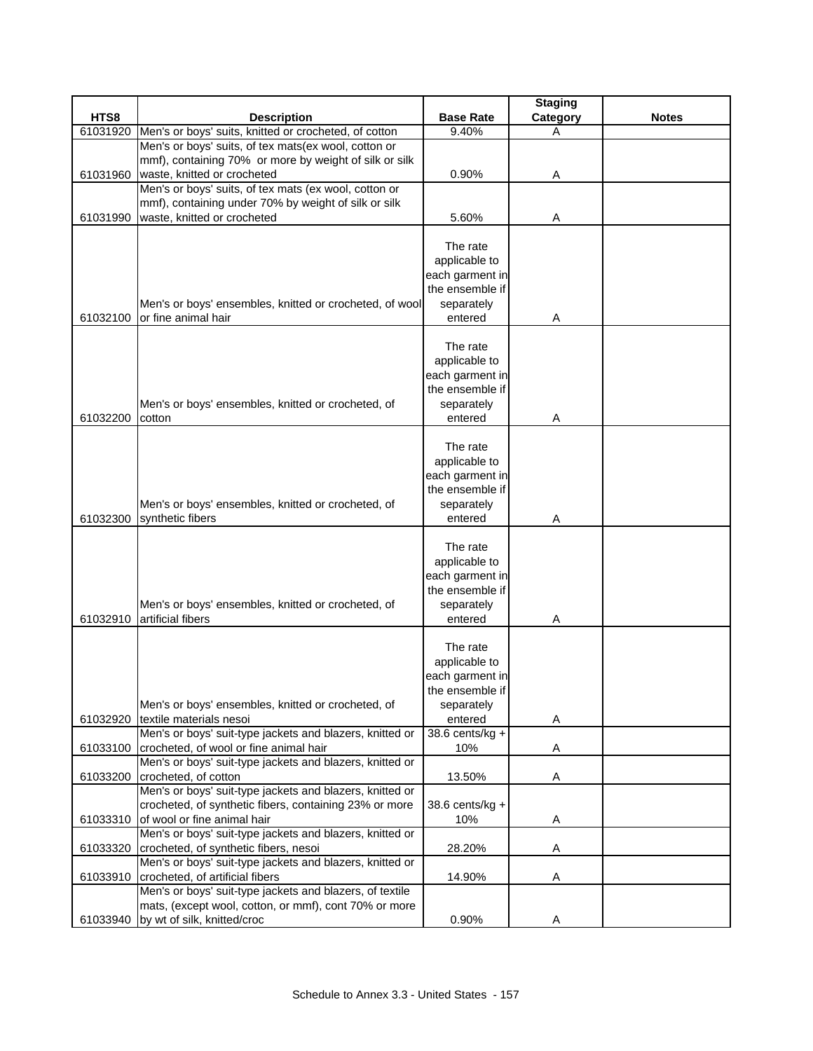|          |                                                                                     |                                    | <b>Staging</b> |              |
|----------|-------------------------------------------------------------------------------------|------------------------------------|----------------|--------------|
| HTS8     | <b>Description</b>                                                                  | <b>Base Rate</b>                   | Category       | <b>Notes</b> |
| 61031920 | Men's or boys' suits, knitted or crocheted, of cotton                               | 9.40%                              | Α              |              |
|          | Men's or boys' suits, of tex mats(ex wool, cotton or                                |                                    |                |              |
|          | mmf), containing 70% or more by weight of silk or silk                              |                                    |                |              |
| 61031960 | waste, knitted or crocheted                                                         | 0.90%                              | Α              |              |
|          | Men's or boys' suits, of tex mats (ex wool, cotton or                               |                                    |                |              |
|          | mmf), containing under 70% by weight of silk or silk<br>waste, knitted or crocheted | 5.60%                              |                |              |
| 61031990 |                                                                                     |                                    | Α              |              |
|          |                                                                                     | The rate                           |                |              |
|          |                                                                                     | applicable to                      |                |              |
|          |                                                                                     | each garment in                    |                |              |
|          |                                                                                     | the ensemble if                    |                |              |
|          | Men's or boys' ensembles, knitted or crocheted, of wool                             | separately                         |                |              |
| 61032100 | or fine animal hair                                                                 | entered                            | Α              |              |
|          |                                                                                     |                                    |                |              |
|          |                                                                                     | The rate                           |                |              |
|          |                                                                                     | applicable to                      |                |              |
|          |                                                                                     | each garment in                    |                |              |
|          |                                                                                     | the ensemble if                    |                |              |
|          | Men's or boys' ensembles, knitted or crocheted, of                                  | separately                         |                |              |
| 61032200 | cotton                                                                              | entered                            | Α              |              |
|          |                                                                                     |                                    |                |              |
|          |                                                                                     | The rate                           |                |              |
|          |                                                                                     | applicable to                      |                |              |
|          |                                                                                     | each garment in                    |                |              |
|          |                                                                                     | the ensemble if                    |                |              |
|          | Men's or boys' ensembles, knitted or crocheted, of                                  | separately                         |                |              |
| 61032300 | synthetic fibers                                                                    | entered                            | Α              |              |
|          |                                                                                     |                                    |                |              |
|          |                                                                                     | The rate                           |                |              |
|          |                                                                                     | applicable to                      |                |              |
|          |                                                                                     | each garment in                    |                |              |
|          |                                                                                     | the ensemble if                    |                |              |
|          | Men's or boys' ensembles, knitted or crocheted, of                                  | separately                         |                |              |
| 61032910 | artificial fibers                                                                   | entered                            | Α              |              |
|          |                                                                                     |                                    |                |              |
|          |                                                                                     | The rate                           |                |              |
|          |                                                                                     | applicable to                      |                |              |
|          |                                                                                     | each garment in<br>the ensemble if |                |              |
|          | Men's or boys' ensembles, knitted or crocheted, of                                  | separately                         |                |              |
| 61032920 | textile materials nesoi                                                             | entered                            | Α              |              |
|          | Men's or boys' suit-type jackets and blazers, knitted or                            | 38.6 cents/kg +                    |                |              |
| 61033100 | crocheted, of wool or fine animal hair                                              | 10%                                | A              |              |
|          | Men's or boys' suit-type jackets and blazers, knitted or                            |                                    |                |              |
| 61033200 | crocheted, of cotton                                                                | 13.50%                             | Α              |              |
|          | Men's or boys' suit-type jackets and blazers, knitted or                            |                                    |                |              |
|          | crocheted, of synthetic fibers, containing 23% or more                              | 38.6 cents/kg +                    |                |              |
| 61033310 | of wool or fine animal hair                                                         | 10%                                | Α              |              |
|          | Men's or boys' suit-type jackets and blazers, knitted or                            |                                    |                |              |
| 61033320 | crocheted, of synthetic fibers, nesoi                                               | 28.20%                             | Α              |              |
|          | Men's or boys' suit-type jackets and blazers, knitted or                            |                                    |                |              |
| 61033910 | crocheted, of artificial fibers                                                     | 14.90%                             | A              |              |
|          | Men's or boys' suit-type jackets and blazers, of textile                            |                                    |                |              |
|          | mats, (except wool, cotton, or mmf), cont 70% or more                               |                                    |                |              |
|          | 61033940 by wt of silk, knitted/croc                                                | 0.90%                              | Α              |              |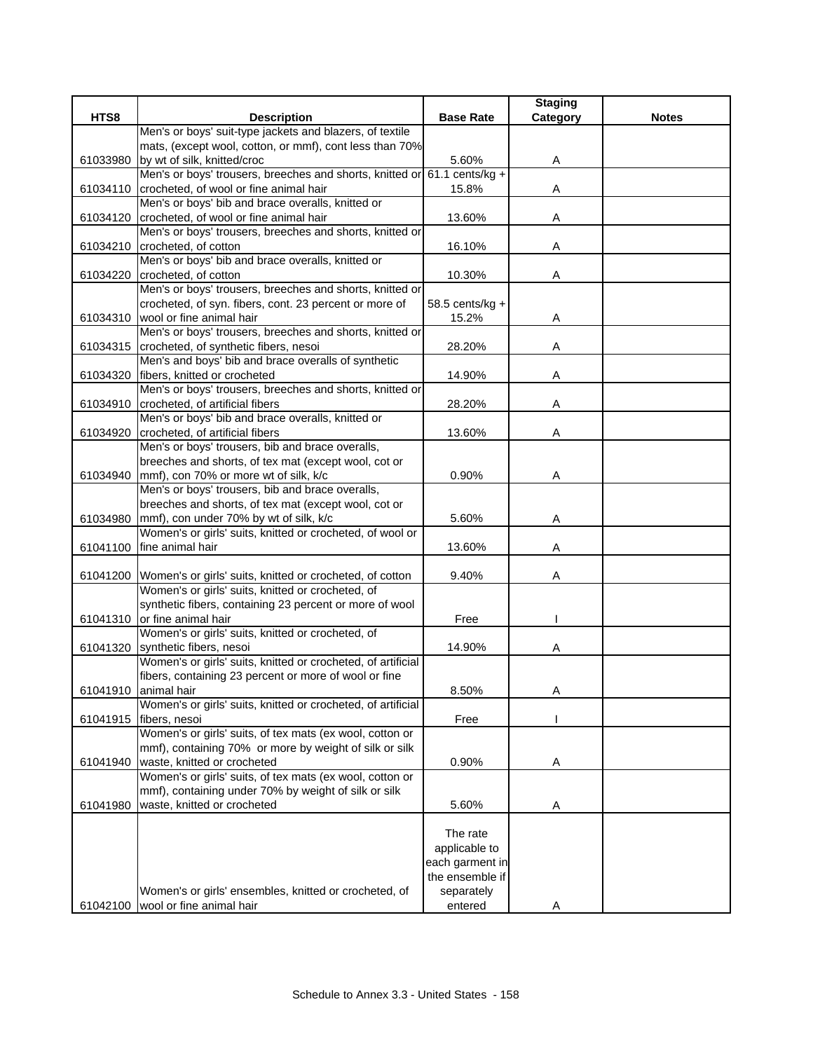|          |                                                                                                    |                  | <b>Staging</b> |              |
|----------|----------------------------------------------------------------------------------------------------|------------------|----------------|--------------|
| HTS8     | <b>Description</b>                                                                                 | <b>Base Rate</b> | Category       | <b>Notes</b> |
|          | Men's or boys' suit-type jackets and blazers, of textile                                           |                  |                |              |
|          | mats, (except wool, cotton, or mmf), cont less than 70%                                            |                  |                |              |
| 61033980 | by wt of silk, knitted/croc                                                                        | 5.60%            | A              |              |
|          | Men's or boys' trousers, breeches and shorts, knitted or 61.1 cents/kg +                           |                  |                |              |
|          | 61034110 crocheted, of wool or fine animal hair                                                    | 15.8%            | A              |              |
|          | Men's or boys' bib and brace overalls, knitted or                                                  |                  |                |              |
|          | 61034120 crocheted, of wool or fine animal hair                                                    | 13.60%           | Α              |              |
|          | Men's or boys' trousers, breeches and shorts, knitted or                                           |                  |                |              |
|          | 61034210 crocheted, of cotton                                                                      | 16.10%           | Α              |              |
|          | Men's or boys' bib and brace overalls, knitted or                                                  |                  |                |              |
| 61034220 | crocheted, of cotton                                                                               | 10.30%           | Α              |              |
|          | Men's or boys' trousers, breeches and shorts, knitted or                                           |                  |                |              |
|          | crocheted, of syn. fibers, cont. 23 percent or more of<br>61034310 wool or fine animal hair        | 58.5 cents/kg +  |                |              |
|          | Men's or boys' trousers, breeches and shorts, knitted or                                           | 15.2%            | Α              |              |
|          | 61034315 crocheted, of synthetic fibers, nesoi                                                     | 28.20%           |                |              |
|          | Men's and boys' bib and brace overalls of synthetic                                                |                  | Α              |              |
| 61034320 | fibers, knitted or crocheted                                                                       | 14.90%           | Α              |              |
|          | Men's or boys' trousers, breeches and shorts, knitted or                                           |                  |                |              |
|          | 61034910 crocheted, of artificial fibers                                                           | 28.20%           | Α              |              |
|          | Men's or boys' bib and brace overalls, knitted or                                                  |                  |                |              |
|          | 61034920 crocheted, of artificial fibers                                                           | 13.60%           | Α              |              |
|          | Men's or boys' trousers, bib and brace overalls,                                                   |                  |                |              |
|          | breeches and shorts, of tex mat (except wool, cot or                                               |                  |                |              |
|          | 61034940 mmf), con 70% or more wt of silk, k/c                                                     | 0.90%            | Α              |              |
|          | Men's or boys' trousers, bib and brace overalls,                                                   |                  |                |              |
|          | breeches and shorts, of tex mat (except wool, cot or                                               |                  |                |              |
| 61034980 | mmf), con under 70% by wt of silk, k/c                                                             | 5.60%            | Α              |              |
|          | Women's or girls' suits, knitted or crocheted, of wool or                                          |                  |                |              |
|          | 61041100 fine animal hair                                                                          | 13.60%           | Α              |              |
|          |                                                                                                    |                  |                |              |
|          | 61041200 Women's or girls' suits, knitted or crocheted, of cotton                                  | 9.40%            | Α              |              |
|          | Women's or girls' suits, knitted or crocheted, of                                                  |                  |                |              |
|          | synthetic fibers, containing 23 percent or more of wool                                            |                  |                |              |
|          | 61041310 or fine animal hair                                                                       | Free             |                |              |
|          | Women's or girls' suits, knitted or crocheted, of                                                  |                  |                |              |
|          | 61041320 synthetic fibers, nesoi                                                                   | 14.90%           | Α              |              |
|          | Women's or girls' suits, knitted or crocheted, of artificial                                       |                  |                |              |
|          | fibers, containing 23 percent or more of wool or fine                                              |                  |                |              |
|          | 61041910 animal hair                                                                               | 8.50%            | A              |              |
|          | Women's or girls' suits, knitted or crocheted, of artificial                                       |                  |                |              |
| 61041915 | fibers, nesoi                                                                                      | Free             |                |              |
|          | Women's or girls' suits, of tex mats (ex wool, cotton or                                           |                  |                |              |
|          | mmf), containing 70% or more by weight of silk or silk                                             |                  |                |              |
|          | 61041940   waste, knitted or crocheted<br>Women's or girls' suits, of tex mats (ex wool, cotton or | 0.90%            | A              |              |
|          | mmf), containing under 70% by weight of silk or silk                                               |                  |                |              |
| 61041980 | waste, knitted or crocheted                                                                        | 5.60%            |                |              |
|          |                                                                                                    |                  | A              |              |
|          |                                                                                                    | The rate         |                |              |
|          |                                                                                                    | applicable to    |                |              |
|          |                                                                                                    | each garment in  |                |              |
|          |                                                                                                    | the ensemble if  |                |              |
|          | Women's or girls' ensembles, knitted or crocheted, of                                              | separately       |                |              |
|          | 61042100 wool or fine animal hair                                                                  | entered          | Α              |              |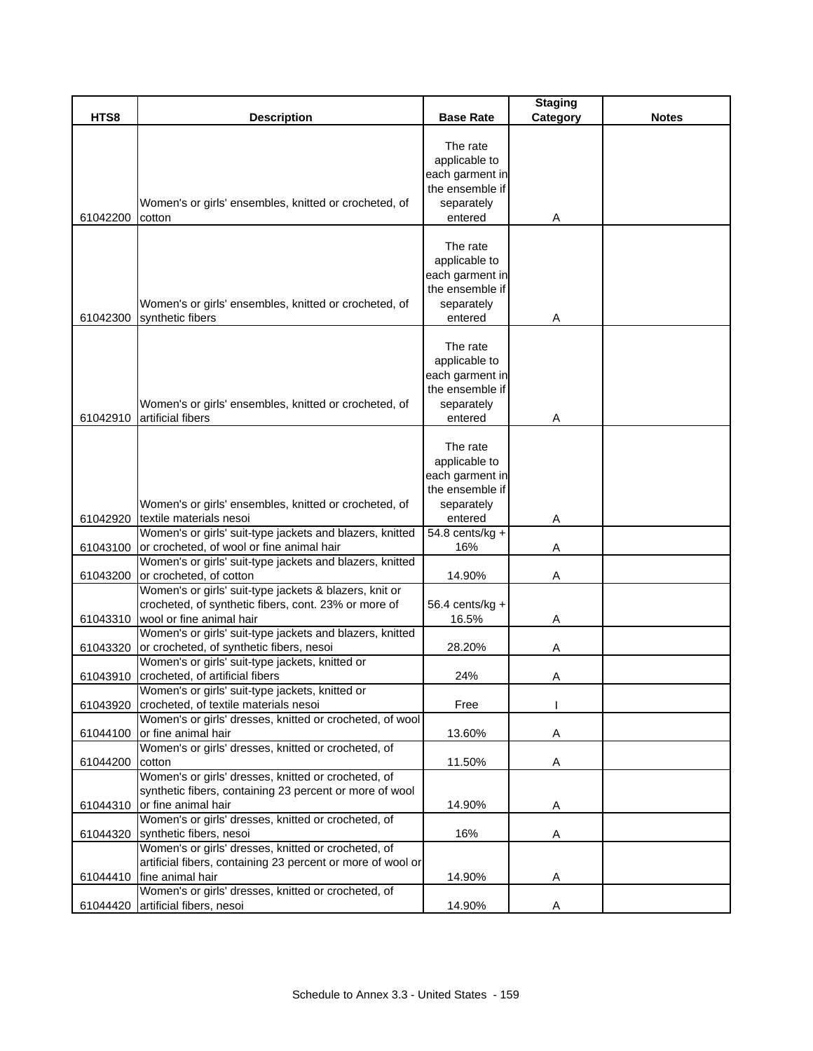|          |                                                                                                                                                                                                        |                                                                                          | <b>Staging</b> |              |
|----------|--------------------------------------------------------------------------------------------------------------------------------------------------------------------------------------------------------|------------------------------------------------------------------------------------------|----------------|--------------|
| HTS8     | <b>Description</b>                                                                                                                                                                                     | <b>Base Rate</b>                                                                         | Category       | <b>Notes</b> |
| 61042200 | Women's or girls' ensembles, knitted or crocheted, of<br>cotton                                                                                                                                        | The rate<br>applicable to<br>each garment in<br>the ensemble if<br>separately<br>entered | A              |              |
| 61042300 | Women's or girls' ensembles, knitted or crocheted, of<br>synthetic fibers                                                                                                                              | The rate<br>applicable to<br>each garment in<br>the ensemble if<br>separately<br>entered | Α              |              |
| 61042910 | Women's or girls' ensembles, knitted or crocheted, of<br>artificial fibers                                                                                                                             | The rate<br>applicable to<br>each garment in<br>the ensemble if<br>separately<br>entered | Α              |              |
|          | Women's or girls' ensembles, knitted or crocheted, of                                                                                                                                                  | The rate<br>applicable to<br>each garment in<br>the ensemble if<br>separately            |                |              |
| 61042920 | textile materials nesoi<br>Women's or girls' suit-type jackets and blazers, knitted                                                                                                                    | entered<br>54.8 cents/kg +                                                               | Α              |              |
| 61043100 | or crocheted, of wool or fine animal hair                                                                                                                                                              | 16%                                                                                      | Α              |              |
| 61043200 | Women's or girls' suit-type jackets and blazers, knitted<br>or crocheted, of cotton                                                                                                                    | 14.90%                                                                                   | Α              |              |
| 61043310 | Women's or girls' suit-type jackets & blazers, knit or<br>crocheted, of synthetic fibers, cont. 23% or more of<br>wool or fine animal hair<br>Women's or girls' suit-type jackets and blazers, knitted | 56.4 cents/kg +<br>16.5%                                                                 | Α              |              |
| 61043320 | or crocheted, of synthetic fibers, nesoi                                                                                                                                                               | 28.20%                                                                                   | Α              |              |
| 61043910 | Women's or girls' suit-type jackets, knitted or<br>crocheted, of artificial fibers                                                                                                                     | 24%                                                                                      | Α              |              |
| 61043920 | Women's or girls' suit-type jackets, knitted or<br>crocheted, of textile materials nesoi                                                                                                               | Free                                                                                     |                |              |
| 61044100 | Women's or girls' dresses, knitted or crocheted, of wool<br>or fine animal hair                                                                                                                        | 13.60%                                                                                   | Α              |              |
| 61044200 | Women's or girls' dresses, knitted or crocheted, of<br>cotton                                                                                                                                          | 11.50%                                                                                   | Α              |              |
| 61044310 | Women's or girls' dresses, knitted or crocheted, of<br>synthetic fibers, containing 23 percent or more of wool<br>or fine animal hair                                                                  | 14.90%                                                                                   | A              |              |
|          | Women's or girls' dresses, knitted or crocheted, of<br>61044320 synthetic fibers, nesoi<br>Women's or girls' dresses, knitted or crocheted, of                                                         | 16%                                                                                      | Α              |              |
| 61044410 | artificial fibers, containing 23 percent or more of wool or<br>fine animal hair                                                                                                                        | 14.90%                                                                                   | A              |              |
| 61044420 | Women's or girls' dresses, knitted or crocheted, of<br>artificial fibers, nesoi                                                                                                                        | 14.90%                                                                                   | A              |              |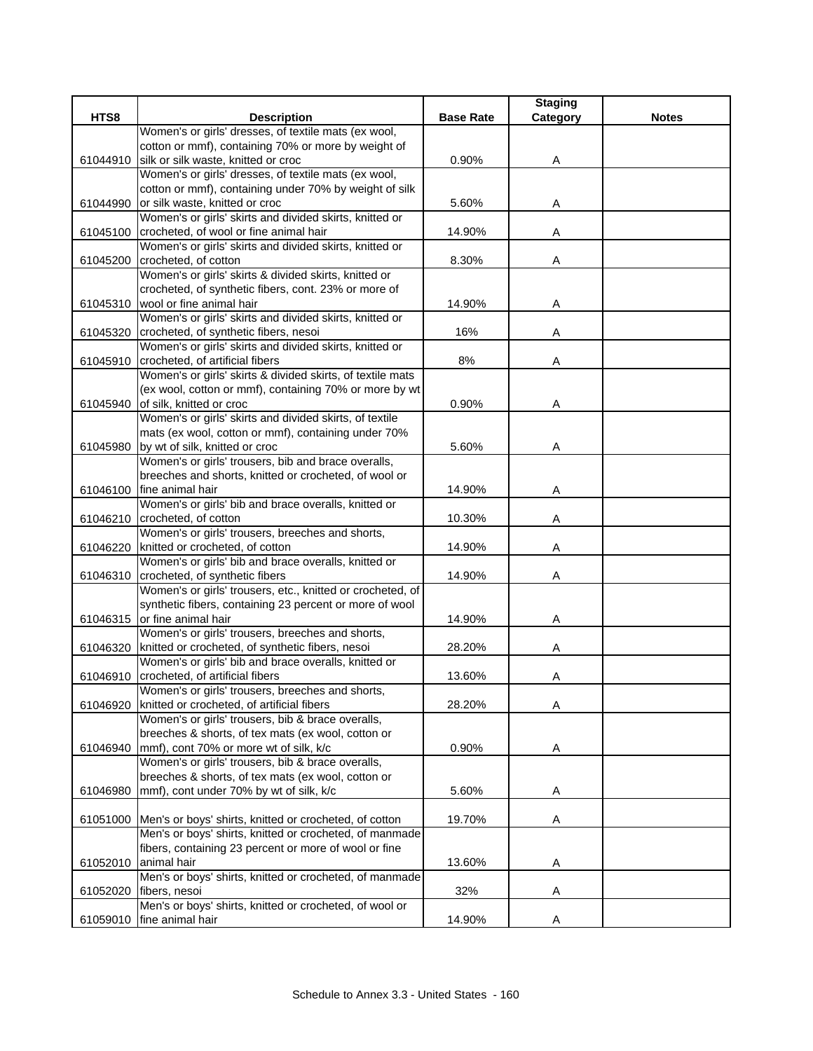|          |                                                                                 |                  | <b>Staging</b> |              |
|----------|---------------------------------------------------------------------------------|------------------|----------------|--------------|
| HTS8     | <b>Description</b><br>Women's or girls' dresses, of textile mats (ex wool,      | <b>Base Rate</b> | Category       | <b>Notes</b> |
|          | cotton or mmf), containing 70% or more by weight of                             |                  |                |              |
| 61044910 | silk or silk waste, knitted or croc                                             | 0.90%            | Α              |              |
|          | Women's or girls' dresses, of textile mats (ex wool,                            |                  |                |              |
|          | cotton or mmf), containing under 70% by weight of silk                          |                  |                |              |
| 61044990 | or silk waste, knitted or croc                                                  | 5.60%            | Α              |              |
|          | Women's or girls' skirts and divided skirts, knitted or                         |                  |                |              |
| 61045100 | crocheted, of wool or fine animal hair                                          | 14.90%           | Α              |              |
|          | Women's or girls' skirts and divided skirts, knitted or                         |                  |                |              |
|          | 61045200 crocheted, of cotton                                                   | 8.30%            | Α              |              |
|          | Women's or girls' skirts & divided skirts, knitted or                           |                  |                |              |
|          | crocheted, of synthetic fibers, cont. 23% or more of                            |                  |                |              |
| 61045310 | wool or fine animal hair                                                        | 14.90%           | A              |              |
|          | Women's or girls' skirts and divided skirts, knitted or                         |                  |                |              |
| 61045320 | crocheted, of synthetic fibers, nesoi                                           | 16%              | Α              |              |
|          | Women's or girls' skirts and divided skirts, knitted or                         |                  |                |              |
|          | 61045910 crocheted, of artificial fibers                                        | 8%               | Α              |              |
|          | Women's or girls' skirts & divided skirts, of textile mats                      |                  |                |              |
|          | (ex wool, cotton or mmf), containing 70% or more by wt                          |                  |                |              |
|          | 61045940 of silk, knitted or croc                                               | 0.90%            | Α              |              |
|          | Women's or girls' skirts and divided skirts, of textile                         |                  |                |              |
|          | mats (ex wool, cotton or mmf), containing under 70%                             |                  |                |              |
| 61045980 | by wt of silk, knitted or croc                                                  | 5.60%            | Α              |              |
|          | Women's or girls' trousers, bib and brace overalls,                             |                  |                |              |
|          | breeches and shorts, knitted or crocheted, of wool or                           |                  |                |              |
| 61046100 | fine animal hair                                                                | 14.90%           | Α              |              |
|          | Women's or girls' bib and brace overalls, knitted or                            |                  |                |              |
| 61046210 | crocheted, of cotton                                                            | 10.30%           | Α              |              |
|          | Women's or girls' trousers, breeches and shorts,                                |                  |                |              |
|          | 61046220 knitted or crocheted, of cotton                                        | 14.90%           | Α              |              |
|          | Women's or girls' bib and brace overalls, knitted or                            |                  |                |              |
| 61046310 | crocheted, of synthetic fibers                                                  | 14.90%           | Α              |              |
|          | Women's or girls' trousers, etc., knitted or crocheted, of                      |                  |                |              |
|          | synthetic fibers, containing 23 percent or more of wool                         |                  |                |              |
|          | 61046315 or fine animal hair                                                    | 14.90%           | Α              |              |
|          | Women's or girls' trousers, breeches and shorts,                                |                  |                |              |
| 61046320 | knitted or crocheted, of synthetic fibers, nesoi                                | 28.20%           | Α              |              |
|          | Women's or girls' bib and brace overalls, knitted or                            |                  |                |              |
|          | 61046910 crocheted, of artificial fibers                                        | 13.60%           | Α              |              |
|          | Women's or girls' trousers, breeches and shorts,                                |                  |                |              |
| 61046920 | knitted or crocheted, of artificial fibers                                      | 28.20%           | Α              |              |
|          | Women's or girls' trousers, bib & brace overalls,                               |                  |                |              |
|          | breeches & shorts, of tex mats (ex wool, cotton or                              |                  |                |              |
| 61046940 | mmf), cont 70% or more wt of silk, k/c                                          | 0.90%            | Α              |              |
|          | Women's or girls' trousers, bib & brace overalls,                               |                  |                |              |
|          | breeches & shorts, of tex mats (ex wool, cotton or                              |                  |                |              |
| 61046980 | mmf), cont under 70% by wt of silk, k/c                                         | 5.60%            | A              |              |
|          |                                                                                 |                  |                |              |
|          | 61051000 Men's or boys' shirts, knitted or crocheted, of cotton                 | 19.70%           | Α              |              |
|          | Men's or boys' shirts, knitted or crocheted, of manmade                         |                  |                |              |
|          | fibers, containing 23 percent or more of wool or fine                           |                  |                |              |
|          | 61052010 animal hair<br>Men's or boys' shirts, knitted or crocheted, of manmade | 13.60%           | A              |              |
|          | fibers, nesoi                                                                   | 32%              | Α              |              |
| 61052020 | Men's or boys' shirts, knitted or crocheted, of wool or                         |                  |                |              |
| 61059010 | fine animal hair                                                                | 14.90%           | A              |              |
|          |                                                                                 |                  |                |              |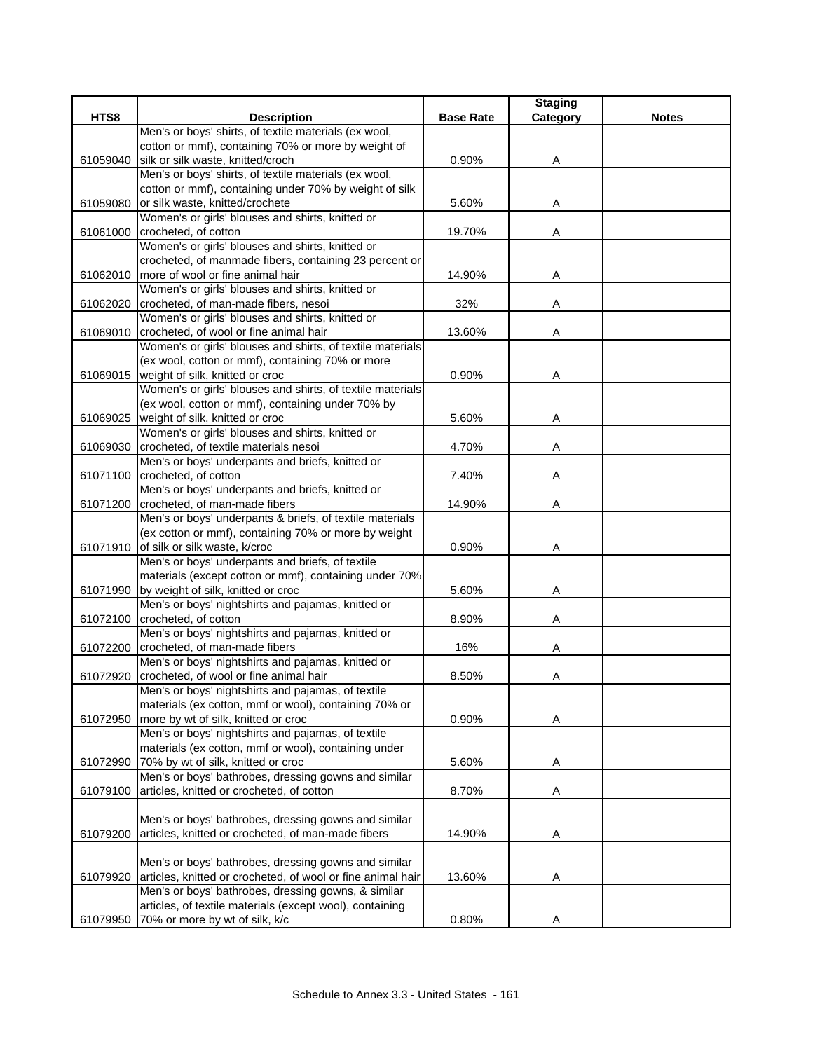|          |                                                             |                  | <b>Staging</b> |              |
|----------|-------------------------------------------------------------|------------------|----------------|--------------|
| HTS8     | <b>Description</b>                                          | <b>Base Rate</b> | Category       | <b>Notes</b> |
|          | Men's or boys' shirts, of textile materials (ex wool,       |                  |                |              |
|          | cotton or mmf), containing 70% or more by weight of         |                  |                |              |
| 61059040 | silk or silk waste, knitted/croch                           | 0.90%            | Α              |              |
|          | Men's or boys' shirts, of textile materials (ex wool,       |                  |                |              |
|          | cotton or mmf), containing under 70% by weight of silk      |                  |                |              |
| 61059080 | or silk waste, knitted/crochete                             | 5.60%            | Α              |              |
|          | Women's or girls' blouses and shirts, knitted or            |                  |                |              |
| 61061000 | crocheted, of cotton                                        | 19.70%           | Α              |              |
|          | Women's or girls' blouses and shirts, knitted or            |                  |                |              |
|          | crocheted, of manmade fibers, containing 23 percent or      |                  |                |              |
|          | 61062010   more of wool or fine animal hair                 | 14.90%           | Α              |              |
|          | Women's or girls' blouses and shirts, knitted or            |                  |                |              |
| 61062020 | crocheted, of man-made fibers, nesoi                        | 32%              | Α              |              |
|          | Women's or girls' blouses and shirts, knitted or            |                  |                |              |
|          | 61069010 crocheted, of wool or fine animal hair             | 13.60%           | A              |              |
|          | Women's or girls' blouses and shirts, of textile materials  |                  |                |              |
|          | (ex wool, cotton or mmf), containing 70% or more            |                  |                |              |
| 61069015 | weight of silk, knitted or croc                             | 0.90%            | Α              |              |
|          | Women's or girls' blouses and shirts, of textile materials  |                  |                |              |
|          | (ex wool, cotton or mmf), containing under 70% by           |                  |                |              |
| 61069025 | weight of silk, knitted or croc                             | 5.60%            | Α              |              |
|          | Women's or girls' blouses and shirts, knitted or            |                  |                |              |
| 61069030 | crocheted, of textile materials nesoi                       | 4.70%            | Α              |              |
|          | Men's or boys' underpants and briefs, knitted or            |                  |                |              |
|          | 61071100 crocheted, of cotton                               | 7.40%            | Α              |              |
|          | Men's or boys' underpants and briefs, knitted or            |                  |                |              |
|          | 61071200 crocheted, of man-made fibers                      | 14.90%           | Α              |              |
|          | Men's or boys' underpants & briefs, of textile materials    |                  |                |              |
|          | (ex cotton or mmf), containing 70% or more by weight        |                  |                |              |
|          | 61071910 of silk or silk waste, k/croc                      | 0.90%            | Α              |              |
|          | Men's or boys' underpants and briefs, of textile            |                  |                |              |
|          | materials (except cotton or mmf), containing under 70%      |                  |                |              |
|          | 61071990 by weight of silk, knitted or croc                 | 5.60%            | Α              |              |
|          | Men's or boys' nightshirts and pajamas, knitted or          |                  |                |              |
|          | 61072100 crocheted, of cotton                               | 8.90%            | Α              |              |
|          | Men's or boys' nightshirts and pajamas, knitted or          |                  |                |              |
|          | 61072200 crocheted, of man-made fibers                      | 16%              | Α              |              |
|          | Men's or boys' nightshirts and pajamas, knitted or          |                  |                |              |
| 61072920 | crocheted, of wool or fine animal hair                      | 8.50%            | Α              |              |
|          | Men's or boys' nightshirts and pajamas, of textile          |                  |                |              |
|          | materials (ex cotton, mmf or wool), containing 70% or       |                  |                |              |
| 61072950 | more by wt of silk, knitted or croc                         | 0.90%            | Α              |              |
|          | Men's or boys' nightshirts and pajamas, of textile          |                  |                |              |
|          | materials (ex cotton, mmf or wool), containing under        |                  |                |              |
|          | 61072990 70% by wt of silk, knitted or croc                 | 5.60%            | Α              |              |
|          | Men's or boys' bathrobes, dressing gowns and similar        |                  |                |              |
| 61079100 | articles, knitted or crocheted, of cotton                   | 8.70%            | Α              |              |
|          |                                                             |                  |                |              |
|          | Men's or boys' bathrobes, dressing gowns and similar        |                  |                |              |
| 61079200 | articles, knitted or crocheted, of man-made fibers          | 14.90%           | A              |              |
|          |                                                             |                  |                |              |
|          | Men's or boys' bathrobes, dressing gowns and similar        |                  |                |              |
| 61079920 | articles, knitted or crocheted, of wool or fine animal hair | 13.60%           | Α              |              |
|          | Men's or boys' bathrobes, dressing gowns, & similar         |                  |                |              |
|          | articles, of textile materials (except wool), containing    |                  |                |              |
| 61079950 | 70% or more by wt of silk, k/c                              | 0.80%            | Α              |              |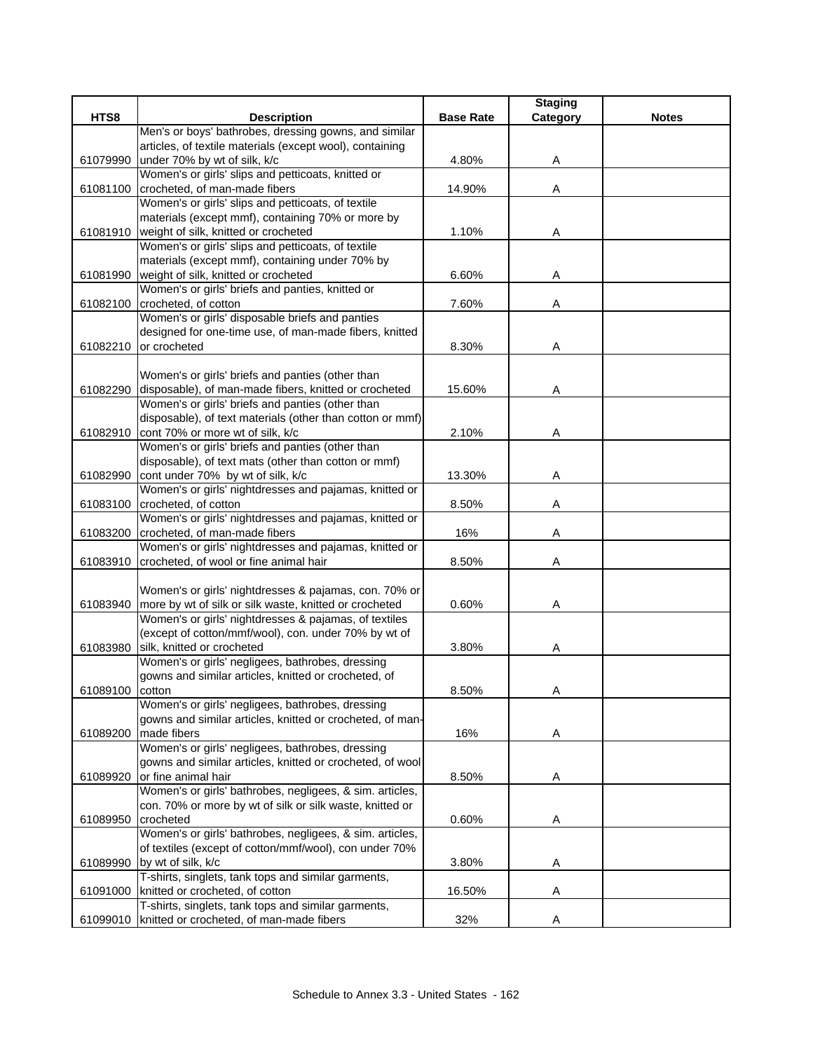|          |                                                                             | <b>Base Rate</b> | <b>Staging</b> | <b>Notes</b> |
|----------|-----------------------------------------------------------------------------|------------------|----------------|--------------|
| HTS8     | <b>Description</b><br>Men's or boys' bathrobes, dressing gowns, and similar |                  | Category       |              |
|          | articles, of textile materials (except wool), containing                    |                  |                |              |
|          | under 70% by wt of silk, k/c                                                | 4.80%            |                |              |
| 61079990 | Women's or girls' slips and petticoats, knitted or                          |                  | Α              |              |
| 61081100 | crocheted, of man-made fibers                                               | 14.90%           | Α              |              |
|          | Women's or girls' slips and petticoats, of textile                          |                  |                |              |
|          | materials (except mmf), containing 70% or more by                           |                  |                |              |
| 61081910 | weight of silk, knitted or crocheted                                        | 1.10%            | Α              |              |
|          | Women's or girls' slips and petticoats, of textile                          |                  |                |              |
|          | materials (except mmf), containing under 70% by                             |                  |                |              |
| 61081990 | weight of silk, knitted or crocheted                                        | 6.60%            | Α              |              |
|          | Women's or girls' briefs and panties, knitted or                            |                  |                |              |
| 61082100 | crocheted, of cotton                                                        | 7.60%            | Α              |              |
|          | Women's or girls' disposable briefs and panties                             |                  |                |              |
|          | designed for one-time use, of man-made fibers, knitted                      |                  |                |              |
| 61082210 | or crocheted                                                                | 8.30%            | Α              |              |
|          |                                                                             |                  |                |              |
|          | Women's or girls' briefs and panties (other than                            |                  |                |              |
| 61082290 | disposable), of man-made fibers, knitted or crocheted                       | 15.60%           | Α              |              |
|          | Women's or girls' briefs and panties (other than                            |                  |                |              |
|          | disposable), of text materials (other than cotton or mmf)                   |                  |                |              |
| 61082910 | cont 70% or more wt of silk, k/c                                            | 2.10%            | Α              |              |
|          | Women's or girls' briefs and panties (other than                            |                  |                |              |
|          | disposable), of text mats (other than cotton or mmf)                        |                  |                |              |
| 61082990 | cont under 70% by wt of silk, k/c                                           | 13.30%           | Α              |              |
|          | Women's or girls' nightdresses and pajamas, knitted or                      |                  |                |              |
| 61083100 | crocheted, of cotton                                                        | 8.50%            | Α              |              |
|          | Women's or girls' nightdresses and pajamas, knitted or                      |                  |                |              |
| 61083200 | crocheted, of man-made fibers                                               | 16%              | Α              |              |
|          | Women's or girls' nightdresses and pajamas, knitted or                      |                  |                |              |
| 61083910 | crocheted, of wool or fine animal hair                                      | 8.50%            | Α              |              |
|          |                                                                             |                  |                |              |
|          | Women's or girls' nightdresses & pajamas, con. 70% or                       |                  |                |              |
| 61083940 | more by wt of silk or silk waste, knitted or crocheted                      | 0.60%            | Α              |              |
|          | Women's or girls' nightdresses & pajamas, of textiles                       |                  |                |              |
|          | (except of cotton/mmf/wool), con. under 70% by wt of                        |                  |                |              |
| 61083980 | silk, knitted or crocheted                                                  | 3.80%            | Α              |              |
|          | Women's or girls' negligees, bathrobes, dressing                            |                  |                |              |
|          | gowns and similar articles, knitted or crocheted, of                        |                  |                |              |
| 61089100 | cotton                                                                      | 8.50%            | A              |              |
|          | Women's or girls' negligees, bathrobes, dressing                            |                  |                |              |
|          | gowns and similar articles, knitted or crocheted, of man-                   |                  |                |              |
| 61089200 | made fibers                                                                 | 16%              | Α              |              |
|          | Women's or girls' negligees, bathrobes, dressing                            |                  |                |              |
|          | gowns and similar articles, knitted or crocheted, of wool                   |                  |                |              |
| 61089920 | or fine animal hair                                                         | 8.50%            | Α              |              |
|          | Women's or girls' bathrobes, negligees, & sim. articles,                    |                  |                |              |
|          | con. 70% or more by wt of silk or silk waste, knitted or                    |                  |                |              |
| 61089950 | crocheted                                                                   | 0.60%            | A              |              |
|          | Women's or girls' bathrobes, negligees, & sim. articles,                    |                  |                |              |
|          | of textiles (except of cotton/mmf/wool), con under 70%                      |                  |                |              |
| 61089990 | by wt of silk, k/c                                                          | 3.80%            | A              |              |
|          | T-shirts, singlets, tank tops and similar garments,                         |                  |                |              |
| 61091000 | knitted or crocheted, of cotton                                             | 16.50%           | Α              |              |
|          | T-shirts, singlets, tank tops and similar garments,                         |                  |                |              |
| 61099010 | knitted or crocheted, of man-made fibers                                    | 32%              | A              |              |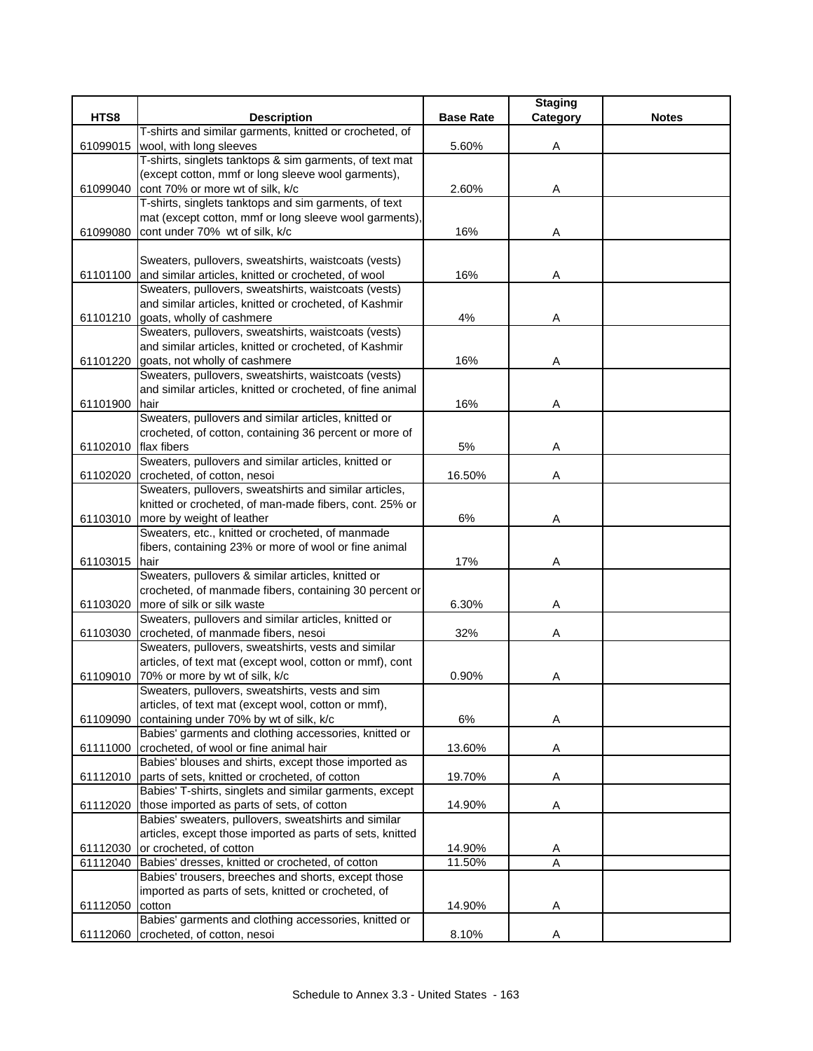|          |                                                               |                  | <b>Staging</b> |              |
|----------|---------------------------------------------------------------|------------------|----------------|--------------|
| HTS8     | <b>Description</b>                                            | <b>Base Rate</b> | Category       | <b>Notes</b> |
|          | T-shirts and similar garments, knitted or crocheted, of       |                  |                |              |
| 61099015 | wool, with long sleeves                                       | 5.60%            | Α              |              |
|          | T-shirts, singlets tanktops & sim garments, of text mat       |                  |                |              |
|          | (except cotton, mmf or long sleeve wool garments),            |                  |                |              |
| 61099040 | cont 70% or more wt of silk, k/c                              | 2.60%            | A              |              |
|          | T-shirts, singlets tanktops and sim garments, of text         |                  |                |              |
|          | mat (except cotton, mmf or long sleeve wool garments),        |                  |                |              |
| 61099080 | cont under 70% wt of silk, k/c                                | 16%              | Α              |              |
|          |                                                               |                  |                |              |
|          | Sweaters, pullovers, sweatshirts, waistcoats (vests)          |                  |                |              |
| 61101100 | and similar articles, knitted or crocheted, of wool           | 16%              | Α              |              |
|          | Sweaters, pullovers, sweatshirts, waistcoats (vests)          |                  |                |              |
|          | and similar articles, knitted or crocheted, of Kashmir        |                  |                |              |
| 61101210 | goats, wholly of cashmere                                     | 4%               | A              |              |
|          | Sweaters, pullovers, sweatshirts, waistcoats (vests)          |                  |                |              |
|          | and similar articles, knitted or crocheted, of Kashmir        |                  |                |              |
| 61101220 | goats, not wholly of cashmere                                 | 16%              | A              |              |
|          | Sweaters, pullovers, sweatshirts, waistcoats (vests)          |                  |                |              |
|          | and similar articles, knitted or crocheted, of fine animal    |                  |                |              |
| 61101900 | hair                                                          | 16%              | Α              |              |
|          | Sweaters, pullovers and similar articles, knitted or          |                  |                |              |
|          | crocheted, of cotton, containing 36 percent or more of        |                  |                |              |
| 61102010 | flax fibers                                                   | 5%               | Α              |              |
|          | Sweaters, pullovers and similar articles, knitted or          |                  |                |              |
| 61102020 | crocheted, of cotton, nesoi                                   | 16.50%           | Α              |              |
|          | Sweaters, pullovers, sweatshirts and similar articles,        |                  |                |              |
|          | knitted or crocheted, of man-made fibers, cont. 25% or        |                  |                |              |
| 61103010 | more by weight of leather                                     | 6%               | Α              |              |
|          | Sweaters, etc., knitted or crocheted, of manmade              |                  |                |              |
| 61103015 | fibers, containing 23% or more of wool or fine animal<br>hair | 17%              |                |              |
|          | Sweaters, pullovers & similar articles, knitted or            |                  | Α              |              |
|          | crocheted, of manmade fibers, containing 30 percent or        |                  |                |              |
| 61103020 | more of silk or silk waste                                    | 6.30%            | Α              |              |
|          | Sweaters, pullovers and similar articles, knitted or          |                  |                |              |
| 61103030 | crocheted, of manmade fibers, nesoi                           | 32%              | Α              |              |
|          | Sweaters, pullovers, sweatshirts, vests and similar           |                  |                |              |
|          | articles, of text mat (except wool, cotton or mmf), cont      |                  |                |              |
| 61109010 | 70% or more by wt of silk, k/c                                | 0.90%            | Α              |              |
|          | Sweaters, pullovers, sweatshirts, vests and sim               |                  |                |              |
|          | articles, of text mat (except wool, cotton or mmf),           |                  |                |              |
| 61109090 | containing under 70% by wt of silk, k/c                       | 6%               | Α              |              |
|          | Babies' garments and clothing accessories, knitted or         |                  |                |              |
| 61111000 | crocheted, of wool or fine animal hair                        | 13.60%           | Α              |              |
|          | Babies' blouses and shirts, except those imported as          |                  |                |              |
| 61112010 | parts of sets, knitted or crocheted, of cotton                | 19.70%           | A              |              |
|          | Babies' T-shirts, singlets and similar garments, except       |                  |                |              |
| 61112020 | those imported as parts of sets, of cotton                    | 14.90%           | Α              |              |
|          | Babies' sweaters, pullovers, sweatshirts and similar          |                  |                |              |
|          | articles, except those imported as parts of sets, knitted     |                  |                |              |
| 61112030 | or crocheted, of cotton                                       | 14.90%           | A              |              |
| 61112040 | Babies' dresses, knitted or crocheted, of cotton              | 11.50%           | A              |              |
|          | Babies' trousers, breeches and shorts, except those           |                  |                |              |
|          | imported as parts of sets, knitted or crocheted, of           |                  |                |              |
| 61112050 | cotton                                                        | 14.90%           | A              |              |
|          | Babies' garments and clothing accessories, knitted or         |                  |                |              |
| 61112060 | crocheted, of cotton, nesoi                                   | 8.10%            | Α              |              |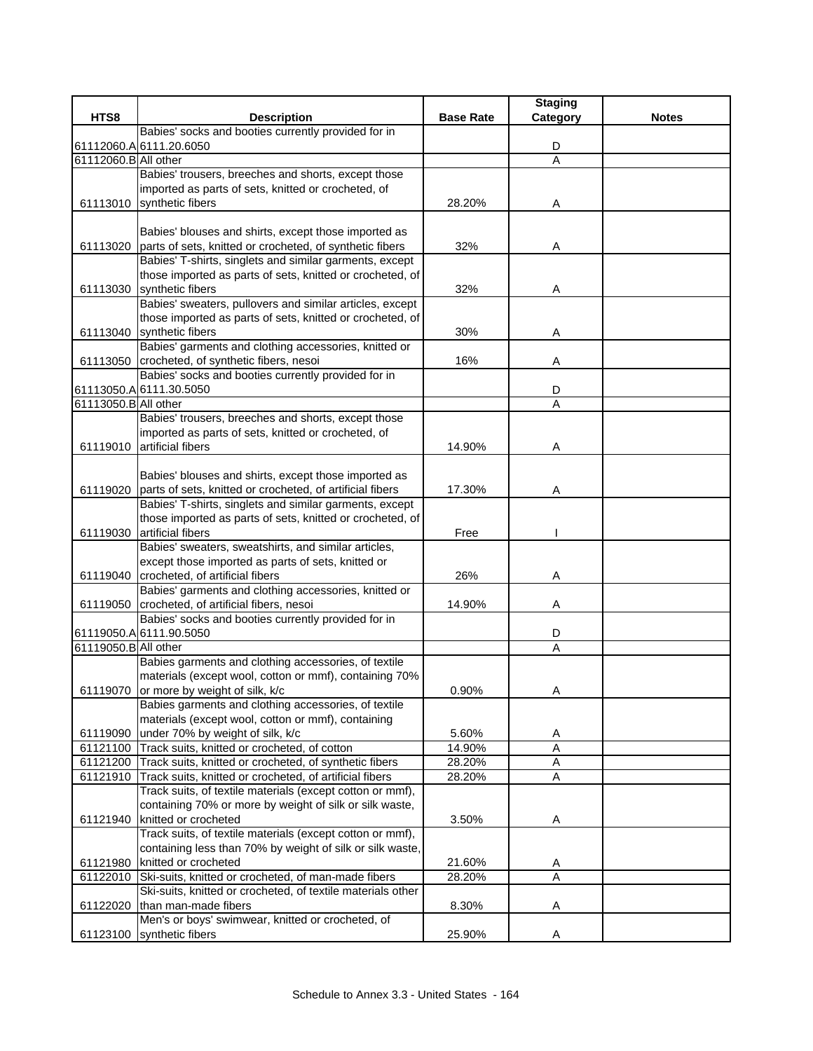| HTS8<br><b>Description</b><br><b>Base Rate</b><br><b>Notes</b><br>Category<br>Babies' socks and booties currently provided for in<br>61112060.A 6111.20.6050<br>D<br>61112060.B All other<br>A<br>Babies' trousers, breeches and shorts, except those<br>imported as parts of sets, knitted or crocheted, of<br>61113010 synthetic fibers<br>28.20%<br>A<br>Babies' blouses and shirts, except those imported as<br>61113020 parts of sets, knitted or crocheted, of synthetic fibers<br>32%<br>Α<br>Babies' T-shirts, singlets and similar garments, except<br>those imported as parts of sets, knitted or crocheted, of<br>61113030 synthetic fibers<br>32%<br>Α<br>Babies' sweaters, pullovers and similar articles, except<br>those imported as parts of sets, knitted or crocheted, of<br>61113040 synthetic fibers<br>30%<br>Α<br>Babies' garments and clothing accessories, knitted or<br>61113050 crocheted, of synthetic fibers, nesoi<br>16%<br>Α<br>Babies' socks and booties currently provided for in<br>D<br>61113050.A 6111.30.5050<br>61113050.B All other<br>$\overline{A}$<br>Babies' trousers, breeches and shorts, except those<br>imported as parts of sets, knitted or crocheted, of<br>artificial fibers<br>14.90%<br>61119010<br>Α<br>Babies' blouses and shirts, except those imported as<br>61119020 parts of sets, knitted or crocheted, of artificial fibers<br>17.30%<br>Α<br>Babies' T-shirts, singlets and similar garments, except<br>those imported as parts of sets, knitted or crocheted, of<br>61119030 artificial fibers<br>Free<br>Babies' sweaters, sweatshirts, and similar articles,<br>except those imported as parts of sets, knitted or<br>61119040 crocheted, of artificial fibers<br>26%<br>Α<br>Babies' garments and clothing accessories, knitted or<br>61119050 crocheted, of artificial fibers, nesoi<br>14.90%<br>Α<br>Babies' socks and booties currently provided for in<br>61119050.A 6111.90.5050<br>D<br>61119050.B All other<br>A<br>Babies garments and clothing accessories, of textile<br>materials (except wool, cotton or mmf), containing 70%<br>61119070 or more by weight of silk, k/c<br>0.90%<br>Α<br>Babies garments and clothing accessories, of textile<br>materials (except wool, cotton or mmf), containing<br>under 70% by weight of silk, k/c<br>5.60%<br>61119090<br>A<br>A<br>61121100 Track suits, knitted or crocheted, of cotton<br>14.90%<br>28.20%<br>$\mathsf A$<br>61121200 Track suits, knitted or crocheted, of synthetic fibers<br>Track suits, knitted or crocheted, of artificial fibers<br>61121910<br>28.20%<br>Α<br>Track suits, of textile materials (except cotton or mmf),<br>containing 70% or more by weight of silk or silk waste,<br>61121940 knitted or crocheted<br>3.50%<br>A<br>Track suits, of textile materials (except cotton or mmf),<br>containing less than 70% by weight of silk or silk waste,<br>knitted or crocheted<br>21.60%<br>61121980<br>A<br>Ski-suits, knitted or crocheted, of man-made fibers<br>28.20%<br>Α<br>61122010<br>Ski-suits, knitted or crocheted, of textile materials other<br>61122020 than man-made fibers<br>8.30%<br>Α |                                                   | <b>Staging</b> |  |
|-----------------------------------------------------------------------------------------------------------------------------------------------------------------------------------------------------------------------------------------------------------------------------------------------------------------------------------------------------------------------------------------------------------------------------------------------------------------------------------------------------------------------------------------------------------------------------------------------------------------------------------------------------------------------------------------------------------------------------------------------------------------------------------------------------------------------------------------------------------------------------------------------------------------------------------------------------------------------------------------------------------------------------------------------------------------------------------------------------------------------------------------------------------------------------------------------------------------------------------------------------------------------------------------------------------------------------------------------------------------------------------------------------------------------------------------------------------------------------------------------------------------------------------------------------------------------------------------------------------------------------------------------------------------------------------------------------------------------------------------------------------------------------------------------------------------------------------------------------------------------------------------------------------------------------------------------------------------------------------------------------------------------------------------------------------------------------------------------------------------------------------------------------------------------------------------------------------------------------------------------------------------------------------------------------------------------------------------------------------------------------------------------------------------------------------------------------------------------------------------------------------------------------------------------------------------------------------------------------------------------------------------------------------------------------------------------------------------------------------------------------------------------------------------------------------------------------------------------------------------------------------------------------------------------------------------------------------------------------------------------------------------------------------------------------------------------------------------------------------------------------------------------------------------|---------------------------------------------------|----------------|--|
|                                                                                                                                                                                                                                                                                                                                                                                                                                                                                                                                                                                                                                                                                                                                                                                                                                                                                                                                                                                                                                                                                                                                                                                                                                                                                                                                                                                                                                                                                                                                                                                                                                                                                                                                                                                                                                                                                                                                                                                                                                                                                                                                                                                                                                                                                                                                                                                                                                                                                                                                                                                                                                                                                                                                                                                                                                                                                                                                                                                                                                                                                                                                                                 |                                                   |                |  |
|                                                                                                                                                                                                                                                                                                                                                                                                                                                                                                                                                                                                                                                                                                                                                                                                                                                                                                                                                                                                                                                                                                                                                                                                                                                                                                                                                                                                                                                                                                                                                                                                                                                                                                                                                                                                                                                                                                                                                                                                                                                                                                                                                                                                                                                                                                                                                                                                                                                                                                                                                                                                                                                                                                                                                                                                                                                                                                                                                                                                                                                                                                                                                                 |                                                   |                |  |
|                                                                                                                                                                                                                                                                                                                                                                                                                                                                                                                                                                                                                                                                                                                                                                                                                                                                                                                                                                                                                                                                                                                                                                                                                                                                                                                                                                                                                                                                                                                                                                                                                                                                                                                                                                                                                                                                                                                                                                                                                                                                                                                                                                                                                                                                                                                                                                                                                                                                                                                                                                                                                                                                                                                                                                                                                                                                                                                                                                                                                                                                                                                                                                 |                                                   |                |  |
|                                                                                                                                                                                                                                                                                                                                                                                                                                                                                                                                                                                                                                                                                                                                                                                                                                                                                                                                                                                                                                                                                                                                                                                                                                                                                                                                                                                                                                                                                                                                                                                                                                                                                                                                                                                                                                                                                                                                                                                                                                                                                                                                                                                                                                                                                                                                                                                                                                                                                                                                                                                                                                                                                                                                                                                                                                                                                                                                                                                                                                                                                                                                                                 |                                                   |                |  |
|                                                                                                                                                                                                                                                                                                                                                                                                                                                                                                                                                                                                                                                                                                                                                                                                                                                                                                                                                                                                                                                                                                                                                                                                                                                                                                                                                                                                                                                                                                                                                                                                                                                                                                                                                                                                                                                                                                                                                                                                                                                                                                                                                                                                                                                                                                                                                                                                                                                                                                                                                                                                                                                                                                                                                                                                                                                                                                                                                                                                                                                                                                                                                                 |                                                   |                |  |
|                                                                                                                                                                                                                                                                                                                                                                                                                                                                                                                                                                                                                                                                                                                                                                                                                                                                                                                                                                                                                                                                                                                                                                                                                                                                                                                                                                                                                                                                                                                                                                                                                                                                                                                                                                                                                                                                                                                                                                                                                                                                                                                                                                                                                                                                                                                                                                                                                                                                                                                                                                                                                                                                                                                                                                                                                                                                                                                                                                                                                                                                                                                                                                 |                                                   |                |  |
|                                                                                                                                                                                                                                                                                                                                                                                                                                                                                                                                                                                                                                                                                                                                                                                                                                                                                                                                                                                                                                                                                                                                                                                                                                                                                                                                                                                                                                                                                                                                                                                                                                                                                                                                                                                                                                                                                                                                                                                                                                                                                                                                                                                                                                                                                                                                                                                                                                                                                                                                                                                                                                                                                                                                                                                                                                                                                                                                                                                                                                                                                                                                                                 |                                                   |                |  |
|                                                                                                                                                                                                                                                                                                                                                                                                                                                                                                                                                                                                                                                                                                                                                                                                                                                                                                                                                                                                                                                                                                                                                                                                                                                                                                                                                                                                                                                                                                                                                                                                                                                                                                                                                                                                                                                                                                                                                                                                                                                                                                                                                                                                                                                                                                                                                                                                                                                                                                                                                                                                                                                                                                                                                                                                                                                                                                                                                                                                                                                                                                                                                                 |                                                   |                |  |
|                                                                                                                                                                                                                                                                                                                                                                                                                                                                                                                                                                                                                                                                                                                                                                                                                                                                                                                                                                                                                                                                                                                                                                                                                                                                                                                                                                                                                                                                                                                                                                                                                                                                                                                                                                                                                                                                                                                                                                                                                                                                                                                                                                                                                                                                                                                                                                                                                                                                                                                                                                                                                                                                                                                                                                                                                                                                                                                                                                                                                                                                                                                                                                 |                                                   |                |  |
|                                                                                                                                                                                                                                                                                                                                                                                                                                                                                                                                                                                                                                                                                                                                                                                                                                                                                                                                                                                                                                                                                                                                                                                                                                                                                                                                                                                                                                                                                                                                                                                                                                                                                                                                                                                                                                                                                                                                                                                                                                                                                                                                                                                                                                                                                                                                                                                                                                                                                                                                                                                                                                                                                                                                                                                                                                                                                                                                                                                                                                                                                                                                                                 |                                                   |                |  |
|                                                                                                                                                                                                                                                                                                                                                                                                                                                                                                                                                                                                                                                                                                                                                                                                                                                                                                                                                                                                                                                                                                                                                                                                                                                                                                                                                                                                                                                                                                                                                                                                                                                                                                                                                                                                                                                                                                                                                                                                                                                                                                                                                                                                                                                                                                                                                                                                                                                                                                                                                                                                                                                                                                                                                                                                                                                                                                                                                                                                                                                                                                                                                                 |                                                   |                |  |
|                                                                                                                                                                                                                                                                                                                                                                                                                                                                                                                                                                                                                                                                                                                                                                                                                                                                                                                                                                                                                                                                                                                                                                                                                                                                                                                                                                                                                                                                                                                                                                                                                                                                                                                                                                                                                                                                                                                                                                                                                                                                                                                                                                                                                                                                                                                                                                                                                                                                                                                                                                                                                                                                                                                                                                                                                                                                                                                                                                                                                                                                                                                                                                 |                                                   |                |  |
|                                                                                                                                                                                                                                                                                                                                                                                                                                                                                                                                                                                                                                                                                                                                                                                                                                                                                                                                                                                                                                                                                                                                                                                                                                                                                                                                                                                                                                                                                                                                                                                                                                                                                                                                                                                                                                                                                                                                                                                                                                                                                                                                                                                                                                                                                                                                                                                                                                                                                                                                                                                                                                                                                                                                                                                                                                                                                                                                                                                                                                                                                                                                                                 |                                                   |                |  |
|                                                                                                                                                                                                                                                                                                                                                                                                                                                                                                                                                                                                                                                                                                                                                                                                                                                                                                                                                                                                                                                                                                                                                                                                                                                                                                                                                                                                                                                                                                                                                                                                                                                                                                                                                                                                                                                                                                                                                                                                                                                                                                                                                                                                                                                                                                                                                                                                                                                                                                                                                                                                                                                                                                                                                                                                                                                                                                                                                                                                                                                                                                                                                                 |                                                   |                |  |
|                                                                                                                                                                                                                                                                                                                                                                                                                                                                                                                                                                                                                                                                                                                                                                                                                                                                                                                                                                                                                                                                                                                                                                                                                                                                                                                                                                                                                                                                                                                                                                                                                                                                                                                                                                                                                                                                                                                                                                                                                                                                                                                                                                                                                                                                                                                                                                                                                                                                                                                                                                                                                                                                                                                                                                                                                                                                                                                                                                                                                                                                                                                                                                 |                                                   |                |  |
|                                                                                                                                                                                                                                                                                                                                                                                                                                                                                                                                                                                                                                                                                                                                                                                                                                                                                                                                                                                                                                                                                                                                                                                                                                                                                                                                                                                                                                                                                                                                                                                                                                                                                                                                                                                                                                                                                                                                                                                                                                                                                                                                                                                                                                                                                                                                                                                                                                                                                                                                                                                                                                                                                                                                                                                                                                                                                                                                                                                                                                                                                                                                                                 |                                                   |                |  |
|                                                                                                                                                                                                                                                                                                                                                                                                                                                                                                                                                                                                                                                                                                                                                                                                                                                                                                                                                                                                                                                                                                                                                                                                                                                                                                                                                                                                                                                                                                                                                                                                                                                                                                                                                                                                                                                                                                                                                                                                                                                                                                                                                                                                                                                                                                                                                                                                                                                                                                                                                                                                                                                                                                                                                                                                                                                                                                                                                                                                                                                                                                                                                                 |                                                   |                |  |
|                                                                                                                                                                                                                                                                                                                                                                                                                                                                                                                                                                                                                                                                                                                                                                                                                                                                                                                                                                                                                                                                                                                                                                                                                                                                                                                                                                                                                                                                                                                                                                                                                                                                                                                                                                                                                                                                                                                                                                                                                                                                                                                                                                                                                                                                                                                                                                                                                                                                                                                                                                                                                                                                                                                                                                                                                                                                                                                                                                                                                                                                                                                                                                 |                                                   |                |  |
|                                                                                                                                                                                                                                                                                                                                                                                                                                                                                                                                                                                                                                                                                                                                                                                                                                                                                                                                                                                                                                                                                                                                                                                                                                                                                                                                                                                                                                                                                                                                                                                                                                                                                                                                                                                                                                                                                                                                                                                                                                                                                                                                                                                                                                                                                                                                                                                                                                                                                                                                                                                                                                                                                                                                                                                                                                                                                                                                                                                                                                                                                                                                                                 |                                                   |                |  |
|                                                                                                                                                                                                                                                                                                                                                                                                                                                                                                                                                                                                                                                                                                                                                                                                                                                                                                                                                                                                                                                                                                                                                                                                                                                                                                                                                                                                                                                                                                                                                                                                                                                                                                                                                                                                                                                                                                                                                                                                                                                                                                                                                                                                                                                                                                                                                                                                                                                                                                                                                                                                                                                                                                                                                                                                                                                                                                                                                                                                                                                                                                                                                                 |                                                   |                |  |
|                                                                                                                                                                                                                                                                                                                                                                                                                                                                                                                                                                                                                                                                                                                                                                                                                                                                                                                                                                                                                                                                                                                                                                                                                                                                                                                                                                                                                                                                                                                                                                                                                                                                                                                                                                                                                                                                                                                                                                                                                                                                                                                                                                                                                                                                                                                                                                                                                                                                                                                                                                                                                                                                                                                                                                                                                                                                                                                                                                                                                                                                                                                                                                 |                                                   |                |  |
|                                                                                                                                                                                                                                                                                                                                                                                                                                                                                                                                                                                                                                                                                                                                                                                                                                                                                                                                                                                                                                                                                                                                                                                                                                                                                                                                                                                                                                                                                                                                                                                                                                                                                                                                                                                                                                                                                                                                                                                                                                                                                                                                                                                                                                                                                                                                                                                                                                                                                                                                                                                                                                                                                                                                                                                                                                                                                                                                                                                                                                                                                                                                                                 |                                                   |                |  |
|                                                                                                                                                                                                                                                                                                                                                                                                                                                                                                                                                                                                                                                                                                                                                                                                                                                                                                                                                                                                                                                                                                                                                                                                                                                                                                                                                                                                                                                                                                                                                                                                                                                                                                                                                                                                                                                                                                                                                                                                                                                                                                                                                                                                                                                                                                                                                                                                                                                                                                                                                                                                                                                                                                                                                                                                                                                                                                                                                                                                                                                                                                                                                                 |                                                   |                |  |
|                                                                                                                                                                                                                                                                                                                                                                                                                                                                                                                                                                                                                                                                                                                                                                                                                                                                                                                                                                                                                                                                                                                                                                                                                                                                                                                                                                                                                                                                                                                                                                                                                                                                                                                                                                                                                                                                                                                                                                                                                                                                                                                                                                                                                                                                                                                                                                                                                                                                                                                                                                                                                                                                                                                                                                                                                                                                                                                                                                                                                                                                                                                                                                 |                                                   |                |  |
|                                                                                                                                                                                                                                                                                                                                                                                                                                                                                                                                                                                                                                                                                                                                                                                                                                                                                                                                                                                                                                                                                                                                                                                                                                                                                                                                                                                                                                                                                                                                                                                                                                                                                                                                                                                                                                                                                                                                                                                                                                                                                                                                                                                                                                                                                                                                                                                                                                                                                                                                                                                                                                                                                                                                                                                                                                                                                                                                                                                                                                                                                                                                                                 |                                                   |                |  |
|                                                                                                                                                                                                                                                                                                                                                                                                                                                                                                                                                                                                                                                                                                                                                                                                                                                                                                                                                                                                                                                                                                                                                                                                                                                                                                                                                                                                                                                                                                                                                                                                                                                                                                                                                                                                                                                                                                                                                                                                                                                                                                                                                                                                                                                                                                                                                                                                                                                                                                                                                                                                                                                                                                                                                                                                                                                                                                                                                                                                                                                                                                                                                                 |                                                   |                |  |
|                                                                                                                                                                                                                                                                                                                                                                                                                                                                                                                                                                                                                                                                                                                                                                                                                                                                                                                                                                                                                                                                                                                                                                                                                                                                                                                                                                                                                                                                                                                                                                                                                                                                                                                                                                                                                                                                                                                                                                                                                                                                                                                                                                                                                                                                                                                                                                                                                                                                                                                                                                                                                                                                                                                                                                                                                                                                                                                                                                                                                                                                                                                                                                 |                                                   |                |  |
|                                                                                                                                                                                                                                                                                                                                                                                                                                                                                                                                                                                                                                                                                                                                                                                                                                                                                                                                                                                                                                                                                                                                                                                                                                                                                                                                                                                                                                                                                                                                                                                                                                                                                                                                                                                                                                                                                                                                                                                                                                                                                                                                                                                                                                                                                                                                                                                                                                                                                                                                                                                                                                                                                                                                                                                                                                                                                                                                                                                                                                                                                                                                                                 |                                                   |                |  |
|                                                                                                                                                                                                                                                                                                                                                                                                                                                                                                                                                                                                                                                                                                                                                                                                                                                                                                                                                                                                                                                                                                                                                                                                                                                                                                                                                                                                                                                                                                                                                                                                                                                                                                                                                                                                                                                                                                                                                                                                                                                                                                                                                                                                                                                                                                                                                                                                                                                                                                                                                                                                                                                                                                                                                                                                                                                                                                                                                                                                                                                                                                                                                                 |                                                   |                |  |
|                                                                                                                                                                                                                                                                                                                                                                                                                                                                                                                                                                                                                                                                                                                                                                                                                                                                                                                                                                                                                                                                                                                                                                                                                                                                                                                                                                                                                                                                                                                                                                                                                                                                                                                                                                                                                                                                                                                                                                                                                                                                                                                                                                                                                                                                                                                                                                                                                                                                                                                                                                                                                                                                                                                                                                                                                                                                                                                                                                                                                                                                                                                                                                 |                                                   |                |  |
|                                                                                                                                                                                                                                                                                                                                                                                                                                                                                                                                                                                                                                                                                                                                                                                                                                                                                                                                                                                                                                                                                                                                                                                                                                                                                                                                                                                                                                                                                                                                                                                                                                                                                                                                                                                                                                                                                                                                                                                                                                                                                                                                                                                                                                                                                                                                                                                                                                                                                                                                                                                                                                                                                                                                                                                                                                                                                                                                                                                                                                                                                                                                                                 |                                                   |                |  |
|                                                                                                                                                                                                                                                                                                                                                                                                                                                                                                                                                                                                                                                                                                                                                                                                                                                                                                                                                                                                                                                                                                                                                                                                                                                                                                                                                                                                                                                                                                                                                                                                                                                                                                                                                                                                                                                                                                                                                                                                                                                                                                                                                                                                                                                                                                                                                                                                                                                                                                                                                                                                                                                                                                                                                                                                                                                                                                                                                                                                                                                                                                                                                                 |                                                   |                |  |
|                                                                                                                                                                                                                                                                                                                                                                                                                                                                                                                                                                                                                                                                                                                                                                                                                                                                                                                                                                                                                                                                                                                                                                                                                                                                                                                                                                                                                                                                                                                                                                                                                                                                                                                                                                                                                                                                                                                                                                                                                                                                                                                                                                                                                                                                                                                                                                                                                                                                                                                                                                                                                                                                                                                                                                                                                                                                                                                                                                                                                                                                                                                                                                 |                                                   |                |  |
|                                                                                                                                                                                                                                                                                                                                                                                                                                                                                                                                                                                                                                                                                                                                                                                                                                                                                                                                                                                                                                                                                                                                                                                                                                                                                                                                                                                                                                                                                                                                                                                                                                                                                                                                                                                                                                                                                                                                                                                                                                                                                                                                                                                                                                                                                                                                                                                                                                                                                                                                                                                                                                                                                                                                                                                                                                                                                                                                                                                                                                                                                                                                                                 |                                                   |                |  |
|                                                                                                                                                                                                                                                                                                                                                                                                                                                                                                                                                                                                                                                                                                                                                                                                                                                                                                                                                                                                                                                                                                                                                                                                                                                                                                                                                                                                                                                                                                                                                                                                                                                                                                                                                                                                                                                                                                                                                                                                                                                                                                                                                                                                                                                                                                                                                                                                                                                                                                                                                                                                                                                                                                                                                                                                                                                                                                                                                                                                                                                                                                                                                                 |                                                   |                |  |
|                                                                                                                                                                                                                                                                                                                                                                                                                                                                                                                                                                                                                                                                                                                                                                                                                                                                                                                                                                                                                                                                                                                                                                                                                                                                                                                                                                                                                                                                                                                                                                                                                                                                                                                                                                                                                                                                                                                                                                                                                                                                                                                                                                                                                                                                                                                                                                                                                                                                                                                                                                                                                                                                                                                                                                                                                                                                                                                                                                                                                                                                                                                                                                 |                                                   |                |  |
|                                                                                                                                                                                                                                                                                                                                                                                                                                                                                                                                                                                                                                                                                                                                                                                                                                                                                                                                                                                                                                                                                                                                                                                                                                                                                                                                                                                                                                                                                                                                                                                                                                                                                                                                                                                                                                                                                                                                                                                                                                                                                                                                                                                                                                                                                                                                                                                                                                                                                                                                                                                                                                                                                                                                                                                                                                                                                                                                                                                                                                                                                                                                                                 |                                                   |                |  |
|                                                                                                                                                                                                                                                                                                                                                                                                                                                                                                                                                                                                                                                                                                                                                                                                                                                                                                                                                                                                                                                                                                                                                                                                                                                                                                                                                                                                                                                                                                                                                                                                                                                                                                                                                                                                                                                                                                                                                                                                                                                                                                                                                                                                                                                                                                                                                                                                                                                                                                                                                                                                                                                                                                                                                                                                                                                                                                                                                                                                                                                                                                                                                                 |                                                   |                |  |
|                                                                                                                                                                                                                                                                                                                                                                                                                                                                                                                                                                                                                                                                                                                                                                                                                                                                                                                                                                                                                                                                                                                                                                                                                                                                                                                                                                                                                                                                                                                                                                                                                                                                                                                                                                                                                                                                                                                                                                                                                                                                                                                                                                                                                                                                                                                                                                                                                                                                                                                                                                                                                                                                                                                                                                                                                                                                                                                                                                                                                                                                                                                                                                 |                                                   |                |  |
|                                                                                                                                                                                                                                                                                                                                                                                                                                                                                                                                                                                                                                                                                                                                                                                                                                                                                                                                                                                                                                                                                                                                                                                                                                                                                                                                                                                                                                                                                                                                                                                                                                                                                                                                                                                                                                                                                                                                                                                                                                                                                                                                                                                                                                                                                                                                                                                                                                                                                                                                                                                                                                                                                                                                                                                                                                                                                                                                                                                                                                                                                                                                                                 |                                                   |                |  |
|                                                                                                                                                                                                                                                                                                                                                                                                                                                                                                                                                                                                                                                                                                                                                                                                                                                                                                                                                                                                                                                                                                                                                                                                                                                                                                                                                                                                                                                                                                                                                                                                                                                                                                                                                                                                                                                                                                                                                                                                                                                                                                                                                                                                                                                                                                                                                                                                                                                                                                                                                                                                                                                                                                                                                                                                                                                                                                                                                                                                                                                                                                                                                                 |                                                   |                |  |
|                                                                                                                                                                                                                                                                                                                                                                                                                                                                                                                                                                                                                                                                                                                                                                                                                                                                                                                                                                                                                                                                                                                                                                                                                                                                                                                                                                                                                                                                                                                                                                                                                                                                                                                                                                                                                                                                                                                                                                                                                                                                                                                                                                                                                                                                                                                                                                                                                                                                                                                                                                                                                                                                                                                                                                                                                                                                                                                                                                                                                                                                                                                                                                 |                                                   |                |  |
|                                                                                                                                                                                                                                                                                                                                                                                                                                                                                                                                                                                                                                                                                                                                                                                                                                                                                                                                                                                                                                                                                                                                                                                                                                                                                                                                                                                                                                                                                                                                                                                                                                                                                                                                                                                                                                                                                                                                                                                                                                                                                                                                                                                                                                                                                                                                                                                                                                                                                                                                                                                                                                                                                                                                                                                                                                                                                                                                                                                                                                                                                                                                                                 |                                                   |                |  |
|                                                                                                                                                                                                                                                                                                                                                                                                                                                                                                                                                                                                                                                                                                                                                                                                                                                                                                                                                                                                                                                                                                                                                                                                                                                                                                                                                                                                                                                                                                                                                                                                                                                                                                                                                                                                                                                                                                                                                                                                                                                                                                                                                                                                                                                                                                                                                                                                                                                                                                                                                                                                                                                                                                                                                                                                                                                                                                                                                                                                                                                                                                                                                                 |                                                   |                |  |
|                                                                                                                                                                                                                                                                                                                                                                                                                                                                                                                                                                                                                                                                                                                                                                                                                                                                                                                                                                                                                                                                                                                                                                                                                                                                                                                                                                                                                                                                                                                                                                                                                                                                                                                                                                                                                                                                                                                                                                                                                                                                                                                                                                                                                                                                                                                                                                                                                                                                                                                                                                                                                                                                                                                                                                                                                                                                                                                                                                                                                                                                                                                                                                 |                                                   |                |  |
|                                                                                                                                                                                                                                                                                                                                                                                                                                                                                                                                                                                                                                                                                                                                                                                                                                                                                                                                                                                                                                                                                                                                                                                                                                                                                                                                                                                                                                                                                                                                                                                                                                                                                                                                                                                                                                                                                                                                                                                                                                                                                                                                                                                                                                                                                                                                                                                                                                                                                                                                                                                                                                                                                                                                                                                                                                                                                                                                                                                                                                                                                                                                                                 |                                                   |                |  |
|                                                                                                                                                                                                                                                                                                                                                                                                                                                                                                                                                                                                                                                                                                                                                                                                                                                                                                                                                                                                                                                                                                                                                                                                                                                                                                                                                                                                                                                                                                                                                                                                                                                                                                                                                                                                                                                                                                                                                                                                                                                                                                                                                                                                                                                                                                                                                                                                                                                                                                                                                                                                                                                                                                                                                                                                                                                                                                                                                                                                                                                                                                                                                                 |                                                   |                |  |
|                                                                                                                                                                                                                                                                                                                                                                                                                                                                                                                                                                                                                                                                                                                                                                                                                                                                                                                                                                                                                                                                                                                                                                                                                                                                                                                                                                                                                                                                                                                                                                                                                                                                                                                                                                                                                                                                                                                                                                                                                                                                                                                                                                                                                                                                                                                                                                                                                                                                                                                                                                                                                                                                                                                                                                                                                                                                                                                                                                                                                                                                                                                                                                 |                                                   |                |  |
|                                                                                                                                                                                                                                                                                                                                                                                                                                                                                                                                                                                                                                                                                                                                                                                                                                                                                                                                                                                                                                                                                                                                                                                                                                                                                                                                                                                                                                                                                                                                                                                                                                                                                                                                                                                                                                                                                                                                                                                                                                                                                                                                                                                                                                                                                                                                                                                                                                                                                                                                                                                                                                                                                                                                                                                                                                                                                                                                                                                                                                                                                                                                                                 |                                                   |                |  |
|                                                                                                                                                                                                                                                                                                                                                                                                                                                                                                                                                                                                                                                                                                                                                                                                                                                                                                                                                                                                                                                                                                                                                                                                                                                                                                                                                                                                                                                                                                                                                                                                                                                                                                                                                                                                                                                                                                                                                                                                                                                                                                                                                                                                                                                                                                                                                                                                                                                                                                                                                                                                                                                                                                                                                                                                                                                                                                                                                                                                                                                                                                                                                                 |                                                   |                |  |
|                                                                                                                                                                                                                                                                                                                                                                                                                                                                                                                                                                                                                                                                                                                                                                                                                                                                                                                                                                                                                                                                                                                                                                                                                                                                                                                                                                                                                                                                                                                                                                                                                                                                                                                                                                                                                                                                                                                                                                                                                                                                                                                                                                                                                                                                                                                                                                                                                                                                                                                                                                                                                                                                                                                                                                                                                                                                                                                                                                                                                                                                                                                                                                 |                                                   |                |  |
|                                                                                                                                                                                                                                                                                                                                                                                                                                                                                                                                                                                                                                                                                                                                                                                                                                                                                                                                                                                                                                                                                                                                                                                                                                                                                                                                                                                                                                                                                                                                                                                                                                                                                                                                                                                                                                                                                                                                                                                                                                                                                                                                                                                                                                                                                                                                                                                                                                                                                                                                                                                                                                                                                                                                                                                                                                                                                                                                                                                                                                                                                                                                                                 |                                                   |                |  |
|                                                                                                                                                                                                                                                                                                                                                                                                                                                                                                                                                                                                                                                                                                                                                                                                                                                                                                                                                                                                                                                                                                                                                                                                                                                                                                                                                                                                                                                                                                                                                                                                                                                                                                                                                                                                                                                                                                                                                                                                                                                                                                                                                                                                                                                                                                                                                                                                                                                                                                                                                                                                                                                                                                                                                                                                                                                                                                                                                                                                                                                                                                                                                                 |                                                   |                |  |
|                                                                                                                                                                                                                                                                                                                                                                                                                                                                                                                                                                                                                                                                                                                                                                                                                                                                                                                                                                                                                                                                                                                                                                                                                                                                                                                                                                                                                                                                                                                                                                                                                                                                                                                                                                                                                                                                                                                                                                                                                                                                                                                                                                                                                                                                                                                                                                                                                                                                                                                                                                                                                                                                                                                                                                                                                                                                                                                                                                                                                                                                                                                                                                 |                                                   |                |  |
|                                                                                                                                                                                                                                                                                                                                                                                                                                                                                                                                                                                                                                                                                                                                                                                                                                                                                                                                                                                                                                                                                                                                                                                                                                                                                                                                                                                                                                                                                                                                                                                                                                                                                                                                                                                                                                                                                                                                                                                                                                                                                                                                                                                                                                                                                                                                                                                                                                                                                                                                                                                                                                                                                                                                                                                                                                                                                                                                                                                                                                                                                                                                                                 |                                                   |                |  |
|                                                                                                                                                                                                                                                                                                                                                                                                                                                                                                                                                                                                                                                                                                                                                                                                                                                                                                                                                                                                                                                                                                                                                                                                                                                                                                                                                                                                                                                                                                                                                                                                                                                                                                                                                                                                                                                                                                                                                                                                                                                                                                                                                                                                                                                                                                                                                                                                                                                                                                                                                                                                                                                                                                                                                                                                                                                                                                                                                                                                                                                                                                                                                                 | Men's or boys' swimwear, knitted or crocheted, of |                |  |
| 61123100 synthetic fibers<br>25.90%<br>A                                                                                                                                                                                                                                                                                                                                                                                                                                                                                                                                                                                                                                                                                                                                                                                                                                                                                                                                                                                                                                                                                                                                                                                                                                                                                                                                                                                                                                                                                                                                                                                                                                                                                                                                                                                                                                                                                                                                                                                                                                                                                                                                                                                                                                                                                                                                                                                                                                                                                                                                                                                                                                                                                                                                                                                                                                                                                                                                                                                                                                                                                                                        |                                                   |                |  |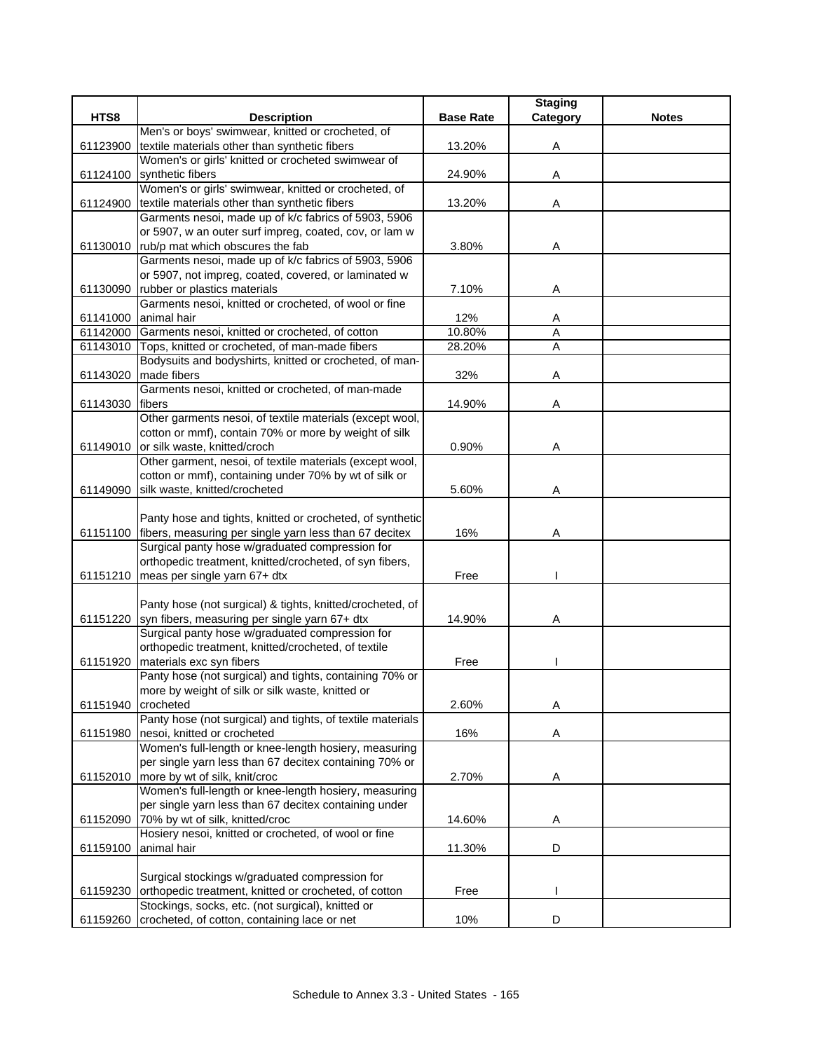|          |                                                                                                           |                  | <b>Staging</b> |              |
|----------|-----------------------------------------------------------------------------------------------------------|------------------|----------------|--------------|
| HTS8     | <b>Description</b>                                                                                        | <b>Base Rate</b> | Category       | <b>Notes</b> |
|          | Men's or boys' swimwear, knitted or crocheted, of                                                         |                  |                |              |
| 61123900 | textile materials other than synthetic fibers                                                             | 13.20%           | Α              |              |
|          | Women's or girls' knitted or crocheted swimwear of                                                        |                  |                |              |
| 61124100 | synthetic fibers                                                                                          | 24.90%           | Α              |              |
|          | Women's or girls' swimwear, knitted or crocheted, of                                                      |                  |                |              |
| 61124900 | textile materials other than synthetic fibers                                                             | 13.20%           | Α              |              |
|          | Garments nesoi, made up of k/c fabrics of 5903, 5906                                                      |                  |                |              |
|          | or 5907, w an outer surf impreg, coated, cov, or lam w                                                    |                  |                |              |
|          | 61130010 rub/p mat which obscures the fab                                                                 | 3.80%            | Α              |              |
|          | Garments nesoi, made up of k/c fabrics of 5903, 5906                                                      |                  |                |              |
|          | or 5907, not impreg, coated, covered, or laminated w                                                      |                  |                |              |
| 61130090 | rubber or plastics materials                                                                              | 7.10%            | A              |              |
|          | Garments nesoi, knitted or crocheted, of wool or fine                                                     |                  |                |              |
| 61141000 | animal hair                                                                                               | 12%              | Α<br>A         |              |
|          | 61142000 Garments nesoi, knitted or crocheted, of cotton                                                  | 10.80%           | $\overline{A}$ |              |
| 61143010 | Tops, knitted or crocheted, of man-made fibers<br>Bodysuits and bodyshirts, knitted or crocheted, of man- | 28.20%           |                |              |
|          | made fibers                                                                                               | 32%              | Α              |              |
| 61143020 | Garments nesoi, knitted or crocheted, of man-made                                                         |                  |                |              |
| 61143030 | fibers                                                                                                    | 14.90%           | Α              |              |
|          | Other garments nesoi, of textile materials (except wool,                                                  |                  |                |              |
|          | cotton or mmf), contain 70% or more by weight of silk                                                     |                  |                |              |
| 61149010 | or silk waste, knitted/croch                                                                              | 0.90%            | Α              |              |
|          | Other garment, nesoi, of textile materials (except wool,                                                  |                  |                |              |
|          | cotton or mmf), containing under 70% by wt of silk or                                                     |                  |                |              |
| 61149090 | silk waste, knitted/crocheted                                                                             | 5.60%            | Α              |              |
|          |                                                                                                           |                  |                |              |
|          | Panty hose and tights, knitted or crocheted, of synthetic                                                 |                  |                |              |
|          | 61151100 fibers, measuring per single yarn less than 67 decitex                                           | 16%              | Α              |              |
|          | Surgical panty hose w/graduated compression for                                                           |                  |                |              |
|          | orthopedic treatment, knitted/crocheted, of syn fibers,                                                   |                  |                |              |
| 61151210 | meas per single yarn 67+ dtx                                                                              | Free             |                |              |
|          |                                                                                                           |                  |                |              |
|          | Panty hose (not surgical) & tights, knitted/crocheted, of                                                 |                  |                |              |
| 61151220 | syn fibers, measuring per single yarn 67+ dtx                                                             | 14.90%           | Α              |              |
|          | Surgical panty hose w/graduated compression for                                                           |                  |                |              |
|          | orthopedic treatment, knitted/crocheted, of textile                                                       |                  |                |              |
| 61151920 | materials exc syn fibers                                                                                  | Free             |                |              |
|          | Panty hose (not surgical) and tights, containing 70% or                                                   |                  |                |              |
|          | more by weight of silk or silk waste, knitted or                                                          |                  |                |              |
| 61151940 | crocheted                                                                                                 | 2.60%            | Α              |              |
|          | Panty hose (not surgical) and tights, of textile materials                                                |                  |                |              |
| 61151980 | nesoi, knitted or crocheted                                                                               | 16%              | A              |              |
|          | Women's full-length or knee-length hosiery, measuring                                                     |                  |                |              |
|          | per single yarn less than 67 decitex containing 70% or                                                    |                  |                |              |
| 61152010 | more by wt of silk, knit/croc                                                                             | 2.70%            | Α              |              |
|          | Women's full-length or knee-length hosiery, measuring                                                     |                  |                |              |
| 61152090 | per single yarn less than 67 decitex containing under                                                     |                  |                |              |
|          | 70% by wt of silk, knitted/croc<br>Hosiery nesoi, knitted or crocheted, of wool or fine                   | 14.60%           | A              |              |
| 61159100 | animal hair                                                                                               | 11.30%           | D              |              |
|          |                                                                                                           |                  |                |              |
|          | Surgical stockings w/graduated compression for                                                            |                  |                |              |
| 61159230 | orthopedic treatment, knitted or crocheted, of cotton                                                     | Free             |                |              |
|          | Stockings, socks, etc. (not surgical), knitted or                                                         |                  |                |              |
| 61159260 | crocheted, of cotton, containing lace or net                                                              | 10%              | D              |              |
|          |                                                                                                           |                  |                |              |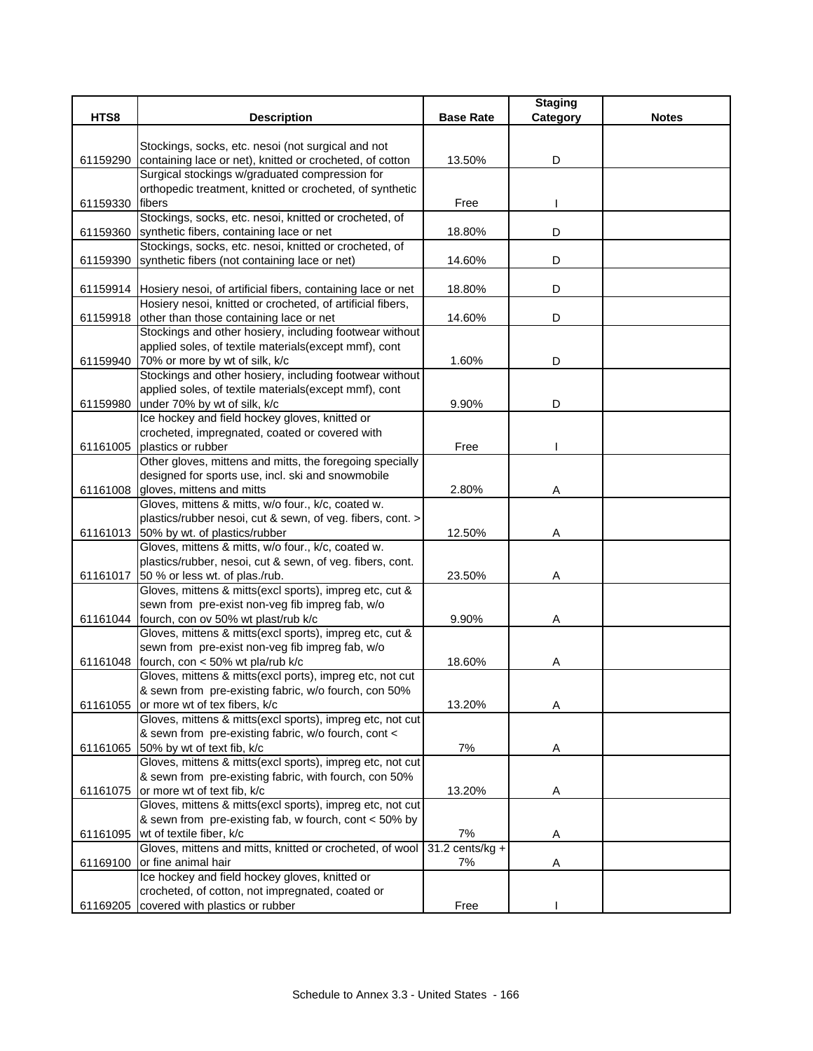|          |                                                                                          |                   | <b>Staging</b> |              |
|----------|------------------------------------------------------------------------------------------|-------------------|----------------|--------------|
| HTS8     | <b>Description</b>                                                                       | <b>Base Rate</b>  | Category       | <b>Notes</b> |
|          |                                                                                          |                   |                |              |
|          | Stockings, socks, etc. nesoi (not surgical and not                                       |                   |                |              |
| 61159290 | containing lace or net), knitted or crocheted, of cotton                                 | 13.50%            | D              |              |
|          | Surgical stockings w/graduated compression for                                           |                   |                |              |
|          | orthopedic treatment, knitted or crocheted, of synthetic                                 |                   |                |              |
| 61159330 | fibers                                                                                   | Free              |                |              |
|          | Stockings, socks, etc. nesoi, knitted or crocheted, of                                   |                   |                |              |
| 61159360 | synthetic fibers, containing lace or net                                                 | 18.80%            | D              |              |
|          | Stockings, socks, etc. nesoi, knitted or crocheted, of                                   |                   |                |              |
| 61159390 | synthetic fibers (not containing lace or net)                                            | 14.60%            | D              |              |
|          |                                                                                          |                   |                |              |
|          | 61159914 Hosiery nesoi, of artificial fibers, containing lace or net                     | 18.80%            | D              |              |
|          | Hosiery nesoi, knitted or crocheted, of artificial fibers,                               |                   |                |              |
| 61159918 | other than those containing lace or net                                                  | 14.60%            | D              |              |
|          | Stockings and other hosiery, including footwear without                                  |                   |                |              |
|          | applied soles, of textile materials (except mmf), cont                                   |                   |                |              |
|          | 61159940 70% or more by wt of silk, k/c                                                  | 1.60%             | D              |              |
|          | Stockings and other hosiery, including footwear without                                  |                   |                |              |
|          | applied soles, of textile materials(except mmf), cont                                    |                   |                |              |
| 61159980 | under 70% by wt of silk, k/c                                                             | 9.90%             | D              |              |
|          | Ice hockey and field hockey gloves, knitted or                                           |                   |                |              |
|          | crocheted, impregnated, coated or covered with<br>plastics or rubber                     |                   |                |              |
| 61161005 |                                                                                          | Free              |                |              |
|          | Other gloves, mittens and mitts, the foregoing specially                                 |                   |                |              |
|          | designed for sports use, incl. ski and snowmobile                                        |                   |                |              |
|          | 61161008 gloves, mittens and mitts<br>Gloves, mittens & mitts, w/o four., k/c, coated w. | 2.80%             | Α              |              |
|          | plastics/rubber nesoi, cut & sewn, of veg. fibers, cont. >                               |                   |                |              |
|          | 61161013 50% by wt. of plastics/rubber                                                   | 12.50%            | Α              |              |
|          | Gloves, mittens & mitts, w/o four., k/c, coated w.                                       |                   |                |              |
|          | plastics/rubber, nesoi, cut & sewn, of veg. fibers, cont.                                |                   |                |              |
|          | 61161017 50 % or less wt. of plas./rub.                                                  | 23.50%            | Α              |              |
|          | Gloves, mittens & mitts(excl sports), impreg etc, cut &                                  |                   |                |              |
|          | sewn from pre-exist non-veg fib impreg fab, w/o                                          |                   |                |              |
|          | 61161044 fourch, con ov 50% wt plast/rub k/c                                             | 9.90%             | Α              |              |
|          | Gloves, mittens & mitts(excl sports), impreg etc, cut &                                  |                   |                |              |
|          | sewn from pre-exist non-veg fib impreg fab, w/o                                          |                   |                |              |
| 61161048 | fourch, con < 50% wt pla/rub k/c                                                         | 18.60%            | A              |              |
|          | Gloves, mittens & mitts(excl ports), impreg etc, not cut                                 |                   |                |              |
|          | & sewn from pre-existing fabric, w/o fourch, con 50%                                     |                   |                |              |
| 61161055 | or more wt of tex fibers, k/c                                                            | 13.20%            | Α              |              |
|          | Gloves, mittens & mitts(excl sports), impreg etc, not cut                                |                   |                |              |
|          | & sewn from pre-existing fabric, w/o fourch, cont <                                      |                   |                |              |
| 61161065 | 50% by wt of text fib, k/c                                                               | 7%                | Α              |              |
|          | Gloves, mittens & mitts(excl sports), impreg etc, not cut                                |                   |                |              |
|          | & sewn from pre-existing fabric, with fourch, con 50%                                    |                   |                |              |
| 61161075 | or more wt of text fib, k/c                                                              | 13.20%            | A              |              |
|          | Gloves, mittens & mitts(excl sports), impreg etc, not cut                                |                   |                |              |
|          | & sewn from pre-existing fab, w fourch, cont < 50% by                                    |                   |                |              |
| 61161095 | wt of textile fiber, k/c                                                                 | 7%                | A              |              |
|          | Gloves, mittens and mitts, knitted or crocheted, of wool                                 | $31.2$ cents/kg + |                |              |
| 61169100 | or fine animal hair                                                                      | 7%                | A              |              |
|          | Ice hockey and field hockey gloves, knitted or                                           |                   |                |              |
|          | crocheted, of cotton, not impregnated, coated or                                         |                   |                |              |
|          | 61169205 covered with plastics or rubber                                                 | Free              |                |              |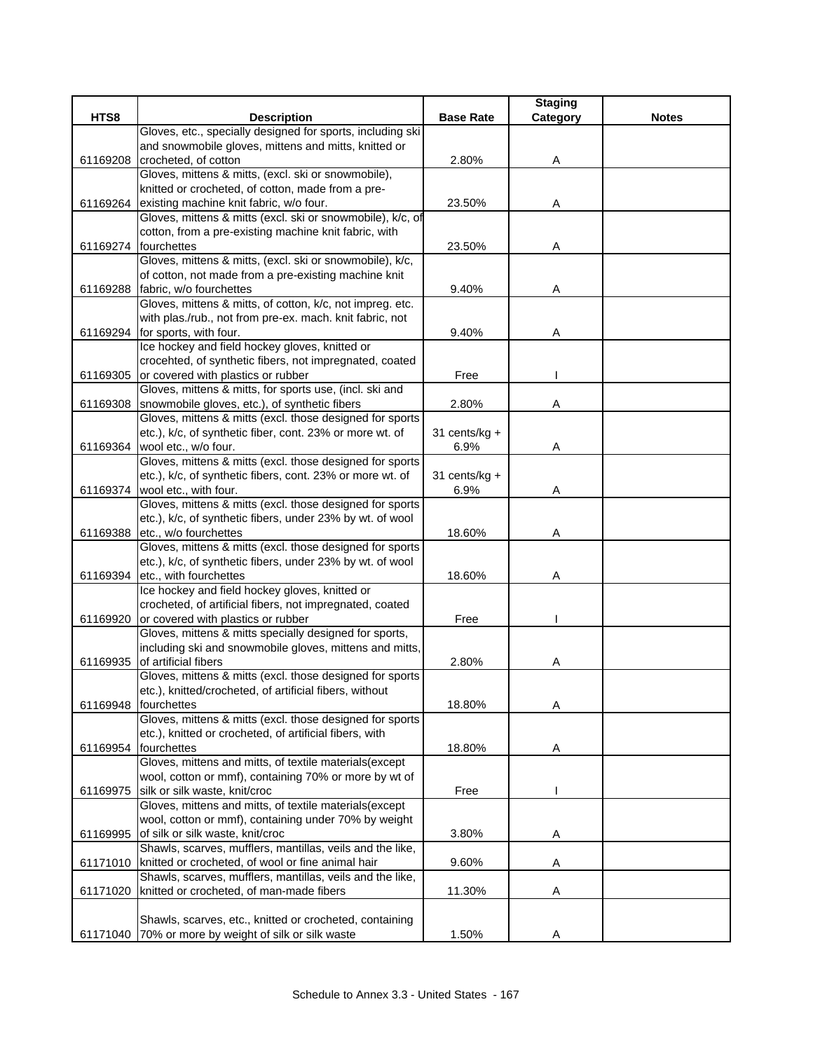| HTS8<br><b>Description</b><br><b>Base Rate</b><br><b>Notes</b><br>Category<br>Gloves, etc., specially designed for sports, including ski<br>and snowmobile gloves, mittens and mitts, knitted or<br>crocheted, of cotton<br>2.80%<br>61169208<br>Α<br>Gloves, mittens & mitts, (excl. ski or snowmobile),<br>knitted or crocheted, of cotton, made from a pre-<br>existing machine knit fabric, w/o four.<br>23.50%<br>61169264<br>A<br>Gloves, mittens & mitts (excl. ski or snowmobile), k/c, of<br>cotton, from a pre-existing machine knit fabric, with<br>61169274 fourchettes<br>Α<br>23.50%<br>Gloves, mittens & mitts, (excl. ski or snowmobile), k/c,<br>of cotton, not made from a pre-existing machine knit<br>61169288 fabric, w/o fourchettes<br>9.40%<br>Α<br>Gloves, mittens & mitts, of cotton, k/c, not impreg. etc.<br>with plas./rub., not from pre-ex. mach. knit fabric, not<br>61169294 for sports, with four.<br>9.40%<br>Α<br>Ice hockey and field hockey gloves, knitted or<br>crocehted, of synthetic fibers, not impregnated, coated<br>or covered with plastics or rubber<br>Free<br>61169305<br>Gloves, mittens & mitts, for sports use, (incl. ski and<br>snowmobile gloves, etc.), of synthetic fibers<br>2.80%<br>61169308<br>Α<br>Gloves, mittens & mitts (excl. those designed for sports<br>etc.), k/c, of synthetic fiber, cont. 23% or more wt. of<br>31 cents/ $kg +$<br>61169364 wool etc., w/o four.<br>6.9%<br>Α<br>Gloves, mittens & mitts (excl. those designed for sports<br>etc.), k/c, of synthetic fibers, cont. 23% or more wt. of<br>31 cents/kg +<br>61169374 wool etc., with four.<br>6.9%<br>Α<br>Gloves, mittens & mitts (excl. those designed for sports<br>etc.), k/c, of synthetic fibers, under 23% by wt. of wool<br>etc., w/o fourchettes<br>61169388<br>18.60%<br>Α<br>Gloves, mittens & mitts (excl. those designed for sports<br>etc.), k/c, of synthetic fibers, under 23% by wt. of wool<br>61169394 etc., with fourchettes<br>18.60%<br>Α<br>Ice hockey and field hockey gloves, knitted or<br>crocheted, of artificial fibers, not impregnated, coated<br>or covered with plastics or rubber<br>61169920<br>Free<br>Gloves, mittens & mitts specially designed for sports,<br>including ski and snowmobile gloves, mittens and mitts,<br>of artificial fibers<br>2.80%<br>61169935<br>A<br>Gloves, mittens & mitts (excl. those designed for sports<br>etc.), knitted/crocheted, of artificial fibers, without<br>18.80%<br>61169948<br>fourchettes<br>Α<br>Gloves, mittens & mitts (excl. those designed for sports<br>etc.), knitted or crocheted, of artificial fibers, with<br>61169954 fourchettes<br>18.80%<br>Α<br>Gloves, mittens and mitts, of textile materials(except<br>wool, cotton or mmf), containing 70% or more by wt of<br>silk or silk waste, knit/croc<br>Free<br>61169975<br>Gloves, mittens and mitts, of textile materials(except<br>wool, cotton or mmf), containing under 70% by weight<br>61169995<br>of silk or silk waste, knit/croc<br>3.80%<br>A<br>Shawls, scarves, mufflers, mantillas, veils and the like,<br>61171010 knitted or crocheted, of wool or fine animal hair<br>9.60%<br>Α<br>Shawls, scarves, mufflers, mantillas, veils and the like,<br>knitted or crocheted, of man-made fibers<br>Α<br>61171020<br>11.30%<br>Shawls, scarves, etc., knitted or crocheted, containing<br>61171040 70% or more by weight of silk or silk waste |  |       | <b>Staging</b> |  |
|--------------------------------------------------------------------------------------------------------------------------------------------------------------------------------------------------------------------------------------------------------------------------------------------------------------------------------------------------------------------------------------------------------------------------------------------------------------------------------------------------------------------------------------------------------------------------------------------------------------------------------------------------------------------------------------------------------------------------------------------------------------------------------------------------------------------------------------------------------------------------------------------------------------------------------------------------------------------------------------------------------------------------------------------------------------------------------------------------------------------------------------------------------------------------------------------------------------------------------------------------------------------------------------------------------------------------------------------------------------------------------------------------------------------------------------------------------------------------------------------------------------------------------------------------------------------------------------------------------------------------------------------------------------------------------------------------------------------------------------------------------------------------------------------------------------------------------------------------------------------------------------------------------------------------------------------------------------------------------------------------------------------------------------------------------------------------------------------------------------------------------------------------------------------------------------------------------------------------------------------------------------------------------------------------------------------------------------------------------------------------------------------------------------------------------------------------------------------------------------------------------------------------------------------------------------------------------------------------------------------------------------------------------------------------------------------------------------------------------------------------------------------------------------------------------------------------------------------------------------------------------------------------------------------------------------------------------------------------------------------------------------------------------------------------------------------------------------------------------------------------------------------------------------------------------------------------------------------------------------------------------------------------------------------------------------------------------------------------------------------------------------------------------------------------------------------------|--|-------|----------------|--|
|                                                                                                                                                                                                                                                                                                                                                                                                                                                                                                                                                                                                                                                                                                                                                                                                                                                                                                                                                                                                                                                                                                                                                                                                                                                                                                                                                                                                                                                                                                                                                                                                                                                                                                                                                                                                                                                                                                                                                                                                                                                                                                                                                                                                                                                                                                                                                                                                                                                                                                                                                                                                                                                                                                                                                                                                                                                                                                                                                                                                                                                                                                                                                                                                                                                                                                                                                                                                                                                  |  |       |                |  |
|                                                                                                                                                                                                                                                                                                                                                                                                                                                                                                                                                                                                                                                                                                                                                                                                                                                                                                                                                                                                                                                                                                                                                                                                                                                                                                                                                                                                                                                                                                                                                                                                                                                                                                                                                                                                                                                                                                                                                                                                                                                                                                                                                                                                                                                                                                                                                                                                                                                                                                                                                                                                                                                                                                                                                                                                                                                                                                                                                                                                                                                                                                                                                                                                                                                                                                                                                                                                                                                  |  |       |                |  |
|                                                                                                                                                                                                                                                                                                                                                                                                                                                                                                                                                                                                                                                                                                                                                                                                                                                                                                                                                                                                                                                                                                                                                                                                                                                                                                                                                                                                                                                                                                                                                                                                                                                                                                                                                                                                                                                                                                                                                                                                                                                                                                                                                                                                                                                                                                                                                                                                                                                                                                                                                                                                                                                                                                                                                                                                                                                                                                                                                                                                                                                                                                                                                                                                                                                                                                                                                                                                                                                  |  |       |                |  |
|                                                                                                                                                                                                                                                                                                                                                                                                                                                                                                                                                                                                                                                                                                                                                                                                                                                                                                                                                                                                                                                                                                                                                                                                                                                                                                                                                                                                                                                                                                                                                                                                                                                                                                                                                                                                                                                                                                                                                                                                                                                                                                                                                                                                                                                                                                                                                                                                                                                                                                                                                                                                                                                                                                                                                                                                                                                                                                                                                                                                                                                                                                                                                                                                                                                                                                                                                                                                                                                  |  |       |                |  |
|                                                                                                                                                                                                                                                                                                                                                                                                                                                                                                                                                                                                                                                                                                                                                                                                                                                                                                                                                                                                                                                                                                                                                                                                                                                                                                                                                                                                                                                                                                                                                                                                                                                                                                                                                                                                                                                                                                                                                                                                                                                                                                                                                                                                                                                                                                                                                                                                                                                                                                                                                                                                                                                                                                                                                                                                                                                                                                                                                                                                                                                                                                                                                                                                                                                                                                                                                                                                                                                  |  |       |                |  |
|                                                                                                                                                                                                                                                                                                                                                                                                                                                                                                                                                                                                                                                                                                                                                                                                                                                                                                                                                                                                                                                                                                                                                                                                                                                                                                                                                                                                                                                                                                                                                                                                                                                                                                                                                                                                                                                                                                                                                                                                                                                                                                                                                                                                                                                                                                                                                                                                                                                                                                                                                                                                                                                                                                                                                                                                                                                                                                                                                                                                                                                                                                                                                                                                                                                                                                                                                                                                                                                  |  |       |                |  |
|                                                                                                                                                                                                                                                                                                                                                                                                                                                                                                                                                                                                                                                                                                                                                                                                                                                                                                                                                                                                                                                                                                                                                                                                                                                                                                                                                                                                                                                                                                                                                                                                                                                                                                                                                                                                                                                                                                                                                                                                                                                                                                                                                                                                                                                                                                                                                                                                                                                                                                                                                                                                                                                                                                                                                                                                                                                                                                                                                                                                                                                                                                                                                                                                                                                                                                                                                                                                                                                  |  |       |                |  |
|                                                                                                                                                                                                                                                                                                                                                                                                                                                                                                                                                                                                                                                                                                                                                                                                                                                                                                                                                                                                                                                                                                                                                                                                                                                                                                                                                                                                                                                                                                                                                                                                                                                                                                                                                                                                                                                                                                                                                                                                                                                                                                                                                                                                                                                                                                                                                                                                                                                                                                                                                                                                                                                                                                                                                                                                                                                                                                                                                                                                                                                                                                                                                                                                                                                                                                                                                                                                                                                  |  |       |                |  |
|                                                                                                                                                                                                                                                                                                                                                                                                                                                                                                                                                                                                                                                                                                                                                                                                                                                                                                                                                                                                                                                                                                                                                                                                                                                                                                                                                                                                                                                                                                                                                                                                                                                                                                                                                                                                                                                                                                                                                                                                                                                                                                                                                                                                                                                                                                                                                                                                                                                                                                                                                                                                                                                                                                                                                                                                                                                                                                                                                                                                                                                                                                                                                                                                                                                                                                                                                                                                                                                  |  |       |                |  |
|                                                                                                                                                                                                                                                                                                                                                                                                                                                                                                                                                                                                                                                                                                                                                                                                                                                                                                                                                                                                                                                                                                                                                                                                                                                                                                                                                                                                                                                                                                                                                                                                                                                                                                                                                                                                                                                                                                                                                                                                                                                                                                                                                                                                                                                                                                                                                                                                                                                                                                                                                                                                                                                                                                                                                                                                                                                                                                                                                                                                                                                                                                                                                                                                                                                                                                                                                                                                                                                  |  |       |                |  |
|                                                                                                                                                                                                                                                                                                                                                                                                                                                                                                                                                                                                                                                                                                                                                                                                                                                                                                                                                                                                                                                                                                                                                                                                                                                                                                                                                                                                                                                                                                                                                                                                                                                                                                                                                                                                                                                                                                                                                                                                                                                                                                                                                                                                                                                                                                                                                                                                                                                                                                                                                                                                                                                                                                                                                                                                                                                                                                                                                                                                                                                                                                                                                                                                                                                                                                                                                                                                                                                  |  |       |                |  |
|                                                                                                                                                                                                                                                                                                                                                                                                                                                                                                                                                                                                                                                                                                                                                                                                                                                                                                                                                                                                                                                                                                                                                                                                                                                                                                                                                                                                                                                                                                                                                                                                                                                                                                                                                                                                                                                                                                                                                                                                                                                                                                                                                                                                                                                                                                                                                                                                                                                                                                                                                                                                                                                                                                                                                                                                                                                                                                                                                                                                                                                                                                                                                                                                                                                                                                                                                                                                                                                  |  |       |                |  |
|                                                                                                                                                                                                                                                                                                                                                                                                                                                                                                                                                                                                                                                                                                                                                                                                                                                                                                                                                                                                                                                                                                                                                                                                                                                                                                                                                                                                                                                                                                                                                                                                                                                                                                                                                                                                                                                                                                                                                                                                                                                                                                                                                                                                                                                                                                                                                                                                                                                                                                                                                                                                                                                                                                                                                                                                                                                                                                                                                                                                                                                                                                                                                                                                                                                                                                                                                                                                                                                  |  |       |                |  |
|                                                                                                                                                                                                                                                                                                                                                                                                                                                                                                                                                                                                                                                                                                                                                                                                                                                                                                                                                                                                                                                                                                                                                                                                                                                                                                                                                                                                                                                                                                                                                                                                                                                                                                                                                                                                                                                                                                                                                                                                                                                                                                                                                                                                                                                                                                                                                                                                                                                                                                                                                                                                                                                                                                                                                                                                                                                                                                                                                                                                                                                                                                                                                                                                                                                                                                                                                                                                                                                  |  |       |                |  |
|                                                                                                                                                                                                                                                                                                                                                                                                                                                                                                                                                                                                                                                                                                                                                                                                                                                                                                                                                                                                                                                                                                                                                                                                                                                                                                                                                                                                                                                                                                                                                                                                                                                                                                                                                                                                                                                                                                                                                                                                                                                                                                                                                                                                                                                                                                                                                                                                                                                                                                                                                                                                                                                                                                                                                                                                                                                                                                                                                                                                                                                                                                                                                                                                                                                                                                                                                                                                                                                  |  |       |                |  |
|                                                                                                                                                                                                                                                                                                                                                                                                                                                                                                                                                                                                                                                                                                                                                                                                                                                                                                                                                                                                                                                                                                                                                                                                                                                                                                                                                                                                                                                                                                                                                                                                                                                                                                                                                                                                                                                                                                                                                                                                                                                                                                                                                                                                                                                                                                                                                                                                                                                                                                                                                                                                                                                                                                                                                                                                                                                                                                                                                                                                                                                                                                                                                                                                                                                                                                                                                                                                                                                  |  |       |                |  |
|                                                                                                                                                                                                                                                                                                                                                                                                                                                                                                                                                                                                                                                                                                                                                                                                                                                                                                                                                                                                                                                                                                                                                                                                                                                                                                                                                                                                                                                                                                                                                                                                                                                                                                                                                                                                                                                                                                                                                                                                                                                                                                                                                                                                                                                                                                                                                                                                                                                                                                                                                                                                                                                                                                                                                                                                                                                                                                                                                                                                                                                                                                                                                                                                                                                                                                                                                                                                                                                  |  |       |                |  |
|                                                                                                                                                                                                                                                                                                                                                                                                                                                                                                                                                                                                                                                                                                                                                                                                                                                                                                                                                                                                                                                                                                                                                                                                                                                                                                                                                                                                                                                                                                                                                                                                                                                                                                                                                                                                                                                                                                                                                                                                                                                                                                                                                                                                                                                                                                                                                                                                                                                                                                                                                                                                                                                                                                                                                                                                                                                                                                                                                                                                                                                                                                                                                                                                                                                                                                                                                                                                                                                  |  |       |                |  |
|                                                                                                                                                                                                                                                                                                                                                                                                                                                                                                                                                                                                                                                                                                                                                                                                                                                                                                                                                                                                                                                                                                                                                                                                                                                                                                                                                                                                                                                                                                                                                                                                                                                                                                                                                                                                                                                                                                                                                                                                                                                                                                                                                                                                                                                                                                                                                                                                                                                                                                                                                                                                                                                                                                                                                                                                                                                                                                                                                                                                                                                                                                                                                                                                                                                                                                                                                                                                                                                  |  |       |                |  |
|                                                                                                                                                                                                                                                                                                                                                                                                                                                                                                                                                                                                                                                                                                                                                                                                                                                                                                                                                                                                                                                                                                                                                                                                                                                                                                                                                                                                                                                                                                                                                                                                                                                                                                                                                                                                                                                                                                                                                                                                                                                                                                                                                                                                                                                                                                                                                                                                                                                                                                                                                                                                                                                                                                                                                                                                                                                                                                                                                                                                                                                                                                                                                                                                                                                                                                                                                                                                                                                  |  |       |                |  |
|                                                                                                                                                                                                                                                                                                                                                                                                                                                                                                                                                                                                                                                                                                                                                                                                                                                                                                                                                                                                                                                                                                                                                                                                                                                                                                                                                                                                                                                                                                                                                                                                                                                                                                                                                                                                                                                                                                                                                                                                                                                                                                                                                                                                                                                                                                                                                                                                                                                                                                                                                                                                                                                                                                                                                                                                                                                                                                                                                                                                                                                                                                                                                                                                                                                                                                                                                                                                                                                  |  |       |                |  |
|                                                                                                                                                                                                                                                                                                                                                                                                                                                                                                                                                                                                                                                                                                                                                                                                                                                                                                                                                                                                                                                                                                                                                                                                                                                                                                                                                                                                                                                                                                                                                                                                                                                                                                                                                                                                                                                                                                                                                                                                                                                                                                                                                                                                                                                                                                                                                                                                                                                                                                                                                                                                                                                                                                                                                                                                                                                                                                                                                                                                                                                                                                                                                                                                                                                                                                                                                                                                                                                  |  |       |                |  |
|                                                                                                                                                                                                                                                                                                                                                                                                                                                                                                                                                                                                                                                                                                                                                                                                                                                                                                                                                                                                                                                                                                                                                                                                                                                                                                                                                                                                                                                                                                                                                                                                                                                                                                                                                                                                                                                                                                                                                                                                                                                                                                                                                                                                                                                                                                                                                                                                                                                                                                                                                                                                                                                                                                                                                                                                                                                                                                                                                                                                                                                                                                                                                                                                                                                                                                                                                                                                                                                  |  |       |                |  |
|                                                                                                                                                                                                                                                                                                                                                                                                                                                                                                                                                                                                                                                                                                                                                                                                                                                                                                                                                                                                                                                                                                                                                                                                                                                                                                                                                                                                                                                                                                                                                                                                                                                                                                                                                                                                                                                                                                                                                                                                                                                                                                                                                                                                                                                                                                                                                                                                                                                                                                                                                                                                                                                                                                                                                                                                                                                                                                                                                                                                                                                                                                                                                                                                                                                                                                                                                                                                                                                  |  |       |                |  |
|                                                                                                                                                                                                                                                                                                                                                                                                                                                                                                                                                                                                                                                                                                                                                                                                                                                                                                                                                                                                                                                                                                                                                                                                                                                                                                                                                                                                                                                                                                                                                                                                                                                                                                                                                                                                                                                                                                                                                                                                                                                                                                                                                                                                                                                                                                                                                                                                                                                                                                                                                                                                                                                                                                                                                                                                                                                                                                                                                                                                                                                                                                                                                                                                                                                                                                                                                                                                                                                  |  |       |                |  |
|                                                                                                                                                                                                                                                                                                                                                                                                                                                                                                                                                                                                                                                                                                                                                                                                                                                                                                                                                                                                                                                                                                                                                                                                                                                                                                                                                                                                                                                                                                                                                                                                                                                                                                                                                                                                                                                                                                                                                                                                                                                                                                                                                                                                                                                                                                                                                                                                                                                                                                                                                                                                                                                                                                                                                                                                                                                                                                                                                                                                                                                                                                                                                                                                                                                                                                                                                                                                                                                  |  |       |                |  |
|                                                                                                                                                                                                                                                                                                                                                                                                                                                                                                                                                                                                                                                                                                                                                                                                                                                                                                                                                                                                                                                                                                                                                                                                                                                                                                                                                                                                                                                                                                                                                                                                                                                                                                                                                                                                                                                                                                                                                                                                                                                                                                                                                                                                                                                                                                                                                                                                                                                                                                                                                                                                                                                                                                                                                                                                                                                                                                                                                                                                                                                                                                                                                                                                                                                                                                                                                                                                                                                  |  |       |                |  |
|                                                                                                                                                                                                                                                                                                                                                                                                                                                                                                                                                                                                                                                                                                                                                                                                                                                                                                                                                                                                                                                                                                                                                                                                                                                                                                                                                                                                                                                                                                                                                                                                                                                                                                                                                                                                                                                                                                                                                                                                                                                                                                                                                                                                                                                                                                                                                                                                                                                                                                                                                                                                                                                                                                                                                                                                                                                                                                                                                                                                                                                                                                                                                                                                                                                                                                                                                                                                                                                  |  |       |                |  |
|                                                                                                                                                                                                                                                                                                                                                                                                                                                                                                                                                                                                                                                                                                                                                                                                                                                                                                                                                                                                                                                                                                                                                                                                                                                                                                                                                                                                                                                                                                                                                                                                                                                                                                                                                                                                                                                                                                                                                                                                                                                                                                                                                                                                                                                                                                                                                                                                                                                                                                                                                                                                                                                                                                                                                                                                                                                                                                                                                                                                                                                                                                                                                                                                                                                                                                                                                                                                                                                  |  |       |                |  |
|                                                                                                                                                                                                                                                                                                                                                                                                                                                                                                                                                                                                                                                                                                                                                                                                                                                                                                                                                                                                                                                                                                                                                                                                                                                                                                                                                                                                                                                                                                                                                                                                                                                                                                                                                                                                                                                                                                                                                                                                                                                                                                                                                                                                                                                                                                                                                                                                                                                                                                                                                                                                                                                                                                                                                                                                                                                                                                                                                                                                                                                                                                                                                                                                                                                                                                                                                                                                                                                  |  |       |                |  |
|                                                                                                                                                                                                                                                                                                                                                                                                                                                                                                                                                                                                                                                                                                                                                                                                                                                                                                                                                                                                                                                                                                                                                                                                                                                                                                                                                                                                                                                                                                                                                                                                                                                                                                                                                                                                                                                                                                                                                                                                                                                                                                                                                                                                                                                                                                                                                                                                                                                                                                                                                                                                                                                                                                                                                                                                                                                                                                                                                                                                                                                                                                                                                                                                                                                                                                                                                                                                                                                  |  |       |                |  |
|                                                                                                                                                                                                                                                                                                                                                                                                                                                                                                                                                                                                                                                                                                                                                                                                                                                                                                                                                                                                                                                                                                                                                                                                                                                                                                                                                                                                                                                                                                                                                                                                                                                                                                                                                                                                                                                                                                                                                                                                                                                                                                                                                                                                                                                                                                                                                                                                                                                                                                                                                                                                                                                                                                                                                                                                                                                                                                                                                                                                                                                                                                                                                                                                                                                                                                                                                                                                                                                  |  |       |                |  |
|                                                                                                                                                                                                                                                                                                                                                                                                                                                                                                                                                                                                                                                                                                                                                                                                                                                                                                                                                                                                                                                                                                                                                                                                                                                                                                                                                                                                                                                                                                                                                                                                                                                                                                                                                                                                                                                                                                                                                                                                                                                                                                                                                                                                                                                                                                                                                                                                                                                                                                                                                                                                                                                                                                                                                                                                                                                                                                                                                                                                                                                                                                                                                                                                                                                                                                                                                                                                                                                  |  |       |                |  |
|                                                                                                                                                                                                                                                                                                                                                                                                                                                                                                                                                                                                                                                                                                                                                                                                                                                                                                                                                                                                                                                                                                                                                                                                                                                                                                                                                                                                                                                                                                                                                                                                                                                                                                                                                                                                                                                                                                                                                                                                                                                                                                                                                                                                                                                                                                                                                                                                                                                                                                                                                                                                                                                                                                                                                                                                                                                                                                                                                                                                                                                                                                                                                                                                                                                                                                                                                                                                                                                  |  |       |                |  |
|                                                                                                                                                                                                                                                                                                                                                                                                                                                                                                                                                                                                                                                                                                                                                                                                                                                                                                                                                                                                                                                                                                                                                                                                                                                                                                                                                                                                                                                                                                                                                                                                                                                                                                                                                                                                                                                                                                                                                                                                                                                                                                                                                                                                                                                                                                                                                                                                                                                                                                                                                                                                                                                                                                                                                                                                                                                                                                                                                                                                                                                                                                                                                                                                                                                                                                                                                                                                                                                  |  |       |                |  |
|                                                                                                                                                                                                                                                                                                                                                                                                                                                                                                                                                                                                                                                                                                                                                                                                                                                                                                                                                                                                                                                                                                                                                                                                                                                                                                                                                                                                                                                                                                                                                                                                                                                                                                                                                                                                                                                                                                                                                                                                                                                                                                                                                                                                                                                                                                                                                                                                                                                                                                                                                                                                                                                                                                                                                                                                                                                                                                                                                                                                                                                                                                                                                                                                                                                                                                                                                                                                                                                  |  |       |                |  |
|                                                                                                                                                                                                                                                                                                                                                                                                                                                                                                                                                                                                                                                                                                                                                                                                                                                                                                                                                                                                                                                                                                                                                                                                                                                                                                                                                                                                                                                                                                                                                                                                                                                                                                                                                                                                                                                                                                                                                                                                                                                                                                                                                                                                                                                                                                                                                                                                                                                                                                                                                                                                                                                                                                                                                                                                                                                                                                                                                                                                                                                                                                                                                                                                                                                                                                                                                                                                                                                  |  |       |                |  |
|                                                                                                                                                                                                                                                                                                                                                                                                                                                                                                                                                                                                                                                                                                                                                                                                                                                                                                                                                                                                                                                                                                                                                                                                                                                                                                                                                                                                                                                                                                                                                                                                                                                                                                                                                                                                                                                                                                                                                                                                                                                                                                                                                                                                                                                                                                                                                                                                                                                                                                                                                                                                                                                                                                                                                                                                                                                                                                                                                                                                                                                                                                                                                                                                                                                                                                                                                                                                                                                  |  |       |                |  |
|                                                                                                                                                                                                                                                                                                                                                                                                                                                                                                                                                                                                                                                                                                                                                                                                                                                                                                                                                                                                                                                                                                                                                                                                                                                                                                                                                                                                                                                                                                                                                                                                                                                                                                                                                                                                                                                                                                                                                                                                                                                                                                                                                                                                                                                                                                                                                                                                                                                                                                                                                                                                                                                                                                                                                                                                                                                                                                                                                                                                                                                                                                                                                                                                                                                                                                                                                                                                                                                  |  |       |                |  |
|                                                                                                                                                                                                                                                                                                                                                                                                                                                                                                                                                                                                                                                                                                                                                                                                                                                                                                                                                                                                                                                                                                                                                                                                                                                                                                                                                                                                                                                                                                                                                                                                                                                                                                                                                                                                                                                                                                                                                                                                                                                                                                                                                                                                                                                                                                                                                                                                                                                                                                                                                                                                                                                                                                                                                                                                                                                                                                                                                                                                                                                                                                                                                                                                                                                                                                                                                                                                                                                  |  |       |                |  |
|                                                                                                                                                                                                                                                                                                                                                                                                                                                                                                                                                                                                                                                                                                                                                                                                                                                                                                                                                                                                                                                                                                                                                                                                                                                                                                                                                                                                                                                                                                                                                                                                                                                                                                                                                                                                                                                                                                                                                                                                                                                                                                                                                                                                                                                                                                                                                                                                                                                                                                                                                                                                                                                                                                                                                                                                                                                                                                                                                                                                                                                                                                                                                                                                                                                                                                                                                                                                                                                  |  |       |                |  |
|                                                                                                                                                                                                                                                                                                                                                                                                                                                                                                                                                                                                                                                                                                                                                                                                                                                                                                                                                                                                                                                                                                                                                                                                                                                                                                                                                                                                                                                                                                                                                                                                                                                                                                                                                                                                                                                                                                                                                                                                                                                                                                                                                                                                                                                                                                                                                                                                                                                                                                                                                                                                                                                                                                                                                                                                                                                                                                                                                                                                                                                                                                                                                                                                                                                                                                                                                                                                                                                  |  |       |                |  |
|                                                                                                                                                                                                                                                                                                                                                                                                                                                                                                                                                                                                                                                                                                                                                                                                                                                                                                                                                                                                                                                                                                                                                                                                                                                                                                                                                                                                                                                                                                                                                                                                                                                                                                                                                                                                                                                                                                                                                                                                                                                                                                                                                                                                                                                                                                                                                                                                                                                                                                                                                                                                                                                                                                                                                                                                                                                                                                                                                                                                                                                                                                                                                                                                                                                                                                                                                                                                                                                  |  |       |                |  |
|                                                                                                                                                                                                                                                                                                                                                                                                                                                                                                                                                                                                                                                                                                                                                                                                                                                                                                                                                                                                                                                                                                                                                                                                                                                                                                                                                                                                                                                                                                                                                                                                                                                                                                                                                                                                                                                                                                                                                                                                                                                                                                                                                                                                                                                                                                                                                                                                                                                                                                                                                                                                                                                                                                                                                                                                                                                                                                                                                                                                                                                                                                                                                                                                                                                                                                                                                                                                                                                  |  |       |                |  |
|                                                                                                                                                                                                                                                                                                                                                                                                                                                                                                                                                                                                                                                                                                                                                                                                                                                                                                                                                                                                                                                                                                                                                                                                                                                                                                                                                                                                                                                                                                                                                                                                                                                                                                                                                                                                                                                                                                                                                                                                                                                                                                                                                                                                                                                                                                                                                                                                                                                                                                                                                                                                                                                                                                                                                                                                                                                                                                                                                                                                                                                                                                                                                                                                                                                                                                                                                                                                                                                  |  |       |                |  |
|                                                                                                                                                                                                                                                                                                                                                                                                                                                                                                                                                                                                                                                                                                                                                                                                                                                                                                                                                                                                                                                                                                                                                                                                                                                                                                                                                                                                                                                                                                                                                                                                                                                                                                                                                                                                                                                                                                                                                                                                                                                                                                                                                                                                                                                                                                                                                                                                                                                                                                                                                                                                                                                                                                                                                                                                                                                                                                                                                                                                                                                                                                                                                                                                                                                                                                                                                                                                                                                  |  |       |                |  |
|                                                                                                                                                                                                                                                                                                                                                                                                                                                                                                                                                                                                                                                                                                                                                                                                                                                                                                                                                                                                                                                                                                                                                                                                                                                                                                                                                                                                                                                                                                                                                                                                                                                                                                                                                                                                                                                                                                                                                                                                                                                                                                                                                                                                                                                                                                                                                                                                                                                                                                                                                                                                                                                                                                                                                                                                                                                                                                                                                                                                                                                                                                                                                                                                                                                                                                                                                                                                                                                  |  |       |                |  |
|                                                                                                                                                                                                                                                                                                                                                                                                                                                                                                                                                                                                                                                                                                                                                                                                                                                                                                                                                                                                                                                                                                                                                                                                                                                                                                                                                                                                                                                                                                                                                                                                                                                                                                                                                                                                                                                                                                                                                                                                                                                                                                                                                                                                                                                                                                                                                                                                                                                                                                                                                                                                                                                                                                                                                                                                                                                                                                                                                                                                                                                                                                                                                                                                                                                                                                                                                                                                                                                  |  |       |                |  |
|                                                                                                                                                                                                                                                                                                                                                                                                                                                                                                                                                                                                                                                                                                                                                                                                                                                                                                                                                                                                                                                                                                                                                                                                                                                                                                                                                                                                                                                                                                                                                                                                                                                                                                                                                                                                                                                                                                                                                                                                                                                                                                                                                                                                                                                                                                                                                                                                                                                                                                                                                                                                                                                                                                                                                                                                                                                                                                                                                                                                                                                                                                                                                                                                                                                                                                                                                                                                                                                  |  |       |                |  |
|                                                                                                                                                                                                                                                                                                                                                                                                                                                                                                                                                                                                                                                                                                                                                                                                                                                                                                                                                                                                                                                                                                                                                                                                                                                                                                                                                                                                                                                                                                                                                                                                                                                                                                                                                                                                                                                                                                                                                                                                                                                                                                                                                                                                                                                                                                                                                                                                                                                                                                                                                                                                                                                                                                                                                                                                                                                                                                                                                                                                                                                                                                                                                                                                                                                                                                                                                                                                                                                  |  |       |                |  |
|                                                                                                                                                                                                                                                                                                                                                                                                                                                                                                                                                                                                                                                                                                                                                                                                                                                                                                                                                                                                                                                                                                                                                                                                                                                                                                                                                                                                                                                                                                                                                                                                                                                                                                                                                                                                                                                                                                                                                                                                                                                                                                                                                                                                                                                                                                                                                                                                                                                                                                                                                                                                                                                                                                                                                                                                                                                                                                                                                                                                                                                                                                                                                                                                                                                                                                                                                                                                                                                  |  |       |                |  |
|                                                                                                                                                                                                                                                                                                                                                                                                                                                                                                                                                                                                                                                                                                                                                                                                                                                                                                                                                                                                                                                                                                                                                                                                                                                                                                                                                                                                                                                                                                                                                                                                                                                                                                                                                                                                                                                                                                                                                                                                                                                                                                                                                                                                                                                                                                                                                                                                                                                                                                                                                                                                                                                                                                                                                                                                                                                                                                                                                                                                                                                                                                                                                                                                                                                                                                                                                                                                                                                  |  |       |                |  |
|                                                                                                                                                                                                                                                                                                                                                                                                                                                                                                                                                                                                                                                                                                                                                                                                                                                                                                                                                                                                                                                                                                                                                                                                                                                                                                                                                                                                                                                                                                                                                                                                                                                                                                                                                                                                                                                                                                                                                                                                                                                                                                                                                                                                                                                                                                                                                                                                                                                                                                                                                                                                                                                                                                                                                                                                                                                                                                                                                                                                                                                                                                                                                                                                                                                                                                                                                                                                                                                  |  |       |                |  |
|                                                                                                                                                                                                                                                                                                                                                                                                                                                                                                                                                                                                                                                                                                                                                                                                                                                                                                                                                                                                                                                                                                                                                                                                                                                                                                                                                                                                                                                                                                                                                                                                                                                                                                                                                                                                                                                                                                                                                                                                                                                                                                                                                                                                                                                                                                                                                                                                                                                                                                                                                                                                                                                                                                                                                                                                                                                                                                                                                                                                                                                                                                                                                                                                                                                                                                                                                                                                                                                  |  |       |                |  |
|                                                                                                                                                                                                                                                                                                                                                                                                                                                                                                                                                                                                                                                                                                                                                                                                                                                                                                                                                                                                                                                                                                                                                                                                                                                                                                                                                                                                                                                                                                                                                                                                                                                                                                                                                                                                                                                                                                                                                                                                                                                                                                                                                                                                                                                                                                                                                                                                                                                                                                                                                                                                                                                                                                                                                                                                                                                                                                                                                                                                                                                                                                                                                                                                                                                                                                                                                                                                                                                  |  |       |                |  |
|                                                                                                                                                                                                                                                                                                                                                                                                                                                                                                                                                                                                                                                                                                                                                                                                                                                                                                                                                                                                                                                                                                                                                                                                                                                                                                                                                                                                                                                                                                                                                                                                                                                                                                                                                                                                                                                                                                                                                                                                                                                                                                                                                                                                                                                                                                                                                                                                                                                                                                                                                                                                                                                                                                                                                                                                                                                                                                                                                                                                                                                                                                                                                                                                                                                                                                                                                                                                                                                  |  |       |                |  |
|                                                                                                                                                                                                                                                                                                                                                                                                                                                                                                                                                                                                                                                                                                                                                                                                                                                                                                                                                                                                                                                                                                                                                                                                                                                                                                                                                                                                                                                                                                                                                                                                                                                                                                                                                                                                                                                                                                                                                                                                                                                                                                                                                                                                                                                                                                                                                                                                                                                                                                                                                                                                                                                                                                                                                                                                                                                                                                                                                                                                                                                                                                                                                                                                                                                                                                                                                                                                                                                  |  |       |                |  |
|                                                                                                                                                                                                                                                                                                                                                                                                                                                                                                                                                                                                                                                                                                                                                                                                                                                                                                                                                                                                                                                                                                                                                                                                                                                                                                                                                                                                                                                                                                                                                                                                                                                                                                                                                                                                                                                                                                                                                                                                                                                                                                                                                                                                                                                                                                                                                                                                                                                                                                                                                                                                                                                                                                                                                                                                                                                                                                                                                                                                                                                                                                                                                                                                                                                                                                                                                                                                                                                  |  | 1.50% | Α              |  |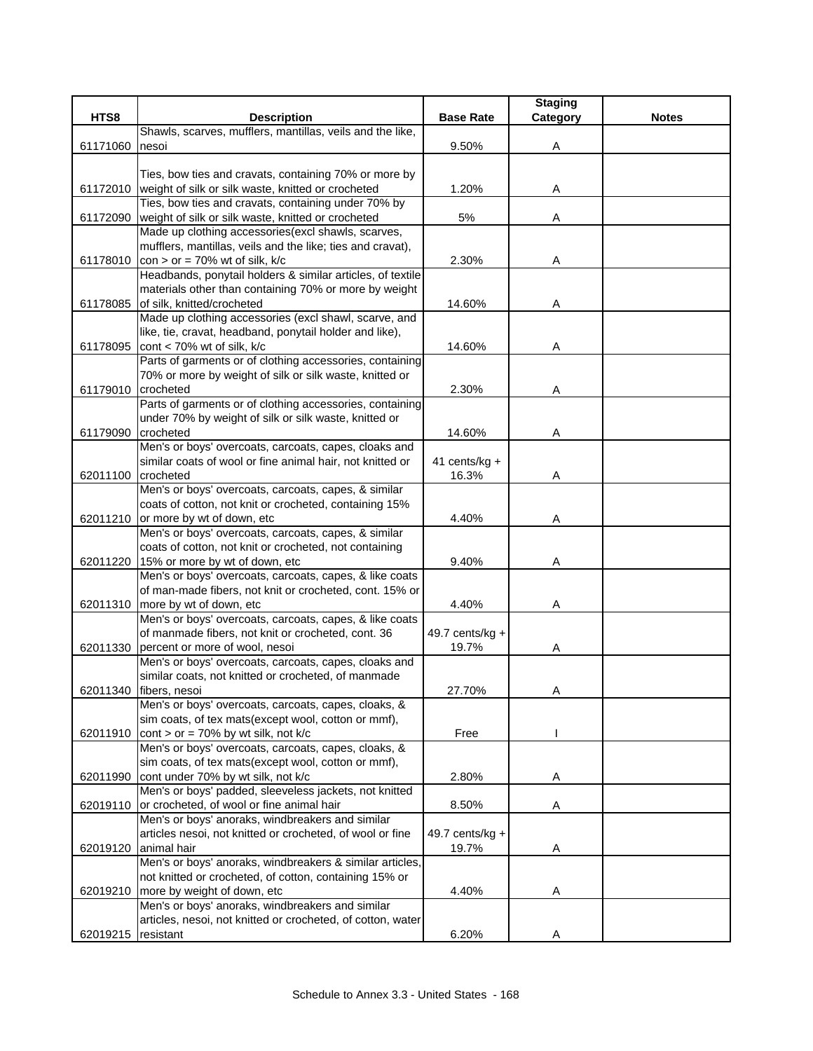|          |                                                                                               |                  | <b>Staging</b> |              |
|----------|-----------------------------------------------------------------------------------------------|------------------|----------------|--------------|
| HTS8     | <b>Description</b>                                                                            | <b>Base Rate</b> | Category       | <b>Notes</b> |
|          | Shawls, scarves, mufflers, mantillas, veils and the like,                                     |                  |                |              |
| 61171060 | nesoi                                                                                         | 9.50%            | Α              |              |
|          |                                                                                               |                  |                |              |
|          | Ties, bow ties and cravats, containing 70% or more by                                         |                  |                |              |
| 61172010 | weight of silk or silk waste, knitted or crocheted                                            | 1.20%            | Α              |              |
|          | Ties, bow ties and cravats, containing under 70% by                                           |                  |                |              |
| 61172090 | weight of silk or silk waste, knitted or crocheted                                            | 5%               | Α              |              |
|          | Made up clothing accessories(excl shawls, scarves,                                            |                  |                |              |
|          | mufflers, mantillas, veils and the like; ties and cravat),                                    |                  |                |              |
| 61178010 | $con > or = 70\%$ wt of silk, k/c                                                             | 2.30%            | Α              |              |
|          | Headbands, ponytail holders & similar articles, of textile                                    |                  |                |              |
|          | materials other than containing 70% or more by weight                                         |                  |                |              |
| 61178085 | of silk, knitted/crocheted                                                                    | 14.60%           | Α              |              |
|          | Made up clothing accessories (excl shawl, scarve, and                                         |                  |                |              |
|          | like, tie, cravat, headband, ponytail holder and like),                                       |                  |                |              |
| 61178095 | cont < 70% wt of silk, k/c                                                                    | 14.60%           | Α              |              |
|          | Parts of garments or of clothing accessories, containing                                      |                  |                |              |
|          | 70% or more by weight of silk or silk waste, knitted or                                       |                  |                |              |
| 61179010 | crocheted                                                                                     | 2.30%            | Α              |              |
|          | Parts of garments or of clothing accessories, containing                                      |                  |                |              |
|          | under 70% by weight of silk or silk waste, knitted or                                         |                  |                |              |
| 61179090 | crocheted                                                                                     | 14.60%           | Α              |              |
|          | Men's or boys' overcoats, carcoats, capes, cloaks and                                         |                  |                |              |
|          | similar coats of wool or fine animal hair, not knitted or                                     | 41 cents/kg +    |                |              |
| 62011100 | crocheted                                                                                     | 16.3%            | Α              |              |
|          | Men's or boys' overcoats, carcoats, capes, & similar                                          |                  |                |              |
|          | coats of cotton, not knit or crocheted, containing 15%<br>62011210 or more by wt of down, etc |                  |                |              |
|          | Men's or boys' overcoats, carcoats, capes, & similar                                          | 4.40%            | Α              |              |
|          | coats of cotton, not knit or crocheted, not containing                                        |                  |                |              |
| 62011220 | 15% or more by wt of down, etc                                                                | 9.40%            | Α              |              |
|          | Men's or boys' overcoats, carcoats, capes, & like coats                                       |                  |                |              |
|          | of man-made fibers, not knit or crocheted, cont. 15% or                                       |                  |                |              |
|          | 62011310 more by wt of down, etc                                                              | 4.40%            | Α              |              |
|          | Men's or boys' overcoats, carcoats, capes, & like coats                                       |                  |                |              |
|          | of manmade fibers, not knit or crocheted, cont. 36                                            | 49.7 cents/kg +  |                |              |
| 62011330 | percent or more of wool, nesoi                                                                | 19.7%            | A              |              |
|          | Men's or boys' overcoats, carcoats, capes, cloaks and                                         |                  |                |              |
|          | similar coats, not knitted or crocheted, of manmade                                           |                  |                |              |
|          | 62011340 fibers, nesoi                                                                        | 27.70%           | A              |              |
|          | Men's or boys' overcoats, carcoats, capes, cloaks, &                                          |                  |                |              |
|          | sim coats, of tex mats(except wool, cotton or mmf),                                           |                  |                |              |
| 62011910 | cont > or = $70\%$ by wt silk, not k/c                                                        | Free             |                |              |
|          | Men's or boys' overcoats, carcoats, capes, cloaks, &                                          |                  |                |              |
|          | sim coats, of tex mats (except wool, cotton or mmf),                                          |                  |                |              |
| 62011990 | cont under 70% by wt silk, not k/c                                                            | 2.80%            | Α              |              |
|          | Men's or boys' padded, sleeveless jackets, not knitted                                        |                  |                |              |
| 62019110 | or crocheted, of wool or fine animal hair                                                     | 8.50%            | Α              |              |
|          | Men's or boys' anoraks, windbreakers and similar                                              |                  |                |              |
|          | articles nesoi, not knitted or crocheted, of wool or fine                                     | 49.7 cents/kg +  |                |              |
| 62019120 | animal hair                                                                                   | 19.7%            | Α              |              |
|          | Men's or boys' anoraks, windbreakers & similar articles,                                      |                  |                |              |
|          | not knitted or crocheted, of cotton, containing 15% or                                        |                  |                |              |
| 62019210 | more by weight of down, etc                                                                   | 4.40%            | Α              |              |
|          | Men's or boys' anoraks, windbreakers and similar                                              |                  |                |              |
|          | articles, nesoi, not knitted or crocheted, of cotton, water                                   |                  |                |              |
| 62019215 | resistant                                                                                     | 6.20%            | Α              |              |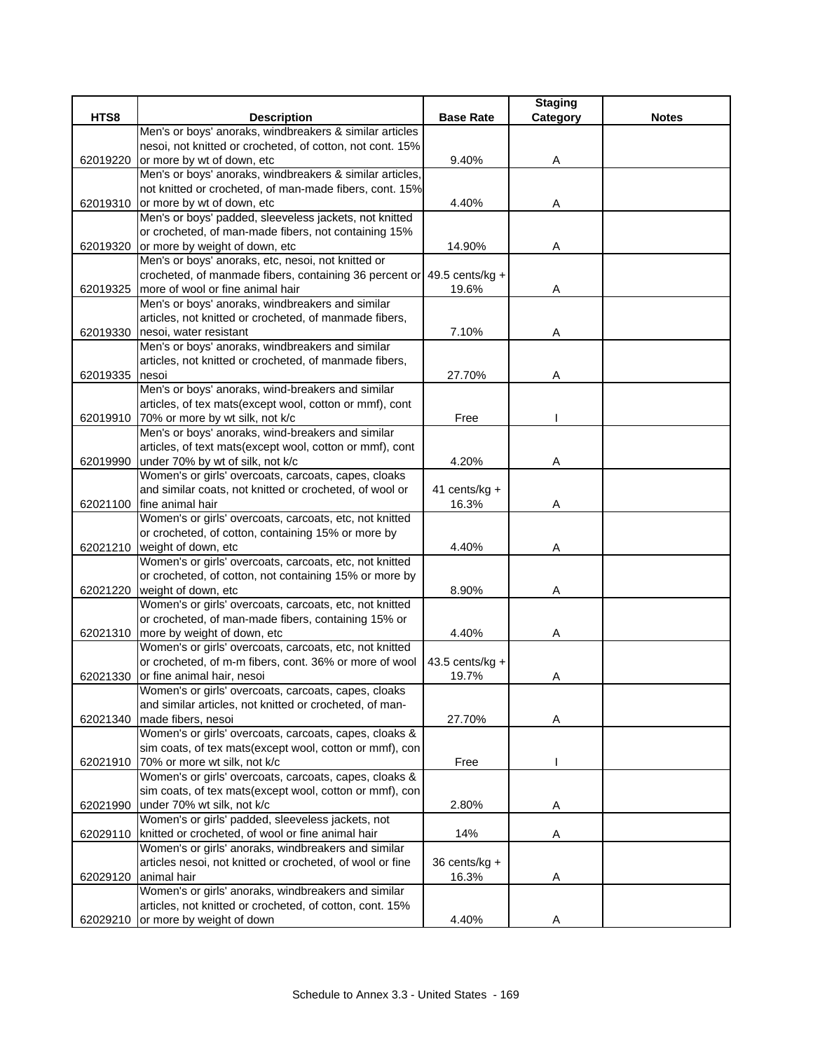|          |                                                                                                               |                  | <b>Staging</b> |              |
|----------|---------------------------------------------------------------------------------------------------------------|------------------|----------------|--------------|
| HTS8     | <b>Description</b>                                                                                            | <b>Base Rate</b> | Category       | <b>Notes</b> |
|          | Men's or boys' anoraks, windbreakers & similar articles                                                       |                  |                |              |
|          | nesoi, not knitted or crocheted, of cotton, not cont. 15%                                                     |                  |                |              |
| 62019220 | or more by wt of down, etc                                                                                    | 9.40%            | Α              |              |
|          | Men's or boys' anoraks, windbreakers & similar articles,                                                      |                  |                |              |
|          | not knitted or crocheted, of man-made fibers, cont. 15%                                                       |                  |                |              |
| 62019310 | or more by wt of down, etc<br>Men's or boys' padded, sleeveless jackets, not knitted                          | 4.40%            | A              |              |
|          | or crocheted, of man-made fibers, not containing 15%                                                          |                  |                |              |
| 62019320 | or more by weight of down, etc                                                                                | 14.90%           | Α              |              |
|          | Men's or boys' anoraks, etc, nesoi, not knitted or                                                            |                  |                |              |
|          | crocheted, of manmade fibers, containing 36 percent or 49.5 cents/kg +                                        |                  |                |              |
| 62019325 | more of wool or fine animal hair                                                                              | 19.6%            | A              |              |
|          | Men's or boys' anoraks, windbreakers and similar                                                              |                  |                |              |
|          | articles, not knitted or crocheted, of manmade fibers,                                                        |                  |                |              |
| 62019330 | nesoi, water resistant                                                                                        | 7.10%            | Α              |              |
|          | Men's or boys' anoraks, windbreakers and similar                                                              |                  |                |              |
|          | articles, not knitted or crocheted, of manmade fibers,                                                        |                  |                |              |
| 62019335 | nesoi                                                                                                         | 27.70%           | Α              |              |
|          | Men's or boys' anoraks, wind-breakers and similar                                                             |                  |                |              |
|          | articles, of tex mats(except wool, cotton or mmf), cont                                                       |                  |                |              |
|          | 62019910 70% or more by wt silk, not k/c                                                                      | Free             |                |              |
|          | Men's or boys' anoraks, wind-breakers and similar                                                             |                  |                |              |
|          | articles, of text mats (except wool, cotton or mmf), cont                                                     |                  |                |              |
| 62019990 | under 70% by wt of silk, not k/c                                                                              | 4.20%            | Α              |              |
|          | Women's or girls' overcoats, carcoats, capes, cloaks                                                          |                  |                |              |
|          | and similar coats, not knitted or crocheted, of wool or                                                       | 41 cents/kg +    |                |              |
| 62021100 | fine animal hair                                                                                              | 16.3%            | Α              |              |
|          | Women's or girls' overcoats, carcoats, etc, not knitted<br>or crocheted, of cotton, containing 15% or more by |                  |                |              |
| 62021210 | weight of down, etc                                                                                           | 4.40%            | Α              |              |
|          | Women's or girls' overcoats, carcoats, etc, not knitted                                                       |                  |                |              |
|          | or crocheted, of cotton, not containing 15% or more by                                                        |                  |                |              |
| 62021220 | weight of down, etc                                                                                           | 8.90%            | Α              |              |
|          | Women's or girls' overcoats, carcoats, etc, not knitted                                                       |                  |                |              |
|          | or crocheted, of man-made fibers, containing 15% or                                                           |                  |                |              |
| 62021310 | more by weight of down, etc                                                                                   | 4.40%            | Α              |              |
|          | Women's or girls' overcoats, carcoats, etc, not knitted                                                       |                  |                |              |
|          | or crocheted, of m-m fibers, cont. 36% or more of wool                                                        | 43.5 cents/kg +  |                |              |
| 62021330 | or fine animal hair, nesoi                                                                                    | 19.7%            | Α              |              |
|          | Women's or girls' overcoats, carcoats, capes, cloaks                                                          |                  |                |              |
|          | and similar articles, not knitted or crocheted, of man-                                                       |                  |                |              |
| 62021340 | made fibers, nesoi                                                                                            | 27.70%           | A              |              |
|          | Women's or girls' overcoats, carcoats, capes, cloaks &                                                        |                  |                |              |
|          | sim coats, of tex mats(except wool, cotton or mmf), con                                                       |                  |                |              |
| 62021910 | 70% or more wt silk, not k/c                                                                                  | Free             |                |              |
|          | Women's or girls' overcoats, carcoats, capes, cloaks &                                                        |                  |                |              |
|          | sim coats, of tex mats(except wool, cotton or mmf), con                                                       |                  |                |              |
| 62021990 | under 70% wt silk, not k/c<br>Women's or girls' padded, sleeveless jackets, not                               | 2.80%            | A              |              |
| 62029110 | knitted or crocheted, of wool or fine animal hair                                                             | 14%              | Α              |              |
|          | Women's or girls' anoraks, windbreakers and similar                                                           |                  |                |              |
|          | articles nesoi, not knitted or crocheted, of wool or fine                                                     | 36 cents/kg +    |                |              |
| 62029120 | animal hair                                                                                                   | 16.3%            | Α              |              |
|          | Women's or girls' anoraks, windbreakers and similar                                                           |                  |                |              |
|          | articles, not knitted or crocheted, of cotton, cont. 15%                                                      |                  |                |              |
| 62029210 | or more by weight of down                                                                                     | 4.40%            | Α              |              |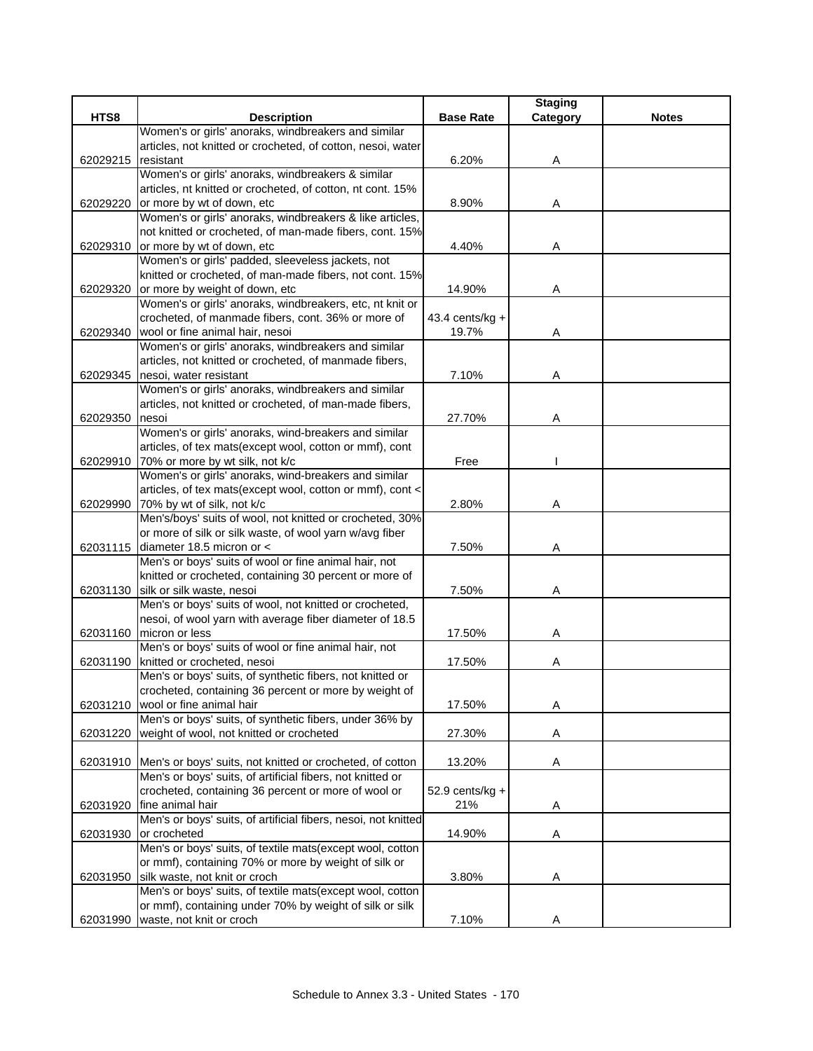|          |                                                                                                |                    | <b>Staging</b> |              |
|----------|------------------------------------------------------------------------------------------------|--------------------|----------------|--------------|
| HTS8     | <b>Description</b>                                                                             | <b>Base Rate</b>   | Category       | <b>Notes</b> |
|          | Women's or girls' anoraks, windbreakers and similar                                            |                    |                |              |
|          | articles, not knitted or crocheted, of cotton, nesoi, water                                    |                    |                |              |
| 62029215 | resistant                                                                                      | 6.20%              | Α              |              |
|          | Women's or girls' anoraks, windbreakers & similar                                              |                    |                |              |
|          | articles, nt knitted or crocheted, of cotton, nt cont. 15%                                     |                    |                |              |
| 62029220 | or more by wt of down, etc                                                                     | 8.90%              | A              |              |
|          | Women's or girls' anoraks, windbreakers & like articles,                                       |                    |                |              |
|          | not knitted or crocheted, of man-made fibers, cont. 15%<br>62029310 or more by wt of down, etc | 4.40%              | Α              |              |
|          | Women's or girls' padded, sleeveless jackets, not                                              |                    |                |              |
|          | knitted or crocheted, of man-made fibers, not cont. 15%                                        |                    |                |              |
| 62029320 | or more by weight of down, etc                                                                 | 14.90%             | Α              |              |
|          | Women's or girls' anoraks, windbreakers, etc, nt knit or                                       |                    |                |              |
|          | crocheted, of manmade fibers, cont. 36% or more of                                             | $43.4$ cents/kg +  |                |              |
| 62029340 | wool or fine animal hair, nesoi                                                                | 19.7%              | A              |              |
|          | Women's or girls' anoraks, windbreakers and similar                                            |                    |                |              |
|          | articles, not knitted or crocheted, of manmade fibers,                                         |                    |                |              |
| 62029345 | nesoi, water resistant                                                                         | 7.10%              | Α              |              |
|          | Women's or girls' anoraks, windbreakers and similar                                            |                    |                |              |
|          | articles, not knitted or crocheted, of man-made fibers,                                        |                    |                |              |
| 62029350 | nesoi                                                                                          | 27.70%             | Α              |              |
|          | Women's or girls' anoraks, wind-breakers and similar                                           |                    |                |              |
|          | articles, of tex mats(except wool, cotton or mmf), cont                                        |                    |                |              |
|          | 62029910 70% or more by wt silk, not k/c                                                       | Free               |                |              |
|          | Women's or girls' anoraks, wind-breakers and similar                                           |                    |                |              |
|          | articles, of tex mats(except wool, cotton or mmf), cont <                                      |                    |                |              |
| 62029990 | 70% by wt of silk, not k/c                                                                     | 2.80%              | Α              |              |
|          | Men's/boys' suits of wool, not knitted or crocheted, 30%                                       |                    |                |              |
|          | or more of silk or silk waste, of wool yarn w/avg fiber                                        |                    |                |              |
| 62031115 | diameter 18.5 micron or <<br>Men's or boys' suits of wool or fine animal hair, not             | 7.50%              | Α              |              |
|          | knitted or crocheted, containing 30 percent or more of                                         |                    |                |              |
| 62031130 | silk or silk waste, nesoi                                                                      | 7.50%              | Α              |              |
|          | Men's or boys' suits of wool, not knitted or crocheted,                                        |                    |                |              |
|          | nesoi, of wool yarn with average fiber diameter of 18.5                                        |                    |                |              |
| 62031160 | micron or less                                                                                 | 17.50%             | Α              |              |
|          | Men's or boys' suits of wool or fine animal hair, not                                          |                    |                |              |
| 62031190 | knitted or crocheted, nesoi                                                                    | 17.50%             | Α              |              |
|          | Men's or boys' suits, of synthetic fibers, not knitted or                                      |                    |                |              |
|          | crocheted, containing 36 percent or more by weight of                                          |                    |                |              |
| 62031210 | wool or fine animal hair                                                                       | 17.50%             | Α              |              |
|          | Men's or boys' suits, of synthetic fibers, under 36% by                                        |                    |                |              |
| 62031220 | weight of wool, not knitted or crocheted                                                       | 27.30%             | A              |              |
|          |                                                                                                |                    |                |              |
| 62031910 | Men's or boys' suits, not knitted or crocheted, of cotton                                      | 13.20%             | Α              |              |
|          | Men's or boys' suits, of artificial fibers, not knitted or                                     |                    |                |              |
|          | crocheted, containing 36 percent or more of wool or                                            | 52.9 cents/ $kg +$ |                |              |
| 62031920 | fine animal hair                                                                               | 21%                | Α              |              |
|          | Men's or boys' suits, of artificial fibers, nesoi, not knitted                                 |                    |                |              |
| 62031930 | or crocheted<br>Men's or boys' suits, of textile mats(except wool, cotton                      | 14.90%             | Α              |              |
|          | or mmf), containing 70% or more by weight of silk or                                           |                    |                |              |
| 62031950 | silk waste, not knit or croch                                                                  | 3.80%              | Α              |              |
|          | Men's or boys' suits, of textile mats(except wool, cotton                                      |                    |                |              |
|          | or mmf), containing under 70% by weight of silk or silk                                        |                    |                |              |
| 62031990 | waste, not knit or croch                                                                       | 7.10%              | Α              |              |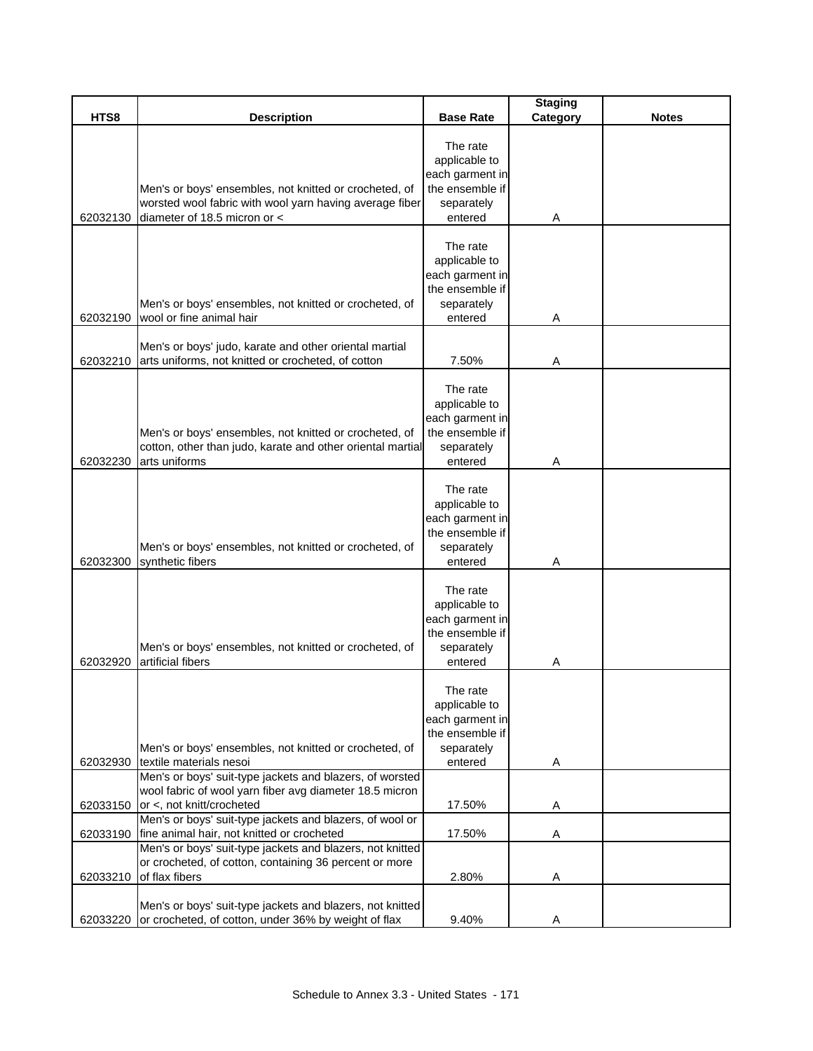|          |                                                                                                                                                   |                                                                                          | <b>Staging</b> |              |
|----------|---------------------------------------------------------------------------------------------------------------------------------------------------|------------------------------------------------------------------------------------------|----------------|--------------|
| HTS8     | <b>Description</b>                                                                                                                                | <b>Base Rate</b>                                                                         | Category       | <b>Notes</b> |
| 62032130 | Men's or boys' ensembles, not knitted or crocheted, of<br>worsted wool fabric with wool yarn having average fiber<br>diameter of 18.5 micron or < | The rate<br>applicable to<br>each garment in<br>the ensemble if<br>separately<br>entered | Α              |              |
| 62032190 | Men's or boys' ensembles, not knitted or crocheted, of<br>wool or fine animal hair                                                                | The rate<br>applicable to<br>each garment in<br>the ensemble if<br>separately<br>entered | Α              |              |
| 62032210 | Men's or boys' judo, karate and other oriental martial<br>arts uniforms, not knitted or crocheted, of cotton                                      | 7.50%                                                                                    | Α              |              |
| 62032230 | Men's or boys' ensembles, not knitted or crocheted, of<br>cotton, other than judo, karate and other oriental martial<br>arts uniforms             | The rate<br>applicable to<br>each garment in<br>the ensemble if<br>separately<br>entered | Α              |              |
| 62032300 | Men's or boys' ensembles, not knitted or crocheted, of<br>synthetic fibers                                                                        | The rate<br>applicable to<br>each garment in<br>the ensemble if<br>separately<br>entered | A              |              |
| 62032920 | Men's or boys' ensembles, not knitted or crocheted, of<br>artificial fibers                                                                       | The rate<br>applicable to<br>each garment in<br>the ensemble if<br>separately<br>entered | Α              |              |
|          | Men's or boys' ensembles, not knitted or crocheted, of                                                                                            | The rate<br>applicable to<br>each garment in<br>the ensemble if<br>separately            |                |              |
| 62032930 | textile materials nesoi                                                                                                                           | entered                                                                                  | Α              |              |
| 62033150 | Men's or boys' suit-type jackets and blazers, of worsted<br>wool fabric of wool yarn fiber avg diameter 18.5 micron<br>or <, not knitt/crocheted  | 17.50%                                                                                   | Α              |              |
| 62033190 | Men's or boys' suit-type jackets and blazers, of wool or<br>fine animal hair, not knitted or crocheted                                            | 17.50%                                                                                   | Α              |              |
|          | Men's or boys' suit-type jackets and blazers, not knitted<br>or crocheted, of cotton, containing 36 percent or more<br>of flax fibers             | 2.80%                                                                                    |                |              |
| 62033210 |                                                                                                                                                   |                                                                                          | A              |              |
| 62033220 | Men's or boys' suit-type jackets and blazers, not knitted<br>or crocheted, of cotton, under 36% by weight of flax                                 | 9.40%                                                                                    | Α              |              |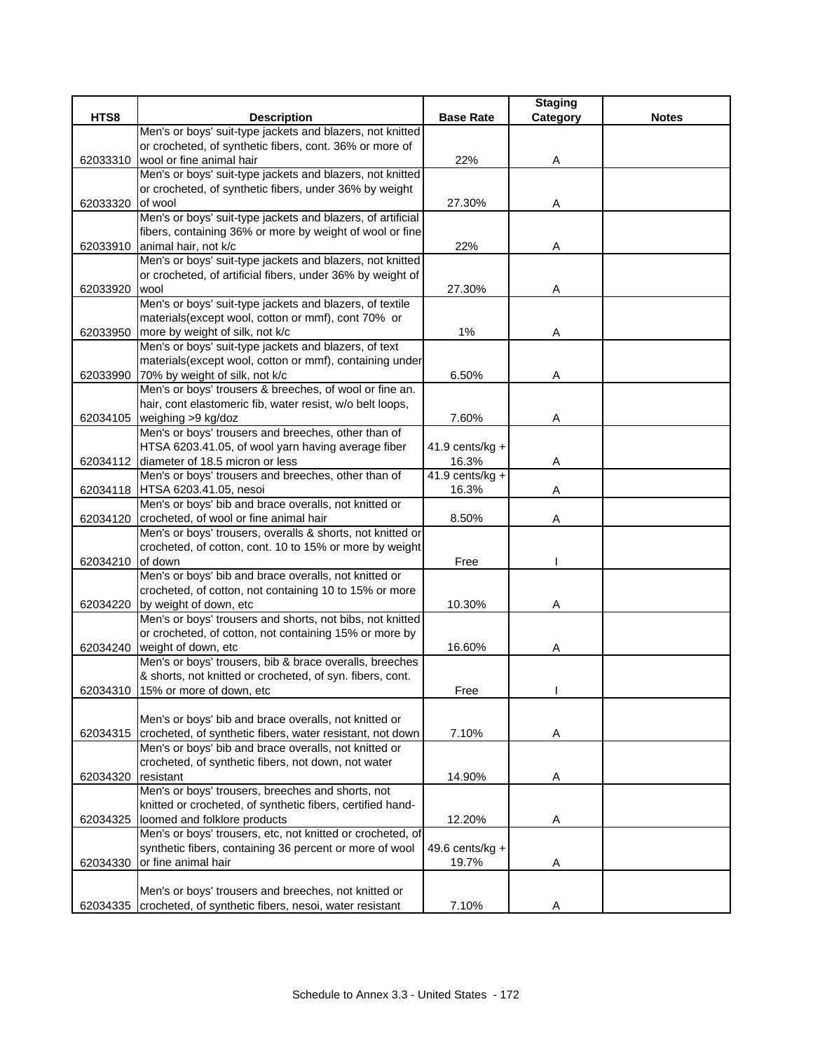|          |                                                                    |                   | <b>Staging</b> |              |
|----------|--------------------------------------------------------------------|-------------------|----------------|--------------|
| HTS8     | <b>Description</b>                                                 | <b>Base Rate</b>  | Category       | <b>Notes</b> |
|          | Men's or boys' suit-type jackets and blazers, not knitted          |                   |                |              |
|          | or crocheted, of synthetic fibers, cont. 36% or more of            |                   |                |              |
| 62033310 | wool or fine animal hair                                           | 22%               | Α              |              |
|          | Men's or boys' suit-type jackets and blazers, not knitted          |                   |                |              |
|          | or crocheted, of synthetic fibers, under 36% by weight             |                   |                |              |
| 62033320 | of wool                                                            | 27.30%            | A              |              |
|          | Men's or boys' suit-type jackets and blazers, of artificial        |                   |                |              |
|          | fibers, containing 36% or more by weight of wool or fine           |                   |                |              |
| 62033910 | animal hair, not k/c                                               | 22%               | Α              |              |
|          | Men's or boys' suit-type jackets and blazers, not knitted          |                   |                |              |
| 62033920 | or crocheted, of artificial fibers, under 36% by weight of<br>wool | 27.30%            |                |              |
|          | Men's or boys' suit-type jackets and blazers, of textile           |                   | Α              |              |
|          | materials(except wool, cotton or mmf), cont 70% or                 |                   |                |              |
| 62033950 | more by weight of silk, not k/c                                    | $1\%$             | Α              |              |
|          | Men's or boys' suit-type jackets and blazers, of text              |                   |                |              |
|          | materials(except wool, cotton or mmf), containing under            |                   |                |              |
| 62033990 | 70% by weight of silk, not k/c                                     | 6.50%             | Α              |              |
|          | Men's or boys' trousers & breeches, of wool or fine an.            |                   |                |              |
|          | hair, cont elastomeric fib, water resist, w/o belt loops,          |                   |                |              |
| 62034105 | weighing >9 kg/doz                                                 | 7.60%             | Α              |              |
|          | Men's or boys' trousers and breeches, other than of                |                   |                |              |
|          | HTSA 6203.41.05, of wool yarn having average fiber                 | 41.9 cents/kg +   |                |              |
| 62034112 | diameter of 18.5 micron or less                                    | 16.3%             | A              |              |
|          | Men's or boys' trousers and breeches, other than of                | $41.9$ cents/kg + |                |              |
|          | 62034118 HTSA 6203.41.05, nesoi                                    | 16.3%             | Α              |              |
|          | Men's or boys' bib and brace overalls, not knitted or              |                   |                |              |
| 62034120 | crocheted, of wool or fine animal hair                             | 8.50%             | Α              |              |
|          | Men's or boys' trousers, overalls & shorts, not knitted or         |                   |                |              |
|          | crocheted, of cotton, cont. 10 to 15% or more by weight            |                   |                |              |
| 62034210 | of down                                                            | Free              |                |              |
|          | Men's or boys' bib and brace overalls, not knitted or              |                   |                |              |
|          | crocheted, of cotton, not containing 10 to 15% or more             |                   |                |              |
| 62034220 | by weight of down, etc                                             | 10.30%            | Α              |              |
|          | Men's or boys' trousers and shorts, not bibs, not knitted          |                   |                |              |
|          | or crocheted, of cotton, not containing 15% or more by             |                   |                |              |
|          | 62034240 weight of down, etc                                       | 16.60%            | Α              |              |
|          | Men's or boys' trousers, bib & brace overalls, breeches            |                   |                |              |
|          | & shorts, not knitted or crocheted, of syn. fibers, cont.          |                   |                |              |
|          | 62034310 15% or more of down, etc                                  | Free              |                |              |
|          | Men's or boys' bib and brace overalls, not knitted or              |                   |                |              |
| 62034315 | crocheted, of synthetic fibers, water resistant, not down          | 7.10%             | Α              |              |
|          | Men's or boys' bib and brace overalls, not knitted or              |                   |                |              |
|          | crocheted, of synthetic fibers, not down, not water                |                   |                |              |
| 62034320 | resistant                                                          | 14.90%            | A              |              |
|          | Men's or boys' trousers, breeches and shorts, not                  |                   |                |              |
|          | knitted or crocheted, of synthetic fibers, certified hand-         |                   |                |              |
| 62034325 | loomed and folklore products                                       | 12.20%            | A              |              |
|          | Men's or boys' trousers, etc, not knitted or crocheted, of         |                   |                |              |
|          | synthetic fibers, containing 36 percent or more of wool            | 49.6 cents/kg +   |                |              |
| 62034330 | or fine animal hair                                                | 19.7%             | Α              |              |
|          |                                                                    |                   |                |              |
|          | Men's or boys' trousers and breeches, not knitted or               |                   |                |              |
|          | 62034335 crocheted, of synthetic fibers, nesoi, water resistant    | 7.10%             | Α              |              |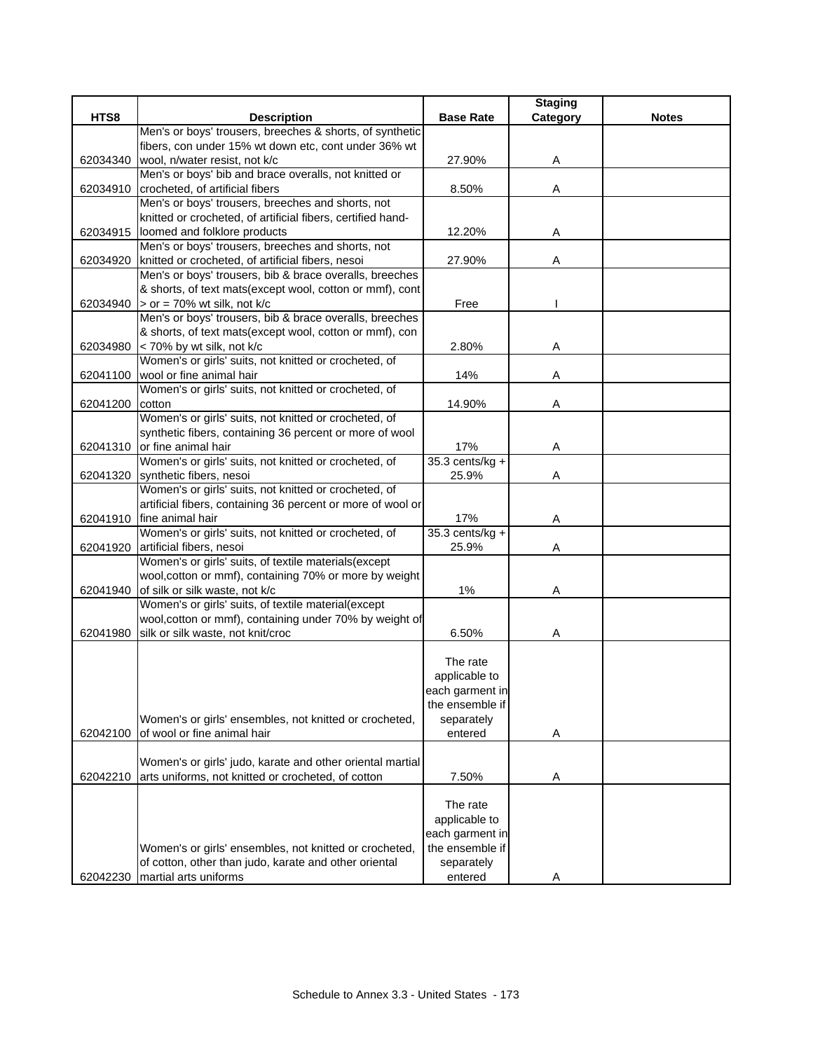|          |                                                                                                                       |                   | <b>Staging</b> |              |
|----------|-----------------------------------------------------------------------------------------------------------------------|-------------------|----------------|--------------|
| HTS8     | <b>Description</b>                                                                                                    | <b>Base Rate</b>  | Category       | <b>Notes</b> |
|          | Men's or boys' trousers, breeches & shorts, of synthetic                                                              |                   |                |              |
|          | fibers, con under 15% wt down etc, cont under 36% wt                                                                  |                   |                |              |
| 62034340 | wool, n/water resist, not k/c                                                                                         | 27.90%            | Α              |              |
|          | Men's or boys' bib and brace overalls, not knitted or                                                                 |                   |                |              |
| 62034910 | crocheted, of artificial fibers                                                                                       | 8.50%             | Α              |              |
|          | Men's or boys' trousers, breeches and shorts, not                                                                     |                   |                |              |
|          | knitted or crocheted, of artificial fibers, certified hand-                                                           |                   |                |              |
|          | 62034915 loomed and folklore products                                                                                 | 12.20%            | Α              |              |
|          | Men's or boys' trousers, breeches and shorts, not                                                                     |                   |                |              |
|          | 62034920 knitted or crocheted, of artificial fibers, nesoi<br>Men's or boys' trousers, bib & brace overalls, breeches | 27.90%            | Α              |              |
|          |                                                                                                                       |                   |                |              |
|          | & shorts, of text mats(except wool, cotton or mmf), cont<br>62034940 > or = 70% wt silk, not k/c                      | Free              |                |              |
|          | Men's or boys' trousers, bib & brace overalls, breeches                                                               |                   |                |              |
|          | & shorts, of text mats(except wool, cotton or mmf), con                                                               |                   |                |              |
| 62034980 | < 70% by wt silk, not k/c                                                                                             | 2.80%             | Α              |              |
|          | Women's or girls' suits, not knitted or crocheted, of                                                                 |                   |                |              |
| 62041100 | wool or fine animal hair                                                                                              | 14%               | Α              |              |
|          | Women's or girls' suits, not knitted or crocheted, of                                                                 |                   |                |              |
| 62041200 | cotton                                                                                                                | 14.90%            | A              |              |
|          | Women's or girls' suits, not knitted or crocheted, of                                                                 |                   |                |              |
|          | synthetic fibers, containing 36 percent or more of wool                                                               |                   |                |              |
|          | 62041310 or fine animal hair                                                                                          | 17%               | Α              |              |
|          | Women's or girls' suits, not knitted or crocheted, of                                                                 | $35.3$ cents/kg + |                |              |
|          | 62041320 synthetic fibers, nesoi                                                                                      | 25.9%             | Α              |              |
|          | Women's or girls' suits, not knitted or crocheted, of                                                                 |                   |                |              |
|          | artificial fibers, containing 36 percent or more of wool or                                                           |                   |                |              |
|          | 62041910 fine animal hair                                                                                             | 17%               | Α              |              |
|          | Women's or girls' suits, not knitted or crocheted, of                                                                 | $35.3$ cents/kg + |                |              |
| 62041920 | artificial fibers, nesoi                                                                                              | 25.9%             | Α              |              |
|          | Women's or girls' suits, of textile materials(except                                                                  |                   |                |              |
|          | wool, cotton or mmf), containing 70% or more by weight                                                                |                   |                |              |
| 62041940 | of silk or silk waste, not k/c                                                                                        | 1%                | Α              |              |
|          | Women's or girls' suits, of textile material(except                                                                   |                   |                |              |
|          | wool, cotton or mmf), containing under 70% by weight of                                                               |                   |                |              |
|          | 62041980 silk or silk waste, not knit/croc                                                                            | 6.50%             | Α              |              |
|          |                                                                                                                       | The rate          |                |              |
|          |                                                                                                                       | applicable to     |                |              |
|          |                                                                                                                       | each garment in   |                |              |
|          |                                                                                                                       | the ensemble if   |                |              |
|          | Women's or girls' ensembles, not knitted or crocheted,                                                                | separately        |                |              |
| 62042100 | of wool or fine animal hair                                                                                           | entered           | Α              |              |
|          |                                                                                                                       |                   |                |              |
|          | Women's or girls' judo, karate and other oriental martial                                                             |                   |                |              |
| 62042210 | arts uniforms, not knitted or crocheted, of cotton                                                                    | 7.50%             | Α              |              |
|          |                                                                                                                       |                   |                |              |
|          |                                                                                                                       | The rate          |                |              |
|          |                                                                                                                       | applicable to     |                |              |
|          |                                                                                                                       | each garment in   |                |              |
|          | Women's or girls' ensembles, not knitted or crocheted,                                                                | the ensemble if   |                |              |
|          | of cotton, other than judo, karate and other oriental                                                                 | separately        |                |              |
| 62042230 | martial arts uniforms                                                                                                 | entered           | Α              |              |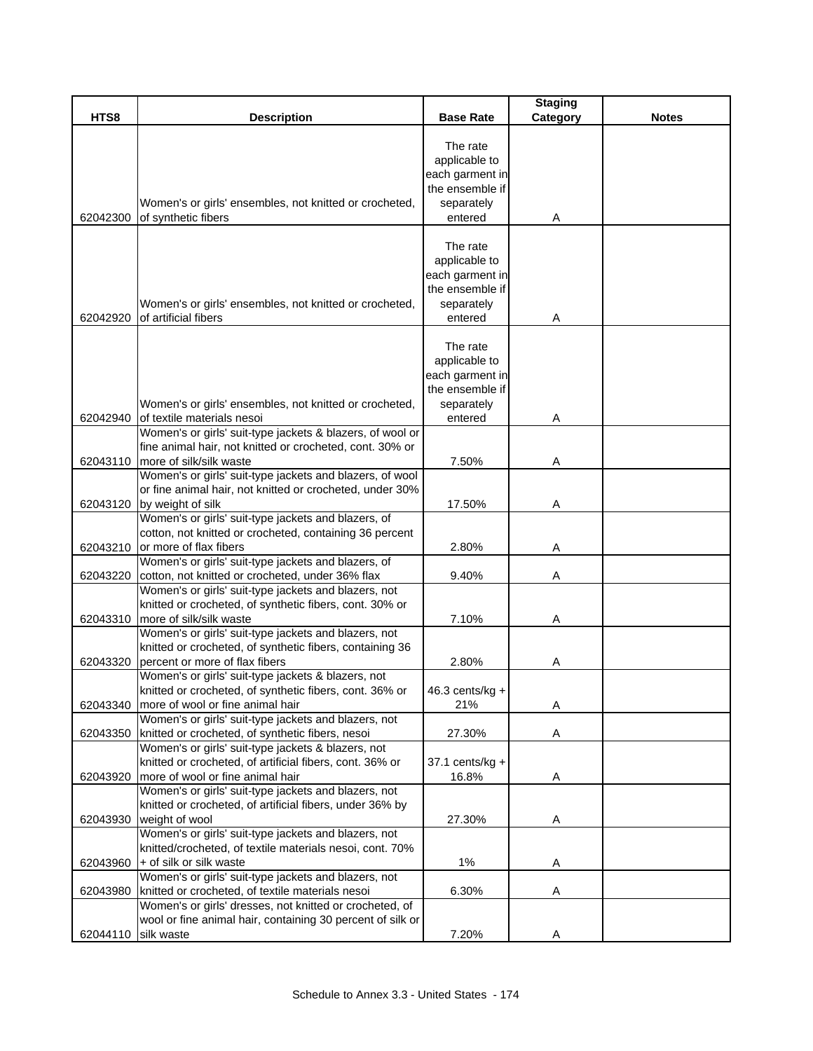|          |                                                                                                                                                    |                                                                                          | <b>Staging</b> |              |
|----------|----------------------------------------------------------------------------------------------------------------------------------------------------|------------------------------------------------------------------------------------------|----------------|--------------|
| HTS8     | <b>Description</b>                                                                                                                                 | <b>Base Rate</b>                                                                         | Category       | <b>Notes</b> |
| 62042300 | Women's or girls' ensembles, not knitted or crocheted,<br>of synthetic fibers                                                                      | The rate<br>applicable to<br>each garment in<br>the ensemble if<br>separately<br>entered | A              |              |
| 62042920 | Women's or girls' ensembles, not knitted or crocheted,<br>of artificial fibers                                                                     | The rate<br>applicable to<br>each garment in<br>the ensemble if<br>separately<br>entered | Α              |              |
| 62042940 | Women's or girls' ensembles, not knitted or crocheted,<br>of textile materials nesoi                                                               | The rate<br>applicable to<br>each garment in<br>the ensemble if<br>separately<br>entered | Α              |              |
|          | Women's or girls' suit-type jackets & blazers, of wool or                                                                                          |                                                                                          |                |              |
| 62043110 | fine animal hair, not knitted or crocheted, cont. 30% or<br>more of silk/silk waste                                                                | 7.50%                                                                                    | Α              |              |
| 62043120 | Women's or girls' suit-type jackets and blazers, of wool<br>or fine animal hair, not knitted or crocheted, under 30%<br>by weight of silk          | 17.50%                                                                                   | A              |              |
|          | Women's or girls' suit-type jackets and blazers, of                                                                                                |                                                                                          |                |              |
| 62043210 | cotton, not knitted or crocheted, containing 36 percent<br>or more of flax fibers                                                                  | 2.80%                                                                                    | Α              |              |
| 62043220 | Women's or girls' suit-type jackets and blazers, of<br>cotton, not knitted or crocheted, under 36% flax                                            | 9.40%                                                                                    | Α              |              |
| 62043310 | Women's or girls' suit-type jackets and blazers, not<br>knitted or crocheted, of synthetic fibers, cont. 30% or<br>more of silk/silk waste         | 7.10%                                                                                    | Α              |              |
| 62043320 | Women's or girls' suit-type jackets and blazers, not<br>knitted or crocheted, of synthetic fibers, containing 36<br>percent or more of flax fibers | 2.80%                                                                                    | Α              |              |
| 62043340 | Women's or girls' suit-type jackets & blazers, not<br>knitted or crocheted, of synthetic fibers, cont. 36% or<br>more of wool or fine animal hair  | 46.3 cents/kg +<br>21%                                                                   | Α              |              |
|          | Women's or girls' suit-type jackets and blazers, not                                                                                               |                                                                                          |                |              |
| 62043350 | knitted or crocheted, of synthetic fibers, nesoi<br>Women's or girls' suit-type jackets & blazers, not                                             | 27.30%                                                                                   | Α              |              |
| 62043920 | knitted or crocheted, of artificial fibers, cont. 36% or<br>more of wool or fine animal hair                                                       | 37.1 cents/kg +<br>16.8%                                                                 | A              |              |
|          | Women's or girls' suit-type jackets and blazers, not<br>knitted or crocheted, of artificial fibers, under 36% by                                   |                                                                                          |                |              |
| 62043930 | weight of wool<br>Women's or girls' suit-type jackets and blazers, not<br>knitted/crocheted, of textile materials nesoi, cont. 70%                 | 27.30%                                                                                   | A              |              |
| 62043960 | + of silk or silk waste                                                                                                                            | $1\%$                                                                                    | Α              |              |
|          | Women's or girls' suit-type jackets and blazers, not                                                                                               |                                                                                          |                |              |
| 62043980 | knitted or crocheted, of textile materials nesoi                                                                                                   | 6.30%                                                                                    | Α              |              |
|          | Women's or girls' dresses, not knitted or crocheted, of                                                                                            |                                                                                          |                |              |
| 62044110 | wool or fine animal hair, containing 30 percent of silk or<br>silk waste                                                                           | 7.20%                                                                                    | Α              |              |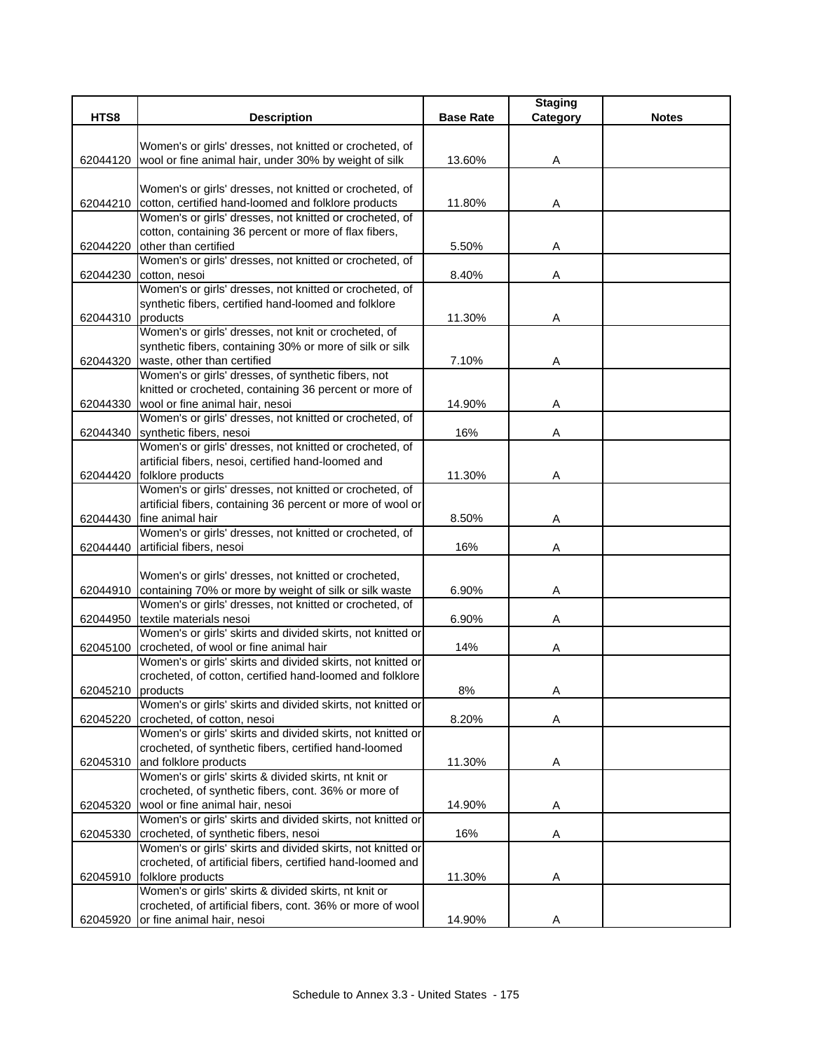|                   |                                                                                                                        |                  | <b>Staging</b> | <b>Notes</b> |
|-------------------|------------------------------------------------------------------------------------------------------------------------|------------------|----------------|--------------|
| HTS8              | <b>Description</b>                                                                                                     | <b>Base Rate</b> | Category       |              |
|                   | Women's or girls' dresses, not knitted or crocheted, of                                                                |                  |                |              |
| 62044120          | wool or fine animal hair, under 30% by weight of silk                                                                  | 13.60%           | Α              |              |
|                   |                                                                                                                        |                  |                |              |
|                   | Women's or girls' dresses, not knitted or crocheted, of                                                                |                  |                |              |
| 62044210          | cotton, certified hand-loomed and folklore products                                                                    | 11.80%           | Α              |              |
|                   | Women's or girls' dresses, not knitted or crocheted, of                                                                |                  |                |              |
|                   | cotton, containing 36 percent or more of flax fibers,                                                                  |                  |                |              |
| 62044220          | other than certified                                                                                                   | 5.50%            | Α              |              |
|                   | Women's or girls' dresses, not knitted or crocheted, of                                                                |                  |                |              |
| 62044230          | cotton, nesoi<br>Women's or girls' dresses, not knitted or crocheted, of                                               | 8.40%            | Α              |              |
|                   | synthetic fibers, certified hand-loomed and folklore                                                                   |                  |                |              |
| 62044310          | products                                                                                                               | 11.30%           | Α              |              |
|                   | Women's or girls' dresses, not knit or crocheted, of                                                                   |                  |                |              |
|                   | synthetic fibers, containing 30% or more of silk or silk                                                               |                  |                |              |
|                   | 62044320 waste, other than certified                                                                                   | 7.10%            | A              |              |
|                   | Women's or girls' dresses, of synthetic fibers, not                                                                    |                  |                |              |
|                   | knitted or crocheted, containing 36 percent or more of                                                                 |                  |                |              |
| 62044330          | wool or fine animal hair, nesoi                                                                                        | 14.90%           | Α              |              |
|                   | Women's or girls' dresses, not knitted or crocheted, of                                                                |                  |                |              |
| 62044340          | synthetic fibers, nesoi                                                                                                | 16%              | Α              |              |
|                   | Women's or girls' dresses, not knitted or crocheted, of                                                                |                  |                |              |
|                   | artificial fibers, nesoi, certified hand-loomed and                                                                    |                  |                |              |
| 62044420          | folklore products                                                                                                      | 11.30%           | Α              |              |
|                   | Women's or girls' dresses, not knitted or crocheted, of<br>artificial fibers, containing 36 percent or more of wool or |                  |                |              |
| 62044430          | fine animal hair                                                                                                       | 8.50%            | Α              |              |
|                   | Women's or girls' dresses, not knitted or crocheted, of                                                                |                  |                |              |
| 62044440          | artificial fibers, nesoi                                                                                               | 16%              | Α              |              |
|                   |                                                                                                                        |                  |                |              |
|                   | Women's or girls' dresses, not knitted or crocheted,                                                                   |                  |                |              |
| 62044910          | containing 70% or more by weight of silk or silk waste                                                                 | 6.90%            | Α              |              |
|                   | Women's or girls' dresses, not knitted or crocheted, of                                                                |                  |                |              |
| 62044950          | textile materials nesoi                                                                                                | 6.90%            | Α              |              |
|                   | Women's or girls' skirts and divided skirts, not knitted or                                                            |                  |                |              |
| 62045100          | crocheted, of wool or fine animal hair                                                                                 | 14%              | Α              |              |
|                   | Women's or girls' skirts and divided skirts, not knitted or                                                            |                  |                |              |
|                   | crocheted, of cotton, certified hand-loomed and folklore                                                               |                  |                |              |
| 62045210 products |                                                                                                                        | 8%               | A              |              |
| 62045220          | Women's or girls' skirts and divided skirts, not knitted or<br>crocheted, of cotton, nesoi                             | 8.20%            | Α              |              |
|                   | Women's or girls' skirts and divided skirts, not knitted or                                                            |                  |                |              |
|                   | crocheted, of synthetic fibers, certified hand-loomed                                                                  |                  |                |              |
| 62045310          | and folklore products                                                                                                  | 11.30%           | Α              |              |
|                   | Women's or girls' skirts & divided skirts, nt knit or                                                                  |                  |                |              |
|                   | crocheted, of synthetic fibers, cont. 36% or more of                                                                   |                  |                |              |
| 62045320          | wool or fine animal hair, nesoi                                                                                        | 14.90%           | A              |              |
|                   | Women's or girls' skirts and divided skirts, not knitted or                                                            |                  |                |              |
| 62045330          | crocheted, of synthetic fibers, nesoi                                                                                  | 16%              | A              |              |
|                   | Women's or girls' skirts and divided skirts, not knitted or                                                            |                  |                |              |
|                   | crocheted, of artificial fibers, certified hand-loomed and                                                             |                  |                |              |
| 62045910          | folklore products                                                                                                      | 11.30%           | Α              |              |
|                   | Women's or girls' skirts & divided skirts, nt knit or                                                                  |                  |                |              |
|                   | crocheted, of artificial fibers, cont. 36% or more of wool                                                             |                  |                |              |
| 62045920          | or fine animal hair, nesoi                                                                                             | 14.90%           | Α              |              |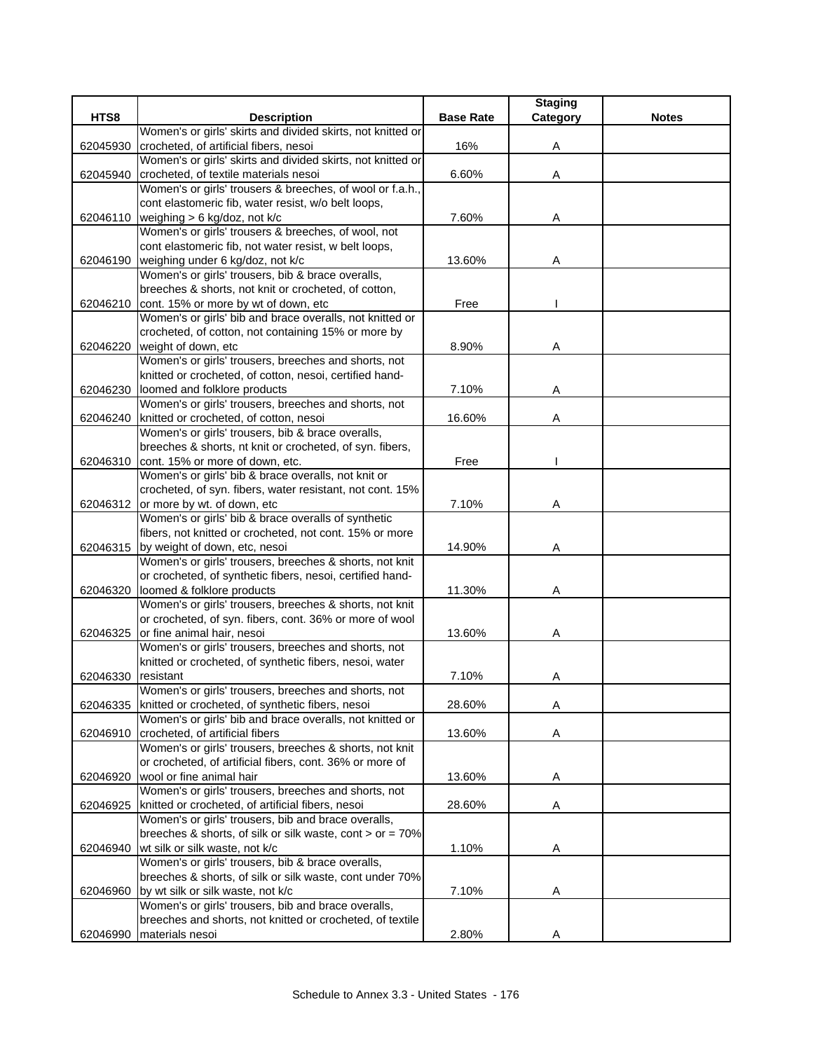|          |                                                                                              |                  | <b>Staging</b> |              |
|----------|----------------------------------------------------------------------------------------------|------------------|----------------|--------------|
| HTS8     | <b>Description</b>                                                                           | <b>Base Rate</b> | Category       | <b>Notes</b> |
|          | Women's or girls' skirts and divided skirts, not knitted or                                  |                  |                |              |
| 62045930 | crocheted, of artificial fibers, nesoi                                                       | 16%              | Α              |              |
|          | Women's or girls' skirts and divided skirts, not knitted or                                  |                  |                |              |
| 62045940 | crocheted, of textile materials nesoi                                                        | 6.60%            | Α              |              |
|          | Women's or girls' trousers & breeches, of wool or f.a.h.,                                    |                  |                |              |
|          | cont elastomeric fib, water resist, w/o belt loops,                                          |                  |                |              |
|          | 62046110 weighing > 6 kg/doz, not k/c<br>Women's or girls' trousers & breeches, of wool, not | 7.60%            | Α              |              |
|          | cont elastomeric fib, not water resist, w belt loops,                                        |                  |                |              |
|          | 62046190 weighing under 6 kg/doz, not k/c                                                    | 13.60%           | Α              |              |
|          | Women's or girls' trousers, bib & brace overalls,                                            |                  |                |              |
|          | breeches & shorts, not knit or crocheted, of cotton,                                         |                  |                |              |
|          | 62046210 cont. 15% or more by wt of down, etc                                                | Free             |                |              |
|          | Women's or girls' bib and brace overalls, not knitted or                                     |                  |                |              |
|          | crocheted, of cotton, not containing 15% or more by                                          |                  |                |              |
| 62046220 | weight of down, etc                                                                          | 8.90%            | Α              |              |
|          | Women's or girls' trousers, breeches and shorts, not                                         |                  |                |              |
|          | knitted or crocheted, of cotton, nesoi, certified hand-                                      |                  |                |              |
| 62046230 | loomed and folklore products                                                                 | 7.10%            | Α              |              |
|          | Women's or girls' trousers, breeches and shorts, not                                         |                  |                |              |
|          | 62046240 knitted or crocheted, of cotton, nesoi                                              | 16.60%           | Α              |              |
|          | Women's or girls' trousers, bib & brace overalls,                                            |                  |                |              |
|          | breeches & shorts, nt knit or crocheted, of syn. fibers,                                     |                  |                |              |
|          | 62046310 cont. 15% or more of down, etc.                                                     | Free             |                |              |
|          | Women's or girls' bib & brace overalls, not knit or                                          |                  |                |              |
|          | crocheted, of syn. fibers, water resistant, not cont. 15%                                    |                  |                |              |
|          | 62046312 or more by wt. of down, etc                                                         | 7.10%            | Α              |              |
|          | Women's or girls' bib & brace overalls of synthetic                                          |                  |                |              |
|          | fibers, not knitted or crocheted, not cont. 15% or more                                      |                  |                |              |
|          | 62046315 by weight of down, etc, nesoi                                                       | 14.90%           | Α              |              |
|          | Women's or girls' trousers, breeches & shorts, not knit                                      |                  |                |              |
|          | or crocheted, of synthetic fibers, nesoi, certified hand-<br>loomed & folklore products      | 11.30%           |                |              |
| 62046320 | Women's or girls' trousers, breeches & shorts, not knit                                      |                  | Α              |              |
|          | or crocheted, of syn. fibers, cont. 36% or more of wool                                      |                  |                |              |
| 62046325 | or fine animal hair, nesoi                                                                   | 13.60%           | Α              |              |
|          | Women's or girls' trousers, breeches and shorts, not                                         |                  |                |              |
|          | knitted or crocheted, of synthetic fibers, nesoi, water                                      |                  |                |              |
| 62046330 | resistant                                                                                    | 7.10%            | Α              |              |
|          | Women's or girls' trousers, breeches and shorts, not                                         |                  |                |              |
| 62046335 | knitted or crocheted, of synthetic fibers, nesoi                                             | 28.60%           | Α              |              |
|          | Women's or girls' bib and brace overalls, not knitted or                                     |                  |                |              |
| 62046910 | crocheted, of artificial fibers                                                              | 13.60%           | Α              |              |
|          | Women's or girls' trousers, breeches & shorts, not knit                                      |                  |                |              |
|          | or crocheted, of artificial fibers, cont. 36% or more of                                     |                  |                |              |
| 62046920 | wool or fine animal hair                                                                     | 13.60%           | Α              |              |
|          | Women's or girls' trousers, breeches and shorts, not                                         |                  |                |              |
| 62046925 | knitted or crocheted, of artificial fibers, nesoi                                            | 28.60%           | A              |              |
|          | Women's or girls' trousers, bib and brace overalls,                                          |                  |                |              |
|          | breeches & shorts, of silk or silk waste, cont $>$ or = 70%                                  |                  |                |              |
| 62046940 | wt silk or silk waste, not k/c                                                               | 1.10%            | A              |              |
|          | Women's or girls' trousers, bib & brace overalls,                                            |                  |                |              |
|          | breeches & shorts, of silk or silk waste, cont under 70%                                     |                  |                |              |
| 62046960 | by wt silk or silk waste, not k/c                                                            | 7.10%            | Α              |              |
|          | Women's or girls' trousers, bib and brace overalls,                                          |                  |                |              |
|          | breeches and shorts, not knitted or crocheted, of textile                                    |                  |                |              |
| 62046990 | materials nesoi                                                                              | 2.80%            | Α              |              |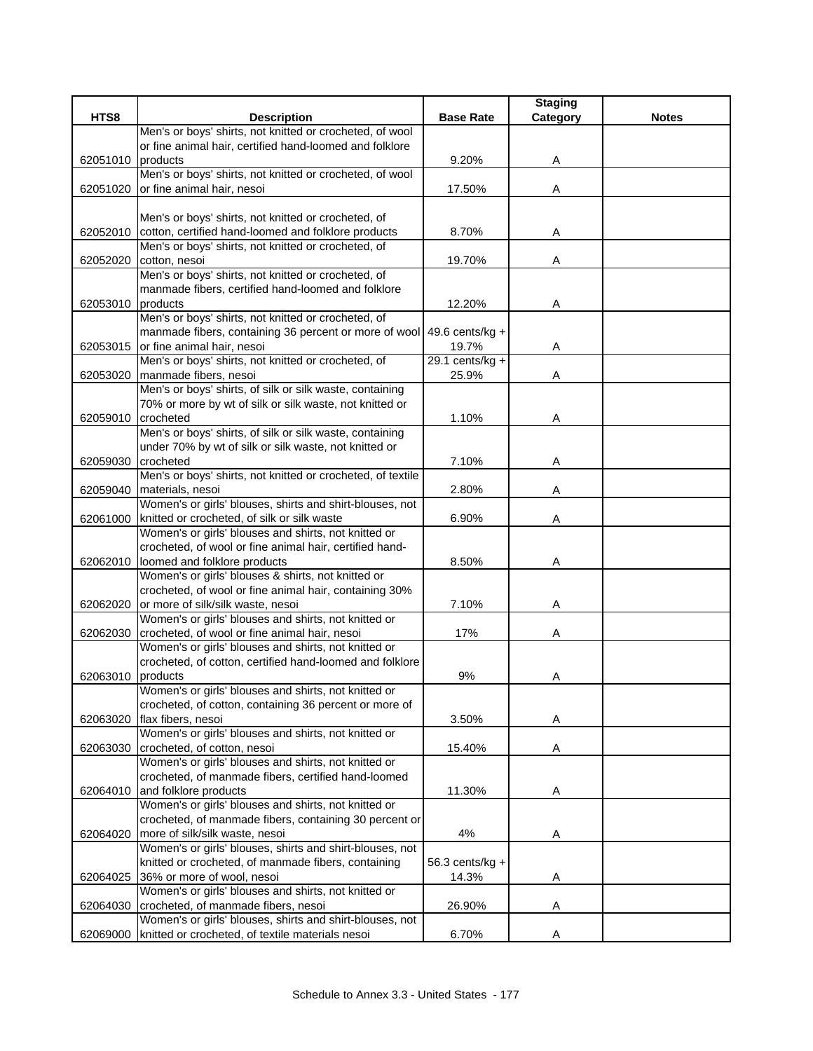|          |                                                                              |                    | <b>Staging</b> |              |
|----------|------------------------------------------------------------------------------|--------------------|----------------|--------------|
| HTS8     | <b>Description</b>                                                           | <b>Base Rate</b>   | Category       | <b>Notes</b> |
|          | Men's or boys' shirts, not knitted or crocheted, of wool                     |                    |                |              |
|          | or fine animal hair, certified hand-loomed and folklore                      |                    |                |              |
| 62051010 | products                                                                     | 9.20%              | Α              |              |
|          | Men's or boys' shirts, not knitted or crocheted, of wool                     |                    |                |              |
| 62051020 | or fine animal hair, nesoi                                                   | 17.50%             | Α              |              |
|          | Men's or boys' shirts, not knitted or crocheted, of                          |                    |                |              |
| 62052010 | cotton, certified hand-loomed and folklore products                          | 8.70%              | Α              |              |
|          | Men's or boys' shirts, not knitted or crocheted, of                          |                    |                |              |
| 62052020 | cotton, nesoi                                                                | 19.70%             | Α              |              |
|          | Men's or boys' shirts, not knitted or crocheted, of                          |                    |                |              |
|          | manmade fibers, certified hand-loomed and folklore                           |                    |                |              |
| 62053010 | products                                                                     | 12.20%             | Α              |              |
|          | Men's or boys' shirts, not knitted or crocheted, of                          |                    |                |              |
|          | manmade fibers, containing 36 percent or more of wool                        | 49.6 cents/ $kg +$ |                |              |
| 62053015 | or fine animal hair, nesoi                                                   | 19.7%              | Α              |              |
|          | Men's or boys' shirts, not knitted or crocheted, of                          | $29.1$ cents/kg +  |                |              |
| 62053020 | manmade fibers, nesoi                                                        | 25.9%              | Α              |              |
|          | Men's or boys' shirts, of silk or silk waste, containing                     |                    |                |              |
|          | 70% or more by wt of silk or silk waste, not knitted or                      |                    |                |              |
| 62059010 | crocheted                                                                    | 1.10%              | Α              |              |
|          | Men's or boys' shirts, of silk or silk waste, containing                     |                    |                |              |
|          | under 70% by wt of silk or silk waste, not knitted or                        |                    |                |              |
| 62059030 | crocheted                                                                    | 7.10%              | Α              |              |
|          | Men's or boys' shirts, not knitted or crocheted, of textile                  |                    |                |              |
| 62059040 | materials, nesoi<br>Women's or girls' blouses, shirts and shirt-blouses, not | 2.80%              | Α              |              |
| 62061000 | knitted or crocheted, of silk or silk waste                                  | 6.90%              | Α              |              |
|          | Women's or girls' blouses and shirts, not knitted or                         |                    |                |              |
|          | crocheted, of wool or fine animal hair, certified hand-                      |                    |                |              |
| 62062010 | loomed and folklore products                                                 | 8.50%              | Α              |              |
|          | Women's or girls' blouses & shirts, not knitted or                           |                    |                |              |
|          | crocheted, of wool or fine animal hair, containing 30%                       |                    |                |              |
| 62062020 | or more of silk/silk waste, nesoi                                            | 7.10%              | Α              |              |
|          | Women's or girls' blouses and shirts, not knitted or                         |                    |                |              |
| 62062030 | crocheted, of wool or fine animal hair, nesoi                                | 17%                | Α              |              |
|          | Women's or girls' blouses and shirts, not knitted or                         |                    |                |              |
|          | crocheted, of cotton, certified hand-loomed and folklore                     |                    |                |              |
| 62063010 | products                                                                     | 9%                 | Α              |              |
|          | Women's or girls' blouses and shirts, not knitted or                         |                    |                |              |
|          | crocheted, of cotton, containing 36 percent or more of                       |                    |                |              |
| 62063020 | flax fibers, nesoi                                                           | 3.50%              | Α              |              |
|          | Women's or girls' blouses and shirts, not knitted or                         |                    |                |              |
| 62063030 | crocheted, of cotton, nesoi                                                  | 15.40%             | Α              |              |
|          | Women's or girls' blouses and shirts, not knitted or                         |                    |                |              |
| 62064010 | crocheted, of manmade fibers, certified hand-loomed<br>and folklore products | 11.30%             |                |              |
|          | Women's or girls' blouses and shirts, not knitted or                         |                    | A              |              |
|          | crocheted, of manmade fibers, containing 30 percent or                       |                    |                |              |
| 62064020 | more of silk/silk waste, nesoi                                               | 4%                 | A              |              |
|          | Women's or girls' blouses, shirts and shirt-blouses, not                     |                    |                |              |
|          | knitted or crocheted, of manmade fibers, containing                          | $56.3$ cents/kg +  |                |              |
| 62064025 | 36% or more of wool, nesoi                                                   | 14.3%              | Α              |              |
|          | Women's or girls' blouses and shirts, not knitted or                         |                    |                |              |
| 62064030 | crocheted, of manmade fibers, nesoi                                          | 26.90%             | A              |              |
|          | Women's or girls' blouses, shirts and shirt-blouses, not                     |                    |                |              |
| 62069000 | knitted or crocheted, of textile materials nesoi                             | 6.70%              | Α              |              |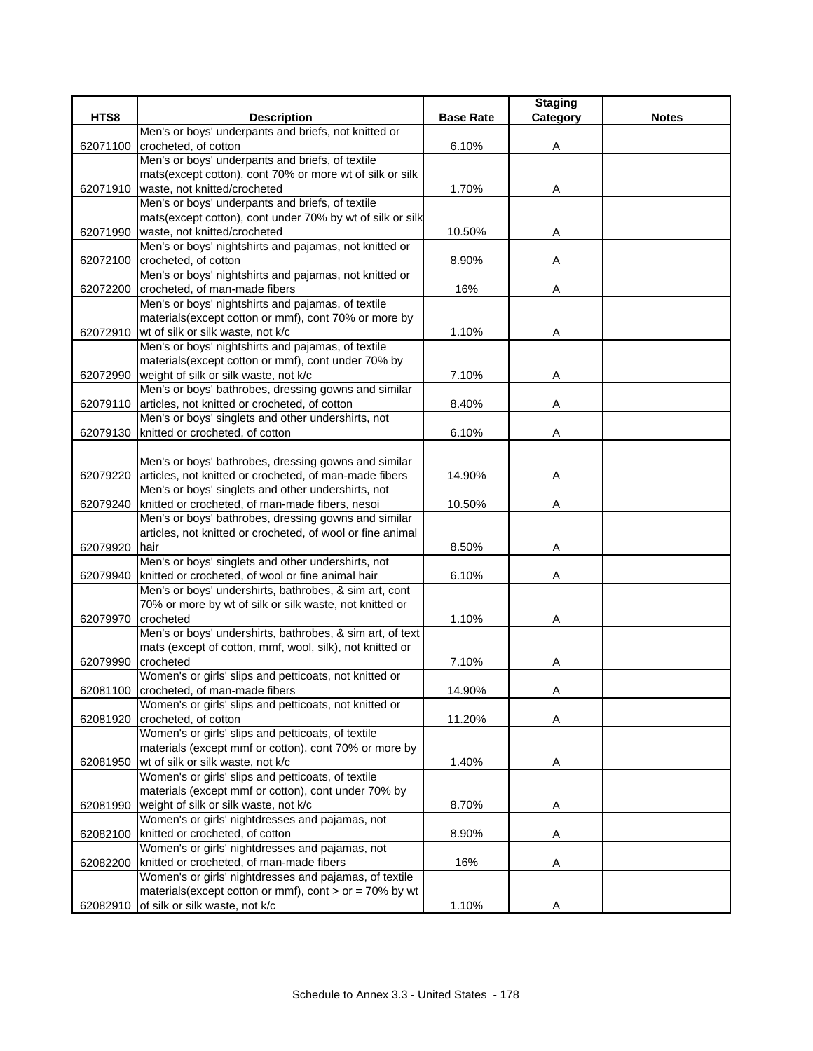| HTS8<br><b>Description</b><br><b>Base Rate</b><br><b>Notes</b><br>Category<br>Men's or boys' underpants and briefs, not knitted or<br>6.10%<br>crocheted, of cotton<br>62071100<br>Α<br>Men's or boys' underpants and briefs, of textile<br>mats(except cotton), cont 70% or more wt of silk or silk<br>62071910   waste, not knitted/crocheted<br>1.70%<br>A<br>Men's or boys' underpants and briefs, of textile<br>mats(except cotton), cont under 70% by wt of silk or silk<br>waste, not knitted/crocheted<br>10.50%<br>62071990<br>Α<br>Men's or boys' nightshirts and pajamas, not knitted or<br>crocheted, of cotton<br>8.90%<br>62072100<br>Α<br>Men's or boys' nightshirts and pajamas, not knitted or<br>crocheted, of man-made fibers<br>16%<br>62072200<br>Α<br>Men's or boys' nightshirts and pajamas, of textile<br>materials(except cotton or mmf), cont 70% or more by<br>62072910 wt of silk or silk waste, not k/c<br>1.10%<br>Α<br>Men's or boys' nightshirts and pajamas, of textile<br>materials(except cotton or mmf), cont under 70% by<br>weight of silk or silk waste, not k/c<br>7.10%<br>62072990<br>Α<br>Men's or boys' bathrobes, dressing gowns and similar<br>62079110<br>articles, not knitted or crocheted, of cotton<br>8.40%<br>Α<br>Men's or boys' singlets and other undershirts, not<br>knitted or crocheted, of cotton<br>6.10%<br>62079130<br>Α<br>Men's or boys' bathrobes, dressing gowns and similar<br>62079220<br>articles, not knitted or crocheted, of man-made fibers<br>14.90%<br>Α<br>Men's or boys' singlets and other undershirts, not<br>knitted or crocheted, of man-made fibers, nesoi<br>10.50%<br>62079240<br>Α<br>Men's or boys' bathrobes, dressing gowns and similar<br>articles, not knitted or crocheted, of wool or fine animal<br>62079920<br>hair<br>8.50%<br>Α<br>Men's or boys' singlets and other undershirts, not<br>knitted or crocheted, of wool or fine animal hair<br>6.10%<br>62079940<br>Α<br>Men's or boys' undershirts, bathrobes, & sim art, cont<br>70% or more by wt of silk or silk waste, not knitted or<br>62079970<br>crocheted<br>1.10%<br>Α<br>Men's or boys' undershirts, bathrobes, & sim art, of text<br>mats (except of cotton, mmf, wool, silk), not knitted or<br>crocheted<br>7.10%<br>62079990<br>Α<br>Women's or girls' slips and petticoats, not knitted or<br>crocheted, of man-made fibers<br>14.90%<br>62081100<br>Α<br>Women's or girls' slips and petticoats, not knitted or<br>crocheted, of cotton<br>11.20%<br>62081920<br>Α<br>Women's or girls' slips and petticoats, of textile<br>materials (except mmf or cotton), cont 70% or more by<br>62081950<br>wt of silk or silk waste, not k/c<br>1.40%<br>Α<br>Women's or girls' slips and petticoats, of textile<br>materials (except mmf or cotton), cont under 70% by<br>weight of silk or silk waste, not k/c<br>8.70%<br>62081990<br>A<br>Women's or girls' nightdresses and pajamas, not<br>knitted or crocheted, of cotton<br>8.90%<br>62082100<br>Α<br>Women's or girls' nightdresses and pajamas, not<br>knitted or crocheted, of man-made fibers<br>16%<br>62082200<br>Α |                                                        | <b>Staging</b> |  |
|-------------------------------------------------------------------------------------------------------------------------------------------------------------------------------------------------------------------------------------------------------------------------------------------------------------------------------------------------------------------------------------------------------------------------------------------------------------------------------------------------------------------------------------------------------------------------------------------------------------------------------------------------------------------------------------------------------------------------------------------------------------------------------------------------------------------------------------------------------------------------------------------------------------------------------------------------------------------------------------------------------------------------------------------------------------------------------------------------------------------------------------------------------------------------------------------------------------------------------------------------------------------------------------------------------------------------------------------------------------------------------------------------------------------------------------------------------------------------------------------------------------------------------------------------------------------------------------------------------------------------------------------------------------------------------------------------------------------------------------------------------------------------------------------------------------------------------------------------------------------------------------------------------------------------------------------------------------------------------------------------------------------------------------------------------------------------------------------------------------------------------------------------------------------------------------------------------------------------------------------------------------------------------------------------------------------------------------------------------------------------------------------------------------------------------------------------------------------------------------------------------------------------------------------------------------------------------------------------------------------------------------------------------------------------------------------------------------------------------------------------------------------------------------------------------------------------------------------------------------------------------------------------------------------------------------------------------------------------------------------------------------------------------------------------------------------------------------------------------------------------------------------|--------------------------------------------------------|----------------|--|
|                                                                                                                                                                                                                                                                                                                                                                                                                                                                                                                                                                                                                                                                                                                                                                                                                                                                                                                                                                                                                                                                                                                                                                                                                                                                                                                                                                                                                                                                                                                                                                                                                                                                                                                                                                                                                                                                                                                                                                                                                                                                                                                                                                                                                                                                                                                                                                                                                                                                                                                                                                                                                                                                                                                                                                                                                                                                                                                                                                                                                                                                                                                                           |                                                        |                |  |
|                                                                                                                                                                                                                                                                                                                                                                                                                                                                                                                                                                                                                                                                                                                                                                                                                                                                                                                                                                                                                                                                                                                                                                                                                                                                                                                                                                                                                                                                                                                                                                                                                                                                                                                                                                                                                                                                                                                                                                                                                                                                                                                                                                                                                                                                                                                                                                                                                                                                                                                                                                                                                                                                                                                                                                                                                                                                                                                                                                                                                                                                                                                                           |                                                        |                |  |
|                                                                                                                                                                                                                                                                                                                                                                                                                                                                                                                                                                                                                                                                                                                                                                                                                                                                                                                                                                                                                                                                                                                                                                                                                                                                                                                                                                                                                                                                                                                                                                                                                                                                                                                                                                                                                                                                                                                                                                                                                                                                                                                                                                                                                                                                                                                                                                                                                                                                                                                                                                                                                                                                                                                                                                                                                                                                                                                                                                                                                                                                                                                                           |                                                        |                |  |
|                                                                                                                                                                                                                                                                                                                                                                                                                                                                                                                                                                                                                                                                                                                                                                                                                                                                                                                                                                                                                                                                                                                                                                                                                                                                                                                                                                                                                                                                                                                                                                                                                                                                                                                                                                                                                                                                                                                                                                                                                                                                                                                                                                                                                                                                                                                                                                                                                                                                                                                                                                                                                                                                                                                                                                                                                                                                                                                                                                                                                                                                                                                                           |                                                        |                |  |
|                                                                                                                                                                                                                                                                                                                                                                                                                                                                                                                                                                                                                                                                                                                                                                                                                                                                                                                                                                                                                                                                                                                                                                                                                                                                                                                                                                                                                                                                                                                                                                                                                                                                                                                                                                                                                                                                                                                                                                                                                                                                                                                                                                                                                                                                                                                                                                                                                                                                                                                                                                                                                                                                                                                                                                                                                                                                                                                                                                                                                                                                                                                                           |                                                        |                |  |
|                                                                                                                                                                                                                                                                                                                                                                                                                                                                                                                                                                                                                                                                                                                                                                                                                                                                                                                                                                                                                                                                                                                                                                                                                                                                                                                                                                                                                                                                                                                                                                                                                                                                                                                                                                                                                                                                                                                                                                                                                                                                                                                                                                                                                                                                                                                                                                                                                                                                                                                                                                                                                                                                                                                                                                                                                                                                                                                                                                                                                                                                                                                                           |                                                        |                |  |
|                                                                                                                                                                                                                                                                                                                                                                                                                                                                                                                                                                                                                                                                                                                                                                                                                                                                                                                                                                                                                                                                                                                                                                                                                                                                                                                                                                                                                                                                                                                                                                                                                                                                                                                                                                                                                                                                                                                                                                                                                                                                                                                                                                                                                                                                                                                                                                                                                                                                                                                                                                                                                                                                                                                                                                                                                                                                                                                                                                                                                                                                                                                                           |                                                        |                |  |
|                                                                                                                                                                                                                                                                                                                                                                                                                                                                                                                                                                                                                                                                                                                                                                                                                                                                                                                                                                                                                                                                                                                                                                                                                                                                                                                                                                                                                                                                                                                                                                                                                                                                                                                                                                                                                                                                                                                                                                                                                                                                                                                                                                                                                                                                                                                                                                                                                                                                                                                                                                                                                                                                                                                                                                                                                                                                                                                                                                                                                                                                                                                                           |                                                        |                |  |
|                                                                                                                                                                                                                                                                                                                                                                                                                                                                                                                                                                                                                                                                                                                                                                                                                                                                                                                                                                                                                                                                                                                                                                                                                                                                                                                                                                                                                                                                                                                                                                                                                                                                                                                                                                                                                                                                                                                                                                                                                                                                                                                                                                                                                                                                                                                                                                                                                                                                                                                                                                                                                                                                                                                                                                                                                                                                                                                                                                                                                                                                                                                                           |                                                        |                |  |
|                                                                                                                                                                                                                                                                                                                                                                                                                                                                                                                                                                                                                                                                                                                                                                                                                                                                                                                                                                                                                                                                                                                                                                                                                                                                                                                                                                                                                                                                                                                                                                                                                                                                                                                                                                                                                                                                                                                                                                                                                                                                                                                                                                                                                                                                                                                                                                                                                                                                                                                                                                                                                                                                                                                                                                                                                                                                                                                                                                                                                                                                                                                                           |                                                        |                |  |
|                                                                                                                                                                                                                                                                                                                                                                                                                                                                                                                                                                                                                                                                                                                                                                                                                                                                                                                                                                                                                                                                                                                                                                                                                                                                                                                                                                                                                                                                                                                                                                                                                                                                                                                                                                                                                                                                                                                                                                                                                                                                                                                                                                                                                                                                                                                                                                                                                                                                                                                                                                                                                                                                                                                                                                                                                                                                                                                                                                                                                                                                                                                                           |                                                        |                |  |
|                                                                                                                                                                                                                                                                                                                                                                                                                                                                                                                                                                                                                                                                                                                                                                                                                                                                                                                                                                                                                                                                                                                                                                                                                                                                                                                                                                                                                                                                                                                                                                                                                                                                                                                                                                                                                                                                                                                                                                                                                                                                                                                                                                                                                                                                                                                                                                                                                                                                                                                                                                                                                                                                                                                                                                                                                                                                                                                                                                                                                                                                                                                                           |                                                        |                |  |
|                                                                                                                                                                                                                                                                                                                                                                                                                                                                                                                                                                                                                                                                                                                                                                                                                                                                                                                                                                                                                                                                                                                                                                                                                                                                                                                                                                                                                                                                                                                                                                                                                                                                                                                                                                                                                                                                                                                                                                                                                                                                                                                                                                                                                                                                                                                                                                                                                                                                                                                                                                                                                                                                                                                                                                                                                                                                                                                                                                                                                                                                                                                                           |                                                        |                |  |
|                                                                                                                                                                                                                                                                                                                                                                                                                                                                                                                                                                                                                                                                                                                                                                                                                                                                                                                                                                                                                                                                                                                                                                                                                                                                                                                                                                                                                                                                                                                                                                                                                                                                                                                                                                                                                                                                                                                                                                                                                                                                                                                                                                                                                                                                                                                                                                                                                                                                                                                                                                                                                                                                                                                                                                                                                                                                                                                                                                                                                                                                                                                                           |                                                        |                |  |
|                                                                                                                                                                                                                                                                                                                                                                                                                                                                                                                                                                                                                                                                                                                                                                                                                                                                                                                                                                                                                                                                                                                                                                                                                                                                                                                                                                                                                                                                                                                                                                                                                                                                                                                                                                                                                                                                                                                                                                                                                                                                                                                                                                                                                                                                                                                                                                                                                                                                                                                                                                                                                                                                                                                                                                                                                                                                                                                                                                                                                                                                                                                                           |                                                        |                |  |
|                                                                                                                                                                                                                                                                                                                                                                                                                                                                                                                                                                                                                                                                                                                                                                                                                                                                                                                                                                                                                                                                                                                                                                                                                                                                                                                                                                                                                                                                                                                                                                                                                                                                                                                                                                                                                                                                                                                                                                                                                                                                                                                                                                                                                                                                                                                                                                                                                                                                                                                                                                                                                                                                                                                                                                                                                                                                                                                                                                                                                                                                                                                                           |                                                        |                |  |
|                                                                                                                                                                                                                                                                                                                                                                                                                                                                                                                                                                                                                                                                                                                                                                                                                                                                                                                                                                                                                                                                                                                                                                                                                                                                                                                                                                                                                                                                                                                                                                                                                                                                                                                                                                                                                                                                                                                                                                                                                                                                                                                                                                                                                                                                                                                                                                                                                                                                                                                                                                                                                                                                                                                                                                                                                                                                                                                                                                                                                                                                                                                                           |                                                        |                |  |
|                                                                                                                                                                                                                                                                                                                                                                                                                                                                                                                                                                                                                                                                                                                                                                                                                                                                                                                                                                                                                                                                                                                                                                                                                                                                                                                                                                                                                                                                                                                                                                                                                                                                                                                                                                                                                                                                                                                                                                                                                                                                                                                                                                                                                                                                                                                                                                                                                                                                                                                                                                                                                                                                                                                                                                                                                                                                                                                                                                                                                                                                                                                                           |                                                        |                |  |
|                                                                                                                                                                                                                                                                                                                                                                                                                                                                                                                                                                                                                                                                                                                                                                                                                                                                                                                                                                                                                                                                                                                                                                                                                                                                                                                                                                                                                                                                                                                                                                                                                                                                                                                                                                                                                                                                                                                                                                                                                                                                                                                                                                                                                                                                                                                                                                                                                                                                                                                                                                                                                                                                                                                                                                                                                                                                                                                                                                                                                                                                                                                                           |                                                        |                |  |
|                                                                                                                                                                                                                                                                                                                                                                                                                                                                                                                                                                                                                                                                                                                                                                                                                                                                                                                                                                                                                                                                                                                                                                                                                                                                                                                                                                                                                                                                                                                                                                                                                                                                                                                                                                                                                                                                                                                                                                                                                                                                                                                                                                                                                                                                                                                                                                                                                                                                                                                                                                                                                                                                                                                                                                                                                                                                                                                                                                                                                                                                                                                                           |                                                        |                |  |
|                                                                                                                                                                                                                                                                                                                                                                                                                                                                                                                                                                                                                                                                                                                                                                                                                                                                                                                                                                                                                                                                                                                                                                                                                                                                                                                                                                                                                                                                                                                                                                                                                                                                                                                                                                                                                                                                                                                                                                                                                                                                                                                                                                                                                                                                                                                                                                                                                                                                                                                                                                                                                                                                                                                                                                                                                                                                                                                                                                                                                                                                                                                                           |                                                        |                |  |
|                                                                                                                                                                                                                                                                                                                                                                                                                                                                                                                                                                                                                                                                                                                                                                                                                                                                                                                                                                                                                                                                                                                                                                                                                                                                                                                                                                                                                                                                                                                                                                                                                                                                                                                                                                                                                                                                                                                                                                                                                                                                                                                                                                                                                                                                                                                                                                                                                                                                                                                                                                                                                                                                                                                                                                                                                                                                                                                                                                                                                                                                                                                                           |                                                        |                |  |
|                                                                                                                                                                                                                                                                                                                                                                                                                                                                                                                                                                                                                                                                                                                                                                                                                                                                                                                                                                                                                                                                                                                                                                                                                                                                                                                                                                                                                                                                                                                                                                                                                                                                                                                                                                                                                                                                                                                                                                                                                                                                                                                                                                                                                                                                                                                                                                                                                                                                                                                                                                                                                                                                                                                                                                                                                                                                                                                                                                                                                                                                                                                                           |                                                        |                |  |
|                                                                                                                                                                                                                                                                                                                                                                                                                                                                                                                                                                                                                                                                                                                                                                                                                                                                                                                                                                                                                                                                                                                                                                                                                                                                                                                                                                                                                                                                                                                                                                                                                                                                                                                                                                                                                                                                                                                                                                                                                                                                                                                                                                                                                                                                                                                                                                                                                                                                                                                                                                                                                                                                                                                                                                                                                                                                                                                                                                                                                                                                                                                                           |                                                        |                |  |
|                                                                                                                                                                                                                                                                                                                                                                                                                                                                                                                                                                                                                                                                                                                                                                                                                                                                                                                                                                                                                                                                                                                                                                                                                                                                                                                                                                                                                                                                                                                                                                                                                                                                                                                                                                                                                                                                                                                                                                                                                                                                                                                                                                                                                                                                                                                                                                                                                                                                                                                                                                                                                                                                                                                                                                                                                                                                                                                                                                                                                                                                                                                                           |                                                        |                |  |
|                                                                                                                                                                                                                                                                                                                                                                                                                                                                                                                                                                                                                                                                                                                                                                                                                                                                                                                                                                                                                                                                                                                                                                                                                                                                                                                                                                                                                                                                                                                                                                                                                                                                                                                                                                                                                                                                                                                                                                                                                                                                                                                                                                                                                                                                                                                                                                                                                                                                                                                                                                                                                                                                                                                                                                                                                                                                                                                                                                                                                                                                                                                                           |                                                        |                |  |
|                                                                                                                                                                                                                                                                                                                                                                                                                                                                                                                                                                                                                                                                                                                                                                                                                                                                                                                                                                                                                                                                                                                                                                                                                                                                                                                                                                                                                                                                                                                                                                                                                                                                                                                                                                                                                                                                                                                                                                                                                                                                                                                                                                                                                                                                                                                                                                                                                                                                                                                                                                                                                                                                                                                                                                                                                                                                                                                                                                                                                                                                                                                                           |                                                        |                |  |
|                                                                                                                                                                                                                                                                                                                                                                                                                                                                                                                                                                                                                                                                                                                                                                                                                                                                                                                                                                                                                                                                                                                                                                                                                                                                                                                                                                                                                                                                                                                                                                                                                                                                                                                                                                                                                                                                                                                                                                                                                                                                                                                                                                                                                                                                                                                                                                                                                                                                                                                                                                                                                                                                                                                                                                                                                                                                                                                                                                                                                                                                                                                                           |                                                        |                |  |
|                                                                                                                                                                                                                                                                                                                                                                                                                                                                                                                                                                                                                                                                                                                                                                                                                                                                                                                                                                                                                                                                                                                                                                                                                                                                                                                                                                                                                                                                                                                                                                                                                                                                                                                                                                                                                                                                                                                                                                                                                                                                                                                                                                                                                                                                                                                                                                                                                                                                                                                                                                                                                                                                                                                                                                                                                                                                                                                                                                                                                                                                                                                                           |                                                        |                |  |
|                                                                                                                                                                                                                                                                                                                                                                                                                                                                                                                                                                                                                                                                                                                                                                                                                                                                                                                                                                                                                                                                                                                                                                                                                                                                                                                                                                                                                                                                                                                                                                                                                                                                                                                                                                                                                                                                                                                                                                                                                                                                                                                                                                                                                                                                                                                                                                                                                                                                                                                                                                                                                                                                                                                                                                                                                                                                                                                                                                                                                                                                                                                                           |                                                        |                |  |
|                                                                                                                                                                                                                                                                                                                                                                                                                                                                                                                                                                                                                                                                                                                                                                                                                                                                                                                                                                                                                                                                                                                                                                                                                                                                                                                                                                                                                                                                                                                                                                                                                                                                                                                                                                                                                                                                                                                                                                                                                                                                                                                                                                                                                                                                                                                                                                                                                                                                                                                                                                                                                                                                                                                                                                                                                                                                                                                                                                                                                                                                                                                                           |                                                        |                |  |
|                                                                                                                                                                                                                                                                                                                                                                                                                                                                                                                                                                                                                                                                                                                                                                                                                                                                                                                                                                                                                                                                                                                                                                                                                                                                                                                                                                                                                                                                                                                                                                                                                                                                                                                                                                                                                                                                                                                                                                                                                                                                                                                                                                                                                                                                                                                                                                                                                                                                                                                                                                                                                                                                                                                                                                                                                                                                                                                                                                                                                                                                                                                                           |                                                        |                |  |
|                                                                                                                                                                                                                                                                                                                                                                                                                                                                                                                                                                                                                                                                                                                                                                                                                                                                                                                                                                                                                                                                                                                                                                                                                                                                                                                                                                                                                                                                                                                                                                                                                                                                                                                                                                                                                                                                                                                                                                                                                                                                                                                                                                                                                                                                                                                                                                                                                                                                                                                                                                                                                                                                                                                                                                                                                                                                                                                                                                                                                                                                                                                                           |                                                        |                |  |
|                                                                                                                                                                                                                                                                                                                                                                                                                                                                                                                                                                                                                                                                                                                                                                                                                                                                                                                                                                                                                                                                                                                                                                                                                                                                                                                                                                                                                                                                                                                                                                                                                                                                                                                                                                                                                                                                                                                                                                                                                                                                                                                                                                                                                                                                                                                                                                                                                                                                                                                                                                                                                                                                                                                                                                                                                                                                                                                                                                                                                                                                                                                                           |                                                        |                |  |
|                                                                                                                                                                                                                                                                                                                                                                                                                                                                                                                                                                                                                                                                                                                                                                                                                                                                                                                                                                                                                                                                                                                                                                                                                                                                                                                                                                                                                                                                                                                                                                                                                                                                                                                                                                                                                                                                                                                                                                                                                                                                                                                                                                                                                                                                                                                                                                                                                                                                                                                                                                                                                                                                                                                                                                                                                                                                                                                                                                                                                                                                                                                                           |                                                        |                |  |
|                                                                                                                                                                                                                                                                                                                                                                                                                                                                                                                                                                                                                                                                                                                                                                                                                                                                                                                                                                                                                                                                                                                                                                                                                                                                                                                                                                                                                                                                                                                                                                                                                                                                                                                                                                                                                                                                                                                                                                                                                                                                                                                                                                                                                                                                                                                                                                                                                                                                                                                                                                                                                                                                                                                                                                                                                                                                                                                                                                                                                                                                                                                                           |                                                        |                |  |
|                                                                                                                                                                                                                                                                                                                                                                                                                                                                                                                                                                                                                                                                                                                                                                                                                                                                                                                                                                                                                                                                                                                                                                                                                                                                                                                                                                                                                                                                                                                                                                                                                                                                                                                                                                                                                                                                                                                                                                                                                                                                                                                                                                                                                                                                                                                                                                                                                                                                                                                                                                                                                                                                                                                                                                                                                                                                                                                                                                                                                                                                                                                                           |                                                        |                |  |
|                                                                                                                                                                                                                                                                                                                                                                                                                                                                                                                                                                                                                                                                                                                                                                                                                                                                                                                                                                                                                                                                                                                                                                                                                                                                                                                                                                                                                                                                                                                                                                                                                                                                                                                                                                                                                                                                                                                                                                                                                                                                                                                                                                                                                                                                                                                                                                                                                                                                                                                                                                                                                                                                                                                                                                                                                                                                                                                                                                                                                                                                                                                                           |                                                        |                |  |
|                                                                                                                                                                                                                                                                                                                                                                                                                                                                                                                                                                                                                                                                                                                                                                                                                                                                                                                                                                                                                                                                                                                                                                                                                                                                                                                                                                                                                                                                                                                                                                                                                                                                                                                                                                                                                                                                                                                                                                                                                                                                                                                                                                                                                                                                                                                                                                                                                                                                                                                                                                                                                                                                                                                                                                                                                                                                                                                                                                                                                                                                                                                                           |                                                        |                |  |
|                                                                                                                                                                                                                                                                                                                                                                                                                                                                                                                                                                                                                                                                                                                                                                                                                                                                                                                                                                                                                                                                                                                                                                                                                                                                                                                                                                                                                                                                                                                                                                                                                                                                                                                                                                                                                                                                                                                                                                                                                                                                                                                                                                                                                                                                                                                                                                                                                                                                                                                                                                                                                                                                                                                                                                                                                                                                                                                                                                                                                                                                                                                                           |                                                        |                |  |
|                                                                                                                                                                                                                                                                                                                                                                                                                                                                                                                                                                                                                                                                                                                                                                                                                                                                                                                                                                                                                                                                                                                                                                                                                                                                                                                                                                                                                                                                                                                                                                                                                                                                                                                                                                                                                                                                                                                                                                                                                                                                                                                                                                                                                                                                                                                                                                                                                                                                                                                                                                                                                                                                                                                                                                                                                                                                                                                                                                                                                                                                                                                                           |                                                        |                |  |
|                                                                                                                                                                                                                                                                                                                                                                                                                                                                                                                                                                                                                                                                                                                                                                                                                                                                                                                                                                                                                                                                                                                                                                                                                                                                                                                                                                                                                                                                                                                                                                                                                                                                                                                                                                                                                                                                                                                                                                                                                                                                                                                                                                                                                                                                                                                                                                                                                                                                                                                                                                                                                                                                                                                                                                                                                                                                                                                                                                                                                                                                                                                                           |                                                        |                |  |
|                                                                                                                                                                                                                                                                                                                                                                                                                                                                                                                                                                                                                                                                                                                                                                                                                                                                                                                                                                                                                                                                                                                                                                                                                                                                                                                                                                                                                                                                                                                                                                                                                                                                                                                                                                                                                                                                                                                                                                                                                                                                                                                                                                                                                                                                                                                                                                                                                                                                                                                                                                                                                                                                                                                                                                                                                                                                                                                                                                                                                                                                                                                                           |                                                        |                |  |
|                                                                                                                                                                                                                                                                                                                                                                                                                                                                                                                                                                                                                                                                                                                                                                                                                                                                                                                                                                                                                                                                                                                                                                                                                                                                                                                                                                                                                                                                                                                                                                                                                                                                                                                                                                                                                                                                                                                                                                                                                                                                                                                                                                                                                                                                                                                                                                                                                                                                                                                                                                                                                                                                                                                                                                                                                                                                                                                                                                                                                                                                                                                                           |                                                        |                |  |
|                                                                                                                                                                                                                                                                                                                                                                                                                                                                                                                                                                                                                                                                                                                                                                                                                                                                                                                                                                                                                                                                                                                                                                                                                                                                                                                                                                                                                                                                                                                                                                                                                                                                                                                                                                                                                                                                                                                                                                                                                                                                                                                                                                                                                                                                                                                                                                                                                                                                                                                                                                                                                                                                                                                                                                                                                                                                                                                                                                                                                                                                                                                                           |                                                        |                |  |
|                                                                                                                                                                                                                                                                                                                                                                                                                                                                                                                                                                                                                                                                                                                                                                                                                                                                                                                                                                                                                                                                                                                                                                                                                                                                                                                                                                                                                                                                                                                                                                                                                                                                                                                                                                                                                                                                                                                                                                                                                                                                                                                                                                                                                                                                                                                                                                                                                                                                                                                                                                                                                                                                                                                                                                                                                                                                                                                                                                                                                                                                                                                                           |                                                        |                |  |
|                                                                                                                                                                                                                                                                                                                                                                                                                                                                                                                                                                                                                                                                                                                                                                                                                                                                                                                                                                                                                                                                                                                                                                                                                                                                                                                                                                                                                                                                                                                                                                                                                                                                                                                                                                                                                                                                                                                                                                                                                                                                                                                                                                                                                                                                                                                                                                                                                                                                                                                                                                                                                                                                                                                                                                                                                                                                                                                                                                                                                                                                                                                                           |                                                        |                |  |
|                                                                                                                                                                                                                                                                                                                                                                                                                                                                                                                                                                                                                                                                                                                                                                                                                                                                                                                                                                                                                                                                                                                                                                                                                                                                                                                                                                                                                                                                                                                                                                                                                                                                                                                                                                                                                                                                                                                                                                                                                                                                                                                                                                                                                                                                                                                                                                                                                                                                                                                                                                                                                                                                                                                                                                                                                                                                                                                                                                                                                                                                                                                                           |                                                        |                |  |
|                                                                                                                                                                                                                                                                                                                                                                                                                                                                                                                                                                                                                                                                                                                                                                                                                                                                                                                                                                                                                                                                                                                                                                                                                                                                                                                                                                                                                                                                                                                                                                                                                                                                                                                                                                                                                                                                                                                                                                                                                                                                                                                                                                                                                                                                                                                                                                                                                                                                                                                                                                                                                                                                                                                                                                                                                                                                                                                                                                                                                                                                                                                                           |                                                        |                |  |
|                                                                                                                                                                                                                                                                                                                                                                                                                                                                                                                                                                                                                                                                                                                                                                                                                                                                                                                                                                                                                                                                                                                                                                                                                                                                                                                                                                                                                                                                                                                                                                                                                                                                                                                                                                                                                                                                                                                                                                                                                                                                                                                                                                                                                                                                                                                                                                                                                                                                                                                                                                                                                                                                                                                                                                                                                                                                                                                                                                                                                                                                                                                                           |                                                        |                |  |
|                                                                                                                                                                                                                                                                                                                                                                                                                                                                                                                                                                                                                                                                                                                                                                                                                                                                                                                                                                                                                                                                                                                                                                                                                                                                                                                                                                                                                                                                                                                                                                                                                                                                                                                                                                                                                                                                                                                                                                                                                                                                                                                                                                                                                                                                                                                                                                                                                                                                                                                                                                                                                                                                                                                                                                                                                                                                                                                                                                                                                                                                                                                                           |                                                        |                |  |
|                                                                                                                                                                                                                                                                                                                                                                                                                                                                                                                                                                                                                                                                                                                                                                                                                                                                                                                                                                                                                                                                                                                                                                                                                                                                                                                                                                                                                                                                                                                                                                                                                                                                                                                                                                                                                                                                                                                                                                                                                                                                                                                                                                                                                                                                                                                                                                                                                                                                                                                                                                                                                                                                                                                                                                                                                                                                                                                                                                                                                                                                                                                                           |                                                        |                |  |
|                                                                                                                                                                                                                                                                                                                                                                                                                                                                                                                                                                                                                                                                                                                                                                                                                                                                                                                                                                                                                                                                                                                                                                                                                                                                                                                                                                                                                                                                                                                                                                                                                                                                                                                                                                                                                                                                                                                                                                                                                                                                                                                                                                                                                                                                                                                                                                                                                                                                                                                                                                                                                                                                                                                                                                                                                                                                                                                                                                                                                                                                                                                                           | Women's or girls' nightdresses and pajamas, of textile |                |  |
| materials (except cotton or mmf), cont $>$ or = 70% by wt                                                                                                                                                                                                                                                                                                                                                                                                                                                                                                                                                                                                                                                                                                                                                                                                                                                                                                                                                                                                                                                                                                                                                                                                                                                                                                                                                                                                                                                                                                                                                                                                                                                                                                                                                                                                                                                                                                                                                                                                                                                                                                                                                                                                                                                                                                                                                                                                                                                                                                                                                                                                                                                                                                                                                                                                                                                                                                                                                                                                                                                                                 |                                                        |                |  |
| 62082910 of silk or silk waste, not k/c<br>1.10%<br>Α                                                                                                                                                                                                                                                                                                                                                                                                                                                                                                                                                                                                                                                                                                                                                                                                                                                                                                                                                                                                                                                                                                                                                                                                                                                                                                                                                                                                                                                                                                                                                                                                                                                                                                                                                                                                                                                                                                                                                                                                                                                                                                                                                                                                                                                                                                                                                                                                                                                                                                                                                                                                                                                                                                                                                                                                                                                                                                                                                                                                                                                                                     |                                                        |                |  |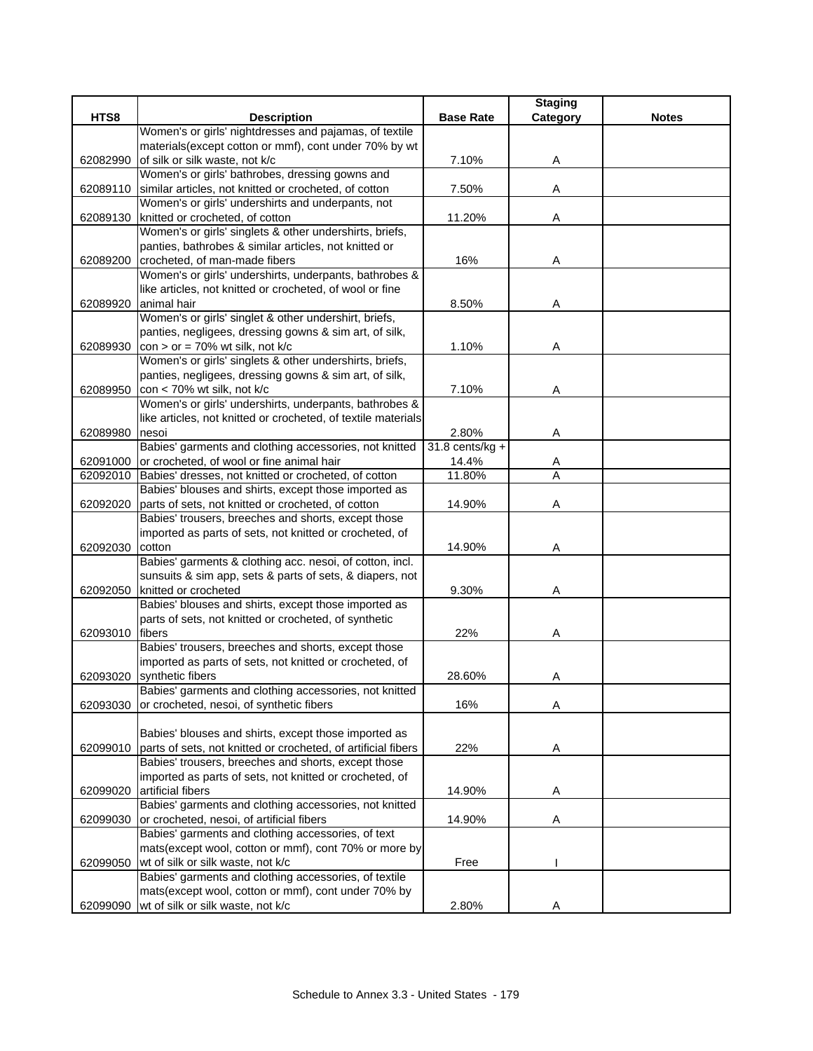|          |                                                                                                                      |                   | <b>Staging</b> |              |
|----------|----------------------------------------------------------------------------------------------------------------------|-------------------|----------------|--------------|
| HTS8     | <b>Description</b>                                                                                                   | <b>Base Rate</b>  | Category       | <b>Notes</b> |
|          | Women's or girls' nightdresses and pajamas, of textile                                                               |                   |                |              |
|          | materials (except cotton or mmf), cont under 70% by wt                                                               |                   |                |              |
| 62082990 | of silk or silk waste, not k/c                                                                                       | 7.10%             | A              |              |
|          | Women's or girls' bathrobes, dressing gowns and                                                                      |                   |                |              |
| 62089110 | similar articles, not knitted or crocheted, of cotton                                                                | 7.50%             | Α              |              |
|          | Women's or girls' undershirts and underpants, not<br>knitted or crocheted, of cotton                                 | 11.20%            |                |              |
| 62089130 | Women's or girls' singlets & other undershirts, briefs,                                                              |                   | Α              |              |
|          | panties, bathrobes & similar articles, not knitted or                                                                |                   |                |              |
| 62089200 | crocheted, of man-made fibers                                                                                        | 16%               | Α              |              |
|          | Women's or girls' undershirts, underpants, bathrobes &                                                               |                   |                |              |
|          | like articles, not knitted or crocheted, of wool or fine                                                             |                   |                |              |
| 62089920 | animal hair                                                                                                          | 8.50%             | A              |              |
|          | Women's or girls' singlet & other undershirt, briefs,                                                                |                   |                |              |
|          | panties, negligees, dressing gowns & sim art, of silk,                                                               |                   |                |              |
| 62089930 | $con > or = 70\%$ wt silk, not k/c                                                                                   | 1.10%             | Α              |              |
|          | Women's or girls' singlets & other undershirts, briefs,                                                              |                   |                |              |
|          | panties, negligees, dressing gowns & sim art, of silk,                                                               |                   |                |              |
| 62089950 | con < 70% wt silk, not k/c                                                                                           | 7.10%             | Α              |              |
|          | Women's or girls' undershirts, underpants, bathrobes &                                                               |                   |                |              |
|          | like articles, not knitted or crocheted, of textile materials                                                        |                   |                |              |
| 62089980 | nesoi                                                                                                                | 2.80%             | Α              |              |
|          | Babies' garments and clothing accessories, not knitted                                                               | $31.8$ cents/kg + |                |              |
|          | 62091000 or crocheted, of wool or fine animal hair                                                                   | 14.4%             | Α              |              |
| 62092010 | Babies' dresses, not knitted or crocheted, of cotton                                                                 | 11.80%            | A              |              |
|          | Babies' blouses and shirts, except those imported as                                                                 |                   |                |              |
| 62092020 | parts of sets, not knitted or crocheted, of cotton                                                                   | 14.90%            | Α              |              |
|          | Babies' trousers, breeches and shorts, except those                                                                  |                   |                |              |
|          | imported as parts of sets, not knitted or crocheted, of                                                              |                   |                |              |
| 62092030 | cotton                                                                                                               | 14.90%            | Α              |              |
|          | Babies' garments & clothing acc. nesoi, of cotton, incl.<br>sunsuits & sim app, sets & parts of sets, & diapers, not |                   |                |              |
| 62092050 | knitted or crocheted                                                                                                 | 9.30%             | Α              |              |
|          | Babies' blouses and shirts, except those imported as                                                                 |                   |                |              |
|          | parts of sets, not knitted or crocheted, of synthetic                                                                |                   |                |              |
| 62093010 | <b>fibers</b>                                                                                                        | 22%               | Α              |              |
|          | Babies' trousers, breeches and shorts, except those                                                                  |                   |                |              |
|          | imported as parts of sets, not knitted or crocheted, of                                                              |                   |                |              |
| 62093020 | synthetic fibers                                                                                                     | 28.60%            | Α              |              |
|          | Babies' garments and clothing accessories, not knitted                                                               |                   |                |              |
| 62093030 | or crocheted, nesoi, of synthetic fibers                                                                             | 16%               | Α              |              |
|          |                                                                                                                      |                   |                |              |
|          | Babies' blouses and shirts, except those imported as                                                                 |                   |                |              |
| 62099010 | parts of sets, not knitted or crocheted, of artificial fibers                                                        | 22%               | Α              |              |
|          | Babies' trousers, breeches and shorts, except those                                                                  |                   |                |              |
|          | imported as parts of sets, not knitted or crocheted, of                                                              |                   |                |              |
| 62099020 | artificial fibers                                                                                                    | 14.90%            | Α              |              |
|          | Babies' garments and clothing accessories, not knitted                                                               |                   |                |              |
| 62099030 | or crocheted, nesoi, of artificial fibers                                                                            | 14.90%            | Α              |              |
|          | Babies' garments and clothing accessories, of text                                                                   |                   |                |              |
|          | mats(except wool, cotton or mmf), cont 70% or more by                                                                |                   |                |              |
| 62099050 | wt of silk or silk waste, not k/c<br>Babies' garments and clothing accessories, of textile                           | Free              |                |              |
|          | mats(except wool, cotton or mmf), cont under 70% by                                                                  |                   |                |              |
| 62099090 | wt of silk or silk waste, not k/c                                                                                    | 2.80%             | Α              |              |
|          |                                                                                                                      |                   |                |              |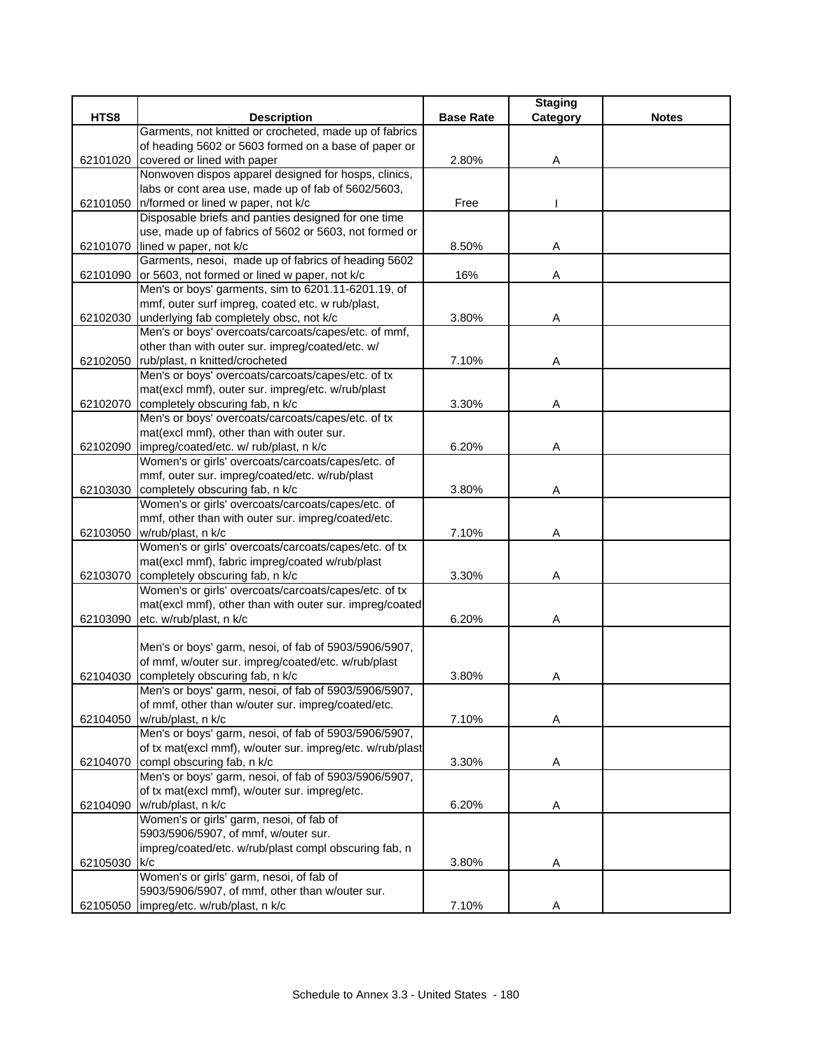|          |                                                                                          |                  | <b>Staging</b> |              |
|----------|------------------------------------------------------------------------------------------|------------------|----------------|--------------|
| HTS8     | <b>Description</b>                                                                       | <b>Base Rate</b> | Category       | <b>Notes</b> |
|          | Garments, not knitted or crocheted, made up of fabrics                                   |                  |                |              |
|          | of heading 5602 or 5603 formed on a base of paper or                                     |                  |                |              |
| 62101020 | covered or lined with paper                                                              | 2.80%            | Α              |              |
|          | Nonwoven dispos apparel designed for hosps, clinics,                                     |                  |                |              |
|          | labs or cont area use, made up of fab of 5602/5603,                                      |                  |                |              |
| 62101050 | n/formed or lined w paper, not k/c                                                       | Free             |                |              |
|          | Disposable briefs and panties designed for one time                                      |                  |                |              |
|          | use, made up of fabrics of 5602 or 5603, not formed or                                   |                  |                |              |
| 62101070 | lined w paper, not k/c                                                                   | 8.50%            | Α              |              |
|          | Garments, nesoi, made up of fabrics of heading 5602                                      |                  |                |              |
| 62101090 | or 5603, not formed or lined w paper, not k/c                                            | 16%              | Α              |              |
|          | Men's or boys' garments, sim to 6201.11-6201.19, of                                      |                  |                |              |
|          | mmf, outer surf impreg, coated etc. w rub/plast,                                         |                  |                |              |
| 62102030 | underlying fab completely obsc, not k/c                                                  | 3.80%            | Α              |              |
|          | Men's or boys' overcoats/carcoats/capes/etc. of mmf,                                     |                  |                |              |
|          | other than with outer sur. impreg/coated/etc. w/                                         |                  |                |              |
|          | 62102050 rub/plast, n knitted/crocheted                                                  | 7.10%            | Α              |              |
|          | Men's or boys' overcoats/carcoats/capes/etc. of tx                                       |                  |                |              |
|          | mat(excl mmf), outer sur. impreg/etc. w/rub/plast                                        |                  |                |              |
|          | 62102070 completely obscuring fab, n k/c                                                 | 3.30%            | Α              |              |
|          | Men's or boys' overcoats/carcoats/capes/etc. of tx                                       |                  |                |              |
|          | mat(excl mmf), other than with outer sur.                                                |                  |                |              |
| 62102090 | impreg/coated/etc. w/ rub/plast, n k/c                                                   | 6.20%            | Α              |              |
|          | Women's or girls' overcoats/carcoats/capes/etc. of                                       |                  |                |              |
|          | mmf, outer sur. impreg/coated/etc. w/rub/plast                                           |                  |                |              |
| 62103030 | completely obscuring fab, n k/c                                                          | 3.80%            | Α              |              |
|          | Women's or girls' overcoats/carcoats/capes/etc. of                                       |                  |                |              |
|          | mmf, other than with outer sur. impreg/coated/etc.                                       |                  |                |              |
| 62103050 | w/rub/plast, n k/c                                                                       | 7.10%            | Α              |              |
|          | Women's or girls' overcoats/carcoats/capes/etc. of tx                                    |                  |                |              |
|          | mat(excl mmf), fabric impreg/coated w/rub/plast                                          |                  |                |              |
| 62103070 | completely obscuring fab, n k/c                                                          | 3.30%            | Α              |              |
|          | Women's or girls' overcoats/carcoats/capes/etc. of tx                                    |                  |                |              |
|          | mat(excl mmf), other than with outer sur. impreg/coated                                  |                  |                |              |
| 62103090 | etc. w/rub/plast, n k/c                                                                  | 6.20%            | Α              |              |
|          |                                                                                          |                  |                |              |
|          | Men's or boys' garm, nesoi, of fab of 5903/5906/5907,                                    |                  |                |              |
|          | of mmf, w/outer sur. impreg/coated/etc. w/rub/plast                                      |                  |                |              |
| 62104030 | completely obscuring fab, n k/c<br>Men's or boys' garm, nesoi, of fab of 5903/5906/5907, | 3.80%            | Α              |              |
|          |                                                                                          |                  |                |              |
|          | of mmf, other than w/outer sur. impreg/coated/etc.                                       |                  |                |              |
| 62104050 | w/rub/plast, n k/c<br>Men's or boys' garm, nesoi, of fab of 5903/5906/5907,              | 7.10%            | Α              |              |
|          |                                                                                          |                  |                |              |
|          | of tx mat(excl mmf), w/outer sur. impreg/etc. w/rub/plast<br>compl obscuring fab, n k/c  |                  |                |              |
| 62104070 | Men's or boys' garm, nesoi, of fab of 5903/5906/5907,                                    | 3.30%            | Α              |              |
|          | of tx mat(excl mmf), w/outer sur. impreg/etc.                                            |                  |                |              |
|          | w/rub/plast, n k/c                                                                       | 6.20%            |                |              |
| 62104090 | Women's or girls' garm, nesoi, of fab of                                                 |                  | Α              |              |
|          | 5903/5906/5907, of mmf, w/outer sur.                                                     |                  |                |              |
|          |                                                                                          |                  |                |              |
|          | impreg/coated/etc. w/rub/plast compl obscuring fab, n<br>k/c                             | 3.80%            |                |              |
| 62105030 | Women's or girls' garm, nesoi, of fab of                                                 |                  | Α              |              |
|          | 5903/5906/5907, of mmf, other than w/outer sur.                                          |                  |                |              |
|          | 62105050   impreg/etc. w/rub/plast, n k/c                                                | 7.10%            | Α              |              |
|          |                                                                                          |                  |                |              |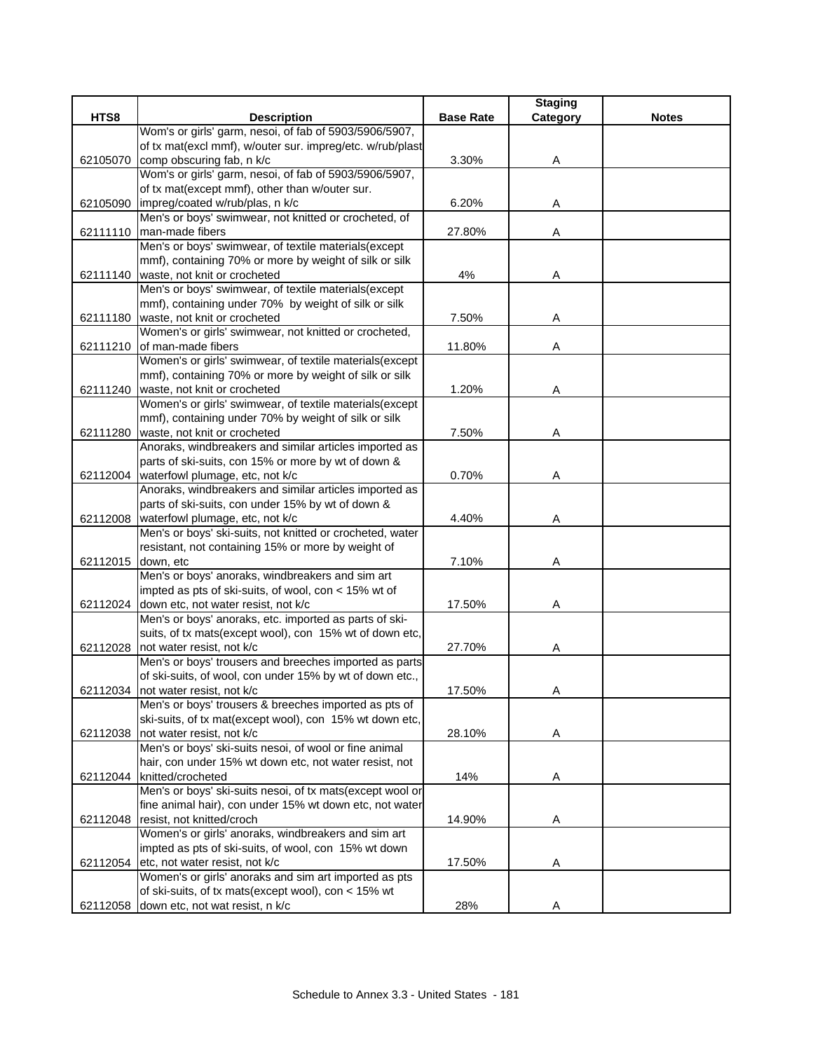|          |                                                                                                        |                  | <b>Staging</b> |              |
|----------|--------------------------------------------------------------------------------------------------------|------------------|----------------|--------------|
| HTS8     | <b>Description</b>                                                                                     | <b>Base Rate</b> | Category       | <b>Notes</b> |
|          | Wom's or girls' garm, nesoi, of fab of 5903/5906/5907,                                                 |                  |                |              |
|          | of tx mat(excl mmf), w/outer sur. impreg/etc. w/rub/plast                                              |                  |                |              |
| 62105070 | comp obscuring fab, n k/c                                                                              | 3.30%            | Α              |              |
|          | Wom's or girls' garm, nesoi, of fab of 5903/5906/5907,                                                 |                  |                |              |
|          | of tx mat(except mmf), other than w/outer sur.                                                         |                  |                |              |
| 62105090 | impreg/coated w/rub/plas, n k/c                                                                        | 6.20%            | Α              |              |
|          | Men's or boys' swimwear, not knitted or crocheted, of                                                  |                  |                |              |
| 62111110 | man-made fibers                                                                                        | 27.80%           | Α              |              |
|          | Men's or boys' swimwear, of textile materials(except                                                   |                  |                |              |
|          | mmf), containing 70% or more by weight of silk or silk                                                 |                  |                |              |
|          | 62111140 waste, not knit or crocheted                                                                  | 4%               | Α              |              |
|          | Men's or boys' swimwear, of textile materials(except                                                   |                  |                |              |
|          | mmf), containing under 70% by weight of silk or silk                                                   |                  |                |              |
| 62111180 | waste, not knit or crocheted                                                                           | 7.50%            | Α              |              |
|          | Women's or girls' swimwear, not knitted or crocheted,                                                  |                  |                |              |
| 62111210 | of man-made fibers                                                                                     | 11.80%           | Α              |              |
|          | Women's or girls' swimwear, of textile materials(except                                                |                  |                |              |
|          | mmf), containing 70% or more by weight of silk or silk                                                 |                  |                |              |
|          | 62111240 waste, not knit or crocheted                                                                  | 1.20%            | Α              |              |
|          | Women's or girls' swimwear, of textile materials(except                                                |                  |                |              |
|          | mmf), containing under 70% by weight of silk or silk                                                   |                  |                |              |
|          | 62111280 waste, not knit or crocheted                                                                  | 7.50%            | Α              |              |
|          | Anoraks, windbreakers and similar articles imported as                                                 |                  |                |              |
|          | parts of ski-suits, con 15% or more by wt of down &                                                    |                  |                |              |
|          | 62112004   waterfowl plumage, etc, not k/c                                                             | 0.70%            | Α              |              |
|          | Anoraks, windbreakers and similar articles imported as                                                 |                  |                |              |
|          | parts of ski-suits, con under 15% by wt of down &                                                      |                  |                |              |
| 62112008 | waterfowl plumage, etc, not k/c                                                                        | 4.40%            | Α              |              |
|          | Men's or boys' ski-suits, not knitted or crocheted, water                                              |                  |                |              |
|          | resistant, not containing 15% or more by weight of                                                     |                  |                |              |
| 62112015 | down, etc                                                                                              | 7.10%            | Α              |              |
|          | Men's or boys' anoraks, windbreakers and sim art                                                       |                  |                |              |
|          | impted as pts of ski-suits, of wool, con < 15% wt of                                                   |                  |                |              |
|          | 62112024 down etc, not water resist, not k/c<br>Men's or boys' anoraks, etc. imported as parts of ski- | 17.50%           | Α              |              |
|          |                                                                                                        |                  |                |              |
|          | suits, of tx mats(except wool), con 15% wt of down etc,<br>62112028 not water resist, not k/c          |                  |                |              |
|          | Men's or boys' trousers and breeches imported as parts                                                 | 27.70%           | A              |              |
|          |                                                                                                        |                  |                |              |
|          | of ski-suits, of wool, con under 15% by wt of down etc.,<br>62112034 not water resist, not k/c         |                  |                |              |
|          | Men's or boys' trousers & breeches imported as pts of                                                  | 17.50%           | A              |              |
|          | ski-suits, of tx mat(except wool), con 15% wt down etc,                                                |                  |                |              |
|          | not water resist, not k/c                                                                              | 28.10%           |                |              |
| 62112038 | Men's or boys' ski-suits nesoi, of wool or fine animal                                                 |                  | Α              |              |
|          | hair, con under 15% wt down etc, not water resist, not                                                 |                  |                |              |
|          | 62112044 knitted/crocheted                                                                             | 14%              | Α              |              |
|          | Men's or boys' ski-suits nesoi, of tx mats(except wool or                                              |                  |                |              |
|          | fine animal hair), con under 15% wt down etc, not water                                                |                  |                |              |
| 62112048 | resist, not knitted/croch                                                                              | 14.90%           | A              |              |
|          | Women's or girls' anoraks, windbreakers and sim art                                                    |                  |                |              |
|          | impted as pts of ski-suits, of wool, con 15% wt down                                                   |                  |                |              |
| 62112054 | etc, not water resist, not k/c                                                                         | 17.50%           | A              |              |
|          | Women's or girls' anoraks and sim art imported as pts                                                  |                  |                |              |
|          | of ski-suits, of tx mats(except wool), con < 15% wt                                                    |                  |                |              |
|          | 62112058 down etc, not wat resist, n k/c                                                               | 28%              | A              |              |
|          |                                                                                                        |                  |                |              |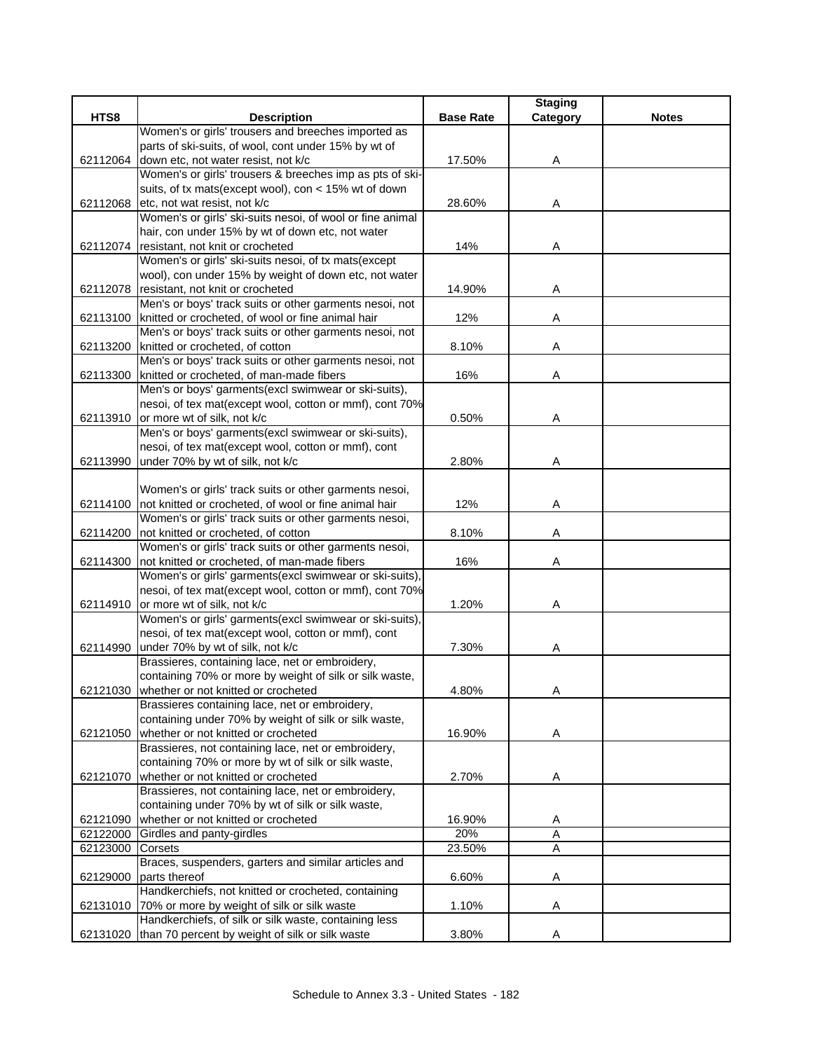|          |                                                                                                         |                  | <b>Staging</b> |              |
|----------|---------------------------------------------------------------------------------------------------------|------------------|----------------|--------------|
| HTS8     | <b>Description</b>                                                                                      | <b>Base Rate</b> | Category       | <b>Notes</b> |
|          | Women's or girls' trousers and breeches imported as                                                     |                  |                |              |
|          | parts of ski-suits, of wool, cont under 15% by wt of                                                    |                  |                |              |
| 62112064 | down etc, not water resist, not k/c                                                                     | 17.50%           | Α              |              |
|          | Women's or girls' trousers & breeches imp as pts of ski-                                                |                  |                |              |
|          | suits, of tx mats(except wool), con < 15% wt of down                                                    |                  |                |              |
| 62112068 | etc, not wat resist, not k/c                                                                            | 28.60%           | Α              |              |
|          | Women's or girls' ski-suits nesoi, of wool or fine animal                                               |                  |                |              |
|          | hair, con under 15% by wt of down etc, not water                                                        |                  |                |              |
|          | 62112074 resistant, not knit or crocheted                                                               | 14%              | Α              |              |
|          | Women's or girls' ski-suits nesoi, of tx mats(except                                                    |                  |                |              |
|          | wool), con under 15% by weight of down etc, not water                                                   |                  |                |              |
|          | 62112078 resistant, not knit or crocheted                                                               | 14.90%           | Α              |              |
|          | Men's or boys' track suits or other garments nesoi, not                                                 |                  |                |              |
|          | 62113100   knitted or crocheted, of wool or fine animal hair                                            | 12%              | Α              |              |
|          | Men's or boys' track suits or other garments nesoi, not                                                 |                  |                |              |
| 62113200 | knitted or crocheted, of cotton                                                                         | 8.10%            | Α              |              |
|          | Men's or boys' track suits or other garments nesoi, not                                                 |                  |                |              |
| 62113300 | knitted or crocheted, of man-made fibers                                                                | 16%              | Α              |              |
|          | Men's or boys' garments(excl swimwear or ski-suits),                                                    |                  |                |              |
|          | nesoi, of tex mat(except wool, cotton or mmf), cont 70%                                                 |                  |                |              |
|          | 62113910 or more wt of silk, not k/c                                                                    | 0.50%            | Α              |              |
|          | Men's or boys' garments(excl swimwear or ski-suits),                                                    |                  |                |              |
|          | nesoi, of tex mat(except wool, cotton or mmf), cont                                                     |                  |                |              |
| 62113990 | under 70% by wt of silk, not k/c                                                                        | 2.80%            | Α              |              |
|          |                                                                                                         |                  |                |              |
|          | Women's or girls' track suits or other garments nesoi,                                                  |                  |                |              |
|          | 62114100 not knitted or crocheted, of wool or fine animal hair                                          | 12%              | Α              |              |
|          | Women's or girls' track suits or other garments nesoi,                                                  |                  |                |              |
|          | 62114200 not knitted or crocheted, of cotton<br>Women's or girls' track suits or other garments nesoi,  | 8.10%            | A              |              |
|          |                                                                                                         | 16%              |                |              |
| 62114300 | not knitted or crocheted, of man-made fibers<br>Women's or girls' garments(excl swimwear or ski-suits), |                  | Α              |              |
|          | nesoi, of tex mat(except wool, cotton or mmf), cont 70%                                                 |                  |                |              |
|          | 62114910 or more wt of silk, not k/c                                                                    | 1.20%            | Α              |              |
|          | Women's or girls' garments(excl swimwear or ski-suits),                                                 |                  |                |              |
|          | nesoi, of tex mat(except wool, cotton or mmf), cont                                                     |                  |                |              |
|          | 62114990 under 70% by wt of silk, not k/c                                                               | 7.30%            | A              |              |
|          | Brassieres, containing lace, net or embroidery,                                                         |                  |                |              |
|          | containing 70% or more by weight of silk or silk waste,                                                 |                  |                |              |
|          | 62121030 whether or not knitted or crocheted                                                            | 4.80%            | A              |              |
|          | Brassieres containing lace, net or embroidery,                                                          |                  |                |              |
|          | containing under 70% by weight of silk or silk waste,                                                   |                  |                |              |
| 62121050 | whether or not knitted or crocheted                                                                     | 16.90%           | Α              |              |
|          | Brassieres, not containing lace, net or embroidery,                                                     |                  |                |              |
|          | containing 70% or more by wt of silk or silk waste,                                                     |                  |                |              |
| 62121070 | whether or not knitted or crocheted                                                                     | 2.70%            | Α              |              |
|          | Brassieres, not containing lace, net or embroidery,                                                     |                  |                |              |
|          | containing under 70% by wt of silk or silk waste,                                                       |                  |                |              |
| 62121090 | whether or not knitted or crocheted                                                                     | 16.90%           | A              |              |
| 62122000 | Girdles and panty-girdles                                                                               | 20%              | A              |              |
| 62123000 | Corsets                                                                                                 | 23.50%           | A              |              |
|          | Braces, suspenders, garters and similar articles and                                                    |                  |                |              |
| 62129000 | parts thereof                                                                                           | 6.60%            | Α              |              |
|          | Handkerchiefs, not knitted or crocheted, containing                                                     |                  |                |              |
|          | 62131010 70% or more by weight of silk or silk waste                                                    | 1.10%            | Α              |              |
|          | Handkerchiefs, of silk or silk waste, containing less                                                   |                  |                |              |
|          | 62131020 than 70 percent by weight of silk or silk waste                                                | 3.80%            | A              |              |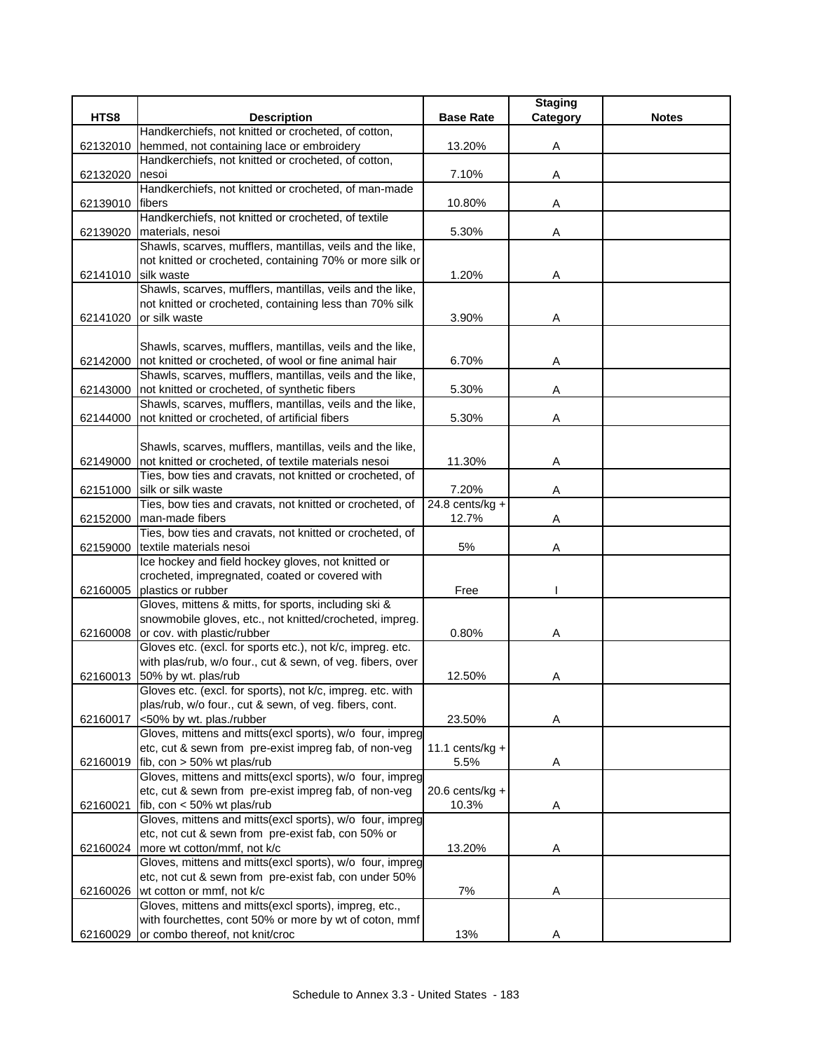|          |                                                                                                                |                    | <b>Staging</b> |              |
|----------|----------------------------------------------------------------------------------------------------------------|--------------------|----------------|--------------|
| HTS8     | <b>Description</b>                                                                                             | <b>Base Rate</b>   | Category       | <b>Notes</b> |
|          | Handkerchiefs, not knitted or crocheted, of cotton,                                                            |                    |                |              |
| 62132010 | hemmed, not containing lace or embroidery                                                                      | 13.20%             | Α              |              |
|          | Handkerchiefs, not knitted or crocheted, of cotton,                                                            |                    |                |              |
| 62132020 | nesoi                                                                                                          | 7.10%              | Α              |              |
|          | Handkerchiefs, not knitted or crocheted, of man-made                                                           |                    |                |              |
| 62139010 | <b>Ifibers</b>                                                                                                 | 10.80%             | Α              |              |
|          | Handkerchiefs, not knitted or crocheted, of textile                                                            |                    |                |              |
| 62139020 | materials, nesoi                                                                                               | 5.30%              | Α              |              |
|          | Shawls, scarves, mufflers, mantillas, veils and the like,                                                      |                    |                |              |
|          | not knitted or crocheted, containing 70% or more silk or                                                       |                    |                |              |
| 62141010 | silk waste                                                                                                     | 1.20%              | Α              |              |
|          | Shawls, scarves, mufflers, mantillas, veils and the like,                                                      |                    |                |              |
|          | not knitted or crocheted, containing less than 70% silk                                                        |                    |                |              |
| 62141020 | or silk waste                                                                                                  | 3.90%              | Α              |              |
|          |                                                                                                                |                    |                |              |
|          | Shawls, scarves, mufflers, mantillas, veils and the like,                                                      |                    |                |              |
| 62142000 | not knitted or crocheted, of wool or fine animal hair                                                          | 6.70%              | Α              |              |
|          | Shawls, scarves, mufflers, mantillas, veils and the like,                                                      |                    |                |              |
| 62143000 | not knitted or crocheted, of synthetic fibers                                                                  | 5.30%              | Α              |              |
|          | Shawls, scarves, mufflers, mantillas, veils and the like,                                                      |                    |                |              |
| 62144000 | not knitted or crocheted, of artificial fibers                                                                 | 5.30%              | Α              |              |
|          |                                                                                                                |                    |                |              |
|          | Shawls, scarves, mufflers, mantillas, veils and the like,                                                      |                    |                |              |
| 62149000 | not knitted or crocheted, of textile materials nesoi                                                           | 11.30%             | Α              |              |
|          | Ties, bow ties and cravats, not knitted or crocheted, of                                                       |                    |                |              |
| 62151000 | silk or silk waste                                                                                             | 7.20%              | Α              |              |
|          | Ties, bow ties and cravats, not knitted or crocheted, of                                                       | $24.8$ cents/kg +  |                |              |
|          | man-made fibers                                                                                                | 12.7%              | Α              |              |
| 62152000 | Ties, bow ties and cravats, not knitted or crocheted, of                                                       |                    |                |              |
| 62159000 | textile materials nesoi                                                                                        | 5%                 | A              |              |
|          | Ice hockey and field hockey gloves, not knitted or                                                             |                    |                |              |
|          | crocheted, impregnated, coated or covered with                                                                 |                    |                |              |
| 62160005 | plastics or rubber                                                                                             | Free               |                |              |
|          | Gloves, mittens & mitts, for sports, including ski &                                                           |                    |                |              |
|          | snowmobile gloves, etc., not knitted/crocheted, impreg.                                                        |                    |                |              |
| 62160008 | or cov. with plastic/rubber                                                                                    | 0.80%              | Α              |              |
|          | Gloves etc. (excl. for sports etc.), not k/c, impreg. etc.                                                     |                    |                |              |
|          | with plas/rub, w/o four., cut & sewn, of veg. fibers, over                                                     |                    |                |              |
|          | 62160013 50% by wt. plas/rub                                                                                   | 12.50%             | Α              |              |
|          | Gloves etc. (excl. for sports), not k/c, impreg. etc. with                                                     |                    |                |              |
|          | plas/rub, w/o four., cut & sewn, of veg. fibers, cont.                                                         |                    |                |              |
| 62160017 | <50% by wt. plas./rubber                                                                                       | 23.50%             | Α              |              |
|          | Gloves, mittens and mitts(excl sports), w/o four, impreg                                                       |                    |                |              |
|          | etc, cut & sewn from pre-exist impreg fab, of non-veg                                                          |                    |                |              |
|          |                                                                                                                | 11.1 cents/ $kg +$ |                |              |
| 62160019 | fib, con > 50% wt plas/rub<br>Gloves, mittens and mitts(excl sports), w/o four, impreg                         | 5.5%               | Α              |              |
|          | etc, cut & sewn from pre-exist impreg fab, of non-veg                                                          |                    |                |              |
|          |                                                                                                                | 20.6 cents/kg $+$  |                |              |
| 62160021 | fib, $con < 50\%$ wt plas/rub                                                                                  | 10.3%              | A              |              |
|          | Gloves, mittens and mitts(excl sports), w/o four, impreg<br>etc, not cut & sewn from pre-exist fab, con 50% or |                    |                |              |
|          |                                                                                                                |                    |                |              |
| 62160024 | more wt cotton/mmf, not k/c                                                                                    | 13.20%             | Α              |              |
|          | Gloves, mittens and mitts(excl sports), w/o four, impreg                                                       |                    |                |              |
|          | etc, not cut & sewn from pre-exist fab, con under 50%                                                          |                    |                |              |
| 62160026 | wt cotton or mmf, not k/c                                                                                      | 7%                 | Α              |              |
|          | Gloves, mittens and mitts(excl sports), impreg, etc.,                                                          |                    |                |              |
|          | with fourchettes, cont 50% or more by wt of coton, mmf                                                         |                    |                |              |
| 62160029 | or combo thereof, not knit/croc                                                                                | 13%                | Α              |              |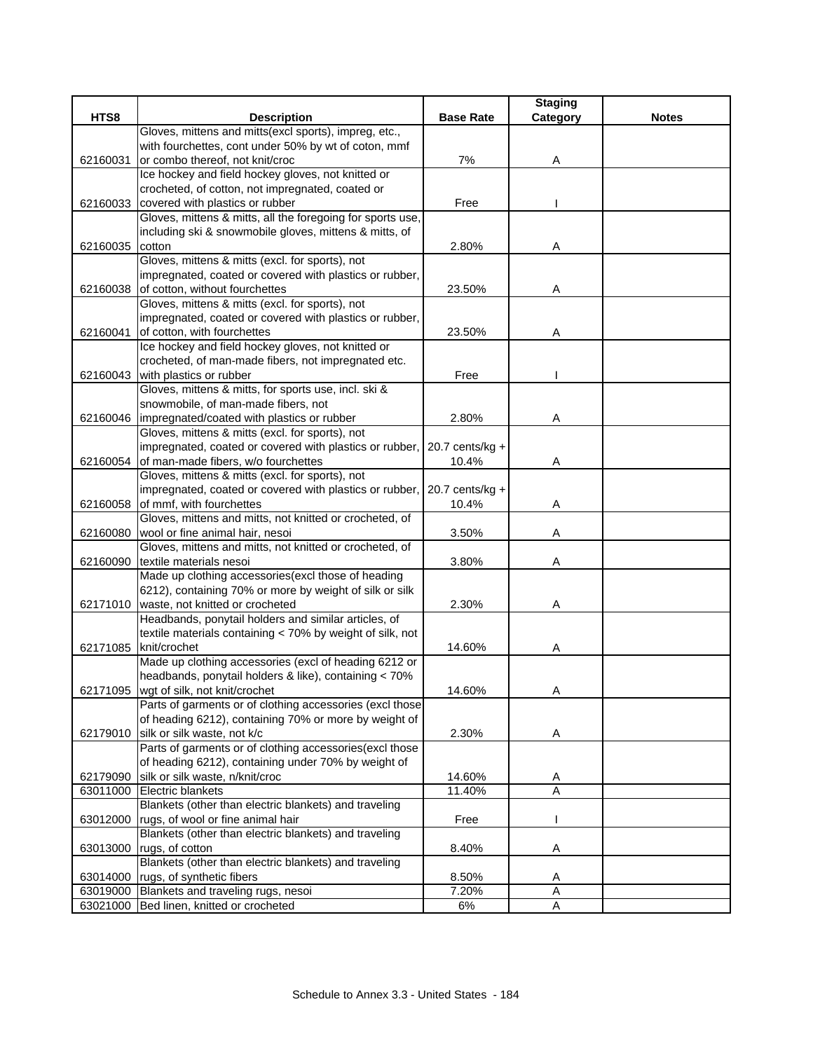|          |                                                                                                          |                   | <b>Staging</b> |              |
|----------|----------------------------------------------------------------------------------------------------------|-------------------|----------------|--------------|
| HTS8     | <b>Description</b>                                                                                       | <b>Base Rate</b>  | Category       | <b>Notes</b> |
|          | Gloves, mittens and mitts(excl sports), impreg, etc.,                                                    |                   |                |              |
|          | with fourchettes, cont under 50% by wt of coton, mmf                                                     |                   |                |              |
| 62160031 | or combo thereof, not knit/croc                                                                          | 7%                | Α              |              |
|          | Ice hockey and field hockey gloves, not knitted or                                                       |                   |                |              |
|          | crocheted, of cotton, not impregnated, coated or                                                         |                   |                |              |
| 62160033 | covered with plastics or rubber                                                                          | Free              |                |              |
|          | Gloves, mittens & mitts, all the foregoing for sports use,                                               |                   |                |              |
|          | including ski & snowmobile gloves, mittens & mitts, of                                                   |                   |                |              |
| 62160035 | cotton                                                                                                   | 2.80%             | Α              |              |
|          | Gloves, mittens & mitts (excl. for sports), not                                                          |                   |                |              |
|          | impregnated, coated or covered with plastics or rubber,                                                  |                   |                |              |
| 62160038 | of cotton, without fourchettes                                                                           | 23.50%            | Α              |              |
|          | Gloves, mittens & mitts (excl. for sports), not                                                          |                   |                |              |
|          | impregnated, coated or covered with plastics or rubber,                                                  |                   |                |              |
| 62160041 | of cotton, with fourchettes                                                                              | 23.50%            | Α              |              |
|          | Ice hockey and field hockey gloves, not knitted or                                                       |                   |                |              |
|          | crocheted, of man-made fibers, not impregnated etc.                                                      |                   |                |              |
| 62160043 | with plastics or rubber                                                                                  | Free              |                |              |
|          | Gloves, mittens & mitts, for sports use, incl. ski &                                                     |                   |                |              |
|          | snowmobile, of man-made fibers, not                                                                      |                   |                |              |
|          | 62160046   impregnated/coated with plastics or rubber<br>Gloves, mittens & mitts (excl. for sports), not | 2.80%             | Α              |              |
|          |                                                                                                          | 20.7 cents/kg $+$ |                |              |
|          | impregnated, coated or covered with plastics or rubber,<br>62160054 of man-made fibers, w/o fourchettes  |                   |                |              |
|          | Gloves, mittens & mitts (excl. for sports), not                                                          | 10.4%             | Α              |              |
|          | impregnated, coated or covered with plastics or rubber,                                                  | $20.7$ cents/kg + |                |              |
| 62160058 | of mmf, with fourchettes                                                                                 | 10.4%             | A              |              |
|          | Gloves, mittens and mitts, not knitted or crocheted, of                                                  |                   |                |              |
| 62160080 | wool or fine animal hair, nesoi                                                                          | 3.50%             | Α              |              |
|          | Gloves, mittens and mitts, not knitted or crocheted, of                                                  |                   |                |              |
| 62160090 | textile materials nesoi                                                                                  | 3.80%             | Α              |              |
|          | Made up clothing accessories(excl those of heading                                                       |                   |                |              |
|          | 6212), containing 70% or more by weight of silk or silk                                                  |                   |                |              |
|          | 62171010   waste, not knitted or crocheted                                                               | 2.30%             | Α              |              |
|          | Headbands, ponytail holders and similar articles, of                                                     |                   |                |              |
|          | textile materials containing < 70% by weight of silk, not                                                |                   |                |              |
| 62171085 | knit/crochet                                                                                             | 14.60%            | A              |              |
|          | Made up clothing accessories (excl of heading 6212 or                                                    |                   |                |              |
|          | headbands, ponytail holders & like), containing < 70%                                                    |                   |                |              |
|          | 62171095 wgt of silk, not knit/crochet                                                                   | 14.60%            | A              |              |
|          | Parts of garments or of clothing accessories (excl those                                                 |                   |                |              |
|          | of heading 6212), containing 70% or more by weight of                                                    |                   |                |              |
| 62179010 | silk or silk waste, not k/c                                                                              | 2.30%             | Α              |              |
|          | Parts of garments or of clothing accessories(excl those                                                  |                   |                |              |
|          | of heading 6212), containing under 70% by weight of                                                      |                   |                |              |
| 62179090 | silk or silk waste, n/knit/croc                                                                          | 14.60%            | A              |              |
| 63011000 | <b>Electric blankets</b>                                                                                 | 11.40%            | A              |              |
|          | Blankets (other than electric blankets) and traveling                                                    |                   |                |              |
|          | 63012000 rugs, of wool or fine animal hair                                                               | Free              |                |              |
|          | Blankets (other than electric blankets) and traveling                                                    |                   |                |              |
| 63013000 | rugs, of cotton                                                                                          | 8.40%             | Α              |              |
|          | Blankets (other than electric blankets) and traveling                                                    |                   |                |              |
| 63014000 | rugs, of synthetic fibers                                                                                | 8.50%             | A              |              |
|          | 63019000 Blankets and traveling rugs, nesoi                                                              | 7.20%             | Α              |              |
|          | 63021000 Bed linen, knitted or crocheted                                                                 | $6\%$             | A              |              |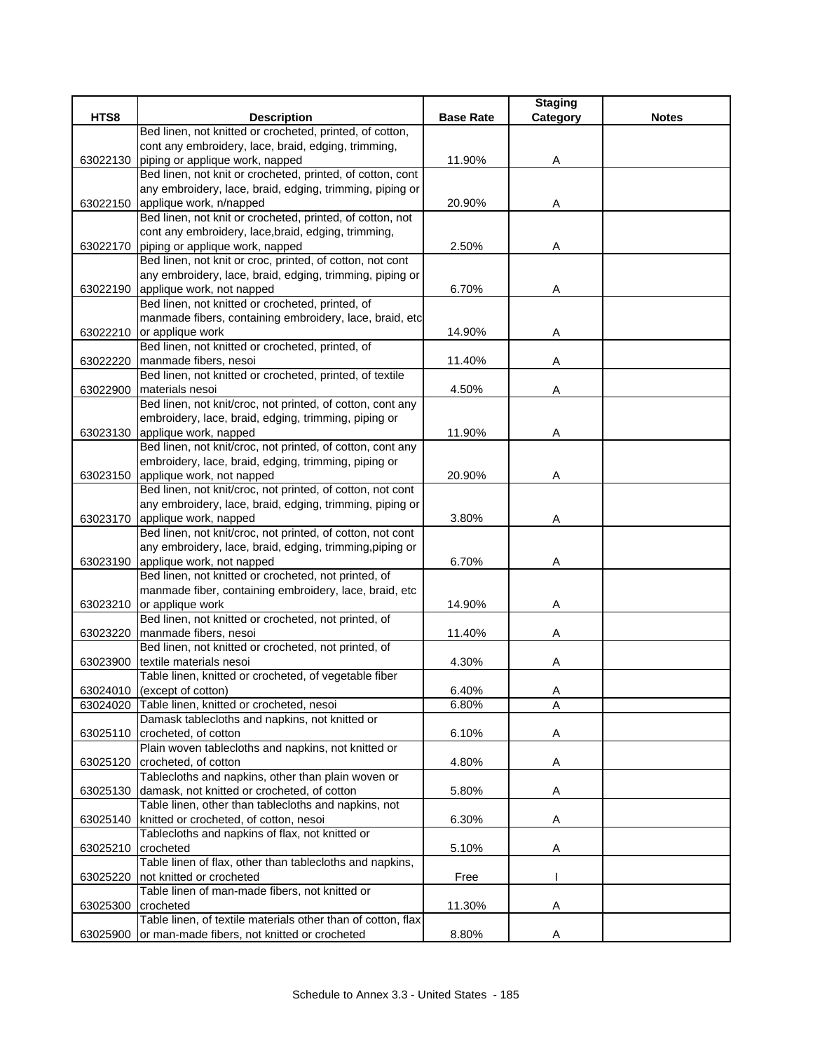|          |                                                              |                  | <b>Staging</b> |              |
|----------|--------------------------------------------------------------|------------------|----------------|--------------|
| HTS8     | <b>Description</b>                                           | <b>Base Rate</b> | Category       | <b>Notes</b> |
|          | Bed linen, not knitted or crocheted, printed, of cotton,     |                  |                |              |
|          | cont any embroidery, lace, braid, edging, trimming,          |                  |                |              |
| 63022130 | piping or applique work, napped                              | 11.90%           | Α              |              |
|          | Bed linen, not knit or crocheted, printed, of cotton, cont   |                  |                |              |
|          | any embroidery, lace, braid, edging, trimming, piping or     |                  |                |              |
| 63022150 | applique work, n/napped                                      | 20.90%           | A              |              |
|          | Bed linen, not knit or crocheted, printed, of cotton, not    |                  |                |              |
|          | cont any embroidery, lace, braid, edging, trimming,          |                  |                |              |
|          | 63022170 piping or applique work, napped                     | 2.50%            | Α              |              |
|          | Bed linen, not knit or croc, printed, of cotton, not cont    |                  |                |              |
|          | any embroidery, lace, braid, edging, trimming, piping or     |                  |                |              |
|          | 63022190 applique work, not napped                           | 6.70%            | Α              |              |
|          | Bed linen, not knitted or crocheted, printed, of             |                  |                |              |
|          | manmade fibers, containing embroidery, lace, braid, etc      |                  |                |              |
|          | 63022210 or applique work                                    | 14.90%           | A              |              |
|          | Bed linen, not knitted or crocheted, printed, of             |                  |                |              |
|          | 63022220 manmade fibers, nesoi                               | 11.40%           | Α              |              |
|          | Bed linen, not knitted or crocheted, printed, of textile     |                  |                |              |
| 63022900 | materials nesoi                                              | 4.50%            | Α              |              |
|          | Bed linen, not knit/croc, not printed, of cotton, cont any   |                  |                |              |
|          | embroidery, lace, braid, edging, trimming, piping or         |                  |                |              |
|          | 63023130 applique work, napped                               | 11.90%           | Α              |              |
|          | Bed linen, not knit/croc, not printed, of cotton, cont any   |                  |                |              |
|          | embroidery, lace, braid, edging, trimming, piping or         |                  |                |              |
|          | 63023150 applique work, not napped                           | 20.90%           | Α              |              |
|          | Bed linen, not knit/croc, not printed, of cotton, not cont   |                  |                |              |
|          | any embroidery, lace, braid, edging, trimming, piping or     |                  |                |              |
|          | 63023170 applique work, napped                               | 3.80%            | Α              |              |
|          | Bed linen, not knit/croc, not printed, of cotton, not cont   |                  |                |              |
|          | any embroidery, lace, braid, edging, trimming, piping or     |                  |                |              |
| 63023190 | applique work, not napped                                    | 6.70%            | Α              |              |
|          | Bed linen, not knitted or crocheted, not printed, of         |                  |                |              |
|          | manmade fiber, containing embroidery, lace, braid, etc       |                  |                |              |
|          | 63023210 or applique work                                    | 14.90%           | Α              |              |
|          | Bed linen, not knitted or crocheted, not printed, of         |                  |                |              |
| 63023220 | manmade fibers, nesoi                                        | 11.40%           | Α              |              |
|          | Bed linen, not knitted or crocheted, not printed, of         |                  |                |              |
| 63023900 | textile materials nesoi                                      | 4.30%            | Α              |              |
|          | Table linen, knitted or crocheted, of vegetable fiber        |                  |                |              |
|          | 63024010 (except of cotton)                                  | 6.40%            | $\overline{A}$ |              |
|          | 63024020 Table linen, knitted or crocheted, nesoi            | 6.80%            | $\overline{A}$ |              |
|          | Damask tablecloths and napkins, not knitted or               |                  |                |              |
| 63025110 | crocheted, of cotton                                         | 6.10%            | A              |              |
|          | Plain woven tablecloths and napkins, not knitted or          |                  |                |              |
| 63025120 | crocheted, of cotton                                         | 4.80%            | Α              |              |
|          | Tablecloths and napkins, other than plain woven or           |                  |                |              |
|          | 63025130 damask, not knitted or crocheted, of cotton         | 5.80%            | Α              |              |
|          | Table linen, other than tablecloths and napkins, not         |                  |                |              |
|          | 63025140   knitted or crocheted, of cotton, nesoi            | 6.30%            | Α              |              |
|          | Tablecloths and napkins of flax, not knitted or              |                  |                |              |
| 63025210 | crocheted                                                    | 5.10%            | A              |              |
|          | Table linen of flax, other than tablecloths and napkins,     |                  |                |              |
| 63025220 | not knitted or crocheted                                     | Free             |                |              |
|          | Table linen of man-made fibers, not knitted or               |                  |                |              |
| 63025300 | crocheted                                                    | 11.30%           | Α              |              |
|          | Table linen, of textile materials other than of cotton, flax |                  |                |              |
| 63025900 | or man-made fibers, not knitted or crocheted                 | 8.80%            | A              |              |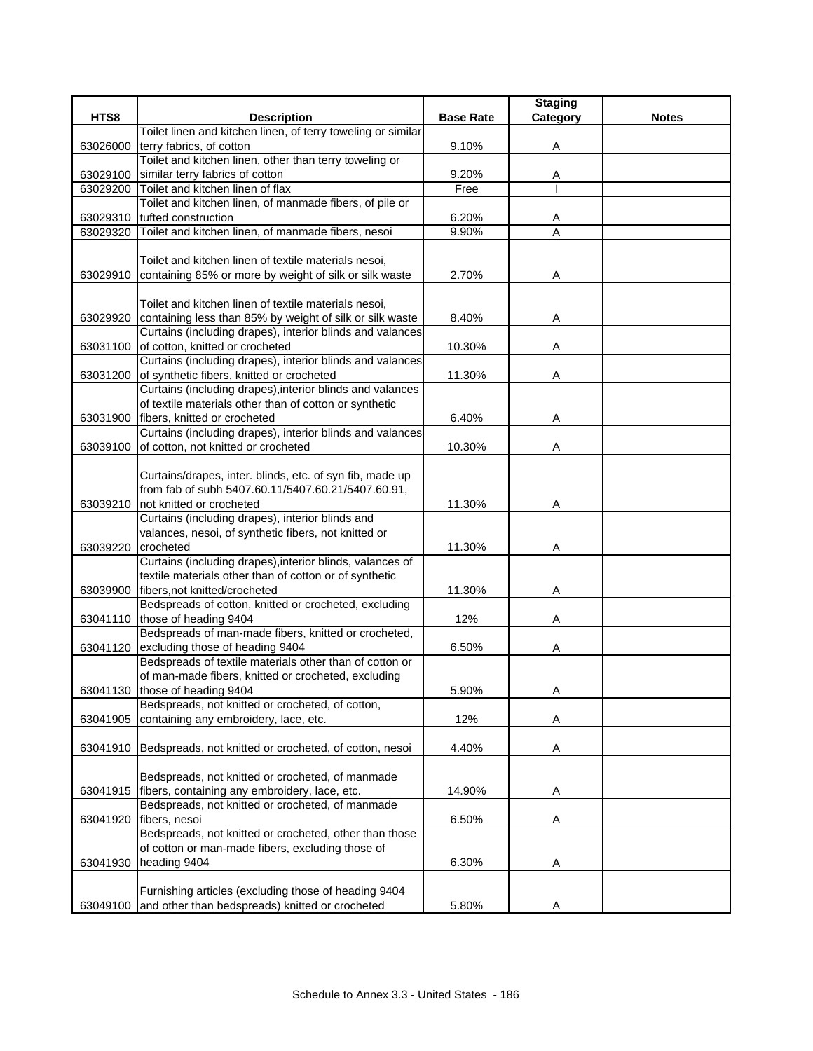|          |                                                                                                                |                  | <b>Staging</b> |              |
|----------|----------------------------------------------------------------------------------------------------------------|------------------|----------------|--------------|
| HTS8     | <b>Description</b>                                                                                             | <b>Base Rate</b> | Category       | <b>Notes</b> |
|          | Toilet linen and kitchen linen, of terry toweling or similar                                                   |                  |                |              |
| 63026000 | terry fabrics, of cotton                                                                                       | 9.10%            | Α              |              |
|          | Toilet and kitchen linen, other than terry toweling or                                                         |                  |                |              |
| 63029100 | similar terry fabrics of cotton                                                                                | 9.20%            | Α              |              |
| 63029200 | Toilet and kitchen linen of flax                                                                               | Free             |                |              |
|          | Toilet and kitchen linen, of manmade fibers, of pile or                                                        |                  |                |              |
| 63029310 | tufted construction                                                                                            | 6.20%            | A              |              |
| 63029320 | Toilet and kitchen linen, of manmade fibers, nesoi                                                             | 9.90%            | A              |              |
|          |                                                                                                                |                  |                |              |
|          | Toilet and kitchen linen of textile materials nesoi,                                                           |                  |                |              |
| 63029910 | containing 85% or more by weight of silk or silk waste                                                         | 2.70%            | Α              |              |
|          |                                                                                                                |                  |                |              |
|          | Toilet and kitchen linen of textile materials nesoi,                                                           |                  |                |              |
| 63029920 | containing less than 85% by weight of silk or silk waste                                                       | 8.40%            | Α              |              |
|          | Curtains (including drapes), interior blinds and valances                                                      |                  |                |              |
| 63031100 | of cotton, knitted or crocheted                                                                                | 10.30%           | Α              |              |
|          | Curtains (including drapes), interior blinds and valances                                                      |                  |                |              |
| 63031200 | of synthetic fibers, knitted or crocheted                                                                      | 11.30%           | A              |              |
|          | Curtains (including drapes), interior blinds and valances                                                      |                  |                |              |
|          | of textile materials other than of cotton or synthetic                                                         |                  |                |              |
| 63031900 | fibers. knitted or crocheted                                                                                   | 6.40%            | Α              |              |
|          | Curtains (including drapes), interior blinds and valances                                                      |                  |                |              |
| 63039100 | of cotton, not knitted or crocheted                                                                            | 10.30%           | Α              |              |
|          |                                                                                                                |                  |                |              |
|          | Curtains/drapes, inter. blinds, etc. of syn fib, made up<br>from fab of subh 5407.60.11/5407.60.21/5407.60.91, |                  |                |              |
| 63039210 | not knitted or crocheted                                                                                       | 11.30%           | Α              |              |
|          | Curtains (including drapes), interior blinds and                                                               |                  |                |              |
|          | valances, nesoi, of synthetic fibers, not knitted or                                                           |                  |                |              |
| 63039220 | crocheted                                                                                                      | 11.30%           | Α              |              |
|          | Curtains (including drapes), interior blinds, valances of                                                      |                  |                |              |
|          | textile materials other than of cotton or of synthetic                                                         |                  |                |              |
| 63039900 | fibers, not knitted/crocheted                                                                                  | 11.30%           | Α              |              |
|          | Bedspreads of cotton, knitted or crocheted, excluding                                                          |                  |                |              |
|          | 63041110 those of heading 9404                                                                                 | 12%              | Α              |              |
|          | Bedspreads of man-made fibers, knitted or crocheted,                                                           |                  |                |              |
| 63041120 | excluding those of heading 9404                                                                                | 6.50%            | Α              |              |
|          | Bedspreads of textile materials other than of cotton or                                                        |                  |                |              |
|          | of man-made fibers, knitted or crocheted, excluding                                                            |                  |                |              |
|          | 63041130 those of heading 9404                                                                                 | 5.90%            | Α              |              |
|          | Bedspreads, not knitted or crocheted, of cotton,                                                               |                  |                |              |
| 63041905 | containing any embroidery, lace, etc.                                                                          | 12%              | Α              |              |
|          |                                                                                                                |                  |                |              |
| 63041910 | Bedspreads, not knitted or crocheted, of cotton, nesoi                                                         | 4.40%            | Α              |              |
|          |                                                                                                                |                  |                |              |
|          | Bedspreads, not knitted or crocheted, of manmade                                                               |                  |                |              |
| 63041915 | fibers, containing any embroidery, lace, etc.                                                                  | 14.90%           | A              |              |
|          | Bedspreads, not knitted or crocheted, of manmade                                                               |                  |                |              |
| 63041920 | fibers, nesoi                                                                                                  | 6.50%            | A              |              |
|          | Bedspreads, not knitted or crocheted, other than those                                                         |                  |                |              |
|          | of cotton or man-made fibers, excluding those of                                                               |                  |                |              |
| 63041930 | heading 9404                                                                                                   | 6.30%            | A              |              |
|          |                                                                                                                |                  |                |              |
|          | Furnishing articles (excluding those of heading 9404                                                           |                  |                |              |
| 63049100 | and other than bedspreads) knitted or crocheted                                                                | 5.80%            | Α              |              |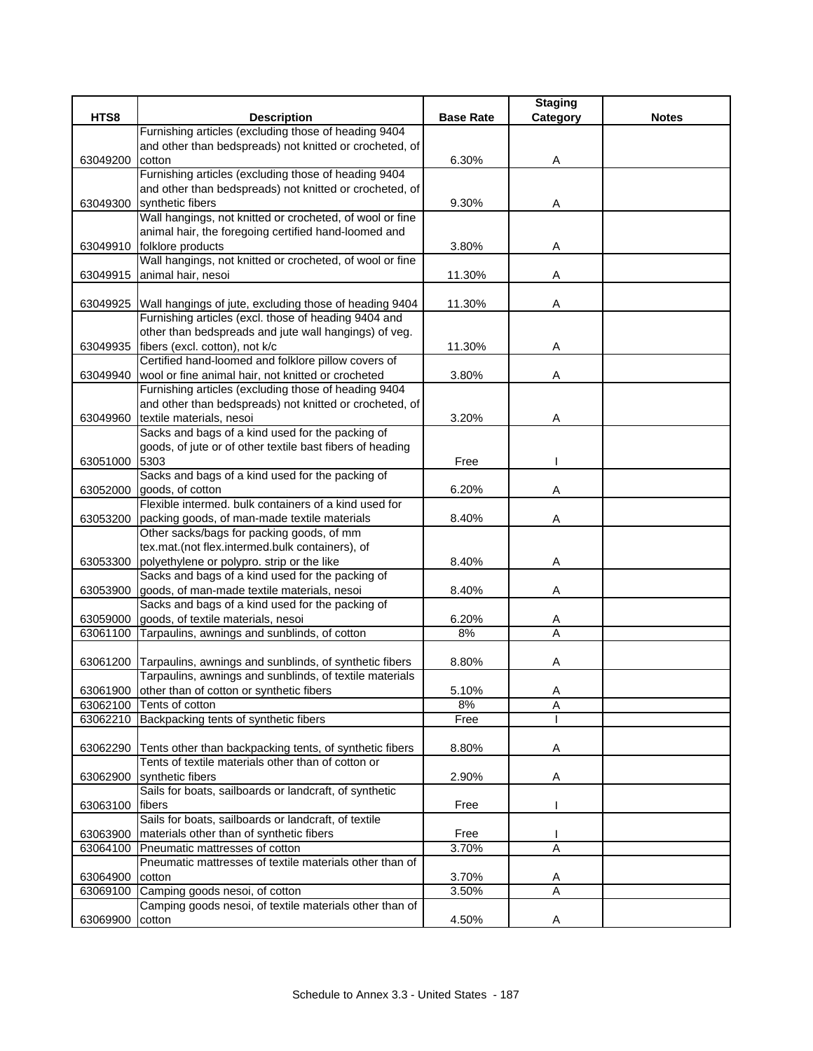|          |                                                                                                                            |                  | <b>Staging</b>      |              |
|----------|----------------------------------------------------------------------------------------------------------------------------|------------------|---------------------|--------------|
| HTS8     | <b>Description</b>                                                                                                         | <b>Base Rate</b> | Category            | <b>Notes</b> |
|          | Furnishing articles (excluding those of heading 9404                                                                       |                  |                     |              |
|          | and other than bedspreads) not knitted or crocheted, of                                                                    |                  |                     |              |
| 63049200 | cotton                                                                                                                     | 6.30%            | Α                   |              |
|          | Furnishing articles (excluding those of heading 9404<br>and other than bedspreads) not knitted or crocheted, of            |                  |                     |              |
| 63049300 | synthetic fibers                                                                                                           | 9.30%            | Α                   |              |
|          | Wall hangings, not knitted or crocheted, of wool or fine                                                                   |                  |                     |              |
|          | animal hair, the foregoing certified hand-loomed and                                                                       |                  |                     |              |
| 63049910 | folklore products                                                                                                          | 3.80%            | Α                   |              |
|          | Wall hangings, not knitted or crocheted, of wool or fine                                                                   |                  |                     |              |
| 63049915 | animal hair, nesoi                                                                                                         | 11.30%           | Α                   |              |
|          |                                                                                                                            |                  |                     |              |
|          | 63049925 Wall hangings of jute, excluding those of heading 9404                                                            | 11.30%           | Α                   |              |
|          | Furnishing articles (excl. those of heading 9404 and                                                                       |                  |                     |              |
|          | other than bedspreads and jute wall hangings) of veg.                                                                      |                  |                     |              |
| 63049935 | fibers (excl. cotton), not k/c                                                                                             | 11.30%           | Α                   |              |
|          | Certified hand-loomed and folklore pillow covers of                                                                        |                  |                     |              |
| 63049940 | wool or fine animal hair, not knitted or crocheted                                                                         | 3.80%            | Α                   |              |
|          | Furnishing articles (excluding those of heading 9404                                                                       |                  |                     |              |
|          | and other than bedspreads) not knitted or crocheted, of                                                                    |                  |                     |              |
| 63049960 | textile materials, nesoi<br>Sacks and bags of a kind used for the packing of                                               | 3.20%            | Α                   |              |
|          | goods, of jute or of other textile bast fibers of heading                                                                  |                  |                     |              |
| 63051000 | 5303                                                                                                                       | Free             |                     |              |
|          | Sacks and bags of a kind used for the packing of                                                                           |                  |                     |              |
| 63052000 | goods, of cotton                                                                                                           | 6.20%            | Α                   |              |
|          | Flexible intermed. bulk containers of a kind used for                                                                      |                  |                     |              |
| 63053200 | packing goods, of man-made textile materials                                                                               | 8.40%            | Α                   |              |
|          | Other sacks/bags for packing goods, of mm                                                                                  |                  |                     |              |
|          | tex.mat.(not flex.intermed.bulk containers), of                                                                            |                  |                     |              |
| 63053300 | polyethylene or polypro. strip or the like                                                                                 | 8.40%            | Α                   |              |
|          | Sacks and bags of a kind used for the packing of                                                                           |                  |                     |              |
| 63053900 | goods, of man-made textile materials, nesoi                                                                                | 8.40%            | Α                   |              |
|          | Sacks and bags of a kind used for the packing of                                                                           |                  |                     |              |
| 63059000 | goods, of textile materials, nesoi                                                                                         | 6.20%            | A                   |              |
| 63061100 | Tarpaulins, awnings and sunblinds, of cotton                                                                               | 8%               | A                   |              |
|          |                                                                                                                            |                  |                     |              |
|          | 63061200 Tarpaulins, awnings and sunblinds, of synthetic fibers<br>Tarpaulins, awnings and sunblinds, of textile materials | 8.80%            | Α                   |              |
|          | 63061900 other than of cotton or synthetic fibers                                                                          | 5.10%            | A                   |              |
|          | 63062100 Tents of cotton                                                                                                   | 8%               | A                   |              |
|          | 63062210 Backpacking tents of synthetic fibers                                                                             | Free             |                     |              |
|          |                                                                                                                            |                  |                     |              |
| 63062290 | Tents other than backpacking tents, of synthetic fibers                                                                    | 8.80%            | Α                   |              |
|          | Tents of textile materials other than of cotton or                                                                         |                  |                     |              |
| 63062900 | synthetic fibers                                                                                                           | 2.90%            | Α                   |              |
|          | Sails for boats, sailboards or landcraft, of synthetic                                                                     |                  |                     |              |
| 63063100 | fibers                                                                                                                     | Free             |                     |              |
|          | Sails for boats, sailboards or landcraft, of textile                                                                       |                  |                     |              |
| 63063900 | materials other than of synthetic fibers                                                                                   | Free             |                     |              |
| 63064100 | Pneumatic mattresses of cotton                                                                                             | 3.70%            | $\overline{A}$      |              |
|          | Pneumatic mattresses of textile materials other than of                                                                    |                  |                     |              |
| 63064900 | cotton                                                                                                                     | 3.70%            | Α<br>$\overline{A}$ |              |
| 63069100 | Camping goods nesoi, of cotton<br>Camping goods nesoi, of textile materials other than of                                  | 3.50%            |                     |              |
| 63069900 | cotton                                                                                                                     | 4.50%            | Α                   |              |
|          |                                                                                                                            |                  |                     |              |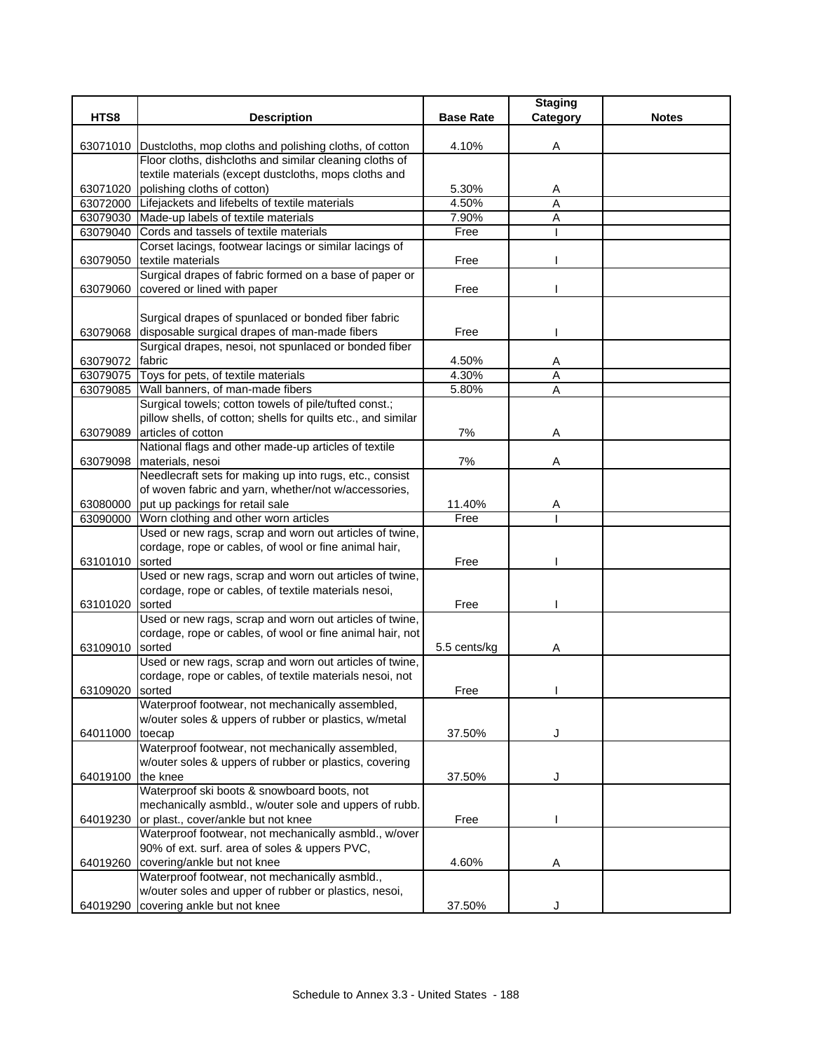|          |                                                                     |                  | <b>Staging</b> |              |
|----------|---------------------------------------------------------------------|------------------|----------------|--------------|
| HTS8     | <b>Description</b>                                                  | <b>Base Rate</b> | Category       | <b>Notes</b> |
|          | 63071010 Dustcloths, mop cloths and polishing cloths, of cotton     | 4.10%            | Α              |              |
|          | Floor cloths, dishcloths and similar cleaning cloths of             |                  |                |              |
|          | textile materials (except dustcloths, mops cloths and               |                  |                |              |
| 63071020 | polishing cloths of cotton)                                         | 5.30%            | A              |              |
| 63072000 | Lifejackets and lifebelts of textile materials                      | 4.50%            | A              |              |
| 63079030 | Made-up labels of textile materials                                 | 7.90%            | Α              |              |
| 63079040 | Cords and tassels of textile materials                              | Free             |                |              |
|          | Corset lacings, footwear lacings or similar lacings of              |                  |                |              |
| 63079050 | textile materials                                                   | Free             |                |              |
|          | Surgical drapes of fabric formed on a base of paper or              |                  |                |              |
| 63079060 | covered or lined with paper                                         | Free             |                |              |
|          |                                                                     |                  |                |              |
|          | Surgical drapes of spunlaced or bonded fiber fabric                 |                  |                |              |
| 63079068 | disposable surgical drapes of man-made fibers                       | Free             |                |              |
|          | Surgical drapes, nesoi, not spunlaced or bonded fiber               |                  |                |              |
| 63079072 | fabric                                                              | 4.50%            | Α              |              |
|          | 63079075 Toys for pets, of textile materials                        | 4.30%            | Α              |              |
|          | 63079085 Wall banners, of man-made fibers                           | 5.80%            | A              |              |
|          | Surgical towels; cotton towels of pile/tufted const.;               |                  |                |              |
|          | pillow shells, of cotton; shells for quilts etc., and similar       |                  |                |              |
| 63079089 | articles of cotton                                                  | 7%               | Α              |              |
|          | National flags and other made-up articles of textile                |                  |                |              |
| 63079098 | materials, nesoi                                                    | 7%               | Α              |              |
|          | Needlecraft sets for making up into rugs, etc., consist             |                  |                |              |
|          | of woven fabric and yarn, whether/not w/accessories,                |                  |                |              |
| 63080000 | put up packings for retail sale                                     | 11.40%           | Α              |              |
| 63090000 | Worn clothing and other worn articles                               | Free             |                |              |
|          | Used or new rags, scrap and worn out articles of twine,             |                  |                |              |
|          | cordage, rope or cables, of wool or fine animal hair,               |                  |                |              |
| 63101010 | sorted                                                              | Free             |                |              |
|          | Used or new rags, scrap and worn out articles of twine,             |                  |                |              |
|          | cordage, rope or cables, of textile materials nesoi,                |                  |                |              |
| 63101020 | sorted                                                              | Free             |                |              |
|          | Used or new rags, scrap and worn out articles of twine,             |                  |                |              |
|          | cordage, rope or cables, of wool or fine animal hair, not<br>sorted |                  |                |              |
| 63109010 | Used or new rags, scrap and worn out articles of twine,             | 5.5 cents/kg     | Α              |              |
|          | cordage, rope or cables, of textile materials nesoi, not            |                  |                |              |
| 63109020 | sorted                                                              | Free             |                |              |
|          | Waterproof footwear, not mechanically assembled,                    |                  |                |              |
|          | w/outer soles & uppers of rubber or plastics, w/metal               |                  |                |              |
| 64011000 | toecap                                                              | 37.50%           | J              |              |
|          | Waterproof footwear, not mechanically assembled,                    |                  |                |              |
|          | w/outer soles & uppers of rubber or plastics, covering              |                  |                |              |
| 64019100 | the knee                                                            | 37.50%           | J              |              |
|          | Waterproof ski boots & snowboard boots, not                         |                  |                |              |
|          | mechanically asmbld., w/outer sole and uppers of rubb.              |                  |                |              |
| 64019230 | or plast., cover/ankle but not knee                                 | Free             |                |              |
|          | Waterproof footwear, not mechanically asmbld., w/over               |                  |                |              |
|          | 90% of ext. surf. area of soles & uppers PVC,                       |                  |                |              |
| 64019260 | covering/ankle but not knee                                         | 4.60%            | A              |              |
|          | Waterproof footwear, not mechanically asmbld.,                      |                  |                |              |
|          | w/outer soles and upper of rubber or plastics, nesoi,               |                  |                |              |
| 64019290 | covering ankle but not knee                                         | 37.50%           |                |              |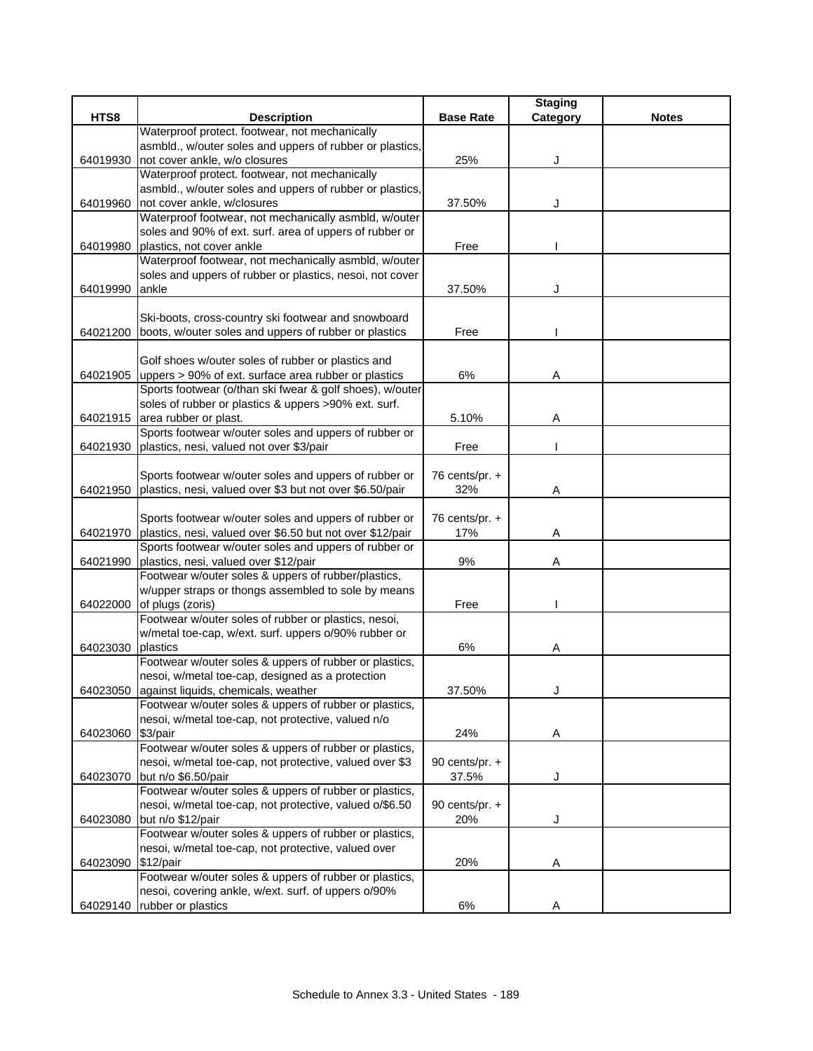|          |                                                                                    |                  | <b>Staging</b> |              |
|----------|------------------------------------------------------------------------------------|------------------|----------------|--------------|
| HTS8     | <b>Description</b>                                                                 | <b>Base Rate</b> | Category       | <b>Notes</b> |
|          | Waterproof protect. footwear, not mechanically                                     |                  |                |              |
|          | asmbld., w/outer soles and uppers of rubber or plastics,                           |                  |                |              |
| 64019930 | not cover ankle, w/o closures                                                      | 25%              | J              |              |
|          | Waterproof protect. footwear, not mechanically                                     |                  |                |              |
|          | asmbld., w/outer soles and uppers of rubber or plastics,                           |                  |                |              |
| 64019960 | not cover ankle, w/closures                                                        | 37.50%           |                |              |
|          | Waterproof footwear, not mechanically asmbld, w/outer                              |                  |                |              |
|          | soles and 90% of ext. surf. area of uppers of rubber or                            |                  |                |              |
| 64019980 | plastics, not cover ankle<br>Waterproof footwear, not mechanically asmbld, w/outer | Free             |                |              |
|          | soles and uppers of rubber or plastics, nesoi, not cover                           |                  |                |              |
| 64019990 | ankle                                                                              | 37.50%           |                |              |
|          |                                                                                    |                  |                |              |
|          | Ski-boots, cross-country ski footwear and snowboard                                |                  |                |              |
|          | 64021200 boots, w/outer soles and uppers of rubber or plastics                     | Free             |                |              |
|          |                                                                                    |                  |                |              |
|          | Golf shoes w/outer soles of rubber or plastics and                                 |                  |                |              |
|          | 64021905 uppers > 90% of ext. surface area rubber or plastics                      | 6%               | Α              |              |
|          | Sports footwear (o/than ski fwear & golf shoes), w/outer                           |                  |                |              |
|          | soles of rubber or plastics & uppers >90% ext. surf.                               |                  |                |              |
|          | 64021915 area rubber or plast.                                                     | 5.10%            | Α              |              |
|          | Sports footwear w/outer soles and uppers of rubber or                              |                  |                |              |
| 64021930 | plastics, nesi, valued not over \$3/pair                                           | Free             |                |              |
|          |                                                                                    |                  |                |              |
|          | Sports footwear w/outer soles and uppers of rubber or                              | 76 cents/pr. +   |                |              |
| 64021950 | plastics, nesi, valued over \$3 but not over \$6.50/pair                           | 32%              | Α              |              |
|          |                                                                                    |                  |                |              |
|          | Sports footwear w/outer soles and uppers of rubber or                              | 76 cents/pr. $+$ |                |              |
| 64021970 | plastics, nesi, valued over \$6.50 but not over \$12/pair                          | 17%              | Α              |              |
|          | Sports footwear w/outer soles and uppers of rubber or                              |                  |                |              |
| 64021990 | plastics, nesi, valued over \$12/pair                                              | 9%               | Α              |              |
|          | Footwear w/outer soles & uppers of rubber/plastics,                                |                  |                |              |
|          | w/upper straps or thongs assembled to sole by means                                |                  |                |              |
| 64022000 | of plugs (zoris)                                                                   | Free             |                |              |
|          | Footwear w/outer soles of rubber or plastics, nesoi,                               |                  |                |              |
|          | w/metal toe-cap, w/ext. surf. uppers o/90% rubber or                               |                  |                |              |
| 64023030 | plastics<br>Footwear w/outer soles & uppers of rubber or plastics,                 | 6%               | Α              |              |
|          | nesoi, w/metal toe-cap, designed as a protection                                   |                  |                |              |
|          | 64023050 against liquids, chemicals, weather                                       | 37.50%           |                |              |
|          | Footwear w/outer soles & uppers of rubber or plastics,                             |                  |                |              |
|          | nesoi, w/metal toe-cap, not protective, valued n/o                                 |                  |                |              |
| 64023060 | \$3/pair                                                                           | 24%              | Α              |              |
|          | Footwear w/outer soles & uppers of rubber or plastics,                             |                  |                |              |
|          | nesoi, w/metal toe-cap, not protective, valued over \$3                            | 90 cents/pr. $+$ |                |              |
| 64023070 | but n/o \$6.50/pair                                                                | 37.5%            | J              |              |
|          | Footwear w/outer soles & uppers of rubber or plastics,                             |                  |                |              |
|          | nesoi, w/metal toe-cap, not protective, valued o/\$6.50                            | 90 cents/pr. $+$ |                |              |
| 64023080 | but n/o \$12/pair                                                                  | 20%              | J              |              |
|          | Footwear w/outer soles & uppers of rubber or plastics,                             |                  |                |              |
|          | nesoi, w/metal toe-cap, not protective, valued over                                |                  |                |              |
| 64023090 | \$12/pair                                                                          | 20%              | A              |              |
|          | Footwear w/outer soles & uppers of rubber or plastics,                             |                  |                |              |
|          | nesoi, covering ankle, w/ext. surf. of uppers o/90%                                |                  |                |              |
|          | 64029140   rubber or plastics                                                      | 6%               | Α              |              |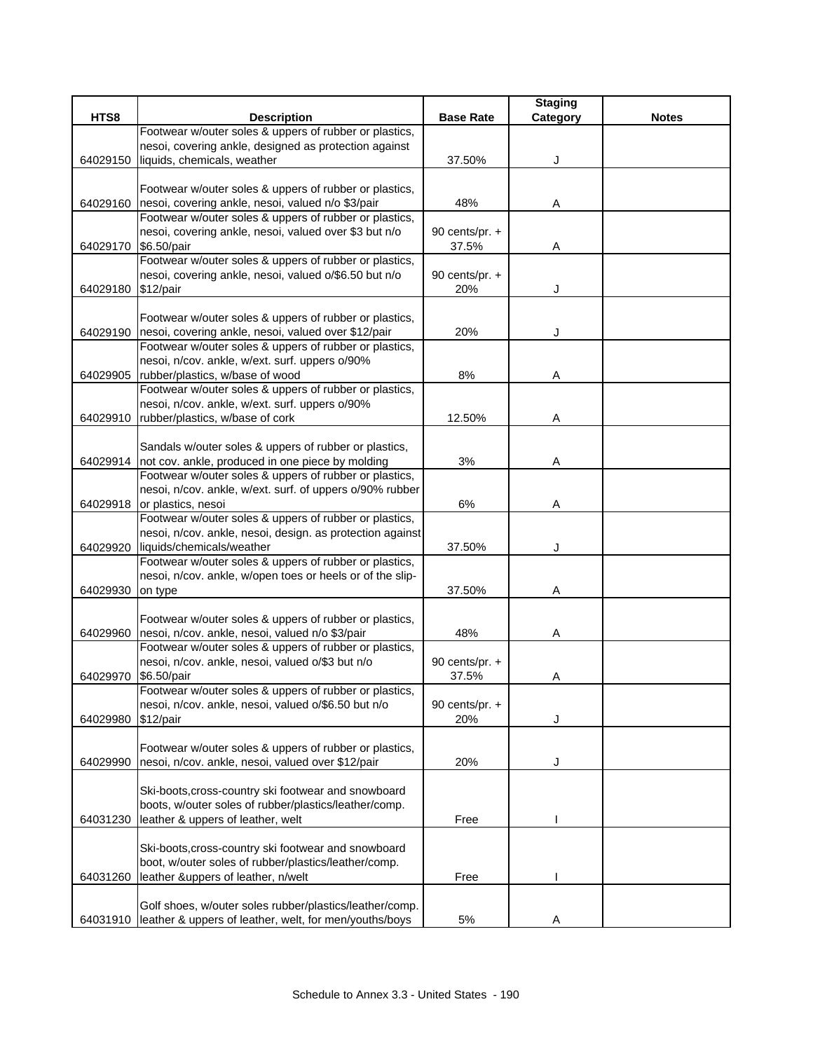|                      |                                                              |                  | <b>Staging</b> |              |
|----------------------|--------------------------------------------------------------|------------------|----------------|--------------|
| HTS8                 | <b>Description</b>                                           | <b>Base Rate</b> | Category       | <b>Notes</b> |
|                      | Footwear w/outer soles & uppers of rubber or plastics,       |                  |                |              |
|                      | nesoi, covering ankle, designed as protection against        |                  |                |              |
| 64029150             | liquids, chemicals, weather                                  | 37.50%           | J              |              |
|                      |                                                              |                  |                |              |
|                      | Footwear w/outer soles & uppers of rubber or plastics,       |                  |                |              |
|                      | 64029160 nesoi, covering ankle, nesoi, valued n/o \$3/pair   | 48%              | Α              |              |
|                      | Footwear w/outer soles & uppers of rubber or plastics,       |                  |                |              |
|                      | nesoi, covering ankle, nesoi, valued over \$3 but n/o        | 90 cents/pr. $+$ |                |              |
| 64029170 \$6.50/pair | Footwear w/outer soles & uppers of rubber or plastics,       | 37.5%            | Α              |              |
|                      | nesoi, covering ankle, nesoi, valued o/\$6.50 but n/o        | 90 cents/pr. +   |                |              |
| 64029180             | \$12/pair                                                    | 20%              | J              |              |
|                      |                                                              |                  |                |              |
|                      | Footwear w/outer soles & uppers of rubber or plastics,       |                  |                |              |
|                      | 64029190 nesoi, covering ankle, nesoi, valued over \$12/pair | 20%              |                |              |
|                      | Footwear w/outer soles & uppers of rubber or plastics,       |                  |                |              |
|                      | nesoi, n/cov. ankle, w/ext. surf. uppers o/90%               |                  |                |              |
| 64029905             | rubber/plastics, w/base of wood                              | 8%               | Α              |              |
|                      | Footwear w/outer soles & uppers of rubber or plastics,       |                  |                |              |
|                      | nesoi, n/cov. ankle, w/ext. surf. uppers o/90%               |                  |                |              |
| 64029910             | rubber/plastics, w/base of cork                              | 12.50%           | Α              |              |
|                      |                                                              |                  |                |              |
|                      | Sandals w/outer soles & uppers of rubber or plastics,        |                  |                |              |
|                      | 64029914 not cov. ankle, produced in one piece by molding    | 3%               | Α              |              |
|                      | Footwear w/outer soles & uppers of rubber or plastics,       |                  |                |              |
|                      | nesoi, n/cov. ankle, w/ext. surf. of uppers o/90% rubber     |                  |                |              |
| 64029918             | or plastics, nesoi                                           | 6%               | Α              |              |
|                      | Footwear w/outer soles & uppers of rubber or plastics,       |                  |                |              |
|                      | nesoi, n/cov. ankle, nesoi, design. as protection against    |                  |                |              |
| 64029920             | liquids/chemicals/weather                                    | 37.50%           |                |              |
|                      | Footwear w/outer soles & uppers of rubber or plastics,       |                  |                |              |
|                      | nesoi, n/cov. ankle, w/open toes or heels or of the slip-    | 37.50%           |                |              |
| 64029930             | on type                                                      |                  | Α              |              |
|                      | Footwear w/outer soles & uppers of rubber or plastics,       |                  |                |              |
| 64029960             | nesoi, n/cov. ankle, nesoi, valued n/o \$3/pair              | 48%              | Α              |              |
|                      | Footwear w/outer soles & uppers of rubber or plastics,       |                  |                |              |
|                      | nesoi, n/cov. ankle, nesoi, valued o/\$3 but n/o             | 90 cents/pr. $+$ |                |              |
| 64029970             | \$6.50/pair                                                  | 37.5%            | Α              |              |
|                      | Footwear w/outer soles & uppers of rubber or plastics,       |                  |                |              |
|                      | nesoi, n/cov. ankle, nesoi, valued o/\$6.50 but n/o          | 90 cents/pr. +   |                |              |
| 64029980             | $$12$ /pair                                                  | 20%              | J              |              |
|                      |                                                              |                  |                |              |
|                      | Footwear w/outer soles & uppers of rubber or plastics,       |                  |                |              |
| 64029990             | nesoi, n/cov. ankle, nesoi, valued over \$12/pair            | 20%              |                |              |
|                      |                                                              |                  |                |              |
|                      | Ski-boots, cross-country ski footwear and snowboard          |                  |                |              |
|                      | boots, w/outer soles of rubber/plastics/leather/comp.        |                  |                |              |
| 64031230             | leather & uppers of leather, welt                            | Free             |                |              |
|                      |                                                              |                  |                |              |
|                      | Ski-boots, cross-country ski footwear and snowboard          |                  |                |              |
|                      | boot, w/outer soles of rubber/plastics/leather/comp.         |                  |                |              |
| 64031260             | leather &uppers of leather, n/welt                           | Free             |                |              |
|                      | Golf shoes, w/outer soles rubber/plastics/leather/comp.      |                  |                |              |
| 64031910             | leather & uppers of leather, welt, for men/youths/boys       | $5\%$            | Α              |              |
|                      |                                                              |                  |                |              |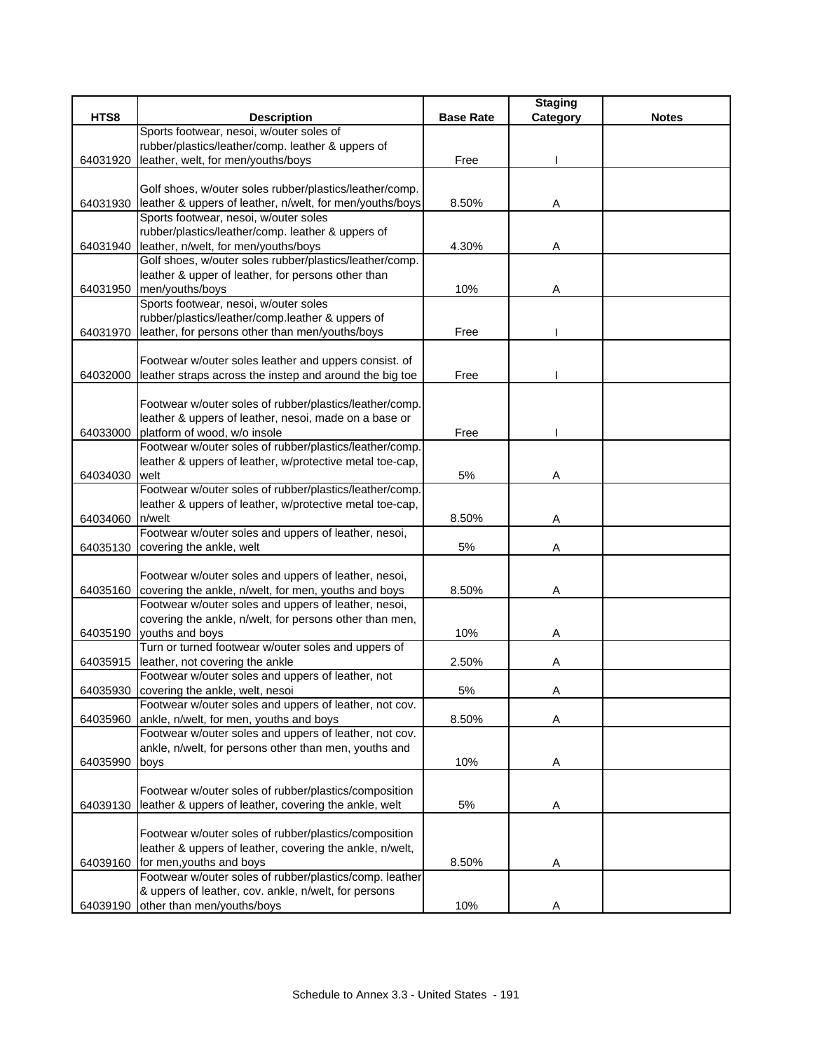|          |                                                          |                  | <b>Staging</b> |              |
|----------|----------------------------------------------------------|------------------|----------------|--------------|
| HTS8     | <b>Description</b>                                       | <b>Base Rate</b> | Category       | <b>Notes</b> |
|          | Sports footwear, nesoi, w/outer soles of                 |                  |                |              |
|          | rubber/plastics/leather/comp. leather & uppers of        |                  |                |              |
| 64031920 | leather, welt, for men/youths/boys                       | Free             |                |              |
|          |                                                          |                  |                |              |
|          | Golf shoes, w/outer soles rubber/plastics/leather/comp.  |                  |                |              |
| 64031930 | leather & uppers of leather, n/welt, for men/youths/boys | 8.50%            | Α              |              |
|          | Sports footwear, nesoi, w/outer soles                    |                  |                |              |
|          | rubber/plastics/leather/comp. leather & uppers of        |                  |                |              |
| 64031940 | leather, n/welt, for men/youths/boys                     | 4.30%            | Α              |              |
|          | Golf shoes, w/outer soles rubber/plastics/leather/comp.  |                  |                |              |
|          | leather & upper of leather, for persons other than       |                  |                |              |
| 64031950 | men/youths/boys                                          | 10%              | Α              |              |
|          | Sports footwear, nesoi, w/outer soles                    |                  |                |              |
|          | rubber/plastics/leather/comp.leather & uppers of         |                  |                |              |
| 64031970 | leather, for persons other than men/youths/boys          | Free             |                |              |
|          |                                                          |                  |                |              |
|          | Footwear w/outer soles leather and uppers consist. of    |                  |                |              |
| 64032000 | leather straps across the instep and around the big toe  | Free             |                |              |
|          |                                                          |                  |                |              |
|          | Footwear w/outer soles of rubber/plastics/leather/comp.  |                  |                |              |
|          | leather & uppers of leather, nesoi, made on a base or    |                  |                |              |
| 64033000 | platform of wood, w/o insole                             | Free             |                |              |
|          | Footwear w/outer soles of rubber/plastics/leather/comp.  |                  |                |              |
|          | leather & uppers of leather, w/protective metal toe-cap, |                  |                |              |
| 64034030 | welt                                                     | 5%               | Α              |              |
|          | Footwear w/outer soles of rubber/plastics/leather/comp.  |                  |                |              |
|          | leather & uppers of leather, w/protective metal toe-cap, |                  |                |              |
| 64034060 | n/welt                                                   | 8.50%            | Α              |              |
|          | Footwear w/outer soles and uppers of leather, nesoi,     |                  |                |              |
| 64035130 | covering the ankle, welt                                 | 5%               | Α              |              |
|          |                                                          |                  |                |              |
|          | Footwear w/outer soles and uppers of leather, nesoi,     |                  |                |              |
| 64035160 | covering the ankle, n/welt, for men, youths and boys     | 8.50%            | Α              |              |
|          | Footwear w/outer soles and uppers of leather, nesoi,     |                  |                |              |
|          | covering the ankle, n/welt, for persons other than men,  |                  |                |              |
| 64035190 | youths and boys                                          | 10%              | Α              |              |
|          | Turn or turned footwear w/outer soles and uppers of      |                  |                |              |
| 64035915 | leather, not covering the ankle                          | 2.50%            | Α              |              |
|          | Footwear w/outer soles and uppers of leather, not        |                  |                |              |
| 64035930 | covering the ankle, welt, nesoi                          | 5%               | A              |              |
|          | Footwear w/outer soles and uppers of leather, not cov.   |                  |                |              |
| 64035960 | ankle, n/welt, for men, youths and boys                  | 8.50%            | Α              |              |
|          | Footwear w/outer soles and uppers of leather, not cov.   |                  |                |              |
|          | ankle, n/welt, for persons other than men, youths and    |                  |                |              |
| 64035990 | boys                                                     | 10%              | Α              |              |
|          |                                                          |                  |                |              |
|          | Footwear w/outer soles of rubber/plastics/composition    |                  |                |              |
| 64039130 | leather & uppers of leather, covering the ankle, welt    | 5%               | A              |              |
|          |                                                          |                  |                |              |
|          | Footwear w/outer soles of rubber/plastics/composition    |                  |                |              |
|          | leather & uppers of leather, covering the ankle, n/welt, |                  |                |              |
| 64039160 | for men, youths and boys                                 | 8.50%            | Α              |              |
|          | Footwear w/outer soles of rubber/plastics/comp. leather  |                  |                |              |
|          | & uppers of leather, cov. ankle, n/welt, for persons     |                  |                |              |
| 64039190 | other than men/youths/boys                               | 10%              | Α              |              |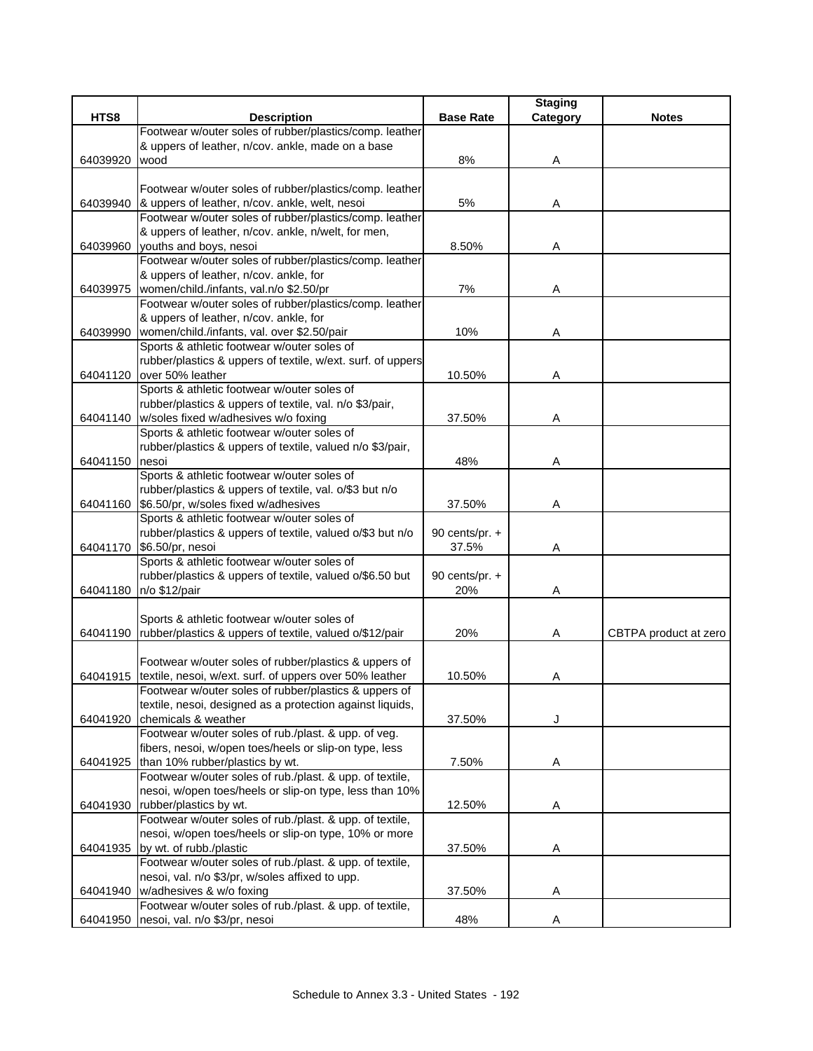|          |                                                             |                  | <b>Staging</b> |                       |
|----------|-------------------------------------------------------------|------------------|----------------|-----------------------|
| HTS8     | <b>Description</b>                                          | <b>Base Rate</b> | Category       | <b>Notes</b>          |
|          | Footwear w/outer soles of rubber/plastics/comp. leather     |                  |                |                       |
|          | & uppers of leather, n/cov. ankle, made on a base           |                  |                |                       |
| 64039920 | wood                                                        | 8%               | Α              |                       |
|          |                                                             |                  |                |                       |
|          | Footwear w/outer soles of rubber/plastics/comp. leather     |                  |                |                       |
| 64039940 | & uppers of leather, n/cov. ankle, welt, nesoi              | $5%$             | Α              |                       |
|          | Footwear w/outer soles of rubber/plastics/comp. leather     |                  |                |                       |
|          | & uppers of leather, n/cov. ankle, n/welt, for men,         |                  |                |                       |
| 64039960 | youths and boys, nesoi                                      | 8.50%            | Α              |                       |
|          | Footwear w/outer soles of rubber/plastics/comp. leather     |                  |                |                       |
|          | & uppers of leather, n/cov. ankle, for                      |                  |                |                       |
| 64039975 | women/child./infants, val.n/o \$2.50/pr                     | 7%               | Α              |                       |
|          | Footwear w/outer soles of rubber/plastics/comp. leather     |                  |                |                       |
|          | & uppers of leather, n/cov. ankle, for                      |                  |                |                       |
| 64039990 | women/child./infants, val. over \$2.50/pair                 | 10%              | Α              |                       |
|          | Sports & athletic footwear w/outer soles of                 |                  |                |                       |
|          | rubber/plastics & uppers of textile, w/ext. surf. of uppers |                  |                |                       |
| 64041120 | over 50% leather                                            | 10.50%           | Α              |                       |
|          | Sports & athletic footwear w/outer soles of                 |                  |                |                       |
|          | rubber/plastics & uppers of textile, val. n/o \$3/pair,     |                  |                |                       |
| 64041140 | w/soles fixed w/adhesives w/o foxing                        | 37.50%           | Α              |                       |
|          | Sports & athletic footwear w/outer soles of                 |                  |                |                       |
|          | rubber/plastics & uppers of textile, valued n/o \$3/pair,   |                  |                |                       |
| 64041150 | nesoi                                                       | 48%              | Α              |                       |
|          | Sports & athletic footwear w/outer soles of                 |                  |                |                       |
|          | rubber/plastics & uppers of textile, val. o/\$3 but n/o     |                  |                |                       |
|          | 64041160 \$6.50/pr, w/soles fixed w/adhesives               | 37.50%           | Α              |                       |
|          | Sports & athletic footwear w/outer soles of                 |                  |                |                       |
|          | rubber/plastics & uppers of textile, valued o/\$3 but n/o   | 90 cents/pr. $+$ |                |                       |
| 64041170 | \$6.50/pr, nesoi                                            | 37.5%            | Α              |                       |
|          | Sports & athletic footwear w/outer soles of                 |                  |                |                       |
|          | rubber/plastics & uppers of textile, valued o/\$6.50 but    | 90 cents/pr. $+$ |                |                       |
| 64041180 | n/o \$12/pair                                               | 20%              | Α              |                       |
|          |                                                             |                  |                |                       |
|          | Sports & athletic footwear w/outer soles of                 |                  |                |                       |
| 64041190 | rubber/plastics & uppers of textile, valued o/\$12/pair     | 20%              | Α              | CBTPA product at zero |
|          |                                                             |                  |                |                       |
|          | Footwear w/outer soles of rubber/plastics & uppers of       |                  |                |                       |
| 64041915 | textile, nesoi, w/ext. surf. of uppers over 50% leather     | 10.50%           | Α              |                       |
|          | Footwear w/outer soles of rubber/plastics & uppers of       |                  |                |                       |
|          | textile, nesoi, designed as a protection against liquids,   |                  |                |                       |
| 64041920 | chemicals & weather                                         | 37.50%           | J              |                       |
|          | Footwear w/outer soles of rub./plast. & upp. of veg.        |                  |                |                       |
|          | fibers, nesoi, w/open toes/heels or slip-on type, less      |                  |                |                       |
| 64041925 | than 10% rubber/plastics by wt.                             | 7.50%            | Α              |                       |
|          | Footwear w/outer soles of rub./plast. & upp. of textile,    |                  |                |                       |
|          | nesoi, w/open toes/heels or slip-on type, less than 10%     |                  |                |                       |
| 64041930 | rubber/plastics by wt.                                      | 12.50%           | Α              |                       |
|          | Footwear w/outer soles of rub./plast. & upp. of textile,    |                  |                |                       |
|          | nesoi, w/open toes/heels or slip-on type, 10% or more       |                  |                |                       |
| 64041935 | by wt. of rubb./plastic                                     | 37.50%           | Α              |                       |
|          | Footwear w/outer soles of rub./plast. & upp. of textile,    |                  |                |                       |
|          | nesoi, val. n/o \$3/pr, w/soles affixed to upp.             |                  |                |                       |
| 64041940 | w/adhesives & w/o foxing                                    | 37.50%           | Α              |                       |
|          | Footwear w/outer soles of rub./plast. & upp. of textile,    |                  |                |                       |
| 64041950 | nesoi, val. n/o \$3/pr, nesoi                               | 48%              | Α              |                       |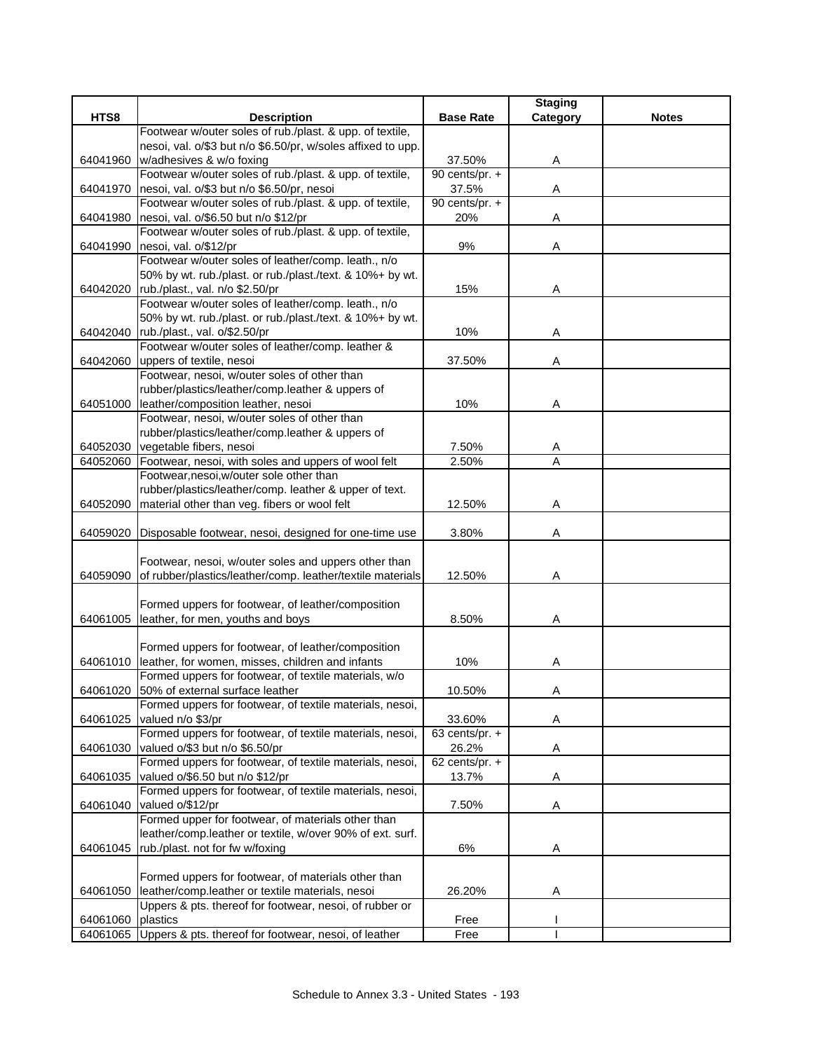|          |                                                                                                                    |                  | <b>Staging</b> |              |
|----------|--------------------------------------------------------------------------------------------------------------------|------------------|----------------|--------------|
| HTS8     | <b>Description</b>                                                                                                 | <b>Base Rate</b> | Category       | <b>Notes</b> |
|          | Footwear w/outer soles of rub./plast. & upp. of textile,                                                           |                  |                |              |
|          | nesoi, val. o/\$3 but n/o \$6.50/pr, w/soles affixed to upp.                                                       |                  |                |              |
| 64041960 | w/adhesives & w/o foxing                                                                                           | 37.50%           | Α              |              |
|          | Footwear w/outer soles of rub./plast. & upp. of textile,                                                           | 90 cents/pr. $+$ |                |              |
| 64041970 | nesoi, val. o/\$3 but n/o \$6.50/pr, nesoi                                                                         | 37.5%            | Α              |              |
|          | Footwear w/outer soles of rub./plast. & upp. of textile,                                                           | 90 cents/pr. +   |                |              |
| 64041980 | nesoi, val. o/\$6.50 but n/o \$12/pr                                                                               | 20%              | Α              |              |
|          | Footwear w/outer soles of rub./plast. & upp. of textile,                                                           |                  |                |              |
| 64041990 | nesoi, val. o/\$12/pr                                                                                              | 9%               | A              |              |
|          | Footwear w/outer soles of leather/comp. leath., n/o                                                                |                  |                |              |
|          | 50% by wt. rub./plast. or rub./plast./text. & 10%+ by wt.                                                          |                  |                |              |
|          | 64042020 rub./plast., val. n/o \$2.50/pr                                                                           | 15%              | Α              |              |
|          | Footwear w/outer soles of leather/comp. leath., n/o                                                                |                  |                |              |
|          | 50% by wt. rub./plast. or rub./plast./text. & 10%+ by wt.                                                          |                  |                |              |
|          | 64042040   rub./plast., val. o/\$2.50/pr                                                                           | 10%              | Α              |              |
|          | Footwear w/outer soles of leather/comp. leather &                                                                  |                  |                |              |
|          | 64042060 uppers of textile, nesoi                                                                                  | 37.50%           | Α              |              |
|          | Footwear, nesoi, w/outer soles of other than                                                                       |                  |                |              |
|          | rubber/plastics/leather/comp.leather & uppers of                                                                   |                  |                |              |
| 64051000 | leather/composition leather, nesoi                                                                                 | 10%              | Α              |              |
|          | Footwear, nesoi, w/outer soles of other than                                                                       |                  |                |              |
|          | rubber/plastics/leather/comp.leather & uppers of                                                                   |                  |                |              |
| 64052030 | vegetable fibers, nesoi                                                                                            | 7.50%            | A              |              |
| 64052060 | Footwear, nesoi, with soles and uppers of wool felt                                                                | 2.50%            | $\overline{A}$ |              |
|          | Footwear, nesoi, w/outer sole other than                                                                           |                  |                |              |
|          | rubber/plastics/leather/comp. leather & upper of text.                                                             |                  |                |              |
| 64052090 | material other than veg. fibers or wool felt                                                                       | 12.50%           | Α              |              |
|          |                                                                                                                    |                  |                |              |
| 64059020 | Disposable footwear, nesoi, designed for one-time use                                                              | 3.80%            | Α              |              |
|          |                                                                                                                    |                  |                |              |
| 64059090 | Footwear, nesoi, w/outer soles and uppers other than<br>of rubber/plastics/leather/comp. leather/textile materials | 12.50%           |                |              |
|          |                                                                                                                    |                  | Α              |              |
|          | Formed uppers for footwear, of leather/composition                                                                 |                  |                |              |
|          | 64061005 leather, for men, youths and boys                                                                         | 8.50%            | Α              |              |
|          |                                                                                                                    |                  |                |              |
|          | Formed uppers for footwear, of leather/composition                                                                 |                  |                |              |
|          | 64061010 leather, for women, misses, children and infants                                                          | 10%              | Α              |              |
|          | Formed uppers for footwear, of textile materials, w/o                                                              |                  |                |              |
|          | 64061020 50% of external surface leather                                                                           | 10.50%           | A              |              |
|          | Formed uppers for footwear, of textile materials, nesoi,                                                           |                  |                |              |
| 64061025 | valued n/o \$3/pr                                                                                                  | 33.60%           | Α              |              |
|          | Formed uppers for footwear, of textile materials, nesoi,                                                           | 63 cents/pr. $+$ |                |              |
| 64061030 | valued o/\$3 but n/o \$6.50/pr                                                                                     | 26.2%            | A              |              |
|          | Formed uppers for footwear, of textile materials, nesoi,                                                           | 62 cents/pr. $+$ |                |              |
| 64061035 | valued o/\$6.50 but n/o \$12/pr                                                                                    | 13.7%            | Α              |              |
|          | Formed uppers for footwear, of textile materials, nesoi,                                                           |                  |                |              |
| 64061040 | valued o/\$12/pr                                                                                                   | 7.50%            | Α              |              |
|          | Formed upper for footwear, of materials other than                                                                 |                  |                |              |
|          | leather/comp.leather or textile, w/over 90% of ext. surf.                                                          |                  |                |              |
| 64061045 | rub./plast. not for fw w/foxing                                                                                    | 6%               | Α              |              |
|          |                                                                                                                    |                  |                |              |
|          | Formed uppers for footwear, of materials other than                                                                |                  |                |              |
| 64061050 | leather/comp.leather or textile materials, nesoi                                                                   | 26.20%           | Α              |              |
|          | Uppers & pts. thereof for footwear, nesoi, of rubber or                                                            |                  |                |              |
| 64061060 | plastics                                                                                                           | Free             |                |              |
|          | 64061065 Uppers & pts. thereof for footwear, nesoi, of leather                                                     | Free             |                |              |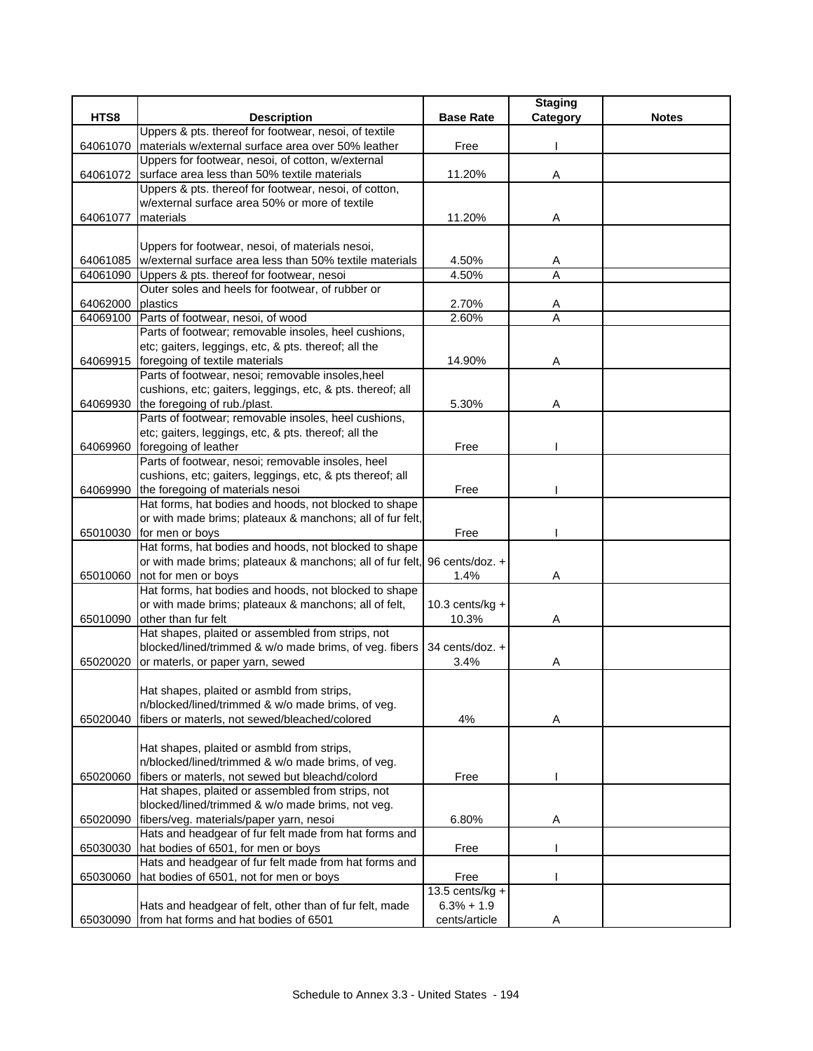|          |                                                                              |                    | <b>Staging</b> |              |
|----------|------------------------------------------------------------------------------|--------------------|----------------|--------------|
| HTS8     | <b>Description</b>                                                           | <b>Base Rate</b>   | Category       | <b>Notes</b> |
|          | Uppers & pts. thereof for footwear, nesoi, of textile                        |                    |                |              |
| 64061070 | materials w/external surface area over 50% leather                           | Free               |                |              |
|          | Uppers for footwear, nesoi, of cotton, w/external                            |                    |                |              |
| 64061072 | surface area less than 50% textile materials                                 | 11.20%             | Α              |              |
|          | Uppers & pts. thereof for footwear, nesoi, of cotton,                        |                    |                |              |
|          | w/external surface area 50% or more of textile                               |                    |                |              |
| 64061077 | materials                                                                    | 11.20%             | Α              |              |
|          |                                                                              |                    |                |              |
|          | Uppers for footwear, nesoi, of materials nesoi,                              |                    |                |              |
|          | 64061085   w/external surface area less than 50% textile materials           | 4.50%              | A              |              |
| 64061090 | Uppers & pts. thereof for footwear, nesoi                                    | 4.50%              | A              |              |
|          | Outer soles and heels for footwear, of rubber or                             |                    |                |              |
| 64062000 | plastics                                                                     | 2.70%              | A              |              |
|          | 64069100 Parts of footwear, nesoi, of wood                                   | 2.60%              | $\overline{A}$ |              |
|          | Parts of footwear; removable insoles, heel cushions,                         |                    |                |              |
|          | etc; gaiters, leggings, etc, & pts. thereof; all the                         |                    |                |              |
|          | 64069915 foregoing of textile materials                                      | 14.90%             | Α              |              |
|          | Parts of footwear, nesoi; removable insoles, heel                            |                    |                |              |
|          | cushions, etc; gaiters, leggings, etc, & pts. thereof; all                   |                    |                |              |
| 64069930 | the foregoing of rub./plast.                                                 | 5.30%              | Α              |              |
|          | Parts of footwear; removable insoles, heel cushions,                         |                    |                |              |
|          | etc; gaiters, leggings, etc, & pts. thereof; all the                         |                    |                |              |
| 64069960 | foregoing of leather                                                         | Free               |                |              |
|          | Parts of footwear, nesoi; removable insoles, heel                            |                    |                |              |
|          | cushions, etc; gaiters, leggings, etc, & pts thereof; all                    |                    |                |              |
| 64069990 | the foregoing of materials nesoi                                             | Free               |                |              |
|          | Hat forms, hat bodies and hoods, not blocked to shape                        |                    |                |              |
|          | or with made brims; plateaux & manchons; all of fur felt,                    |                    |                |              |
|          | 65010030 for men or boys                                                     | Free               |                |              |
|          | Hat forms, hat bodies and hoods, not blocked to shape                        |                    |                |              |
|          | or with made brims; plateaux & manchons; all of fur felt, 96 cents/doz. +    | 1.4%               |                |              |
| 65010060 | not for men or boys<br>Hat forms, hat bodies and hoods, not blocked to shape |                    | Α              |              |
|          | or with made brims; plateaux & manchons; all of felt,                        | $10.3$ cents/kg +  |                |              |
| 65010090 | lother than fur felt                                                         | 10.3%              | Α              |              |
|          | Hat shapes, plaited or assembled from strips, not                            |                    |                |              |
|          | blocked/lined/trimmed & w/o made brims, of veg. fibers                       | 34 cents/doz. +    |                |              |
| 65020020 | or materls, or paper yarn, sewed                                             | 3.4%               | A              |              |
|          |                                                                              |                    |                |              |
|          | Hat shapes, plaited or asmbld from strips,                                   |                    |                |              |
|          | n/blocked/lined/trimmed & w/o made brims, of veg.                            |                    |                |              |
| 65020040 | fibers or materls, not sewed/bleached/colored                                | 4%                 | Α              |              |
|          |                                                                              |                    |                |              |
|          | Hat shapes, plaited or asmbld from strips,                                   |                    |                |              |
|          | n/blocked/lined/trimmed & w/o made brims, of veg.                            |                    |                |              |
| 65020060 | fibers or materls, not sewed but bleachd/colord                              | Free               |                |              |
|          | Hat shapes, plaited or assembled from strips, not                            |                    |                |              |
|          | blocked/lined/trimmed & w/o made brims, not veg.                             |                    |                |              |
| 65020090 | fibers/veg. materials/paper yarn, nesoi                                      | 6.80%              | Α              |              |
|          | Hats and headgear of fur felt made from hat forms and                        |                    |                |              |
| 65030030 | hat bodies of 6501, for men or boys                                          | Free               |                |              |
|          | Hats and headgear of fur felt made from hat forms and                        |                    |                |              |
| 65030060 | hat bodies of 6501, not for men or boys                                      | Free               |                |              |
|          |                                                                              | 13.5 cents/ $kg +$ |                |              |
|          | Hats and headgear of felt, other than of fur felt, made                      | $6.3% + 1.9$       |                |              |
| 65030090 | from hat forms and hat bodies of 6501                                        | cents/article      |                |              |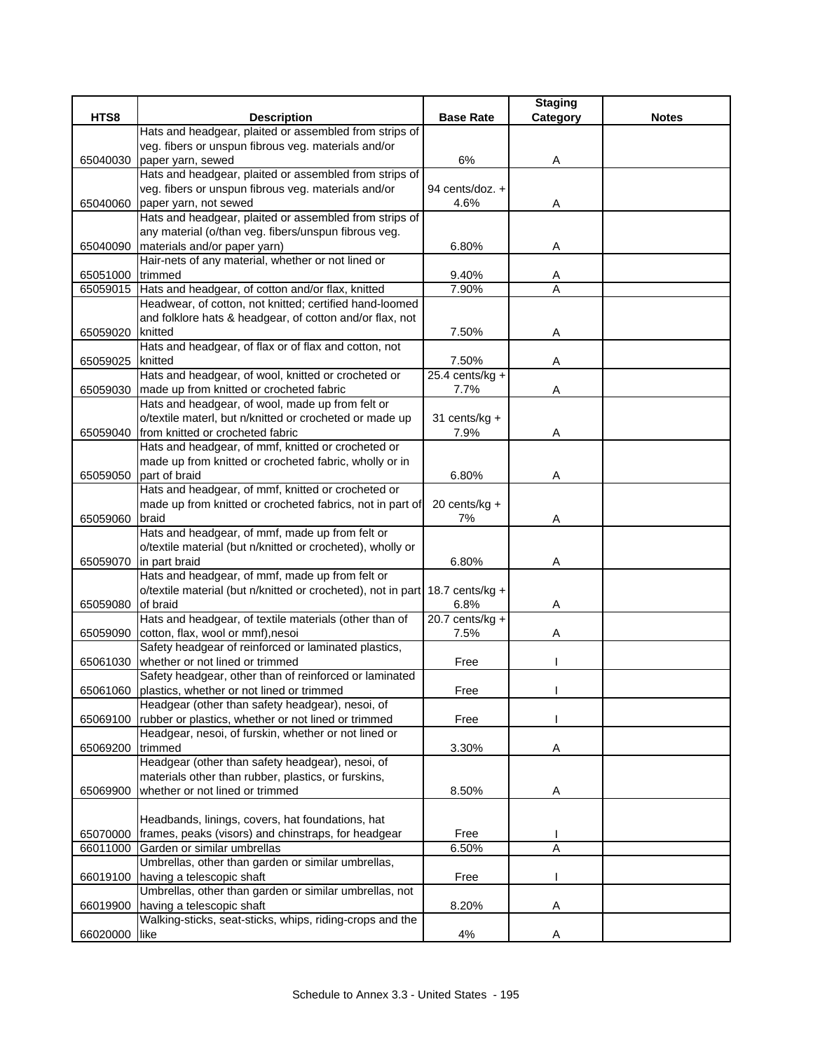|          |                                                              |                    | <b>Staging</b> |              |
|----------|--------------------------------------------------------------|--------------------|----------------|--------------|
| HTS8     | <b>Description</b>                                           | <b>Base Rate</b>   | Category       | <b>Notes</b> |
|          | Hats and headgear, plaited or assembled from strips of       |                    |                |              |
|          | veg. fibers or unspun fibrous veg. materials and/or          |                    |                |              |
| 65040030 | paper yarn, sewed                                            | 6%                 | A              |              |
|          | Hats and headgear, plaited or assembled from strips of       |                    |                |              |
|          | veg. fibers or unspun fibrous veg. materials and/or          | 94 cents/doz. +    |                |              |
| 65040060 | paper yarn, not sewed                                        | 4.6%               | Α              |              |
|          | Hats and headgear, plaited or assembled from strips of       |                    |                |              |
|          | any material (o/than veg. fibers/unspun fibrous veg.         |                    |                |              |
| 65040090 | materials and/or paper yarn)                                 | 6.80%              | Α              |              |
|          | Hair-nets of any material, whether or not lined or           |                    |                |              |
| 65051000 | trimmed                                                      | 9.40%              | A              |              |
| 65059015 | Hats and headgear, of cotton and/or flax, knitted            | 7.90%              | A              |              |
|          | Headwear, of cotton, not knitted; certified hand-loomed      |                    |                |              |
|          | and folklore hats & headgear, of cotton and/or flax, not     |                    |                |              |
| 65059020 | knitted                                                      | 7.50%              | Α              |              |
|          | Hats and headgear, of flax or of flax and cotton, not        |                    |                |              |
| 65059025 | knitted                                                      | 7.50%              | Α              |              |
|          | Hats and headgear, of wool, knitted or crocheted or          | $25.4$ cents/kg +  |                |              |
| 65059030 | made up from knitted or crocheted fabric                     | 7.7%               | Α              |              |
|          | Hats and headgear, of wool, made up from felt or             |                    |                |              |
|          | o/textile materl, but n/knitted or crocheted or made up      | 31 cents/kg +      |                |              |
| 65059040 | from knitted or crocheted fabric                             | 7.9%               | Α              |              |
|          | Hats and headgear, of mmf, knitted or crocheted or           |                    |                |              |
|          | made up from knitted or crocheted fabric, wholly or in       |                    |                |              |
| 65059050 | part of braid                                                | 6.80%              | Α              |              |
|          | Hats and headgear, of mmf, knitted or crocheted or           |                    |                |              |
|          | made up from knitted or crocheted fabrics, not in part of    | 20 cents/kg +      |                |              |
| 65059060 | braid                                                        | 7%                 | A              |              |
|          | Hats and headgear, of mmf, made up from felt or              |                    |                |              |
|          | o/textile material (but n/knitted or crocheted), wholly or   |                    |                |              |
| 65059070 | in part braid                                                | 6.80%              | Α              |              |
|          | Hats and headgear, of mmf, made up from felt or              |                    |                |              |
|          | o/textile material (but n/knitted or crocheted), not in part | 18.7 cents/ $kg +$ |                |              |
| 65059080 | of braid                                                     | 6.8%               | Α              |              |
|          | Hats and headgear, of textile materials (other than of       | $20.7$ cents/kg +  |                |              |
| 65059090 | cotton, flax, wool or mmf), nesoi                            | 7.5%               | Α              |              |
|          | Safety headgear of reinforced or laminated plastics,         |                    |                |              |
| 65061030 | whether or not lined or trimmed                              | Free               |                |              |
|          | Safety headgear, other than of reinforced or laminated       |                    |                |              |
| 65061060 | plastics, whether or not lined or trimmed                    | Free               |                |              |
|          | Headgear (other than safety headgear), nesoi, of             |                    |                |              |
| 65069100 | rubber or plastics, whether or not lined or trimmed          | Free               |                |              |
|          | Headgear, nesoi, of furskin, whether or not lined or         |                    |                |              |
| 65069200 | trimmed                                                      | 3.30%              | Α              |              |
|          | Headgear (other than safety headgear), nesoi, of             |                    |                |              |
|          | materials other than rubber, plastics, or furskins,          |                    |                |              |
| 65069900 | whether or not lined or trimmed                              | 8.50%              | A              |              |
|          |                                                              |                    |                |              |
|          | Headbands, linings, covers, hat foundations, hat             |                    |                |              |
| 65070000 | frames, peaks (visors) and chinstraps, for headgear          | Free               |                |              |
| 66011000 | Garden or similar umbrellas                                  | 6.50%              | A              |              |
|          | Umbrellas, other than garden or similar umbrellas,           |                    |                |              |
| 66019100 | having a telescopic shaft                                    | Free               |                |              |
|          | Umbrellas, other than garden or similar umbrellas, not       |                    |                |              |
| 66019900 | having a telescopic shaft                                    | 8.20%              | Α              |              |
|          | Walking-sticks, seat-sticks, whips, riding-crops and the     |                    |                |              |
| 66020000 | like                                                         | 4%                 | Α              |              |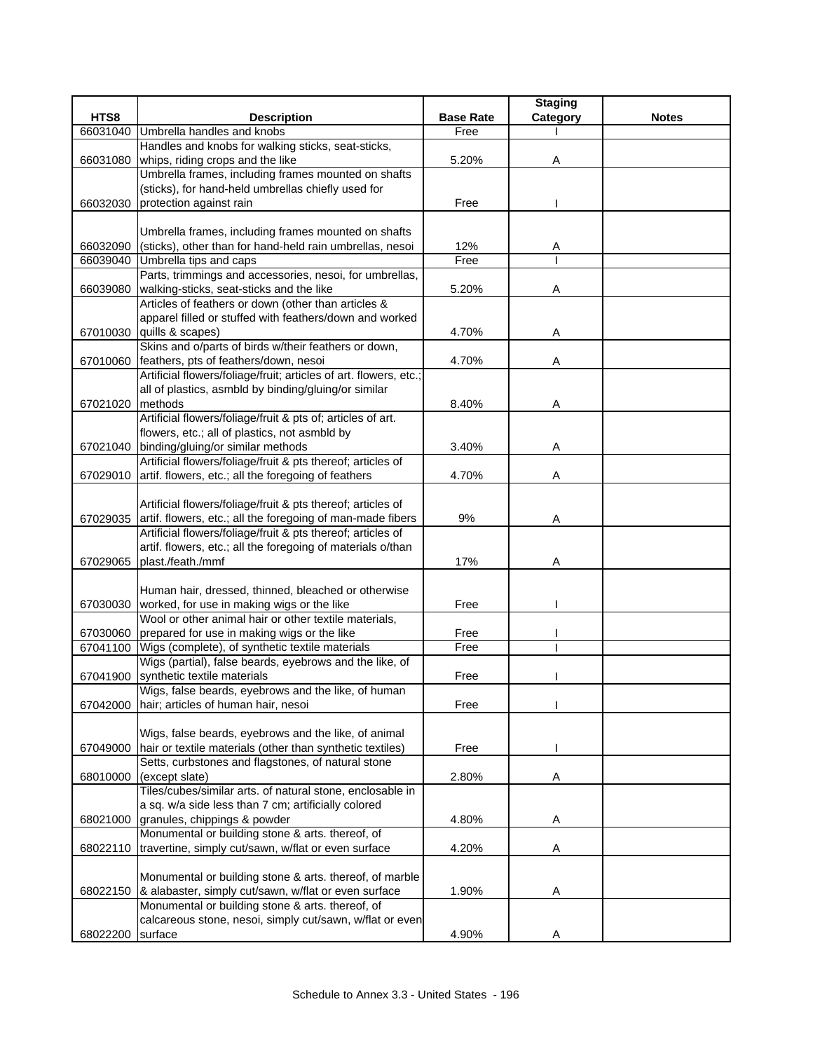|          |                                                                                  |                  | <b>Staging</b> |              |
|----------|----------------------------------------------------------------------------------|------------------|----------------|--------------|
| HTS8     | <b>Description</b>                                                               | <b>Base Rate</b> | Category       | <b>Notes</b> |
| 66031040 | Umbrella handles and knobs                                                       | Free             |                |              |
|          | Handles and knobs for walking sticks, seat-sticks,                               |                  |                |              |
| 66031080 | whips, riding crops and the like                                                 | 5.20%            | Α              |              |
|          | Umbrella frames, including frames mounted on shafts                              |                  |                |              |
|          | (sticks), for hand-held umbrellas chiefly used for                               |                  |                |              |
| 66032030 | protection against rain                                                          | Free             |                |              |
|          |                                                                                  |                  |                |              |
|          | Umbrella frames, including frames mounted on shafts                              |                  |                |              |
| 66032090 | (sticks), other than for hand-held rain umbrellas, nesoi                         | 12%              | A              |              |
| 66039040 | Umbrella tips and caps                                                           | Free             |                |              |
|          | Parts, trimmings and accessories, nesoi, for umbrellas,                          |                  |                |              |
| 66039080 | walking-sticks, seat-sticks and the like                                         | 5.20%            | Α              |              |
|          | Articles of feathers or down (other than articles &                              |                  |                |              |
|          | apparel filled or stuffed with feathers/down and worked                          |                  |                |              |
|          | 67010030 quills & scapes)                                                        | 4.70%            | Α              |              |
|          | Skins and o/parts of birds w/their feathers or down,                             |                  |                |              |
|          | 67010060 feathers, pts of feathers/down, nesoi                                   | 4.70%            | Α              |              |
|          | Artificial flowers/foliage/fruit; articles of art. flowers, etc.;                |                  |                |              |
|          | all of plastics, asmbld by binding/gluing/or similar                             |                  |                |              |
| 67021020 | methods                                                                          | 8.40%            | Α              |              |
|          | Artificial flowers/foliage/fruit & pts of; articles of art.                      |                  |                |              |
|          | flowers, etc.; all of plastics, not asmbld by                                    |                  |                |              |
| 67021040 | binding/gluing/or similar methods                                                | 3.40%            | Α              |              |
|          | Artificial flowers/foliage/fruit & pts thereof; articles of                      |                  |                |              |
| 67029010 | artif. flowers, etc.; all the foregoing of feathers                              | 4.70%            | Α              |              |
|          |                                                                                  |                  |                |              |
|          | Artificial flowers/foliage/fruit & pts thereof; articles of                      |                  |                |              |
|          | 67029035 artif. flowers, etc.; all the foregoing of man-made fibers              | 9%               | Α              |              |
|          | Artificial flowers/foliage/fruit & pts thereof; articles of                      |                  |                |              |
| 67029065 | artif. flowers, etc.; all the foregoing of materials o/than<br>plast./feath./mmf | 17%              | Α              |              |
|          |                                                                                  |                  |                |              |
|          | Human hair, dressed, thinned, bleached or otherwise                              |                  |                |              |
|          | 67030030 worked, for use in making wigs or the like                              | Free             |                |              |
|          | Wool or other animal hair or other textile materials,                            |                  |                |              |
|          | 67030060 prepared for use in making wigs or the like                             | Free             |                |              |
| 67041100 | Wigs (complete), of synthetic textile materials                                  | Free             |                |              |
|          | Wigs (partial), false beards, eyebrows and the like, of                          |                  |                |              |
| 67041900 | synthetic textile materials                                                      | Free             |                |              |
|          | Wigs, false beards, eyebrows and the like, of human                              |                  |                |              |
| 67042000 | hair; articles of human hair, nesoi                                              | Free             |                |              |
|          |                                                                                  |                  |                |              |
|          | Wigs, false beards, eyebrows and the like, of animal                             |                  |                |              |
| 67049000 | hair or textile materials (other than synthetic textiles)                        | Free             |                |              |
|          | Setts, curbstones and flagstones, of natural stone                               |                  |                |              |
| 68010000 | (except slate)                                                                   | 2.80%            | Α              |              |
|          | Tiles/cubes/similar arts. of natural stone, enclosable in                        |                  |                |              |
|          | a sq. w/a side less than 7 cm; artificially colored                              |                  |                |              |
|          | 68021000 granules, chippings & powder                                            | 4.80%            | A              |              |
|          | Monumental or building stone & arts. thereof, of                                 |                  |                |              |
|          | 68022110 travertine, simply cut/sawn, w/flat or even surface                     | 4.20%            | Α              |              |
|          |                                                                                  |                  |                |              |
|          | Monumental or building stone & arts. thereof, of marble                          |                  |                |              |
|          | 68022150 & alabaster, simply cut/sawn, w/flat or even surface                    | 1.90%            | Α              |              |
|          | Monumental or building stone & arts. thereof, of                                 |                  |                |              |
|          | calcareous stone, nesoi, simply cut/sawn, w/flat or even                         |                  |                |              |
| 68022200 | surface                                                                          | 4.90%            |                |              |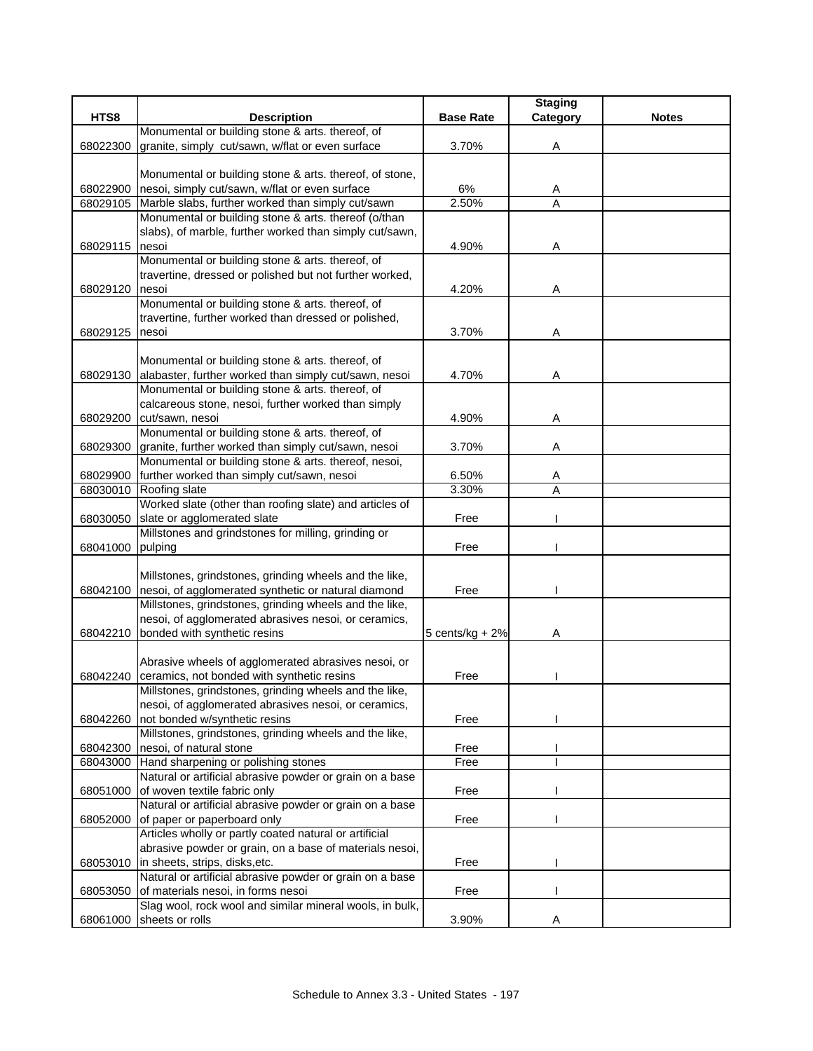|          |                                                                                                |                    | <b>Staging</b> |              |
|----------|------------------------------------------------------------------------------------------------|--------------------|----------------|--------------|
| HTS8     | <b>Description</b>                                                                             | <b>Base Rate</b>   | Category       | <b>Notes</b> |
|          | Monumental or building stone & arts. thereof, of                                               |                    |                |              |
| 68022300 | granite, simply cut/sawn, w/flat or even surface                                               | 3.70%              | Α              |              |
|          |                                                                                                |                    |                |              |
|          | Monumental or building stone & arts. thereof, of stone,                                        |                    |                |              |
| 68022900 | nesoi, simply cut/sawn, w/flat or even surface                                                 | 6%                 | Α              |              |
| 68029105 | Marble slabs, further worked than simply cut/sawn                                              | 2.50%              | A              |              |
|          | Monumental or building stone & arts. thereof (o/than                                           |                    |                |              |
|          | slabs), of marble, further worked than simply cut/sawn,                                        |                    |                |              |
| 68029115 | nesoi                                                                                          | 4.90%              | Α              |              |
|          | Monumental or building stone & arts. thereof, of                                               |                    |                |              |
|          | travertine, dressed or polished but not further worked,                                        |                    |                |              |
| 68029120 | nesoi                                                                                          | 4.20%              | Α              |              |
|          | Monumental or building stone & arts. thereof, of                                               |                    |                |              |
| 68029125 | travertine, further worked than dressed or polished,                                           | 3.70%              |                |              |
|          | nesoi                                                                                          |                    | Α              |              |
|          | Monumental or building stone & arts. thereof, of                                               |                    |                |              |
| 68029130 | alabaster, further worked than simply cut/sawn, nesoi                                          | 4.70%              | A              |              |
|          | Monumental or building stone & arts. thereof, of                                               |                    |                |              |
|          | calcareous stone, nesoi, further worked than simply                                            |                    |                |              |
| 68029200 | cut/sawn, nesoi                                                                                | 4.90%              | Α              |              |
|          | Monumental or building stone & arts. thereof, of                                               |                    |                |              |
| 68029300 | granite, further worked than simply cut/sawn, nesoi                                            | 3.70%              | Α              |              |
|          | Monumental or building stone & arts. thereof, nesoi,                                           |                    |                |              |
| 68029900 | further worked than simply cut/sawn, nesoi                                                     | 6.50%              | Α              |              |
| 68030010 | Roofing slate                                                                                  | 3.30%              | A              |              |
|          | Worked slate (other than roofing slate) and articles of                                        |                    |                |              |
| 68030050 | slate or agglomerated slate                                                                    | Free               |                |              |
|          | Millstones and grindstones for milling, grinding or                                            |                    |                |              |
| 68041000 | pulping                                                                                        | Free               |                |              |
|          |                                                                                                |                    |                |              |
|          | Millstones, grindstones, grinding wheels and the like,                                         |                    |                |              |
| 68042100 | nesoi, of agglomerated synthetic or natural diamond                                            | Free               |                |              |
|          | Millstones, grindstones, grinding wheels and the like,                                         |                    |                |              |
|          | nesoi, of agglomerated abrasives nesoi, or ceramics,                                           |                    |                |              |
| 68042210 | bonded with synthetic resins                                                                   | 5 cents/ $kg + 2%$ | Α              |              |
|          |                                                                                                |                    |                |              |
|          | Abrasive wheels of agglomerated abrasives nesoi, or                                            |                    |                |              |
| 68042240 | ceramics, not bonded with synthetic resins                                                     | Free               |                |              |
|          | Millstones, grindstones, grinding wheels and the like,                                         |                    |                |              |
|          | nesoi, of agglomerated abrasives nesoi, or ceramics,                                           |                    |                |              |
| 68042260 | not bonded w/synthetic resins                                                                  | Free               |                |              |
|          | Millstones, grindstones, grinding wheels and the like,                                         |                    |                |              |
| 68042300 | nesoi, of natural stone                                                                        | Free               |                |              |
|          | 68043000 Hand sharpening or polishing stones                                                   | Free               |                |              |
|          | Natural or artificial abrasive powder or grain on a base                                       |                    |                |              |
| 68051000 | of woven textile fabric only                                                                   | Free               |                |              |
|          | Natural or artificial abrasive powder or grain on a base                                       |                    |                |              |
| 68052000 | of paper or paperboard only                                                                    | Free               |                |              |
|          | Articles wholly or partly coated natural or artificial                                         |                    |                |              |
|          | abrasive powder or grain, on a base of materials nesoi,                                        |                    |                |              |
| 68053010 | in sheets, strips, disks, etc.<br>Natural or artificial abrasive powder or grain on a base     | Free               |                |              |
|          |                                                                                                |                    |                |              |
| 68053050 | of materials nesoi, in forms nesoi<br>Slag wool, rock wool and similar mineral wools, in bulk, | Free               |                |              |
|          | sheets or rolls                                                                                | 3.90%              |                |              |
| 68061000 |                                                                                                |                    |                |              |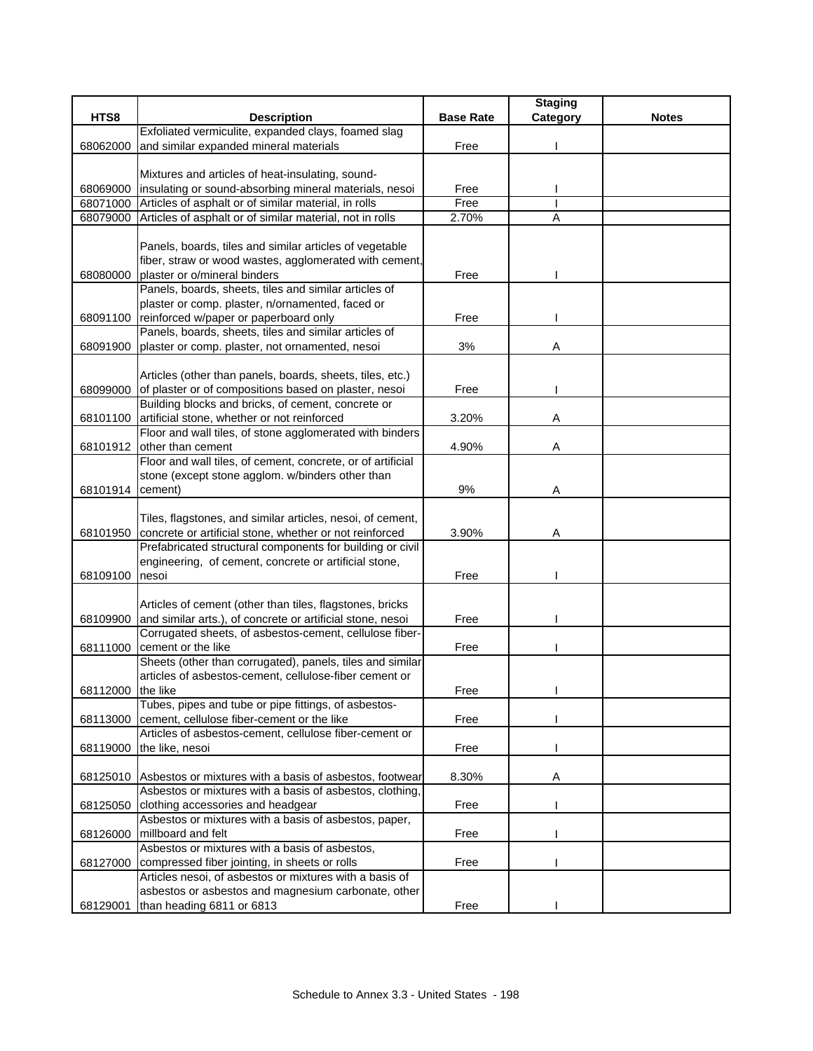|                  |                                                                                       |                  | <b>Staging</b> |              |
|------------------|---------------------------------------------------------------------------------------|------------------|----------------|--------------|
| HTS8             | <b>Description</b>                                                                    | <b>Base Rate</b> | Category       | <b>Notes</b> |
|                  | Exfoliated vermiculite, expanded clays, foamed slag                                   |                  |                |              |
| 68062000         | and similar expanded mineral materials                                                | Free             |                |              |
|                  |                                                                                       |                  |                |              |
|                  | Mixtures and articles of heat-insulating, sound-                                      |                  |                |              |
| 68069000         | insulating or sound-absorbing mineral materials, nesoi                                | Free             |                |              |
| 68071000         | Articles of asphalt or of similar material, in rolls                                  | Free             |                |              |
| 68079000         | Articles of asphalt or of similar material, not in rolls                              | 2.70%            | A              |              |
|                  |                                                                                       |                  |                |              |
|                  | Panels, boards, tiles and similar articles of vegetable                               |                  |                |              |
|                  | fiber, straw or wood wastes, agglomerated with cement,                                |                  |                |              |
| 68080000         | plaster or o/mineral binders<br>Panels, boards, sheets, tiles and similar articles of | Free             |                |              |
|                  | plaster or comp. plaster, n/ornamented, faced or                                      |                  |                |              |
| 68091100         | reinforced w/paper or paperboard only                                                 | Free             |                |              |
|                  | Panels, boards, sheets, tiles and similar articles of                                 |                  |                |              |
| 68091900         | plaster or comp. plaster, not ornamented, nesoi                                       | 3%               | Α              |              |
|                  |                                                                                       |                  |                |              |
|                  | Articles (other than panels, boards, sheets, tiles, etc.)                             |                  |                |              |
|                  | 68099000 of plaster or of compositions based on plaster, nesoi                        | Free             |                |              |
|                  | Building blocks and bricks, of cement, concrete or                                    |                  |                |              |
| 68101100         | artificial stone, whether or not reinforced                                           | 3.20%            | Α              |              |
|                  | Floor and wall tiles, of stone agglomerated with binders                              |                  |                |              |
| 68101912         | other than cement                                                                     | 4.90%            | Α              |              |
|                  | Floor and wall tiles, of cement, concrete, or of artificial                           |                  |                |              |
|                  | stone (except stone agglom. w/binders other than                                      |                  |                |              |
| 68101914 cement) |                                                                                       | 9%               | Α              |              |
|                  |                                                                                       |                  |                |              |
|                  | Tiles, flagstones, and similar articles, nesoi, of cement,                            |                  |                |              |
| 68101950         | concrete or artificial stone, whether or not reinforced                               | 3.90%            | Α              |              |
|                  | Prefabricated structural components for building or civil                             |                  |                |              |
|                  | engineering, of cement, concrete or artificial stone,                                 |                  |                |              |
| 68109100         | nesoi                                                                                 | Free             |                |              |
|                  |                                                                                       |                  |                |              |
|                  | Articles of cement (other than tiles, flagstones, bricks                              |                  |                |              |
| 68109900         | and similar arts.), of concrete or artificial stone, nesoi                            | Free             |                |              |
|                  | Corrugated sheets, of asbestos-cement, cellulose fiber-                               |                  |                |              |
| 68111000         | cement or the like<br>Sheets (other than corrugated), panels, tiles and similar       | Free             |                |              |
|                  | articles of asbestos-cement, cellulose-fiber cement or                                |                  |                |              |
| 68112000         | the like                                                                              | Free             |                |              |
|                  | Tubes, pipes and tube or pipe fittings, of asbestos-                                  |                  |                |              |
| 68113000         | cement, cellulose fiber-cement or the like                                            | Free             |                |              |
|                  | Articles of asbestos-cement, cellulose fiber-cement or                                |                  |                |              |
| 68119000         | the like, nesoi                                                                       | Free             |                |              |
|                  |                                                                                       |                  |                |              |
|                  | 68125010 Asbestos or mixtures with a basis of asbestos, footwear                      | 8.30%            | Α              |              |
|                  | Asbestos or mixtures with a basis of asbestos, clothing,                              |                  |                |              |
| 68125050         | clothing accessories and headgear                                                     | Free             |                |              |
|                  | Asbestos or mixtures with a basis of asbestos, paper,                                 |                  |                |              |
| 68126000         | millboard and felt                                                                    | Free             |                |              |
|                  | Asbestos or mixtures with a basis of asbestos,                                        |                  |                |              |
| 68127000         | compressed fiber jointing, in sheets or rolls                                         | Free             |                |              |
|                  | Articles nesoi, of asbestos or mixtures with a basis of                               |                  |                |              |
|                  | asbestos or asbestos and magnesium carbonate, other                                   |                  |                |              |
| 68129001         | than heading 6811 or 6813                                                             | Free             |                |              |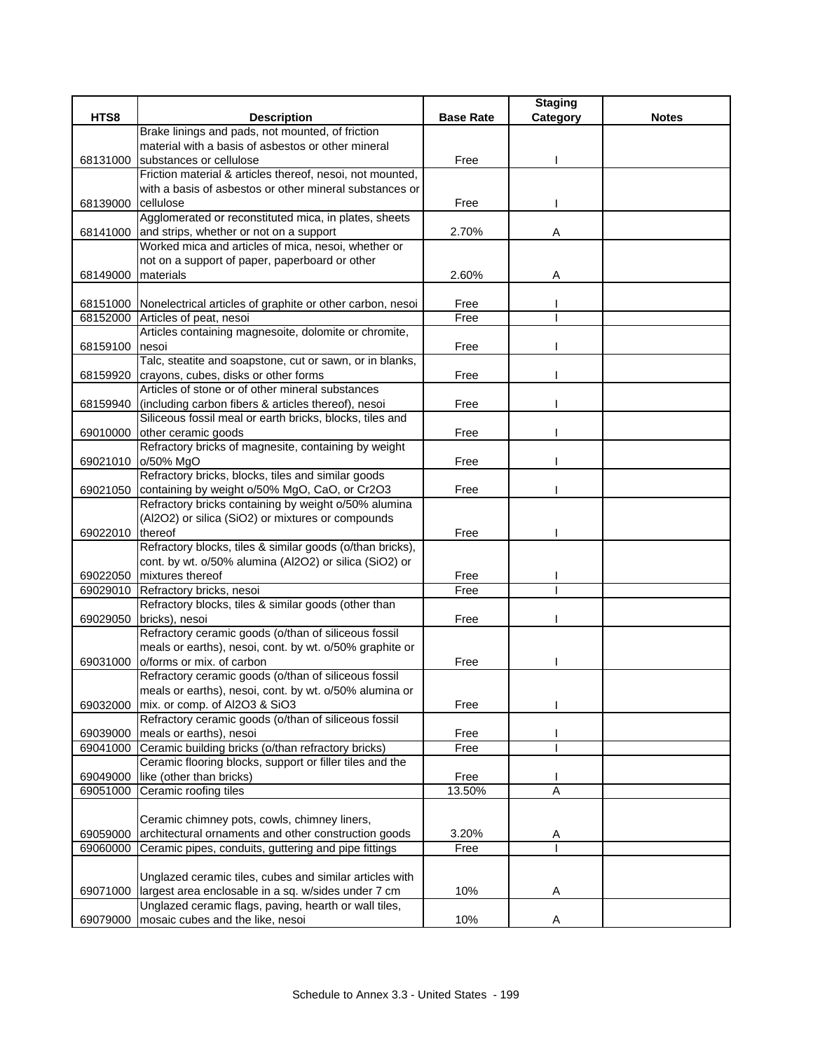|          |                                                                                       |                  | <b>Staging</b> |              |
|----------|---------------------------------------------------------------------------------------|------------------|----------------|--------------|
| HTS8     | <b>Description</b>                                                                    | <b>Base Rate</b> | Category       | <b>Notes</b> |
|          | Brake linings and pads, not mounted, of friction                                      |                  |                |              |
|          | material with a basis of asbestos or other mineral                                    |                  |                |              |
| 68131000 | substances or cellulose                                                               | Free             |                |              |
|          | Friction material & articles thereof, nesoi, not mounted,                             |                  |                |              |
|          | with a basis of asbestos or other mineral substances or                               |                  |                |              |
| 68139000 | cellulose<br>Agglomerated or reconstituted mica, in plates, sheets                    | Free             |                |              |
| 68141000 | and strips, whether or not on a support                                               | 2.70%            | Α              |              |
|          | Worked mica and articles of mica, nesoi, whether or                                   |                  |                |              |
|          | not on a support of paper, paperboard or other                                        |                  |                |              |
| 68149000 | materials                                                                             | 2.60%            | Α              |              |
|          |                                                                                       |                  |                |              |
|          | 68151000 Nonelectrical articles of graphite or other carbon, nesoi                    | Free             |                |              |
|          | 68152000 Articles of peat, nesoi                                                      | Free             |                |              |
|          | Articles containing magnesoite, dolomite or chromite,                                 |                  |                |              |
| 68159100 | nesoi                                                                                 | Free             |                |              |
|          | Talc, steatite and soapstone, cut or sawn, or in blanks,                              |                  |                |              |
| 68159920 | crayons, cubes, disks or other forms                                                  | Free             |                |              |
|          | Articles of stone or of other mineral substances                                      |                  |                |              |
| 68159940 | (including carbon fibers & articles thereof), nesoi                                   | Free             |                |              |
|          | Siliceous fossil meal or earth bricks, blocks, tiles and                              |                  |                |              |
| 69010000 | other ceramic goods                                                                   | Free             |                |              |
|          | Refractory bricks of magnesite, containing by weight<br>69021010 o/50% MgO            |                  |                |              |
|          | Refractory bricks, blocks, tiles and similar goods                                    | Free             |                |              |
| 69021050 | containing by weight o/50% MgO, CaO, or Cr2O3                                         | Free             |                |              |
|          | Refractory bricks containing by weight o/50% alumina                                  |                  |                |              |
|          | (Al2O2) or silica (SiO2) or mixtures or compounds                                     |                  |                |              |
| 69022010 | thereof                                                                               | Free             |                |              |
|          | Refractory blocks, tiles & similar goods (o/than bricks),                             |                  |                |              |
|          | cont. by wt. o/50% alumina (Al2O2) or silica (SiO2) or                                |                  |                |              |
|          | 69022050 mixtures thereof                                                             | Free             |                |              |
| 69029010 | Refractory bricks, nesoi                                                              | Free             |                |              |
|          | Refractory blocks, tiles & similar goods (other than                                  |                  |                |              |
|          | 69029050 bricks), nesoi                                                               | Free             |                |              |
|          | Refractory ceramic goods (o/than of siliceous fossil                                  |                  |                |              |
|          | meals or earths), nesoi, cont. by wt. o/50% graphite or                               |                  |                |              |
| 69031000 | o/forms or mix. of carbon                                                             | Free             |                |              |
|          | Refractory ceramic goods (o/than of siliceous fossil                                  |                  |                |              |
|          | meals or earths), nesoi, cont. by wt. o/50% alumina or                                |                  |                |              |
| 69032000 | mix. or comp. of Al2O3 & SiO3<br>Refractory ceramic goods (o/than of siliceous fossil | Free             |                |              |
| 69039000 | meals or earths), nesoi                                                               | Free             |                |              |
| 69041000 | Ceramic building bricks (o/than refractory bricks)                                    | Free             |                |              |
|          | Ceramic flooring blocks, support or filler tiles and the                              |                  |                |              |
| 69049000 | like (other than bricks)                                                              | Free             |                |              |
| 69051000 | Ceramic roofing tiles                                                                 | 13.50%           | A              |              |
|          |                                                                                       |                  |                |              |
|          | Ceramic chimney pots, cowls, chimney liners,                                          |                  |                |              |
| 69059000 | architectural ornaments and other construction goods                                  | 3.20%            | A              |              |
| 69060000 | Ceramic pipes, conduits, guttering and pipe fittings                                  | Free             |                |              |
|          |                                                                                       |                  |                |              |
|          | Unglazed ceramic tiles, cubes and similar articles with                               |                  |                |              |
| 69071000 | largest area enclosable in a sq. w/sides under 7 cm                                   | 10%              | Α              |              |
|          | Unglazed ceramic flags, paving, hearth or wall tiles,                                 |                  |                |              |
| 69079000 | mosaic cubes and the like, nesoi                                                      | 10%              | Α              |              |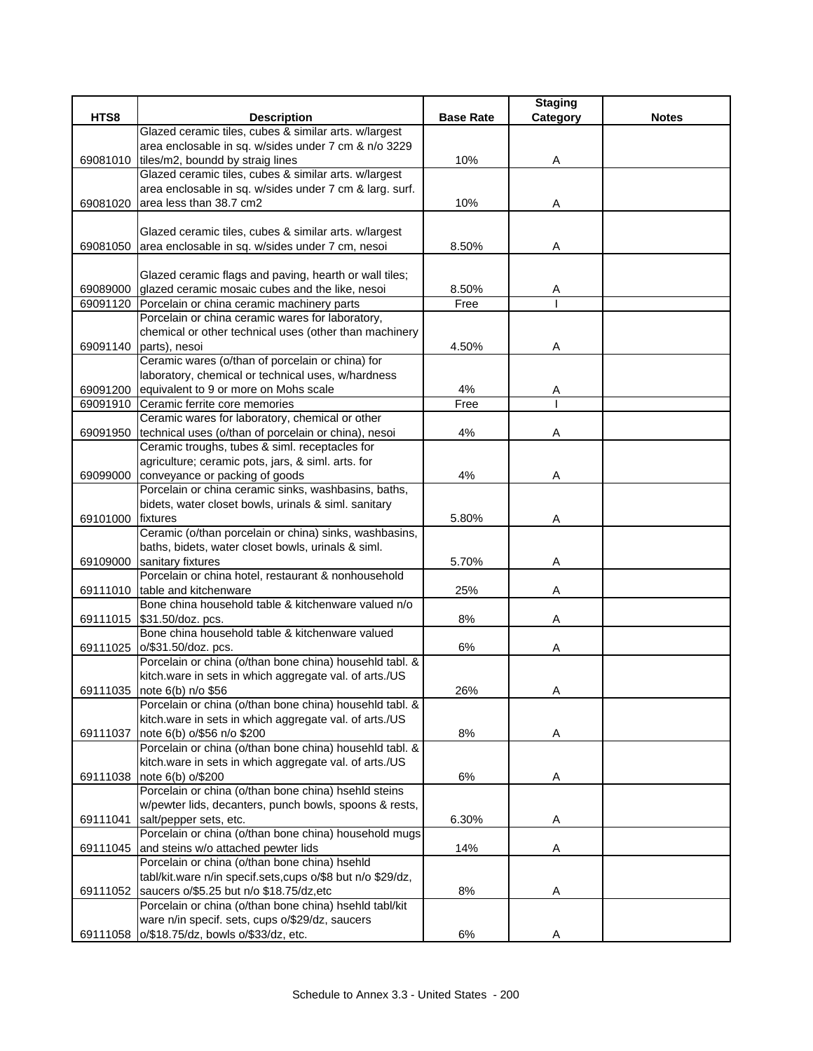|          |                                                                                 |                  | <b>Staging</b> |              |
|----------|---------------------------------------------------------------------------------|------------------|----------------|--------------|
| HTS8     | <b>Description</b>                                                              | <b>Base Rate</b> | Category       | <b>Notes</b> |
|          | Glazed ceramic tiles, cubes & similar arts. w/largest                           |                  |                |              |
|          | area enclosable in sq. w/sides under 7 cm & n/o 3229                            |                  |                |              |
| 69081010 | tiles/m2, boundd by straig lines                                                | 10%              | Α              |              |
|          | Glazed ceramic tiles, cubes & similar arts. w/largest                           |                  |                |              |
|          | area enclosable in sq. w/sides under 7 cm & larg. surf.                         |                  |                |              |
| 69081020 | area less than 38.7 cm2                                                         | 10%              | Α              |              |
|          |                                                                                 |                  |                |              |
|          | Glazed ceramic tiles, cubes & similar arts. w/largest                           |                  |                |              |
| 69081050 | area enclosable in sq. w/sides under 7 cm, nesoi                                | 8.50%            | Α              |              |
|          |                                                                                 |                  |                |              |
|          | Glazed ceramic flags and paving, hearth or wall tiles;                          |                  |                |              |
| 69089000 | glazed ceramic mosaic cubes and the like, nesoi                                 | 8.50%            | A              |              |
|          | 69091120 Porcelain or china ceramic machinery parts                             | Free             |                |              |
|          | Porcelain or china ceramic wares for laboratory,                                |                  |                |              |
|          | chemical or other technical uses (other than machinery                          |                  |                |              |
|          | 69091140 parts), nesoi<br>Ceramic wares (o/than of porcelain or china) for      | 4.50%            | Α              |              |
|          | laboratory, chemical or technical uses, w/hardness                              |                  |                |              |
|          | 69091200 equivalent to 9 or more on Mohs scale                                  | 4%               |                |              |
|          | 69091910 Ceramic ferrite core memories                                          | Free             | Α              |              |
|          | Ceramic wares for laboratory, chemical or other                                 |                  |                |              |
| 69091950 | technical uses (o/than of porcelain or china), nesoi                            | 4%               | Α              |              |
|          | Ceramic troughs, tubes & siml. receptacles for                                  |                  |                |              |
|          | agriculture; ceramic pots, jars, & siml. arts. for                              |                  |                |              |
| 69099000 | conveyance or packing of goods                                                  | 4%               | Α              |              |
|          | Porcelain or china ceramic sinks, washbasins, baths,                            |                  |                |              |
|          | bidets, water closet bowls, urinals & siml. sanitary                            |                  |                |              |
| 69101000 | fixtures                                                                        | 5.80%            | Α              |              |
|          | Ceramic (o/than porcelain or china) sinks, washbasins,                          |                  |                |              |
|          | baths, bidets, water closet bowls, urinals & siml.                              |                  |                |              |
| 69109000 | sanitary fixtures                                                               | 5.70%            | Α              |              |
|          | Porcelain or china hotel, restaurant & nonhousehold                             |                  |                |              |
| 69111010 | table and kitchenware                                                           | 25%              | Α              |              |
|          | Bone china household table & kitchenware valued n/o                             |                  |                |              |
|          | 69111015 \$31.50/doz. pcs.                                                      | 8%               | Α              |              |
|          | Bone china household table & kitchenware valued                                 |                  |                |              |
|          | 69111025 0/\$31.50/doz. pcs.                                                    | 6%               | Α              |              |
|          | Porcelain or china (o/than bone china) househld tabl. &                         |                  |                |              |
|          | kitch.ware in sets in which aggregate val. of arts./US                          |                  |                |              |
|          | 69111035 note 6(b) n/o \$56                                                     | 26%              | Α              |              |
|          | Porcelain or china (o/than bone china) househld tabl. &                         |                  |                |              |
|          | kitch.ware in sets in which aggregate val. of arts./US                          |                  |                |              |
| 69111037 | note 6(b) o/\$56 n/o \$200                                                      | 8%               | A              |              |
|          | Porcelain or china (o/than bone china) househld tabl. &                         |                  |                |              |
|          | kitch.ware in sets in which aggregate val. of arts./US                          |                  |                |              |
| 69111038 | note 6(b) o/\$200                                                               | 6%               | Α              |              |
|          | Porcelain or china (o/than bone china) hsehld steins                            |                  |                |              |
|          | w/pewter lids, decanters, punch bowls, spoons & rests,                          |                  |                |              |
| 69111041 | salt/pepper sets, etc.<br>Porcelain or china (o/than bone china) household mugs | 6.30%            | Α              |              |
|          | and steins w/o attached pewter lids                                             |                  |                |              |
| 69111045 | Porcelain or china (o/than bone china) hsehld                                   | 14%              | Α              |              |
|          | tabl/kit.ware n/in specif.sets, cups o/\$8 but n/o \$29/dz,                     |                  |                |              |
| 69111052 | saucers o/\$5.25 but n/o \$18.75/dz,etc                                         | 8%               | Α              |              |
|          | Porcelain or china (o/than bone china) hsehld tabl/kit                          |                  |                |              |
|          | ware n/in specif. sets, cups o/\$29/dz, saucers                                 |                  |                |              |
|          | 69111058 o/\$18.75/dz, bowls o/\$33/dz, etc.                                    | 6%               | Α              |              |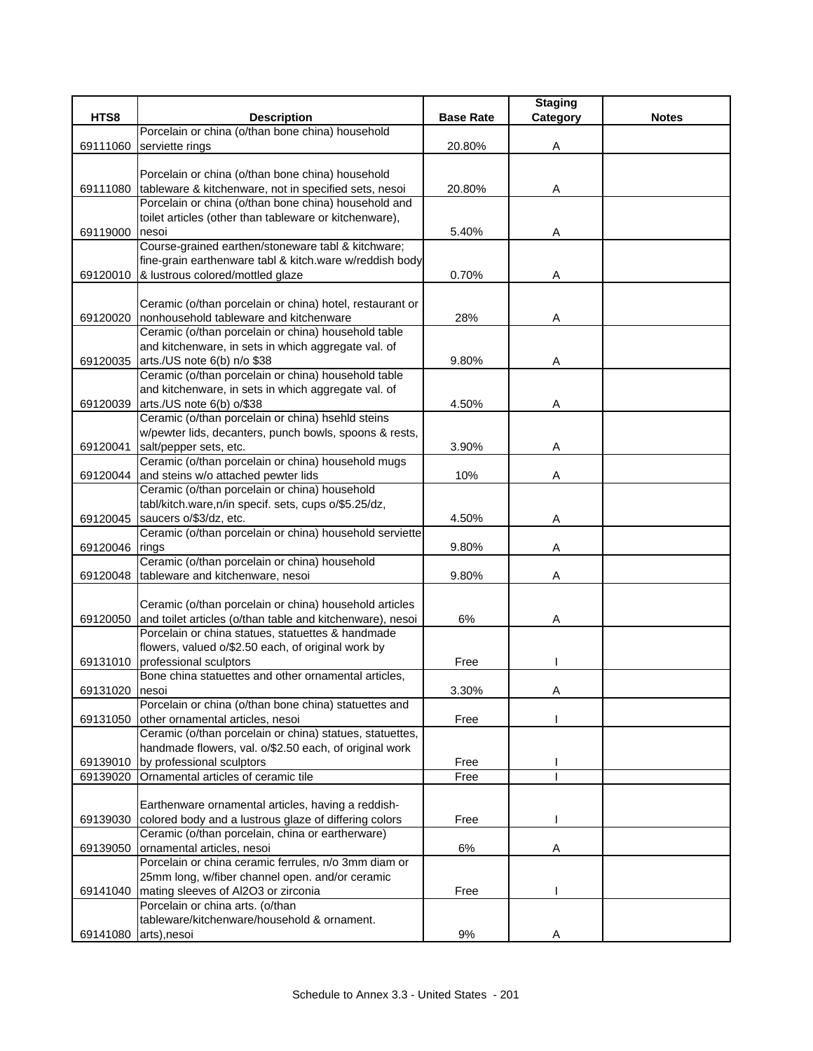|          |                                                           |                  | <b>Staging</b> |              |
|----------|-----------------------------------------------------------|------------------|----------------|--------------|
| HTS8     | <b>Description</b>                                        | <b>Base Rate</b> | Category       | <b>Notes</b> |
|          | Porcelain or china (o/than bone china) household          |                  |                |              |
| 69111060 | serviette rings                                           | 20.80%           | Α              |              |
|          |                                                           |                  |                |              |
|          | Porcelain or china (o/than bone china) household          |                  |                |              |
| 69111080 | tableware & kitchenware, not in specified sets, nesoi     | 20.80%           | Α              |              |
|          | Porcelain or china (o/than bone china) household and      |                  |                |              |
|          | toilet articles (other than tableware or kitchenware),    |                  |                |              |
| 69119000 | nesoi                                                     | 5.40%            | Α              |              |
|          | Course-grained earthen/stoneware tabl & kitchware;        |                  |                |              |
|          | fine-grain earthenware tabl & kitch.ware w/reddish body   |                  |                |              |
| 69120010 | & lustrous colored/mottled glaze                          | 0.70%            | Α              |              |
|          |                                                           |                  |                |              |
|          | Ceramic (o/than porcelain or china) hotel, restaurant or  |                  |                |              |
| 69120020 | nonhousehold tableware and kitchenware                    | 28%              | A              |              |
|          | Ceramic (o/than porcelain or china) household table       |                  |                |              |
|          | and kitchenware, in sets in which aggregate val. of       |                  |                |              |
| 69120035 | arts./US note 6(b) n/o \$38                               | 9.80%            | Α              |              |
|          | Ceramic (o/than porcelain or china) household table       |                  |                |              |
|          | and kitchenware, in sets in which aggregate val. of       |                  |                |              |
| 69120039 | arts./US note 6(b) o/\$38                                 | 4.50%            | Α              |              |
|          | Ceramic (o/than porcelain or china) hsehld steins         |                  |                |              |
|          | w/pewter lids, decanters, punch bowls, spoons & rests,    |                  |                |              |
| 69120041 | salt/pepper sets, etc.                                    | 3.90%            | Α              |              |
|          | Ceramic (o/than porcelain or china) household mugs        |                  |                |              |
| 69120044 | and steins w/o attached pewter lids                       | 10%              | Α              |              |
|          | Ceramic (o/than porcelain or china) household             |                  |                |              |
|          | tabl/kitch.ware,n/in specif. sets, cups o/\$5.25/dz,      |                  |                |              |
| 69120045 | saucers o/\$3/dz, etc.                                    | 4.50%            | Α              |              |
|          | Ceramic (o/than porcelain or china) household serviette   |                  |                |              |
| 69120046 | rings                                                     | 9.80%            | Α              |              |
|          | Ceramic (o/than porcelain or china) household             | 9.80%            |                |              |
| 69120048 | tableware and kitchenware, nesoi                          |                  | Α              |              |
|          | Ceramic (o/than porcelain or china) household articles    |                  |                |              |
| 69120050 | and toilet articles (o/than table and kitchenware), nesoi | 6%               | Α              |              |
|          | Porcelain or china statues, statuettes & handmade         |                  |                |              |
|          | flowers, valued o/\$2.50 each, of original work by        |                  |                |              |
| 69131010 | professional sculptors                                    | Free             |                |              |
|          | Bone china statuettes and other ornamental articles,      |                  |                |              |
| 69131020 | nesoi                                                     | 3.30%            | A              |              |
|          | Porcelain or china (o/than bone china) statuettes and     |                  |                |              |
| 69131050 | other ornamental articles, nesoi                          | Free             |                |              |
|          | Ceramic (o/than porcelain or china) statues, statuettes,  |                  |                |              |
|          | handmade flowers, val. o/\$2.50 each, of original work    |                  |                |              |
| 69139010 | by professional sculptors                                 | Free             |                |              |
| 69139020 | Ornamental articles of ceramic tile                       | Free             |                |              |
|          |                                                           |                  |                |              |
|          | Earthenware ornamental articles, having a reddish-        |                  |                |              |
| 69139030 | colored body and a lustrous glaze of differing colors     | Free             |                |              |
|          | Ceramic (o/than porcelain, china or eartherware)          |                  |                |              |
| 69139050 | ornamental articles, nesoi                                | 6%               | A              |              |
|          | Porcelain or china ceramic ferrules, n/o 3mm diam or      |                  |                |              |
|          | 25mm long, w/fiber channel open. and/or ceramic           |                  |                |              |
| 69141040 | mating sleeves of Al2O3 or zirconia                       | Free             |                |              |
|          | Porcelain or china arts. (o/than                          |                  |                |              |
|          | tableware/kitchenware/household & ornament.               |                  |                |              |
| 69141080 | arts), nesoi                                              | 9%               | Α              |              |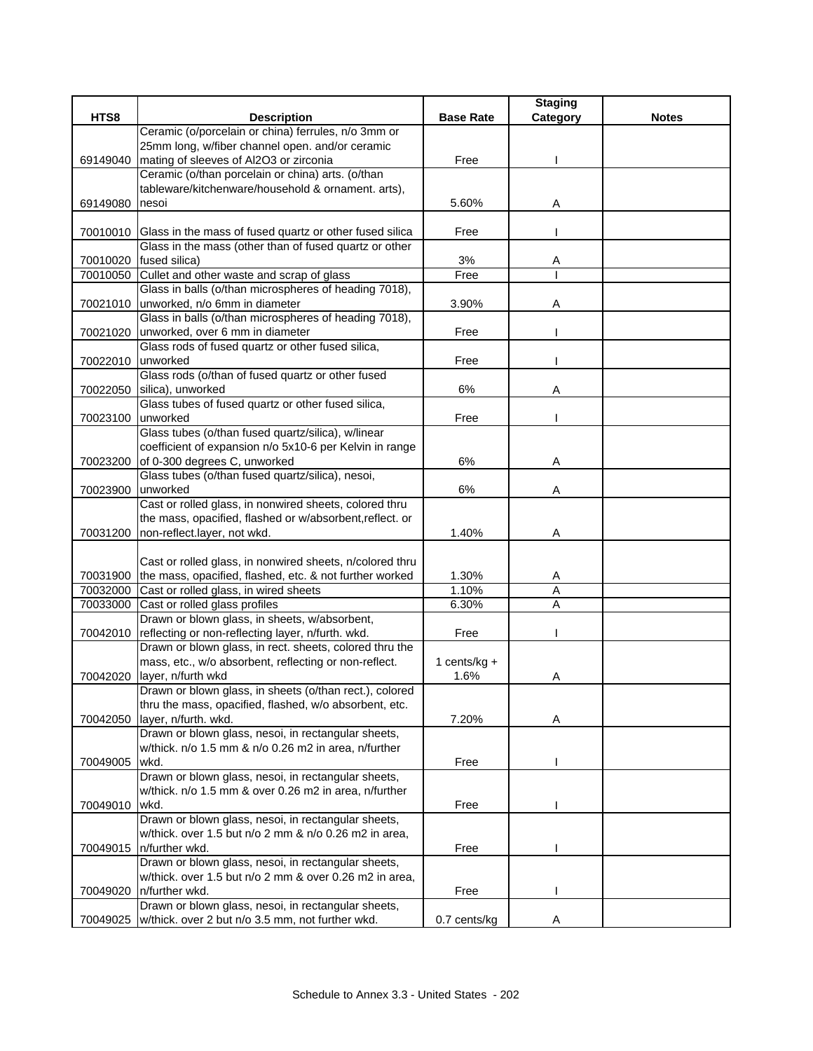|                   |                                                                                |                  | <b>Staging</b> |              |
|-------------------|--------------------------------------------------------------------------------|------------------|----------------|--------------|
| HTS8              | <b>Description</b>                                                             | <b>Base Rate</b> | Category       | <b>Notes</b> |
|                   | Ceramic (o/porcelain or china) ferrules, n/o 3mm or                            |                  |                |              |
|                   | 25mm long, w/fiber channel open. and/or ceramic                                |                  |                |              |
| 69149040          | mating of sleeves of Al2O3 or zirconia                                         | Free             |                |              |
|                   | Ceramic (o/than porcelain or china) arts. (o/than                              |                  |                |              |
| 69149080 nesoi    | tableware/kitchenware/household & ornament. arts),                             |                  |                |              |
|                   |                                                                                | 5.60%            | Α              |              |
|                   | 70010010 Glass in the mass of fused quartz or other fused silica               | Free             |                |              |
|                   | Glass in the mass (other than of fused quartz or other                         |                  |                |              |
|                   | 70010020 fused silica)                                                         | 3%               | Α              |              |
|                   | 70010050 Cullet and other waste and scrap of glass                             | Free             |                |              |
|                   | Glass in balls (o/than microspheres of heading 7018),                          |                  |                |              |
| 70021010          | unworked, n/o 6mm in diameter                                                  | 3.90%            | Α              |              |
|                   | Glass in balls (o/than microspheres of heading 7018),                          |                  |                |              |
| 70021020          | unworked, over 6 mm in diameter                                                | Free             |                |              |
|                   | Glass rods of fused quartz or other fused silica,                              |                  |                |              |
| 70022010 unworked |                                                                                | Free             |                |              |
|                   | Glass rods (o/than of fused quartz or other fused                              |                  |                |              |
|                   | 70022050 silica), unworked                                                     | 6%               | Α              |              |
| 70023100          | Glass tubes of fused quartz or other fused silica,<br>unworked                 | Free             |                |              |
|                   | Glass tubes (o/than fused quartz/silica), w/linear                             |                  |                |              |
|                   | coefficient of expansion n/o 5x10-6 per Kelvin in range                        |                  |                |              |
|                   | 70023200 of 0-300 degrees C, unworked                                          | 6%               | Α              |              |
|                   | Glass tubes (o/than fused quartz/silica), nesoi,                               |                  |                |              |
| 70023900          | unworked                                                                       | 6%               | Α              |              |
|                   | Cast or rolled glass, in nonwired sheets, colored thru                         |                  |                |              |
|                   | the mass, opacified, flashed or w/absorbent, reflect. or                       |                  |                |              |
|                   | 70031200 non-reflect.layer, not wkd.                                           | 1.40%            | Α              |              |
|                   |                                                                                |                  |                |              |
|                   | Cast or rolled glass, in nonwired sheets, n/colored thru                       |                  |                |              |
|                   | 70031900 the mass, opacified, flashed, etc. & not further worked               | 1.30%            | A              |              |
|                   | 70032000 Cast or rolled glass, in wired sheets                                 | 1.10%            | Α              |              |
| 70033000          | Cast or rolled glass profiles<br>Drawn or blown glass, in sheets, w/absorbent, | 6.30%            | Α              |              |
|                   | 70042010 reflecting or non-reflecting layer, n/furth. wkd.                     | Free             |                |              |
|                   | Drawn or blown glass, in rect. sheets, colored thru the                        |                  |                |              |
|                   | mass, etc., w/o absorbent, reflecting or non-reflect.                          | 1 cents/kg +     |                |              |
| 70042020          | layer, n/furth wkd                                                             | 1.6%             | Α              |              |
|                   | Drawn or blown glass, in sheets (o/than rect.), colored                        |                  |                |              |
|                   | thru the mass, opacified, flashed, w/o absorbent, etc.                         |                  |                |              |
| 70042050          | layer, n/furth. wkd.                                                           | 7.20%            | Α              |              |
|                   | Drawn or blown glass, nesoi, in rectangular sheets,                            |                  |                |              |
|                   | w/thick. n/o 1.5 mm & n/o 0.26 m2 in area, n/further                           |                  |                |              |
| 70049005          | wkd.                                                                           | Free             |                |              |
|                   | Drawn or blown glass, nesoi, in rectangular sheets,                            |                  |                |              |
| 70049010          | w/thick. n/o 1.5 mm & over 0.26 m2 in area, n/further<br>wkd.                  | Free             |                |              |
|                   | Drawn or blown glass, nesoi, in rectangular sheets,                            |                  |                |              |
|                   | w/thick. over 1.5 but n/o 2 mm & n/o 0.26 m2 in area,                          |                  |                |              |
| 70049015          | n/further wkd.                                                                 | Free             |                |              |
|                   | Drawn or blown glass, nesoi, in rectangular sheets,                            |                  |                |              |
|                   | w/thick. over 1.5 but n/o 2 mm & over 0.26 m2 in area,                         |                  |                |              |
| 70049020          | n/further wkd.                                                                 | Free             |                |              |
|                   | Drawn or blown glass, nesoi, in rectangular sheets,                            |                  |                |              |
| 70049025          | w/thick. over 2 but n/o 3.5 mm, not further wkd.                               | 0.7 cents/kg     |                |              |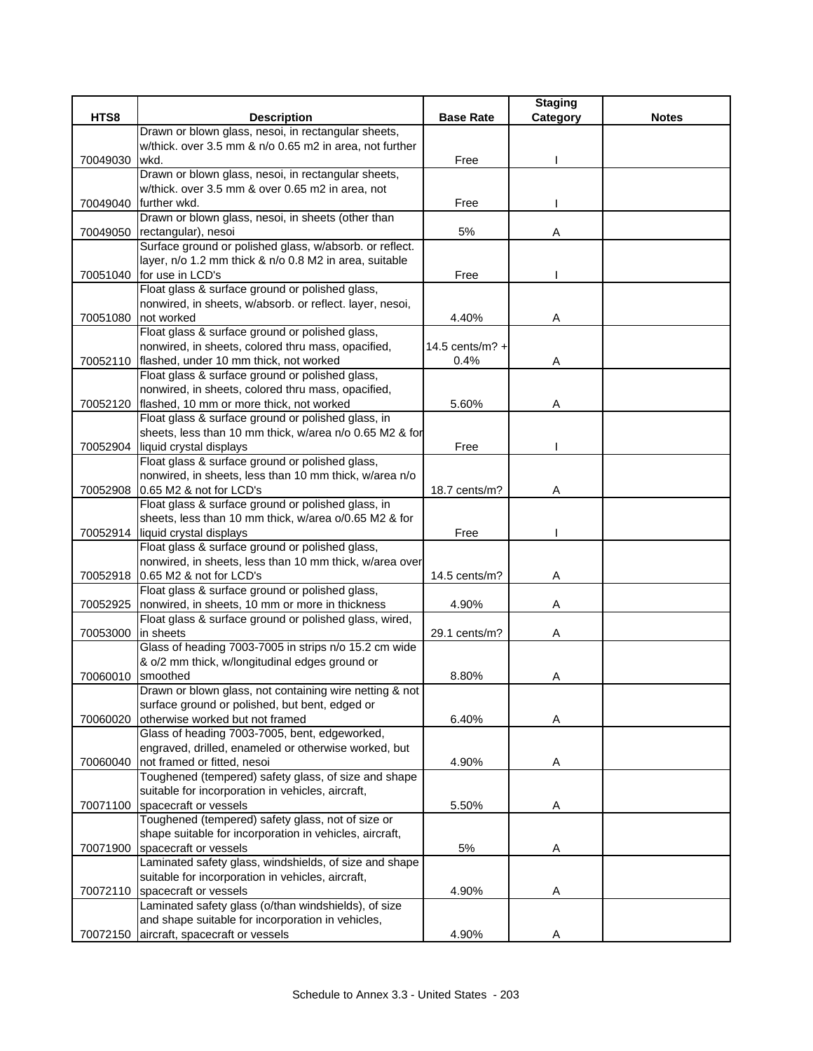|          |                                                                                     |                   | <b>Staging</b> |              |
|----------|-------------------------------------------------------------------------------------|-------------------|----------------|--------------|
| HTS8     | <b>Description</b>                                                                  | <b>Base Rate</b>  | Category       | <b>Notes</b> |
|          | Drawn or blown glass, nesoi, in rectangular sheets,                                 |                   |                |              |
|          | w/thick. over 3.5 mm & n/o 0.65 m2 in area, not further                             |                   |                |              |
| 70049030 | wkd.                                                                                | Free              |                |              |
|          | Drawn or blown glass, nesoi, in rectangular sheets,                                 |                   |                |              |
|          | w/thick. over 3.5 mm & over 0.65 m2 in area, not                                    |                   |                |              |
|          | 70049040 further wkd.                                                               | Free              |                |              |
|          | Drawn or blown glass, nesoi, in sheets (other than                                  |                   |                |              |
| 70049050 | rectangular), nesoi                                                                 | 5%                | Α              |              |
|          | Surface ground or polished glass, w/absorb. or reflect.                             |                   |                |              |
|          | layer, n/o 1.2 mm thick & n/o 0.8 M2 in area, suitable                              |                   |                |              |
|          | 70051040 for use in LCD's                                                           | Free              |                |              |
|          | Float glass & surface ground or polished glass,                                     |                   |                |              |
|          | nonwired, in sheets, w/absorb. or reflect. layer, nesoi,                            |                   |                |              |
| 70051080 | not worked                                                                          | 4.40%             | Α              |              |
|          | Float glass & surface ground or polished glass,                                     |                   |                |              |
|          | nonwired, in sheets, colored thru mass, opacified,                                  | 14.5 cents/m? $+$ |                |              |
|          | 70052110 flashed, under 10 mm thick, not worked                                     | $0.4\%$           | A              |              |
|          | Float glass & surface ground or polished glass,                                     |                   |                |              |
|          | nonwired, in sheets, colored thru mass, opacified,                                  |                   |                |              |
| 70052120 | flashed, 10 mm or more thick, not worked                                            | 5.60%             | Α              |              |
|          | Float glass & surface ground or polished glass, in                                  |                   |                |              |
|          | sheets, less than 10 mm thick, w/area n/o 0.65 M2 & for                             |                   |                |              |
|          | 70052904 liquid crystal displays                                                    | Free              |                |              |
|          | Float glass & surface ground or polished glass,                                     |                   |                |              |
|          | nonwired, in sheets, less than 10 mm thick, w/area n/o                              |                   |                |              |
| 70052908 | 0.65 M2 & not for LCD's                                                             | 18.7 cents/m?     | Α              |              |
|          | Float glass & surface ground or polished glass, in                                  |                   |                |              |
|          | sheets, less than 10 mm thick, w/area o/0.65 M2 & for                               |                   |                |              |
|          | 70052914 liquid crystal displays                                                    | Free              |                |              |
|          | Float glass & surface ground or polished glass,                                     |                   |                |              |
|          | nonwired, in sheets, less than 10 mm thick, w/area over                             |                   |                |              |
| 70052918 | 0.65 M2 & not for LCD's                                                             | 14.5 cents/m?     | Α              |              |
|          | Float glass & surface ground or polished glass,                                     |                   |                |              |
| 70052925 | nonwired, in sheets, 10 mm or more in thickness                                     | 4.90%             | Α              |              |
|          | Float glass & surface ground or polished glass, wired,                              |                   |                |              |
| 70053000 | in sheets                                                                           | 29.1 cents/m?     | Α              |              |
|          | Glass of heading 7003-7005 in strips n/o 15.2 cm wide                               |                   |                |              |
|          | & o/2 mm thick, w/longitudinal edges ground or                                      |                   |                |              |
| 70060010 | smoothed                                                                            | 8.80%             | Α              |              |
|          | Drawn or blown glass, not containing wire netting & not                             |                   |                |              |
|          | surface ground or polished, but bent, edged or                                      |                   |                |              |
| 70060020 | otherwise worked but not framed<br>Glass of heading 7003-7005, bent, edgeworked,    | 6.40%             | Α              |              |
|          |                                                                                     |                   |                |              |
| 70060040 | engraved, drilled, enameled or otherwise worked, but<br>not framed or fitted, nesoi | 4.90%             | Α              |              |
|          | Toughened (tempered) safety glass, of size and shape                                |                   |                |              |
|          | suitable for incorporation in vehicles, aircraft,                                   |                   |                |              |
| 70071100 | spacecraft or vessels                                                               | 5.50%             | Α              |              |
|          | Toughened (tempered) safety glass, not of size or                                   |                   |                |              |
|          | shape suitable for incorporation in vehicles, aircraft,                             |                   |                |              |
| 70071900 | spacecraft or vessels                                                               | 5%                | A              |              |
|          | Laminated safety glass, windshields, of size and shape                              |                   |                |              |
|          | suitable for incorporation in vehicles, aircraft,                                   |                   |                |              |
|          | 70072110 spacecraft or vessels                                                      | 4.90%             | Α              |              |
|          | Laminated safety glass (o/than windshields), of size                                |                   |                |              |
|          | and shape suitable for incorporation in vehicles,                                   |                   |                |              |
|          | 70072150 aircraft, spacecraft or vessels                                            | 4.90%             | A              |              |
|          |                                                                                     |                   |                |              |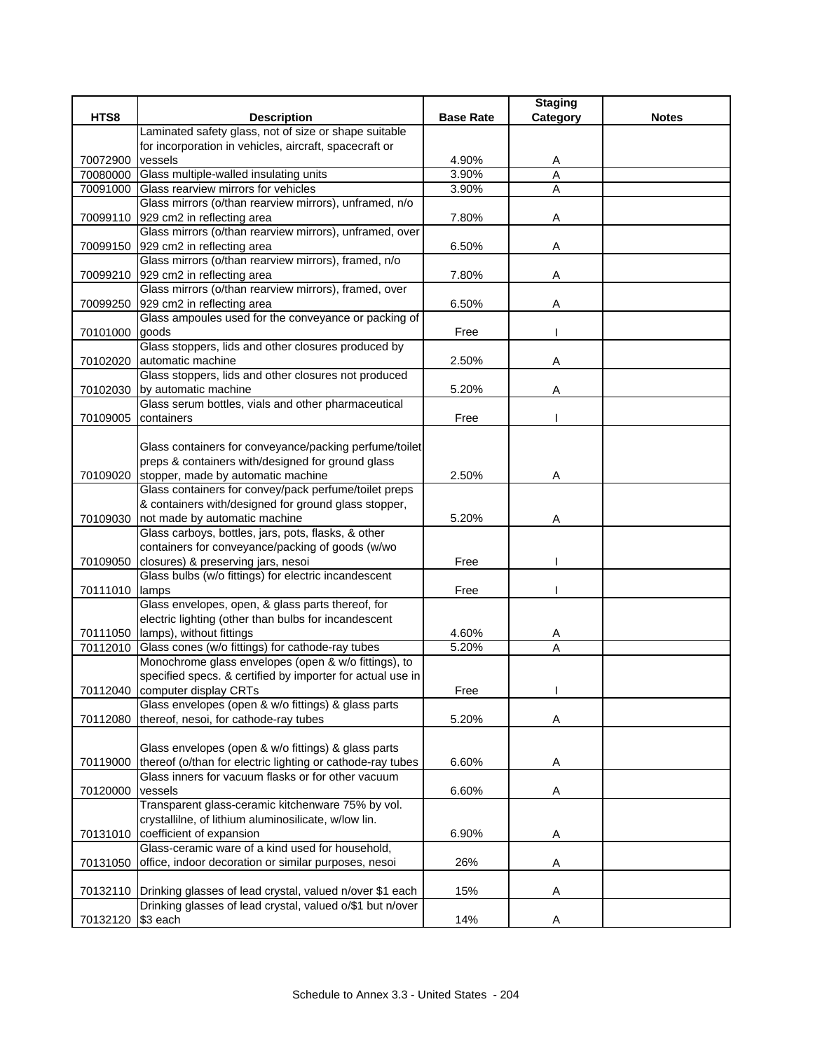|                      |                                                                                                               |                  | <b>Staging</b>      |              |
|----------------------|---------------------------------------------------------------------------------------------------------------|------------------|---------------------|--------------|
| HTS8                 | <b>Description</b>                                                                                            | <b>Base Rate</b> | Category            | <b>Notes</b> |
|                      | Laminated safety glass, not of size or shape suitable                                                         |                  |                     |              |
|                      | for incorporation in vehicles, aircraft, spacecraft or                                                        |                  |                     |              |
| 70072900             | vessels                                                                                                       | 4.90%<br>3.90%   | A<br>$\overline{A}$ |              |
| 70080000<br>70091000 | Glass multiple-walled insulating units<br>Glass rearview mirrors for vehicles                                 | 3.90%            | $\overline{A}$      |              |
|                      | Glass mirrors (o/than rearview mirrors), unframed, n/o                                                        |                  |                     |              |
| 70099110             | 929 cm2 in reflecting area                                                                                    | 7.80%            | A                   |              |
|                      | Glass mirrors (o/than rearview mirrors), unframed, over                                                       |                  |                     |              |
| 70099150             | 929 cm2 in reflecting area                                                                                    | 6.50%            | Α                   |              |
|                      | Glass mirrors (o/than rearview mirrors), framed, n/o                                                          |                  |                     |              |
| 70099210             | 929 cm2 in reflecting area                                                                                    | 7.80%            | Α                   |              |
|                      | Glass mirrors (o/than rearview mirrors), framed, over                                                         |                  |                     |              |
| 70099250             | 929 cm2 in reflecting area                                                                                    | 6.50%            | Α                   |              |
|                      | Glass ampoules used for the conveyance or packing of                                                          |                  |                     |              |
| 70101000             | goods                                                                                                         | Free             |                     |              |
|                      | Glass stoppers, lids and other closures produced by                                                           |                  |                     |              |
| 70102020             | automatic machine                                                                                             | 2.50%            | Α                   |              |
|                      | Glass stoppers, lids and other closures not produced                                                          |                  |                     |              |
| 70102030             | by automatic machine                                                                                          | 5.20%            | A                   |              |
|                      | Glass serum bottles, vials and other pharmaceutical                                                           |                  |                     |              |
| 70109005             | containers                                                                                                    | Free             |                     |              |
|                      |                                                                                                               |                  |                     |              |
|                      | Glass containers for conveyance/packing perfume/toilet                                                        |                  |                     |              |
|                      | preps & containers with/designed for ground glass                                                             |                  |                     |              |
| 70109020             | stopper, made by automatic machine                                                                            | 2.50%            | Α                   |              |
|                      | Glass containers for convey/pack perfume/toilet preps<br>& containers with/designed for ground glass stopper, |                  |                     |              |
| 70109030             | not made by automatic machine                                                                                 | 5.20%            | Α                   |              |
|                      | Glass carboys, bottles, jars, pots, flasks, & other                                                           |                  |                     |              |
|                      | containers for conveyance/packing of goods (w/wo                                                              |                  |                     |              |
| 70109050             | closures) & preserving jars, nesoi                                                                            | Free             |                     |              |
|                      | Glass bulbs (w/o fittings) for electric incandescent                                                          |                  |                     |              |
| 70111010             | lamps                                                                                                         | Free             |                     |              |
|                      | Glass envelopes, open, & glass parts thereof, for                                                             |                  |                     |              |
|                      | electric lighting (other than bulbs for incandescent                                                          |                  |                     |              |
| 70111050             | lamps), without fittings                                                                                      | 4.60%            | A                   |              |
| 70112010             | Glass cones (w/o fittings) for cathode-ray tubes                                                              | 5.20%            | Α                   |              |
|                      | Monochrome glass envelopes (open & w/o fittings), to                                                          |                  |                     |              |
|                      | specified specs. & certified by importer for actual use in                                                    |                  |                     |              |
|                      | 70112040 computer display CRTs                                                                                | Free             |                     |              |
|                      | Glass envelopes (open & w/o fittings) & glass parts                                                           |                  |                     |              |
| 70112080             | thereof, nesoi, for cathode-ray tubes                                                                         | 5.20%            | Α                   |              |
|                      |                                                                                                               |                  |                     |              |
|                      | Glass envelopes (open & w/o fittings) & glass parts                                                           |                  |                     |              |
| 70119000             | thereof (o/than for electric lighting or cathode-ray tubes                                                    | 6.60%            | Α                   |              |
|                      | Glass inners for vacuum flasks or for other vacuum                                                            |                  |                     |              |
| 70120000             | vessels<br>Transparent glass-ceramic kitchenware 75% by vol.                                                  | 6.60%            | Α                   |              |
|                      | crystallilne, of lithium aluminosilicate, w/low lin.                                                          |                  |                     |              |
| 70131010             | coefficient of expansion                                                                                      | 6.90%            | A                   |              |
|                      | Glass-ceramic ware of a kind used for household,                                                              |                  |                     |              |
| 70131050             | office, indoor decoration or similar purposes, nesoi                                                          | 26%              | Α                   |              |
|                      |                                                                                                               |                  |                     |              |
| 70132110             | Drinking glasses of lead crystal, valued n/over \$1 each                                                      | 15%              | Α                   |              |
|                      | Drinking glasses of lead crystal, valued o/\$1 but n/over                                                     |                  |                     |              |
| 70132120             | \$3 each                                                                                                      | 14%              | Α                   |              |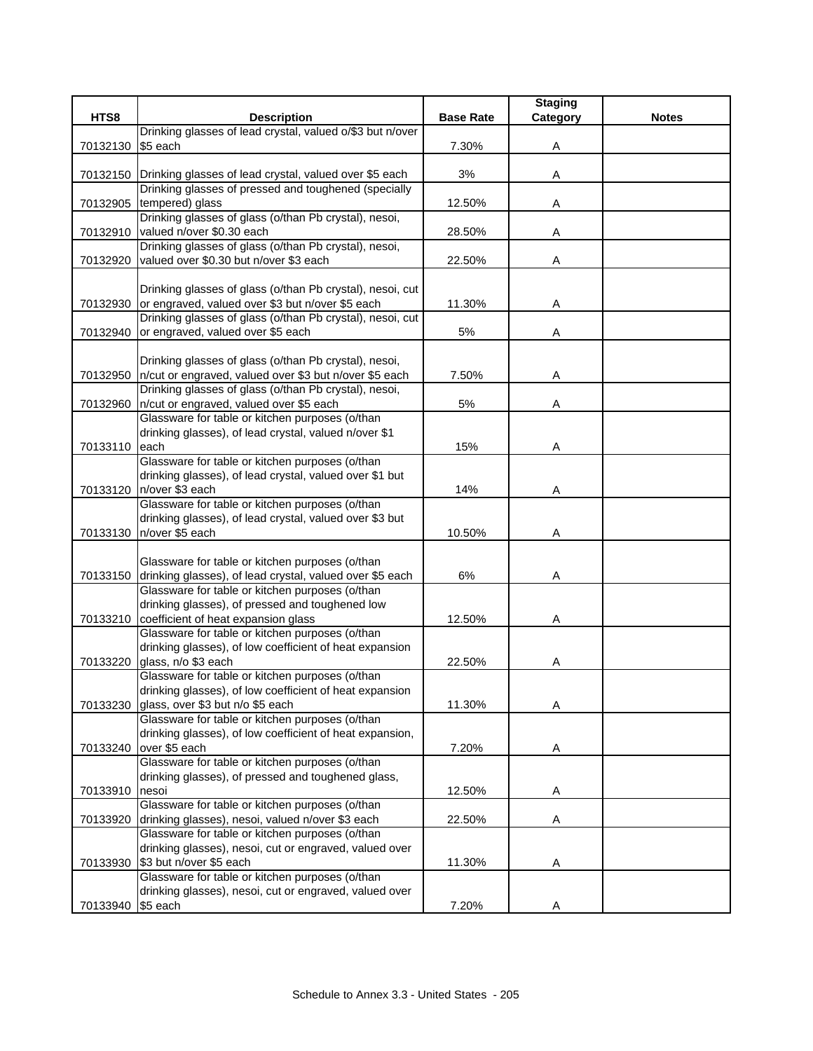|                   |                                                                  |                  | <b>Staging</b> |              |
|-------------------|------------------------------------------------------------------|------------------|----------------|--------------|
| HTS8              | <b>Description</b>                                               | <b>Base Rate</b> | Category       | <b>Notes</b> |
|                   | Drinking glasses of lead crystal, valued o/\$3 but n/over        |                  |                |              |
| 70132130          | \$5 each                                                         | 7.30%            | Α              |              |
|                   |                                                                  |                  |                |              |
|                   | 70132150 Drinking glasses of lead crystal, valued over \$5 each  | 3%               | Α              |              |
|                   | Drinking glasses of pressed and toughened (specially             |                  |                |              |
| 70132905          | tempered) glass                                                  | 12.50%           | Α              |              |
|                   | Drinking glasses of glass (o/than Pb crystal), nesoi,            |                  |                |              |
| 70132910          | valued n/over \$0.30 each                                        | 28.50%           | A              |              |
|                   | Drinking glasses of glass (o/than Pb crystal), nesoi,            |                  |                |              |
| 70132920          | valued over \$0.30 but n/over \$3 each                           | 22.50%           | Α              |              |
|                   |                                                                  |                  |                |              |
|                   | Drinking glasses of glass (o/than Pb crystal), nesoi, cut        |                  |                |              |
|                   | 70132930 or engraved, valued over \$3 but n/over \$5 each        | 11.30%           | A              |              |
|                   | Drinking glasses of glass (o/than Pb crystal), nesoi, cut        |                  |                |              |
| 70132940          | or engraved, valued over \$5 each                                | 5%               | Α              |              |
|                   |                                                                  |                  |                |              |
|                   | Drinking glasses of glass (o/than Pb crystal), nesoi,            |                  |                |              |
|                   | 70132950  n/cut or engraved, valued over \$3 but n/over \$5 each | 7.50%            |                |              |
|                   | Drinking glasses of glass (o/than Pb crystal), nesoi,            |                  | Α              |              |
|                   | 70132960   n/cut or engraved, valued over \$5 each               | 5%               |                |              |
|                   | Glassware for table or kitchen purposes (o/than                  |                  | Α              |              |
|                   |                                                                  |                  |                |              |
|                   | drinking glasses), of lead crystal, valued n/over \$1            |                  |                |              |
| 70133110          | each                                                             | 15%              | Α              |              |
|                   | Glassware for table or kitchen purposes (o/than                  |                  |                |              |
|                   | drinking glasses), of lead crystal, valued over \$1 but          |                  |                |              |
| 70133120          | n/over \$3 each                                                  | 14%              | Α              |              |
|                   | Glassware for table or kitchen purposes (o/than                  |                  |                |              |
|                   | drinking glasses), of lead crystal, valued over \$3 but          |                  |                |              |
| 70133130          | n/over \$5 each                                                  | 10.50%           | Α              |              |
|                   |                                                                  |                  |                |              |
|                   | Glassware for table or kitchen purposes (o/than                  |                  |                |              |
| 70133150          | drinking glasses), of lead crystal, valued over \$5 each         | 6%               | Α              |              |
|                   | Glassware for table or kitchen purposes (o/than                  |                  |                |              |
|                   | drinking glasses), of pressed and toughened low                  |                  |                |              |
| 70133210          | coefficient of heat expansion glass                              | 12.50%           | Α              |              |
|                   | Glassware for table or kitchen purposes (o/than                  |                  |                |              |
|                   | drinking glasses), of low coefficient of heat expansion          |                  |                |              |
| 70133220          | glass, n/o \$3 each                                              | 22.50%           | Α              |              |
|                   | Glassware for table or kitchen purposes (o/than                  |                  |                |              |
|                   | drinking glasses), of low coefficient of heat expansion          |                  |                |              |
| 70133230          | glass, over \$3 but n/o \$5 each                                 | 11.30%           | Α              |              |
|                   | Glassware for table or kitchen purposes (o/than                  |                  |                |              |
|                   | drinking glasses), of low coefficient of heat expansion,         |                  |                |              |
| 70133240          | over \$5 each                                                    | 7.20%            | Α              |              |
|                   | Glassware for table or kitchen purposes (o/than                  |                  |                |              |
|                   | drinking glasses), of pressed and toughened glass,               |                  |                |              |
| 70133910          | nesoi                                                            | 12.50%           | Α              |              |
|                   | Glassware for table or kitchen purposes (o/than                  |                  |                |              |
| 70133920          | drinking glasses), nesoi, valued n/over \$3 each                 | 22.50%           | Α              |              |
|                   | Glassware for table or kitchen purposes (o/than                  |                  |                |              |
|                   | drinking glasses), nesoi, cut or engraved, valued over           |                  |                |              |
| 70133930          | \$3 but n/over \$5 each                                          | 11.30%           | A              |              |
|                   | Glassware for table or kitchen purposes (o/than                  |                  |                |              |
|                   | drinking glasses), nesoi, cut or engraved, valued over           |                  |                |              |
| 70133940 \$5 each |                                                                  | 7.20%            | Α              |              |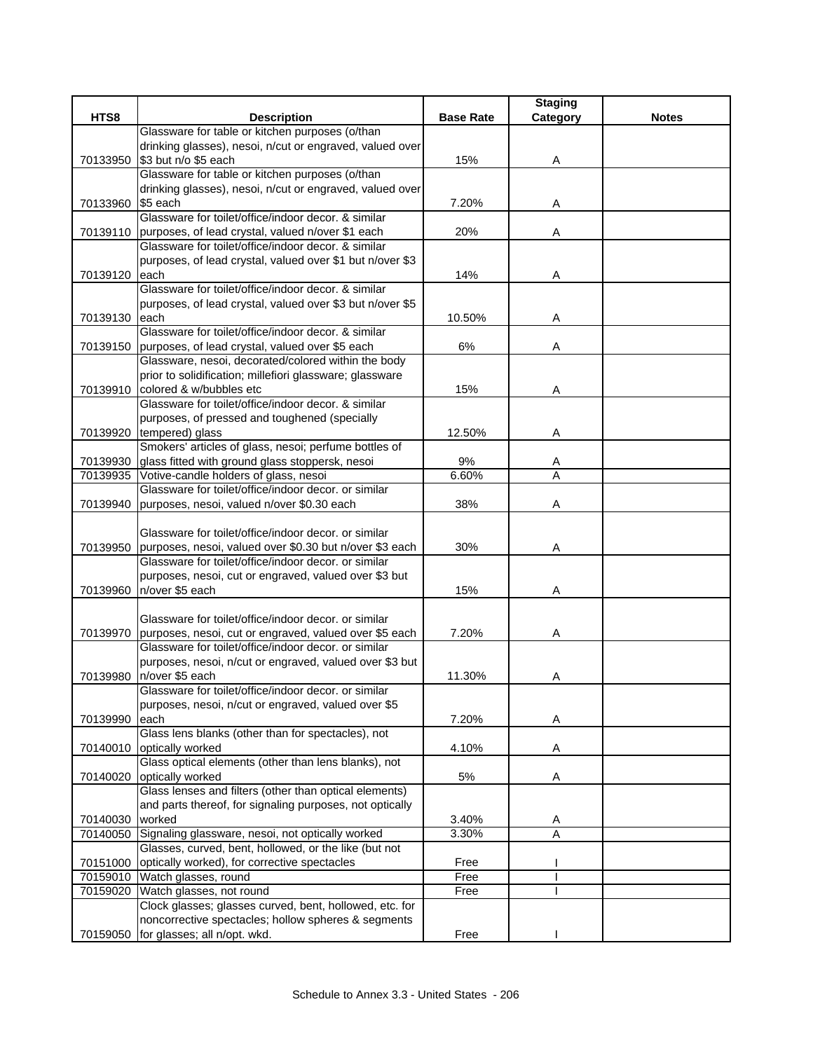|                   |                                                                 |                  | <b>Staging</b> |              |
|-------------------|-----------------------------------------------------------------|------------------|----------------|--------------|
| HTS8              | <b>Description</b>                                              | <b>Base Rate</b> | Category       | <b>Notes</b> |
|                   | Glassware for table or kitchen purposes (o/than                 |                  |                |              |
|                   | drinking glasses), nesoi, n/cut or engraved, valued over        |                  |                |              |
| 70133950          | \$3 but n/o \$5 each                                            | 15%              | Α              |              |
|                   | Glassware for table or kitchen purposes (o/than                 |                  |                |              |
|                   | drinking glasses), nesoi, n/cut or engraved, valued over        |                  |                |              |
| 70133960 \$5 each |                                                                 | 7.20%            | Α              |              |
|                   | Glassware for toilet/office/indoor decor. & similar             |                  |                |              |
|                   | 70139110 purposes, of lead crystal, valued n/over \$1 each      | 20%              | Α              |              |
|                   | Glassware for toilet/office/indoor decor. & similar             |                  |                |              |
|                   | purposes, of lead crystal, valued over \$1 but n/over \$3       |                  |                |              |
| 70139120          | each                                                            | 14%              | Α              |              |
|                   | Glassware for toilet/office/indoor decor. & similar             |                  |                |              |
|                   | purposes, of lead crystal, valued over \$3 but n/over \$5       |                  |                |              |
| 70139130 each     |                                                                 | 10.50%           | Α              |              |
|                   | Glassware for toilet/office/indoor decor. & similar             |                  |                |              |
|                   | 70139150 purposes, of lead crystal, valued over \$5 each        | 6%               | Α              |              |
|                   | Glassware, nesoi, decorated/colored within the body             |                  |                |              |
|                   | prior to solidification; millefiori glassware; glassware        |                  |                |              |
|                   | 70139910 colored & w/bubbles etc                                | 15%              | Α              |              |
|                   | Glassware for toilet/office/indoor decor. & similar             |                  |                |              |
|                   | purposes, of pressed and toughened (specially                   |                  |                |              |
|                   | 70139920 tempered) glass                                        | 12.50%           | Α              |              |
|                   | Smokers' articles of glass, nesoi; perfume bottles of           |                  |                |              |
|                   | 70139930 glass fitted with ground glass stoppersk, nesoi        | 9%               | A              |              |
| 70139935          | Votive-candle holders of glass, nesoi                           | 6.60%            | A              |              |
|                   | Glassware for toilet/office/indoor decor, or similar            |                  |                |              |
| 70139940          | purposes, nesoi, valued n/over \$0.30 each                      | 38%              | Α              |              |
|                   |                                                                 |                  |                |              |
|                   | Glassware for toilet/office/indoor decor. or similar            |                  |                |              |
| 70139950          | purposes, nesoi, valued over \$0.30 but n/over \$3 each         | 30%              | Α              |              |
|                   | Glassware for toilet/office/indoor decor. or similar            |                  |                |              |
|                   | purposes, nesoi, cut or engraved, valued over \$3 but           |                  |                |              |
| 70139960          | n/over \$5 each                                                 | 15%              | Α              |              |
|                   |                                                                 |                  |                |              |
|                   | Glassware for toilet/office/indoor decor, or similar            |                  |                |              |
|                   | 70139970 purposes, nesoi, cut or engraved, valued over \$5 each | 7.20%            | Α              |              |
|                   | Glassware for toilet/office/indoor decor, or similar            |                  |                |              |
|                   | purposes, nesoi, n/cut or engraved, valued over \$3 but         |                  |                |              |
| 70139980          | n/over \$5 each                                                 | 11.30%           | Α              |              |
|                   | Glassware for toilet/office/indoor decor. or similar            |                  |                |              |
|                   | purposes, nesoi, n/cut or engraved, valued over \$5             |                  |                |              |
| 70139990          | each                                                            | 7.20%            | Α              |              |
|                   | Glass lens blanks (other than for spectacles), not              |                  |                |              |
|                   | 70140010 optically worked                                       | 4.10%            | Α              |              |
|                   | Glass optical elements (other than lens blanks), not            |                  |                |              |
| 70140020          | optically worked                                                | 5%               | Α              |              |
|                   | Glass lenses and filters (other than optical elements)          |                  |                |              |
|                   | and parts thereof, for signaling purposes, not optically        |                  |                |              |
| 70140030          | worked                                                          | 3.40%            | Α              |              |
| 70140050          | Signaling glassware, nesoi, not optically worked                | 3.30%            | $\overline{A}$ |              |
|                   | Glasses, curved, bent, hollowed, or the like (but not           |                  |                |              |
| 70151000          | optically worked), for corrective spectacles                    | Free             |                |              |
| 70159010          | Watch glasses, round                                            | Free             |                |              |
|                   | 70159020 Watch glasses, not round                               | Free             |                |              |
|                   | Clock glasses; glasses curved, bent, hollowed, etc. for         |                  |                |              |
|                   | noncorrective spectacles; hollow spheres & segments             |                  |                |              |
|                   | 70159050 for glasses; all n/opt. wkd.                           | Free             |                |              |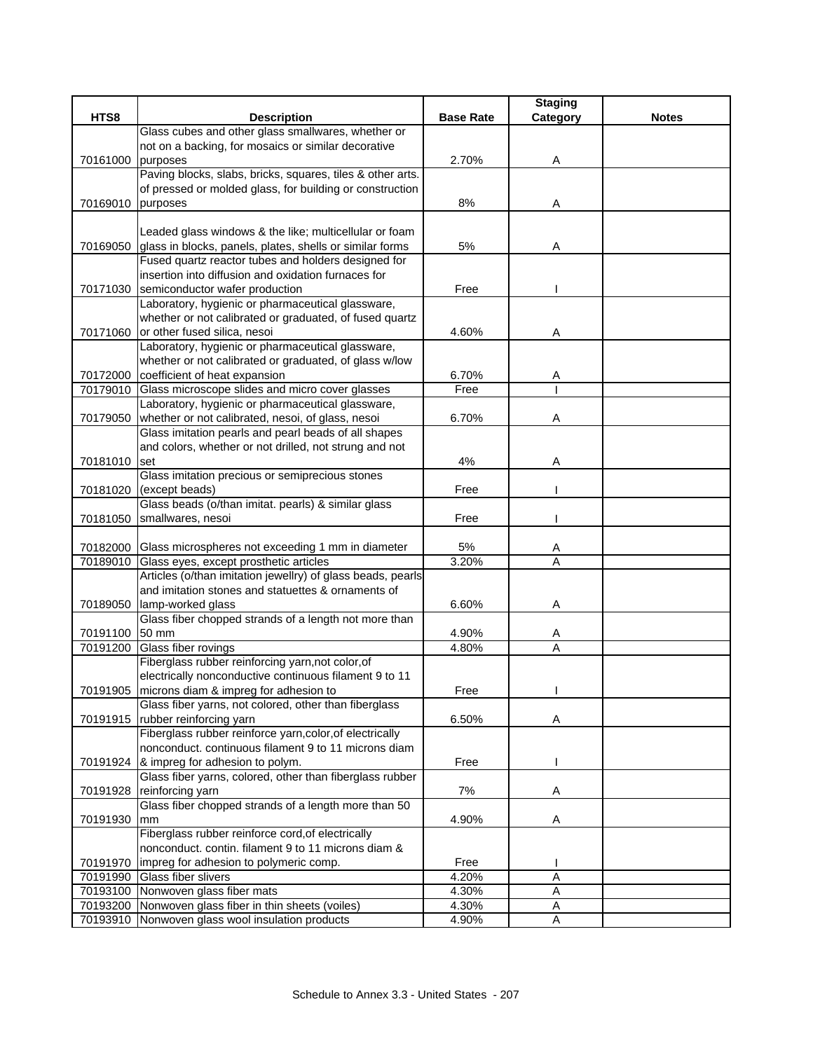|                   |                                                                                                                        |                  | <b>Staging</b> |              |
|-------------------|------------------------------------------------------------------------------------------------------------------------|------------------|----------------|--------------|
| HTS8              | <b>Description</b>                                                                                                     | <b>Base Rate</b> | Category       | <b>Notes</b> |
|                   | Glass cubes and other glass smallwares, whether or                                                                     |                  |                |              |
|                   | not on a backing, for mosaics or similar decorative                                                                    |                  |                |              |
| 70161000          | purposes                                                                                                               | 2.70%            | Α              |              |
|                   | Paving blocks, slabs, bricks, squares, tiles & other arts.<br>of pressed or molded glass, for building or construction |                  |                |              |
| 70169010 purposes |                                                                                                                        | 8%               | Α              |              |
|                   |                                                                                                                        |                  |                |              |
|                   | Leaded glass windows & the like; multicellular or foam                                                                 |                  |                |              |
|                   | 70169050 glass in blocks, panels, plates, shells or similar forms                                                      | 5%               | Α              |              |
|                   | Fused quartz reactor tubes and holders designed for                                                                    |                  |                |              |
|                   | insertion into diffusion and oxidation furnaces for                                                                    |                  |                |              |
|                   | 70171030 semiconductor wafer production                                                                                | Free             |                |              |
|                   | Laboratory, hygienic or pharmaceutical glassware,                                                                      |                  |                |              |
|                   | whether or not calibrated or graduated, of fused quartz                                                                |                  |                |              |
|                   | 70171060 or other fused silica, nesoi                                                                                  | 4.60%            | Α              |              |
|                   | Laboratory, hygienic or pharmaceutical glassware,                                                                      |                  |                |              |
|                   | whether or not calibrated or graduated, of glass w/low                                                                 |                  |                |              |
| 70172000          | coefficient of heat expansion                                                                                          | 6.70%            | A              |              |
| 70179010          | Glass microscope slides and micro cover glasses                                                                        | Free             |                |              |
|                   | Laboratory, hygienic or pharmaceutical glassware,                                                                      |                  |                |              |
| 70179050          | whether or not calibrated, nesoi, of glass, nesoi                                                                      | 6.70%            | Α              |              |
|                   | Glass imitation pearls and pearl beads of all shapes                                                                   |                  |                |              |
|                   | and colors, whether or not drilled, not strung and not                                                                 |                  |                |              |
| 70181010          | <b>set</b>                                                                                                             | 4%               | Α              |              |
|                   | Glass imitation precious or semiprecious stones                                                                        |                  |                |              |
| 70181020          | (except beads)                                                                                                         | Free             |                |              |
|                   | Glass beads (o/than imitat. pearls) & similar glass                                                                    |                  |                |              |
| 70181050          | smallwares, nesoi                                                                                                      | Free             |                |              |
|                   | 70182000 Glass microspheres not exceeding 1 mm in diameter                                                             | 5%               | Α              |              |
| 70189010          | Glass eyes, except prosthetic articles                                                                                 | 3.20%            | A              |              |
|                   | Articles (o/than imitation jewellry) of glass beads, pearls                                                            |                  |                |              |
|                   | and imitation stones and statuettes & ornaments of                                                                     |                  |                |              |
| 70189050          | lamp-worked glass                                                                                                      | 6.60%            | Α              |              |
|                   | Glass fiber chopped strands of a length not more than                                                                  |                  |                |              |
| 70191100          | 50 mm                                                                                                                  | 4.90%            | A              |              |
| 70191200          | Glass fiber rovings                                                                                                    | 4.80%            | Α              |              |
|                   | Fiberglass rubber reinforcing yarn, not color, of                                                                      |                  |                |              |
|                   | electrically nonconductive continuous filament 9 to 11                                                                 |                  |                |              |
|                   | 70191905 microns diam & impreg for adhesion to                                                                         | Free             |                |              |
|                   | Glass fiber yarns, not colored, other than fiberglass                                                                  |                  |                |              |
|                   | 70191915   rubber reinforcing yarn                                                                                     | 6.50%            | Α              |              |
|                   | Fiberglass rubber reinforce yarn, color, of electrically                                                               |                  |                |              |
|                   | nonconduct. continuous filament 9 to 11 microns diam                                                                   |                  |                |              |
|                   | 70191924 & impreg for adhesion to polym.<br>Glass fiber yarns, colored, other than fiberglass rubber                   | Free             |                |              |
|                   |                                                                                                                        |                  |                |              |
| 70191928          | reinforcing yarn<br>Glass fiber chopped strands of a length more than 50                                               | 7%               | Α              |              |
| 70191930          | mm                                                                                                                     | 4.90%            | Α              |              |
|                   | Fiberglass rubber reinforce cord, of electrically                                                                      |                  |                |              |
|                   | nonconduct. contin. filament 9 to 11 microns diam &                                                                    |                  |                |              |
| 70191970          | impreg for adhesion to polymeric comp.                                                                                 | Free             |                |              |
| 70191990          | Glass fiber slivers                                                                                                    | 4.20%            | Α              |              |
|                   | 70193100 Nonwoven glass fiber mats                                                                                     | 4.30%            | Α              |              |
|                   | 70193200 Nonwoven glass fiber in thin sheets (voiles)                                                                  | 4.30%            | Α              |              |
| 70193910          | Nonwoven glass wool insulation products                                                                                | 4.90%            | $\mathsf A$    |              |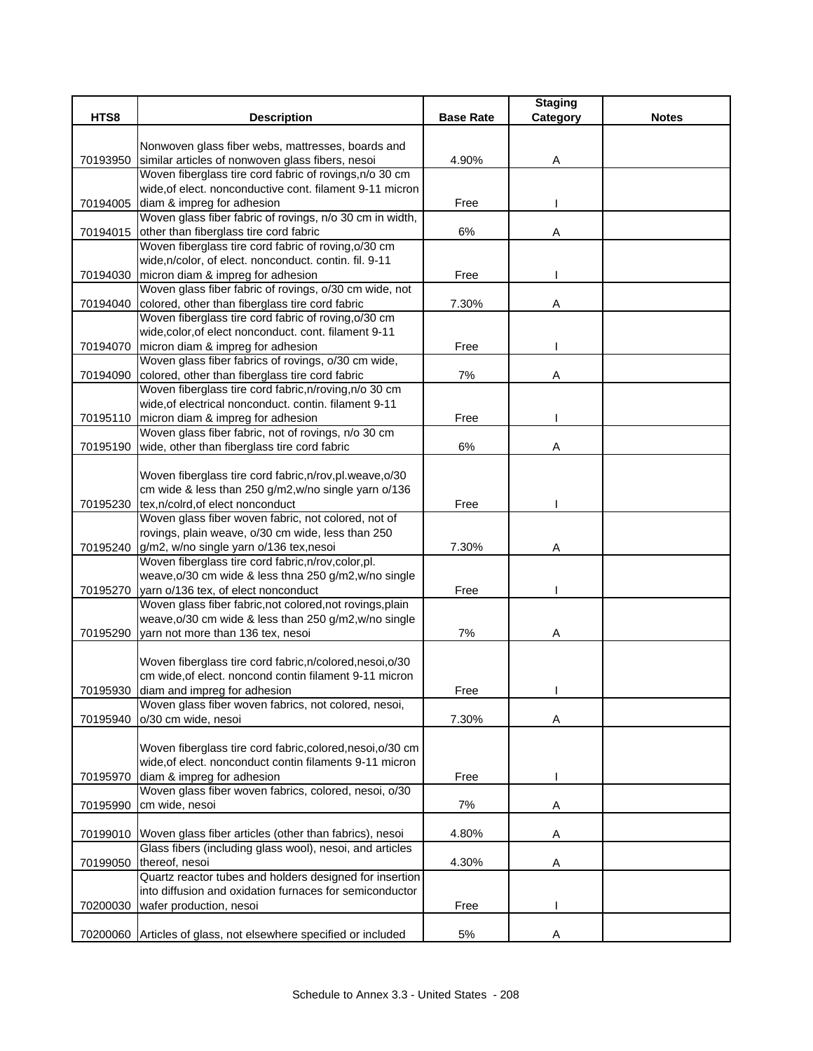| HTS8     | <b>Description</b>                                                                                       | <b>Base Rate</b> | <b>Staging</b><br>Category | <b>Notes</b> |
|----------|----------------------------------------------------------------------------------------------------------|------------------|----------------------------|--------------|
|          |                                                                                                          |                  |                            |              |
|          | Nonwoven glass fiber webs, mattresses, boards and                                                        |                  |                            |              |
| 70193950 | similar articles of nonwoven glass fibers, nesoi                                                         | 4.90%            | Α                          |              |
|          | Woven fiberglass tire cord fabric of rovings, n/o 30 cm                                                  |                  |                            |              |
|          | wide, of elect. nonconductive cont. filament 9-11 micron                                                 |                  |                            |              |
| 70194005 | diam & impreg for adhesion                                                                               | Free             |                            |              |
|          | Woven glass fiber fabric of rovings, n/o 30 cm in width,                                                 |                  |                            |              |
| 70194015 | other than fiberglass tire cord fabric                                                                   | 6%               | Α                          |              |
|          | Woven fiberglass tire cord fabric of roving, o/30 cm                                                     |                  |                            |              |
|          | wide, n/color, of elect. nonconduct. contin. fil. 9-11                                                   |                  |                            |              |
| 70194030 | micron diam & impreg for adhesion                                                                        | Free             |                            |              |
|          | Woven glass fiber fabric of rovings, o/30 cm wide, not                                                   |                  |                            |              |
| 70194040 | colored, other than fiberglass tire cord fabric                                                          | 7.30%            | Α                          |              |
|          | Woven fiberglass tire cord fabric of roving, o/30 cm                                                     |                  |                            |              |
|          | wide, color, of elect nonconduct. cont. filament 9-11                                                    |                  |                            |              |
| 70194070 | micron diam & impreg for adhesion                                                                        | Free             |                            |              |
|          | Woven glass fiber fabrics of rovings, o/30 cm wide,                                                      |                  |                            |              |
| 70194090 | colored, other than fiberglass tire cord fabric                                                          | 7%               | Α                          |              |
|          | Woven fiberglass tire cord fabric, n/roving, n/o 30 cm                                                   |                  |                            |              |
|          | wide, of electrical nonconduct. contin. filament 9-11                                                    |                  |                            |              |
| 70195110 | micron diam & impreg for adhesion                                                                        | Free             |                            |              |
|          | Woven glass fiber fabric, not of rovings, n/o 30 cm                                                      |                  |                            |              |
| 70195190 | wide, other than fiberglass tire cord fabric                                                             | 6%               | Α                          |              |
|          |                                                                                                          |                  |                            |              |
|          | Woven fiberglass tire cord fabric, n/rov, pl. weave, o/30                                                |                  |                            |              |
|          | cm wide & less than 250 g/m2, w/no single yarn o/136                                                     |                  |                            |              |
| 70195230 | tex,n/colrd,of elect nonconduct                                                                          | Free             |                            |              |
|          | Woven glass fiber woven fabric, not colored, not of                                                      |                  |                            |              |
|          | rovings, plain weave, o/30 cm wide, less than 250                                                        |                  |                            |              |
|          | 70195240 g/m2, w/no single yarn o/136 tex, nesoi<br>Woven fiberglass tire cord fabric, n/rov, color, pl. | 7.30%            | Α                          |              |
|          | weave, o/30 cm wide & less thna 250 g/m2, w/no single                                                    |                  |                            |              |
| 70195270 | yarn o/136 tex, of elect nonconduct                                                                      | Free             |                            |              |
|          | Woven glass fiber fabric, not colored, not rovings, plain                                                |                  |                            |              |
|          | weave, o/30 cm wide & less than 250 g/m2, w/no single                                                    |                  |                            |              |
| 70195290 | yarn not more than 136 tex, nesoi                                                                        | 7%               | Α                          |              |
|          |                                                                                                          |                  |                            |              |
|          | Woven fiberglass tire cord fabric, n/colored, nesoi, o/30                                                |                  |                            |              |
|          | cm wide, of elect. noncond contin filament 9-11 micron                                                   |                  |                            |              |
|          | 70195930 diam and impreg for adhesion                                                                    | Free             |                            |              |
|          | Woven glass fiber woven fabrics, not colored, nesoi,                                                     |                  |                            |              |
| 70195940 | o/30 cm wide, nesoi                                                                                      | 7.30%            | Α                          |              |
|          |                                                                                                          |                  |                            |              |
|          | Woven fiberglass tire cord fabric, colored, nesoi, o/30 cm                                               |                  |                            |              |
|          | wide, of elect. nonconduct contin filaments 9-11 micron                                                  |                  |                            |              |
| 70195970 | diam & impreg for adhesion                                                                               | Free             |                            |              |
|          | Woven glass fiber woven fabrics, colored, nesoi, o/30                                                    |                  |                            |              |
| 70195990 | cm wide, nesoi                                                                                           | 7%               | Α                          |              |
|          |                                                                                                          |                  |                            |              |
| 70199010 | Woven glass fiber articles (other than fabrics), nesoi                                                   | 4.80%            | A                          |              |
|          | Glass fibers (including glass wool), nesoi, and articles                                                 |                  |                            |              |
| 70199050 | thereof, nesoi                                                                                           | 4.30%            | A                          |              |
|          | Quartz reactor tubes and holders designed for insertion                                                  |                  |                            |              |
|          | into diffusion and oxidation furnaces for semiconductor                                                  |                  |                            |              |
| 70200030 | wafer production, nesoi                                                                                  | Free             |                            |              |
|          |                                                                                                          |                  |                            |              |
|          | 70200060 Articles of glass, not elsewhere specified or included                                          | 5%               | Α                          |              |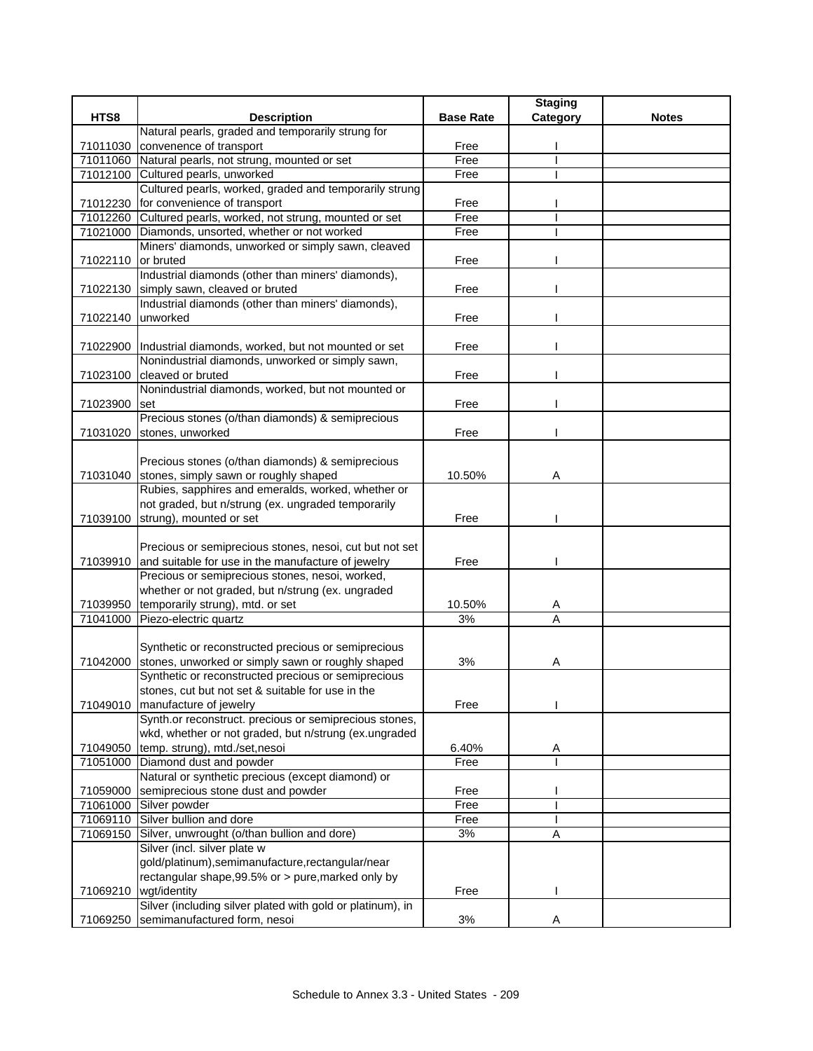|                      |                                                                                               |                  | <b>Staging</b> |              |
|----------------------|-----------------------------------------------------------------------------------------------|------------------|----------------|--------------|
| HTS8                 | <b>Description</b>                                                                            | <b>Base Rate</b> | Category       | <b>Notes</b> |
|                      | Natural pearls, graded and temporarily strung for                                             |                  |                |              |
| 71011030             | convenence of transport                                                                       | Free             |                |              |
|                      | 71011060 Natural pearls, not strung, mounted or set                                           | Free             |                |              |
|                      | 71012100 Cultured pearls, unworked                                                            | Free             |                |              |
|                      | Cultured pearls, worked, graded and temporarily strung                                        |                  |                |              |
| 71012230             | for convenience of transport                                                                  | Free             |                |              |
| 71012260             | Cultured pearls, worked, not strung, mounted or set                                           | Free             |                |              |
| 71021000             | Diamonds, unsorted, whether or not worked                                                     | Free             |                |              |
|                      | Miners' diamonds, unworked or simply sawn, cleaved                                            |                  |                |              |
| 71022110 or bruted   |                                                                                               | Free             |                |              |
|                      | Industrial diamonds (other than miners' diamonds),                                            |                  |                |              |
|                      | 71022130 simply sawn, cleaved or bruted<br>Industrial diamonds (other than miners' diamonds), | Free             |                |              |
| 71022140             | unworked                                                                                      |                  |                |              |
|                      |                                                                                               | Free             |                |              |
|                      | 71022900  Industrial diamonds, worked, but not mounted or set                                 | Free             |                |              |
|                      | Nonindustrial diamonds, unworked or simply sawn,                                              |                  |                |              |
| 71023100             | cleaved or bruted                                                                             | Free             |                |              |
|                      | Nonindustrial diamonds, worked, but not mounted or                                            |                  |                |              |
| 71023900             | set                                                                                           | Free             |                |              |
|                      | Precious stones (o/than diamonds) & semiprecious                                              |                  |                |              |
| 71031020             | stones, unworked                                                                              | Free             |                |              |
|                      |                                                                                               |                  |                |              |
|                      | Precious stones (o/than diamonds) & semiprecious                                              |                  |                |              |
|                      | 71031040 stones, simply sawn or roughly shaped                                                | 10.50%           | A              |              |
|                      | Rubies, sapphires and emeralds, worked, whether or                                            |                  |                |              |
|                      | not graded, but n/strung (ex. ungraded temporarily                                            |                  |                |              |
| 71039100             | strung), mounted or set                                                                       | Free             |                |              |
|                      |                                                                                               |                  |                |              |
|                      | Precious or semiprecious stones, nesoi, cut but not set                                       |                  |                |              |
| 71039910             | and suitable for use in the manufacture of jewelry                                            | Free             |                |              |
|                      | Precious or semiprecious stones, nesoi, worked,                                               |                  |                |              |
|                      | whether or not graded, but n/strung (ex. ungraded                                             |                  |                |              |
| 71039950             | temporarily strung), mtd. or set                                                              | 10.50%           | A              |              |
| 71041000             | Piezo-electric quartz                                                                         | 3%               | A              |              |
|                      |                                                                                               |                  |                |              |
|                      | Synthetic or reconstructed precious or semiprecious                                           |                  |                |              |
| 71042000             | stones, unworked or simply sawn or roughly shaped                                             | 3%               | A              |              |
|                      | Synthetic or reconstructed precious or semiprecious                                           |                  |                |              |
|                      | stones, cut but not set & suitable for use in the                                             |                  |                |              |
|                      | 71049010 manufacture of jewelry                                                               | Free             |                |              |
|                      | Synth.or reconstruct. precious or semiprecious stones,                                        |                  |                |              |
|                      | wkd, whether or not graded, but n/strung (ex.ungraded                                         |                  |                |              |
| 71049050<br>71051000 | temp. strung), mtd./set,nesoi<br>Diamond dust and powder                                      | 6.40%<br>Free    | Α              |              |
|                      | Natural or synthetic precious (except diamond) or                                             |                  |                |              |
|                      | semiprecious stone dust and powder                                                            | Free             |                |              |
| 71059000<br>71061000 | Silver powder                                                                                 | Free             |                |              |
|                      | 71069110 Silver bullion and dore                                                              | Free             |                |              |
| 71069150             | Silver, unwrought (o/than bullion and dore)                                                   | 3%               | A              |              |
|                      | Silver (incl. silver plate w                                                                  |                  |                |              |
|                      | gold/platinum), semimanufacture, rectangular/near                                             |                  |                |              |
|                      | rectangular shape, 99.5% or > pure, marked only by                                            |                  |                |              |
|                      | 71069210 wgt/identity                                                                         | Free             |                |              |
|                      | Silver (including silver plated with gold or platinum), in                                    |                  |                |              |
| 71069250             | semimanufactured form, nesoi                                                                  | 3%               | Α              |              |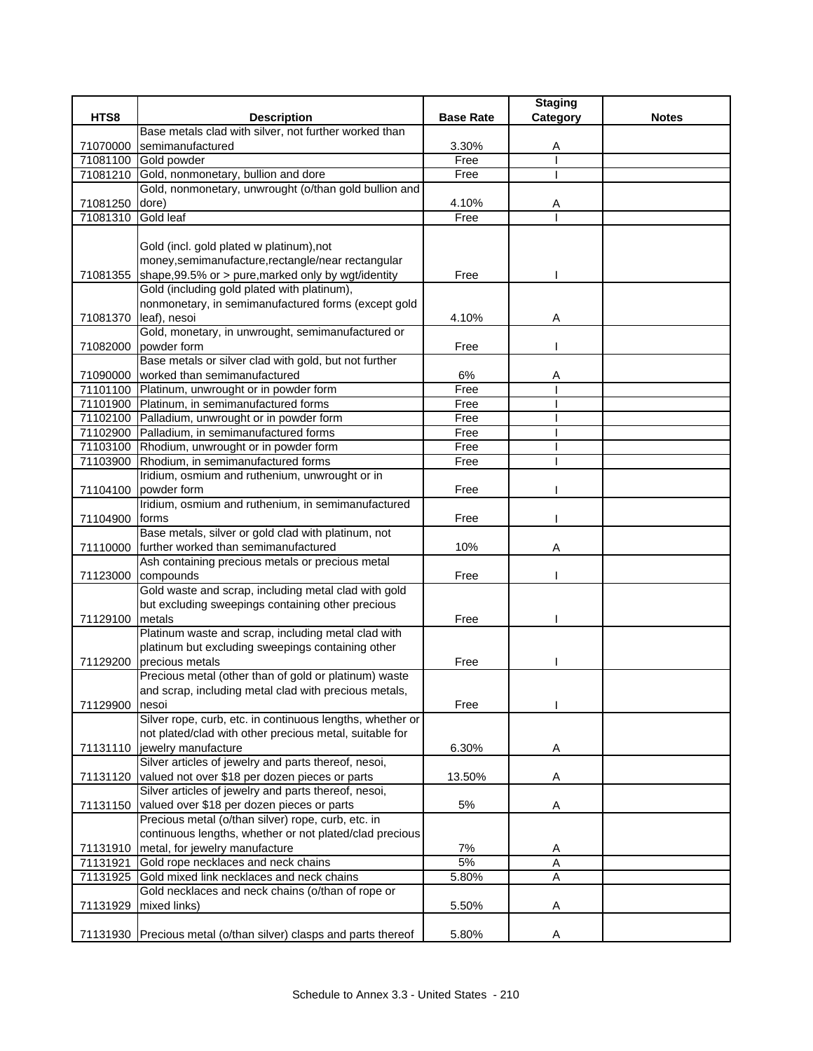|          |                                                                        |                  | <b>Staging</b> |              |
|----------|------------------------------------------------------------------------|------------------|----------------|--------------|
| HTS8     | <b>Description</b>                                                     | <b>Base Rate</b> | Category       | <b>Notes</b> |
|          | Base metals clad with silver, not further worked than                  |                  |                |              |
| 71070000 | semimanufactured                                                       | 3.30%            | Α              |              |
| 71081100 | Gold powder                                                            | Free             |                |              |
| 71081210 | Gold, nonmonetary, bullion and dore                                    | Free             |                |              |
|          | Gold, nonmonetary, unwrought (o/than gold bullion and                  |                  |                |              |
| 71081250 | dore)                                                                  | 4.10%            | A              |              |
| 71081310 | Gold leaf                                                              | Free             |                |              |
|          |                                                                        |                  |                |              |
|          | Gold (incl. gold plated w platinum), not                               |                  |                |              |
|          | money, semimanufacture, rectangle/near rectangular                     |                  |                |              |
| 71081355 | shape, 99.5% or > pure, marked only by wgt/identity                    | Free             |                |              |
|          | Gold (including gold plated with platinum),                            |                  |                |              |
|          | nonmonetary, in semimanufactured forms (except gold                    |                  |                |              |
|          | 71081370 leaf), nesoi                                                  | 4.10%            | Α              |              |
|          | Gold, monetary, in unwrought, semimanufactured or                      |                  |                |              |
|          | 71082000 powder form                                                   | Free             |                |              |
|          | Base metals or silver clad with gold, but not further                  |                  |                |              |
|          | 71090000 worked than semimanufactured                                  | 6%               | A              |              |
|          | 71101100 Platinum, unwrought or in powder form                         | Free             |                |              |
|          | 71101900 Platinum, in semimanufactured forms                           | Free             |                |              |
|          | 71102100 Palladium, unwrought or in powder form                        | Free             |                |              |
|          | 71102900 Palladium, in semimanufactured forms                          | Free             |                |              |
|          | 71103100 Rhodium, unwrought or in powder form                          | Free             |                |              |
|          | 71103900 Rhodium, in semimanufactured forms                            | Free             |                |              |
|          | Iridium, osmium and ruthenium, unwrought or in                         |                  |                |              |
|          | 71104100 powder form                                                   | Free             |                |              |
|          | Iridium, osmium and ruthenium, in semimanufactured                     |                  |                |              |
| 71104900 | forms                                                                  | Free             |                |              |
|          | Base metals, silver or gold clad with platinum, not                    |                  |                |              |
|          | 71110000 further worked than semimanufactured                          | 10%              | A              |              |
|          | Ash containing precious metals or precious metal<br>71123000 compounds | Free             |                |              |
|          | Gold waste and scrap, including metal clad with gold                   |                  |                |              |
|          | but excluding sweepings containing other precious                      |                  |                |              |
| 71129100 | metals                                                                 | Free             |                |              |
|          | Platinum waste and scrap, including metal clad with                    |                  |                |              |
|          | platinum but excluding sweepings containing other                      |                  |                |              |
| 71129200 | precious metals                                                        | Free             |                |              |
|          | Precious metal (other than of gold or platinum) waste                  |                  |                |              |
|          | and scrap, including metal clad with precious metals,                  |                  |                |              |
| 71129900 | nesoi                                                                  | Free             |                |              |
|          | Silver rope, curb, etc. in continuous lengths, whether or              |                  |                |              |
|          | not plated/clad with other precious metal, suitable for                |                  |                |              |
|          | 71131110 jewelry manufacture                                           | 6.30%            | Α              |              |
|          | Silver articles of jewelry and parts thereof, nesoi,                   |                  |                |              |
| 71131120 | valued not over \$18 per dozen pieces or parts                         | 13.50%           | Α              |              |
|          | Silver articles of jewelry and parts thereof, nesoi,                   |                  |                |              |
| 71131150 | valued over \$18 per dozen pieces or parts                             | 5%               | Α              |              |
|          | Precious metal (o/than silver) rope, curb, etc. in                     |                  |                |              |
|          | continuous lengths, whether or not plated/clad precious                |                  |                |              |
|          | 71131910 metal, for jewelry manufacture                                | 7%               | Α              |              |
| 71131921 | Gold rope necklaces and neck chains                                    | 5%               | Α              |              |
| 71131925 | Gold mixed link necklaces and neck chains                              | 5.80%            | Α              |              |
|          | Gold necklaces and neck chains (o/than of rope or                      |                  |                |              |
| 71131929 | mixed links)                                                           | 5.50%            | Α              |              |
|          |                                                                        |                  |                |              |
|          | 71131930 Precious metal (o/than silver) clasps and parts thereof       | 5.80%            | A              |              |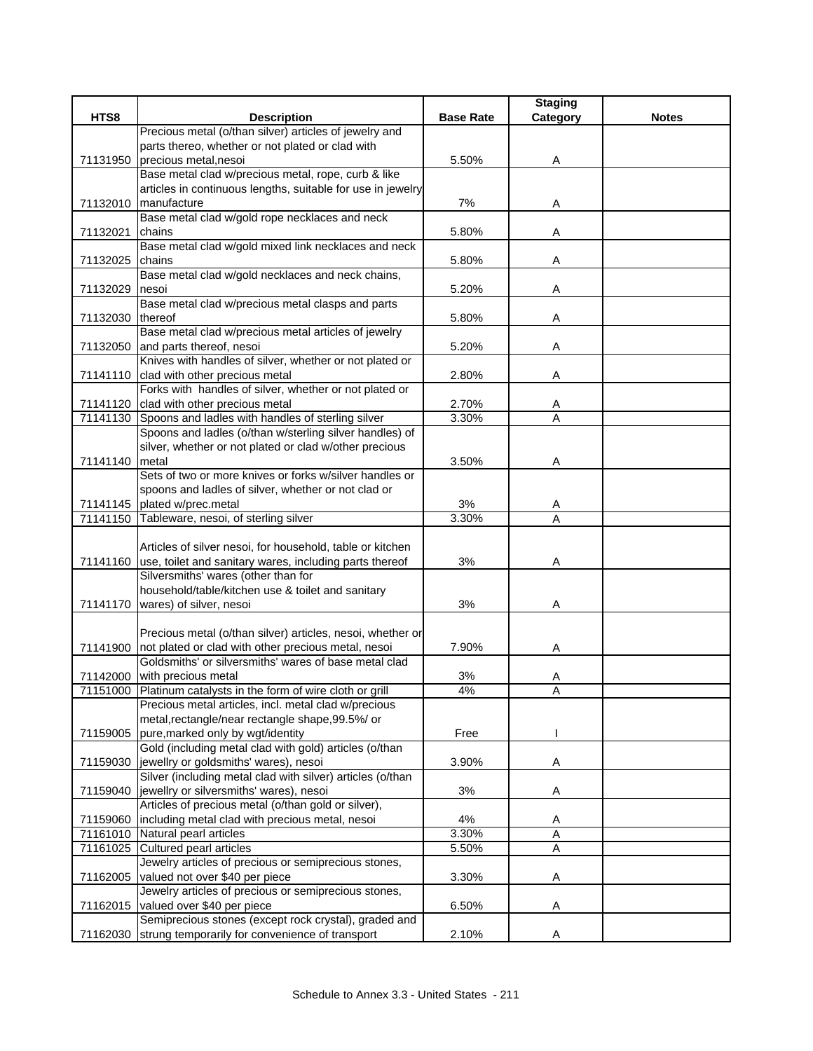|                  |                                                                  |                  | <b>Staging</b> |              |
|------------------|------------------------------------------------------------------|------------------|----------------|--------------|
| HTS8             | <b>Description</b>                                               | <b>Base Rate</b> | Category       | <b>Notes</b> |
|                  | Precious metal (o/than silver) articles of jewelry and           |                  |                |              |
|                  | parts thereo, whether or not plated or clad with                 |                  |                |              |
| 71131950         | precious metal, nesoi                                            | 5.50%            | A              |              |
|                  | Base metal clad w/precious metal, rope, curb & like              |                  |                |              |
|                  | articles in continuous lengths, suitable for use in jewelry      |                  |                |              |
|                  | 71132010 manufacture                                             | 7%               | Α              |              |
|                  | Base metal clad w/gold rope necklaces and neck                   |                  |                |              |
| 71132021         | chains                                                           | 5.80%            | Α              |              |
|                  | Base metal clad w/gold mixed link necklaces and neck             |                  |                |              |
| 71132025         | chains                                                           | 5.80%            | Α              |              |
|                  | Base metal clad w/gold necklaces and neck chains,                |                  |                |              |
| 71132029         | nesoi                                                            | 5.20%            | Α              |              |
|                  | Base metal clad w/precious metal clasps and parts                |                  |                |              |
| 71132030 thereof |                                                                  | 5.80%            | Α              |              |
|                  | Base metal clad w/precious metal articles of jewelry             |                  |                |              |
|                  | 71132050 and parts thereof, nesoi                                | 5.20%            | Α              |              |
|                  | Knives with handles of silver, whether or not plated or          |                  |                |              |
|                  | 71141110 clad with other precious metal                          | 2.80%            | Α              |              |
|                  | Forks with handles of silver, whether or not plated or           |                  |                |              |
|                  | 71141120 clad with other precious metal                          | 2.70%            | A              |              |
|                  | 71141130 Spoons and ladles with handles of sterling silver       | 3.30%            | A              |              |
|                  | Spoons and ladles (o/than w/sterling silver handles) of          |                  |                |              |
|                  | silver, whether or not plated or clad w/other precious           |                  |                |              |
| 71141140 metal   |                                                                  | 3.50%            | Α              |              |
|                  | Sets of two or more knives or forks w/silver handles or          |                  |                |              |
|                  | spoons and ladles of silver, whether or not clad or              |                  |                |              |
|                  | 71141145 plated w/prec.metal                                     | 3%               | A              |              |
|                  | 71141150 Tableware, nesoi, of sterling silver                    | 3.30%            | A              |              |
|                  |                                                                  |                  |                |              |
|                  | Articles of silver nesoi, for household, table or kitchen        |                  |                |              |
|                  | 71141160 use, toilet and sanitary wares, including parts thereof | 3%               | Α              |              |
|                  | Silversmiths' wares (other than for                              |                  |                |              |
|                  | household/table/kitchen use & toilet and sanitary                |                  |                |              |
|                  | 71141170   wares) of silver, nesoi                               | 3%               | Α              |              |
|                  |                                                                  |                  |                |              |
|                  | Precious metal (o/than silver) articles, nesoi, whether or       |                  |                |              |
|                  | 71141900 not plated or clad with other precious metal, nesoi     | 7.90%            | Α              |              |
|                  | Goldsmiths' or silversmiths' wares of base metal clad            |                  |                |              |
|                  | 71142000 with precious metal                                     | 3%               | Α              |              |
|                  | 71151000 Platinum catalysts in the form of wire cloth or grill   | 4%               | Α              |              |
|                  | Precious metal articles, incl. metal clad w/precious             |                  |                |              |
|                  | metal, rectangle/near rectangle shape, 99.5%/ or                 |                  |                |              |
| 71159005         | pure, marked only by wgt/identity                                | Free             |                |              |
|                  | Gold (including metal clad with gold) articles (o/than           |                  |                |              |
| 71159030         | jewellry or goldsmiths' wares), nesoi                            | 3.90%            | A              |              |
|                  | Silver (including metal clad with silver) articles (o/than       |                  |                |              |
| 71159040         | jewellry or silversmiths' wares), nesoi                          | 3%               | Α              |              |
|                  | Articles of precious metal (o/than gold or silver),              |                  |                |              |
|                  | 71159060  including metal clad with precious metal, nesoi        | 4%               | Α              |              |
| 71161010         | Natural pearl articles                                           | 3.30%            | A              |              |
| 71161025         | Cultured pearl articles                                          | 5.50%            | A              |              |
|                  | Jewelry articles of precious or semiprecious stones,             |                  |                |              |
| 71162005         | valued not over \$40 per piece                                   | 3.30%            | Α              |              |
|                  | Jewelry articles of precious or semiprecious stones,             |                  |                |              |
| 71162015         | valued over \$40 per piece                                       | 6.50%            | Α              |              |
|                  | Semiprecious stones (except rock crystal), graded and            |                  |                |              |
| 71162030         | strung temporarily for convenience of transport                  | 2.10%            | Α              |              |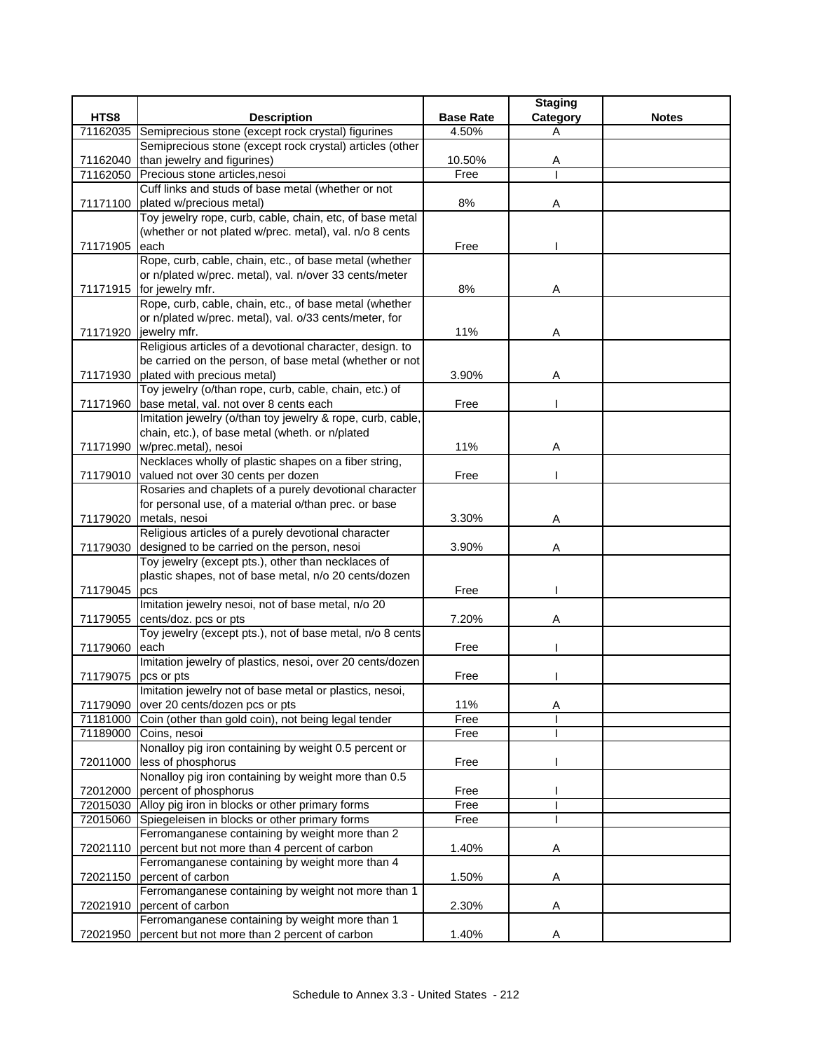|          |                                                                                                           |                  | <b>Staging</b> |              |
|----------|-----------------------------------------------------------------------------------------------------------|------------------|----------------|--------------|
| HTS8     | <b>Description</b>                                                                                        | <b>Base Rate</b> | Category       | <b>Notes</b> |
| 71162035 | Semiprecious stone (except rock crystal) figurines                                                        | 4.50%            | Α              |              |
|          | Semiprecious stone (except rock crystal) articles (other                                                  |                  |                |              |
| 71162040 | than jewelry and figurines)                                                                               | 10.50%           | A              |              |
|          | 71162050 Precious stone articles, nesoi                                                                   | Free             |                |              |
|          | Cuff links and studs of base metal (whether or not                                                        |                  |                |              |
| 71171100 | plated w/precious metal)                                                                                  | $8\%$            | Α              |              |
|          | Toy jewelry rope, curb, cable, chain, etc, of base metal                                                  |                  |                |              |
|          | (whether or not plated w/prec. metal), val. n/o 8 cents                                                   |                  |                |              |
| 71171905 | each                                                                                                      | Free             |                |              |
|          | Rope, curb, cable, chain, etc., of base metal (whether                                                    |                  |                |              |
|          | or n/plated w/prec. metal), val. n/over 33 cents/meter                                                    |                  |                |              |
|          | 71171915 for jewelry mfr.                                                                                 | 8%               | Α              |              |
|          | Rope, curb, cable, chain, etc., of base metal (whether                                                    |                  |                |              |
|          | or n/plated w/prec. metal), val. o/33 cents/meter, for                                                    |                  |                |              |
|          | 71171920 jewelry mfr.                                                                                     | 11%              | Α              |              |
|          | Religious articles of a devotional character, design. to                                                  |                  |                |              |
|          | be carried on the person, of base metal (whether or not                                                   |                  |                |              |
|          | 71171930 plated with precious metal)                                                                      | 3.90%            | Α              |              |
|          | Toy jewelry (o/than rope, curb, cable, chain, etc.) of                                                    |                  |                |              |
|          | 71171960 base metal, val. not over 8 cents each                                                           | Free             |                |              |
|          | Imitation jewelry (o/than toy jewelry & rope, curb, cable,                                                |                  |                |              |
|          | chain, etc.), of base metal (wheth. or n/plated                                                           |                  |                |              |
|          | 71171990 w/prec.metal), nesoi                                                                             | 11%              | Α              |              |
|          | Necklaces wholly of plastic shapes on a fiber string,                                                     |                  |                |              |
|          | 71179010 valued not over 30 cents per dozen                                                               | Free             |                |              |
|          | Rosaries and chaplets of a purely devotional character                                                    |                  |                |              |
|          | for personal use, of a material o/than prec. or base                                                      |                  |                |              |
|          | 71179020 metals, nesoi                                                                                    | 3.30%            | Α              |              |
|          | Religious articles of a purely devotional character                                                       |                  |                |              |
|          | 71179030 designed to be carried on the person, nesoi                                                      | 3.90%            | A              |              |
|          | Toy jewelry (except pts.), other than necklaces of                                                        |                  |                |              |
|          | plastic shapes, not of base metal, n/o 20 cents/dozen                                                     |                  |                |              |
| 71179045 | pcs                                                                                                       | Free             |                |              |
|          | Imitation jewelry nesoi, not of base metal, n/o 20                                                        |                  |                |              |
| 71179055 | cents/doz. pcs or pts                                                                                     | 7.20%            | Α              |              |
|          | Toy jewelry (except pts.), not of base metal, n/o 8 cents                                                 |                  |                |              |
| 71179060 | each                                                                                                      | Free             |                |              |
|          | Imitation jewelry of plastics, nesoi, over 20 cents/dozen                                                 |                  |                |              |
| 71179075 | pcs or pts                                                                                                | Free             |                |              |
|          | Imitation jewelry not of base metal or plastics, nesoi,                                                   |                  |                |              |
| 71179090 | over 20 cents/dozen pcs or pts                                                                            | 11%              | Α              |              |
| 71181000 | Coin (other than gold coin), not being legal tender                                                       | Free             |                |              |
| 71189000 | Coins, nesoi<br>Nonalloy pig iron containing by weight 0.5 percent or                                     | Free             |                |              |
|          | less of phosphorus                                                                                        |                  |                |              |
| 72011000 | Nonalloy pig iron containing by weight more than 0.5                                                      | Free             |                |              |
|          | 72012000 percent of phosphorus                                                                            | Free             |                |              |
|          | 72015030 Alloy pig iron in blocks or other primary forms                                                  | Free             |                |              |
|          |                                                                                                           |                  |                |              |
|          | 72015060 Spiegeleisen in blocks or other primary forms<br>Ferromanganese containing by weight more than 2 | Free             |                |              |
| 72021110 | percent but not more than 4 percent of carbon                                                             | 1.40%            | Α              |              |
|          | Ferromanganese containing by weight more than 4                                                           |                  |                |              |
| 72021150 | percent of carbon                                                                                         | 1.50%            | Α              |              |
|          | Ferromanganese containing by weight not more than 1                                                       |                  |                |              |
|          | 72021910 percent of carbon                                                                                | 2.30%            | Α              |              |
|          | Ferromanganese containing by weight more than 1                                                           |                  |                |              |
|          | 72021950 percent but not more than 2 percent of carbon                                                    | 1.40%            | Α              |              |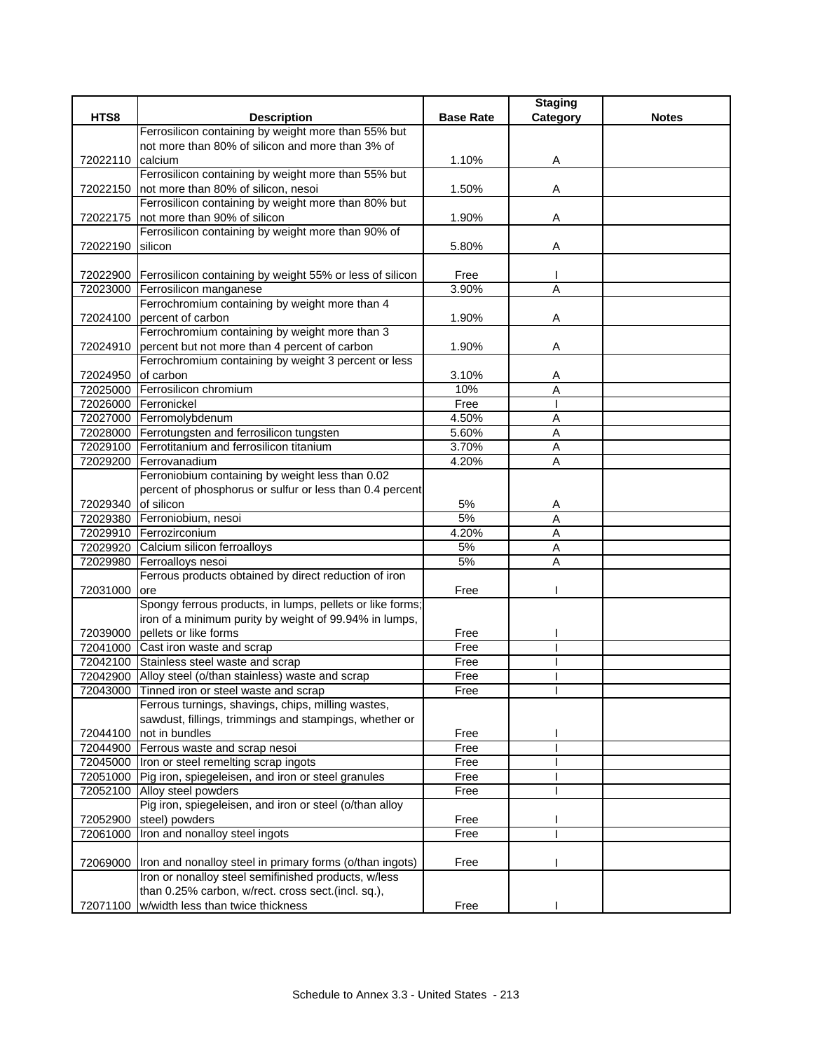|                     |                                                                                                              |                  | <b>Staging</b> |              |
|---------------------|--------------------------------------------------------------------------------------------------------------|------------------|----------------|--------------|
| HTS8                | <b>Description</b>                                                                                           | <b>Base Rate</b> | Category       | <b>Notes</b> |
|                     | Ferrosilicon containing by weight more than 55% but                                                          |                  |                |              |
|                     | not more than 80% of silicon and more than 3% of                                                             |                  |                |              |
| 72022110 calcium    |                                                                                                              | 1.10%            | A              |              |
|                     | Ferrosilicon containing by weight more than 55% but                                                          |                  |                |              |
|                     | 72022150 not more than 80% of silicon, nesoi                                                                 | 1.50%            | Α              |              |
|                     | Ferrosilicon containing by weight more than 80% but                                                          |                  |                |              |
| 72022175            | not more than 90% of silicon                                                                                 | 1.90%            | Α              |              |
|                     | Ferrosilicon containing by weight more than 90% of                                                           |                  |                |              |
| 72022190            | silicon                                                                                                      | 5.80%            | Α              |              |
|                     |                                                                                                              |                  |                |              |
|                     | 72022900 Ferrosilicon containing by weight 55% or less of silicon                                            | Free             |                |              |
|                     | 72023000 Ferrosilicon manganese                                                                              | 3.90%            | A              |              |
|                     | Ferrochromium containing by weight more than 4                                                               |                  |                |              |
|                     | 72024100 percent of carbon                                                                                   | 1.90%            | Α              |              |
|                     | Ferrochromium containing by weight more than 3                                                               |                  |                |              |
|                     | 72024910 percent but not more than 4 percent of carbon                                                       | 1.90%            | A              |              |
|                     | Ferrochromium containing by weight 3 percent or less                                                         |                  |                |              |
| 72024950 of carbon  |                                                                                                              | 3.10%            | A              |              |
|                     | 72025000 Ferrosilicon chromium                                                                               | 10%              | A              |              |
|                     | 72026000 Ferronickel                                                                                         | Free             |                |              |
|                     | 72027000 Ferromolybdenum                                                                                     | 4.50%            | A              |              |
|                     | 72028000 Ferrotungsten and ferrosilicon tungsten<br>72029100 Ferrotitanium and ferrosilicon titanium         | 5.60%<br>3.70%   | A              |              |
|                     | 72029200 Ferrovanadium                                                                                       |                  | Α<br>A         |              |
|                     |                                                                                                              | 4.20%            |                |              |
|                     | Ferroniobium containing by weight less than 0.02<br>percent of phosphorus or sulfur or less than 0.4 percent |                  |                |              |
| 72029340 of silicon |                                                                                                              | 5%               |                |              |
|                     | 72029380 Ferroniobium, nesoi                                                                                 | 5%               | A<br>A         |              |
|                     | 72029910 Ferrozirconium                                                                                      | 4.20%            | A              |              |
| 72029920            | Calcium silicon ferroalloys                                                                                  | 5%               | A              |              |
|                     | 72029980 Ferroalloys nesoi                                                                                   | 5%               | A              |              |
|                     | Ferrous products obtained by direct reduction of iron                                                        |                  |                |              |
| 72031000            | lore                                                                                                         | Free             |                |              |
|                     | Spongy ferrous products, in lumps, pellets or like forms;                                                    |                  |                |              |
|                     | iron of a minimum purity by weight of 99.94% in lumps,                                                       |                  |                |              |
|                     | 72039000 pellets or like forms                                                                               | Free             |                |              |
|                     | 72041000 Cast iron waste and scrap                                                                           | Free             |                |              |
|                     | 72042100 Stainless steel waste and scrap                                                                     | Free             |                |              |
|                     | 72042900 Alloy steel (o/than stainless) waste and scrap                                                      | Free             |                |              |
|                     | 72043000 Tinned iron or steel waste and scrap                                                                | Free             |                |              |
|                     | Ferrous turnings, shavings, chips, milling wastes,                                                           |                  |                |              |
|                     | sawdust, fillings, trimmings and stampings, whether or                                                       |                  |                |              |
| 72044100            | not in bundles                                                                                               | Free             |                |              |
|                     | 72044900 Ferrous waste and scrap nesoi                                                                       | Free             |                |              |
|                     | 72045000 Iron or steel remelting scrap ingots                                                                | Free             |                |              |
| 72051000            | Pig iron, spiegeleisen, and iron or steel granules                                                           | Free             |                |              |
| 72052100            | Alloy steel powders                                                                                          | Free             |                |              |
|                     | Pig iron, spiegeleisen, and iron or steel (o/than alloy                                                      |                  |                |              |
| 72052900            | steel) powders                                                                                               | Free             |                |              |
| 72061000            | Iron and nonalloy steel ingots                                                                               | Free             |                |              |
|                     |                                                                                                              |                  |                |              |
| 72069000            | Iron and nonalloy steel in primary forms (o/than ingots)                                                     | Free             |                |              |
|                     | Iron or nonalloy steel semifinished products, w/less                                                         |                  |                |              |
|                     | than 0.25% carbon, w/rect. cross sect.(incl. sq.),                                                           |                  |                |              |
|                     | 72071100 w/width less than twice thickness                                                                   | Free             |                |              |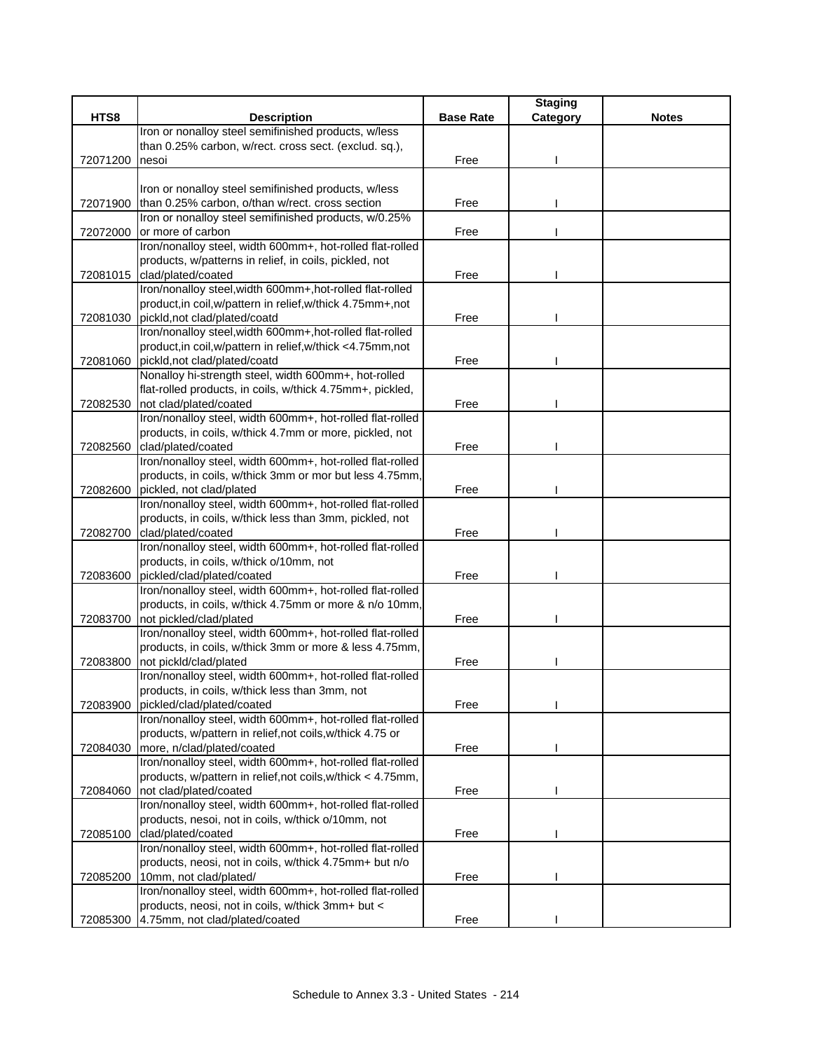|          |                                                                                                                     |                  | <b>Staging</b> |              |
|----------|---------------------------------------------------------------------------------------------------------------------|------------------|----------------|--------------|
| HTS8     | <b>Description</b>                                                                                                  | <b>Base Rate</b> | Category       | <b>Notes</b> |
|          | Iron or nonalloy steel semifinished products, w/less                                                                |                  |                |              |
|          | than 0.25% carbon, w/rect. cross sect. (exclud. sq.),                                                               |                  |                |              |
| 72071200 | nesoi                                                                                                               | Free             |                |              |
|          |                                                                                                                     |                  |                |              |
|          | Iron or nonalloy steel semifinished products, w/less                                                                |                  |                |              |
| 72071900 | than 0.25% carbon, o/than w/rect. cross section                                                                     | Free             |                |              |
|          | Iron or nonalloy steel semifinished products, w/0.25%                                                               |                  |                |              |
| 72072000 | or more of carbon                                                                                                   | Free             |                |              |
|          | Iron/nonalloy steel, width 600mm+, hot-rolled flat-rolled<br>products, w/patterns in relief, in coils, pickled, not |                  |                |              |
| 72081015 | clad/plated/coated                                                                                                  | Free             |                |              |
|          | Iron/nonalloy steel, width 600mm+, hot-rolled flat-rolled                                                           |                  |                |              |
|          | product, in coil, w/pattern in relief, w/thick 4.75mm+, not                                                         |                  |                |              |
| 72081030 | pickld, not clad/plated/coatd                                                                                       | Free             |                |              |
|          | Iron/nonalloy steel, width 600mm+, hot-rolled flat-rolled                                                           |                  |                |              |
|          | product, in coil, w/pattern in relief, w/thick <4.75mm, not                                                         |                  |                |              |
|          | 72081060 pickld, not clad/plated/coatd                                                                              | Free             |                |              |
|          | Nonalloy hi-strength steel, width 600mm+, hot-rolled                                                                |                  |                |              |
|          | flat-rolled products, in coils, w/thick 4.75mm+, pickled,                                                           |                  |                |              |
| 72082530 | not clad/plated/coated                                                                                              | Free             |                |              |
|          | Iron/nonalloy steel, width 600mm+, hot-rolled flat-rolled                                                           |                  |                |              |
|          | products, in coils, w/thick 4.7mm or more, pickled, not                                                             |                  |                |              |
| 72082560 | clad/plated/coated                                                                                                  | Free             |                |              |
|          | Iron/nonalloy steel, width 600mm+, hot-rolled flat-rolled                                                           |                  |                |              |
|          | products, in coils, w/thick 3mm or mor but less 4.75mm,                                                             |                  |                |              |
| 72082600 | pickled, not clad/plated                                                                                            | Free             |                |              |
|          | Iron/nonalloy steel, width 600mm+, hot-rolled flat-rolled                                                           |                  |                |              |
|          | products, in coils, w/thick less than 3mm, pickled, not                                                             |                  |                |              |
| 72082700 | clad/plated/coated                                                                                                  | Free             |                |              |
|          | Iron/nonalloy steel, width 600mm+, hot-rolled flat-rolled                                                           |                  |                |              |
|          | products, in coils, w/thick o/10mm, not                                                                             |                  |                |              |
| 72083600 | pickled/clad/plated/coated                                                                                          | Free             |                |              |
|          | Iron/nonalloy steel, width 600mm+, hot-rolled flat-rolled                                                           |                  |                |              |
|          | products, in coils, w/thick 4.75mm or more & n/o 10mm,                                                              |                  |                |              |
| 72083700 | not pickled/clad/plated                                                                                             | Free             |                |              |
|          | Iron/nonalloy steel, width 600mm+, hot-rolled flat-rolled                                                           |                  |                |              |
|          | products, in coils, w/thick 3mm or more & less 4.75mm,                                                              |                  |                |              |
| 72083800 | not pickld/clad/plated                                                                                              | Free             |                |              |
|          | Iron/nonalloy steel, width 600mm+, hot-rolled flat-rolled<br>products, in coils, w/thick less than 3mm, not         |                  |                |              |
| 72083900 | pickled/clad/plated/coated                                                                                          | Free             |                |              |
|          | Iron/nonalloy steel, width 600mm+, hot-rolled flat-rolled                                                           |                  |                |              |
|          | products, w/pattern in relief, not coils, w/thick 4.75 or                                                           |                  |                |              |
| 72084030 | more, n/clad/plated/coated                                                                                          | Free             |                |              |
|          | Iron/nonalloy steel, width 600mm+, hot-rolled flat-rolled                                                           |                  |                |              |
|          | products, w/pattern in relief, not coils, w/thick < 4.75mm,                                                         |                  |                |              |
| 72084060 | not clad/plated/coated                                                                                              | Free             |                |              |
|          | Iron/nonalloy steel, width 600mm+, hot-rolled flat-rolled                                                           |                  |                |              |
|          | products, nesoi, not in coils, w/thick o/10mm, not                                                                  |                  |                |              |
| 72085100 | clad/plated/coated                                                                                                  | Free             |                |              |
|          | Iron/nonalloy steel, width 600mm+, hot-rolled flat-rolled                                                           |                  |                |              |
|          | products, neosi, not in coils, w/thick 4.75mm+ but n/o                                                              |                  |                |              |
| 72085200 | 10mm, not clad/plated/                                                                                              | Free             |                |              |
|          | Iron/nonalloy steel, width 600mm+, hot-rolled flat-rolled                                                           |                  |                |              |
|          | products, neosi, not in coils, w/thick 3mm+ but <                                                                   |                  |                |              |
| 72085300 | 4.75mm, not clad/plated/coated                                                                                      | Free             |                |              |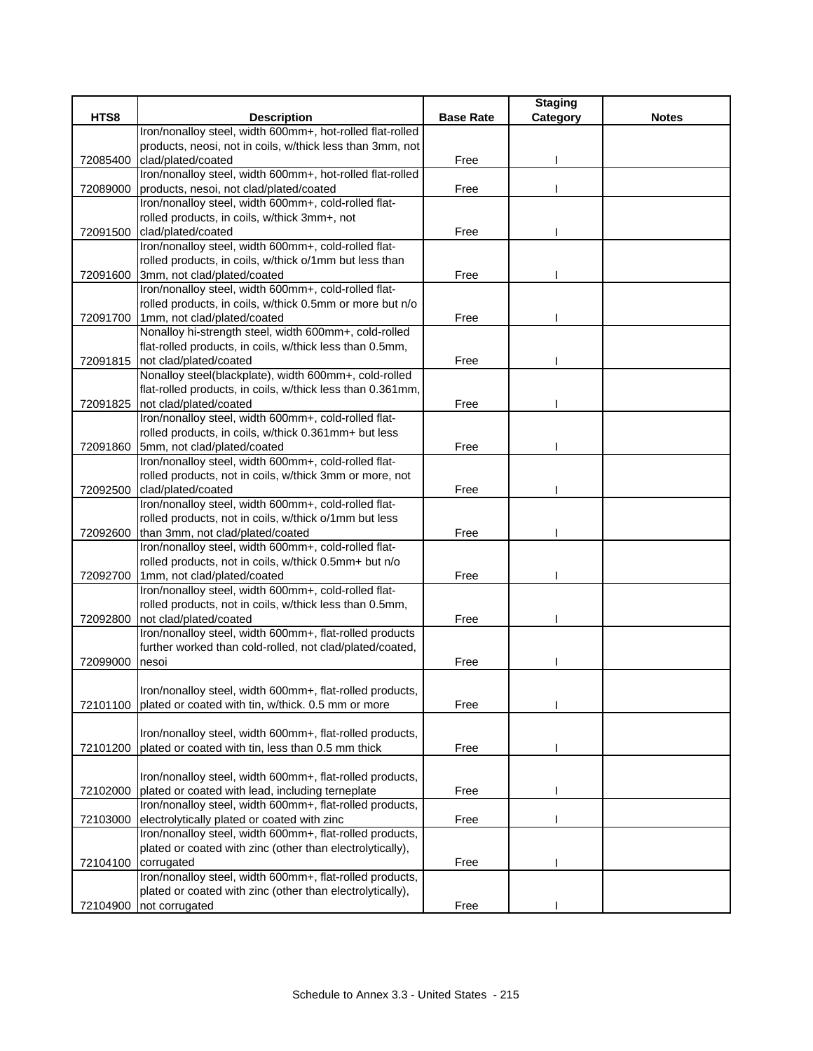|          |                                                                                                                |                  | <b>Staging</b> |              |
|----------|----------------------------------------------------------------------------------------------------------------|------------------|----------------|--------------|
| HTS8     | <b>Description</b>                                                                                             | <b>Base Rate</b> | Category       | <b>Notes</b> |
|          | Iron/nonalloy steel, width 600mm+, hot-rolled flat-rolled                                                      |                  |                |              |
|          | products, neosi, not in coils, w/thick less than 3mm, not                                                      |                  |                |              |
| 72085400 | clad/plated/coated                                                                                             | Free             |                |              |
|          | Iron/nonalloy steel, width 600mm+, hot-rolled flat-rolled                                                      |                  |                |              |
| 72089000 | products, nesoi, not clad/plated/coated                                                                        | Free             |                |              |
|          | Iron/nonalloy steel, width 600mm+, cold-rolled flat-                                                           |                  |                |              |
|          | rolled products, in coils, w/thick 3mm+, not                                                                   |                  |                |              |
| 72091500 | clad/plated/coated                                                                                             | Free             |                |              |
|          | Iron/nonalloy steel, width 600mm+, cold-rolled flat-                                                           |                  |                |              |
|          | rolled products, in coils, w/thick o/1mm but less than                                                         |                  |                |              |
| 72091600 | 3mm, not clad/plated/coated                                                                                    | Free             |                |              |
|          | Iron/nonalloy steel, width 600mm+, cold-rolled flat-                                                           |                  |                |              |
|          | rolled products, in coils, w/thick 0.5mm or more but n/o                                                       |                  |                |              |
|          | 72091700 1mm, not clad/plated/coated                                                                           | Free             |                |              |
|          | Nonalloy hi-strength steel, width 600mm+, cold-rolled                                                          |                  |                |              |
|          | flat-rolled products, in coils, w/thick less than 0.5mm,                                                       |                  |                |              |
|          | 72091815 not clad/plated/coated                                                                                | Free             |                |              |
|          | Nonalloy steel(blackplate), width 600mm+, cold-rolled                                                          |                  |                |              |
|          | flat-rolled products, in coils, w/thick less than 0.361mm,                                                     |                  |                |              |
| 72091825 | not clad/plated/coated                                                                                         | Free             |                |              |
|          | Iron/nonalloy steel, width 600mm+, cold-rolled flat-                                                           |                  |                |              |
|          | rolled products, in coils, w/thick 0.361mm+ but less                                                           |                  |                |              |
| 72091860 | 5mm, not clad/plated/coated                                                                                    | Free             |                |              |
|          | Iron/nonalloy steel, width 600mm+, cold-rolled flat-                                                           |                  |                |              |
|          | rolled products, not in coils, w/thick 3mm or more, not                                                        |                  |                |              |
| 72092500 | clad/plated/coated                                                                                             | Free             |                |              |
|          | Iron/nonalloy steel, width 600mm+, cold-rolled flat-                                                           |                  |                |              |
|          | rolled products, not in coils, w/thick o/1mm but less                                                          |                  |                |              |
| 72092600 | than 3mm, not clad/plated/coated                                                                               | Free             |                |              |
|          | Iron/nonalloy steel, width 600mm+, cold-rolled flat-                                                           |                  |                |              |
|          | rolled products, not in coils, w/thick 0.5mm+ but n/o                                                          |                  |                |              |
| 72092700 | 1mm, not clad/plated/coated                                                                                    | Free             |                |              |
|          | Iron/nonalloy steel, width 600mm+, cold-rolled flat-                                                           |                  |                |              |
|          | rolled products, not in coils, w/thick less than 0.5mm,                                                        |                  |                |              |
| 72092800 | not clad/plated/coated                                                                                         | Free             |                |              |
|          | Iron/nonalloy steel, width 600mm+, flat-rolled products                                                        |                  |                |              |
|          | further worked than cold-rolled, not clad/plated/coated,                                                       |                  |                |              |
| 72099000 | nesoi                                                                                                          | Free             |                |              |
|          |                                                                                                                |                  |                |              |
| 72101100 | Iron/nonalloy steel, width 600mm+, flat-rolled products,<br>plated or coated with tin, w/thick. 0.5 mm or more | Free             |                |              |
|          |                                                                                                                |                  |                |              |
|          | Iron/nonalloy steel, width 600mm+, flat-rolled products,                                                       |                  |                |              |
| 72101200 | plated or coated with tin, less than 0.5 mm thick                                                              | Free             |                |              |
|          |                                                                                                                |                  |                |              |
|          | Iron/nonalloy steel, width 600mm+, flat-rolled products,                                                       |                  |                |              |
| 72102000 | plated or coated with lead, including terneplate                                                               | Free             |                |              |
|          | Iron/nonalloy steel, width 600mm+, flat-rolled products,                                                       |                  |                |              |
| 72103000 | electrolytically plated or coated with zinc                                                                    | Free             |                |              |
|          | Iron/nonalloy steel, width 600mm+, flat-rolled products,                                                       |                  |                |              |
|          | plated or coated with zinc (other than electrolytically),                                                      |                  |                |              |
| 72104100 | corrugated                                                                                                     | Free             |                |              |
|          | Iron/nonalloy steel, width 600mm+, flat-rolled products,                                                       |                  |                |              |
|          | plated or coated with zinc (other than electrolytically),                                                      |                  |                |              |
|          | 72104900 not corrugated                                                                                        | Free             |                |              |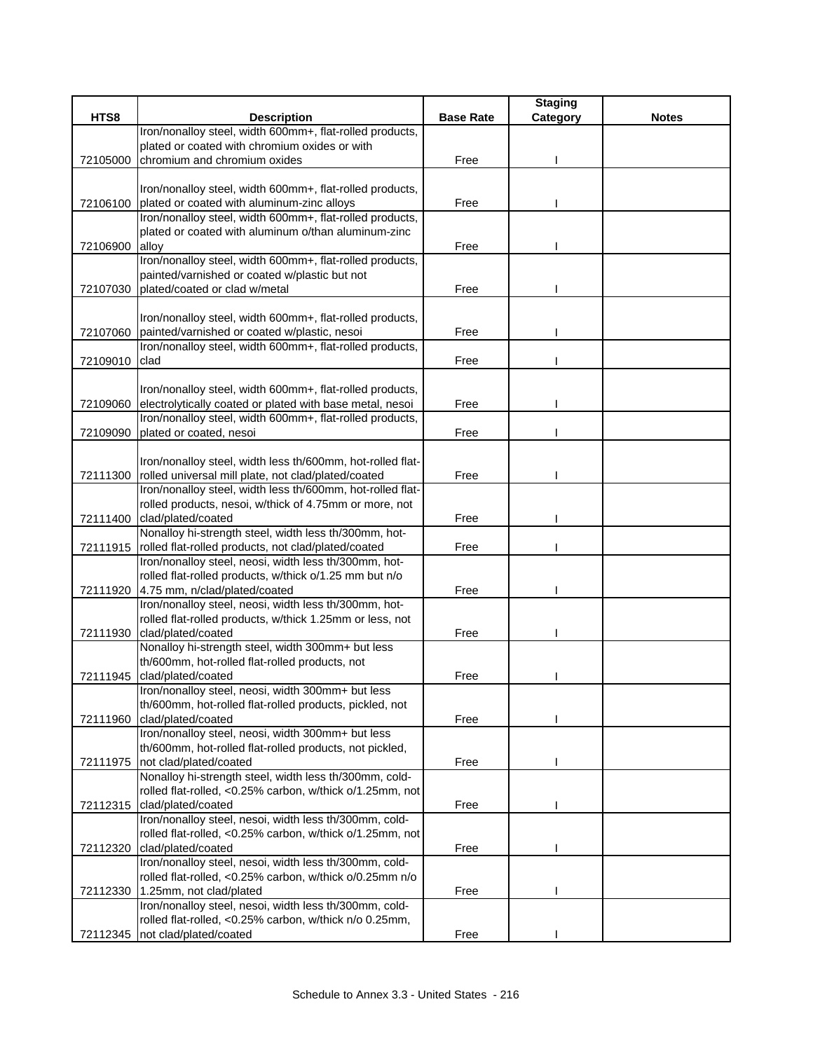|          |                                                                             |                  | <b>Staging</b> |              |
|----------|-----------------------------------------------------------------------------|------------------|----------------|--------------|
| HTS8     | <b>Description</b>                                                          | <b>Base Rate</b> | Category       | <b>Notes</b> |
|          | Iron/nonalloy steel, width 600mm+, flat-rolled products,                    |                  |                |              |
|          | plated or coated with chromium oxides or with                               |                  |                |              |
| 72105000 | chromium and chromium oxides                                                | Free             |                |              |
|          |                                                                             |                  |                |              |
|          | Iron/nonalloy steel, width 600mm+, flat-rolled products,                    |                  |                |              |
|          | 72106100 plated or coated with aluminum-zinc alloys                         | Free             |                |              |
|          | Iron/nonalloy steel, width 600mm+, flat-rolled products,                    |                  |                |              |
|          | plated or coated with aluminum o/than aluminum-zinc                         |                  |                |              |
| 72106900 | alloy                                                                       | Free             |                |              |
|          | Iron/nonalloy steel, width 600mm+, flat-rolled products,                    |                  |                |              |
|          | painted/varnished or coated w/plastic but not                               |                  |                |              |
| 72107030 | plated/coated or clad w/metal                                               | Free             |                |              |
|          |                                                                             |                  |                |              |
|          | Iron/nonalloy steel, width 600mm+, flat-rolled products,                    |                  |                |              |
| 72107060 | painted/varnished or coated w/plastic, nesoi                                | Free             |                |              |
|          | Iron/nonalloy steel, width 600mm+, flat-rolled products,                    |                  |                |              |
| 72109010 | clad                                                                        | Free             |                |              |
|          |                                                                             |                  |                |              |
|          | Iron/nonalloy steel, width 600mm+, flat-rolled products,                    |                  |                |              |
| 72109060 | electrolytically coated or plated with base metal, nesoi                    | Free             |                |              |
|          | Iron/nonalloy steel, width 600mm+, flat-rolled products,                    |                  |                |              |
| 72109090 | plated or coated, nesoi                                                     | Free             |                |              |
|          |                                                                             |                  |                |              |
|          | Iron/nonalloy steel, width less th/600mm, hot-rolled flat-                  |                  |                |              |
| 72111300 | rolled universal mill plate, not clad/plated/coated                         | Free             |                |              |
|          | Iron/nonalloy steel, width less th/600mm, hot-rolled flat-                  |                  |                |              |
|          | rolled products, nesoi, w/thick of 4.75mm or more, not                      |                  |                |              |
| 72111400 | clad/plated/coated<br>Nonalloy hi-strength steel, width less th/300mm, hot- | Free             |                |              |
|          | 72111915   rolled flat-rolled products, not clad/plated/coated              | Free             |                |              |
|          | Iron/nonalloy steel, neosi, width less th/300mm, hot-                       |                  |                |              |
|          | rolled flat-rolled products, w/thick o/1.25 mm but n/o                      |                  |                |              |
|          | 72111920 4.75 mm, n/clad/plated/coated                                      | Free             |                |              |
|          | Iron/nonalloy steel, neosi, width less th/300mm, hot-                       |                  |                |              |
|          | rolled flat-rolled products, w/thick 1.25mm or less, not                    |                  |                |              |
| 72111930 | clad/plated/coated                                                          | Free             |                |              |
|          | Nonalloy hi-strength steel, width 300mm+ but less                           |                  |                |              |
|          | th/600mm, hot-rolled flat-rolled products, not                              |                  |                |              |
| 72111945 | clad/plated/coated                                                          | Free             |                |              |
|          | Iron/nonalloy steel, neosi, width 300mm+ but less                           |                  |                |              |
|          | th/600mm, hot-rolled flat-rolled products, pickled, not                     |                  |                |              |
| 72111960 | clad/plated/coated                                                          | Free             |                |              |
|          | Iron/nonalloy steel, neosi, width 300mm+ but less                           |                  |                |              |
|          | th/600mm, hot-rolled flat-rolled products, not pickled,                     |                  |                |              |
| 72111975 | not clad/plated/coated                                                      | Free             |                |              |
|          | Nonalloy hi-strength steel, width less th/300mm, cold-                      |                  |                |              |
|          | rolled flat-rolled, <0.25% carbon, w/thick o/1.25mm, not                    |                  |                |              |
| 72112315 | clad/plated/coated                                                          | Free             |                |              |
|          | Iron/nonalloy steel, nesoi, width less th/300mm, cold-                      |                  |                |              |
|          | rolled flat-rolled, <0.25% carbon, w/thick o/1.25mm, not                    |                  |                |              |
| 72112320 | clad/plated/coated                                                          | Free             |                |              |
|          | Iron/nonalloy steel, nesoi, width less th/300mm, cold-                      |                  |                |              |
|          | rolled flat-rolled, <0.25% carbon, w/thick o/0.25mm n/o                     |                  |                |              |
| 72112330 | 1.25mm, not clad/plated                                                     | Free             |                |              |
|          | Iron/nonalloy steel, nesoi, width less th/300mm, cold-                      |                  |                |              |
|          | rolled flat-rolled, <0.25% carbon, w/thick n/o 0.25mm,                      |                  |                |              |
| 72112345 | not clad/plated/coated                                                      | Free             |                |              |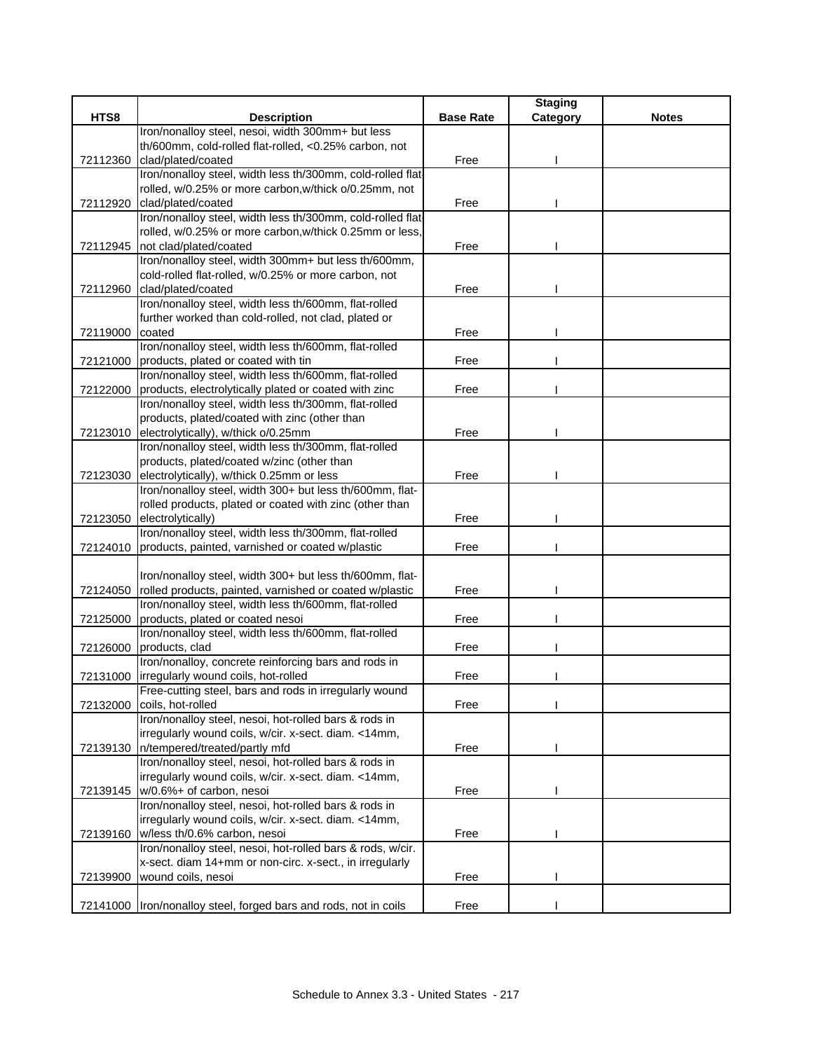|          |                                                                                               |                  | <b>Staging</b> |              |
|----------|-----------------------------------------------------------------------------------------------|------------------|----------------|--------------|
| HTS8     | <b>Description</b>                                                                            | <b>Base Rate</b> | Category       | <b>Notes</b> |
|          | Iron/nonalloy steel, nesoi, width 300mm+ but less                                             |                  |                |              |
|          | th/600mm, cold-rolled flat-rolled, <0.25% carbon, not                                         |                  |                |              |
| 72112360 | clad/plated/coated                                                                            | Free             |                |              |
|          | Iron/nonalloy steel, width less th/300mm, cold-rolled flat-                                   |                  |                |              |
|          | rolled, w/0.25% or more carbon, w/thick o/0.25mm, not                                         |                  |                |              |
| 72112920 | clad/plated/coated                                                                            | Free             |                |              |
|          | Iron/nonalloy steel, width less th/300mm, cold-rolled flat-                                   |                  |                |              |
|          | rolled, w/0.25% or more carbon, w/thick 0.25mm or less,                                       |                  |                |              |
| 72112945 | not clad/plated/coated                                                                        | Free             |                |              |
|          | Iron/nonalloy steel, width 300mm+ but less th/600mm,                                          |                  |                |              |
|          | cold-rolled flat-rolled, w/0.25% or more carbon, not                                          |                  |                |              |
| 72112960 | clad/plated/coated                                                                            | Free             |                |              |
|          | Iron/nonalloy steel, width less th/600mm, flat-rolled                                         |                  |                |              |
|          | further worked than cold-rolled, not clad, plated or                                          |                  |                |              |
| 72119000 | coated                                                                                        | Free             |                |              |
|          | Iron/nonalloy steel, width less th/600mm, flat-rolled                                         |                  |                |              |
|          | 72121000 products, plated or coated with tin                                                  | Free             |                |              |
|          | Iron/nonalloy steel, width less th/600mm, flat-rolled                                         |                  |                |              |
| 72122000 | products, electrolytically plated or coated with zinc                                         | Free             |                |              |
|          | Iron/nonalloy steel, width less th/300mm, flat-rolled                                         |                  |                |              |
|          | products, plated/coated with zinc (other than                                                 |                  |                |              |
|          | 72123010 electrolytically), w/thick o/0.25mm                                                  | Free             |                |              |
|          | Iron/nonalloy steel, width less th/300mm, flat-rolled                                         |                  |                |              |
|          | products, plated/coated w/zinc (other than                                                    |                  |                |              |
| 72123030 | electrolytically), w/thick 0.25mm or less                                                     | Free             |                |              |
|          | Iron/nonalloy steel, width 300+ but less th/600mm, flat-                                      |                  |                |              |
|          | rolled products, plated or coated with zinc (other than                                       |                  |                |              |
| 72123050 | electrolytically)                                                                             | Free             |                |              |
|          | Iron/nonalloy steel, width less th/300mm, flat-rolled                                         |                  |                |              |
| 72124010 | products, painted, varnished or coated w/plastic                                              | Free             |                |              |
|          |                                                                                               |                  |                |              |
|          | Iron/nonalloy steel, width 300+ but less th/600mm, flat-                                      |                  |                |              |
| 72124050 | rolled products, painted, varnished or coated w/plastic                                       | Free             |                |              |
|          | Iron/nonalloy steel, width less th/600mm, flat-rolled                                         |                  |                |              |
| 72125000 | products, plated or coated nesoi                                                              | Free             |                |              |
|          | Iron/nonalloy steel, width less th/600mm, flat-rolled                                         |                  |                |              |
| 72126000 | products, clad                                                                                | Free             |                |              |
|          | Iron/nonalloy, concrete reinforcing bars and rods in                                          |                  |                |              |
| 72131000 | irregularly wound coils, hot-rolled<br>Free-cutting steel, bars and rods in irregularly wound | Free             |                |              |
| 72132000 | coils, hot-rolled                                                                             | Free             |                |              |
|          | Iron/nonalloy steel, nesoi, hot-rolled bars & rods in                                         |                  |                |              |
|          | irregularly wound coils, w/cir. x-sect. diam. <14mm,                                          |                  |                |              |
|          | 72139130   n/tempered/treated/partly mfd                                                      | Free             |                |              |
|          | Iron/nonalloy steel, nesoi, hot-rolled bars & rods in                                         |                  |                |              |
|          | irregularly wound coils, w/cir. x-sect. diam. <14mm,                                          |                  |                |              |
|          | 72139145 w/0.6%+ of carbon, nesoi                                                             | Free             |                |              |
|          | Iron/nonalloy steel, nesoi, hot-rolled bars & rods in                                         |                  |                |              |
|          | irregularly wound coils, w/cir. x-sect. diam. <14mm,                                          |                  |                |              |
|          | 72139160 w/less th/0.6% carbon, nesoi                                                         | Free             |                |              |
|          | Iron/nonalloy steel, nesoi, hot-rolled bars & rods, w/cir.                                    |                  |                |              |
|          | x-sect. diam 14+mm or non-circ. x-sect., in irregularly                                       |                  |                |              |
| 72139900 | wound coils, nesoi                                                                            | Free             |                |              |
|          |                                                                                               |                  |                |              |
|          | 72141000  Iron/nonalloy steel, forged bars and rods, not in coils                             | Free             |                |              |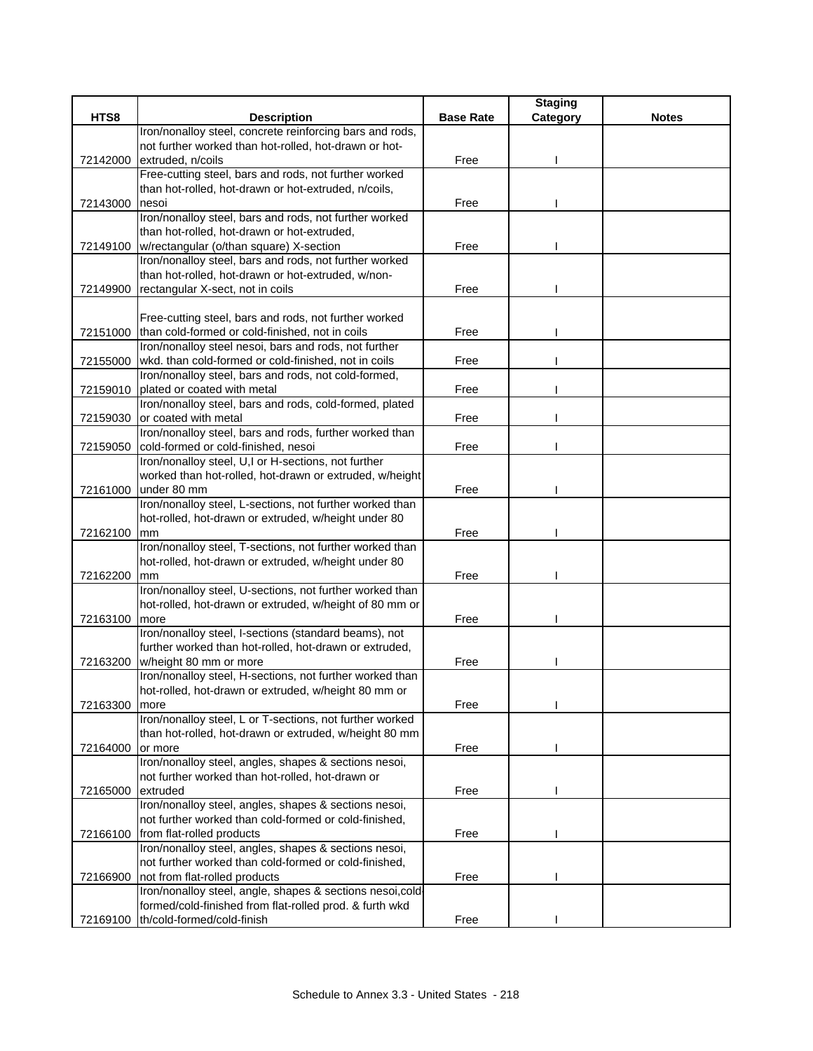| <b>Base Rate</b><br><b>Description</b><br>Category<br>Iron/nonalloy steel, concrete reinforcing bars and rods,<br>not further worked than hot-rolled, hot-drawn or hot-<br>extruded, n/coils<br>Free<br>72142000<br>Free-cutting steel, bars and rods, not further worked<br>than hot-rolled, hot-drawn or hot-extruded, n/coils,<br>72143000<br>nesoi<br>Free<br>Iron/nonalloy steel, bars and rods, not further worked<br>than hot-rolled, hot-drawn or hot-extruded,<br>72149100 w/rectangular (o/than square) X-section<br>Free<br>Iron/nonalloy steel, bars and rods, not further worked<br>than hot-rolled, hot-drawn or hot-extruded, w/non-<br>rectangular X-sect, not in coils<br>Free<br>72149900<br>Free-cutting steel, bars and rods, not further worked<br>than cold-formed or cold-finished, not in coils<br>72151000<br>Free<br>Iron/nonalloy steel nesoi, bars and rods, not further<br>wkd. than cold-formed or cold-finished, not in coils<br>Free<br>72155000<br>Iron/nonalloy steel, bars and rods, not cold-formed,<br>plated or coated with metal<br>72159010<br>Free<br>Iron/nonalloy steel, bars and rods, cold-formed, plated |          |                      |      | <b>Staging</b> |              |
|--------------------------------------------------------------------------------------------------------------------------------------------------------------------------------------------------------------------------------------------------------------------------------------------------------------------------------------------------------------------------------------------------------------------------------------------------------------------------------------------------------------------------------------------------------------------------------------------------------------------------------------------------------------------------------------------------------------------------------------------------------------------------------------------------------------------------------------------------------------------------------------------------------------------------------------------------------------------------------------------------------------------------------------------------------------------------------------------------------------------------------------------------------|----------|----------------------|------|----------------|--------------|
|                                                                                                                                                                                                                                                                                                                                                                                                                                                                                                                                                                                                                                                                                                                                                                                                                                                                                                                                                                                                                                                                                                                                                        | HTS8     |                      |      |                | <b>Notes</b> |
|                                                                                                                                                                                                                                                                                                                                                                                                                                                                                                                                                                                                                                                                                                                                                                                                                                                                                                                                                                                                                                                                                                                                                        |          |                      |      |                |              |
|                                                                                                                                                                                                                                                                                                                                                                                                                                                                                                                                                                                                                                                                                                                                                                                                                                                                                                                                                                                                                                                                                                                                                        |          |                      |      |                |              |
|                                                                                                                                                                                                                                                                                                                                                                                                                                                                                                                                                                                                                                                                                                                                                                                                                                                                                                                                                                                                                                                                                                                                                        |          |                      |      |                |              |
|                                                                                                                                                                                                                                                                                                                                                                                                                                                                                                                                                                                                                                                                                                                                                                                                                                                                                                                                                                                                                                                                                                                                                        |          |                      |      |                |              |
|                                                                                                                                                                                                                                                                                                                                                                                                                                                                                                                                                                                                                                                                                                                                                                                                                                                                                                                                                                                                                                                                                                                                                        |          |                      |      |                |              |
|                                                                                                                                                                                                                                                                                                                                                                                                                                                                                                                                                                                                                                                                                                                                                                                                                                                                                                                                                                                                                                                                                                                                                        |          |                      |      |                |              |
|                                                                                                                                                                                                                                                                                                                                                                                                                                                                                                                                                                                                                                                                                                                                                                                                                                                                                                                                                                                                                                                                                                                                                        |          |                      |      |                |              |
|                                                                                                                                                                                                                                                                                                                                                                                                                                                                                                                                                                                                                                                                                                                                                                                                                                                                                                                                                                                                                                                                                                                                                        |          |                      |      |                |              |
|                                                                                                                                                                                                                                                                                                                                                                                                                                                                                                                                                                                                                                                                                                                                                                                                                                                                                                                                                                                                                                                                                                                                                        |          |                      |      |                |              |
|                                                                                                                                                                                                                                                                                                                                                                                                                                                                                                                                                                                                                                                                                                                                                                                                                                                                                                                                                                                                                                                                                                                                                        |          |                      |      |                |              |
|                                                                                                                                                                                                                                                                                                                                                                                                                                                                                                                                                                                                                                                                                                                                                                                                                                                                                                                                                                                                                                                                                                                                                        |          |                      |      |                |              |
|                                                                                                                                                                                                                                                                                                                                                                                                                                                                                                                                                                                                                                                                                                                                                                                                                                                                                                                                                                                                                                                                                                                                                        |          |                      |      |                |              |
|                                                                                                                                                                                                                                                                                                                                                                                                                                                                                                                                                                                                                                                                                                                                                                                                                                                                                                                                                                                                                                                                                                                                                        |          |                      |      |                |              |
|                                                                                                                                                                                                                                                                                                                                                                                                                                                                                                                                                                                                                                                                                                                                                                                                                                                                                                                                                                                                                                                                                                                                                        |          |                      |      |                |              |
|                                                                                                                                                                                                                                                                                                                                                                                                                                                                                                                                                                                                                                                                                                                                                                                                                                                                                                                                                                                                                                                                                                                                                        |          |                      |      |                |              |
|                                                                                                                                                                                                                                                                                                                                                                                                                                                                                                                                                                                                                                                                                                                                                                                                                                                                                                                                                                                                                                                                                                                                                        |          |                      |      |                |              |
|                                                                                                                                                                                                                                                                                                                                                                                                                                                                                                                                                                                                                                                                                                                                                                                                                                                                                                                                                                                                                                                                                                                                                        |          |                      |      |                |              |
|                                                                                                                                                                                                                                                                                                                                                                                                                                                                                                                                                                                                                                                                                                                                                                                                                                                                                                                                                                                                                                                                                                                                                        |          |                      |      |                |              |
|                                                                                                                                                                                                                                                                                                                                                                                                                                                                                                                                                                                                                                                                                                                                                                                                                                                                                                                                                                                                                                                                                                                                                        |          |                      |      |                |              |
|                                                                                                                                                                                                                                                                                                                                                                                                                                                                                                                                                                                                                                                                                                                                                                                                                                                                                                                                                                                                                                                                                                                                                        | 72159030 | or coated with metal | Free |                |              |
| Iron/nonalloy steel, bars and rods, further worked than                                                                                                                                                                                                                                                                                                                                                                                                                                                                                                                                                                                                                                                                                                                                                                                                                                                                                                                                                                                                                                                                                                |          |                      |      |                |              |
| cold-formed or cold-finished, nesoi<br>Free<br>72159050                                                                                                                                                                                                                                                                                                                                                                                                                                                                                                                                                                                                                                                                                                                                                                                                                                                                                                                                                                                                                                                                                                |          |                      |      |                |              |
| Iron/nonalloy steel, U,I or H-sections, not further                                                                                                                                                                                                                                                                                                                                                                                                                                                                                                                                                                                                                                                                                                                                                                                                                                                                                                                                                                                                                                                                                                    |          |                      |      |                |              |
| worked than hot-rolled, hot-drawn or extruded, w/height                                                                                                                                                                                                                                                                                                                                                                                                                                                                                                                                                                                                                                                                                                                                                                                                                                                                                                                                                                                                                                                                                                |          |                      |      |                |              |
| 72161000<br>under 80 mm<br>Free                                                                                                                                                                                                                                                                                                                                                                                                                                                                                                                                                                                                                                                                                                                                                                                                                                                                                                                                                                                                                                                                                                                        |          |                      |      |                |              |
| Iron/nonalloy steel, L-sections, not further worked than                                                                                                                                                                                                                                                                                                                                                                                                                                                                                                                                                                                                                                                                                                                                                                                                                                                                                                                                                                                                                                                                                               |          |                      |      |                |              |
| hot-rolled, hot-drawn or extruded, w/height under 80                                                                                                                                                                                                                                                                                                                                                                                                                                                                                                                                                                                                                                                                                                                                                                                                                                                                                                                                                                                                                                                                                                   |          |                      |      |                |              |
| 72162100<br>Free<br>mm<br>Iron/nonalloy steel, T-sections, not further worked than                                                                                                                                                                                                                                                                                                                                                                                                                                                                                                                                                                                                                                                                                                                                                                                                                                                                                                                                                                                                                                                                     |          |                      |      |                |              |
| hot-rolled, hot-drawn or extruded, w/height under 80                                                                                                                                                                                                                                                                                                                                                                                                                                                                                                                                                                                                                                                                                                                                                                                                                                                                                                                                                                                                                                                                                                   |          |                      |      |                |              |
| Free<br>72162200<br>mm                                                                                                                                                                                                                                                                                                                                                                                                                                                                                                                                                                                                                                                                                                                                                                                                                                                                                                                                                                                                                                                                                                                                 |          |                      |      |                |              |
| Iron/nonalloy steel, U-sections, not further worked than                                                                                                                                                                                                                                                                                                                                                                                                                                                                                                                                                                                                                                                                                                                                                                                                                                                                                                                                                                                                                                                                                               |          |                      |      |                |              |
| hot-rolled, hot-drawn or extruded, w/height of 80 mm or                                                                                                                                                                                                                                                                                                                                                                                                                                                                                                                                                                                                                                                                                                                                                                                                                                                                                                                                                                                                                                                                                                |          |                      |      |                |              |
| 72163100<br>Free<br>more                                                                                                                                                                                                                                                                                                                                                                                                                                                                                                                                                                                                                                                                                                                                                                                                                                                                                                                                                                                                                                                                                                                               |          |                      |      |                |              |
| Iron/nonalloy steel, I-sections (standard beams), not                                                                                                                                                                                                                                                                                                                                                                                                                                                                                                                                                                                                                                                                                                                                                                                                                                                                                                                                                                                                                                                                                                  |          |                      |      |                |              |
| further worked than hot-rolled, hot-drawn or extruded,                                                                                                                                                                                                                                                                                                                                                                                                                                                                                                                                                                                                                                                                                                                                                                                                                                                                                                                                                                                                                                                                                                 |          |                      |      |                |              |
| w/height 80 mm or more<br>Free<br>72163200                                                                                                                                                                                                                                                                                                                                                                                                                                                                                                                                                                                                                                                                                                                                                                                                                                                                                                                                                                                                                                                                                                             |          |                      |      |                |              |
| Iron/nonalloy steel, H-sections, not further worked than                                                                                                                                                                                                                                                                                                                                                                                                                                                                                                                                                                                                                                                                                                                                                                                                                                                                                                                                                                                                                                                                                               |          |                      |      |                |              |
| hot-rolled, hot-drawn or extruded, w/height 80 mm or                                                                                                                                                                                                                                                                                                                                                                                                                                                                                                                                                                                                                                                                                                                                                                                                                                                                                                                                                                                                                                                                                                   |          |                      |      |                |              |
| Free<br>72163300<br>more                                                                                                                                                                                                                                                                                                                                                                                                                                                                                                                                                                                                                                                                                                                                                                                                                                                                                                                                                                                                                                                                                                                               |          |                      |      |                |              |
| Iron/nonalloy steel, L or T-sections, not further worked                                                                                                                                                                                                                                                                                                                                                                                                                                                                                                                                                                                                                                                                                                                                                                                                                                                                                                                                                                                                                                                                                               |          |                      |      |                |              |
| than hot-rolled, hot-drawn or extruded, w/height 80 mm                                                                                                                                                                                                                                                                                                                                                                                                                                                                                                                                                                                                                                                                                                                                                                                                                                                                                                                                                                                                                                                                                                 |          |                      |      |                |              |
| or more<br>72164000<br>Free                                                                                                                                                                                                                                                                                                                                                                                                                                                                                                                                                                                                                                                                                                                                                                                                                                                                                                                                                                                                                                                                                                                            |          |                      |      |                |              |
| Iron/nonalloy steel, angles, shapes & sections nesoi,                                                                                                                                                                                                                                                                                                                                                                                                                                                                                                                                                                                                                                                                                                                                                                                                                                                                                                                                                                                                                                                                                                  |          |                      |      |                |              |
| not further worked than hot-rolled, hot-drawn or                                                                                                                                                                                                                                                                                                                                                                                                                                                                                                                                                                                                                                                                                                                                                                                                                                                                                                                                                                                                                                                                                                       |          |                      |      |                |              |
| extruded<br>Free<br>72165000                                                                                                                                                                                                                                                                                                                                                                                                                                                                                                                                                                                                                                                                                                                                                                                                                                                                                                                                                                                                                                                                                                                           |          |                      |      |                |              |
| Iron/nonalloy steel, angles, shapes & sections nesoi,<br>not further worked than cold-formed or cold-finished,                                                                                                                                                                                                                                                                                                                                                                                                                                                                                                                                                                                                                                                                                                                                                                                                                                                                                                                                                                                                                                         |          |                      |      |                |              |
| from flat-rolled products<br>72166100<br>Free                                                                                                                                                                                                                                                                                                                                                                                                                                                                                                                                                                                                                                                                                                                                                                                                                                                                                                                                                                                                                                                                                                          |          |                      |      |                |              |
| Iron/nonalloy steel, angles, shapes & sections nesoi,                                                                                                                                                                                                                                                                                                                                                                                                                                                                                                                                                                                                                                                                                                                                                                                                                                                                                                                                                                                                                                                                                                  |          |                      |      |                |              |
| not further worked than cold-formed or cold-finished,                                                                                                                                                                                                                                                                                                                                                                                                                                                                                                                                                                                                                                                                                                                                                                                                                                                                                                                                                                                                                                                                                                  |          |                      |      |                |              |
| not from flat-rolled products<br>Free<br>72166900                                                                                                                                                                                                                                                                                                                                                                                                                                                                                                                                                                                                                                                                                                                                                                                                                                                                                                                                                                                                                                                                                                      |          |                      |      |                |              |
| Iron/nonalloy steel, angle, shapes & sections nesoi,cold                                                                                                                                                                                                                                                                                                                                                                                                                                                                                                                                                                                                                                                                                                                                                                                                                                                                                                                                                                                                                                                                                               |          |                      |      |                |              |
| formed/cold-finished from flat-rolled prod. & furth wkd                                                                                                                                                                                                                                                                                                                                                                                                                                                                                                                                                                                                                                                                                                                                                                                                                                                                                                                                                                                                                                                                                                |          |                      |      |                |              |
| th/cold-formed/cold-finish<br>72169100<br>Free                                                                                                                                                                                                                                                                                                                                                                                                                                                                                                                                                                                                                                                                                                                                                                                                                                                                                                                                                                                                                                                                                                         |          |                      |      |                |              |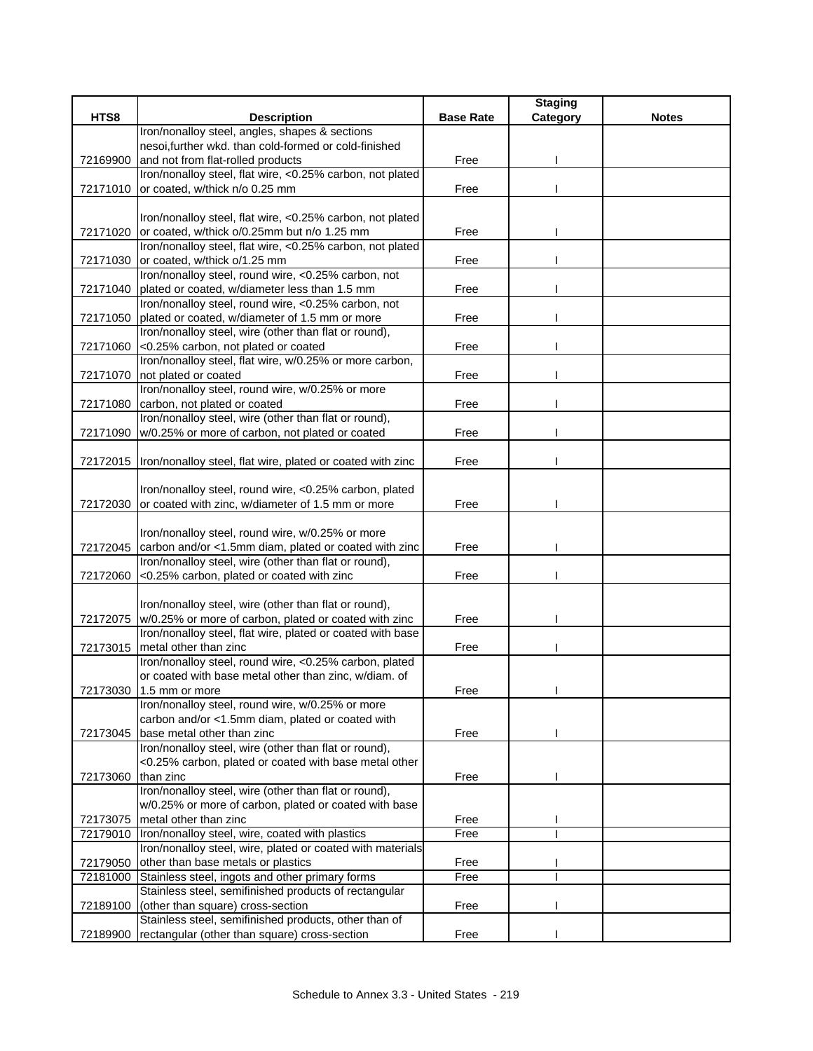|          |                                                                                                               |                  | <b>Staging</b> |              |
|----------|---------------------------------------------------------------------------------------------------------------|------------------|----------------|--------------|
| HTS8     | <b>Description</b>                                                                                            | <b>Base Rate</b> | Category       | <b>Notes</b> |
|          | Iron/nonalloy steel, angles, shapes & sections                                                                |                  |                |              |
|          | nesoi, further wkd. than cold-formed or cold-finished                                                         |                  |                |              |
| 72169900 | and not from flat-rolled products                                                                             | Free             |                |              |
|          | Iron/nonalloy steel, flat wire, <0.25% carbon, not plated                                                     |                  |                |              |
| 72171010 | or coated, w/thick n/o 0.25 mm                                                                                | Free             |                |              |
|          |                                                                                                               |                  |                |              |
|          | Iron/nonalloy steel, flat wire, <0.25% carbon, not plated                                                     |                  |                |              |
| 72171020 | or coated, w/thick o/0.25mm but n/o 1.25 mm                                                                   | Free             |                |              |
|          | Iron/nonalloy steel, flat wire, <0.25% carbon, not plated                                                     |                  |                |              |
|          | 72171030 or coated, w/thick o/1.25 mm                                                                         | Free             |                |              |
|          | Iron/nonalloy steel, round wire, <0.25% carbon, not                                                           |                  |                |              |
| 72171040 | plated or coated, w/diameter less than 1.5 mm                                                                 | Free             |                |              |
|          | Iron/nonalloy steel, round wire, <0.25% carbon, not                                                           |                  |                |              |
| 72171050 | plated or coated, w/diameter of 1.5 mm or more                                                                | Free             |                |              |
|          | Iron/nonalloy steel, wire (other than flat or round),                                                         |                  |                |              |
| 72171060 | <0.25% carbon, not plated or coated                                                                           | Free             |                |              |
|          | Iron/nonalloy steel, flat wire, w/0.25% or more carbon,                                                       |                  |                |              |
| 72171070 | not plated or coated                                                                                          | Free             |                |              |
|          | Iron/nonalloy steel, round wire, w/0.25% or more                                                              |                  |                |              |
| 72171080 | carbon, not plated or coated                                                                                  | Free             |                |              |
|          | Iron/nonalloy steel, wire (other than flat or round),                                                         |                  |                |              |
| 72171090 | w/0.25% or more of carbon, not plated or coated                                                               | Free             |                |              |
|          |                                                                                                               |                  |                |              |
| 72172015 | Iron/nonalloy steel, flat wire, plated or coated with zinc                                                    | Free             |                |              |
|          |                                                                                                               |                  |                |              |
|          | Iron/nonalloy steel, round wire, <0.25% carbon, plated                                                        |                  |                |              |
|          | 72172030 or coated with zinc, w/diameter of 1.5 mm or more                                                    | Free             |                |              |
|          |                                                                                                               |                  |                |              |
|          | Iron/nonalloy steel, round wire, w/0.25% or more                                                              |                  |                |              |
| 72172045 | carbon and/or <1.5mm diam, plated or coated with zinc                                                         | Free             |                |              |
|          | Iron/nonalloy steel, wire (other than flat or round),                                                         |                  |                |              |
| 72172060 | <0.25% carbon, plated or coated with zinc                                                                     | Free             |                |              |
|          |                                                                                                               |                  |                |              |
|          | Iron/nonalloy steel, wire (other than flat or round),                                                         |                  |                |              |
|          | 72172075 w/0.25% or more of carbon, plated or coated with zinc                                                | Free             |                |              |
|          | Iron/nonalloy steel, flat wire, plated or coated with base                                                    |                  |                |              |
| 72173015 | metal other than zinc                                                                                         | Free             |                |              |
|          | Iron/nonalloy steel, round wire, <0.25% carbon, plated                                                        |                  |                |              |
|          | or coated with base metal other than zinc, w/diam. of                                                         |                  |                |              |
| 72173030 | 1.5 mm or more                                                                                                | Free             |                |              |
|          | Iron/nonalloy steel, round wire, w/0.25% or more                                                              |                  |                |              |
|          | carbon and/or <1.5mm diam, plated or coated with                                                              |                  |                |              |
| 72173045 | base metal other than zinc                                                                                    | Free             |                |              |
|          | Iron/nonalloy steel, wire (other than flat or round),                                                         |                  |                |              |
|          | <0.25% carbon, plated or coated with base metal other                                                         |                  |                |              |
| 72173060 | than zinc<br>Iron/nonalloy steel, wire (other than flat or round),                                            | Free             |                |              |
|          | w/0.25% or more of carbon, plated or coated with base                                                         |                  |                |              |
|          | metal other than zinc                                                                                         |                  |                |              |
| 72173075 |                                                                                                               | Free             |                |              |
| 72179010 | Iron/nonalloy steel, wire, coated with plastics<br>Iron/nonalloy steel, wire, plated or coated with materials | Free             |                |              |
|          | other than base metals or plastics                                                                            | Free             |                |              |
| 72179050 | Stainless steel, ingots and other primary forms                                                               | Free             |                |              |
| 72181000 | Stainless steel, semifinished products of rectangular                                                         |                  |                |              |
|          | (other than square) cross-section                                                                             |                  |                |              |
| 72189100 | Stainless steel, semifinished products, other than of                                                         | Free             |                |              |
| 72189900 | rectangular (other than square) cross-section                                                                 | Free             |                |              |
|          |                                                                                                               |                  |                |              |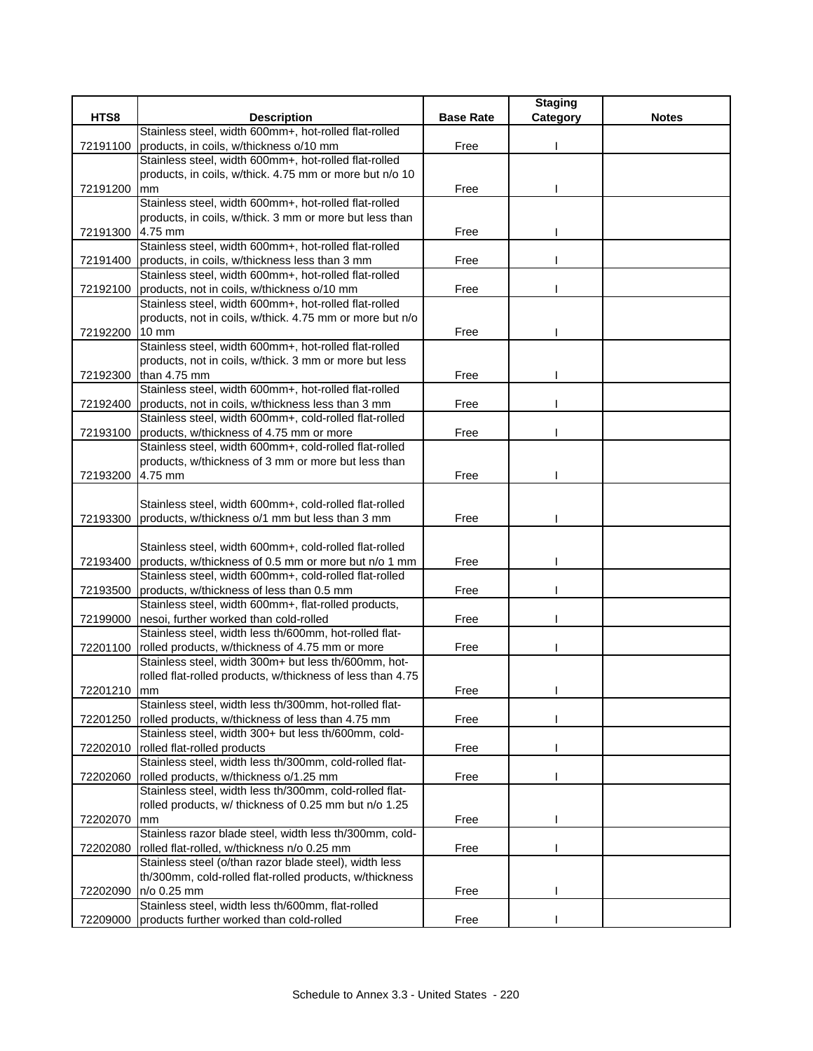|          |                                                            |                  | <b>Staging</b> |              |
|----------|------------------------------------------------------------|------------------|----------------|--------------|
| HTS8     | <b>Description</b>                                         | <b>Base Rate</b> | Category       | <b>Notes</b> |
|          | Stainless steel, width 600mm+, hot-rolled flat-rolled      |                  |                |              |
| 72191100 | products, in coils, w/thickness o/10 mm                    | Free             |                |              |
|          | Stainless steel, width 600mm+, hot-rolled flat-rolled      |                  |                |              |
|          | products, in coils, w/thick. 4.75 mm or more but n/o 10    |                  |                |              |
| 72191200 | mm                                                         | Free             |                |              |
|          | Stainless steel, width 600mm+, hot-rolled flat-rolled      |                  |                |              |
|          | products, in coils, w/thick. 3 mm or more but less than    |                  |                |              |
| 72191300 | 4.75 mm                                                    | Free             |                |              |
|          | Stainless steel, width 600mm+, hot-rolled flat-rolled      |                  |                |              |
|          | 72191400 products, in coils, w/thickness less than 3 mm    | Free             |                |              |
|          | Stainless steel, width 600mm+, hot-rolled flat-rolled      |                  |                |              |
| 72192100 | products, not in coils, w/thickness o/10 mm                | Free             |                |              |
|          | Stainless steel, width 600mm+, hot-rolled flat-rolled      |                  |                |              |
|          | products, not in coils, w/thick. 4.75 mm or more but n/o   |                  |                |              |
| 72192200 | 10 mm                                                      | Free             |                |              |
|          | Stainless steel, width 600mm+, hot-rolled flat-rolled      |                  |                |              |
|          | products, not in coils, w/thick. 3 mm or more but less     |                  |                |              |
|          | 72192300 than 4.75 mm                                      | Free             |                |              |
|          | Stainless steel, width 600mm+, hot-rolled flat-rolled      |                  |                |              |
| 72192400 | products, not in coils, w/thickness less than 3 mm         | Free             |                |              |
|          | Stainless steel, width 600mm+, cold-rolled flat-rolled     |                  |                |              |
| 72193100 | products, w/thickness of 4.75 mm or more                   | Free             |                |              |
|          | Stainless steel, width 600mm+, cold-rolled flat-rolled     |                  |                |              |
|          | products, w/thickness of 3 mm or more but less than        |                  |                |              |
| 72193200 | 4.75 mm                                                    | Free             |                |              |
|          |                                                            |                  |                |              |
|          | Stainless steel, width 600mm+, cold-rolled flat-rolled     |                  |                |              |
| 72193300 | products, w/thickness o/1 mm but less than 3 mm            | Free             |                |              |
|          |                                                            |                  |                |              |
|          | Stainless steel, width 600mm+, cold-rolled flat-rolled     |                  |                |              |
| 72193400 | products, w/thickness of 0.5 mm or more but n/o 1 mm       | Free             |                |              |
|          | Stainless steel, width 600mm+, cold-rolled flat-rolled     |                  |                |              |
| 72193500 | products, w/thickness of less than 0.5 mm                  | Free             |                |              |
|          | Stainless steel, width 600mm+, flat-rolled products,       |                  |                |              |
| 72199000 | nesoi, further worked than cold-rolled                     | Free             |                |              |
|          | Stainless steel, width less th/600mm, hot-rolled flat-     |                  |                |              |
| 72201100 | rolled products, w/thickness of 4.75 mm or more            | Free             |                |              |
|          | Stainless steel, width 300m+ but less th/600mm, hot-       |                  |                |              |
|          | rolled flat-rolled products, w/thickness of less than 4.75 |                  |                |              |
| 72201210 | $\mathsf{m}\mathsf{m}$                                     | Free             |                |              |
|          | Stainless steel, width less th/300mm, hot-rolled flat-     |                  |                |              |
| 72201250 | rolled products, w/thickness of less than 4.75 mm          | Free             |                |              |
|          | Stainless steel, width 300+ but less th/600mm, cold-       |                  |                |              |
| 72202010 | rolled flat-rolled products                                | Free             |                |              |
|          | Stainless steel, width less th/300mm, cold-rolled flat-    |                  |                |              |
| 72202060 | rolled products, w/thickness o/1.25 mm                     | Free             |                |              |
|          | Stainless steel, width less th/300mm, cold-rolled flat-    |                  |                |              |
|          | rolled products, w/ thickness of 0.25 mm but n/o 1.25      |                  |                |              |
| 72202070 | mm                                                         | Free             |                |              |
|          | Stainless razor blade steel, width less th/300mm, cold-    |                  |                |              |
| 72202080 | rolled flat-rolled, w/thickness n/o 0.25 mm                | Free             |                |              |
|          | Stainless steel (o/than razor blade steel), width less     |                  |                |              |
|          | th/300mm, cold-rolled flat-rolled products, w/thickness    |                  |                |              |
| 72202090 | n/o 0.25 mm                                                | Free             |                |              |
|          | Stainless steel, width less th/600mm, flat-rolled          |                  |                |              |
| 72209000 | products further worked than cold-rolled                   | Free             |                |              |
|          |                                                            |                  |                |              |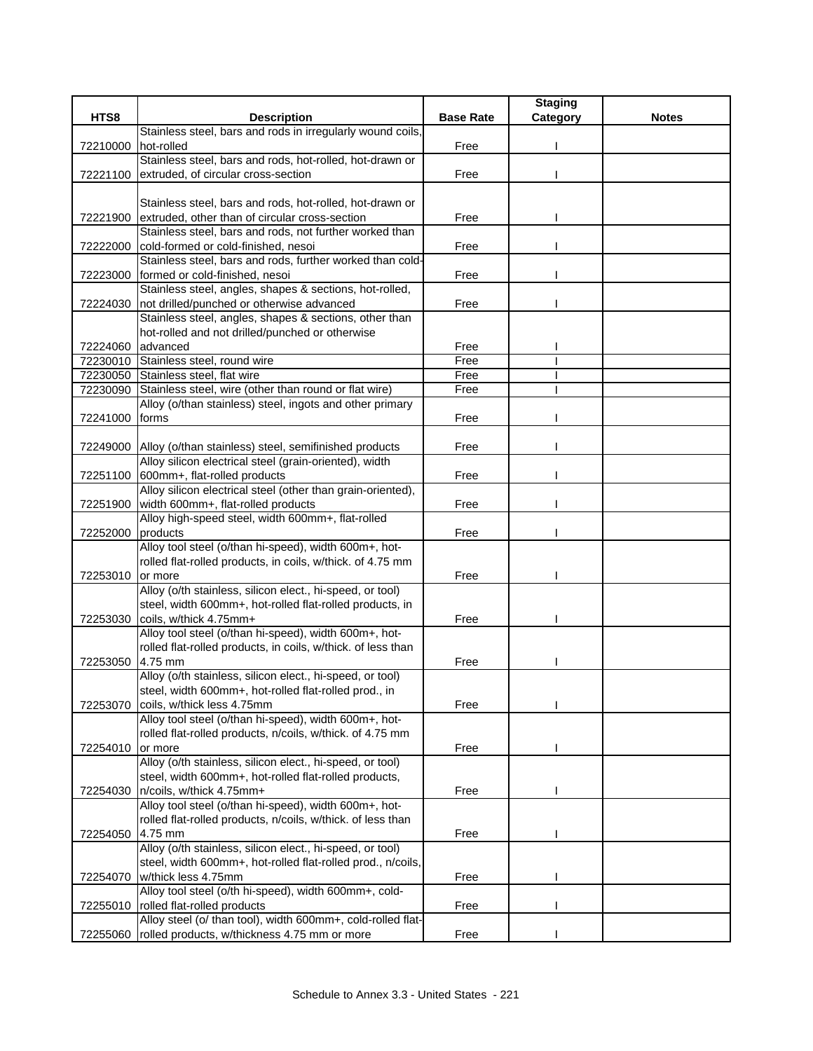|          |                                                                                                                          |                  | <b>Staging</b> |              |
|----------|--------------------------------------------------------------------------------------------------------------------------|------------------|----------------|--------------|
| HTS8     | <b>Description</b>                                                                                                       | <b>Base Rate</b> | Category       | <b>Notes</b> |
|          | Stainless steel, bars and rods in irregularly wound coils,                                                               |                  |                |              |
| 72210000 | hot-rolled                                                                                                               | Free             |                |              |
|          | Stainless steel, bars and rods, hot-rolled, hot-drawn or                                                                 |                  |                |              |
| 72221100 | extruded, of circular cross-section                                                                                      | Free             |                |              |
|          |                                                                                                                          |                  |                |              |
| 72221900 | Stainless steel, bars and rods, hot-rolled, hot-drawn or<br>extruded, other than of circular cross-section               | Free             |                |              |
|          | Stainless steel, bars and rods, not further worked than                                                                  |                  |                |              |
| 72222000 | cold-formed or cold-finished, nesoi                                                                                      | Free             |                |              |
|          | Stainless steel, bars and rods, further worked than cold-                                                                |                  |                |              |
| 72223000 | formed or cold-finished, nesoi                                                                                           | Free             |                |              |
|          | Stainless steel, angles, shapes & sections, hot-rolled,                                                                  |                  |                |              |
| 72224030 | not drilled/punched or otherwise advanced                                                                                | Free             |                |              |
|          | Stainless steel, angles, shapes & sections, other than                                                                   |                  |                |              |
|          | hot-rolled and not drilled/punched or otherwise                                                                          |                  |                |              |
| 72224060 | advanced                                                                                                                 | Free             |                |              |
| 72230010 | Stainless steel, round wire                                                                                              | Free             |                |              |
| 72230050 | Stainless steel, flat wire                                                                                               | Free             |                |              |
| 72230090 | Stainless steel, wire (other than round or flat wire)                                                                    | Free             |                |              |
|          | Alloy (o/than stainless) steel, ingots and other primary                                                                 |                  |                |              |
| 72241000 | forms                                                                                                                    | Free             |                |              |
|          |                                                                                                                          |                  |                |              |
|          | 72249000 Alloy (o/than stainless) steel, semifinished products<br>Alloy silicon electrical steel (grain-oriented), width | Free             |                |              |
| 72251100 | 600mm+, flat-rolled products                                                                                             | Free             |                |              |
|          | Alloy silicon electrical steel (other than grain-oriented),                                                              |                  |                |              |
| 72251900 | width 600mm+, flat-rolled products                                                                                       | Free             |                |              |
|          | Alloy high-speed steel, width 600mm+, flat-rolled                                                                        |                  |                |              |
| 72252000 | products                                                                                                                 | Free             |                |              |
|          | Alloy tool steel (o/than hi-speed), width 600m+, hot-                                                                    |                  |                |              |
|          | rolled flat-rolled products, in coils, w/thick. of 4.75 mm                                                               |                  |                |              |
| 72253010 | or more                                                                                                                  | Free             |                |              |
|          | Alloy (o/th stainless, silicon elect., hi-speed, or tool)                                                                |                  |                |              |
|          | steel, width 600mm+, hot-rolled flat-rolled products, in                                                                 |                  |                |              |
| 72253030 | coils, w/thick 4.75mm+                                                                                                   | Free             |                |              |
|          | Alloy tool steel (o/than hi-speed), width 600m+, hot-                                                                    |                  |                |              |
|          | rolled flat-rolled products, in coils, w/thick. of less than                                                             |                  |                |              |
| 72253050 | 4.75 mm                                                                                                                  | Free             |                |              |
|          | Alloy (o/th stainless, silicon elect., hi-speed, or tool)<br>steel, width 600mm+, hot-rolled flat-rolled prod., in       |                  |                |              |
| 72253070 | coils, w/thick less 4.75mm                                                                                               | Free             |                |              |
|          | Alloy tool steel (o/than hi-speed), width 600m+, hot-                                                                    |                  |                |              |
|          | rolled flat-rolled products, n/coils, w/thick. of 4.75 mm                                                                |                  |                |              |
| 72254010 | or more                                                                                                                  | Free             |                |              |
|          | Alloy (o/th stainless, silicon elect., hi-speed, or tool)                                                                |                  |                |              |
|          | steel, width 600mm+, hot-rolled flat-rolled products,                                                                    |                  |                |              |
| 72254030 | n/coils, w/thick 4.75mm+                                                                                                 | Free             |                |              |
|          | Alloy tool steel (o/than hi-speed), width 600m+, hot-                                                                    |                  |                |              |
|          | rolled flat-rolled products, n/coils, w/thick. of less than                                                              |                  |                |              |
| 72254050 | 4.75 mm                                                                                                                  | Free             |                |              |
|          | Alloy (o/th stainless, silicon elect., hi-speed, or tool)                                                                |                  |                |              |
|          | steel, width 600mm+, hot-rolled flat-rolled prod., n/coils,                                                              |                  |                |              |
| 72254070 | w/thick less 4.75mm                                                                                                      | Free             |                |              |
|          | Alloy tool steel (o/th hi-speed), width 600mm+, cold-                                                                    |                  |                |              |
| 72255010 | rolled flat-rolled products<br>Alloy steel (o/ than tool), width 600mm+, cold-rolled flat-                               | Free             |                |              |
| 72255060 | rolled products, w/thickness 4.75 mm or more                                                                             | Free             |                |              |
|          |                                                                                                                          |                  |                |              |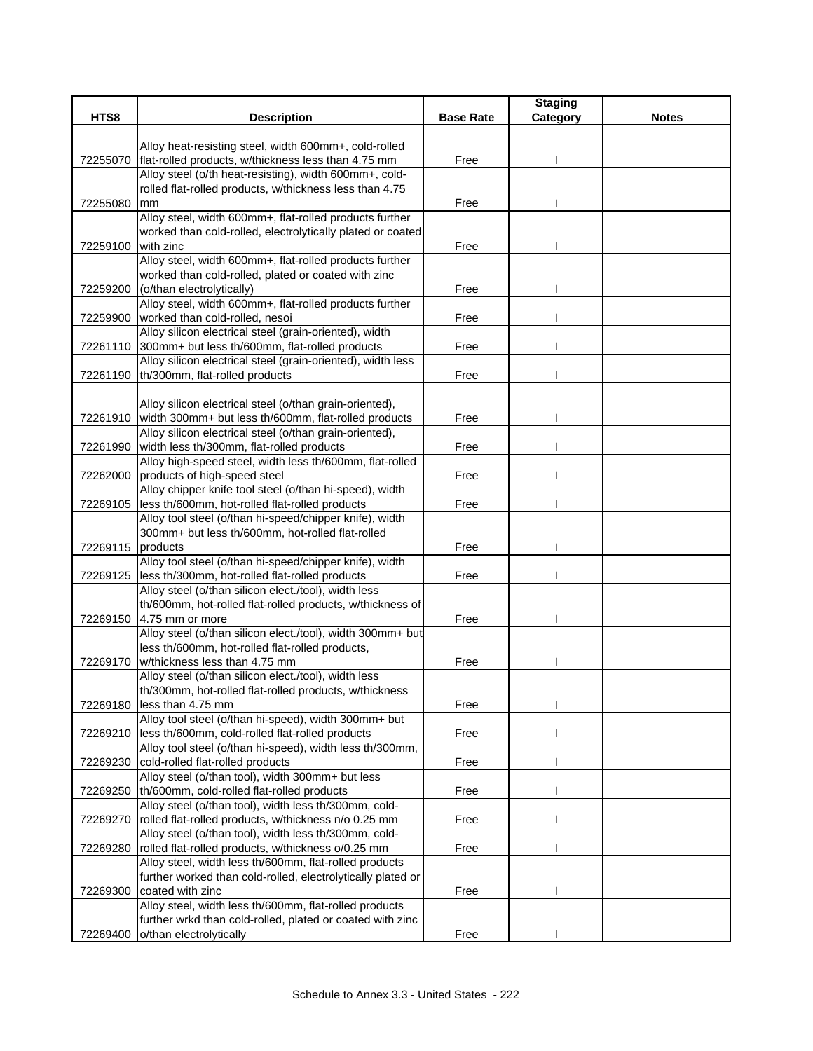| HTS8<br><b>Description</b><br><b>Base Rate</b><br><b>Notes</b><br>Category<br>Alloy heat-resisting steel, width 600mm+, cold-rolled<br>flat-rolled products, w/thickness less than 4.75 mm<br>Free<br>72255070<br>Alloy steel (o/th heat-resisting), width 600mm+, cold-<br>rolled flat-rolled products, w/thickness less than 4.75<br>72255080<br>Free<br>mm<br>Alloy steel, width 600mm+, flat-rolled products further<br>worked than cold-rolled, electrolytically plated or coated<br>with zinc<br>72259100<br>Free<br>Alloy steel, width 600mm+, flat-rolled products further<br>worked than cold-rolled, plated or coated with zinc<br>(o/than electrolytically)<br>Free<br>72259200<br>Alloy steel, width 600mm+, flat-rolled products further<br>worked than cold-rolled, nesoi<br>72259900<br>Free<br>Alloy silicon electrical steel (grain-oriented), width<br>300mm+ but less th/600mm, flat-rolled products<br>72261110<br>Free<br>Alloy silicon electrical steel (grain-oriented), width less<br>th/300mm, flat-rolled products<br>Free<br>72261190<br>Alloy silicon electrical steel (o/than grain-oriented),<br>width 300mm+ but less th/600mm, flat-rolled products<br>72261910<br>Free<br>Alloy silicon electrical steel (o/than grain-oriented),<br>width less th/300mm, flat-rolled products<br>Free<br>72261990<br>Alloy high-speed steel, width less th/600mm, flat-rolled<br>72262000<br>products of high-speed steel<br>Free<br>Alloy chipper knife tool steel (o/than hi-speed), width<br>less th/600mm, hot-rolled flat-rolled products<br>Free<br>72269105<br>Alloy tool steel (o/than hi-speed/chipper knife), width<br>300mm+ but less th/600mm, hot-rolled flat-rolled<br>72269115<br>products<br>Free<br>Alloy tool steel (o/than hi-speed/chipper knife), width<br>less th/300mm, hot-rolled flat-rolled products<br>Free<br>72269125<br>Alloy steel (o/than silicon elect./tool), width less<br>th/600mm, hot-rolled flat-rolled products, w/thickness of<br>72269150 4.75 mm or more<br>Free<br>Alloy steel (o/than silicon elect./tool), width 300mm+ but<br>less th/600mm, hot-rolled flat-rolled products,<br>w/thickness less than 4.75 mm<br>Free<br>72269170<br>Alloy steel (o/than silicon elect./tool), width less<br>th/300mm, hot-rolled flat-rolled products, w/thickness<br>72269180<br>less than 4.75 mm<br>Free<br>Alloy tool steel (o/than hi-speed), width 300mm+ but<br>less th/600mm, cold-rolled flat-rolled products<br>Free<br>72269210<br>Alloy tool steel (o/than hi-speed), width less th/300mm,<br>cold-rolled flat-rolled products<br>72269230<br>Free<br>Alloy steel (o/than tool), width 300mm+ but less<br>th/600mm, cold-rolled flat-rolled products<br>Free<br>72269250<br>Alloy steel (o/than tool), width less th/300mm, cold-<br>rolled flat-rolled products, w/thickness n/o 0.25 mm<br>72269270<br>Free<br>Alloy steel (o/than tool), width less th/300mm, cold-<br>rolled flat-rolled products, w/thickness o/0.25 mm<br>72269280<br>Free<br>Alloy steel, width less th/600mm, flat-rolled products<br>further worked than cold-rolled, electrolytically plated or<br>coated with zinc<br>72269300<br>Free<br>Alloy steel, width less th/600mm, flat-rolled products<br>further wrkd than cold-rolled, plated or coated with zinc |  | <b>Staging</b> |  |
|---------------------------------------------------------------------------------------------------------------------------------------------------------------------------------------------------------------------------------------------------------------------------------------------------------------------------------------------------------------------------------------------------------------------------------------------------------------------------------------------------------------------------------------------------------------------------------------------------------------------------------------------------------------------------------------------------------------------------------------------------------------------------------------------------------------------------------------------------------------------------------------------------------------------------------------------------------------------------------------------------------------------------------------------------------------------------------------------------------------------------------------------------------------------------------------------------------------------------------------------------------------------------------------------------------------------------------------------------------------------------------------------------------------------------------------------------------------------------------------------------------------------------------------------------------------------------------------------------------------------------------------------------------------------------------------------------------------------------------------------------------------------------------------------------------------------------------------------------------------------------------------------------------------------------------------------------------------------------------------------------------------------------------------------------------------------------------------------------------------------------------------------------------------------------------------------------------------------------------------------------------------------------------------------------------------------------------------------------------------------------------------------------------------------------------------------------------------------------------------------------------------------------------------------------------------------------------------------------------------------------------------------------------------------------------------------------------------------------------------------------------------------------------------------------------------------------------------------------------------------------------------------------------------------------------------------------------------------------------------------------------------------------------------------------------------------------------------------------------------------------------------------------------------------------------------------------------------------------------------------------------------------------------------------------------|--|----------------|--|
|                                                                                                                                                                                                                                                                                                                                                                                                                                                                                                                                                                                                                                                                                                                                                                                                                                                                                                                                                                                                                                                                                                                                                                                                                                                                                                                                                                                                                                                                                                                                                                                                                                                                                                                                                                                                                                                                                                                                                                                                                                                                                                                                                                                                                                                                                                                                                                                                                                                                                                                                                                                                                                                                                                                                                                                                                                                                                                                                                                                                                                                                                                                                                                                                                                                                                                         |  |                |  |
|                                                                                                                                                                                                                                                                                                                                                                                                                                                                                                                                                                                                                                                                                                                                                                                                                                                                                                                                                                                                                                                                                                                                                                                                                                                                                                                                                                                                                                                                                                                                                                                                                                                                                                                                                                                                                                                                                                                                                                                                                                                                                                                                                                                                                                                                                                                                                                                                                                                                                                                                                                                                                                                                                                                                                                                                                                                                                                                                                                                                                                                                                                                                                                                                                                                                                                         |  |                |  |
|                                                                                                                                                                                                                                                                                                                                                                                                                                                                                                                                                                                                                                                                                                                                                                                                                                                                                                                                                                                                                                                                                                                                                                                                                                                                                                                                                                                                                                                                                                                                                                                                                                                                                                                                                                                                                                                                                                                                                                                                                                                                                                                                                                                                                                                                                                                                                                                                                                                                                                                                                                                                                                                                                                                                                                                                                                                                                                                                                                                                                                                                                                                                                                                                                                                                                                         |  |                |  |
|                                                                                                                                                                                                                                                                                                                                                                                                                                                                                                                                                                                                                                                                                                                                                                                                                                                                                                                                                                                                                                                                                                                                                                                                                                                                                                                                                                                                                                                                                                                                                                                                                                                                                                                                                                                                                                                                                                                                                                                                                                                                                                                                                                                                                                                                                                                                                                                                                                                                                                                                                                                                                                                                                                                                                                                                                                                                                                                                                                                                                                                                                                                                                                                                                                                                                                         |  |                |  |
|                                                                                                                                                                                                                                                                                                                                                                                                                                                                                                                                                                                                                                                                                                                                                                                                                                                                                                                                                                                                                                                                                                                                                                                                                                                                                                                                                                                                                                                                                                                                                                                                                                                                                                                                                                                                                                                                                                                                                                                                                                                                                                                                                                                                                                                                                                                                                                                                                                                                                                                                                                                                                                                                                                                                                                                                                                                                                                                                                                                                                                                                                                                                                                                                                                                                                                         |  |                |  |
|                                                                                                                                                                                                                                                                                                                                                                                                                                                                                                                                                                                                                                                                                                                                                                                                                                                                                                                                                                                                                                                                                                                                                                                                                                                                                                                                                                                                                                                                                                                                                                                                                                                                                                                                                                                                                                                                                                                                                                                                                                                                                                                                                                                                                                                                                                                                                                                                                                                                                                                                                                                                                                                                                                                                                                                                                                                                                                                                                                                                                                                                                                                                                                                                                                                                                                         |  |                |  |
|                                                                                                                                                                                                                                                                                                                                                                                                                                                                                                                                                                                                                                                                                                                                                                                                                                                                                                                                                                                                                                                                                                                                                                                                                                                                                                                                                                                                                                                                                                                                                                                                                                                                                                                                                                                                                                                                                                                                                                                                                                                                                                                                                                                                                                                                                                                                                                                                                                                                                                                                                                                                                                                                                                                                                                                                                                                                                                                                                                                                                                                                                                                                                                                                                                                                                                         |  |                |  |
|                                                                                                                                                                                                                                                                                                                                                                                                                                                                                                                                                                                                                                                                                                                                                                                                                                                                                                                                                                                                                                                                                                                                                                                                                                                                                                                                                                                                                                                                                                                                                                                                                                                                                                                                                                                                                                                                                                                                                                                                                                                                                                                                                                                                                                                                                                                                                                                                                                                                                                                                                                                                                                                                                                                                                                                                                                                                                                                                                                                                                                                                                                                                                                                                                                                                                                         |  |                |  |
|                                                                                                                                                                                                                                                                                                                                                                                                                                                                                                                                                                                                                                                                                                                                                                                                                                                                                                                                                                                                                                                                                                                                                                                                                                                                                                                                                                                                                                                                                                                                                                                                                                                                                                                                                                                                                                                                                                                                                                                                                                                                                                                                                                                                                                                                                                                                                                                                                                                                                                                                                                                                                                                                                                                                                                                                                                                                                                                                                                                                                                                                                                                                                                                                                                                                                                         |  |                |  |
|                                                                                                                                                                                                                                                                                                                                                                                                                                                                                                                                                                                                                                                                                                                                                                                                                                                                                                                                                                                                                                                                                                                                                                                                                                                                                                                                                                                                                                                                                                                                                                                                                                                                                                                                                                                                                                                                                                                                                                                                                                                                                                                                                                                                                                                                                                                                                                                                                                                                                                                                                                                                                                                                                                                                                                                                                                                                                                                                                                                                                                                                                                                                                                                                                                                                                                         |  |                |  |
|                                                                                                                                                                                                                                                                                                                                                                                                                                                                                                                                                                                                                                                                                                                                                                                                                                                                                                                                                                                                                                                                                                                                                                                                                                                                                                                                                                                                                                                                                                                                                                                                                                                                                                                                                                                                                                                                                                                                                                                                                                                                                                                                                                                                                                                                                                                                                                                                                                                                                                                                                                                                                                                                                                                                                                                                                                                                                                                                                                                                                                                                                                                                                                                                                                                                                                         |  |                |  |
|                                                                                                                                                                                                                                                                                                                                                                                                                                                                                                                                                                                                                                                                                                                                                                                                                                                                                                                                                                                                                                                                                                                                                                                                                                                                                                                                                                                                                                                                                                                                                                                                                                                                                                                                                                                                                                                                                                                                                                                                                                                                                                                                                                                                                                                                                                                                                                                                                                                                                                                                                                                                                                                                                                                                                                                                                                                                                                                                                                                                                                                                                                                                                                                                                                                                                                         |  |                |  |
|                                                                                                                                                                                                                                                                                                                                                                                                                                                                                                                                                                                                                                                                                                                                                                                                                                                                                                                                                                                                                                                                                                                                                                                                                                                                                                                                                                                                                                                                                                                                                                                                                                                                                                                                                                                                                                                                                                                                                                                                                                                                                                                                                                                                                                                                                                                                                                                                                                                                                                                                                                                                                                                                                                                                                                                                                                                                                                                                                                                                                                                                                                                                                                                                                                                                                                         |  |                |  |
|                                                                                                                                                                                                                                                                                                                                                                                                                                                                                                                                                                                                                                                                                                                                                                                                                                                                                                                                                                                                                                                                                                                                                                                                                                                                                                                                                                                                                                                                                                                                                                                                                                                                                                                                                                                                                                                                                                                                                                                                                                                                                                                                                                                                                                                                                                                                                                                                                                                                                                                                                                                                                                                                                                                                                                                                                                                                                                                                                                                                                                                                                                                                                                                                                                                                                                         |  |                |  |
|                                                                                                                                                                                                                                                                                                                                                                                                                                                                                                                                                                                                                                                                                                                                                                                                                                                                                                                                                                                                                                                                                                                                                                                                                                                                                                                                                                                                                                                                                                                                                                                                                                                                                                                                                                                                                                                                                                                                                                                                                                                                                                                                                                                                                                                                                                                                                                                                                                                                                                                                                                                                                                                                                                                                                                                                                                                                                                                                                                                                                                                                                                                                                                                                                                                                                                         |  |                |  |
|                                                                                                                                                                                                                                                                                                                                                                                                                                                                                                                                                                                                                                                                                                                                                                                                                                                                                                                                                                                                                                                                                                                                                                                                                                                                                                                                                                                                                                                                                                                                                                                                                                                                                                                                                                                                                                                                                                                                                                                                                                                                                                                                                                                                                                                                                                                                                                                                                                                                                                                                                                                                                                                                                                                                                                                                                                                                                                                                                                                                                                                                                                                                                                                                                                                                                                         |  |                |  |
|                                                                                                                                                                                                                                                                                                                                                                                                                                                                                                                                                                                                                                                                                                                                                                                                                                                                                                                                                                                                                                                                                                                                                                                                                                                                                                                                                                                                                                                                                                                                                                                                                                                                                                                                                                                                                                                                                                                                                                                                                                                                                                                                                                                                                                                                                                                                                                                                                                                                                                                                                                                                                                                                                                                                                                                                                                                                                                                                                                                                                                                                                                                                                                                                                                                                                                         |  |                |  |
|                                                                                                                                                                                                                                                                                                                                                                                                                                                                                                                                                                                                                                                                                                                                                                                                                                                                                                                                                                                                                                                                                                                                                                                                                                                                                                                                                                                                                                                                                                                                                                                                                                                                                                                                                                                                                                                                                                                                                                                                                                                                                                                                                                                                                                                                                                                                                                                                                                                                                                                                                                                                                                                                                                                                                                                                                                                                                                                                                                                                                                                                                                                                                                                                                                                                                                         |  |                |  |
|                                                                                                                                                                                                                                                                                                                                                                                                                                                                                                                                                                                                                                                                                                                                                                                                                                                                                                                                                                                                                                                                                                                                                                                                                                                                                                                                                                                                                                                                                                                                                                                                                                                                                                                                                                                                                                                                                                                                                                                                                                                                                                                                                                                                                                                                                                                                                                                                                                                                                                                                                                                                                                                                                                                                                                                                                                                                                                                                                                                                                                                                                                                                                                                                                                                                                                         |  |                |  |
|                                                                                                                                                                                                                                                                                                                                                                                                                                                                                                                                                                                                                                                                                                                                                                                                                                                                                                                                                                                                                                                                                                                                                                                                                                                                                                                                                                                                                                                                                                                                                                                                                                                                                                                                                                                                                                                                                                                                                                                                                                                                                                                                                                                                                                                                                                                                                                                                                                                                                                                                                                                                                                                                                                                                                                                                                                                                                                                                                                                                                                                                                                                                                                                                                                                                                                         |  |                |  |
|                                                                                                                                                                                                                                                                                                                                                                                                                                                                                                                                                                                                                                                                                                                                                                                                                                                                                                                                                                                                                                                                                                                                                                                                                                                                                                                                                                                                                                                                                                                                                                                                                                                                                                                                                                                                                                                                                                                                                                                                                                                                                                                                                                                                                                                                                                                                                                                                                                                                                                                                                                                                                                                                                                                                                                                                                                                                                                                                                                                                                                                                                                                                                                                                                                                                                                         |  |                |  |
|                                                                                                                                                                                                                                                                                                                                                                                                                                                                                                                                                                                                                                                                                                                                                                                                                                                                                                                                                                                                                                                                                                                                                                                                                                                                                                                                                                                                                                                                                                                                                                                                                                                                                                                                                                                                                                                                                                                                                                                                                                                                                                                                                                                                                                                                                                                                                                                                                                                                                                                                                                                                                                                                                                                                                                                                                                                                                                                                                                                                                                                                                                                                                                                                                                                                                                         |  |                |  |
|                                                                                                                                                                                                                                                                                                                                                                                                                                                                                                                                                                                                                                                                                                                                                                                                                                                                                                                                                                                                                                                                                                                                                                                                                                                                                                                                                                                                                                                                                                                                                                                                                                                                                                                                                                                                                                                                                                                                                                                                                                                                                                                                                                                                                                                                                                                                                                                                                                                                                                                                                                                                                                                                                                                                                                                                                                                                                                                                                                                                                                                                                                                                                                                                                                                                                                         |  |                |  |
|                                                                                                                                                                                                                                                                                                                                                                                                                                                                                                                                                                                                                                                                                                                                                                                                                                                                                                                                                                                                                                                                                                                                                                                                                                                                                                                                                                                                                                                                                                                                                                                                                                                                                                                                                                                                                                                                                                                                                                                                                                                                                                                                                                                                                                                                                                                                                                                                                                                                                                                                                                                                                                                                                                                                                                                                                                                                                                                                                                                                                                                                                                                                                                                                                                                                                                         |  |                |  |
|                                                                                                                                                                                                                                                                                                                                                                                                                                                                                                                                                                                                                                                                                                                                                                                                                                                                                                                                                                                                                                                                                                                                                                                                                                                                                                                                                                                                                                                                                                                                                                                                                                                                                                                                                                                                                                                                                                                                                                                                                                                                                                                                                                                                                                                                                                                                                                                                                                                                                                                                                                                                                                                                                                                                                                                                                                                                                                                                                                                                                                                                                                                                                                                                                                                                                                         |  |                |  |
|                                                                                                                                                                                                                                                                                                                                                                                                                                                                                                                                                                                                                                                                                                                                                                                                                                                                                                                                                                                                                                                                                                                                                                                                                                                                                                                                                                                                                                                                                                                                                                                                                                                                                                                                                                                                                                                                                                                                                                                                                                                                                                                                                                                                                                                                                                                                                                                                                                                                                                                                                                                                                                                                                                                                                                                                                                                                                                                                                                                                                                                                                                                                                                                                                                                                                                         |  |                |  |
|                                                                                                                                                                                                                                                                                                                                                                                                                                                                                                                                                                                                                                                                                                                                                                                                                                                                                                                                                                                                                                                                                                                                                                                                                                                                                                                                                                                                                                                                                                                                                                                                                                                                                                                                                                                                                                                                                                                                                                                                                                                                                                                                                                                                                                                                                                                                                                                                                                                                                                                                                                                                                                                                                                                                                                                                                                                                                                                                                                                                                                                                                                                                                                                                                                                                                                         |  |                |  |
|                                                                                                                                                                                                                                                                                                                                                                                                                                                                                                                                                                                                                                                                                                                                                                                                                                                                                                                                                                                                                                                                                                                                                                                                                                                                                                                                                                                                                                                                                                                                                                                                                                                                                                                                                                                                                                                                                                                                                                                                                                                                                                                                                                                                                                                                                                                                                                                                                                                                                                                                                                                                                                                                                                                                                                                                                                                                                                                                                                                                                                                                                                                                                                                                                                                                                                         |  |                |  |
|                                                                                                                                                                                                                                                                                                                                                                                                                                                                                                                                                                                                                                                                                                                                                                                                                                                                                                                                                                                                                                                                                                                                                                                                                                                                                                                                                                                                                                                                                                                                                                                                                                                                                                                                                                                                                                                                                                                                                                                                                                                                                                                                                                                                                                                                                                                                                                                                                                                                                                                                                                                                                                                                                                                                                                                                                                                                                                                                                                                                                                                                                                                                                                                                                                                                                                         |  |                |  |
|                                                                                                                                                                                                                                                                                                                                                                                                                                                                                                                                                                                                                                                                                                                                                                                                                                                                                                                                                                                                                                                                                                                                                                                                                                                                                                                                                                                                                                                                                                                                                                                                                                                                                                                                                                                                                                                                                                                                                                                                                                                                                                                                                                                                                                                                                                                                                                                                                                                                                                                                                                                                                                                                                                                                                                                                                                                                                                                                                                                                                                                                                                                                                                                                                                                                                                         |  |                |  |
|                                                                                                                                                                                                                                                                                                                                                                                                                                                                                                                                                                                                                                                                                                                                                                                                                                                                                                                                                                                                                                                                                                                                                                                                                                                                                                                                                                                                                                                                                                                                                                                                                                                                                                                                                                                                                                                                                                                                                                                                                                                                                                                                                                                                                                                                                                                                                                                                                                                                                                                                                                                                                                                                                                                                                                                                                                                                                                                                                                                                                                                                                                                                                                                                                                                                                                         |  |                |  |
|                                                                                                                                                                                                                                                                                                                                                                                                                                                                                                                                                                                                                                                                                                                                                                                                                                                                                                                                                                                                                                                                                                                                                                                                                                                                                                                                                                                                                                                                                                                                                                                                                                                                                                                                                                                                                                                                                                                                                                                                                                                                                                                                                                                                                                                                                                                                                                                                                                                                                                                                                                                                                                                                                                                                                                                                                                                                                                                                                                                                                                                                                                                                                                                                                                                                                                         |  |                |  |
|                                                                                                                                                                                                                                                                                                                                                                                                                                                                                                                                                                                                                                                                                                                                                                                                                                                                                                                                                                                                                                                                                                                                                                                                                                                                                                                                                                                                                                                                                                                                                                                                                                                                                                                                                                                                                                                                                                                                                                                                                                                                                                                                                                                                                                                                                                                                                                                                                                                                                                                                                                                                                                                                                                                                                                                                                                                                                                                                                                                                                                                                                                                                                                                                                                                                                                         |  |                |  |
|                                                                                                                                                                                                                                                                                                                                                                                                                                                                                                                                                                                                                                                                                                                                                                                                                                                                                                                                                                                                                                                                                                                                                                                                                                                                                                                                                                                                                                                                                                                                                                                                                                                                                                                                                                                                                                                                                                                                                                                                                                                                                                                                                                                                                                                                                                                                                                                                                                                                                                                                                                                                                                                                                                                                                                                                                                                                                                                                                                                                                                                                                                                                                                                                                                                                                                         |  |                |  |
|                                                                                                                                                                                                                                                                                                                                                                                                                                                                                                                                                                                                                                                                                                                                                                                                                                                                                                                                                                                                                                                                                                                                                                                                                                                                                                                                                                                                                                                                                                                                                                                                                                                                                                                                                                                                                                                                                                                                                                                                                                                                                                                                                                                                                                                                                                                                                                                                                                                                                                                                                                                                                                                                                                                                                                                                                                                                                                                                                                                                                                                                                                                                                                                                                                                                                                         |  |                |  |
|                                                                                                                                                                                                                                                                                                                                                                                                                                                                                                                                                                                                                                                                                                                                                                                                                                                                                                                                                                                                                                                                                                                                                                                                                                                                                                                                                                                                                                                                                                                                                                                                                                                                                                                                                                                                                                                                                                                                                                                                                                                                                                                                                                                                                                                                                                                                                                                                                                                                                                                                                                                                                                                                                                                                                                                                                                                                                                                                                                                                                                                                                                                                                                                                                                                                                                         |  |                |  |
|                                                                                                                                                                                                                                                                                                                                                                                                                                                                                                                                                                                                                                                                                                                                                                                                                                                                                                                                                                                                                                                                                                                                                                                                                                                                                                                                                                                                                                                                                                                                                                                                                                                                                                                                                                                                                                                                                                                                                                                                                                                                                                                                                                                                                                                                                                                                                                                                                                                                                                                                                                                                                                                                                                                                                                                                                                                                                                                                                                                                                                                                                                                                                                                                                                                                                                         |  |                |  |
|                                                                                                                                                                                                                                                                                                                                                                                                                                                                                                                                                                                                                                                                                                                                                                                                                                                                                                                                                                                                                                                                                                                                                                                                                                                                                                                                                                                                                                                                                                                                                                                                                                                                                                                                                                                                                                                                                                                                                                                                                                                                                                                                                                                                                                                                                                                                                                                                                                                                                                                                                                                                                                                                                                                                                                                                                                                                                                                                                                                                                                                                                                                                                                                                                                                                                                         |  |                |  |
|                                                                                                                                                                                                                                                                                                                                                                                                                                                                                                                                                                                                                                                                                                                                                                                                                                                                                                                                                                                                                                                                                                                                                                                                                                                                                                                                                                                                                                                                                                                                                                                                                                                                                                                                                                                                                                                                                                                                                                                                                                                                                                                                                                                                                                                                                                                                                                                                                                                                                                                                                                                                                                                                                                                                                                                                                                                                                                                                                                                                                                                                                                                                                                                                                                                                                                         |  |                |  |
|                                                                                                                                                                                                                                                                                                                                                                                                                                                                                                                                                                                                                                                                                                                                                                                                                                                                                                                                                                                                                                                                                                                                                                                                                                                                                                                                                                                                                                                                                                                                                                                                                                                                                                                                                                                                                                                                                                                                                                                                                                                                                                                                                                                                                                                                                                                                                                                                                                                                                                                                                                                                                                                                                                                                                                                                                                                                                                                                                                                                                                                                                                                                                                                                                                                                                                         |  |                |  |
|                                                                                                                                                                                                                                                                                                                                                                                                                                                                                                                                                                                                                                                                                                                                                                                                                                                                                                                                                                                                                                                                                                                                                                                                                                                                                                                                                                                                                                                                                                                                                                                                                                                                                                                                                                                                                                                                                                                                                                                                                                                                                                                                                                                                                                                                                                                                                                                                                                                                                                                                                                                                                                                                                                                                                                                                                                                                                                                                                                                                                                                                                                                                                                                                                                                                                                         |  |                |  |
|                                                                                                                                                                                                                                                                                                                                                                                                                                                                                                                                                                                                                                                                                                                                                                                                                                                                                                                                                                                                                                                                                                                                                                                                                                                                                                                                                                                                                                                                                                                                                                                                                                                                                                                                                                                                                                                                                                                                                                                                                                                                                                                                                                                                                                                                                                                                                                                                                                                                                                                                                                                                                                                                                                                                                                                                                                                                                                                                                                                                                                                                                                                                                                                                                                                                                                         |  |                |  |
|                                                                                                                                                                                                                                                                                                                                                                                                                                                                                                                                                                                                                                                                                                                                                                                                                                                                                                                                                                                                                                                                                                                                                                                                                                                                                                                                                                                                                                                                                                                                                                                                                                                                                                                                                                                                                                                                                                                                                                                                                                                                                                                                                                                                                                                                                                                                                                                                                                                                                                                                                                                                                                                                                                                                                                                                                                                                                                                                                                                                                                                                                                                                                                                                                                                                                                         |  |                |  |
|                                                                                                                                                                                                                                                                                                                                                                                                                                                                                                                                                                                                                                                                                                                                                                                                                                                                                                                                                                                                                                                                                                                                                                                                                                                                                                                                                                                                                                                                                                                                                                                                                                                                                                                                                                                                                                                                                                                                                                                                                                                                                                                                                                                                                                                                                                                                                                                                                                                                                                                                                                                                                                                                                                                                                                                                                                                                                                                                                                                                                                                                                                                                                                                                                                                                                                         |  |                |  |
|                                                                                                                                                                                                                                                                                                                                                                                                                                                                                                                                                                                                                                                                                                                                                                                                                                                                                                                                                                                                                                                                                                                                                                                                                                                                                                                                                                                                                                                                                                                                                                                                                                                                                                                                                                                                                                                                                                                                                                                                                                                                                                                                                                                                                                                                                                                                                                                                                                                                                                                                                                                                                                                                                                                                                                                                                                                                                                                                                                                                                                                                                                                                                                                                                                                                                                         |  |                |  |
|                                                                                                                                                                                                                                                                                                                                                                                                                                                                                                                                                                                                                                                                                                                                                                                                                                                                                                                                                                                                                                                                                                                                                                                                                                                                                                                                                                                                                                                                                                                                                                                                                                                                                                                                                                                                                                                                                                                                                                                                                                                                                                                                                                                                                                                                                                                                                                                                                                                                                                                                                                                                                                                                                                                                                                                                                                                                                                                                                                                                                                                                                                                                                                                                                                                                                                         |  |                |  |
|                                                                                                                                                                                                                                                                                                                                                                                                                                                                                                                                                                                                                                                                                                                                                                                                                                                                                                                                                                                                                                                                                                                                                                                                                                                                                                                                                                                                                                                                                                                                                                                                                                                                                                                                                                                                                                                                                                                                                                                                                                                                                                                                                                                                                                                                                                                                                                                                                                                                                                                                                                                                                                                                                                                                                                                                                                                                                                                                                                                                                                                                                                                                                                                                                                                                                                         |  |                |  |
|                                                                                                                                                                                                                                                                                                                                                                                                                                                                                                                                                                                                                                                                                                                                                                                                                                                                                                                                                                                                                                                                                                                                                                                                                                                                                                                                                                                                                                                                                                                                                                                                                                                                                                                                                                                                                                                                                                                                                                                                                                                                                                                                                                                                                                                                                                                                                                                                                                                                                                                                                                                                                                                                                                                                                                                                                                                                                                                                                                                                                                                                                                                                                                                                                                                                                                         |  |                |  |
|                                                                                                                                                                                                                                                                                                                                                                                                                                                                                                                                                                                                                                                                                                                                                                                                                                                                                                                                                                                                                                                                                                                                                                                                                                                                                                                                                                                                                                                                                                                                                                                                                                                                                                                                                                                                                                                                                                                                                                                                                                                                                                                                                                                                                                                                                                                                                                                                                                                                                                                                                                                                                                                                                                                                                                                                                                                                                                                                                                                                                                                                                                                                                                                                                                                                                                         |  |                |  |
|                                                                                                                                                                                                                                                                                                                                                                                                                                                                                                                                                                                                                                                                                                                                                                                                                                                                                                                                                                                                                                                                                                                                                                                                                                                                                                                                                                                                                                                                                                                                                                                                                                                                                                                                                                                                                                                                                                                                                                                                                                                                                                                                                                                                                                                                                                                                                                                                                                                                                                                                                                                                                                                                                                                                                                                                                                                                                                                                                                                                                                                                                                                                                                                                                                                                                                         |  |                |  |
|                                                                                                                                                                                                                                                                                                                                                                                                                                                                                                                                                                                                                                                                                                                                                                                                                                                                                                                                                                                                                                                                                                                                                                                                                                                                                                                                                                                                                                                                                                                                                                                                                                                                                                                                                                                                                                                                                                                                                                                                                                                                                                                                                                                                                                                                                                                                                                                                                                                                                                                                                                                                                                                                                                                                                                                                                                                                                                                                                                                                                                                                                                                                                                                                                                                                                                         |  |                |  |
|                                                                                                                                                                                                                                                                                                                                                                                                                                                                                                                                                                                                                                                                                                                                                                                                                                                                                                                                                                                                                                                                                                                                                                                                                                                                                                                                                                                                                                                                                                                                                                                                                                                                                                                                                                                                                                                                                                                                                                                                                                                                                                                                                                                                                                                                                                                                                                                                                                                                                                                                                                                                                                                                                                                                                                                                                                                                                                                                                                                                                                                                                                                                                                                                                                                                                                         |  |                |  |
|                                                                                                                                                                                                                                                                                                                                                                                                                                                                                                                                                                                                                                                                                                                                                                                                                                                                                                                                                                                                                                                                                                                                                                                                                                                                                                                                                                                                                                                                                                                                                                                                                                                                                                                                                                                                                                                                                                                                                                                                                                                                                                                                                                                                                                                                                                                                                                                                                                                                                                                                                                                                                                                                                                                                                                                                                                                                                                                                                                                                                                                                                                                                                                                                                                                                                                         |  |                |  |
|                                                                                                                                                                                                                                                                                                                                                                                                                                                                                                                                                                                                                                                                                                                                                                                                                                                                                                                                                                                                                                                                                                                                                                                                                                                                                                                                                                                                                                                                                                                                                                                                                                                                                                                                                                                                                                                                                                                                                                                                                                                                                                                                                                                                                                                                                                                                                                                                                                                                                                                                                                                                                                                                                                                                                                                                                                                                                                                                                                                                                                                                                                                                                                                                                                                                                                         |  |                |  |
|                                                                                                                                                                                                                                                                                                                                                                                                                                                                                                                                                                                                                                                                                                                                                                                                                                                                                                                                                                                                                                                                                                                                                                                                                                                                                                                                                                                                                                                                                                                                                                                                                                                                                                                                                                                                                                                                                                                                                                                                                                                                                                                                                                                                                                                                                                                                                                                                                                                                                                                                                                                                                                                                                                                                                                                                                                                                                                                                                                                                                                                                                                                                                                                                                                                                                                         |  |                |  |
|                                                                                                                                                                                                                                                                                                                                                                                                                                                                                                                                                                                                                                                                                                                                                                                                                                                                                                                                                                                                                                                                                                                                                                                                                                                                                                                                                                                                                                                                                                                                                                                                                                                                                                                                                                                                                                                                                                                                                                                                                                                                                                                                                                                                                                                                                                                                                                                                                                                                                                                                                                                                                                                                                                                                                                                                                                                                                                                                                                                                                                                                                                                                                                                                                                                                                                         |  |                |  |
| o/than electrolytically<br>Free<br>72269400                                                                                                                                                                                                                                                                                                                                                                                                                                                                                                                                                                                                                                                                                                                                                                                                                                                                                                                                                                                                                                                                                                                                                                                                                                                                                                                                                                                                                                                                                                                                                                                                                                                                                                                                                                                                                                                                                                                                                                                                                                                                                                                                                                                                                                                                                                                                                                                                                                                                                                                                                                                                                                                                                                                                                                                                                                                                                                                                                                                                                                                                                                                                                                                                                                                             |  |                |  |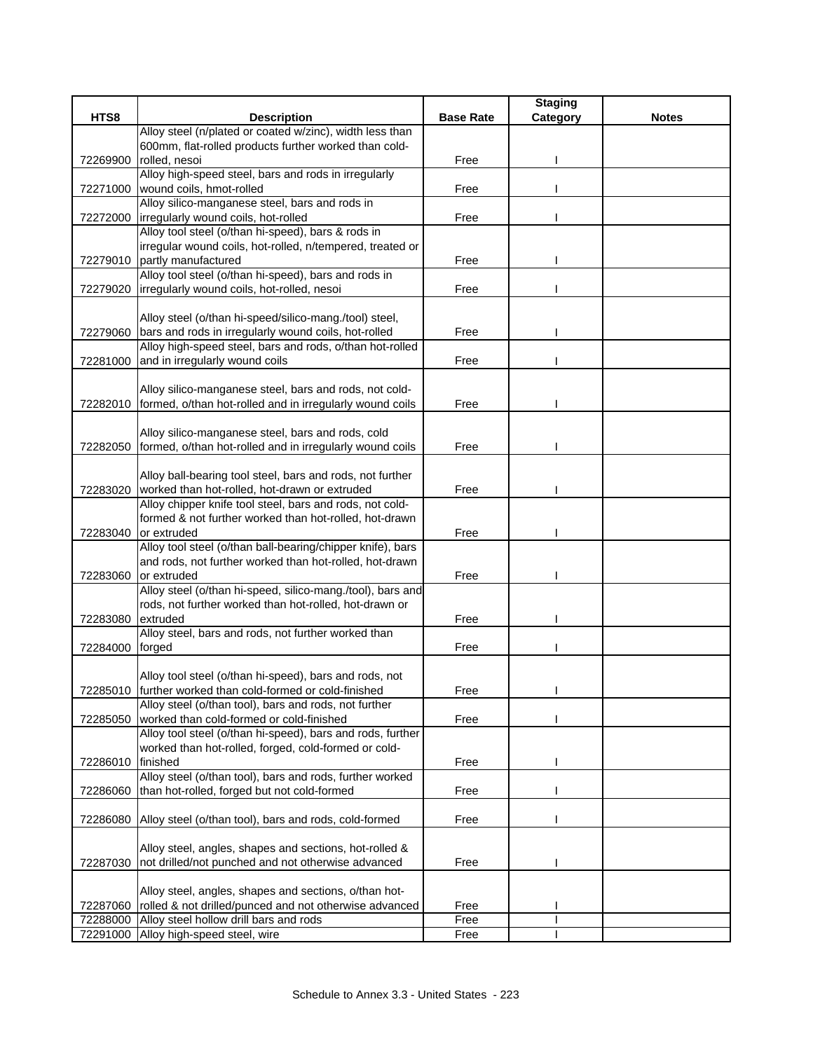|          |                                                                                           |                  | <b>Staging</b> |              |
|----------|-------------------------------------------------------------------------------------------|------------------|----------------|--------------|
| HTS8     | <b>Description</b>                                                                        | <b>Base Rate</b> | Category       | <b>Notes</b> |
|          | Alloy steel (n/plated or coated w/zinc), width less than                                  |                  |                |              |
|          | 600mm, flat-rolled products further worked than cold-                                     |                  |                |              |
| 72269900 | rolled, nesoi                                                                             | Free             |                |              |
|          | Alloy high-speed steel, bars and rods in irregularly                                      |                  |                |              |
| 72271000 | wound coils, hmot-rolled                                                                  | Free             |                |              |
|          | Alloy silico-manganese steel, bars and rods in                                            |                  |                |              |
| 72272000 | irregularly wound coils, hot-rolled<br>Alloy tool steel (o/than hi-speed), bars & rods in | Free             |                |              |
|          | irregular wound coils, hot-rolled, n/tempered, treated or                                 |                  |                |              |
| 72279010 | partly manufactured                                                                       | Free             |                |              |
|          | Alloy tool steel (o/than hi-speed), bars and rods in                                      |                  |                |              |
| 72279020 | irregularly wound coils, hot-rolled, nesoi                                                | Free             |                |              |
|          |                                                                                           |                  |                |              |
|          | Alloy steel (o/than hi-speed/silico-mang./tool) steel,                                    |                  |                |              |
| 72279060 | bars and rods in irregularly wound coils, hot-rolled                                      | Free             |                |              |
|          | Alloy high-speed steel, bars and rods, o/than hot-rolled                                  |                  |                |              |
| 72281000 | and in irregularly wound coils                                                            | Free             |                |              |
|          |                                                                                           |                  |                |              |
|          | Alloy silico-manganese steel, bars and rods, not cold-                                    |                  |                |              |
| 72282010 | formed, o/than hot-rolled and in irregularly wound coils                                  | Free             |                |              |
|          |                                                                                           |                  |                |              |
|          | Alloy silico-manganese steel, bars and rods, cold                                         |                  |                |              |
| 72282050 | formed, o/than hot-rolled and in irregularly wound coils                                  | Free             |                |              |
|          |                                                                                           |                  |                |              |
|          | Alloy ball-bearing tool steel, bars and rods, not further                                 |                  |                |              |
| 72283020 | worked than hot-rolled, hot-drawn or extruded                                             | Free             |                |              |
|          | Alloy chipper knife tool steel, bars and rods, not cold-                                  |                  |                |              |
|          | formed & not further worked than hot-rolled, hot-drawn                                    |                  |                |              |
| 72283040 | or extruded                                                                               | Free             |                |              |
|          | Alloy tool steel (o/than ball-bearing/chipper knife), bars                                |                  |                |              |
|          | and rods, not further worked than hot-rolled, hot-drawn                                   |                  |                |              |
| 72283060 | or extruded                                                                               | Free             |                |              |
|          | Alloy steel (o/than hi-speed, silico-mang./tool), bars and                                |                  |                |              |
|          | rods, not further worked than hot-rolled, hot-drawn or                                    |                  |                |              |
| 72283080 | extruded                                                                                  | Free             |                |              |
|          | Alloy steel, bars and rods, not further worked than                                       |                  |                |              |
| 72284000 | forged                                                                                    | Free             |                |              |
|          |                                                                                           |                  |                |              |
|          | Alloy tool steel (o/than hi-speed), bars and rods, not                                    |                  |                |              |
|          | 72285010 further worked than cold-formed or cold-finished                                 | Free             |                |              |
|          | Alloy steel (o/than tool), bars and rods, not further                                     |                  |                |              |
| 72285050 | worked than cold-formed or cold-finished                                                  | Free             |                |              |
|          | Alloy tool steel (o/than hi-speed), bars and rods, further                                |                  |                |              |
|          | worked than hot-rolled, forged, cold-formed or cold-                                      |                  |                |              |
| 72286010 | finished                                                                                  | Free             |                |              |
|          | Alloy steel (o/than tool), bars and rods, further worked                                  |                  |                |              |
| 72286060 | than hot-rolled, forged but not cold-formed                                               | Free             |                |              |
| 72286080 | Alloy steel (o/than tool), bars and rods, cold-formed                                     | Free             |                |              |
|          |                                                                                           |                  |                |              |
|          | Alloy steel, angles, shapes and sections, hot-rolled &                                    |                  |                |              |
| 72287030 | not drilled/not punched and not otherwise advanced                                        | Free             |                |              |
|          |                                                                                           |                  |                |              |
|          | Alloy steel, angles, shapes and sections, o/than hot-                                     |                  |                |              |
| 72287060 | rolled & not drilled/punced and not otherwise advanced                                    | Free             |                |              |
| 72288000 | Alloy steel hollow drill bars and rods                                                    | Free             |                |              |
| 72291000 | Alloy high-speed steel, wire                                                              | Free             |                |              |
|          |                                                                                           |                  |                |              |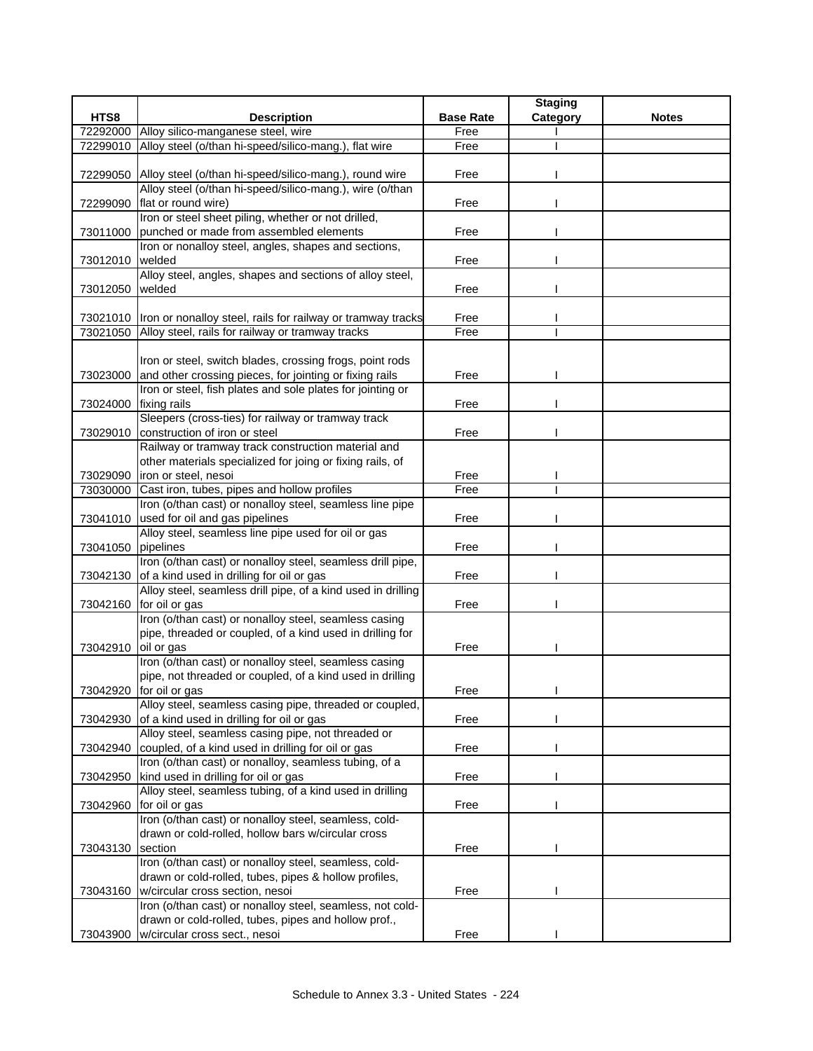|                     |                                                                                                             |                  | <b>Staging</b> |              |
|---------------------|-------------------------------------------------------------------------------------------------------------|------------------|----------------|--------------|
| HTS8                | <b>Description</b>                                                                                          | <b>Base Rate</b> | Category       | <b>Notes</b> |
| 72292000            | Alloy silico-manganese steel, wire                                                                          | Free             |                |              |
| 72299010            | Alloy steel (o/than hi-speed/silico-mang.), flat wire                                                       | Free             |                |              |
|                     |                                                                                                             |                  |                |              |
|                     | 72299050 Alloy steel (o/than hi-speed/silico-mang.), round wire                                             | Free             |                |              |
|                     | Alloy steel (o/than hi-speed/silico-mang.), wire (o/than                                                    |                  |                |              |
| 72299090            | flat or round wire)                                                                                         | Free             |                |              |
|                     | Iron or steel sheet piling, whether or not drilled,                                                         |                  |                |              |
| 73011000            | punched or made from assembled elements                                                                     | Free             |                |              |
|                     | Iron or nonalloy steel, angles, shapes and sections,                                                        |                  |                |              |
| 73012010            | welded                                                                                                      | Free             |                |              |
|                     | Alloy steel, angles, shapes and sections of alloy steel,<br>welded                                          | Free             |                |              |
| 73012050            |                                                                                                             |                  |                |              |
|                     | 73021010  Iron or nonalloy steel, rails for railway or tramway tracks                                       | Free             |                |              |
|                     | 73021050 Alloy steel, rails for railway or tramway tracks                                                   | Free             |                |              |
|                     |                                                                                                             |                  |                |              |
|                     | Iron or steel, switch blades, crossing frogs, point rods                                                    |                  |                |              |
| 73023000            | and other crossing pieces, for jointing or fixing rails                                                     | Free             |                |              |
|                     | Iron or steel, fish plates and sole plates for jointing or                                                  |                  |                |              |
| 73024000            | fixing rails                                                                                                | Free             |                |              |
|                     | Sleepers (cross-ties) for railway or tramway track                                                          |                  |                |              |
| 73029010            | construction of iron or steel                                                                               | Free             |                |              |
|                     | Railway or tramway track construction material and                                                          |                  |                |              |
|                     | other materials specialized for joing or fixing rails, of                                                   |                  |                |              |
|                     | 73029090 iron or steel, nesoi                                                                               | Free             |                |              |
| 73030000            | Cast iron, tubes, pipes and hollow profiles                                                                 | Free             |                |              |
|                     | Iron (o/than cast) or nonalloy steel, seamless line pipe                                                    |                  |                |              |
|                     | 73041010 used for oil and gas pipelines                                                                     | Free             |                |              |
|                     | Alloy steel, seamless line pipe used for oil or gas                                                         |                  |                |              |
| 73041050            | pipelines                                                                                                   | Free             |                |              |
|                     | Iron (o/than cast) or nonalloy steel, seamless drill pipe,                                                  |                  |                |              |
|                     | 73042130 of a kind used in drilling for oil or gas                                                          | Free             |                |              |
|                     | Alloy steel, seamless drill pipe, of a kind used in drilling                                                |                  |                |              |
|                     | 73042160 for oil or gas                                                                                     | Free             |                |              |
|                     | Iron (o/than cast) or nonalloy steel, seamless casing                                                       |                  |                |              |
|                     | pipe, threaded or coupled, of a kind used in drilling for                                                   |                  |                |              |
| 73042910 oil or gas |                                                                                                             | Free             |                |              |
|                     | Iron (o/than cast) or nonalloy steel, seamless casing                                                       |                  |                |              |
|                     | pipe, not threaded or coupled, of a kind used in drilling                                                   |                  |                |              |
|                     | 73042920 for oil or gas                                                                                     | Free             |                |              |
|                     | Alloy steel, seamless casing pipe, threaded or coupled,                                                     |                  |                |              |
| 73042930            | of a kind used in drilling for oil or gas                                                                   | Free             |                |              |
|                     | Alloy steel, seamless casing pipe, not threaded or                                                          |                  |                |              |
| 73042940            | coupled, of a kind used in drilling for oil or gas<br>Iron (o/than cast) or nonalloy, seamless tubing, of a | Free             |                |              |
| 73042950            | kind used in drilling for oil or gas                                                                        | Free             |                |              |
|                     | Alloy steel, seamless tubing, of a kind used in drilling                                                    |                  |                |              |
| 73042960            | for oil or gas                                                                                              | Free             |                |              |
|                     | Iron (o/than cast) or nonalloy steel, seamless, cold-                                                       |                  |                |              |
|                     | drawn or cold-rolled, hollow bars w/circular cross                                                          |                  |                |              |
| 73043130            | section                                                                                                     | Free             |                |              |
|                     | Iron (o/than cast) or nonalloy steel, seamless, cold-                                                       |                  |                |              |
|                     | drawn or cold-rolled, tubes, pipes & hollow profiles,                                                       |                  |                |              |
| 73043160            | w/circular cross section, nesoi                                                                             | Free             |                |              |
|                     | Iron (o/than cast) or nonalloy steel, seamless, not cold-                                                   |                  |                |              |
|                     | drawn or cold-rolled, tubes, pipes and hollow prof.,                                                        |                  |                |              |
| 73043900            | w/circular cross sect., nesoi                                                                               | Free             |                |              |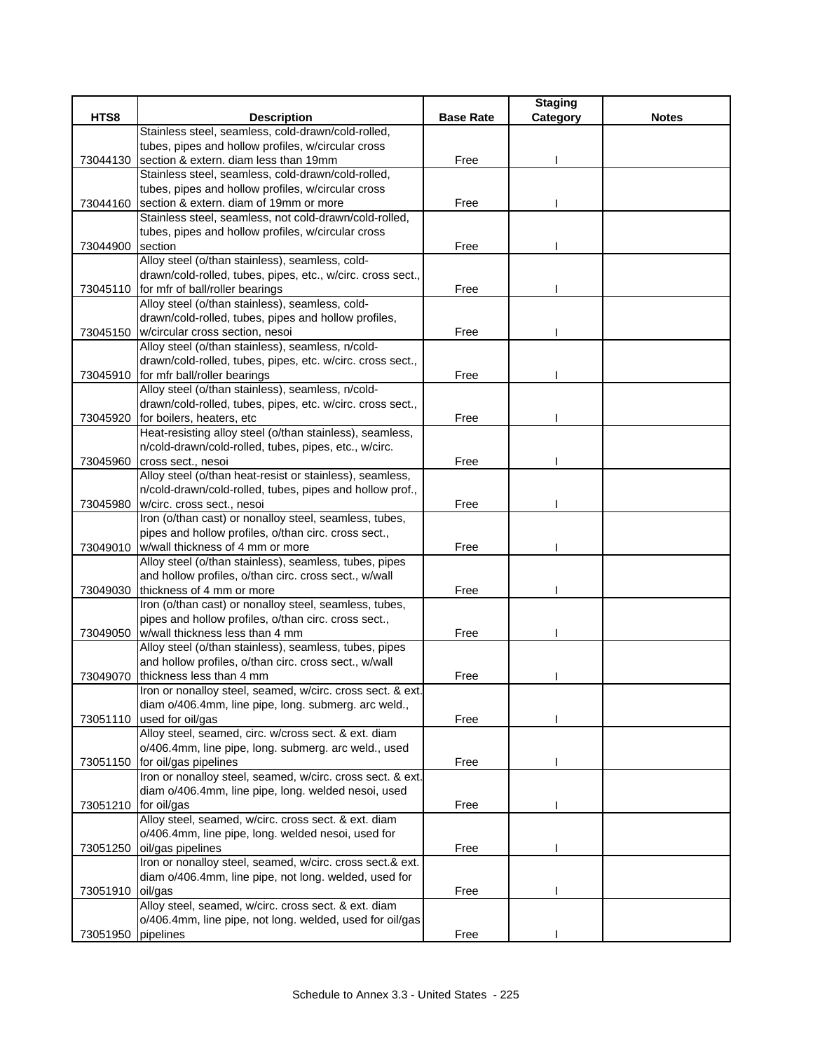|                      |                                                             |                  | <b>Staging</b> |              |
|----------------------|-------------------------------------------------------------|------------------|----------------|--------------|
| HTS8                 | <b>Description</b>                                          | <b>Base Rate</b> | Category       | <b>Notes</b> |
|                      | Stainless steel, seamless, cold-drawn/cold-rolled,          |                  |                |              |
|                      | tubes, pipes and hollow profiles, w/circular cross          |                  |                |              |
| 73044130             | section & extern. diam less than 19mm                       | Free             |                |              |
|                      | Stainless steel, seamless, cold-drawn/cold-rolled,          |                  |                |              |
|                      | tubes, pipes and hollow profiles, w/circular cross          |                  |                |              |
| 73044160             | section & extern. diam of 19mm or more                      | Free             |                |              |
|                      | Stainless steel, seamless, not cold-drawn/cold-rolled,      |                  |                |              |
|                      | tubes, pipes and hollow profiles, w/circular cross          |                  |                |              |
| 73044900             | section                                                     | Free             |                |              |
|                      | Alloy steel (o/than stainless), seamless, cold-             |                  |                |              |
|                      | drawn/cold-rolled, tubes, pipes, etc., w/circ. cross sect., |                  |                |              |
|                      | 73045110 for mfr of ball/roller bearings                    | Free             |                |              |
|                      | Alloy steel (o/than stainless), seamless, cold-             |                  |                |              |
|                      | drawn/cold-rolled, tubes, pipes and hollow profiles,        |                  |                |              |
|                      | 73045150 w/circular cross section, nesoi                    | Free             |                |              |
|                      | Alloy steel (o/than stainless), seamless, n/cold-           |                  |                |              |
|                      | drawn/cold-rolled, tubes, pipes, etc. w/circ. cross sect.,  |                  |                |              |
| 73045910             | for mfr ball/roller bearings                                | Free             |                |              |
|                      | Alloy steel (o/than stainless), seamless, n/cold-           |                  |                |              |
|                      | drawn/cold-rolled, tubes, pipes, etc. w/circ. cross sect.,  |                  |                |              |
| 73045920             | for boilers, heaters, etc                                   | Free             |                |              |
|                      | Heat-resisting alloy steel (o/than stainless), seamless,    |                  |                |              |
|                      | n/cold-drawn/cold-rolled, tubes, pipes, etc., w/circ.       |                  |                |              |
| 73045960             | cross sect., nesoi                                          | Free             |                |              |
|                      | Alloy steel (o/than heat-resist or stainless), seamless,    |                  |                |              |
|                      | n/cold-drawn/cold-rolled, tubes, pipes and hollow prof.,    |                  |                |              |
| 73045980             | w/circ. cross sect., nesoi                                  | Free             |                |              |
|                      | Iron (o/than cast) or nonalloy steel, seamless, tubes,      |                  |                |              |
|                      | pipes and hollow profiles, o/than circ. cross sect.,        |                  |                |              |
|                      | 73049010   w/wall thickness of 4 mm or more                 | Free             |                |              |
|                      | Alloy steel (o/than stainless), seamless, tubes, pipes      |                  |                |              |
|                      | and hollow profiles, o/than circ. cross sect., w/wall       |                  |                |              |
| 73049030             | thickness of 4 mm or more                                   | Free             |                |              |
|                      | Iron (o/than cast) or nonalloy steel, seamless, tubes,      |                  |                |              |
|                      | pipes and hollow profiles, o/than circ. cross sect.,        |                  |                |              |
| 73049050             | w/wall thickness less than 4 mm                             | Free             |                |              |
|                      | Alloy steel (o/than stainless), seamless, tubes, pipes      |                  |                |              |
|                      | and hollow profiles, o/than circ. cross sect., w/wall       |                  |                |              |
| 73049070             | thickness less than 4 mm                                    | Free             |                |              |
|                      | Iron or nonalloy steel, seamed, w/circ. cross sect. & ext.  |                  |                |              |
|                      | diam o/406.4mm, line pipe, long. submerg. arc weld.,        |                  |                |              |
| 73051110             | used for oil/gas                                            | Free             |                |              |
|                      | Alloy steel, seamed, circ. w/cross sect. & ext. diam        |                  |                |              |
|                      | o/406.4mm, line pipe, long. submerg. arc weld., used        |                  |                |              |
|                      | 73051150 for oil/gas pipelines                              | Free             |                |              |
|                      | Iron or nonalloy steel, seamed, w/circ. cross sect. & ext.  |                  |                |              |
|                      | diam o/406.4mm, line pipe, long. welded nesoi, used         |                  |                |              |
| 73051210 for oil/gas |                                                             | Free             |                |              |
|                      | Alloy steel, seamed, w/circ. cross sect. & ext. diam        |                  |                |              |
|                      | o/406.4mm, line pipe, long. welded nesoi, used for          |                  |                |              |
| 73051250             | oil/gas pipelines                                           | Free             |                |              |
|                      | Iron or nonalloy steel, seamed, w/circ. cross sect.& ext.   |                  |                |              |
|                      | diam o/406.4mm, line pipe, not long. welded, used for       |                  |                |              |
| 73051910             | oil/gas                                                     | Free             |                |              |
|                      | Alloy steel, seamed, w/circ. cross sect. & ext. diam        |                  |                |              |
|                      | o/406.4mm, line pipe, not long. welded, used for oil/gas    |                  |                |              |
| 73051950 pipelines   |                                                             | Free             |                |              |
|                      |                                                             |                  |                |              |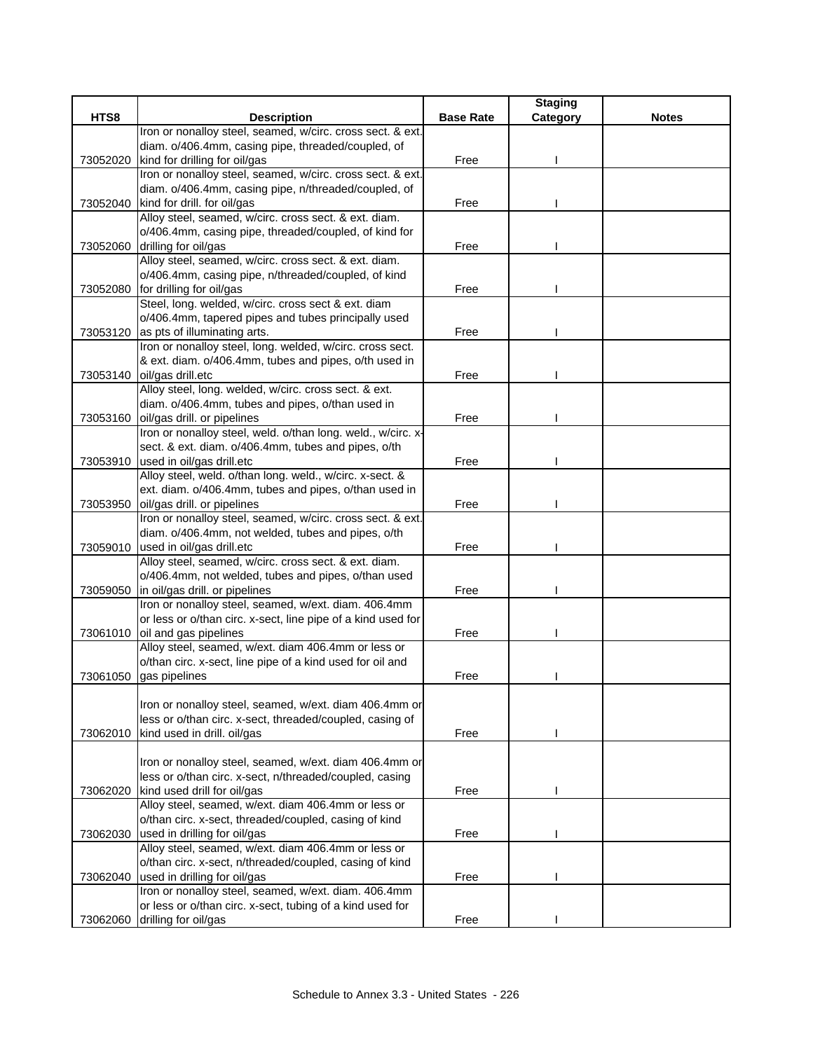|          |                                                                                                              |                  | <b>Staging</b> |              |
|----------|--------------------------------------------------------------------------------------------------------------|------------------|----------------|--------------|
| HTS8     | <b>Description</b>                                                                                           | <b>Base Rate</b> | Category       | <b>Notes</b> |
|          | Iron or nonalloy steel, seamed, w/circ. cross sect. & ext.                                                   |                  |                |              |
|          | diam. o/406.4mm, casing pipe, threaded/coupled, of                                                           |                  |                |              |
| 73052020 | kind for drilling for oil/gas                                                                                | Free             |                |              |
|          | Iron or nonalloy steel, seamed, w/circ. cross sect. & ext.                                                   |                  |                |              |
|          | diam. o/406.4mm, casing pipe, n/threaded/coupled, of                                                         |                  |                |              |
|          | 73052040 kind for drill. for oil/gas                                                                         | Free             |                |              |
|          | Alloy steel, seamed, w/circ. cross sect. & ext. diam.                                                        |                  |                |              |
|          | o/406.4mm, casing pipe, threaded/coupled, of kind for                                                        |                  |                |              |
|          | 73052060 drilling for oil/gas                                                                                | Free             |                |              |
|          | Alloy steel, seamed, w/circ. cross sect. & ext. diam.                                                        |                  |                |              |
|          | o/406.4mm, casing pipe, n/threaded/coupled, of kind                                                          |                  |                |              |
|          | 73052080 for drilling for oil/gas                                                                            | Free             |                |              |
|          | Steel, long. welded, w/circ. cross sect & ext. diam                                                          |                  |                |              |
|          | o/406.4mm, tapered pipes and tubes principally used                                                          | Free             |                |              |
| 73053120 | as pts of illuminating arts.<br>Iron or nonalloy steel, long. welded, w/circ. cross sect.                    |                  |                |              |
|          | & ext. diam. o/406.4mm, tubes and pipes, o/th used in                                                        |                  |                |              |
|          | 73053140 oil/gas drill.etc                                                                                   | Free             |                |              |
|          | Alloy steel, long. welded, w/circ. cross sect. & ext.                                                        |                  |                |              |
|          | diam. o/406.4mm, tubes and pipes, o/than used in                                                             |                  |                |              |
| 73053160 | oil/gas drill. or pipelines                                                                                  | Free             |                |              |
|          | Iron or nonalloy steel, weld. o/than long. weld., w/circ. x-                                                 |                  |                |              |
|          | sect. & ext. diam. o/406.4mm, tubes and pipes, o/th                                                          |                  |                |              |
|          | 73053910 used in oil/gas drill.etc                                                                           | Free             |                |              |
|          | Alloy steel, weld. o/than long. weld., w/circ. x-sect. &                                                     |                  |                |              |
|          | ext. diam. o/406.4mm, tubes and pipes, o/than used in                                                        |                  |                |              |
| 73053950 | oil/gas drill. or pipelines                                                                                  | Free             |                |              |
|          | Iron or nonalloy steel, seamed, w/circ. cross sect. & ext.                                                   |                  |                |              |
|          | diam. o/406.4mm, not welded, tubes and pipes, o/th                                                           |                  |                |              |
|          | 73059010 used in oil/gas drill.etc                                                                           | Free             |                |              |
|          | Alloy steel, seamed, w/circ. cross sect. & ext. diam.                                                        |                  |                |              |
|          | o/406.4mm, not welded, tubes and pipes, o/than used                                                          |                  |                |              |
| 73059050 | in oil/gas drill. or pipelines                                                                               | Free             |                |              |
|          | Iron or nonalloy steel, seamed, w/ext. diam. 406.4mm                                                         |                  |                |              |
|          | or less or o/than circ. x-sect, line pipe of a kind used for                                                 |                  |                |              |
|          | 73061010 oil and gas pipelines                                                                               | Free             |                |              |
|          | Alloy steel, seamed, w/ext. diam 406.4mm or less or                                                          |                  |                |              |
|          | o/than circ. x-sect, line pipe of a kind used for oil and                                                    |                  |                |              |
|          | 73061050 gas pipelines                                                                                       | Free             |                |              |
|          |                                                                                                              |                  |                |              |
|          | Iron or nonalloy steel, seamed, w/ext. diam 406.4mm or                                                       |                  |                |              |
|          | less or o/than circ. x-sect, threaded/coupled, casing of                                                     |                  |                |              |
| 73062010 | kind used in drill. oil/gas                                                                                  | Free             |                |              |
|          |                                                                                                              |                  |                |              |
|          | Iron or nonalloy steel, seamed, w/ext. diam 406.4mm or                                                       |                  |                |              |
|          | less or o/than circ. x-sect, n/threaded/coupled, casing                                                      |                  |                |              |
| 73062020 | kind used drill for oil/gas                                                                                  | Free             |                |              |
|          | Alloy steel, seamed, w/ext. diam 406.4mm or less or<br>o/than circ. x-sect, threaded/coupled, casing of kind |                  |                |              |
|          | used in drilling for oil/gas                                                                                 |                  |                |              |
| 73062030 | Alloy steel, seamed, w/ext. diam 406.4mm or less or                                                          | Free             |                |              |
|          | o/than circ. x-sect, n/threaded/coupled, casing of kind                                                      |                  |                |              |
| 73062040 | used in drilling for oil/gas                                                                                 | Free             |                |              |
|          | Iron or nonalloy steel, seamed, w/ext. diam. 406.4mm                                                         |                  |                |              |
|          | or less or o/than circ. x-sect, tubing of a kind used for                                                    |                  |                |              |
|          | 73062060 drilling for oil/gas                                                                                | Free             |                |              |
|          |                                                                                                              |                  |                |              |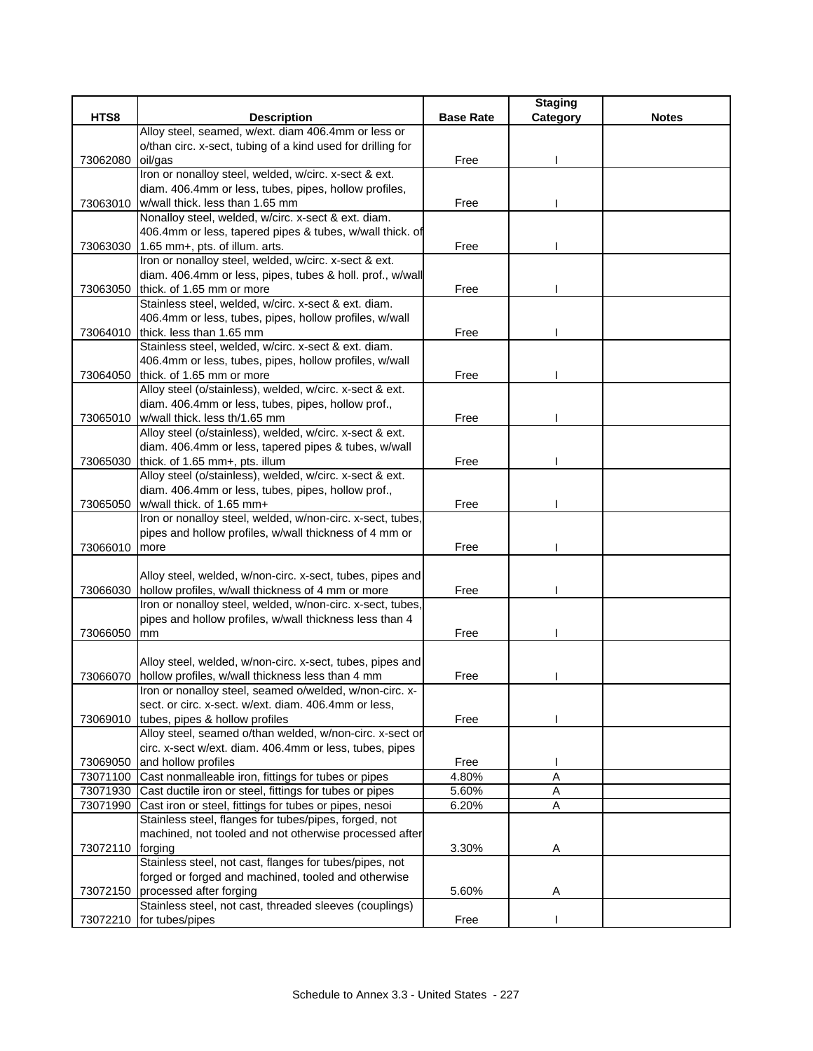|          |                                                                                                                 |                  | <b>Staging</b> |              |
|----------|-----------------------------------------------------------------------------------------------------------------|------------------|----------------|--------------|
| HTS8     | <b>Description</b>                                                                                              | <b>Base Rate</b> | Category       | <b>Notes</b> |
|          | Alloy steel, seamed, w/ext. diam 406.4mm or less or                                                             |                  |                |              |
|          | o/than circ. x-sect, tubing of a kind used for drilling for                                                     |                  |                |              |
| 73062080 | oil/gas                                                                                                         | Free             |                |              |
|          | Iron or nonalloy steel, welded, w/circ. x-sect & ext.                                                           |                  |                |              |
|          | diam. 406.4mm or less, tubes, pipes, hollow profiles,                                                           |                  |                |              |
| 73063010 | w/wall thick. less than 1.65 mm<br>Nonalloy steel, welded, w/circ. x-sect & ext. diam.                          | Free             |                |              |
|          | 406.4mm or less, tapered pipes & tubes, w/wall thick. of                                                        |                  |                |              |
| 73063030 | 1.65 mm+, pts. of illum. arts.                                                                                  | Free             |                |              |
|          | Iron or nonalloy steel, welded, w/circ. x-sect & ext.                                                           |                  |                |              |
|          | diam. 406.4mm or less, pipes, tubes & holl. prof., w/wall                                                       |                  |                |              |
| 73063050 | thick. of 1.65 mm or more                                                                                       | Free             |                |              |
|          | Stainless steel, welded, w/circ. x-sect & ext. diam.                                                            |                  |                |              |
|          | 406.4mm or less, tubes, pipes, hollow profiles, w/wall                                                          |                  |                |              |
|          | 73064010 thick. less than 1.65 mm                                                                               | Free             |                |              |
|          | Stainless steel, welded, w/circ. x-sect & ext. diam.                                                            |                  |                |              |
|          | 406.4mm or less, tubes, pipes, hollow profiles, w/wall                                                          |                  |                |              |
| 73064050 | thick. of 1.65 mm or more                                                                                       | Free             |                |              |
|          | Alloy steel (o/stainless), welded, w/circ. x-sect & ext.                                                        |                  |                |              |
|          | diam. 406.4mm or less, tubes, pipes, hollow prof.,                                                              |                  |                |              |
| 73065010 | w/wall thick. less th/1.65 mm                                                                                   | Free             |                |              |
|          | Alloy steel (o/stainless), welded, w/circ. x-sect & ext.                                                        |                  |                |              |
|          | diam. 406.4mm or less, tapered pipes & tubes, w/wall                                                            |                  |                |              |
| 73065030 | thick. of 1.65 mm+, pts. illum                                                                                  | Free             |                |              |
|          | Alloy steel (o/stainless), welded, w/circ. x-sect & ext.                                                        |                  |                |              |
|          | diam. 406.4mm or less, tubes, pipes, hollow prof.,                                                              |                  |                |              |
| 73065050 | w/wall thick. of 1.65 mm+                                                                                       | Free             |                |              |
|          | Iron or nonalloy steel, welded, w/non-circ. x-sect, tubes,                                                      |                  |                |              |
|          | pipes and hollow profiles, w/wall thickness of 4 mm or                                                          |                  |                |              |
| 73066010 | more                                                                                                            | Free             |                |              |
|          | Alloy steel, welded, w/non-circ. x-sect, tubes, pipes and                                                       |                  |                |              |
| 73066030 | hollow profiles, w/wall thickness of 4 mm or more                                                               | Free             |                |              |
|          | Iron or nonalloy steel, welded, w/non-circ. x-sect, tubes,                                                      |                  |                |              |
|          | pipes and hollow profiles, w/wall thickness less than 4                                                         |                  |                |              |
| 73066050 | mm                                                                                                              | Free             |                |              |
|          |                                                                                                                 |                  |                |              |
|          | Alloy steel, welded, w/non-circ. x-sect, tubes, pipes and                                                       |                  |                |              |
| 73066070 | hollow profiles, w/wall thickness less than 4 mm                                                                | Free             |                |              |
|          | Iron or nonalloy steel, seamed o/welded, w/non-circ. x-                                                         |                  |                |              |
|          | sect. or circ. x-sect. w/ext. diam. 406.4mm or less,                                                            |                  |                |              |
| 73069010 | tubes, pipes & hollow profiles                                                                                  | Free             |                |              |
|          | Alloy steel, seamed o/than welded, w/non-circ. x-sect or                                                        |                  |                |              |
|          | circ. x-sect w/ext. diam. 406.4mm or less, tubes, pipes                                                         |                  |                |              |
| 73069050 | and hollow profiles                                                                                             | Free             |                |              |
| 73071100 | Cast nonmalleable iron, fittings for tubes or pipes                                                             | 4.80%            | $\overline{A}$ |              |
| 73071930 | Cast ductile iron or steel, fittings for tubes or pipes                                                         | 5.60%            | Α              |              |
| 73071990 | Cast iron or steel, fittings for tubes or pipes, nesoi<br>Stainless steel, flanges for tubes/pipes, forged, not | 6.20%            | Α              |              |
|          | machined, not tooled and not otherwise processed after                                                          |                  |                |              |
| 73072110 | forging                                                                                                         | 3.30%            | Α              |              |
|          | Stainless steel, not cast, flanges for tubes/pipes, not                                                         |                  |                |              |
|          | forged or forged and machined, tooled and otherwise                                                             |                  |                |              |
| 73072150 | processed after forging                                                                                         | 5.60%            | Α              |              |
|          | Stainless steel, not cast, threaded sleeves (couplings)                                                         |                  |                |              |
|          | 73072210 for tubes/pipes                                                                                        | Free             |                |              |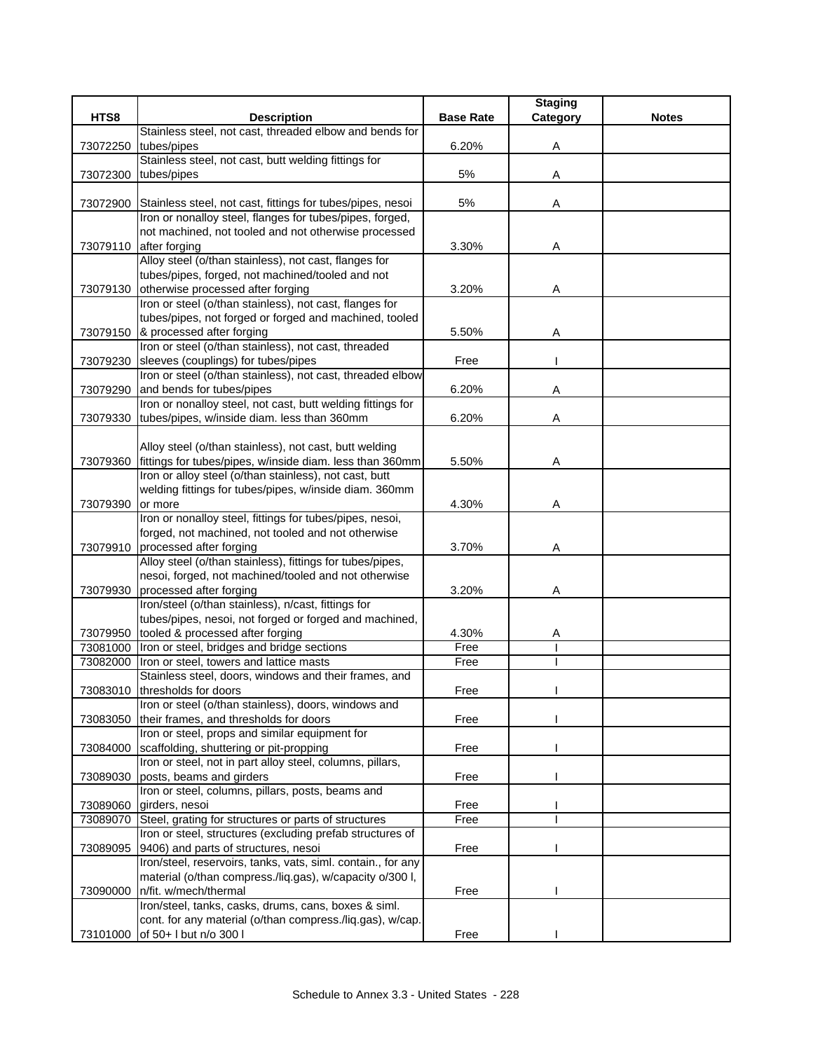|                      |                                                                                                                                 |                  | <b>Staging</b> |              |
|----------------------|---------------------------------------------------------------------------------------------------------------------------------|------------------|----------------|--------------|
| HTS8                 | <b>Description</b>                                                                                                              | <b>Base Rate</b> | Category       | <b>Notes</b> |
|                      | Stainless steel, not cast, threaded elbow and bends for                                                                         |                  |                |              |
| 73072250             | tubes/pipes                                                                                                                     | 6.20%            | Α              |              |
|                      | Stainless steel, not cast, butt welding fittings for                                                                            |                  |                |              |
| 73072300             | tubes/pipes                                                                                                                     | 5%               | Α              |              |
|                      |                                                                                                                                 |                  |                |              |
|                      | 73072900 Stainless steel, not cast, fittings for tubes/pipes, nesoi<br>Iron or nonalloy steel, flanges for tubes/pipes, forged, | 5%               | Α              |              |
|                      | not machined, not tooled and not otherwise processed                                                                            |                  |                |              |
|                      | 73079110 after forging                                                                                                          | 3.30%            | Α              |              |
|                      | Alloy steel (o/than stainless), not cast, flanges for                                                                           |                  |                |              |
|                      | tubes/pipes, forged, not machined/tooled and not                                                                                |                  |                |              |
|                      | 73079130 otherwise processed after forging                                                                                      | 3.20%            | Α              |              |
|                      | Iron or steel (o/than stainless), not cast, flanges for                                                                         |                  |                |              |
|                      | tubes/pipes, not forged or forged and machined, tooled                                                                          |                  |                |              |
|                      | 73079150 & processed after forging                                                                                              | 5.50%            | Α              |              |
|                      | Iron or steel (o/than stainless), not cast, threaded                                                                            |                  |                |              |
| 73079230             | sleeves (couplings) for tubes/pipes                                                                                             | Free             |                |              |
|                      | Iron or steel (o/than stainless), not cast, threaded elbow                                                                      |                  |                |              |
| 73079290             | and bends for tubes/pipes                                                                                                       | 6.20%            | Α              |              |
|                      | Iron or nonalloy steel, not cast, butt welding fittings for                                                                     |                  |                |              |
|                      | 73079330 tubes/pipes, w/inside diam. less than 360mm                                                                            | 6.20%            | Α              |              |
|                      |                                                                                                                                 |                  |                |              |
|                      | Alloy steel (o/than stainless), not cast, butt welding                                                                          |                  |                |              |
| 73079360             | fittings for tubes/pipes, w/inside diam. less than 360mm                                                                        | 5.50%            | Α              |              |
|                      | Iron or alloy steel (o/than stainless), not cast, butt                                                                          |                  |                |              |
|                      | welding fittings for tubes/pipes, w/inside diam. 360mm                                                                          |                  |                |              |
| 73079390             | or more                                                                                                                         | 4.30%            | A              |              |
|                      | Iron or nonalloy steel, fittings for tubes/pipes, nesoi,                                                                        |                  |                |              |
|                      | forged, not machined, not tooled and not otherwise                                                                              |                  |                |              |
|                      | 73079910 processed after forging                                                                                                | 3.70%            | Α              |              |
|                      | Alloy steel (o/than stainless), fittings for tubes/pipes,                                                                       |                  |                |              |
|                      | nesoi, forged, not machined/tooled and not otherwise                                                                            |                  |                |              |
| 73079930             | processed after forging                                                                                                         | 3.20%            | Α              |              |
|                      | Iron/steel (o/than stainless), n/cast, fittings for                                                                             |                  |                |              |
|                      | tubes/pipes, nesoi, not forged or forged and machined,                                                                          |                  |                |              |
| 73079950<br>73081000 | tooled & processed after forging                                                                                                | 4.30%<br>Free    | A              |              |
|                      | Iron or steel, bridges and bridge sections<br>Iron or steel, towers and lattice masts                                           | Free             |                |              |
| 73082000             | Stainless steel, doors, windows and their frames, and                                                                           |                  |                |              |
|                      | 73083010 thresholds for doors                                                                                                   | Free             |                |              |
|                      | Iron or steel (o/than stainless), doors, windows and                                                                            |                  |                |              |
| 73083050             | their frames, and thresholds for doors                                                                                          | Free             |                |              |
|                      | Iron or steel, props and similar equipment for                                                                                  |                  |                |              |
| 73084000             | scaffolding, shuttering or pit-propping                                                                                         | Free             |                |              |
|                      | Iron or steel, not in part alloy steel, columns, pillars,                                                                       |                  |                |              |
| 73089030             | posts, beams and girders                                                                                                        | Free             |                |              |
|                      | Iron or steel, columns, pillars, posts, beams and                                                                               |                  |                |              |
| 73089060             | girders, nesoi                                                                                                                  | Free             |                |              |
| 73089070             | Steel, grating for structures or parts of structures                                                                            | Free             |                |              |
|                      | Iron or steel, structures (excluding prefab structures of                                                                       |                  |                |              |
| 73089095             | 9406) and parts of structures, nesoi                                                                                            | Free             |                |              |
|                      | Iron/steel, reservoirs, tanks, vats, siml. contain., for any                                                                    |                  |                |              |
|                      | material (o/than compress./liq.gas), w/capacity o/300 l,                                                                        |                  |                |              |
| 73090000             | n/fit. w/mech/thermal                                                                                                           | Free             |                |              |
|                      | Iron/steel, tanks, casks, drums, cans, boxes & siml.                                                                            |                  |                |              |
|                      | cont. for any material (o/than compress./liq.gas), w/cap.                                                                       |                  |                |              |
| 73101000             | of 50+ I but n/o 300 l                                                                                                          | Free             |                |              |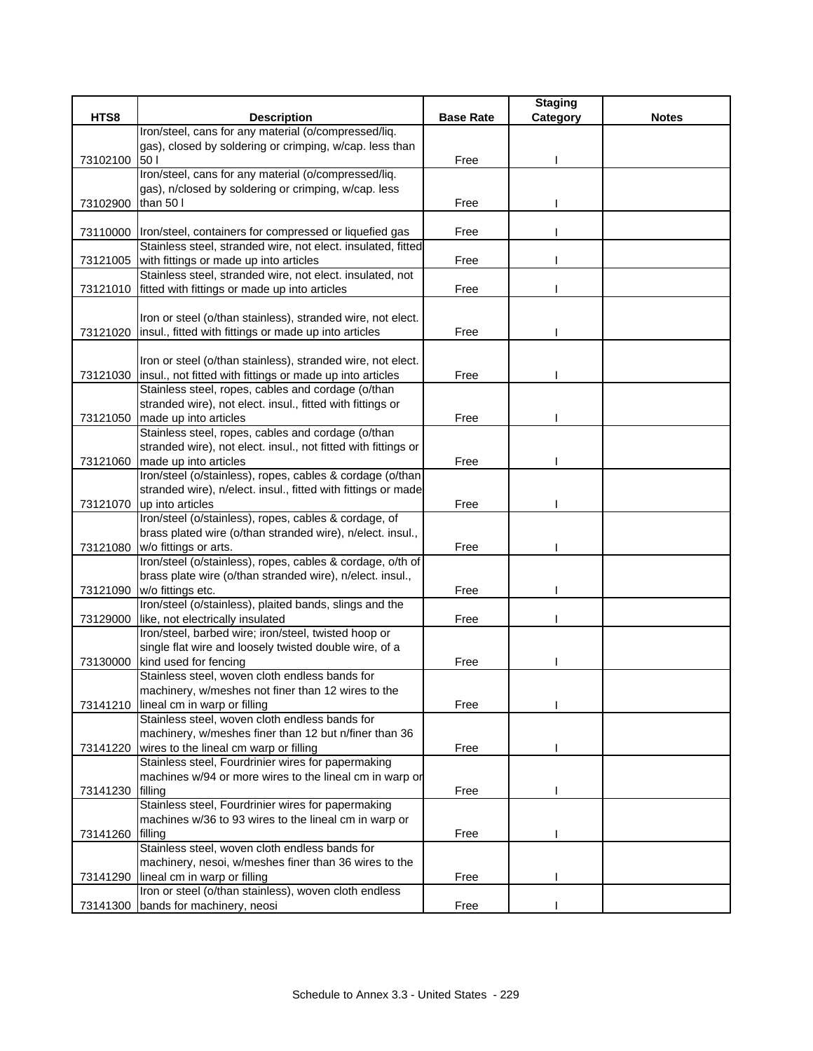|          |                                                                                                                |                  | <b>Staging</b> |              |
|----------|----------------------------------------------------------------------------------------------------------------|------------------|----------------|--------------|
| HTS8     | <b>Description</b>                                                                                             | <b>Base Rate</b> | Category       | <b>Notes</b> |
|          | Iron/steel, cans for any material (o/compressed/liq.                                                           |                  |                |              |
|          | gas), closed by soldering or crimping, w/cap. less than                                                        |                  |                |              |
| 73102100 | 50                                                                                                             | Free             |                |              |
|          | Iron/steel, cans for any material (o/compressed/liq.                                                           |                  |                |              |
| 73102900 | gas), n/closed by soldering or crimping, w/cap. less<br>than 50 l                                              | Free             |                |              |
|          |                                                                                                                |                  |                |              |
| 73110000 | Iron/steel, containers for compressed or liquefied gas                                                         | Free             |                |              |
|          | Stainless steel, stranded wire, not elect. insulated, fitted                                                   |                  |                |              |
|          | 73121005 with fittings or made up into articles                                                                | Free             |                |              |
|          | Stainless steel, stranded wire, not elect. insulated, not                                                      |                  |                |              |
| 73121010 | fitted with fittings or made up into articles                                                                  | Free             |                |              |
|          |                                                                                                                |                  |                |              |
|          | Iron or steel (o/than stainless), stranded wire, not elect.                                                    |                  |                |              |
| 73121020 | insul., fitted with fittings or made up into articles                                                          | Free             |                |              |
|          |                                                                                                                |                  |                |              |
|          | Iron or steel (o/than stainless), stranded wire, not elect.                                                    |                  |                |              |
| 73121030 | insul., not fitted with fittings or made up into articles                                                      | Free             |                |              |
|          | Stainless steel, ropes, cables and cordage (o/than                                                             |                  |                |              |
|          | stranded wire), not elect. insul., fitted with fittings or<br>made up into articles                            |                  |                |              |
| 73121050 | Stainless steel, ropes, cables and cordage (o/than                                                             | Free             |                |              |
|          | stranded wire), not elect. insul., not fitted with fittings or                                                 |                  |                |              |
|          | 73121060 made up into articles                                                                                 | Free             |                |              |
|          | Iron/steel (o/stainless), ropes, cables & cordage (o/than                                                      |                  |                |              |
|          | stranded wire), n/elect. insul., fitted with fittings or made                                                  |                  |                |              |
|          | 73121070 up into articles                                                                                      | Free             |                |              |
|          | Iron/steel (o/stainless), ropes, cables & cordage, of                                                          |                  |                |              |
|          | brass plated wire (o/than stranded wire), n/elect. insul.,                                                     |                  |                |              |
| 73121080 | w/o fittings or arts.                                                                                          | Free             |                |              |
|          | Iron/steel (o/stainless), ropes, cables & cordage, o/th of                                                     |                  |                |              |
|          | brass plate wire (o/than stranded wire), n/elect. insul.,                                                      |                  |                |              |
| 73121090 | w/o fittings etc.                                                                                              | Free             |                |              |
|          | Iron/steel (o/stainless), plaited bands, slings and the                                                        |                  |                |              |
| 73129000 | like, not electrically insulated                                                                               | Free             |                |              |
|          | Iron/steel, barbed wire; iron/steel, twisted hoop or<br>single flat wire and loosely twisted double wire, of a |                  |                |              |
| 73130000 | kind used for fencing                                                                                          | Free             |                |              |
|          | Stainless steel, woven cloth endless bands for                                                                 |                  |                |              |
|          | machinery, w/meshes not finer than 12 wires to the                                                             |                  |                |              |
| 73141210 | lineal cm in warp or filling                                                                                   | Free             |                |              |
|          | Stainless steel, woven cloth endless bands for                                                                 |                  |                |              |
|          | machinery, w/meshes finer than 12 but n/finer than 36                                                          |                  |                |              |
|          | 73141220 wires to the lineal cm warp or filling                                                                | Free             |                |              |
|          | Stainless steel, Fourdrinier wires for papermaking                                                             |                  |                |              |
|          | machines w/94 or more wires to the lineal cm in warp or                                                        |                  |                |              |
| 73141230 | filling                                                                                                        | Free             |                |              |
|          | Stainless steel, Fourdrinier wires for papermaking                                                             |                  |                |              |
|          | machines w/36 to 93 wires to the lineal cm in warp or                                                          |                  |                |              |
| 73141260 | filling                                                                                                        | Free             |                |              |
|          | Stainless steel, woven cloth endless bands for                                                                 |                  |                |              |
|          | machinery, nesoi, w/meshes finer than 36 wires to the                                                          |                  |                |              |
| 73141290 | lineal cm in warp or filling<br>Iron or steel (o/than stainless), woven cloth endless                          | Free             |                |              |
| 73141300 | bands for machinery, neosi                                                                                     | Free             |                |              |
|          |                                                                                                                |                  |                |              |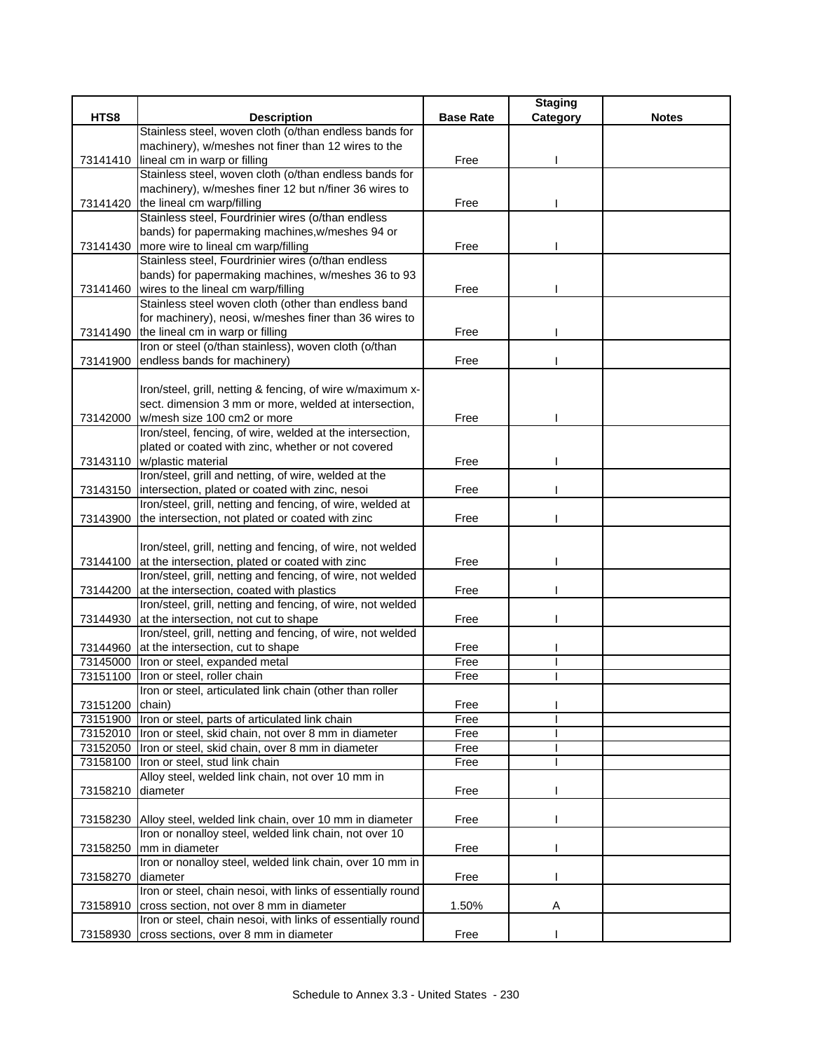|                 |                                                                                                                        |                  | <b>Staging</b> |              |
|-----------------|------------------------------------------------------------------------------------------------------------------------|------------------|----------------|--------------|
| HTS8            | <b>Description</b>                                                                                                     | <b>Base Rate</b> | Category       | <b>Notes</b> |
|                 | Stainless steel, woven cloth (o/than endless bands for                                                                 |                  |                |              |
|                 | machinery), w/meshes not finer than 12 wires to the                                                                    |                  |                |              |
| 73141410        | lineal cm in warp or filling                                                                                           | Free             |                |              |
|                 | Stainless steel, woven cloth (o/than endless bands for                                                                 |                  |                |              |
|                 | machinery), w/meshes finer 12 but n/finer 36 wires to                                                                  |                  |                |              |
|                 | 73141420 the lineal cm warp/filling                                                                                    | Free             |                |              |
|                 | Stainless steel, Fourdrinier wires (o/than endless                                                                     |                  |                |              |
|                 | bands) for papermaking machines, w/meshes 94 or                                                                        |                  |                |              |
|                 | 73141430 more wire to lineal cm warp/filling                                                                           | Free             |                |              |
|                 | Stainless steel, Fourdrinier wires (o/than endless                                                                     |                  |                |              |
|                 | bands) for papermaking machines, w/meshes 36 to 93                                                                     |                  |                |              |
|                 | 73141460 wires to the lineal cm warp/filling                                                                           | Free             |                |              |
|                 | Stainless steel woven cloth (other than endless band                                                                   |                  |                |              |
|                 | for machinery), neosi, w/meshes finer than 36 wires to                                                                 |                  |                |              |
|                 | 73141490 the lineal cm in warp or filling                                                                              | Free             |                |              |
|                 | Iron or steel (o/than stainless), woven cloth (o/than                                                                  |                  |                |              |
|                 | 73141900 endless bands for machinery)                                                                                  | Free             |                |              |
|                 |                                                                                                                        |                  |                |              |
|                 | Iron/steel, grill, netting & fencing, of wire w/maximum x-                                                             |                  |                |              |
|                 | sect. dimension 3 mm or more, welded at intersection,                                                                  |                  |                |              |
| 73142000        | w/mesh size 100 cm2 or more<br>Iron/steel, fencing, of wire, welded at the intersection,                               | Free             |                |              |
|                 |                                                                                                                        |                  |                |              |
|                 | plated or coated with zinc, whether or not covered<br>73143110 w/plastic material                                      | Free             |                |              |
|                 | Iron/steel, grill and netting, of wire, welded at the                                                                  |                  |                |              |
|                 |                                                                                                                        |                  |                |              |
|                 | 73143150 intersection, plated or coated with zinc, nesoi<br>Iron/steel, grill, netting and fencing, of wire, welded at | Free             |                |              |
| 73143900        | the intersection, not plated or coated with zinc                                                                       | Free             |                |              |
|                 |                                                                                                                        |                  |                |              |
|                 | Iron/steel, grill, netting and fencing, of wire, not welded                                                            |                  |                |              |
|                 | 73144100 at the intersection, plated or coated with zinc                                                               | Free             |                |              |
|                 | Iron/steel, grill, netting and fencing, of wire, not welded                                                            |                  |                |              |
| 73144200        | at the intersection, coated with plastics                                                                              | Free             |                |              |
|                 | Iron/steel, grill, netting and fencing, of wire, not welded                                                            |                  |                |              |
| 73144930        | at the intersection, not cut to shape                                                                                  | Free             |                |              |
|                 | Iron/steel, grill, netting and fencing, of wire, not welded                                                            |                  |                |              |
|                 | 73144960 at the intersection, cut to shape                                                                             | Free             |                |              |
| 73145000        | Iron or steel, expanded metal                                                                                          | Free             |                |              |
| 73151100        | Iron or steel, roller chain                                                                                            | Free             |                |              |
|                 | Iron or steel, articulated link chain (other than roller                                                               |                  |                |              |
| 73151200 chain) |                                                                                                                        | Free             |                |              |
| 73151900        | Iron or steel, parts of articulated link chain                                                                         | Free             |                |              |
| 73152010        | Iron or steel, skid chain, not over 8 mm in diameter                                                                   | Free             |                |              |
| 73152050        | Iron or steel, skid chain, over 8 mm in diameter                                                                       | Free             |                |              |
| 73158100        | Iron or steel, stud link chain                                                                                         | Free             |                |              |
|                 | Alloy steel, welded link chain, not over 10 mm in                                                                      |                  |                |              |
| 73158210        | diameter                                                                                                               | Free             |                |              |
|                 |                                                                                                                        |                  |                |              |
|                 | 73158230 Alloy steel, welded link chain, over 10 mm in diameter                                                        | Free             |                |              |
|                 | Iron or nonalloy steel, welded link chain, not over 10                                                                 |                  |                |              |
| 73158250        | mm in diameter                                                                                                         | Free             |                |              |
|                 | Iron or nonalloy steel, welded link chain, over 10 mm in                                                               |                  |                |              |
| 73158270        | diameter                                                                                                               | Free             |                |              |
|                 | Iron or steel, chain nesoi, with links of essentially round                                                            |                  |                |              |
| 73158910        | cross section, not over 8 mm in diameter                                                                               | 1.50%            | Α              |              |
|                 | Iron or steel, chain nesoi, with links of essentially round                                                            |                  |                |              |
| 73158930        | cross sections, over 8 mm in diameter                                                                                  | Free             |                |              |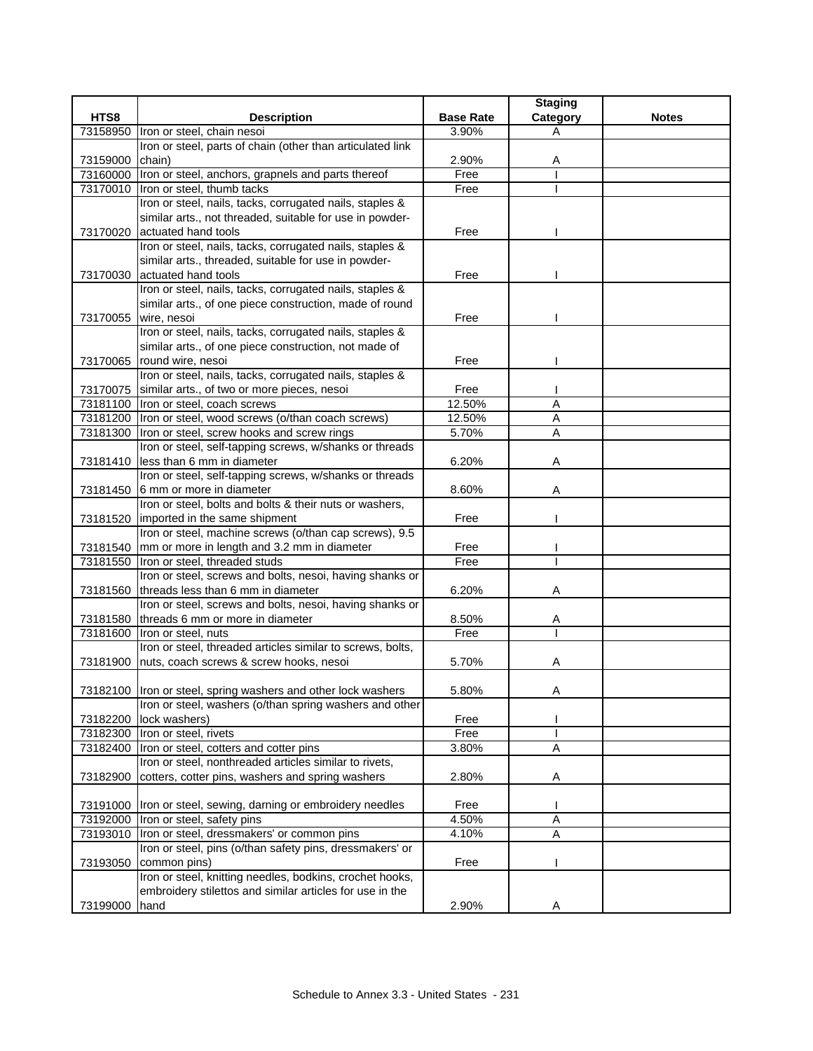|               |                                                                          |                  | <b>Staging</b> |              |
|---------------|--------------------------------------------------------------------------|------------------|----------------|--------------|
| HTS8          | <b>Description</b>                                                       | <b>Base Rate</b> | Category       | <b>Notes</b> |
| 73158950      | Iron or steel, chain nesoi                                               | 3.90%            | A              |              |
|               | Iron or steel, parts of chain (other than articulated link               |                  |                |              |
| 73159000      | chain)                                                                   | 2.90%            | Α              |              |
|               | 73160000  Iron or steel, anchors, grapnels and parts thereof             | Free             |                |              |
| 73170010      | Iron or steel, thumb tacks                                               | Free             |                |              |
|               | Iron or steel, nails, tacks, corrugated nails, staples &                 |                  |                |              |
|               | similar arts., not threaded, suitable for use in powder-                 |                  |                |              |
| 73170020      | actuated hand tools                                                      | Free             |                |              |
|               | Iron or steel, nails, tacks, corrugated nails, staples &                 |                  |                |              |
|               | similar arts., threaded, suitable for use in powder-                     |                  |                |              |
| 73170030      | actuated hand tools                                                      | Free             |                |              |
|               | Iron or steel, nails, tacks, corrugated nails, staples &                 |                  |                |              |
|               | similar arts., of one piece construction, made of round                  |                  |                |              |
| 73170055      | wire, nesoi                                                              | Free             |                |              |
|               | Iron or steel, nails, tacks, corrugated nails, staples &                 |                  |                |              |
|               | similar arts., of one piece construction, not made of                    |                  |                |              |
| 73170065      | round wire, nesoi                                                        | Free             |                |              |
|               | Iron or steel, nails, tacks, corrugated nails, staples &                 |                  |                |              |
| 73170075      | similar arts., of two or more pieces, nesoi                              | Free             |                |              |
|               | 73181100 Iron or steel, coach screws                                     | 12.50%           | A              |              |
| 73181200      | Iron or steel, wood screws (o/than coach screws)                         | 12.50%           | $\overline{A}$ |              |
| 73181300      | Iron or steel, screw hooks and screw rings                               | 5.70%            | Α              |              |
|               | Iron or steel, self-tapping screws, w/shanks or threads                  |                  |                |              |
| 73181410      | less than 6 mm in diameter                                               | 6.20%            | A              |              |
|               | Iron or steel, self-tapping screws, w/shanks or threads                  |                  |                |              |
| 73181450      | 6 mm or more in diameter                                                 | 8.60%            | Α              |              |
|               | Iron or steel, bolts and bolts & their nuts or washers,                  |                  |                |              |
| 73181520      | imported in the same shipment                                            | Free             |                |              |
|               | Iron or steel, machine screws (o/than cap screws), 9.5                   |                  |                |              |
|               | 73181540 mm or more in length and 3.2 mm in diameter                     | Free             |                |              |
| 73181550      | Iron or steel, threaded studs                                            | Free             |                |              |
|               | Iron or steel, screws and bolts, nesoi, having shanks or                 |                  |                |              |
| 73181560      | threads less than 6 mm in diameter                                       | 6.20%            | Α              |              |
|               | Iron or steel, screws and bolts, nesoi, having shanks or                 |                  |                |              |
|               | 73181580 threads 6 mm or more in diameter                                | 8.50%            | A              |              |
| 73181600      | Iron or steel, nuts                                                      | Free             |                |              |
|               | Iron or steel, threaded articles similar to screws, bolts,               |                  |                |              |
| 73181900      | nuts, coach screws & screw hooks, nesoi                                  | 5.70%            | Α              |              |
|               |                                                                          |                  |                |              |
|               | 73182100  Iron or steel, spring washers and other lock washers           | 5.80%            | Α              |              |
|               | Iron or steel, washers (o/than spring washers and other                  |                  |                |              |
| 73182200      | lock washers)                                                            | Free             |                |              |
| 73182300      | Iron or steel, rivets                                                    | Free             |                |              |
| 73182400      | Iron or steel, cotters and cotter pins                                   | 3.80%            | Α              |              |
|               | Iron or steel, nonthreaded articles similar to rivets,                   |                  |                |              |
| 73182900      | cotters, cotter pins, washers and spring washers                         | 2.80%            | Α              |              |
|               |                                                                          |                  |                |              |
|               | 73191000 Iron or steel, sewing, darning or embroidery needles            | Free             |                |              |
|               | 73192000   Iron or steel, safety pins                                    | 4.50%            | Α              |              |
|               | Iron or steel, dressmakers' or common pins                               | 4.10%            | A              |              |
| 73193010      | Iron or steel, pins (o/than safety pins, dressmakers' or                 |                  |                |              |
|               |                                                                          |                  |                |              |
| 73193050      | common pins)<br>Iron or steel, knitting needles, bodkins, crochet hooks, | Free             |                |              |
|               | embroidery stilettos and similar articles for use in the                 |                  |                |              |
|               |                                                                          |                  |                |              |
| 73199000 hand |                                                                          | 2.90%            | Α              |              |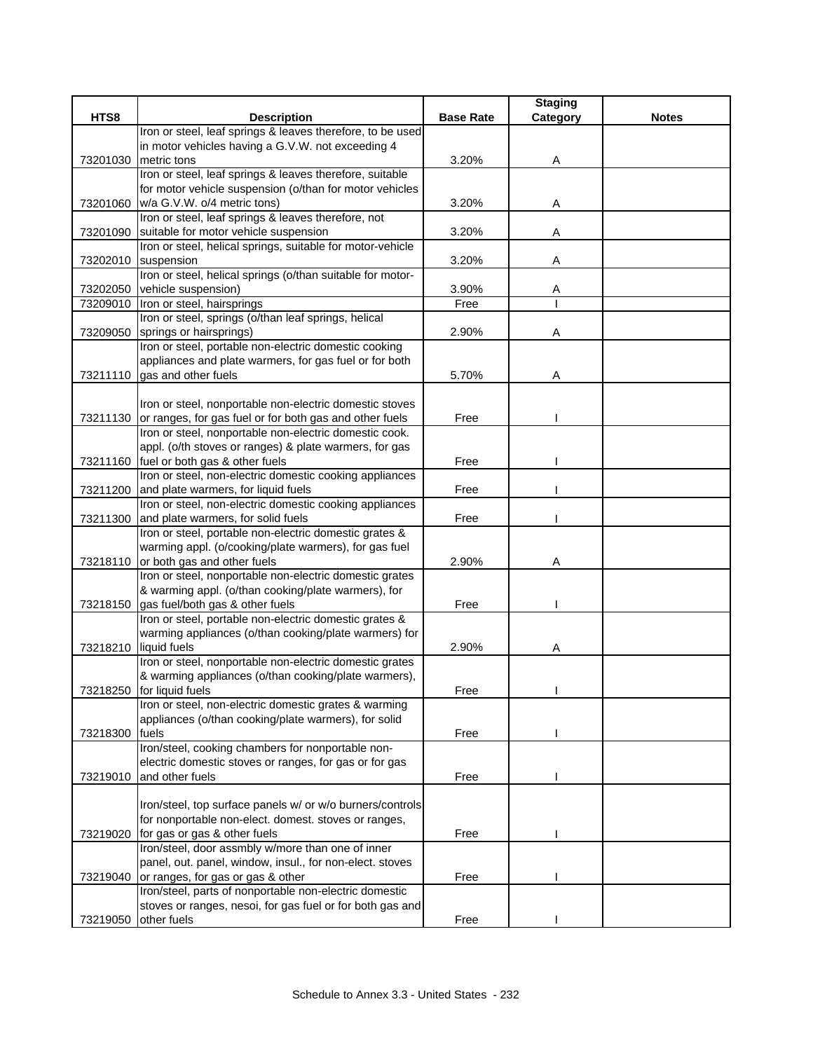|          |                                                                                                                   |                  | <b>Staging</b> |              |
|----------|-------------------------------------------------------------------------------------------------------------------|------------------|----------------|--------------|
| HTS8     | <b>Description</b>                                                                                                | <b>Base Rate</b> | Category       | <b>Notes</b> |
|          | Iron or steel, leaf springs & leaves therefore, to be used                                                        |                  |                |              |
|          | in motor vehicles having a G.V.W. not exceeding 4                                                                 |                  |                |              |
| 73201030 | metric tons<br>Iron or steel, leaf springs & leaves therefore, suitable                                           | 3.20%            | Α              |              |
|          | for motor vehicle suspension (o/than for motor vehicles                                                           |                  |                |              |
| 73201060 | w/a G.V.W. o/4 metric tons)                                                                                       | 3.20%            | Α              |              |
|          | Iron or steel, leaf springs & leaves therefore, not                                                               |                  |                |              |
| 73201090 | suitable for motor vehicle suspension                                                                             | 3.20%            | Α              |              |
|          | Iron or steel, helical springs, suitable for motor-vehicle                                                        |                  |                |              |
| 73202010 | suspension                                                                                                        | 3.20%            | Α              |              |
|          | Iron or steel, helical springs (o/than suitable for motor-                                                        |                  |                |              |
| 73202050 | vehicle suspension)                                                                                               | 3.90%            | A              |              |
| 73209010 | Iron or steel, hairsprings                                                                                        | Free             |                |              |
|          | Iron or steel, springs (o/than leaf springs, helical                                                              |                  |                |              |
| 73209050 | springs or hairsprings)                                                                                           | 2.90%            | Α              |              |
|          | Iron or steel, portable non-electric domestic cooking                                                             |                  |                |              |
|          | appliances and plate warmers, for gas fuel or for both                                                            |                  |                |              |
| 73211110 | gas and other fuels                                                                                               | 5.70%            | Α              |              |
|          |                                                                                                                   |                  |                |              |
|          | Iron or steel, nonportable non-electric domestic stoves                                                           |                  |                |              |
| 73211130 | or ranges, for gas fuel or for both gas and other fuels<br>Iron or steel, nonportable non-electric domestic cook. | Free             |                |              |
|          | appl. (o/th stoves or ranges) & plate warmers, for gas                                                            |                  |                |              |
|          | 73211160 fuel or both gas & other fuels                                                                           | Free             |                |              |
|          | Iron or steel, non-electric domestic cooking appliances                                                           |                  |                |              |
| 73211200 | and plate warmers, for liquid fuels                                                                               | Free             |                |              |
|          | Iron or steel, non-electric domestic cooking appliances                                                           |                  |                |              |
| 73211300 | and plate warmers, for solid fuels                                                                                | Free             |                |              |
|          | Iron or steel, portable non-electric domestic grates &                                                            |                  |                |              |
|          | warming appl. (o/cooking/plate warmers), for gas fuel                                                             |                  |                |              |
| 73218110 | or both gas and other fuels                                                                                       | 2.90%            | Α              |              |
|          | Iron or steel, nonportable non-electric domestic grates                                                           |                  |                |              |
|          | & warming appl. (o/than cooking/plate warmers), for                                                               |                  |                |              |
| 73218150 | gas fuel/both gas & other fuels                                                                                   | Free             |                |              |
|          | Iron or steel, portable non-electric domestic grates &                                                            |                  |                |              |
|          | warming appliances (o/than cooking/plate warmers) for<br>73218210 liquid fuels                                    | 2.90%            | Α              |              |
|          | Iron or steel, nonportable non-electric domestic grates                                                           |                  |                |              |
|          | & warming appliances (o/than cooking/plate warmers),                                                              |                  |                |              |
|          | 73218250 for liquid fuels                                                                                         | Free             |                |              |
|          | Iron or steel, non-electric domestic grates & warming                                                             |                  |                |              |
|          | appliances (o/than cooking/plate warmers), for solid                                                              |                  |                |              |
| 73218300 | fuels                                                                                                             | Free             |                |              |
|          | Iron/steel, cooking chambers for nonportable non-                                                                 |                  |                |              |
|          | electric domestic stoves or ranges, for gas or for gas                                                            |                  |                |              |
| 73219010 | and other fuels                                                                                                   | Free             |                |              |
|          |                                                                                                                   |                  |                |              |
|          | Iron/steel, top surface panels w/ or w/o burners/controls<br>for nonportable non-elect. domest. stoves or ranges, |                  |                |              |
| 73219020 | for gas or gas & other fuels                                                                                      | Free             |                |              |
|          | Iron/steel, door assmbly w/more than one of inner                                                                 |                  |                |              |
|          | panel, out. panel, window, insul., for non-elect. stoves                                                          |                  |                |              |
| 73219040 | or ranges, for gas or gas & other                                                                                 | Free             |                |              |
|          | Iron/steel, parts of nonportable non-electric domestic                                                            |                  |                |              |
|          | stoves or ranges, nesoi, for gas fuel or for both gas and                                                         |                  |                |              |
| 73219050 | other fuels                                                                                                       | Free             |                |              |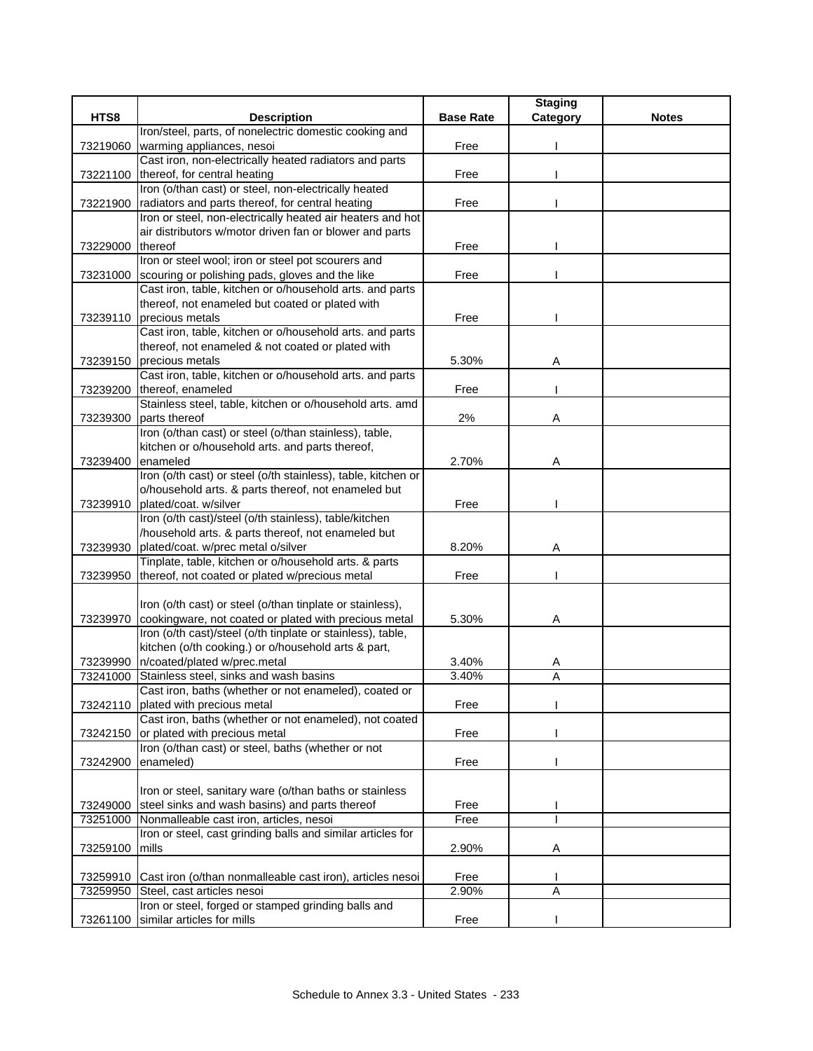|          |                                                               |                  | <b>Staging</b> |              |
|----------|---------------------------------------------------------------|------------------|----------------|--------------|
| HTS8     | <b>Description</b>                                            | <b>Base Rate</b> | Category       | <b>Notes</b> |
|          | Iron/steel, parts, of nonelectric domestic cooking and        |                  |                |              |
| 73219060 | warming appliances, nesoi                                     | Free             |                |              |
|          | Cast iron, non-electrically heated radiators and parts        |                  |                |              |
| 73221100 | thereof, for central heating                                  | Free             |                |              |
|          | Iron (o/than cast) or steel, non-electrically heated          |                  |                |              |
| 73221900 | radiators and parts thereof, for central heating              | Free             |                |              |
|          | Iron or steel, non-electrically heated air heaters and hot    |                  |                |              |
|          | air distributors w/motor driven fan or blower and parts       |                  |                |              |
| 73229000 | thereof                                                       | Free             |                |              |
|          | Iron or steel wool; iron or steel pot scourers and            |                  |                |              |
| 73231000 | scouring or polishing pads, gloves and the like               | Free             |                |              |
|          | Cast iron, table, kitchen or o/household arts. and parts      |                  |                |              |
|          | thereof, not enameled but coated or plated with               |                  |                |              |
| 73239110 | precious metals                                               | Free             |                |              |
|          | Cast iron, table, kitchen or o/household arts. and parts      |                  |                |              |
|          | thereof, not enameled & not coated or plated with             |                  |                |              |
| 73239150 | precious metals                                               | 5.30%            | Α              |              |
|          | Cast iron, table, kitchen or o/household arts. and parts      |                  |                |              |
| 73239200 | thereof, enameled                                             | Free             |                |              |
|          | Stainless steel, table, kitchen or o/household arts. amd      |                  |                |              |
| 73239300 | parts thereof                                                 | 2%               | Α              |              |
|          | Iron (o/than cast) or steel (o/than stainless), table,        |                  |                |              |
|          | kitchen or o/household arts. and parts thereof,               |                  |                |              |
| 73239400 | enameled                                                      | 2.70%            | Α              |              |
|          | Iron (o/th cast) or steel (o/th stainless), table, kitchen or |                  |                |              |
|          | o/household arts. & parts thereof, not enameled but           |                  |                |              |
| 73239910 | plated/coat. w/silver                                         | Free             |                |              |
|          | Iron (o/th cast)/steel (o/th stainless), table/kitchen        |                  |                |              |
|          | /household arts. & parts thereof, not enameled but            |                  |                |              |
| 73239930 | plated/coat. w/prec metal o/silver                            | 8.20%            | Α              |              |
|          | Tinplate, table, kitchen or o/household arts. & parts         |                  |                |              |
| 73239950 | thereof, not coated or plated w/precious metal                | Free             |                |              |
|          |                                                               |                  |                |              |
|          | Iron (o/th cast) or steel (o/than tinplate or stainless),     |                  |                |              |
| 73239970 | cookingware, not coated or plated with precious metal         | 5.30%            | Α              |              |
|          | Iron (o/th cast)/steel (o/th tinplate or stainless), table,   |                  |                |              |
|          | kitchen (o/th cooking.) or o/household arts & part,           |                  |                |              |
| 73239990 | n/coated/plated w/prec.metal                                  | 3.40%            | A              |              |
| 73241000 | Stainless steel, sinks and wash basins                        | 3.40%            | A              |              |
|          | Cast iron, baths (whether or not enameled), coated or         |                  |                |              |
| 73242110 | plated with precious metal                                    | Free             |                |              |
|          | Cast iron, baths (whether or not enameled), not coated        |                  |                |              |
| 73242150 | or plated with precious metal                                 | Free             |                |              |
|          | Iron (o/than cast) or steel, baths (whether or not            |                  |                |              |
| 73242900 | enameled)                                                     | Free             |                |              |
|          |                                                               |                  |                |              |
|          | Iron or steel, sanitary ware (o/than baths or stainless       |                  |                |              |
| 73249000 | steel sinks and wash basins) and parts thereof                | Free             |                |              |
| 73251000 | Nonmalleable cast iron, articles, nesoi                       | Free             |                |              |
|          | Iron or steel, cast grinding balls and similar articles for   |                  |                |              |
| 73259100 | mills                                                         | 2.90%            | Α              |              |
|          |                                                               |                  |                |              |
| 73259910 | Cast iron (o/than nonmalleable cast iron), articles nesoi     | Free             |                |              |
| 73259950 | Steel, cast articles nesoi                                    | 2.90%            | A              |              |
|          | Iron or steel, forged or stamped grinding balls and           |                  |                |              |
| 73261100 | similar articles for mills                                    | Free             |                |              |
|          |                                                               |                  |                |              |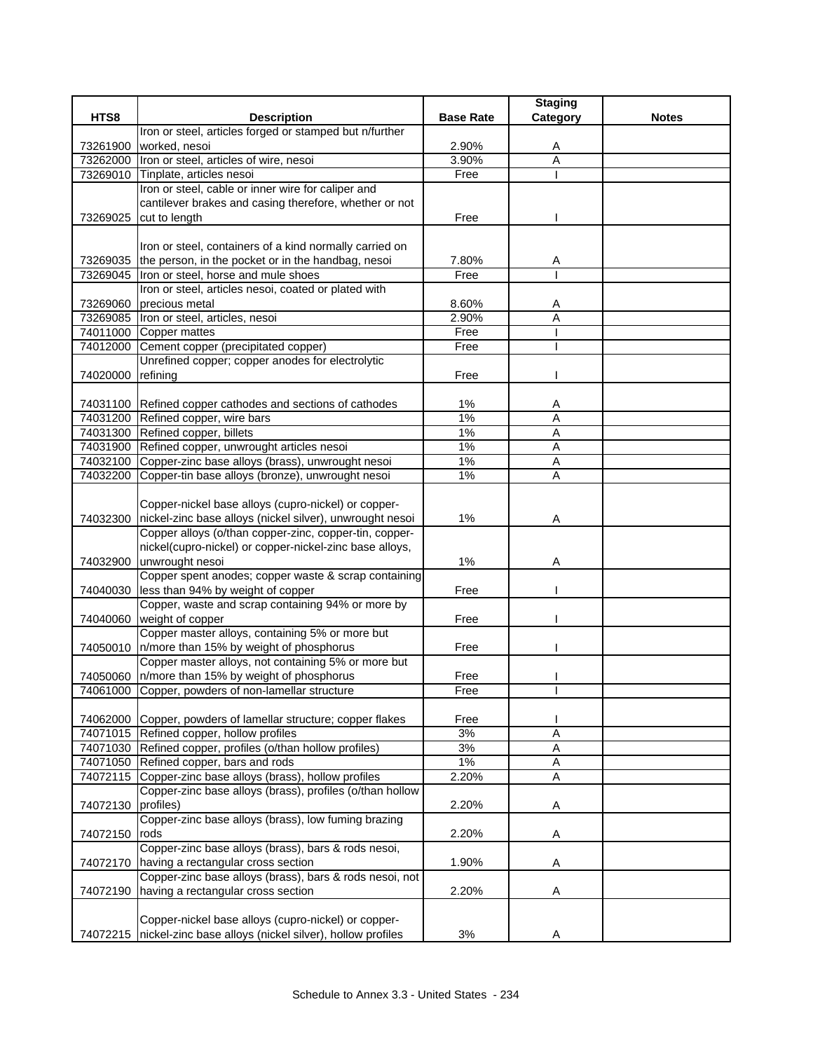|          |                                                                                                                          |                  | <b>Staging</b> |              |
|----------|--------------------------------------------------------------------------------------------------------------------------|------------------|----------------|--------------|
| HTS8     | <b>Description</b>                                                                                                       | <b>Base Rate</b> | Category       | <b>Notes</b> |
|          | Iron or steel, articles forged or stamped but n/further                                                                  |                  |                |              |
| 73261900 | worked, nesoi                                                                                                            | 2.90%            | A              |              |
| 73262000 | Iron or steel, articles of wire, nesoi                                                                                   | 3.90%            | A              |              |
| 73269010 | Tinplate, articles nesoi<br>Iron or steel, cable or inner wire for caliper and                                           | Free             |                |              |
|          | cantilever brakes and casing therefore, whether or not                                                                   |                  |                |              |
|          | 73269025 cut to length                                                                                                   | Free             |                |              |
|          |                                                                                                                          |                  |                |              |
|          | Iron or steel, containers of a kind normally carried on                                                                  |                  |                |              |
|          | 73269035 the person, in the pocket or in the handbag, nesoi                                                              | 7.80%            | A              |              |
| 73269045 | Iron or steel, horse and mule shoes                                                                                      | Free             |                |              |
|          | Iron or steel, articles nesoi, coated or plated with                                                                     |                  |                |              |
| 73269060 | precious metal                                                                                                           | 8.60%            | A              |              |
| 73269085 | Iron or steel, articles, nesoi                                                                                           | 2.90%            | A              |              |
| 74011000 | Copper mattes                                                                                                            | Free             |                |              |
| 74012000 | Cement copper (precipitated copper)                                                                                      | Free             |                |              |
|          | Unrefined copper; copper anodes for electrolytic                                                                         |                  |                |              |
| 74020000 | refining                                                                                                                 | Free             |                |              |
|          |                                                                                                                          |                  |                |              |
|          | 74031100 Refined copper cathodes and sections of cathodes                                                                | $1\%$            | A              |              |
|          | 74031200 Refined copper, wire bars<br>74031300 Refined copper, billets                                                   | 1%<br>1%         | A              |              |
|          | 74031900 Refined copper, unwrought articles nesoi                                                                        | 1%               | Α              |              |
|          | 74032100 Copper-zinc base alloys (brass), unwrought nesoi                                                                | 1%               | Α<br>A         |              |
| 74032200 | Copper-tin base alloys (bronze), unwrought nesoi                                                                         | $1\%$            | A              |              |
|          |                                                                                                                          |                  |                |              |
|          | Copper-nickel base alloys (cupro-nickel) or copper-                                                                      |                  |                |              |
| 74032300 | nickel-zinc base alloys (nickel silver), unwrought nesoi                                                                 | 1%               | Α              |              |
|          | Copper alloys (o/than copper-zinc, copper-tin, copper-                                                                   |                  |                |              |
|          | nickel(cupro-nickel) or copper-nickel-zinc base alloys,                                                                  |                  |                |              |
| 74032900 | unwrought nesoi                                                                                                          | $1\%$            | Α              |              |
|          | Copper spent anodes; copper waste & scrap containing                                                                     |                  |                |              |
| 74040030 | less than 94% by weight of copper                                                                                        | Free             |                |              |
|          | Copper, waste and scrap containing 94% or more by                                                                        |                  |                |              |
|          | 74040060 weight of copper                                                                                                | Free             |                |              |
|          | Copper master alloys, containing 5% or more but                                                                          |                  |                |              |
|          | 74050010 n/more than 15% by weight of phosphorus                                                                         | Free             |                |              |
|          | Copper master alloys, not containing 5% or more but                                                                      |                  |                |              |
|          | 74050060 n/more than 15% by weight of phosphorus<br>74061000 Copper, powders of non-lamellar structure                   | Free<br>Free     |                |              |
|          |                                                                                                                          |                  |                |              |
|          | 74062000 Copper, powders of lamellar structure; copper flakes                                                            | Free             |                |              |
|          | 74071015 Refined copper, hollow profiles                                                                                 | 3%               | A              |              |
|          | 74071030 Refined copper, profiles (o/than hollow profiles)                                                               | 3%               | Α              |              |
|          | 74071050 Refined copper, bars and rods                                                                                   | $1\%$            | A              |              |
| 74072115 | Copper-zinc base alloys (brass), hollow profiles                                                                         | 2.20%            | $\overline{A}$ |              |
|          | Copper-zinc base alloys (brass), profiles (o/than hollow                                                                 |                  |                |              |
| 74072130 | profiles)                                                                                                                | 2.20%            | Α              |              |
|          | Copper-zinc base alloys (brass), low fuming brazing                                                                      |                  |                |              |
| 74072150 | rods                                                                                                                     | 2.20%            | Α              |              |
|          | Copper-zinc base alloys (brass), bars & rods nesoi,                                                                      |                  |                |              |
|          | 74072170 having a rectangular cross section                                                                              | 1.90%            | Α              |              |
|          | Copper-zinc base alloys (brass), bars & rods nesoi, not                                                                  |                  |                |              |
| 74072190 | having a rectangular cross section                                                                                       | 2.20%            | Α              |              |
|          |                                                                                                                          |                  |                |              |
|          | Copper-nickel base alloys (cupro-nickel) or copper-<br>74072215 nickel-zinc base alloys (nickel silver), hollow profiles |                  |                |              |
|          |                                                                                                                          | 3%               | Α              |              |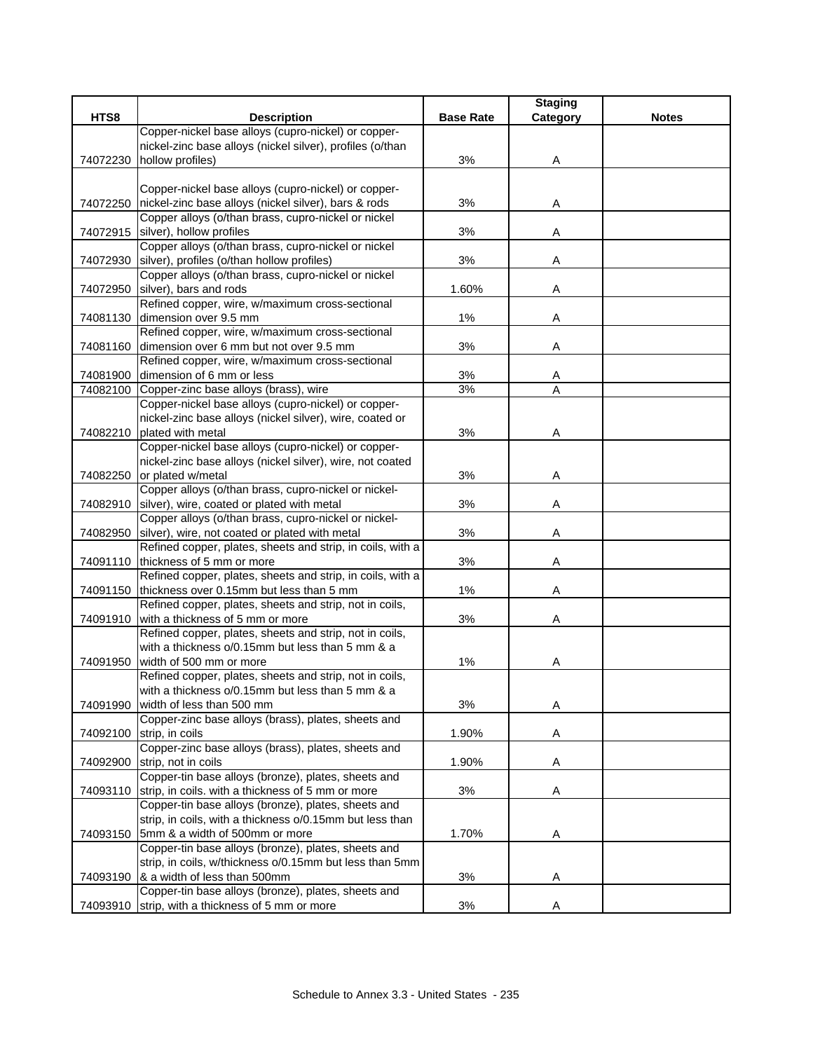|          |                                                                                                    |                  | <b>Staging</b> |              |
|----------|----------------------------------------------------------------------------------------------------|------------------|----------------|--------------|
| HTS8     | <b>Description</b>                                                                                 | <b>Base Rate</b> | Category       | <b>Notes</b> |
|          | Copper-nickel base alloys (cupro-nickel) or copper-                                                |                  |                |              |
|          | nickel-zinc base alloys (nickel silver), profiles (o/than                                          |                  |                |              |
| 74072230 | hollow profiles)                                                                                   | 3%               | A              |              |
|          |                                                                                                    |                  |                |              |
|          | Copper-nickel base alloys (cupro-nickel) or copper-                                                |                  |                |              |
|          | 74072250 nickel-zinc base alloys (nickel silver), bars & rods                                      | 3%               | A              |              |
|          | Copper alloys (o/than brass, cupro-nickel or nickel                                                |                  |                |              |
|          | 74072915 silver), hollow profiles                                                                  | 3%               | Α              |              |
|          | Copper alloys (o/than brass, cupro-nickel or nickel                                                |                  |                |              |
| 74072930 | silver), profiles (o/than hollow profiles)                                                         | 3%               | Α              |              |
|          | Copper alloys (o/than brass, cupro-nickel or nickel                                                |                  |                |              |
| 74072950 | silver), bars and rods                                                                             | 1.60%            | Α              |              |
|          | Refined copper, wire, w/maximum cross-sectional                                                    |                  |                |              |
|          | 74081130 dimension over 9.5 mm                                                                     | $1\%$            | Α              |              |
|          | Refined copper, wire, w/maximum cross-sectional                                                    |                  |                |              |
| 74081160 | dimension over 6 mm but not over 9.5 mm                                                            | 3%               | Α              |              |
|          | Refined copper, wire, w/maximum cross-sectional                                                    |                  |                |              |
| 74081900 | dimension of 6 mm or less                                                                          | 3%               | A              |              |
|          | 74082100 Copper-zinc base alloys (brass), wire                                                     | 3%               | A              |              |
|          | Copper-nickel base alloys (cupro-nickel) or copper-                                                |                  |                |              |
|          | nickel-zinc base alloys (nickel silver), wire, coated or                                           |                  |                |              |
| 74082210 | plated with metal                                                                                  | 3%               | Α              |              |
|          | Copper-nickel base alloys (cupro-nickel) or copper-                                                |                  |                |              |
|          | nickel-zinc base alloys (nickel silver), wire, not coated                                          |                  |                |              |
| 74082250 | or plated w/metal                                                                                  | 3%               | Α              |              |
|          | Copper alloys (o/than brass, cupro-nickel or nickel-                                               |                  |                |              |
|          | 74082910 silver), wire, coated or plated with metal                                                | 3%               | Α              |              |
|          | Copper alloys (o/than brass, cupro-nickel or nickel-                                               |                  |                |              |
| 74082950 | silver), wire, not coated or plated with metal                                                     | 3%               | Α              |              |
|          | Refined copper, plates, sheets and strip, in coils, with a                                         |                  |                |              |
|          | 74091110   thickness of 5 mm or more<br>Refined copper, plates, sheets and strip, in coils, with a | 3%               | Α              |              |
|          | 74091150 thickness over 0.15mm but less than 5 mm                                                  | $1\%$            |                |              |
|          | Refined copper, plates, sheets and strip, not in coils,                                            |                  | Α              |              |
|          | 74091910 with a thickness of 5 mm or more                                                          | 3%               | Α              |              |
|          | Refined copper, plates, sheets and strip, not in coils,                                            |                  |                |              |
|          | with a thickness o/0.15mm but less than 5 mm & a                                                   |                  |                |              |
| 74091950 | width of 500 mm or more                                                                            | $1\%$            |                |              |
|          | Refined copper, plates, sheets and strip, not in coils,                                            |                  | A              |              |
|          | with a thickness o/0.15mm but less than 5 mm & a                                                   |                  |                |              |
| 74091990 | width of less than 500 mm                                                                          | 3%               | Α              |              |
|          | Copper-zinc base alloys (brass), plates, sheets and                                                |                  |                |              |
| 74092100 | strip, in coils                                                                                    | 1.90%            | Α              |              |
|          | Copper-zinc base alloys (brass), plates, sheets and                                                |                  |                |              |
| 74092900 | strip, not in coils                                                                                | 1.90%            | Α              |              |
|          | Copper-tin base alloys (bronze), plates, sheets and                                                |                  |                |              |
| 74093110 | strip, in coils. with a thickness of 5 mm or more                                                  | 3%               | Α              |              |
|          | Copper-tin base alloys (bronze), plates, sheets and                                                |                  |                |              |
|          | strip, in coils, with a thickness o/0.15mm but less than                                           |                  |                |              |
| 74093150 | 5mm & a width of 500mm or more                                                                     | 1.70%            | A              |              |
|          | Copper-tin base alloys (bronze), plates, sheets and                                                |                  |                |              |
|          | strip, in coils, w/thickness o/0.15mm but less than 5mm                                            |                  |                |              |
|          | 74093190  & a width of less than 500mm                                                             | 3%               | Α              |              |
|          | Copper-tin base alloys (bronze), plates, sheets and                                                |                  |                |              |
|          | 74093910 strip, with a thickness of 5 mm or more                                                   | 3%               | A              |              |
|          |                                                                                                    |                  |                |              |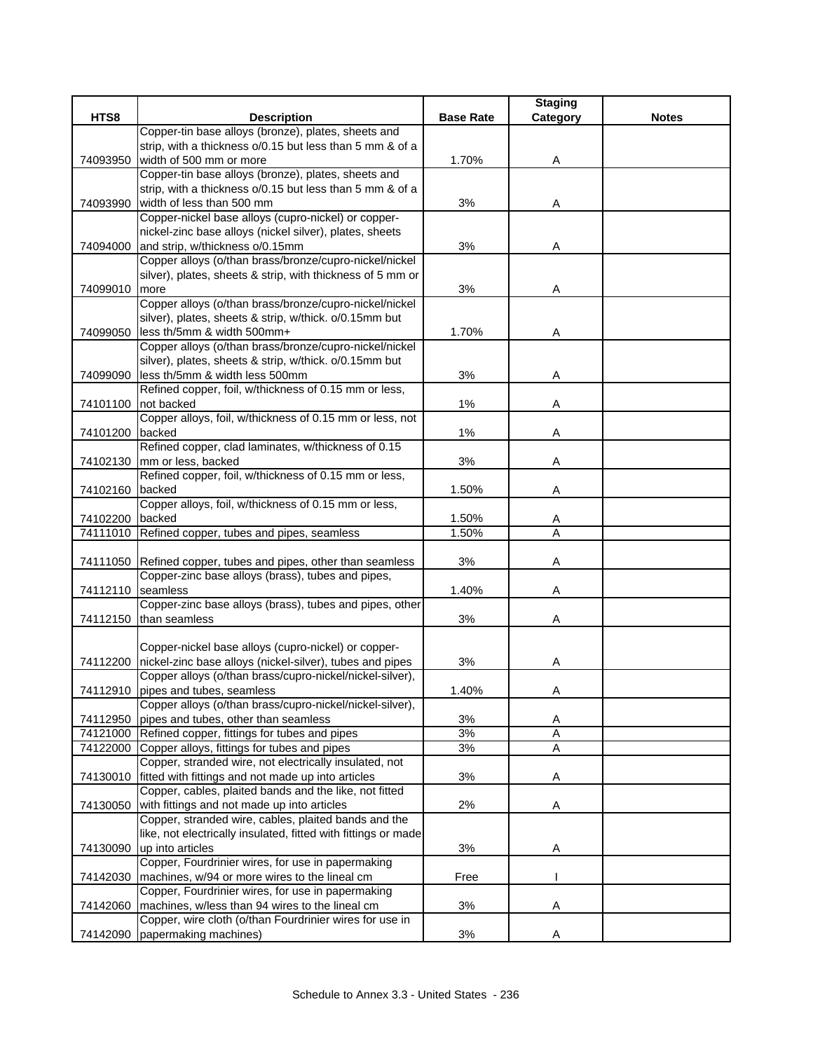|          |                                                                |                  | <b>Staging</b> |              |
|----------|----------------------------------------------------------------|------------------|----------------|--------------|
| HTS8     | <b>Description</b>                                             | <b>Base Rate</b> | Category       | <b>Notes</b> |
|          | Copper-tin base alloys (bronze), plates, sheets and            |                  |                |              |
|          | strip, with a thickness o/0.15 but less than 5 mm & of a       |                  |                |              |
| 74093950 | width of 500 mm or more                                        | 1.70%            | Α              |              |
|          | Copper-tin base alloys (bronze), plates, sheets and            |                  |                |              |
|          | strip, with a thickness o/0.15 but less than 5 mm & of a       |                  |                |              |
| 74093990 | width of less than 500 mm                                      | 3%               | Α              |              |
|          | Copper-nickel base alloys (cupro-nickel) or copper-            |                  |                |              |
|          | nickel-zinc base alloys (nickel silver), plates, sheets        |                  |                |              |
| 74094000 | and strip, w/thickness o/0.15mm                                | 3%               | Α              |              |
|          | Copper alloys (o/than brass/bronze/cupro-nickel/nickel         |                  |                |              |
|          | silver), plates, sheets & strip, with thickness of 5 mm or     |                  |                |              |
| 74099010 | more                                                           | 3%               | Α              |              |
|          | Copper alloys (o/than brass/bronze/cupro-nickel/nickel         |                  |                |              |
|          | silver), plates, sheets & strip, w/thick. o/0.15mm but         |                  |                |              |
| 74099050 | less th/5mm & width 500mm+                                     | 1.70%            | Α              |              |
|          | Copper alloys (o/than brass/bronze/cupro-nickel/nickel         |                  |                |              |
|          | silver), plates, sheets & strip, w/thick. o/0.15mm but         |                  |                |              |
| 74099090 | less th/5mm & width less 500mm                                 | 3%               | Α              |              |
|          | Refined copper, foil, w/thickness of 0.15 mm or less,          |                  |                |              |
| 74101100 | not backed                                                     | 1%               | Α              |              |
|          | Copper alloys, foil, w/thickness of 0.15 mm or less, not       |                  |                |              |
| 74101200 | backed                                                         | $1\%$            | Α              |              |
|          | Refined copper, clad laminates, w/thickness of 0.15            |                  |                |              |
|          | 74102130 mm or less, backed                                    | 3%               | Α              |              |
|          | Refined copper, foil, w/thickness of 0.15 mm or less,          |                  |                |              |
| 74102160 | backed                                                         | 1.50%            | Α              |              |
|          | Copper alloys, foil, w/thickness of 0.15 mm or less,           |                  |                |              |
| 74102200 | backed                                                         | 1.50%            | Α              |              |
| 74111010 | Refined copper, tubes and pipes, seamless                      | 1.50%            | Α              |              |
|          |                                                                |                  |                |              |
|          | 74111050 Refined copper, tubes and pipes, other than seamless  | 3%               | Α              |              |
|          | Copper-zinc base alloys (brass), tubes and pipes,              |                  |                |              |
| 74112110 | seamless                                                       | 1.40%            | Α              |              |
|          | Copper-zinc base alloys (brass), tubes and pipes, other        |                  |                |              |
| 74112150 | than seamless                                                  | 3%               | Α              |              |
|          |                                                                |                  |                |              |
|          | Copper-nickel base alloys (cupro-nickel) or copper-            |                  |                |              |
| 74112200 | nickel-zinc base alloys (nickel-silver), tubes and pipes       | 3%               | Α              |              |
|          | Copper alloys (o/than brass/cupro-nickel/nickel-silver),       |                  |                |              |
|          | 74112910 pipes and tubes, seamless                             | 1.40%            | Α              |              |
|          | Copper alloys (o/than brass/cupro-nickel/nickel-silver),       |                  |                |              |
|          | 74112950 pipes and tubes, other than seamless                  | 3%               | A              |              |
|          | 74121000 Refined copper, fittings for tubes and pipes          | 3%               | A              |              |
|          | 74122000 Copper alloys, fittings for tubes and pipes           | 3%               | Ā              |              |
|          | Copper, stranded wire, not electrically insulated, not         |                  |                |              |
| 74130010 | fitted with fittings and not made up into articles             | 3%               | Α              |              |
|          | Copper, cables, plaited bands and the like, not fitted         |                  |                |              |
| 74130050 | with fittings and not made up into articles                    | 2%               | A              |              |
|          | Copper, stranded wire, cables, plaited bands and the           |                  |                |              |
|          | like, not electrically insulated, fitted with fittings or made |                  |                |              |
| 74130090 | up into articles                                               | 3%               | Α              |              |
|          | Copper, Fourdrinier wires, for use in papermaking              |                  |                |              |
| 74142030 | machines, w/94 or more wires to the lineal cm                  | Free             |                |              |
|          | Copper, Fourdrinier wires, for use in papermaking              |                  |                |              |
| 74142060 | machines, w/less than 94 wires to the lineal cm                | 3%               | Α              |              |
|          | Copper, wire cloth (o/than Fourdrinier wires for use in        |                  |                |              |
|          | 74142090 papermaking machines)                                 | 3%               | Α              |              |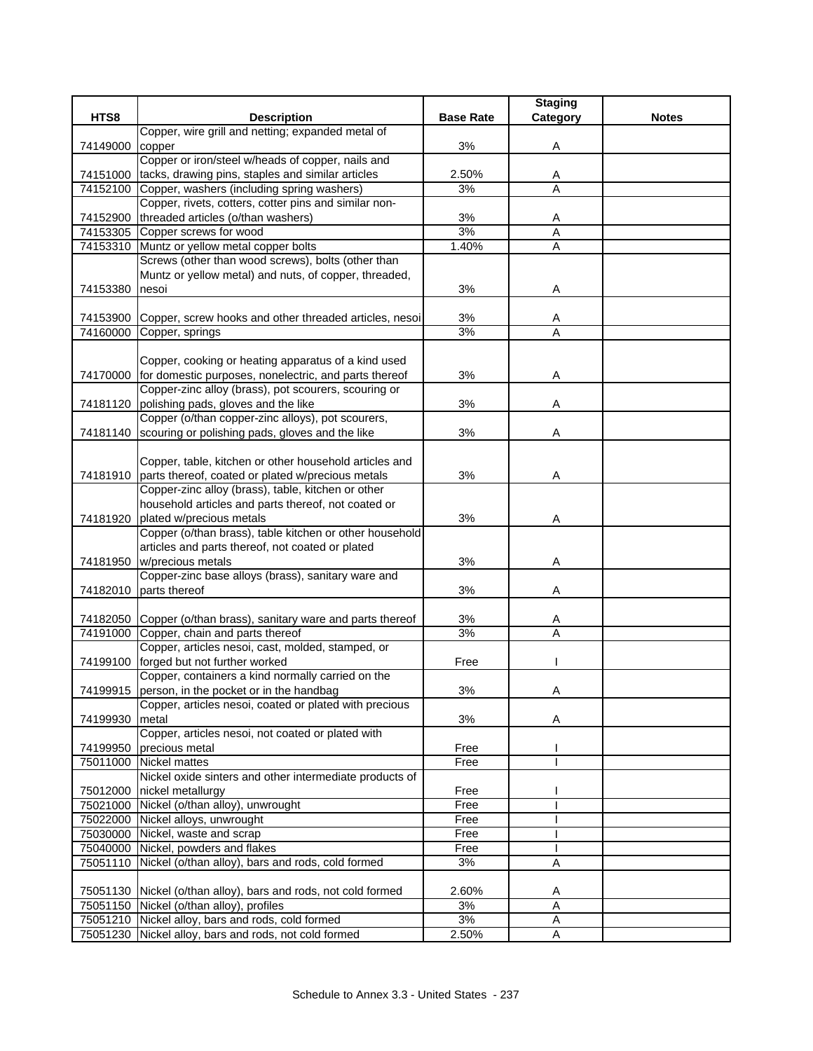|          |                                                                 |                  | <b>Staging</b> |              |
|----------|-----------------------------------------------------------------|------------------|----------------|--------------|
| HTS8     | <b>Description</b>                                              | <b>Base Rate</b> | Category       | <b>Notes</b> |
|          | Copper, wire grill and netting; expanded metal of               |                  |                |              |
| 74149000 | copper                                                          | 3%               | Α              |              |
|          | Copper or iron/steel w/heads of copper, nails and               |                  |                |              |
| 74151000 | tacks, drawing pins, staples and similar articles               | 2.50%            | Α              |              |
| 74152100 | Copper, washers (including spring washers)                      | 3%               | $\overline{A}$ |              |
|          | Copper, rivets, cotters, cotter pins and similar non-           |                  |                |              |
| 74152900 | threaded articles (o/than washers)                              | 3%               | A              |              |
| 74153305 | Copper screws for wood                                          | 3%               | Α              |              |
|          | 74153310 Muntz or yellow metal copper bolts                     | 1.40%            | A              |              |
|          | Screws (other than wood screws), bolts (other than              |                  |                |              |
|          | Muntz or yellow metal) and nuts, of copper, threaded,           |                  |                |              |
| 74153380 | nesoi                                                           | 3%               | Α              |              |
|          |                                                                 |                  |                |              |
|          | 74153900 Copper, screw hooks and other threaded articles, nesoi | 3%               | Α              |              |
| 74160000 | Copper, springs                                                 | 3%               | A              |              |
|          |                                                                 |                  |                |              |
|          | Copper, cooking or heating apparatus of a kind used             |                  |                |              |
|          | 74170000 for domestic purposes, nonelectric, and parts thereof  | 3%               | Α              |              |
|          | Copper-zinc alloy (brass), pot scourers, scouring or            |                  |                |              |
|          | 74181120 polishing pads, gloves and the like                    | 3%               | Α              |              |
|          | Copper (o/than copper-zinc alloys), pot scourers,               |                  |                |              |
|          | 74181140 Scouring or polishing pads, gloves and the like        | 3%               | Α              |              |
|          |                                                                 |                  |                |              |
|          | Copper, table, kitchen or other household articles and          |                  |                |              |
|          | 74181910 parts thereof, coated or plated w/precious metals      | 3%               | Α              |              |
|          | Copper-zinc alloy (brass), table, kitchen or other              |                  |                |              |
|          | household articles and parts thereof, not coated or             |                  |                |              |
| 74181920 | plated w/precious metals                                        | 3%               | Α              |              |
|          | Copper (o/than brass), table kitchen or other household         |                  |                |              |
|          | articles and parts thereof, not coated or plated                |                  |                |              |
| 74181950 | w/precious metals                                               | 3%               | Α              |              |
|          | Copper-zinc base alloys (brass), sanitary ware and              |                  |                |              |
| 74182010 | parts thereof                                                   | 3%               | Α              |              |
|          |                                                                 |                  |                |              |
|          | 74182050 Copper (o/than brass), sanitary ware and parts thereof | 3%               | Α              |              |
| 74191000 | Copper, chain and parts thereof                                 | 3%               | A              |              |
|          | Copper, articles nesoi, cast, molded, stamped, or               |                  |                |              |
|          | 74199100 forged but not further worked                          | Free             |                |              |
|          | Copper, containers a kind normally carried on the               |                  |                |              |
|          | 74199915 person, in the pocket or in the handbag                | 3%               | A              |              |
|          | Copper, articles nesoi, coated or plated with precious          |                  |                |              |
| 74199930 | metal                                                           | 3%               | Α              |              |
|          | Copper, articles nesoi, not coated or plated with               |                  |                |              |
|          | 74199950 precious metal                                         | Free             |                |              |
|          | 75011000 Nickel mattes                                          | Free             |                |              |
|          | Nickel oxide sinters and other intermediate products of         |                  |                |              |
|          | 75012000 nickel metallurgy                                      | Free             |                |              |
|          | 75021000 Nickel (o/than alloy), unwrought                       | Free             |                |              |
|          | 75022000 Nickel alloys, unwrought                               | Free             |                |              |
|          | 75030000 Nickel, waste and scrap                                | Free             |                |              |
|          | 75040000 Nickel, powders and flakes                             | Free             |                |              |
| 75051110 | Nickel (o/than alloy), bars and rods, cold formed               | 3%               | Α              |              |
|          |                                                                 |                  |                |              |
|          | 75051130 Nickel (o/than alloy), bars and rods, not cold formed  | 2.60%            | Α              |              |
|          | 75051150 Nickel (o/than alloy), profiles                        | 3%               | A              |              |
|          | 75051210 Nickel alloy, bars and rods, cold formed               | 3%               | A              |              |
|          | 75051230 Nickel alloy, bars and rods, not cold formed           | 2.50%            | Α              |              |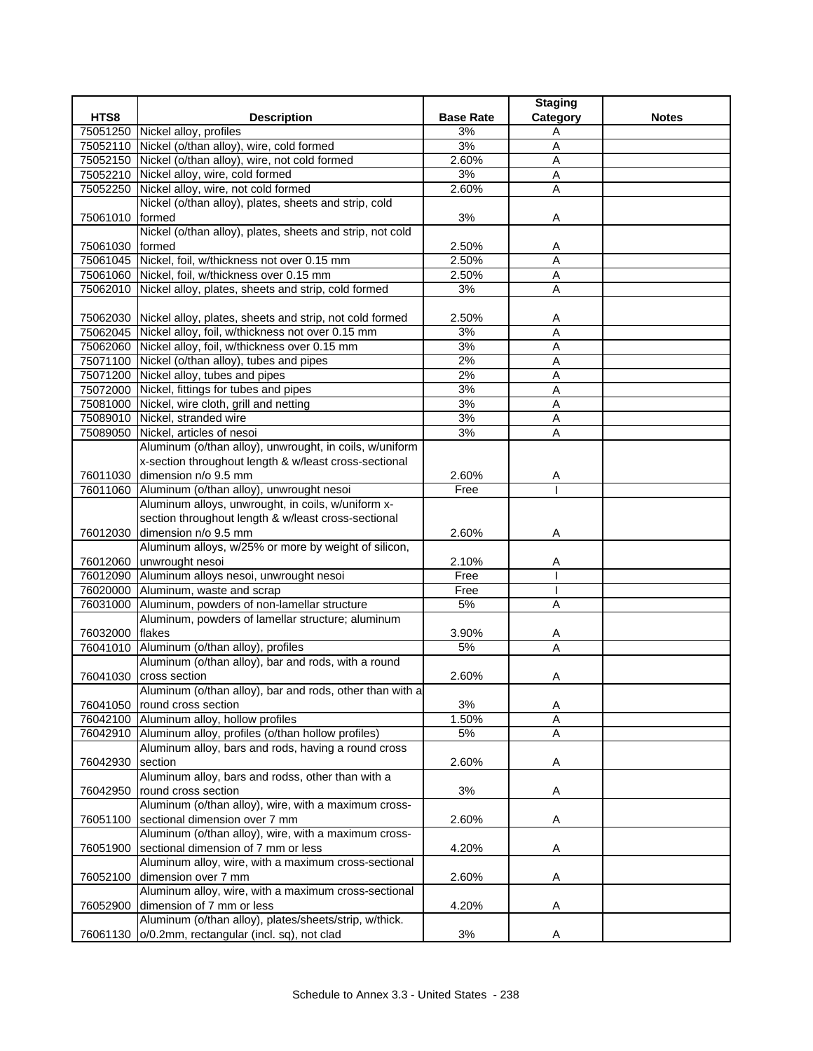|                 |                                                                  |                  | <b>Staging</b> |              |
|-----------------|------------------------------------------------------------------|------------------|----------------|--------------|
| HTS8            | <b>Description</b>                                               | <b>Base Rate</b> | Category       | <b>Notes</b> |
|                 | 75051250 Nickel alloy, profiles                                  | 3%               | Α              |              |
|                 | 75052110 Nickel (o/than alloy), wire, cold formed                | 3%               | $\mathsf{A}$   |              |
|                 | 75052150 Nickel (o/than alloy), wire, not cold formed            | 2.60%            | A              |              |
|                 | 75052210 Nickel alloy, wire, cold formed                         | 3%               | Α              |              |
|                 | 75052250 Nickel alloy, wire, not cold formed                     | 2.60%            | $\overline{A}$ |              |
|                 | Nickel (o/than alloy), plates, sheets and strip, cold            |                  |                |              |
| 75061010 formed |                                                                  | 3%               | Α              |              |
|                 | Nickel (o/than alloy), plates, sheets and strip, not cold        |                  |                |              |
| 75061030 formed |                                                                  | 2.50%            | Α              |              |
|                 | 75061045 Nickel, foil, w/thickness not over 0.15 mm              | 2.50%            | A              |              |
|                 | 75061060 Nickel, foil, w/thickness over 0.15 mm                  | 2.50%            | A              |              |
|                 | 75062010 Nickel alloy, plates, sheets and strip, cold formed     | 3%               | A              |              |
|                 |                                                                  |                  |                |              |
|                 | 75062030 Nickel alloy, plates, sheets and strip, not cold formed | 2.50%            | Α              |              |
|                 | 75062045 Nickel alloy, foil, w/thickness not over 0.15 mm        | 3%               | A              |              |
|                 | 75062060 Nickel alloy, foil, w/thickness over 0.15 mm            | 3%               | $\overline{A}$ |              |
|                 | 75071100 Nickel (o/than alloy), tubes and pipes                  | 2%               | Α              |              |
|                 | 75071200 Nickel alloy, tubes and pipes                           | 2%               | Α              |              |
|                 | 75072000 Nickel, fittings for tubes and pipes                    | 3%               | $\overline{A}$ |              |
|                 | 75081000 Nickel, wire cloth, grill and netting                   | 3%               | A              |              |
|                 | 75089010 Nickel, stranded wire                                   | 3%               | $\overline{A}$ |              |
|                 | 75089050 Nickel, articles of nesoi                               | 3%               | A              |              |
|                 | Aluminum (o/than alloy), unwrought, in coils, w/uniform          |                  |                |              |
|                 | x-section throughout length & w/least cross-sectional            |                  |                |              |
|                 | 76011030 dimension n/o 9.5 mm                                    | 2.60%            | A              |              |
|                 | 76011060 Aluminum (o/than alloy), unwrought nesoi                | Free             |                |              |
|                 | Aluminum alloys, unwrought, in coils, w/uniform x-               |                  |                |              |
|                 | section throughout length & w/least cross-sectional              |                  |                |              |
| 76012030        | dimension n/o 9.5 mm                                             | 2.60%            | Α              |              |
|                 | Aluminum alloys, w/25% or more by weight of silicon,             |                  |                |              |
|                 | 76012060 unwrought nesoi                                         | 2.10%            | Α              |              |
|                 | 76012090 Aluminum alloys nesoi, unwrought nesoi                  | Free             |                |              |
|                 | 76020000 Aluminum, waste and scrap                               | Free             |                |              |
|                 | 76031000 Aluminum, powders of non-lamellar structure             | 5%               | A              |              |
|                 | Aluminum, powders of lamellar structure; aluminum                |                  |                |              |
| 76032000        | flakes                                                           | 3.90%            | A              |              |
|                 | 76041010 Aluminum (o/than alloy), profiles                       | 5%               | $\overline{A}$ |              |
|                 | Aluminum (o/than alloy), bar and rods, with a round              |                  |                |              |
|                 | 76041030 cross section                                           | 2.60%            | Α              |              |
|                 | Aluminum (o/than alloy), bar and rods, other than with a         |                  |                |              |
| 76041050        | round cross section                                              | 3%               | Α              |              |
| 76042100        | Aluminum alloy, hollow profiles                                  | 1.50%            | A              |              |
| 76042910        | Aluminum alloy, profiles (o/than hollow profiles)                | 5%               | Α              |              |
|                 | Aluminum alloy, bars and rods, having a round cross              |                  |                |              |
| 76042930        | section                                                          | 2.60%            | Α              |              |
|                 | Aluminum alloy, bars and rodss, other than with a                |                  |                |              |
| 76042950        | round cross section                                              | 3%               | Α              |              |
|                 | Aluminum (o/than alloy), wire, with a maximum cross-             |                  |                |              |
| 76051100        | sectional dimension over 7 mm                                    | 2.60%            | Α              |              |
|                 | Aluminum (o/than alloy), wire, with a maximum cross-             |                  |                |              |
| 76051900        | sectional dimension of 7 mm or less                              | 4.20%            | Α              |              |
|                 | Aluminum alloy, wire, with a maximum cross-sectional             |                  |                |              |
| 76052100        | dimension over 7 mm                                              | 2.60%            | A              |              |
|                 | Aluminum alloy, wire, with a maximum cross-sectional             |                  |                |              |
| 76052900        | dimension of 7 mm or less                                        | 4.20%            | Α              |              |
|                 | Aluminum (o/than alloy), plates/sheets/strip, w/thick.           |                  |                |              |
| 76061130        | o/0.2mm, rectangular (incl. sq), not clad                        | 3%               | Α              |              |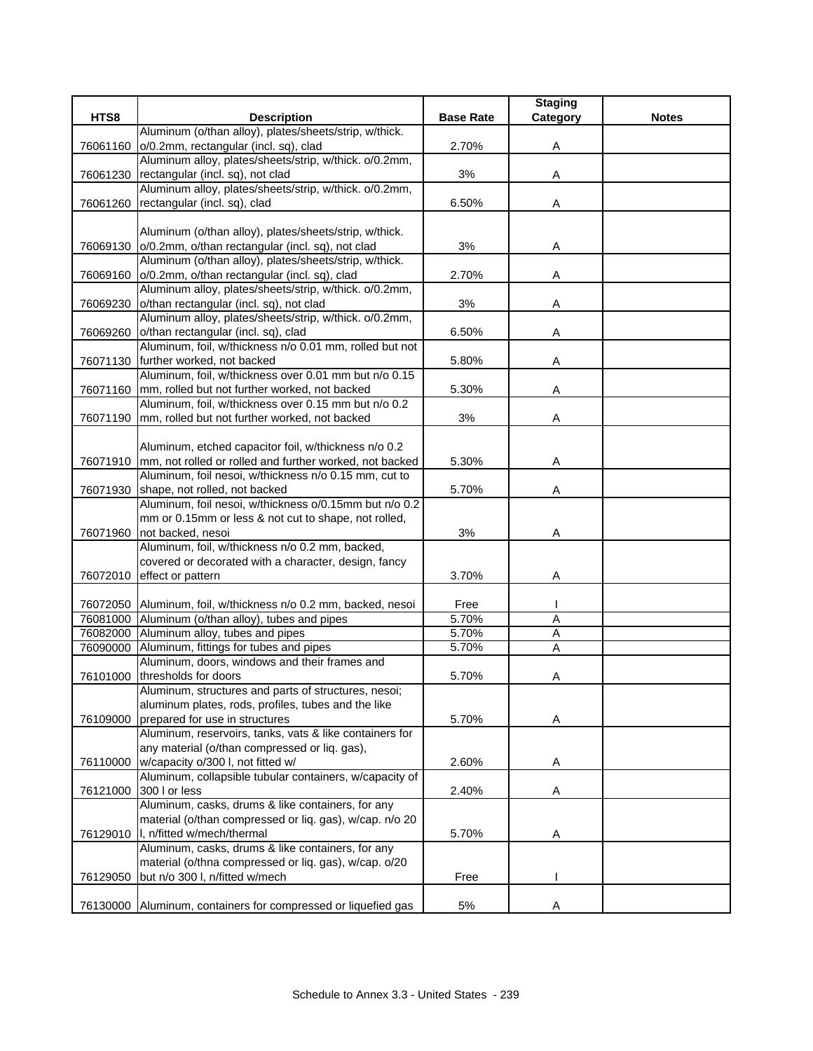|          |                                                                  |                  | <b>Staging</b> |              |
|----------|------------------------------------------------------------------|------------------|----------------|--------------|
| HTS8     | <b>Description</b>                                               | <b>Base Rate</b> | Category       | <b>Notes</b> |
|          | Aluminum (o/than alloy), plates/sheets/strip, w/thick.           |                  |                |              |
| 76061160 | o/0.2mm, rectangular (incl. sq), clad                            | 2.70%            | Α              |              |
|          | Aluminum alloy, plates/sheets/strip, w/thick. o/0.2mm,           |                  |                |              |
| 76061230 | rectangular (incl. sq), not clad                                 | 3%               | Α              |              |
|          | Aluminum alloy, plates/sheets/strip, w/thick. o/0.2mm,           |                  |                |              |
| 76061260 | rectangular (incl. sq), clad                                     | 6.50%            | Α              |              |
|          |                                                                  |                  |                |              |
|          | Aluminum (o/than alloy), plates/sheets/strip, w/thick.           |                  |                |              |
|          | 76069130 o/0.2mm, o/than rectangular (incl. sq), not clad        | 3%               | Α              |              |
|          | Aluminum (o/than alloy), plates/sheets/strip, w/thick.           |                  |                |              |
|          | 76069160 o/0.2mm, o/than rectangular (incl. sq), clad            | 2.70%            | Α              |              |
|          | Aluminum alloy, plates/sheets/strip, w/thick. o/0.2mm,           |                  |                |              |
| 76069230 | o/than rectangular (incl. sq), not clad                          | 3%               | Α              |              |
|          | Aluminum alloy, plates/sheets/strip, w/thick. o/0.2mm,           |                  |                |              |
|          | 76069260 o/than rectangular (incl. sq), clad                     | 6.50%            | Α              |              |
|          | Aluminum, foil, w/thickness n/o 0.01 mm, rolled but not          |                  |                |              |
|          | 76071130 further worked, not backed                              | 5.80%            | Α              |              |
|          | Aluminum, foil, w/thickness over 0.01 mm but n/o 0.15            |                  |                |              |
|          | 76071160 mm, rolled but not further worked, not backed           | 5.30%            | Α              |              |
|          | Aluminum, foil, w/thickness over 0.15 mm but n/o 0.2             |                  |                |              |
|          | 76071190 mm, rolled but not further worked, not backed           | 3%               | Α              |              |
|          |                                                                  |                  |                |              |
|          | Aluminum, etched capacitor foil, w/thickness n/o 0.2             |                  |                |              |
|          | 76071910 mm, not rolled or rolled and further worked, not backed | 5.30%            | Α              |              |
|          | Aluminum, foil nesoi, w/thickness n/o 0.15 mm, cut to            |                  |                |              |
|          | 76071930 shape, not rolled, not backed                           | 5.70%            | Α              |              |
|          | Aluminum, foil nesoi, w/thickness o/0.15mm but n/o 0.2           |                  |                |              |
|          | mm or 0.15mm or less & not cut to shape, not rolled,             |                  |                |              |
| 76071960 | not backed, nesoi                                                | 3%               | Α              |              |
|          | Aluminum, foil, w/thickness n/o 0.2 mm, backed,                  |                  |                |              |
|          | covered or decorated with a character, design, fancy             |                  |                |              |
|          | 76072010 effect or pattern                                       | 3.70%            | Α              |              |
|          |                                                                  |                  |                |              |
|          | 76072050 Aluminum, foil, w/thickness n/o 0.2 mm, backed, nesoi   | Free             |                |              |
|          | 76081000 Aluminum (o/than alloy), tubes and pipes                | 5.70%            | A              |              |
|          | 76082000 Aluminum alloy, tubes and pipes                         | 5.70%            | A              |              |
| 76090000 | Aluminum, fittings for tubes and pipes                           | 5.70%            | A              |              |
|          | Aluminum, doors, windows and their frames and                    |                  |                |              |
|          | 76101000 thresholds for doors                                    | 5.70%            | Α              |              |
|          | Aluminum, structures and parts of structures, nesoi;             |                  |                |              |
|          | aluminum plates, rods, profiles, tubes and the like              |                  |                |              |
| 76109000 | prepared for use in structures                                   | 5.70%            | Α              |              |
|          | Aluminum, reservoirs, tanks, vats & like containers for          |                  |                |              |
|          | any material (o/than compressed or liq. gas),                    |                  |                |              |
|          | 76110000 w/capacity o/300 l, not fitted w/                       | 2.60%            | Α              |              |
|          | Aluminum, collapsible tubular containers, w/capacity of          |                  |                |              |
| 76121000 | 300 l or less                                                    | 2.40%            | Α              |              |
|          | Aluminum, casks, drums & like containers, for any                |                  |                |              |
|          | material (o/than compressed or liq. gas), w/cap. n/o 20          |                  |                |              |
|          | 76129010  I, n/fitted w/mech/thermal                             | 5.70%            | A              |              |
|          | Aluminum, casks, drums & like containers, for any                |                  |                |              |
|          | material (o/thna compressed or liq. gas), w/cap. o/20            |                  |                |              |
| 76129050 | but n/o 300 l, n/fitted w/mech                                   | Free             |                |              |
|          |                                                                  |                  |                |              |
|          | 76130000 Aluminum, containers for compressed or liquefied gas    | 5%               | Α              |              |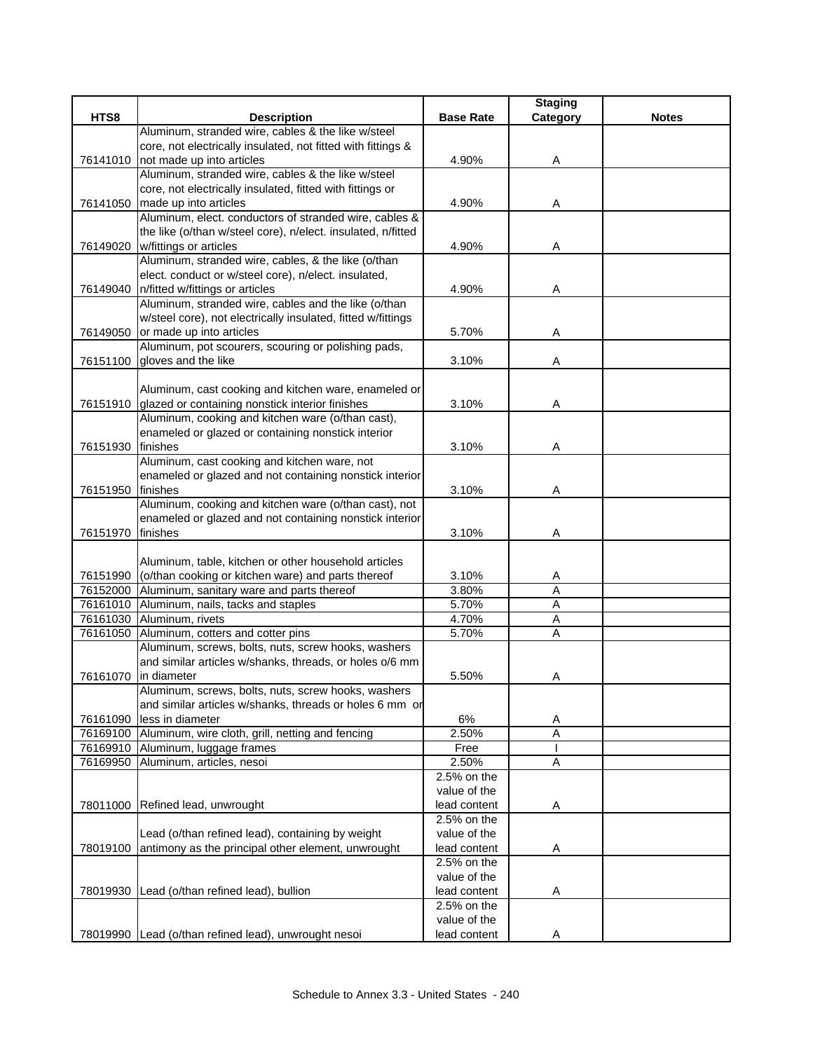|          |                                                                                                                |                             | <b>Staging</b> |              |
|----------|----------------------------------------------------------------------------------------------------------------|-----------------------------|----------------|--------------|
| HTS8     | <b>Description</b>                                                                                             | <b>Base Rate</b>            | Category       | <b>Notes</b> |
|          | Aluminum, stranded wire, cables & the like w/steel                                                             |                             |                |              |
|          | core, not electrically insulated, not fitted with fittings &                                                   |                             |                |              |
| 76141010 | not made up into articles                                                                                      | 4.90%                       | Α              |              |
|          | Aluminum, stranded wire, cables & the like w/steel                                                             |                             |                |              |
|          | core, not electrically insulated, fitted with fittings or                                                      |                             |                |              |
| 76141050 | made up into articles<br>Aluminum, elect. conductors of stranded wire, cables &                                | 4.90%                       | A              |              |
|          | the like (o/than w/steel core), n/elect. insulated, n/fitted                                                   |                             |                |              |
| 76149020 | w/fittings or articles                                                                                         | 4.90%                       | Α              |              |
|          | Aluminum, stranded wire, cables, & the like (o/than                                                            |                             |                |              |
|          | elect. conduct or w/steel core), n/elect. insulated,                                                           |                             |                |              |
|          | 76149040 n/fitted w/fittings or articles                                                                       | 4.90%                       | A              |              |
|          | Aluminum, stranded wire, cables and the like (o/than                                                           |                             |                |              |
|          | w/steel core), not electrically insulated, fitted w/fittings                                                   |                             |                |              |
|          | 76149050 or made up into articles                                                                              | 5.70%                       | Α              |              |
|          | Aluminum, pot scourers, scouring or polishing pads,                                                            |                             |                |              |
|          | 76151100 gloves and the like                                                                                   | 3.10%                       | Α              |              |
|          |                                                                                                                |                             |                |              |
|          | Aluminum, cast cooking and kitchen ware, enameled or                                                           |                             |                |              |
|          | 76151910 glazed or containing nonstick interior finishes                                                       | 3.10%                       | Α              |              |
|          | Aluminum, cooking and kitchen ware (o/than cast),                                                              |                             |                |              |
|          | enameled or glazed or containing nonstick interior                                                             |                             |                |              |
| 76151930 | finishes<br>Aluminum, cast cooking and kitchen ware, not                                                       | 3.10%                       | Α              |              |
|          | enameled or glazed and not containing nonstick interior                                                        |                             |                |              |
| 76151950 | finishes                                                                                                       | 3.10%                       | Α              |              |
|          | Aluminum, cooking and kitchen ware (o/than cast), not                                                          |                             |                |              |
|          | enameled or glazed and not containing nonstick interior                                                        |                             |                |              |
| 76151970 | finishes                                                                                                       | 3.10%                       | Α              |              |
|          |                                                                                                                |                             |                |              |
|          | Aluminum, table, kitchen or other household articles                                                           |                             |                |              |
| 76151990 | (o/than cooking or kitchen ware) and parts thereof                                                             | 3.10%                       | Α              |              |
| 76152000 | Aluminum, sanitary ware and parts thereof                                                                      | 3.80%                       | Α              |              |
|          | 76161010 Aluminum, nails, tacks and staples                                                                    | 5.70%                       | A              |              |
|          | 76161030 Aluminum, rivets                                                                                      | 4.70%                       | Α              |              |
| 76161050 | Aluminum, cotters and cotter pins                                                                              | 5.70%                       | $\overline{A}$ |              |
|          | Aluminum, screws, bolts, nuts, screw hooks, washers                                                            |                             |                |              |
|          | and similar articles w/shanks, threads, or holes o/6 mm                                                        |                             |                |              |
| 76161070 | in diameter                                                                                                    | 5.50%                       | Α              |              |
|          | Aluminum, screws, bolts, nuts, screw hooks, washers<br>and similar articles w/shanks, threads or holes 6 mm or |                             |                |              |
| 76161090 | less in diameter                                                                                               | 6%                          | A              |              |
| 76169100 | Aluminum, wire cloth, grill, netting and fencing                                                               | 2.50%                       | Α              |              |
|          | 76169910 Aluminum, luggage frames                                                                              | Free                        |                |              |
|          | 76169950 Aluminum, articles, nesoi                                                                             | 2.50%                       | A              |              |
|          |                                                                                                                | 2.5% on the                 |                |              |
|          |                                                                                                                | value of the                |                |              |
| 78011000 | Refined lead, unwrought                                                                                        | lead content                | Α              |              |
|          |                                                                                                                | 2.5% on the                 |                |              |
|          | Lead (o/than refined lead), containing by weight                                                               | value of the                |                |              |
| 78019100 | antimony as the principal other element, unwrought                                                             | lead content                | Α              |              |
|          |                                                                                                                | 2.5% on the                 |                |              |
|          |                                                                                                                | value of the                |                |              |
| 78019930 | Lead (o/than refined lead), bullion                                                                            | lead content                | Α              |              |
|          |                                                                                                                | 2.5% on the<br>value of the |                |              |
|          | 78019990 Lead (o/than refined lead), unwrought nesoi                                                           | lead content                | Α              |              |
|          |                                                                                                                |                             |                |              |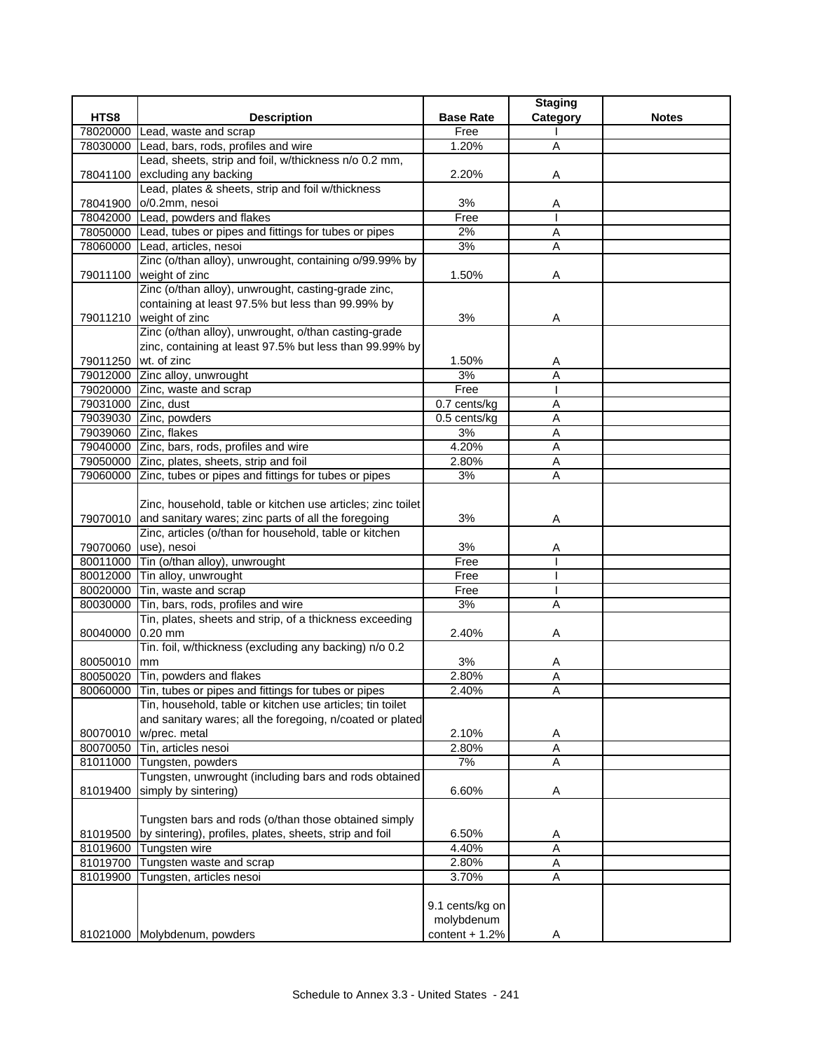|                     |                                                                  |                  | <b>Staging</b> |              |
|---------------------|------------------------------------------------------------------|------------------|----------------|--------------|
| HTS8                | <b>Description</b>                                               | <b>Base Rate</b> | Category       | <b>Notes</b> |
| 78020000            | Lead, waste and scrap                                            | Free             |                |              |
| 78030000            | Lead, bars, rods, profiles and wire                              | 1.20%            | A              |              |
|                     | Lead, sheets, strip and foil, w/thickness n/o 0.2 mm,            |                  |                |              |
| 78041100            | excluding any backing                                            | 2.20%            | Α              |              |
|                     | Lead, plates & sheets, strip and foil w/thickness                |                  |                |              |
| 78041900            | o/0.2mm, nesoi                                                   | 3%               | A              |              |
|                     | 78042000 Lead, powders and flakes                                | Free             |                |              |
|                     | 78050000 Lead, tubes or pipes and fittings for tubes or pipes    | 2%               | Α              |              |
| 78060000            | Lead, articles, nesoi                                            | 3%               | Α              |              |
|                     | Zinc (o/than alloy), unwrought, containing o/99.99% by           |                  |                |              |
| 79011100            | weight of zinc                                                   | 1.50%            | Α              |              |
|                     | Zinc (o/than alloy), unwrought, casting-grade zinc,              |                  |                |              |
|                     | containing at least 97.5% but less than 99.99% by                |                  |                |              |
|                     | 79011210 weight of zinc                                          | 3%               | Α              |              |
|                     | Zinc (o/than alloy), unwrought, o/than casting-grade             |                  |                |              |
|                     | zinc, containing at least 97.5% but less than 99.99% by          |                  |                |              |
| 79011250            | wt. of zinc                                                      | 1.50%            | A              |              |
| 79012000            | Zinc alloy, unwrought                                            | 3%               | Α              |              |
|                     | 79020000 Zinc, waste and scrap                                   | Free             |                |              |
| 79031000 Zinc, dust |                                                                  | 0.7 cents/kg     | A              |              |
|                     | 79039030 Zinc, powders                                           | $0.5$ cents/kg   | $\overline{A}$ |              |
|                     | 79039060 Zinc, flakes                                            | 3%               | Α              |              |
|                     | 79040000 Zinc, bars, rods, profiles and wire                     | 4.20%            | Α              |              |
|                     | 79050000 Zinc, plates, sheets, strip and foil                    | 2.80%            | A              |              |
|                     | 79060000 Zinc, tubes or pipes and fittings for tubes or pipes    | 3%               | Α              |              |
|                     |                                                                  |                  |                |              |
|                     | Zinc, household, table or kitchen use articles; zinc toilet      |                  |                |              |
|                     | 79070010 and sanitary wares; zinc parts of all the foregoing     | 3%               | Α              |              |
|                     | Zinc, articles (o/than for household, table or kitchen           |                  |                |              |
| 79070060            | use), nesoi                                                      | 3%               | A              |              |
| 80011000            | Tin (o/than alloy), unwrought                                    | Free             |                |              |
| 80012000            | Tin alloy, unwrought                                             | Free             |                |              |
| 80020000            | Tin, waste and scrap                                             | Free             |                |              |
| 80030000            | Tin, bars, rods, profiles and wire                               | 3%               | A              |              |
|                     | Tin, plates, sheets and strip, of a thickness exceeding          |                  |                |              |
| 80040000            | $0.20$ mm                                                        | 2.40%            | Α              |              |
|                     | Tin. foil, w/thickness (excluding any backing) n/o 0.2           |                  |                |              |
| 80050010            | mm                                                               | 3%               | Α              |              |
|                     | 80050020 Tin, powders and flakes                                 | 2.80%            | A              |              |
|                     | 80060000 Tin, tubes or pipes and fittings for tubes or pipes     | 2.40%            | Α              |              |
|                     | Tin, household, table or kitchen use articles; tin toilet        |                  |                |              |
|                     | and sanitary wares; all the foregoing, n/coated or plated        |                  |                |              |
| 80070010            | w/prec. metal                                                    | 2.10%            | A              |              |
| 80070050            | Tin, articles nesoi                                              | 2.80%            | A              |              |
| 81011000            | Tungsten, powders                                                | 7%               | A              |              |
|                     | Tungsten, unwrought (including bars and rods obtained            |                  |                |              |
| 81019400            | simply by sintering)                                             | 6.60%            | Α              |              |
|                     |                                                                  |                  |                |              |
|                     | Tungsten bars and rods (o/than those obtained simply             |                  |                |              |
|                     | 81019500 by sintering), profiles, plates, sheets, strip and foil | 6.50%            | A              |              |
| 81019600            | Tungsten wire                                                    | 4.40%            | $\overline{A}$ |              |
| 81019700            | Tungsten waste and scrap                                         | 2.80%            | Α              |              |
| 81019900            | Tungsten, articles nesoi                                         | 3.70%            | Α              |              |
|                     |                                                                  |                  |                |              |
|                     |                                                                  | 9.1 cents/kg on  |                |              |
|                     |                                                                  | molybdenum       |                |              |
|                     | 81021000 Molybdenum, powders                                     | content $+ 1.2%$ | Α              |              |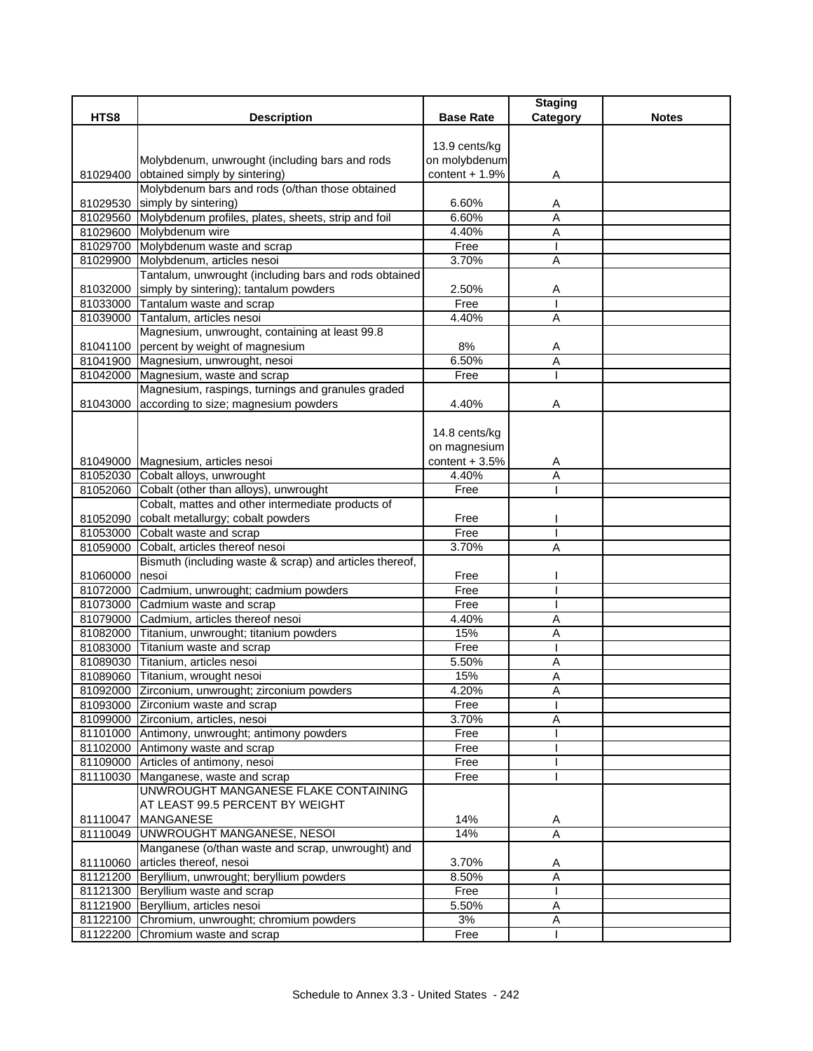|                |                                                                                                    |                  | <b>Staging</b> |              |
|----------------|----------------------------------------------------------------------------------------------------|------------------|----------------|--------------|
| HTS8           | <b>Description</b>                                                                                 | <b>Base Rate</b> | Category       | <b>Notes</b> |
|                |                                                                                                    |                  |                |              |
|                |                                                                                                    | 13.9 cents/kg    |                |              |
|                | Molybdenum, unwrought (including bars and rods                                                     | on molybdenum    |                |              |
|                | 81029400 obtained simply by sintering)                                                             | content $+1.9%$  | Α              |              |
|                | Molybdenum bars and rods (o/than those obtained                                                    |                  |                |              |
|                | 81029530 simply by sintering)                                                                      | 6.60%            | A              |              |
|                | 81029560 Molybdenum profiles, plates, sheets, strip and foil                                       | 6.60%            | A              |              |
|                | 81029600 Molybdenum wire                                                                           | 4.40%            | A              |              |
|                | 81029700 Molybdenum waste and scrap                                                                | Free             |                |              |
|                | 81029900 Molybdenum, articles nesoi                                                                | 3.70%            | $\overline{A}$ |              |
|                | Tantalum, unwrought (including bars and rods obtained                                              |                  |                |              |
|                | 81032000 simply by sintering); tantalum powders                                                    | 2.50%            | Α              |              |
|                | 81033000 Tantalum waste and scrap                                                                  | Free             |                |              |
|                | 81039000 Tantalum, articles nesoi                                                                  | 4.40%            | A              |              |
|                | Magnesium, unwrought, containing at least 99.8                                                     |                  |                |              |
|                | 81041100 percent by weight of magnesium                                                            | 8%<br>6.50%      | Α              |              |
|                | 81041900 Magnesium, unwrought, nesoi<br>81042000 Magnesium, waste and scrap                        | Free             | A              |              |
|                |                                                                                                    |                  |                |              |
|                | Magnesium, raspings, turnings and granules graded<br>81043000 according to size; magnesium powders |                  |                |              |
|                |                                                                                                    | 4.40%            | Α              |              |
|                |                                                                                                    | 14.8 cents/kg    |                |              |
|                |                                                                                                    | on magnesium     |                |              |
|                | 81049000 Magnesium, articles nesoi                                                                 | content $+3.5%$  |                |              |
|                | 81052030 Cobalt alloys, unwrought                                                                  | 4.40%            | A<br>A         |              |
|                | 81052060 Cobalt (other than alloys), unwrought                                                     | Free             |                |              |
|                | Cobalt, mattes and other intermediate products of                                                  |                  |                |              |
| 81052090       | cobalt metallurgy; cobalt powders                                                                  | Free             |                |              |
|                | 81053000 Cobalt waste and scrap                                                                    | Free             |                |              |
| 81059000       | Cobalt, articles thereof nesoi                                                                     | 3.70%            | A              |              |
|                | Bismuth (including waste & scrap) and articles thereof,                                            |                  |                |              |
| 81060000 nesoi |                                                                                                    | Free             |                |              |
|                | 81072000 Cadmium, unwrought; cadmium powders                                                       | Free             |                |              |
|                | 81073000 Cadmium waste and scrap                                                                   | Free             |                |              |
|                | 81079000 Cadmium, articles thereof nesoi                                                           | 4.40%            | Α              |              |
|                | 81082000 Titanium, unwrought; titanium powders                                                     | 15%              | A              |              |
|                | 81083000 Titanium waste and scrap                                                                  | Free             |                |              |
|                | 81089030 Titanium, articles nesoi                                                                  | 5.50%            | Α              |              |
|                | 81089060 Titanium, wrought nesoi                                                                   | 15%              | A              |              |
|                | 81092000 Zirconium, unwrought; zirconium powders                                                   | 4.20%            | Α              |              |
|                | 81093000 Zirconium waste and scrap                                                                 | Free             |                |              |
|                | 81099000 Zirconium, articles, nesoi                                                                | 3.70%            | Α              |              |
|                | 81101000 Antimony, unwrought; antimony powders                                                     | Free             |                |              |
|                | 81102000 Antimony waste and scrap                                                                  | Free             |                |              |
|                | 81109000 Articles of antimony, nesoi                                                               | Free             |                |              |
|                | 81110030 Manganese, waste and scrap                                                                | Free             |                |              |
|                | UNWROUGHT MANGANESE FLAKE CONTAINING                                                               |                  |                |              |
|                | AT LEAST 99.5 PERCENT BY WEIGHT                                                                    |                  |                |              |
|                | 81110047 MANGANESE                                                                                 | 14%              | A              |              |
| 81110049       | UNWROUGHT MANGANESE, NESOI                                                                         | 14%              | $\overline{A}$ |              |
|                | Manganese (o/than waste and scrap, unwrought) and                                                  |                  |                |              |
|                | 81110060 articles thereof, nesoi                                                                   | 3.70%            | A              |              |
|                | 81121200 Beryllium, unwrought; beryllium powders                                                   | 8.50%            | Α              |              |
|                | 81121300 Beryllium waste and scrap                                                                 | Free             |                |              |
|                | 81121900 Beryllium, articles nesoi                                                                 | 5.50%            | A              |              |
|                | 81122100 Chromium, unwrought; chromium powders                                                     | 3%               | $\mathsf A$    |              |
|                | 81122200 Chromium waste and scrap                                                                  | Free             |                |              |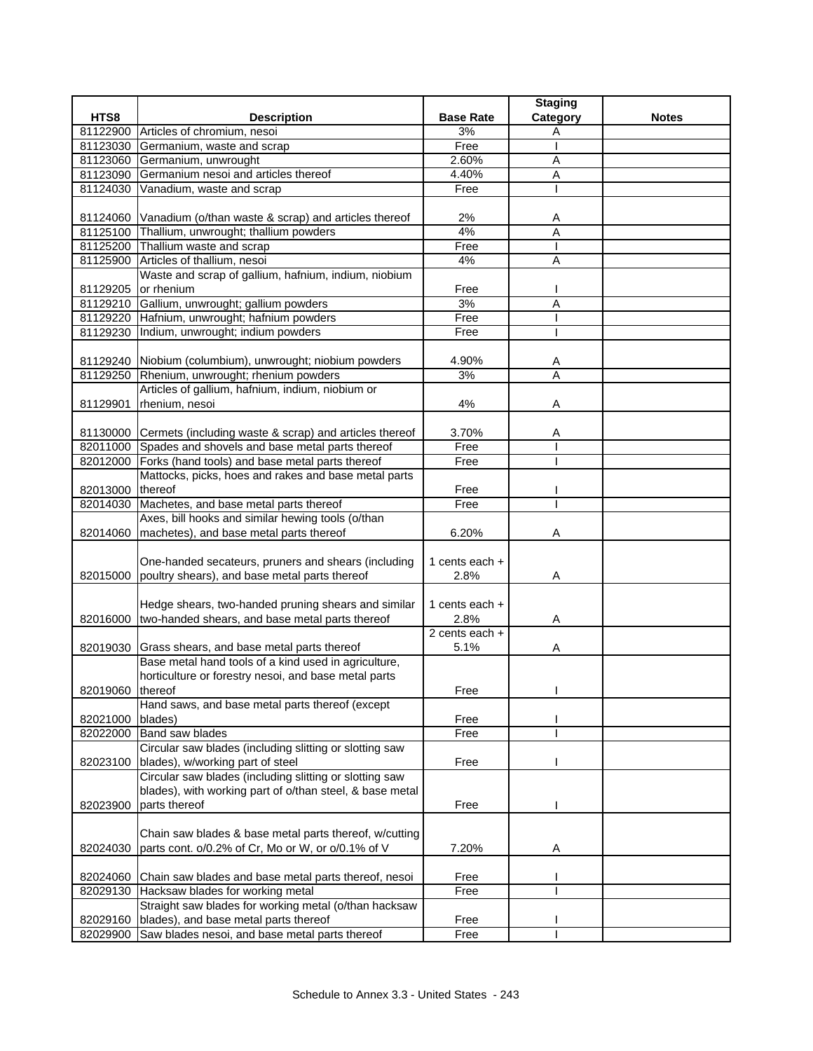|                  |                                                                                                                             |                  | <b>Staging</b> |              |
|------------------|-----------------------------------------------------------------------------------------------------------------------------|------------------|----------------|--------------|
| HTS8             | <b>Description</b>                                                                                                          | <b>Base Rate</b> | Category       | <b>Notes</b> |
|                  | 81122900 Articles of chromium, nesoi                                                                                        | 3%               | Α              |              |
| 81123030         | Germanium, waste and scrap                                                                                                  | Free             |                |              |
| 81123060         | Germanium, unwrought                                                                                                        | 2.60%            | Α              |              |
| 81123090         | Germanium nesoi and articles thereof                                                                                        | 4.40%            | A              |              |
| 81124030         | Vanadium, waste and scrap                                                                                                   | Free             |                |              |
|                  |                                                                                                                             |                  |                |              |
|                  | 81124060 Vanadium (o/than waste & scrap) and articles thereof                                                               | 2%               | A              |              |
| 81125100         | Thallium, unwrought; thallium powders                                                                                       | 4%               | Α              |              |
|                  | 81125200 Thallium waste and scrap                                                                                           | Free             |                |              |
|                  | 81125900 Articles of thallium, nesoi                                                                                        | 4%               | Α              |              |
|                  | Waste and scrap of gallium, hafnium, indium, niobium                                                                        |                  |                |              |
| 81129205         | or rhenium                                                                                                                  | Free             |                |              |
|                  | 81129210 Gallium, unwrought; gallium powders                                                                                | 3%               | A              |              |
|                  | 81129220 Hafnium, unwrought; hafnium powders                                                                                | Free             |                |              |
|                  | 81129230 Indium, unwrought; indium powders                                                                                  | Free             |                |              |
|                  |                                                                                                                             |                  |                |              |
|                  | 81129240 Niobium (columbium), unwrought; niobium powders                                                                    | 4.90%            | A              |              |
| 81129250         | Rhenium, unwrought; rhenium powders                                                                                         | 3%               | Α              |              |
|                  | Articles of gallium, hafnium, indium, niobium or                                                                            |                  |                |              |
| 81129901         | rhenium, nesoi                                                                                                              | 4%               | Α              |              |
|                  |                                                                                                                             | 3.70%            |                |              |
|                  | 81130000 Cermets (including waste & scrap) and articles thereof<br>82011000 Spades and shovels and base metal parts thereof | Free             | Α              |              |
|                  |                                                                                                                             |                  |                |              |
|                  | 82012000 Forks (hand tools) and base metal parts thereof                                                                    | Free             |                |              |
|                  | Mattocks, picks, hoes and rakes and base metal parts                                                                        |                  |                |              |
| 82013000 thereof | Machetes, and base metal parts thereof                                                                                      | Free<br>Free     |                |              |
| 82014030         | Axes, bill hooks and similar hewing tools (o/than                                                                           |                  |                |              |
| 82014060         | machetes), and base metal parts thereof                                                                                     | 6.20%            | Α              |              |
|                  |                                                                                                                             |                  |                |              |
|                  | One-handed secateurs, pruners and shears (including                                                                         | 1 cents each $+$ |                |              |
| 82015000         | poultry shears), and base metal parts thereof                                                                               | 2.8%             | Α              |              |
|                  |                                                                                                                             |                  |                |              |
|                  | Hedge shears, two-handed pruning shears and similar                                                                         | 1 cents each $+$ |                |              |
|                  | 82016000 two-handed shears, and base metal parts thereof                                                                    | 2.8%             | Α              |              |
|                  |                                                                                                                             | 2 cents each +   |                |              |
| 82019030         | Grass shears, and base metal parts thereof                                                                                  | 5.1%             | Α              |              |
|                  | Base metal hand tools of a kind used in agriculture,                                                                        |                  |                |              |
|                  | horticulture or forestry nesoi, and base metal parts                                                                        |                  |                |              |
| 82019060 thereof |                                                                                                                             | Free             |                |              |
|                  | Hand saws, and base metal parts thereof (except                                                                             |                  |                |              |
| 82021000         | blades)                                                                                                                     | Free             |                |              |
| 82022000         | Band saw blades                                                                                                             | Free             |                |              |
|                  | Circular saw blades (including slitting or slotting saw                                                                     |                  |                |              |
| 82023100         | blades), w/working part of steel                                                                                            | Free             |                |              |
|                  | Circular saw blades (including slitting or slotting saw                                                                     |                  |                |              |
|                  | blades), with working part of o/than steel, & base metal                                                                    |                  |                |              |
| 82023900         | parts thereof                                                                                                               | Free             |                |              |
|                  |                                                                                                                             |                  |                |              |
|                  | Chain saw blades & base metal parts thereof, w/cutting                                                                      |                  |                |              |
| 82024030         | parts cont. o/0.2% of Cr, Mo or W, or o/0.1% of V                                                                           | 7.20%            | Α              |              |
|                  |                                                                                                                             |                  |                |              |
| 82024060         | Chain saw blades and base metal parts thereof, nesoi                                                                        | Free             |                |              |
| 82029130         | Hacksaw blades for working metal                                                                                            | Free             |                |              |
|                  | Straight saw blades for working metal (o/than hacksaw                                                                       |                  |                |              |
| 82029160         | blades), and base metal parts thereof                                                                                       | Free             |                |              |
| 82029900         | Saw blades nesoi, and base metal parts thereof                                                                              | Free             |                |              |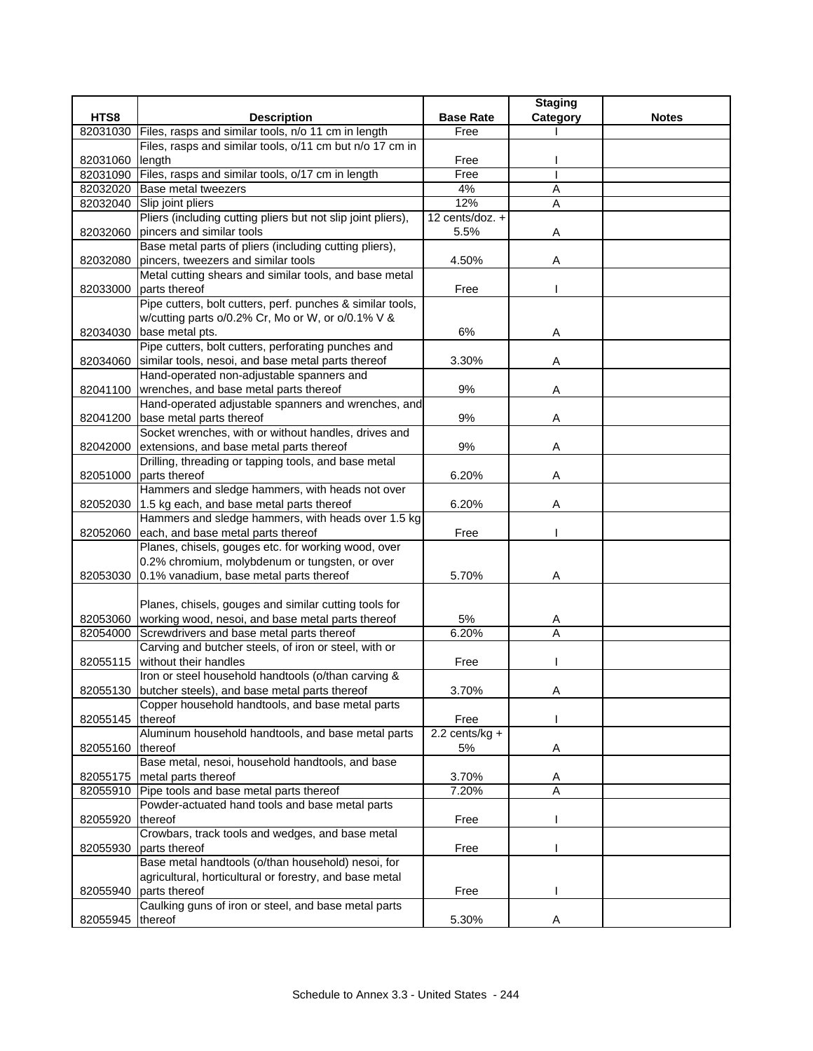|                  |                                                                                                       |                  | <b>Staging</b> |              |
|------------------|-------------------------------------------------------------------------------------------------------|------------------|----------------|--------------|
| HTS8             | <b>Description</b>                                                                                    | <b>Base Rate</b> | Category       | <b>Notes</b> |
| 82031030         | Files, rasps and similar tools, n/o 11 cm in length                                                   | Free             |                |              |
|                  | Files, rasps and similar tools, o/11 cm but n/o 17 cm in                                              |                  |                |              |
| 82031060         | length                                                                                                | Free             |                |              |
| 82031090         | Files, rasps and similar tools, o/17 cm in length                                                     | Free             |                |              |
|                  | 82032020 Base metal tweezers                                                                          | 4%               | Α              |              |
| 82032040         | Slip joint pliers                                                                                     | 12%              | $\overline{A}$ |              |
|                  | Pliers (including cutting pliers but not slip joint pliers),                                          | 12 cents/doz. +  |                |              |
| 82032060         | pincers and similar tools<br>Base metal parts of pliers (including cutting pliers),                   | 5.5%             | Α              |              |
|                  | 82032080 pincers, tweezers and similar tools                                                          | 4.50%            | Α              |              |
|                  | Metal cutting shears and similar tools, and base metal                                                |                  |                |              |
| 82033000         | parts thereof                                                                                         | Free             |                |              |
|                  | Pipe cutters, bolt cutters, perf. punches & similar tools,                                            |                  |                |              |
|                  | w/cutting parts o/0.2% Cr, Mo or W, or o/0.1% V &                                                     |                  |                |              |
|                  | 82034030 base metal pts.                                                                              | 6%               | Α              |              |
|                  | Pipe cutters, bolt cutters, perforating punches and                                                   |                  |                |              |
|                  | 82034060 similar tools, nesoi, and base metal parts thereof                                           | 3.30%            | Α              |              |
|                  | Hand-operated non-adjustable spanners and                                                             |                  |                |              |
|                  | 82041100   wrenches, and base metal parts thereof                                                     | 9%               | A              |              |
|                  | Hand-operated adjustable spanners and wrenches, and                                                   |                  |                |              |
| 82041200         | base metal parts thereof                                                                              | 9%               | Α              |              |
|                  | Socket wrenches, with or without handles, drives and                                                  |                  |                |              |
| 82042000         | extensions, and base metal parts thereof                                                              | 9%               | Α              |              |
|                  | Drilling, threading or tapping tools, and base metal                                                  |                  |                |              |
|                  | 82051000 parts thereof                                                                                | 6.20%            | Α              |              |
|                  | Hammers and sledge hammers, with heads not over                                                       |                  |                |              |
|                  | 82052030 1.5 kg each, and base metal parts thereof                                                    | 6.20%            | Α              |              |
|                  | Hammers and sledge hammers, with heads over 1.5 kg                                                    |                  |                |              |
| 82052060         | each, and base metal parts thereof                                                                    | Free             |                |              |
|                  | Planes, chisels, gouges etc. for working wood, over<br>0.2% chromium, molybdenum or tungsten, or over |                  |                |              |
|                  | 82053030 0.1% vanadium, base metal parts thereof                                                      | 5.70%            | Α              |              |
|                  |                                                                                                       |                  |                |              |
|                  | Planes, chisels, gouges and similar cutting tools for                                                 |                  |                |              |
|                  | 82053060 working wood, nesoi, and base metal parts thereof                                            | 5%               | A              |              |
| 82054000         | Screwdrivers and base metal parts thereof                                                             | 6.20%            | A              |              |
|                  | Carving and butcher steels, of iron or steel, with or                                                 |                  |                |              |
| 82055115         | without their handles                                                                                 | Free             |                |              |
|                  | Iron or steel household handtools (o/than carving &                                                   |                  |                |              |
|                  | 82055130 butcher steels), and base metal parts thereof                                                | 3.70%            | A              |              |
|                  | Copper household handtools, and base metal parts                                                      |                  |                |              |
| 82055145         | thereof                                                                                               | Free             |                |              |
|                  | Aluminum household handtools, and base metal parts                                                    | $2.2$ cents/kg + |                |              |
| 82055160         | thereof                                                                                               | 5%               | Α              |              |
|                  | Base metal, nesoi, household handtools, and base                                                      |                  |                |              |
| 82055175         | metal parts thereof                                                                                   | 3.70%            | A              |              |
|                  | 82055910 Pipe tools and base metal parts thereof                                                      | 7.20%            | Α              |              |
|                  | Powder-actuated hand tools and base metal parts                                                       |                  |                |              |
| 82055920         | thereof                                                                                               | Free             |                |              |
|                  | Crowbars, track tools and wedges, and base metal                                                      |                  |                |              |
| 82055930         | parts thereof<br>Base metal handtools (o/than household) nesoi, for                                   | Free             |                |              |
|                  | agricultural, horticultural or forestry, and base metal                                               |                  |                |              |
| 82055940         | parts thereof                                                                                         | Free             |                |              |
|                  | Caulking guns of iron or steel, and base metal parts                                                  |                  |                |              |
| 82055945 thereof |                                                                                                       | 5.30%            |                |              |
|                  |                                                                                                       |                  |                |              |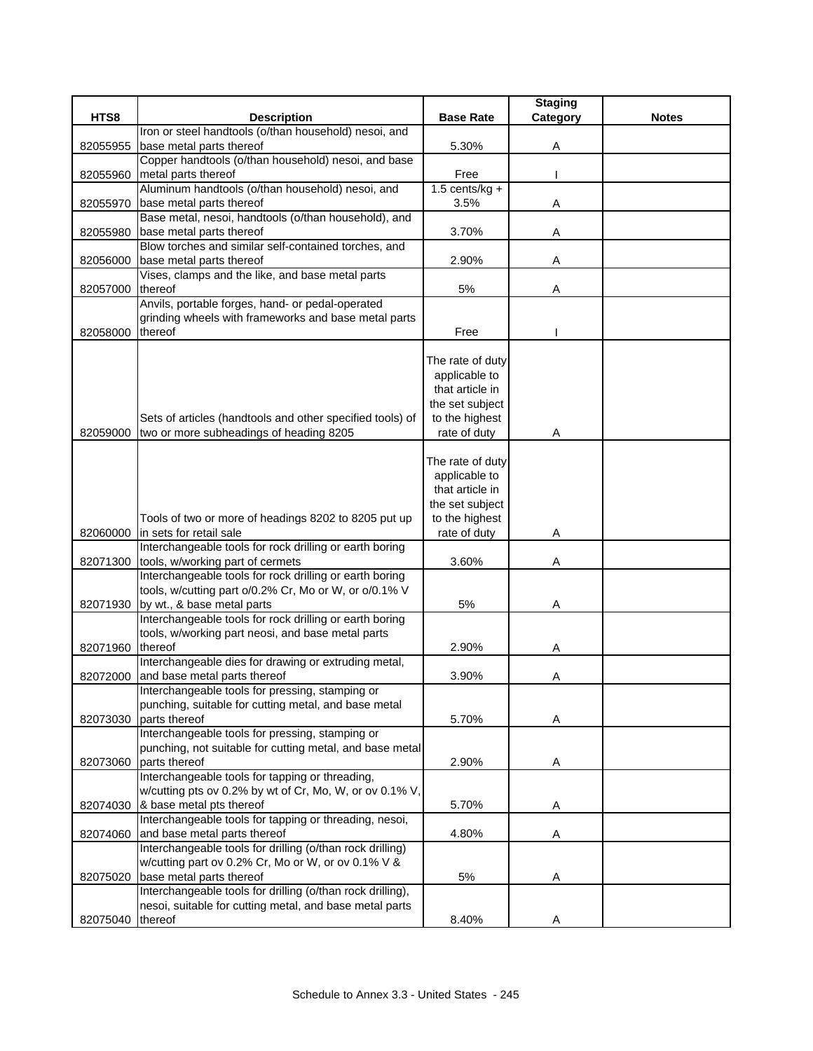|                  |                                                                                  |                                   | <b>Staging</b> |              |
|------------------|----------------------------------------------------------------------------------|-----------------------------------|----------------|--------------|
| HTS8             | <b>Description</b>                                                               | <b>Base Rate</b>                  | Category       | <b>Notes</b> |
|                  | Iron or steel handtools (o/than household) nesoi, and                            |                                   |                |              |
| 82055955         | base metal parts thereof                                                         | 5.30%                             | Α              |              |
|                  | Copper handtools (o/than household) nesoi, and base                              |                                   |                |              |
| 82055960         | metal parts thereof                                                              | Free                              |                |              |
|                  | Aluminum handtools (o/than household) nesoi, and                                 | $1.5$ cents/kg +                  |                |              |
| 82055970         | base metal parts thereof                                                         | 3.5%                              | Α              |              |
|                  | Base metal, nesoi, handtools (o/than household), and                             | 3.70%                             |                |              |
| 82055980         | base metal parts thereof<br>Blow torches and similar self-contained torches, and |                                   | A              |              |
| 82056000         | base metal parts thereof                                                         | 2.90%                             | Α              |              |
|                  | Vises, clamps and the like, and base metal parts                                 |                                   |                |              |
| 82057000         | thereof                                                                          | 5%                                | Α              |              |
|                  | Anvils, portable forges, hand- or pedal-operated                                 |                                   |                |              |
|                  | grinding wheels with frameworks and base metal parts                             |                                   |                |              |
| 82058000         | thereof                                                                          | Free                              |                |              |
|                  |                                                                                  |                                   |                |              |
|                  |                                                                                  | The rate of duty                  |                |              |
|                  |                                                                                  | applicable to                     |                |              |
|                  |                                                                                  | that article in                   |                |              |
|                  |                                                                                  | the set subject                   |                |              |
|                  | Sets of articles (handtools and other specified tools) of                        | to the highest                    |                |              |
| 82059000         | two or more subheadings of heading 8205                                          | rate of duty                      | Α              |              |
|                  |                                                                                  |                                   |                |              |
|                  |                                                                                  | The rate of duty<br>applicable to |                |              |
|                  |                                                                                  | that article in                   |                |              |
|                  |                                                                                  | the set subject                   |                |              |
|                  | Tools of two or more of headings 8202 to 8205 put up                             | to the highest                    |                |              |
|                  | 82060000 in sets for retail sale                                                 | rate of duty                      | Α              |              |
|                  | Interchangeable tools for rock drilling or earth boring                          |                                   |                |              |
| 82071300         | tools, w/working part of cermets                                                 | 3.60%                             | Α              |              |
|                  | Interchangeable tools for rock drilling or earth boring                          |                                   |                |              |
|                  | tools, w/cutting part o/0.2% Cr, Mo or W, or o/0.1% V                            |                                   |                |              |
|                  | 82071930 by wt., & base metal parts                                              | 5%                                | Α              |              |
|                  | Interchangeable tools for rock drilling or earth boring                          |                                   |                |              |
|                  | tools, w/working part neosi, and base metal parts                                |                                   |                |              |
| 82071960         | thereof                                                                          | 2.90%                             | Α              |              |
|                  | Interchangeable dies for drawing or extruding metal,                             |                                   |                |              |
| 82072000         | and base metal parts thereof                                                     | 3.90%                             | Α              |              |
|                  | Interchangeable tools for pressing, stamping or                                  |                                   |                |              |
| 82073030         | punching, suitable for cutting metal, and base metal<br>parts thereof            | 5.70%                             | Α              |              |
|                  | Interchangeable tools for pressing, stamping or                                  |                                   |                |              |
|                  | punching, not suitable for cutting metal, and base metal                         |                                   |                |              |
| 82073060         | parts thereof                                                                    | 2.90%                             | Α              |              |
|                  | Interchangeable tools for tapping or threading,                                  |                                   |                |              |
|                  | w/cutting pts ov 0.2% by wt of Cr, Mo, W, or ov 0.1% V,                          |                                   |                |              |
|                  | 82074030 & base metal pts thereof                                                | 5.70%                             | A              |              |
|                  | Interchangeable tools for tapping or threading, nesoi,                           |                                   |                |              |
| 82074060         | and base metal parts thereof                                                     | 4.80%                             | Α              |              |
|                  | Interchangeable tools for drilling (o/than rock drilling)                        |                                   |                |              |
|                  | w/cutting part ov 0.2% Cr, Mo or W, or ov 0.1% V &                               |                                   |                |              |
| 82075020         | base metal parts thereof                                                         | 5%                                | A              |              |
|                  | Interchangeable tools for drilling (o/than rock drilling),                       |                                   |                |              |
|                  | nesoi, suitable for cutting metal, and base metal parts                          |                                   |                |              |
| 82075040 thereof |                                                                                  | 8.40%                             | Α              |              |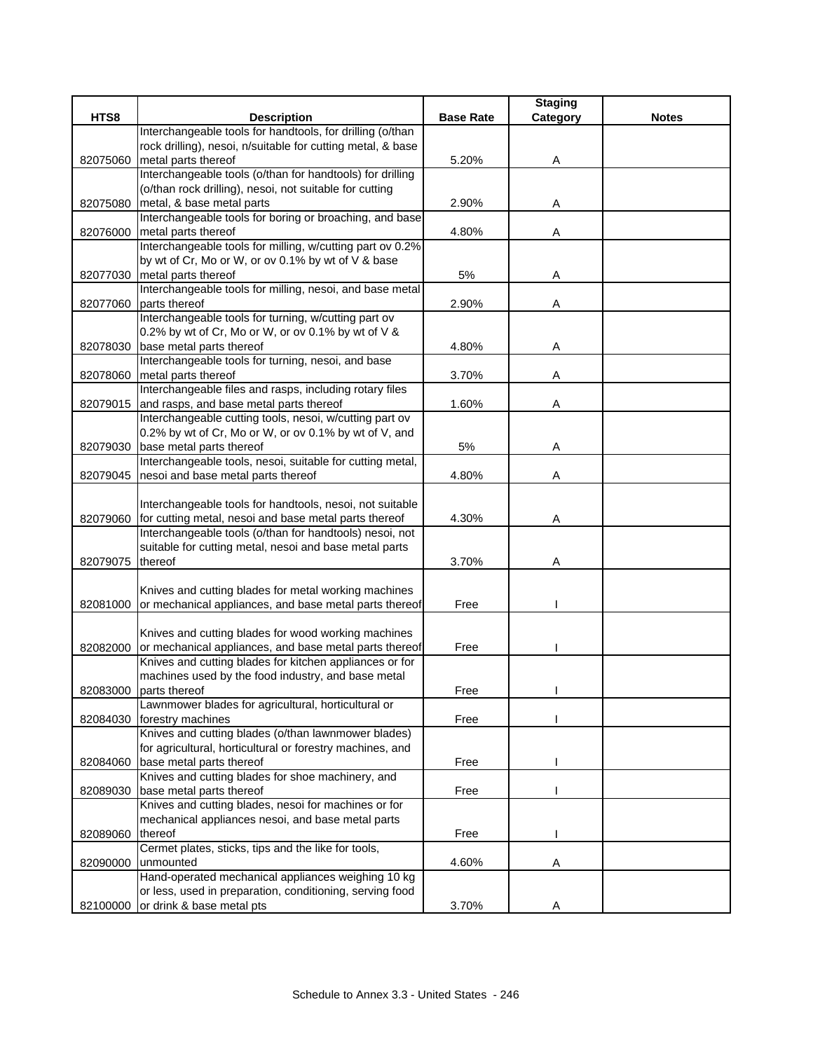|          |                                                                 |                  | <b>Staging</b> |              |
|----------|-----------------------------------------------------------------|------------------|----------------|--------------|
| HTS8     | <b>Description</b>                                              | <b>Base Rate</b> | Category       | <b>Notes</b> |
|          | Interchangeable tools for handtools, for drilling (o/than       |                  |                |              |
|          | rock drilling), nesoi, n/suitable for cutting metal, & base     |                  |                |              |
| 82075060 | metal parts thereof                                             | 5.20%            | Α              |              |
|          | Interchangeable tools (o/than for handtools) for drilling       |                  |                |              |
|          | (o/than rock drilling), nesoi, not suitable for cutting         |                  |                |              |
| 82075080 | metal, & base metal parts                                       | 2.90%            | Α              |              |
|          | Interchangeable tools for boring or broaching, and base         |                  |                |              |
| 82076000 | metal parts thereof                                             | 4.80%            | Α              |              |
|          | Interchangeable tools for milling, w/cutting part ov 0.2%       |                  |                |              |
|          | by wt of Cr, Mo or W, or ov 0.1% by wt of V & base              |                  |                |              |
|          | 82077030 metal parts thereof                                    | 5%               | Α              |              |
|          | Interchangeable tools for milling, nesoi, and base metal        |                  |                |              |
| 82077060 | parts thereof                                                   | 2.90%            | Α              |              |
|          | Interchangeable tools for turning, w/cutting part ov            |                  |                |              |
|          | 0.2% by wt of Cr, Mo or W, or ov 0.1% by wt of V &              |                  |                |              |
| 82078030 | base metal parts thereof                                        | 4.80%            | Α              |              |
|          | Interchangeable tools for turning, nesoi, and base              |                  |                |              |
| 82078060 | metal parts thereof                                             | 3.70%            | Α              |              |
|          | Interchangeable files and rasps, including rotary files         |                  |                |              |
| 82079015 | and rasps, and base metal parts thereof                         | 1.60%            | Α              |              |
|          | Interchangeable cutting tools, nesoi, w/cutting part ov         |                  |                |              |
|          | 0.2% by wt of Cr, Mo or W, or ov 0.1% by wt of V, and           |                  |                |              |
| 82079030 | base metal parts thereof                                        | 5%               | Α              |              |
|          | Interchangeable tools, nesoi, suitable for cutting metal,       |                  |                |              |
|          | 82079045 nesoi and base metal parts thereof                     | 4.80%            | Α              |              |
|          |                                                                 |                  |                |              |
|          | Interchangeable tools for handtools, nesoi, not suitable        |                  |                |              |
| 82079060 | for cutting metal, nesoi and base metal parts thereof           | 4.30%            | Α              |              |
|          | Interchangeable tools (o/than for handtools) nesoi, not         |                  |                |              |
|          | suitable for cutting metal, nesoi and base metal parts          |                  |                |              |
| 82079075 | thereof                                                         | 3.70%            | Α              |              |
|          |                                                                 |                  |                |              |
|          | Knives and cutting blades for metal working machines            |                  |                |              |
| 82081000 | or mechanical appliances, and base metal parts thereof          | Free             |                |              |
|          |                                                                 |                  |                |              |
|          | Knives and cutting blades for wood working machines             |                  |                |              |
|          | 82082000 or mechanical appliances, and base metal parts thereof | Free             |                |              |
|          | Knives and cutting blades for kitchen appliances or for         |                  |                |              |
|          | machines used by the food industry, and base metal              |                  |                |              |
|          | 82083000 parts thereof                                          | Free             |                |              |
|          | Lawnmower blades for agricultural, horticultural or             |                  |                |              |
| 82084030 | forestry machines                                               | Free             |                |              |
|          | Knives and cutting blades (o/than lawnmower blades)             |                  |                |              |
|          | for agricultural, horticultural or forestry machines, and       |                  |                |              |
|          | 82084060 base metal parts thereof                               | Free             |                |              |
|          | Knives and cutting blades for shoe machinery, and               |                  |                |              |
| 82089030 | base metal parts thereof                                        | Free             |                |              |
|          | Knives and cutting blades, nesoi for machines or for            |                  |                |              |
|          | mechanical appliances nesoi, and base metal parts               |                  |                |              |
| 82089060 | thereof                                                         | Free             |                |              |
|          | Cermet plates, sticks, tips and the like for tools,             |                  |                |              |
| 82090000 | unmounted                                                       | 4.60%            | A              |              |
|          | Hand-operated mechanical appliances weighing 10 kg              |                  |                |              |
|          | or less, used in preparation, conditioning, serving food        |                  |                |              |
|          | 82100000 or drink & base metal pts                              | 3.70%            | Α              |              |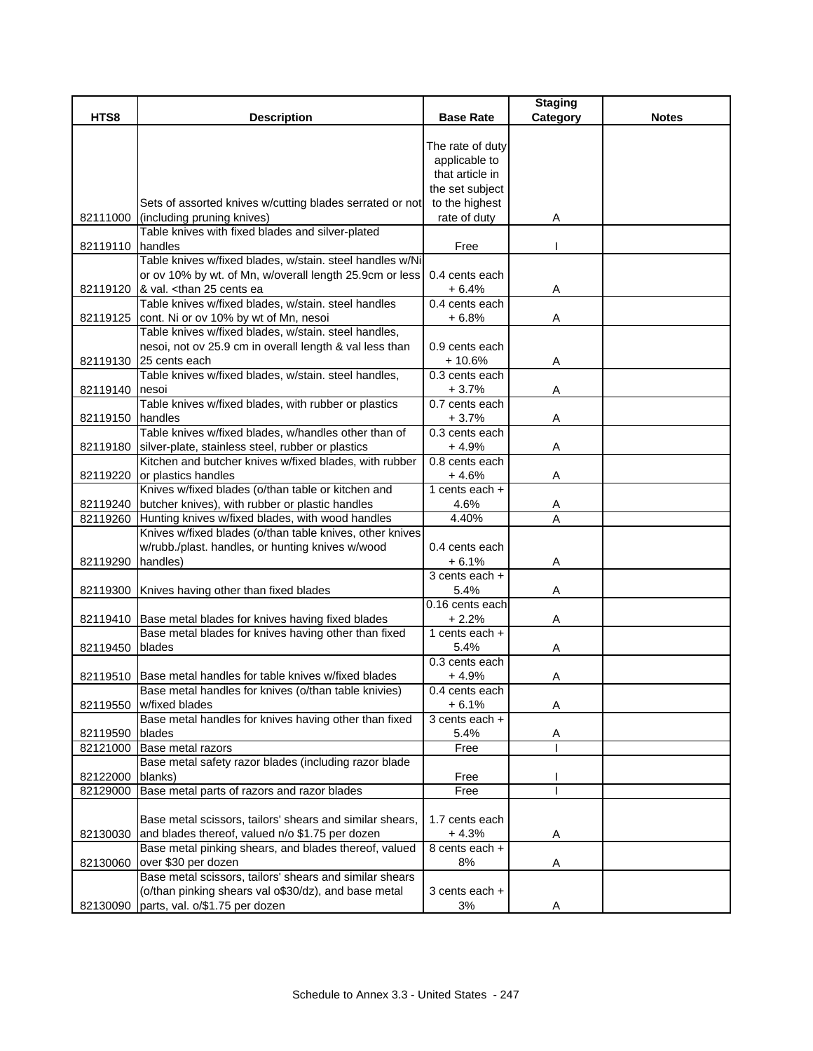| HTS8<br><b>Description</b><br><b>Base Rate</b><br>Category<br>The rate of duty | <b>Notes</b> |
|--------------------------------------------------------------------------------|--------------|
|                                                                                |              |
|                                                                                |              |
|                                                                                |              |
| applicable to                                                                  |              |
| that article in                                                                |              |
| the set subject                                                                |              |
| to the highest<br>Sets of assorted knives w/cutting blades serrated or not     |              |
| 82111000 (including pruning knives)<br>rate of duty<br>Α                       |              |
| Table knives with fixed blades and silver-plated                               |              |
| 82119110 handles<br>Free                                                       |              |
| Table knives w/fixed blades, w/stain. steel handles w/Ni                       |              |
| or ov 10% by wt. of Mn, w/overall length 25.9cm or less<br>0.4 cents each      |              |
| 82119120 & val. <than 25="" cents="" ea<br=""><math>+6.4%</math><br/>Α</than>  |              |
| Table knives w/fixed blades, w/stain. steel handles<br>0.4 cents each          |              |
| 82119125 cont. Ni or ov 10% by wt of Mn, nesoi<br>$+6.8%$<br>Α                 |              |
| Table knives w/fixed blades, w/stain. steel handles,                           |              |
| nesoi, not ov 25.9 cm in overall length & val less than<br>0.9 cents each      |              |
| 82119130 25 cents each<br>$+10.6%$<br>Α                                        |              |
| Table knives w/fixed blades, w/stain. steel handles,<br>0.3 cents each         |              |
| $+3.7%$<br>Α<br>82119140 nesoi                                                 |              |
| Table knives w/fixed blades, with rubber or plastics<br>0.7 cents each         |              |
| handles<br>$+3.7%$<br>Α<br>82119150                                            |              |
| Table knives w/fixed blades, w/handles other than of<br>0.3 cents each         |              |
| 82119180 silver-plate, stainless steel, rubber or plastics<br>$+4.9%$<br>Α     |              |
| Kitchen and butcher knives w/fixed blades, with rubber<br>0.8 cents each       |              |
| 82119220 or plastics handles<br>$+4.6%$<br>Α                                   |              |
| Knives w/fixed blades (o/than table or kitchen and<br>1 cents each $+$         |              |
| 82119240 butcher knives), with rubber or plastic handles<br>4.6%<br>Α          |              |
| Hunting knives w/fixed blades, with wood handles<br>4.40%<br>A<br>82119260     |              |
| Knives w/fixed blades (o/than table knives, other knives                       |              |
| w/rubb./plast. handles, or hunting knives w/wood<br>0.4 cents each             |              |
| handles)<br>82119290<br>$+6.1%$<br>Α                                           |              |
| $3$ cents each +                                                               |              |
| 82119300 Knives having other than fixed blades<br>5.4%<br>Α                    |              |
| 0.16 cents each                                                                |              |
| 82119410 Base metal blades for knives having fixed blades<br>$+2.2%$<br>Α      |              |
| Base metal blades for knives having other than fixed<br>1 cents each $+$       |              |
| 5.4%<br>82119450<br>blades<br>Α                                                |              |
| 0.3 cents each                                                                 |              |
| Α<br>82119510 Base metal handles for table knives w/fixed blades<br>$+4.9%$    |              |
| Base metal handles for knives (o/than table knivies)<br>0.4 cents each         |              |
| $+6.1%$<br>82119550<br>w/fixed blades<br>Α                                     |              |
| Base metal handles for knives having other than fixed<br>3 cents each +        |              |
| blades<br>5.4%<br>82119590<br>A                                                |              |
| 82121000 Base metal razors<br>Free                                             |              |
| Base metal safety razor blades (including razor blade                          |              |
| 82122000<br>blanks)<br>Free                                                    |              |
| Base metal parts of razors and razor blades<br>Free<br>82129000                |              |
|                                                                                |              |
| Base metal scissors, tailors' shears and similar shears,<br>1.7 cents each     |              |
| and blades thereof, valued n/o \$1.75 per dozen<br>$+4.3%$<br>82130030<br>A    |              |
| Base metal pinking shears, and blades thereof, valued<br>8 cents each +        |              |
| over \$30 per dozen<br>8%<br>82130060<br>Α                                     |              |
| Base metal scissors, tailors' shears and similar shears                        |              |
| (o/than pinking shears val o\$30/dz), and base metal<br>3 cents each +         |              |
| parts, val. o/\$1.75 per dozen<br>82130090<br>3%<br>Α                          |              |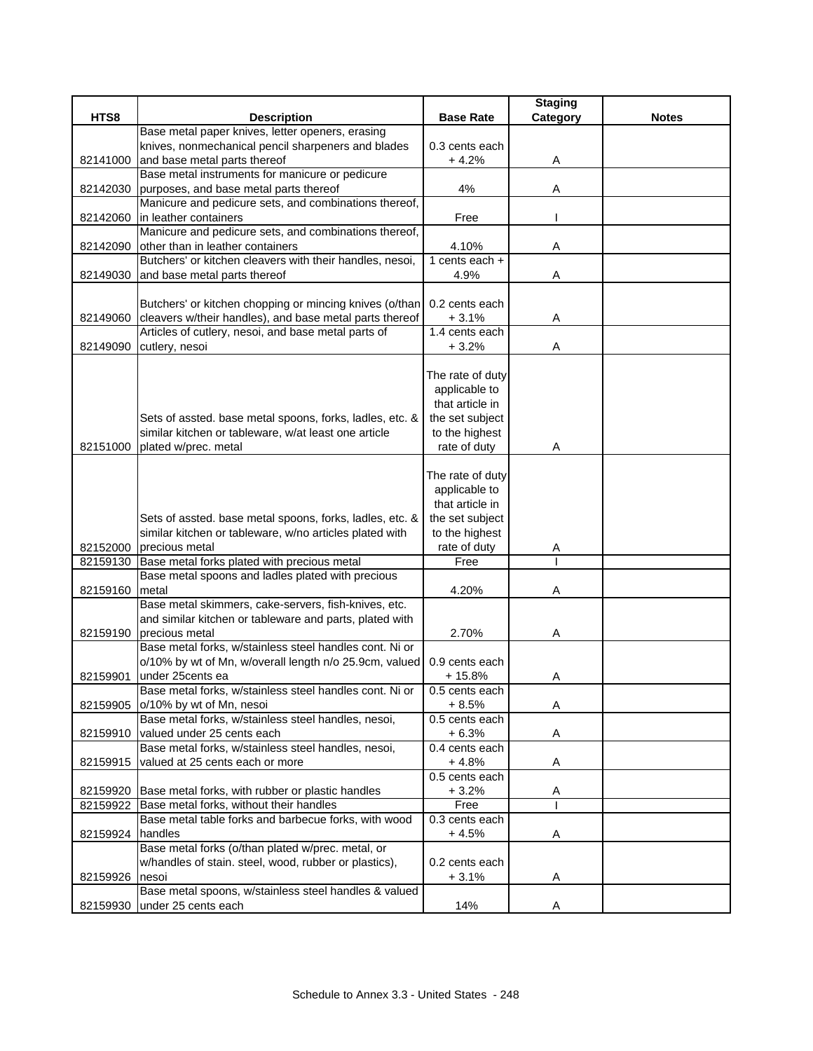|                  |                                                                                                                |                           | <b>Staging</b> |              |
|------------------|----------------------------------------------------------------------------------------------------------------|---------------------------|----------------|--------------|
| HTS8             | <b>Description</b>                                                                                             | <b>Base Rate</b>          | Category       | <b>Notes</b> |
|                  | Base metal paper knives, letter openers, erasing                                                               |                           |                |              |
|                  | knives, nonmechanical pencil sharpeners and blades                                                             | 0.3 cents each            |                |              |
| 82141000         | and base metal parts thereof                                                                                   | $+4.2%$                   | A              |              |
|                  | Base metal instruments for manicure or pedicure                                                                |                           |                |              |
|                  | 82142030 purposes, and base metal parts thereof                                                                | 4%                        | Α              |              |
|                  | Manicure and pedicure sets, and combinations thereof,                                                          |                           |                |              |
| 82142060         | in leather containers                                                                                          | Free                      |                |              |
|                  | Manicure and pedicure sets, and combinations thereof,                                                          |                           |                |              |
| 82142090         | other than in leather containers                                                                               | 4.10%                     | Α              |              |
|                  | Butchers' or kitchen cleavers with their handles, nesoi,                                                       | 1 cents each $+$          |                |              |
| 82149030         | and base metal parts thereof                                                                                   | 4.9%                      | Α              |              |
|                  |                                                                                                                |                           |                |              |
|                  | Butchers' or kitchen chopping or mincing knives (o/than                                                        | 0.2 cents each            |                |              |
| 82149060         | cleavers w/their handles), and base metal parts thereof<br>Articles of cutlery, nesoi, and base metal parts of | $+3.1%$<br>1.4 cents each | Α              |              |
|                  |                                                                                                                | $+3.2%$                   |                |              |
| 82149090         | cutlery, nesoi                                                                                                 |                           | Α              |              |
|                  |                                                                                                                | The rate of duty          |                |              |
|                  |                                                                                                                | applicable to             |                |              |
|                  |                                                                                                                | that article in           |                |              |
|                  | Sets of assted. base metal spoons, forks, ladles, etc. &                                                       | the set subject           |                |              |
|                  | similar kitchen or tableware, w/at least one article                                                           | to the highest            |                |              |
| 82151000         | plated w/prec. metal                                                                                           | rate of duty              | Α              |              |
|                  |                                                                                                                |                           |                |              |
|                  |                                                                                                                | The rate of duty          |                |              |
|                  |                                                                                                                | applicable to             |                |              |
|                  |                                                                                                                | that article in           |                |              |
|                  | Sets of assted. base metal spoons, forks, ladles, etc. &                                                       | the set subject           |                |              |
|                  | similar kitchen or tableware, w/no articles plated with                                                        | to the highest            |                |              |
|                  | 82152000 precious metal                                                                                        | rate of duty              | Α              |              |
| 82159130         | Base metal forks plated with precious metal                                                                    | Free                      |                |              |
|                  | Base metal spoons and ladles plated with precious                                                              |                           |                |              |
| 82159160         | metal                                                                                                          | 4.20%                     | Α              |              |
|                  | Base metal skimmers, cake-servers, fish-knives, etc.                                                           |                           |                |              |
|                  | and similar kitchen or tableware and parts, plated with                                                        |                           |                |              |
| 82159190         | precious metal                                                                                                 | 2.70%                     | Α              |              |
|                  | Base metal forks, w/stainless steel handles cont. Ni or                                                        |                           |                |              |
|                  | o/10% by wt of Mn, w/overall length n/o 25.9cm, valued                                                         | 0.9 cents each            |                |              |
| 82159901         | under 25cents ea                                                                                               | + 15.8%                   | Α              |              |
|                  | Base metal forks, w/stainless steel handles cont. Ni or                                                        | 0.5 cents each            |                |              |
| 82159905         | o/10% by wt of Mn, nesoi                                                                                       | $+8.5%$                   | Α              |              |
|                  | Base metal forks, w/stainless steel handles, nesoi,                                                            | 0.5 cents each            |                |              |
| 82159910         | valued under 25 cents each                                                                                     | $+6.3%$                   | Α              |              |
|                  | Base metal forks, w/stainless steel handles, nesoi,                                                            | 0.4 cents each            |                |              |
| 82159915         | valued at 25 cents each or more                                                                                | $+4.8%$                   | Α              |              |
|                  |                                                                                                                | 0.5 cents each            |                |              |
| 82159920         | Base metal forks, with rubber or plastic handles                                                               | $+3.2%$                   | A              |              |
| 82159922         | Base metal forks, without their handles                                                                        | Free                      |                |              |
|                  | Base metal table forks and barbecue forks, with wood                                                           | 0.3 cents each            |                |              |
| 82159924 handles |                                                                                                                | $+4.5%$                   | Α              |              |
|                  | Base metal forks (o/than plated w/prec. metal, or                                                              |                           |                |              |
|                  | w/handles of stain. steel, wood, rubber or plastics),                                                          | 0.2 cents each            |                |              |
| 82159926         | nesoi<br>Base metal spoons, w/stainless steel handles & valued                                                 | $+3.1%$                   | A              |              |
|                  | 82159930 under 25 cents each                                                                                   | 14%                       | A              |              |
|                  |                                                                                                                |                           |                |              |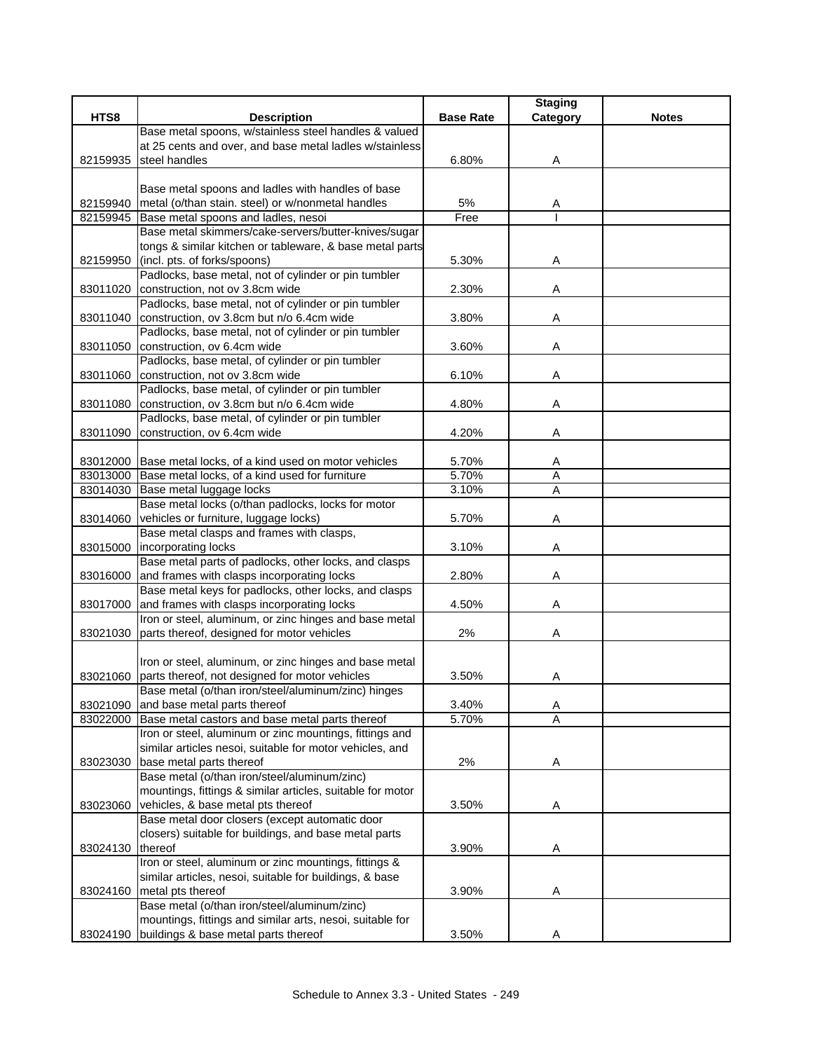|          |                                                                                                            |                  | <b>Staging</b> |              |
|----------|------------------------------------------------------------------------------------------------------------|------------------|----------------|--------------|
| HTS8     | <b>Description</b>                                                                                         | <b>Base Rate</b> | Category       | <b>Notes</b> |
|          | Base metal spoons, w/stainless steel handles & valued                                                      |                  |                |              |
|          | at 25 cents and over, and base metal ladles w/stainless                                                    |                  |                |              |
| 82159935 | steel handles                                                                                              | 6.80%            | Α              |              |
|          |                                                                                                            |                  |                |              |
|          | Base metal spoons and ladles with handles of base                                                          |                  |                |              |
|          | 82159940 metal (o/than stain. steel) or w/nonmetal handles                                                 | 5%               | A              |              |
| 82159945 | Base metal spoons and ladles, nesoi                                                                        | Free             |                |              |
|          | Base metal skimmers/cake-servers/butter-knives/sugar                                                       |                  |                |              |
|          | tongs & similar kitchen or tableware, & base metal parts                                                   |                  |                |              |
| 82159950 | (incl. pts. of forks/spoons)                                                                               | 5.30%            | Α              |              |
|          | Padlocks, base metal, not of cylinder or pin tumbler                                                       |                  |                |              |
| 83011020 | construction, not ov 3.8cm wide                                                                            | 2.30%            | Α              |              |
|          | Padlocks, base metal, not of cylinder or pin tumbler                                                       |                  |                |              |
|          | 83011040 construction, ov 3.8cm but n/o 6.4cm wide                                                         | 3.80%            | Α              |              |
|          | Padlocks, base metal, not of cylinder or pin tumbler                                                       |                  |                |              |
| 83011050 | construction, ov 6.4cm wide                                                                                | 3.60%            | Α              |              |
|          | Padlocks, base metal, of cylinder or pin tumbler                                                           |                  |                |              |
|          | 83011060 construction, not ov 3.8cm wide                                                                   | 6.10%            | Α              |              |
|          | Padlocks, base metal, of cylinder or pin tumbler                                                           |                  |                |              |
| 83011080 | construction, ov 3.8cm but n/o 6.4cm wide                                                                  | 4.80%            | Α              |              |
|          | Padlocks, base metal, of cylinder or pin tumbler                                                           |                  |                |              |
| 83011090 | construction, ov 6.4cm wide                                                                                | 4.20%            | Α              |              |
|          |                                                                                                            |                  |                |              |
|          | 83012000 Base metal locks, of a kind used on motor vehicles                                                | 5.70%            | Α              |              |
|          | 83013000 Base metal locks, of a kind used for furniture                                                    | 5.70%            | $\overline{A}$ |              |
| 83014030 | Base metal luggage locks                                                                                   | 3.10%            | A              |              |
|          | Base metal locks (o/than padlocks, locks for motor                                                         |                  |                |              |
| 83014060 | vehicles or furniture, luggage locks)                                                                      | 5.70%            | Α              |              |
|          | Base metal clasps and frames with clasps,                                                                  |                  |                |              |
| 83015000 | incorporating locks                                                                                        | 3.10%            | Α              |              |
|          | Base metal parts of padlocks, other locks, and clasps                                                      |                  |                |              |
| 83016000 | and frames with clasps incorporating locks                                                                 | 2.80%            | Α              |              |
|          | Base metal keys for padlocks, other locks, and clasps                                                      |                  |                |              |
|          | 83017000 and frames with clasps incorporating locks                                                        | 4.50%            | Α              |              |
|          | Iron or steel, aluminum, or zinc hinges and base metal                                                     |                  |                |              |
|          | 83021030 parts thereof, designed for motor vehicles                                                        | 2%               | Α              |              |
|          |                                                                                                            |                  |                |              |
|          | Iron or steel, aluminum, or zinc hinges and base metal                                                     |                  |                |              |
|          | 83021060 parts thereof, not designed for motor vehicles                                                    | 3.50%            | Α              |              |
|          | Base metal (o/than iron/steel/aluminum/zinc) hinges                                                        |                  |                |              |
| 83021090 | and base metal parts thereof                                                                               | 3.40%            | Α              |              |
| 83022000 | Base metal castors and base metal parts thereof                                                            | 5.70%            | Α              |              |
|          | Iron or steel, aluminum or zinc mountings, fittings and                                                    |                  |                |              |
|          | similar articles nesoi, suitable for motor vehicles, and                                                   |                  |                |              |
| 83023030 | base metal parts thereof                                                                                   | 2%               | Α              |              |
|          | Base metal (o/than iron/steel/aluminum/zinc)<br>mountings, fittings & similar articles, suitable for motor |                  |                |              |
|          |                                                                                                            |                  |                |              |
| 83023060 | vehicles, & base metal pts thereof                                                                         | 3.50%            | A              |              |
|          | Base metal door closers (except automatic door<br>closers) suitable for buildings, and base metal parts    |                  |                |              |
| 83024130 | thereof                                                                                                    |                  |                |              |
|          | Iron or steel, aluminum or zinc mountings, fittings &                                                      | 3.90%            | A              |              |
|          | similar articles, nesoi, suitable for buildings, & base                                                    |                  |                |              |
|          | 83024160 metal pts thereof                                                                                 |                  |                |              |
|          | Base metal (o/than iron/steel/aluminum/zinc)                                                               | 3.90%            | Α              |              |
|          |                                                                                                            |                  |                |              |
|          | mountings, fittings and similar arts, nesoi, suitable for<br>buildings & base metal parts thereof          | 3.50%            |                |              |
| 83024190 |                                                                                                            |                  | Α              |              |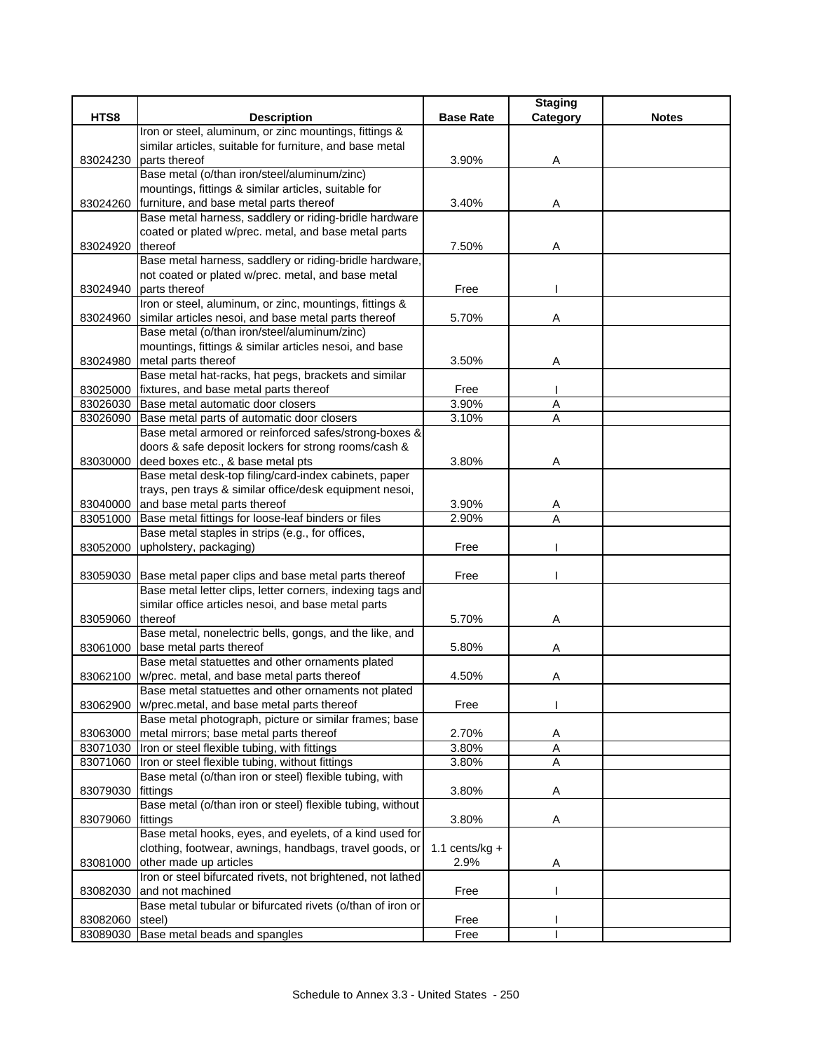|                  |                                                              |                  | <b>Staging</b> |              |
|------------------|--------------------------------------------------------------|------------------|----------------|--------------|
| HTS8             | <b>Description</b>                                           | <b>Base Rate</b> | Category       | <b>Notes</b> |
|                  | Iron or steel, aluminum, or zinc mountings, fittings &       |                  |                |              |
|                  | similar articles, suitable for furniture, and base metal     |                  |                |              |
| 83024230         | parts thereof                                                | 3.90%            | Α              |              |
|                  | Base metal (o/than iron/steel/aluminum/zinc)                 |                  |                |              |
|                  | mountings, fittings & similar articles, suitable for         |                  |                |              |
| 83024260         | furniture, and base metal parts thereof                      | 3.40%            | Α              |              |
|                  | Base metal harness, saddlery or riding-bridle hardware       |                  |                |              |
|                  | coated or plated w/prec. metal, and base metal parts         |                  |                |              |
| 83024920         | thereof                                                      | 7.50%            | Α              |              |
|                  | Base metal harness, saddlery or riding-bridle hardware,      |                  |                |              |
|                  | not coated or plated w/prec. metal, and base metal           |                  |                |              |
| 83024940         | parts thereof                                                | Free             |                |              |
|                  | Iron or steel, aluminum, or zinc, mountings, fittings &      |                  |                |              |
| 83024960         | similar articles nesoi, and base metal parts thereof         | 5.70%            | Α              |              |
|                  | Base metal (o/than iron/steel/aluminum/zinc)                 |                  |                |              |
|                  | mountings, fittings & similar articles nesoi, and base       |                  |                |              |
|                  | 83024980 metal parts thereof                                 | 3.50%            | A              |              |
|                  | Base metal hat-racks, hat pegs, brackets and similar         |                  |                |              |
|                  | 83025000 fixtures, and base metal parts thereof              | Free             |                |              |
|                  | 83026030 Base metal automatic door closers                   | 3.90%            | A              |              |
|                  | 83026090 Base metal parts of automatic door closers          | 3.10%            | A              |              |
|                  | Base metal armored or reinforced safes/strong-boxes &        |                  |                |              |
|                  | doors & safe deposit lockers for strong rooms/cash &         |                  |                |              |
| 83030000         | deed boxes etc., & base metal pts                            | 3.80%            | Α              |              |
|                  | Base metal desk-top filing/card-index cabinets, paper        |                  |                |              |
|                  | trays, pen trays & similar office/desk equipment nesoi,      |                  |                |              |
|                  | 83040000 and base metal parts thereof                        | 3.90%            | A              |              |
| 83051000         | Base metal fittings for loose-leaf binders or files          | 2.90%            | A              |              |
|                  | Base metal staples in strips (e.g., for offices,             |                  |                |              |
|                  | 83052000 upholstery, packaging)                              | Free             |                |              |
|                  |                                                              |                  |                |              |
|                  | 83059030 Base metal paper clips and base metal parts thereof | Free             |                |              |
|                  | Base metal letter clips, letter corners, indexing tags and   |                  |                |              |
|                  | similar office articles nesoi, and base metal parts          |                  |                |              |
| 83059060 thereof |                                                              | 5.70%            | Α              |              |
|                  | Base metal, nonelectric bells, gongs, and the like, and      |                  |                |              |
|                  | 83061000 base metal parts thereof                            | 5.80%            | Α              |              |
|                  | Base metal statuettes and other ornaments plated             |                  |                |              |
| 83062100         | w/prec. metal, and base metal parts thereof                  | 4.50%            | Α              |              |
|                  | Base metal statuettes and other ornaments not plated         |                  |                |              |
| 83062900         | w/prec.metal, and base metal parts thereof                   | Free             |                |              |
|                  | Base metal photograph, picture or similar frames; base       |                  |                |              |
| 83063000         | metal mirrors; base metal parts thereof                      | 2.70%            | Α              |              |
| 83071030         | Iron or steel flexible tubing, with fittings                 | 3.80%            | A              |              |
|                  | 83071060  Iron or steel flexible tubing, without fittings    | 3.80%            | A              |              |
|                  | Base metal (o/than iron or steel) flexible tubing, with      |                  |                |              |
| 83079030         | fittings                                                     | 3.80%            | Α              |              |
|                  | Base metal (o/than iron or steel) flexible tubing, without   |                  |                |              |
| 83079060         | fittings                                                     | 3.80%            | Α              |              |
|                  | Base metal hooks, eyes, and eyelets, of a kind used for      |                  |                |              |
|                  | clothing, footwear, awnings, handbags, travel goods, or      | 1.1 cents/kg $+$ |                |              |
| 83081000         | other made up articles                                       | 2.9%             | Α              |              |
|                  | Iron or steel bifurcated rivets, not brightened, not lathed  |                  |                |              |
| 83082030         | and not machined                                             | Free             |                |              |
|                  | Base metal tubular or bifurcated rivets (o/than of iron or   |                  |                |              |
| 83082060         | steel)                                                       | Free             |                |              |
| 83089030         | Base metal beads and spangles                                | Free             |                |              |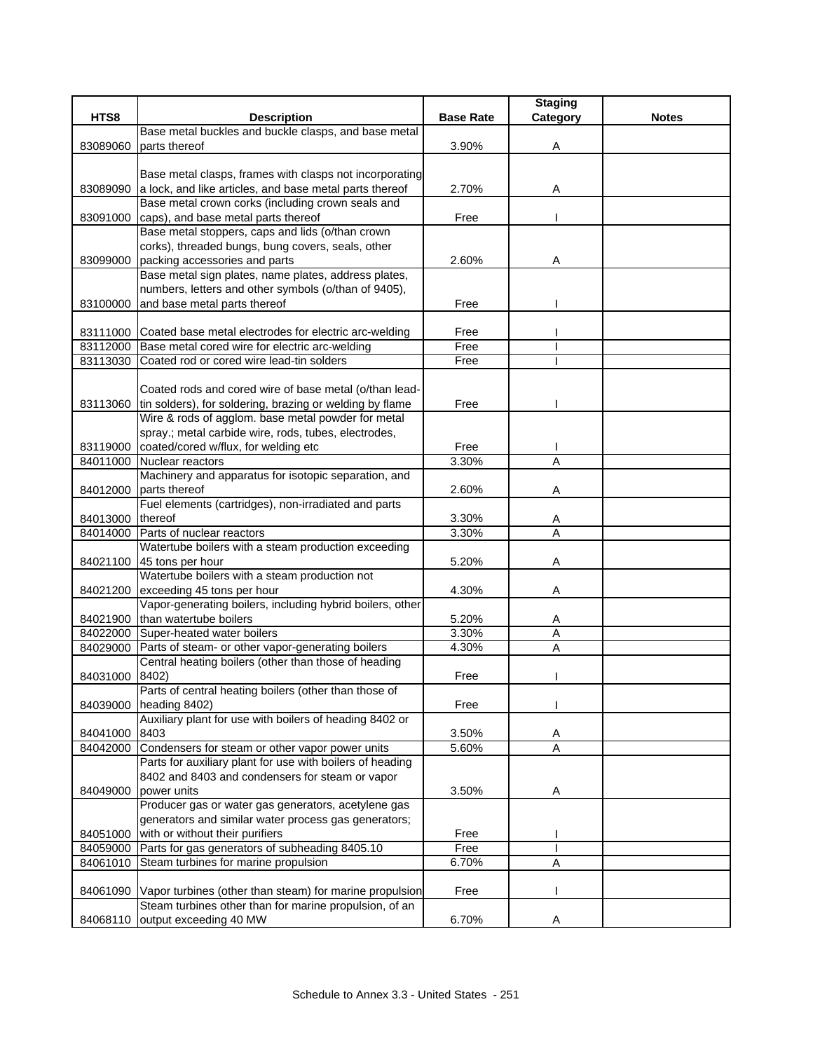|          |                                                                                                                   |                  | <b>Staging</b> |              |
|----------|-------------------------------------------------------------------------------------------------------------------|------------------|----------------|--------------|
| HTS8     | <b>Description</b>                                                                                                | <b>Base Rate</b> | Category       | <b>Notes</b> |
|          | Base metal buckles and buckle clasps, and base metal                                                              |                  |                |              |
| 83089060 | parts thereof                                                                                                     | 3.90%            | Α              |              |
|          |                                                                                                                   |                  |                |              |
|          | Base metal clasps, frames with clasps not incorporating                                                           |                  |                |              |
| 83089090 | a lock, and like articles, and base metal parts thereof                                                           | 2.70%            | Α              |              |
|          | Base metal crown corks (including crown seals and                                                                 |                  |                |              |
| 83091000 | caps), and base metal parts thereof<br>Base metal stoppers, caps and lids (o/than crown                           | Free             |                |              |
|          | corks), threaded bungs, bung covers, seals, other                                                                 |                  |                |              |
| 83099000 | packing accessories and parts                                                                                     | 2.60%            | Α              |              |
|          | Base metal sign plates, name plates, address plates,                                                              |                  |                |              |
|          | numbers, letters and other symbols (o/than of 9405),                                                              |                  |                |              |
| 83100000 | and base metal parts thereof                                                                                      | Free             |                |              |
|          |                                                                                                                   |                  |                |              |
|          | 83111000 Coated base metal electrodes for electric arc-welding                                                    | Free             |                |              |
|          | 83112000 Base metal cored wire for electric arc-welding                                                           | Free             |                |              |
| 83113030 | Coated rod or cored wire lead-tin solders                                                                         | Free             |                |              |
|          |                                                                                                                   |                  |                |              |
|          | Coated rods and cored wire of base metal (o/than lead-                                                            |                  |                |              |
|          | 83113060 tin solders), for soldering, brazing or welding by flame                                                 | Free             |                |              |
|          | Wire & rods of agglom. base metal powder for metal                                                                |                  |                |              |
|          | spray.; metal carbide wire, rods, tubes, electrodes,                                                              |                  |                |              |
| 83119000 | coated/cored w/flux, for welding etc                                                                              | Free             |                |              |
|          | 84011000 Nuclear reactors                                                                                         | 3.30%            | A              |              |
|          | Machinery and apparatus for isotopic separation, and                                                              |                  |                |              |
| 84012000 | parts thereof                                                                                                     | 2.60%            | Α              |              |
|          | Fuel elements (cartridges), non-irradiated and parts                                                              |                  |                |              |
| 84013000 | <b>thereof</b>                                                                                                    | 3.30%            | Α              |              |
| 84014000 | Parts of nuclear reactors                                                                                         | 3.30%            | $\overline{A}$ |              |
| 84021100 | Watertube boilers with a steam production exceeding<br>45 tons per hour                                           | 5.20%            | Α              |              |
|          | Watertube boilers with a steam production not                                                                     |                  |                |              |
| 84021200 | exceeding 45 tons per hour                                                                                        | 4.30%            | Α              |              |
|          | Vapor-generating boilers, including hybrid boilers, other                                                         |                  |                |              |
| 84021900 | than watertube boilers                                                                                            | 5.20%            | A              |              |
| 84022000 | Super-heated water boilers                                                                                        | 3.30%            | $\overline{A}$ |              |
| 84029000 | Parts of steam- or other vapor-generating boilers                                                                 | 4.30%            | Α              |              |
|          | Central heating boilers (other than those of heading                                                              |                  |                |              |
| 84031000 | 8402)                                                                                                             | Free             |                |              |
|          | Parts of central heating boilers (other than those of                                                             |                  |                |              |
| 84039000 | heading 8402)                                                                                                     | Free             |                |              |
|          | Auxiliary plant for use with boilers of heading 8402 or                                                           |                  |                |              |
| 84041000 | 8403                                                                                                              | 3.50%            | A              |              |
|          | 84042000 Condensers for steam or other vapor power units                                                          | 5.60%            | Ā              |              |
|          | Parts for auxiliary plant for use with boilers of heading                                                         |                  |                |              |
|          | 8402 and 8403 and condensers for steam or vapor                                                                   |                  |                |              |
| 84049000 | power units                                                                                                       | 3.50%            | A              |              |
|          | Producer gas or water gas generators, acetylene gas                                                               |                  |                |              |
|          | generators and similar water process gas generators;                                                              |                  |                |              |
| 84051000 | with or without their purifiers                                                                                   | Free             |                |              |
| 84059000 | Parts for gas generators of subheading 8405.10                                                                    | Free             |                |              |
| 84061010 | Steam turbines for marine propulsion                                                                              | 6.70%            | Α              |              |
|          |                                                                                                                   |                  |                |              |
| 84061090 | Vapor turbines (other than steam) for marine propulsion<br>Steam turbines other than for marine propulsion, of an | Free             |                |              |
| 84068110 | output exceeding 40 MW                                                                                            | 6.70%            |                |              |
|          |                                                                                                                   |                  |                |              |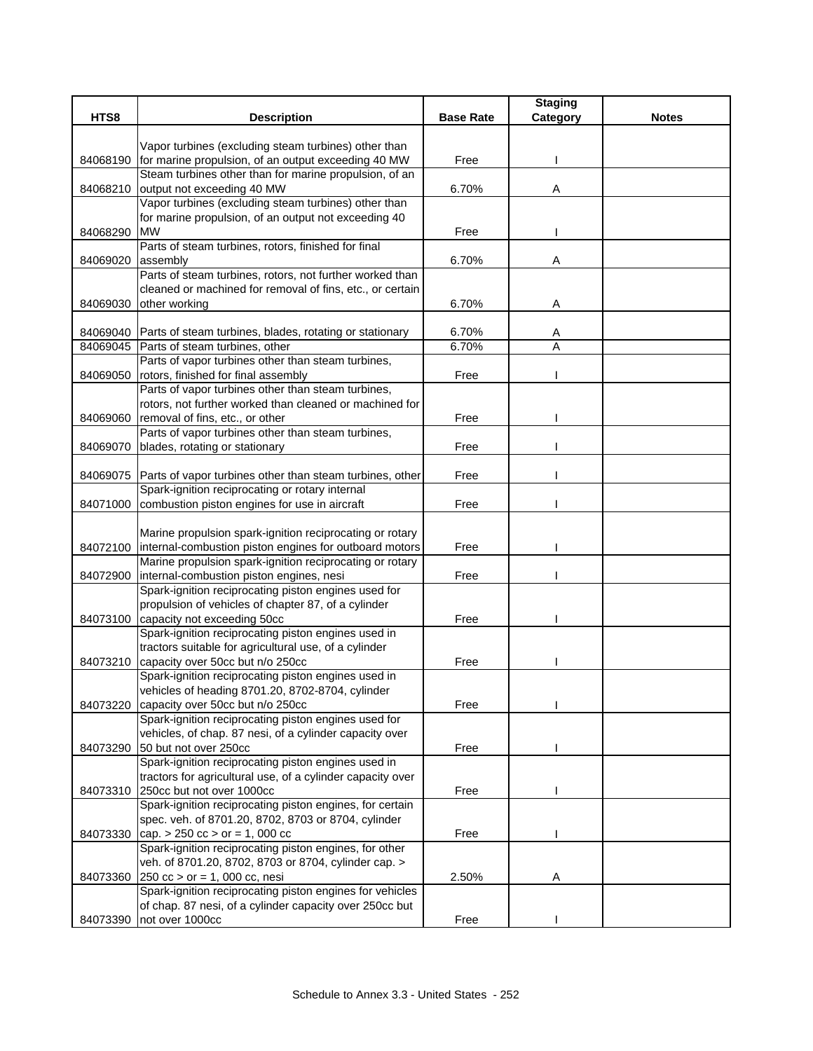|          |                                                                                                             |                  | <b>Staging</b> |              |
|----------|-------------------------------------------------------------------------------------------------------------|------------------|----------------|--------------|
| HTS8     | <b>Description</b>                                                                                          | <b>Base Rate</b> | Category       | <b>Notes</b> |
|          |                                                                                                             |                  |                |              |
|          | Vapor turbines (excluding steam turbines) other than<br>for marine propulsion, of an output exceeding 40 MW | Free             |                |              |
| 84068190 | Steam turbines other than for marine propulsion, of an                                                      |                  |                |              |
| 84068210 | output not exceeding 40 MW                                                                                  | 6.70%            | Α              |              |
|          | Vapor turbines (excluding steam turbines) other than                                                        |                  |                |              |
|          | for marine propulsion, of an output not exceeding 40                                                        |                  |                |              |
| 84068290 | <b>MW</b>                                                                                                   | Free             |                |              |
|          | Parts of steam turbines, rotors, finished for final                                                         |                  |                |              |
| 84069020 | assembly                                                                                                    | 6.70%            | Α              |              |
|          | Parts of steam turbines, rotors, not further worked than                                                    |                  |                |              |
|          | cleaned or machined for removal of fins, etc., or certain                                                   |                  |                |              |
| 84069030 | other working                                                                                               | 6.70%            | Α              |              |
|          |                                                                                                             |                  |                |              |
|          | 84069040 Parts of steam turbines, blades, rotating or stationary                                            | 6.70%            | A              |              |
|          | 84069045 Parts of steam turbines, other                                                                     | 6.70%            | A              |              |
|          | Parts of vapor turbines other than steam turbines,                                                          |                  |                |              |
| 84069050 | rotors, finished for final assembly                                                                         | Free             |                |              |
|          | Parts of vapor turbines other than steam turbines,                                                          |                  |                |              |
|          | rotors, not further worked than cleaned or machined for                                                     |                  |                |              |
| 84069060 | removal of fins, etc., or other                                                                             | Free             |                |              |
|          | Parts of vapor turbines other than steam turbines,                                                          |                  |                |              |
| 84069070 | blades, rotating or stationary                                                                              | Free             |                |              |
|          | 84069075 Parts of vapor turbines other than steam turbines, other                                           | Free             |                |              |
|          | Spark-ignition reciprocating or rotary internal                                                             |                  |                |              |
|          | 84071000 combustion piston engines for use in aircraft                                                      | Free             |                |              |
|          |                                                                                                             |                  |                |              |
|          | Marine propulsion spark-ignition reciprocating or rotary                                                    |                  |                |              |
|          | 84072100   internal-combustion piston engines for outboard motors                                           | Free             |                |              |
|          | Marine propulsion spark-ignition reciprocating or rotary                                                    |                  |                |              |
| 84072900 | internal-combustion piston engines, nesi                                                                    | Free             |                |              |
|          | Spark-ignition reciprocating piston engines used for                                                        |                  |                |              |
|          | propulsion of vehicles of chapter 87, of a cylinder                                                         |                  |                |              |
|          | 84073100 capacity not exceeding 50cc                                                                        | Free             |                |              |
|          | Spark-ignition reciprocating piston engines used in                                                         |                  |                |              |
|          | tractors suitable for agricultural use, of a cylinder                                                       |                  |                |              |
| 84073210 | capacity over 50cc but n/o 250cc                                                                            | Free             |                |              |
|          | Spark-ignition reciprocating piston engines used in<br>vehicles of heading 8701.20, 8702-8704, cylinder     |                  |                |              |
| 84073220 | capacity over 50cc but n/o 250cc                                                                            | Free             |                |              |
|          | Spark-ignition reciprocating piston engines used for                                                        |                  |                |              |
|          | vehicles, of chap. 87 nesi, of a cylinder capacity over                                                     |                  |                |              |
| 84073290 | 50 but not over 250cc                                                                                       | Free             |                |              |
|          | Spark-ignition reciprocating piston engines used in                                                         |                  |                |              |
|          | tractors for agricultural use, of a cylinder capacity over                                                  |                  |                |              |
|          | 84073310 250cc but not over 1000cc                                                                          | Free             |                |              |
|          | Spark-ignition reciprocating piston engines, for certain                                                    |                  |                |              |
|          | spec. veh. of 8701.20, 8702, 8703 or 8704, cylinder                                                         |                  |                |              |
| 84073330 | cap. $> 250$ cc $>$ or = 1, 000 cc                                                                          | Free             |                |              |
|          | Spark-ignition reciprocating piston engines, for other                                                      |                  |                |              |
|          | veh. of 8701.20, 8702, 8703 or 8704, cylinder cap. >                                                        |                  |                |              |
| 84073360 | $250$ cc > or = 1, 000 cc, nesi                                                                             | 2.50%            | Α              |              |
|          | Spark-ignition reciprocating piston engines for vehicles                                                    |                  |                |              |
|          | of chap. 87 nesi, of a cylinder capacity over 250cc but                                                     |                  |                |              |
| 84073390 | not over 1000cc                                                                                             | Free             |                |              |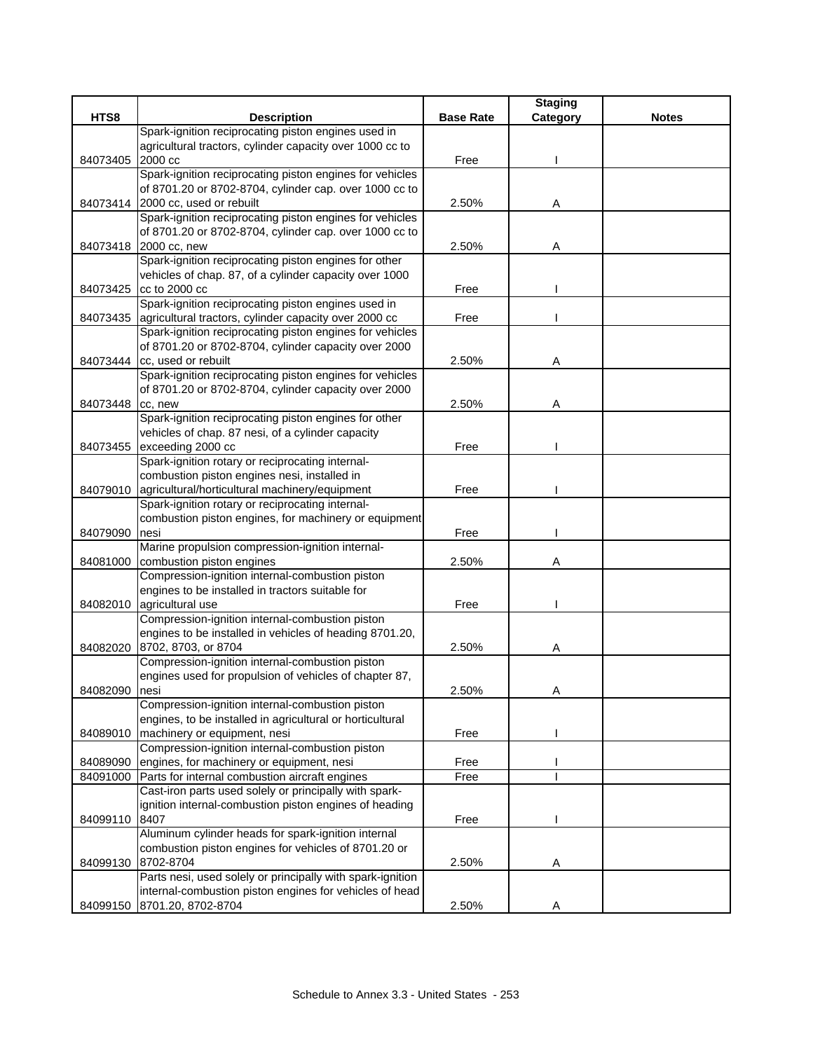|          |                                                                                      |                  | <b>Staging</b> |              |
|----------|--------------------------------------------------------------------------------------|------------------|----------------|--------------|
| HTS8     | <b>Description</b>                                                                   | <b>Base Rate</b> | Category       | <b>Notes</b> |
|          | Spark-ignition reciprocating piston engines used in                                  |                  |                |              |
|          | agricultural tractors, cylinder capacity over 1000 cc to                             |                  |                |              |
| 84073405 | 2000 cc                                                                              | Free             |                |              |
|          | Spark-ignition reciprocating piston engines for vehicles                             |                  |                |              |
|          | of 8701.20 or 8702-8704, cylinder cap. over 1000 cc to                               |                  |                |              |
|          | 84073414 2000 cc, used or rebuilt                                                    | 2.50%            | Α              |              |
|          | Spark-ignition reciprocating piston engines for vehicles                             |                  |                |              |
|          | of 8701.20 or 8702-8704, cylinder cap. over 1000 cc to                               |                  |                |              |
| 84073418 | 2000 cc, new                                                                         | 2.50%            | Α              |              |
|          | Spark-ignition reciprocating piston engines for other                                |                  |                |              |
|          | vehicles of chap. 87, of a cylinder capacity over 1000                               |                  |                |              |
| 84073425 | cc to 2000 cc                                                                        | Free             |                |              |
|          | Spark-ignition reciprocating piston engines used in                                  |                  |                |              |
| 84073435 | agricultural tractors, cylinder capacity over 2000 cc                                | Free             |                |              |
|          | Spark-ignition reciprocating piston engines for vehicles                             |                  |                |              |
|          | of 8701.20 or 8702-8704, cylinder capacity over 2000<br>84073444 cc, used or rebuilt |                  |                |              |
|          | Spark-ignition reciprocating piston engines for vehicles                             | 2.50%            | Α              |              |
|          | of 8701.20 or 8702-8704, cylinder capacity over 2000                                 |                  |                |              |
| 84073448 | cc, new                                                                              | 2.50%            |                |              |
|          | Spark-ignition reciprocating piston engines for other                                |                  | Α              |              |
|          | vehicles of chap. 87 nesi, of a cylinder capacity                                    |                  |                |              |
| 84073455 | exceeding 2000 cc                                                                    | Free             |                |              |
|          | Spark-ignition rotary or reciprocating internal-                                     |                  |                |              |
|          | combustion piston engines nesi, installed in                                         |                  |                |              |
| 84079010 | agricultural/horticultural machinery/equipment                                       | Free             |                |              |
|          | Spark-ignition rotary or reciprocating internal-                                     |                  |                |              |
|          | combustion piston engines, for machinery or equipment                                |                  |                |              |
| 84079090 | nesi                                                                                 | Free             |                |              |
|          | Marine propulsion compression-ignition internal-                                     |                  |                |              |
| 84081000 | combustion piston engines                                                            | 2.50%            | Α              |              |
|          | Compression-ignition internal-combustion piston                                      |                  |                |              |
|          | engines to be installed in tractors suitable for                                     |                  |                |              |
| 84082010 | agricultural use                                                                     | Free             |                |              |
|          | Compression-ignition internal-combustion piston                                      |                  |                |              |
|          | engines to be installed in vehicles of heading 8701.20,                              |                  |                |              |
|          | 84082020 8702, 8703, or 8704                                                         | 2.50%            | Α              |              |
|          | Compression-ignition internal-combustion piston                                      |                  |                |              |
|          | engines used for propulsion of vehicles of chapter 87,                               |                  |                |              |
| 84082090 | nesi                                                                                 | 2.50%            | Α              |              |
|          | Compression-ignition internal-combustion piston                                      |                  |                |              |
|          | engines, to be installed in agricultural or horticultural                            |                  |                |              |
| 84089010 | machinery or equipment, nesi                                                         | Free             |                |              |
|          | Compression-ignition internal-combustion piston                                      |                  |                |              |
| 84089090 | engines, for machinery or equipment, nesi                                            | Free             |                |              |
| 84091000 | Parts for internal combustion aircraft engines                                       | Free             |                |              |
|          | Cast-iron parts used solely or principally with spark-                               |                  |                |              |
|          | ignition internal-combustion piston engines of heading                               |                  |                |              |
| 84099110 | 8407                                                                                 | Free             |                |              |
|          | Aluminum cylinder heads for spark-ignition internal                                  |                  |                |              |
|          | combustion piston engines for vehicles of 8701.20 or                                 |                  |                |              |
| 84099130 | 8702-8704                                                                            | 2.50%            | A              |              |
|          | Parts nesi, used solely or principally with spark-ignition                           |                  |                |              |
|          | internal-combustion piston engines for vehicles of head                              |                  |                |              |
|          | 84099150 8701.20, 8702-8704                                                          | 2.50%            | A              |              |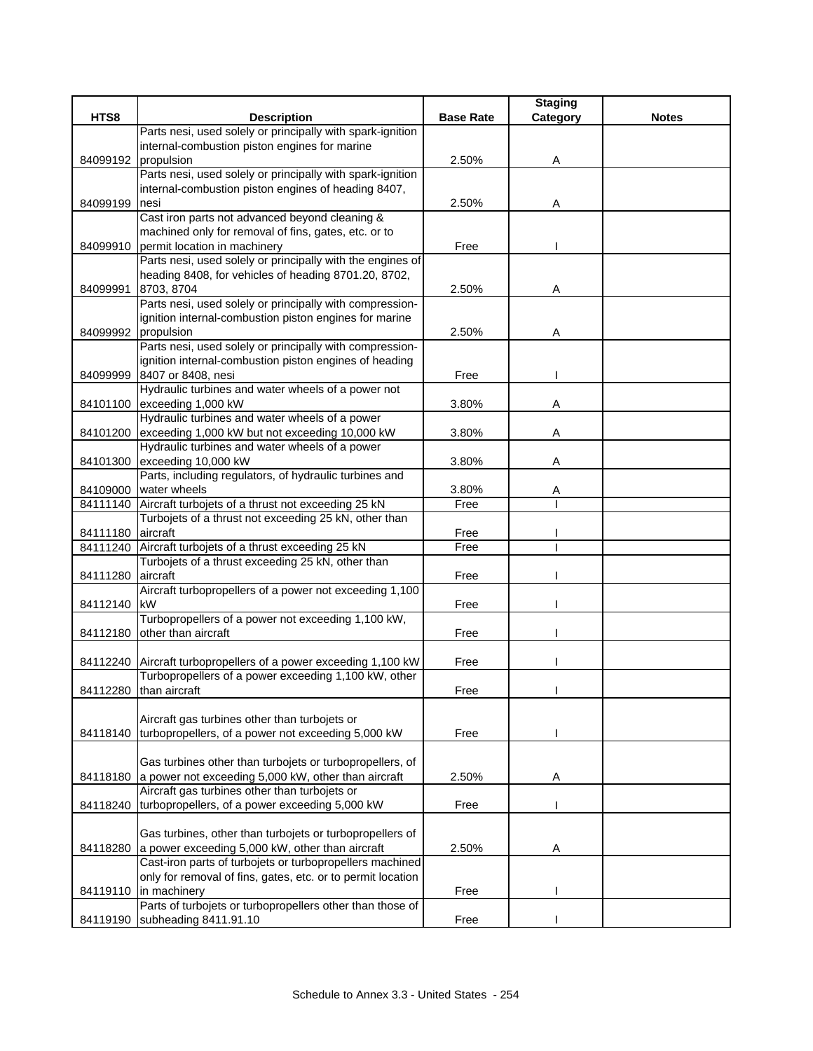|                     |                                                                                                 |                  | <b>Staging</b> |              |
|---------------------|-------------------------------------------------------------------------------------------------|------------------|----------------|--------------|
| HTS8                | <b>Description</b>                                                                              | <b>Base Rate</b> | Category       | <b>Notes</b> |
|                     | Parts nesi, used solely or principally with spark-ignition                                      |                  |                |              |
|                     | internal-combustion piston engines for marine                                                   |                  |                |              |
| 84099192 propulsion |                                                                                                 | 2.50%            | Α              |              |
|                     | Parts nesi, used solely or principally with spark-ignition                                      |                  |                |              |
|                     | internal-combustion piston engines of heading 8407,                                             |                  |                |              |
| 84099199            | nesi                                                                                            | 2.50%            | Α              |              |
|                     | Cast iron parts not advanced beyond cleaning &                                                  |                  |                |              |
|                     | machined only for removal of fins, gates, etc. or to                                            |                  |                |              |
|                     | 84099910 permit location in machinery                                                           | Free             |                |              |
|                     | Parts nesi, used solely or principally with the engines of                                      |                  |                |              |
|                     | heading 8408, for vehicles of heading 8701.20, 8702,<br>8703, 8704                              | 2.50%            |                |              |
| 84099991            | Parts nesi, used solely or principally with compression-                                        |                  | Α              |              |
|                     | ignition internal-combustion piston engines for marine                                          |                  |                |              |
| 84099992            | propulsion                                                                                      | 2.50%            | Α              |              |
|                     | Parts nesi, used solely or principally with compression-                                        |                  |                |              |
|                     | ignition internal-combustion piston engines of heading                                          |                  |                |              |
| 84099999            | 8407 or 8408, nesi                                                                              | Free             |                |              |
|                     | Hydraulic turbines and water wheels of a power not                                              |                  |                |              |
| 84101100            | exceeding 1,000 kW                                                                              | 3.80%            | Α              |              |
|                     | Hydraulic turbines and water wheels of a power                                                  |                  |                |              |
|                     | 84101200 exceeding 1,000 kW but not exceeding 10,000 kW                                         | 3.80%            | Α              |              |
|                     | Hydraulic turbines and water wheels of a power                                                  |                  |                |              |
|                     | 84101300 exceeding 10,000 kW                                                                    | 3.80%            | Α              |              |
|                     | Parts, including regulators, of hydraulic turbines and                                          |                  |                |              |
|                     | 84109000 water wheels                                                                           | 3.80%            | A              |              |
| 84111140            | Aircraft turbojets of a thrust not exceeding 25 kN                                              | Free             |                |              |
|                     | Turbojets of a thrust not exceeding 25 kN, other than                                           |                  |                |              |
| 84111180 aircraft   |                                                                                                 | Free             |                |              |
| 84111240            | Aircraft turbojets of a thrust exceeding 25 kN                                                  | Free             |                |              |
|                     | Turbojets of a thrust exceeding 25 kN, other than                                               |                  |                |              |
| 84111280            | aircraft                                                                                        | Free             |                |              |
|                     | Aircraft turbopropellers of a power not exceeding 1,100                                         |                  |                |              |
| 84112140 kW         |                                                                                                 | Free             |                |              |
|                     | Turbopropellers of a power not exceeding 1,100 kW,                                              |                  |                |              |
|                     | 84112180 other than aircraft                                                                    | Free             |                |              |
|                     |                                                                                                 |                  |                |              |
|                     | 84112240 Aircraft turbopropellers of a power exceeding 1,100 kW                                 | Free             |                |              |
|                     | Turbopropellers of a power exceeding 1,100 kW, other                                            |                  |                |              |
|                     | 84112280 than aircraft                                                                          | Free             |                |              |
|                     |                                                                                                 |                  |                |              |
|                     | Aircraft gas turbines other than turbojets or                                                   |                  |                |              |
| 84118140            | turbopropellers, of a power not exceeding 5,000 kW                                              | Free             |                |              |
|                     |                                                                                                 |                  |                |              |
|                     | Gas turbines other than turbojets or turbopropellers, of                                        |                  |                |              |
| 84118180            | a power not exceeding 5,000 kW, other than aircraft                                             | 2.50%            | Α              |              |
|                     | Aircraft gas turbines other than turbojets or<br>turbopropellers, of a power exceeding 5,000 kW | Free             |                |              |
| 84118240            |                                                                                                 |                  |                |              |
|                     | Gas turbines, other than turbojets or turbopropellers of                                        |                  |                |              |
| 84118280            | a power exceeding 5,000 kW, other than aircraft                                                 | 2.50%            | Α              |              |
|                     | Cast-iron parts of turbojets or turbopropellers machined                                        |                  |                |              |
|                     | only for removal of fins, gates, etc. or to permit location                                     |                  |                |              |
|                     | 84119110 in machinery                                                                           | Free             |                |              |
|                     | Parts of turbojets or turbopropellers other than those of                                       |                  |                |              |
|                     | 84119190 subheading 8411.91.10                                                                  | Free             |                |              |
|                     |                                                                                                 |                  |                |              |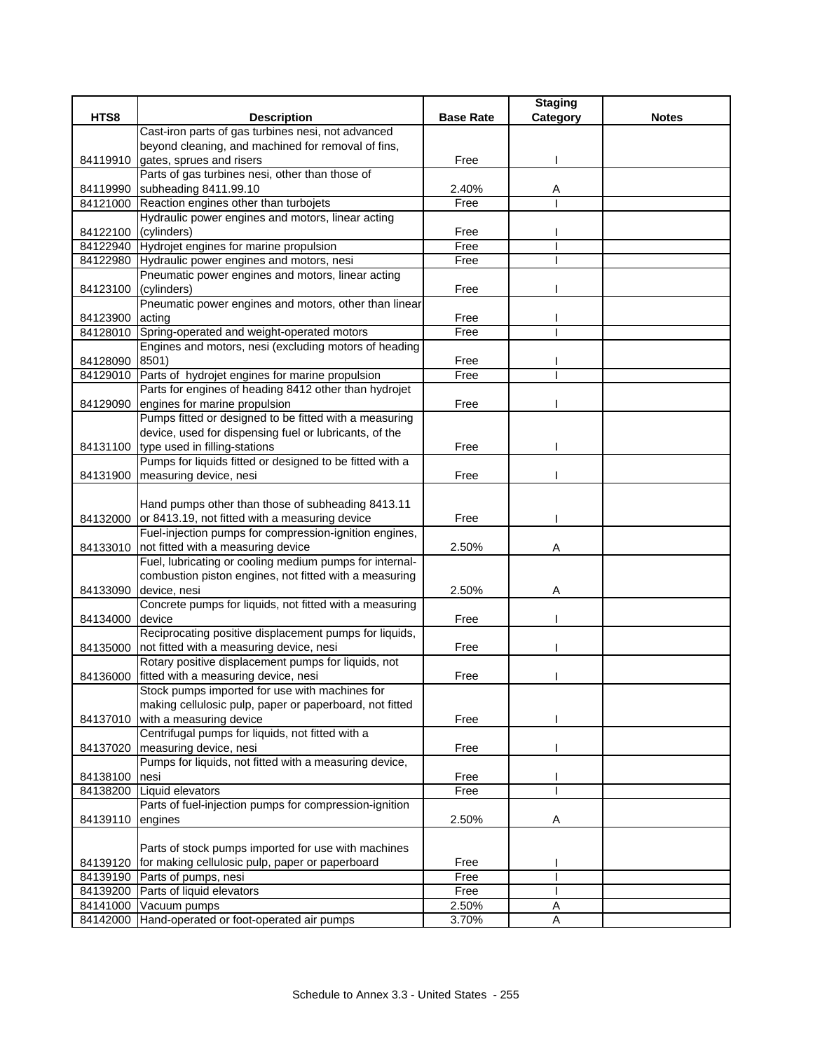|                      |                                                            |                  | <b>Staging</b> |              |
|----------------------|------------------------------------------------------------|------------------|----------------|--------------|
| HTS8                 | <b>Description</b>                                         | <b>Base Rate</b> | Category       | <b>Notes</b> |
|                      | Cast-iron parts of gas turbines nesi, not advanced         |                  |                |              |
|                      | beyond cleaning, and machined for removal of fins,         |                  |                |              |
|                      | 84119910 gates, sprues and risers                          | Free             |                |              |
|                      | Parts of gas turbines nesi, other than those of            |                  |                |              |
| 84119990             | subheading 8411.99.10                                      | 2.40%            | Α              |              |
|                      | 84121000 Reaction engines other than turbojets             | Free             |                |              |
|                      | Hydraulic power engines and motors, linear acting          |                  |                |              |
| 84122100 (cylinders) |                                                            | Free             |                |              |
|                      | 84122940 Hydrojet engines for marine propulsion            | Free             |                |              |
|                      | 84122980 Hydraulic power engines and motors, nesi          | Free             |                |              |
|                      | Pneumatic power engines and motors, linear acting          |                  |                |              |
| 84123100             | (cylinders)                                                | Free             |                |              |
|                      | Pneumatic power engines and motors, other than linear      |                  |                |              |
| 84123900 acting      | Spring-operated and weight-operated motors                 | Free<br>Free     |                |              |
| 84128010             | Engines and motors, nesi (excluding motors of heading      |                  |                |              |
| 84128090 8501)       |                                                            | Free             |                |              |
| 84129010             | Parts of hydrojet engines for marine propulsion            | Free             |                |              |
|                      | Parts for engines of heading 8412 other than hydrojet      |                  |                |              |
| 84129090             | engines for marine propulsion                              | Free             |                |              |
|                      | Pumps fitted or designed to be fitted with a measuring     |                  |                |              |
|                      | device, used for dispensing fuel or lubricants, of the     |                  |                |              |
|                      | 84131100 type used in filling-stations                     | Free             |                |              |
|                      | Pumps for liquids fitted or designed to be fitted with a   |                  |                |              |
|                      | 84131900 measuring device, nesi                            | Free             |                |              |
|                      |                                                            |                  |                |              |
|                      | Hand pumps other than those of subheading 8413.11          |                  |                |              |
|                      | 84132000 or 8413.19, not fitted with a measuring device    | Free             |                |              |
|                      | Fuel-injection pumps for compression-ignition engines,     |                  |                |              |
| 84133010             | not fitted with a measuring device                         | 2.50%            | Α              |              |
|                      | Fuel, lubricating or cooling medium pumps for internal-    |                  |                |              |
|                      | combustion piston engines, not fitted with a measuring     |                  |                |              |
| 84133090             | device, nesi                                               | 2.50%            | Α              |              |
|                      | Concrete pumps for liquids, not fitted with a measuring    |                  |                |              |
| 84134000             | device                                                     | Free             |                |              |
|                      | Reciprocating positive displacement pumps for liquids,     |                  |                |              |
| 84135000             | not fitted with a measuring device, nesi                   | Free             |                |              |
|                      | Rotary positive displacement pumps for liquids, not        |                  |                |              |
| 84136000             | fitted with a measuring device, nesi                       | Free             |                |              |
|                      | Stock pumps imported for use with machines for             |                  |                |              |
|                      | making cellulosic pulp, paper or paperboard, not fitted    |                  |                |              |
| 84137010             | with a measuring device                                    | Free             |                |              |
|                      | Centrifugal pumps for liquids, not fitted with a           |                  |                |              |
|                      | 84137020 measuring device, nesi                            | Free             |                |              |
|                      | Pumps for liquids, not fitted with a measuring device,     |                  |                |              |
| 84138100             | nesi                                                       | Free             |                |              |
|                      | 84138200 Liquid elevators                                  | Free             |                |              |
|                      | Parts of fuel-injection pumps for compression-ignition     |                  |                |              |
| 84139110             | engines                                                    | 2.50%            | Α              |              |
|                      |                                                            |                  |                |              |
|                      | Parts of stock pumps imported for use with machines        |                  |                |              |
| 84139120             | for making cellulosic pulp, paper or paperboard            | Free<br>Free     |                |              |
| 84139190             | Parts of pumps, nesi<br>84139200 Parts of liquid elevators | Free             |                |              |
| 84141000             | Vacuum pumps                                               | 2.50%            | Α              |              |
| 84142000             | Hand-operated or foot-operated air pumps                   | 3.70%            | Α              |              |
|                      |                                                            |                  |                |              |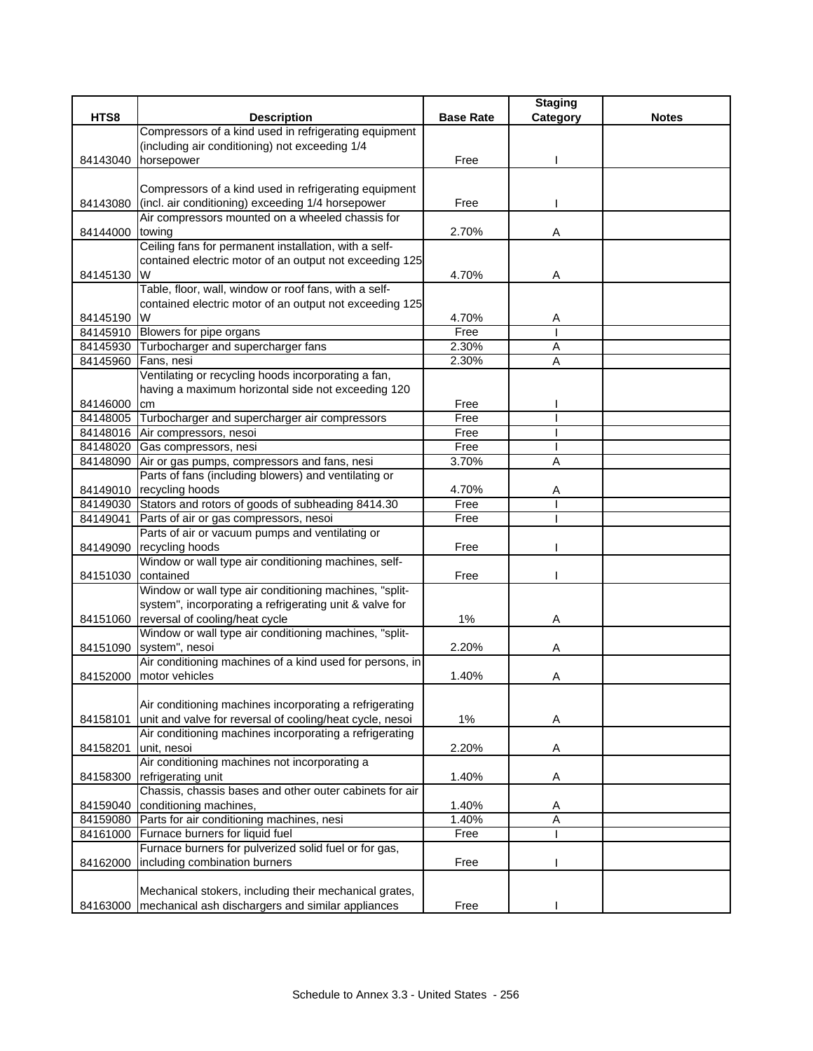|          |                                                                                                   |                  | <b>Staging</b> |              |
|----------|---------------------------------------------------------------------------------------------------|------------------|----------------|--------------|
| HTS8     | <b>Description</b>                                                                                | <b>Base Rate</b> | Category       | <b>Notes</b> |
|          | Compressors of a kind used in refrigerating equipment                                             |                  |                |              |
|          | (including air conditioning) not exceeding 1/4                                                    |                  |                |              |
| 84143040 | horsepower                                                                                        | Free             |                |              |
|          |                                                                                                   |                  |                |              |
|          | Compressors of a kind used in refrigerating equipment                                             |                  |                |              |
| 84143080 | (incl. air conditioning) exceeding 1/4 horsepower                                                 | Free             |                |              |
|          | Air compressors mounted on a wheeled chassis for                                                  |                  |                |              |
| 84144000 | towing                                                                                            | 2.70%            | Α              |              |
|          | Ceiling fans for permanent installation, with a self-                                             |                  |                |              |
|          | contained electric motor of an output not exceeding 125                                           |                  |                |              |
| 84145130 | W                                                                                                 | 4.70%            | Α              |              |
|          | Table, floor, wall, window or roof fans, with a self-                                             |                  |                |              |
|          | contained electric motor of an output not exceeding 125                                           |                  |                |              |
| 84145190 | W                                                                                                 | 4.70%            | Α              |              |
|          | 84145910 Blowers for pipe organs                                                                  | Free             |                |              |
|          | 84145930 Turbocharger and supercharger fans                                                       | 2.30%            | Α              |              |
| 84145960 | Fans, nesi                                                                                        | 2.30%            | A              |              |
|          | Ventilating or recycling hoods incorporating a fan,                                               |                  |                |              |
|          | having a maximum horizontal side not exceeding 120                                                |                  |                |              |
| 84146000 | cm                                                                                                | Free             |                |              |
|          | 84148005 Turbocharger and supercharger air compressors                                            | Free             |                |              |
|          | 84148016 Air compressors, nesoi                                                                   | Free             |                |              |
|          | 84148020 Gas compressors, nesi                                                                    | Free             |                |              |
|          | 84148090 Air or gas pumps, compressors and fans, nesi                                             | 3.70%            | A              |              |
|          | Parts of fans (including blowers) and ventilating or                                              |                  |                |              |
|          | 84149010 recycling hoods                                                                          | 4.70%            | Α              |              |
|          | 84149030 Stators and rotors of goods of subheading 8414.30                                        | Free             |                |              |
| 84149041 | Parts of air or gas compressors, nesoi                                                            | Free             |                |              |
|          | Parts of air or vacuum pumps and ventilating or                                                   |                  |                |              |
|          | 84149090 recycling hoods                                                                          | Free             |                |              |
|          | Window or wall type air conditioning machines, self-                                              |                  |                |              |
| 84151030 | contained                                                                                         | Free             |                |              |
|          | Window or wall type air conditioning machines, "split-                                            |                  |                |              |
|          | system", incorporating a refrigerating unit & valve for                                           | 1%               |                |              |
|          | 84151060 reversal of cooling/heat cycle<br>Window or wall type air conditioning machines, "split- |                  | Α              |              |
|          | 84151090 system", nesoi                                                                           | 2.20%            |                |              |
|          | Air conditioning machines of a kind used for persons, in                                          |                  | Α              |              |
|          | 84152000 motor vehicles                                                                           | 1.40%            | Α              |              |
|          |                                                                                                   |                  |                |              |
|          | Air conditioning machines incorporating a refrigerating                                           |                  |                |              |
| 84158101 | unit and valve for reversal of cooling/heat cycle, nesoi                                          | $1\%$            | Α              |              |
|          | Air conditioning machines incorporating a refrigerating                                           |                  |                |              |
| 84158201 | unit, nesoi                                                                                       | 2.20%            | Α              |              |
|          | Air conditioning machines not incorporating a                                                     |                  |                |              |
| 84158300 | refrigerating unit                                                                                | 1.40%            | A              |              |
|          | Chassis, chassis bases and other outer cabinets for air                                           |                  |                |              |
| 84159040 | conditioning machines,                                                                            | 1.40%            | Α              |              |
|          | 84159080 Parts for air conditioning machines, nesi                                                | 1.40%            | A              |              |
| 84161000 | Furnace burners for liquid fuel                                                                   | Free             |                |              |
|          | Furnace burners for pulverized solid fuel or for gas,                                             |                  |                |              |
| 84162000 | including combination burners                                                                     | Free             |                |              |
|          |                                                                                                   |                  |                |              |
|          | Mechanical stokers, including their mechanical grates,                                            |                  |                |              |
|          | 84163000 mechanical ash dischargers and similar appliances                                        | Free             |                |              |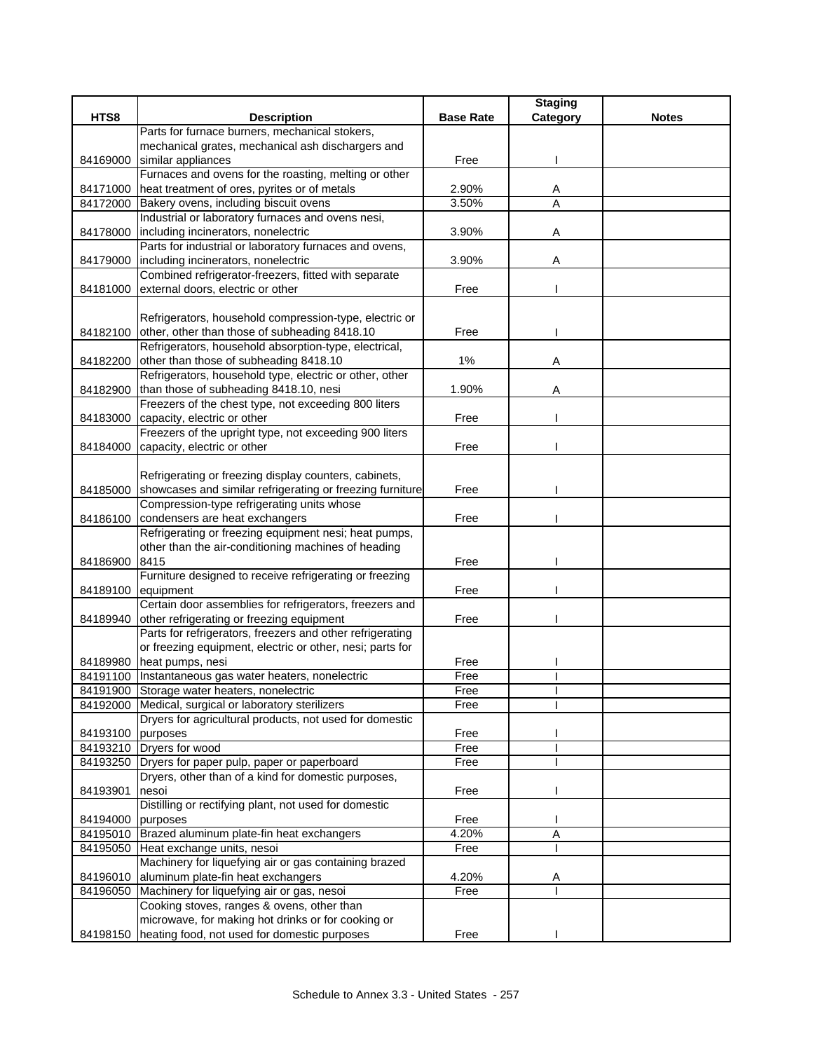|                   |                                                                                     |                  | <b>Staging</b> |              |
|-------------------|-------------------------------------------------------------------------------------|------------------|----------------|--------------|
| HTS8              | <b>Description</b>                                                                  | <b>Base Rate</b> | Category       | <b>Notes</b> |
|                   | Parts for furnace burners, mechanical stokers,                                      |                  |                |              |
|                   | mechanical grates, mechanical ash dischargers and                                   |                  |                |              |
| 84169000          | similar appliances                                                                  | Free             |                |              |
|                   | Furnaces and ovens for the roasting, melting or other                               |                  |                |              |
| 84171000          | heat treatment of ores, pyrites or of metals                                        | 2.90%            | Α              |              |
| 84172000          | Bakery ovens, including biscuit ovens                                               | 3.50%            | A              |              |
|                   | Industrial or laboratory furnaces and ovens nesi,                                   |                  |                |              |
| 84178000          | including incinerators, nonelectric                                                 | 3.90%            | Α              |              |
|                   | Parts for industrial or laboratory furnaces and ovens,                              |                  |                |              |
| 84179000          | including incinerators, nonelectric                                                 | 3.90%            | Α              |              |
|                   | Combined refrigerator-freezers, fitted with separate                                |                  |                |              |
| 84181000          | external doors, electric or other                                                   | Free             |                |              |
|                   |                                                                                     |                  |                |              |
|                   | Refrigerators, household compression-type, electric or                              |                  |                |              |
|                   | 84182100 other, other than those of subheading 8418.10                              | Free             |                |              |
|                   | Refrigerators, household absorption-type, electrical,                               |                  |                |              |
| 84182200          | other than those of subheading 8418.10                                              | $1\%$            | Α              |              |
|                   | Refrigerators, household type, electric or other, other                             |                  |                |              |
|                   | 84182900 than those of subheading 8418.10, nesi                                     | 1.90%            | Α              |              |
|                   | Freezers of the chest type, not exceeding 800 liters                                |                  |                |              |
| 84183000          | capacity, electric or other                                                         | Free             |                |              |
|                   | Freezers of the upright type, not exceeding 900 liters                              |                  |                |              |
| 84184000          | capacity, electric or other                                                         | Free             |                |              |
|                   |                                                                                     |                  |                |              |
|                   | Refrigerating or freezing display counters, cabinets,                               |                  |                |              |
| 84185000          | showcases and similar refrigerating or freezing furniture                           | Free             |                |              |
|                   | Compression-type refrigerating units whose                                          |                  |                |              |
| 84186100          | condensers are heat exchangers                                                      | Free             |                |              |
|                   | Refrigerating or freezing equipment nesi; heat pumps,                               |                  |                |              |
|                   | other than the air-conditioning machines of heading                                 |                  |                |              |
| 84186900          | 8415                                                                                | Free             |                |              |
|                   | Furniture designed to receive refrigerating or freezing                             |                  |                |              |
| 84189100          | equipment                                                                           | Free             |                |              |
|                   | Certain door assemblies for refrigerators, freezers and                             |                  |                |              |
| 84189940          | other refrigerating or freezing equipment                                           | Free             |                |              |
|                   | Parts for refrigerators, freezers and other refrigerating                           |                  |                |              |
|                   | or freezing equipment, electric or other, nesi; parts for                           |                  |                |              |
|                   | 84189980 heat pumps, nesi                                                           | Free             |                |              |
|                   | 84191100 Instantaneous gas water heaters, nonelectric                               | Free             |                |              |
|                   | 84191900 Storage water heaters, nonelectric                                         | Free             |                |              |
|                   | 84192000 Medical, surgical or laboratory sterilizers                                | Free             |                |              |
|                   | Dryers for agricultural products, not used for domestic                             |                  |                |              |
| 84193100 purposes |                                                                                     | Free             |                |              |
|                   | 84193210 Dryers for wood                                                            | Free             |                |              |
|                   | 84193250 Dryers for paper pulp, paper or paperboard                                 | Free             |                |              |
|                   | Dryers, other than of a kind for domestic purposes,                                 |                  |                |              |
| 84193901          | nesoi                                                                               | Free             |                |              |
|                   | Distilling or rectifying plant, not used for domestic                               |                  |                |              |
| 84194000 purposes |                                                                                     | Free             |                |              |
|                   | 84195010 Brazed aluminum plate-fin heat exchangers                                  | 4.20%            | A              |              |
| 84195050          | Heat exchange units, nesoi<br>Machinery for liquefying air or gas containing brazed | Free             |                |              |
|                   | aluminum plate-fin heat exchangers                                                  |                  |                |              |
| 84196010          |                                                                                     | 4.20%            | Α              |              |
|                   | 84196050 Machinery for liquefying air or gas, nesoi                                 | Free             |                |              |
|                   | Cooking stoves, ranges & ovens, other than                                          |                  |                |              |
|                   | microwave, for making hot drinks or for cooking or                                  |                  |                |              |
|                   | 84198150 heating food, not used for domestic purposes                               | Free             |                |              |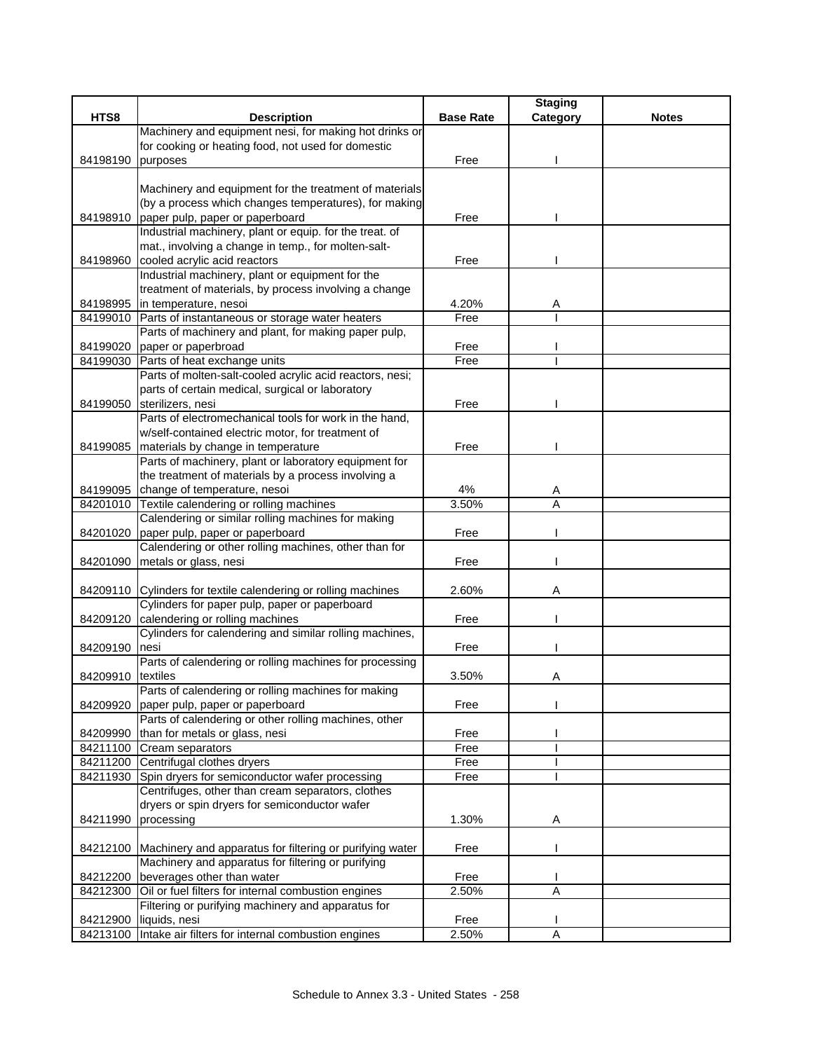|                   |                                                                   |                  | <b>Staging</b> |              |
|-------------------|-------------------------------------------------------------------|------------------|----------------|--------------|
| HTS8              | <b>Description</b>                                                | <b>Base Rate</b> | Category       | <b>Notes</b> |
|                   | Machinery and equipment nesi, for making hot drinks or            |                  |                |              |
|                   | for cooking or heating food, not used for domestic                |                  |                |              |
| 84198190          | purposes                                                          | Free             |                |              |
|                   |                                                                   |                  |                |              |
|                   | Machinery and equipment for the treatment of materials            |                  |                |              |
|                   | (by a process which changes temperatures), for making             |                  |                |              |
|                   | 84198910 paper pulp, paper or paperboard                          | Free             |                |              |
|                   | Industrial machinery, plant or equip. for the treat. of           |                  |                |              |
|                   | mat., involving a change in temp., for molten-salt-               |                  |                |              |
| 84198960          | cooled acrylic acid reactors                                      | Free             |                |              |
|                   | Industrial machinery, plant or equipment for the                  |                  |                |              |
|                   | treatment of materials, by process involving a change             |                  |                |              |
|                   | 84198995 in temperature, nesoi                                    | 4.20%            | Α              |              |
|                   | 84199010 Parts of instantaneous or storage water heaters          | Free             |                |              |
|                   | Parts of machinery and plant, for making paper pulp,              |                  |                |              |
| 84199020          | paper or paperbroad                                               | Free             |                |              |
|                   | 84199030 Parts of heat exchange units                             | Free             |                |              |
|                   | Parts of molten-salt-cooled acrylic acid reactors, nesi;          |                  |                |              |
|                   | parts of certain medical, surgical or laboratory                  |                  |                |              |
|                   | 84199050 sterilizers, nesi                                        | Free             |                |              |
|                   | Parts of electromechanical tools for work in the hand,            |                  |                |              |
|                   | w/self-contained electric motor, for treatment of                 |                  |                |              |
|                   | 84199085 materials by change in temperature                       | Free             |                |              |
|                   | Parts of machinery, plant or laboratory equipment for             |                  |                |              |
|                   | the treatment of materials by a process involving a               |                  |                |              |
|                   | 84199095 change of temperature, nesoi                             | 4%               | A              |              |
|                   | 84201010 Textile calendering or rolling machines                  | 3.50%            | A              |              |
|                   | Calendering or similar rolling machines for making                |                  |                |              |
|                   | 84201020 paper pulp, paper or paperboard                          | Free             |                |              |
|                   | Calendering or other rolling machines, other than for             |                  |                |              |
|                   |                                                                   |                  |                |              |
|                   | 84201090 metals or glass, nesi                                    | Free             |                |              |
|                   | 84209110 Cylinders for textile calendering or rolling machines    | 2.60%            | Α              |              |
|                   | Cylinders for paper pulp, paper or paperboard                     |                  |                |              |
|                   | 84209120 calendering or rolling machines                          | Free             |                |              |
|                   | Cylinders for calendering and similar rolling machines,           |                  |                |              |
| 84209190 nesi     |                                                                   | Free             |                |              |
|                   | Parts of calendering or rolling machines for processing           |                  |                |              |
|                   |                                                                   |                  |                |              |
| 84209910 textiles | Parts of calendering or rolling machines for making               | 3.50%            | Α              |              |
|                   |                                                                   |                  |                |              |
|                   | 84209920 paper pulp, paper or paperboard                          | Free             |                |              |
|                   | Parts of calendering or other rolling machines, other             |                  |                |              |
| 84209990          | than for metals or glass, nesi                                    | Free             |                |              |
|                   | 84211100 Cream separators                                         | Free             |                |              |
|                   | 84211200 Centrifugal clothes dryers                               | Free             |                |              |
|                   | 84211930 Spin dryers for semiconductor wafer processing           | Free             |                |              |
|                   | Centrifuges, other than cream separators, clothes                 |                  |                |              |
|                   | dryers or spin dryers for semiconductor wafer                     |                  |                |              |
| 84211990          | processing                                                        | 1.30%            | A              |              |
|                   |                                                                   |                  |                |              |
|                   | 84212100 Machinery and apparatus for filtering or purifying water | Free             |                |              |
|                   | Machinery and apparatus for filtering or purifying                |                  |                |              |
| 84212200          | beverages other than water                                        | Free             |                |              |
|                   | 84212300 Oil or fuel filters for internal combustion engines      | 2.50%            | Α              |              |
|                   | Filtering or purifying machinery and apparatus for                |                  |                |              |
| 84212900          | liquids, nesi                                                     | Free             |                |              |
|                   | 84213100 Intake air filters for internal combustion engines       | 2.50%            | A              |              |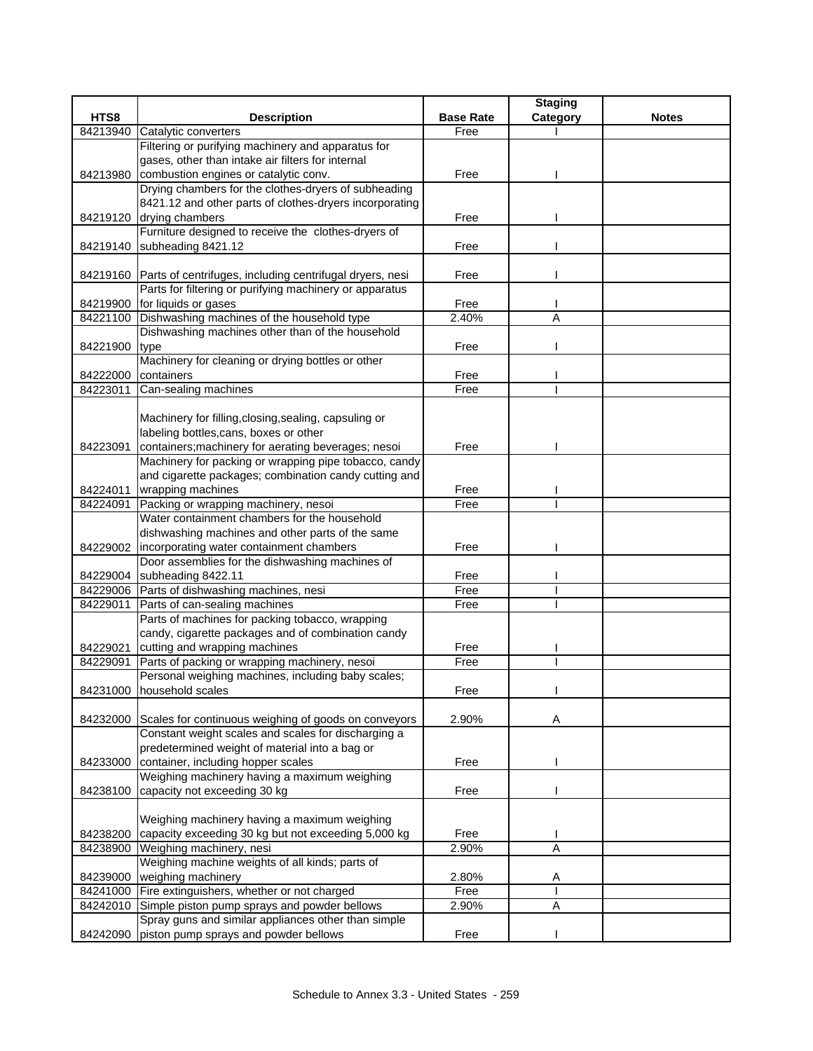|          |                                                                             |                  | <b>Staging</b> |              |
|----------|-----------------------------------------------------------------------------|------------------|----------------|--------------|
| HTS8     | <b>Description</b>                                                          | <b>Base Rate</b> | Category       | <b>Notes</b> |
| 84213940 | Catalytic converters                                                        | Free             |                |              |
|          | Filtering or purifying machinery and apparatus for                          |                  |                |              |
|          | gases, other than intake air filters for internal                           |                  |                |              |
| 84213980 | combustion engines or catalytic conv.                                       | Free             |                |              |
|          | Drying chambers for the clothes-dryers of subheading                        |                  |                |              |
|          | 8421.12 and other parts of clothes-dryers incorporating                     |                  |                |              |
|          | 84219120 drying chambers                                                    | Free             |                |              |
|          | Furniture designed to receive the clothes-dryers of                         |                  |                |              |
| 84219140 | subheading 8421.12                                                          | Free             |                |              |
|          |                                                                             |                  |                |              |
|          | 84219160 Parts of centrifuges, including centrifugal dryers, nesi           | Free             |                |              |
|          | Parts for filtering or purifying machinery or apparatus                     |                  |                |              |
| 84219900 | for liquids or gases                                                        | Free             |                |              |
| 84221100 | Dishwashing machines of the household type                                  | 2.40%            | Α              |              |
|          | Dishwashing machines other than of the household                            |                  |                |              |
| 84221900 | type                                                                        | Free             |                |              |
|          | Machinery for cleaning or drying bottles or other                           |                  |                |              |
| 84222000 | containers                                                                  | Free             |                |              |
| 84223011 | Can-sealing machines                                                        | Free             |                |              |
|          |                                                                             |                  |                |              |
|          | Machinery for filling, closing, sealing, capsuling or                       |                  |                |              |
|          | labeling bottles, cans, boxes or other                                      |                  |                |              |
| 84223091 | containers; machinery for aerating beverages; nesoi                         | Free             |                |              |
|          | Machinery for packing or wrapping pipe tobacco, candy                       |                  |                |              |
|          | and cigarette packages; combination candy cutting and                       |                  |                |              |
| 84224011 | wrapping machines                                                           | Free             |                |              |
| 84224091 | Packing or wrapping machinery, nesoi                                        | Free             |                |              |
|          | Water containment chambers for the household                                |                  |                |              |
|          | dishwashing machines and other parts of the same                            |                  |                |              |
|          | 84229002   incorporating water containment chambers                         | Free             |                |              |
|          | Door assemblies for the dishwashing machines of                             |                  |                |              |
|          | 84229004 subheading 8422.11<br>84229006 Parts of dishwashing machines, nesi | Free<br>Free     |                |              |
| 84229011 | Parts of can-sealing machines                                               | Free             |                |              |
|          | Parts of machines for packing tobacco, wrapping                             |                  |                |              |
|          | candy, cigarette packages and of combination candy                          |                  |                |              |
| 84229021 | cutting and wrapping machines                                               | Free             |                |              |
| 84229091 | Parts of packing or wrapping machinery, nesoi                               | Free             |                |              |
|          | Personal weighing machines, including baby scales;                          |                  |                |              |
|          | 84231000 household scales                                                   | Free             |                |              |
|          |                                                                             |                  |                |              |
| 84232000 | Scales for continuous weighing of goods on conveyors                        | 2.90%            | Α              |              |
|          | Constant weight scales and scales for discharging a                         |                  |                |              |
|          | predetermined weight of material into a bag or                              |                  |                |              |
| 84233000 | container, including hopper scales                                          | Free             |                |              |
|          | Weighing machinery having a maximum weighing                                |                  |                |              |
| 84238100 | capacity not exceeding 30 kg                                                | Free             |                |              |
|          |                                                                             |                  |                |              |
|          | Weighing machinery having a maximum weighing                                |                  |                |              |
| 84238200 | capacity exceeding 30 kg but not exceeding 5,000 kg                         | Free             |                |              |
| 84238900 | Weighing machinery, nesi                                                    | 2.90%            | $\overline{A}$ |              |
|          | Weighing machine weights of all kinds; parts of                             |                  |                |              |
| 84239000 | weighing machinery                                                          | 2.80%            | A              |              |
| 84241000 | Fire extinguishers, whether or not charged                                  | Free             |                |              |
| 84242010 | Simple piston pump sprays and powder bellows                                | 2.90%            | A              |              |
|          | Spray guns and similar appliances other than simple                         |                  |                |              |
| 84242090 | piston pump sprays and powder bellows                                       | Free             |                |              |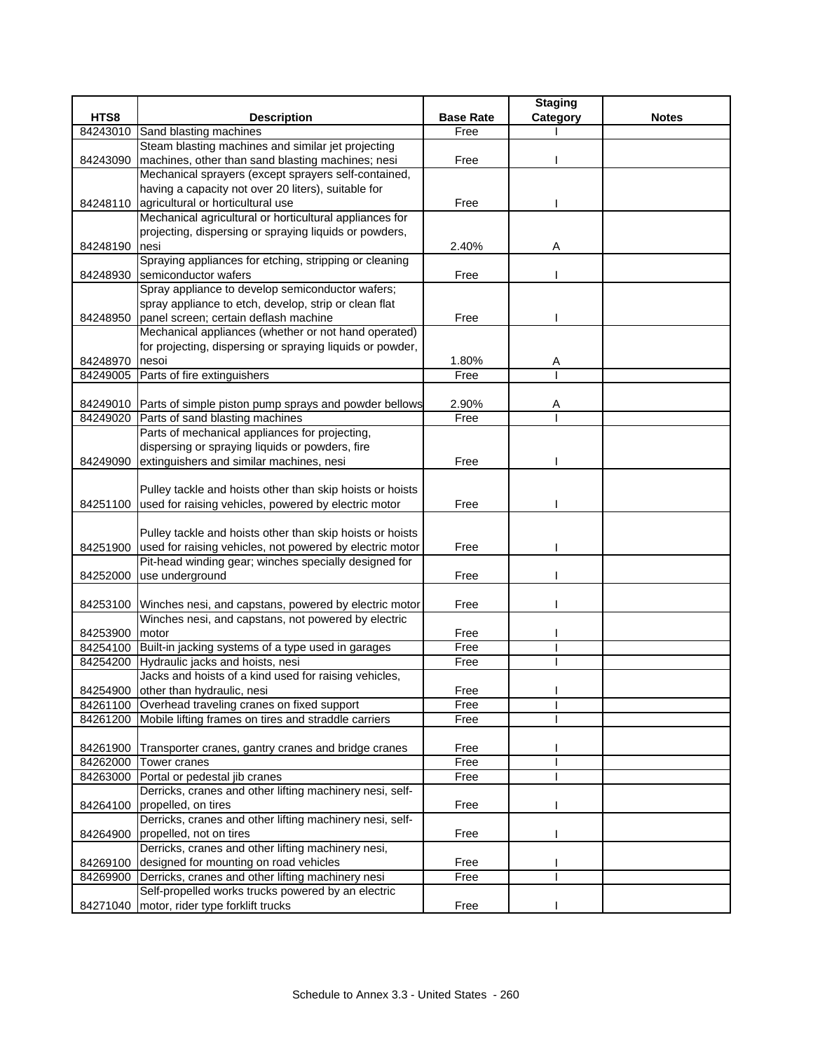|          |                                                                   |                  | <b>Staging</b> |              |
|----------|-------------------------------------------------------------------|------------------|----------------|--------------|
| HTS8     | <b>Description</b>                                                | <b>Base Rate</b> | Category       | <b>Notes</b> |
| 84243010 | Sand blasting machines                                            | Free             |                |              |
|          | Steam blasting machines and similar jet projecting                |                  |                |              |
| 84243090 | machines, other than sand blasting machines; nesi                 | Free             |                |              |
|          | Mechanical sprayers (except sprayers self-contained,              |                  |                |              |
|          | having a capacity not over 20 liters), suitable for               |                  |                |              |
|          | 84248110 agricultural or horticultural use                        | Free             |                |              |
|          | Mechanical agricultural or horticultural appliances for           |                  |                |              |
|          | projecting, dispersing or spraying liquids or powders,            |                  |                |              |
| 84248190 | nesi                                                              | 2.40%            | Α              |              |
|          | Spraying appliances for etching, stripping or cleaning            |                  |                |              |
| 84248930 | semiconductor wafers                                              | Free             |                |              |
|          | Spray appliance to develop semiconductor wafers;                  |                  |                |              |
|          | spray appliance to etch, develop, strip or clean flat             |                  |                |              |
| 84248950 | panel screen; certain deflash machine                             | Free             |                |              |
|          | Mechanical appliances (whether or not hand operated)              |                  |                |              |
|          | for projecting, dispersing or spraying liquids or powder,         |                  |                |              |
| 84248970 | nesoi                                                             | 1.80%            | Α              |              |
| 84249005 | Parts of fire extinguishers                                       | Free             |                |              |
|          |                                                                   |                  |                |              |
|          | 84249010 Parts of simple piston pump sprays and powder bellows    | 2.90%            | Α              |              |
|          | 84249020 Parts of sand blasting machines                          | Free             |                |              |
|          | Parts of mechanical appliances for projecting,                    |                  |                |              |
|          | dispersing or spraying liquids or powders, fire                   |                  |                |              |
| 84249090 | extinguishers and similar machines, nesi                          | Free             |                |              |
|          |                                                                   |                  |                |              |
|          | Pulley tackle and hoists other than skip hoists or hoists         |                  |                |              |
|          | 84251100 used for raising vehicles, powered by electric motor     | Free             |                |              |
|          | Pulley tackle and hoists other than skip hoists or hoists         |                  |                |              |
|          | 84251900 used for raising vehicles, not powered by electric motor | Free             |                |              |
|          | Pit-head winding gear; winches specially designed for             |                  |                |              |
| 84252000 | use underground                                                   | Free             |                |              |
|          |                                                                   |                  |                |              |
|          | 84253100 Winches nesi, and capstans, powered by electric motor    | Free             |                |              |
|          | Winches nesi, and capstans, not powered by electric               |                  |                |              |
| 84253900 | motor                                                             | Free             |                |              |
|          | 84254100 Built-in jacking systems of a type used in garages       | Free             |                |              |
|          | 84254200 Hydraulic jacks and hoists, nesi                         | Free             |                |              |
|          | Jacks and hoists of a kind used for raising vehicles,             |                  |                |              |
|          | 84254900 other than hydraulic, nesi                               | Free             |                |              |
|          | 84261100 Overhead traveling cranes on fixed support               | Free             |                |              |
|          | 84261200 Mobile lifting frames on tires and straddle carriers     | Free             |                |              |
|          |                                                                   |                  |                |              |
|          | 84261900 Transporter cranes, gantry cranes and bridge cranes      | Free             |                |              |
|          | 84262000 Tower cranes                                             | Free             |                |              |
|          | 84263000 Portal or pedestal jib cranes                            | Free             |                |              |
|          | Derricks, cranes and other lifting machinery nesi, self-          |                  |                |              |
| 84264100 | propelled, on tires                                               | Free             |                |              |
|          | Derricks, cranes and other lifting machinery nesi, self-          |                  |                |              |
| 84264900 | propelled, not on tires                                           | Free             |                |              |
|          | Derricks, cranes and other lifting machinery nesi,                |                  |                |              |
| 84269100 | designed for mounting on road vehicles                            | Free             |                |              |
| 84269900 | Derricks, cranes and other lifting machinery nesi                 | Free             |                |              |
|          | Self-propelled works trucks powered by an electric                |                  |                |              |
|          | 84271040   motor, rider type forklift trucks                      | Free             |                |              |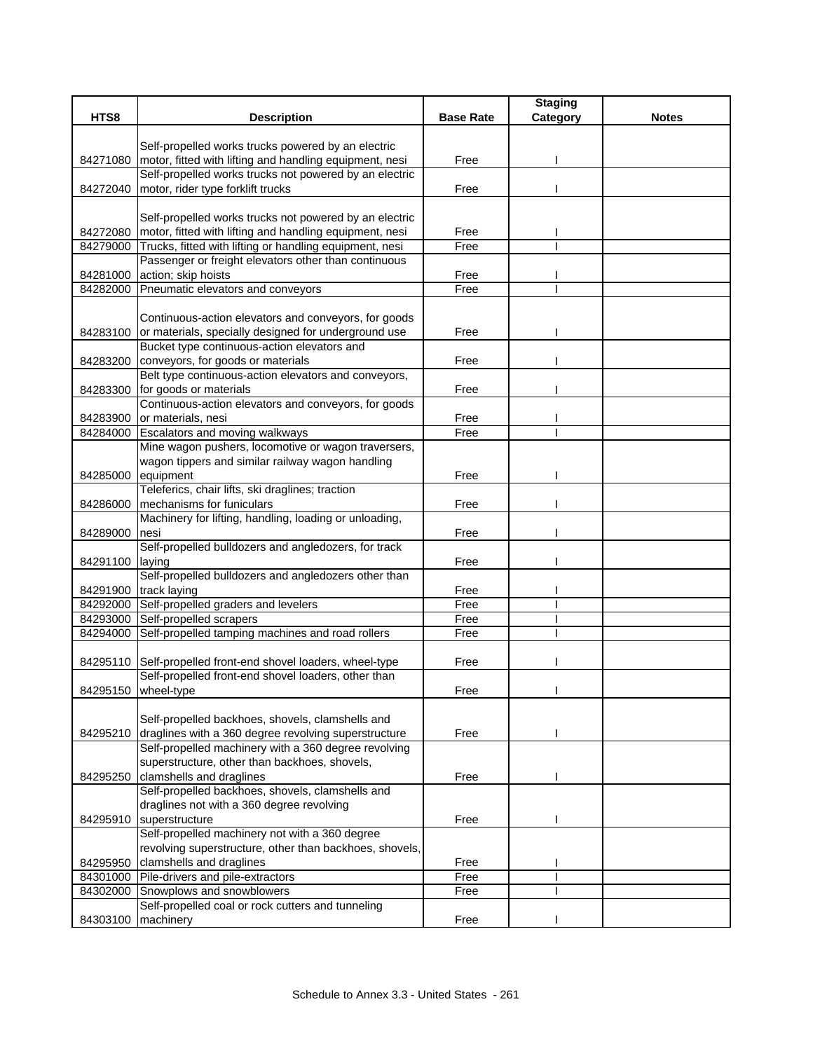|          |                                                                                                                   |                  | <b>Staging</b> |              |
|----------|-------------------------------------------------------------------------------------------------------------------|------------------|----------------|--------------|
| HTS8     | <b>Description</b>                                                                                                | <b>Base Rate</b> | Category       | <b>Notes</b> |
|          |                                                                                                                   |                  |                |              |
|          | Self-propelled works trucks powered by an electric                                                                |                  |                |              |
| 84271080 | motor, fitted with lifting and handling equipment, nesi                                                           | Free             |                |              |
|          | Self-propelled works trucks not powered by an electric                                                            |                  |                |              |
| 84272040 | motor, rider type forklift trucks                                                                                 | Free             |                |              |
|          |                                                                                                                   |                  |                |              |
| 84272080 | Self-propelled works trucks not powered by an electric<br>motor, fitted with lifting and handling equipment, nesi | Free             |                |              |
| 84279000 | Trucks, fitted with lifting or handling equipment, nesi                                                           | Free             |                |              |
|          | Passenger or freight elevators other than continuous                                                              |                  |                |              |
| 84281000 | action; skip hoists                                                                                               | Free             |                |              |
| 84282000 | Pneumatic elevators and conveyors                                                                                 | Free             |                |              |
|          |                                                                                                                   |                  |                |              |
|          | Continuous-action elevators and conveyors, for goods                                                              |                  |                |              |
| 84283100 | or materials, specially designed for underground use                                                              | Free             |                |              |
|          | Bucket type continuous-action elevators and                                                                       |                  |                |              |
| 84283200 | conveyors, for goods or materials                                                                                 | Free             |                |              |
|          | Belt type continuous-action elevators and conveyors,                                                              |                  |                |              |
| 84283300 | for goods or materials                                                                                            | Free             |                |              |
|          | Continuous-action elevators and conveyors, for goods                                                              |                  |                |              |
| 84283900 | or materials, nesi                                                                                                | Free             |                |              |
| 84284000 | <b>Escalators and moving walkways</b>                                                                             | Free             |                |              |
|          | Mine wagon pushers, locomotive or wagon traversers,                                                               |                  |                |              |
|          | wagon tippers and similar railway wagon handling                                                                  |                  |                |              |
| 84285000 | equipment                                                                                                         | Free             |                |              |
|          | Teleferics, chair lifts, ski draglines; traction                                                                  |                  |                |              |
| 84286000 | mechanisms for funiculars                                                                                         | Free             |                |              |
|          | Machinery for lifting, handling, loading or unloading,                                                            |                  |                |              |
| 84289000 | nesi                                                                                                              | Free             |                |              |
|          | Self-propelled bulldozers and angledozers, for track                                                              |                  |                |              |
| 84291100 | laying                                                                                                            | Free             |                |              |
|          | Self-propelled bulldozers and angledozers other than                                                              |                  |                |              |
| 84291900 | track laying                                                                                                      | Free             |                |              |
|          | 84292000 Self-propelled graders and levelers                                                                      | Free             |                |              |
|          | 84293000 Self-propelled scrapers                                                                                  | Free             |                |              |
| 84294000 | Self-propelled tamping machines and road rollers                                                                  | Free             |                |              |
|          | 84295110 Self-propelled front-end shovel loaders, wheel-type                                                      | Free             |                |              |
|          | Self-propelled front-end shovel loaders, other than                                                               |                  |                |              |
|          | 84295150 wheel-type                                                                                               | Free             |                |              |
|          |                                                                                                                   |                  |                |              |
|          | Self-propelled backhoes, shovels, clamshells and                                                                  |                  |                |              |
| 84295210 | draglines with a 360 degree revolving superstructure                                                              | Free             |                |              |
|          | Self-propelled machinery with a 360 degree revolving                                                              |                  |                |              |
|          | superstructure, other than backhoes, shovels,                                                                     |                  |                |              |
| 84295250 | clamshells and draglines                                                                                          | Free             |                |              |
|          | Self-propelled backhoes, shovels, clamshells and                                                                  |                  |                |              |
|          | draglines not with a 360 degree revolving                                                                         |                  |                |              |
| 84295910 | superstructure                                                                                                    | Free             |                |              |
|          | Self-propelled machinery not with a 360 degree                                                                    |                  |                |              |
|          | revolving superstructure, other than backhoes, shovels,                                                           |                  |                |              |
| 84295950 | clamshells and draglines                                                                                          | Free             |                |              |
| 84301000 | Pile-drivers and pile-extractors                                                                                  | Free             |                |              |
| 84302000 | Snowplows and snowblowers                                                                                         | Free             |                |              |
|          | Self-propelled coal or rock cutters and tunneling                                                                 |                  |                |              |
| 84303100 | machinery                                                                                                         | Free             |                |              |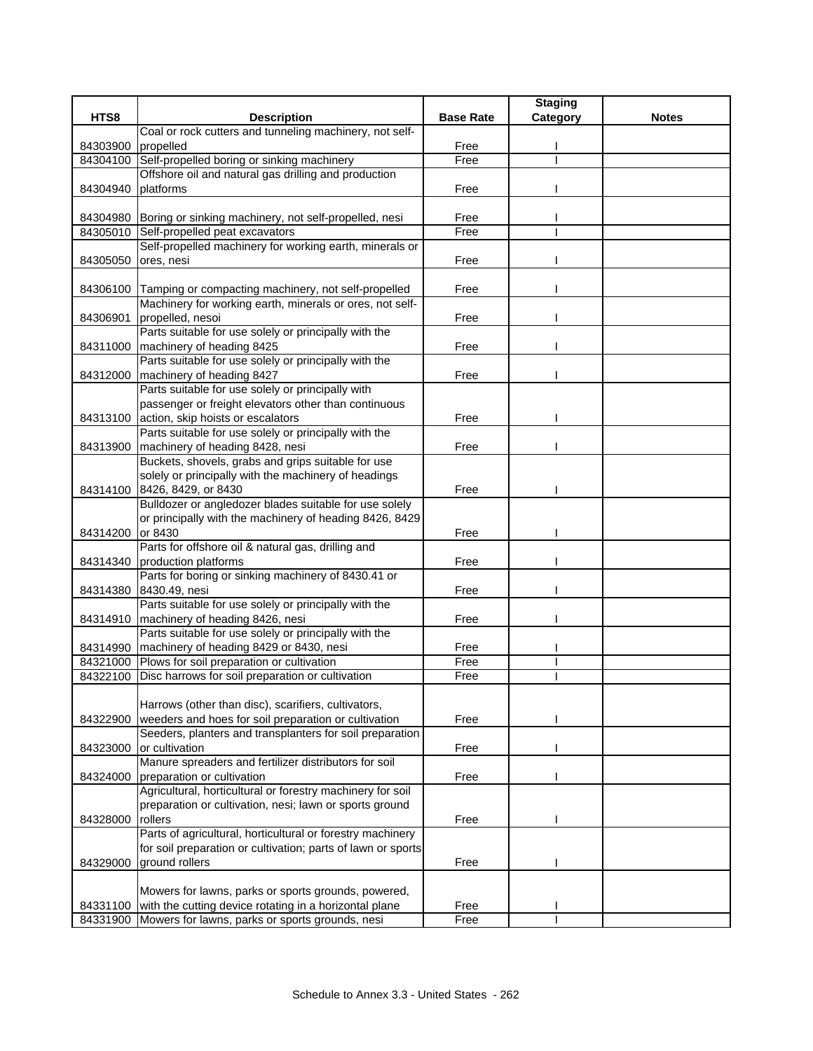|                  |                                                                       |                  | <b>Staging</b> |              |
|------------------|-----------------------------------------------------------------------|------------------|----------------|--------------|
| HTS8             | <b>Description</b>                                                    | <b>Base Rate</b> | Category       | <b>Notes</b> |
|                  | Coal or rock cutters and tunneling machinery, not self-               |                  |                |              |
| 84303900         | propelled                                                             | Free             |                |              |
| 84304100         | Self-propelled boring or sinking machinery                            | Free             |                |              |
|                  | Offshore oil and natural gas drilling and production                  |                  |                |              |
| 84304940         | platforms                                                             | Free             |                |              |
|                  | 84304980 Boring or sinking machinery, not self-propelled, nesi        | Free             |                |              |
| 84305010         | Self-propelled peat excavators                                        | Free             |                |              |
|                  | Self-propelled machinery for working earth, minerals or               |                  |                |              |
| 84305050         | ores, nesi                                                            | Free             |                |              |
|                  |                                                                       |                  |                |              |
|                  | 84306100 Tamping or compacting machinery, not self-propelled          | Free             |                |              |
|                  | Machinery for working earth, minerals or ores, not self-              |                  |                |              |
| 84306901         | propelled, nesoi                                                      | Free             |                |              |
|                  | Parts suitable for use solely or principally with the                 |                  |                |              |
|                  | 84311000 machinery of heading 8425                                    | Free             |                |              |
|                  | Parts suitable for use solely or principally with the                 |                  |                |              |
| 84312000         | machinery of heading 8427                                             | Free             |                |              |
|                  | Parts suitable for use solely or principally with                     |                  |                |              |
|                  | passenger or freight elevators other than continuous                  |                  |                |              |
|                  | 84313100 action, skip hoists or escalators                            | Free             |                |              |
|                  | Parts suitable for use solely or principally with the                 |                  |                |              |
| 84313900         | machinery of heading 8428, nesi                                       | Free             |                |              |
|                  | Buckets, shovels, grabs and grips suitable for use                    |                  |                |              |
|                  | solely or principally with the machinery of headings                  |                  |                |              |
|                  | 84314100 8426, 8429, or 8430                                          | Free             |                |              |
|                  | Bulldozer or angledozer blades suitable for use solely                |                  |                |              |
| 84314200 or 8430 | or principally with the machinery of heading 8426, 8429               | Free             |                |              |
|                  | Parts for offshore oil & natural gas, drilling and                    |                  |                |              |
|                  | 84314340 production platforms                                         | Free             |                |              |
|                  | Parts for boring or sinking machinery of 8430.41 or                   |                  |                |              |
|                  | 84314380 8430.49, nesi                                                | Free             |                |              |
|                  | Parts suitable for use solely or principally with the                 |                  |                |              |
|                  | 84314910   machinery of heading 8426, nesi                            | Free             |                |              |
|                  | Parts suitable for use solely or principally with the                 |                  |                |              |
|                  | 84314990   machinery of heading 8429 or 8430, nesi                    | Free             |                |              |
|                  | 84321000 Plows for soil preparation or cultivation                    | Free             |                |              |
|                  | 84322100 Disc harrows for soil preparation or cultivation             | Free             |                |              |
|                  |                                                                       |                  |                |              |
|                  | Harrows (other than disc), scarifiers, cultivators,                   |                  |                |              |
| 84322900         | weeders and hoes for soil preparation or cultivation                  | Free             |                |              |
|                  | Seeders, planters and transplanters for soil preparation              |                  |                |              |
| 84323000         | or cultivation                                                        | Free             |                |              |
|                  | Manure spreaders and fertilizer distributors for soil                 |                  |                |              |
| 84324000         | preparation or cultivation                                            | Free             |                |              |
|                  | Agricultural, horticultural or forestry machinery for soil            |                  |                |              |
|                  | preparation or cultivation, nesi; lawn or sports ground               |                  |                |              |
| 84328000         | rollers<br>Parts of agricultural, horticultural or forestry machinery | Free             |                |              |
|                  | for soil preparation or cultivation; parts of lawn or sports          |                  |                |              |
| 84329000         | ground rollers                                                        | Free             |                |              |
|                  |                                                                       |                  |                |              |
|                  | Mowers for lawns, parks or sports grounds, powered,                   |                  |                |              |
|                  | 84331100 with the cutting device rotating in a horizontal plane       | Free             |                |              |
|                  | 84331900 Mowers for lawns, parks or sports grounds, nesi              | Free             |                |              |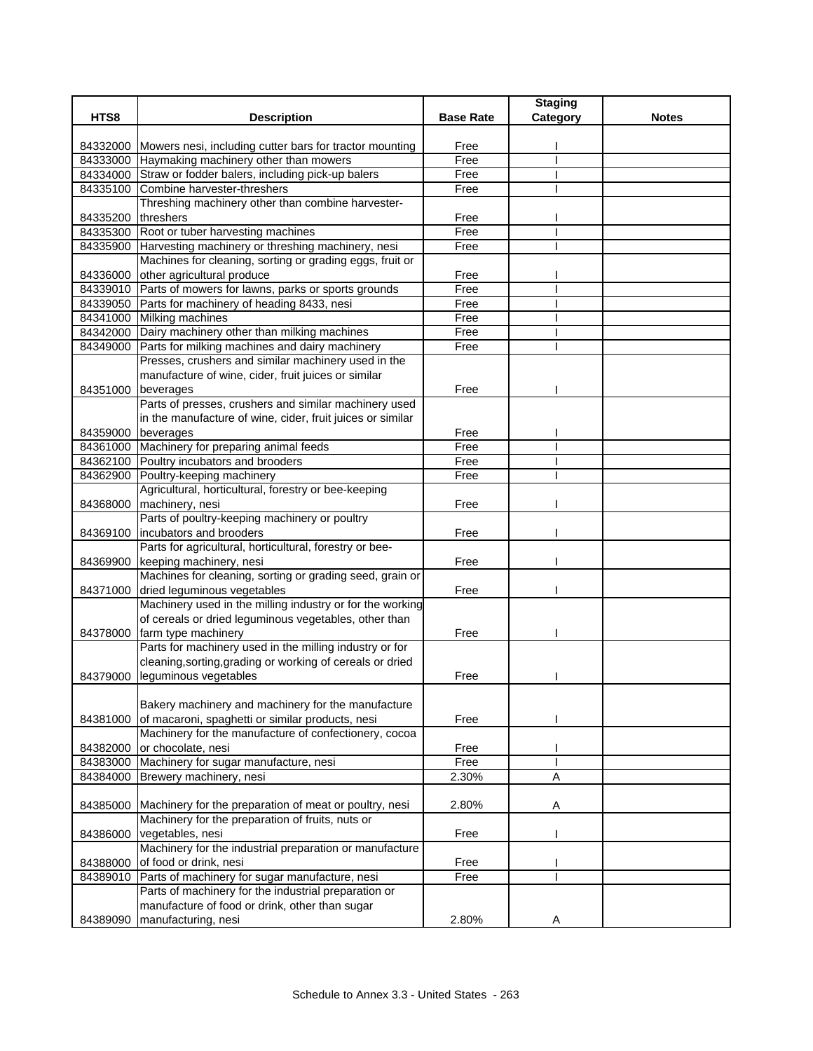|                    |                                                                                               |                  | <b>Staging</b> |              |
|--------------------|-----------------------------------------------------------------------------------------------|------------------|----------------|--------------|
| HTS8               | <b>Description</b>                                                                            | <b>Base Rate</b> | Category       | <b>Notes</b> |
|                    | 84332000 Mowers nesi, including cutter bars for tractor mounting                              | Free             |                |              |
|                    | 84333000 Haymaking machinery other than mowers                                                | Free             |                |              |
|                    | 84334000 Straw or fodder balers, including pick-up balers                                     | Free             |                |              |
|                    | 84335100 Combine harvester-threshers                                                          | Free             |                |              |
|                    | Threshing machinery other than combine harvester-                                             |                  |                |              |
| 84335200 threshers |                                                                                               | Free             |                |              |
|                    | 84335300 Root or tuber harvesting machines                                                    | Free             |                |              |
|                    | 84335900 Harvesting machinery or threshing machinery, nesi                                    | Free             |                |              |
|                    | Machines for cleaning, sorting or grading eggs, fruit or                                      |                  |                |              |
|                    | 84336000 other agricultural produce                                                           | Free             |                |              |
|                    | 84339010 Parts of mowers for lawns, parks or sports grounds                                   | Free             |                |              |
|                    | 84339050 Parts for machinery of heading 8433, nesi                                            | Free             |                |              |
|                    | 84341000 Milking machines                                                                     | Free             |                |              |
|                    | 84342000 Dairy machinery other than milking machines                                          | Free             |                |              |
|                    | 84349000 Parts for milking machines and dairy machinery                                       | Free             |                |              |
|                    | Presses, crushers and similar machinery used in the                                           |                  |                |              |
|                    | manufacture of wine, cider, fruit juices or similar                                           |                  |                |              |
| 84351000 beverages |                                                                                               | Free             |                |              |
|                    | Parts of presses, crushers and similar machinery used                                         |                  |                |              |
|                    | in the manufacture of wine, cider, fruit juices or similar                                    |                  |                |              |
| 84359000 beverages |                                                                                               | Free             |                |              |
|                    | 84361000 Machinery for preparing animal feeds                                                 | Free             |                |              |
|                    | 84362100 Poultry incubators and brooders                                                      | Free             |                |              |
|                    | 84362900 Poultry-keeping machinery                                                            | Free             |                |              |
|                    | Agricultural, horticultural, forestry or bee-keeping                                          |                  |                |              |
|                    | 84368000 machinery, nesi                                                                      | Free             |                |              |
|                    | Parts of poultry-keeping machinery or poultry                                                 |                  |                |              |
|                    | 84369100   incubators and brooders<br>Parts for agricultural, horticultural, forestry or bee- | Free             |                |              |
| 84369900           | keeping machinery, nesi                                                                       | Free             |                |              |
|                    | Machines for cleaning, sorting or grading seed, grain or                                      |                  |                |              |
| 84371000           | dried leguminous vegetables                                                                   | Free             |                |              |
|                    | Machinery used in the milling industry or for the working                                     |                  |                |              |
|                    | of cereals or dried leguminous vegetables, other than                                         |                  |                |              |
| 84378000           | farm type machinery                                                                           | Free             |                |              |
|                    | Parts for machinery used in the milling industry or for                                       |                  |                |              |
|                    | cleaning, sorting, grading or working of cereals or dried                                     |                  |                |              |
|                    | 84379000 leguminous vegetables                                                                | Free             |                |              |
|                    |                                                                                               |                  |                |              |
|                    | Bakery machinery and machinery for the manufacture                                            |                  |                |              |
| 84381000           | of macaroni, spaghetti or similar products, nesi                                              | Free             |                |              |
|                    | Machinery for the manufacture of confectionery, cocoa                                         |                  |                |              |
| 84382000           | or chocolate, nesi                                                                            | Free             |                |              |
|                    | 84383000 Machinery for sugar manufacture, nesi                                                | Free             |                |              |
| 84384000           | Brewery machinery, nesi                                                                       | 2.30%            | $\overline{A}$ |              |
|                    |                                                                                               |                  |                |              |
| 84385000           | Machinery for the preparation of meat or poultry, nesi                                        | 2.80%            | Α              |              |
|                    | Machinery for the preparation of fruits, nuts or                                              |                  |                |              |
| 84386000           | vegetables, nesi                                                                              | Free             |                |              |
|                    | Machinery for the industrial preparation or manufacture                                       |                  |                |              |
| 84388000           | of food or drink, nesi                                                                        | Free             |                |              |
| 84389010           | Parts of machinery for sugar manufacture, nesi                                                | Free             |                |              |
|                    | Parts of machinery for the industrial preparation or                                          |                  |                |              |
|                    | manufacture of food or drink, other than sugar                                                |                  |                |              |
| 84389090           | manufacturing, nesi                                                                           | 2.80%            | Α              |              |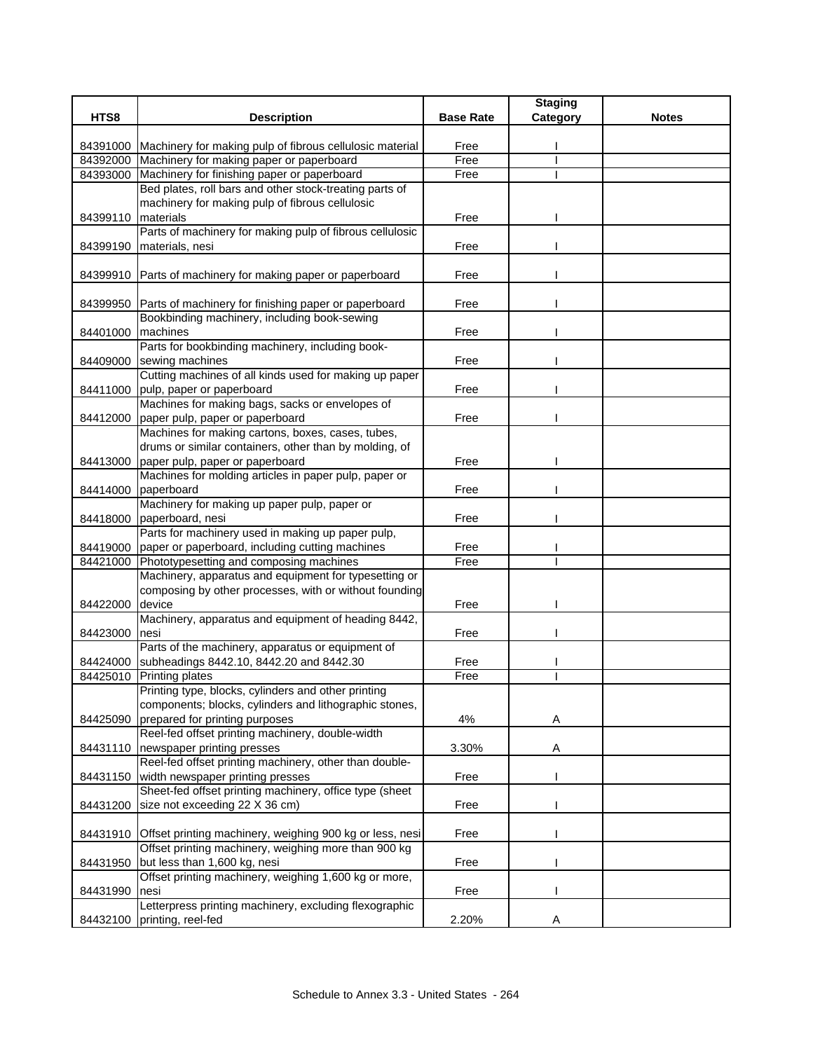|                      |                                                                                            |                  | <b>Staging</b> |              |
|----------------------|--------------------------------------------------------------------------------------------|------------------|----------------|--------------|
| HTS8                 | <b>Description</b>                                                                         | <b>Base Rate</b> | Category       | <b>Notes</b> |
|                      | 84391000 Machinery for making pulp of fibrous cellulosic material                          | Free             |                |              |
|                      | 84392000 Machinery for making paper or paperboard                                          | Free             |                |              |
|                      | 84393000 Machinery for finishing paper or paperboard                                       | Free             |                |              |
|                      | Bed plates, roll bars and other stock-treating parts of                                    |                  |                |              |
|                      | machinery for making pulp of fibrous cellulosic                                            |                  |                |              |
| 84399110             | materials                                                                                  | Free             |                |              |
|                      | Parts of machinery for making pulp of fibrous cellulosic                                   |                  |                |              |
| 84399190             | materials, nesi                                                                            | Free             |                |              |
|                      |                                                                                            |                  |                |              |
| 84399910             | Parts of machinery for making paper or paperboard                                          | Free             |                |              |
|                      |                                                                                            |                  |                |              |
| 84399950             | Parts of machinery for finishing paper or paperboard                                       | Free             |                |              |
|                      | Bookbinding machinery, including book-sewing<br>machines                                   |                  |                |              |
| 84401000             | Parts for bookbinding machinery, including book-                                           | Free             |                |              |
| 84409000             | sewing machines                                                                            | Free             |                |              |
|                      | Cutting machines of all kinds used for making up paper                                     |                  |                |              |
| 84411000             | pulp, paper or paperboard                                                                  | Free             |                |              |
|                      | Machines for making bags, sacks or envelopes of                                            |                  |                |              |
| 84412000             | paper pulp, paper or paperboard                                                            | Free             |                |              |
|                      | Machines for making cartons, boxes, cases, tubes,                                          |                  |                |              |
|                      | drums or similar containers, other than by molding, of                                     |                  |                |              |
| 84413000             | paper pulp, paper or paperboard                                                            | Free             |                |              |
|                      | Machines for molding articles in paper pulp, paper or                                      |                  |                |              |
| 84414000             | paperboard                                                                                 | Free             |                |              |
|                      | Machinery for making up paper pulp, paper or                                               |                  |                |              |
| 84418000             | paperboard, nesi                                                                           | Free             |                |              |
|                      | Parts for machinery used in making up paper pulp,                                          |                  |                |              |
| 84419000<br>84421000 | paper or paperboard, including cutting machines<br>Phototypesetting and composing machines | Free<br>Free     |                |              |
|                      | Machinery, apparatus and equipment for typesetting or                                      |                  |                |              |
|                      | composing by other processes, with or without founding                                     |                  |                |              |
| 84422000             | device                                                                                     | Free             |                |              |
|                      | Machinery, apparatus and equipment of heading 8442,                                        |                  |                |              |
| 84423000             | nesi                                                                                       | Free             |                |              |
|                      | Parts of the machinery, apparatus or equipment of                                          |                  |                |              |
| 84424000             | subheadings 8442.10, 8442.20 and 8442.30                                                   | Free             |                |              |
| 84425010             | <b>Printing plates</b>                                                                     | Free             |                |              |
|                      | Printing type, blocks, cylinders and other printing                                        |                  |                |              |
|                      | components; blocks, cylinders and lithographic stones,                                     |                  |                |              |
| 84425090             | prepared for printing purposes<br>Reel-fed offset printing machinery, double-width         | 4%               | Α              |              |
|                      | newspaper printing presses                                                                 | 3.30%            | Α              |              |
| 84431110             | Reel-fed offset printing machinery, other than double-                                     |                  |                |              |
| 84431150             | width newspaper printing presses                                                           | Free             |                |              |
|                      | Sheet-fed offset printing machinery, office type (sheet                                    |                  |                |              |
| 84431200             | size not exceeding 22 X 36 cm)                                                             | Free             |                |              |
|                      |                                                                                            |                  |                |              |
| 84431910             | Offset printing machinery, weighing 900 kg or less, nesi                                   | Free             |                |              |
|                      | Offset printing machinery, weighing more than 900 kg                                       |                  |                |              |
| 84431950             | but less than 1,600 kg, nesi                                                               | Free             |                |              |
|                      | Offset printing machinery, weighing 1,600 kg or more,                                      |                  |                |              |
| 84431990             | nesi                                                                                       | Free             |                |              |
|                      | Letterpress printing machinery, excluding flexographic                                     |                  |                |              |
| 84432100             | printing, reel-fed                                                                         | 2.20%            | Α              |              |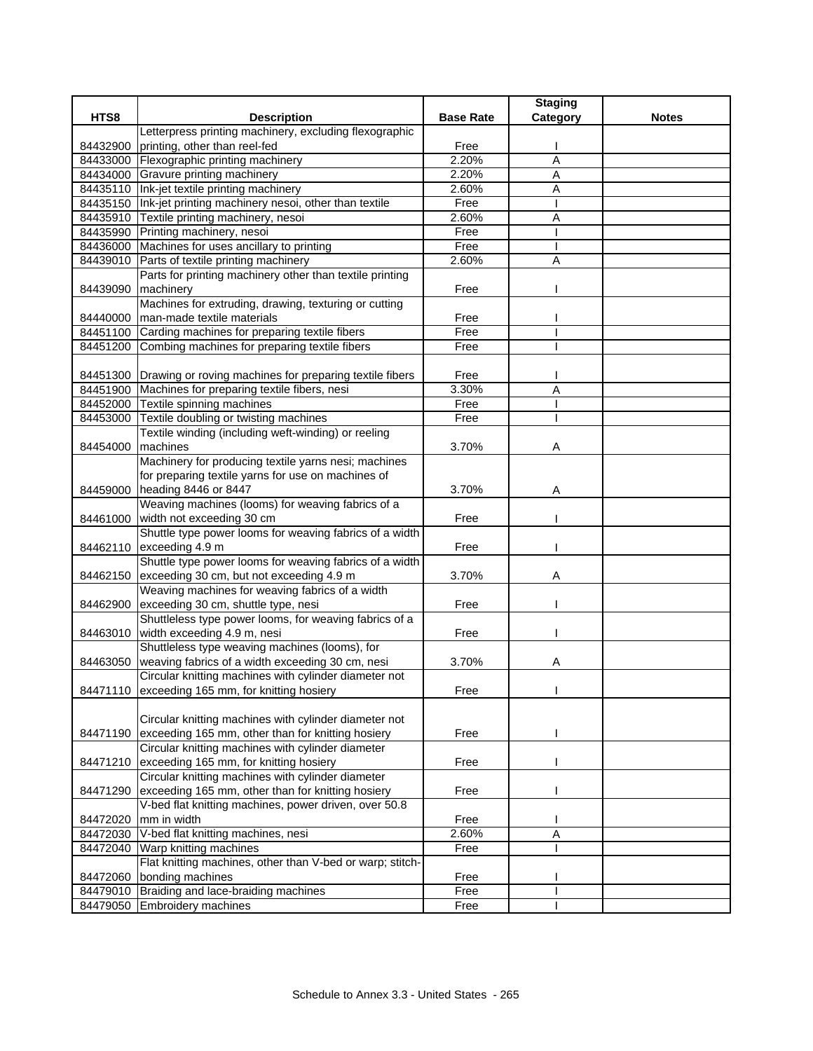|                      |                                                                               |                  | <b>Staging</b> |              |
|----------------------|-------------------------------------------------------------------------------|------------------|----------------|--------------|
| HTS8                 | <b>Description</b>                                                            | <b>Base Rate</b> | Category       | <b>Notes</b> |
|                      | Letterpress printing machinery, excluding flexographic                        |                  |                |              |
| 84432900             | printing, other than reel-fed                                                 | Free             |                |              |
|                      | 84433000 Flexographic printing machinery                                      | 2.20%            | Α              |              |
|                      | 84434000 Gravure printing machinery                                           | 2.20%            | A              |              |
|                      | 84435110 Ink-jet textile printing machinery                                   | 2.60%            | Α              |              |
|                      | 84435150 Ink-jet printing machinery nesoi, other than textile                 | Free             |                |              |
|                      | 84435910 Textile printing machinery, nesoi                                    | 2.60%            | Α              |              |
|                      | 84435990 Printing machinery, nesoi                                            | Free             |                |              |
|                      | 84436000 Machines for uses ancillary to printing                              | Free             |                |              |
|                      | 84439010 Parts of textile printing machinery                                  | 2.60%            | $\overline{A}$ |              |
|                      | Parts for printing machinery other than textile printing                      |                  |                |              |
| 84439090             | machinery                                                                     | Free             |                |              |
|                      | Machines for extruding, drawing, texturing or cutting                         |                  |                |              |
| 84440000             | man-made textile materials                                                    | Free             |                |              |
|                      | 84451100 Carding machines for preparing textile fibers                        | Free             |                |              |
| 84451200             | Combing machines for preparing textile fibers                                 | Free             |                |              |
|                      |                                                                               |                  |                |              |
|                      | 84451300 Drawing or roving machines for preparing textile fibers              | Free             |                |              |
|                      | 84451900 Machines for preparing textile fibers, nesi                          | 3.30%            | Ā              |              |
|                      | 84452000 Textile spinning machines                                            | Free             |                |              |
| 84453000             | Textile doubling or twisting machines                                         | Free             |                |              |
|                      | Textile winding (including weft-winding) or reeling                           |                  |                |              |
| 84454000             | machines                                                                      | 3.70%            | Α              |              |
|                      | Machinery for producing textile yarns nesi; machines                          |                  |                |              |
|                      | for preparing textile yarns for use on machines of                            |                  |                |              |
| 84459000             | heading 8446 or 8447                                                          | 3.70%            | Α              |              |
|                      | Weaving machines (looms) for weaving fabrics of a                             |                  |                |              |
| 84461000             | width not exceeding 30 cm                                                     | Free             |                |              |
|                      | Shuttle type power looms for weaving fabrics of a width                       |                  |                |              |
|                      | 84462110 exceeding 4.9 m                                                      | Free             |                |              |
|                      | Shuttle type power looms for weaving fabrics of a width                       |                  |                |              |
| 84462150             | exceeding 30 cm, but not exceeding 4.9 m                                      | 3.70%            | Α              |              |
|                      | Weaving machines for weaving fabrics of a width                               |                  |                |              |
| 84462900             | exceeding 30 cm, shuttle type, nesi                                           | Free             |                |              |
|                      | Shuttleless type power looms, for weaving fabrics of a                        |                  |                |              |
| 84463010             | width exceeding 4.9 m, nesi<br>Shuttleless type weaving machines (looms), for | Free             |                |              |
|                      | weaving fabrics of a width exceeding 30 cm, nesi                              |                  |                |              |
| 84463050             | Circular knitting machines with cylinder diameter not                         | 3.70%            | Α              |              |
|                      |                                                                               |                  |                |              |
|                      | 84471110 exceeding 165 mm, for knitting hosiery                               | Free             |                |              |
|                      | Circular knitting machines with cylinder diameter not                         |                  |                |              |
|                      | exceeding 165 mm, other than for knitting hosiery                             | Free             |                |              |
| 84471190             | Circular knitting machines with cylinder diameter                             |                  |                |              |
|                      | exceeding 165 mm, for knitting hosiery                                        |                  |                |              |
| 84471210             | Circular knitting machines with cylinder diameter                             | Free             |                |              |
|                      | exceeding 165 mm, other than for knitting hosiery                             |                  |                |              |
| 84471290             |                                                                               | Free             |                |              |
|                      | V-bed flat knitting machines, power driven, over 50.8<br>mm in width          |                  |                |              |
| 84472020<br>84472030 | V-bed flat knitting machines, nesi                                            | Free<br>2.60%    | Α              |              |
| 84472040             | Warp knitting machines                                                        | Free             |                |              |
|                      | Flat knitting machines, other than V-bed or warp; stitch-                     |                  |                |              |
|                      | bonding machines                                                              | Free             |                |              |
| 84472060             | 84479010 Braiding and lace-braiding machines                                  | Free             |                |              |
|                      | 84479050 Embroidery machines                                                  | Free             |                |              |
|                      |                                                                               |                  |                |              |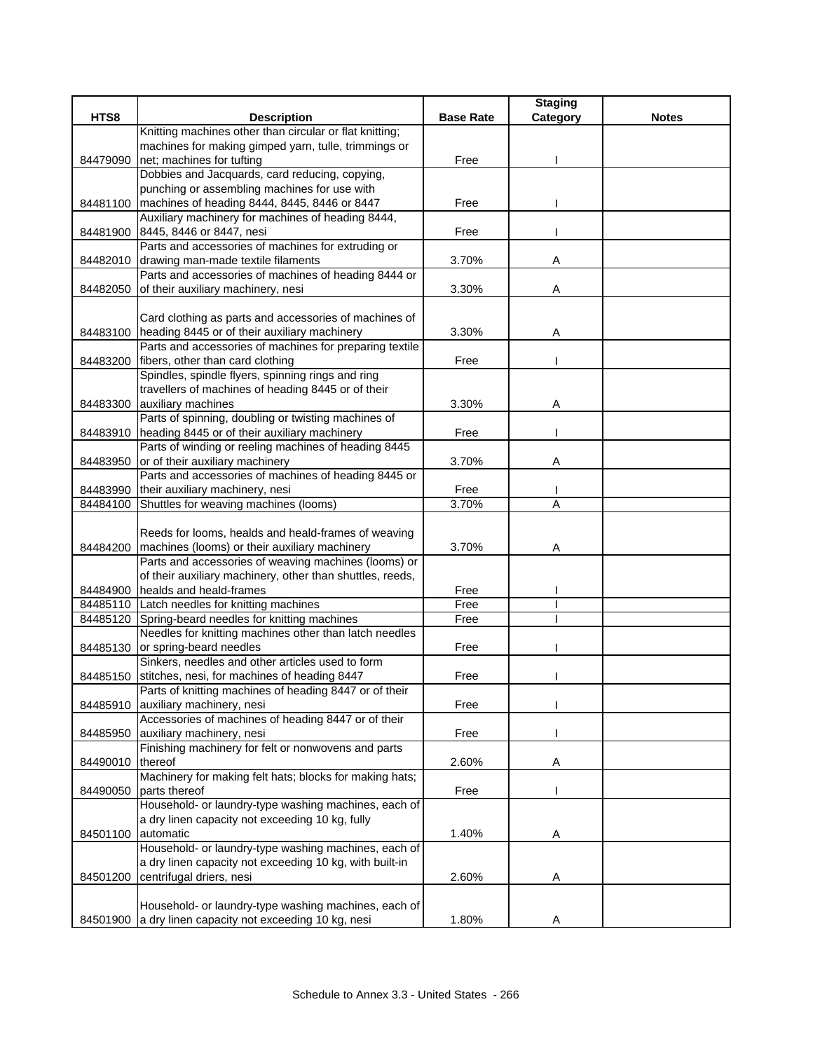|                    |                                                                                        |                  | <b>Staging</b> |              |
|--------------------|----------------------------------------------------------------------------------------|------------------|----------------|--------------|
| HTS8               | <b>Description</b>                                                                     | <b>Base Rate</b> | Category       | <b>Notes</b> |
|                    | Knitting machines other than circular or flat knitting;                                |                  |                |              |
|                    | machines for making gimped yarn, tulle, trimmings or                                   |                  |                |              |
| 84479090           | net; machines for tufting                                                              | Free             |                |              |
|                    | Dobbies and Jacquards, card reducing, copying,                                         |                  |                |              |
|                    | punching or assembling machines for use with                                           |                  |                |              |
| 84481100           | machines of heading 8444, 8445, 8446 or 8447                                           | Free             |                |              |
|                    | Auxiliary machinery for machines of heading 8444,<br>84481900 8445, 8446 or 8447, nesi |                  |                |              |
|                    | Parts and accessories of machines for extruding or                                     | Free             |                |              |
|                    | 84482010 drawing man-made textile filaments                                            | 3.70%            | Α              |              |
|                    | Parts and accessories of machines of heading 8444 or                                   |                  |                |              |
| 84482050           | of their auxiliary machinery, nesi                                                     | 3.30%            | Α              |              |
|                    |                                                                                        |                  |                |              |
|                    | Card clothing as parts and accessories of machines of                                  |                  |                |              |
|                    | 84483100 heading 8445 or of their auxiliary machinery                                  | 3.30%            | Α              |              |
|                    | Parts and accessories of machines for preparing textile                                |                  |                |              |
|                    | 84483200 fibers, other than card clothing                                              | Free             |                |              |
|                    | Spindles, spindle flyers, spinning rings and ring                                      |                  |                |              |
|                    | travellers of machines of heading 8445 or of their                                     |                  |                |              |
|                    | 84483300 auxiliary machines                                                            | 3.30%            | Α              |              |
|                    | Parts of spinning, doubling or twisting machines of                                    |                  |                |              |
| 84483910           | heading 8445 or of their auxiliary machinery                                           | Free             |                |              |
|                    | Parts of winding or reeling machines of heading 8445                                   |                  |                |              |
| 84483950           | or of their auxiliary machinery                                                        | 3.70%            | Α              |              |
|                    | Parts and accessories of machines of heading 8445 or                                   |                  |                |              |
|                    | 84483990 their auxiliary machinery, nesi                                               | Free             |                |              |
|                    | 84484100 Shuttles for weaving machines (looms)                                         | 3.70%            | Α              |              |
|                    |                                                                                        |                  |                |              |
|                    | Reeds for looms, healds and heald-frames of weaving                                    |                  |                |              |
|                    | 84484200   machines (looms) or their auxiliary machinery                               | 3.70%            | Α              |              |
|                    | Parts and accessories of weaving machines (looms) or                                   |                  |                |              |
|                    | of their auxiliary machinery, other than shuttles, reeds,                              |                  |                |              |
| 84484900           | healds and heald-frames                                                                | Free             |                |              |
|                    | 84485110 Latch needles for knitting machines                                           | Free             |                |              |
| 84485120           | Spring-beard needles for knitting machines                                             | Free             |                |              |
|                    | Needles for knitting machines other than latch needles                                 |                  |                |              |
|                    | 84485130 or spring-beard needles<br>Sinkers, needles and other articles used to form   | Free             |                |              |
| 84485150           | stitches, nesi, for machines of heading 8447                                           | Free             |                |              |
|                    | Parts of knitting machines of heading 8447 or of their                                 |                  |                |              |
| 84485910           | auxiliary machinery, nesi                                                              | Free             |                |              |
|                    | Accessories of machines of heading 8447 or of their                                    |                  |                |              |
| 84485950           | auxiliary machinery, nesi                                                              | Free             |                |              |
|                    | Finishing machinery for felt or nonwovens and parts                                    |                  |                |              |
| 84490010           | thereof                                                                                | 2.60%            | Α              |              |
|                    | Machinery for making felt hats; blocks for making hats;                                |                  |                |              |
| 84490050           | parts thereof                                                                          | Free             |                |              |
|                    | Household- or laundry-type washing machines, each of                                   |                  |                |              |
|                    | a dry linen capacity not exceeding 10 kg, fully                                        |                  |                |              |
| 84501100 automatic |                                                                                        | 1.40%            | A              |              |
|                    | Household- or laundry-type washing machines, each of                                   |                  |                |              |
|                    | a dry linen capacity not exceeding 10 kg, with built-in                                |                  |                |              |
| 84501200           | centrifugal driers, nesi                                                               | 2.60%            | Α              |              |
|                    |                                                                                        |                  |                |              |
|                    | Household- or laundry-type washing machines, each of                                   |                  |                |              |
| 84501900           | a dry linen capacity not exceeding 10 kg, nesi                                         | 1.80%            | Α              |              |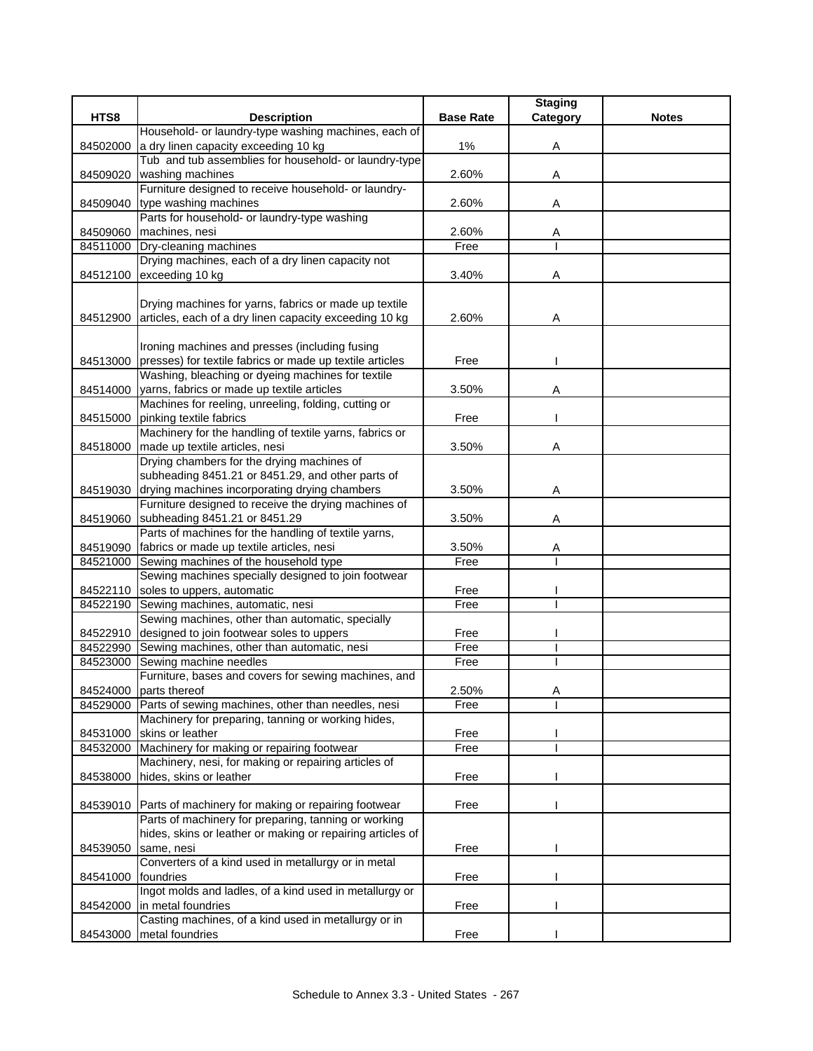|          |                                                                                                             |                  | <b>Staging</b> |              |
|----------|-------------------------------------------------------------------------------------------------------------|------------------|----------------|--------------|
| HTS8     | <b>Description</b>                                                                                          | <b>Base Rate</b> | Category       | <b>Notes</b> |
|          | Household- or laundry-type washing machines, each of                                                        |                  |                |              |
| 84502000 | a dry linen capacity exceeding 10 kg                                                                        | $1\%$            | Α              |              |
|          | Tub and tub assemblies for household- or laundry-type                                                       |                  |                |              |
|          | 84509020 washing machines                                                                                   | 2.60%            | Α              |              |
|          | Furniture designed to receive household- or laundry-                                                        |                  |                |              |
|          | 84509040 type washing machines                                                                              | 2.60%            | Α              |              |
|          | Parts for household- or laundry-type washing                                                                |                  |                |              |
|          | 84509060 machines, nesi                                                                                     | 2.60%            | A              |              |
|          | 84511000 Dry-cleaning machines                                                                              | Free             |                |              |
|          | Drying machines, each of a dry linen capacity not                                                           |                  |                |              |
|          | 84512100 exceeding 10 kg                                                                                    | 3.40%            | Α              |              |
|          |                                                                                                             |                  |                |              |
|          | Drying machines for yarns, fabrics or made up textile                                                       |                  |                |              |
| 84512900 | articles, each of a dry linen capacity exceeding 10 kg                                                      | 2.60%            | Α              |              |
|          |                                                                                                             |                  |                |              |
|          | Ironing machines and presses (including fusing                                                              |                  |                |              |
|          | 84513000 presses) for textile fabrics or made up textile articles                                           | Free             |                |              |
|          | Washing, bleaching or dyeing machines for textile                                                           |                  |                |              |
|          | 84514000 yarns, fabrics or made up textile articles                                                         | 3.50%            | A              |              |
|          | Machines for reeling, unreeling, folding, cutting or                                                        |                  |                |              |
|          | 84515000 pinking textile fabrics                                                                            | Free             |                |              |
|          | Machinery for the handling of textile yarns, fabrics or                                                     |                  |                |              |
|          | 84518000 made up textile articles, nesi                                                                     | 3.50%            | Α              |              |
|          | Drying chambers for the drying machines of                                                                  |                  |                |              |
|          | subheading 8451.21 or 8451.29, and other parts of                                                           |                  |                |              |
|          | 84519030 drying machines incorporating drying chambers                                                      | 3.50%            | Α              |              |
|          | Furniture designed to receive the drying machines of                                                        |                  |                |              |
|          | 84519060 subheading 8451.21 or 8451.29                                                                      | 3.50%            | A              |              |
|          | Parts of machines for the handling of textile yarns,                                                        |                  |                |              |
|          | 84519090 fabrics or made up textile articles, nesi                                                          | 3.50%            | Α              |              |
|          | 84521000 Sewing machines of the household type                                                              | Free             |                |              |
|          | Sewing machines specially designed to join footwear                                                         |                  |                |              |
|          | 84522110 soles to uppers, automatic                                                                         | Free             |                |              |
|          | 84522190 Sewing machines, automatic, nesi                                                                   | Free             |                |              |
|          | Sewing machines, other than automatic, specially                                                            |                  |                |              |
|          | 84522910 designed to join footwear soles to uppers                                                          | Free             |                |              |
|          | 84522990 Sewing machines, other than automatic, nesi                                                        | Free             |                |              |
| 84523000 | Sewing machine needles                                                                                      | Free             |                |              |
|          | Furniture, bases and covers for sewing machines, and                                                        |                  |                |              |
|          | 84524000 parts thereof                                                                                      | 2.50%            | Α              |              |
|          | 84529000 Parts of sewing machines, other than needles, nesi                                                 | Free             |                |              |
|          | Machinery for preparing, tanning or working hides,<br>skins or leather                                      | Free             |                |              |
| 84531000 |                                                                                                             |                  |                |              |
|          | 84532000 Machinery for making or repairing footwear<br>Machinery, nesi, for making or repairing articles of | Free             |                |              |
| 84538000 | hides, skins or leather                                                                                     | Free             |                |              |
|          |                                                                                                             |                  |                |              |
|          | 84539010 Parts of machinery for making or repairing footwear                                                | Free             |                |              |
|          | Parts of machinery for preparing, tanning or working                                                        |                  |                |              |
|          | hides, skins or leather or making or repairing articles of                                                  |                  |                |              |
| 84539050 | same, nesi                                                                                                  | Free             |                |              |
|          | Converters of a kind used in metallurgy or in metal                                                         |                  |                |              |
| 84541000 | foundries                                                                                                   | Free             |                |              |
|          | Ingot molds and ladles, of a kind used in metallurgy or                                                     |                  |                |              |
| 84542000 | in metal foundries                                                                                          | Free             |                |              |
|          | Casting machines, of a kind used in metallurgy or in                                                        |                  |                |              |
| 84543000 | metal foundries                                                                                             | Free             |                |              |
|          |                                                                                                             |                  |                |              |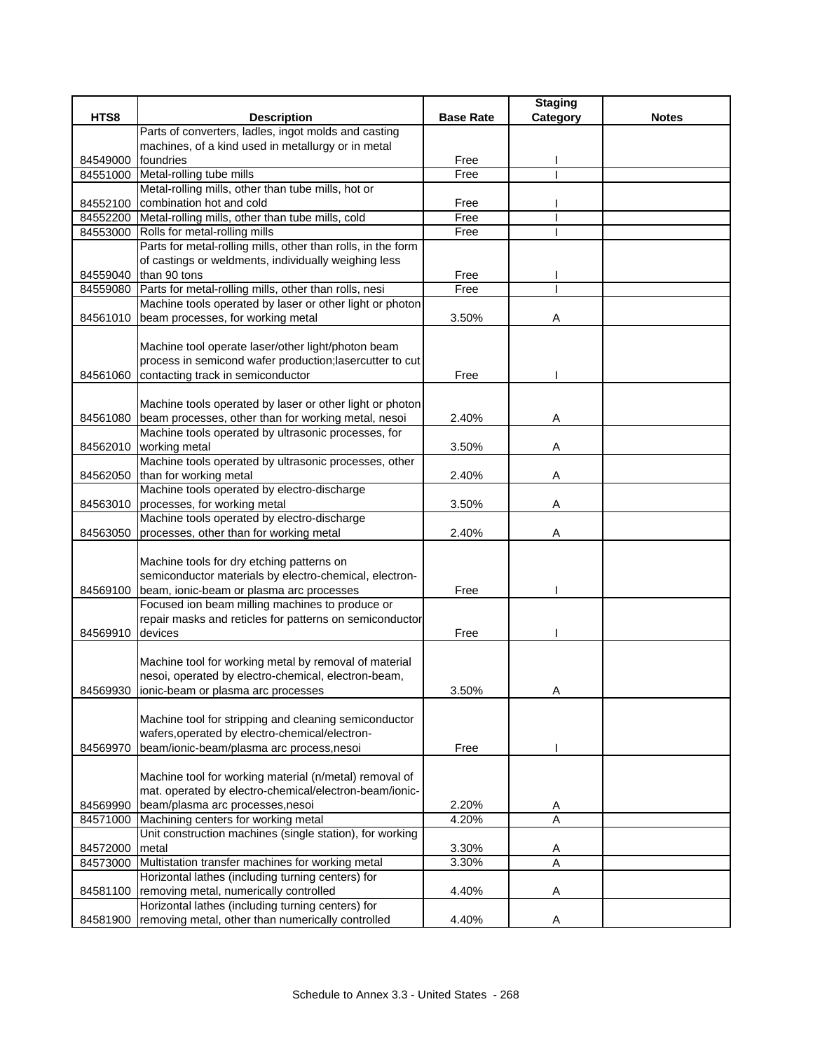|          |                                                                                                                                                             |                  | <b>Staging</b> |              |
|----------|-------------------------------------------------------------------------------------------------------------------------------------------------------------|------------------|----------------|--------------|
| HTS8     | <b>Description</b>                                                                                                                                          | <b>Base Rate</b> | Category       | <b>Notes</b> |
|          | Parts of converters, ladles, ingot molds and casting                                                                                                        |                  |                |              |
|          | machines, of a kind used in metallurgy or in metal                                                                                                          |                  |                |              |
| 84549000 | foundries                                                                                                                                                   | Free             |                |              |
|          | 84551000 Metal-rolling tube mills                                                                                                                           | Free             |                |              |
|          | Metal-rolling mills, other than tube mills, hot or                                                                                                          |                  |                |              |
| 84552100 | combination hot and cold                                                                                                                                    | Free             |                |              |
|          | 84552200 Metal-rolling mills, other than tube mills, cold                                                                                                   | Free             |                |              |
|          | 84553000 Rolls for metal-rolling mills                                                                                                                      | Free             |                |              |
|          | Parts for metal-rolling mills, other than rolls, in the form                                                                                                |                  |                |              |
|          | of castings or weldments, individually weighing less                                                                                                        |                  |                |              |
| 84559040 | than 90 tons                                                                                                                                                | Free             |                |              |
| 84559080 | Parts for metal-rolling mills, other than rolls, nesi                                                                                                       | Free             |                |              |
|          | Machine tools operated by laser or other light or photon                                                                                                    |                  |                |              |
| 84561010 | beam processes, for working metal                                                                                                                           | 3.50%            | Α              |              |
| 84561060 | Machine tool operate laser/other light/photon beam<br>process in semicond wafer production; lasercutter to cut<br>contacting track in semiconductor         | Free             |                |              |
| 84561080 | Machine tools operated by laser or other light or photon<br>beam processes, other than for working metal, nesoi                                             | 2.40%            | Α              |              |
|          | Machine tools operated by ultrasonic processes, for                                                                                                         |                  |                |              |
| 84562010 | working metal                                                                                                                                               | 3.50%            | Α              |              |
|          | Machine tools operated by ultrasonic processes, other                                                                                                       |                  |                |              |
| 84562050 | than for working metal                                                                                                                                      | 2.40%            | Α              |              |
|          | Machine tools operated by electro-discharge                                                                                                                 |                  |                |              |
| 84563010 | processes, for working metal<br>Machine tools operated by electro-discharge                                                                                 | 3.50%            | Α              |              |
| 84563050 | processes, other than for working metal                                                                                                                     | 2.40%            | A              |              |
|          |                                                                                                                                                             |                  |                |              |
| 84569100 | Machine tools for dry etching patterns on<br>semiconductor materials by electro-chemical, electron-<br>beam, ionic-beam or plasma arc processes             | Free             |                |              |
| 84569910 | Focused ion beam milling machines to produce or<br>repair masks and reticles for patterns on semiconductor<br>devices                                       | Free             |                |              |
|          | Machine tool for working metal by removal of material<br>nesoi, operated by electro-chemical, electron-beam,<br>84569930 ionic-beam or plasma arc processes | 3.50%            |                |              |
|          | Machine tool for stripping and cleaning semiconductor<br>wafers, operated by electro-chemical/electron-                                                     |                  |                |              |
| 84569970 | beam/ionic-beam/plasma arc process,nesoi                                                                                                                    | Free             |                |              |
| 84569990 | Machine tool for working material (n/metal) removal of<br>mat. operated by electro-chemical/electron-beam/ionic-<br>beam/plasma arc processes, nesoi        | 2.20%            | A              |              |
| 84571000 | Machining centers for working metal                                                                                                                         | 4.20%            | A              |              |
|          | Unit construction machines (single station), for working                                                                                                    |                  |                |              |
| 84572000 | metal                                                                                                                                                       | 3.30%            | A              |              |
| 84573000 | Multistation transfer machines for working metal                                                                                                            | 3.30%            | A              |              |
|          | Horizontal lathes (including turning centers) for                                                                                                           |                  |                |              |
| 84581100 | removing metal, numerically controlled                                                                                                                      | 4.40%            | Α              |              |
|          | Horizontal lathes (including turning centers) for                                                                                                           |                  |                |              |
| 84581900 | removing metal, other than numerically controlled                                                                                                           | 4.40%            | A              |              |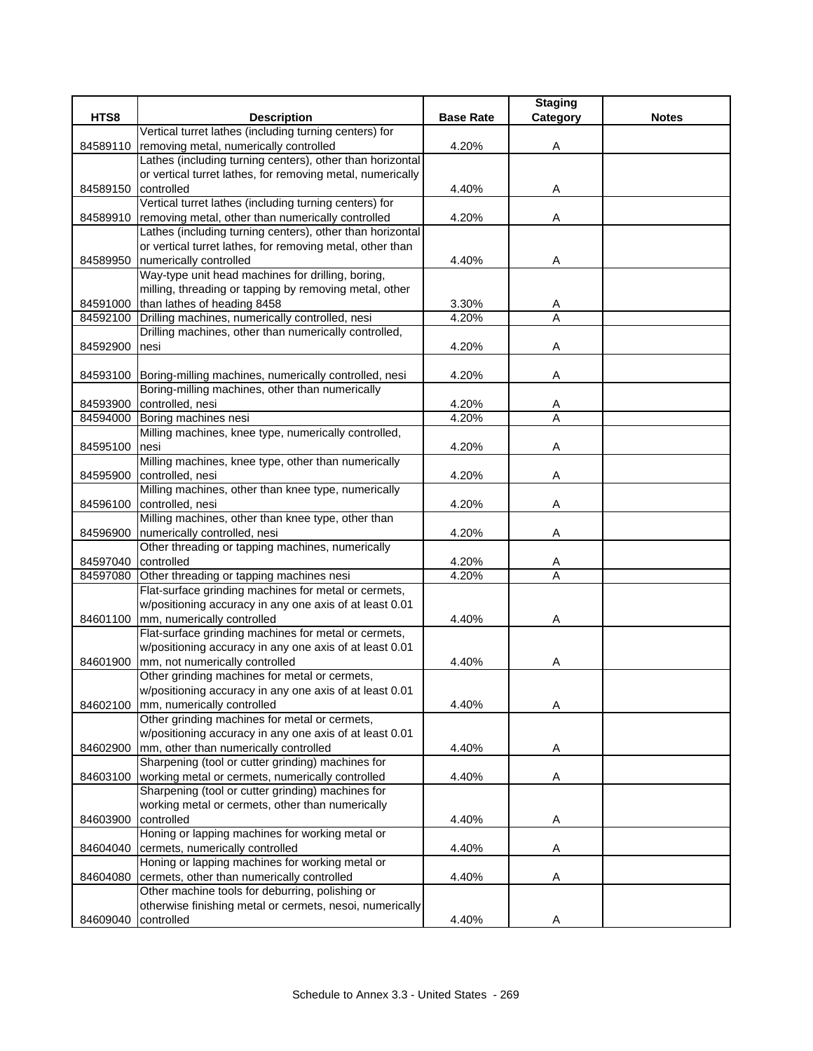|          |                                                                |                  | <b>Staging</b> |              |
|----------|----------------------------------------------------------------|------------------|----------------|--------------|
| HTS8     | <b>Description</b>                                             | <b>Base Rate</b> | Category       | <b>Notes</b> |
|          | Vertical turret lathes (including turning centers) for         |                  |                |              |
| 84589110 | removing metal, numerically controlled                         | 4.20%            | Α              |              |
|          | Lathes (including turning centers), other than horizontal      |                  |                |              |
|          | or vertical turret lathes, for removing metal, numerically     |                  |                |              |
| 84589150 | controlled                                                     | 4.40%            | Α              |              |
|          | Vertical turret lathes (including turning centers) for         |                  |                |              |
| 84589910 | removing metal, other than numerically controlled              | 4.20%            | Α              |              |
|          | Lathes (including turning centers), other than horizontal      |                  |                |              |
|          | or vertical turret lathes, for removing metal, other than      |                  |                |              |
| 84589950 | numerically controlled                                         | 4.40%            | Α              |              |
|          | Way-type unit head machines for drilling, boring,              |                  |                |              |
|          | milling, threading or tapping by removing metal, other         |                  |                |              |
| 84591000 | than lathes of heading 8458                                    | 3.30%            | A              |              |
| 84592100 | Drilling machines, numerically controlled, nesi                | 4.20%            | $\overline{A}$ |              |
|          | Drilling machines, other than numerically controlled,          |                  |                |              |
| 84592900 | nesi                                                           | 4.20%            | Α              |              |
|          |                                                                |                  |                |              |
|          | 84593100 Boring-milling machines, numerically controlled, nesi | 4.20%            | A              |              |
|          | Boring-milling machines, other than numerically                |                  |                |              |
|          | 84593900 controlled, nesi                                      | 4.20%            | A              |              |
|          | 84594000 Boring machines nesi                                  | 4.20%            | $\overline{A}$ |              |
|          | Milling machines, knee type, numerically controlled,           |                  |                |              |
| 84595100 | Inesi                                                          | 4.20%            | Α              |              |
|          | Milling machines, knee type, other than numerically            |                  |                |              |
| 84595900 | controlled, nesi                                               | 4.20%            | Α              |              |
|          | Milling machines, other than knee type, numerically            |                  |                |              |
| 84596100 | controlled, nesi                                               | 4.20%            | Α              |              |
|          | Milling machines, other than knee type, other than             |                  |                |              |
| 84596900 | numerically controlled, nesi                                   | 4.20%            | Α              |              |
|          | Other threading or tapping machines, numerically               |                  |                |              |
| 84597040 | controlled                                                     | 4.20%            | A              |              |
| 84597080 | Other threading or tapping machines nesi                       | 4.20%            | A              |              |
|          | Flat-surface grinding machines for metal or cermets,           |                  |                |              |
|          | w/positioning accuracy in any one axis of at least 0.01        |                  |                |              |
|          | 84601100 mm, numerically controlled                            | 4.40%            | Α              |              |
|          | Flat-surface grinding machines for metal or cermets,           |                  |                |              |
|          | w/positioning accuracy in any one axis of at least 0.01        |                  |                |              |
| 84601900 | mm, not numerically controlled                                 | 4.40%            | A              |              |
|          | Other grinding machines for metal or cermets,                  |                  |                |              |
|          | w/positioning accuracy in any one axis of at least 0.01        |                  |                |              |
|          | 84602100 mm, numerically controlled                            | 4.40%            | Α              |              |
|          | Other grinding machines for metal or cermets,                  |                  |                |              |
|          | w/positioning accuracy in any one axis of at least 0.01        |                  |                |              |
| 84602900 | mm, other than numerically controlled                          | 4.40%            | Α              |              |
|          | Sharpening (tool or cutter grinding) machines for              |                  |                |              |
| 84603100 | working metal or cermets, numerically controlled               | 4.40%            | A              |              |
|          | Sharpening (tool or cutter grinding) machines for              |                  |                |              |
|          | working metal or cermets, other than numerically               |                  |                |              |
| 84603900 | controlled                                                     | 4.40%            | Α              |              |
|          | Honing or lapping machines for working metal or                |                  |                |              |
| 84604040 | cermets, numerically controlled                                | 4.40%            | Α              |              |
|          | Honing or lapping machines for working metal or                |                  |                |              |
| 84604080 | cermets, other than numerically controlled                     | 4.40%            | Α              |              |
|          | Other machine tools for deburring, polishing or                |                  |                |              |
|          | otherwise finishing metal or cermets, nesoi, numerically       |                  |                |              |
| 84609040 | controlled                                                     | 4.40%            | Α              |              |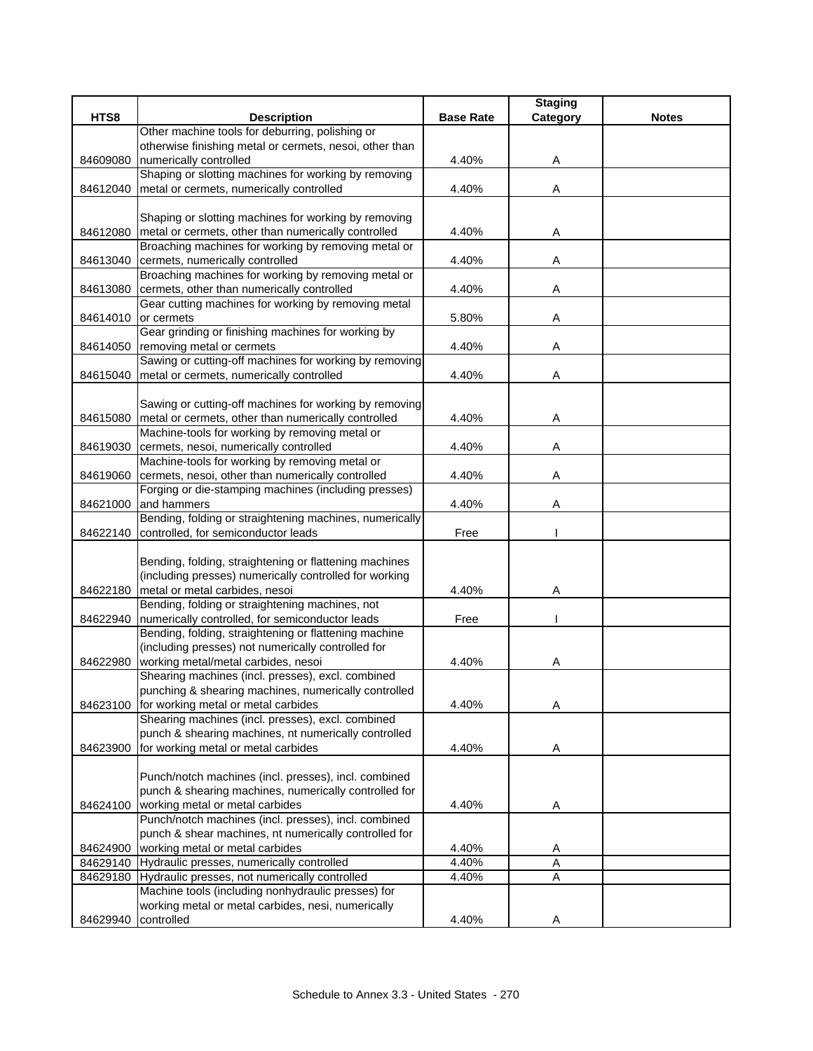|                     |                                                                                                       |                  | <b>Staging</b> |              |
|---------------------|-------------------------------------------------------------------------------------------------------|------------------|----------------|--------------|
| HTS8                | <b>Description</b>                                                                                    | <b>Base Rate</b> | Category       | <b>Notes</b> |
|                     | Other machine tools for deburring, polishing or                                                       |                  |                |              |
|                     | otherwise finishing metal or cermets, nesoi, other than                                               |                  |                |              |
| 84609080            | numerically controlled                                                                                | 4.40%            | A              |              |
|                     | Shaping or slotting machines for working by removing                                                  |                  |                |              |
| 84612040            | metal or cermets, numerically controlled                                                              | 4.40%            | Α              |              |
|                     | Shaping or slotting machines for working by removing                                                  |                  |                |              |
|                     | metal or cermets, other than numerically controlled                                                   | 4.40%            |                |              |
| 84612080            | Broaching machines for working by removing metal or                                                   |                  | A              |              |
| 84613040            | cermets, numerically controlled                                                                       | 4.40%            | Α              |              |
|                     | Broaching machines for working by removing metal or                                                   |                  |                |              |
| 84613080            | cermets, other than numerically controlled                                                            | 4.40%            | Α              |              |
|                     | Gear cutting machines for working by removing metal                                                   |                  |                |              |
| 84614010            | or cermets                                                                                            | 5.80%            | Α              |              |
|                     | Gear grinding or finishing machines for working by                                                    |                  |                |              |
|                     | 84614050 removing metal or cermets                                                                    | 4.40%            | A              |              |
|                     | Sawing or cutting-off machines for working by removing                                                |                  |                |              |
| 84615040            | metal or cermets, numerically controlled                                                              | 4.40%            | A              |              |
|                     |                                                                                                       |                  |                |              |
|                     | Sawing or cutting-off machines for working by removing                                                |                  |                |              |
| 84615080            | metal or cermets, other than numerically controlled<br>Machine-tools for working by removing metal or | 4.40%            | Α              |              |
|                     | cermets, nesoi, numerically controlled                                                                | 4.40%            | Α              |              |
| 84619030            | Machine-tools for working by removing metal or                                                        |                  |                |              |
| 84619060            | cermets, nesoi, other than numerically controlled                                                     | 4.40%            | Α              |              |
|                     | Forging or die-stamping machines (including presses)                                                  |                  |                |              |
| 84621000            | and hammers                                                                                           | 4.40%            | Α              |              |
|                     | Bending, folding or straightening machines, numerically                                               |                  |                |              |
| 84622140            | controlled, for semiconductor leads                                                                   | Free             |                |              |
|                     |                                                                                                       |                  |                |              |
|                     | Bending, folding, straightening or flattening machines                                                |                  |                |              |
|                     | (including presses) numerically controlled for working                                                |                  |                |              |
| 84622180            | metal or metal carbides, nesoi                                                                        | 4.40%            | Α              |              |
|                     | Bending, folding or straightening machines, not<br>numerically controlled, for semiconductor leads    |                  |                |              |
| 84622940            | Bending, folding, straightening or flattening machine                                                 | Free             |                |              |
|                     | (including presses) not numerically controlled for                                                    |                  |                |              |
| 84622980            | working metal/metal carbides, nesoi                                                                   | 4.40%            | A              |              |
|                     | Shearing machines (incl. presses), excl. combined                                                     |                  |                |              |
|                     | punching & shearing machines, numerically controlled                                                  |                  |                |              |
| 84623100            | for working metal or metal carbides                                                                   | 4.40%            | Α              |              |
|                     | Shearing machines (incl. presses), excl. combined                                                     |                  |                |              |
|                     | punch & shearing machines, nt numerically controlled                                                  |                  |                |              |
| 84623900            | for working metal or metal carbides                                                                   | 4.40%            | Α              |              |
|                     |                                                                                                       |                  |                |              |
|                     | Punch/notch machines (incl. presses), incl. combined                                                  |                  |                |              |
|                     | punch & shearing machines, numerically controlled for<br>working metal or metal carbides              |                  |                |              |
| 84624100            | Punch/notch machines (incl. presses), incl. combined                                                  | 4.40%            | Α              |              |
|                     | punch & shear machines, nt numerically controlled for                                                 |                  |                |              |
| 84624900            | working metal or metal carbides                                                                       | 4.40%            | A              |              |
| 84629140            | Hydraulic presses, numerically controlled                                                             | 4.40%            | A              |              |
|                     | 84629180 Hydraulic presses, not numerically controlled                                                | 4.40%            | Α              |              |
|                     | Machine tools (including nonhydraulic presses) for                                                    |                  |                |              |
|                     | working metal or metal carbides, nesi, numerically                                                    |                  |                |              |
| 84629940 controlled |                                                                                                       | 4.40%            | Α              |              |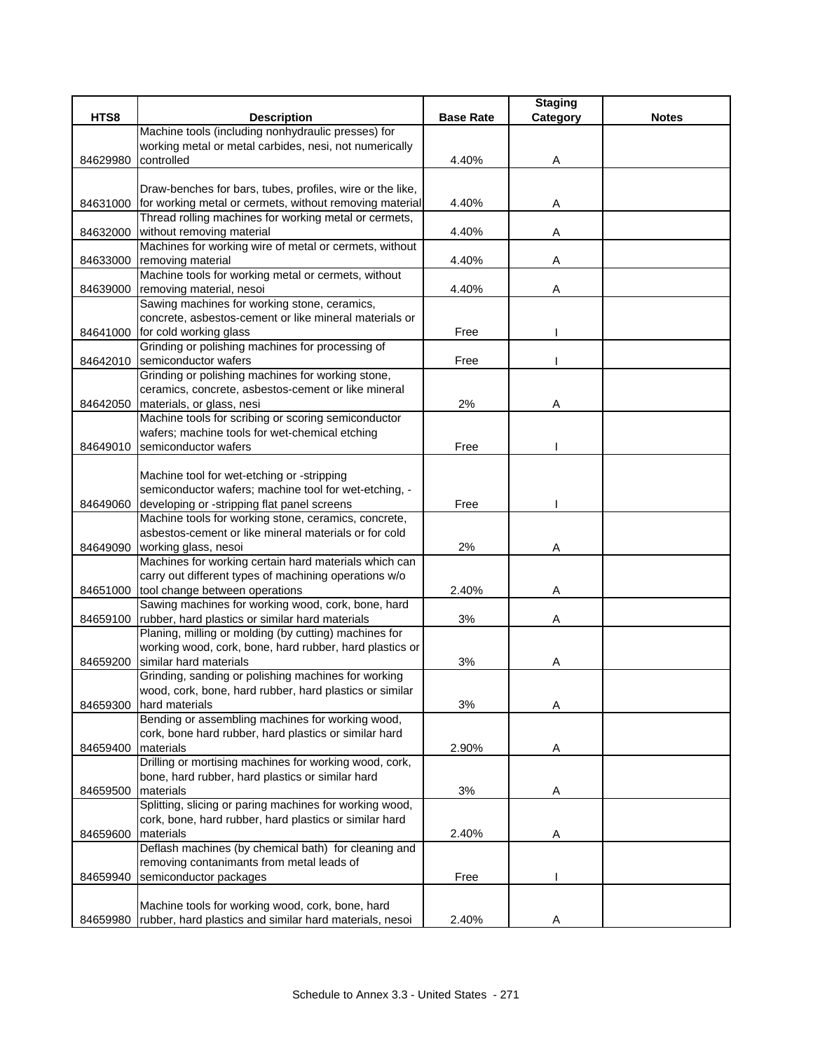|          |                                                           |                  | <b>Staging</b> |              |
|----------|-----------------------------------------------------------|------------------|----------------|--------------|
| HTS8     | <b>Description</b>                                        | <b>Base Rate</b> | Category       | <b>Notes</b> |
|          | Machine tools (including nonhydraulic presses) for        |                  |                |              |
|          | working metal or metal carbides, nesi, not numerically    |                  |                |              |
| 84629980 | controlled                                                | 4.40%            | A              |              |
|          |                                                           |                  |                |              |
|          | Draw-benches for bars, tubes, profiles, wire or the like, |                  |                |              |
| 84631000 | for working metal or cermets, without removing material   | 4.40%            | Α              |              |
|          | Thread rolling machines for working metal or cermets,     |                  |                |              |
| 84632000 | without removing material                                 | 4.40%            | A              |              |
|          | Machines for working wire of metal or cermets, without    |                  |                |              |
| 84633000 | removing material                                         | 4.40%            | Α              |              |
|          | Machine tools for working metal or cermets, without       |                  |                |              |
| 84639000 | removing material, nesoi                                  | 4.40%            | Α              |              |
|          | Sawing machines for working stone, ceramics,              |                  |                |              |
|          | concrete, asbestos-cement or like mineral materials or    |                  |                |              |
| 84641000 | for cold working glass                                    | Free             |                |              |
|          | Grinding or polishing machines for processing of          |                  |                |              |
| 84642010 | semiconductor wafers                                      | Free             |                |              |
|          | Grinding or polishing machines for working stone,         |                  |                |              |
|          | ceramics, concrete, asbestos-cement or like mineral       |                  |                |              |
| 84642050 | materials, or glass, nesi                                 | 2%               | Α              |              |
|          | Machine tools for scribing or scoring semiconductor       |                  |                |              |
|          | wafers; machine tools for wet-chemical etching            |                  |                |              |
| 84649010 | semiconductor wafers                                      | Free             |                |              |
|          |                                                           |                  |                |              |
|          | Machine tool for wet-etching or -stripping                |                  |                |              |
|          | semiconductor wafers; machine tool for wet-etching, -     |                  |                |              |
| 84649060 | developing or -stripping flat panel screens               | Free             |                |              |
|          | Machine tools for working stone, ceramics, concrete,      |                  |                |              |
|          | asbestos-cement or like mineral materials or for cold     |                  |                |              |
| 84649090 | working glass, nesoi                                      | 2%               | Α              |              |
|          | Machines for working certain hard materials which can     |                  |                |              |
|          | carry out different types of machining operations w/o     |                  |                |              |
| 84651000 | tool change between operations                            | 2.40%            | Α              |              |
|          | Sawing machines for working wood, cork, bone, hard        |                  |                |              |
|          | 84659100 rubber, hard plastics or similar hard materials  | 3%               | Α              |              |
|          | Planing, milling or molding (by cutting) machines for     |                  |                |              |
|          | working wood, cork, bone, hard rubber, hard plastics or   |                  |                |              |
| 84659200 | similar hard materials                                    | 3%               | A              |              |
|          | Grinding, sanding or polishing machines for working       |                  |                |              |
|          | wood, cork, bone, hard rubber, hard plastics or similar   |                  |                |              |
| 84659300 | hard materials                                            | 3%               | Α              |              |
|          | Bending or assembling machines for working wood,          |                  |                |              |
|          | cork, bone hard rubber, hard plastics or similar hard     |                  |                |              |
| 84659400 | materials                                                 | 2.90%            | Α              |              |
|          | Drilling or mortising machines for working wood, cork,    |                  |                |              |
|          | bone, hard rubber, hard plastics or similar hard          |                  |                |              |
| 84659500 | materials                                                 | 3%               | Α              |              |
|          | Splitting, slicing or paring machines for working wood,   |                  |                |              |
|          | cork, bone, hard rubber, hard plastics or similar hard    |                  |                |              |
| 84659600 | materials                                                 | 2.40%            | A              |              |
|          | Deflash machines (by chemical bath) for cleaning and      |                  |                |              |
|          | removing contanimants from metal leads of                 |                  |                |              |
| 84659940 | semiconductor packages                                    | Free             |                |              |
|          |                                                           |                  |                |              |
|          | Machine tools for working wood, cork, bone, hard          |                  |                |              |
| 84659980 | rubber, hard plastics and similar hard materials, nesoi   | 2.40%            | Α              |              |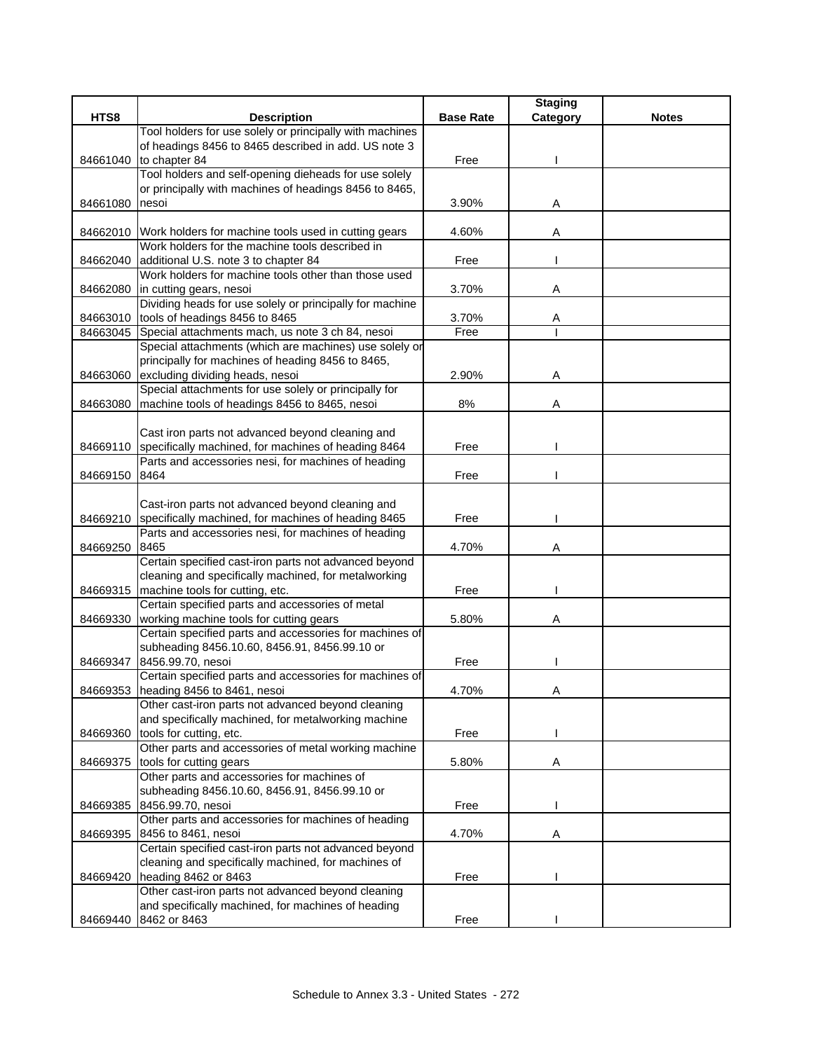|          |                                                                                                              |                  | <b>Staging</b> |              |
|----------|--------------------------------------------------------------------------------------------------------------|------------------|----------------|--------------|
| HTS8     | <b>Description</b>                                                                                           | <b>Base Rate</b> | Category       | <b>Notes</b> |
|          | Tool holders for use solely or principally with machines                                                     |                  |                |              |
|          | of headings 8456 to 8465 described in add. US note 3                                                         |                  |                |              |
| 84661040 | to chapter 84<br>Tool holders and self-opening dieheads for use solely                                       | Free             |                |              |
|          | or principally with machines of headings 8456 to 8465,                                                       |                  |                |              |
| 84661080 | nesoi                                                                                                        | 3.90%            | Α              |              |
|          |                                                                                                              |                  |                |              |
|          | 84662010 Work holders for machine tools used in cutting gears                                                | 4.60%            | Α              |              |
|          | Work holders for the machine tools described in                                                              |                  |                |              |
| 84662040 | additional U.S. note 3 to chapter 84                                                                         | Free             |                |              |
|          | Work holders for machine tools other than those used                                                         |                  |                |              |
| 84662080 | in cutting gears, nesoi                                                                                      | 3.70%            | Α              |              |
|          | Dividing heads for use solely or principally for machine                                                     |                  |                |              |
|          | 84663010 tools of headings 8456 to 8465                                                                      | 3.70%            | Α              |              |
| 84663045 | Special attachments mach, us note 3 ch 84, nesoi                                                             | Free             |                |              |
|          | Special attachments (which are machines) use solely or<br>principally for machines of heading 8456 to 8465,  |                  |                |              |
| 84663060 | excluding dividing heads, nesoi                                                                              | 2.90%            | Α              |              |
|          | Special attachments for use solely or principally for                                                        |                  |                |              |
| 84663080 | machine tools of headings 8456 to 8465, nesoi                                                                | 8%               | Α              |              |
|          |                                                                                                              |                  |                |              |
|          | Cast iron parts not advanced beyond cleaning and                                                             |                  |                |              |
| 84669110 | specifically machined, for machines of heading 8464                                                          | Free             |                |              |
|          | Parts and accessories nesi, for machines of heading                                                          |                  |                |              |
| 84669150 | 8464                                                                                                         | Free             |                |              |
|          |                                                                                                              |                  |                |              |
|          | Cast-iron parts not advanced beyond cleaning and                                                             |                  |                |              |
| 84669210 | specifically machined, for machines of heading 8465<br>Parts and accessories nesi, for machines of heading   | Free             |                |              |
| 84669250 | 8465                                                                                                         | 4.70%            | A              |              |
|          | Certain specified cast-iron parts not advanced beyond                                                        |                  |                |              |
|          | cleaning and specifically machined, for metalworking                                                         |                  |                |              |
| 84669315 | machine tools for cutting, etc.                                                                              | Free             |                |              |
|          | Certain specified parts and accessories of metal                                                             |                  |                |              |
| 84669330 | working machine tools for cutting gears                                                                      | 5.80%            | Α              |              |
|          | Certain specified parts and accessories for machines of                                                      |                  |                |              |
|          | subheading 8456.10.60, 8456.91, 8456.99.10 or                                                                |                  |                |              |
| 84669347 | 8456.99.70, nesoi                                                                                            | Free             |                |              |
|          | Certain specified parts and accessories for machines of<br>84669353 heading 8456 to 8461, nesoi              | 4.70%            |                |              |
|          | Other cast-iron parts not advanced beyond cleaning                                                           |                  |                |              |
|          | and specifically machined, for metalworking machine                                                          |                  |                |              |
| 84669360 | tools for cutting, etc.                                                                                      | Free             |                |              |
|          | Other parts and accessories of metal working machine                                                         |                  |                |              |
| 84669375 | tools for cutting gears                                                                                      | 5.80%            | Α              |              |
|          | Other parts and accessories for machines of                                                                  |                  |                |              |
|          | subheading 8456.10.60, 8456.91, 8456.99.10 or                                                                |                  |                |              |
| 84669385 | 8456.99.70, nesoi                                                                                            | Free             |                |              |
|          | Other parts and accessories for machines of heading                                                          |                  |                |              |
| 84669395 | 8456 to 8461, nesoi                                                                                          | 4.70%            | Α              |              |
|          | Certain specified cast-iron parts not advanced beyond<br>cleaning and specifically machined, for machines of |                  |                |              |
| 84669420 | heading 8462 or 8463                                                                                         | Free             |                |              |
|          | Other cast-iron parts not advanced beyond cleaning                                                           |                  |                |              |
|          | and specifically machined, for machines of heading                                                           |                  |                |              |
| 84669440 | 8462 or 8463                                                                                                 | Free             |                |              |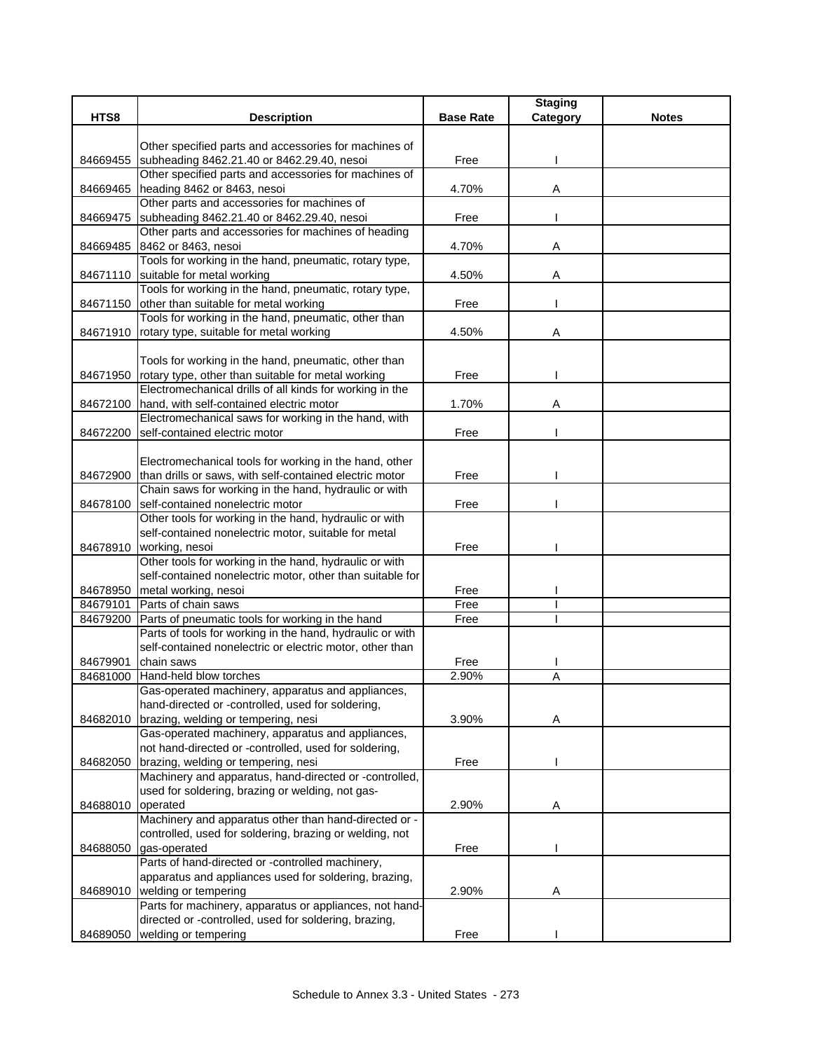|          |                                                                                                     |                  | <b>Staging</b> |              |
|----------|-----------------------------------------------------------------------------------------------------|------------------|----------------|--------------|
| HTS8     | <b>Description</b>                                                                                  | <b>Base Rate</b> | Category       | <b>Notes</b> |
|          |                                                                                                     |                  |                |              |
|          | Other specified parts and accessories for machines of                                               |                  |                |              |
| 84669455 | subheading 8462.21.40 or 8462.29.40, nesoi<br>Other specified parts and accessories for machines of | Free             |                |              |
|          |                                                                                                     | 4.70%            |                |              |
| 84669465 | heading 8462 or 8463, nesoi                                                                         |                  | A              |              |
|          | Other parts and accessories for machines of                                                         |                  |                |              |
| 84669475 | subheading 8462.21.40 or 8462.29.40, nesoi<br>Other parts and accessories for machines of heading   | Free             |                |              |
|          | 84669485 8462 or 8463, nesoi                                                                        | 4.70%            | A              |              |
|          | Tools for working in the hand, pneumatic, rotary type,                                              |                  |                |              |
|          | 84671110 suitable for metal working                                                                 | 4.50%            | Α              |              |
|          | Tools for working in the hand, pneumatic, rotary type,                                              |                  |                |              |
| 84671150 | other than suitable for metal working                                                               | Free             |                |              |
|          | Tools for working in the hand, pneumatic, other than                                                |                  |                |              |
|          | 84671910 rotary type, suitable for metal working                                                    | 4.50%            | Α              |              |
|          |                                                                                                     |                  |                |              |
|          | Tools for working in the hand, pneumatic, other than                                                |                  |                |              |
|          | 84671950 rotary type, other than suitable for metal working                                         | Free             |                |              |
|          | Electromechanical drills of all kinds for working in the                                            |                  |                |              |
|          | 84672100 hand, with self-contained electric motor                                                   | 1.70%            | A              |              |
|          | Electromechanical saws for working in the hand, with                                                |                  |                |              |
| 84672200 | self-contained electric motor                                                                       | Free             |                |              |
|          |                                                                                                     |                  |                |              |
|          | Electromechanical tools for working in the hand, other                                              |                  |                |              |
|          | 84672900 than drills or saws, with self-contained electric motor                                    | Free             |                |              |
|          | Chain saws for working in the hand, hydraulic or with                                               |                  |                |              |
| 84678100 | self-contained nonelectric motor                                                                    | Free             |                |              |
|          | Other tools for working in the hand, hydraulic or with                                              |                  |                |              |
|          | self-contained nonelectric motor, suitable for metal                                                |                  |                |              |
| 84678910 | working, nesoi                                                                                      | Free             |                |              |
|          | Other tools for working in the hand, hydraulic or with                                              |                  |                |              |
|          | self-contained nonelectric motor, other than suitable for                                           |                  |                |              |
| 84678950 | metal working, nesoi                                                                                | Free             |                |              |
| 84679101 | Parts of chain saws                                                                                 | Free             |                |              |
| 84679200 | Parts of pneumatic tools for working in the hand                                                    | Free             |                |              |
|          | Parts of tools for working in the hand, hydraulic or with                                           |                  |                |              |
|          | self-contained nonelectric or electric motor, other than                                            |                  |                |              |
| 84679901 | chain saws                                                                                          | Free             |                |              |
| 84681000 | Hand-held blow torches                                                                              | 2.90%            | Α              |              |
|          | Gas-operated machinery, apparatus and appliances,                                                   |                  |                |              |
|          | hand-directed or -controlled, used for soldering,                                                   |                  |                |              |
| 84682010 | brazing, welding or tempering, nesi                                                                 | 3.90%            | A              |              |
|          | Gas-operated machinery, apparatus and appliances,                                                   |                  |                |              |
|          | not hand-directed or -controlled, used for soldering,                                               |                  |                |              |
| 84682050 | brazing, welding or tempering, nesi                                                                 | Free             |                |              |
|          | Machinery and apparatus, hand-directed or -controlled,                                              |                  |                |              |
|          | used for soldering, brazing or welding, not gas-                                                    |                  |                |              |
| 84688010 | operated                                                                                            | 2.90%            | A              |              |
|          | Machinery and apparatus other than hand-directed or -                                               |                  |                |              |
|          | controlled, used for soldering, brazing or welding, not                                             |                  |                |              |
| 84688050 | gas-operated                                                                                        | Free             |                |              |
|          | Parts of hand-directed or -controlled machinery,                                                    |                  |                |              |
|          | apparatus and appliances used for soldering, brazing,                                               |                  |                |              |
| 84689010 | welding or tempering                                                                                | 2.90%            | Α              |              |
|          | Parts for machinery, apparatus or appliances, not hand-                                             |                  |                |              |
|          | directed or -controlled, used for soldering, brazing,                                               |                  |                |              |
| 84689050 | welding or tempering                                                                                | Free             |                |              |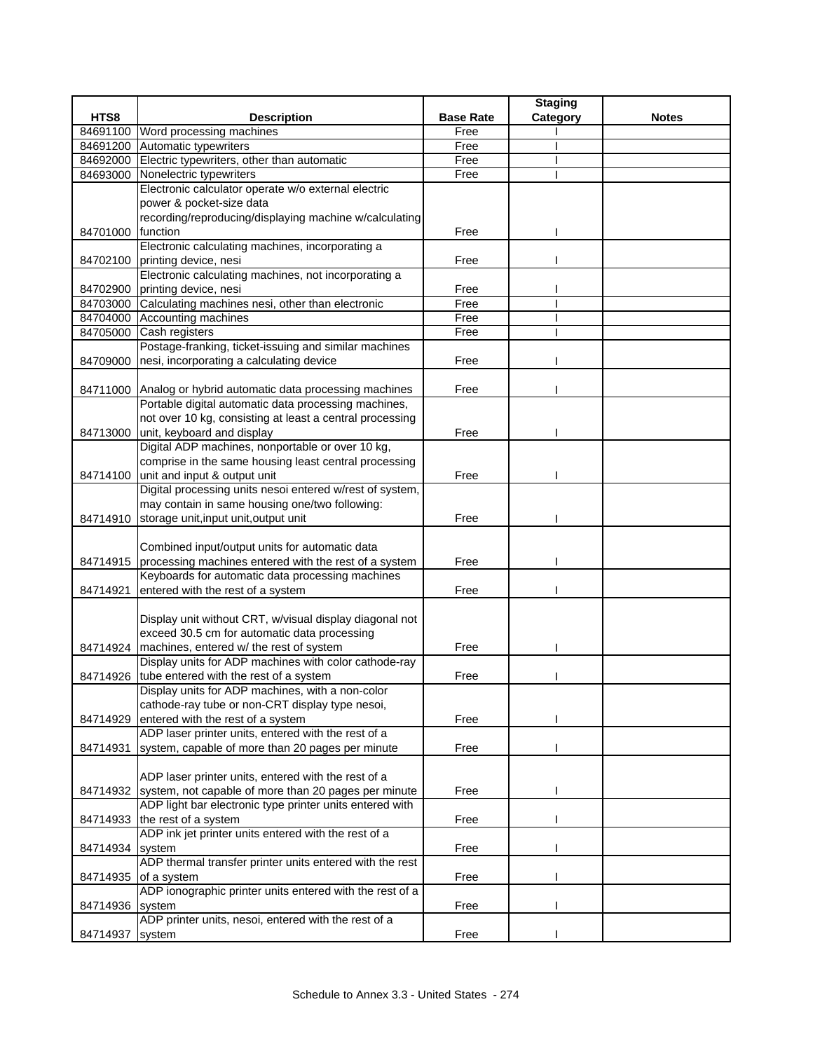|                 |                                                               |                  | <b>Staging</b> |              |
|-----------------|---------------------------------------------------------------|------------------|----------------|--------------|
| HTS8            | <b>Description</b>                                            | <b>Base Rate</b> | Category       | <b>Notes</b> |
| 84691100        | Word processing machines                                      | Free             |                |              |
| 84691200        | Automatic typewriters                                         | Free             |                |              |
|                 | 84692000 Electric typewriters, other than automatic           | Free             |                |              |
| 84693000        | Nonelectric typewriters                                       | Free             |                |              |
|                 | Electronic calculator operate w/o external electric           |                  |                |              |
|                 | power & pocket-size data                                      |                  |                |              |
|                 | recording/reproducing/displaying machine w/calculating        |                  |                |              |
| 84701000        | function                                                      | Free             |                |              |
|                 | Electronic calculating machines, incorporating a              |                  |                |              |
|                 | 84702100 printing device, nesi                                | Free             |                |              |
|                 | Electronic calculating machines, not incorporating a          |                  |                |              |
|                 | 84702900 printing device, nesi                                | Free             |                |              |
|                 | 84703000 Calculating machines nesi, other than electronic     | Free             |                |              |
|                 | 84704000 Accounting machines                                  | Free             |                |              |
| 84705000        | Cash registers                                                | Free             |                |              |
|                 | Postage-franking, ticket-issuing and similar machines         |                  |                |              |
|                 | 84709000 nesi, incorporating a calculating device             | Free             |                |              |
|                 |                                                               |                  |                |              |
|                 | 84711000 Analog or hybrid automatic data processing machines  | Free             |                |              |
|                 | Portable digital automatic data processing machines,          |                  |                |              |
|                 | not over 10 kg, consisting at least a central processing      |                  |                |              |
|                 | 84713000 unit, keyboard and display                           | Free             |                |              |
|                 | Digital ADP machines, nonportable or over 10 kg,              |                  |                |              |
|                 | comprise in the same housing least central processing         |                  |                |              |
|                 | 84714100 unit and input & output unit                         | Free             |                |              |
|                 | Digital processing units nesoi entered w/rest of system,      |                  |                |              |
|                 | may contain in same housing one/two following:                |                  |                |              |
| 84714910        | storage unit, input unit, output unit                         | Free             |                |              |
|                 |                                                               |                  |                |              |
|                 | Combined input/output units for automatic data                |                  |                |              |
| 84714915        | processing machines entered with the rest of a system         | Free             |                |              |
|                 | Keyboards for automatic data processing machines              |                  |                |              |
| 84714921        | entered with the rest of a system                             | Free             |                |              |
|                 | Display unit without CRT, w/visual display diagonal not       |                  |                |              |
|                 | exceed 30.5 cm for automatic data processing                  |                  |                |              |
|                 | 84714924 machines, entered w/ the rest of system              | Free             |                |              |
|                 | Display units for ADP machines with color cathode-ray         |                  |                |              |
|                 | 84714926 tube entered with the rest of a system               | Free             |                |              |
|                 | Display units for ADP machines, with a non-color              |                  |                |              |
|                 | cathode-ray tube or non-CRT display type nesoi,               |                  |                |              |
| 84714929        | entered with the rest of a system                             | Free             |                |              |
|                 | ADP laser printer units, entered with the rest of a           |                  |                |              |
| 84714931        | system, capable of more than 20 pages per minute              | Free             |                |              |
|                 |                                                               |                  |                |              |
|                 | ADP laser printer units, entered with the rest of a           |                  |                |              |
|                 | 84714932 system, not capable of more than 20 pages per minute | Free             |                |              |
|                 | ADP light bar electronic type printer units entered with      |                  |                |              |
|                 | 84714933 the rest of a system                                 | Free             |                |              |
|                 | ADP ink jet printer units entered with the rest of a          |                  |                |              |
| 84714934        | system                                                        | Free             |                |              |
|                 | ADP thermal transfer printer units entered with the rest      |                  |                |              |
| 84714935        | of a system                                                   | Free             |                |              |
|                 | ADP ionographic printer units entered with the rest of a      |                  |                |              |
| 84714936 system |                                                               | Free             |                |              |
|                 | ADP printer units, nesoi, entered with the rest of a          |                  |                |              |
| 84714937        | system                                                        | Free             |                |              |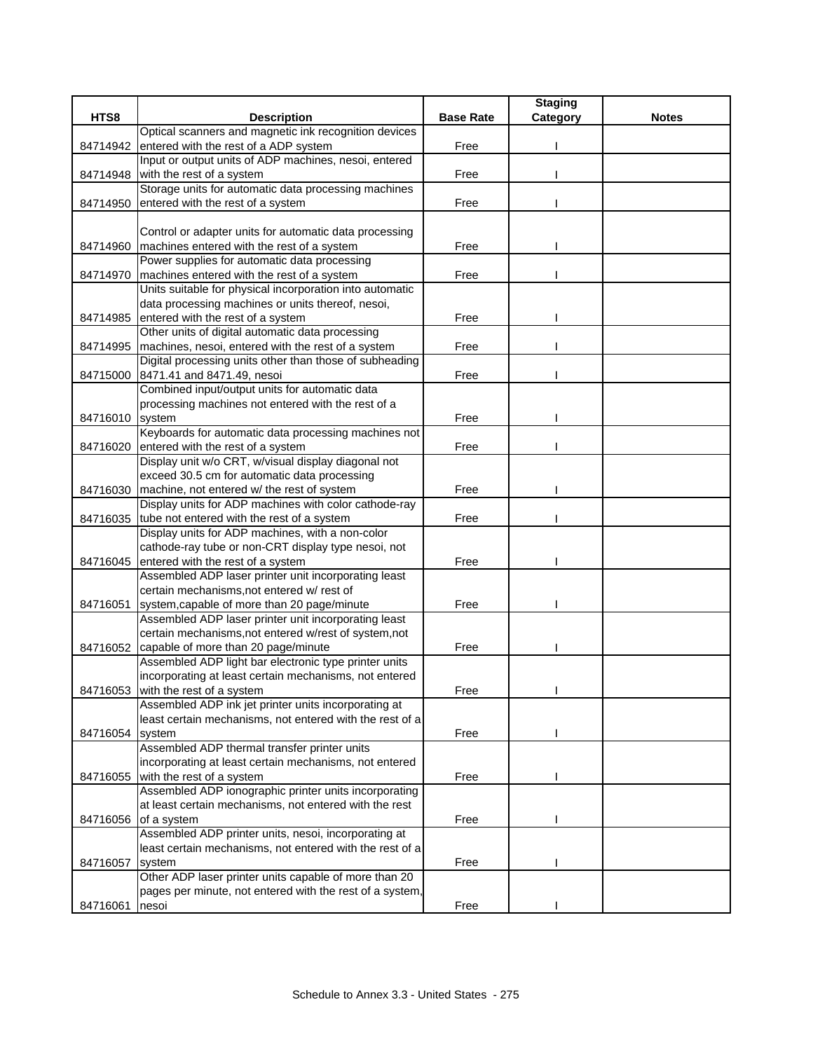|                 |                                                                                       |                  | <b>Staging</b> |              |
|-----------------|---------------------------------------------------------------------------------------|------------------|----------------|--------------|
| HTS8            | <b>Description</b>                                                                    | <b>Base Rate</b> | Category       | <b>Notes</b> |
|                 | Optical scanners and magnetic ink recognition devices                                 |                  |                |              |
| 84714942        | entered with the rest of a ADP system                                                 | Free             |                |              |
|                 | Input or output units of ADP machines, nesoi, entered                                 |                  |                |              |
| 84714948        | with the rest of a system                                                             | Free             |                |              |
|                 | Storage units for automatic data processing machines                                  |                  |                |              |
| 84714950        | entered with the rest of a system                                                     | Free             |                |              |
|                 |                                                                                       |                  |                |              |
|                 | Control or adapter units for automatic data processing                                |                  |                |              |
| 84714960        | machines entered with the rest of a system                                            | Free             |                |              |
|                 | Power supplies for automatic data processing                                          |                  |                |              |
| 84714970        | machines entered with the rest of a system                                            | Free             |                |              |
|                 | Units suitable for physical incorporation into automatic                              |                  |                |              |
|                 | data processing machines or units thereof, nesoi,                                     |                  |                |              |
| 84714985        | entered with the rest of a system<br>Other units of digital automatic data processing | Free             |                |              |
| 84714995        | machines, nesoi, entered with the rest of a system                                    | Free             |                |              |
|                 | Digital processing units other than those of subheading                               |                  |                |              |
| 84715000        | 8471.41 and 8471.49, nesoi                                                            | Free             |                |              |
|                 | Combined input/output units for automatic data                                        |                  |                |              |
|                 | processing machines not entered with the rest of a                                    |                  |                |              |
| 84716010        | system                                                                                | Free             |                |              |
|                 | Keyboards for automatic data processing machines not                                  |                  |                |              |
| 84716020        | entered with the rest of a system                                                     | Free             |                |              |
|                 | Display unit w/o CRT, w/visual display diagonal not                                   |                  |                |              |
|                 | exceed 30.5 cm for automatic data processing                                          |                  |                |              |
| 84716030        | machine, not entered w/ the rest of system                                            | Free             |                |              |
|                 | Display units for ADP machines with color cathode-ray                                 |                  |                |              |
|                 | 84716035 tube not entered with the rest of a system                                   | Free             |                |              |
|                 | Display units for ADP machines, with a non-color                                      |                  |                |              |
|                 | cathode-ray tube or non-CRT display type nesoi, not                                   |                  |                |              |
| 84716045        | entered with the rest of a system                                                     | Free             |                |              |
|                 | Assembled ADP laser printer unit incorporating least                                  |                  |                |              |
|                 | certain mechanisms, not entered w/ rest of                                            |                  |                |              |
| 84716051        | system, capable of more than 20 page/minute                                           | Free             |                |              |
|                 | Assembled ADP laser printer unit incorporating least                                  |                  |                |              |
|                 | certain mechanisms, not entered w/rest of system, not                                 |                  |                |              |
| 84716052        | capable of more than 20 page/minute                                                   | Free             |                |              |
|                 | Assembled ADP light bar electronic type printer units                                 |                  |                |              |
|                 | incorporating at least certain mechanisms, not entered                                |                  |                |              |
| 84716053        | with the rest of a system                                                             | Free             |                |              |
|                 | Assembled ADP ink jet printer units incorporating at                                  |                  |                |              |
|                 | least certain mechanisms, not entered with the rest of a                              |                  |                |              |
| 84716054 system |                                                                                       | Free             |                |              |
|                 | Assembled ADP thermal transfer printer units                                          |                  |                |              |
|                 | incorporating at least certain mechanisms, not entered                                |                  |                |              |
| 84716055        | with the rest of a system<br>Assembled ADP ionographic printer units incorporating    | Free             |                |              |
|                 | at least certain mechanisms, not entered with the rest                                |                  |                |              |
| 84716056        | of a system                                                                           | Free             |                |              |
|                 | Assembled ADP printer units, nesoi, incorporating at                                  |                  |                |              |
|                 | least certain mechanisms, not entered with the rest of a                              |                  |                |              |
| 84716057        | system                                                                                | Free             |                |              |
|                 | Other ADP laser printer units capable of more than 20                                 |                  |                |              |
|                 | pages per minute, not entered with the rest of a system,                              |                  |                |              |
| 84716061        | nesoi                                                                                 | Free             |                |              |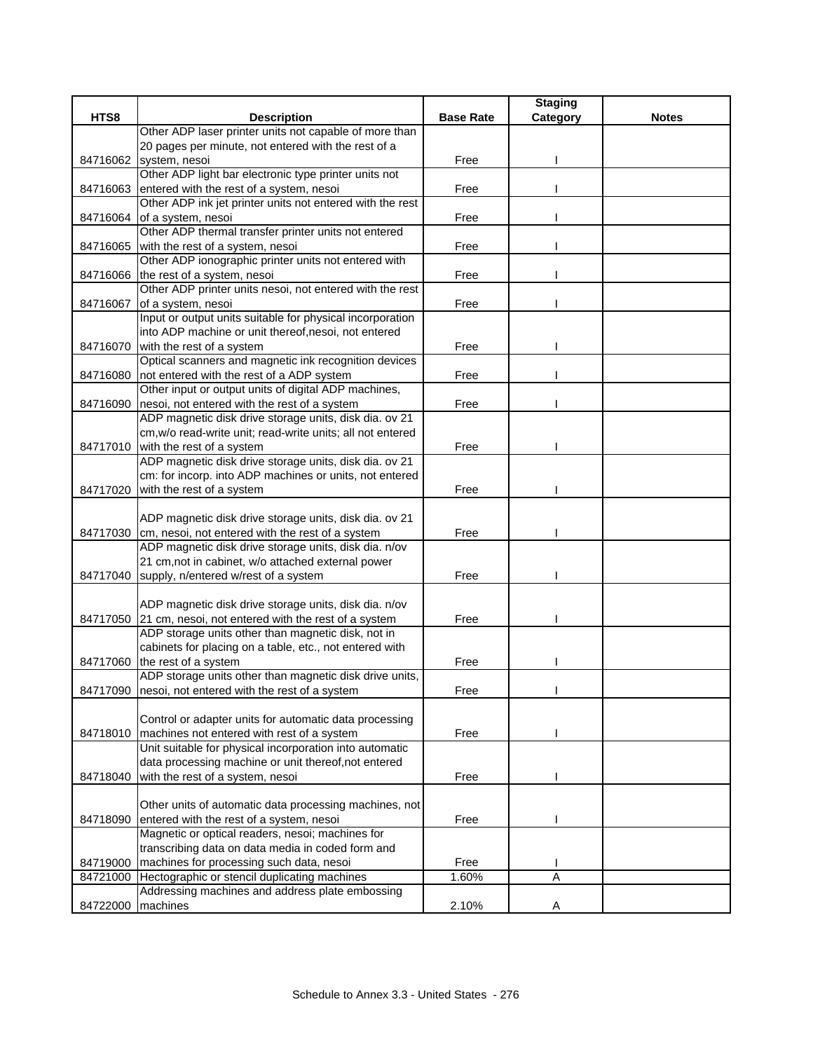|          |                                                                                          |                  | <b>Staging</b> |              |
|----------|------------------------------------------------------------------------------------------|------------------|----------------|--------------|
| HTS8     | <b>Description</b>                                                                       | <b>Base Rate</b> | Category       | <b>Notes</b> |
|          | Other ADP laser printer units not capable of more than                                   |                  |                |              |
|          | 20 pages per minute, not entered with the rest of a                                      |                  |                |              |
| 84716062 | system, nesoi                                                                            | Free             |                |              |
|          | Other ADP light bar electronic type printer units not                                    |                  |                |              |
| 84716063 | entered with the rest of a system, nesoi                                                 | Free             |                |              |
|          | Other ADP ink jet printer units not entered with the rest                                |                  |                |              |
| 84716064 | of a system, nesoi<br>Other ADP thermal transfer printer units not entered               | Free             |                |              |
|          |                                                                                          | Free             |                |              |
| 84716065 | with the rest of a system, nesoi<br>Other ADP ionographic printer units not entered with |                  |                |              |
| 84716066 | the rest of a system, nesoi                                                              | Free             |                |              |
|          | Other ADP printer units nesoi, not entered with the rest                                 |                  |                |              |
| 84716067 | of a system, nesoi                                                                       | Free             |                |              |
|          | Input or output units suitable for physical incorporation                                |                  |                |              |
|          | into ADP machine or unit thereof, nesoi, not entered                                     |                  |                |              |
| 84716070 | with the rest of a system                                                                | Free             |                |              |
|          | Optical scanners and magnetic ink recognition devices                                    |                  |                |              |
| 84716080 | not entered with the rest of a ADP system                                                | Free             |                |              |
|          | Other input or output units of digital ADP machines,                                     |                  |                |              |
| 84716090 | nesoi, not entered with the rest of a system                                             | Free             |                |              |
|          | ADP magnetic disk drive storage units, disk dia. ov 21                                   |                  |                |              |
|          | cm, w/o read-write unit; read-write units; all not entered                               |                  |                |              |
|          | 84717010 with the rest of a system                                                       | Free             |                |              |
|          | ADP magnetic disk drive storage units, disk dia. ov 21                                   |                  |                |              |
|          | cm: for incorp. into ADP machines or units, not entered                                  |                  |                |              |
| 84717020 | with the rest of a system                                                                | Free             |                |              |
|          |                                                                                          |                  |                |              |
|          | ADP magnetic disk drive storage units, disk dia. ov 21                                   |                  |                |              |
| 84717030 | cm, nesoi, not entered with the rest of a system                                         | Free             |                |              |
|          | ADP magnetic disk drive storage units, disk dia. n/ov                                    |                  |                |              |
|          | 21 cm, not in cabinet, w/o attached external power                                       |                  |                |              |
| 84717040 | supply, n/entered w/rest of a system                                                     | Free             |                |              |
|          |                                                                                          |                  |                |              |
|          | ADP magnetic disk drive storage units, disk dia. n/ov                                    |                  |                |              |
|          | 84717050 21 cm, nesoi, not entered with the rest of a system                             | Free             |                |              |
|          | ADP storage units other than magnetic disk, not in                                       |                  |                |              |
|          | cabinets for placing on a table, etc., not entered with                                  |                  |                |              |
| 84717060 | the rest of a system                                                                     | Free             |                |              |
|          | ADP storage units other than magnetic disk drive units,                                  |                  |                |              |
|          | 84717090 nesoi, not entered with the rest of a system                                    | Free             |                |              |
|          | Control or adapter units for automatic data processing                                   |                  |                |              |
| 84718010 | machines not entered with rest of a system                                               | Free             |                |              |
|          | Unit suitable for physical incorporation into automatic                                  |                  |                |              |
|          | data processing machine or unit thereof, not entered                                     |                  |                |              |
| 84718040 | with the rest of a system, nesoi                                                         | Free             |                |              |
|          |                                                                                          |                  |                |              |
|          | Other units of automatic data processing machines, not                                   |                  |                |              |
| 84718090 | entered with the rest of a system, nesoi                                                 | Free             |                |              |
|          | Magnetic or optical readers, nesoi; machines for                                         |                  |                |              |
|          | transcribing data on data media in coded form and                                        |                  |                |              |
| 84719000 | machines for processing such data, nesoi                                                 | Free             |                |              |
| 84721000 | Hectographic or stencil duplicating machines                                             | 1.60%            | Α              |              |
|          | Addressing machines and address plate embossing                                          |                  |                |              |
| 84722000 | machines                                                                                 | 2.10%            | A              |              |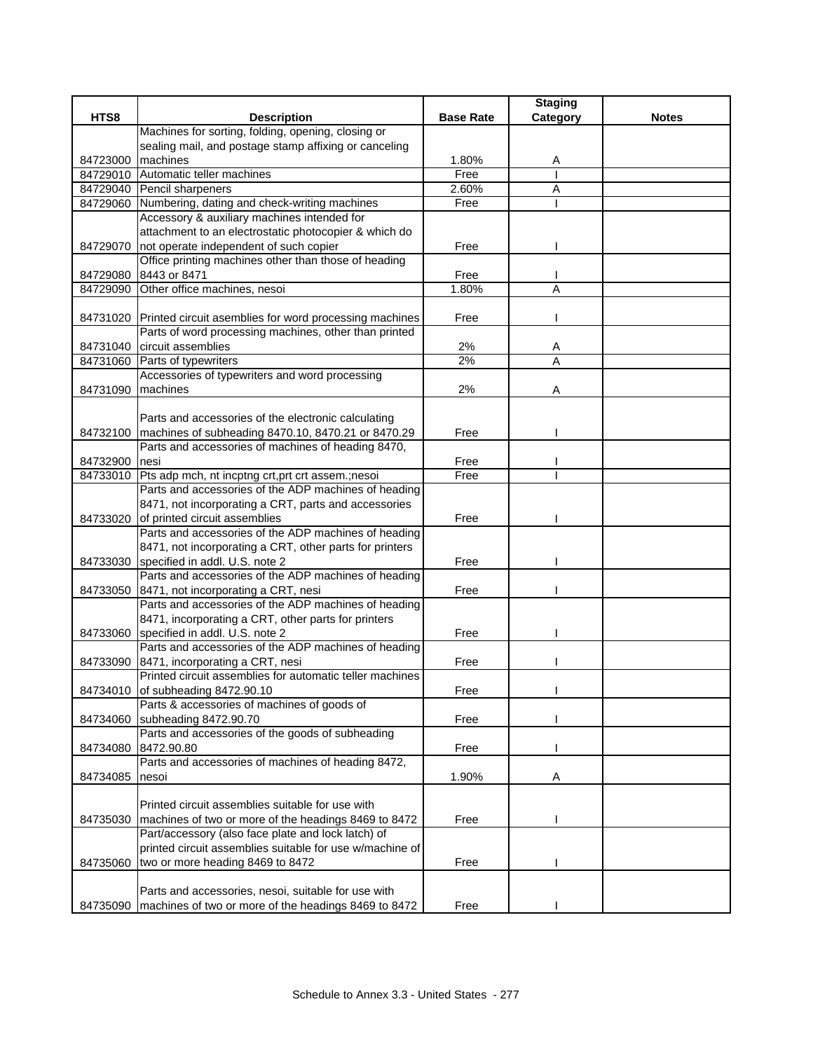|               |                                                                 |                  | <b>Staging</b> |              |
|---------------|-----------------------------------------------------------------|------------------|----------------|--------------|
| HTS8          | <b>Description</b>                                              | <b>Base Rate</b> | Category       | <b>Notes</b> |
|               | Machines for sorting, folding, opening, closing or              |                  |                |              |
|               | sealing mail, and postage stamp affixing or canceling           |                  |                |              |
| 84723000      | machines                                                        | 1.80%            | Α              |              |
|               | 84729010 Automatic teller machines                              | Free             |                |              |
|               | 84729040 Pencil sharpeners                                      | 2.60%            | Α              |              |
| 84729060      | Numbering, dating and check-writing machines                    | Free             |                |              |
|               | Accessory & auxiliary machines intended for                     |                  |                |              |
|               | attachment to an electrostatic photocopier & which do           |                  |                |              |
|               | 84729070 not operate independent of such copier                 | Free             |                |              |
|               | Office printing machines other than those of heading            |                  |                |              |
|               | 84729080 8443 or 8471                                           | Free             |                |              |
| 84729090      | Other office machines, nesoi                                    | 1.80%            | Α              |              |
|               |                                                                 |                  |                |              |
|               | 84731020 Printed circuit asemblies for word processing machines | Free             |                |              |
|               | Parts of word processing machines, other than printed           |                  |                |              |
|               | 84731040 circuit assemblies                                     | 2%               | Α              |              |
| 84731060      | Parts of typewriters                                            | 2%               | Α              |              |
|               | Accessories of typewriters and word processing                  |                  |                |              |
| 84731090      | machines                                                        | 2%               | A              |              |
|               |                                                                 |                  |                |              |
|               | Parts and accessories of the electronic calculating             |                  |                |              |
|               | 84732100 machines of subheading 8470.10, 8470.21 or 8470.29     | Free             |                |              |
|               | Parts and accessories of machines of heading 8470,              |                  |                |              |
| 84732900 nesi |                                                                 | Free             |                |              |
|               | 84733010 Pts adp mch, nt incptng crt, prt crt assem.; nesoi     | Free             |                |              |
|               | Parts and accessories of the ADP machines of heading            |                  |                |              |
|               | 8471, not incorporating a CRT, parts and accessories            |                  |                |              |
| 84733020      | of printed circuit assemblies                                   | Free             |                |              |
|               | Parts and accessories of the ADP machines of heading            |                  |                |              |
|               | 8471, not incorporating a CRT, other parts for printers         |                  |                |              |
| 84733030      | specified in addl. U.S. note 2                                  | Free             |                |              |
|               | Parts and accessories of the ADP machines of heading            |                  |                |              |
|               | 84733050 8471, not incorporating a CRT, nesi                    | Free             |                |              |
|               | Parts and accessories of the ADP machines of heading            |                  |                |              |
|               | 8471, incorporating a CRT, other parts for printers             |                  |                |              |
|               |                                                                 |                  |                |              |
| 84733060      | specified in addl. U.S. note 2                                  | Free             |                |              |
|               | Parts and accessories of the ADP machines of heading            |                  |                |              |
|               | 84733090 8471, incorporating a CRT, nesi                        | Free             |                |              |
|               | Printed circuit assemblies for automatic teller machines        |                  |                |              |
|               | 84734010 of subheading 8472.90.10                               | Free             |                |              |
|               | Parts & accessories of machines of goods of                     |                  |                |              |
| 84734060      | subheading 8472.90.70                                           | Free             |                |              |
|               | Parts and accessories of the goods of subheading                |                  |                |              |
|               | 84734080 8472.90.80                                             | Free             |                |              |
|               | Parts and accessories of machines of heading 8472,              |                  |                |              |
| 84734085      | nesoi                                                           | 1.90%            | Α              |              |
|               |                                                                 |                  |                |              |
|               | Printed circuit assemblies suitable for use with                |                  |                |              |
| 84735030      | machines of two or more of the headings 8469 to 8472            | Free             |                |              |
|               | Part/accessory (also face plate and lock latch) of              |                  |                |              |
|               | printed circuit assemblies suitable for use w/machine of        |                  |                |              |
| 84735060      | two or more heading 8469 to 8472                                | Free             |                |              |
|               |                                                                 |                  |                |              |
|               | Parts and accessories, nesoi, suitable for use with             |                  |                |              |
|               | 84735090 machines of two or more of the headings 8469 to 8472   | Free             |                |              |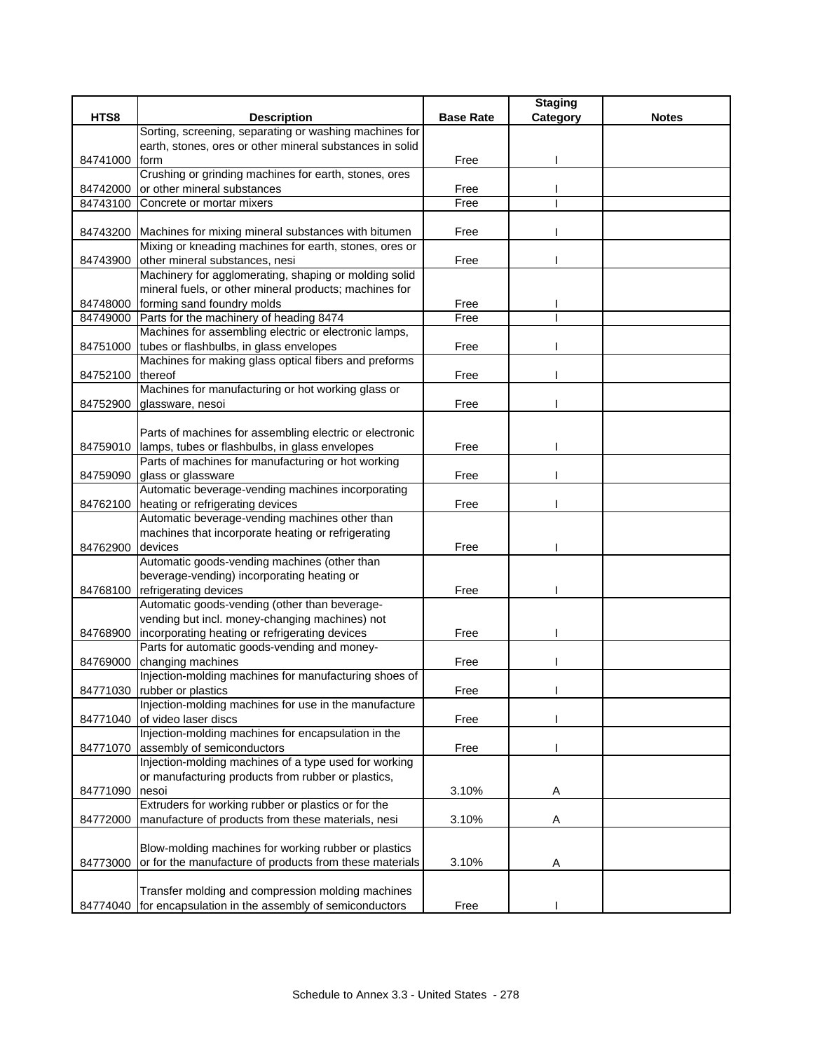|                  |                                                                                      |                  | <b>Staging</b> |              |
|------------------|--------------------------------------------------------------------------------------|------------------|----------------|--------------|
| HTS8             | <b>Description</b>                                                                   | <b>Base Rate</b> | Category       | <b>Notes</b> |
|                  | Sorting, screening, separating or washing machines for                               |                  |                |              |
|                  | earth, stones, ores or other mineral substances in solid                             |                  |                |              |
| 84741000         | form                                                                                 | Free             |                |              |
|                  | Crushing or grinding machines for earth, stones, ores                                |                  |                |              |
| 84742000         | or other mineral substances                                                          | Free             |                |              |
| 84743100         | Concrete or mortar mixers                                                            | Free             |                |              |
|                  |                                                                                      |                  |                |              |
|                  | 84743200 Machines for mixing mineral substances with bitumen                         | Free             |                |              |
|                  | Mixing or kneading machines for earth, stones, ores or                               |                  |                |              |
|                  | 84743900 other mineral substances, nesi                                              | Free             |                |              |
|                  | Machinery for agglomerating, shaping or molding solid                                |                  |                |              |
|                  | mineral fuels, or other mineral products; machines for                               |                  |                |              |
|                  | 84748000 forming sand foundry molds                                                  | Free             |                |              |
|                  | 84749000 Parts for the machinery of heading 8474                                     | Free             |                |              |
|                  | Machines for assembling electric or electronic lamps,                                |                  |                |              |
|                  | 84751000 tubes or flashbulbs, in glass envelopes                                     | Free             |                |              |
|                  | Machines for making glass optical fibers and preforms                                |                  |                |              |
| 84752100 thereof |                                                                                      | Free             |                |              |
|                  | Machines for manufacturing or hot working glass or                                   |                  |                |              |
| 84752900         | glassware, nesoi                                                                     | Free             |                |              |
|                  |                                                                                      |                  |                |              |
|                  | Parts of machines for assembling electric or electronic                              |                  |                |              |
| 84759010         | lamps, tubes or flashbulbs, in glass envelopes                                       | Free             |                |              |
|                  | Parts of machines for manufacturing or hot working                                   |                  |                |              |
|                  | 84759090 glass or glassware                                                          | Free             |                |              |
|                  | Automatic beverage-vending machines incorporating                                    |                  |                |              |
|                  | 84762100 heating or refrigerating devices                                            | Free             |                |              |
|                  | Automatic beverage-vending machines other than                                       |                  |                |              |
|                  | machines that incorporate heating or refrigerating                                   |                  |                |              |
| 84762900         | devices                                                                              | Free             |                |              |
|                  | Automatic goods-vending machines (other than                                         |                  |                |              |
|                  | beverage-vending) incorporating heating or                                           |                  |                |              |
| 84768100         | refrigerating devices                                                                | Free             |                |              |
|                  | Automatic goods-vending (other than beverage-                                        |                  |                |              |
|                  | vending but incl. money-changing machines) not                                       |                  |                |              |
| 84768900         | incorporating heating or refrigerating devices                                       | Free             |                |              |
|                  | Parts for automatic goods-vending and money-                                         |                  |                |              |
| 84769000         | changing machines                                                                    | Free             |                |              |
|                  | Injection-molding machines for manufacturing shoes of                                |                  |                |              |
|                  | 84771030 rubber or plastics                                                          | Free             |                |              |
|                  | Injection-molding machines for use in the manufacture                                |                  |                |              |
|                  | 84771040 of video laser discs<br>Injection-molding machines for encapsulation in the | Free             |                |              |
| 84771070         | assembly of semiconductors                                                           | Free             |                |              |
|                  | Injection-molding machines of a type used for working                                |                  |                |              |
|                  | or manufacturing products from rubber or plastics,                                   |                  |                |              |
| 84771090         | nesoi                                                                                | 3.10%            | A              |              |
|                  | Extruders for working rubber or plastics or for the                                  |                  |                |              |
| 84772000         | manufacture of products from these materials, nesi                                   | 3.10%            | Α              |              |
|                  |                                                                                      |                  |                |              |
|                  | Blow-molding machines for working rubber or plastics                                 |                  |                |              |
| 84773000         | or for the manufacture of products from these materials                              | 3.10%            | A              |              |
|                  |                                                                                      |                  |                |              |
|                  | Transfer molding and compression molding machines                                    |                  |                |              |
| 84774040         | for encapsulation in the assembly of semiconductors                                  | Free             |                |              |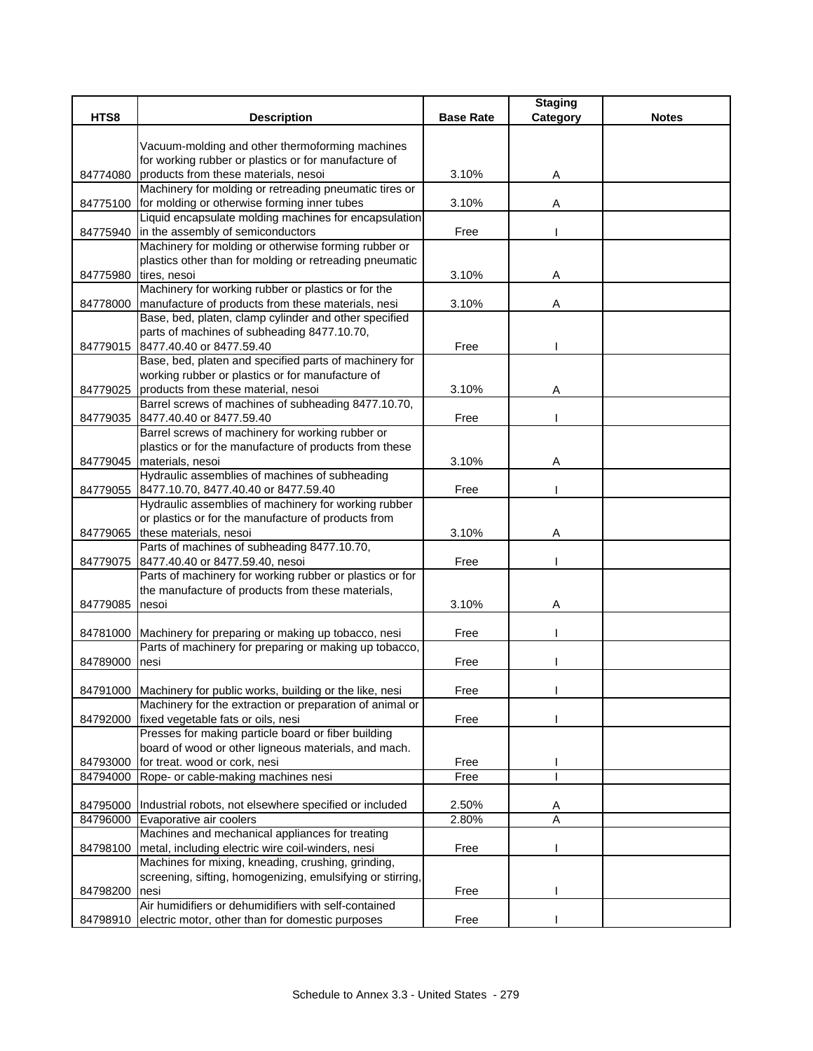|          |                                                                                           |                  | <b>Staging</b> |              |
|----------|-------------------------------------------------------------------------------------------|------------------|----------------|--------------|
| HTS8     | <b>Description</b>                                                                        | <b>Base Rate</b> | Category       | <b>Notes</b> |
|          | Vacuum-molding and other thermoforming machines                                           |                  |                |              |
|          | for working rubber or plastics or for manufacture of                                      |                  |                |              |
|          | 84774080 products from these materials, nesoi                                             | 3.10%            | Α              |              |
|          | Machinery for molding or retreading pneumatic tires or                                    |                  |                |              |
|          | 84775100 for molding or otherwise forming inner tubes                                     | 3.10%            | Α              |              |
|          | Liquid encapsulate molding machines for encapsulation                                     |                  |                |              |
|          | 84775940 in the assembly of semiconductors                                                | Free             |                |              |
|          | Machinery for molding or otherwise forming rubber or                                      |                  |                |              |
|          | plastics other than for molding or retreading pneumatic                                   |                  |                |              |
| 84775980 | tires, nesoi                                                                              | 3.10%            | Α              |              |
|          | Machinery for working rubber or plastics or for the                                       |                  |                |              |
| 84778000 | manufacture of products from these materials, nesi                                        | 3.10%            | Α              |              |
|          | Base, bed, platen, clamp cylinder and other specified                                     |                  |                |              |
|          | parts of machines of subheading 8477.10.70,                                               |                  |                |              |
|          | 84779015 8477.40.40 or 8477.59.40                                                         | Free             |                |              |
|          | Base, bed, platen and specified parts of machinery for                                    |                  |                |              |
|          | working rubber or plastics or for manufacture of                                          |                  |                |              |
|          | 84779025 products from these material, nesoi                                              | 3.10%            | Α              |              |
|          | Barrel screws of machines of subheading 8477.10.70,                                       |                  |                |              |
|          | 84779035 8477.40.40 or 8477.59.40                                                         | Free             |                |              |
|          | Barrel screws of machinery for working rubber or                                          |                  |                |              |
|          | plastics or for the manufacture of products from these                                    |                  |                |              |
|          | 84779045 materials, nesoi<br>Hydraulic assemblies of machines of subheading               | 3.10%            | Α              |              |
|          | 84779055 8477.10.70, 8477.40.40 or 8477.59.40                                             | Free             |                |              |
|          | Hydraulic assemblies of machinery for working rubber                                      |                  |                |              |
|          | or plastics or for the manufacture of products from                                       |                  |                |              |
|          | 84779065 these materials, nesoi                                                           | 3.10%            | Α              |              |
|          | Parts of machines of subheading 8477.10.70,                                               |                  |                |              |
|          | 84779075 8477.40.40 or 8477.59.40, nesoi                                                  | Free             |                |              |
|          | Parts of machinery for working rubber or plastics or for                                  |                  |                |              |
|          | the manufacture of products from these materials,                                         |                  |                |              |
| 84779085 | nesoi                                                                                     | 3.10%            | Α              |              |
|          |                                                                                           |                  |                |              |
|          | 84781000 Machinery for preparing or making up tobacco, nesi                               | Free             |                |              |
|          | Parts of machinery for preparing or making up tobacco,                                    |                  |                |              |
| 84789000 | Inesi                                                                                     | Free             |                |              |
|          |                                                                                           |                  |                |              |
|          | 84791000 Machinery for public works, building or the like, nesi                           | Free             |                |              |
|          | Machinery for the extraction or preparation of animal or                                  |                  |                |              |
| 84792000 | fixed vegetable fats or oils, nesi<br>Presses for making particle board or fiber building | Free             |                |              |
|          | board of wood or other ligneous materials, and mach.                                      |                  |                |              |
| 84793000 | for treat. wood or cork, nesi                                                             | Free             |                |              |
| 84794000 | Rope- or cable-making machines nesi                                                       | Free             |                |              |
|          |                                                                                           |                  |                |              |
|          | 84795000   Industrial robots, not elsewhere specified or included                         | 2.50%            | A              |              |
| 84796000 | Evaporative air coolers                                                                   | 2.80%            | A              |              |
|          | Machines and mechanical appliances for treating                                           |                  |                |              |
| 84798100 | metal, including electric wire coil-winders, nesi                                         | Free             |                |              |
|          | Machines for mixing, kneading, crushing, grinding,                                        |                  |                |              |
|          | screening, sifting, homogenizing, emulsifying or stirring,                                |                  |                |              |
| 84798200 | nesi                                                                                      | Free             |                |              |
|          | Air humidifiers or dehumidifiers with self-contained                                      |                  |                |              |
| 84798910 | electric motor, other than for domestic purposes                                          | Free             |                |              |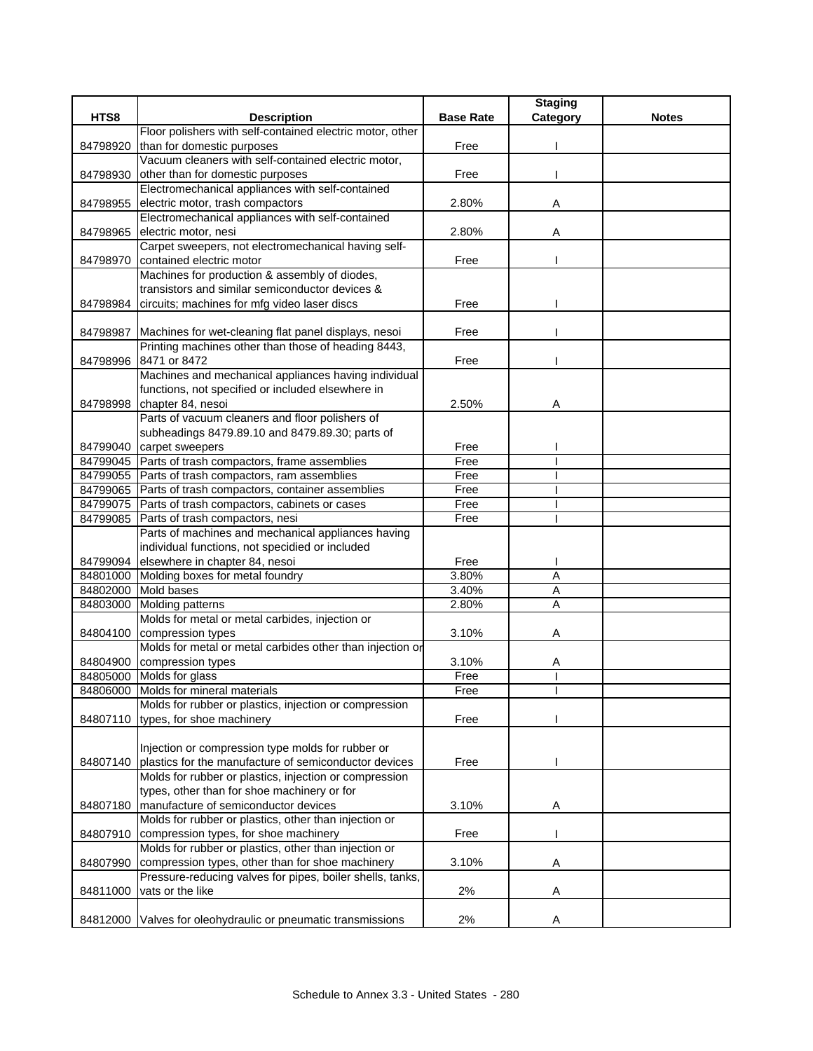| HTS8     | <b>Description</b>                                             | <b>Base Rate</b> | <b>Staging</b><br>Category | <b>Notes</b> |
|----------|----------------------------------------------------------------|------------------|----------------------------|--------------|
|          | Floor polishers with self-contained electric motor, other      |                  |                            |              |
| 84798920 | than for domestic purposes                                     | Free             |                            |              |
|          | Vacuum cleaners with self-contained electric motor,            |                  |                            |              |
| 84798930 | other than for domestic purposes                               | Free             |                            |              |
|          | Electromechanical appliances with self-contained               |                  |                            |              |
| 84798955 | electric motor, trash compactors                               | 2.80%            | Α                          |              |
|          | Electromechanical appliances with self-contained               |                  |                            |              |
| 84798965 | electric motor, nesi                                           | 2.80%            | A                          |              |
|          | Carpet sweepers, not electromechanical having self-            |                  |                            |              |
|          | 84798970 contained electric motor                              | Free             |                            |              |
|          | Machines for production & assembly of diodes,                  |                  |                            |              |
|          | transistors and similar semiconductor devices &                |                  |                            |              |
| 84798984 | circuits; machines for mfg video laser discs                   | Free             |                            |              |
|          |                                                                |                  |                            |              |
|          | 84798987 Machines for wet-cleaning flat panel displays, nesoi  | Free             |                            |              |
|          | Printing machines other than those of heading 8443,            |                  |                            |              |
| 84798996 | 8471 or 8472                                                   | Free             |                            |              |
|          | Machines and mechanical appliances having individual           |                  |                            |              |
|          | functions, not specified or included elsewhere in              |                  |                            |              |
|          | 84798998 chapter 84, nesoi                                     | 2.50%            | Α                          |              |
|          | Parts of vacuum cleaners and floor polishers of                |                  |                            |              |
|          | subheadings 8479.89.10 and 8479.89.30; parts of                |                  |                            |              |
|          | 84799040 carpet sweepers                                       | Free             |                            |              |
|          | 84799045 Parts of trash compactors, frame assemblies           | Free             |                            |              |
|          | 84799055 Parts of trash compactors, ram assemblies             | Free             |                            |              |
|          | 84799065 Parts of trash compactors, container assemblies       | Free             |                            |              |
|          | 84799075 Parts of trash compactors, cabinets or cases          | Free             |                            |              |
|          | 84799085 Parts of trash compactors, nesi                       | Free             |                            |              |
|          | Parts of machines and mechanical appliances having             |                  |                            |              |
|          | individual functions, not specidied or included                |                  |                            |              |
|          | 84799094 elsewhere in chapter 84, nesoi                        | Free             |                            |              |
|          | 84801000 Molding boxes for metal foundry                       | 3.80%            | $\overline{A}$             |              |
|          | 84802000 Mold bases                                            | 3.40%            | Α                          |              |
|          | 84803000 Molding patterns                                      | 2.80%            | $\overline{A}$             |              |
|          | Molds for metal or metal carbides, injection or                |                  |                            |              |
| 84804100 | compression types                                              | 3.10%            | Α                          |              |
|          | Molds for metal or metal carbides other than injection or      |                  |                            |              |
|          | 84804900 compression types                                     | 3.10%            | A                          |              |
|          | 84805000 Molds for glass                                       | Free             |                            |              |
|          | 84806000 Molds for mineral materials                           | Free             |                            |              |
|          | Molds for rubber or plastics, injection or compression         |                  |                            |              |
|          | 84807110 types, for shoe machinery                             | Free             |                            |              |
|          |                                                                |                  |                            |              |
|          | Injection or compression type molds for rubber or              |                  |                            |              |
|          | 84807140 plastics for the manufacture of semiconductor devices | Free             |                            |              |
|          | Molds for rubber or plastics, injection or compression         |                  |                            |              |
|          | types, other than for shoe machinery or for                    |                  |                            |              |
| 84807180 | manufacture of semiconductor devices                           | 3.10%            | Α                          |              |
|          | Molds for rubber or plastics, other than injection or          |                  |                            |              |
| 84807910 | compression types, for shoe machinery                          | Free             |                            |              |
|          | Molds for rubber or plastics, other than injection or          |                  |                            |              |
| 84807990 | compression types, other than for shoe machinery               | 3.10%            | Α                          |              |
|          | Pressure-reducing valves for pipes, boiler shells, tanks,      |                  |                            |              |
| 84811000 | vats or the like                                               | 2%               | Α                          |              |
|          |                                                                |                  |                            |              |
| 84812000 | Valves for oleohydraulic or pneumatic transmissions            | 2%               | Α                          |              |
|          |                                                                |                  |                            |              |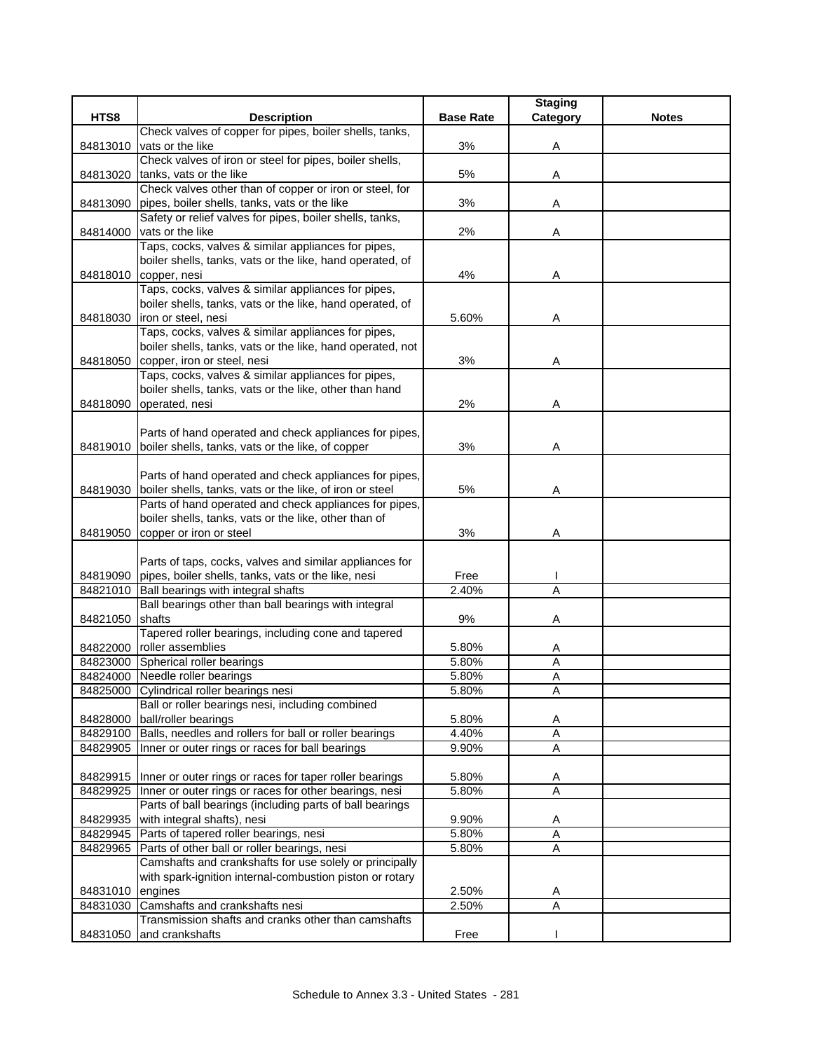|                 |                                                                         |                  | <b>Staging</b> |              |
|-----------------|-------------------------------------------------------------------------|------------------|----------------|--------------|
| HTS8            | <b>Description</b>                                                      | <b>Base Rate</b> | Category       | <b>Notes</b> |
|                 | Check valves of copper for pipes, boiler shells, tanks,                 |                  |                |              |
| 84813010        | vats or the like                                                        | 3%               | Α              |              |
|                 | Check valves of iron or steel for pipes, boiler shells,                 |                  |                |              |
| 84813020        | tanks, vats or the like                                                 | 5%               | Α              |              |
|                 | Check valves other than of copper or iron or steel, for                 |                  |                |              |
| 84813090        | pipes, boiler shells, tanks, vats or the like                           | 3%               | Α              |              |
|                 | Safety or relief valves for pipes, boiler shells, tanks,                |                  |                |              |
| 84814000        | vats or the like<br>Taps, cocks, valves & similar appliances for pipes, | 2%               | Α              |              |
|                 | boiler shells, tanks, vats or the like, hand operated, of               |                  |                |              |
|                 | 84818010 copper, nesi                                                   | 4%               | Α              |              |
|                 | Taps, cocks, valves & similar appliances for pipes,                     |                  |                |              |
|                 | boiler shells, tanks, vats or the like, hand operated, of               |                  |                |              |
| 84818030        | iron or steel, nesi                                                     | 5.60%            | Α              |              |
|                 | Taps, cocks, valves & similar appliances for pipes,                     |                  |                |              |
|                 | boiler shells, tanks, vats or the like, hand operated, not              |                  |                |              |
|                 | 84818050 copper, iron or steel, nesi                                    | 3%               | Α              |              |
|                 | Taps, cocks, valves & similar appliances for pipes,                     |                  |                |              |
|                 | boiler shells, tanks, vats or the like, other than hand                 |                  |                |              |
| 84818090        | operated, nesi                                                          | 2%               | Α              |              |
|                 |                                                                         |                  |                |              |
|                 | Parts of hand operated and check appliances for pipes,                  |                  |                |              |
| 84819010        | boiler shells, tanks, vats or the like, of copper                       | 3%               | Α              |              |
|                 |                                                                         |                  |                |              |
|                 | Parts of hand operated and check appliances for pipes,                  |                  |                |              |
| 84819030        | boiler shells, tanks, vats or the like, of iron or steel                | 5%               | Α              |              |
|                 | Parts of hand operated and check appliances for pipes,                  |                  |                |              |
|                 | boiler shells, tanks, vats or the like, other than of                   |                  |                |              |
| 84819050        | copper or iron or steel                                                 | 3%               | Α              |              |
|                 |                                                                         |                  |                |              |
|                 | Parts of taps, cocks, valves and similar appliances for                 |                  |                |              |
|                 | 84819090 pipes, boiler shells, tanks, vats or the like, nesi            | Free             |                |              |
| 84821010        | Ball bearings with integral shafts                                      | 2.40%            | Α              |              |
| 84821050 shafts | Ball bearings other than ball bearings with integral                    | 9%               |                |              |
|                 | Tapered roller bearings, including cone and tapered                     |                  | Α              |              |
|                 | 84822000 roller assemblies                                              | 5.80%            | A              |              |
|                 | 84823000 Spherical roller bearings                                      | 5.80%            | Α              |              |
|                 | 84824000 Needle roller bearings                                         | 5.80%            | A              |              |
|                 | 84825000 Cylindrical roller bearings nesi                               | 5.80%            | A              |              |
|                 | Ball or roller bearings nesi, including combined                        |                  |                |              |
|                 | 84828000 ball/roller bearings                                           | 5.80%            | Α              |              |
| 84829100        | Balls, needles and rollers for ball or roller bearings                  | 4.40%            | Α              |              |
| 84829905        | Inner or outer rings or races for ball bearings                         | 9.90%            | A              |              |
|                 |                                                                         |                  |                |              |
|                 | 84829915   Inner or outer rings or races for taper roller bearings      | 5.80%            | A              |              |
| 84829925        | Inner or outer rings or races for other bearings, nesi                  | 5.80%            | A              |              |
|                 | Parts of ball bearings (including parts of ball bearings                |                  |                |              |
| 84829935        | with integral shafts), nesi                                             | 9.90%            | A              |              |
|                 | 84829945 Parts of tapered roller bearings, nesi                         | 5.80%            | A              |              |
| 84829965        | Parts of other ball or roller bearings, nesi                            | 5.80%            | A              |              |
|                 | Camshafts and crankshafts for use solely or principally                 |                  |                |              |
|                 | with spark-ignition internal-combustion piston or rotary                |                  |                |              |
| 84831010        | engines                                                                 | 2.50%            | Α              |              |
|                 | 84831030 Camshafts and crankshafts nesi                                 | 2.50%            | A              |              |
|                 | Transmission shafts and cranks other than camshafts                     |                  |                |              |
| 84831050        | and crankshafts                                                         | Free             |                |              |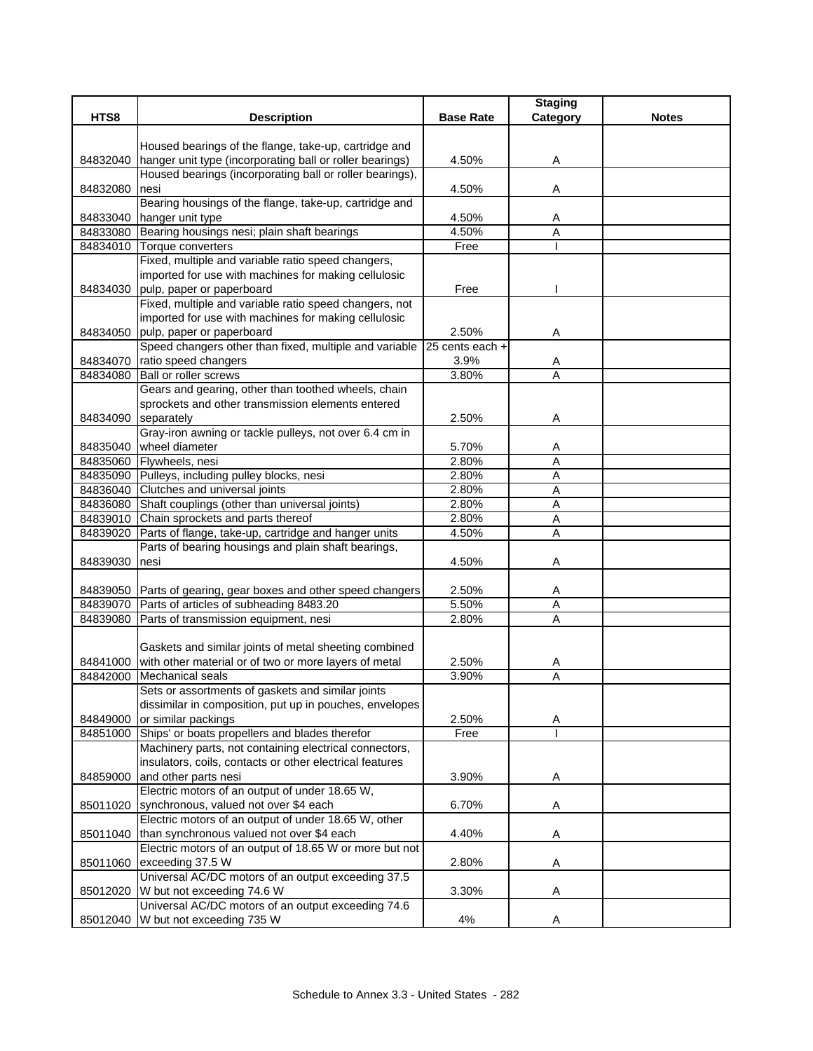|          |                                                                                                                   |                  | <b>Staging</b> |              |
|----------|-------------------------------------------------------------------------------------------------------------------|------------------|----------------|--------------|
| HTS8     | <b>Description</b>                                                                                                | <b>Base Rate</b> | Category       | <b>Notes</b> |
|          |                                                                                                                   |                  |                |              |
|          | Housed bearings of the flange, take-up, cartridge and<br>hanger unit type (incorporating ball or roller bearings) |                  |                |              |
| 84832040 | Housed bearings (incorporating ball or roller bearings),                                                          | 4.50%            | A              |              |
| 84832080 | nesi                                                                                                              | 4.50%            | Α              |              |
|          | Bearing housings of the flange, take-up, cartridge and                                                            |                  |                |              |
|          | 84833040 hanger unit type                                                                                         | 4.50%            | A              |              |
|          | 84833080 Bearing housings nesi; plain shaft bearings                                                              | 4.50%            | A              |              |
|          | 84834010 Torque converters                                                                                        | Free             |                |              |
|          | Fixed, multiple and variable ratio speed changers,                                                                |                  |                |              |
|          | imported for use with machines for making cellulosic                                                              |                  |                |              |
|          | 84834030 pulp, paper or paperboard                                                                                | Free             |                |              |
|          | Fixed, multiple and variable ratio speed changers, not                                                            |                  |                |              |
|          | imported for use with machines for making cellulosic                                                              |                  |                |              |
|          | 84834050 pulp, paper or paperboard                                                                                | 2.50%            | Α              |              |
|          | Speed changers other than fixed, multiple and variable                                                            | 25 cents each +  |                |              |
|          | 84834070 ratio speed changers                                                                                     | 3.9%             | A              |              |
| 84834080 | <b>Ball or roller screws</b>                                                                                      | 3.80%            | A              |              |
|          | Gears and gearing, other than toothed wheels, chain                                                               |                  |                |              |
|          | sprockets and other transmission elements entered                                                                 |                  |                |              |
| 84834090 | separately                                                                                                        | 2.50%            | Α              |              |
|          | Gray-iron awning or tackle pulleys, not over 6.4 cm in                                                            |                  |                |              |
| 84835040 | wheel diameter                                                                                                    | 5.70%<br>2.80%   | A<br>A         |              |
|          | 84835060 Flywheels, nesi<br>84835090 Pulleys, including pulley blocks, nesi                                       | 2.80%            | Α              |              |
| 84836040 | Clutches and universal joints                                                                                     | 2.80%            | A              |              |
|          | 84836080 Shaft couplings (other than universal joints)                                                            | 2.80%            | Α              |              |
|          | 84839010 Chain sprockets and parts thereof                                                                        | 2.80%            | Α              |              |
| 84839020 | Parts of flange, take-up, cartridge and hanger units                                                              | 4.50%            | A              |              |
|          | Parts of bearing housings and plain shaft bearings,                                                               |                  |                |              |
| 84839030 | nesi                                                                                                              | 4.50%            | Α              |              |
|          |                                                                                                                   |                  |                |              |
|          | 84839050 Parts of gearing, gear boxes and other speed changers                                                    | 2.50%            | A              |              |
|          | 84839070 Parts of articles of subheading 8483.20                                                                  | 5.50%            | A              |              |
|          | 84839080 Parts of transmission equipment, nesi                                                                    | 2.80%            | A              |              |
|          |                                                                                                                   |                  |                |              |
|          | Gaskets and similar joints of metal sheeting combined                                                             |                  |                |              |
|          | 84841000 with other material or of two or more layers of metal                                                    | 2.50%            | A              |              |
| 84842000 | <b>Mechanical seals</b>                                                                                           | 3.90%            | A              |              |
|          | Sets or assortments of gaskets and similar joints                                                                 |                  |                |              |
|          | dissimilar in composition, put up in pouches, envelopes                                                           |                  |                |              |
| 84849000 | or similar packings                                                                                               | 2.50%            | Α              |              |
| 84851000 | Ships' or boats propellers and blades therefor                                                                    | Free             |                |              |
|          | Machinery parts, not containing electrical connectors,                                                            |                  |                |              |
|          | insulators, coils, contacts or other electrical features                                                          |                  |                |              |
| 84859000 | and other parts nesi<br>Electric motors of an output of under 18.65 W,                                            | 3.90%            | Α              |              |
| 85011020 | synchronous, valued not over \$4 each                                                                             | 6.70%            |                |              |
|          | Electric motors of an output of under 18.65 W, other                                                              |                  | Α              |              |
|          | 85011040 than synchronous valued not over \$4 each                                                                | 4.40%            | Α              |              |
|          | Electric motors of an output of 18.65 W or more but not                                                           |                  |                |              |
| 85011060 | exceeding 37.5 W                                                                                                  | 2.80%            | Α              |              |
|          | Universal AC/DC motors of an output exceeding 37.5                                                                |                  |                |              |
| 85012020 | W but not exceeding 74.6 W                                                                                        | 3.30%            | Α              |              |
|          | Universal AC/DC motors of an output exceeding 74.6                                                                |                  |                |              |
|          | 85012040 W but not exceeding 735 W                                                                                | 4%               | Α              |              |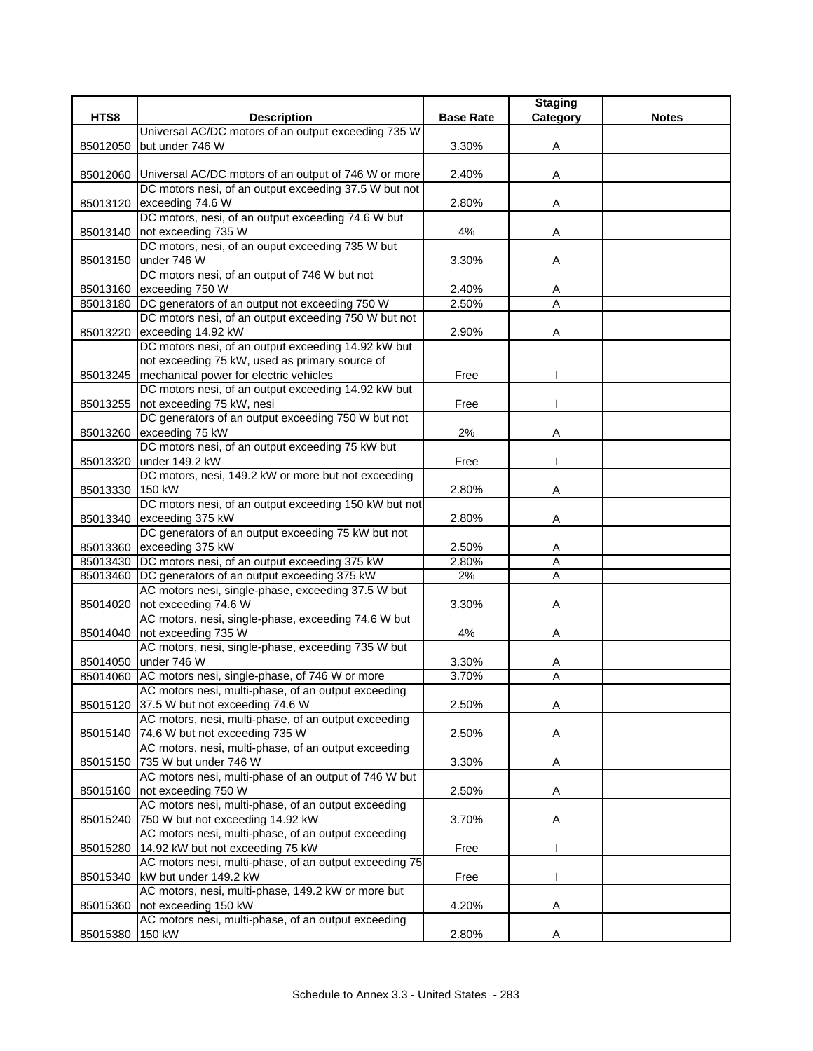| HTS8     | <b>Description</b>                                            | <b>Base Rate</b> | <b>Staging</b><br>Category | <b>Notes</b> |
|----------|---------------------------------------------------------------|------------------|----------------------------|--------------|
|          | Universal AC/DC motors of an output exceeding 735 W           |                  |                            |              |
|          |                                                               |                  |                            |              |
| 85012050 | but under 746 W                                               | 3.30%            | Α                          |              |
|          |                                                               |                  |                            |              |
|          | 85012060 Universal AC/DC motors of an output of 746 W or more | 2.40%            | Α                          |              |
|          | DC motors nesi, of an output exceeding 37.5 W but not         |                  |                            |              |
| 85013120 | exceeding 74.6 W                                              | 2.80%            | Α                          |              |
|          | DC motors, nesi, of an output exceeding 74.6 W but            |                  |                            |              |
| 85013140 | not exceeding 735 W                                           | 4%               | Α                          |              |
|          | DC motors, nesi, of an ouput exceeding 735 W but              |                  |                            |              |
|          | 85013150 under 746 W                                          | 3.30%            | Α                          |              |
|          | DC motors nesi, of an output of 746 W but not                 |                  |                            |              |
| 85013160 | exceeding 750 W                                               | 2.40%            | Α                          |              |
|          | 85013180 DC generators of an output not exceeding 750 W       | 2.50%            | A                          |              |
|          | DC motors nesi, of an output exceeding 750 W but not          |                  |                            |              |
| 85013220 | exceeding 14.92 kW                                            | 2.90%            | Α                          |              |
|          | DC motors nesi, of an output exceeding 14.92 kW but           |                  |                            |              |
|          | not exceeding 75 kW, used as primary source of                |                  |                            |              |
|          | 85013245   mechanical power for electric vehicles             | Free             |                            |              |
|          | DC motors nesi, of an output exceeding 14.92 kW but           |                  |                            |              |
|          | 85013255 not exceeding 75 kW, nesi                            | Free             |                            |              |
|          | DC generators of an output exceeding 750 W but not            |                  |                            |              |
| 85013260 | exceeding 75 kW                                               | 2%               | Α                          |              |
|          | DC motors nesi, of an output exceeding 75 kW but              |                  |                            |              |
| 85013320 | under 149.2 kW                                                | Free             |                            |              |
|          | DC motors, nesi, 149.2 kW or more but not exceeding           |                  |                            |              |
| 85013330 | 150 kW                                                        | 2.80%            | Α                          |              |
|          | DC motors nesi, of an output exceeding 150 kW but not         |                  |                            |              |
| 85013340 | exceeding 375 kW                                              | 2.80%            | Α                          |              |
|          | DC generators of an output exceeding 75 kW but not            |                  |                            |              |
|          | 85013360 exceeding 375 kW                                     | 2.50%            | Α                          |              |
|          | 85013430 DC motors nesi, of an output exceeding 375 kW        | 2.80%            | $\overline{A}$             |              |
| 85013460 | DC generators of an output exceeding 375 kW                   | $2\%$            | Α                          |              |
|          | AC motors nesi, single-phase, exceeding 37.5 W but            |                  |                            |              |
| 85014020 | not exceeding 74.6 W                                          | 3.30%            | Α                          |              |
|          | AC motors, nesi, single-phase, exceeding 74.6 W but           |                  |                            |              |
| 85014040 | not exceeding 735 W                                           | 4%               | Α                          |              |
|          | AC motors, nesi, single-phase, exceeding 735 W but            |                  |                            |              |
|          | 85014050 under 746 W                                          | 3.30%            | A                          |              |
|          | 85014060 AC motors nesi, single-phase, of 746 W or more       | 3.70%            | A                          |              |
|          | AC motors nesi, multi-phase, of an output exceeding           |                  |                            |              |
| 85015120 | 37.5 W but not exceeding 74.6 W                               | 2.50%            | Α                          |              |
|          | AC motors, nesi, multi-phase, of an output exceeding          |                  |                            |              |
| 85015140 | 74.6 W but not exceeding 735 W                                | 2.50%            | A                          |              |
|          | AC motors, nesi, multi-phase, of an output exceeding          |                  |                            |              |
|          | 85015150 735 W but under 746 W                                | 3.30%            | Α                          |              |
|          | AC motors nesi, multi-phase of an output of 746 W but         |                  |                            |              |
| 85015160 | not exceeding 750 W                                           | 2.50%            | Α                          |              |
|          | AC motors nesi, multi-phase, of an output exceeding           |                  |                            |              |
| 85015240 | 750 W but not exceeding 14.92 kW                              | 3.70%            | Α                          |              |
|          | AC motors nesi, multi-phase, of an output exceeding           |                  |                            |              |
| 85015280 | 14.92 kW but not exceeding 75 kW                              | Free             |                            |              |
|          | AC motors nesi, multi-phase, of an output exceeding 75        |                  |                            |              |
| 85015340 | kW but under 149.2 kW                                         | Free             |                            |              |
|          | AC motors, nesi, multi-phase, 149.2 kW or more but            |                  |                            |              |
| 85015360 | not exceeding 150 kW                                          | 4.20%            | Α                          |              |
|          | AC motors nesi, multi-phase, of an output exceeding           |                  |                            |              |
| 85015380 | 150 kW                                                        | 2.80%            | Α                          |              |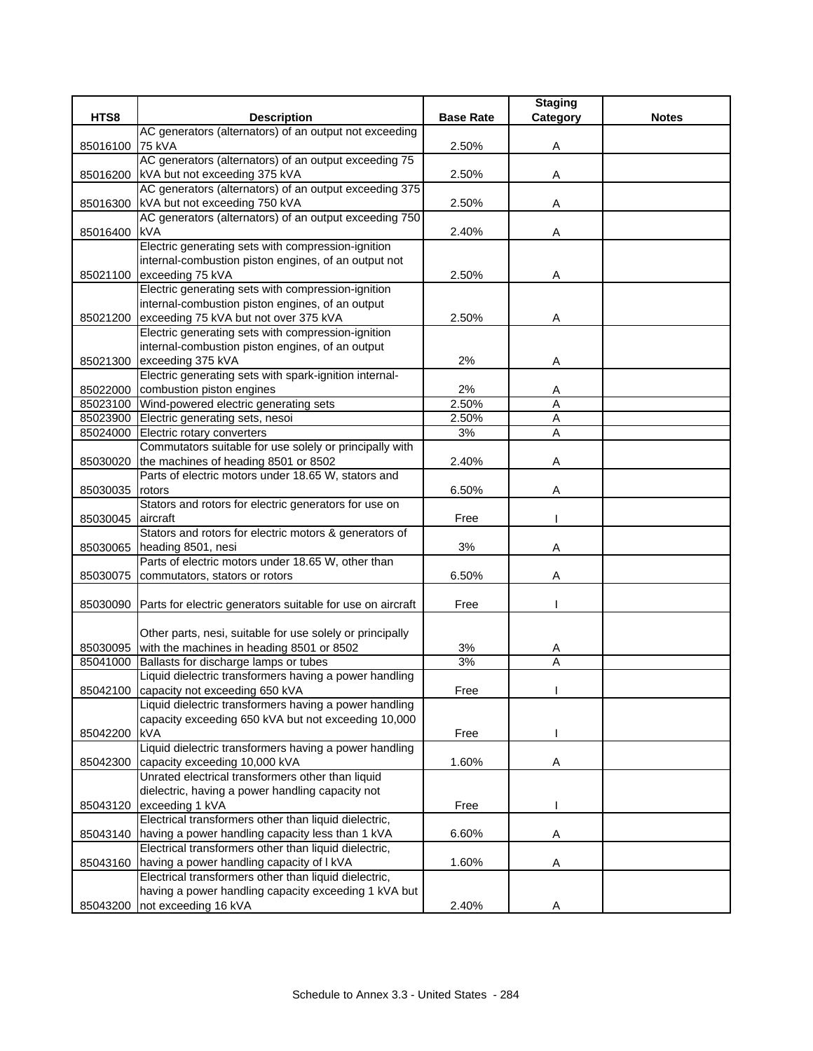|          |                                                                          |                  | <b>Staging</b> |              |
|----------|--------------------------------------------------------------------------|------------------|----------------|--------------|
| HTS8     | <b>Description</b>                                                       | <b>Base Rate</b> | Category       | <b>Notes</b> |
|          | AC generators (alternators) of an output not exceeding                   |                  |                |              |
| 85016100 | 75 kVA                                                                   | 2.50%            | Α              |              |
|          | AC generators (alternators) of an output exceeding 75                    |                  |                |              |
| 85016200 | kVA but not exceeding 375 kVA                                            | 2.50%            | Α              |              |
|          | AC generators (alternators) of an output exceeding 375                   |                  |                |              |
| 85016300 | kVA but not exceeding 750 kVA                                            | 2.50%            | Α              |              |
|          | AC generators (alternators) of an output exceeding 750                   |                  |                |              |
| 85016400 | <b>kVA</b>                                                               | 2.40%            | Α              |              |
|          | Electric generating sets with compression-ignition                       |                  |                |              |
|          | internal-combustion piston engines, of an output not                     |                  |                |              |
| 85021100 | exceeding 75 kVA                                                         | 2.50%            | Α              |              |
|          | Electric generating sets with compression-ignition                       |                  |                |              |
|          | internal-combustion piston engines, of an output                         |                  |                |              |
| 85021200 | exceeding 75 kVA but not over 375 kVA                                    | 2.50%            | Α              |              |
|          | Electric generating sets with compression-ignition                       |                  |                |              |
|          | internal-combustion piston engines, of an output                         |                  |                |              |
| 85021300 | exceeding 375 kVA                                                        | 2%               | A              |              |
|          | Electric generating sets with spark-ignition internal-                   |                  |                |              |
|          | 85022000 combustion piston engines                                       | 2%               | A              |              |
|          | 85023100 Wind-powered electric generating sets                           | 2.50%            | A              |              |
|          | 85023900 Electric generating sets, nesoi                                 | 2.50%            | A              |              |
| 85024000 | Electric rotary converters                                               | 3%               | Α              |              |
|          | Commutators suitable for use solely or principally with                  |                  |                |              |
| 85030020 | the machines of heading 8501 or 8502                                     | 2.40%            | Α              |              |
|          | Parts of electric motors under 18.65 W, stators and                      |                  |                |              |
| 85030035 | rotors                                                                   | 6.50%            | Α              |              |
|          | Stators and rotors for electric generators for use on                    |                  |                |              |
| 85030045 | aircraft                                                                 | Free             |                |              |
|          | Stators and rotors for electric motors & generators of                   |                  | Α              |              |
| 85030065 | heading 8501, nesi<br>Parts of electric motors under 18.65 W, other than | 3%               |                |              |
| 85030075 | commutators, stators or rotors                                           | 6.50%            | Α              |              |
|          |                                                                          |                  |                |              |
| 85030090 | Parts for electric generators suitable for use on aircraft               | Free             |                |              |
|          |                                                                          |                  |                |              |
|          | Other parts, nesi, suitable for use solely or principally                |                  |                |              |
|          | 85030095 with the machines in heading 8501 or 8502                       | 3%               | A              |              |
| 85041000 | Ballasts for discharge lamps or tubes                                    | 3%               | A              |              |
|          | Liquid dielectric transformers having a power handling                   |                  |                |              |
|          | 85042100 capacity not exceeding 650 kVA                                  | Free             |                |              |
|          | Liquid dielectric transformers having a power handling                   |                  |                |              |
|          | capacity exceeding 650 kVA but not exceeding 10,000                      |                  |                |              |
| 85042200 | <b>kVA</b>                                                               | Free             |                |              |
|          | Liquid dielectric transformers having a power handling                   |                  |                |              |
| 85042300 | capacity exceeding 10,000 kVA                                            | 1.60%            | Α              |              |
|          | Unrated electrical transformers other than liquid                        |                  |                |              |
|          | dielectric, having a power handling capacity not                         |                  |                |              |
| 85043120 | exceeding 1 kVA                                                          | Free             | ш              |              |
|          | Electrical transformers other than liquid dielectric,                    |                  |                |              |
| 85043140 | having a power handling capacity less than 1 kVA                         | 6.60%            | Α              |              |
|          | Electrical transformers other than liquid dielectric,                    |                  |                |              |
| 85043160 | having a power handling capacity of I kVA                                | 1.60%            | Α              |              |
|          | Electrical transformers other than liquid dielectric,                    |                  |                |              |
|          | having a power handling capacity exceeding 1 kVA but                     |                  |                |              |
|          | 85043200 not exceeding 16 kVA                                            | 2.40%            | Α              |              |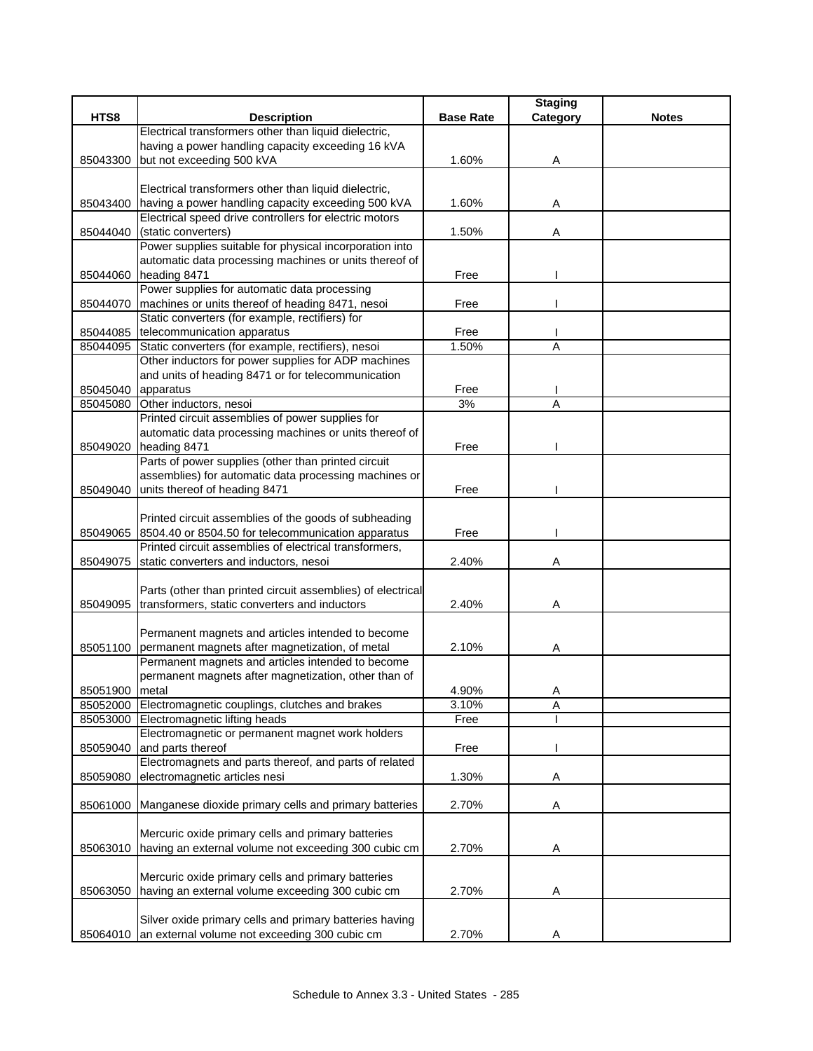|                    |                                                             |                  | <b>Staging</b> |              |
|--------------------|-------------------------------------------------------------|------------------|----------------|--------------|
| HTS8               | <b>Description</b>                                          | <b>Base Rate</b> | Category       | <b>Notes</b> |
|                    | Electrical transformers other than liquid dielectric,       |                  |                |              |
|                    | having a power handling capacity exceeding 16 kVA           |                  |                |              |
| 85043300           | but not exceeding 500 kVA                                   | 1.60%            | Α              |              |
|                    |                                                             |                  |                |              |
|                    | Electrical transformers other than liquid dielectric,       |                  |                |              |
|                    | 85043400 having a power handling capacity exceeding 500 kVA | 1.60%            | Α              |              |
|                    | Electrical speed drive controllers for electric motors      |                  |                |              |
| 85044040           | (static converters)                                         | 1.50%            | Α              |              |
|                    | Power supplies suitable for physical incorporation into     |                  |                |              |
|                    | automatic data processing machines or units thereof of      |                  |                |              |
| 85044060           | heading 8471                                                | Free             |                |              |
|                    | Power supplies for automatic data processing                |                  |                |              |
| 85044070           | machines or units thereof of heading 8471, nesoi            | Free             |                |              |
|                    | Static converters (for example, rectifiers) for             |                  |                |              |
| 85044085           | telecommunication apparatus                                 | Free             |                |              |
| 85044095           | Static converters (for example, rectifiers), nesoi          | 1.50%            | A              |              |
|                    | Other inductors for power supplies for ADP machines         |                  |                |              |
|                    | and units of heading 8471 or for telecommunication          |                  |                |              |
| 85045040 apparatus |                                                             | Free             |                |              |
| 85045080           | Other inductors, nesoi                                      | 3%               | A              |              |
|                    | Printed circuit assemblies of power supplies for            |                  |                |              |
|                    | automatic data processing machines or units thereof of      |                  |                |              |
| 85049020           | heading 8471                                                | Free             |                |              |
|                    | Parts of power supplies (other than printed circuit         |                  |                |              |
|                    | assemblies) for automatic data processing machines or       |                  |                |              |
|                    |                                                             |                  |                |              |
|                    | 85049040 units thereof of heading 8471                      | Free             |                |              |
|                    |                                                             |                  |                |              |
|                    | Printed circuit assemblies of the goods of subheading       |                  |                |              |
| 85049065           | 8504.40 or 8504.50 for telecommunication apparatus          | Free             |                |              |
|                    | Printed circuit assemblies of electrical transformers,      |                  |                |              |
| 85049075           | static converters and inductors, nesoi                      | 2.40%            | Α              |              |
|                    |                                                             |                  |                |              |
|                    | Parts (other than printed circuit assemblies) of electrical |                  |                |              |
| 85049095           | transformers, static converters and inductors               | 2.40%            | Α              |              |
|                    |                                                             |                  |                |              |
|                    | Permanent magnets and articles intended to become           | 2.10%            |                |              |
|                    | 85051100 permanent magnets after magnetization, of metal    |                  | Α              |              |
|                    | Permanent magnets and articles intended to become           |                  |                |              |
|                    | permanent magnets after magnetization, other than of        |                  |                |              |
| 85051900 metal     |                                                             | 4.90%            | Α              |              |
|                    | 85052000 Electromagnetic couplings, clutches and brakes     | 3.10%            | Α              |              |
| 85053000           | Electromagnetic lifting heads                               | Free             |                |              |
|                    | Electromagnetic or permanent magnet work holders            |                  |                |              |
| 85059040           | and parts thereof                                           | Free             |                |              |
|                    | Electromagnets and parts thereof, and parts of related      |                  |                |              |
| 85059080           | electromagnetic articles nesi                               | 1.30%            | Α              |              |
|                    |                                                             |                  |                |              |
| 85061000           | Manganese dioxide primary cells and primary batteries       | 2.70%            | A              |              |
|                    |                                                             |                  |                |              |
|                    | Mercuric oxide primary cells and primary batteries          |                  |                |              |
| 85063010           | having an external volume not exceeding 300 cubic cm        | 2.70%            | Α              |              |
|                    |                                                             |                  |                |              |
|                    | Mercuric oxide primary cells and primary batteries          |                  |                |              |
| 85063050           | having an external volume exceeding 300 cubic cm            | 2.70%            | Α              |              |
|                    |                                                             |                  |                |              |
|                    | Silver oxide primary cells and primary batteries having     |                  |                |              |
| 85064010           | an external volume not exceeding 300 cubic cm               | 2.70%            | Α              |              |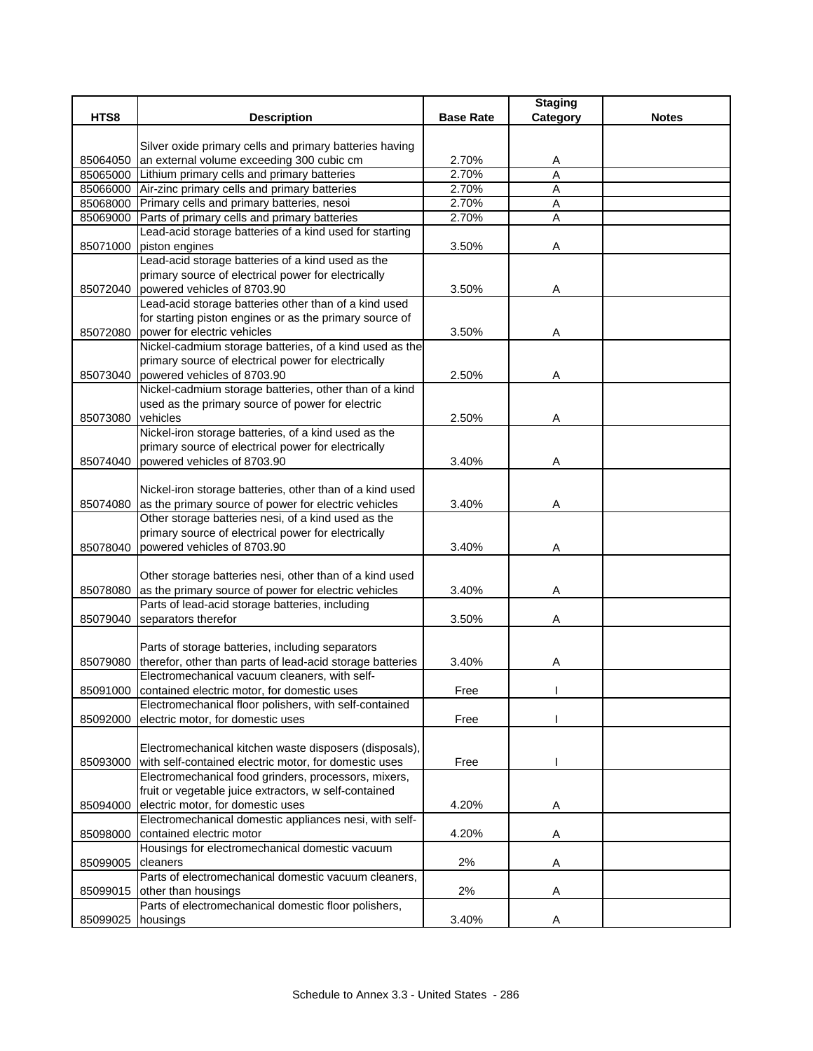| Silver oxide primary cells and primary batteries having<br>an external volume exceeding 300 cubic cm<br>2.70%<br>85064050<br>A<br>Lithium primary cells and primary batteries<br>2.70%<br>A<br>85065000<br>Air-zinc primary cells and primary batteries<br>2.70%<br>A<br>85066000<br>85068000<br>Primary cells and primary batteries, nesoi<br>2.70%<br>A<br>Parts of primary cells and primary batteries<br>2.70%<br>85069000<br>Α<br>Lead-acid storage batteries of a kind used for starting<br>piston engines<br>85071000<br>3.50%<br>Α<br>Lead-acid storage batteries of a kind used as the<br>primary source of electrical power for electrically<br>powered vehicles of 8703.90<br>3.50%<br>85072040<br>Α<br>Lead-acid storage batteries other than of a kind used<br>for starting piston engines or as the primary source of<br>85072080<br>power for electric vehicles<br>3.50%<br>Α<br>Nickel-cadmium storage batteries, of a kind used as the<br>primary source of electrical power for electrically<br>powered vehicles of 8703.90<br>2.50%<br>85073040<br>Α<br>Nickel-cadmium storage batteries, other than of a kind<br>used as the primary source of power for electric<br>vehicles<br>85073080<br>2.50%<br>Α<br>Nickel-iron storage batteries, of a kind used as the<br>primary source of electrical power for electrically<br>powered vehicles of 8703.90<br>85074040<br>3.40%<br>Α<br>Nickel-iron storage batteries, other than of a kind used<br>85074080 as the primary source of power for electric vehicles<br>3.40%<br>Α<br>Other storage batteries nesi, of a kind used as the<br>primary source of electrical power for electrically<br>powered vehicles of 8703.90<br>85078040<br>3.40%<br>Α |      |                    |                  | <b>Staging</b> |              |
|-----------------------------------------------------------------------------------------------------------------------------------------------------------------------------------------------------------------------------------------------------------------------------------------------------------------------------------------------------------------------------------------------------------------------------------------------------------------------------------------------------------------------------------------------------------------------------------------------------------------------------------------------------------------------------------------------------------------------------------------------------------------------------------------------------------------------------------------------------------------------------------------------------------------------------------------------------------------------------------------------------------------------------------------------------------------------------------------------------------------------------------------------------------------------------------------------------------------------------------------------------------------------------------------------------------------------------------------------------------------------------------------------------------------------------------------------------------------------------------------------------------------------------------------------------------------------------------------------------------------------------------------------------------------------------------------------------------------------|------|--------------------|------------------|----------------|--------------|
|                                                                                                                                                                                                                                                                                                                                                                                                                                                                                                                                                                                                                                                                                                                                                                                                                                                                                                                                                                                                                                                                                                                                                                                                                                                                                                                                                                                                                                                                                                                                                                                                                                                                                                                       | HTS8 | <b>Description</b> | <b>Base Rate</b> | Category       | <b>Notes</b> |
|                                                                                                                                                                                                                                                                                                                                                                                                                                                                                                                                                                                                                                                                                                                                                                                                                                                                                                                                                                                                                                                                                                                                                                                                                                                                                                                                                                                                                                                                                                                                                                                                                                                                                                                       |      |                    |                  |                |              |
|                                                                                                                                                                                                                                                                                                                                                                                                                                                                                                                                                                                                                                                                                                                                                                                                                                                                                                                                                                                                                                                                                                                                                                                                                                                                                                                                                                                                                                                                                                                                                                                                                                                                                                                       |      |                    |                  |                |              |
|                                                                                                                                                                                                                                                                                                                                                                                                                                                                                                                                                                                                                                                                                                                                                                                                                                                                                                                                                                                                                                                                                                                                                                                                                                                                                                                                                                                                                                                                                                                                                                                                                                                                                                                       |      |                    |                  |                |              |
|                                                                                                                                                                                                                                                                                                                                                                                                                                                                                                                                                                                                                                                                                                                                                                                                                                                                                                                                                                                                                                                                                                                                                                                                                                                                                                                                                                                                                                                                                                                                                                                                                                                                                                                       |      |                    |                  |                |              |
|                                                                                                                                                                                                                                                                                                                                                                                                                                                                                                                                                                                                                                                                                                                                                                                                                                                                                                                                                                                                                                                                                                                                                                                                                                                                                                                                                                                                                                                                                                                                                                                                                                                                                                                       |      |                    |                  |                |              |
|                                                                                                                                                                                                                                                                                                                                                                                                                                                                                                                                                                                                                                                                                                                                                                                                                                                                                                                                                                                                                                                                                                                                                                                                                                                                                                                                                                                                                                                                                                                                                                                                                                                                                                                       |      |                    |                  |                |              |
|                                                                                                                                                                                                                                                                                                                                                                                                                                                                                                                                                                                                                                                                                                                                                                                                                                                                                                                                                                                                                                                                                                                                                                                                                                                                                                                                                                                                                                                                                                                                                                                                                                                                                                                       |      |                    |                  |                |              |
|                                                                                                                                                                                                                                                                                                                                                                                                                                                                                                                                                                                                                                                                                                                                                                                                                                                                                                                                                                                                                                                                                                                                                                                                                                                                                                                                                                                                                                                                                                                                                                                                                                                                                                                       |      |                    |                  |                |              |
|                                                                                                                                                                                                                                                                                                                                                                                                                                                                                                                                                                                                                                                                                                                                                                                                                                                                                                                                                                                                                                                                                                                                                                                                                                                                                                                                                                                                                                                                                                                                                                                                                                                                                                                       |      |                    |                  |                |              |
|                                                                                                                                                                                                                                                                                                                                                                                                                                                                                                                                                                                                                                                                                                                                                                                                                                                                                                                                                                                                                                                                                                                                                                                                                                                                                                                                                                                                                                                                                                                                                                                                                                                                                                                       |      |                    |                  |                |              |
|                                                                                                                                                                                                                                                                                                                                                                                                                                                                                                                                                                                                                                                                                                                                                                                                                                                                                                                                                                                                                                                                                                                                                                                                                                                                                                                                                                                                                                                                                                                                                                                                                                                                                                                       |      |                    |                  |                |              |
|                                                                                                                                                                                                                                                                                                                                                                                                                                                                                                                                                                                                                                                                                                                                                                                                                                                                                                                                                                                                                                                                                                                                                                                                                                                                                                                                                                                                                                                                                                                                                                                                                                                                                                                       |      |                    |                  |                |              |
|                                                                                                                                                                                                                                                                                                                                                                                                                                                                                                                                                                                                                                                                                                                                                                                                                                                                                                                                                                                                                                                                                                                                                                                                                                                                                                                                                                                                                                                                                                                                                                                                                                                                                                                       |      |                    |                  |                |              |
|                                                                                                                                                                                                                                                                                                                                                                                                                                                                                                                                                                                                                                                                                                                                                                                                                                                                                                                                                                                                                                                                                                                                                                                                                                                                                                                                                                                                                                                                                                                                                                                                                                                                                                                       |      |                    |                  |                |              |
|                                                                                                                                                                                                                                                                                                                                                                                                                                                                                                                                                                                                                                                                                                                                                                                                                                                                                                                                                                                                                                                                                                                                                                                                                                                                                                                                                                                                                                                                                                                                                                                                                                                                                                                       |      |                    |                  |                |              |
|                                                                                                                                                                                                                                                                                                                                                                                                                                                                                                                                                                                                                                                                                                                                                                                                                                                                                                                                                                                                                                                                                                                                                                                                                                                                                                                                                                                                                                                                                                                                                                                                                                                                                                                       |      |                    |                  |                |              |
|                                                                                                                                                                                                                                                                                                                                                                                                                                                                                                                                                                                                                                                                                                                                                                                                                                                                                                                                                                                                                                                                                                                                                                                                                                                                                                                                                                                                                                                                                                                                                                                                                                                                                                                       |      |                    |                  |                |              |
|                                                                                                                                                                                                                                                                                                                                                                                                                                                                                                                                                                                                                                                                                                                                                                                                                                                                                                                                                                                                                                                                                                                                                                                                                                                                                                                                                                                                                                                                                                                                                                                                                                                                                                                       |      |                    |                  |                |              |
|                                                                                                                                                                                                                                                                                                                                                                                                                                                                                                                                                                                                                                                                                                                                                                                                                                                                                                                                                                                                                                                                                                                                                                                                                                                                                                                                                                                                                                                                                                                                                                                                                                                                                                                       |      |                    |                  |                |              |
|                                                                                                                                                                                                                                                                                                                                                                                                                                                                                                                                                                                                                                                                                                                                                                                                                                                                                                                                                                                                                                                                                                                                                                                                                                                                                                                                                                                                                                                                                                                                                                                                                                                                                                                       |      |                    |                  |                |              |
|                                                                                                                                                                                                                                                                                                                                                                                                                                                                                                                                                                                                                                                                                                                                                                                                                                                                                                                                                                                                                                                                                                                                                                                                                                                                                                                                                                                                                                                                                                                                                                                                                                                                                                                       |      |                    |                  |                |              |
|                                                                                                                                                                                                                                                                                                                                                                                                                                                                                                                                                                                                                                                                                                                                                                                                                                                                                                                                                                                                                                                                                                                                                                                                                                                                                                                                                                                                                                                                                                                                                                                                                                                                                                                       |      |                    |                  |                |              |
|                                                                                                                                                                                                                                                                                                                                                                                                                                                                                                                                                                                                                                                                                                                                                                                                                                                                                                                                                                                                                                                                                                                                                                                                                                                                                                                                                                                                                                                                                                                                                                                                                                                                                                                       |      |                    |                  |                |              |
|                                                                                                                                                                                                                                                                                                                                                                                                                                                                                                                                                                                                                                                                                                                                                                                                                                                                                                                                                                                                                                                                                                                                                                                                                                                                                                                                                                                                                                                                                                                                                                                                                                                                                                                       |      |                    |                  |                |              |
|                                                                                                                                                                                                                                                                                                                                                                                                                                                                                                                                                                                                                                                                                                                                                                                                                                                                                                                                                                                                                                                                                                                                                                                                                                                                                                                                                                                                                                                                                                                                                                                                                                                                                                                       |      |                    |                  |                |              |
|                                                                                                                                                                                                                                                                                                                                                                                                                                                                                                                                                                                                                                                                                                                                                                                                                                                                                                                                                                                                                                                                                                                                                                                                                                                                                                                                                                                                                                                                                                                                                                                                                                                                                                                       |      |                    |                  |                |              |
|                                                                                                                                                                                                                                                                                                                                                                                                                                                                                                                                                                                                                                                                                                                                                                                                                                                                                                                                                                                                                                                                                                                                                                                                                                                                                                                                                                                                                                                                                                                                                                                                                                                                                                                       |      |                    |                  |                |              |
|                                                                                                                                                                                                                                                                                                                                                                                                                                                                                                                                                                                                                                                                                                                                                                                                                                                                                                                                                                                                                                                                                                                                                                                                                                                                                                                                                                                                                                                                                                                                                                                                                                                                                                                       |      |                    |                  |                |              |
|                                                                                                                                                                                                                                                                                                                                                                                                                                                                                                                                                                                                                                                                                                                                                                                                                                                                                                                                                                                                                                                                                                                                                                                                                                                                                                                                                                                                                                                                                                                                                                                                                                                                                                                       |      |                    |                  |                |              |
| Other storage batteries nesi, other than of a kind used                                                                                                                                                                                                                                                                                                                                                                                                                                                                                                                                                                                                                                                                                                                                                                                                                                                                                                                                                                                                                                                                                                                                                                                                                                                                                                                                                                                                                                                                                                                                                                                                                                                               |      |                    |                  |                |              |
| as the primary source of power for electric vehicles<br>85078080<br>3.40%<br>Α                                                                                                                                                                                                                                                                                                                                                                                                                                                                                                                                                                                                                                                                                                                                                                                                                                                                                                                                                                                                                                                                                                                                                                                                                                                                                                                                                                                                                                                                                                                                                                                                                                        |      |                    |                  |                |              |
| Parts of lead-acid storage batteries, including                                                                                                                                                                                                                                                                                                                                                                                                                                                                                                                                                                                                                                                                                                                                                                                                                                                                                                                                                                                                                                                                                                                                                                                                                                                                                                                                                                                                                                                                                                                                                                                                                                                                       |      |                    |                  |                |              |
| 85079040<br>separators therefor<br>3.50%<br>Α                                                                                                                                                                                                                                                                                                                                                                                                                                                                                                                                                                                                                                                                                                                                                                                                                                                                                                                                                                                                                                                                                                                                                                                                                                                                                                                                                                                                                                                                                                                                                                                                                                                                         |      |                    |                  |                |              |
|                                                                                                                                                                                                                                                                                                                                                                                                                                                                                                                                                                                                                                                                                                                                                                                                                                                                                                                                                                                                                                                                                                                                                                                                                                                                                                                                                                                                                                                                                                                                                                                                                                                                                                                       |      |                    |                  |                |              |
| Parts of storage batteries, including separators                                                                                                                                                                                                                                                                                                                                                                                                                                                                                                                                                                                                                                                                                                                                                                                                                                                                                                                                                                                                                                                                                                                                                                                                                                                                                                                                                                                                                                                                                                                                                                                                                                                                      |      |                    |                  |                |              |
| therefor, other than parts of lead-acid storage batteries<br>3.40%<br>85079080<br>Α                                                                                                                                                                                                                                                                                                                                                                                                                                                                                                                                                                                                                                                                                                                                                                                                                                                                                                                                                                                                                                                                                                                                                                                                                                                                                                                                                                                                                                                                                                                                                                                                                                   |      |                    |                  |                |              |
| Electromechanical vacuum cleaners, with self-                                                                                                                                                                                                                                                                                                                                                                                                                                                                                                                                                                                                                                                                                                                                                                                                                                                                                                                                                                                                                                                                                                                                                                                                                                                                                                                                                                                                                                                                                                                                                                                                                                                                         |      |                    |                  |                |              |
| 85091000 contained electric motor, for domestic uses<br>Free                                                                                                                                                                                                                                                                                                                                                                                                                                                                                                                                                                                                                                                                                                                                                                                                                                                                                                                                                                                                                                                                                                                                                                                                                                                                                                                                                                                                                                                                                                                                                                                                                                                          |      |                    |                  |                |              |
| Electromechanical floor polishers, with self-contained                                                                                                                                                                                                                                                                                                                                                                                                                                                                                                                                                                                                                                                                                                                                                                                                                                                                                                                                                                                                                                                                                                                                                                                                                                                                                                                                                                                                                                                                                                                                                                                                                                                                |      |                    |                  |                |              |
| electric motor, for domestic uses<br>Free<br>85092000                                                                                                                                                                                                                                                                                                                                                                                                                                                                                                                                                                                                                                                                                                                                                                                                                                                                                                                                                                                                                                                                                                                                                                                                                                                                                                                                                                                                                                                                                                                                                                                                                                                                 |      |                    |                  |                |              |
|                                                                                                                                                                                                                                                                                                                                                                                                                                                                                                                                                                                                                                                                                                                                                                                                                                                                                                                                                                                                                                                                                                                                                                                                                                                                                                                                                                                                                                                                                                                                                                                                                                                                                                                       |      |                    |                  |                |              |
| Electromechanical kitchen waste disposers (disposals),                                                                                                                                                                                                                                                                                                                                                                                                                                                                                                                                                                                                                                                                                                                                                                                                                                                                                                                                                                                                                                                                                                                                                                                                                                                                                                                                                                                                                                                                                                                                                                                                                                                                |      |                    |                  |                |              |
| 85093000<br>with self-contained electric motor, for domestic uses<br>Free                                                                                                                                                                                                                                                                                                                                                                                                                                                                                                                                                                                                                                                                                                                                                                                                                                                                                                                                                                                                                                                                                                                                                                                                                                                                                                                                                                                                                                                                                                                                                                                                                                             |      |                    |                  |                |              |
| Electromechanical food grinders, processors, mixers,                                                                                                                                                                                                                                                                                                                                                                                                                                                                                                                                                                                                                                                                                                                                                                                                                                                                                                                                                                                                                                                                                                                                                                                                                                                                                                                                                                                                                                                                                                                                                                                                                                                                  |      |                    |                  |                |              |
| fruit or vegetable juice extractors, w self-contained                                                                                                                                                                                                                                                                                                                                                                                                                                                                                                                                                                                                                                                                                                                                                                                                                                                                                                                                                                                                                                                                                                                                                                                                                                                                                                                                                                                                                                                                                                                                                                                                                                                                 |      |                    |                  |                |              |
| electric motor, for domestic uses<br>4.20%<br>85094000<br>A                                                                                                                                                                                                                                                                                                                                                                                                                                                                                                                                                                                                                                                                                                                                                                                                                                                                                                                                                                                                                                                                                                                                                                                                                                                                                                                                                                                                                                                                                                                                                                                                                                                           |      |                    |                  |                |              |
| Electromechanical domestic appliances nesi, with self-<br>contained electric motor<br>Α                                                                                                                                                                                                                                                                                                                                                                                                                                                                                                                                                                                                                                                                                                                                                                                                                                                                                                                                                                                                                                                                                                                                                                                                                                                                                                                                                                                                                                                                                                                                                                                                                               |      |                    |                  |                |              |
| 85098000<br>4.20%<br>Housings for electromechanical domestic vacuum                                                                                                                                                                                                                                                                                                                                                                                                                                                                                                                                                                                                                                                                                                                                                                                                                                                                                                                                                                                                                                                                                                                                                                                                                                                                                                                                                                                                                                                                                                                                                                                                                                                   |      |                    |                  |                |              |
| 2%<br>85099005<br>cleaners<br>Α                                                                                                                                                                                                                                                                                                                                                                                                                                                                                                                                                                                                                                                                                                                                                                                                                                                                                                                                                                                                                                                                                                                                                                                                                                                                                                                                                                                                                                                                                                                                                                                                                                                                                       |      |                    |                  |                |              |
| Parts of electromechanical domestic vacuum cleaners,                                                                                                                                                                                                                                                                                                                                                                                                                                                                                                                                                                                                                                                                                                                                                                                                                                                                                                                                                                                                                                                                                                                                                                                                                                                                                                                                                                                                                                                                                                                                                                                                                                                                  |      |                    |                  |                |              |
| other than housings<br>Α<br>85099015<br>2%                                                                                                                                                                                                                                                                                                                                                                                                                                                                                                                                                                                                                                                                                                                                                                                                                                                                                                                                                                                                                                                                                                                                                                                                                                                                                                                                                                                                                                                                                                                                                                                                                                                                            |      |                    |                  |                |              |
| Parts of electromechanical domestic floor polishers,                                                                                                                                                                                                                                                                                                                                                                                                                                                                                                                                                                                                                                                                                                                                                                                                                                                                                                                                                                                                                                                                                                                                                                                                                                                                                                                                                                                                                                                                                                                                                                                                                                                                  |      |                    |                  |                |              |
| 3.40%<br>85099025<br>housings<br>Α                                                                                                                                                                                                                                                                                                                                                                                                                                                                                                                                                                                                                                                                                                                                                                                                                                                                                                                                                                                                                                                                                                                                                                                                                                                                                                                                                                                                                                                                                                                                                                                                                                                                                    |      |                    |                  |                |              |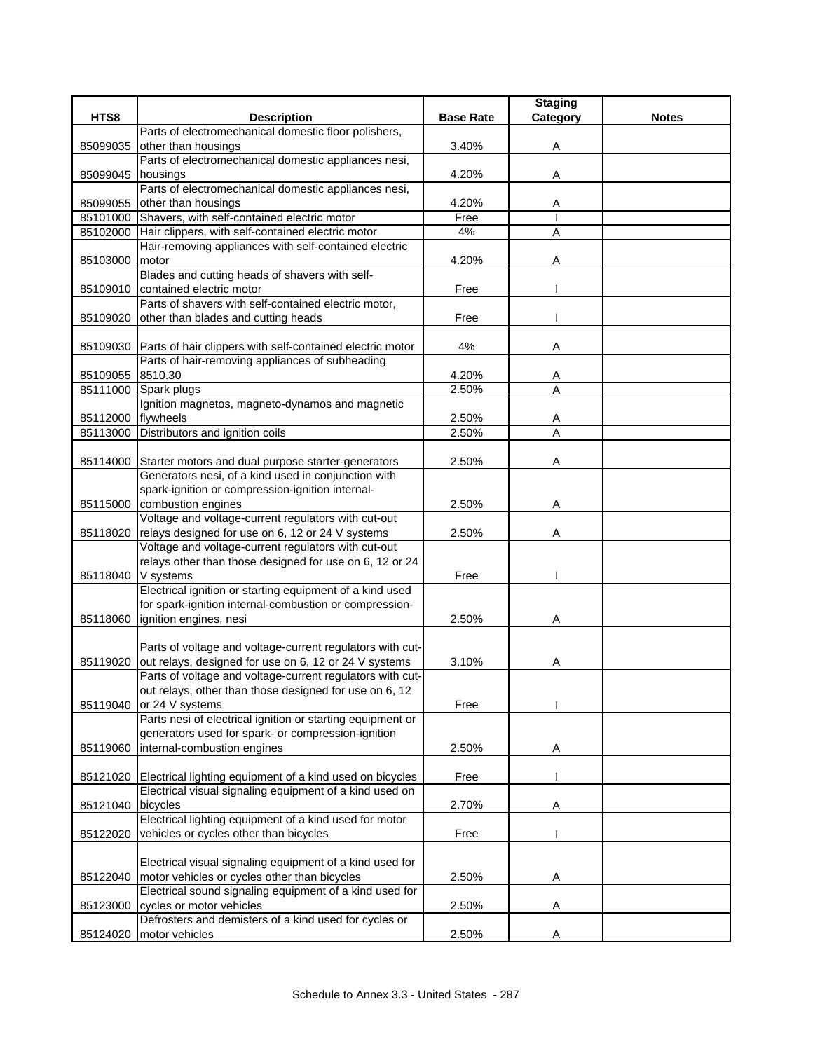|          |                                                                                  |                  | <b>Staging</b> |              |
|----------|----------------------------------------------------------------------------------|------------------|----------------|--------------|
| HTS8     | <b>Description</b>                                                               | <b>Base Rate</b> | Category       | <b>Notes</b> |
|          | Parts of electromechanical domestic floor polishers,                             |                  |                |              |
| 85099035 | other than housings                                                              | 3.40%            | Α              |              |
|          | Parts of electromechanical domestic appliances nesi,                             |                  |                |              |
| 85099045 | housings                                                                         | 4.20%            | Α              |              |
|          | Parts of electromechanical domestic appliances nesi,                             |                  |                |              |
| 85099055 | other than housings                                                              | 4.20%            | Α              |              |
| 85101000 | Shavers, with self-contained electric motor                                      | Free             |                |              |
| 85102000 | Hair clippers, with self-contained electric motor                                | 4%               | A              |              |
|          | Hair-removing appliances with self-contained electric                            |                  |                |              |
| 85103000 | motor<br>Blades and cutting heads of shavers with self-                          | 4.20%            | Α              |              |
| 85109010 | contained electric motor                                                         | Free             |                |              |
|          | Parts of shavers with self-contained electric motor,                             |                  |                |              |
| 85109020 | other than blades and cutting heads                                              | Free             |                |              |
|          |                                                                                  |                  |                |              |
|          | 85109030 Parts of hair clippers with self-contained electric motor               | 4%               | Α              |              |
|          | Parts of hair-removing appliances of subheading                                  |                  |                |              |
| 85109055 | 8510.30                                                                          | 4.20%            | A              |              |
| 85111000 | Spark plugs                                                                      | 2.50%            | A              |              |
|          | Ignition magnetos, magneto-dynamos and magnetic                                  |                  |                |              |
| 85112000 | flywheels                                                                        | 2.50%            | Α              |              |
|          | 85113000 Distributors and ignition coils                                         | 2.50%            | A              |              |
|          |                                                                                  |                  |                |              |
|          | 85114000 Starter motors and dual purpose starter-generators                      | 2.50%            | Α              |              |
|          | Generators nesi, of a kind used in conjunction with                              |                  |                |              |
|          | spark-ignition or compression-ignition internal-                                 |                  |                |              |
|          | 85115000 combustion engines                                                      | 2.50%            | A              |              |
|          | Voltage and voltage-current regulators with cut-out                              |                  |                |              |
|          | 85118020 relays designed for use on 6, 12 or 24 V systems                        | 2.50%            | Α              |              |
|          | Voltage and voltage-current regulators with cut-out                              |                  |                |              |
|          | relays other than those designed for use on 6, 12 or 24                          |                  |                |              |
| 85118040 | V systems                                                                        | Free             |                |              |
|          | Electrical ignition or starting equipment of a kind used                         |                  |                |              |
| 85118060 | for spark-ignition internal-combustion or compression-<br>ignition engines, nesi | 2.50%            | Α              |              |
|          |                                                                                  |                  |                |              |
|          | Parts of voltage and voltage-current regulators with cut-                        |                  |                |              |
| 85119020 | out relays, designed for use on 6, 12 or 24 V systems                            | 3.10%            | Α              |              |
|          | Parts of voltage and voltage-current regulators with cut-                        |                  |                |              |
|          | out relays, other than those designed for use on 6, 12                           |                  |                |              |
| 85119040 | or 24 V systems                                                                  | Free             |                |              |
|          | Parts nesi of electrical ignition or starting equipment or                       |                  |                |              |
|          | generators used for spark- or compression-ignition                               |                  |                |              |
| 85119060 | internal-combustion engines                                                      | 2.50%            | Α              |              |
|          |                                                                                  |                  |                |              |
| 85121020 | Electrical lighting equipment of a kind used on bicycles                         | Free             |                |              |
|          | Electrical visual signaling equipment of a kind used on                          |                  |                |              |
| 85121040 | bicycles                                                                         | 2.70%            | Α              |              |
|          | Electrical lighting equipment of a kind used for motor                           |                  |                |              |
| 85122020 | vehicles or cycles other than bicycles                                           | Free             |                |              |
|          |                                                                                  |                  |                |              |
|          | Electrical visual signaling equipment of a kind used for                         |                  |                |              |
| 85122040 | motor vehicles or cycles other than bicycles                                     | 2.50%            | Α              |              |
|          | Electrical sound signaling equipment of a kind used for                          |                  |                |              |
| 85123000 | cycles or motor vehicles                                                         | 2.50%            | Α              |              |
|          | Defrosters and demisters of a kind used for cycles or                            |                  |                |              |
| 85124020 | motor vehicles                                                                   | 2.50%            | Α              |              |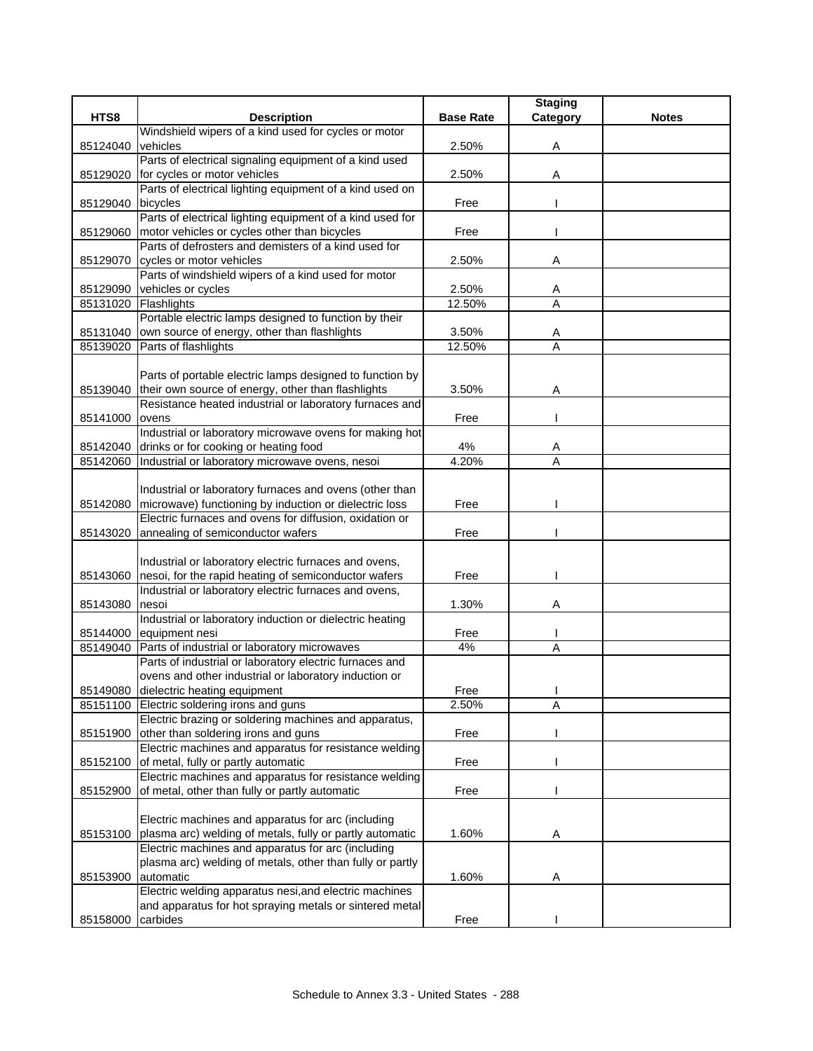|          |                                                                      |                  | <b>Staging</b> |              |
|----------|----------------------------------------------------------------------|------------------|----------------|--------------|
| HTS8     | <b>Description</b>                                                   | <b>Base Rate</b> | Category       | <b>Notes</b> |
|          | Windshield wipers of a kind used for cycles or motor                 |                  |                |              |
| 85124040 | vehicles                                                             | 2.50%            | Α              |              |
|          | Parts of electrical signaling equipment of a kind used               |                  |                |              |
| 85129020 | for cycles or motor vehicles                                         | 2.50%            | Α              |              |
|          | Parts of electrical lighting equipment of a kind used on             |                  |                |              |
| 85129040 | bicycles                                                             | Free             |                |              |
|          | Parts of electrical lighting equipment of a kind used for            |                  |                |              |
| 85129060 | motor vehicles or cycles other than bicycles                         | Free             |                |              |
|          | Parts of defrosters and demisters of a kind used for                 |                  |                |              |
| 85129070 | cycles or motor vehicles                                             | 2.50%            | Α              |              |
|          | Parts of windshield wipers of a kind used for motor                  |                  |                |              |
| 85129090 | vehicles or cycles                                                   | 2.50%            | Α              |              |
| 85131020 | Flashlights<br>Portable electric lamps designed to function by their | 12.50%           | A              |              |
|          |                                                                      |                  |                |              |
| 85131040 | own source of energy, other than flashlights<br>Parts of flashlights | 3.50%<br>12.50%  | Α<br>A         |              |
| 85139020 |                                                                      |                  |                |              |
|          | Parts of portable electric lamps designed to function by             |                  |                |              |
| 85139040 | their own source of energy, other than flashlights                   | 3.50%            | Α              |              |
|          | Resistance heated industrial or laboratory furnaces and              |                  |                |              |
| 85141000 | ovens                                                                | Free             |                |              |
|          | Industrial or laboratory microwave ovens for making hot              |                  |                |              |
| 85142040 | drinks or for cooking or heating food                                | 4%               | A              |              |
| 85142060 | Industrial or laboratory microwave ovens, nesoi                      | 4.20%            | Ā              |              |
|          |                                                                      |                  |                |              |
|          | Industrial or laboratory furnaces and ovens (other than              |                  |                |              |
| 85142080 | microwave) functioning by induction or dielectric loss               | Free             |                |              |
|          | Electric furnaces and ovens for diffusion, oxidation or              |                  |                |              |
| 85143020 | annealing of semiconductor wafers                                    | Free             |                |              |
|          |                                                                      |                  |                |              |
|          | Industrial or laboratory electric furnaces and ovens,                |                  |                |              |
| 85143060 | nesoi, for the rapid heating of semiconductor wafers                 | Free             |                |              |
|          | Industrial or laboratory electric furnaces and ovens,                |                  |                |              |
| 85143080 | nesoi                                                                | 1.30%            | Α              |              |
|          | Industrial or laboratory induction or dielectric heating             |                  |                |              |
| 85144000 | equipment nesi                                                       | Free             |                |              |
| 85149040 | Parts of industrial or laboratory microwaves                         | 4%               | A              |              |
|          | Parts of industrial or laboratory electric furnaces and              |                  |                |              |
|          | ovens and other industrial or laboratory induction or                |                  |                |              |
|          | 85149080 dielectric heating equipment                                | Free             |                |              |
|          | 85151100 Electric soldering irons and guns                           | 2.50%            | Α              |              |
|          | Electric brazing or soldering machines and apparatus,                |                  |                |              |
| 85151900 | other than soldering irons and guns                                  | Free             |                |              |
|          | Electric machines and apparatus for resistance welding               |                  |                |              |
| 85152100 | of metal, fully or partly automatic                                  | Free             |                |              |
|          | Electric machines and apparatus for resistance welding               |                  |                |              |
| 85152900 | of metal, other than fully or partly automatic                       | Free             |                |              |
|          |                                                                      |                  |                |              |
|          | Electric machines and apparatus for arc (including                   |                  |                |              |
| 85153100 | plasma arc) welding of metals, fully or partly automatic             | 1.60%            | Α              |              |
|          | Electric machines and apparatus for arc (including                   |                  |                |              |
|          | plasma arc) welding of metals, other than fully or partly            |                  |                |              |
| 85153900 | automatic                                                            | 1.60%            | Α              |              |
|          | Electric welding apparatus nesi, and electric machines               |                  |                |              |
|          | and apparatus for hot spraying metals or sintered metal              |                  |                |              |
| 85158000 | carbides                                                             | Free             |                |              |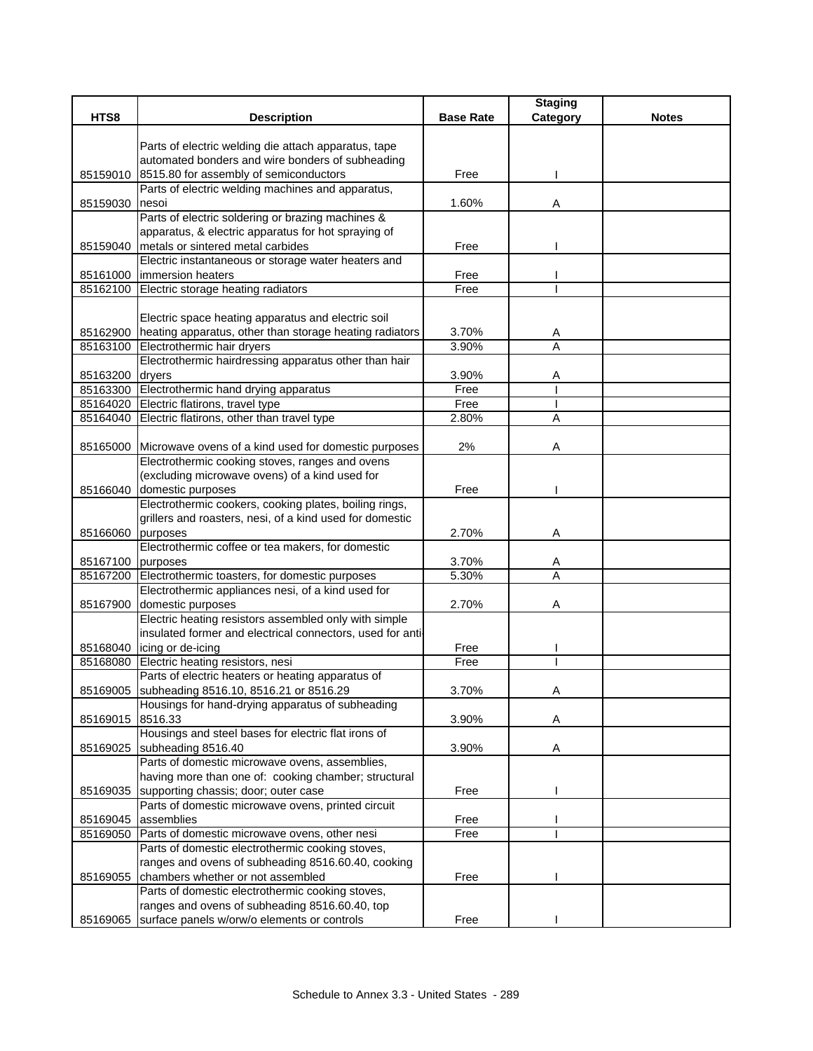| Parts of electric welding die attach apparatus, tape<br>automated bonders and wire bonders of subheading<br>8515.80 for assembly of semiconductors<br>85159010<br>Free<br>Parts of electric welding machines and apparatus,<br>1.60%<br>85159030<br>Α<br>nesoi<br>Parts of electric soldering or brazing machines &<br>apparatus, & electric apparatus for hot spraying of<br>85159040 metals or sintered metal carbides<br>Free<br>Electric instantaneous or storage water heaters and<br>85161000   immersion heaters<br>Free<br>85162100 Electric storage heating radiators<br>Free<br>Electric space heating apparatus and electric soil<br>85162900 heating apparatus, other than storage heating radiators<br>3.70%<br>A<br>A<br>85163100<br>Electrothermic hair dryers<br>3.90%<br>Electrothermic hairdressing apparatus other than hair<br>85163200<br>dryers<br>3.90%<br>A<br>Free<br>85163300 Electrothermic hand drying apparatus<br>85164020 Electric flatirons, travel type<br>Free<br>A<br>85164040<br>Electric flatirons, other than travel type<br>2.80%<br>Microwave ovens of a kind used for domestic purposes<br>2%<br>85165000<br>Α<br>Electrothermic cooking stoves, ranges and ovens<br>(excluding microwave ovens) of a kind used for<br>85166040<br>domestic purposes<br>Free<br>Electrothermic cookers, cooking plates, boiling rings,<br>grillers and roasters, nesi, of a kind used for domestic<br>purposes<br>A<br>85166060<br>2.70%<br>Electrothermic coffee or tea makers, for domestic<br>85167100 purposes<br>3.70%<br>A<br>85167200 Electrothermic toasters, for domestic purposes<br>5.30%<br>A<br>Electrothermic appliances nesi, of a kind used for<br>domestic purposes<br>2.70%<br>85167900<br>Α<br>Electric heating resistors assembled only with simple<br>insulated former and electrical connectors, used for anti-<br>85168040 icing or de-icing<br>Free<br>Free<br>Electric heating resistors, nesi<br>85168080<br>Parts of electric heaters or heating apparatus of<br>85169005 subheading 8516.10, 8516.21 or 8516.29<br>3.70%<br>A<br>Housings for hand-drying apparatus of subheading<br>85169015 8516.33<br>3.90%<br>A<br>Housings and steel bases for electric flat irons of<br>subheading 8516.40<br>3.90%<br>Α<br>85169025<br>Parts of domestic microwave ovens, assemblies,<br>having more than one of: cooking chamber; structural<br>supporting chassis; door; outer case<br>Free<br>85169035<br>Parts of domestic microwave ovens, printed circuit<br>assemblies<br>85169045<br>Free<br>85169050 Parts of domestic microwave ovens, other nesi<br>Free<br>Parts of domestic electrothermic cooking stoves,<br>ranges and ovens of subheading 8516.60.40, cooking<br>chambers whether or not assembled<br>Free<br>85169055<br>Parts of domestic electrothermic cooking stoves,<br>ranges and ovens of subheading 8516.60.40, top |      |                                                      |                  | <b>Staging</b> |              |
|------------------------------------------------------------------------------------------------------------------------------------------------------------------------------------------------------------------------------------------------------------------------------------------------------------------------------------------------------------------------------------------------------------------------------------------------------------------------------------------------------------------------------------------------------------------------------------------------------------------------------------------------------------------------------------------------------------------------------------------------------------------------------------------------------------------------------------------------------------------------------------------------------------------------------------------------------------------------------------------------------------------------------------------------------------------------------------------------------------------------------------------------------------------------------------------------------------------------------------------------------------------------------------------------------------------------------------------------------------------------------------------------------------------------------------------------------------------------------------------------------------------------------------------------------------------------------------------------------------------------------------------------------------------------------------------------------------------------------------------------------------------------------------------------------------------------------------------------------------------------------------------------------------------------------------------------------------------------------------------------------------------------------------------------------------------------------------------------------------------------------------------------------------------------------------------------------------------------------------------------------------------------------------------------------------------------------------------------------------------------------------------------------------------------------------------------------------------------------------------------------------------------------------------------------------------------------------------------------------------------------------------------------------------------------------------------------------------------------------------------------------------------------------------------------------------------------------------------------------------------------------------|------|------------------------------------------------------|------------------|----------------|--------------|
|                                                                                                                                                                                                                                                                                                                                                                                                                                                                                                                                                                                                                                                                                                                                                                                                                                                                                                                                                                                                                                                                                                                                                                                                                                                                                                                                                                                                                                                                                                                                                                                                                                                                                                                                                                                                                                                                                                                                                                                                                                                                                                                                                                                                                                                                                                                                                                                                                                                                                                                                                                                                                                                                                                                                                                                                                                                                                          | HTS8 | <b>Description</b>                                   | <b>Base Rate</b> | Category       | <b>Notes</b> |
|                                                                                                                                                                                                                                                                                                                                                                                                                                                                                                                                                                                                                                                                                                                                                                                                                                                                                                                                                                                                                                                                                                                                                                                                                                                                                                                                                                                                                                                                                                                                                                                                                                                                                                                                                                                                                                                                                                                                                                                                                                                                                                                                                                                                                                                                                                                                                                                                                                                                                                                                                                                                                                                                                                                                                                                                                                                                                          |      |                                                      |                  |                |              |
|                                                                                                                                                                                                                                                                                                                                                                                                                                                                                                                                                                                                                                                                                                                                                                                                                                                                                                                                                                                                                                                                                                                                                                                                                                                                                                                                                                                                                                                                                                                                                                                                                                                                                                                                                                                                                                                                                                                                                                                                                                                                                                                                                                                                                                                                                                                                                                                                                                                                                                                                                                                                                                                                                                                                                                                                                                                                                          |      |                                                      |                  |                |              |
|                                                                                                                                                                                                                                                                                                                                                                                                                                                                                                                                                                                                                                                                                                                                                                                                                                                                                                                                                                                                                                                                                                                                                                                                                                                                                                                                                                                                                                                                                                                                                                                                                                                                                                                                                                                                                                                                                                                                                                                                                                                                                                                                                                                                                                                                                                                                                                                                                                                                                                                                                                                                                                                                                                                                                                                                                                                                                          |      |                                                      |                  |                |              |
|                                                                                                                                                                                                                                                                                                                                                                                                                                                                                                                                                                                                                                                                                                                                                                                                                                                                                                                                                                                                                                                                                                                                                                                                                                                                                                                                                                                                                                                                                                                                                                                                                                                                                                                                                                                                                                                                                                                                                                                                                                                                                                                                                                                                                                                                                                                                                                                                                                                                                                                                                                                                                                                                                                                                                                                                                                                                                          |      |                                                      |                  |                |              |
|                                                                                                                                                                                                                                                                                                                                                                                                                                                                                                                                                                                                                                                                                                                                                                                                                                                                                                                                                                                                                                                                                                                                                                                                                                                                                                                                                                                                                                                                                                                                                                                                                                                                                                                                                                                                                                                                                                                                                                                                                                                                                                                                                                                                                                                                                                                                                                                                                                                                                                                                                                                                                                                                                                                                                                                                                                                                                          |      |                                                      |                  |                |              |
|                                                                                                                                                                                                                                                                                                                                                                                                                                                                                                                                                                                                                                                                                                                                                                                                                                                                                                                                                                                                                                                                                                                                                                                                                                                                                                                                                                                                                                                                                                                                                                                                                                                                                                                                                                                                                                                                                                                                                                                                                                                                                                                                                                                                                                                                                                                                                                                                                                                                                                                                                                                                                                                                                                                                                                                                                                                                                          |      |                                                      |                  |                |              |
|                                                                                                                                                                                                                                                                                                                                                                                                                                                                                                                                                                                                                                                                                                                                                                                                                                                                                                                                                                                                                                                                                                                                                                                                                                                                                                                                                                                                                                                                                                                                                                                                                                                                                                                                                                                                                                                                                                                                                                                                                                                                                                                                                                                                                                                                                                                                                                                                                                                                                                                                                                                                                                                                                                                                                                                                                                                                                          |      |                                                      |                  |                |              |
|                                                                                                                                                                                                                                                                                                                                                                                                                                                                                                                                                                                                                                                                                                                                                                                                                                                                                                                                                                                                                                                                                                                                                                                                                                                                                                                                                                                                                                                                                                                                                                                                                                                                                                                                                                                                                                                                                                                                                                                                                                                                                                                                                                                                                                                                                                                                                                                                                                                                                                                                                                                                                                                                                                                                                                                                                                                                                          |      |                                                      |                  |                |              |
|                                                                                                                                                                                                                                                                                                                                                                                                                                                                                                                                                                                                                                                                                                                                                                                                                                                                                                                                                                                                                                                                                                                                                                                                                                                                                                                                                                                                                                                                                                                                                                                                                                                                                                                                                                                                                                                                                                                                                                                                                                                                                                                                                                                                                                                                                                                                                                                                                                                                                                                                                                                                                                                                                                                                                                                                                                                                                          |      |                                                      |                  |                |              |
|                                                                                                                                                                                                                                                                                                                                                                                                                                                                                                                                                                                                                                                                                                                                                                                                                                                                                                                                                                                                                                                                                                                                                                                                                                                                                                                                                                                                                                                                                                                                                                                                                                                                                                                                                                                                                                                                                                                                                                                                                                                                                                                                                                                                                                                                                                                                                                                                                                                                                                                                                                                                                                                                                                                                                                                                                                                                                          |      |                                                      |                  |                |              |
|                                                                                                                                                                                                                                                                                                                                                                                                                                                                                                                                                                                                                                                                                                                                                                                                                                                                                                                                                                                                                                                                                                                                                                                                                                                                                                                                                                                                                                                                                                                                                                                                                                                                                                                                                                                                                                                                                                                                                                                                                                                                                                                                                                                                                                                                                                                                                                                                                                                                                                                                                                                                                                                                                                                                                                                                                                                                                          |      |                                                      |                  |                |              |
|                                                                                                                                                                                                                                                                                                                                                                                                                                                                                                                                                                                                                                                                                                                                                                                                                                                                                                                                                                                                                                                                                                                                                                                                                                                                                                                                                                                                                                                                                                                                                                                                                                                                                                                                                                                                                                                                                                                                                                                                                                                                                                                                                                                                                                                                                                                                                                                                                                                                                                                                                                                                                                                                                                                                                                                                                                                                                          |      |                                                      |                  |                |              |
|                                                                                                                                                                                                                                                                                                                                                                                                                                                                                                                                                                                                                                                                                                                                                                                                                                                                                                                                                                                                                                                                                                                                                                                                                                                                                                                                                                                                                                                                                                                                                                                                                                                                                                                                                                                                                                                                                                                                                                                                                                                                                                                                                                                                                                                                                                                                                                                                                                                                                                                                                                                                                                                                                                                                                                                                                                                                                          |      |                                                      |                  |                |              |
|                                                                                                                                                                                                                                                                                                                                                                                                                                                                                                                                                                                                                                                                                                                                                                                                                                                                                                                                                                                                                                                                                                                                                                                                                                                                                                                                                                                                                                                                                                                                                                                                                                                                                                                                                                                                                                                                                                                                                                                                                                                                                                                                                                                                                                                                                                                                                                                                                                                                                                                                                                                                                                                                                                                                                                                                                                                                                          |      |                                                      |                  |                |              |
|                                                                                                                                                                                                                                                                                                                                                                                                                                                                                                                                                                                                                                                                                                                                                                                                                                                                                                                                                                                                                                                                                                                                                                                                                                                                                                                                                                                                                                                                                                                                                                                                                                                                                                                                                                                                                                                                                                                                                                                                                                                                                                                                                                                                                                                                                                                                                                                                                                                                                                                                                                                                                                                                                                                                                                                                                                                                                          |      |                                                      |                  |                |              |
|                                                                                                                                                                                                                                                                                                                                                                                                                                                                                                                                                                                                                                                                                                                                                                                                                                                                                                                                                                                                                                                                                                                                                                                                                                                                                                                                                                                                                                                                                                                                                                                                                                                                                                                                                                                                                                                                                                                                                                                                                                                                                                                                                                                                                                                                                                                                                                                                                                                                                                                                                                                                                                                                                                                                                                                                                                                                                          |      |                                                      |                  |                |              |
|                                                                                                                                                                                                                                                                                                                                                                                                                                                                                                                                                                                                                                                                                                                                                                                                                                                                                                                                                                                                                                                                                                                                                                                                                                                                                                                                                                                                                                                                                                                                                                                                                                                                                                                                                                                                                                                                                                                                                                                                                                                                                                                                                                                                                                                                                                                                                                                                                                                                                                                                                                                                                                                                                                                                                                                                                                                                                          |      |                                                      |                  |                |              |
|                                                                                                                                                                                                                                                                                                                                                                                                                                                                                                                                                                                                                                                                                                                                                                                                                                                                                                                                                                                                                                                                                                                                                                                                                                                                                                                                                                                                                                                                                                                                                                                                                                                                                                                                                                                                                                                                                                                                                                                                                                                                                                                                                                                                                                                                                                                                                                                                                                                                                                                                                                                                                                                                                                                                                                                                                                                                                          |      |                                                      |                  |                |              |
|                                                                                                                                                                                                                                                                                                                                                                                                                                                                                                                                                                                                                                                                                                                                                                                                                                                                                                                                                                                                                                                                                                                                                                                                                                                                                                                                                                                                                                                                                                                                                                                                                                                                                                                                                                                                                                                                                                                                                                                                                                                                                                                                                                                                                                                                                                                                                                                                                                                                                                                                                                                                                                                                                                                                                                                                                                                                                          |      |                                                      |                  |                |              |
|                                                                                                                                                                                                                                                                                                                                                                                                                                                                                                                                                                                                                                                                                                                                                                                                                                                                                                                                                                                                                                                                                                                                                                                                                                                                                                                                                                                                                                                                                                                                                                                                                                                                                                                                                                                                                                                                                                                                                                                                                                                                                                                                                                                                                                                                                                                                                                                                                                                                                                                                                                                                                                                                                                                                                                                                                                                                                          |      |                                                      |                  |                |              |
|                                                                                                                                                                                                                                                                                                                                                                                                                                                                                                                                                                                                                                                                                                                                                                                                                                                                                                                                                                                                                                                                                                                                                                                                                                                                                                                                                                                                                                                                                                                                                                                                                                                                                                                                                                                                                                                                                                                                                                                                                                                                                                                                                                                                                                                                                                                                                                                                                                                                                                                                                                                                                                                                                                                                                                                                                                                                                          |      |                                                      |                  |                |              |
|                                                                                                                                                                                                                                                                                                                                                                                                                                                                                                                                                                                                                                                                                                                                                                                                                                                                                                                                                                                                                                                                                                                                                                                                                                                                                                                                                                                                                                                                                                                                                                                                                                                                                                                                                                                                                                                                                                                                                                                                                                                                                                                                                                                                                                                                                                                                                                                                                                                                                                                                                                                                                                                                                                                                                                                                                                                                                          |      |                                                      |                  |                |              |
|                                                                                                                                                                                                                                                                                                                                                                                                                                                                                                                                                                                                                                                                                                                                                                                                                                                                                                                                                                                                                                                                                                                                                                                                                                                                                                                                                                                                                                                                                                                                                                                                                                                                                                                                                                                                                                                                                                                                                                                                                                                                                                                                                                                                                                                                                                                                                                                                                                                                                                                                                                                                                                                                                                                                                                                                                                                                                          |      |                                                      |                  |                |              |
|                                                                                                                                                                                                                                                                                                                                                                                                                                                                                                                                                                                                                                                                                                                                                                                                                                                                                                                                                                                                                                                                                                                                                                                                                                                                                                                                                                                                                                                                                                                                                                                                                                                                                                                                                                                                                                                                                                                                                                                                                                                                                                                                                                                                                                                                                                                                                                                                                                                                                                                                                                                                                                                                                                                                                                                                                                                                                          |      |                                                      |                  |                |              |
|                                                                                                                                                                                                                                                                                                                                                                                                                                                                                                                                                                                                                                                                                                                                                                                                                                                                                                                                                                                                                                                                                                                                                                                                                                                                                                                                                                                                                                                                                                                                                                                                                                                                                                                                                                                                                                                                                                                                                                                                                                                                                                                                                                                                                                                                                                                                                                                                                                                                                                                                                                                                                                                                                                                                                                                                                                                                                          |      |                                                      |                  |                |              |
|                                                                                                                                                                                                                                                                                                                                                                                                                                                                                                                                                                                                                                                                                                                                                                                                                                                                                                                                                                                                                                                                                                                                                                                                                                                                                                                                                                                                                                                                                                                                                                                                                                                                                                                                                                                                                                                                                                                                                                                                                                                                                                                                                                                                                                                                                                                                                                                                                                                                                                                                                                                                                                                                                                                                                                                                                                                                                          |      |                                                      |                  |                |              |
|                                                                                                                                                                                                                                                                                                                                                                                                                                                                                                                                                                                                                                                                                                                                                                                                                                                                                                                                                                                                                                                                                                                                                                                                                                                                                                                                                                                                                                                                                                                                                                                                                                                                                                                                                                                                                                                                                                                                                                                                                                                                                                                                                                                                                                                                                                                                                                                                                                                                                                                                                                                                                                                                                                                                                                                                                                                                                          |      |                                                      |                  |                |              |
|                                                                                                                                                                                                                                                                                                                                                                                                                                                                                                                                                                                                                                                                                                                                                                                                                                                                                                                                                                                                                                                                                                                                                                                                                                                                                                                                                                                                                                                                                                                                                                                                                                                                                                                                                                                                                                                                                                                                                                                                                                                                                                                                                                                                                                                                                                                                                                                                                                                                                                                                                                                                                                                                                                                                                                                                                                                                                          |      |                                                      |                  |                |              |
|                                                                                                                                                                                                                                                                                                                                                                                                                                                                                                                                                                                                                                                                                                                                                                                                                                                                                                                                                                                                                                                                                                                                                                                                                                                                                                                                                                                                                                                                                                                                                                                                                                                                                                                                                                                                                                                                                                                                                                                                                                                                                                                                                                                                                                                                                                                                                                                                                                                                                                                                                                                                                                                                                                                                                                                                                                                                                          |      |                                                      |                  |                |              |
|                                                                                                                                                                                                                                                                                                                                                                                                                                                                                                                                                                                                                                                                                                                                                                                                                                                                                                                                                                                                                                                                                                                                                                                                                                                                                                                                                                                                                                                                                                                                                                                                                                                                                                                                                                                                                                                                                                                                                                                                                                                                                                                                                                                                                                                                                                                                                                                                                                                                                                                                                                                                                                                                                                                                                                                                                                                                                          |      |                                                      |                  |                |              |
|                                                                                                                                                                                                                                                                                                                                                                                                                                                                                                                                                                                                                                                                                                                                                                                                                                                                                                                                                                                                                                                                                                                                                                                                                                                                                                                                                                                                                                                                                                                                                                                                                                                                                                                                                                                                                                                                                                                                                                                                                                                                                                                                                                                                                                                                                                                                                                                                                                                                                                                                                                                                                                                                                                                                                                                                                                                                                          |      |                                                      |                  |                |              |
|                                                                                                                                                                                                                                                                                                                                                                                                                                                                                                                                                                                                                                                                                                                                                                                                                                                                                                                                                                                                                                                                                                                                                                                                                                                                                                                                                                                                                                                                                                                                                                                                                                                                                                                                                                                                                                                                                                                                                                                                                                                                                                                                                                                                                                                                                                                                                                                                                                                                                                                                                                                                                                                                                                                                                                                                                                                                                          |      |                                                      |                  |                |              |
|                                                                                                                                                                                                                                                                                                                                                                                                                                                                                                                                                                                                                                                                                                                                                                                                                                                                                                                                                                                                                                                                                                                                                                                                                                                                                                                                                                                                                                                                                                                                                                                                                                                                                                                                                                                                                                                                                                                                                                                                                                                                                                                                                                                                                                                                                                                                                                                                                                                                                                                                                                                                                                                                                                                                                                                                                                                                                          |      |                                                      |                  |                |              |
|                                                                                                                                                                                                                                                                                                                                                                                                                                                                                                                                                                                                                                                                                                                                                                                                                                                                                                                                                                                                                                                                                                                                                                                                                                                                                                                                                                                                                                                                                                                                                                                                                                                                                                                                                                                                                                                                                                                                                                                                                                                                                                                                                                                                                                                                                                                                                                                                                                                                                                                                                                                                                                                                                                                                                                                                                                                                                          |      |                                                      |                  |                |              |
|                                                                                                                                                                                                                                                                                                                                                                                                                                                                                                                                                                                                                                                                                                                                                                                                                                                                                                                                                                                                                                                                                                                                                                                                                                                                                                                                                                                                                                                                                                                                                                                                                                                                                                                                                                                                                                                                                                                                                                                                                                                                                                                                                                                                                                                                                                                                                                                                                                                                                                                                                                                                                                                                                                                                                                                                                                                                                          |      |                                                      |                  |                |              |
|                                                                                                                                                                                                                                                                                                                                                                                                                                                                                                                                                                                                                                                                                                                                                                                                                                                                                                                                                                                                                                                                                                                                                                                                                                                                                                                                                                                                                                                                                                                                                                                                                                                                                                                                                                                                                                                                                                                                                                                                                                                                                                                                                                                                                                                                                                                                                                                                                                                                                                                                                                                                                                                                                                                                                                                                                                                                                          |      |                                                      |                  |                |              |
|                                                                                                                                                                                                                                                                                                                                                                                                                                                                                                                                                                                                                                                                                                                                                                                                                                                                                                                                                                                                                                                                                                                                                                                                                                                                                                                                                                                                                                                                                                                                                                                                                                                                                                                                                                                                                                                                                                                                                                                                                                                                                                                                                                                                                                                                                                                                                                                                                                                                                                                                                                                                                                                                                                                                                                                                                                                                                          |      |                                                      |                  |                |              |
|                                                                                                                                                                                                                                                                                                                                                                                                                                                                                                                                                                                                                                                                                                                                                                                                                                                                                                                                                                                                                                                                                                                                                                                                                                                                                                                                                                                                                                                                                                                                                                                                                                                                                                                                                                                                                                                                                                                                                                                                                                                                                                                                                                                                                                                                                                                                                                                                                                                                                                                                                                                                                                                                                                                                                                                                                                                                                          |      |                                                      |                  |                |              |
|                                                                                                                                                                                                                                                                                                                                                                                                                                                                                                                                                                                                                                                                                                                                                                                                                                                                                                                                                                                                                                                                                                                                                                                                                                                                                                                                                                                                                                                                                                                                                                                                                                                                                                                                                                                                                                                                                                                                                                                                                                                                                                                                                                                                                                                                                                                                                                                                                                                                                                                                                                                                                                                                                                                                                                                                                                                                                          |      |                                                      |                  |                |              |
|                                                                                                                                                                                                                                                                                                                                                                                                                                                                                                                                                                                                                                                                                                                                                                                                                                                                                                                                                                                                                                                                                                                                                                                                                                                                                                                                                                                                                                                                                                                                                                                                                                                                                                                                                                                                                                                                                                                                                                                                                                                                                                                                                                                                                                                                                                                                                                                                                                                                                                                                                                                                                                                                                                                                                                                                                                                                                          |      |                                                      |                  |                |              |
|                                                                                                                                                                                                                                                                                                                                                                                                                                                                                                                                                                                                                                                                                                                                                                                                                                                                                                                                                                                                                                                                                                                                                                                                                                                                                                                                                                                                                                                                                                                                                                                                                                                                                                                                                                                                                                                                                                                                                                                                                                                                                                                                                                                                                                                                                                                                                                                                                                                                                                                                                                                                                                                                                                                                                                                                                                                                                          |      |                                                      |                  |                |              |
|                                                                                                                                                                                                                                                                                                                                                                                                                                                                                                                                                                                                                                                                                                                                                                                                                                                                                                                                                                                                                                                                                                                                                                                                                                                                                                                                                                                                                                                                                                                                                                                                                                                                                                                                                                                                                                                                                                                                                                                                                                                                                                                                                                                                                                                                                                                                                                                                                                                                                                                                                                                                                                                                                                                                                                                                                                                                                          |      |                                                      |                  |                |              |
|                                                                                                                                                                                                                                                                                                                                                                                                                                                                                                                                                                                                                                                                                                                                                                                                                                                                                                                                                                                                                                                                                                                                                                                                                                                                                                                                                                                                                                                                                                                                                                                                                                                                                                                                                                                                                                                                                                                                                                                                                                                                                                                                                                                                                                                                                                                                                                                                                                                                                                                                                                                                                                                                                                                                                                                                                                                                                          |      |                                                      |                  |                |              |
|                                                                                                                                                                                                                                                                                                                                                                                                                                                                                                                                                                                                                                                                                                                                                                                                                                                                                                                                                                                                                                                                                                                                                                                                                                                                                                                                                                                                                                                                                                                                                                                                                                                                                                                                                                                                                                                                                                                                                                                                                                                                                                                                                                                                                                                                                                                                                                                                                                                                                                                                                                                                                                                                                                                                                                                                                                                                                          |      |                                                      |                  |                |              |
|                                                                                                                                                                                                                                                                                                                                                                                                                                                                                                                                                                                                                                                                                                                                                                                                                                                                                                                                                                                                                                                                                                                                                                                                                                                                                                                                                                                                                                                                                                                                                                                                                                                                                                                                                                                                                                                                                                                                                                                                                                                                                                                                                                                                                                                                                                                                                                                                                                                                                                                                                                                                                                                                                                                                                                                                                                                                                          |      |                                                      |                  |                |              |
|                                                                                                                                                                                                                                                                                                                                                                                                                                                                                                                                                                                                                                                                                                                                                                                                                                                                                                                                                                                                                                                                                                                                                                                                                                                                                                                                                                                                                                                                                                                                                                                                                                                                                                                                                                                                                                                                                                                                                                                                                                                                                                                                                                                                                                                                                                                                                                                                                                                                                                                                                                                                                                                                                                                                                                                                                                                                                          |      |                                                      |                  |                |              |
|                                                                                                                                                                                                                                                                                                                                                                                                                                                                                                                                                                                                                                                                                                                                                                                                                                                                                                                                                                                                                                                                                                                                                                                                                                                                                                                                                                                                                                                                                                                                                                                                                                                                                                                                                                                                                                                                                                                                                                                                                                                                                                                                                                                                                                                                                                                                                                                                                                                                                                                                                                                                                                                                                                                                                                                                                                                                                          |      |                                                      |                  |                |              |
|                                                                                                                                                                                                                                                                                                                                                                                                                                                                                                                                                                                                                                                                                                                                                                                                                                                                                                                                                                                                                                                                                                                                                                                                                                                                                                                                                                                                                                                                                                                                                                                                                                                                                                                                                                                                                                                                                                                                                                                                                                                                                                                                                                                                                                                                                                                                                                                                                                                                                                                                                                                                                                                                                                                                                                                                                                                                                          |      |                                                      |                  |                |              |
|                                                                                                                                                                                                                                                                                                                                                                                                                                                                                                                                                                                                                                                                                                                                                                                                                                                                                                                                                                                                                                                                                                                                                                                                                                                                                                                                                                                                                                                                                                                                                                                                                                                                                                                                                                                                                                                                                                                                                                                                                                                                                                                                                                                                                                                                                                                                                                                                                                                                                                                                                                                                                                                                                                                                                                                                                                                                                          |      |                                                      |                  |                |              |
|                                                                                                                                                                                                                                                                                                                                                                                                                                                                                                                                                                                                                                                                                                                                                                                                                                                                                                                                                                                                                                                                                                                                                                                                                                                                                                                                                                                                                                                                                                                                                                                                                                                                                                                                                                                                                                                                                                                                                                                                                                                                                                                                                                                                                                                                                                                                                                                                                                                                                                                                                                                                                                                                                                                                                                                                                                                                                          |      |                                                      |                  |                |              |
|                                                                                                                                                                                                                                                                                                                                                                                                                                                                                                                                                                                                                                                                                                                                                                                                                                                                                                                                                                                                                                                                                                                                                                                                                                                                                                                                                                                                                                                                                                                                                                                                                                                                                                                                                                                                                                                                                                                                                                                                                                                                                                                                                                                                                                                                                                                                                                                                                                                                                                                                                                                                                                                                                                                                                                                                                                                                                          |      |                                                      |                  |                |              |
|                                                                                                                                                                                                                                                                                                                                                                                                                                                                                                                                                                                                                                                                                                                                                                                                                                                                                                                                                                                                                                                                                                                                                                                                                                                                                                                                                                                                                                                                                                                                                                                                                                                                                                                                                                                                                                                                                                                                                                                                                                                                                                                                                                                                                                                                                                                                                                                                                                                                                                                                                                                                                                                                                                                                                                                                                                                                                          |      |                                                      |                  |                |              |
|                                                                                                                                                                                                                                                                                                                                                                                                                                                                                                                                                                                                                                                                                                                                                                                                                                                                                                                                                                                                                                                                                                                                                                                                                                                                                                                                                                                                                                                                                                                                                                                                                                                                                                                                                                                                                                                                                                                                                                                                                                                                                                                                                                                                                                                                                                                                                                                                                                                                                                                                                                                                                                                                                                                                                                                                                                                                                          |      | 85169065 surface panels w/orw/o elements or controls | Free             |                |              |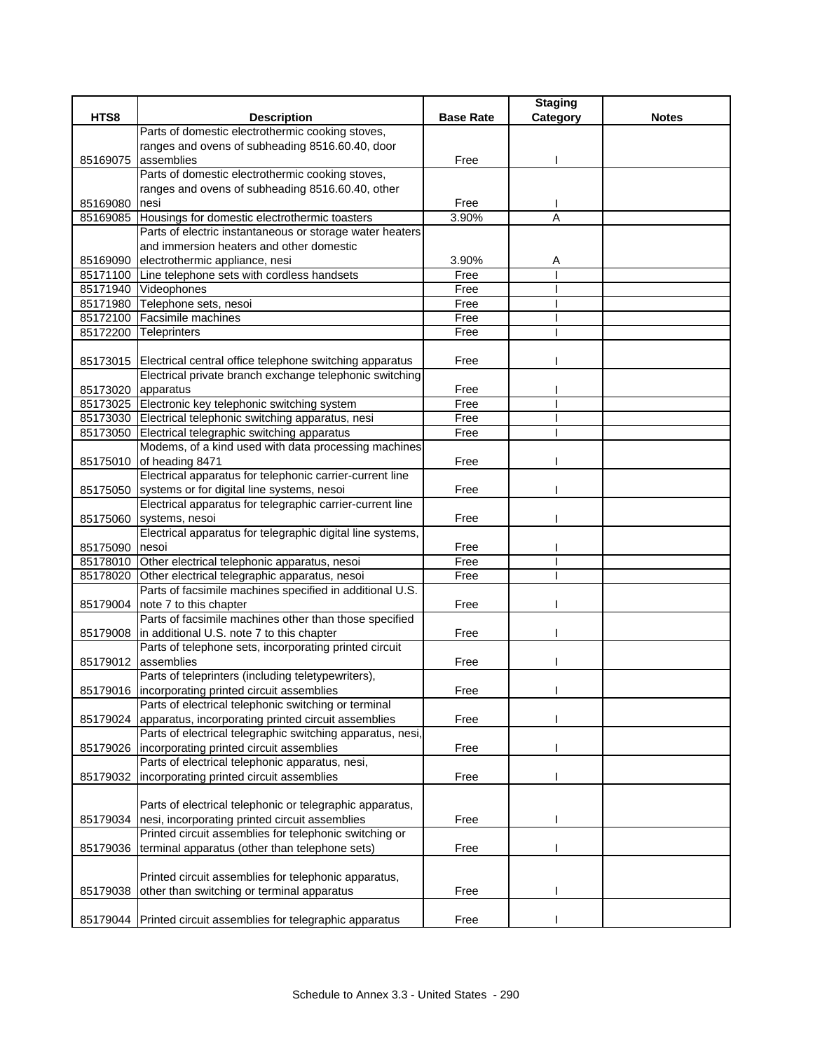|                    |                                                                                                            |                  | <b>Staging</b> |              |
|--------------------|------------------------------------------------------------------------------------------------------------|------------------|----------------|--------------|
| HTS8               | <b>Description</b>                                                                                         | <b>Base Rate</b> | Category       | <b>Notes</b> |
|                    | Parts of domestic electrothermic cooking stoves,                                                           |                  |                |              |
|                    | ranges and ovens of subheading 8516.60.40, door                                                            |                  |                |              |
| 85169075           | assemblies                                                                                                 | Free             |                |              |
|                    | Parts of domestic electrothermic cooking stoves,                                                           |                  |                |              |
|                    | ranges and ovens of subheading 8516.60.40, other                                                           |                  |                |              |
| 85169080           | Inesi                                                                                                      | Free             |                |              |
| 85169085           | Housings for domestic electrothermic toasters                                                              | 3.90%            | A              |              |
|                    | Parts of electric instantaneous or storage water heaters                                                   |                  |                |              |
|                    | and immersion heaters and other domestic                                                                   | 3.90%            |                |              |
|                    | 85169090 electrothermic appliance, nesi<br>85171100 Line telephone sets with cordless handsets             | Free             | Α              |              |
|                    | 85171940 Videophones                                                                                       | Free             |                |              |
|                    | 85171980 Telephone sets, nesoi                                                                             | Free             |                |              |
|                    | 85172100 Facsimile machines                                                                                | Free             |                |              |
| 85172200           | <b>Teleprinters</b>                                                                                        | Free             |                |              |
|                    |                                                                                                            |                  |                |              |
|                    | 85173015   Electrical central office telephone switching apparatus                                         | Free             |                |              |
|                    | Electrical private branch exchange telephonic switching                                                    |                  |                |              |
| 85173020 apparatus |                                                                                                            | Free             |                |              |
|                    | 85173025 Electronic key telephonic switching system                                                        | Free             |                |              |
|                    | 85173030 Electrical telephonic switching apparatus, nesi                                                   | Free             |                |              |
|                    | 85173050 Electrical telegraphic switching apparatus                                                        | Free             |                |              |
|                    | Modems, of a kind used with data processing machines                                                       |                  |                |              |
|                    | 85175010 of heading 8471                                                                                   | Free             |                |              |
|                    | Electrical apparatus for telephonic carrier-current line                                                   |                  |                |              |
|                    | 85175050 systems or for digital line systems, nesoi                                                        | Free             |                |              |
|                    | Electrical apparatus for telegraphic carrier-current line                                                  |                  |                |              |
| 85175060           | systems, nesoi                                                                                             | Free             |                |              |
|                    | Electrical apparatus for telegraphic digital line systems,                                                 |                  |                |              |
| 85175090           | nesoi                                                                                                      | Free             |                |              |
|                    | 85178010 Other electrical telephonic apparatus, nesoi                                                      | Free             |                |              |
| 85178020           | Other electrical telegraphic apparatus, nesoi                                                              | Free             |                |              |
|                    | Parts of facsimile machines specified in additional U.S.                                                   |                  |                |              |
|                    | 85179004 note 7 to this chapter                                                                            | Free             |                |              |
|                    | Parts of facsimile machines other than those specified                                                     |                  |                |              |
|                    | 85179008 in additional U.S. note 7 to this chapter                                                         | Free             |                |              |
|                    | Parts of telephone sets, incorporating printed circuit                                                     |                  |                |              |
|                    | 85179012 assemblies                                                                                        | Free             |                |              |
|                    | Parts of teleprinters (including teletypewriters),                                                         |                  |                |              |
|                    | 85179016  incorporating printed circuit assemblies<br>Parts of electrical telephonic switching or terminal | Free             |                |              |
|                    | 85179024 apparatus, incorporating printed circuit assemblies                                               | Free             |                |              |
|                    | Parts of electrical telegraphic switching apparatus, nesi,                                                 |                  |                |              |
| 85179026           | incorporating printed circuit assemblies                                                                   | Free             |                |              |
|                    | Parts of electrical telephonic apparatus, nesi,                                                            |                  |                |              |
| 85179032           | incorporating printed circuit assemblies                                                                   | Free             |                |              |
|                    |                                                                                                            |                  |                |              |
|                    | Parts of electrical telephonic or telegraphic apparatus,                                                   |                  |                |              |
| 85179034           | nesi, incorporating printed circuit assemblies                                                             | Free             |                |              |
|                    | Printed circuit assemblies for telephonic switching or                                                     |                  |                |              |
| 85179036           | terminal apparatus (other than telephone sets)                                                             | Free             |                |              |
|                    |                                                                                                            |                  |                |              |
|                    | Printed circuit assemblies for telephonic apparatus,                                                       |                  |                |              |
| 85179038           | other than switching or terminal apparatus                                                                 | Free             |                |              |
|                    |                                                                                                            |                  |                |              |
|                    | 85179044 Printed circuit assemblies for telegraphic apparatus                                              | Free             |                |              |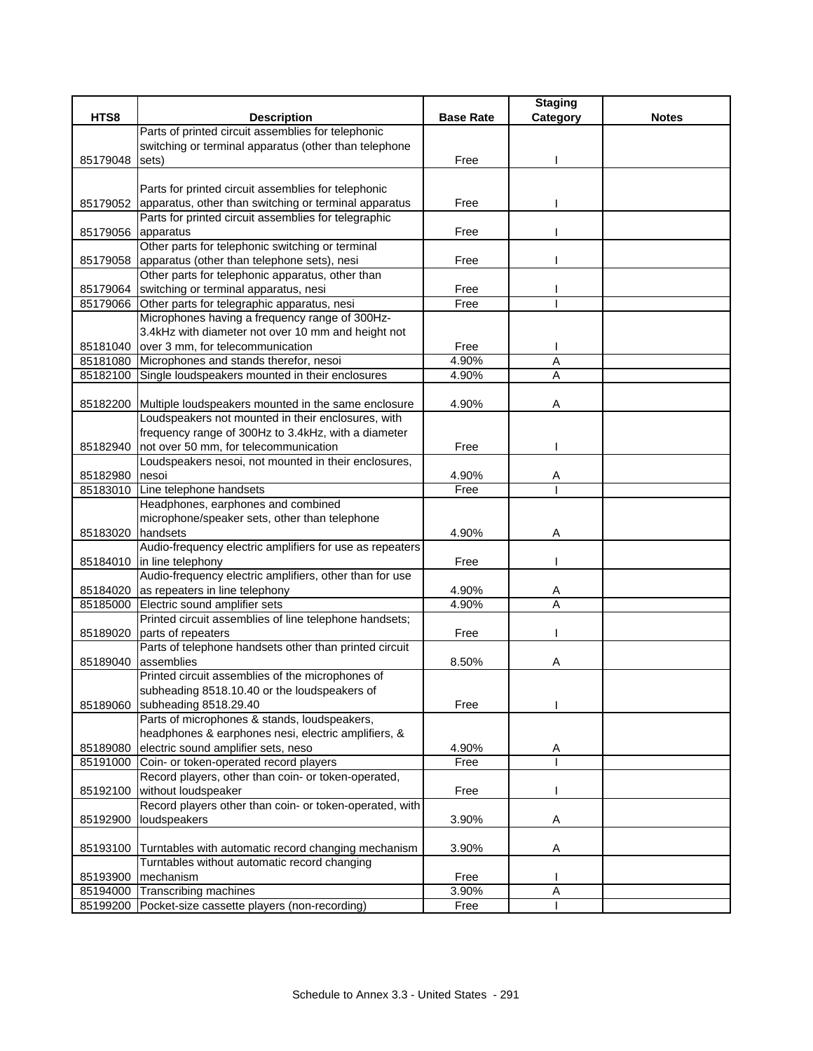|                    |                                                              |                  | <b>Staging</b> |              |
|--------------------|--------------------------------------------------------------|------------------|----------------|--------------|
| HTS8               | <b>Description</b>                                           | <b>Base Rate</b> | Category       | <b>Notes</b> |
|                    | Parts of printed circuit assemblies for telephonic           |                  |                |              |
|                    | switching or terminal apparatus (other than telephone        |                  |                |              |
| 85179048           | sets)                                                        | Free             |                |              |
|                    |                                                              |                  |                |              |
|                    | Parts for printed circuit assemblies for telephonic          |                  |                |              |
| 85179052           | apparatus, other than switching or terminal apparatus        | Free             |                |              |
|                    | Parts for printed circuit assemblies for telegraphic         |                  |                |              |
| 85179056 apparatus |                                                              | Free             |                |              |
|                    | Other parts for telephonic switching or terminal             |                  |                |              |
|                    | 85179058 apparatus (other than telephone sets), nesi         | Free             |                |              |
|                    | Other parts for telephonic apparatus, other than             |                  |                |              |
| 85179064           | switching or terminal apparatus, nesi                        | Free             |                |              |
|                    | 85179066 Other parts for telegraphic apparatus, nesi         | Free             |                |              |
|                    | Microphones having a frequency range of 300Hz-               |                  |                |              |
|                    | 3.4kHz with diameter not over 10 mm and height not           |                  |                |              |
|                    | 85181040 over 3 mm, for telecommunication                    | Free             |                |              |
|                    | 85181080 Microphones and stands therefor, nesoi              | 4.90%            | A              |              |
| 85182100           | Single loudspeakers mounted in their enclosures              | 4.90%            | A              |              |
|                    |                                                              |                  |                |              |
|                    | 85182200 Multiple loudspeakers mounted in the same enclosure | 4.90%            | Α              |              |
|                    | Loudspeakers not mounted in their enclosures, with           |                  |                |              |
|                    | frequency range of 300Hz to 3.4kHz, with a diameter          |                  |                |              |
| 85182940           | not over 50 mm, for telecommunication                        | Free             |                |              |
|                    | Loudspeakers nesoi, not mounted in their enclosures,         |                  |                |              |
| 85182980           | nesoi                                                        | 4.90%            | Α              |              |
| 85183010           | Line telephone handsets                                      | Free             |                |              |
|                    | Headphones, earphones and combined                           |                  |                |              |
|                    | microphone/speaker sets, other than telephone                |                  |                |              |
| 85183020           | handsets                                                     | 4.90%            | A              |              |
|                    | Audio-frequency electric amplifiers for use as repeaters     |                  |                |              |
| 85184010           | in line telephony                                            | Free             |                |              |
|                    | Audio-frequency electric amplifiers, other than for use      |                  |                |              |
| 85184020           | as repeaters in line telephony                               | 4.90%            | A              |              |
| 85185000           | Electric sound amplifier sets                                | 4.90%            | A              |              |
|                    | Printed circuit assemblies of line telephone handsets;       |                  |                |              |
| 85189020           | parts of repeaters                                           | Free             |                |              |
|                    | Parts of telephone handsets other than printed circuit       |                  |                |              |
| 85189040           | assemblies                                                   | 8.50%            | Α              |              |
|                    | Printed circuit assemblies of the microphones of             |                  |                |              |
|                    | subheading 8518.10.40 or the loudspeakers of                 |                  |                |              |
| 85189060           | subheading 8518.29.40                                        | Free             |                |              |
|                    | Parts of microphones & stands, loudspeakers,                 |                  |                |              |
|                    | headphones & earphones nesi, electric amplifiers, &          |                  |                |              |
| 85189080           | electric sound amplifier sets, neso                          | 4.90%            | Α              |              |
|                    | 85191000 Coin- or token-operated record players              | Free             |                |              |
|                    | Record players, other than coin- or token-operated,          |                  |                |              |
| 85192100           | without loudspeaker                                          | Free             |                |              |
|                    | Record players other than coin- or token-operated, with      |                  |                |              |
| 85192900           | loudspeakers                                                 | 3.90%            | Α              |              |
|                    |                                                              |                  |                |              |
| 85193100           | Turntables with automatic record changing mechanism          | 3.90%            | Α              |              |
|                    | Turntables without automatic record changing                 |                  |                |              |
| 85193900           | mechanism                                                    | Free             |                |              |
|                    | 85194000 Transcribing machines                               | 3.90%            | Α              |              |
|                    | 85199200 Pocket-size cassette players (non-recording)        | Free             |                |              |
|                    |                                                              |                  |                |              |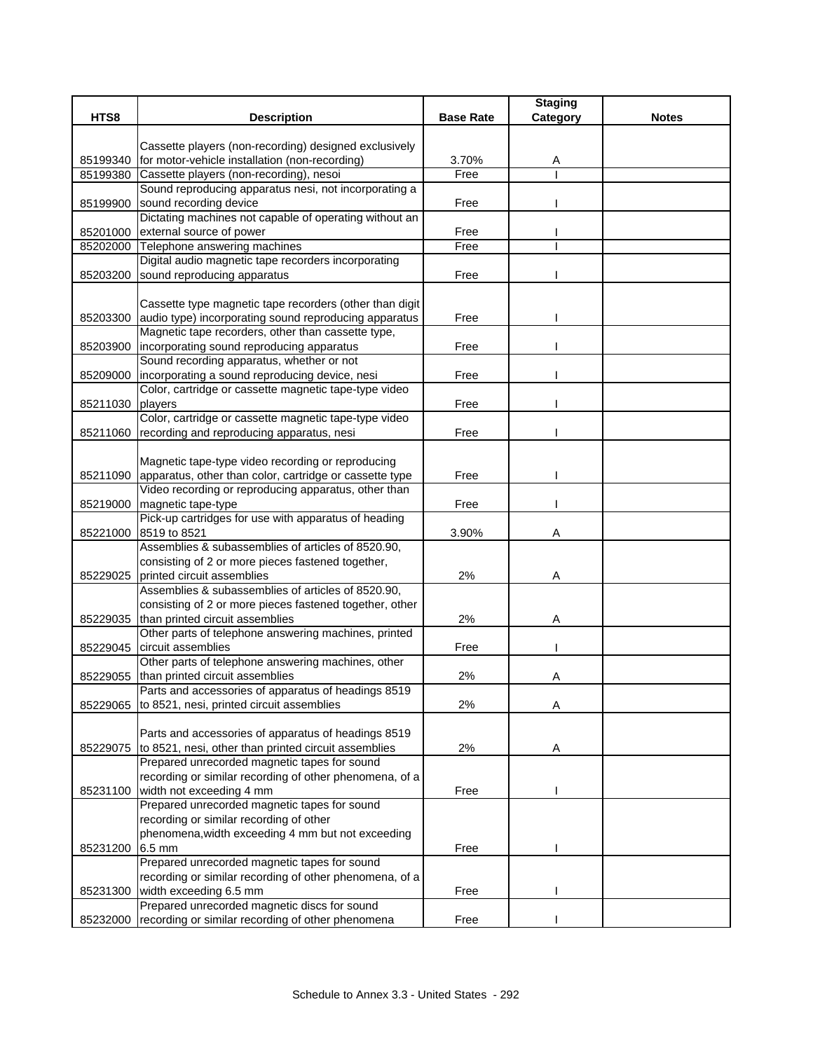|          |                                                                   |                  | <b>Staging</b> |              |
|----------|-------------------------------------------------------------------|------------------|----------------|--------------|
| HTS8     | <b>Description</b>                                                | <b>Base Rate</b> | Category       | <b>Notes</b> |
|          |                                                                   |                  |                |              |
|          | Cassette players (non-recording) designed exclusively             |                  |                |              |
| 85199340 | for motor-vehicle installation (non-recording)                    | 3.70%            | Α              |              |
| 85199380 | Cassette players (non-recording), nesoi                           | Free             |                |              |
|          | Sound reproducing apparatus nesi, not incorporating a             |                  |                |              |
| 85199900 | sound recording device                                            | Free             |                |              |
|          | Dictating machines not capable of operating without an            |                  |                |              |
| 85201000 | external source of power<br>85202000 Telephone answering machines | Free<br>Free     |                |              |
|          | Digital audio magnetic tape recorders incorporating               |                  |                |              |
| 85203200 | sound reproducing apparatus                                       | Free             |                |              |
|          |                                                                   |                  |                |              |
|          | Cassette type magnetic tape recorders (other than digit           |                  |                |              |
| 85203300 | audio type) incorporating sound reproducing apparatus             | Free             |                |              |
|          | Magnetic tape recorders, other than cassette type,                |                  |                |              |
| 85203900 | incorporating sound reproducing apparatus                         | Free             |                |              |
|          | Sound recording apparatus, whether or not                         |                  |                |              |
| 85209000 | incorporating a sound reproducing device, nesi                    | Free             |                |              |
|          | Color, cartridge or cassette magnetic tape-type video             |                  |                |              |
| 85211030 | players                                                           | Free             |                |              |
|          | Color, cartridge or cassette magnetic tape-type video             |                  |                |              |
| 85211060 | recording and reproducing apparatus, nesi                         | Free             |                |              |
|          |                                                                   |                  |                |              |
|          | Magnetic tape-type video recording or reproducing                 |                  |                |              |
| 85211090 | apparatus, other than color, cartridge or cassette type           | Free             |                |              |
|          | Video recording or reproducing apparatus, other than              |                  |                |              |
| 85219000 | magnetic tape-type                                                | Free             |                |              |
|          | Pick-up cartridges for use with apparatus of heading              |                  |                |              |
| 85221000 | 8519 to 8521                                                      | 3.90%            | A              |              |
|          | Assemblies & subassemblies of articles of 8520.90,                |                  |                |              |
|          | consisting of 2 or more pieces fastened together,                 |                  |                |              |
| 85229025 | printed circuit assemblies                                        | 2%               | Α              |              |
|          | Assemblies & subassemblies of articles of 8520.90,                |                  |                |              |
|          | consisting of 2 or more pieces fastened together, other           |                  |                |              |
| 85229035 | than printed circuit assemblies                                   | 2%               | Α              |              |
|          | Other parts of telephone answering machines, printed              |                  |                |              |
| 85229045 | circuit assemblies                                                | Free             |                |              |
|          | Other parts of telephone answering machines, other                |                  |                |              |
| 85229055 | than printed circuit assemblies                                   | 2%               | Α              |              |
|          | Parts and accessories of apparatus of headings 8519               |                  |                |              |
| 85229065 | to 8521, nesi, printed circuit assemblies                         | 2%               | Α              |              |
|          |                                                                   |                  |                |              |
|          | Parts and accessories of apparatus of headings 8519               |                  |                |              |
| 85229075 | to 8521, nesi, other than printed circuit assemblies              | 2%               | Α              |              |
|          | Prepared unrecorded magnetic tapes for sound                      |                  |                |              |
|          | recording or similar recording of other phenomena, of a           |                  |                |              |
| 85231100 | width not exceeding 4 mm                                          | Free             |                |              |
|          | Prepared unrecorded magnetic tapes for sound                      |                  |                |              |
|          | recording or similar recording of other                           |                  |                |              |
|          | phenomena, width exceeding 4 mm but not exceeding                 |                  |                |              |
| 85231200 | 6.5 mm                                                            | Free             |                |              |
|          | Prepared unrecorded magnetic tapes for sound                      |                  |                |              |
|          | recording or similar recording of other phenomena, of a           |                  |                |              |
| 85231300 | width exceeding 6.5 mm                                            | Free             |                |              |
|          | Prepared unrecorded magnetic discs for sound                      |                  |                |              |
| 85232000 | recording or similar recording of other phenomena                 | Free             |                |              |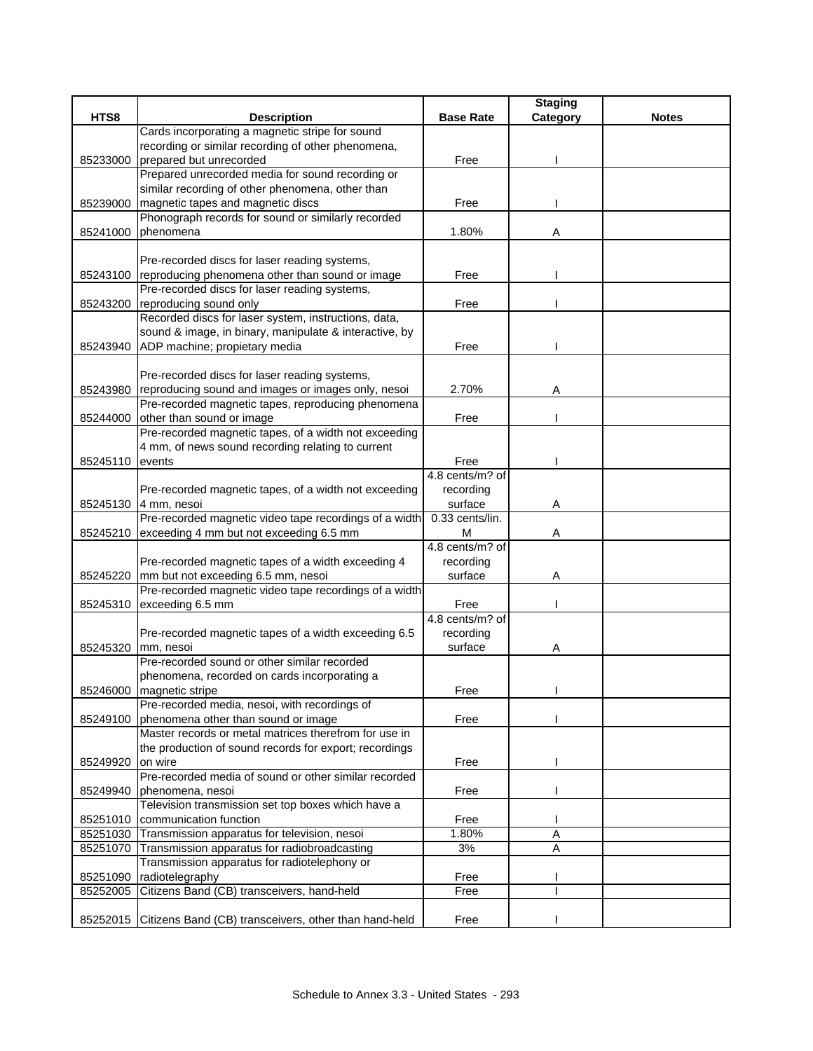|                    |                                                                |                  | <b>Staging</b> |              |
|--------------------|----------------------------------------------------------------|------------------|----------------|--------------|
| HTS8               | <b>Description</b>                                             | <b>Base Rate</b> | Category       | <b>Notes</b> |
|                    | Cards incorporating a magnetic stripe for sound                |                  |                |              |
|                    | recording or similar recording of other phenomena,             |                  |                |              |
| 85233000           | prepared but unrecorded                                        | Free             |                |              |
|                    | Prepared unrecorded media for sound recording or               |                  |                |              |
|                    | similar recording of other phenomena, other than               |                  |                |              |
| 85239000           | magnetic tapes and magnetic discs                              | Free             |                |              |
|                    | Phonograph records for sound or similarly recorded             |                  |                |              |
| 85241000           | phenomena                                                      | 1.80%            | Α              |              |
|                    |                                                                |                  |                |              |
|                    | Pre-recorded discs for laser reading systems,                  |                  |                |              |
|                    | 85243100 reproducing phenomena other than sound or image       | Free             |                |              |
|                    | Pre-recorded discs for laser reading systems,                  |                  |                |              |
|                    | 85243200 reproducing sound only                                | Free             |                |              |
|                    | Recorded discs for laser system, instructions, data,           |                  |                |              |
|                    | sound & image, in binary, manipulate & interactive, by         |                  |                |              |
|                    | 85243940 ADP machine; propietary media                         | Free             |                |              |
|                    |                                                                |                  |                |              |
|                    | Pre-recorded discs for laser reading systems,                  |                  |                |              |
|                    | 85243980 reproducing sound and images or images only, nesoi    | 2.70%            | Α              |              |
|                    | Pre-recorded magnetic tapes, reproducing phenomena             |                  |                |              |
| 85244000           | other than sound or image                                      | Free             |                |              |
|                    | Pre-recorded magnetic tapes, of a width not exceeding          |                  |                |              |
|                    | 4 mm, of news sound recording relating to current              |                  |                |              |
| 85245110           | events                                                         | Free             |                |              |
|                    |                                                                | 4.8 cents/m? of  |                |              |
|                    | Pre-recorded magnetic tapes, of a width not exceeding          | recording        |                |              |
|                    | 85245130 4 mm, nesoi                                           | surface          | Α              |              |
|                    | Pre-recorded magnetic video tape recordings of a width         | 0.33 cents/lin.  |                |              |
|                    | 85245210 exceeding 4 mm but not exceeding 6.5 mm               | м                | A              |              |
|                    |                                                                | 4.8 cents/m? of  |                |              |
|                    | Pre-recorded magnetic tapes of a width exceeding 4             | recording        |                |              |
|                    | 85245220 mm but not exceeding 6.5 mm, nesoi                    | surface          | Α              |              |
|                    | Pre-recorded magnetic video tape recordings of a width         |                  |                |              |
| 85245310           | exceeding 6.5 mm                                               | Free             |                |              |
|                    |                                                                | 4.8 cents/m? of  |                |              |
|                    | Pre-recorded magnetic tapes of a width exceeding 6.5           | recording        |                |              |
| 85245320 mm, nesoi |                                                                | surface          | Α              |              |
|                    | Pre-recorded sound or other similar recorded                   |                  |                |              |
|                    | phenomena, recorded on cards incorporating a                   |                  |                |              |
|                    | 85246000 magnetic stripe                                       | Free             |                |              |
|                    | Pre-recorded media, nesoi, with recordings of                  |                  |                |              |
|                    | 85249100 phenomena other than sound or image                   | Free             |                |              |
|                    | Master records or metal matrices therefrom for use in          |                  |                |              |
|                    | the production of sound records for export; recordings         |                  |                |              |
| 85249920           | on wire                                                        | Free             |                |              |
|                    | Pre-recorded media of sound or other similar recorded          |                  |                |              |
| 85249940           | phenomena, nesoi                                               | Free             |                |              |
|                    | Television transmission set top boxes which have a             |                  |                |              |
|                    | 85251010 communication function                                | Free             |                |              |
| 85251030           | Transmission apparatus for television, nesoi                   | 1.80%            | A              |              |
| 85251070           | Transmission apparatus for radiobroadcasting                   | 3%               | A              |              |
|                    | Transmission apparatus for radiotelephony or                   |                  |                |              |
| 85251090           | radiotelegraphy                                                | Free             |                |              |
| 85252005           | Citizens Band (CB) transceivers, hand-held                     | Free             |                |              |
|                    |                                                                |                  |                |              |
|                    | 85252015 Citizens Band (CB) transceivers, other than hand-held | Free             |                |              |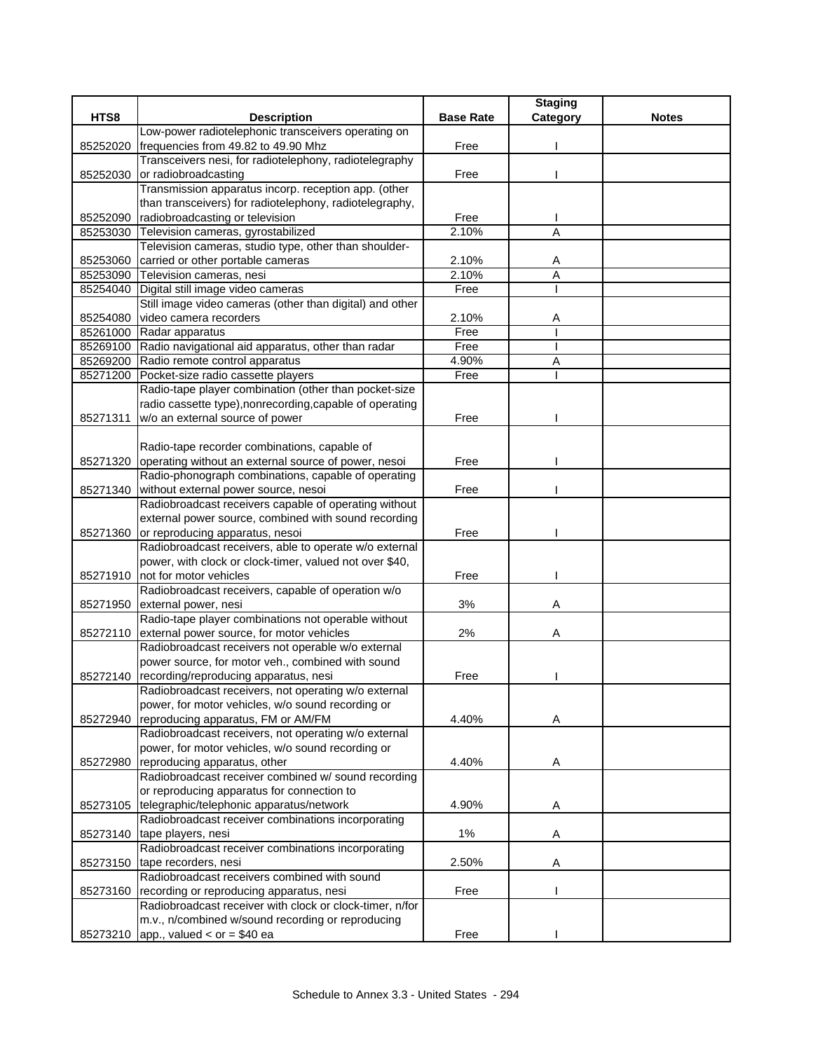|          |                                                             |                  | <b>Staging</b> |              |
|----------|-------------------------------------------------------------|------------------|----------------|--------------|
| HTS8     | <b>Description</b>                                          | <b>Base Rate</b> | Category       | <b>Notes</b> |
|          | Low-power radiotelephonic transceivers operating on         |                  |                |              |
| 85252020 | frequencies from 49.82 to 49.90 Mhz                         | Free             |                |              |
|          | Transceivers nesi, for radiotelephony, radiotelegraphy      |                  |                |              |
| 85252030 | or radiobroadcasting                                        | Free             |                |              |
|          | Transmission apparatus incorp. reception app. (other        |                  |                |              |
|          | than transceivers) for radiotelephony, radiotelegraphy,     |                  |                |              |
| 85252090 | radiobroadcasting or television                             | Free             |                |              |
| 85253030 | Television cameras, gyrostabilized                          | 2.10%            | A              |              |
|          | Television cameras, studio type, other than shoulder-       |                  |                |              |
| 85253060 | carried or other portable cameras                           | 2.10%            | A              |              |
|          | 85253090 Television cameras, nesi                           | 2.10%            | A              |              |
| 85254040 | Digital still image video cameras                           | Free             | т              |              |
|          | Still image video cameras (other than digital) and other    |                  |                |              |
| 85254080 | video camera recorders                                      | 2.10%            | Α              |              |
|          | 85261000 Radar apparatus                                    | Free             |                |              |
|          | 85269100 Radio navigational aid apparatus, other than radar | Free             |                |              |
|          | 85269200 Radio remote control apparatus                     | 4.90%            | Α              |              |
| 85271200 | Pocket-size radio cassette players                          | Free             |                |              |
|          | Radio-tape player combination (other than pocket-size       |                  |                |              |
|          | radio cassette type), nonrecording, capable of operating    |                  |                |              |
| 85271311 | w/o an external source of power                             | Free             |                |              |
|          |                                                             |                  |                |              |
|          | Radio-tape recorder combinations, capable of                |                  |                |              |
| 85271320 | operating without an external source of power, nesoi        | Free             |                |              |
|          | Radio-phonograph combinations, capable of operating         |                  |                |              |
| 85271340 | without external power source, nesoi                        | Free             |                |              |
|          | Radiobroadcast receivers capable of operating without       |                  |                |              |
|          | external power source, combined with sound recording        |                  |                |              |
| 85271360 | or reproducing apparatus, nesoi                             | Free             |                |              |
|          | Radiobroadcast receivers, able to operate w/o external      |                  |                |              |
|          | power, with clock or clock-timer, valued not over \$40,     |                  |                |              |
|          | 85271910 not for motor vehicles                             | Free             |                |              |
|          | Radiobroadcast receivers, capable of operation w/o          |                  |                |              |
| 85271950 | external power, nesi                                        | 3%               | Α              |              |
|          | Radio-tape player combinations not operable without         |                  |                |              |
| 85272110 | external power source, for motor vehicles                   | 2%               | Α              |              |
|          | Radiobroadcast receivers not operable w/o external          |                  |                |              |
|          | power source, for motor veh., combined with sound           |                  |                |              |
| 85272140 | recording/reproducing apparatus, nesi                       | Free             |                |              |
|          | Radiobroadcast receivers, not operating w/o external        |                  |                |              |
|          | power, for motor vehicles, w/o sound recording or           |                  |                |              |
| 85272940 | reproducing apparatus, FM or AM/FM                          | 4.40%            | Α              |              |
|          | Radiobroadcast receivers, not operating w/o external        |                  |                |              |
|          | power, for motor vehicles, w/o sound recording or           |                  |                |              |
| 85272980 | reproducing apparatus, other                                | 4.40%            | Α              |              |
|          | Radiobroadcast receiver combined w/ sound recording         |                  |                |              |
|          | or reproducing apparatus for connection to                  |                  |                |              |
| 85273105 | telegraphic/telephonic apparatus/network                    | 4.90%            | A              |              |
|          | Radiobroadcast receiver combinations incorporating          |                  |                |              |
| 85273140 | tape players, nesi                                          | $1\%$            | Α              |              |
|          | Radiobroadcast receiver combinations incorporating          |                  |                |              |
| 85273150 | tape recorders, nesi                                        | 2.50%            | Α              |              |
|          | Radiobroadcast receivers combined with sound                |                  |                |              |
| 85273160 | recording or reproducing apparatus, nesi                    | Free             |                |              |
|          | Radiobroadcast receiver with clock or clock-timer, n/for    |                  |                |              |
|          | m.v., n/combined w/sound recording or reproducing           |                  |                |              |
|          | 85273210 app., valued < or = \$40 ea                        | Free             |                |              |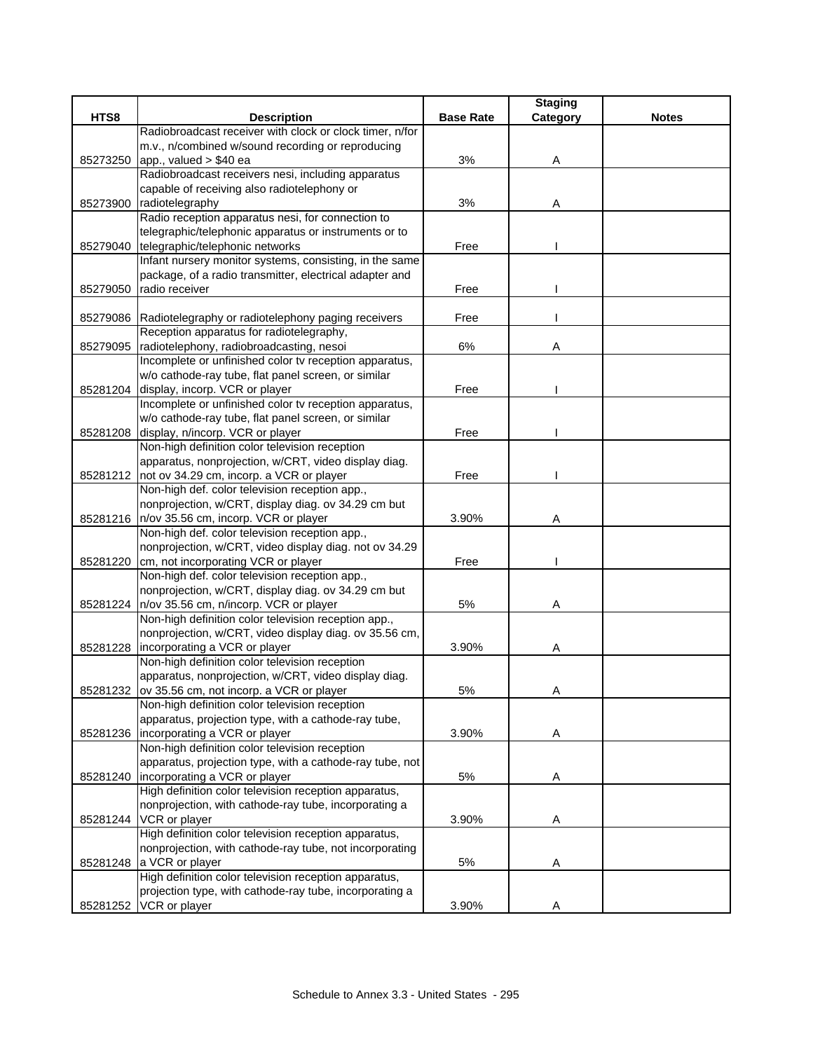|          |                                                             |                  | <b>Staging</b> |              |
|----------|-------------------------------------------------------------|------------------|----------------|--------------|
| HTS8     | <b>Description</b>                                          | <b>Base Rate</b> | Category       | <b>Notes</b> |
|          | Radiobroadcast receiver with clock or clock timer, n/for    |                  |                |              |
|          | m.v., n/combined w/sound recording or reproducing           |                  |                |              |
| 85273250 | app., valued $> $40$ ea                                     | 3%               | Α              |              |
|          | Radiobroadcast receivers nesi, including apparatus          |                  |                |              |
|          | capable of receiving also radiotelephony or                 |                  |                |              |
| 85273900 | radiotelegraphy                                             | 3%               | Α              |              |
|          | Radio reception apparatus nesi, for connection to           |                  |                |              |
|          | telegraphic/telephonic apparatus or instruments or to       |                  |                |              |
| 85279040 | telegraphic/telephonic networks                             | Free             |                |              |
|          | Infant nursery monitor systems, consisting, in the same     |                  |                |              |
|          | package, of a radio transmitter, electrical adapter and     |                  |                |              |
| 85279050 | radio receiver                                              | Free             |                |              |
|          |                                                             |                  |                |              |
|          | 85279086 Radiotelegraphy or radiotelephony paging receivers | Free             |                |              |
|          | Reception apparatus for radiotelegraphy,                    |                  |                |              |
| 85279095 | radiotelephony, radiobroadcasting, nesoi                    | 6%               | Α              |              |
|          | Incomplete or unfinished color tv reception apparatus,      |                  |                |              |
|          | w/o cathode-ray tube, flat panel screen, or similar         |                  |                |              |
|          | 85281204 display, incorp. VCR or player                     | Free             |                |              |
|          | Incomplete or unfinished color tv reception apparatus,      |                  |                |              |
|          | w/o cathode-ray tube, flat panel screen, or similar         |                  |                |              |
| 85281208 | display, n/incorp. VCR or player                            | Free             |                |              |
|          | Non-high definition color television reception              |                  |                |              |
|          | apparatus, nonprojection, w/CRT, video display diag.        |                  |                |              |
|          | 85281212 not ov 34.29 cm, incorp. a VCR or player           | Free             |                |              |
|          | Non-high def. color television reception app.,              |                  |                |              |
|          | nonprojection, w/CRT, display diag. ov 34.29 cm but         |                  |                |              |
|          | 85281216   n/ov 35.56 cm, incorp. VCR or player             | 3.90%            | Α              |              |
|          | Non-high def. color television reception app.,              |                  |                |              |
|          | nonprojection, w/CRT, video display diag. not ov 34.29      |                  |                |              |
| 85281220 | cm, not incorporating VCR or player                         | Free             |                |              |
|          | Non-high def. color television reception app.,              |                  |                |              |
|          | nonprojection, w/CRT, display diag. ov 34.29 cm but         |                  |                |              |
|          | 85281224   n/ov 35.56 cm, n/incorp. VCR or player           | 5%               | Α              |              |
|          | Non-high definition color television reception app.,        |                  |                |              |
|          | nonprojection, w/CRT, video display diag. ov 35.56 cm,      |                  |                |              |
|          | 85281228   incorporating a VCR or player                    | 3.90%            | Α              |              |
|          | Non-high definition color television reception              |                  |                |              |
|          | apparatus, nonprojection, w/CRT, video display diag.        |                  |                |              |
|          | 85281232 ov 35.56 cm, not incorp. a VCR or player           | 5%               | A              |              |
|          | Non-high definition color television reception              |                  |                |              |
|          | apparatus, projection type, with a cathode-ray tube,        |                  |                |              |
|          | 85281236 incorporating a VCR or player                      | 3.90%            | A              |              |
|          | Non-high definition color television reception              |                  |                |              |
|          | apparatus, projection type, with a cathode-ray tube, not    |                  |                |              |
| 85281240 | incorporating a VCR or player                               | 5%               | Α              |              |
|          | High definition color television reception apparatus,       |                  |                |              |
|          | nonprojection, with cathode-ray tube, incorporating a       |                  |                |              |
|          | 85281244 VCR or player                                      | 3.90%            | Α              |              |
|          | High definition color television reception apparatus,       |                  |                |              |
|          | nonprojection, with cathode-ray tube, not incorporating     |                  |                |              |
|          | 85281248 a VCR or player                                    | 5%               | Α              |              |
|          | High definition color television reception apparatus,       |                  |                |              |
|          | projection type, with cathode-ray tube, incorporating a     |                  |                |              |
|          | 85281252 VCR or player                                      | 3.90%            | Α              |              |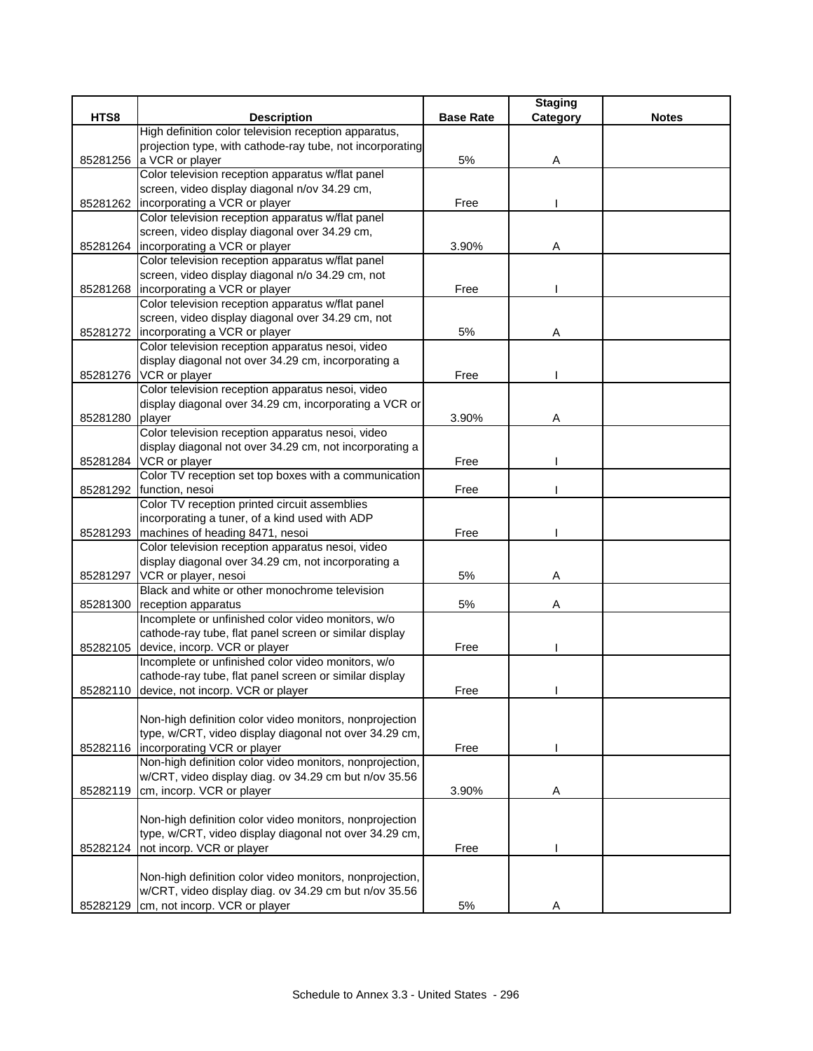|          |                                                                           |                  | <b>Staging</b> |              |
|----------|---------------------------------------------------------------------------|------------------|----------------|--------------|
| HTS8     | <b>Description</b>                                                        | <b>Base Rate</b> | Category       | <b>Notes</b> |
|          | High definition color television reception apparatus,                     |                  |                |              |
|          | projection type, with cathode-ray tube, not incorporating                 |                  |                |              |
| 85281256 | a VCR or player                                                           | 5%               | Α              |              |
|          | Color television reception apparatus w/flat panel                         |                  |                |              |
|          | screen, video display diagonal n/ov 34.29 cm,                             |                  |                |              |
| 85281262 | incorporating a VCR or player                                             | Free             |                |              |
|          | Color television reception apparatus w/flat panel                         |                  |                |              |
|          | screen, video display diagonal over 34.29 cm,                             |                  |                |              |
|          | 85281264 Incorporating a VCR or player                                    | 3.90%            | Α              |              |
|          | Color television reception apparatus w/flat panel                         |                  |                |              |
|          | screen, video display diagonal n/o 34.29 cm, not                          |                  |                |              |
|          | 85281268   incorporating a VCR or player                                  | Free             |                |              |
|          | Color television reception apparatus w/flat panel                         |                  |                |              |
|          | screen, video display diagonal over 34.29 cm, not                         |                  |                |              |
|          | 85281272   incorporating a VCR or player                                  | 5%               | Α              |              |
|          | Color television reception apparatus nesoi, video                         |                  |                |              |
|          | display diagonal not over 34.29 cm, incorporating a                       |                  |                |              |
| 85281276 | VCR or player                                                             | Free             |                |              |
|          | Color television reception apparatus nesoi, video                         |                  |                |              |
|          | display diagonal over 34.29 cm, incorporating a VCR or                    |                  |                |              |
| 85281280 | player                                                                    | 3.90%            | Α              |              |
|          | Color television reception apparatus nesoi, video                         |                  |                |              |
|          | display diagonal not over 34.29 cm, not incorporating a                   |                  |                |              |
| 85281284 | VCR or player                                                             | Free             |                |              |
|          | Color TV reception set top boxes with a communication                     |                  |                |              |
|          | 85281292 function, nesoi                                                  | Free             |                |              |
|          | Color TV reception printed circuit assemblies                             |                  |                |              |
|          | incorporating a tuner, of a kind used with ADP                            |                  |                |              |
| 85281293 | machines of heading 8471, nesoi                                           | Free             |                |              |
|          | Color television reception apparatus nesoi, video                         |                  |                |              |
|          | display diagonal over 34.29 cm, not incorporating a                       |                  |                |              |
|          | VCR or player, nesoi                                                      | 5%               |                |              |
| 85281297 | Black and white or other monochrome television                            |                  | Α              |              |
|          |                                                                           |                  |                |              |
| 85281300 | reception apparatus<br>Incomplete or unfinished color video monitors, w/o | 5%               | Α              |              |
|          |                                                                           |                  |                |              |
|          | cathode-ray tube, flat panel screen or similar display                    |                  |                |              |
|          | 85282105 device, incorp. VCR or player                                    | Free             |                |              |
|          | Incomplete or unfinished color video monitors, w/o                        |                  |                |              |
|          | cathode-ray tube, flat panel screen or similar display                    |                  |                |              |
|          | 85282110 device, not incorp. VCR or player                                | Free             |                |              |
|          |                                                                           |                  |                |              |
|          | Non-high definition color video monitors, nonprojection                   |                  |                |              |
|          | type, w/CRT, video display diagonal not over 34.29 cm,                    |                  |                |              |
| 85282116 | incorporating VCR or player                                               | Free             |                |              |
|          | Non-high definition color video monitors, nonprojection,                  |                  |                |              |
|          | w/CRT, video display diag. ov 34.29 cm but n/ov 35.56                     |                  |                |              |
| 85282119 | cm, incorp. VCR or player                                                 | 3.90%            | Α              |              |
|          |                                                                           |                  |                |              |
|          | Non-high definition color video monitors, nonprojection                   |                  |                |              |
|          | type, w/CRT, video display diagonal not over 34.29 cm,                    |                  |                |              |
| 85282124 | not incorp. VCR or player                                                 | Free             |                |              |
|          |                                                                           |                  |                |              |
|          | Non-high definition color video monitors, nonprojection,                  |                  |                |              |
|          | w/CRT, video display diag. ov 34.29 cm but n/ov 35.56                     |                  |                |              |
|          | 85282129 cm, not incorp. VCR or player                                    | 5%               | Α              |              |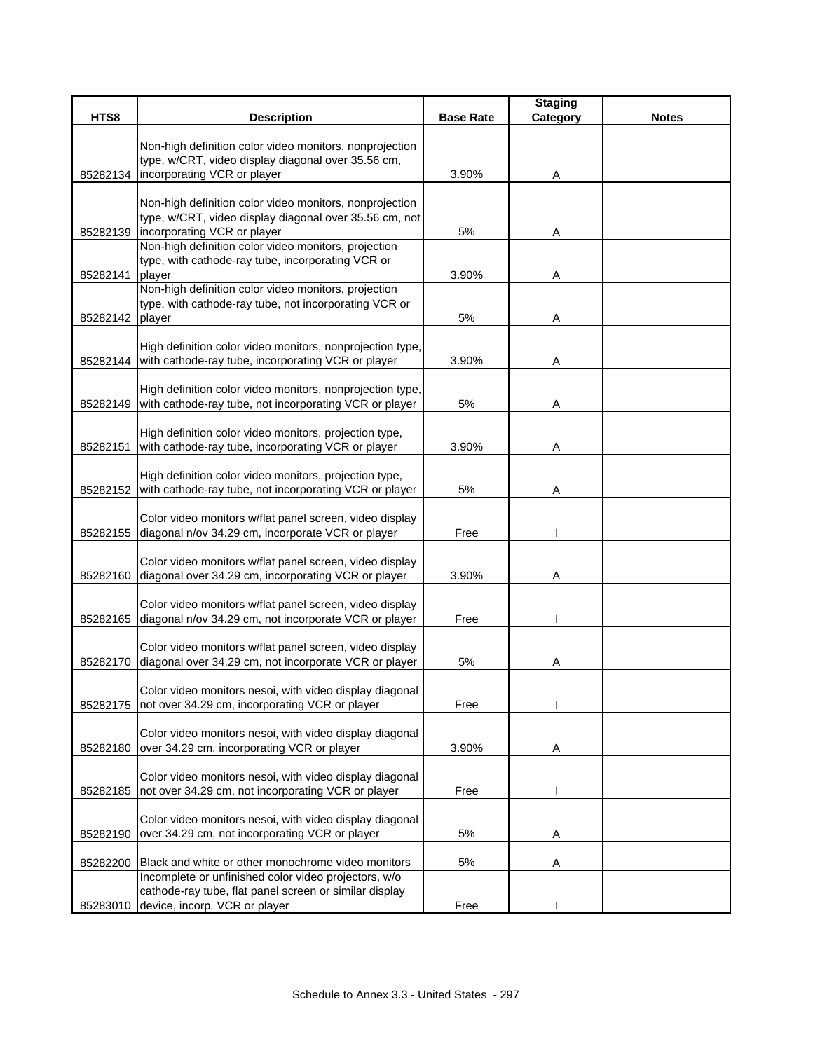| HTS8     | <b>Description</b>                                                                                        | <b>Base Rate</b> | <b>Staging</b><br>Category | <b>Notes</b> |
|----------|-----------------------------------------------------------------------------------------------------------|------------------|----------------------------|--------------|
|          |                                                                                                           |                  |                            |              |
|          | Non-high definition color video monitors, nonprojection                                                   |                  |                            |              |
|          | type, w/CRT, video display diagonal over 35.56 cm,                                                        |                  |                            |              |
| 85282134 | incorporating VCR or player                                                                               | 3.90%            | Α                          |              |
|          | Non-high definition color video monitors, nonprojection                                                   |                  |                            |              |
|          | type, w/CRT, video display diagonal over 35.56 cm, not                                                    |                  |                            |              |
| 85282139 | incorporating VCR or player                                                                               | 5%               | Α                          |              |
|          | Non-high definition color video monitors, projection<br>type, with cathode-ray tube, incorporating VCR or |                  |                            |              |
| 85282141 | player                                                                                                    | 3.90%            | Α                          |              |
|          | Non-high definition color video monitors, projection                                                      |                  |                            |              |
|          | type, with cathode-ray tube, not incorporating VCR or                                                     |                  |                            |              |
| 85282142 | player                                                                                                    | 5%               | Α                          |              |
|          | High definition color video monitors, nonprojection type,                                                 |                  |                            |              |
|          | 85282144 with cathode-ray tube, incorporating VCR or player                                               | 3.90%            | Α                          |              |
|          |                                                                                                           |                  |                            |              |
|          | High definition color video monitors, nonprojection type,                                                 |                  |                            |              |
| 85282149 | with cathode-ray tube, not incorporating VCR or player                                                    | 5%               | Α                          |              |
|          | High definition color video monitors, projection type,                                                    |                  |                            |              |
| 85282151 | with cathode-ray tube, incorporating VCR or player                                                        | 3.90%            | Α                          |              |
|          |                                                                                                           |                  |                            |              |
|          | High definition color video monitors, projection type,                                                    |                  |                            |              |
| 85282152 | with cathode-ray tube, not incorporating VCR or player                                                    | 5%               | Α                          |              |
|          | Color video monitors w/flat panel screen, video display                                                   |                  |                            |              |
| 85282155 | diagonal n/ov 34.29 cm, incorporate VCR or player                                                         | Free             |                            |              |
|          |                                                                                                           |                  |                            |              |
|          | Color video monitors w/flat panel screen, video display                                                   |                  |                            |              |
| 85282160 | diagonal over 34.29 cm, incorporating VCR or player                                                       | 3.90%            | Α                          |              |
|          | Color video monitors w/flat panel screen, video display                                                   |                  |                            |              |
| 85282165 | diagonal n/ov 34.29 cm, not incorporate VCR or player                                                     | Free             |                            |              |
|          |                                                                                                           |                  |                            |              |
|          | Color video monitors w/flat panel screen, video display                                                   |                  |                            |              |
| 85282170 | diagonal over 34.29 cm, not incorporate VCR or player                                                     | 5%               | A                          |              |
|          | Color video monitors nesoi, with video display diagonal                                                   |                  |                            |              |
| 85282175 | not over 34.29 cm, incorporating VCR or player                                                            | Free             |                            |              |
|          |                                                                                                           |                  |                            |              |
|          | Color video monitors nesoi, with video display diagonal                                                   |                  |                            |              |
| 85282180 | over 34.29 cm, incorporating VCR or player                                                                | 3.90%            | Α                          |              |
|          | Color video monitors nesoi, with video display diagonal                                                   |                  |                            |              |
| 85282185 | not over 34.29 cm, not incorporating VCR or player                                                        | Free             |                            |              |
|          |                                                                                                           |                  |                            |              |
| 85282190 | Color video monitors nesoi, with video display diagonal<br>over 34.29 cm, not incorporating VCR or player | 5%               |                            |              |
|          |                                                                                                           |                  | A                          |              |
| 85282200 | Black and white or other monochrome video monitors                                                        | 5%               | A                          |              |
|          | Incomplete or unfinished color video projectors, w/o                                                      |                  |                            |              |
|          | cathode-ray tube, flat panel screen or similar display                                                    |                  |                            |              |
|          | 85283010 device, incorp. VCR or player                                                                    | Free             |                            |              |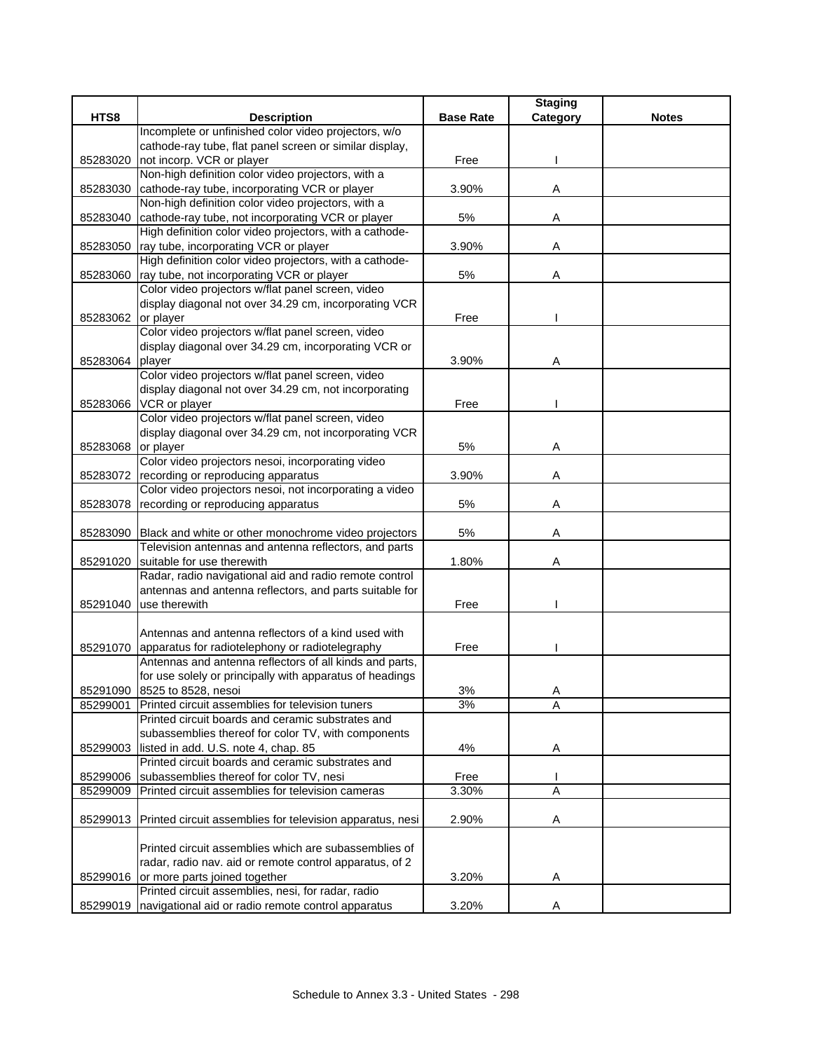|          |                                                                                                              |                  | <b>Staging</b> |              |
|----------|--------------------------------------------------------------------------------------------------------------|------------------|----------------|--------------|
| HTS8     | <b>Description</b>                                                                                           | <b>Base Rate</b> | Category       | <b>Notes</b> |
|          | Incomplete or unfinished color video projectors, w/o                                                         |                  |                |              |
|          | cathode-ray tube, flat panel screen or similar display,                                                      |                  |                |              |
| 85283020 | not incorp. VCR or player                                                                                    | Free             |                |              |
|          | Non-high definition color video projectors, with a                                                           |                  |                |              |
| 85283030 | cathode-ray tube, incorporating VCR or player                                                                | 3.90%            | Α              |              |
|          | Non-high definition color video projectors, with a                                                           |                  |                |              |
| 85283040 | cathode-ray tube, not incorporating VCR or player<br>High definition color video projectors, with a cathode- | 5%               | Α              |              |
|          |                                                                                                              | 3.90%            |                |              |
| 85283050 | ray tube, incorporating VCR or player<br>High definition color video projectors, with a cathode-             |                  | Α              |              |
| 85283060 | ray tube, not incorporating VCR or player                                                                    | $5%$             | Α              |              |
|          | Color video projectors w/flat panel screen, video                                                            |                  |                |              |
|          | display diagonal not over 34.29 cm, incorporating VCR                                                        |                  |                |              |
| 85283062 | or player                                                                                                    | Free             |                |              |
|          | Color video projectors w/flat panel screen, video                                                            |                  |                |              |
|          | display diagonal over 34.29 cm, incorporating VCR or                                                         |                  |                |              |
| 85283064 | player                                                                                                       | 3.90%            | Α              |              |
|          | Color video projectors w/flat panel screen, video                                                            |                  |                |              |
|          | display diagonal not over 34.29 cm, not incorporating                                                        |                  |                |              |
| 85283066 | VCR or player                                                                                                | Free             |                |              |
|          | Color video projectors w/flat panel screen, video                                                            |                  |                |              |
|          | display diagonal over 34.29 cm, not incorporating VCR                                                        |                  |                |              |
| 85283068 | or player                                                                                                    | 5%               | Α              |              |
|          | Color video projectors nesoi, incorporating video                                                            |                  |                |              |
| 85283072 | recording or reproducing apparatus                                                                           | 3.90%            | Α              |              |
|          | Color video projectors nesoi, not incorporating a video                                                      |                  |                |              |
| 85283078 | recording or reproducing apparatus                                                                           | 5%               | Α              |              |
|          |                                                                                                              |                  |                |              |
| 85283090 | Black and white or other monochrome video projectors                                                         | 5%               | Α              |              |
|          | Television antennas and antenna reflectors, and parts                                                        |                  |                |              |
| 85291020 | suitable for use therewith                                                                                   | 1.80%            | Α              |              |
|          | Radar, radio navigational aid and radio remote control                                                       |                  |                |              |
|          | antennas and antenna reflectors, and parts suitable for                                                      |                  |                |              |
| 85291040 | use therewith                                                                                                | Free             |                |              |
|          |                                                                                                              |                  |                |              |
|          | Antennas and antenna reflectors of a kind used with                                                          |                  |                |              |
|          | 85291070 apparatus for radiotelephony or radiotelegraphy                                                     | Free             |                |              |
|          | Antennas and antenna reflectors of all kinds and parts,                                                      |                  |                |              |
|          | for use solely or principally with apparatus of headings                                                     |                  |                |              |
|          | 85291090 8525 to 8528, nesoi                                                                                 | 3%               | A              |              |
| 85299001 | Printed circuit assemblies for television tuners                                                             | 3%               | A              |              |
|          | Printed circuit boards and ceramic substrates and                                                            |                  |                |              |
|          | subassemblies thereof for color TV, with components                                                          |                  |                |              |
| 85299003 | listed in add. U.S. note 4, chap. 85<br>Printed circuit boards and ceramic substrates and                    | 4%               | Α              |              |
| 85299006 | subassemblies thereof for color TV, nesi                                                                     | Free             |                |              |
| 85299009 | Printed circuit assemblies for television cameras                                                            | 3.30%            | A              |              |
|          |                                                                                                              |                  |                |              |
| 85299013 | Printed circuit assemblies for television apparatus, nesi                                                    | 2.90%            | Α              |              |
|          |                                                                                                              |                  |                |              |
|          | Printed circuit assemblies which are subassemblies of                                                        |                  |                |              |
|          | radar, radio nav. aid or remote control apparatus, of 2                                                      |                  |                |              |
|          | 85299016 or more parts joined together                                                                       | 3.20%            | A              |              |
|          | Printed circuit assemblies, nesi, for radar, radio                                                           |                  |                |              |
| 85299019 | navigational aid or radio remote control apparatus                                                           | 3.20%            | A              |              |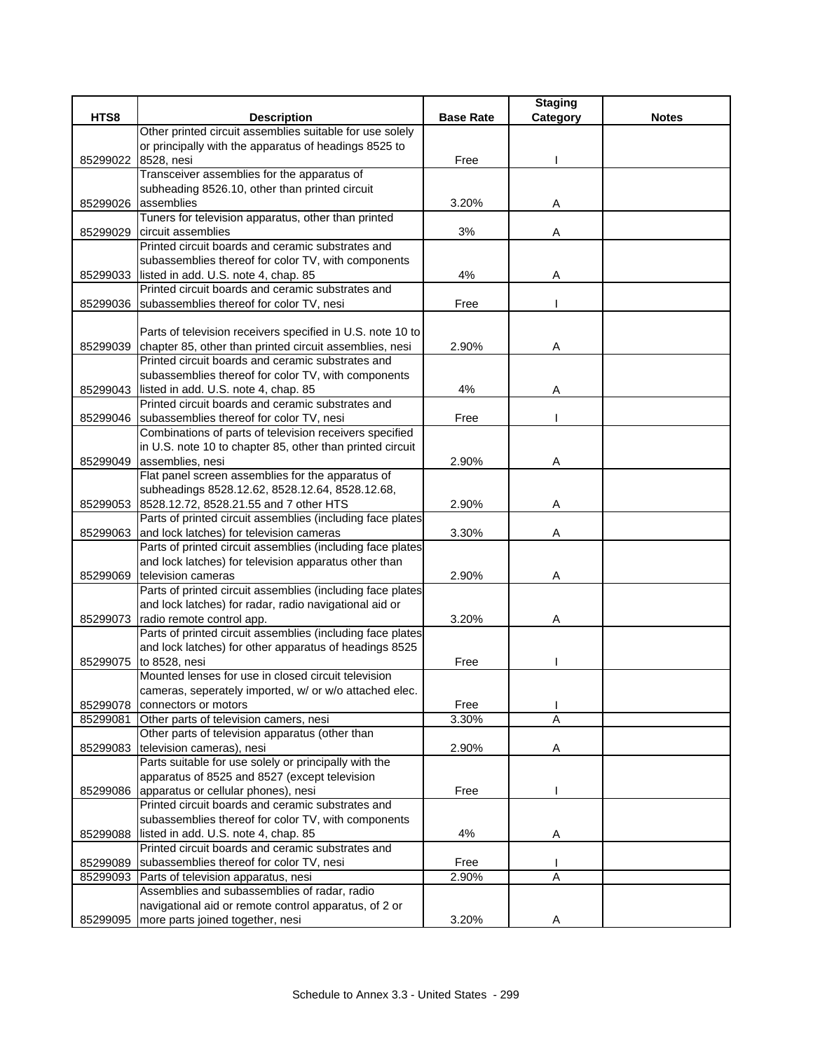|          |                                                                                                                      |                  | <b>Staging</b> |              |
|----------|----------------------------------------------------------------------------------------------------------------------|------------------|----------------|--------------|
| HTS8     | <b>Description</b>                                                                                                   | <b>Base Rate</b> | Category       | <b>Notes</b> |
|          | Other printed circuit assemblies suitable for use solely                                                             |                  |                |              |
|          | or principally with the apparatus of headings 8525 to                                                                |                  |                |              |
| 85299022 | 8528, nesi                                                                                                           | Free             |                |              |
|          | Transceiver assemblies for the apparatus of                                                                          |                  |                |              |
|          | subheading 8526.10, other than printed circuit<br>85299026 assemblies                                                |                  |                |              |
|          | Tuners for television apparatus, other than printed                                                                  | 3.20%            | Α              |              |
| 85299029 | circuit assemblies                                                                                                   | 3%               | Α              |              |
|          | Printed circuit boards and ceramic substrates and                                                                    |                  |                |              |
|          | subassemblies thereof for color TV, with components                                                                  |                  |                |              |
|          | 85299033 listed in add. U.S. note 4, chap. 85                                                                        | 4%               | Α              |              |
|          | Printed circuit boards and ceramic substrates and                                                                    |                  |                |              |
| 85299036 | subassemblies thereof for color TV, nesi                                                                             | Free             |                |              |
|          |                                                                                                                      |                  |                |              |
|          | Parts of television receivers specified in U.S. note 10 to                                                           |                  |                |              |
| 85299039 | chapter 85, other than printed circuit assemblies, nesi                                                              | 2.90%            | Α              |              |
|          | Printed circuit boards and ceramic substrates and                                                                    |                  |                |              |
|          | subassemblies thereof for color TV, with components                                                                  |                  |                |              |
| 85299043 | listed in add. U.S. note 4, chap. 85                                                                                 | 4%               | A              |              |
|          | Printed circuit boards and ceramic substrates and                                                                    |                  |                |              |
| 85299046 | subassemblies thereof for color TV, nesi                                                                             | Free             |                |              |
|          | Combinations of parts of television receivers specified                                                              |                  |                |              |
|          | in U.S. note 10 to chapter 85, other than printed circuit                                                            |                  |                |              |
| 85299049 | assemblies, nesi                                                                                                     | 2.90%            | Α              |              |
|          | Flat panel screen assemblies for the apparatus of                                                                    |                  |                |              |
|          | subheadings 8528.12.62, 8528.12.64, 8528.12.68,                                                                      |                  |                |              |
|          | 85299053 8528.12.72, 8528.21.55 and 7 other HTS                                                                      | 2.90%            | Α              |              |
|          | Parts of printed circuit assemblies (including face plates                                                           |                  |                |              |
| 85299063 | and lock latches) for television cameras                                                                             | 3.30%            | A              |              |
|          | Parts of printed circuit assemblies (including face plates                                                           |                  |                |              |
|          | and lock latches) for television apparatus other than                                                                |                  |                |              |
| 85299069 | television cameras                                                                                                   | 2.90%            | Α              |              |
|          | Parts of printed circuit assemblies (including face plates<br>and lock latches) for radar, radio navigational aid or |                  |                |              |
|          |                                                                                                                      |                  |                |              |
|          | 85299073 radio remote control app.<br>Parts of printed circuit assemblies (including face plates                     | 3.20%            | Α              |              |
|          | and lock latches) for other apparatus of headings 8525                                                               |                  |                |              |
| 85299075 | to 8528, nesi                                                                                                        | Free             |                |              |
|          | Mounted lenses for use in closed circuit television                                                                  |                  |                |              |
|          | cameras, seperately imported, w/ or w/o attached elec.                                                               |                  |                |              |
| 85299078 | connectors or motors                                                                                                 | Free             |                |              |
| 85299081 | Other parts of television camers, nesi                                                                               | 3.30%            | A              |              |
|          | Other parts of television apparatus (other than                                                                      |                  |                |              |
| 85299083 | television cameras), nesi                                                                                            | 2.90%            | Α              |              |
|          | Parts suitable for use solely or principally with the                                                                |                  |                |              |
|          | apparatus of 8525 and 8527 (except television                                                                        |                  |                |              |
|          | 85299086 apparatus or cellular phones), nesi                                                                         | Free             |                |              |
|          | Printed circuit boards and ceramic substrates and                                                                    |                  |                |              |
|          | subassemblies thereof for color TV, with components                                                                  |                  |                |              |
|          | 85299088 listed in add. U.S. note 4, chap. 85                                                                        | 4%               | A              |              |
|          | Printed circuit boards and ceramic substrates and                                                                    |                  |                |              |
| 85299089 | subassemblies thereof for color TV, nesi                                                                             | Free             |                |              |
| 85299093 | Parts of television apparatus, nesi                                                                                  | 2.90%            | A              |              |
|          | Assemblies and subassemblies of radar, radio                                                                         |                  |                |              |
|          | navigational aid or remote control apparatus, of 2 or                                                                |                  |                |              |
| 85299095 | more parts joined together, nesi                                                                                     | 3.20%            | Α              |              |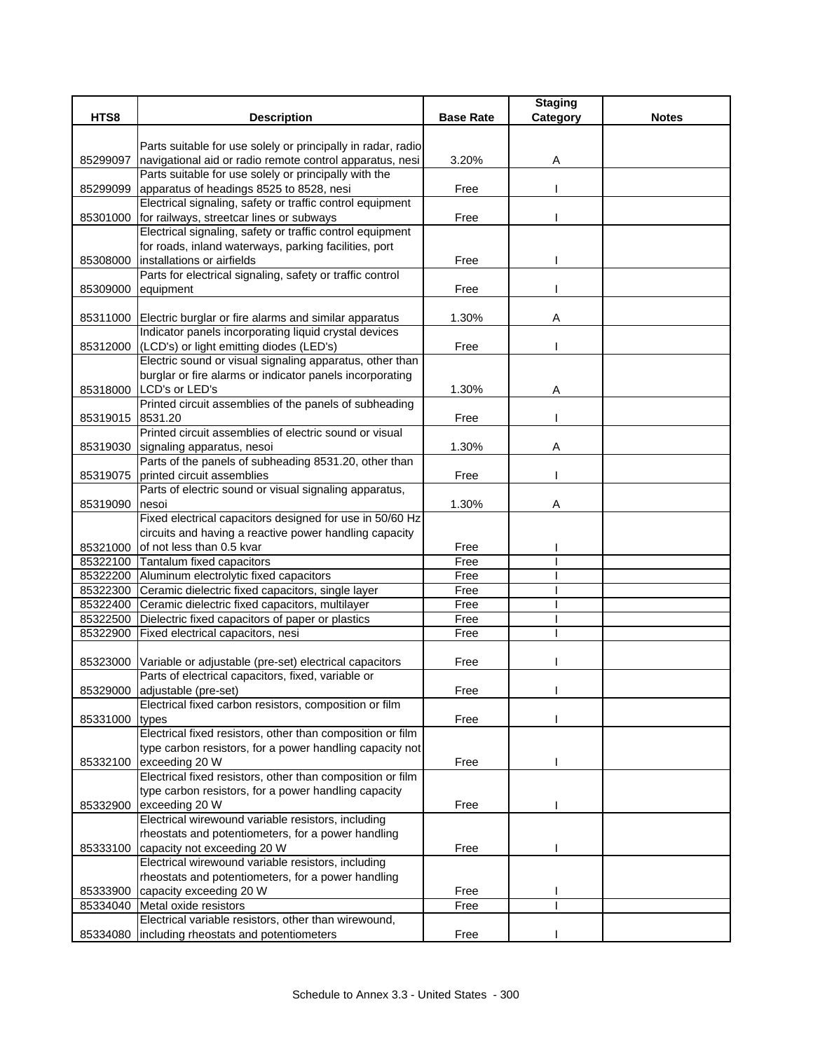|          |                                                                |                  | <b>Staging</b> |              |
|----------|----------------------------------------------------------------|------------------|----------------|--------------|
| HTS8     | <b>Description</b>                                             | <b>Base Rate</b> | Category       | <b>Notes</b> |
|          |                                                                |                  |                |              |
|          | Parts suitable for use solely or principally in radar, radio   |                  |                |              |
| 85299097 | navigational aid or radio remote control apparatus, nesi       | 3.20%            | Α              |              |
|          | Parts suitable for use solely or principally with the          |                  |                |              |
| 85299099 | apparatus of headings 8525 to 8528, nesi                       | Free             |                |              |
|          | Electrical signaling, safety or traffic control equipment      |                  |                |              |
| 85301000 | for railways, streetcar lines or subways                       | Free             |                |              |
|          | Electrical signaling, safety or traffic control equipment      |                  |                |              |
|          | for roads, inland waterways, parking facilities, port          |                  |                |              |
| 85308000 | installations or airfields                                     | Free             |                |              |
|          | Parts for electrical signaling, safety or traffic control      |                  |                |              |
| 85309000 | equipment                                                      | Free             |                |              |
|          |                                                                |                  |                |              |
|          | 85311000 Electric burglar or fire alarms and similar apparatus | 1.30%            | Α              |              |
|          | Indicator panels incorporating liquid crystal devices          |                  |                |              |
|          | 85312000 (LCD's) or light emitting diodes (LED's)              | Free             |                |              |
|          | Electric sound or visual signaling apparatus, other than       |                  |                |              |
|          | burglar or fire alarms or indicator panels incorporating       |                  |                |              |
|          | 85318000 LCD's or LED's                                        | 1.30%            | A              |              |
|          | Printed circuit assemblies of the panels of subheading         |                  |                |              |
| 85319015 | 8531.20                                                        | Free             |                |              |
|          | Printed circuit assemblies of electric sound or visual         |                  |                |              |
|          | 85319030 signaling apparatus, nesoi                            | 1.30%            | Α              |              |
|          | Parts of the panels of subheading 8531.20, other than          |                  |                |              |
| 85319075 | printed circuit assemblies                                     | Free             |                |              |
|          | Parts of electric sound or visual signaling apparatus,         |                  |                |              |
| 85319090 | nesoi                                                          | 1.30%            | Α              |              |
|          | Fixed electrical capacitors designed for use in 50/60 Hz       |                  |                |              |
|          | circuits and having a reactive power handling capacity         |                  |                |              |
| 85321000 | of not less than 0.5 kvar                                      | Free             |                |              |
|          | 85322100 Tantalum fixed capacitors                             | Free             |                |              |
|          | 85322200 Aluminum electrolytic fixed capacitors                | Free             |                |              |
|          | 85322300 Ceramic dielectric fixed capacitors, single layer     | Free             |                |              |
|          | 85322400 Ceramic dielectric fixed capacitors, multilayer       | Free             |                |              |
| 85322500 | Dielectric fixed capacitors of paper or plastics               | Free             |                |              |
| 85322900 | Fixed electrical capacitors, nesi                              | Free             |                |              |
|          |                                                                |                  |                |              |
| 85323000 | Variable or adjustable (pre-set) electrical capacitors         | Free             |                |              |
|          | Parts of electrical capacitors, fixed, variable or             |                  |                |              |
|          | 85329000 adjustable (pre-set)                                  | Free             |                |              |
|          | Electrical fixed carbon resistors, composition or film         |                  |                |              |
| 85331000 | types                                                          | Free             |                |              |
|          | Electrical fixed resistors, other than composition or film     |                  |                |              |
|          | type carbon resistors, for a power handling capacity not       |                  |                |              |
| 85332100 | exceeding 20 W                                                 | Free             |                |              |
|          | Electrical fixed resistors, other than composition or film     |                  |                |              |
|          | type carbon resistors, for a power handling capacity           |                  |                |              |
|          |                                                                |                  |                |              |
| 85332900 | exceeding 20 W                                                 | Free             |                |              |
|          | Electrical wirewound variable resistors, including             |                  |                |              |
|          | rheostats and potentiometers, for a power handling             |                  |                |              |
| 85333100 | capacity not exceeding 20 W                                    | Free             |                |              |
|          | Electrical wirewound variable resistors, including             |                  |                |              |
|          | rheostats and potentiometers, for a power handling             |                  |                |              |
| 85333900 | capacity exceeding 20 W                                        | Free             |                |              |
|          | 85334040 Metal oxide resistors                                 | Free             |                |              |
|          | Electrical variable resistors, other than wirewound,           |                  |                |              |
| 85334080 | including rheostats and potentiometers                         | Free             |                |              |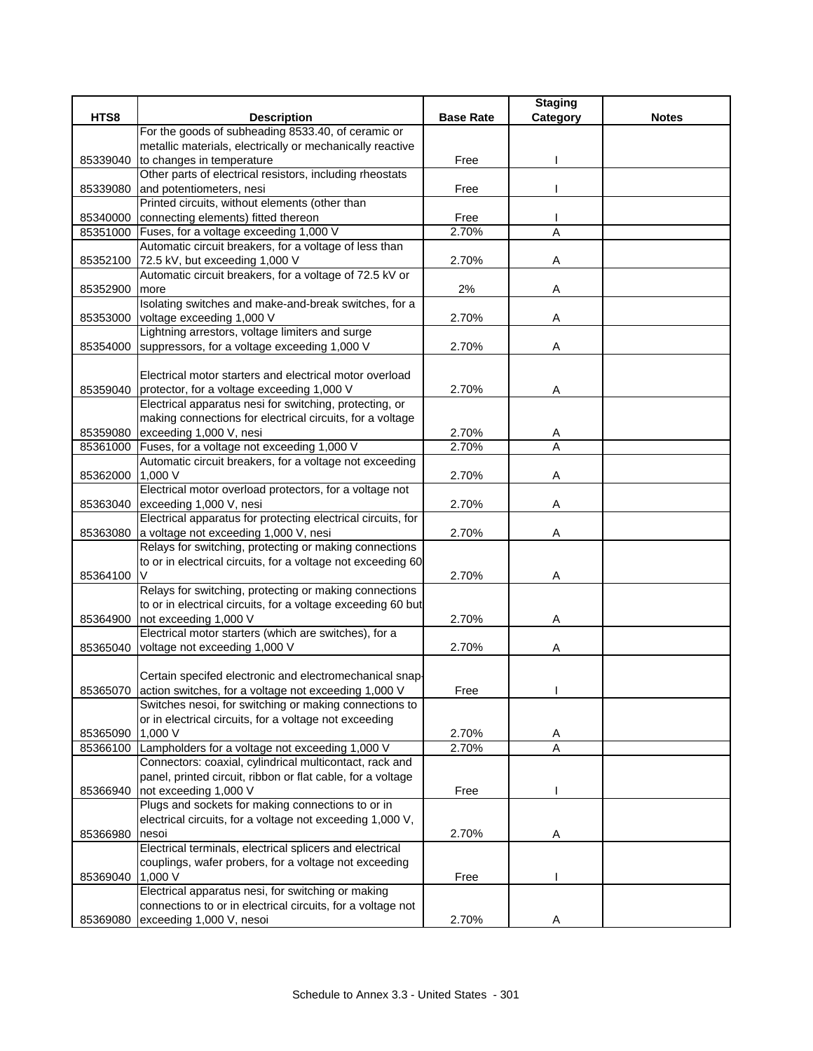|          |                                                               |                  | <b>Staging</b> |              |
|----------|---------------------------------------------------------------|------------------|----------------|--------------|
| HTS8     | <b>Description</b>                                            | <b>Base Rate</b> | Category       | <b>Notes</b> |
|          | For the goods of subheading 8533.40, of ceramic or            |                  |                |              |
|          | metallic materials, electrically or mechanically reactive     |                  |                |              |
| 85339040 | to changes in temperature                                     | Free             |                |              |
|          | Other parts of electrical resistors, including rheostats      |                  |                |              |
| 85339080 | and potentiometers, nesi                                      | Free             |                |              |
|          | Printed circuits, without elements (other than                |                  |                |              |
| 85340000 | connecting elements) fitted thereon                           | Free             |                |              |
| 85351000 | Fuses, for a voltage exceeding 1,000 V                        | 2.70%            | A              |              |
|          | Automatic circuit breakers, for a voltage of less than        |                  |                |              |
| 85352100 | 72.5 kV, but exceeding 1,000 V                                | 2.70%            | Α              |              |
|          | Automatic circuit breakers, for a voltage of 72.5 kV or       |                  |                |              |
| 85352900 | more                                                          | 2%               | Α              |              |
|          | Isolating switches and make-and-break switches, for a         |                  |                |              |
| 85353000 | voltage exceeding 1,000 V                                     | 2.70%            | Α              |              |
|          | Lightning arrestors, voltage limiters and surge               |                  |                |              |
| 85354000 | suppressors, for a voltage exceeding 1,000 V                  | 2.70%            | Α              |              |
|          |                                                               |                  |                |              |
|          | Electrical motor starters and electrical motor overload       |                  |                |              |
| 85359040 | protector, for a voltage exceeding 1,000 V                    | 2.70%            | Α              |              |
|          | Electrical apparatus nesi for switching, protecting, or       |                  |                |              |
|          | making connections for electrical circuits, for a voltage     |                  |                |              |
| 85359080 | exceeding 1,000 V, nesi                                       | 2.70%            | A              |              |
| 85361000 | Fuses, for a voltage not exceeding 1,000 V                    | 2.70%            | $\overline{A}$ |              |
|          | Automatic circuit breakers, for a voltage not exceeding       |                  |                |              |
| 85362000 | 1,000 V                                                       | 2.70%            | Α              |              |
|          | Electrical motor overload protectors, for a voltage not       |                  |                |              |
| 85363040 | exceeding 1,000 V, nesi                                       | 2.70%            | Α              |              |
|          | Electrical apparatus for protecting electrical circuits, for  |                  |                |              |
| 85363080 | a voltage not exceeding 1,000 V, nesi                         | 2.70%            | Α              |              |
|          | Relays for switching, protecting or making connections        |                  |                |              |
|          | to or in electrical circuits, for a voltage not exceeding 60  |                  |                |              |
| 85364100 | V                                                             | 2.70%            | Α              |              |
|          | Relays for switching, protecting or making connections        |                  |                |              |
|          | to or in electrical circuits, for a voltage exceeding 60 but  |                  |                |              |
| 85364900 | not exceeding 1,000 V                                         | 2.70%            | Α              |              |
|          | Electrical motor starters (which are switches), for a         |                  |                |              |
| 85365040 | voltage not exceeding 1,000 V                                 | 2.70%            | Α              |              |
|          |                                                               |                  |                |              |
|          | Certain specifed electronic and electromechanical snap-       |                  |                |              |
|          | 85365070 action switches, for a voltage not exceeding 1,000 V | Free             |                |              |
|          | Switches nesoi, for switching or making connections to        |                  |                |              |
|          | or in electrical circuits, for a voltage not exceeding        |                  |                |              |
| 85365090 | 1,000 V                                                       | 2.70%            | A              |              |
|          | 85366100 Lampholders for a voltage not exceeding 1,000 V      | 2.70%            | A              |              |
|          | Connectors: coaxial, cylindrical multicontact, rack and       |                  |                |              |
|          | panel, printed circuit, ribbon or flat cable, for a voltage   |                  |                |              |
| 85366940 | not exceeding 1,000 V                                         | Free             |                |              |
|          | Plugs and sockets for making connections to or in             |                  |                |              |
|          | electrical circuits, for a voltage not exceeding 1,000 V,     |                  |                |              |
| 85366980 | nesoi                                                         | 2.70%            | A              |              |
|          | Electrical terminals, electrical splicers and electrical      |                  |                |              |
|          | couplings, wafer probers, for a voltage not exceeding         |                  |                |              |
| 85369040 | 1,000 V                                                       | Free             |                |              |
|          | Electrical apparatus nesi, for switching or making            |                  |                |              |
|          | connections to or in electrical circuits, for a voltage not   |                  |                |              |
| 85369080 | exceeding 1,000 V, nesoi                                      | 2.70%            |                |              |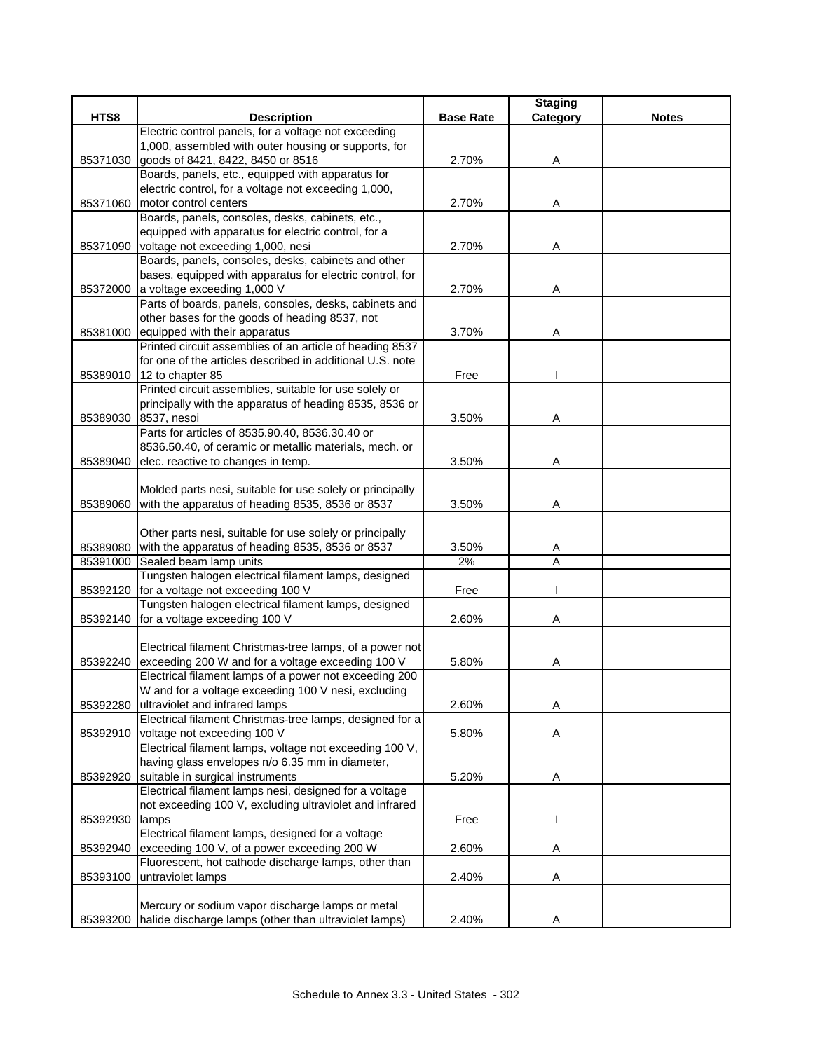|                      |                                                                                                           |                  | <b>Staging</b> |              |
|----------------------|-----------------------------------------------------------------------------------------------------------|------------------|----------------|--------------|
| HTS8                 | <b>Description</b>                                                                                        | <b>Base Rate</b> | Category       | <b>Notes</b> |
|                      | Electric control panels, for a voltage not exceeding                                                      |                  |                |              |
|                      | 1,000, assembled with outer housing or supports, for                                                      |                  |                |              |
| 85371030             | goods of 8421, 8422, 8450 or 8516                                                                         | 2.70%            | Α              |              |
|                      | Boards, panels, etc., equipped with apparatus for                                                         |                  |                |              |
|                      | electric control, for a voltage not exceeding 1,000,                                                      |                  |                |              |
| 85371060             | motor control centers<br>Boards, panels, consoles, desks, cabinets, etc.,                                 | 2.70%            | A              |              |
|                      | equipped with apparatus for electric control, for a                                                       |                  |                |              |
| 85371090             | voltage not exceeding 1,000, nesi                                                                         | 2.70%            | Α              |              |
|                      | Boards, panels, consoles, desks, cabinets and other                                                       |                  |                |              |
|                      | bases, equipped with apparatus for electric control, for                                                  |                  |                |              |
| 85372000             | a voltage exceeding 1,000 V                                                                               | 2.70%            | Α              |              |
|                      | Parts of boards, panels, consoles, desks, cabinets and                                                    |                  |                |              |
|                      | other bases for the goods of heading 8537, not                                                            |                  |                |              |
| 85381000             | equipped with their apparatus                                                                             | 3.70%            | Α              |              |
|                      | Printed circuit assemblies of an article of heading 8537                                                  |                  |                |              |
|                      | for one of the articles described in additional U.S. note                                                 |                  |                |              |
| 85389010             | 12 to chapter 85                                                                                          | Free             |                |              |
|                      | Printed circuit assemblies, suitable for use solely or                                                    |                  |                |              |
|                      | principally with the apparatus of heading 8535, 8536 or                                                   |                  |                |              |
| 85389030             | 8537, nesoi                                                                                               | 3.50%            | Α              |              |
|                      | Parts for articles of 8535.90.40, 8536.30.40 or                                                           |                  |                |              |
|                      | 8536.50.40, of ceramic or metallic materials, mech. or                                                    |                  |                |              |
| 85389040             | elec. reactive to changes in temp.                                                                        | 3.50%            | Α              |              |
|                      |                                                                                                           |                  |                |              |
|                      | Molded parts nesi, suitable for use solely or principally                                                 |                  |                |              |
| 85389060             | with the apparatus of heading 8535, 8536 or 8537                                                          | 3.50%            | Α              |              |
|                      |                                                                                                           |                  |                |              |
|                      | Other parts nesi, suitable for use solely or principally                                                  |                  |                |              |
| 85389080<br>85391000 | with the apparatus of heading 8535, 8536 or 8537<br>Sealed beam lamp units                                | 3.50%<br>2%      | Α<br>A         |              |
|                      | Tungsten halogen electrical filament lamps, designed                                                      |                  |                |              |
| 85392120             | for a voltage not exceeding 100 V                                                                         | Free             |                |              |
|                      | Tungsten halogen electrical filament lamps, designed                                                      |                  |                |              |
| 85392140             | for a voltage exceeding 100 V                                                                             | 2.60%            | Α              |              |
|                      |                                                                                                           |                  |                |              |
|                      | Electrical filament Christmas-tree lamps, of a power not                                                  |                  |                |              |
| 85392240             | exceeding 200 W and for a voltage exceeding 100 V                                                         | 5.80%            | A              |              |
|                      | Electrical filament lamps of a power not exceeding 200                                                    |                  |                |              |
|                      | W and for a voltage exceeding 100 V nesi, excluding                                                       |                  |                |              |
| 85392280             | ultraviolet and infrared lamps                                                                            | 2.60%            | Α              |              |
|                      | Electrical filament Christmas-tree lamps, designed for a                                                  |                  |                |              |
| 85392910             | voltage not exceeding 100 V                                                                               | 5.80%            | A              |              |
|                      | Electrical filament lamps, voltage not exceeding 100 V,                                                   |                  |                |              |
|                      | having glass envelopes n/o 6.35 mm in diameter,                                                           |                  |                |              |
| 85392920             | suitable in surgical instruments                                                                          | 5.20%            | Α              |              |
|                      | Electrical filament lamps nesi, designed for a voltage                                                    |                  |                |              |
|                      | not exceeding 100 V, excluding ultraviolet and infrared                                                   |                  |                |              |
| 85392930             | lamps                                                                                                     | Free             |                |              |
|                      | Electrical filament lamps, designed for a voltage                                                         |                  |                |              |
| 85392940             | exceeding 100 V, of a power exceeding 200 W                                                               | 2.60%            | Α              |              |
|                      | Fluorescent, hot cathode discharge lamps, other than                                                      |                  |                |              |
| 85393100             | untraviolet lamps                                                                                         | 2.40%            | Α              |              |
|                      |                                                                                                           |                  |                |              |
|                      | Mercury or sodium vapor discharge lamps or metal<br>halide discharge lamps (other than ultraviolet lamps) |                  |                |              |
| 85393200             |                                                                                                           | 2.40%            | Α              |              |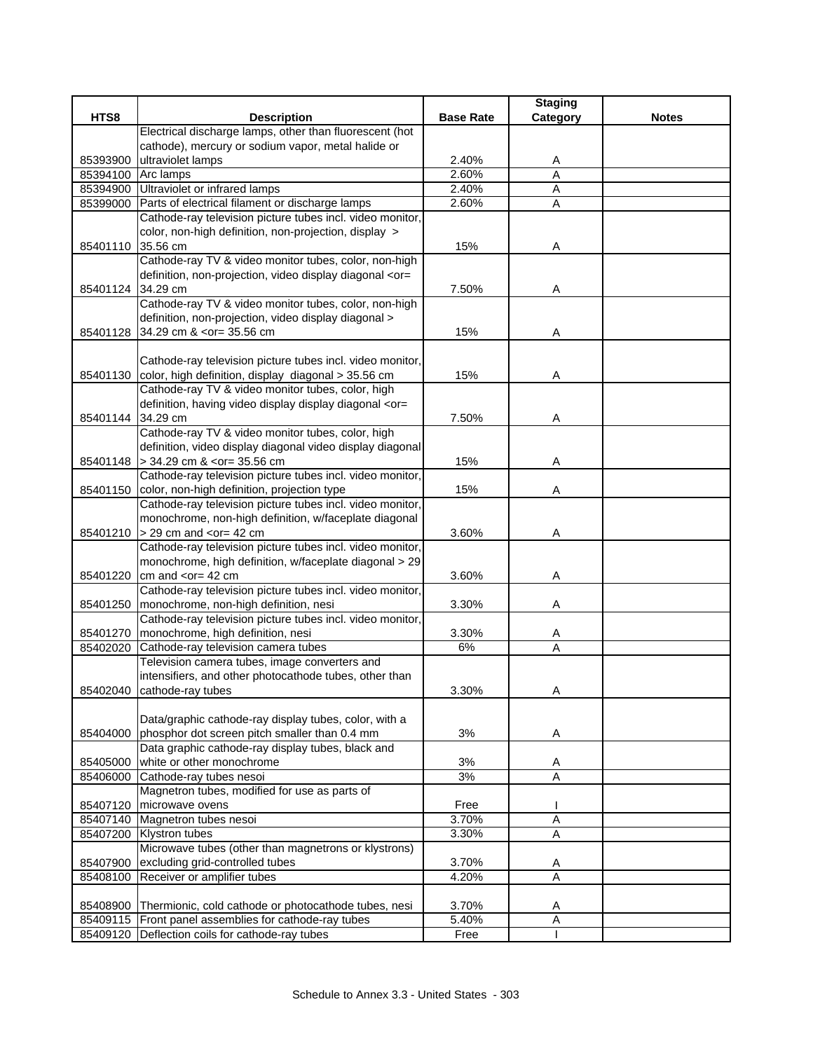|                   |                                                                                                    |                  | <b>Staging</b> |              |
|-------------------|----------------------------------------------------------------------------------------------------|------------------|----------------|--------------|
| HTS8              | <b>Description</b>                                                                                 | <b>Base Rate</b> | Category       | <b>Notes</b> |
|                   | Electrical discharge lamps, other than fluorescent (hot                                            |                  |                |              |
|                   | cathode), mercury or sodium vapor, metal halide or                                                 |                  |                |              |
| 85393900          | ultraviolet lamps                                                                                  | 2.40%            | A              |              |
| 85394100          | Arc lamps                                                                                          | 2.60%            | $\overline{A}$ |              |
| 85394900          | Ultraviolet or infrared lamps                                                                      | 2.40%            | Α              |              |
| 85399000          | Parts of electrical filament or discharge lamps                                                    | 2.60%            | A              |              |
|                   | Cathode-ray television picture tubes incl. video monitor,                                          |                  |                |              |
|                   | color, non-high definition, non-projection, display >                                              |                  |                |              |
| 85401110          | 35.56 cm                                                                                           | 15%              | Α              |              |
|                   | Cathode-ray TV & video monitor tubes, color, non-high                                              |                  |                |              |
|                   | definition, non-projection, video display diagonal <or=< td=""><td></td><td></td><td></td></or=<>  |                  |                |              |
| 85401124 34.29 cm |                                                                                                    | 7.50%            | Α              |              |
|                   | Cathode-ray TV & video monitor tubes, color, non-high                                              |                  |                |              |
|                   | definition, non-projection, video display diagonal >                                               |                  |                |              |
|                   | 85401128 34.29 cm & <or= 35.56="" cm<="" td=""><td>15%</td><td>Α</td><td></td></or=>               | 15%              | Α              |              |
|                   |                                                                                                    |                  |                |              |
|                   | Cathode-ray television picture tubes incl. video monitor,                                          |                  |                |              |
| 85401130          | color, high definition, display diagonal > 35.56 cm                                                | 15%              | Α              |              |
|                   | Cathode-ray TV & video monitor tubes, color, high                                                  |                  |                |              |
|                   | definition, having video display display diagonal <or=< td=""><td></td><td></td><td></td></or=<>   |                  |                |              |
| 85401144 34.29 cm |                                                                                                    | 7.50%            | Α              |              |
|                   | Cathode-ray TV & video monitor tubes, color, high                                                  |                  |                |              |
|                   | definition, video display diagonal video display diagonal                                          |                  |                |              |
|                   | 85401148 > 34.29 cm & <or= 35.56="" cm<="" td=""><td>15%</td><td>Α</td><td></td></or=>             | 15%              | Α              |              |
|                   | Cathode-ray television picture tubes incl. video monitor,                                          |                  |                |              |
| 85401150          | color, non-high definition, projection type                                                        | 15%              | Α              |              |
|                   | Cathode-ray television picture tubes incl. video monitor,                                          |                  |                |              |
|                   | monochrome, non-high definition, w/faceplate diagonal                                              |                  |                |              |
|                   | 85401210 > 29 cm and <or 42="" =="" cm<="" td=""><td>3.60%</td><td>Α</td><td></td></or>            | 3.60%            | Α              |              |
|                   | Cathode-ray television picture tubes incl. video monitor,                                          |                  |                |              |
|                   | monochrome, high definition, w/faceplate diagonal > 29                                             |                  |                |              |
| 85401220          | cm and $<$ or = 42 cm<br>Cathode-ray television picture tubes incl. video monitor,                 | 3.60%            | Α              |              |
|                   |                                                                                                    |                  |                |              |
| 85401250          | monochrome, non-high definition, nesi<br>Cathode-ray television picture tubes incl. video monitor, | 3.30%            | Α              |              |
| 85401270          | monochrome, high definition, nesi                                                                  | 3.30%            |                |              |
| 85402020          | Cathode-ray television camera tubes                                                                | 6%               | A<br>Α         |              |
|                   | Television camera tubes, image converters and                                                      |                  |                |              |
|                   | intensifiers, and other photocathode tubes, other than                                             |                  |                |              |
|                   | 85402040 cathode-ray tubes                                                                         | 3.30%            | A              |              |
|                   |                                                                                                    |                  |                |              |
|                   | Data/graphic cathode-ray display tubes, color, with a                                              |                  |                |              |
| 85404000          | phosphor dot screen pitch smaller than 0.4 mm                                                      | 3%               | Α              |              |
|                   | Data graphic cathode-ray display tubes, black and                                                  |                  |                |              |
| 85405000          | white or other monochrome                                                                          | 3%               | A              |              |
|                   | 85406000 Cathode-ray tubes nesoi                                                                   | 3%               | A              |              |
|                   | Magnetron tubes, modified for use as parts of                                                      |                  |                |              |
| 85407120          | microwave ovens                                                                                    | Free             |                |              |
|                   | 85407140 Magnetron tubes nesoi                                                                     | 3.70%            | A              |              |
|                   | 85407200 Klystron tubes                                                                            | 3.30%            | A              |              |
|                   | Microwave tubes (other than magnetrons or klystrons)                                               |                  |                |              |
| 85407900          | excluding grid-controlled tubes                                                                    | 3.70%            | Α              |              |
| 85408100          | Receiver or amplifier tubes                                                                        | 4.20%            | Α              |              |
|                   |                                                                                                    |                  |                |              |
|                   | 85408900 Thermionic, cold cathode or photocathode tubes, nesi                                      | 3.70%            | Α              |              |
|                   | 85409115 Front panel assemblies for cathode-ray tubes                                              | 5.40%            | $\overline{A}$ |              |
|                   | 85409120 Deflection coils for cathode-ray tubes                                                    | Free             | -1             |              |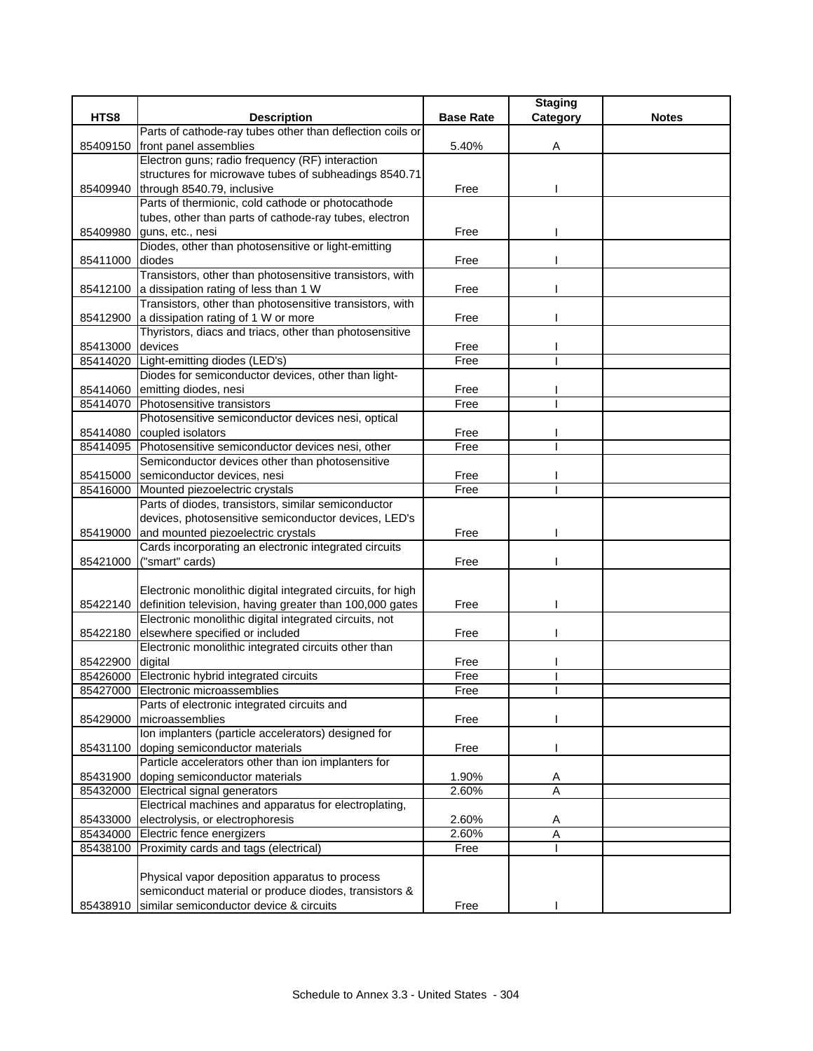|                  |                                                                                                            |                  | <b>Staging</b> |              |
|------------------|------------------------------------------------------------------------------------------------------------|------------------|----------------|--------------|
| HTS8             | <b>Description</b>                                                                                         | <b>Base Rate</b> | Category       | <b>Notes</b> |
|                  | Parts of cathode-ray tubes other than deflection coils or                                                  |                  |                |              |
| 85409150         | front panel assemblies                                                                                     | 5.40%            | A              |              |
|                  | Electron guns; radio frequency (RF) interaction                                                            |                  |                |              |
|                  | structures for microwave tubes of subheadings 8540.71                                                      |                  |                |              |
|                  | 85409940 through 8540.79, inclusive                                                                        | Free             |                |              |
|                  | Parts of thermionic, cold cathode or photocathode                                                          |                  |                |              |
|                  | tubes, other than parts of cathode-ray tubes, electron                                                     |                  |                |              |
| 85409980         | guns, etc., nesi                                                                                           | Free             |                |              |
|                  | Diodes, other than photosensitive or light-emitting                                                        |                  |                |              |
| 85411000         | diodes                                                                                                     | Free             |                |              |
|                  | Transistors, other than photosensitive transistors, with                                                   |                  |                |              |
|                  | 85412100 a dissipation rating of less than 1 W<br>Transistors, other than photosensitive transistors, with | Free             |                |              |
|                  |                                                                                                            |                  |                |              |
| 85412900         | a dissipation rating of 1 W or more<br>Thyristors, diacs and triacs, other than photosensitive             | Free             |                |              |
|                  | devices                                                                                                    |                  |                |              |
| 85413000         | Light-emitting diodes (LED's)                                                                              | Free<br>Free     |                |              |
| 85414020         | Diodes for semiconductor devices, other than light-                                                        |                  |                |              |
|                  | 85414060 emitting diodes, nesi                                                                             | Free             |                |              |
|                  | 85414070 Photosensitive transistors                                                                        | Free             |                |              |
|                  | Photosensitive semiconductor devices nesi, optical                                                         |                  |                |              |
| 85414080         | coupled isolators                                                                                          | Free             |                |              |
| 85414095         | Photosensitive semiconductor devices nesi, other                                                           | Free             |                |              |
|                  | Semiconductor devices other than photosensitive                                                            |                  |                |              |
|                  | 85415000 semiconductor devices, nesi                                                                       | Free             |                |              |
| 85416000         | Mounted piezoelectric crystals                                                                             | Free             |                |              |
|                  | Parts of diodes, transistors, similar semiconductor                                                        |                  |                |              |
|                  | devices, photosensitive semiconductor devices, LED's                                                       |                  |                |              |
| 85419000         | and mounted piezoelectric crystals                                                                         | Free             |                |              |
|                  | Cards incorporating an electronic integrated circuits                                                      |                  |                |              |
| 85421000         | ("smart" cards)                                                                                            | Free             |                |              |
|                  |                                                                                                            |                  |                |              |
|                  | Electronic monolithic digital integrated circuits, for high                                                |                  |                |              |
|                  | 85422140 definition television, having greater than 100,000 gates                                          | Free             |                |              |
|                  | Electronic monolithic digital integrated circuits, not                                                     |                  |                |              |
|                  | 85422180 elsewhere specified or included                                                                   | Free             |                |              |
|                  | Electronic monolithic integrated circuits other than                                                       |                  |                |              |
| 85422900 digital |                                                                                                            | Free             |                |              |
|                  | 85426000 Electronic hybrid integrated circuits                                                             | Free             |                |              |
|                  | 85427000 Electronic microassemblies                                                                        | Free             |                |              |
|                  | Parts of electronic integrated circuits and                                                                |                  |                |              |
| 85429000         | microassemblies                                                                                            | Free             |                |              |
|                  | Ion implanters (particle accelerators) designed for                                                        |                  |                |              |
|                  | 85431100 doping semiconductor materials                                                                    | Free             |                |              |
|                  | Particle accelerators other than ion implanters for                                                        |                  |                |              |
| 85431900         | doping semiconductor materials                                                                             | 1.90%            | Α              |              |
|                  | 85432000 Electrical signal generators                                                                      | 2.60%            | A              |              |
|                  | Electrical machines and apparatus for electroplating,                                                      |                  |                |              |
| 85433000         | electrolysis, or electrophoresis                                                                           | 2.60%            | Α              |              |
|                  | 85434000 Electric fence energizers                                                                         | 2.60%            | $\overline{A}$ |              |
| 85438100         | Proximity cards and tags (electrical)                                                                      | Free             |                |              |
|                  |                                                                                                            |                  |                |              |
|                  | Physical vapor deposition apparatus to process                                                             |                  |                |              |
|                  | semiconduct material or produce diodes, transistors &                                                      |                  |                |              |
|                  | 85438910 similar semiconductor device & circuits                                                           | Free             |                |              |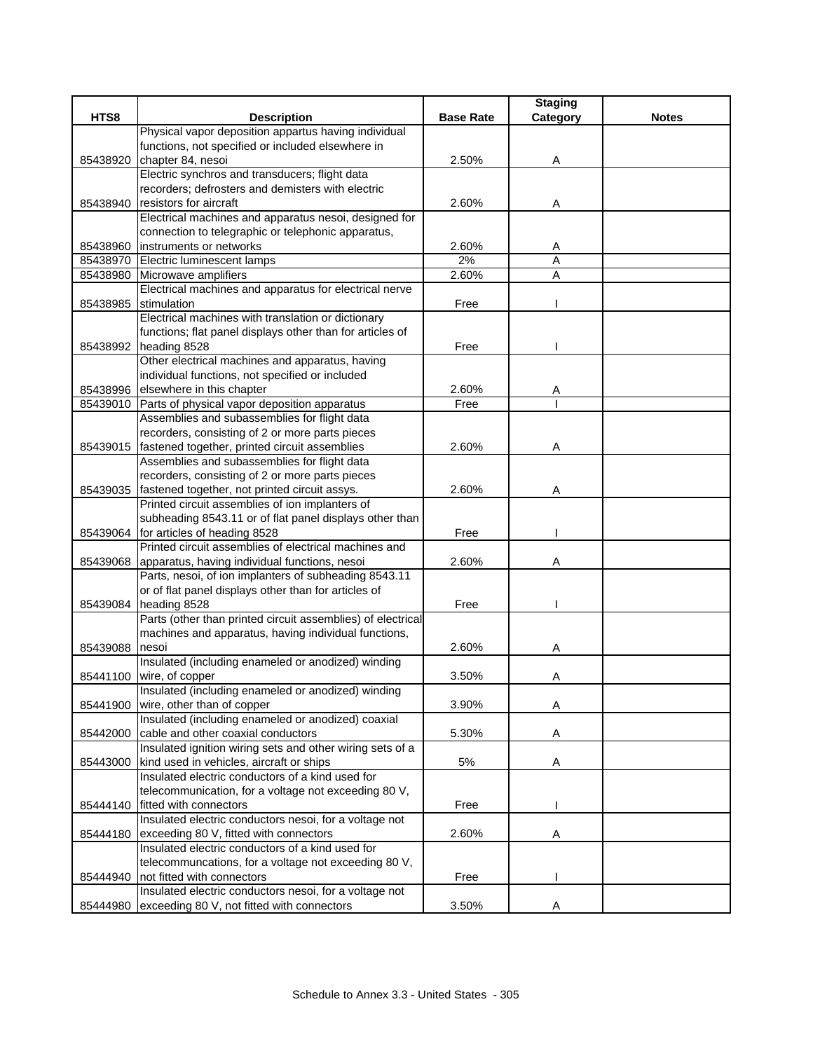|          |                                                                                                           |                  | <b>Staging</b> |              |
|----------|-----------------------------------------------------------------------------------------------------------|------------------|----------------|--------------|
| HTS8     | <b>Description</b>                                                                                        | <b>Base Rate</b> | Category       | <b>Notes</b> |
|          | Physical vapor deposition appartus having individual                                                      |                  |                |              |
|          | functions, not specified or included elsewhere in                                                         |                  |                |              |
| 85438920 | chapter 84, nesoi                                                                                         | 2.50%            | Α              |              |
|          | Electric synchros and transducers; flight data                                                            |                  |                |              |
|          | recorders; defrosters and demisters with electric                                                         |                  |                |              |
| 85438940 | resistors for aircraft                                                                                    | 2.60%            | A              |              |
|          | Electrical machines and apparatus nesoi, designed for                                                     |                  |                |              |
|          | connection to telegraphic or telephonic apparatus,                                                        |                  |                |              |
|          | 85438960 instruments or networks                                                                          | 2.60%            | Α              |              |
|          | 85438970 Electric luminescent lamps                                                                       | 2%               | A              |              |
|          | 85438980 Microwave amplifiers                                                                             | 2.60%            | A              |              |
|          | Electrical machines and apparatus for electrical nerve                                                    |                  |                |              |
| 85438985 | stimulation                                                                                               | Free             |                |              |
|          | Electrical machines with translation or dictionary                                                        |                  |                |              |
|          | functions; flat panel displays other than for articles of                                                 |                  |                |              |
|          | 85438992 heading 8528                                                                                     | Free             |                |              |
|          | Other electrical machines and apparatus, having                                                           |                  |                |              |
|          | individual functions, not specified or included                                                           |                  |                |              |
|          | 85438996 elsewhere in this chapter                                                                        | 2.60%<br>Free    | Α              |              |
|          | 85439010 Parts of physical vapor deposition apparatus                                                     |                  |                |              |
|          | Assemblies and subassemblies for flight data                                                              |                  |                |              |
|          | recorders, consisting of 2 or more parts pieces                                                           |                  |                |              |
|          | 85439015 fastened together, printed circuit assemblies                                                    | 2.60%            | Α              |              |
|          | Assemblies and subassemblies for flight data                                                              |                  |                |              |
|          | recorders, consisting of 2 or more parts pieces                                                           |                  |                |              |
|          | 85439035 fastened together, not printed circuit assys.<br>Printed circuit assemblies of ion implanters of | 2.60%            | Α              |              |
|          | subheading 8543.11 or of flat panel displays other than                                                   |                  |                |              |
|          | 85439064 for articles of heading 8528                                                                     | Free             |                |              |
|          | Printed circuit assemblies of electrical machines and                                                     |                  |                |              |
| 85439068 | apparatus, having individual functions, nesoi                                                             | 2.60%            | Α              |              |
|          | Parts, nesoi, of ion implanters of subheading 8543.11                                                     |                  |                |              |
|          | or of flat panel displays other than for articles of                                                      |                  |                |              |
|          | 85439084 heading 8528                                                                                     | Free             |                |              |
|          | Parts (other than printed circuit assemblies) of electrical                                               |                  |                |              |
|          | machines and apparatus, having individual functions,                                                      |                  |                |              |
| 85439088 | nesoi                                                                                                     | 2.60%            | Α              |              |
|          | Insulated (including enameled or anodized) winding                                                        |                  |                |              |
|          | 85441100 wire, of copper                                                                                  | 3.50%            | Α              |              |
|          | Insulated (including enameled or anodized) winding                                                        |                  |                |              |
| 85441900 | wire, other than of copper                                                                                | 3.90%            | Α              |              |
|          | Insulated (including enameled or anodized) coaxial                                                        |                  |                |              |
| 85442000 | cable and other coaxial conductors                                                                        | 5.30%            | Α              |              |
|          | Insulated ignition wiring sets and other wiring sets of a                                                 |                  |                |              |
| 85443000 | kind used in vehicles, aircraft or ships                                                                  | 5%               | Α              |              |
|          | Insulated electric conductors of a kind used for                                                          |                  |                |              |
|          | telecommunication, for a voltage not exceeding 80 V,                                                      |                  |                |              |
| 85444140 | fitted with connectors                                                                                    | Free             |                |              |
|          | Insulated electric conductors nesoi, for a voltage not                                                    |                  |                |              |
| 85444180 | exceeding 80 V, fitted with connectors                                                                    | 2.60%            | Α              |              |
|          | Insulated electric conductors of a kind used for                                                          |                  |                |              |
|          | telecommuncations, for a voltage not exceeding 80 V,                                                      |                  |                |              |
| 85444940 | not fitted with connectors                                                                                | Free             |                |              |
|          | Insulated electric conductors nesoi, for a voltage not                                                    |                  |                |              |
|          | 85444980 exceeding 80 V, not fitted with connectors                                                       | 3.50%            | Α              |              |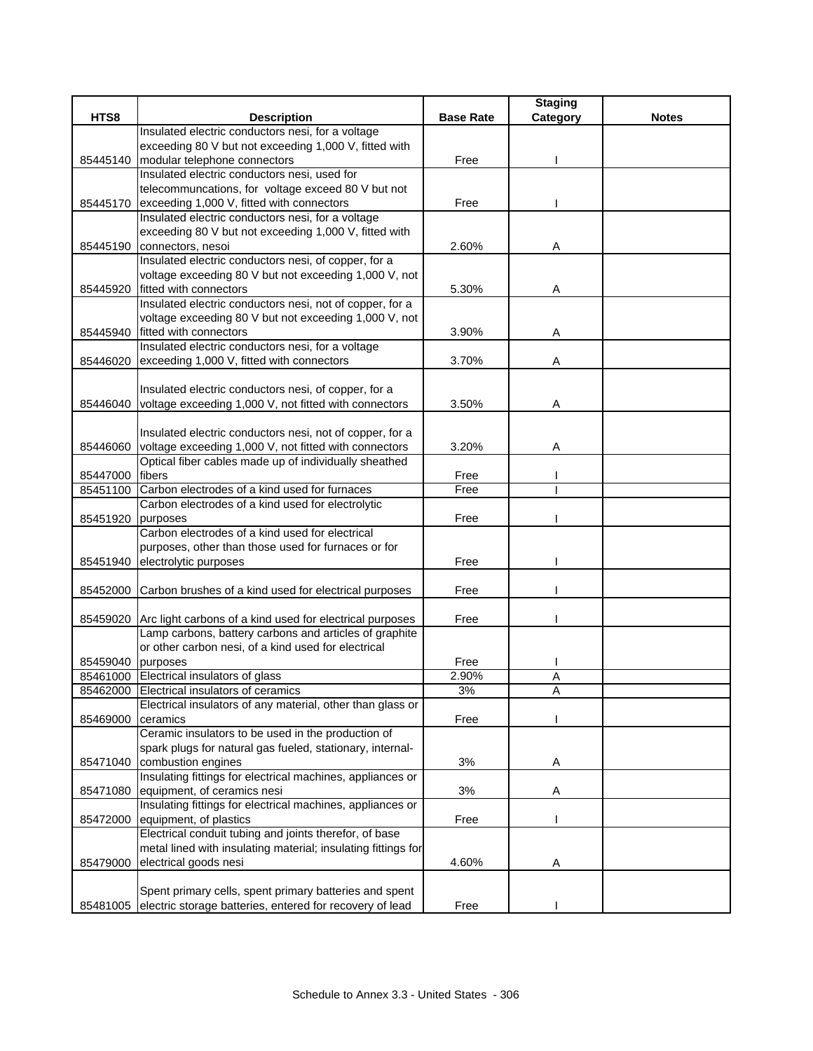|                   |                                                                   |                  | <b>Staging</b> |              |
|-------------------|-------------------------------------------------------------------|------------------|----------------|--------------|
| HTS8              | <b>Description</b>                                                | <b>Base Rate</b> | Category       | <b>Notes</b> |
|                   | Insulated electric conductors nesi, for a voltage                 |                  |                |              |
|                   | exceeding 80 V but not exceeding 1,000 V, fitted with             |                  |                |              |
| 85445140          | modular telephone connectors                                      | Free             |                |              |
|                   | Insulated electric conductors nesi, used for                      |                  |                |              |
|                   | telecommuncations, for voltage exceed 80 V but not                |                  |                |              |
| 85445170          | exceeding 1,000 V, fitted with connectors                         | Free             |                |              |
|                   | Insulated electric conductors nesi, for a voltage                 |                  |                |              |
|                   | exceeding 80 V but not exceeding 1,000 V, fitted with             |                  |                |              |
| 85445190          | connectors, nesoi                                                 | 2.60%            | Α              |              |
|                   | Insulated electric conductors nesi, of copper, for a              |                  |                |              |
|                   | voltage exceeding 80 V but not exceeding 1,000 V, not             |                  |                |              |
| 85445920          | fitted with connectors                                            | 5.30%            | Α              |              |
|                   | Insulated electric conductors nesi, not of copper, for a          |                  |                |              |
|                   | voltage exceeding 80 V but not exceeding 1,000 V, not             |                  |                |              |
|                   | 85445940 fitted with connectors                                   | 3.90%            | Α              |              |
|                   | Insulated electric conductors nesi, for a voltage                 |                  |                |              |
|                   | 85446020 exceeding 1,000 V, fitted with connectors                | 3.70%            | Α              |              |
|                   |                                                                   |                  |                |              |
|                   | Insulated electric conductors nesi, of copper, for a              |                  |                |              |
|                   | 85446040 voltage exceeding 1,000 V, not fitted with connectors    | 3.50%            | Α              |              |
|                   |                                                                   |                  |                |              |
|                   | Insulated electric conductors nesi, not of copper, for a          |                  |                |              |
| 85446060          | voltage exceeding 1,000 V, not fitted with connectors             | 3.20%            | Α              |              |
|                   | Optical fiber cables made up of individually sheathed             |                  |                |              |
| 85447000          | fibers                                                            | Free             |                |              |
| 85451100          | Carbon electrodes of a kind used for furnaces                     | Free             |                |              |
|                   | Carbon electrodes of a kind used for electrolytic                 |                  |                |              |
| 85451920          | purposes                                                          | Free             |                |              |
|                   | Carbon electrodes of a kind used for electrical                   |                  |                |              |
|                   | purposes, other than those used for furnaces or for               |                  |                |              |
| 85451940          | electrolytic purposes                                             | Free             |                |              |
|                   |                                                                   |                  |                |              |
| 85452000          | Carbon brushes of a kind used for electrical purposes             | Free             |                |              |
|                   |                                                                   |                  |                |              |
|                   | 85459020 Arc light carbons of a kind used for electrical purposes | Free             |                |              |
|                   | Lamp carbons, battery carbons and articles of graphite            |                  |                |              |
|                   | or other carbon nesi, of a kind used for electrical               |                  |                |              |
| 85459040 purposes |                                                                   | Free             |                |              |
|                   | 85461000 Electrical insulators of glass                           | 2.90%            | A              |              |
|                   | 85462000 Electrical insulators of ceramics                        | 3%               | Α              |              |
|                   | Electrical insulators of any material, other than glass or        |                  |                |              |
| 85469000          | ceramics                                                          | Free             |                |              |
|                   | Ceramic insulators to be used in the production of                |                  |                |              |
|                   | spark plugs for natural gas fueled, stationary, internal-         |                  |                |              |
|                   | 85471040 combustion engines                                       | 3%               | Α              |              |
|                   | Insulating fittings for electrical machines, appliances or        |                  |                |              |
| 85471080          | equipment, of ceramics nesi                                       | 3%               | Α              |              |
|                   | Insulating fittings for electrical machines, appliances or        |                  |                |              |
| 85472000          | equipment, of plastics                                            | Free             |                |              |
|                   | Electrical conduit tubing and joints therefor, of base            |                  |                |              |
|                   | metal lined with insulating material; insulating fittings for     |                  |                |              |
| 85479000          | electrical goods nesi                                             | 4.60%            | A              |              |
|                   |                                                                   |                  |                |              |
|                   | Spent primary cells, spent primary batteries and spent            |                  |                |              |
|                   | 85481005 electric storage batteries, entered for recovery of lead | Free             |                |              |
|                   |                                                                   |                  |                |              |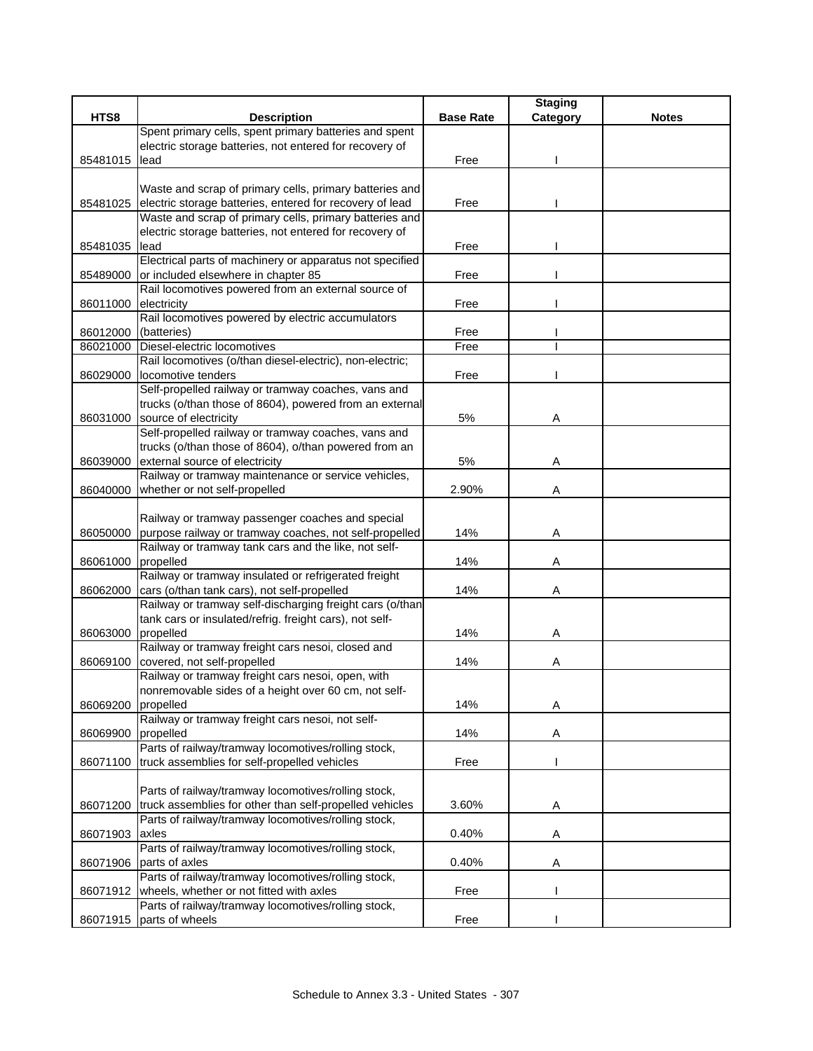| Spent primary cells, spent primary batteries and spent<br>electric storage batteries, not entered for recovery of<br>Free<br>lead<br>85481015<br>Waste and scrap of primary cells, primary batteries and<br>electric storage batteries, entered for recovery of lead<br>85481025<br>Free<br>Waste and scrap of primary cells, primary batteries and<br>electric storage batteries, not entered for recovery of<br>lead<br>85481035<br>Free<br>Electrical parts of machinery or apparatus not specified<br>85489000<br>or included elsewhere in chapter 85<br>Free<br>Rail locomotives powered from an external source of<br>Free<br>electricity<br>86011000<br>Rail locomotives powered by electric accumulators<br>(batteries)<br>86012000<br>Free<br>Free<br>Diesel-electric locomotives<br>86021000<br>Rail locomotives (o/than diesel-electric), non-electric;<br>locomotive tenders<br>Free<br>86029000<br>Self-propelled railway or tramway coaches, vans and<br>trucks (o/than those of 8604), powered from an external<br>source of electricity<br>86031000<br>5%<br>Α<br>Self-propelled railway or tramway coaches, vans and<br>trucks (o/than those of 8604), o/than powered from an<br>external source of electricity<br>5%<br>86039000<br>A<br>Railway or tramway maintenance or service vehicles,<br>whether or not self-propelled<br>86040000<br>2.90%<br>Α<br>Railway or tramway passenger coaches and special<br>purpose railway or tramway coaches, not self-propelled<br>14%<br>86050000<br>A<br>Railway or tramway tank cars and the like, not self-<br>propelled<br>86061000<br>14%<br>Α<br>Railway or tramway insulated or refrigerated freight<br>cars (o/than tank cars), not self-propelled<br>14%<br>86062000<br>Α<br>Railway or tramway self-discharging freight cars (o/than<br>tank cars or insulated/refrig. freight cars), not self-<br>86063000<br>propelled<br>14%<br>Α<br>Railway or tramway freight cars nesoi, closed and<br>covered, not self-propelled<br>14%<br>86069100<br>Α<br>Railway or tramway freight cars nesoi, open, with<br>nonremovable sides of a height over 60 cm, not self-<br>14%<br>86069200<br>propelled<br>Α<br>Railway or tramway freight cars nesoi, not self-<br>propelled<br>14%<br>A<br>86069900<br>Parts of railway/tramway locomotives/rolling stock,<br>truck assemblies for self-propelled vehicles<br>86071100<br>Free<br>Parts of railway/tramway locomotives/rolling stock,<br>truck assemblies for other than self-propelled vehicles<br>3.60%<br>86071200<br>A<br>Parts of railway/tramway locomotives/rolling stock,<br>0.40%<br>86071903<br>axles<br>Α<br>Parts of railway/tramway locomotives/rolling stock,<br>0.40%<br>parts of axles<br>86071906<br>A<br>Parts of railway/tramway locomotives/rolling stock,<br>wheels, whether or not fitted with axles<br>86071912<br>Free<br>Parts of railway/tramway locomotives/rolling stock,<br>86071915 parts of wheels<br>Free |      |                    |                  | <b>Staging</b> |              |
|------------------------------------------------------------------------------------------------------------------------------------------------------------------------------------------------------------------------------------------------------------------------------------------------------------------------------------------------------------------------------------------------------------------------------------------------------------------------------------------------------------------------------------------------------------------------------------------------------------------------------------------------------------------------------------------------------------------------------------------------------------------------------------------------------------------------------------------------------------------------------------------------------------------------------------------------------------------------------------------------------------------------------------------------------------------------------------------------------------------------------------------------------------------------------------------------------------------------------------------------------------------------------------------------------------------------------------------------------------------------------------------------------------------------------------------------------------------------------------------------------------------------------------------------------------------------------------------------------------------------------------------------------------------------------------------------------------------------------------------------------------------------------------------------------------------------------------------------------------------------------------------------------------------------------------------------------------------------------------------------------------------------------------------------------------------------------------------------------------------------------------------------------------------------------------------------------------------------------------------------------------------------------------------------------------------------------------------------------------------------------------------------------------------------------------------------------------------------------------------------------------------------------------------------------------------------------------------------------------------------------------------------------------------------------------------------------------------------------------------------------------------------------------------------------------------------------------------------------------------------------------------------------------------------------------------------------|------|--------------------|------------------|----------------|--------------|
|                                                                                                                                                                                                                                                                                                                                                                                                                                                                                                                                                                                                                                                                                                                                                                                                                                                                                                                                                                                                                                                                                                                                                                                                                                                                                                                                                                                                                                                                                                                                                                                                                                                                                                                                                                                                                                                                                                                                                                                                                                                                                                                                                                                                                                                                                                                                                                                                                                                                                                                                                                                                                                                                                                                                                                                                                                                                                                                                                      | HTS8 | <b>Description</b> | <b>Base Rate</b> | Category       | <b>Notes</b> |
|                                                                                                                                                                                                                                                                                                                                                                                                                                                                                                                                                                                                                                                                                                                                                                                                                                                                                                                                                                                                                                                                                                                                                                                                                                                                                                                                                                                                                                                                                                                                                                                                                                                                                                                                                                                                                                                                                                                                                                                                                                                                                                                                                                                                                                                                                                                                                                                                                                                                                                                                                                                                                                                                                                                                                                                                                                                                                                                                                      |      |                    |                  |                |              |
|                                                                                                                                                                                                                                                                                                                                                                                                                                                                                                                                                                                                                                                                                                                                                                                                                                                                                                                                                                                                                                                                                                                                                                                                                                                                                                                                                                                                                                                                                                                                                                                                                                                                                                                                                                                                                                                                                                                                                                                                                                                                                                                                                                                                                                                                                                                                                                                                                                                                                                                                                                                                                                                                                                                                                                                                                                                                                                                                                      |      |                    |                  |                |              |
|                                                                                                                                                                                                                                                                                                                                                                                                                                                                                                                                                                                                                                                                                                                                                                                                                                                                                                                                                                                                                                                                                                                                                                                                                                                                                                                                                                                                                                                                                                                                                                                                                                                                                                                                                                                                                                                                                                                                                                                                                                                                                                                                                                                                                                                                                                                                                                                                                                                                                                                                                                                                                                                                                                                                                                                                                                                                                                                                                      |      |                    |                  |                |              |
|                                                                                                                                                                                                                                                                                                                                                                                                                                                                                                                                                                                                                                                                                                                                                                                                                                                                                                                                                                                                                                                                                                                                                                                                                                                                                                                                                                                                                                                                                                                                                                                                                                                                                                                                                                                                                                                                                                                                                                                                                                                                                                                                                                                                                                                                                                                                                                                                                                                                                                                                                                                                                                                                                                                                                                                                                                                                                                                                                      |      |                    |                  |                |              |
|                                                                                                                                                                                                                                                                                                                                                                                                                                                                                                                                                                                                                                                                                                                                                                                                                                                                                                                                                                                                                                                                                                                                                                                                                                                                                                                                                                                                                                                                                                                                                                                                                                                                                                                                                                                                                                                                                                                                                                                                                                                                                                                                                                                                                                                                                                                                                                                                                                                                                                                                                                                                                                                                                                                                                                                                                                                                                                                                                      |      |                    |                  |                |              |
|                                                                                                                                                                                                                                                                                                                                                                                                                                                                                                                                                                                                                                                                                                                                                                                                                                                                                                                                                                                                                                                                                                                                                                                                                                                                                                                                                                                                                                                                                                                                                                                                                                                                                                                                                                                                                                                                                                                                                                                                                                                                                                                                                                                                                                                                                                                                                                                                                                                                                                                                                                                                                                                                                                                                                                                                                                                                                                                                                      |      |                    |                  |                |              |
|                                                                                                                                                                                                                                                                                                                                                                                                                                                                                                                                                                                                                                                                                                                                                                                                                                                                                                                                                                                                                                                                                                                                                                                                                                                                                                                                                                                                                                                                                                                                                                                                                                                                                                                                                                                                                                                                                                                                                                                                                                                                                                                                                                                                                                                                                                                                                                                                                                                                                                                                                                                                                                                                                                                                                                                                                                                                                                                                                      |      |                    |                  |                |              |
|                                                                                                                                                                                                                                                                                                                                                                                                                                                                                                                                                                                                                                                                                                                                                                                                                                                                                                                                                                                                                                                                                                                                                                                                                                                                                                                                                                                                                                                                                                                                                                                                                                                                                                                                                                                                                                                                                                                                                                                                                                                                                                                                                                                                                                                                                                                                                                                                                                                                                                                                                                                                                                                                                                                                                                                                                                                                                                                                                      |      |                    |                  |                |              |
|                                                                                                                                                                                                                                                                                                                                                                                                                                                                                                                                                                                                                                                                                                                                                                                                                                                                                                                                                                                                                                                                                                                                                                                                                                                                                                                                                                                                                                                                                                                                                                                                                                                                                                                                                                                                                                                                                                                                                                                                                                                                                                                                                                                                                                                                                                                                                                                                                                                                                                                                                                                                                                                                                                                                                                                                                                                                                                                                                      |      |                    |                  |                |              |
|                                                                                                                                                                                                                                                                                                                                                                                                                                                                                                                                                                                                                                                                                                                                                                                                                                                                                                                                                                                                                                                                                                                                                                                                                                                                                                                                                                                                                                                                                                                                                                                                                                                                                                                                                                                                                                                                                                                                                                                                                                                                                                                                                                                                                                                                                                                                                                                                                                                                                                                                                                                                                                                                                                                                                                                                                                                                                                                                                      |      |                    |                  |                |              |
|                                                                                                                                                                                                                                                                                                                                                                                                                                                                                                                                                                                                                                                                                                                                                                                                                                                                                                                                                                                                                                                                                                                                                                                                                                                                                                                                                                                                                                                                                                                                                                                                                                                                                                                                                                                                                                                                                                                                                                                                                                                                                                                                                                                                                                                                                                                                                                                                                                                                                                                                                                                                                                                                                                                                                                                                                                                                                                                                                      |      |                    |                  |                |              |
|                                                                                                                                                                                                                                                                                                                                                                                                                                                                                                                                                                                                                                                                                                                                                                                                                                                                                                                                                                                                                                                                                                                                                                                                                                                                                                                                                                                                                                                                                                                                                                                                                                                                                                                                                                                                                                                                                                                                                                                                                                                                                                                                                                                                                                                                                                                                                                                                                                                                                                                                                                                                                                                                                                                                                                                                                                                                                                                                                      |      |                    |                  |                |              |
|                                                                                                                                                                                                                                                                                                                                                                                                                                                                                                                                                                                                                                                                                                                                                                                                                                                                                                                                                                                                                                                                                                                                                                                                                                                                                                                                                                                                                                                                                                                                                                                                                                                                                                                                                                                                                                                                                                                                                                                                                                                                                                                                                                                                                                                                                                                                                                                                                                                                                                                                                                                                                                                                                                                                                                                                                                                                                                                                                      |      |                    |                  |                |              |
|                                                                                                                                                                                                                                                                                                                                                                                                                                                                                                                                                                                                                                                                                                                                                                                                                                                                                                                                                                                                                                                                                                                                                                                                                                                                                                                                                                                                                                                                                                                                                                                                                                                                                                                                                                                                                                                                                                                                                                                                                                                                                                                                                                                                                                                                                                                                                                                                                                                                                                                                                                                                                                                                                                                                                                                                                                                                                                                                                      |      |                    |                  |                |              |
|                                                                                                                                                                                                                                                                                                                                                                                                                                                                                                                                                                                                                                                                                                                                                                                                                                                                                                                                                                                                                                                                                                                                                                                                                                                                                                                                                                                                                                                                                                                                                                                                                                                                                                                                                                                                                                                                                                                                                                                                                                                                                                                                                                                                                                                                                                                                                                                                                                                                                                                                                                                                                                                                                                                                                                                                                                                                                                                                                      |      |                    |                  |                |              |
|                                                                                                                                                                                                                                                                                                                                                                                                                                                                                                                                                                                                                                                                                                                                                                                                                                                                                                                                                                                                                                                                                                                                                                                                                                                                                                                                                                                                                                                                                                                                                                                                                                                                                                                                                                                                                                                                                                                                                                                                                                                                                                                                                                                                                                                                                                                                                                                                                                                                                                                                                                                                                                                                                                                                                                                                                                                                                                                                                      |      |                    |                  |                |              |
|                                                                                                                                                                                                                                                                                                                                                                                                                                                                                                                                                                                                                                                                                                                                                                                                                                                                                                                                                                                                                                                                                                                                                                                                                                                                                                                                                                                                                                                                                                                                                                                                                                                                                                                                                                                                                                                                                                                                                                                                                                                                                                                                                                                                                                                                                                                                                                                                                                                                                                                                                                                                                                                                                                                                                                                                                                                                                                                                                      |      |                    |                  |                |              |
|                                                                                                                                                                                                                                                                                                                                                                                                                                                                                                                                                                                                                                                                                                                                                                                                                                                                                                                                                                                                                                                                                                                                                                                                                                                                                                                                                                                                                                                                                                                                                                                                                                                                                                                                                                                                                                                                                                                                                                                                                                                                                                                                                                                                                                                                                                                                                                                                                                                                                                                                                                                                                                                                                                                                                                                                                                                                                                                                                      |      |                    |                  |                |              |
|                                                                                                                                                                                                                                                                                                                                                                                                                                                                                                                                                                                                                                                                                                                                                                                                                                                                                                                                                                                                                                                                                                                                                                                                                                                                                                                                                                                                                                                                                                                                                                                                                                                                                                                                                                                                                                                                                                                                                                                                                                                                                                                                                                                                                                                                                                                                                                                                                                                                                                                                                                                                                                                                                                                                                                                                                                                                                                                                                      |      |                    |                  |                |              |
|                                                                                                                                                                                                                                                                                                                                                                                                                                                                                                                                                                                                                                                                                                                                                                                                                                                                                                                                                                                                                                                                                                                                                                                                                                                                                                                                                                                                                                                                                                                                                                                                                                                                                                                                                                                                                                                                                                                                                                                                                                                                                                                                                                                                                                                                                                                                                                                                                                                                                                                                                                                                                                                                                                                                                                                                                                                                                                                                                      |      |                    |                  |                |              |
|                                                                                                                                                                                                                                                                                                                                                                                                                                                                                                                                                                                                                                                                                                                                                                                                                                                                                                                                                                                                                                                                                                                                                                                                                                                                                                                                                                                                                                                                                                                                                                                                                                                                                                                                                                                                                                                                                                                                                                                                                                                                                                                                                                                                                                                                                                                                                                                                                                                                                                                                                                                                                                                                                                                                                                                                                                                                                                                                                      |      |                    |                  |                |              |
|                                                                                                                                                                                                                                                                                                                                                                                                                                                                                                                                                                                                                                                                                                                                                                                                                                                                                                                                                                                                                                                                                                                                                                                                                                                                                                                                                                                                                                                                                                                                                                                                                                                                                                                                                                                                                                                                                                                                                                                                                                                                                                                                                                                                                                                                                                                                                                                                                                                                                                                                                                                                                                                                                                                                                                                                                                                                                                                                                      |      |                    |                  |                |              |
|                                                                                                                                                                                                                                                                                                                                                                                                                                                                                                                                                                                                                                                                                                                                                                                                                                                                                                                                                                                                                                                                                                                                                                                                                                                                                                                                                                                                                                                                                                                                                                                                                                                                                                                                                                                                                                                                                                                                                                                                                                                                                                                                                                                                                                                                                                                                                                                                                                                                                                                                                                                                                                                                                                                                                                                                                                                                                                                                                      |      |                    |                  |                |              |
|                                                                                                                                                                                                                                                                                                                                                                                                                                                                                                                                                                                                                                                                                                                                                                                                                                                                                                                                                                                                                                                                                                                                                                                                                                                                                                                                                                                                                                                                                                                                                                                                                                                                                                                                                                                                                                                                                                                                                                                                                                                                                                                                                                                                                                                                                                                                                                                                                                                                                                                                                                                                                                                                                                                                                                                                                                                                                                                                                      |      |                    |                  |                |              |
|                                                                                                                                                                                                                                                                                                                                                                                                                                                                                                                                                                                                                                                                                                                                                                                                                                                                                                                                                                                                                                                                                                                                                                                                                                                                                                                                                                                                                                                                                                                                                                                                                                                                                                                                                                                                                                                                                                                                                                                                                                                                                                                                                                                                                                                                                                                                                                                                                                                                                                                                                                                                                                                                                                                                                                                                                                                                                                                                                      |      |                    |                  |                |              |
|                                                                                                                                                                                                                                                                                                                                                                                                                                                                                                                                                                                                                                                                                                                                                                                                                                                                                                                                                                                                                                                                                                                                                                                                                                                                                                                                                                                                                                                                                                                                                                                                                                                                                                                                                                                                                                                                                                                                                                                                                                                                                                                                                                                                                                                                                                                                                                                                                                                                                                                                                                                                                                                                                                                                                                                                                                                                                                                                                      |      |                    |                  |                |              |
|                                                                                                                                                                                                                                                                                                                                                                                                                                                                                                                                                                                                                                                                                                                                                                                                                                                                                                                                                                                                                                                                                                                                                                                                                                                                                                                                                                                                                                                                                                                                                                                                                                                                                                                                                                                                                                                                                                                                                                                                                                                                                                                                                                                                                                                                                                                                                                                                                                                                                                                                                                                                                                                                                                                                                                                                                                                                                                                                                      |      |                    |                  |                |              |
|                                                                                                                                                                                                                                                                                                                                                                                                                                                                                                                                                                                                                                                                                                                                                                                                                                                                                                                                                                                                                                                                                                                                                                                                                                                                                                                                                                                                                                                                                                                                                                                                                                                                                                                                                                                                                                                                                                                                                                                                                                                                                                                                                                                                                                                                                                                                                                                                                                                                                                                                                                                                                                                                                                                                                                                                                                                                                                                                                      |      |                    |                  |                |              |
|                                                                                                                                                                                                                                                                                                                                                                                                                                                                                                                                                                                                                                                                                                                                                                                                                                                                                                                                                                                                                                                                                                                                                                                                                                                                                                                                                                                                                                                                                                                                                                                                                                                                                                                                                                                                                                                                                                                                                                                                                                                                                                                                                                                                                                                                                                                                                                                                                                                                                                                                                                                                                                                                                                                                                                                                                                                                                                                                                      |      |                    |                  |                |              |
|                                                                                                                                                                                                                                                                                                                                                                                                                                                                                                                                                                                                                                                                                                                                                                                                                                                                                                                                                                                                                                                                                                                                                                                                                                                                                                                                                                                                                                                                                                                                                                                                                                                                                                                                                                                                                                                                                                                                                                                                                                                                                                                                                                                                                                                                                                                                                                                                                                                                                                                                                                                                                                                                                                                                                                                                                                                                                                                                                      |      |                    |                  |                |              |
|                                                                                                                                                                                                                                                                                                                                                                                                                                                                                                                                                                                                                                                                                                                                                                                                                                                                                                                                                                                                                                                                                                                                                                                                                                                                                                                                                                                                                                                                                                                                                                                                                                                                                                                                                                                                                                                                                                                                                                                                                                                                                                                                                                                                                                                                                                                                                                                                                                                                                                                                                                                                                                                                                                                                                                                                                                                                                                                                                      |      |                    |                  |                |              |
|                                                                                                                                                                                                                                                                                                                                                                                                                                                                                                                                                                                                                                                                                                                                                                                                                                                                                                                                                                                                                                                                                                                                                                                                                                                                                                                                                                                                                                                                                                                                                                                                                                                                                                                                                                                                                                                                                                                                                                                                                                                                                                                                                                                                                                                                                                                                                                                                                                                                                                                                                                                                                                                                                                                                                                                                                                                                                                                                                      |      |                    |                  |                |              |
|                                                                                                                                                                                                                                                                                                                                                                                                                                                                                                                                                                                                                                                                                                                                                                                                                                                                                                                                                                                                                                                                                                                                                                                                                                                                                                                                                                                                                                                                                                                                                                                                                                                                                                                                                                                                                                                                                                                                                                                                                                                                                                                                                                                                                                                                                                                                                                                                                                                                                                                                                                                                                                                                                                                                                                                                                                                                                                                                                      |      |                    |                  |                |              |
|                                                                                                                                                                                                                                                                                                                                                                                                                                                                                                                                                                                                                                                                                                                                                                                                                                                                                                                                                                                                                                                                                                                                                                                                                                                                                                                                                                                                                                                                                                                                                                                                                                                                                                                                                                                                                                                                                                                                                                                                                                                                                                                                                                                                                                                                                                                                                                                                                                                                                                                                                                                                                                                                                                                                                                                                                                                                                                                                                      |      |                    |                  |                |              |
|                                                                                                                                                                                                                                                                                                                                                                                                                                                                                                                                                                                                                                                                                                                                                                                                                                                                                                                                                                                                                                                                                                                                                                                                                                                                                                                                                                                                                                                                                                                                                                                                                                                                                                                                                                                                                                                                                                                                                                                                                                                                                                                                                                                                                                                                                                                                                                                                                                                                                                                                                                                                                                                                                                                                                                                                                                                                                                                                                      |      |                    |                  |                |              |
|                                                                                                                                                                                                                                                                                                                                                                                                                                                                                                                                                                                                                                                                                                                                                                                                                                                                                                                                                                                                                                                                                                                                                                                                                                                                                                                                                                                                                                                                                                                                                                                                                                                                                                                                                                                                                                                                                                                                                                                                                                                                                                                                                                                                                                                                                                                                                                                                                                                                                                                                                                                                                                                                                                                                                                                                                                                                                                                                                      |      |                    |                  |                |              |
|                                                                                                                                                                                                                                                                                                                                                                                                                                                                                                                                                                                                                                                                                                                                                                                                                                                                                                                                                                                                                                                                                                                                                                                                                                                                                                                                                                                                                                                                                                                                                                                                                                                                                                                                                                                                                                                                                                                                                                                                                                                                                                                                                                                                                                                                                                                                                                                                                                                                                                                                                                                                                                                                                                                                                                                                                                                                                                                                                      |      |                    |                  |                |              |
|                                                                                                                                                                                                                                                                                                                                                                                                                                                                                                                                                                                                                                                                                                                                                                                                                                                                                                                                                                                                                                                                                                                                                                                                                                                                                                                                                                                                                                                                                                                                                                                                                                                                                                                                                                                                                                                                                                                                                                                                                                                                                                                                                                                                                                                                                                                                                                                                                                                                                                                                                                                                                                                                                                                                                                                                                                                                                                                                                      |      |                    |                  |                |              |
|                                                                                                                                                                                                                                                                                                                                                                                                                                                                                                                                                                                                                                                                                                                                                                                                                                                                                                                                                                                                                                                                                                                                                                                                                                                                                                                                                                                                                                                                                                                                                                                                                                                                                                                                                                                                                                                                                                                                                                                                                                                                                                                                                                                                                                                                                                                                                                                                                                                                                                                                                                                                                                                                                                                                                                                                                                                                                                                                                      |      |                    |                  |                |              |
|                                                                                                                                                                                                                                                                                                                                                                                                                                                                                                                                                                                                                                                                                                                                                                                                                                                                                                                                                                                                                                                                                                                                                                                                                                                                                                                                                                                                                                                                                                                                                                                                                                                                                                                                                                                                                                                                                                                                                                                                                                                                                                                                                                                                                                                                                                                                                                                                                                                                                                                                                                                                                                                                                                                                                                                                                                                                                                                                                      |      |                    |                  |                |              |
|                                                                                                                                                                                                                                                                                                                                                                                                                                                                                                                                                                                                                                                                                                                                                                                                                                                                                                                                                                                                                                                                                                                                                                                                                                                                                                                                                                                                                                                                                                                                                                                                                                                                                                                                                                                                                                                                                                                                                                                                                                                                                                                                                                                                                                                                                                                                                                                                                                                                                                                                                                                                                                                                                                                                                                                                                                                                                                                                                      |      |                    |                  |                |              |
|                                                                                                                                                                                                                                                                                                                                                                                                                                                                                                                                                                                                                                                                                                                                                                                                                                                                                                                                                                                                                                                                                                                                                                                                                                                                                                                                                                                                                                                                                                                                                                                                                                                                                                                                                                                                                                                                                                                                                                                                                                                                                                                                                                                                                                                                                                                                                                                                                                                                                                                                                                                                                                                                                                                                                                                                                                                                                                                                                      |      |                    |                  |                |              |
|                                                                                                                                                                                                                                                                                                                                                                                                                                                                                                                                                                                                                                                                                                                                                                                                                                                                                                                                                                                                                                                                                                                                                                                                                                                                                                                                                                                                                                                                                                                                                                                                                                                                                                                                                                                                                                                                                                                                                                                                                                                                                                                                                                                                                                                                                                                                                                                                                                                                                                                                                                                                                                                                                                                                                                                                                                                                                                                                                      |      |                    |                  |                |              |
|                                                                                                                                                                                                                                                                                                                                                                                                                                                                                                                                                                                                                                                                                                                                                                                                                                                                                                                                                                                                                                                                                                                                                                                                                                                                                                                                                                                                                                                                                                                                                                                                                                                                                                                                                                                                                                                                                                                                                                                                                                                                                                                                                                                                                                                                                                                                                                                                                                                                                                                                                                                                                                                                                                                                                                                                                                                                                                                                                      |      |                    |                  |                |              |
|                                                                                                                                                                                                                                                                                                                                                                                                                                                                                                                                                                                                                                                                                                                                                                                                                                                                                                                                                                                                                                                                                                                                                                                                                                                                                                                                                                                                                                                                                                                                                                                                                                                                                                                                                                                                                                                                                                                                                                                                                                                                                                                                                                                                                                                                                                                                                                                                                                                                                                                                                                                                                                                                                                                                                                                                                                                                                                                                                      |      |                    |                  |                |              |
|                                                                                                                                                                                                                                                                                                                                                                                                                                                                                                                                                                                                                                                                                                                                                                                                                                                                                                                                                                                                                                                                                                                                                                                                                                                                                                                                                                                                                                                                                                                                                                                                                                                                                                                                                                                                                                                                                                                                                                                                                                                                                                                                                                                                                                                                                                                                                                                                                                                                                                                                                                                                                                                                                                                                                                                                                                                                                                                                                      |      |                    |                  |                |              |
|                                                                                                                                                                                                                                                                                                                                                                                                                                                                                                                                                                                                                                                                                                                                                                                                                                                                                                                                                                                                                                                                                                                                                                                                                                                                                                                                                                                                                                                                                                                                                                                                                                                                                                                                                                                                                                                                                                                                                                                                                                                                                                                                                                                                                                                                                                                                                                                                                                                                                                                                                                                                                                                                                                                                                                                                                                                                                                                                                      |      |                    |                  |                |              |
|                                                                                                                                                                                                                                                                                                                                                                                                                                                                                                                                                                                                                                                                                                                                                                                                                                                                                                                                                                                                                                                                                                                                                                                                                                                                                                                                                                                                                                                                                                                                                                                                                                                                                                                                                                                                                                                                                                                                                                                                                                                                                                                                                                                                                                                                                                                                                                                                                                                                                                                                                                                                                                                                                                                                                                                                                                                                                                                                                      |      |                    |                  |                |              |
|                                                                                                                                                                                                                                                                                                                                                                                                                                                                                                                                                                                                                                                                                                                                                                                                                                                                                                                                                                                                                                                                                                                                                                                                                                                                                                                                                                                                                                                                                                                                                                                                                                                                                                                                                                                                                                                                                                                                                                                                                                                                                                                                                                                                                                                                                                                                                                                                                                                                                                                                                                                                                                                                                                                                                                                                                                                                                                                                                      |      |                    |                  |                |              |
|                                                                                                                                                                                                                                                                                                                                                                                                                                                                                                                                                                                                                                                                                                                                                                                                                                                                                                                                                                                                                                                                                                                                                                                                                                                                                                                                                                                                                                                                                                                                                                                                                                                                                                                                                                                                                                                                                                                                                                                                                                                                                                                                                                                                                                                                                                                                                                                                                                                                                                                                                                                                                                                                                                                                                                                                                                                                                                                                                      |      |                    |                  |                |              |
|                                                                                                                                                                                                                                                                                                                                                                                                                                                                                                                                                                                                                                                                                                                                                                                                                                                                                                                                                                                                                                                                                                                                                                                                                                                                                                                                                                                                                                                                                                                                                                                                                                                                                                                                                                                                                                                                                                                                                                                                                                                                                                                                                                                                                                                                                                                                                                                                                                                                                                                                                                                                                                                                                                                                                                                                                                                                                                                                                      |      |                    |                  |                |              |
|                                                                                                                                                                                                                                                                                                                                                                                                                                                                                                                                                                                                                                                                                                                                                                                                                                                                                                                                                                                                                                                                                                                                                                                                                                                                                                                                                                                                                                                                                                                                                                                                                                                                                                                                                                                                                                                                                                                                                                                                                                                                                                                                                                                                                                                                                                                                                                                                                                                                                                                                                                                                                                                                                                                                                                                                                                                                                                                                                      |      |                    |                  |                |              |
|                                                                                                                                                                                                                                                                                                                                                                                                                                                                                                                                                                                                                                                                                                                                                                                                                                                                                                                                                                                                                                                                                                                                                                                                                                                                                                                                                                                                                                                                                                                                                                                                                                                                                                                                                                                                                                                                                                                                                                                                                                                                                                                                                                                                                                                                                                                                                                                                                                                                                                                                                                                                                                                                                                                                                                                                                                                                                                                                                      |      |                    |                  |                |              |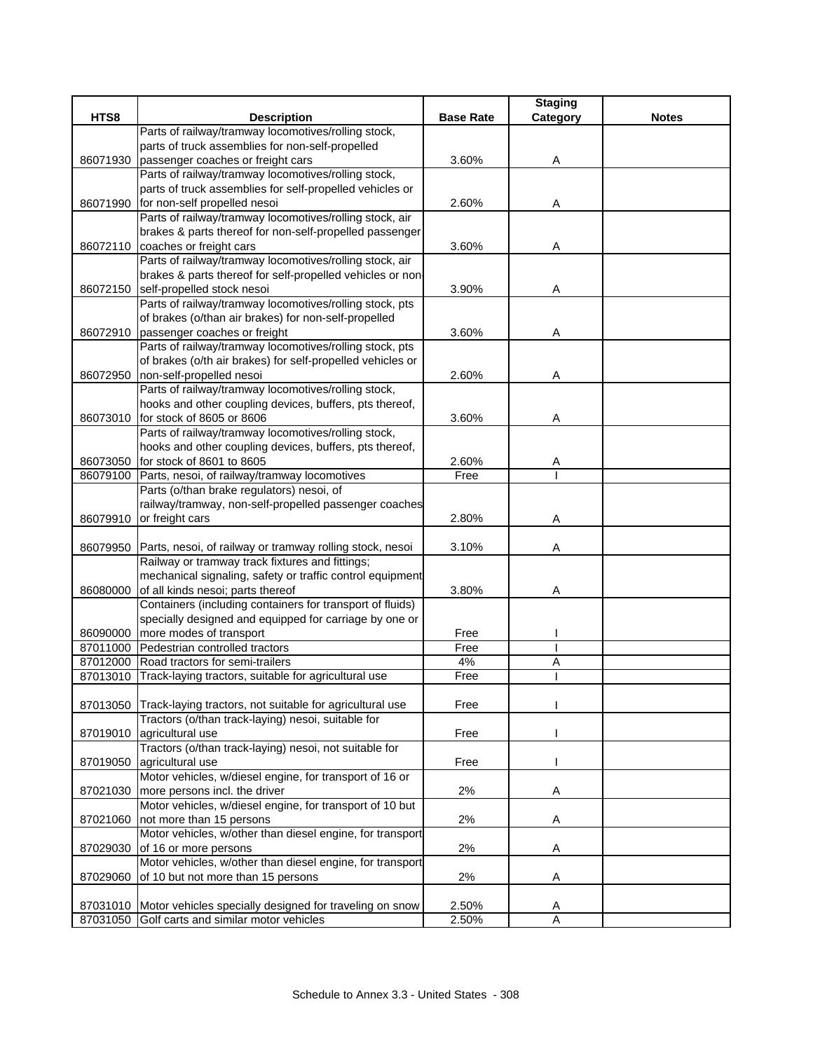|          |                                                            |                  | <b>Staging</b> |              |
|----------|------------------------------------------------------------|------------------|----------------|--------------|
| HTS8     | <b>Description</b>                                         | <b>Base Rate</b> | Category       | <b>Notes</b> |
|          | Parts of railway/tramway locomotives/rolling stock,        |                  |                |              |
|          | parts of truck assemblies for non-self-propelled           |                  |                |              |
| 86071930 | passenger coaches or freight cars                          | 3.60%            | Α              |              |
|          | Parts of railway/tramway locomotives/rolling stock,        |                  |                |              |
|          | parts of truck assemblies for self-propelled vehicles or   |                  |                |              |
| 86071990 | for non-self propelled nesoi                               | 2.60%            | Α              |              |
|          | Parts of railway/tramway locomotives/rolling stock, air    |                  |                |              |
|          | brakes & parts thereof for non-self-propelled passenger    |                  |                |              |
|          | 86072110 coaches or freight cars                           | 3.60%            | Α              |              |
|          | Parts of railway/tramway locomotives/rolling stock, air    |                  |                |              |
|          | brakes & parts thereof for self-propelled vehicles or non- |                  |                |              |
| 86072150 | self-propelled stock nesoi                                 | 3.90%            | Α              |              |
|          | Parts of railway/tramway locomotives/rolling stock, pts    |                  |                |              |
|          | of brakes (o/than air brakes) for non-self-propelled       |                  |                |              |
| 86072910 | passenger coaches or freight                               | 3.60%            | Α              |              |
|          | Parts of railway/tramway locomotives/rolling stock, pts    |                  |                |              |
|          | of brakes (o/th air brakes) for self-propelled vehicles or |                  |                |              |
| 86072950 | non-self-propelled nesoi                                   | 2.60%            | Α              |              |
|          | Parts of railway/tramway locomotives/rolling stock,        |                  |                |              |
|          | hooks and other coupling devices, buffers, pts thereof,    |                  |                |              |
|          | 86073010 for stock of 8605 or 8606                         | 3.60%            | Α              |              |
|          | Parts of railway/tramway locomotives/rolling stock,        |                  |                |              |
|          | hooks and other coupling devices, buffers, pts thereof,    |                  |                |              |
|          | 86073050 for stock of 8601 to 8605                         | 2.60%            | Α              |              |
|          | 86079100 Parts, nesoi, of railway/tramway locomotives      | Free             |                |              |
|          | Parts (o/than brake regulators) nesoi, of                  |                  |                |              |
|          | railway/tramway, non-self-propelled passenger coaches      |                  |                |              |
| 86079910 | or freight cars                                            | 2.80%            | Α              |              |
|          |                                                            |                  |                |              |
| 86079950 | Parts, nesoi, of railway or tramway rolling stock, nesoi   | 3.10%            | Α              |              |
|          | Railway or tramway track fixtures and fittings;            |                  |                |              |
|          | mechanical signaling, safety or traffic control equipment  |                  |                |              |
| 86080000 | of all kinds nesoi; parts thereof                          | 3.80%            | Α              |              |
|          | Containers (including containers for transport of fluids)  |                  |                |              |
|          | specially designed and equipped for carriage by one or     |                  |                |              |
| 86090000 | more modes of transport                                    | Free             |                |              |
| 87011000 | Pedestrian controlled tractors                             | Free             |                |              |
| 87012000 | Road tractors for semi-trailers                            | 4%               | Α              |              |
| 87013010 | Track-laying tractors, suitable for agricultural use       | Free             |                |              |
|          |                                                            |                  |                |              |
| 87013050 | Track-laying tractors, not suitable for agricultural use   | Free             |                |              |
|          | Tractors (o/than track-laying) nesoi, suitable for         |                  |                |              |
| 87019010 | agricultural use                                           | Free             |                |              |
|          | Tractors (o/than track-laying) nesoi, not suitable for     |                  |                |              |
| 87019050 | agricultural use                                           | Free             |                |              |
|          | Motor vehicles, w/diesel engine, for transport of 16 or    |                  |                |              |
| 87021030 | more persons incl. the driver                              | 2%               | A              |              |
|          | Motor vehicles, w/diesel engine, for transport of 10 but   |                  |                |              |
| 87021060 | not more than 15 persons                                   | 2%               | Α              |              |
|          | Motor vehicles, w/other than diesel engine, for transport  |                  |                |              |
| 87029030 | of 16 or more persons                                      | 2%               | Α              |              |
|          | Motor vehicles, w/other than diesel engine, for transport  |                  |                |              |
| 87029060 | of 10 but not more than 15 persons                         | 2%               | A              |              |
|          |                                                            |                  |                |              |
| 87031010 | Motor vehicles specially designed for traveling on snow    | 2.50%            | Α              |              |
| 87031050 | Golf carts and similar motor vehicles                      | 2.50%            | A              |              |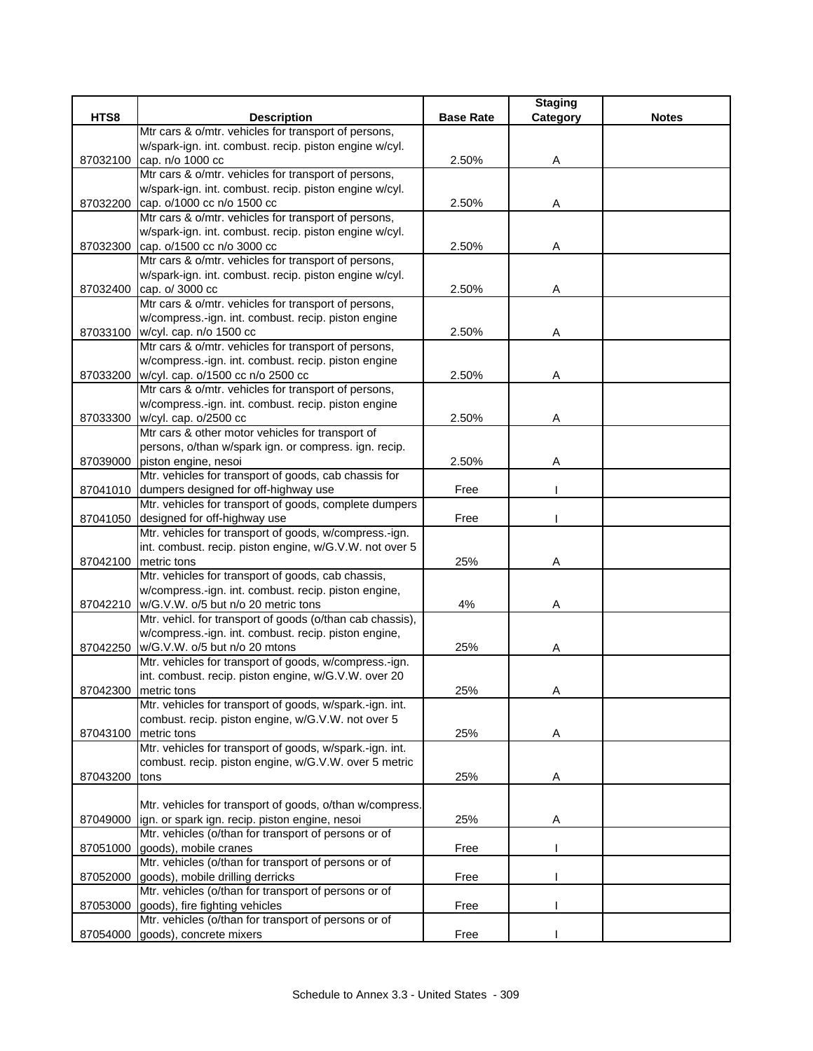|          |                                                           |                  | <b>Staging</b> |              |
|----------|-----------------------------------------------------------|------------------|----------------|--------------|
| HTS8     | <b>Description</b>                                        | <b>Base Rate</b> | Category       | <b>Notes</b> |
|          | Mtr cars & o/mtr. vehicles for transport of persons,      |                  |                |              |
|          | w/spark-ign. int. combust. recip. piston engine w/cyl.    |                  |                |              |
| 87032100 | cap. n/o 1000 cc                                          | 2.50%            | Α              |              |
|          | Mtr cars & o/mtr. vehicles for transport of persons,      |                  |                |              |
|          | w/spark-ign. int. combust. recip. piston engine w/cyl.    |                  |                |              |
| 87032200 | cap. o/1000 cc n/o 1500 cc                                | 2.50%            | A              |              |
|          | Mtr cars & o/mtr. vehicles for transport of persons,      |                  |                |              |
|          | w/spark-ign. int. combust. recip. piston engine w/cyl.    |                  |                |              |
|          | 87032300 cap. o/1500 cc n/o 3000 cc                       | 2.50%            | Α              |              |
|          | Mtr cars & o/mtr. vehicles for transport of persons,      |                  |                |              |
|          | w/spark-ign. int. combust. recip. piston engine w/cyl.    |                  |                |              |
| 87032400 | cap. o/ 3000 cc                                           | 2.50%            | Α              |              |
|          | Mtr cars & o/mtr. vehicles for transport of persons,      |                  |                |              |
|          | w/compress.-ign. int. combust. recip. piston engine       |                  |                |              |
|          | 87033100 w/cyl. cap. n/o 1500 cc                          | 2.50%            | Α              |              |
|          | Mtr cars & o/mtr. vehicles for transport of persons,      |                  |                |              |
|          | w/compress.-ign. int. combust. recip. piston engine       |                  |                |              |
| 87033200 | w/cyl. cap. o/1500 cc n/o 2500 cc                         | 2.50%            | Α              |              |
|          | Mtr cars & o/mtr. vehicles for transport of persons,      |                  |                |              |
|          | w/compress.-ign. int. combust. recip. piston engine       |                  |                |              |
| 87033300 | w/cyl. cap. o/2500 cc                                     | 2.50%            | Α              |              |
|          | Mtr cars & other motor vehicles for transport of          |                  |                |              |
|          | persons, o/than w/spark ign. or compress. ign. recip.     |                  |                |              |
|          | 87039000 piston engine, nesoi                             | 2.50%            | Α              |              |
|          | Mtr. vehicles for transport of goods, cab chassis for     |                  |                |              |
|          | 87041010 dumpers designed for off-highway use             | Free             |                |              |
|          | Mtr. vehicles for transport of goods, complete dumpers    |                  |                |              |
| 87041050 | designed for off-highway use                              | Free             |                |              |
|          | Mtr. vehicles for transport of goods, w/compress.-ign.    |                  |                |              |
|          | int. combust. recip. piston engine, w/G.V.W. not over 5   |                  |                |              |
| 87042100 | metric tons                                               | 25%              | Α              |              |
|          | Mtr. vehicles for transport of goods, cab chassis,        |                  |                |              |
|          | w/compress.-ign. int. combust. recip. piston engine,      |                  |                |              |
|          | 87042210   w/G.V.W. o/5 but n/o 20 metric tons            | 4%               | Α              |              |
|          | Mtr. vehicl. for transport of goods (o/than cab chassis), |                  |                |              |
|          | w/compress.-ign. int. combust. recip. piston engine,      |                  |                |              |
|          | 87042250 w/G.V.W. o/5 but n/o 20 mtons                    | 25%              | Α              |              |
|          | Mtr. vehicles for transport of goods, w/compress.-ign.    |                  |                |              |
|          | int. combust. recip. piston engine, w/G.V.W. over 20      |                  |                |              |
|          | 87042300 metric tons                                      | 25%              | Α              |              |
|          | Mtr. vehicles for transport of goods, w/spark.-ign. int.  |                  |                |              |
|          | combust. recip. piston engine, w/G.V.W. not over 5        |                  |                |              |
| 87043100 | metric tons                                               | 25%              | A              |              |
|          | Mtr. vehicles for transport of goods, w/spark.-ign. int.  |                  |                |              |
|          | combust. recip. piston engine, w/G.V.W. over 5 metric     |                  |                |              |
| 87043200 | tons                                                      | 25%              | Α              |              |
|          |                                                           |                  |                |              |
|          | Mtr. vehicles for transport of goods, o/than w/compress.  |                  |                |              |
| 87049000 | ign. or spark ign. recip. piston engine, nesoi            | 25%              | Α              |              |
|          | Mtr. vehicles (o/than for transport of persons or of      |                  |                |              |
| 87051000 | goods), mobile cranes                                     | Free             |                |              |
|          | Mtr. vehicles (o/than for transport of persons or of      |                  |                |              |
| 87052000 | goods), mobile drilling derricks                          | Free             |                |              |
|          | Mtr. vehicles (o/than for transport of persons or of      |                  |                |              |
| 87053000 | goods), fire fighting vehicles                            | Free             |                |              |
|          | Mtr. vehicles (o/than for transport of persons or of      |                  |                |              |
| 87054000 | goods), concrete mixers                                   | Free             |                |              |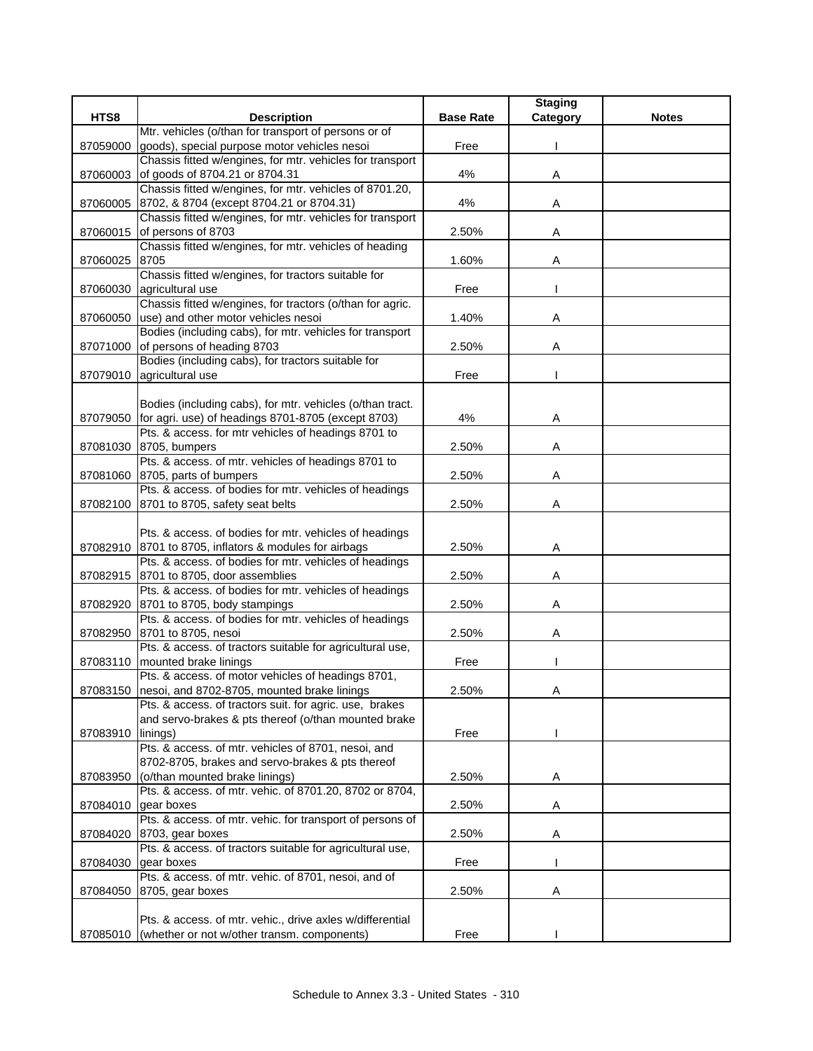| HTS8<br>Category<br><b>Description</b><br><b>Base Rate</b><br><b>Notes</b><br>Mtr. vehicles (o/than for transport of persons or of<br>goods), special purpose motor vehicles nesoi<br>87059000<br>Free<br>Chassis fitted w/engines, for mtr. vehicles for transport<br>of goods of 8704.21 or 8704.31<br>4%<br>Α<br>87060003<br>Chassis fitted w/engines, for mtr. vehicles of 8701.20,<br>8702, & 8704 (except 8704.21 or 8704.31)<br>4%<br>87060005<br>Α<br>Chassis fitted w/engines, for mtr. vehicles for transport<br>of persons of 8703<br>2.50%<br>87060015<br>Α<br>Chassis fitted w/engines, for mtr. vehicles of heading<br>8705<br>Α<br>87060025<br>1.60%<br>Chassis fitted w/engines, for tractors suitable for<br>agricultural use<br>87060030<br>Free<br>Chassis fitted w/engines, for tractors (o/than for agric.<br>use) and other motor vehicles nesoi<br>1.40%<br>87060050<br>Α<br>Bodies (including cabs), for mtr. vehicles for transport<br>of persons of heading 8703<br>2.50%<br>87071000<br>Α<br>Bodies (including cabs), for tractors suitable for<br>87079010 agricultural use<br>Free<br>Bodies (including cabs), for mtr. vehicles (o/than tract.<br>87079050 for agri. use) of headings 8701-8705 (except 8703)<br>4%<br>Α<br>Pts. & access. for mtr vehicles of headings 8701 to<br>87081030 8705, bumpers<br>2.50%<br>Α<br>Pts. & access. of mtr. vehicles of headings 8701 to<br>87081060 8705, parts of bumpers<br>2.50%<br>Α<br>Pts. & access. of bodies for mtr. vehicles of headings<br>87082100 8701 to 8705, safety seat belts<br>2.50%<br>Α<br>Pts. & access. of bodies for mtr. vehicles of headings<br>87082910 8701 to 8705, inflators & modules for airbags<br>2.50%<br>Α<br>Pts. & access. of bodies for mtr. vehicles of headings<br>8701 to 8705, door assemblies<br>2.50%<br>87082915<br>Α<br>Pts. & access. of bodies for mtr. vehicles of headings<br>8701 to 8705, body stampings<br>2.50%<br>87082920<br>Α<br>Pts. & access. of bodies for mtr. vehicles of headings<br>8701 to 8705, nesoi<br>87082950<br>2.50%<br>Α<br>Pts. & access. of tractors suitable for agricultural use,<br>87083110 mounted brake linings<br>Free<br>Pts. & access. of motor vehicles of headings 8701,<br>87083150 nesoi, and 8702-8705, mounted brake linings<br>2.50%<br>A<br>Pts. & access. of tractors suit. for agric. use, brakes<br>and servo-brakes & pts thereof (o/than mounted brake<br>linings)<br>Free<br>87083910<br>Pts. & access. of mtr. vehicles of 8701, nesoi, and<br>8702-8705, brakes and servo-brakes & pts thereof<br>(o/than mounted brake linings)<br>87083950<br>2.50%<br>Α<br>Pts. & access. of mtr. vehic. of 8701.20, 8702 or 8704,<br>2.50%<br>gear boxes<br>87084010<br>A<br>Pts. & access. of mtr. vehic. for transport of persons of<br>2.50%<br>8703, gear boxes<br>Α<br>87084020<br>Pts. & access. of tractors suitable for agricultural use,<br>gear boxes<br>Free<br>87084030<br>Pts. & access. of mtr. vehic. of 8701, nesoi, and of<br>Α<br>8705, gear boxes<br>2.50%<br>87084050<br>Pts. & access. of mtr. vehic., drive axles w/differential<br>(whether or not w/other transm. components)<br>Free<br>87085010 |  | <b>Staging</b> |  |
|-----------------------------------------------------------------------------------------------------------------------------------------------------------------------------------------------------------------------------------------------------------------------------------------------------------------------------------------------------------------------------------------------------------------------------------------------------------------------------------------------------------------------------------------------------------------------------------------------------------------------------------------------------------------------------------------------------------------------------------------------------------------------------------------------------------------------------------------------------------------------------------------------------------------------------------------------------------------------------------------------------------------------------------------------------------------------------------------------------------------------------------------------------------------------------------------------------------------------------------------------------------------------------------------------------------------------------------------------------------------------------------------------------------------------------------------------------------------------------------------------------------------------------------------------------------------------------------------------------------------------------------------------------------------------------------------------------------------------------------------------------------------------------------------------------------------------------------------------------------------------------------------------------------------------------------------------------------------------------------------------------------------------------------------------------------------------------------------------------------------------------------------------------------------------------------------------------------------------------------------------------------------------------------------------------------------------------------------------------------------------------------------------------------------------------------------------------------------------------------------------------------------------------------------------------------------------------------------------------------------------------------------------------------------------------------------------------------------------------------------------------------------------------------------------------------------------------------------------------------------------------------------------------------------------------------------------------------------------------------------------------------------------------------------------------------------------------------------------------------------------------------------------------------------------------------------|--|----------------|--|
|                                                                                                                                                                                                                                                                                                                                                                                                                                                                                                                                                                                                                                                                                                                                                                                                                                                                                                                                                                                                                                                                                                                                                                                                                                                                                                                                                                                                                                                                                                                                                                                                                                                                                                                                                                                                                                                                                                                                                                                                                                                                                                                                                                                                                                                                                                                                                                                                                                                                                                                                                                                                                                                                                                                                                                                                                                                                                                                                                                                                                                                                                                                                                                                         |  |                |  |
|                                                                                                                                                                                                                                                                                                                                                                                                                                                                                                                                                                                                                                                                                                                                                                                                                                                                                                                                                                                                                                                                                                                                                                                                                                                                                                                                                                                                                                                                                                                                                                                                                                                                                                                                                                                                                                                                                                                                                                                                                                                                                                                                                                                                                                                                                                                                                                                                                                                                                                                                                                                                                                                                                                                                                                                                                                                                                                                                                                                                                                                                                                                                                                                         |  |                |  |
|                                                                                                                                                                                                                                                                                                                                                                                                                                                                                                                                                                                                                                                                                                                                                                                                                                                                                                                                                                                                                                                                                                                                                                                                                                                                                                                                                                                                                                                                                                                                                                                                                                                                                                                                                                                                                                                                                                                                                                                                                                                                                                                                                                                                                                                                                                                                                                                                                                                                                                                                                                                                                                                                                                                                                                                                                                                                                                                                                                                                                                                                                                                                                                                         |  |                |  |
|                                                                                                                                                                                                                                                                                                                                                                                                                                                                                                                                                                                                                                                                                                                                                                                                                                                                                                                                                                                                                                                                                                                                                                                                                                                                                                                                                                                                                                                                                                                                                                                                                                                                                                                                                                                                                                                                                                                                                                                                                                                                                                                                                                                                                                                                                                                                                                                                                                                                                                                                                                                                                                                                                                                                                                                                                                                                                                                                                                                                                                                                                                                                                                                         |  |                |  |
|                                                                                                                                                                                                                                                                                                                                                                                                                                                                                                                                                                                                                                                                                                                                                                                                                                                                                                                                                                                                                                                                                                                                                                                                                                                                                                                                                                                                                                                                                                                                                                                                                                                                                                                                                                                                                                                                                                                                                                                                                                                                                                                                                                                                                                                                                                                                                                                                                                                                                                                                                                                                                                                                                                                                                                                                                                                                                                                                                                                                                                                                                                                                                                                         |  |                |  |
|                                                                                                                                                                                                                                                                                                                                                                                                                                                                                                                                                                                                                                                                                                                                                                                                                                                                                                                                                                                                                                                                                                                                                                                                                                                                                                                                                                                                                                                                                                                                                                                                                                                                                                                                                                                                                                                                                                                                                                                                                                                                                                                                                                                                                                                                                                                                                                                                                                                                                                                                                                                                                                                                                                                                                                                                                                                                                                                                                                                                                                                                                                                                                                                         |  |                |  |
|                                                                                                                                                                                                                                                                                                                                                                                                                                                                                                                                                                                                                                                                                                                                                                                                                                                                                                                                                                                                                                                                                                                                                                                                                                                                                                                                                                                                                                                                                                                                                                                                                                                                                                                                                                                                                                                                                                                                                                                                                                                                                                                                                                                                                                                                                                                                                                                                                                                                                                                                                                                                                                                                                                                                                                                                                                                                                                                                                                                                                                                                                                                                                                                         |  |                |  |
|                                                                                                                                                                                                                                                                                                                                                                                                                                                                                                                                                                                                                                                                                                                                                                                                                                                                                                                                                                                                                                                                                                                                                                                                                                                                                                                                                                                                                                                                                                                                                                                                                                                                                                                                                                                                                                                                                                                                                                                                                                                                                                                                                                                                                                                                                                                                                                                                                                                                                                                                                                                                                                                                                                                                                                                                                                                                                                                                                                                                                                                                                                                                                                                         |  |                |  |
|                                                                                                                                                                                                                                                                                                                                                                                                                                                                                                                                                                                                                                                                                                                                                                                                                                                                                                                                                                                                                                                                                                                                                                                                                                                                                                                                                                                                                                                                                                                                                                                                                                                                                                                                                                                                                                                                                                                                                                                                                                                                                                                                                                                                                                                                                                                                                                                                                                                                                                                                                                                                                                                                                                                                                                                                                                                                                                                                                                                                                                                                                                                                                                                         |  |                |  |
|                                                                                                                                                                                                                                                                                                                                                                                                                                                                                                                                                                                                                                                                                                                                                                                                                                                                                                                                                                                                                                                                                                                                                                                                                                                                                                                                                                                                                                                                                                                                                                                                                                                                                                                                                                                                                                                                                                                                                                                                                                                                                                                                                                                                                                                                                                                                                                                                                                                                                                                                                                                                                                                                                                                                                                                                                                                                                                                                                                                                                                                                                                                                                                                         |  |                |  |
|                                                                                                                                                                                                                                                                                                                                                                                                                                                                                                                                                                                                                                                                                                                                                                                                                                                                                                                                                                                                                                                                                                                                                                                                                                                                                                                                                                                                                                                                                                                                                                                                                                                                                                                                                                                                                                                                                                                                                                                                                                                                                                                                                                                                                                                                                                                                                                                                                                                                                                                                                                                                                                                                                                                                                                                                                                                                                                                                                                                                                                                                                                                                                                                         |  |                |  |
|                                                                                                                                                                                                                                                                                                                                                                                                                                                                                                                                                                                                                                                                                                                                                                                                                                                                                                                                                                                                                                                                                                                                                                                                                                                                                                                                                                                                                                                                                                                                                                                                                                                                                                                                                                                                                                                                                                                                                                                                                                                                                                                                                                                                                                                                                                                                                                                                                                                                                                                                                                                                                                                                                                                                                                                                                                                                                                                                                                                                                                                                                                                                                                                         |  |                |  |
|                                                                                                                                                                                                                                                                                                                                                                                                                                                                                                                                                                                                                                                                                                                                                                                                                                                                                                                                                                                                                                                                                                                                                                                                                                                                                                                                                                                                                                                                                                                                                                                                                                                                                                                                                                                                                                                                                                                                                                                                                                                                                                                                                                                                                                                                                                                                                                                                                                                                                                                                                                                                                                                                                                                                                                                                                                                                                                                                                                                                                                                                                                                                                                                         |  |                |  |
|                                                                                                                                                                                                                                                                                                                                                                                                                                                                                                                                                                                                                                                                                                                                                                                                                                                                                                                                                                                                                                                                                                                                                                                                                                                                                                                                                                                                                                                                                                                                                                                                                                                                                                                                                                                                                                                                                                                                                                                                                                                                                                                                                                                                                                                                                                                                                                                                                                                                                                                                                                                                                                                                                                                                                                                                                                                                                                                                                                                                                                                                                                                                                                                         |  |                |  |
|                                                                                                                                                                                                                                                                                                                                                                                                                                                                                                                                                                                                                                                                                                                                                                                                                                                                                                                                                                                                                                                                                                                                                                                                                                                                                                                                                                                                                                                                                                                                                                                                                                                                                                                                                                                                                                                                                                                                                                                                                                                                                                                                                                                                                                                                                                                                                                                                                                                                                                                                                                                                                                                                                                                                                                                                                                                                                                                                                                                                                                                                                                                                                                                         |  |                |  |
|                                                                                                                                                                                                                                                                                                                                                                                                                                                                                                                                                                                                                                                                                                                                                                                                                                                                                                                                                                                                                                                                                                                                                                                                                                                                                                                                                                                                                                                                                                                                                                                                                                                                                                                                                                                                                                                                                                                                                                                                                                                                                                                                                                                                                                                                                                                                                                                                                                                                                                                                                                                                                                                                                                                                                                                                                                                                                                                                                                                                                                                                                                                                                                                         |  |                |  |
|                                                                                                                                                                                                                                                                                                                                                                                                                                                                                                                                                                                                                                                                                                                                                                                                                                                                                                                                                                                                                                                                                                                                                                                                                                                                                                                                                                                                                                                                                                                                                                                                                                                                                                                                                                                                                                                                                                                                                                                                                                                                                                                                                                                                                                                                                                                                                                                                                                                                                                                                                                                                                                                                                                                                                                                                                                                                                                                                                                                                                                                                                                                                                                                         |  |                |  |
|                                                                                                                                                                                                                                                                                                                                                                                                                                                                                                                                                                                                                                                                                                                                                                                                                                                                                                                                                                                                                                                                                                                                                                                                                                                                                                                                                                                                                                                                                                                                                                                                                                                                                                                                                                                                                                                                                                                                                                                                                                                                                                                                                                                                                                                                                                                                                                                                                                                                                                                                                                                                                                                                                                                                                                                                                                                                                                                                                                                                                                                                                                                                                                                         |  |                |  |
|                                                                                                                                                                                                                                                                                                                                                                                                                                                                                                                                                                                                                                                                                                                                                                                                                                                                                                                                                                                                                                                                                                                                                                                                                                                                                                                                                                                                                                                                                                                                                                                                                                                                                                                                                                                                                                                                                                                                                                                                                                                                                                                                                                                                                                                                                                                                                                                                                                                                                                                                                                                                                                                                                                                                                                                                                                                                                                                                                                                                                                                                                                                                                                                         |  |                |  |
|                                                                                                                                                                                                                                                                                                                                                                                                                                                                                                                                                                                                                                                                                                                                                                                                                                                                                                                                                                                                                                                                                                                                                                                                                                                                                                                                                                                                                                                                                                                                                                                                                                                                                                                                                                                                                                                                                                                                                                                                                                                                                                                                                                                                                                                                                                                                                                                                                                                                                                                                                                                                                                                                                                                                                                                                                                                                                                                                                                                                                                                                                                                                                                                         |  |                |  |
|                                                                                                                                                                                                                                                                                                                                                                                                                                                                                                                                                                                                                                                                                                                                                                                                                                                                                                                                                                                                                                                                                                                                                                                                                                                                                                                                                                                                                                                                                                                                                                                                                                                                                                                                                                                                                                                                                                                                                                                                                                                                                                                                                                                                                                                                                                                                                                                                                                                                                                                                                                                                                                                                                                                                                                                                                                                                                                                                                                                                                                                                                                                                                                                         |  |                |  |
|                                                                                                                                                                                                                                                                                                                                                                                                                                                                                                                                                                                                                                                                                                                                                                                                                                                                                                                                                                                                                                                                                                                                                                                                                                                                                                                                                                                                                                                                                                                                                                                                                                                                                                                                                                                                                                                                                                                                                                                                                                                                                                                                                                                                                                                                                                                                                                                                                                                                                                                                                                                                                                                                                                                                                                                                                                                                                                                                                                                                                                                                                                                                                                                         |  |                |  |
|                                                                                                                                                                                                                                                                                                                                                                                                                                                                                                                                                                                                                                                                                                                                                                                                                                                                                                                                                                                                                                                                                                                                                                                                                                                                                                                                                                                                                                                                                                                                                                                                                                                                                                                                                                                                                                                                                                                                                                                                                                                                                                                                                                                                                                                                                                                                                                                                                                                                                                                                                                                                                                                                                                                                                                                                                                                                                                                                                                                                                                                                                                                                                                                         |  |                |  |
|                                                                                                                                                                                                                                                                                                                                                                                                                                                                                                                                                                                                                                                                                                                                                                                                                                                                                                                                                                                                                                                                                                                                                                                                                                                                                                                                                                                                                                                                                                                                                                                                                                                                                                                                                                                                                                                                                                                                                                                                                                                                                                                                                                                                                                                                                                                                                                                                                                                                                                                                                                                                                                                                                                                                                                                                                                                                                                                                                                                                                                                                                                                                                                                         |  |                |  |
|                                                                                                                                                                                                                                                                                                                                                                                                                                                                                                                                                                                                                                                                                                                                                                                                                                                                                                                                                                                                                                                                                                                                                                                                                                                                                                                                                                                                                                                                                                                                                                                                                                                                                                                                                                                                                                                                                                                                                                                                                                                                                                                                                                                                                                                                                                                                                                                                                                                                                                                                                                                                                                                                                                                                                                                                                                                                                                                                                                                                                                                                                                                                                                                         |  |                |  |
|                                                                                                                                                                                                                                                                                                                                                                                                                                                                                                                                                                                                                                                                                                                                                                                                                                                                                                                                                                                                                                                                                                                                                                                                                                                                                                                                                                                                                                                                                                                                                                                                                                                                                                                                                                                                                                                                                                                                                                                                                                                                                                                                                                                                                                                                                                                                                                                                                                                                                                                                                                                                                                                                                                                                                                                                                                                                                                                                                                                                                                                                                                                                                                                         |  |                |  |
|                                                                                                                                                                                                                                                                                                                                                                                                                                                                                                                                                                                                                                                                                                                                                                                                                                                                                                                                                                                                                                                                                                                                                                                                                                                                                                                                                                                                                                                                                                                                                                                                                                                                                                                                                                                                                                                                                                                                                                                                                                                                                                                                                                                                                                                                                                                                                                                                                                                                                                                                                                                                                                                                                                                                                                                                                                                                                                                                                                                                                                                                                                                                                                                         |  |                |  |
|                                                                                                                                                                                                                                                                                                                                                                                                                                                                                                                                                                                                                                                                                                                                                                                                                                                                                                                                                                                                                                                                                                                                                                                                                                                                                                                                                                                                                                                                                                                                                                                                                                                                                                                                                                                                                                                                                                                                                                                                                                                                                                                                                                                                                                                                                                                                                                                                                                                                                                                                                                                                                                                                                                                                                                                                                                                                                                                                                                                                                                                                                                                                                                                         |  |                |  |
|                                                                                                                                                                                                                                                                                                                                                                                                                                                                                                                                                                                                                                                                                                                                                                                                                                                                                                                                                                                                                                                                                                                                                                                                                                                                                                                                                                                                                                                                                                                                                                                                                                                                                                                                                                                                                                                                                                                                                                                                                                                                                                                                                                                                                                                                                                                                                                                                                                                                                                                                                                                                                                                                                                                                                                                                                                                                                                                                                                                                                                                                                                                                                                                         |  |                |  |
|                                                                                                                                                                                                                                                                                                                                                                                                                                                                                                                                                                                                                                                                                                                                                                                                                                                                                                                                                                                                                                                                                                                                                                                                                                                                                                                                                                                                                                                                                                                                                                                                                                                                                                                                                                                                                                                                                                                                                                                                                                                                                                                                                                                                                                                                                                                                                                                                                                                                                                                                                                                                                                                                                                                                                                                                                                                                                                                                                                                                                                                                                                                                                                                         |  |                |  |
|                                                                                                                                                                                                                                                                                                                                                                                                                                                                                                                                                                                                                                                                                                                                                                                                                                                                                                                                                                                                                                                                                                                                                                                                                                                                                                                                                                                                                                                                                                                                                                                                                                                                                                                                                                                                                                                                                                                                                                                                                                                                                                                                                                                                                                                                                                                                                                                                                                                                                                                                                                                                                                                                                                                                                                                                                                                                                                                                                                                                                                                                                                                                                                                         |  |                |  |
|                                                                                                                                                                                                                                                                                                                                                                                                                                                                                                                                                                                                                                                                                                                                                                                                                                                                                                                                                                                                                                                                                                                                                                                                                                                                                                                                                                                                                                                                                                                                                                                                                                                                                                                                                                                                                                                                                                                                                                                                                                                                                                                                                                                                                                                                                                                                                                                                                                                                                                                                                                                                                                                                                                                                                                                                                                                                                                                                                                                                                                                                                                                                                                                         |  |                |  |
|                                                                                                                                                                                                                                                                                                                                                                                                                                                                                                                                                                                                                                                                                                                                                                                                                                                                                                                                                                                                                                                                                                                                                                                                                                                                                                                                                                                                                                                                                                                                                                                                                                                                                                                                                                                                                                                                                                                                                                                                                                                                                                                                                                                                                                                                                                                                                                                                                                                                                                                                                                                                                                                                                                                                                                                                                                                                                                                                                                                                                                                                                                                                                                                         |  |                |  |
|                                                                                                                                                                                                                                                                                                                                                                                                                                                                                                                                                                                                                                                                                                                                                                                                                                                                                                                                                                                                                                                                                                                                                                                                                                                                                                                                                                                                                                                                                                                                                                                                                                                                                                                                                                                                                                                                                                                                                                                                                                                                                                                                                                                                                                                                                                                                                                                                                                                                                                                                                                                                                                                                                                                                                                                                                                                                                                                                                                                                                                                                                                                                                                                         |  |                |  |
|                                                                                                                                                                                                                                                                                                                                                                                                                                                                                                                                                                                                                                                                                                                                                                                                                                                                                                                                                                                                                                                                                                                                                                                                                                                                                                                                                                                                                                                                                                                                                                                                                                                                                                                                                                                                                                                                                                                                                                                                                                                                                                                                                                                                                                                                                                                                                                                                                                                                                                                                                                                                                                                                                                                                                                                                                                                                                                                                                                                                                                                                                                                                                                                         |  |                |  |
|                                                                                                                                                                                                                                                                                                                                                                                                                                                                                                                                                                                                                                                                                                                                                                                                                                                                                                                                                                                                                                                                                                                                                                                                                                                                                                                                                                                                                                                                                                                                                                                                                                                                                                                                                                                                                                                                                                                                                                                                                                                                                                                                                                                                                                                                                                                                                                                                                                                                                                                                                                                                                                                                                                                                                                                                                                                                                                                                                                                                                                                                                                                                                                                         |  |                |  |
|                                                                                                                                                                                                                                                                                                                                                                                                                                                                                                                                                                                                                                                                                                                                                                                                                                                                                                                                                                                                                                                                                                                                                                                                                                                                                                                                                                                                                                                                                                                                                                                                                                                                                                                                                                                                                                                                                                                                                                                                                                                                                                                                                                                                                                                                                                                                                                                                                                                                                                                                                                                                                                                                                                                                                                                                                                                                                                                                                                                                                                                                                                                                                                                         |  |                |  |
|                                                                                                                                                                                                                                                                                                                                                                                                                                                                                                                                                                                                                                                                                                                                                                                                                                                                                                                                                                                                                                                                                                                                                                                                                                                                                                                                                                                                                                                                                                                                                                                                                                                                                                                                                                                                                                                                                                                                                                                                                                                                                                                                                                                                                                                                                                                                                                                                                                                                                                                                                                                                                                                                                                                                                                                                                                                                                                                                                                                                                                                                                                                                                                                         |  |                |  |
|                                                                                                                                                                                                                                                                                                                                                                                                                                                                                                                                                                                                                                                                                                                                                                                                                                                                                                                                                                                                                                                                                                                                                                                                                                                                                                                                                                                                                                                                                                                                                                                                                                                                                                                                                                                                                                                                                                                                                                                                                                                                                                                                                                                                                                                                                                                                                                                                                                                                                                                                                                                                                                                                                                                                                                                                                                                                                                                                                                                                                                                                                                                                                                                         |  |                |  |
|                                                                                                                                                                                                                                                                                                                                                                                                                                                                                                                                                                                                                                                                                                                                                                                                                                                                                                                                                                                                                                                                                                                                                                                                                                                                                                                                                                                                                                                                                                                                                                                                                                                                                                                                                                                                                                                                                                                                                                                                                                                                                                                                                                                                                                                                                                                                                                                                                                                                                                                                                                                                                                                                                                                                                                                                                                                                                                                                                                                                                                                                                                                                                                                         |  |                |  |
|                                                                                                                                                                                                                                                                                                                                                                                                                                                                                                                                                                                                                                                                                                                                                                                                                                                                                                                                                                                                                                                                                                                                                                                                                                                                                                                                                                                                                                                                                                                                                                                                                                                                                                                                                                                                                                                                                                                                                                                                                                                                                                                                                                                                                                                                                                                                                                                                                                                                                                                                                                                                                                                                                                                                                                                                                                                                                                                                                                                                                                                                                                                                                                                         |  |                |  |
|                                                                                                                                                                                                                                                                                                                                                                                                                                                                                                                                                                                                                                                                                                                                                                                                                                                                                                                                                                                                                                                                                                                                                                                                                                                                                                                                                                                                                                                                                                                                                                                                                                                                                                                                                                                                                                                                                                                                                                                                                                                                                                                                                                                                                                                                                                                                                                                                                                                                                                                                                                                                                                                                                                                                                                                                                                                                                                                                                                                                                                                                                                                                                                                         |  |                |  |
|                                                                                                                                                                                                                                                                                                                                                                                                                                                                                                                                                                                                                                                                                                                                                                                                                                                                                                                                                                                                                                                                                                                                                                                                                                                                                                                                                                                                                                                                                                                                                                                                                                                                                                                                                                                                                                                                                                                                                                                                                                                                                                                                                                                                                                                                                                                                                                                                                                                                                                                                                                                                                                                                                                                                                                                                                                                                                                                                                                                                                                                                                                                                                                                         |  |                |  |
|                                                                                                                                                                                                                                                                                                                                                                                                                                                                                                                                                                                                                                                                                                                                                                                                                                                                                                                                                                                                                                                                                                                                                                                                                                                                                                                                                                                                                                                                                                                                                                                                                                                                                                                                                                                                                                                                                                                                                                                                                                                                                                                                                                                                                                                                                                                                                                                                                                                                                                                                                                                                                                                                                                                                                                                                                                                                                                                                                                                                                                                                                                                                                                                         |  |                |  |
|                                                                                                                                                                                                                                                                                                                                                                                                                                                                                                                                                                                                                                                                                                                                                                                                                                                                                                                                                                                                                                                                                                                                                                                                                                                                                                                                                                                                                                                                                                                                                                                                                                                                                                                                                                                                                                                                                                                                                                                                                                                                                                                                                                                                                                                                                                                                                                                                                                                                                                                                                                                                                                                                                                                                                                                                                                                                                                                                                                                                                                                                                                                                                                                         |  |                |  |
|                                                                                                                                                                                                                                                                                                                                                                                                                                                                                                                                                                                                                                                                                                                                                                                                                                                                                                                                                                                                                                                                                                                                                                                                                                                                                                                                                                                                                                                                                                                                                                                                                                                                                                                                                                                                                                                                                                                                                                                                                                                                                                                                                                                                                                                                                                                                                                                                                                                                                                                                                                                                                                                                                                                                                                                                                                                                                                                                                                                                                                                                                                                                                                                         |  |                |  |
|                                                                                                                                                                                                                                                                                                                                                                                                                                                                                                                                                                                                                                                                                                                                                                                                                                                                                                                                                                                                                                                                                                                                                                                                                                                                                                                                                                                                                                                                                                                                                                                                                                                                                                                                                                                                                                                                                                                                                                                                                                                                                                                                                                                                                                                                                                                                                                                                                                                                                                                                                                                                                                                                                                                                                                                                                                                                                                                                                                                                                                                                                                                                                                                         |  |                |  |
|                                                                                                                                                                                                                                                                                                                                                                                                                                                                                                                                                                                                                                                                                                                                                                                                                                                                                                                                                                                                                                                                                                                                                                                                                                                                                                                                                                                                                                                                                                                                                                                                                                                                                                                                                                                                                                                                                                                                                                                                                                                                                                                                                                                                                                                                                                                                                                                                                                                                                                                                                                                                                                                                                                                                                                                                                                                                                                                                                                                                                                                                                                                                                                                         |  |                |  |
|                                                                                                                                                                                                                                                                                                                                                                                                                                                                                                                                                                                                                                                                                                                                                                                                                                                                                                                                                                                                                                                                                                                                                                                                                                                                                                                                                                                                                                                                                                                                                                                                                                                                                                                                                                                                                                                                                                                                                                                                                                                                                                                                                                                                                                                                                                                                                                                                                                                                                                                                                                                                                                                                                                                                                                                                                                                                                                                                                                                                                                                                                                                                                                                         |  |                |  |
|                                                                                                                                                                                                                                                                                                                                                                                                                                                                                                                                                                                                                                                                                                                                                                                                                                                                                                                                                                                                                                                                                                                                                                                                                                                                                                                                                                                                                                                                                                                                                                                                                                                                                                                                                                                                                                                                                                                                                                                                                                                                                                                                                                                                                                                                                                                                                                                                                                                                                                                                                                                                                                                                                                                                                                                                                                                                                                                                                                                                                                                                                                                                                                                         |  |                |  |
|                                                                                                                                                                                                                                                                                                                                                                                                                                                                                                                                                                                                                                                                                                                                                                                                                                                                                                                                                                                                                                                                                                                                                                                                                                                                                                                                                                                                                                                                                                                                                                                                                                                                                                                                                                                                                                                                                                                                                                                                                                                                                                                                                                                                                                                                                                                                                                                                                                                                                                                                                                                                                                                                                                                                                                                                                                                                                                                                                                                                                                                                                                                                                                                         |  |                |  |
|                                                                                                                                                                                                                                                                                                                                                                                                                                                                                                                                                                                                                                                                                                                                                                                                                                                                                                                                                                                                                                                                                                                                                                                                                                                                                                                                                                                                                                                                                                                                                                                                                                                                                                                                                                                                                                                                                                                                                                                                                                                                                                                                                                                                                                                                                                                                                                                                                                                                                                                                                                                                                                                                                                                                                                                                                                                                                                                                                                                                                                                                                                                                                                                         |  |                |  |
|                                                                                                                                                                                                                                                                                                                                                                                                                                                                                                                                                                                                                                                                                                                                                                                                                                                                                                                                                                                                                                                                                                                                                                                                                                                                                                                                                                                                                                                                                                                                                                                                                                                                                                                                                                                                                                                                                                                                                                                                                                                                                                                                                                                                                                                                                                                                                                                                                                                                                                                                                                                                                                                                                                                                                                                                                                                                                                                                                                                                                                                                                                                                                                                         |  |                |  |
|                                                                                                                                                                                                                                                                                                                                                                                                                                                                                                                                                                                                                                                                                                                                                                                                                                                                                                                                                                                                                                                                                                                                                                                                                                                                                                                                                                                                                                                                                                                                                                                                                                                                                                                                                                                                                                                                                                                                                                                                                                                                                                                                                                                                                                                                                                                                                                                                                                                                                                                                                                                                                                                                                                                                                                                                                                                                                                                                                                                                                                                                                                                                                                                         |  |                |  |
|                                                                                                                                                                                                                                                                                                                                                                                                                                                                                                                                                                                                                                                                                                                                                                                                                                                                                                                                                                                                                                                                                                                                                                                                                                                                                                                                                                                                                                                                                                                                                                                                                                                                                                                                                                                                                                                                                                                                                                                                                                                                                                                                                                                                                                                                                                                                                                                                                                                                                                                                                                                                                                                                                                                                                                                                                                                                                                                                                                                                                                                                                                                                                                                         |  |                |  |
|                                                                                                                                                                                                                                                                                                                                                                                                                                                                                                                                                                                                                                                                                                                                                                                                                                                                                                                                                                                                                                                                                                                                                                                                                                                                                                                                                                                                                                                                                                                                                                                                                                                                                                                                                                                                                                                                                                                                                                                                                                                                                                                                                                                                                                                                                                                                                                                                                                                                                                                                                                                                                                                                                                                                                                                                                                                                                                                                                                                                                                                                                                                                                                                         |  |                |  |
|                                                                                                                                                                                                                                                                                                                                                                                                                                                                                                                                                                                                                                                                                                                                                                                                                                                                                                                                                                                                                                                                                                                                                                                                                                                                                                                                                                                                                                                                                                                                                                                                                                                                                                                                                                                                                                                                                                                                                                                                                                                                                                                                                                                                                                                                                                                                                                                                                                                                                                                                                                                                                                                                                                                                                                                                                                                                                                                                                                                                                                                                                                                                                                                         |  |                |  |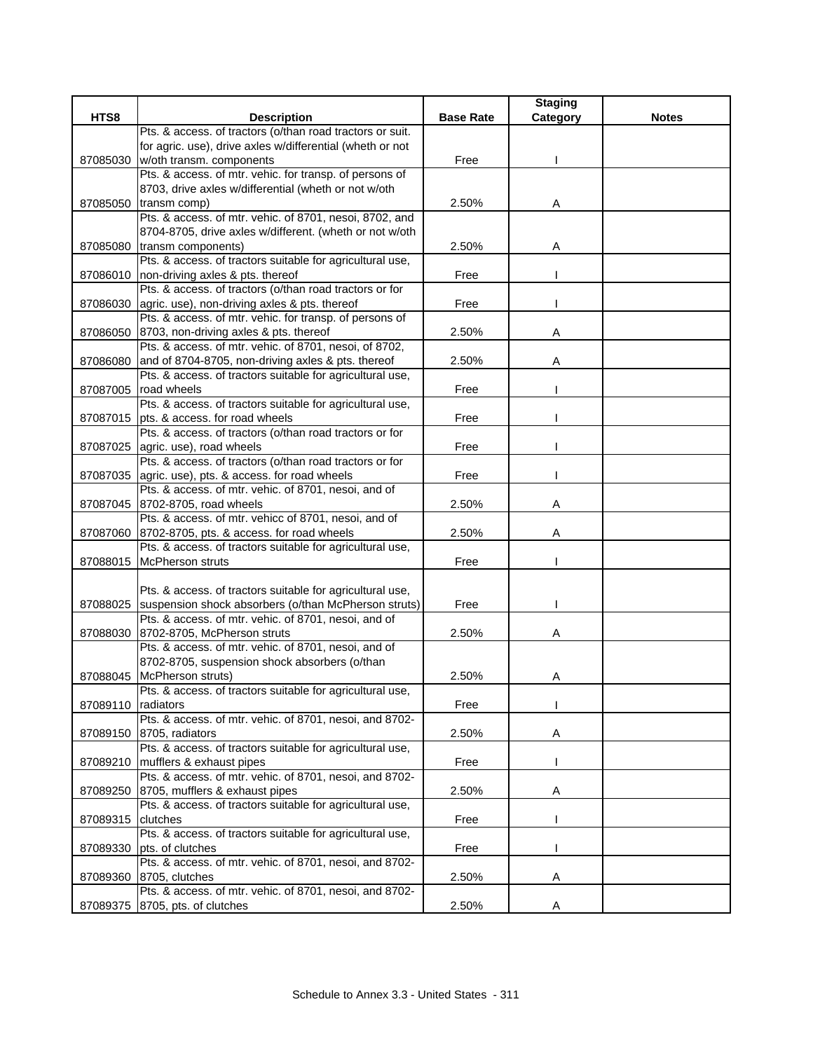|                    |                                                                                         |                  | <b>Staging</b> |              |
|--------------------|-----------------------------------------------------------------------------------------|------------------|----------------|--------------|
| HTS8               | <b>Description</b>                                                                      | <b>Base Rate</b> | Category       | <b>Notes</b> |
|                    | Pts. & access. of tractors (o/than road tractors or suit.                               |                  |                |              |
|                    | for agric. use), drive axles w/differential (wheth or not                               |                  |                |              |
| 87085030           | w/oth transm. components                                                                | Free             |                |              |
|                    | Pts. & access. of mtr. vehic. for transp. of persons of                                 |                  |                |              |
|                    | 8703, drive axles w/differential (wheth or not w/oth                                    |                  |                |              |
| 87085050           | transm comp)                                                                            | 2.50%            | Α              |              |
|                    | Pts. & access. of mtr. vehic. of 8701, nesoi, 8702, and                                 |                  |                |              |
|                    | 8704-8705, drive axles w/different. (wheth or not w/oth                                 |                  |                |              |
| 87085080           | transm components)                                                                      | 2.50%            | Α              |              |
|                    | Pts. & access. of tractors suitable for agricultural use,                               |                  |                |              |
| 87086010           | non-driving axles & pts. thereof                                                        | Free             |                |              |
|                    | Pts. & access. of tractors (o/than road tractors or for                                 |                  |                |              |
| 87086030           | agric. use), non-driving axles & pts. thereof                                           | Free             |                |              |
|                    | Pts. & access. of mtr. vehic. for transp. of persons of                                 |                  |                |              |
|                    | 87086050 8703, non-driving axles & pts. thereof                                         | 2.50%            | Α              |              |
|                    | Pts. & access. of mtr. vehic. of 8701, nesoi, of 8702,                                  |                  |                |              |
| 87086080           | and of 8704-8705, non-driving axles & pts. thereof                                      | 2.50%            | Α              |              |
|                    | Pts. & access. of tractors suitable for agricultural use,                               |                  |                |              |
| 87087005           | road wheels                                                                             | Free             |                |              |
|                    | Pts. & access. of tractors suitable for agricultural use,                               |                  |                |              |
| 87087015           | pts. & access. for road wheels                                                          | Free             |                |              |
|                    | Pts. & access. of tractors (o/than road tractors or for                                 |                  |                |              |
| 87087025           | agric. use), road wheels                                                                | Free             |                |              |
|                    | Pts. & access. of tractors (o/than road tractors or for                                 |                  |                |              |
|                    |                                                                                         |                  |                |              |
|                    | 87087035 agric. use), pts. & access. for road wheels                                    | Free             |                |              |
|                    | Pts. & access. of mtr. vehic. of 8701, nesoi, and of                                    |                  |                |              |
|                    | 87087045 8702-8705, road wheels<br>Pts. & access. of mtr. vehicc of 8701, nesoi, and of | 2.50%            | Α              |              |
|                    |                                                                                         |                  |                |              |
|                    | 87087060 8702-8705, pts. & access. for road wheels                                      | 2.50%            | A              |              |
|                    | Pts. & access. of tractors suitable for agricultural use,                               |                  |                |              |
| 87088015           | <b>McPherson struts</b>                                                                 | Free             |                |              |
|                    |                                                                                         |                  |                |              |
|                    | Pts. & access. of tractors suitable for agricultural use,                               |                  |                |              |
| 87088025           | suspension shock absorbers (o/than McPherson struts)                                    | Free             |                |              |
|                    | Pts. & access. of mtr. vehic. of 8701, nesoi, and of                                    |                  |                |              |
| 87088030           | 8702-8705, McPherson struts                                                             | 2.50%            | Α              |              |
|                    | Pts. & access. of mtr. vehic. of 8701, nesoi, and of                                    |                  |                |              |
|                    | 8702-8705, suspension shock absorbers (o/than                                           |                  |                |              |
| 87088045           | McPherson struts)                                                                       | 2.50%            | Α              |              |
|                    | Pts. & access. of tractors suitable for agricultural use,                               |                  |                |              |
| 87089110 radiators |                                                                                         | Free             |                |              |
|                    | Pts. & access. of mtr. vehic. of 8701, nesoi, and 8702-                                 |                  |                |              |
| 87089150           | 8705, radiators                                                                         | 2.50%            | Α              |              |
|                    | Pts. & access. of tractors suitable for agricultural use,                               |                  |                |              |
|                    | 87089210 mufflers & exhaust pipes                                                       | Free             |                |              |
|                    | Pts. & access. of mtr. vehic. of 8701, nesoi, and 8702-                                 |                  |                |              |
| 87089250           | 8705, mufflers & exhaust pipes                                                          | 2.50%            | A              |              |
|                    | Pts. & access. of tractors suitable for agricultural use,                               |                  |                |              |
| 87089315           | clutches                                                                                | Free             |                |              |
|                    | Pts. & access. of tractors suitable for agricultural use,                               |                  |                |              |
| 87089330           | pts. of clutches                                                                        | Free             |                |              |
|                    | Pts. & access. of mtr. vehic. of 8701, nesoi, and 8702-                                 |                  |                |              |
| 87089360           | 8705, clutches                                                                          | 2.50%            | Α              |              |
|                    | Pts. & access. of mtr. vehic. of 8701, nesoi, and 8702-                                 |                  |                |              |
| 87089375           | 8705, pts. of clutches                                                                  | 2.50%            | A              |              |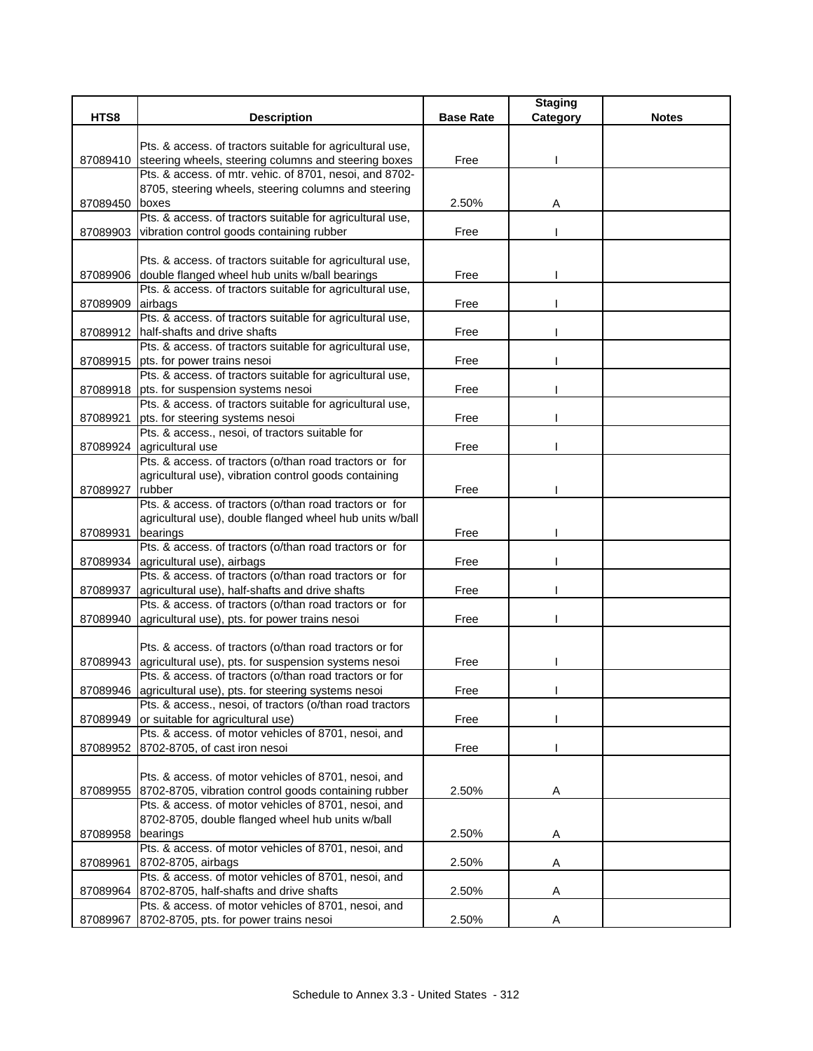|                   |                                                                                                            |                  | <b>Staging</b> |              |
|-------------------|------------------------------------------------------------------------------------------------------------|------------------|----------------|--------------|
| HTS8              | <b>Description</b>                                                                                         | <b>Base Rate</b> | Category       | <b>Notes</b> |
|                   | Pts. & access. of tractors suitable for agricultural use,                                                  |                  |                |              |
| 87089410          | steering wheels, steering columns and steering boxes                                                       | Free             |                |              |
|                   | Pts. & access. of mtr. vehic. of 8701, nesoi, and 8702-                                                    |                  |                |              |
|                   | 8705, steering wheels, steering columns and steering                                                       |                  |                |              |
| 87089450          | boxes                                                                                                      | 2.50%            | Α              |              |
|                   | Pts. & access. of tractors suitable for agricultural use,                                                  |                  |                |              |
| 87089903          | vibration control goods containing rubber                                                                  | Free             |                |              |
|                   |                                                                                                            |                  |                |              |
|                   | Pts. & access. of tractors suitable for agricultural use,                                                  |                  |                |              |
| 87089906          | double flanged wheel hub units w/ball bearings                                                             | Free             |                |              |
|                   | Pts. & access. of tractors suitable for agricultural use,                                                  |                  |                |              |
| 87089909          | airbags                                                                                                    | Free             |                |              |
|                   | Pts. & access. of tractors suitable for agricultural use,                                                  |                  |                |              |
|                   | 87089912 half-shafts and drive shafts                                                                      | Free             |                |              |
|                   | Pts. & access. of tractors suitable for agricultural use,                                                  |                  |                |              |
| 87089915          | pts. for power trains nesoi<br>Pts. & access. of tractors suitable for agricultural use,                   | Free             |                |              |
| 87089918          | pts. for suspension systems nesoi                                                                          | Free             |                |              |
|                   | Pts. & access. of tractors suitable for agricultural use,                                                  |                  |                |              |
| 87089921          | pts. for steering systems nesoi                                                                            | Free             |                |              |
|                   | Pts. & access., nesoi, of tractors suitable for                                                            |                  |                |              |
|                   | 87089924 agricultural use                                                                                  | Free             |                |              |
|                   | Pts. & access. of tractors (o/than road tractors or for                                                    |                  |                |              |
|                   | agricultural use), vibration control goods containing                                                      |                  |                |              |
| 87089927          | rubber                                                                                                     | Free             |                |              |
|                   | Pts. & access. of tractors (o/than road tractors or for                                                    |                  |                |              |
|                   | agricultural use), double flanged wheel hub units w/ball                                                   |                  |                |              |
| 87089931          | bearings                                                                                                   | Free             |                |              |
|                   | Pts. & access. of tractors (o/than road tractors or for                                                    |                  |                |              |
| 87089934          | agricultural use), airbags                                                                                 | Free             |                |              |
|                   | Pts. & access. of tractors (o/than road tractors or for<br>agricultural use), half-shafts and drive shafts | Free             |                |              |
| 87089937          | Pts. & access. of tractors (o/than road tractors or for                                                    |                  |                |              |
| 87089940          | agricultural use), pts. for power trains nesoi                                                             | Free             |                |              |
|                   |                                                                                                            |                  |                |              |
|                   | Pts. & access. of tractors (o/than road tractors or for                                                    |                  |                |              |
|                   | 87089943 agricultural use), pts. for suspension systems nesoi                                              | Free             |                |              |
|                   | Pts. & access. of tractors (o/than road tractors or for                                                    |                  |                |              |
|                   | 87089946 agricultural use), pts. for steering systems nesoi                                                | Free             |                |              |
|                   | Pts. & access., nesoi, of tractors (o/than road tractors                                                   |                  |                |              |
| 87089949          | or suitable for agricultural use)                                                                          | Free             |                |              |
|                   | Pts. & access. of motor vehicles of 8701, nesoi, and                                                       |                  |                |              |
| 87089952          | 8702-8705, of cast iron nesoi                                                                              | Free             |                |              |
|                   |                                                                                                            |                  |                |              |
|                   | Pts. & access. of motor vehicles of 8701, nesoi, and                                                       |                  |                |              |
| 87089955          | 8702-8705, vibration control goods containing rubber                                                       | 2.50%            | A              |              |
|                   | Pts. & access. of motor vehicles of 8701, nesoi, and<br>8702-8705, double flanged wheel hub units w/ball   |                  |                |              |
| 87089958 bearings |                                                                                                            | 2.50%            | A              |              |
|                   | Pts. & access. of motor vehicles of 8701, nesoi, and                                                       |                  |                |              |
| 87089961          | 8702-8705, airbags                                                                                         | 2.50%            | A              |              |
|                   | Pts. & access. of motor vehicles of 8701, nesoi, and                                                       |                  |                |              |
| 87089964          | 8702-8705, half-shafts and drive shafts                                                                    | 2.50%            | Α              |              |
|                   | Pts. & access. of motor vehicles of 8701, nesoi, and                                                       |                  |                |              |
| 87089967          | 8702-8705, pts. for power trains nesoi                                                                     | 2.50%            | Α              |              |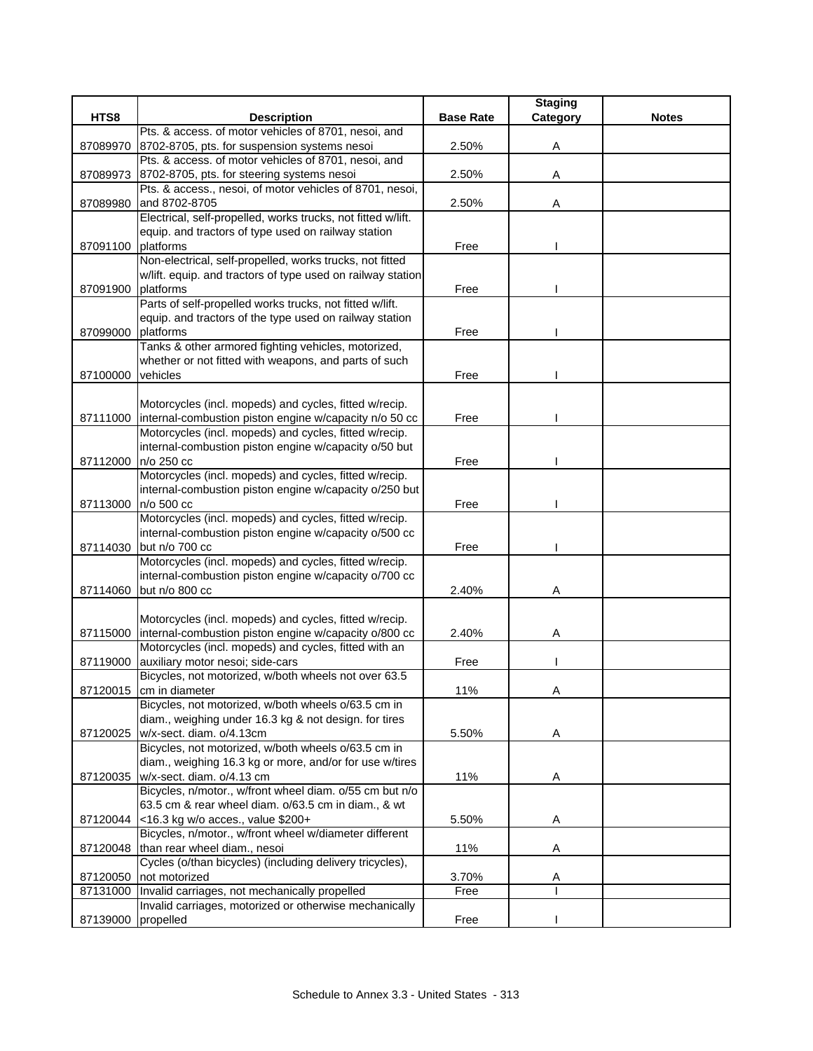|          |                                                              |                  | <b>Staging</b> |              |
|----------|--------------------------------------------------------------|------------------|----------------|--------------|
| HTS8     | <b>Description</b>                                           | <b>Base Rate</b> | Category       | <b>Notes</b> |
|          | Pts. & access. of motor vehicles of 8701, nesoi, and         |                  |                |              |
| 87089970 | 8702-8705, pts. for suspension systems nesoi                 | 2.50%            | Α              |              |
|          | Pts. & access. of motor vehicles of 8701, nesoi, and         |                  |                |              |
| 87089973 | 8702-8705, pts. for steering systems nesoi                   | 2.50%            | Α              |              |
|          | Pts. & access., nesoi, of motor vehicles of 8701, nesoi,     |                  |                |              |
| 87089980 | and 8702-8705                                                | 2.50%            | Α              |              |
|          | Electrical, self-propelled, works trucks, not fitted w/lift. |                  |                |              |
|          | equip. and tractors of type used on railway station          |                  |                |              |
| 87091100 | platforms                                                    | Free             |                |              |
|          | Non-electrical, self-propelled, works trucks, not fitted     |                  |                |              |
|          | w/lift. equip. and tractors of type used on railway station  |                  |                |              |
| 87091900 | platforms                                                    | Free             |                |              |
|          | Parts of self-propelled works trucks, not fitted w/lift.     |                  |                |              |
|          | equip. and tractors of the type used on railway station      |                  |                |              |
| 87099000 | platforms                                                    | Free             |                |              |
|          | Tanks & other armored fighting vehicles, motorized,          |                  |                |              |
|          | whether or not fitted with weapons, and parts of such        |                  |                |              |
| 87100000 | vehicles                                                     | Free             |                |              |
|          |                                                              |                  |                |              |
|          | Motorcycles (incl. mopeds) and cycles, fitted w/recip.       |                  |                |              |
| 87111000 | internal-combustion piston engine w/capacity n/o 50 cc       | Free             |                |              |
|          | Motorcycles (incl. mopeds) and cycles, fitted w/recip.       |                  |                |              |
|          | internal-combustion piston engine w/capacity o/50 but        |                  |                |              |
| 87112000 | n/o 250 cc                                                   | Free             |                |              |
|          | Motorcycles (incl. mopeds) and cycles, fitted w/recip.       |                  |                |              |
|          | internal-combustion piston engine w/capacity o/250 but       |                  |                |              |
| 87113000 | n/o 500 cc                                                   | Free             |                |              |
|          | Motorcycles (incl. mopeds) and cycles, fitted w/recip.       |                  |                |              |
|          | internal-combustion piston engine w/capacity o/500 cc        |                  |                |              |
| 87114030 | but n/o 700 cc                                               | Free             |                |              |
|          | Motorcycles (incl. mopeds) and cycles, fitted w/recip.       |                  |                |              |
|          | internal-combustion piston engine w/capacity o/700 cc        |                  |                |              |
| 87114060 | but n/o 800 cc                                               | 2.40%            | Α              |              |
|          |                                                              |                  |                |              |
|          | Motorcycles (incl. mopeds) and cycles, fitted w/recip.       |                  |                |              |
| 87115000 | internal-combustion piston engine w/capacity o/800 cc        | 2.40%            | Α              |              |
|          | Motorcycles (incl. mopeds) and cycles, fitted with an        |                  |                |              |
| 87119000 | auxiliary motor nesoi; side-cars                             | Free             |                |              |
|          | Bicycles, not motorized, w/both wheels not over 63.5         |                  |                |              |
| 87120015 | cm in diameter                                               | 11%              | Α              |              |
|          | Bicycles, not motorized, w/both wheels o/63.5 cm in          |                  |                |              |
|          | diam., weighing under 16.3 kg & not design. for tires        |                  |                |              |
| 87120025 | w/x-sect. diam. o/4.13cm                                     | 5.50%            | Α              |              |
|          | Bicycles, not motorized, w/both wheels o/63.5 cm in          |                  |                |              |
|          | diam., weighing 16.3 kg or more, and/or for use w/tires      |                  |                |              |
|          | 87120035 w/x-sect. diam. o/4.13 cm                           | 11%              | Α              |              |
|          | Bicycles, n/motor., w/front wheel diam. o/55 cm but n/o      |                  |                |              |
|          | 63.5 cm & rear wheel diam. o/63.5 cm in diam., & wt          |                  |                |              |
|          | 87120044 <16.3 kg w/o acces., value \$200+                   | 5.50%            | Α              |              |
|          | Bicycles, n/motor., w/front wheel w/diameter different       |                  |                |              |
|          | 87120048 than rear wheel diam., nesoi                        | 11%              | Α              |              |
|          | Cycles (o/than bicycles) (including delivery tricycles),     |                  |                |              |
| 87120050 | not motorized                                                | 3.70%            | A              |              |
|          | 87131000 Invalid carriages, not mechanically propelled       | Free             |                |              |
|          | Invalid carriages, motorized or otherwise mechanically       |                  |                |              |
| 87139000 | propelled                                                    | Free             |                |              |
|          |                                                              |                  |                |              |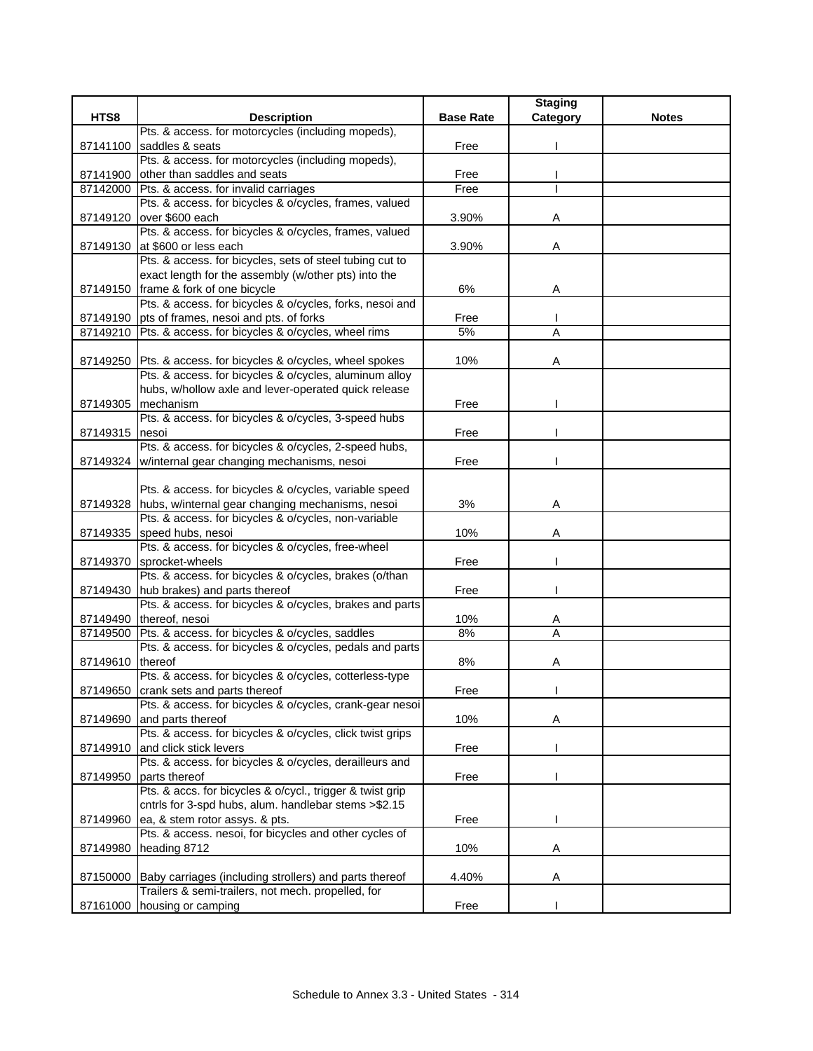|                  |                                                                                                   |                  | <b>Staging</b> |              |
|------------------|---------------------------------------------------------------------------------------------------|------------------|----------------|--------------|
| HTS8             | <b>Description</b>                                                                                | <b>Base Rate</b> | Category       | <b>Notes</b> |
|                  | Pts. & access. for motorcycles (including mopeds),                                                |                  |                |              |
| 87141100         | saddles & seats                                                                                   | Free             |                |              |
|                  | Pts. & access. for motorcycles (including mopeds),                                                |                  |                |              |
|                  | 87141900 other than saddles and seats                                                             | Free             |                |              |
| 87142000         | Pts. & access. for invalid carriages                                                              | Free             |                |              |
|                  | Pts. & access. for bicycles & o/cycles, frames, valued<br>over \$600 each                         | 3.90%            |                |              |
| 87149120         | Pts. & access. for bicycles & o/cycles, frames, valued                                            |                  | Α              |              |
|                  | 87149130 at \$600 or less each                                                                    | 3.90%            | A              |              |
|                  | Pts. & access. for bicycles, sets of steel tubing cut to                                          |                  |                |              |
|                  | exact length for the assembly (w/other pts) into the                                              |                  |                |              |
|                  | 87149150 frame & fork of one bicycle                                                              | 6%               | Α              |              |
|                  | Pts. & access. for bicycles & o/cycles, forks, nesoi and                                          |                  |                |              |
|                  | 87149190 pts of frames, nesoi and pts. of forks                                                   | Free             |                |              |
| 87149210         | Pts. & access. for bicycles & o/cycles, wheel rims                                                | 5%               | A              |              |
|                  |                                                                                                   |                  |                |              |
|                  | 87149250 Pts. & access. for bicycles & o/cycles, wheel spokes                                     | 10%              | Α              |              |
|                  | Pts. & access. for bicycles & o/cycles, aluminum alloy                                            |                  |                |              |
|                  | hubs, w/hollow axle and lever-operated quick release                                              |                  |                |              |
| 87149305         | mechanism                                                                                         | Free             |                |              |
|                  | Pts. & access. for bicycles & o/cycles, 3-speed hubs                                              |                  |                |              |
| 87149315         | nesoi                                                                                             | Free             |                |              |
|                  | Pts. & access. for bicycles & o/cycles, 2-speed hubs,                                             |                  |                |              |
|                  | 87149324   w/internal gear changing mechanisms, nesoi                                             | Free             |                |              |
|                  |                                                                                                   |                  |                |              |
|                  | Pts. & access. for bicycles & o/cycles, variable speed                                            |                  |                |              |
|                  | 87149328 hubs, w/internal gear changing mechanisms, nesoi                                         | 3%               | Α              |              |
|                  | Pts. & access. for bicycles & o/cycles, non-variable                                              |                  |                |              |
|                  | 87149335 speed hubs, nesoi                                                                        | 10%              | A              |              |
|                  | Pts. & access. for bicycles & o/cycles, free-wheel                                                |                  |                |              |
|                  | 87149370 sprocket-wheels                                                                          | Free             |                |              |
|                  | Pts. & access. for bicycles & o/cycles, brakes (o/than                                            |                  |                |              |
|                  | 87149430 hub brakes) and parts thereof                                                            | Free             |                |              |
|                  | Pts. & access. for bicycles & o/cycles, brakes and parts                                          |                  |                |              |
|                  | 87149490 thereof, nesoi                                                                           | 10%              | A              |              |
| 87149500         | Pts. & access. for bicycles & o/cycles, saddles                                                   | 8%               | A              |              |
|                  | Pts. & access. for bicycles & o/cycles, pedals and parts                                          |                  |                |              |
| 87149610 thereof |                                                                                                   | 8%               | A              |              |
|                  | Pts. & access. for bicycles & o/cycles, cotterless-type                                           |                  |                |              |
|                  | 87149650 crank sets and parts thereof<br>Pts. & access. for bicycles & o/cycles, crank-gear nesoi | Free             |                |              |
| 87149690         | and parts thereof                                                                                 | 10%              | Α              |              |
|                  | Pts. & access. for bicycles & o/cycles, click twist grips                                         |                  |                |              |
| 87149910         | and click stick levers                                                                            | Free             |                |              |
|                  | Pts. & access. for bicycles & o/cycles, derailleurs and                                           |                  |                |              |
| 87149950         | parts thereof                                                                                     | Free             |                |              |
|                  | Pts. & accs. for bicycles & o/cycl., trigger & twist grip                                         |                  |                |              |
|                  | cntrls for 3-spd hubs, alum. handlebar stems >\$2.15                                              |                  |                |              |
| 87149960         | ea, & stem rotor assys. & pts.                                                                    | Free             |                |              |
|                  | Pts. & access. nesoi, for bicycles and other cycles of                                            |                  |                |              |
| 87149980         | heading 8712                                                                                      | 10%              | Α              |              |
|                  |                                                                                                   |                  |                |              |
|                  | 87150000 Baby carriages (including strollers) and parts thereof                                   | 4.40%            | A              |              |
|                  | Trailers & semi-trailers, not mech. propelled, for                                                |                  |                |              |
|                  | 87161000 housing or camping                                                                       | Free             |                |              |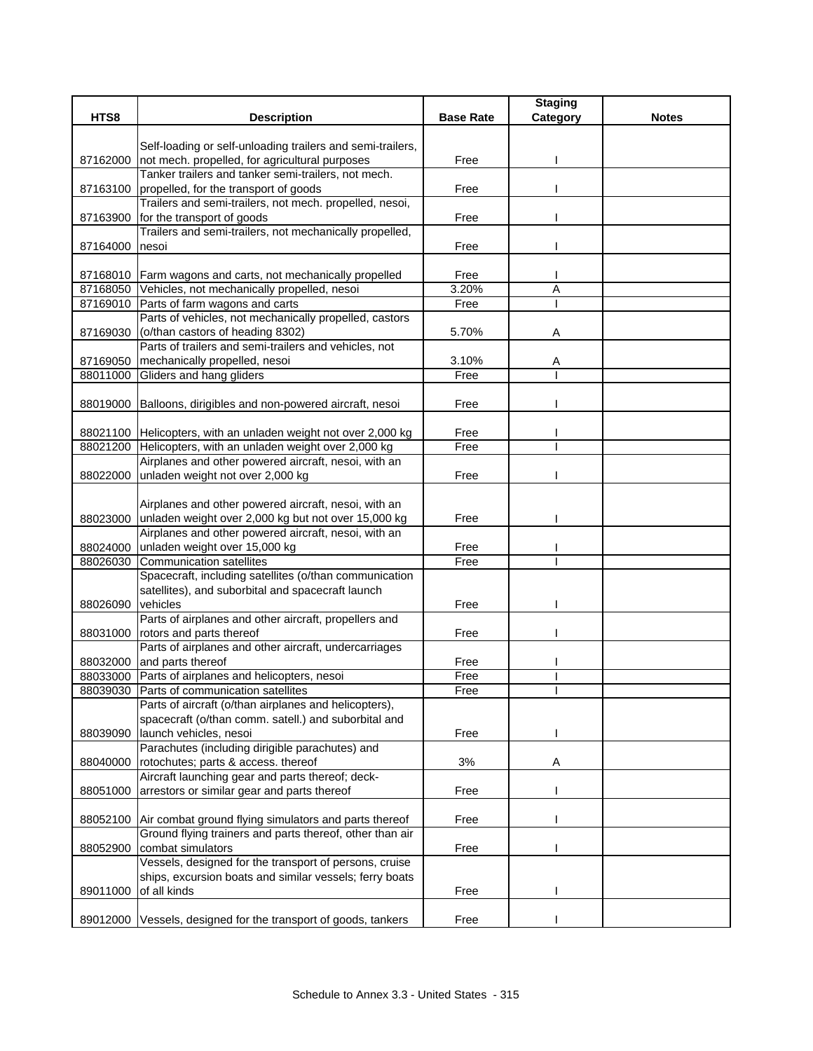| HTS8                 | <b>Description</b>                                                                                | <b>Base Rate</b> | <b>Staging</b><br>Category | <b>Notes</b> |
|----------------------|---------------------------------------------------------------------------------------------------|------------------|----------------------------|--------------|
|                      |                                                                                                   |                  |                            |              |
|                      | Self-loading or self-unloading trailers and semi-trailers,                                        |                  |                            |              |
| 87162000             | not mech. propelled, for agricultural purposes                                                    | Free             |                            |              |
|                      | Tanker trailers and tanker semi-trailers, not mech.                                               |                  |                            |              |
| 87163100             | propelled, for the transport of goods                                                             | Free             |                            |              |
|                      | Trailers and semi-trailers, not mech. propelled, nesoi,                                           |                  |                            |              |
| 87163900             | for the transport of goods                                                                        | Free             |                            |              |
|                      | Trailers and semi-trailers, not mechanically propelled,                                           |                  |                            |              |
| 87164000             | nesoi                                                                                             | Free             |                            |              |
|                      |                                                                                                   |                  |                            |              |
|                      | 87168010 Farm wagons and carts, not mechanically propelled                                        | Free             |                            |              |
|                      | 87168050 Vehicles, not mechanically propelled, nesoi                                              | 3.20%            | Α                          |              |
|                      | 87169010 Parts of farm wagons and carts<br>Parts of vehicles, not mechanically propelled, castors | Free             |                            |              |
| 87169030             | (o/than castors of heading 8302)                                                                  | 5.70%            | Α                          |              |
|                      | Parts of trailers and semi-trailers and vehicles, not                                             |                  |                            |              |
|                      | 87169050 mechanically propelled, nesoi                                                            | 3.10%            | Α                          |              |
| 88011000             | Gliders and hang gliders                                                                          | Free             |                            |              |
|                      |                                                                                                   |                  |                            |              |
|                      | 88019000 Balloons, dirigibles and non-powered aircraft, nesoi                                     | Free             |                            |              |
|                      |                                                                                                   |                  |                            |              |
|                      | 88021100 Helicopters, with an unladen weight not over 2,000 kg                                    | Free             |                            |              |
|                      | 88021200 Helicopters, with an unladen weight over 2,000 kg                                        | Free             |                            |              |
|                      | Airplanes and other powered aircraft, nesoi, with an                                              |                  |                            |              |
| 88022000             | unladen weight not over 2,000 kg                                                                  | Free             |                            |              |
|                      |                                                                                                   |                  |                            |              |
|                      | Airplanes and other powered aircraft, nesoi, with an                                              |                  |                            |              |
| 88023000             | unladen weight over 2,000 kg but not over 15,000 kg                                               | Free             |                            |              |
|                      | Airplanes and other powered aircraft, nesoi, with an                                              |                  |                            |              |
| 88024000<br>88026030 | unladen weight over 15,000 kg<br><b>Communication satellites</b>                                  | Free<br>Free     |                            |              |
|                      | Spacecraft, including satellites (o/than communication                                            |                  |                            |              |
|                      | satellites), and suborbital and spacecraft launch                                                 |                  |                            |              |
| 88026090             | vehicles                                                                                          | Free             |                            |              |
|                      | Parts of airplanes and other aircraft, propellers and                                             |                  |                            |              |
| 88031000             | rotors and parts thereof                                                                          | Free             |                            |              |
|                      | Parts of airplanes and other aircraft, undercarriages                                             |                  |                            |              |
| 88032000             | and parts thereof                                                                                 | Free             |                            |              |
|                      | 88033000 Parts of airplanes and helicopters, nesoi                                                | Free             |                            |              |
|                      | 88039030 Parts of communication satellites                                                        | Free             |                            |              |
|                      | Parts of aircraft (o/than airplanes and helicopters),                                             |                  |                            |              |
|                      | spacecraft (o/than comm. satell.) and suborbital and                                              |                  |                            |              |
| 88039090             | launch vehicles, nesoi                                                                            | Free             |                            |              |
|                      | Parachutes (including dirigible parachutes) and                                                   |                  |                            |              |
| 88040000             | rotochutes; parts & access. thereof                                                               | 3%               | Α                          |              |
|                      | Aircraft launching gear and parts thereof; deck-                                                  |                  |                            |              |
| 88051000             | arrestors or similar gear and parts thereof                                                       | Free             |                            |              |
| 88052100             | Air combat ground flying simulators and parts thereof                                             | Free             |                            |              |
|                      | Ground flying trainers and parts thereof, other than air                                          |                  |                            |              |
| 88052900             | combat simulators                                                                                 | Free             |                            |              |
|                      | Vessels, designed for the transport of persons, cruise                                            |                  |                            |              |
|                      | ships, excursion boats and similar vessels; ferry boats                                           |                  |                            |              |
| 89011000             | of all kinds                                                                                      | Free             |                            |              |
|                      |                                                                                                   |                  |                            |              |
| 89012000             | Vessels, designed for the transport of goods, tankers                                             | Free             |                            |              |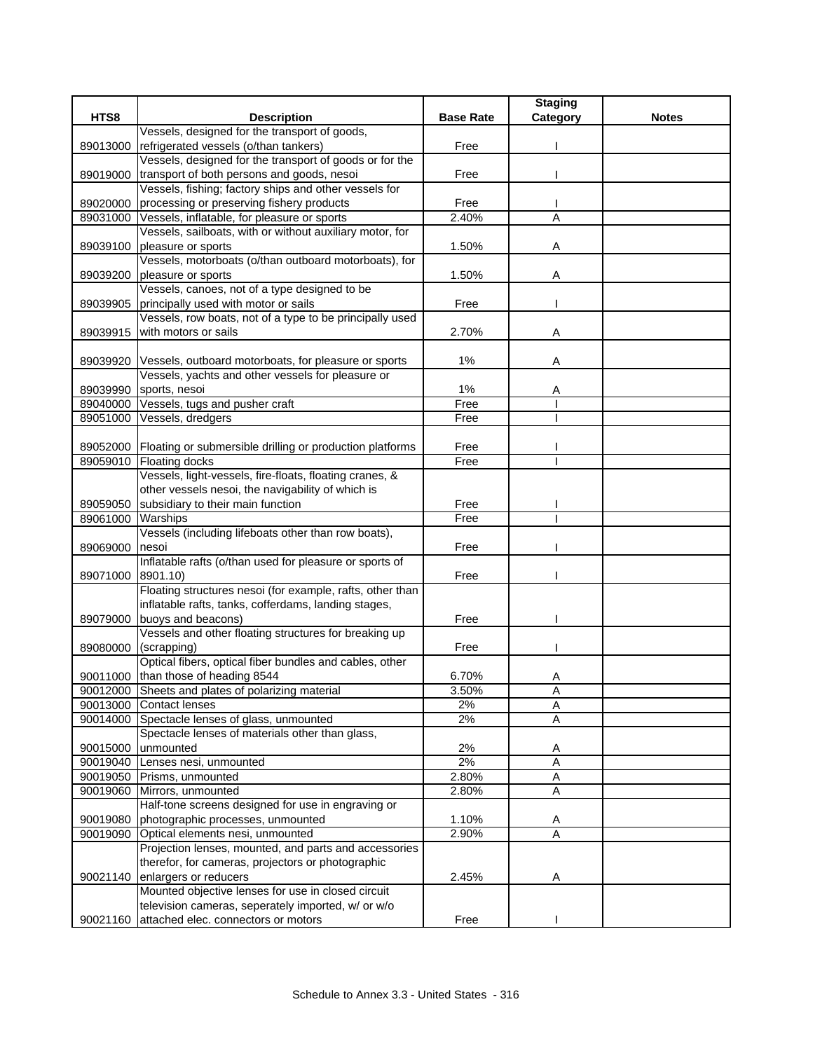|                      |                                                                                          |                  | <b>Staging</b>      |              |
|----------------------|------------------------------------------------------------------------------------------|------------------|---------------------|--------------|
| HTS8                 | <b>Description</b>                                                                       | <b>Base Rate</b> | Category            | <b>Notes</b> |
|                      | Vessels, designed for the transport of goods,                                            |                  |                     |              |
| 89013000             | refrigerated vessels (o/than tankers)                                                    | Free             |                     |              |
|                      | Vessels, designed for the transport of goods or for the                                  |                  |                     |              |
| 89019000             | transport of both persons and goods, nesoi                                               | Free             |                     |              |
|                      | Vessels, fishing; factory ships and other vessels for                                    |                  |                     |              |
| 89020000<br>89031000 | processing or preserving fishery products<br>Vessels, inflatable, for pleasure or sports | Free<br>2.40%    | A                   |              |
|                      | Vessels, sailboats, with or without auxiliary motor, for                                 |                  |                     |              |
| 89039100             | pleasure or sports                                                                       | 1.50%            | Α                   |              |
|                      | Vessels, motorboats (o/than outboard motorboats), for                                    |                  |                     |              |
| 89039200             | pleasure or sports                                                                       | 1.50%            | Α                   |              |
|                      | Vessels, canoes, not of a type designed to be                                            |                  |                     |              |
| 89039905             | principally used with motor or sails                                                     | Free             |                     |              |
|                      | Vessels, row boats, not of a type to be principally used                                 |                  |                     |              |
| 89039915             | with motors or sails                                                                     | 2.70%            | Α                   |              |
|                      |                                                                                          |                  |                     |              |
| 89039920             | Vessels, outboard motorboats, for pleasure or sports                                     | $1\%$            | Α                   |              |
|                      | Vessels, yachts and other vessels for pleasure or                                        |                  |                     |              |
| 89039990             | sports, nesoi                                                                            | 1%               | Α                   |              |
| 89040000             | Vessels, tugs and pusher craft                                                           | Free             |                     |              |
| 89051000             | Vessels, dredgers                                                                        | Free             |                     |              |
|                      |                                                                                          |                  |                     |              |
|                      | 89052000 Floating or submersible drilling or production platforms                        | Free             |                     |              |
|                      | 89059010 Floating docks                                                                  | Free             |                     |              |
|                      | Vessels, light-vessels, fire-floats, floating cranes, &                                  |                  |                     |              |
|                      | other vessels nesoi, the navigability of which is                                        |                  |                     |              |
| 89059050             | subsidiary to their main function<br>Warships                                            | Free<br>Free     |                     |              |
| 89061000             | Vessels (including lifeboats other than row boats),                                      |                  |                     |              |
| 89069000             | nesoi                                                                                    | Free             |                     |              |
|                      | Inflatable rafts (o/than used for pleasure or sports of                                  |                  |                     |              |
| 89071000             | 8901.10)                                                                                 | Free             |                     |              |
|                      | Floating structures nesoi (for example, rafts, other than                                |                  |                     |              |
|                      | inflatable rafts, tanks, cofferdams, landing stages,                                     |                  |                     |              |
| 89079000             | buoys and beacons)                                                                       | Free             |                     |              |
|                      | Vessels and other floating structures for breaking up                                    |                  |                     |              |
| 89080000             | (scrapping)                                                                              | Free             |                     |              |
|                      | Optical fibers, optical fiber bundles and cables, other                                  |                  |                     |              |
|                      | 90011000 than those of heading 8544                                                      | 6.70%            | Α                   |              |
|                      | 90012000 Sheets and plates of polarizing material                                        | 3.50%            | A                   |              |
|                      | 90013000 Contact lenses                                                                  | 2%               | $\overline{A}$      |              |
|                      | 90014000 Spectacle lenses of glass, unmounted                                            | 2%               | Α                   |              |
|                      | Spectacle lenses of materials other than glass,                                          |                  |                     |              |
| 90015000             | unmounted                                                                                | 2%               | A<br>$\overline{A}$ |              |
| 90019050             | 90019040 Lenses nesi, unmounted<br>Prisms, unmounted                                     | 2%<br>2.80%      | $\overline{A}$      |              |
| 90019060             | Mirrors, unmounted                                                                       | 2.80%            | Α                   |              |
|                      | Half-tone screens designed for use in engraving or                                       |                  |                     |              |
| 90019080             | photographic processes, unmounted                                                        | 1.10%            | Α                   |              |
| 90019090             | Optical elements nesi, unmounted                                                         | 2.90%            | $\overline{A}$      |              |
|                      | Projection lenses, mounted, and parts and accessories                                    |                  |                     |              |
|                      | therefor, for cameras, projectors or photographic                                        |                  |                     |              |
| 90021140             | enlargers or reducers                                                                    | 2.45%            | Α                   |              |
|                      | Mounted objective lenses for use in closed circuit                                       |                  |                     |              |
|                      | television cameras, seperately imported, w/ or w/o                                       |                  |                     |              |
| 90021160             | attached elec. connectors or motors                                                      | Free             |                     |              |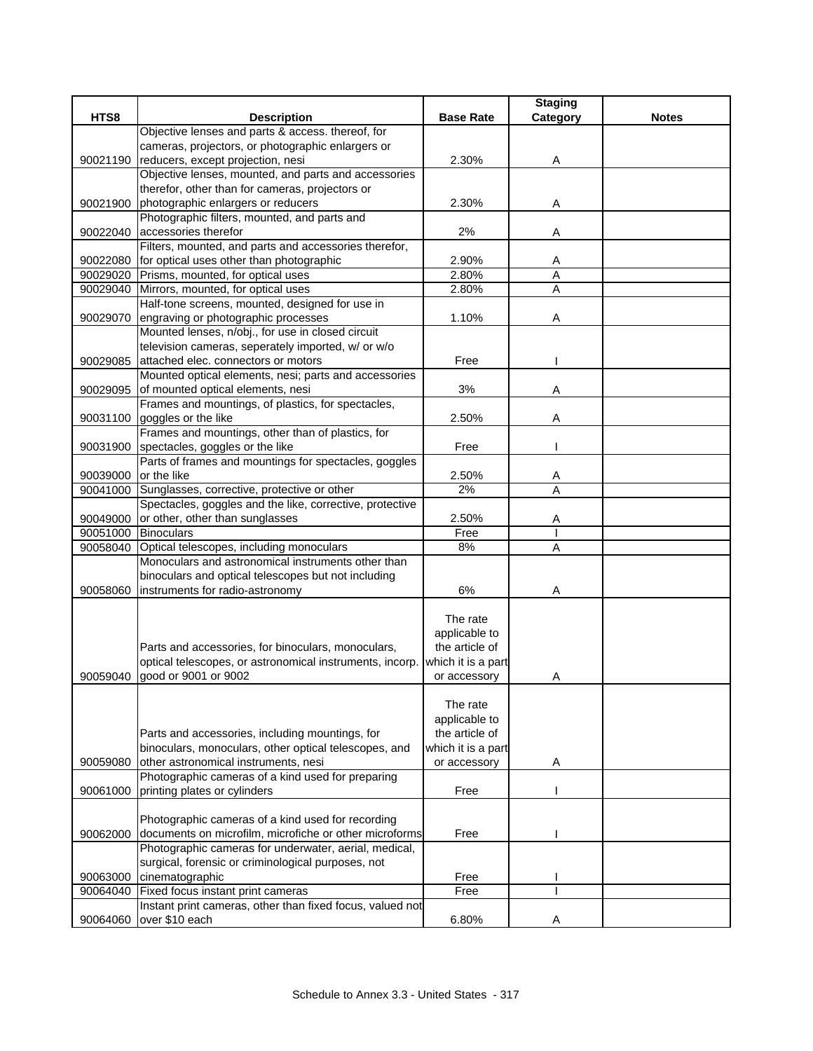|                      |                                                                                                         |                                 | <b>Staging</b> |              |
|----------------------|---------------------------------------------------------------------------------------------------------|---------------------------------|----------------|--------------|
| HTS8                 | <b>Description</b>                                                                                      | <b>Base Rate</b>                | Category       | <b>Notes</b> |
|                      | Objective lenses and parts & access. thereof, for                                                       |                                 |                |              |
|                      | cameras, projectors, or photographic enlargers or                                                       |                                 |                |              |
| 90021190             | reducers, except projection, nesi                                                                       | 2.30%                           | Α              |              |
|                      | Objective lenses, mounted, and parts and accessories<br>therefor, other than for cameras, projectors or |                                 |                |              |
|                      | 90021900 photographic enlargers or reducers                                                             | 2.30%                           | Α              |              |
|                      | Photographic filters, mounted, and parts and                                                            |                                 |                |              |
|                      | 90022040 accessories therefor                                                                           | 2%                              | Α              |              |
|                      | Filters, mounted, and parts and accessories therefor,                                                   |                                 |                |              |
|                      | 90022080 for optical uses other than photographic                                                       | 2.90%                           | Α              |              |
|                      | 90029020 Prisms, mounted, for optical uses                                                              | 2.80%                           | A              |              |
| 90029040             | Mirrors, mounted, for optical uses                                                                      | 2.80%                           | Α              |              |
|                      | Half-tone screens, mounted, designed for use in                                                         |                                 |                |              |
|                      | 90029070 engraving or photographic processes                                                            | 1.10%                           | Α              |              |
|                      | Mounted lenses, n/obj., for use in closed circuit                                                       |                                 |                |              |
|                      | television cameras, seperately imported, w/ or w/o                                                      |                                 |                |              |
|                      | 90029085 attached elec. connectors or motors                                                            | Free                            |                |              |
|                      | Mounted optical elements, nesi; parts and accessories                                                   |                                 |                |              |
|                      | 90029095 of mounted optical elements, nesi                                                              | 3%                              | A              |              |
|                      | Frames and mountings, of plastics, for spectacles,                                                      |                                 |                |              |
|                      | 90031100 goggles or the like                                                                            | 2.50%                           | A              |              |
|                      | Frames and mountings, other than of plastics, for                                                       |                                 |                |              |
|                      | 90031900 spectacles, goggles or the like                                                                | Free                            |                |              |
|                      | Parts of frames and mountings for spectacles, goggles                                                   |                                 |                |              |
| 90039000 or the like |                                                                                                         | 2.50%                           | A              |              |
| 90041000             | Sunglasses, corrective, protective or other                                                             | 2%                              | A              |              |
|                      | Spectacles, goggles and the like, corrective, protective                                                |                                 |                |              |
| 90049000             | or other, other than sunglasses                                                                         | 2.50%                           | Α              |              |
| 90051000 Binoculars  |                                                                                                         | Free                            |                |              |
| 90058040             | Optical telescopes, including monoculars                                                                | 8%                              | A              |              |
|                      | Monoculars and astronomical instruments other than                                                      |                                 |                |              |
|                      | binoculars and optical telescopes but not including                                                     |                                 |                |              |
| 90058060             | instruments for radio-astronomy                                                                         | 6%                              | Α              |              |
|                      |                                                                                                         | The rate                        |                |              |
|                      |                                                                                                         |                                 |                |              |
|                      | Parts and accessories, for binoculars, monoculars,                                                      | applicable to<br>the article of |                |              |
|                      | optical telescopes, or astronomical instruments, incorp.                                                | which it is a part              |                |              |
| 90059040             | good or 9001 or 9002                                                                                    | or accessory                    | Α              |              |
|                      |                                                                                                         |                                 |                |              |
|                      |                                                                                                         | The rate                        |                |              |
|                      |                                                                                                         | applicable to                   |                |              |
|                      | Parts and accessories, including mountings, for                                                         | the article of                  |                |              |
|                      | binoculars, monoculars, other optical telescopes, and                                                   | which it is a part              |                |              |
| 90059080             | other astronomical instruments, nesi                                                                    | or accessory                    | Α              |              |
|                      | Photographic cameras of a kind used for preparing                                                       |                                 |                |              |
| 90061000             | printing plates or cylinders                                                                            | Free                            |                |              |
|                      |                                                                                                         |                                 |                |              |
|                      | Photographic cameras of a kind used for recording                                                       |                                 |                |              |
| 90062000             | documents on microfilm, microfiche or other microforms                                                  | Free                            |                |              |
|                      | Photographic cameras for underwater, aerial, medical,                                                   |                                 |                |              |
|                      | surgical, forensic or criminological purposes, not                                                      |                                 |                |              |
| 90063000             | cinematographic                                                                                         | Free                            |                |              |
| 90064040             | Fixed focus instant print cameras                                                                       | Free                            |                |              |
|                      | Instant print cameras, other than fixed focus, valued not                                               |                                 |                |              |
| 90064060             | over \$10 each                                                                                          | 6.80%                           | Α              |              |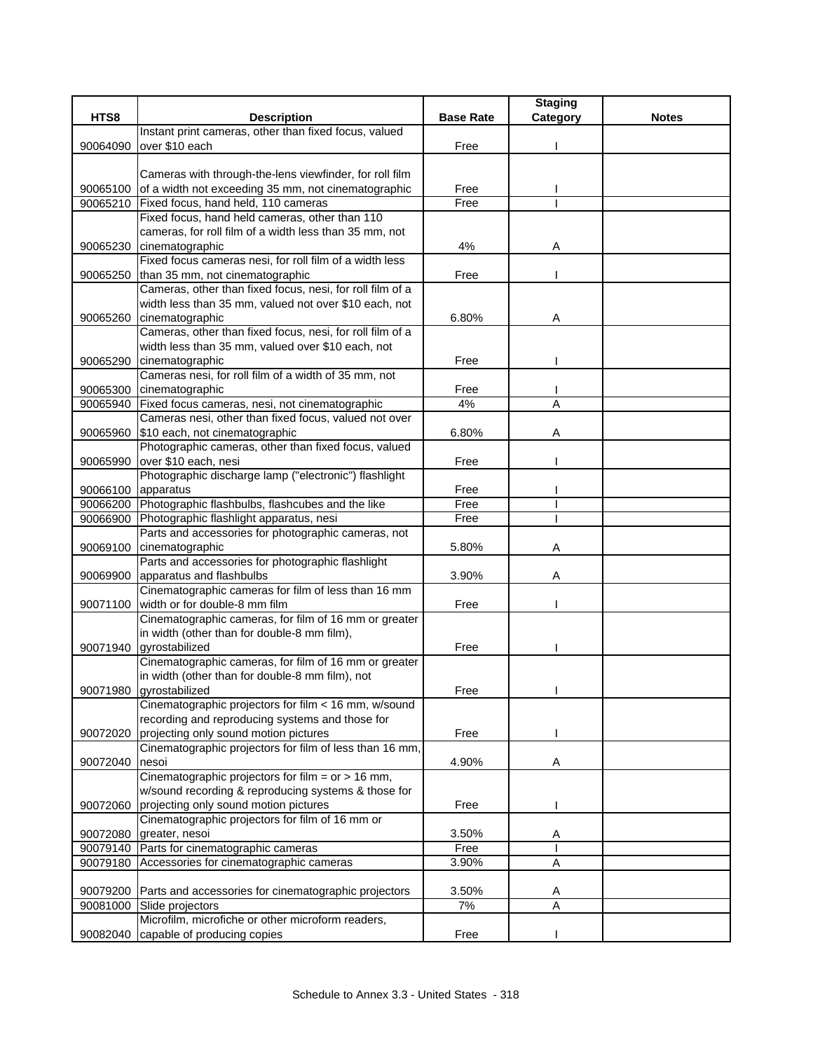| HTS8<br><b>Description</b><br><b>Base Rate</b><br><b>Notes</b><br>Category<br>Instant print cameras, other than fixed focus, valued<br>over \$10 each<br>90064090<br>Free<br>Cameras with through-the-lens viewfinder, for roll film<br>90065100<br>of a width not exceeding 35 mm, not cinematographic<br>Free<br>90065210<br>Fixed focus, hand held, 110 cameras<br>Free<br>Fixed focus, hand held cameras, other than 110<br>cameras, for roll film of a width less than 35 mm, not<br>cinematographic<br>4%<br>90065230<br>Α<br>Fixed focus cameras nesi, for roll film of a width less<br>90065250<br>than 35 mm, not cinematographic<br>Free<br>Cameras, other than fixed focus, nesi, for roll film of a<br>width less than 35 mm, valued not over \$10 each, not<br>cinematographic<br>90065260<br>6.80%<br>Α<br>Cameras, other than fixed focus, nesi, for roll film of a<br>width less than 35 mm, valued over \$10 each, not<br>cinematographic<br>Free<br>90065290<br>Cameras nesi, for roll film of a width of 35 mm, not<br>cinematographic<br>90065300<br>Free<br>A<br>Fixed focus cameras, nesi, not cinematographic<br>4%<br>90065940<br>Cameras nesi, other than fixed focus, valued not over<br>\$10 each, not cinematographic<br>6.80%<br>90065960<br>Α<br>Photographic cameras, other than fixed focus, valued<br>over \$10 each, nesi<br>Free<br>90065990<br>Photographic discharge lamp ("electronic") flashlight<br>90066100<br>apparatus<br>Free<br>Photographic flashbulbs, flashcubes and the like<br>90066200<br>Free<br>Photographic flashlight apparatus, nesi<br>Free<br>90066900<br>Parts and accessories for photographic cameras, not<br>90069100<br>cinematographic<br>5.80%<br>Α<br>Parts and accessories for photographic flashlight<br>apparatus and flashbulbs<br>3.90%<br>90069900<br>Α<br>Cinematographic cameras for film of less than 16 mm<br>width or for double-8 mm film<br>Free<br>90071100<br>Cinematographic cameras, for film of 16 mm or greater<br>in width (other than for double-8 mm film),<br>90071940 gyrostabilized<br>Free<br>Cinematographic cameras, for film of 16 mm or greater<br>in width (other than for double-8 mm film), not<br>90071980 gyrostabilized<br>Free<br>Cinematographic projectors for film < 16 mm, w/sound<br>recording and reproducing systems and those for<br>projecting only sound motion pictures<br>Free<br>90072020<br>Cinematographic projectors for film of less than 16 mm,<br>90072040<br>4.90%<br>nesoi<br>Α<br>Cinematographic projectors for film = $or$ > 16 mm,<br>w/sound recording & reproducing systems & those for<br>projecting only sound motion pictures<br>Free<br>90072060<br>Cinematographic projectors for film of 16 mm or<br>3.50%<br>90072080<br>greater, nesoi<br>A<br>Parts for cinematographic cameras<br>90079140<br>Free<br>Accessories for cinematographic cameras<br>3.90%<br>90079180<br>Α<br>90079200 Parts and accessories for cinematographic projectors<br>3.50%<br>Α<br>A<br>90081000<br>Slide projectors<br>7%<br>Microfilm, microfiche or other microform readers, |          |                             |      | <b>Staging</b> |  |
|----------------------------------------------------------------------------------------------------------------------------------------------------------------------------------------------------------------------------------------------------------------------------------------------------------------------------------------------------------------------------------------------------------------------------------------------------------------------------------------------------------------------------------------------------------------------------------------------------------------------------------------------------------------------------------------------------------------------------------------------------------------------------------------------------------------------------------------------------------------------------------------------------------------------------------------------------------------------------------------------------------------------------------------------------------------------------------------------------------------------------------------------------------------------------------------------------------------------------------------------------------------------------------------------------------------------------------------------------------------------------------------------------------------------------------------------------------------------------------------------------------------------------------------------------------------------------------------------------------------------------------------------------------------------------------------------------------------------------------------------------------------------------------------------------------------------------------------------------------------------------------------------------------------------------------------------------------------------------------------------------------------------------------------------------------------------------------------------------------------------------------------------------------------------------------------------------------------------------------------------------------------------------------------------------------------------------------------------------------------------------------------------------------------------------------------------------------------------------------------------------------------------------------------------------------------------------------------------------------------------------------------------------------------------------------------------------------------------------------------------------------------------------------------------------------------------------------------------------------------------------------------------------------------------------------------------------------------------------------------------------------------------------------------------------------------------------------------------------|----------|-----------------------------|------|----------------|--|
|                                                                                                                                                                                                                                                                                                                                                                                                                                                                                                                                                                                                                                                                                                                                                                                                                                                                                                                                                                                                                                                                                                                                                                                                                                                                                                                                                                                                                                                                                                                                                                                                                                                                                                                                                                                                                                                                                                                                                                                                                                                                                                                                                                                                                                                                                                                                                                                                                                                                                                                                                                                                                                                                                                                                                                                                                                                                                                                                                                                                                                                                                                    |          |                             |      |                |  |
|                                                                                                                                                                                                                                                                                                                                                                                                                                                                                                                                                                                                                                                                                                                                                                                                                                                                                                                                                                                                                                                                                                                                                                                                                                                                                                                                                                                                                                                                                                                                                                                                                                                                                                                                                                                                                                                                                                                                                                                                                                                                                                                                                                                                                                                                                                                                                                                                                                                                                                                                                                                                                                                                                                                                                                                                                                                                                                                                                                                                                                                                                                    |          |                             |      |                |  |
|                                                                                                                                                                                                                                                                                                                                                                                                                                                                                                                                                                                                                                                                                                                                                                                                                                                                                                                                                                                                                                                                                                                                                                                                                                                                                                                                                                                                                                                                                                                                                                                                                                                                                                                                                                                                                                                                                                                                                                                                                                                                                                                                                                                                                                                                                                                                                                                                                                                                                                                                                                                                                                                                                                                                                                                                                                                                                                                                                                                                                                                                                                    |          |                             |      |                |  |
|                                                                                                                                                                                                                                                                                                                                                                                                                                                                                                                                                                                                                                                                                                                                                                                                                                                                                                                                                                                                                                                                                                                                                                                                                                                                                                                                                                                                                                                                                                                                                                                                                                                                                                                                                                                                                                                                                                                                                                                                                                                                                                                                                                                                                                                                                                                                                                                                                                                                                                                                                                                                                                                                                                                                                                                                                                                                                                                                                                                                                                                                                                    |          |                             |      |                |  |
|                                                                                                                                                                                                                                                                                                                                                                                                                                                                                                                                                                                                                                                                                                                                                                                                                                                                                                                                                                                                                                                                                                                                                                                                                                                                                                                                                                                                                                                                                                                                                                                                                                                                                                                                                                                                                                                                                                                                                                                                                                                                                                                                                                                                                                                                                                                                                                                                                                                                                                                                                                                                                                                                                                                                                                                                                                                                                                                                                                                                                                                                                                    |          |                             |      |                |  |
|                                                                                                                                                                                                                                                                                                                                                                                                                                                                                                                                                                                                                                                                                                                                                                                                                                                                                                                                                                                                                                                                                                                                                                                                                                                                                                                                                                                                                                                                                                                                                                                                                                                                                                                                                                                                                                                                                                                                                                                                                                                                                                                                                                                                                                                                                                                                                                                                                                                                                                                                                                                                                                                                                                                                                                                                                                                                                                                                                                                                                                                                                                    |          |                             |      |                |  |
|                                                                                                                                                                                                                                                                                                                                                                                                                                                                                                                                                                                                                                                                                                                                                                                                                                                                                                                                                                                                                                                                                                                                                                                                                                                                                                                                                                                                                                                                                                                                                                                                                                                                                                                                                                                                                                                                                                                                                                                                                                                                                                                                                                                                                                                                                                                                                                                                                                                                                                                                                                                                                                                                                                                                                                                                                                                                                                                                                                                                                                                                                                    |          |                             |      |                |  |
|                                                                                                                                                                                                                                                                                                                                                                                                                                                                                                                                                                                                                                                                                                                                                                                                                                                                                                                                                                                                                                                                                                                                                                                                                                                                                                                                                                                                                                                                                                                                                                                                                                                                                                                                                                                                                                                                                                                                                                                                                                                                                                                                                                                                                                                                                                                                                                                                                                                                                                                                                                                                                                                                                                                                                                                                                                                                                                                                                                                                                                                                                                    |          |                             |      |                |  |
|                                                                                                                                                                                                                                                                                                                                                                                                                                                                                                                                                                                                                                                                                                                                                                                                                                                                                                                                                                                                                                                                                                                                                                                                                                                                                                                                                                                                                                                                                                                                                                                                                                                                                                                                                                                                                                                                                                                                                                                                                                                                                                                                                                                                                                                                                                                                                                                                                                                                                                                                                                                                                                                                                                                                                                                                                                                                                                                                                                                                                                                                                                    |          |                             |      |                |  |
|                                                                                                                                                                                                                                                                                                                                                                                                                                                                                                                                                                                                                                                                                                                                                                                                                                                                                                                                                                                                                                                                                                                                                                                                                                                                                                                                                                                                                                                                                                                                                                                                                                                                                                                                                                                                                                                                                                                                                                                                                                                                                                                                                                                                                                                                                                                                                                                                                                                                                                                                                                                                                                                                                                                                                                                                                                                                                                                                                                                                                                                                                                    |          |                             |      |                |  |
|                                                                                                                                                                                                                                                                                                                                                                                                                                                                                                                                                                                                                                                                                                                                                                                                                                                                                                                                                                                                                                                                                                                                                                                                                                                                                                                                                                                                                                                                                                                                                                                                                                                                                                                                                                                                                                                                                                                                                                                                                                                                                                                                                                                                                                                                                                                                                                                                                                                                                                                                                                                                                                                                                                                                                                                                                                                                                                                                                                                                                                                                                                    |          |                             |      |                |  |
|                                                                                                                                                                                                                                                                                                                                                                                                                                                                                                                                                                                                                                                                                                                                                                                                                                                                                                                                                                                                                                                                                                                                                                                                                                                                                                                                                                                                                                                                                                                                                                                                                                                                                                                                                                                                                                                                                                                                                                                                                                                                                                                                                                                                                                                                                                                                                                                                                                                                                                                                                                                                                                                                                                                                                                                                                                                                                                                                                                                                                                                                                                    |          |                             |      |                |  |
|                                                                                                                                                                                                                                                                                                                                                                                                                                                                                                                                                                                                                                                                                                                                                                                                                                                                                                                                                                                                                                                                                                                                                                                                                                                                                                                                                                                                                                                                                                                                                                                                                                                                                                                                                                                                                                                                                                                                                                                                                                                                                                                                                                                                                                                                                                                                                                                                                                                                                                                                                                                                                                                                                                                                                                                                                                                                                                                                                                                                                                                                                                    |          |                             |      |                |  |
|                                                                                                                                                                                                                                                                                                                                                                                                                                                                                                                                                                                                                                                                                                                                                                                                                                                                                                                                                                                                                                                                                                                                                                                                                                                                                                                                                                                                                                                                                                                                                                                                                                                                                                                                                                                                                                                                                                                                                                                                                                                                                                                                                                                                                                                                                                                                                                                                                                                                                                                                                                                                                                                                                                                                                                                                                                                                                                                                                                                                                                                                                                    |          |                             |      |                |  |
|                                                                                                                                                                                                                                                                                                                                                                                                                                                                                                                                                                                                                                                                                                                                                                                                                                                                                                                                                                                                                                                                                                                                                                                                                                                                                                                                                                                                                                                                                                                                                                                                                                                                                                                                                                                                                                                                                                                                                                                                                                                                                                                                                                                                                                                                                                                                                                                                                                                                                                                                                                                                                                                                                                                                                                                                                                                                                                                                                                                                                                                                                                    |          |                             |      |                |  |
|                                                                                                                                                                                                                                                                                                                                                                                                                                                                                                                                                                                                                                                                                                                                                                                                                                                                                                                                                                                                                                                                                                                                                                                                                                                                                                                                                                                                                                                                                                                                                                                                                                                                                                                                                                                                                                                                                                                                                                                                                                                                                                                                                                                                                                                                                                                                                                                                                                                                                                                                                                                                                                                                                                                                                                                                                                                                                                                                                                                                                                                                                                    |          |                             |      |                |  |
|                                                                                                                                                                                                                                                                                                                                                                                                                                                                                                                                                                                                                                                                                                                                                                                                                                                                                                                                                                                                                                                                                                                                                                                                                                                                                                                                                                                                                                                                                                                                                                                                                                                                                                                                                                                                                                                                                                                                                                                                                                                                                                                                                                                                                                                                                                                                                                                                                                                                                                                                                                                                                                                                                                                                                                                                                                                                                                                                                                                                                                                                                                    |          |                             |      |                |  |
|                                                                                                                                                                                                                                                                                                                                                                                                                                                                                                                                                                                                                                                                                                                                                                                                                                                                                                                                                                                                                                                                                                                                                                                                                                                                                                                                                                                                                                                                                                                                                                                                                                                                                                                                                                                                                                                                                                                                                                                                                                                                                                                                                                                                                                                                                                                                                                                                                                                                                                                                                                                                                                                                                                                                                                                                                                                                                                                                                                                                                                                                                                    |          |                             |      |                |  |
|                                                                                                                                                                                                                                                                                                                                                                                                                                                                                                                                                                                                                                                                                                                                                                                                                                                                                                                                                                                                                                                                                                                                                                                                                                                                                                                                                                                                                                                                                                                                                                                                                                                                                                                                                                                                                                                                                                                                                                                                                                                                                                                                                                                                                                                                                                                                                                                                                                                                                                                                                                                                                                                                                                                                                                                                                                                                                                                                                                                                                                                                                                    |          |                             |      |                |  |
|                                                                                                                                                                                                                                                                                                                                                                                                                                                                                                                                                                                                                                                                                                                                                                                                                                                                                                                                                                                                                                                                                                                                                                                                                                                                                                                                                                                                                                                                                                                                                                                                                                                                                                                                                                                                                                                                                                                                                                                                                                                                                                                                                                                                                                                                                                                                                                                                                                                                                                                                                                                                                                                                                                                                                                                                                                                                                                                                                                                                                                                                                                    |          |                             |      |                |  |
|                                                                                                                                                                                                                                                                                                                                                                                                                                                                                                                                                                                                                                                                                                                                                                                                                                                                                                                                                                                                                                                                                                                                                                                                                                                                                                                                                                                                                                                                                                                                                                                                                                                                                                                                                                                                                                                                                                                                                                                                                                                                                                                                                                                                                                                                                                                                                                                                                                                                                                                                                                                                                                                                                                                                                                                                                                                                                                                                                                                                                                                                                                    |          |                             |      |                |  |
|                                                                                                                                                                                                                                                                                                                                                                                                                                                                                                                                                                                                                                                                                                                                                                                                                                                                                                                                                                                                                                                                                                                                                                                                                                                                                                                                                                                                                                                                                                                                                                                                                                                                                                                                                                                                                                                                                                                                                                                                                                                                                                                                                                                                                                                                                                                                                                                                                                                                                                                                                                                                                                                                                                                                                                                                                                                                                                                                                                                                                                                                                                    |          |                             |      |                |  |
|                                                                                                                                                                                                                                                                                                                                                                                                                                                                                                                                                                                                                                                                                                                                                                                                                                                                                                                                                                                                                                                                                                                                                                                                                                                                                                                                                                                                                                                                                                                                                                                                                                                                                                                                                                                                                                                                                                                                                                                                                                                                                                                                                                                                                                                                                                                                                                                                                                                                                                                                                                                                                                                                                                                                                                                                                                                                                                                                                                                                                                                                                                    |          |                             |      |                |  |
|                                                                                                                                                                                                                                                                                                                                                                                                                                                                                                                                                                                                                                                                                                                                                                                                                                                                                                                                                                                                                                                                                                                                                                                                                                                                                                                                                                                                                                                                                                                                                                                                                                                                                                                                                                                                                                                                                                                                                                                                                                                                                                                                                                                                                                                                                                                                                                                                                                                                                                                                                                                                                                                                                                                                                                                                                                                                                                                                                                                                                                                                                                    |          |                             |      |                |  |
|                                                                                                                                                                                                                                                                                                                                                                                                                                                                                                                                                                                                                                                                                                                                                                                                                                                                                                                                                                                                                                                                                                                                                                                                                                                                                                                                                                                                                                                                                                                                                                                                                                                                                                                                                                                                                                                                                                                                                                                                                                                                                                                                                                                                                                                                                                                                                                                                                                                                                                                                                                                                                                                                                                                                                                                                                                                                                                                                                                                                                                                                                                    |          |                             |      |                |  |
|                                                                                                                                                                                                                                                                                                                                                                                                                                                                                                                                                                                                                                                                                                                                                                                                                                                                                                                                                                                                                                                                                                                                                                                                                                                                                                                                                                                                                                                                                                                                                                                                                                                                                                                                                                                                                                                                                                                                                                                                                                                                                                                                                                                                                                                                                                                                                                                                                                                                                                                                                                                                                                                                                                                                                                                                                                                                                                                                                                                                                                                                                                    |          |                             |      |                |  |
|                                                                                                                                                                                                                                                                                                                                                                                                                                                                                                                                                                                                                                                                                                                                                                                                                                                                                                                                                                                                                                                                                                                                                                                                                                                                                                                                                                                                                                                                                                                                                                                                                                                                                                                                                                                                                                                                                                                                                                                                                                                                                                                                                                                                                                                                                                                                                                                                                                                                                                                                                                                                                                                                                                                                                                                                                                                                                                                                                                                                                                                                                                    |          |                             |      |                |  |
|                                                                                                                                                                                                                                                                                                                                                                                                                                                                                                                                                                                                                                                                                                                                                                                                                                                                                                                                                                                                                                                                                                                                                                                                                                                                                                                                                                                                                                                                                                                                                                                                                                                                                                                                                                                                                                                                                                                                                                                                                                                                                                                                                                                                                                                                                                                                                                                                                                                                                                                                                                                                                                                                                                                                                                                                                                                                                                                                                                                                                                                                                                    |          |                             |      |                |  |
|                                                                                                                                                                                                                                                                                                                                                                                                                                                                                                                                                                                                                                                                                                                                                                                                                                                                                                                                                                                                                                                                                                                                                                                                                                                                                                                                                                                                                                                                                                                                                                                                                                                                                                                                                                                                                                                                                                                                                                                                                                                                                                                                                                                                                                                                                                                                                                                                                                                                                                                                                                                                                                                                                                                                                                                                                                                                                                                                                                                                                                                                                                    |          |                             |      |                |  |
|                                                                                                                                                                                                                                                                                                                                                                                                                                                                                                                                                                                                                                                                                                                                                                                                                                                                                                                                                                                                                                                                                                                                                                                                                                                                                                                                                                                                                                                                                                                                                                                                                                                                                                                                                                                                                                                                                                                                                                                                                                                                                                                                                                                                                                                                                                                                                                                                                                                                                                                                                                                                                                                                                                                                                                                                                                                                                                                                                                                                                                                                                                    |          |                             |      |                |  |
|                                                                                                                                                                                                                                                                                                                                                                                                                                                                                                                                                                                                                                                                                                                                                                                                                                                                                                                                                                                                                                                                                                                                                                                                                                                                                                                                                                                                                                                                                                                                                                                                                                                                                                                                                                                                                                                                                                                                                                                                                                                                                                                                                                                                                                                                                                                                                                                                                                                                                                                                                                                                                                                                                                                                                                                                                                                                                                                                                                                                                                                                                                    |          |                             |      |                |  |
|                                                                                                                                                                                                                                                                                                                                                                                                                                                                                                                                                                                                                                                                                                                                                                                                                                                                                                                                                                                                                                                                                                                                                                                                                                                                                                                                                                                                                                                                                                                                                                                                                                                                                                                                                                                                                                                                                                                                                                                                                                                                                                                                                                                                                                                                                                                                                                                                                                                                                                                                                                                                                                                                                                                                                                                                                                                                                                                                                                                                                                                                                                    |          |                             |      |                |  |
|                                                                                                                                                                                                                                                                                                                                                                                                                                                                                                                                                                                                                                                                                                                                                                                                                                                                                                                                                                                                                                                                                                                                                                                                                                                                                                                                                                                                                                                                                                                                                                                                                                                                                                                                                                                                                                                                                                                                                                                                                                                                                                                                                                                                                                                                                                                                                                                                                                                                                                                                                                                                                                                                                                                                                                                                                                                                                                                                                                                                                                                                                                    |          |                             |      |                |  |
|                                                                                                                                                                                                                                                                                                                                                                                                                                                                                                                                                                                                                                                                                                                                                                                                                                                                                                                                                                                                                                                                                                                                                                                                                                                                                                                                                                                                                                                                                                                                                                                                                                                                                                                                                                                                                                                                                                                                                                                                                                                                                                                                                                                                                                                                                                                                                                                                                                                                                                                                                                                                                                                                                                                                                                                                                                                                                                                                                                                                                                                                                                    |          |                             |      |                |  |
|                                                                                                                                                                                                                                                                                                                                                                                                                                                                                                                                                                                                                                                                                                                                                                                                                                                                                                                                                                                                                                                                                                                                                                                                                                                                                                                                                                                                                                                                                                                                                                                                                                                                                                                                                                                                                                                                                                                                                                                                                                                                                                                                                                                                                                                                                                                                                                                                                                                                                                                                                                                                                                                                                                                                                                                                                                                                                                                                                                                                                                                                                                    |          |                             |      |                |  |
|                                                                                                                                                                                                                                                                                                                                                                                                                                                                                                                                                                                                                                                                                                                                                                                                                                                                                                                                                                                                                                                                                                                                                                                                                                                                                                                                                                                                                                                                                                                                                                                                                                                                                                                                                                                                                                                                                                                                                                                                                                                                                                                                                                                                                                                                                                                                                                                                                                                                                                                                                                                                                                                                                                                                                                                                                                                                                                                                                                                                                                                                                                    |          |                             |      |                |  |
|                                                                                                                                                                                                                                                                                                                                                                                                                                                                                                                                                                                                                                                                                                                                                                                                                                                                                                                                                                                                                                                                                                                                                                                                                                                                                                                                                                                                                                                                                                                                                                                                                                                                                                                                                                                                                                                                                                                                                                                                                                                                                                                                                                                                                                                                                                                                                                                                                                                                                                                                                                                                                                                                                                                                                                                                                                                                                                                                                                                                                                                                                                    |          |                             |      |                |  |
|                                                                                                                                                                                                                                                                                                                                                                                                                                                                                                                                                                                                                                                                                                                                                                                                                                                                                                                                                                                                                                                                                                                                                                                                                                                                                                                                                                                                                                                                                                                                                                                                                                                                                                                                                                                                                                                                                                                                                                                                                                                                                                                                                                                                                                                                                                                                                                                                                                                                                                                                                                                                                                                                                                                                                                                                                                                                                                                                                                                                                                                                                                    |          |                             |      |                |  |
|                                                                                                                                                                                                                                                                                                                                                                                                                                                                                                                                                                                                                                                                                                                                                                                                                                                                                                                                                                                                                                                                                                                                                                                                                                                                                                                                                                                                                                                                                                                                                                                                                                                                                                                                                                                                                                                                                                                                                                                                                                                                                                                                                                                                                                                                                                                                                                                                                                                                                                                                                                                                                                                                                                                                                                                                                                                                                                                                                                                                                                                                                                    |          |                             |      |                |  |
|                                                                                                                                                                                                                                                                                                                                                                                                                                                                                                                                                                                                                                                                                                                                                                                                                                                                                                                                                                                                                                                                                                                                                                                                                                                                                                                                                                                                                                                                                                                                                                                                                                                                                                                                                                                                                                                                                                                                                                                                                                                                                                                                                                                                                                                                                                                                                                                                                                                                                                                                                                                                                                                                                                                                                                                                                                                                                                                                                                                                                                                                                                    |          |                             |      |                |  |
|                                                                                                                                                                                                                                                                                                                                                                                                                                                                                                                                                                                                                                                                                                                                                                                                                                                                                                                                                                                                                                                                                                                                                                                                                                                                                                                                                                                                                                                                                                                                                                                                                                                                                                                                                                                                                                                                                                                                                                                                                                                                                                                                                                                                                                                                                                                                                                                                                                                                                                                                                                                                                                                                                                                                                                                                                                                                                                                                                                                                                                                                                                    |          |                             |      |                |  |
|                                                                                                                                                                                                                                                                                                                                                                                                                                                                                                                                                                                                                                                                                                                                                                                                                                                                                                                                                                                                                                                                                                                                                                                                                                                                                                                                                                                                                                                                                                                                                                                                                                                                                                                                                                                                                                                                                                                                                                                                                                                                                                                                                                                                                                                                                                                                                                                                                                                                                                                                                                                                                                                                                                                                                                                                                                                                                                                                                                                                                                                                                                    |          |                             |      |                |  |
|                                                                                                                                                                                                                                                                                                                                                                                                                                                                                                                                                                                                                                                                                                                                                                                                                                                                                                                                                                                                                                                                                                                                                                                                                                                                                                                                                                                                                                                                                                                                                                                                                                                                                                                                                                                                                                                                                                                                                                                                                                                                                                                                                                                                                                                                                                                                                                                                                                                                                                                                                                                                                                                                                                                                                                                                                                                                                                                                                                                                                                                                                                    |          |                             |      |                |  |
|                                                                                                                                                                                                                                                                                                                                                                                                                                                                                                                                                                                                                                                                                                                                                                                                                                                                                                                                                                                                                                                                                                                                                                                                                                                                                                                                                                                                                                                                                                                                                                                                                                                                                                                                                                                                                                                                                                                                                                                                                                                                                                                                                                                                                                                                                                                                                                                                                                                                                                                                                                                                                                                                                                                                                                                                                                                                                                                                                                                                                                                                                                    |          |                             |      |                |  |
|                                                                                                                                                                                                                                                                                                                                                                                                                                                                                                                                                                                                                                                                                                                                                                                                                                                                                                                                                                                                                                                                                                                                                                                                                                                                                                                                                                                                                                                                                                                                                                                                                                                                                                                                                                                                                                                                                                                                                                                                                                                                                                                                                                                                                                                                                                                                                                                                                                                                                                                                                                                                                                                                                                                                                                                                                                                                                                                                                                                                                                                                                                    |          |                             |      |                |  |
|                                                                                                                                                                                                                                                                                                                                                                                                                                                                                                                                                                                                                                                                                                                                                                                                                                                                                                                                                                                                                                                                                                                                                                                                                                                                                                                                                                                                                                                                                                                                                                                                                                                                                                                                                                                                                                                                                                                                                                                                                                                                                                                                                                                                                                                                                                                                                                                                                                                                                                                                                                                                                                                                                                                                                                                                                                                                                                                                                                                                                                                                                                    |          |                             |      |                |  |
|                                                                                                                                                                                                                                                                                                                                                                                                                                                                                                                                                                                                                                                                                                                                                                                                                                                                                                                                                                                                                                                                                                                                                                                                                                                                                                                                                                                                                                                                                                                                                                                                                                                                                                                                                                                                                                                                                                                                                                                                                                                                                                                                                                                                                                                                                                                                                                                                                                                                                                                                                                                                                                                                                                                                                                                                                                                                                                                                                                                                                                                                                                    |          |                             |      |                |  |
|                                                                                                                                                                                                                                                                                                                                                                                                                                                                                                                                                                                                                                                                                                                                                                                                                                                                                                                                                                                                                                                                                                                                                                                                                                                                                                                                                                                                                                                                                                                                                                                                                                                                                                                                                                                                                                                                                                                                                                                                                                                                                                                                                                                                                                                                                                                                                                                                                                                                                                                                                                                                                                                                                                                                                                                                                                                                                                                                                                                                                                                                                                    |          |                             |      |                |  |
|                                                                                                                                                                                                                                                                                                                                                                                                                                                                                                                                                                                                                                                                                                                                                                                                                                                                                                                                                                                                                                                                                                                                                                                                                                                                                                                                                                                                                                                                                                                                                                                                                                                                                                                                                                                                                                                                                                                                                                                                                                                                                                                                                                                                                                                                                                                                                                                                                                                                                                                                                                                                                                                                                                                                                                                                                                                                                                                                                                                                                                                                                                    |          |                             |      |                |  |
|                                                                                                                                                                                                                                                                                                                                                                                                                                                                                                                                                                                                                                                                                                                                                                                                                                                                                                                                                                                                                                                                                                                                                                                                                                                                                                                                                                                                                                                                                                                                                                                                                                                                                                                                                                                                                                                                                                                                                                                                                                                                                                                                                                                                                                                                                                                                                                                                                                                                                                                                                                                                                                                                                                                                                                                                                                                                                                                                                                                                                                                                                                    |          |                             |      |                |  |
|                                                                                                                                                                                                                                                                                                                                                                                                                                                                                                                                                                                                                                                                                                                                                                                                                                                                                                                                                                                                                                                                                                                                                                                                                                                                                                                                                                                                                                                                                                                                                                                                                                                                                                                                                                                                                                                                                                                                                                                                                                                                                                                                                                                                                                                                                                                                                                                                                                                                                                                                                                                                                                                                                                                                                                                                                                                                                                                                                                                                                                                                                                    |          |                             |      |                |  |
|                                                                                                                                                                                                                                                                                                                                                                                                                                                                                                                                                                                                                                                                                                                                                                                                                                                                                                                                                                                                                                                                                                                                                                                                                                                                                                                                                                                                                                                                                                                                                                                                                                                                                                                                                                                                                                                                                                                                                                                                                                                                                                                                                                                                                                                                                                                                                                                                                                                                                                                                                                                                                                                                                                                                                                                                                                                                                                                                                                                                                                                                                                    |          |                             |      |                |  |
|                                                                                                                                                                                                                                                                                                                                                                                                                                                                                                                                                                                                                                                                                                                                                                                                                                                                                                                                                                                                                                                                                                                                                                                                                                                                                                                                                                                                                                                                                                                                                                                                                                                                                                                                                                                                                                                                                                                                                                                                                                                                                                                                                                                                                                                                                                                                                                                                                                                                                                                                                                                                                                                                                                                                                                                                                                                                                                                                                                                                                                                                                                    |          |                             |      |                |  |
|                                                                                                                                                                                                                                                                                                                                                                                                                                                                                                                                                                                                                                                                                                                                                                                                                                                                                                                                                                                                                                                                                                                                                                                                                                                                                                                                                                                                                                                                                                                                                                                                                                                                                                                                                                                                                                                                                                                                                                                                                                                                                                                                                                                                                                                                                                                                                                                                                                                                                                                                                                                                                                                                                                                                                                                                                                                                                                                                                                                                                                                                                                    |          |                             |      |                |  |
|                                                                                                                                                                                                                                                                                                                                                                                                                                                                                                                                                                                                                                                                                                                                                                                                                                                                                                                                                                                                                                                                                                                                                                                                                                                                                                                                                                                                                                                                                                                                                                                                                                                                                                                                                                                                                                                                                                                                                                                                                                                                                                                                                                                                                                                                                                                                                                                                                                                                                                                                                                                                                                                                                                                                                                                                                                                                                                                                                                                                                                                                                                    |          |                             |      |                |  |
|                                                                                                                                                                                                                                                                                                                                                                                                                                                                                                                                                                                                                                                                                                                                                                                                                                                                                                                                                                                                                                                                                                                                                                                                                                                                                                                                                                                                                                                                                                                                                                                                                                                                                                                                                                                                                                                                                                                                                                                                                                                                                                                                                                                                                                                                                                                                                                                                                                                                                                                                                                                                                                                                                                                                                                                                                                                                                                                                                                                                                                                                                                    |          |                             |      |                |  |
|                                                                                                                                                                                                                                                                                                                                                                                                                                                                                                                                                                                                                                                                                                                                                                                                                                                                                                                                                                                                                                                                                                                                                                                                                                                                                                                                                                                                                                                                                                                                                                                                                                                                                                                                                                                                                                                                                                                                                                                                                                                                                                                                                                                                                                                                                                                                                                                                                                                                                                                                                                                                                                                                                                                                                                                                                                                                                                                                                                                                                                                                                                    | 90082040 | capable of producing copies | Free |                |  |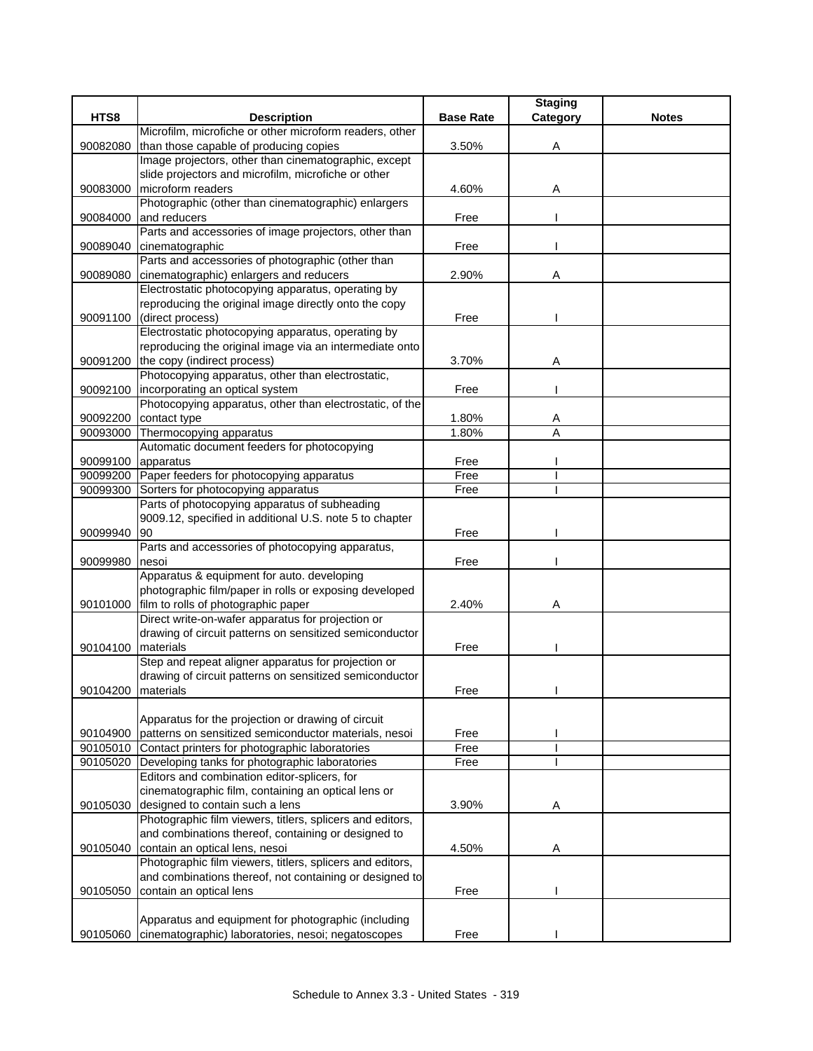|                    |                                                                                                          |                  | <b>Staging</b> |              |
|--------------------|----------------------------------------------------------------------------------------------------------|------------------|----------------|--------------|
| HTS8               | <b>Description</b>                                                                                       | <b>Base Rate</b> | Category       | <b>Notes</b> |
|                    | Microfilm, microfiche or other microform readers, other                                                  |                  |                |              |
| 90082080           | than those capable of producing copies                                                                   | 3.50%            | Α              |              |
|                    | Image projectors, other than cinematographic, except                                                     |                  |                |              |
|                    | slide projectors and microfilm, microfiche or other                                                      |                  |                |              |
| 90083000           | microform readers                                                                                        | 4.60%            | Α              |              |
|                    | Photographic (other than cinematographic) enlargers                                                      |                  |                |              |
| 90084000           | and reducers                                                                                             | Free             |                |              |
|                    | Parts and accessories of image projectors, other than                                                    |                  |                |              |
| 90089040           | cinematographic                                                                                          | Free             |                |              |
|                    | Parts and accessories of photographic (other than                                                        |                  |                |              |
| 90089080           | cinematographic) enlargers and reducers                                                                  | 2.90%            | Α              |              |
|                    | Electrostatic photocopying apparatus, operating by                                                       |                  |                |              |
|                    | reproducing the original image directly onto the copy                                                    |                  |                |              |
| 90091100           | (direct process)                                                                                         | Free             |                |              |
|                    | Electrostatic photocopying apparatus, operating by                                                       |                  |                |              |
|                    | reproducing the original image via an intermediate onto                                                  |                  |                |              |
|                    | 90091200 the copy (indirect process)                                                                     | 3.70%            | Α              |              |
|                    | Photocopying apparatus, other than electrostatic,                                                        |                  |                |              |
| 90092100           | incorporating an optical system                                                                          | Free             |                |              |
|                    | Photocopying apparatus, other than electrostatic, of the                                                 |                  |                |              |
| 90092200           | contact type                                                                                             | 1.80%            | Α              |              |
| 90093000           | Thermocopying apparatus                                                                                  | 1.80%            | A              |              |
|                    | Automatic document feeders for photocopying                                                              |                  |                |              |
| 90099100 apparatus |                                                                                                          | Free             |                |              |
|                    | 90099200 Paper feeders for photocopying apparatus                                                        | Free             |                |              |
| 90099300           | Sorters for photocopying apparatus                                                                       | Free             |                |              |
|                    | Parts of photocopying apparatus of subheading<br>9009.12, specified in additional U.S. note 5 to chapter |                  |                |              |
| 90099940           | 90                                                                                                       | Free             |                |              |
|                    | Parts and accessories of photocopying apparatus,                                                         |                  |                |              |
| 90099980           | nesoi                                                                                                    | Free             |                |              |
|                    | Apparatus & equipment for auto. developing                                                               |                  |                |              |
|                    | photographic film/paper in rolls or exposing developed                                                   |                  |                |              |
| 90101000           | film to rolls of photographic paper                                                                      | 2.40%            | A              |              |
|                    | Direct write-on-wafer apparatus for projection or                                                        |                  |                |              |
|                    | drawing of circuit patterns on sensitized semiconductor                                                  |                  |                |              |
| 90104100 materials |                                                                                                          | Free             |                |              |
|                    | Step and repeat aligner apparatus for projection or                                                      |                  |                |              |
|                    | drawing of circuit patterns on sensitized semiconductor                                                  |                  |                |              |
|                    | 90104200 materials                                                                                       | Free             |                |              |
|                    |                                                                                                          |                  |                |              |
|                    | Apparatus for the projection or drawing of circuit                                                       |                  |                |              |
| 90104900           | patterns on sensitized semiconductor materials, nesoi                                                    | Free             |                |              |
|                    | 90105010 Contact printers for photographic laboratories                                                  | Free             |                |              |
|                    | 90105020 Developing tanks for photographic laboratories                                                  | Free             |                |              |
|                    | Editors and combination editor-splicers, for                                                             |                  |                |              |
|                    | cinematographic film, containing an optical lens or                                                      |                  |                |              |
| 90105030           | designed to contain such a lens                                                                          | 3.90%            | Α              |              |
|                    | Photographic film viewers, titlers, splicers and editors,                                                |                  |                |              |
|                    | and combinations thereof, containing or designed to                                                      |                  |                |              |
| 90105040           | contain an optical lens, nesoi                                                                           | 4.50%            | A              |              |
|                    | Photographic film viewers, titlers, splicers and editors,                                                |                  |                |              |
|                    | and combinations thereof, not containing or designed to                                                  |                  |                |              |
| 90105050           | contain an optical lens                                                                                  | Free             |                |              |
|                    |                                                                                                          |                  |                |              |
|                    | Apparatus and equipment for photographic (including                                                      |                  |                |              |
|                    | 90105060 cinematographic) laboratories, nesoi; negatoscopes                                              | Free             |                |              |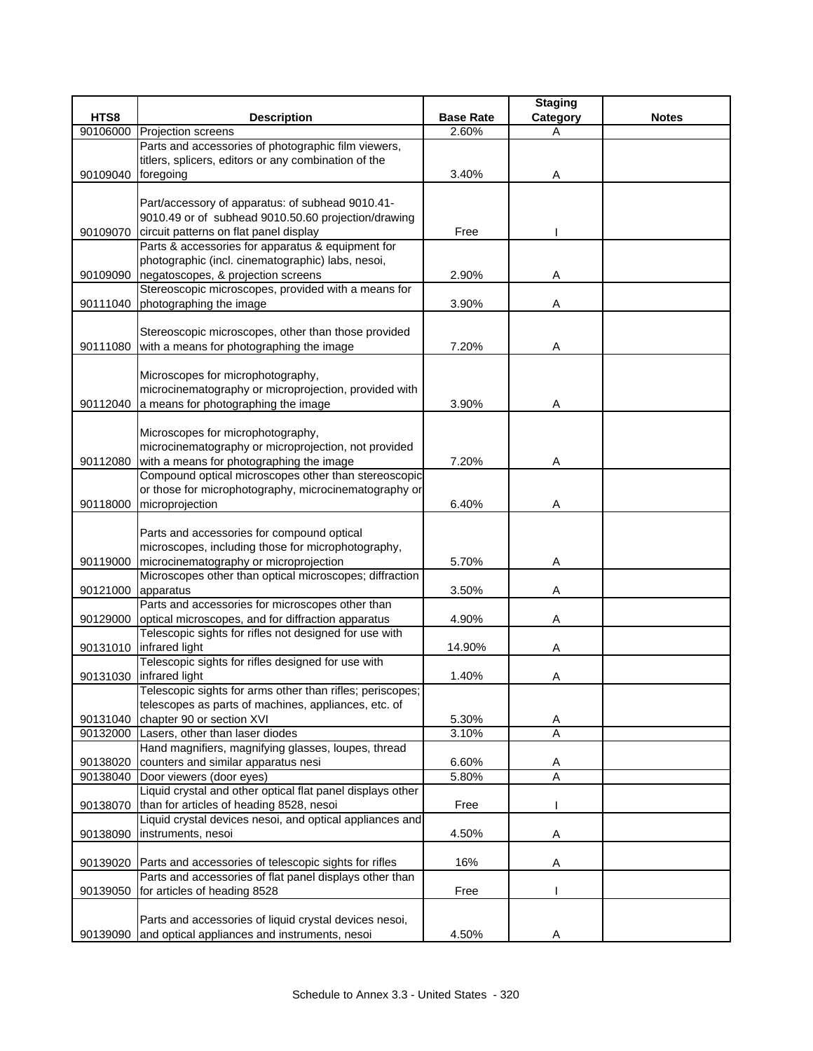|          |                                                                |                  | <b>Staging</b> |              |
|----------|----------------------------------------------------------------|------------------|----------------|--------------|
| HTS8     | <b>Description</b>                                             | <b>Base Rate</b> | Category       | <b>Notes</b> |
| 90106000 | Projection screens                                             | 2.60%            | Α              |              |
|          | Parts and accessories of photographic film viewers,            |                  |                |              |
|          | titlers, splicers, editors or any combination of the           |                  |                |              |
| 90109040 | foregoing                                                      | 3.40%            | Α              |              |
|          |                                                                |                  |                |              |
|          | Part/accessory of apparatus: of subhead 9010.41-               |                  |                |              |
|          | 9010.49 or of subhead 9010.50.60 projection/drawing            |                  |                |              |
| 90109070 | circuit patterns on flat panel display                         | Free             |                |              |
|          | Parts & accessories for apparatus & equipment for              |                  |                |              |
|          | photographic (incl. cinematographic) labs, nesoi,              |                  |                |              |
| 90109090 | negatoscopes, & projection screens                             | 2.90%            | Α              |              |
|          | Stereoscopic microscopes, provided with a means for            |                  |                |              |
| 90111040 | photographing the image                                        | 3.90%            | Α              |              |
|          |                                                                |                  |                |              |
|          | Stereoscopic microscopes, other than those provided            |                  |                |              |
|          | 90111080 with a means for photographing the image              | 7.20%            | Α              |              |
|          |                                                                |                  |                |              |
|          | Microscopes for microphotography,                              |                  |                |              |
|          | microcinematography or microprojection, provided with          |                  |                |              |
| 90112040 | a means for photographing the image                            | 3.90%            | Α              |              |
|          |                                                                |                  |                |              |
|          | Microscopes for microphotography,                              |                  |                |              |
|          | microcinematography or microprojection, not provided           |                  |                |              |
| 90112080 | with a means for photographing the image                       | 7.20%            | Α              |              |
|          | Compound optical microscopes other than stereoscopic           |                  |                |              |
|          | or those for microphotography, microcinematography or          |                  |                |              |
|          | 90118000 microprojection                                       | 6.40%            | Α              |              |
|          |                                                                |                  |                |              |
|          | Parts and accessories for compound optical                     |                  |                |              |
|          | microscopes, including those for microphotography,             |                  |                |              |
| 90119000 | microcinematography or microprojection                         | 5.70%            | Α              |              |
|          | Microscopes other than optical microscopes; diffraction        |                  |                |              |
| 90121000 | apparatus                                                      | 3.50%            | Α              |              |
|          | Parts and accessories for microscopes other than               |                  |                |              |
|          | 90129000 optical microscopes, and for diffraction apparatus    | 4.90%            | Α              |              |
|          | Telescopic sights for rifles not designed for use with         |                  |                |              |
|          | 90131010 infrared light                                        | 14.90%           | Α              |              |
|          | Telescopic sights for rifles designed for use with             |                  |                |              |
|          | 90131030 infrared light                                        | 1.40%            | Α              |              |
|          | Telescopic sights for arms other than rifles; periscopes;      |                  |                |              |
|          | telescopes as parts of machines, appliances, etc. of           |                  |                |              |
| 90131040 | chapter 90 or section XVI                                      | 5.30%            | Α              |              |
| 90132000 | Lasers, other than laser diodes                                | 3.10%            | Α              |              |
|          | Hand magnifiers, magnifying glasses, loupes, thread            |                  |                |              |
| 90138020 | counters and similar apparatus nesi                            | 6.60%            | A              |              |
|          | 90138040 Door viewers (door eyes)                              | 5.80%            | $\overline{A}$ |              |
|          | Liquid crystal and other optical flat panel displays other     |                  |                |              |
| 90138070 | than for articles of heading 8528, nesoi                       | Free             |                |              |
|          | Liquid crystal devices nesoi, and optical appliances and       |                  |                |              |
| 90138090 | instruments, nesoi                                             | 4.50%            | Α              |              |
|          |                                                                |                  |                |              |
|          | 90139020 Parts and accessories of telescopic sights for rifles | 16%              | Α              |              |
|          | Parts and accessories of flat panel displays other than        |                  |                |              |
| 90139050 | for articles of heading 8528                                   | Free             |                |              |
|          |                                                                |                  |                |              |
|          | Parts and accessories of liquid crystal devices nesoi,         |                  |                |              |
| 90139090 | and optical appliances and instruments, nesoi                  | 4.50%            | Α              |              |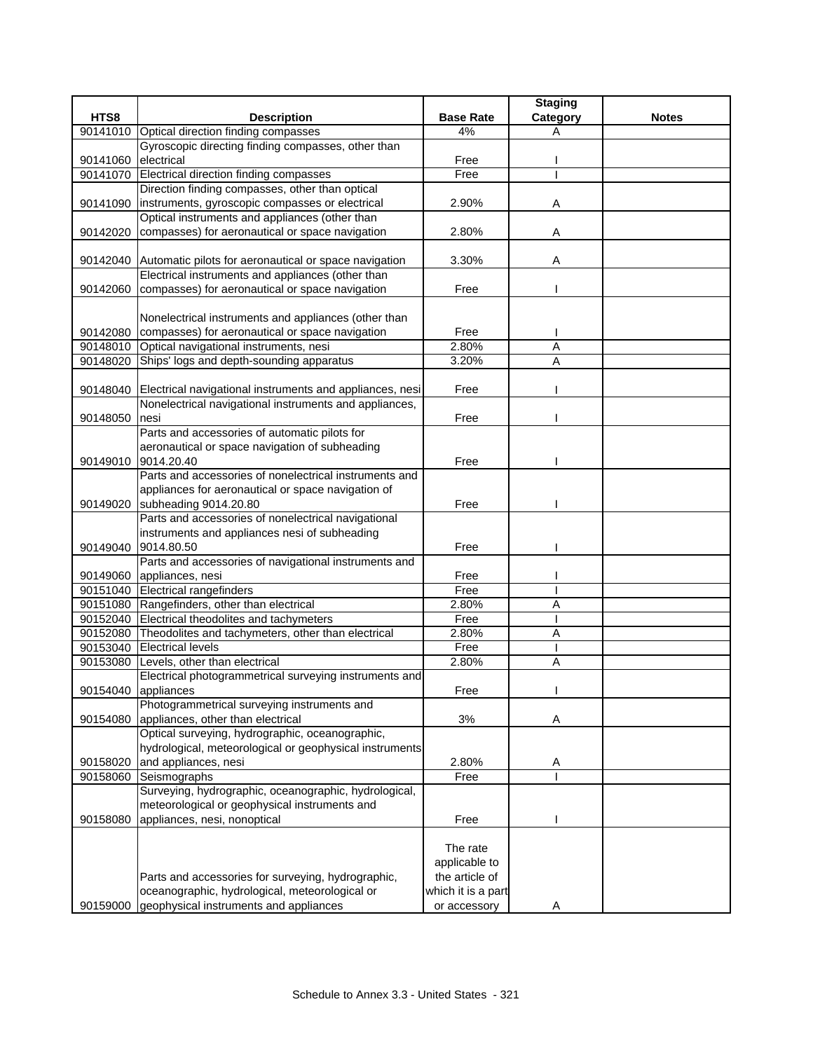|          |                                                                                                                  |                    | <b>Staging</b> |              |
|----------|------------------------------------------------------------------------------------------------------------------|--------------------|----------------|--------------|
| HTS8     | <b>Description</b>                                                                                               | <b>Base Rate</b>   | Category       | <b>Notes</b> |
|          | 90141010 Optical direction finding compasses                                                                     | 4%                 | Α              |              |
|          | Gyroscopic directing finding compasses, other than                                                               |                    |                |              |
| 90141060 | electrical                                                                                                       | Free               |                |              |
|          | 90141070 Electrical direction finding compasses                                                                  | Free               |                |              |
|          | Direction finding compasses, other than optical                                                                  |                    |                |              |
|          | 90141090   instruments, gyroscopic compasses or electrical                                                       | 2.90%              | Α              |              |
|          | Optical instruments and appliances (other than                                                                   |                    |                |              |
| 90142020 | compasses) for aeronautical or space navigation                                                                  | 2.80%              | A              |              |
|          |                                                                                                                  |                    |                |              |
|          | 90142040 Automatic pilots for aeronautical or space navigation                                                   | 3.30%              | Α              |              |
|          | Electrical instruments and appliances (other than                                                                |                    |                |              |
|          | 90142060 compasses) for aeronautical or space navigation                                                         | Free               |                |              |
|          |                                                                                                                  |                    |                |              |
|          | Nonelectrical instruments and appliances (other than<br>90142080 compasses) for aeronautical or space navigation | Free               |                |              |
|          | 90148010 Optical navigational instruments, nesi                                                                  | 2.80%              | A              |              |
|          | 90148020 Ships' logs and depth-sounding apparatus                                                                | 3.20%              | Α              |              |
|          |                                                                                                                  |                    |                |              |
|          | 90148040 Electrical navigational instruments and appliances, nesi                                                | Free               |                |              |
|          | Nonelectrical navigational instruments and appliances,                                                           |                    |                |              |
| 90148050 | nesi                                                                                                             | Free               |                |              |
|          | Parts and accessories of automatic pilots for                                                                    |                    |                |              |
|          | aeronautical or space navigation of subheading                                                                   |                    |                |              |
| 90149010 | 9014.20.40                                                                                                       | Free               |                |              |
|          | Parts and accessories of nonelectrical instruments and                                                           |                    |                |              |
|          | appliances for aeronautical or space navigation of                                                               |                    |                |              |
|          | 90149020 subheading 9014.20.80                                                                                   | Free               |                |              |
|          | Parts and accessories of nonelectrical navigational                                                              |                    |                |              |
|          | instruments and appliances nesi of subheading                                                                    |                    |                |              |
|          | 90149040 9014.80.50                                                                                              | Free               |                |              |
|          | Parts and accessories of navigational instruments and                                                            |                    |                |              |
|          | 90149060 appliances, nesi                                                                                        | Free               |                |              |
|          | 90151040 Electrical rangefinders                                                                                 | Free               |                |              |
|          | 90151080 Rangefinders, other than electrical                                                                     | 2.80%              | A              |              |
|          | 90152040 Electrical theodolites and tachymeters                                                                  | Free               |                |              |
|          | 90152080 Theodolites and tachymeters, other than electrical                                                      | 2.80%              | Α              |              |
|          | 90153040 Electrical levels                                                                                       | Free               |                |              |
|          | 90153080 Levels, other than electrical                                                                           | 2.80%              | Α              |              |
|          | Electrical photogrammetrical surveying instruments and                                                           |                    |                |              |
|          | 90154040 appliances                                                                                              | Free               |                |              |
|          | Photogrammetrical surveying instruments and                                                                      |                    |                |              |
| 90154080 | appliances, other than electrical                                                                                | 3%                 | Α              |              |
|          | Optical surveying, hydrographic, oceanographic,                                                                  |                    |                |              |
|          | hydrological, meteorological or geophysical instruments                                                          |                    |                |              |
| 90158020 | and appliances, nesi                                                                                             | 2.80%              | Α              |              |
| 90158060 | Seismographs<br>Surveying, hydrographic, oceanographic, hydrological,                                            | Free               |                |              |
|          | meteorological or geophysical instruments and                                                                    |                    |                |              |
| 90158080 | appliances, nesi, nonoptical                                                                                     | Free               |                |              |
|          |                                                                                                                  |                    |                |              |
|          |                                                                                                                  | The rate           |                |              |
|          |                                                                                                                  | applicable to      |                |              |
|          | Parts and accessories for surveying, hydrographic,                                                               | the article of     |                |              |
|          | oceanographic, hydrological, meteorological or                                                                   | which it is a part |                |              |
|          | 90159000 geophysical instruments and appliances                                                                  | or accessory       | Α              |              |
|          |                                                                                                                  |                    |                |              |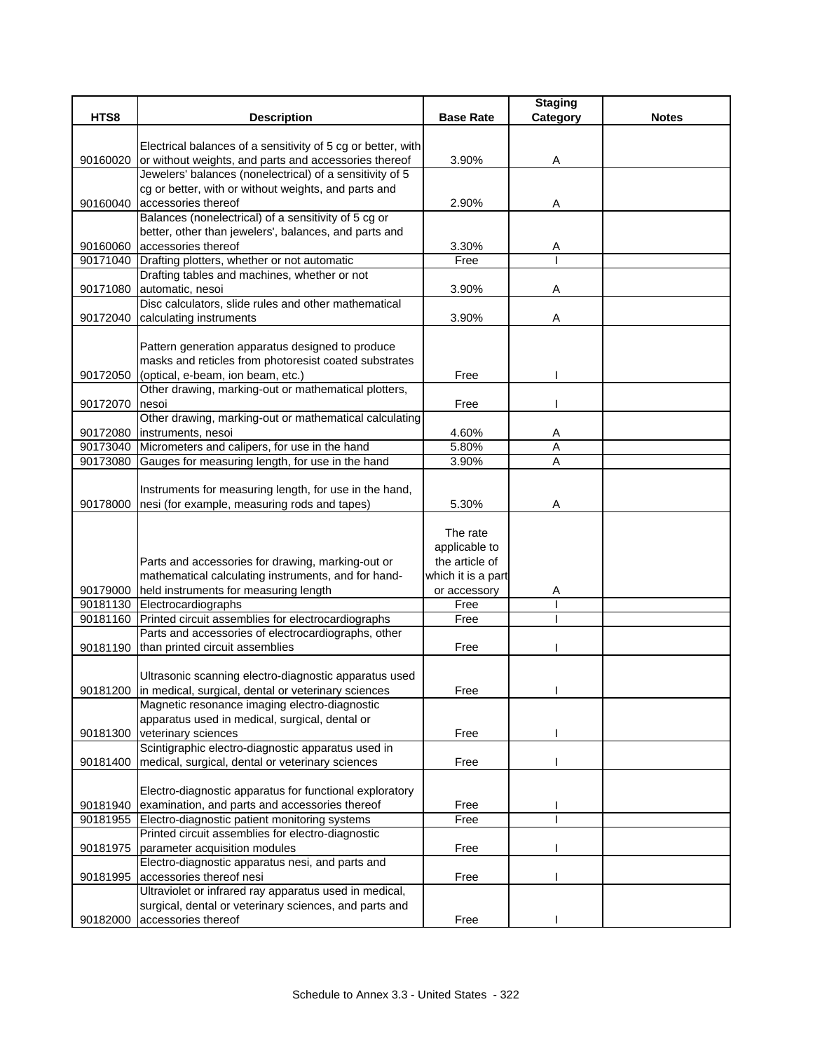|          |                                                                                                                       |                    | <b>Staging</b> |              |
|----------|-----------------------------------------------------------------------------------------------------------------------|--------------------|----------------|--------------|
| HTS8     | <b>Description</b>                                                                                                    | <b>Base Rate</b>   | Category       | <b>Notes</b> |
|          |                                                                                                                       |                    |                |              |
| 90160020 | Electrical balances of a sensitivity of 5 cg or better, with<br>or without weights, and parts and accessories thereof | 3.90%              | Α              |              |
|          | Jewelers' balances (nonelectrical) of a sensitivity of 5                                                              |                    |                |              |
|          | cg or better, with or without weights, and parts and                                                                  |                    |                |              |
| 90160040 | accessories thereof                                                                                                   | 2.90%              | Α              |              |
|          | Balances (nonelectrical) of a sensitivity of 5 cg or                                                                  |                    |                |              |
|          | better, other than jewelers', balances, and parts and                                                                 |                    |                |              |
| 90160060 | accessories thereof                                                                                                   | 3.30%              | A              |              |
|          | 90171040 Drafting plotters, whether or not automatic                                                                  | Free               |                |              |
|          | Drafting tables and machines, whether or not                                                                          |                    |                |              |
| 90171080 | automatic, nesoi                                                                                                      | 3.90%              | Α              |              |
|          | Disc calculators, slide rules and other mathematical                                                                  |                    | Α              |              |
| 90172040 | calculating instruments                                                                                               | 3.90%              |                |              |
|          | Pattern generation apparatus designed to produce                                                                      |                    |                |              |
|          | masks and reticles from photoresist coated substrates                                                                 |                    |                |              |
| 90172050 | (optical, e-beam, ion beam, etc.)                                                                                     | Free               |                |              |
|          | Other drawing, marking-out or mathematical plotters,                                                                  |                    |                |              |
| 90172070 | nesoi                                                                                                                 | Free               |                |              |
|          | Other drawing, marking-out or mathematical calculating                                                                |                    |                |              |
|          | 90172080 instruments, nesoi                                                                                           | 4.60%              | Α              |              |
| 90173040 | Micrometers and calipers, for use in the hand                                                                         | 5.80%              | Α              |              |
| 90173080 | Gauges for measuring length, for use in the hand                                                                      | 3.90%              | A              |              |
|          |                                                                                                                       |                    |                |              |
|          | Instruments for measuring length, for use in the hand,                                                                |                    |                |              |
|          | 90178000 nesi (for example, measuring rods and tapes)                                                                 | 5.30%              | Α              |              |
|          |                                                                                                                       | The rate           |                |              |
|          |                                                                                                                       | applicable to      |                |              |
|          | Parts and accessories for drawing, marking-out or                                                                     | the article of     |                |              |
|          | mathematical calculating instruments, and for hand-                                                                   | which it is a part |                |              |
| 90179000 | held instruments for measuring length                                                                                 | or accessory       | Α              |              |
|          | 90181130 Electrocardiographs                                                                                          | Free               |                |              |
| 90181160 | Printed circuit assemblies for electrocardiographs                                                                    | Free               |                |              |
|          | Parts and accessories of electrocardiographs, other                                                                   |                    |                |              |
|          | 90181190 than printed circuit assemblies                                                                              | Free               |                |              |
|          |                                                                                                                       |                    |                |              |
|          | Ultrasonic scanning electro-diagnostic apparatus used<br>90181200 in medical, surgical, dental or veterinary sciences | Free               |                |              |
|          | Magnetic resonance imaging electro-diagnostic                                                                         |                    |                |              |
|          | apparatus used in medical, surgical, dental or                                                                        |                    |                |              |
| 90181300 | veterinary sciences                                                                                                   | Free               |                |              |
|          | Scintigraphic electro-diagnostic apparatus used in                                                                    |                    |                |              |
| 90181400 | medical, surgical, dental or veterinary sciences                                                                      | Free               |                |              |
|          |                                                                                                                       |                    |                |              |
|          | Electro-diagnostic apparatus for functional exploratory                                                               |                    |                |              |
| 90181940 | examination, and parts and accessories thereof                                                                        | Free               |                |              |
| 90181955 | Electro-diagnostic patient monitoring systems                                                                         | Free               |                |              |
|          | Printed circuit assemblies for electro-diagnostic                                                                     |                    |                |              |
| 90181975 | parameter acquisition modules                                                                                         | Free               |                |              |
|          | Electro-diagnostic apparatus nesi, and parts and                                                                      |                    |                |              |
| 90181995 | accessories thereof nesi                                                                                              | Free               |                |              |
|          | Ultraviolet or infrared ray apparatus used in medical,<br>surgical, dental or veterinary sciences, and parts and      |                    |                |              |
| 90182000 | accessories thereof                                                                                                   | Free               |                |              |
|          |                                                                                                                       |                    |                |              |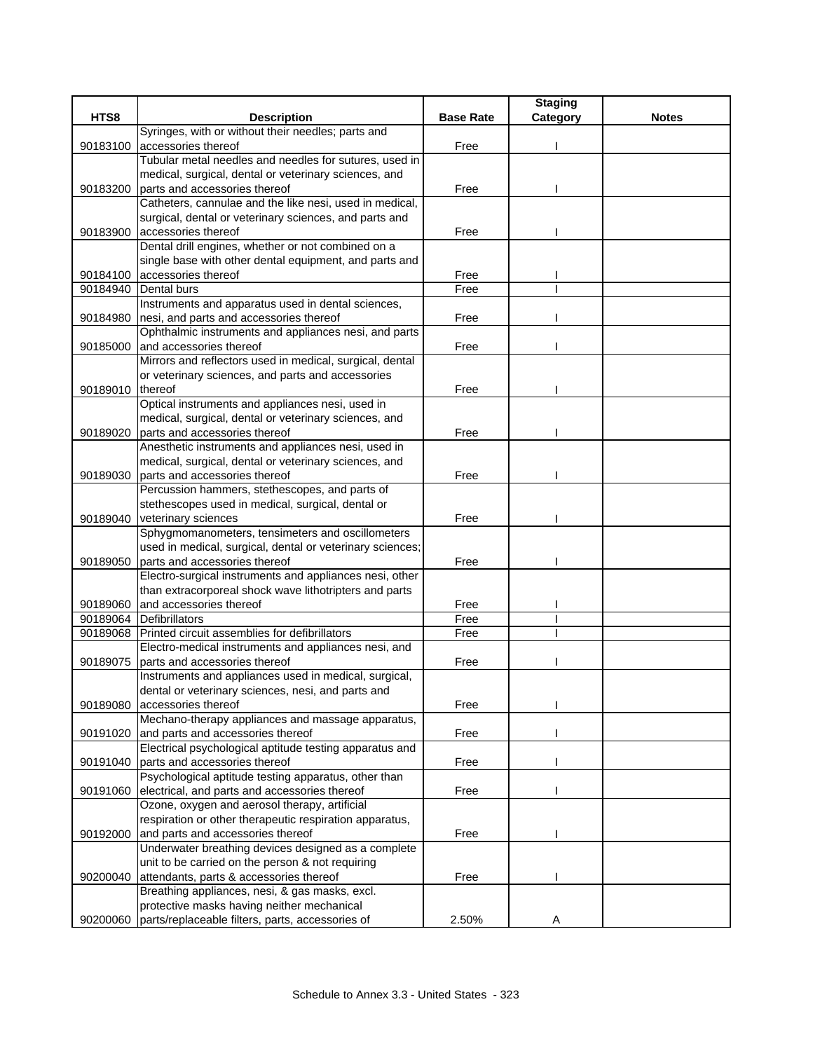|          |                                                                                     |                  | <b>Staging</b> |              |
|----------|-------------------------------------------------------------------------------------|------------------|----------------|--------------|
| HTS8     | <b>Description</b>                                                                  | <b>Base Rate</b> | Category       | <b>Notes</b> |
|          | Syringes, with or without their needles; parts and                                  |                  |                |              |
| 90183100 | accessories thereof                                                                 | Free             |                |              |
|          | Tubular metal needles and needles for sutures, used in                              |                  |                |              |
|          | medical, surgical, dental or veterinary sciences, and                               |                  |                |              |
| 90183200 | parts and accessories thereof                                                       | Free             |                |              |
|          | Catheters, cannulae and the like nesi, used in medical,                             |                  |                |              |
|          | surgical, dental or veterinary sciences, and parts and                              |                  |                |              |
| 90183900 | accessories thereof                                                                 | Free             |                |              |
|          | Dental drill engines, whether or not combined on a                                  |                  |                |              |
|          | single base with other dental equipment, and parts and                              |                  |                |              |
| 90184100 | accessories thereof                                                                 | Free             |                |              |
| 90184940 | Dental burs                                                                         | Free             |                |              |
|          | Instruments and apparatus used in dental sciences,                                  |                  |                |              |
| 90184980 | nesi, and parts and accessories thereof                                             | Free             |                |              |
|          | Ophthalmic instruments and appliances nesi, and parts                               |                  |                |              |
| 90185000 | and accessories thereof<br>Mirrors and reflectors used in medical, surgical, dental | Free             |                |              |
|          |                                                                                     |                  |                |              |
| 90189010 | or veterinary sciences, and parts and accessories<br>thereof                        | Free             |                |              |
|          | Optical instruments and appliances nesi, used in                                    |                  |                |              |
|          | medical, surgical, dental or veterinary sciences, and                               |                  |                |              |
| 90189020 | parts and accessories thereof                                                       | Free             |                |              |
|          | Anesthetic instruments and appliances nesi, used in                                 |                  |                |              |
|          | medical, surgical, dental or veterinary sciences, and                               |                  |                |              |
| 90189030 | parts and accessories thereof                                                       | Free             |                |              |
|          | Percussion hammers, stethescopes, and parts of                                      |                  |                |              |
|          | stethescopes used in medical, surgical, dental or                                   |                  |                |              |
| 90189040 | veterinary sciences                                                                 | Free             |                |              |
|          | Sphygmomanometers, tensimeters and oscillometers                                    |                  |                |              |
|          | used in medical, surgical, dental or veterinary sciences;                           |                  |                |              |
| 90189050 | parts and accessories thereof                                                       | Free             |                |              |
|          | Electro-surgical instruments and appliances nesi, other                             |                  |                |              |
|          | than extracorporeal shock wave lithotripters and parts                              |                  |                |              |
| 90189060 | and accessories thereof                                                             | Free             |                |              |
|          | 90189064 Defibrillators                                                             | Free             |                |              |
| 90189068 | Printed circuit assemblies for defibrillators                                       | Free             |                |              |
|          | Electro-medical instruments and appliances nesi, and                                |                  |                |              |
| 90189075 | parts and accessories thereof                                                       | Free             |                |              |
|          | Instruments and appliances used in medical, surgical,                               |                  |                |              |
|          | dental or veterinary sciences, nesi, and parts and                                  |                  |                |              |
| 90189080 | accessories thereof                                                                 | Free             |                |              |
|          | Mechano-therapy appliances and massage apparatus,                                   |                  |                |              |
| 90191020 | and parts and accessories thereof                                                   | Free             |                |              |
|          | Electrical psychological aptitude testing apparatus and                             |                  |                |              |
| 90191040 | parts and accessories thereof                                                       | Free             |                |              |
|          | Psychological aptitude testing apparatus, other than                                |                  |                |              |
| 90191060 | electrical, and parts and accessories thereof                                       | Free             |                |              |
|          | Ozone, oxygen and aerosol therapy, artificial                                       |                  |                |              |
|          | respiration or other therapeutic respiration apparatus,                             |                  |                |              |
| 90192000 | and parts and accessories thereof                                                   | Free             |                |              |
|          | Underwater breathing devices designed as a complete                                 |                  |                |              |
|          | unit to be carried on the person & not requiring                                    |                  |                |              |
| 90200040 | attendants, parts & accessories thereof                                             | Free             |                |              |
|          | Breathing appliances, nesi, & gas masks, excl.                                      |                  |                |              |
|          | protective masks having neither mechanical                                          |                  |                |              |
| 90200060 | parts/replaceable filters, parts, accessories of                                    | 2.50%            | Α              |              |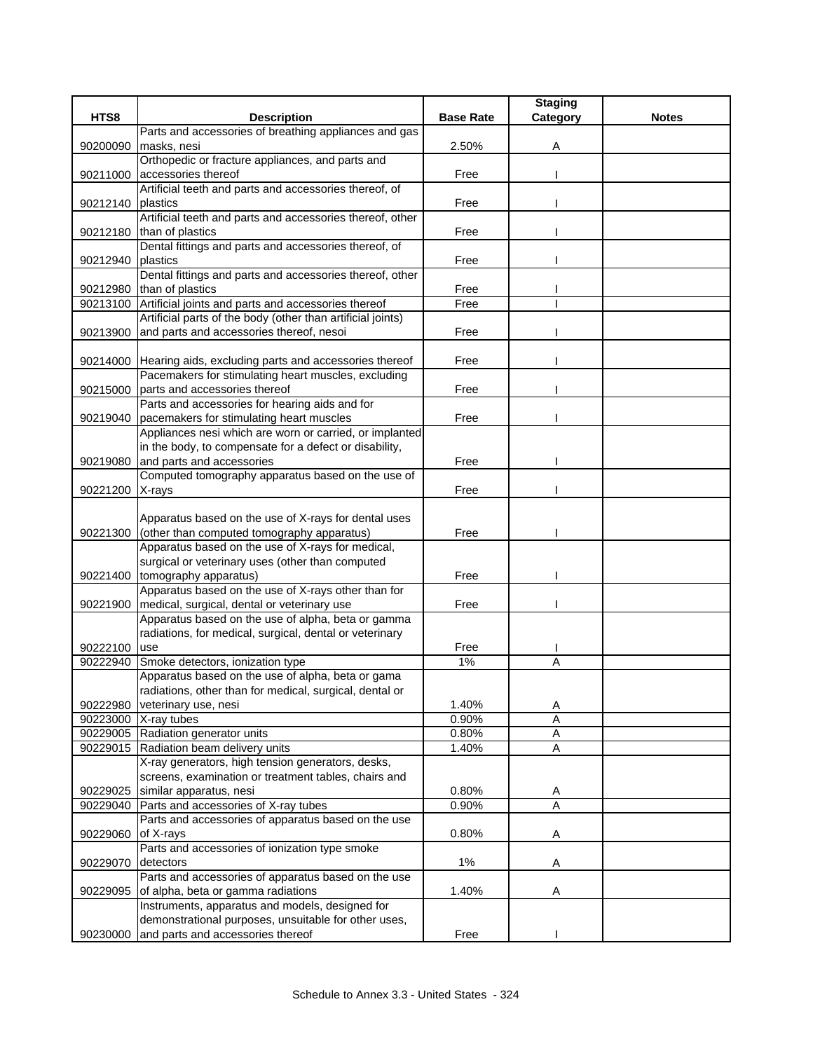|                 |                                                                |                  | <b>Staging</b> |              |
|-----------------|----------------------------------------------------------------|------------------|----------------|--------------|
| HTS8            | <b>Description</b>                                             | <b>Base Rate</b> | Category       | <b>Notes</b> |
|                 | Parts and accessories of breathing appliances and gas          |                  |                |              |
| 90200090        | masks, nesi                                                    | 2.50%            | A              |              |
|                 | Orthopedic or fracture appliances, and parts and               |                  |                |              |
| 90211000        | accessories thereof                                            | Free             |                |              |
|                 | Artificial teeth and parts and accessories thereof, of         |                  |                |              |
| 90212140        | plastics                                                       | Free             |                |              |
|                 | Artificial teeth and parts and accessories thereof, other      |                  |                |              |
| 90212180        | than of plastics                                               | Free             |                |              |
|                 | Dental fittings and parts and accessories thereof, of          |                  |                |              |
| 90212940        | plastics                                                       | Free             |                |              |
|                 | Dental fittings and parts and accessories thereof, other       |                  |                |              |
|                 | 90212980 than of plastics                                      | Free             |                |              |
| 90213100        | Artificial joints and parts and accessories thereof            | Free             |                |              |
|                 | Artificial parts of the body (other than artificial joints)    |                  |                |              |
| 90213900        | and parts and accessories thereof, nesoi                       | Free             |                |              |
|                 |                                                                |                  |                |              |
|                 | 90214000 Hearing aids, excluding parts and accessories thereof | Free             |                |              |
|                 | Pacemakers for stimulating heart muscles, excluding            |                  |                |              |
| 90215000        | parts and accessories thereof                                  | Free             |                |              |
|                 | Parts and accessories for hearing aids and for                 |                  |                |              |
| 90219040        | pacemakers for stimulating heart muscles                       | Free             |                |              |
|                 | Appliances nesi which are worn or carried, or implanted        |                  |                |              |
|                 | in the body, to compensate for a defect or disability,         |                  |                |              |
| 90219080        | and parts and accessories                                      | Free             |                |              |
|                 | Computed tomography apparatus based on the use of              |                  |                |              |
| 90221200 X-rays |                                                                | Free             |                |              |
|                 | Apparatus based on the use of X-rays for dental uses           |                  |                |              |
| 90221300        | (other than computed tomography apparatus)                     | Free             |                |              |
|                 | Apparatus based on the use of X-rays for medical,              |                  |                |              |
|                 | surgical or veterinary uses (other than computed               |                  |                |              |
|                 | 90221400 tomography apparatus)                                 | Free             |                |              |
|                 | Apparatus based on the use of X-rays other than for            |                  |                |              |
|                 | 90221900   medical, surgical, dental or veterinary use         | Free             |                |              |
|                 | Apparatus based on the use of alpha, beta or gamma             |                  |                |              |
|                 | radiations, for medical, surgical, dental or veterinary        |                  |                |              |
| 90222100 use    |                                                                | Free             |                |              |
| 90222940        | Smoke detectors, ionization type                               | 1%               | Α              |              |
|                 | Apparatus based on the use of alpha, beta or gama              |                  |                |              |
|                 | radiations, other than for medical, surgical, dental or        |                  |                |              |
| 90222980        | veterinary use, nesi                                           | 1.40%            | A              |              |
|                 | 90223000 X-ray tubes                                           | 0.90%            | Α              |              |
|                 | 90229005 Radiation generator units                             | 0.80%            | A              |              |
|                 | 90229015 Radiation beam delivery units                         | 1.40%            | A              |              |
|                 | X-ray generators, high tension generators, desks,              |                  |                |              |
|                 | screens, examination or treatment tables, chairs and           |                  |                |              |
| 90229025        | similar apparatus, nesi                                        | 0.80%            | A              |              |
| 90229040        | Parts and accessories of X-ray tubes                           | 0.90%            | A              |              |
|                 | Parts and accessories of apparatus based on the use            |                  |                |              |
| 90229060        | of X-rays                                                      | 0.80%            | Α              |              |
|                 | Parts and accessories of ionization type smoke                 |                  |                |              |
| 90229070        | detectors                                                      | $1\%$            | Α              |              |
|                 | Parts and accessories of apparatus based on the use            |                  |                |              |
| 90229095        | of alpha, beta or gamma radiations                             | 1.40%            | Α              |              |
|                 | Instruments, apparatus and models, designed for                |                  |                |              |
|                 | demonstrational purposes, unsuitable for other uses,           |                  |                |              |
| 90230000        | and parts and accessories thereof                              | Free             |                |              |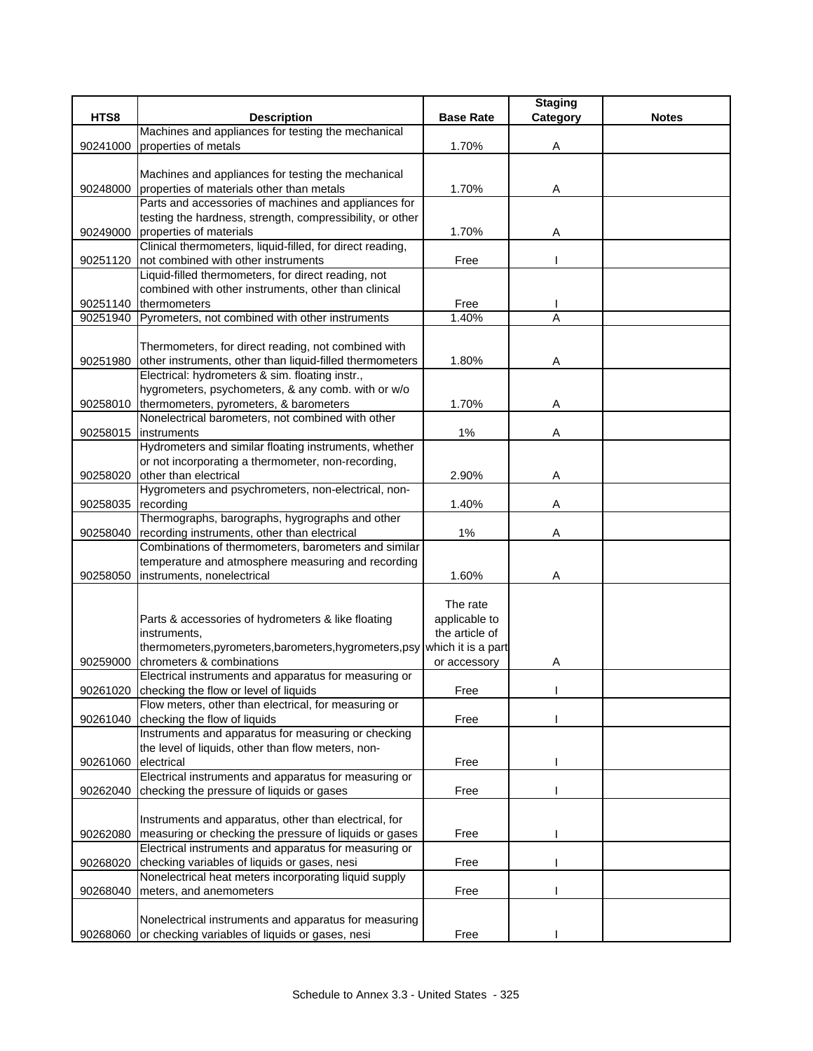|          |                                                                                                       |                    | <b>Staging</b> |              |
|----------|-------------------------------------------------------------------------------------------------------|--------------------|----------------|--------------|
| HTS8     | <b>Description</b>                                                                                    | <b>Base Rate</b>   | Category       | <b>Notes</b> |
|          | Machines and appliances for testing the mechanical                                                    |                    |                |              |
| 90241000 | properties of metals                                                                                  | 1.70%              | Α              |              |
|          |                                                                                                       |                    |                |              |
|          | Machines and appliances for testing the mechanical                                                    |                    |                |              |
| 90248000 | properties of materials other than metals                                                             | 1.70%              | Α              |              |
|          | Parts and accessories of machines and appliances for                                                  |                    |                |              |
|          | testing the hardness, strength, compressibility, or other<br>properties of materials                  | 1.70%              |                |              |
| 90249000 | Clinical thermometers, liquid-filled, for direct reading,                                             |                    | Α              |              |
| 90251120 | not combined with other instruments                                                                   | Free               |                |              |
|          | Liquid-filled thermometers, for direct reading, not                                                   |                    |                |              |
|          | combined with other instruments, other than clinical                                                  |                    |                |              |
| 90251140 | thermometers                                                                                          | Free               |                |              |
| 90251940 | Pyrometers, not combined with other instruments                                                       | 1.40%              | Α              |              |
|          |                                                                                                       |                    |                |              |
|          | Thermometers, for direct reading, not combined with                                                   |                    |                |              |
| 90251980 | other instruments, other than liquid-filled thermometers                                              | 1.80%              | Α              |              |
|          | Electrical: hydrometers & sim. floating instr.,                                                       |                    |                |              |
|          | hygrometers, psychometers, & any comb. with or w/o                                                    |                    |                |              |
| 90258010 | thermometers, pyrometers, & barometers                                                                | 1.70%              | Α              |              |
|          | Nonelectrical barometers, not combined with other                                                     |                    |                |              |
| 90258015 | instruments                                                                                           | $1\%$              | Α              |              |
|          | Hydrometers and similar floating instruments, whether                                                 |                    |                |              |
|          | or not incorporating a thermometer, non-recording,                                                    |                    |                |              |
| 90258020 | other than electrical                                                                                 | 2.90%              | Α              |              |
|          | Hygrometers and psychrometers, non-electrical, non-                                                   |                    |                |              |
| 90258035 | recording                                                                                             | 1.40%              | Α              |              |
|          | Thermographs, barographs, hygrographs and other                                                       |                    |                |              |
| 90258040 | recording instruments, other than electrical                                                          | 1%                 | Α              |              |
|          | Combinations of thermometers, barometers and similar                                                  |                    |                |              |
| 90258050 | temperature and atmosphere measuring and recording<br>instruments, nonelectrical                      | 1.60%              | Α              |              |
|          |                                                                                                       |                    |                |              |
|          |                                                                                                       | The rate           |                |              |
|          | Parts & accessories of hydrometers & like floating                                                    | applicable to      |                |              |
|          | instruments,                                                                                          | the article of     |                |              |
|          | thermometers, pyrometers, barometers, hygrometers, psy                                                | which it is a part |                |              |
| 90259000 | chrometers & combinations                                                                             | or accessory       | Α              |              |
|          | Electrical instruments and apparatus for measuring or                                                 |                    |                |              |
|          | 90261020 checking the flow or level of liquids                                                        | Free               |                |              |
|          | Flow meters, other than electrical, for measuring or                                                  |                    |                |              |
| 90261040 | checking the flow of liquids                                                                          | Free               |                |              |
|          | Instruments and apparatus for measuring or checking                                                   |                    |                |              |
|          | the level of liquids, other than flow meters, non-                                                    |                    |                |              |
| 90261060 | electrical                                                                                            | Free               |                |              |
|          | Electrical instruments and apparatus for measuring or                                                 |                    |                |              |
| 90262040 | checking the pressure of liquids or gases                                                             | Free               |                |              |
|          |                                                                                                       |                    |                |              |
|          | Instruments and apparatus, other than electrical, for                                                 |                    |                |              |
| 90262080 | measuring or checking the pressure of liquids or gases                                                | Free               |                |              |
|          | Electrical instruments and apparatus for measuring or                                                 |                    |                |              |
| 90268020 | checking variables of liquids or gases, nesi<br>Nonelectrical heat meters incorporating liquid supply | Free               |                |              |
| 90268040 | meters, and anemometers                                                                               | Free               |                |              |
|          |                                                                                                       |                    |                |              |
|          | Nonelectrical instruments and apparatus for measuring                                                 |                    |                |              |
| 90268060 | or checking variables of liquids or gases, nesi                                                       | Free               |                |              |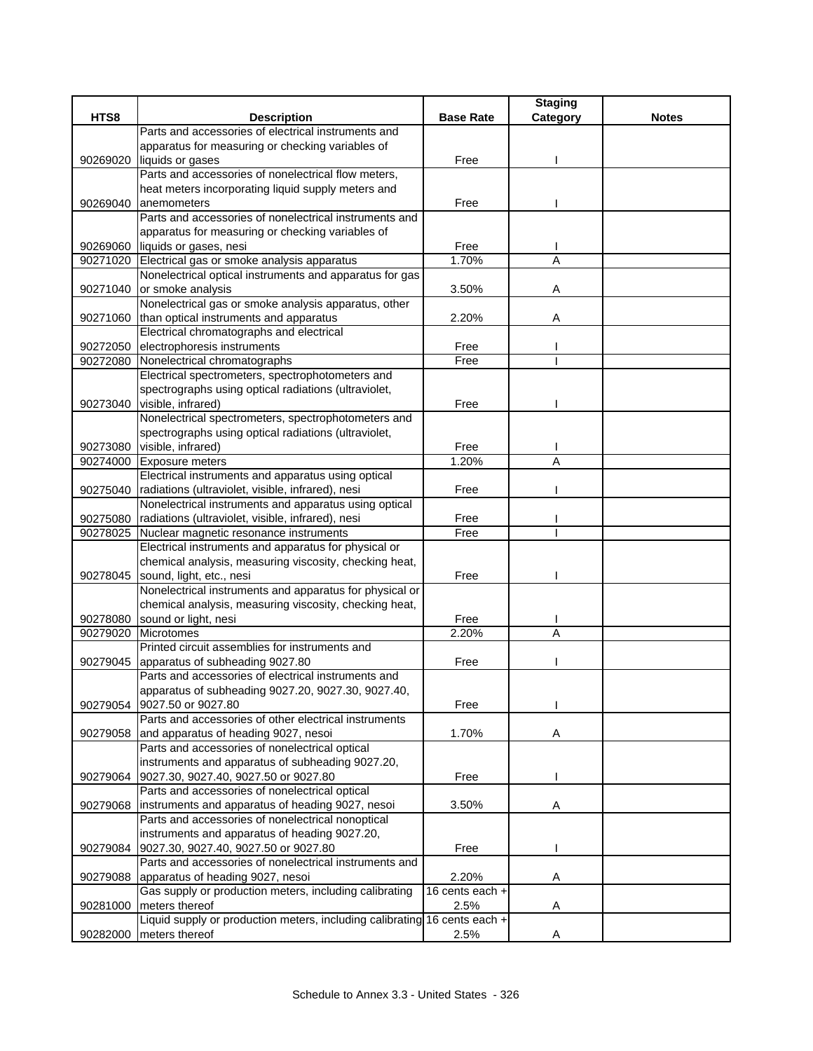|          |                                                                           |                  | <b>Staging</b> |              |
|----------|---------------------------------------------------------------------------|------------------|----------------|--------------|
| HTS8     | <b>Description</b>                                                        | <b>Base Rate</b> | Category       | <b>Notes</b> |
|          | Parts and accessories of electrical instruments and                       |                  |                |              |
|          | apparatus for measuring or checking variables of                          |                  |                |              |
|          | 90269020 liquids or gases                                                 | Free             |                |              |
|          | Parts and accessories of nonelectrical flow meters,                       |                  |                |              |
|          | heat meters incorporating liquid supply meters and                        |                  |                |              |
| 90269040 | anemometers                                                               | Free             |                |              |
|          | Parts and accessories of nonelectrical instruments and                    |                  |                |              |
|          | apparatus for measuring or checking variables of                          |                  |                |              |
|          | 90269060 liquids or gases, nesi                                           | Free             |                |              |
|          | 90271020 Electrical gas or smoke analysis apparatus                       | 1.70%            | A              |              |
|          | Nonelectrical optical instruments and apparatus for gas                   |                  |                |              |
| 90271040 | or smoke analysis                                                         | 3.50%            | A              |              |
|          | Nonelectrical gas or smoke analysis apparatus, other                      |                  |                |              |
|          | 90271060 than optical instruments and apparatus                           | 2.20%            | Α              |              |
|          | Electrical chromatographs and electrical                                  |                  |                |              |
| 90272050 | electrophoresis instruments                                               | Free             |                |              |
| 90272080 | Nonelectrical chromatographs                                              | Free             |                |              |
|          | Electrical spectrometers, spectrophotometers and                          |                  |                |              |
|          | spectrographs using optical radiations (ultraviolet,                      |                  |                |              |
|          | 90273040 visible, infrared)                                               | Free             |                |              |
|          | Nonelectrical spectrometers, spectrophotometers and                       |                  |                |              |
|          | spectrographs using optical radiations (ultraviolet,                      |                  |                |              |
|          | 90273080 visible, infrared)                                               | Free             |                |              |
| 90274000 | Exposure meters                                                           | 1.20%            | Α              |              |
|          | Electrical instruments and apparatus using optical                        |                  |                |              |
| 90275040 | radiations (ultraviolet, visible, infrared), nesi                         | Free             |                |              |
|          | Nonelectrical instruments and apparatus using optical                     |                  |                |              |
| 90275080 | radiations (ultraviolet, visible, infrared), nesi                         | Free             |                |              |
| 90278025 | Nuclear magnetic resonance instruments                                    | Free             |                |              |
|          | Electrical instruments and apparatus for physical or                      |                  |                |              |
|          | chemical analysis, measuring viscosity, checking heat,                    |                  |                |              |
| 90278045 | sound, light, etc., nesi                                                  | Free             |                |              |
|          | Nonelectrical instruments and apparatus for physical or                   |                  |                |              |
|          | chemical analysis, measuring viscosity, checking heat,                    |                  |                |              |
|          | 90278080 sound or light, nesi                                             | Free             |                |              |
| 90279020 | Microtomes                                                                | 2.20%            | Α              |              |
|          | Printed circuit assemblies for instruments and                            |                  |                |              |
| 90279045 | apparatus of subheading 9027.80                                           | Free             |                |              |
|          | Parts and accessories of electrical instruments and                       |                  |                |              |
|          | apparatus of subheading 9027.20, 9027.30, 9027.40,                        |                  |                |              |
| 90279054 | 9027.50 or 9027.80                                                        | Free             |                |              |
|          | Parts and accessories of other electrical instruments                     |                  |                |              |
| 90279058 | and apparatus of heading 9027, nesoi                                      | 1.70%            | Α              |              |
|          | Parts and accessories of nonelectrical optical                            |                  |                |              |
|          | instruments and apparatus of subheading 9027.20,                          |                  |                |              |
| 90279064 | 9027.30, 9027.40, 9027.50 or 9027.80                                      | Free             |                |              |
|          | Parts and accessories of nonelectrical optical                            |                  |                |              |
| 90279068 | instruments and apparatus of heading 9027, nesoi                          | 3.50%            | Α              |              |
|          | Parts and accessories of nonelectrical nonoptical                         |                  |                |              |
|          | instruments and apparatus of heading 9027.20,                             |                  |                |              |
| 90279084 | 9027.30, 9027.40, 9027.50 or 9027.80                                      | Free             |                |              |
|          | Parts and accessories of nonelectrical instruments and                    |                  |                |              |
| 90279088 | apparatus of heading 9027, nesoi                                          | 2.20%            | A              |              |
|          | Gas supply or production meters, including calibrating                    | 16 cents each +  |                |              |
| 90281000 | meters thereof                                                            | 2.5%             | Α              |              |
|          | Liquid supply or production meters, including calibrating 16 cents each + |                  |                |              |
| 90282000 | meters thereof                                                            | 2.5%             | Α              |              |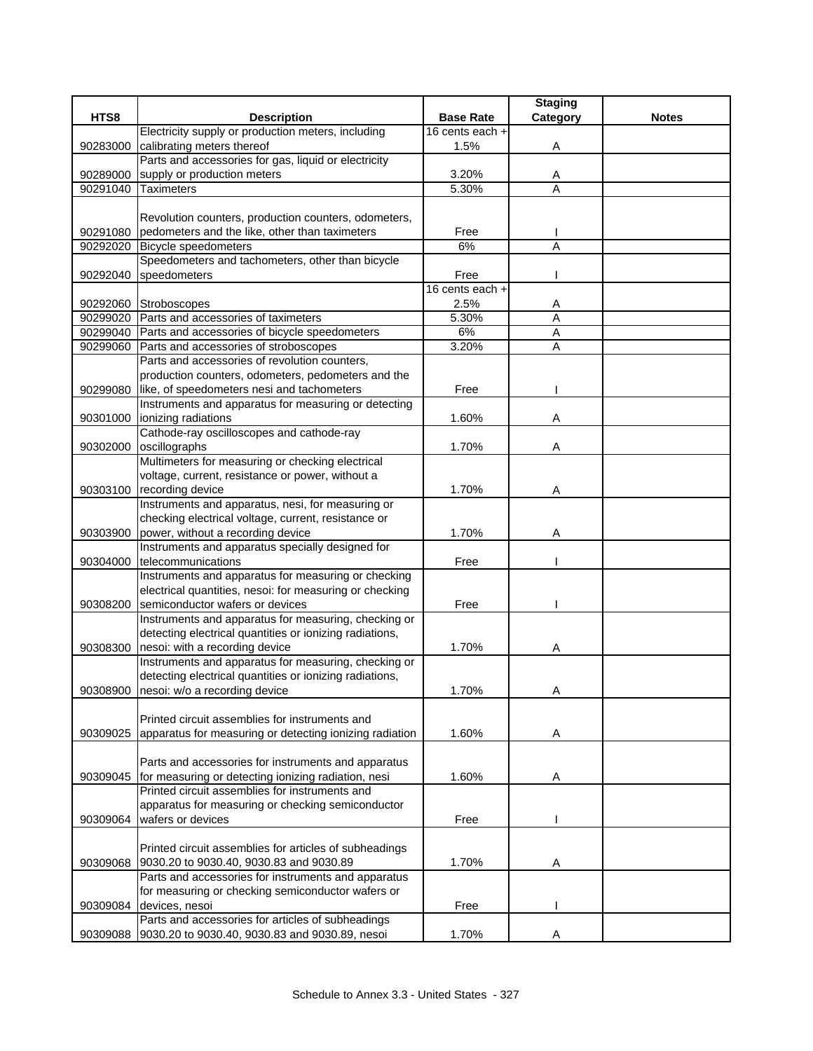|          |                                                                                        |                  | <b>Staging</b>      |              |
|----------|----------------------------------------------------------------------------------------|------------------|---------------------|--------------|
| HTS8     | <b>Description</b>                                                                     | <b>Base Rate</b> | Category            | <b>Notes</b> |
|          | Electricity supply or production meters, including                                     | 16 cents each +  |                     |              |
| 90283000 | calibrating meters thereof                                                             | 1.5%             | Α                   |              |
|          | Parts and accessories for gas, liquid or electricity                                   |                  |                     |              |
| 90289000 | supply or production meters                                                            | 3.20%            | A                   |              |
| 90291040 | <b>Taximeters</b>                                                                      | 5.30%            | A                   |              |
|          |                                                                                        |                  |                     |              |
|          | Revolution counters, production counters, odometers,                                   |                  |                     |              |
| 90291080 | pedometers and the like, other than taximeters                                         | Free             |                     |              |
| 90292020 | <b>Bicycle speedometers</b>                                                            | 6%               | $\overline{A}$      |              |
|          | Speedometers and tachometers, other than bicycle                                       |                  |                     |              |
| 90292040 | speedometers                                                                           | Free             |                     |              |
|          |                                                                                        | 16 cents each +  |                     |              |
|          | 90292060 Stroboscopes                                                                  | 2.5%             | Α                   |              |
|          | 90299020 Parts and accessories of taximeters                                           | 5.30%            | A                   |              |
|          | 90299040 Parts and accessories of bicycle speedometers                                 | 6%               | A<br>$\overline{A}$ |              |
| 90299060 | Parts and accessories of stroboscopes<br>Parts and accessories of revolution counters, | 3.20%            |                     |              |
|          | production counters, odometers, pedometers and the                                     |                  |                     |              |
| 90299080 | like, of speedometers nesi and tachometers                                             | Free             |                     |              |
|          | Instruments and apparatus for measuring or detecting                                   |                  |                     |              |
| 90301000 | ionizing radiations                                                                    | 1.60%            | Α                   |              |
|          | Cathode-ray oscilloscopes and cathode-ray                                              |                  |                     |              |
| 90302000 | oscillographs                                                                          | 1.70%            | Α                   |              |
|          | Multimeters for measuring or checking electrical                                       |                  |                     |              |
|          | voltage, current, resistance or power, without a                                       |                  |                     |              |
| 90303100 | recording device                                                                       | 1.70%            | Α                   |              |
|          | Instruments and apparatus, nesi, for measuring or                                      |                  |                     |              |
|          | checking electrical voltage, current, resistance or                                    |                  |                     |              |
| 90303900 | power, without a recording device                                                      | 1.70%            | A                   |              |
|          | Instruments and apparatus specially designed for                                       |                  |                     |              |
| 90304000 | telecommunications                                                                     | Free             |                     |              |
|          | Instruments and apparatus for measuring or checking                                    |                  |                     |              |
|          | electrical quantities, nesoi: for measuring or checking                                |                  |                     |              |
| 90308200 | semiconductor wafers or devices                                                        | Free             |                     |              |
|          | Instruments and apparatus for measuring, checking or                                   |                  |                     |              |
|          | detecting electrical quantities or ionizing radiations,                                |                  |                     |              |
| 90308300 | nesoi: with a recording device                                                         | 1.70%            | Α                   |              |
|          | Instruments and apparatus for measuring, checking or                                   |                  |                     |              |
|          | detecting electrical quantities or ionizing radiations,                                |                  |                     |              |
|          | 90308900 nesoi: w/o a recording device                                                 | 1.70%            | Α                   |              |
|          | Printed circuit assemblies for instruments and                                         |                  |                     |              |
|          | apparatus for measuring or detecting ionizing radiation                                | 1.60%            |                     |              |
| 90309025 |                                                                                        |                  | Α                   |              |
|          | Parts and accessories for instruments and apparatus                                    |                  |                     |              |
| 90309045 | for measuring or detecting ionizing radiation, nesi                                    | 1.60%            | Α                   |              |
|          | Printed circuit assemblies for instruments and                                         |                  |                     |              |
|          | apparatus for measuring or checking semiconductor                                      |                  |                     |              |
| 90309064 | wafers or devices                                                                      | Free             |                     |              |
|          |                                                                                        |                  |                     |              |
|          | Printed circuit assemblies for articles of subheadings                                 |                  |                     |              |
| 90309068 | 9030.20 to 9030.40, 9030.83 and 9030.89                                                | 1.70%            | Α                   |              |
|          | Parts and accessories for instruments and apparatus                                    |                  |                     |              |
|          | for measuring or checking semiconductor wafers or                                      |                  |                     |              |
| 90309084 | devices, nesoi                                                                         | Free             |                     |              |
|          | Parts and accessories for articles of subheadings                                      |                  |                     |              |
| 90309088 | 9030.20 to 9030.40, 9030.83 and 9030.89, nesoi                                         | 1.70%            | A                   |              |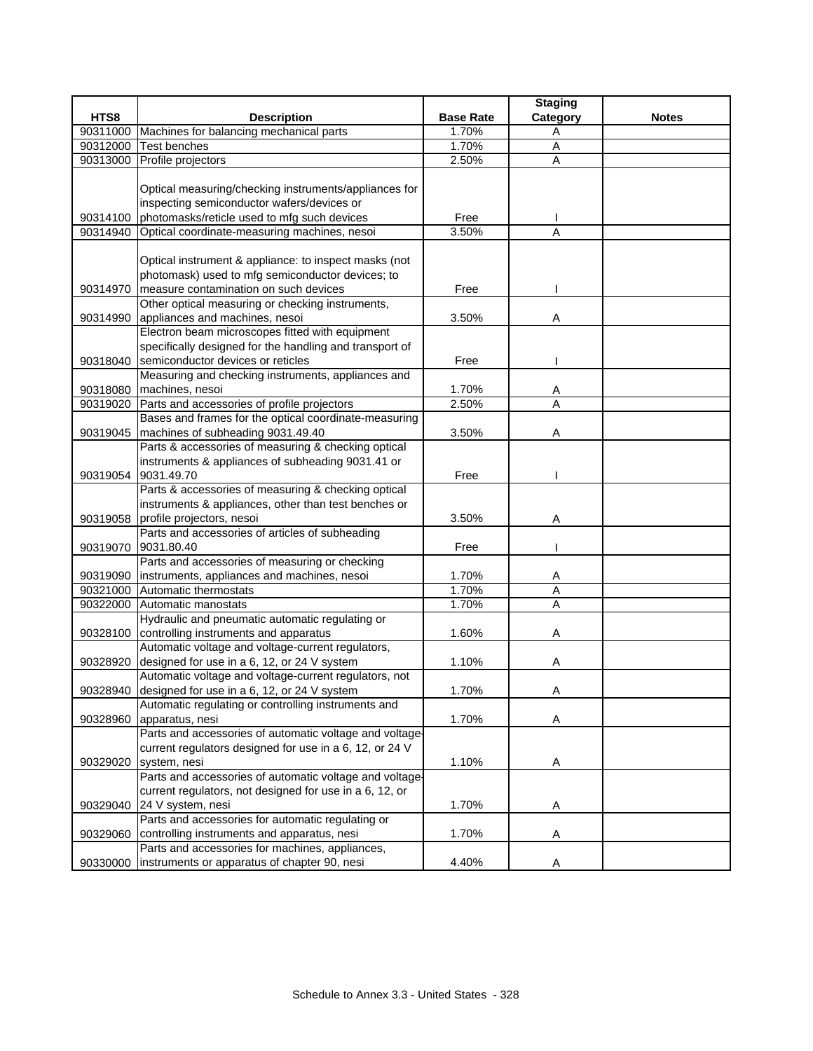|          |                                                                                                 |                  | <b>Staging</b> |              |
|----------|-------------------------------------------------------------------------------------------------|------------------|----------------|--------------|
| HTS8     | <b>Description</b>                                                                              | <b>Base Rate</b> | Category       | <b>Notes</b> |
| 90311000 | Machines for balancing mechanical parts                                                         | 1.70%            | A              |              |
| 90312000 | <b>Test benches</b>                                                                             | 1.70%            | A              |              |
| 90313000 | Profile projectors                                                                              | 2.50%            | Α              |              |
|          |                                                                                                 |                  |                |              |
|          | Optical measuring/checking instruments/appliances for                                           |                  |                |              |
|          | inspecting semiconductor wafers/devices or                                                      |                  |                |              |
| 90314100 | photomasks/reticle used to mfg such devices                                                     | Free             |                |              |
| 90314940 | Optical coordinate-measuring machines, nesoi                                                    | 3.50%            | Α              |              |
|          |                                                                                                 |                  |                |              |
|          | Optical instrument & appliance: to inspect masks (not                                           |                  |                |              |
|          | photomask) used to mfg semiconductor devices; to                                                |                  |                |              |
| 90314970 | measure contamination on such devices                                                           | Free             |                |              |
|          | Other optical measuring or checking instruments,                                                |                  |                |              |
| 90314990 | appliances and machines, nesoi                                                                  | 3.50%            | Α              |              |
|          | Electron beam microscopes fitted with equipment                                                 |                  |                |              |
|          | specifically designed for the handling and transport of                                         |                  |                |              |
| 90318040 | semiconductor devices or reticles                                                               | Free             |                |              |
|          | Measuring and checking instruments, appliances and                                              |                  |                |              |
| 90318080 | machines, nesoi                                                                                 | 1.70%            | Α              |              |
| 90319020 | Parts and accessories of profile projectors                                                     | 2.50%            | A              |              |
|          | Bases and frames for the optical coordinate-measuring                                           |                  |                |              |
| 90319045 | machines of subheading 9031.49.40                                                               | 3.50%            | Α              |              |
|          | Parts & accessories of measuring & checking optical                                             |                  |                |              |
|          | instruments & appliances of subheading 9031.41 or                                               |                  |                |              |
| 90319054 | 9031.49.70                                                                                      | Free             |                |              |
|          | Parts & accessories of measuring & checking optical                                             |                  |                |              |
|          | instruments & appliances, other than test benches or                                            |                  |                |              |
| 90319058 | profile projectors, nesoi                                                                       | 3.50%            | Α              |              |
|          | Parts and accessories of articles of subheading                                                 |                  |                |              |
| 90319070 | 9031.80.40                                                                                      | Free             |                |              |
|          | Parts and accessories of measuring or checking                                                  |                  |                |              |
| 90319090 | instruments, appliances and machines, nesoi                                                     | 1.70%            | Α              |              |
| 90321000 | Automatic thermostats                                                                           | 1.70%            | Α              |              |
| 90322000 | Automatic manostats                                                                             | 1.70%            | $\overline{A}$ |              |
|          | Hydraulic and pneumatic automatic regulating or                                                 |                  |                |              |
| 90328100 | controlling instruments and apparatus                                                           | 1.60%            | Α              |              |
|          | Automatic voltage and voltage-current regulators,                                               |                  |                |              |
| 90328920 | designed for use in a 6, 12, or 24 V system                                                     | 1.10%            | A              |              |
|          | Automatic voltage and voltage-current regulators, not                                           |                  |                |              |
|          | 90328940 designed for use in a 6, 12, or 24 V system                                            | 1.70%            | Α              |              |
|          | Automatic regulating or controlling instruments and                                             |                  |                |              |
| 90328960 | apparatus, nesi                                                                                 | 1.70%            | Α              |              |
|          | Parts and accessories of automatic voltage and voltage-                                         |                  |                |              |
|          | current regulators designed for use in a 6, 12, or 24 V                                         |                  |                |              |
| 90329020 | system, nesi                                                                                    | 1.10%            | Α              |              |
|          | Parts and accessories of automatic voltage and voltage-                                         |                  |                |              |
|          | current regulators, not designed for use in a 6, 12, or                                         |                  |                |              |
|          | 24 V system, nesi                                                                               | 1.70%            |                |              |
| 90329040 | Parts and accessories for automatic regulating or                                               |                  | Α              |              |
|          |                                                                                                 |                  |                |              |
| 90329060 | controlling instruments and apparatus, nesi                                                     | 1.70%            | Α              |              |
|          | Parts and accessories for machines, appliances,<br>instruments or apparatus of chapter 90, nesi |                  |                |              |
| 90330000 |                                                                                                 | 4.40%            | A              |              |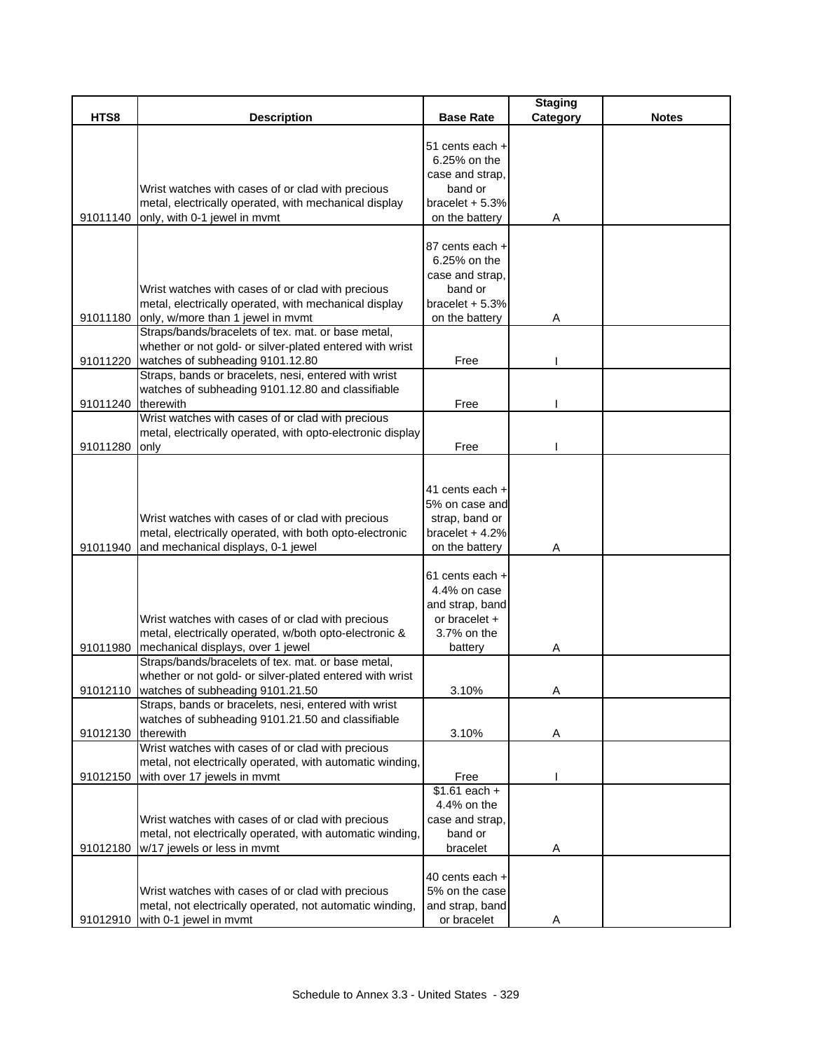|                    |                                                                                                                                                                                                                                                                   |                                                                                                                                                                                 | <b>Staging</b> |              |
|--------------------|-------------------------------------------------------------------------------------------------------------------------------------------------------------------------------------------------------------------------------------------------------------------|---------------------------------------------------------------------------------------------------------------------------------------------------------------------------------|----------------|--------------|
| HTS8               | <b>Description</b>                                                                                                                                                                                                                                                | <b>Base Rate</b>                                                                                                                                                                | Category       | <b>Notes</b> |
|                    | Wrist watches with cases of or clad with precious<br>metal, electrically operated, with mechanical display<br>91011140 only, with 0-1 jewel in mvmt                                                                                                               | 51 cents each +<br>6.25% on the<br>case and strap,<br>band or<br>bracelet $+5.3%$<br>on the battery                                                                             | A              |              |
| 91011180           | Wrist watches with cases of or clad with precious<br>metal, electrically operated, with mechanical display<br>only, w/more than 1 jewel in mvmt<br>Straps/bands/bracelets of tex. mat. or base metal,                                                             | 87 cents each +<br>6.25% on the<br>case and strap,<br>band or<br>bracelet + 5.3%<br>on the battery                                                                              | Α              |              |
|                    | whether or not gold- or silver-plated entered with wrist                                                                                                                                                                                                          |                                                                                                                                                                                 |                |              |
| 91011220           | watches of subheading 9101.12.80<br>Straps, bands or bracelets, nesi, entered with wrist                                                                                                                                                                          | Free                                                                                                                                                                            |                |              |
| 91011240 therewith | watches of subheading 9101.12.80 and classifiable                                                                                                                                                                                                                 | Free                                                                                                                                                                            |                |              |
|                    | Wrist watches with cases of or clad with precious<br>metal, electrically operated, with opto-electronic display                                                                                                                                                   |                                                                                                                                                                                 |                |              |
| 91011280           | only                                                                                                                                                                                                                                                              | Free                                                                                                                                                                            |                |              |
| 91011940           | Wrist watches with cases of or clad with precious<br>metal, electrically operated, with both opto-electronic<br>and mechanical displays, 0-1 jewel<br>Wrist watches with cases of or clad with precious<br>metal, electrically operated, w/both opto-electronic & | 41 cents each +<br>5% on case and<br>strap, band or<br>bracelet $+4.2%$<br>on the battery<br>61 cents each +<br>4.4% on case<br>and strap, band<br>or bracelet +<br>3.7% on the | Α              |              |
| 91011980           | mechanical displays, over 1 jewel                                                                                                                                                                                                                                 | battery                                                                                                                                                                         | Α              |              |
|                    | Straps/bands/bracelets of tex. mat. or base metal,<br>whether or not gold- or silver-plated entered with wrist<br>91012110 watches of subheading 9101.21.50                                                                                                       | 3.10%                                                                                                                                                                           | A              |              |
|                    | Straps, bands or bracelets, nesi, entered with wrist<br>watches of subheading 9101.21.50 and classifiable                                                                                                                                                         |                                                                                                                                                                                 |                |              |
| 91012130           | therewith                                                                                                                                                                                                                                                         | 3.10%                                                                                                                                                                           | A              |              |
| 91012150           | Wrist watches with cases of or clad with precious<br>metal, not electrically operated, with automatic winding,<br>with over 17 jewels in mymt                                                                                                                     | Free                                                                                                                                                                            |                |              |
| 91012180           | Wrist watches with cases of or clad with precious<br>metal, not electrically operated, with automatic winding,<br>w/17 jewels or less in mvmt                                                                                                                     | $$1.61$ each +<br>4.4% on the<br>case and strap,<br>band or<br>bracelet                                                                                                         | A              |              |
|                    | Wrist watches with cases of or clad with precious<br>metal, not electrically operated, not automatic winding,<br>91012910 with 0-1 jewel in mvmt                                                                                                                  | 40 cents each +<br>5% on the case<br>and strap, band<br>or bracelet                                                                                                             | A              |              |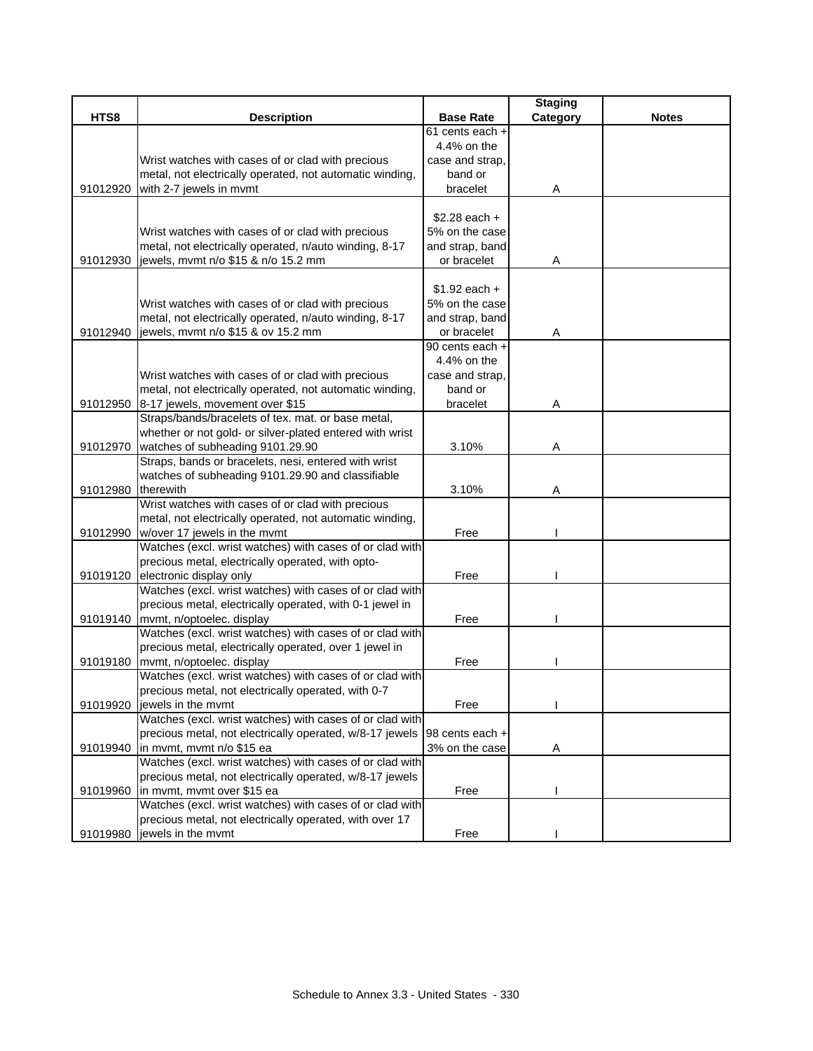|          |                                                          |                  | <b>Staging</b> |              |
|----------|----------------------------------------------------------|------------------|----------------|--------------|
| HTS8     | <b>Description</b>                                       | <b>Base Rate</b> | Category       | <b>Notes</b> |
|          |                                                          | 61 cents each +  |                |              |
|          |                                                          | 4.4% on the      |                |              |
|          | Wrist watches with cases of or clad with precious        | case and strap,  |                |              |
|          | metal, not electrically operated, not automatic winding, | band or          |                |              |
| 91012920 | with 2-7 jewels in mvmt                                  | bracelet         | Α              |              |
|          |                                                          |                  |                |              |
|          |                                                          | $$2.28$ each +   |                |              |
|          | Wrist watches with cases of or clad with precious        | 5% on the case   |                |              |
|          | metal, not electrically operated, n/auto winding, 8-17   | and strap, band  |                |              |
| 91012930 | jewels, mvmt n/o \$15 & n/o 15.2 mm                      | or bracelet      | Α              |              |
|          |                                                          |                  |                |              |
|          |                                                          | $$1.92$ each +   |                |              |
|          | Wrist watches with cases of or clad with precious        | 5% on the case   |                |              |
|          | metal, not electrically operated, n/auto winding, 8-17   | and strap, band  |                |              |
| 91012940 | jewels, mvmt n/o \$15 & ov 15.2 mm                       | or bracelet      | Α              |              |
|          |                                                          | 90 cents each +  |                |              |
|          |                                                          | 4.4% on the      |                |              |
|          | Wrist watches with cases of or clad with precious        | case and strap,  |                |              |
|          | metal, not electrically operated, not automatic winding, | band or          |                |              |
| 91012950 | 8-17 jewels, movement over \$15                          | bracelet         | A              |              |
|          | Straps/bands/bracelets of tex. mat. or base metal,       |                  |                |              |
|          | whether or not gold- or silver-plated entered with wrist |                  |                |              |
| 91012970 | watches of subheading 9101.29.90                         | 3.10%            | Α              |              |
|          | Straps, bands or bracelets, nesi, entered with wrist     |                  |                |              |
|          | watches of subheading 9101.29.90 and classifiable        |                  |                |              |
| 91012980 | therewith                                                | 3.10%            | Α              |              |
|          | Wrist watches with cases of or clad with precious        |                  |                |              |
|          | metal, not electrically operated, not automatic winding, |                  |                |              |
| 91012990 | w/over 17 jewels in the mvmt                             | Free             |                |              |
|          | Watches (excl. wrist watches) with cases of or clad with |                  |                |              |
|          | precious metal, electrically operated, with opto-        |                  |                |              |
| 91019120 | electronic display only                                  | Free             |                |              |
|          | Watches (excl. wrist watches) with cases of or clad with |                  |                |              |
|          | precious metal, electrically operated, with 0-1 jewel in |                  |                |              |
| 91019140 | mvmt, n/optoelec. display                                | Free             |                |              |
|          | Watches (excl. wrist watches) with cases of or clad with |                  |                |              |
|          | precious metal, electrically operated, over 1 jewel in   |                  |                |              |
| 91019180 | mvmt, n/optoelec. display                                | Free             |                |              |
|          | Watches (excl. wrist watches) with cases of or clad with |                  |                |              |
|          | precious metal, not electrically operated, with 0-7      |                  |                |              |
| 91019920 | jewels in the mymt                                       | Free             |                |              |
|          | Watches (excl. wrist watches) with cases of or clad with |                  |                |              |
|          | precious metal, not electrically operated, w/8-17 jewels | 98 cents each +  |                |              |
| 91019940 | in mvmt, mvmt n/o \$15 ea                                | 3% on the case   | A              |              |
|          | Watches (excl. wrist watches) with cases of or clad with |                  |                |              |
|          | precious metal, not electrically operated, w/8-17 jewels |                  |                |              |
| 91019960 | in mvmt, mvmt over \$15 ea                               | Free             |                |              |
|          | Watches (excl. wrist watches) with cases of or clad with |                  |                |              |
|          | precious metal, not electrically operated, with over 17  |                  |                |              |
| 91019980 | jewels in the mvmt                                       | Free             |                |              |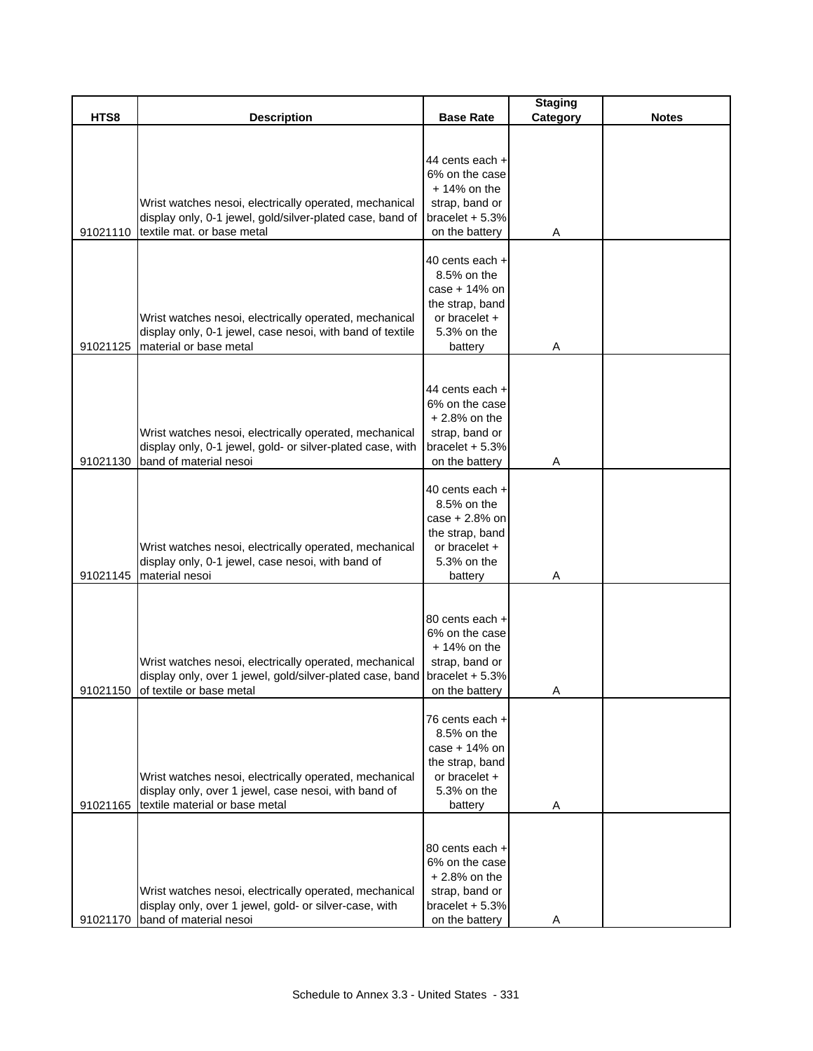|          |                                                            |                   | <b>Staging</b> |              |
|----------|------------------------------------------------------------|-------------------|----------------|--------------|
| HTS8     | <b>Description</b>                                         | <b>Base Rate</b>  | Category       | <b>Notes</b> |
|          |                                                            |                   |                |              |
|          |                                                            | 44 cents each +   |                |              |
|          |                                                            | 6% on the case    |                |              |
|          |                                                            | $+14\%$ on the    |                |              |
|          | Wrist watches nesoi, electrically operated, mechanical     | strap, band or    |                |              |
|          | display only, 0-1 jewel, gold/silver-plated case, band of  | bracelet + 5.3%   |                |              |
| 91021110 | textile mat. or base metal                                 | on the battery    |                |              |
|          |                                                            |                   | A              |              |
|          |                                                            | 40 cents each +   |                |              |
|          |                                                            | 8.5% on the       |                |              |
|          |                                                            | case $+14%$ on    |                |              |
|          |                                                            | the strap, band   |                |              |
|          | Wrist watches nesoi, electrically operated, mechanical     | or bracelet +     |                |              |
|          | display only, 0-1 jewel, case nesoi, with band of textile  | 5.3% on the       |                |              |
| 91021125 | material or base metal                                     | battery           | Α              |              |
|          |                                                            |                   |                |              |
|          |                                                            |                   |                |              |
|          |                                                            | 44 cents each +   |                |              |
|          |                                                            | 6% on the case    |                |              |
|          |                                                            | $+2.8%$ on the    |                |              |
|          | Wrist watches nesoi, electrically operated, mechanical     | strap, band or    |                |              |
|          | display only, 0-1 jewel, gold- or silver-plated case, with | bracelet + 5.3%   |                |              |
| 91021130 | band of material nesoi                                     | on the battery    | Α              |              |
|          |                                                            | 40 cents each +   |                |              |
|          |                                                            | 8.5% on the       |                |              |
|          |                                                            | case + 2.8% on    |                |              |
|          |                                                            | the strap, band   |                |              |
|          | Wrist watches nesoi, electrically operated, mechanical     | or bracelet +     |                |              |
|          | display only, 0-1 jewel, case nesoi, with band of          | 5.3% on the       |                |              |
| 91021145 | material nesoi                                             | battery           | Α              |              |
|          |                                                            |                   |                |              |
|          |                                                            |                   |                |              |
|          |                                                            | 80 cents each +   |                |              |
|          |                                                            | 6% on the case    |                |              |
|          |                                                            | $+14%$ on the     |                |              |
|          | Wrist watches nesoi, electrically operated, mechanical     | strap, band or    |                |              |
|          | display only, over 1 jewel, gold/silver-plated case, band  | bracelet $+ 5.3%$ |                |              |
|          | 91021150 of textile or base metal                          | on the battery    | A              |              |
|          |                                                            | 76 cents each +   |                |              |
|          |                                                            | 8.5% on the       |                |              |
|          |                                                            | case + 14% on     |                |              |
|          |                                                            | the strap, band   |                |              |
|          | Wrist watches nesoi, electrically operated, mechanical     | or bracelet $+$   |                |              |
|          | display only, over 1 jewel, case nesoi, with band of       | 5.3% on the       |                |              |
| 91021165 | textile material or base metal                             | battery           | A              |              |
|          |                                                            |                   |                |              |
|          |                                                            |                   |                |              |
|          |                                                            | 80 cents each +   |                |              |
|          |                                                            | 6% on the case    |                |              |
|          |                                                            | $+2.8\%$ on the   |                |              |
|          | Wrist watches nesoi, electrically operated, mechanical     | strap, band or    |                |              |
|          | display only, over 1 jewel, gold- or silver-case, with     | bracelet $+5.3%$  |                |              |
| 91021170 | band of material nesoi                                     | on the battery    | Α              |              |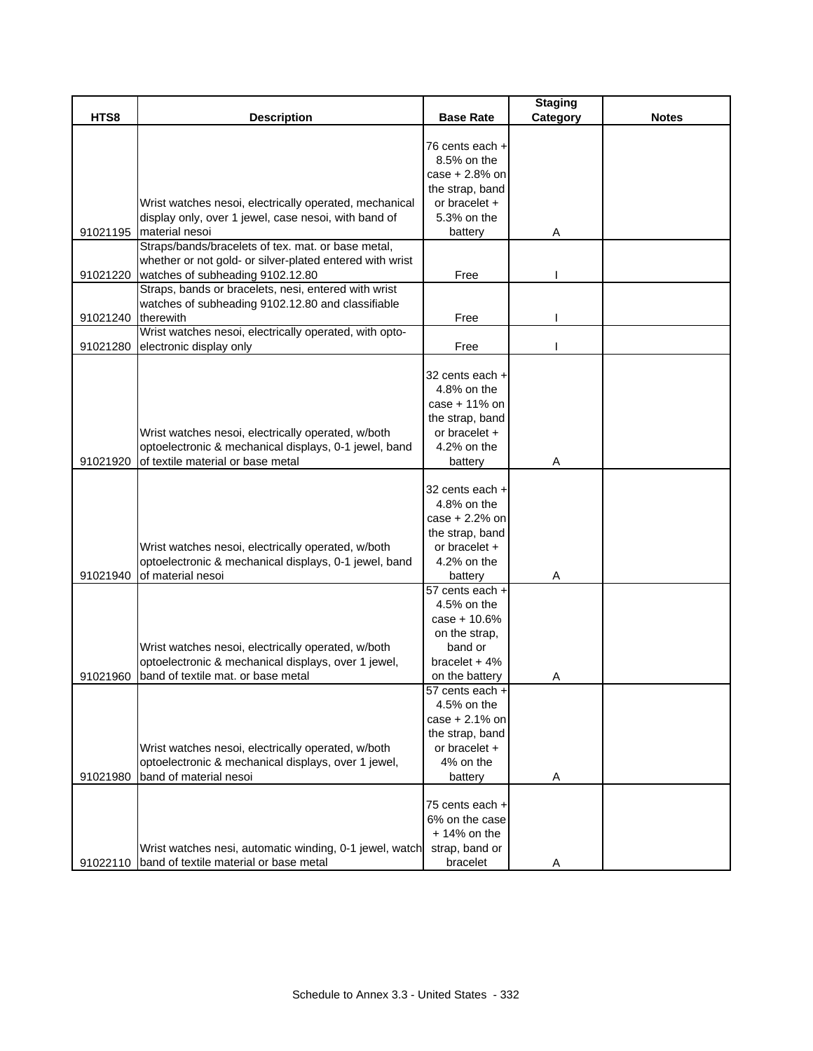|          |                                                          |                              | <b>Staging</b> |              |
|----------|----------------------------------------------------------|------------------------------|----------------|--------------|
| HTS8     | <b>Description</b>                                       | <b>Base Rate</b>             | Category       | <b>Notes</b> |
|          |                                                          |                              |                |              |
|          |                                                          | 76 cents each +              |                |              |
|          |                                                          | 8.5% on the                  |                |              |
|          |                                                          | case + 2.8% on               |                |              |
|          |                                                          | the strap, band              |                |              |
|          | Wrist watches nesoi, electrically operated, mechanical   | or bracelet $+$              |                |              |
|          | display only, over 1 jewel, case nesoi, with band of     | 5.3% on the                  |                |              |
| 91021195 | material nesoi                                           | battery                      | Α              |              |
|          | Straps/bands/bracelets of tex. mat. or base metal,       |                              |                |              |
|          | whether or not gold- or silver-plated entered with wrist |                              |                |              |
| 91021220 | watches of subheading 9102.12.80                         | Free                         |                |              |
|          | Straps, bands or bracelets, nesi, entered with wrist     |                              |                |              |
|          | watches of subheading 9102.12.80 and classifiable        |                              |                |              |
| 91021240 | therewith                                                | Free                         |                |              |
|          | Wrist watches nesoi, electrically operated, with opto-   |                              |                |              |
| 91021280 | electronic display only                                  | Free                         |                |              |
|          |                                                          |                              |                |              |
|          |                                                          | 32 cents each +              |                |              |
|          |                                                          | 4.8% on the                  |                |              |
|          |                                                          | case + 11% on                |                |              |
|          |                                                          | the strap, band              |                |              |
|          | Wrist watches nesoi, electrically operated, w/both       | or bracelet +                |                |              |
|          | optoelectronic & mechanical displays, 0-1 jewel, band    | 4.2% on the                  |                |              |
| 91021920 | of textile material or base metal                        | battery                      | Α              |              |
|          |                                                          |                              |                |              |
|          |                                                          | 32 cents each +              |                |              |
|          |                                                          | 4.8% on the                  |                |              |
|          |                                                          | case + 2.2% on               |                |              |
|          |                                                          | the strap, band              |                |              |
|          | Wrist watches nesoi, electrically operated, w/both       | or bracelet +                |                |              |
|          | optoelectronic & mechanical displays, 0-1 jewel, band    | 4.2% on the                  |                |              |
| 91021940 | of material nesoi                                        | battery                      | Α              |              |
|          |                                                          | 57 cents each +              |                |              |
|          |                                                          | 4.5% on the                  |                |              |
|          |                                                          | $case + 10.6%$               |                |              |
|          |                                                          | on the strap.                |                |              |
|          | Wrist watches nesoi, electrically operated, w/both       | band or                      |                |              |
|          | optoelectronic & mechanical displays, over 1 jewel,      | bracelet $+4%$               |                |              |
| 91021960 | band of textile mat. or base metal                       | on the battery               | Α              |              |
|          |                                                          | $\overline{57}$ cents each + |                |              |
|          |                                                          | 4.5% on the                  |                |              |
|          |                                                          | $case + 2.1%$ on             |                |              |
|          |                                                          | the strap, band              |                |              |
|          | Wrist watches nesoi, electrically operated, w/both       | or bracelet +                |                |              |
|          | optoelectronic & mechanical displays, over 1 jewel,      | 4% on the                    |                |              |
| 91021980 | band of material nesoi                                   | battery                      | Α              |              |
|          |                                                          |                              |                |              |
|          |                                                          | 75 cents each +              |                |              |
|          |                                                          | 6% on the case               |                |              |
|          |                                                          | $+14\%$ on the               |                |              |
|          | Wrist watches nesi, automatic winding, 0-1 jewel, watch  | strap, band or               |                |              |
| 91022110 | band of textile material or base metal                   | bracelet                     | Α              |              |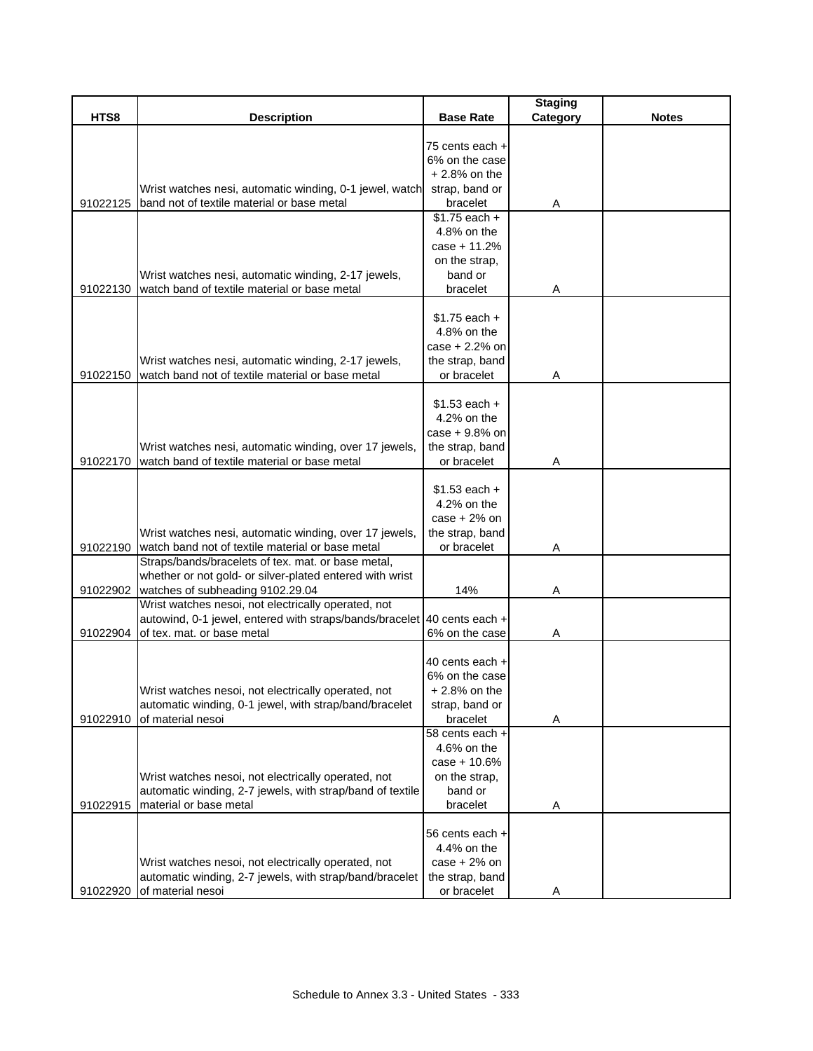|          |                                                                                                                |                                                                                     | <b>Staging</b> |              |
|----------|----------------------------------------------------------------------------------------------------------------|-------------------------------------------------------------------------------------|----------------|--------------|
| HTS8     | <b>Description</b>                                                                                             | <b>Base Rate</b>                                                                    | Category       | <b>Notes</b> |
|          |                                                                                                                | 75 cents each +<br>6% on the case                                                   |                |              |
|          |                                                                                                                | $+2.8\%$ on the                                                                     |                |              |
|          | Wrist watches nesi, automatic winding, 0-1 jewel, watch                                                        | strap, band or                                                                      |                |              |
| 91022125 | band not of textile material or base metal                                                                     | bracelet<br>$$1.75$ each +                                                          | Α              |              |
|          |                                                                                                                | 4.8% on the                                                                         |                |              |
|          |                                                                                                                | case + 11.2%                                                                        |                |              |
|          |                                                                                                                | on the strap,                                                                       |                |              |
|          | Wrist watches nesi, automatic winding, 2-17 jewels,                                                            | band or                                                                             |                |              |
| 91022130 | watch band of textile material or base metal                                                                   | bracelet                                                                            | Α              |              |
|          | Wrist watches nesi, automatic winding, 2-17 jewels,<br>watch band not of textile material or base metal        | $$1.75$ each $+$<br>4.8% on the<br>case + 2.2% on<br>the strap, band<br>or bracelet |                |              |
| 91022150 |                                                                                                                |                                                                                     | Α              |              |
| 91022170 | Wrist watches nesi, automatic winding, over 17 jewels,<br>watch band of textile material or base metal         | $$1.53$ each +<br>4.2% on the<br>case + 9.8% on<br>the strap, band<br>or bracelet   | Α              |              |
|          |                                                                                                                |                                                                                     |                |              |
|          |                                                                                                                | $$1.53$ each +<br>4.2% on the                                                       |                |              |
|          |                                                                                                                | $case + 2%$ on                                                                      |                |              |
|          | Wrist watches nesi, automatic winding, over 17 jewels,                                                         | the strap, band                                                                     |                |              |
| 91022190 | watch band not of textile material or base metal                                                               | or bracelet                                                                         | Α              |              |
|          | Straps/bands/bracelets of tex. mat. or base metal,                                                             |                                                                                     |                |              |
|          | whether or not gold- or silver-plated entered with wrist                                                       |                                                                                     |                |              |
| 91022902 | watches of subheading 9102.29.04<br>Wrist watches nesoi, not electrically operated, not                        | 14%                                                                                 | Α              |              |
|          | autowind, 0-1 jewel, entered with straps/bands/bracelet 40 cents each +                                        |                                                                                     |                |              |
| 91022904 | of tex. mat. or base metal                                                                                     | 6% on the case                                                                      | Α              |              |
|          | Wrist watches nesoi, not electrically operated, not<br>automatic winding, 0-1 jewel, with strap/band/bracelet  | 40 cents each +<br>6% on the case<br>+ 2.8% on the<br>strap, band or                |                |              |
| 91022910 | of material nesoi                                                                                              | bracelet                                                                            | Α              |              |
|          |                                                                                                                | 58 cents each +<br>4.6% on the                                                      |                |              |
|          |                                                                                                                | $case + 10.6%$                                                                      |                |              |
|          | Wrist watches nesoi, not electrically operated, not                                                            | on the strap,                                                                       |                |              |
|          | automatic winding, 2-7 jewels, with strap/band of textile                                                      | band or                                                                             |                |              |
| 91022915 | material or base metal                                                                                         | bracelet                                                                            | Α              |              |
|          | Wrist watches nesoi, not electrically operated, not<br>automatic winding, 2-7 jewels, with strap/band/bracelet | 56 cents each +<br>4.4% on the<br>$case + 2%$ on<br>the strap, band                 |                |              |
| 91022920 | of material nesoi                                                                                              | or bracelet                                                                         |                |              |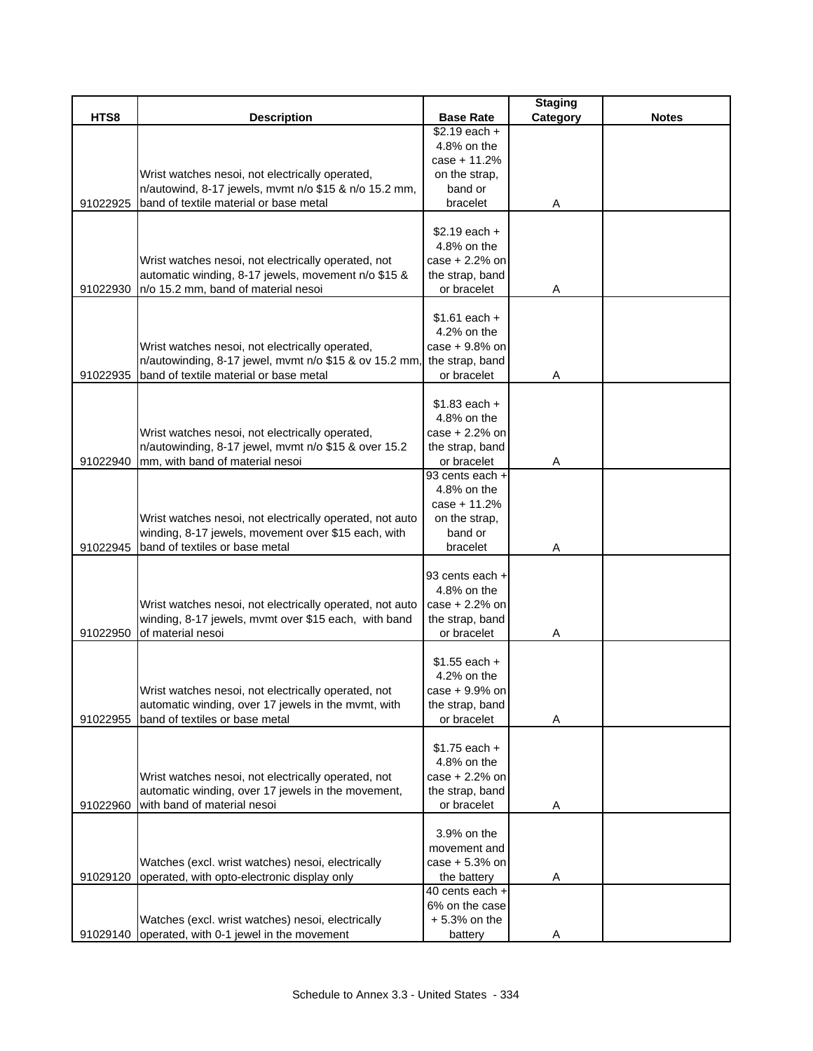|          |                                                                                       |                          | <b>Staging</b> |              |
|----------|---------------------------------------------------------------------------------------|--------------------------|----------------|--------------|
| HTS8     | <b>Description</b>                                                                    | <b>Base Rate</b>         | Category       | <b>Notes</b> |
|          |                                                                                       | $$2.19$ each +           |                |              |
|          |                                                                                       | 4.8% on the              |                |              |
|          |                                                                                       | case + 11.2%             |                |              |
|          | Wrist watches nesoi, not electrically operated,                                       | on the strap,            |                |              |
|          | n/autowind, 8-17 jewels, mvmt n/o \$15 & n/o 15.2 mm,                                 | band or                  |                |              |
| 91022925 | band of textile material or base metal                                                | bracelet                 | Α              |              |
|          |                                                                                       | $$2.19$ each +           |                |              |
|          |                                                                                       | 4.8% on the              |                |              |
|          | Wrist watches nesoi, not electrically operated, not                                   | case + 2.2% on           |                |              |
|          | automatic winding, 8-17 jewels, movement n/o \$15 &                                   | the strap, band          |                |              |
| 91022930 | n/o 15.2 mm, band of material nesoi                                                   | or bracelet              | Α              |              |
|          |                                                                                       |                          |                |              |
|          |                                                                                       | $$1.61$ each +           |                |              |
|          |                                                                                       | 4.2% on the              |                |              |
|          | Wrist watches nesoi, not electrically operated,                                       | case + 9.8% on           |                |              |
|          | n/autowinding, 8-17 jewel, mvmt n/o \$15 & ov 15.2 mm,                                | the strap, band          |                |              |
| 91022935 | band of textile material or base metal                                                | or bracelet              | Α              |              |
|          |                                                                                       |                          |                |              |
|          |                                                                                       | $$1.83$ each +           |                |              |
|          |                                                                                       | 4.8% on the              |                |              |
|          | Wrist watches nesoi, not electrically operated,                                       | case + 2.2% on           |                |              |
|          | n/autowinding, 8-17 jewel, mvmt n/o \$15 & over 15.2                                  | the strap, band          |                |              |
| 91022940 | mm, with band of material nesoi                                                       | or bracelet              | Α              |              |
|          |                                                                                       | 93 cents each +          |                |              |
|          |                                                                                       | 4.8% on the              |                |              |
|          |                                                                                       | case + 11.2%             |                |              |
|          | Wrist watches nesoi, not electrically operated, not auto                              | on the strap,<br>band or |                |              |
| 91022945 | winding, 8-17 jewels, movement over \$15 each, with<br>band of textiles or base metal | bracelet                 | Α              |              |
|          |                                                                                       |                          |                |              |
|          |                                                                                       | 93 cents each +          |                |              |
|          |                                                                                       | 4.8% on the              |                |              |
|          | Wrist watches nesoi, not electrically operated, not auto                              | case + 2.2% on           |                |              |
|          | winding, 8-17 jewels, mvmt over \$15 each, with band                                  | the strap, band          |                |              |
| 91022950 | of material nesoi                                                                     | or bracelet              | Α              |              |
|          |                                                                                       |                          |                |              |
|          |                                                                                       | $$1.55$ each +           |                |              |
|          |                                                                                       | 4.2% on the              |                |              |
|          | Wrist watches nesoi, not electrically operated, not                                   | case + 9.9% on           |                |              |
|          | automatic winding, over 17 jewels in the mymt, with                                   | the strap, band          |                |              |
| 91022955 | band of textiles or base metal                                                        | or bracelet              | Α              |              |
|          |                                                                                       | $$1.75$ each +           |                |              |
|          |                                                                                       | 4.8% on the              |                |              |
|          | Wrist watches nesoi, not electrically operated, not                                   | case + 2.2% on           |                |              |
|          | automatic winding, over 17 jewels in the movement,                                    | the strap, band          |                |              |
| 91022960 | with band of material nesoi                                                           | or bracelet              | A              |              |
|          |                                                                                       |                          |                |              |
|          |                                                                                       | 3.9% on the              |                |              |
|          |                                                                                       | movement and             |                |              |
|          | Watches (excl. wrist watches) nesoi, electrically                                     | case + 5.3% on           |                |              |
| 91029120 | operated, with opto-electronic display only                                           | the battery              | Α              |              |
|          |                                                                                       | 40 cents each +          |                |              |
|          |                                                                                       | 6% on the case           |                |              |
|          | Watches (excl. wrist watches) nesoi, electrically                                     | $+5.3%$ on the           |                |              |
| 91029140 | operated, with 0-1 jewel in the movement                                              | battery                  | A              |              |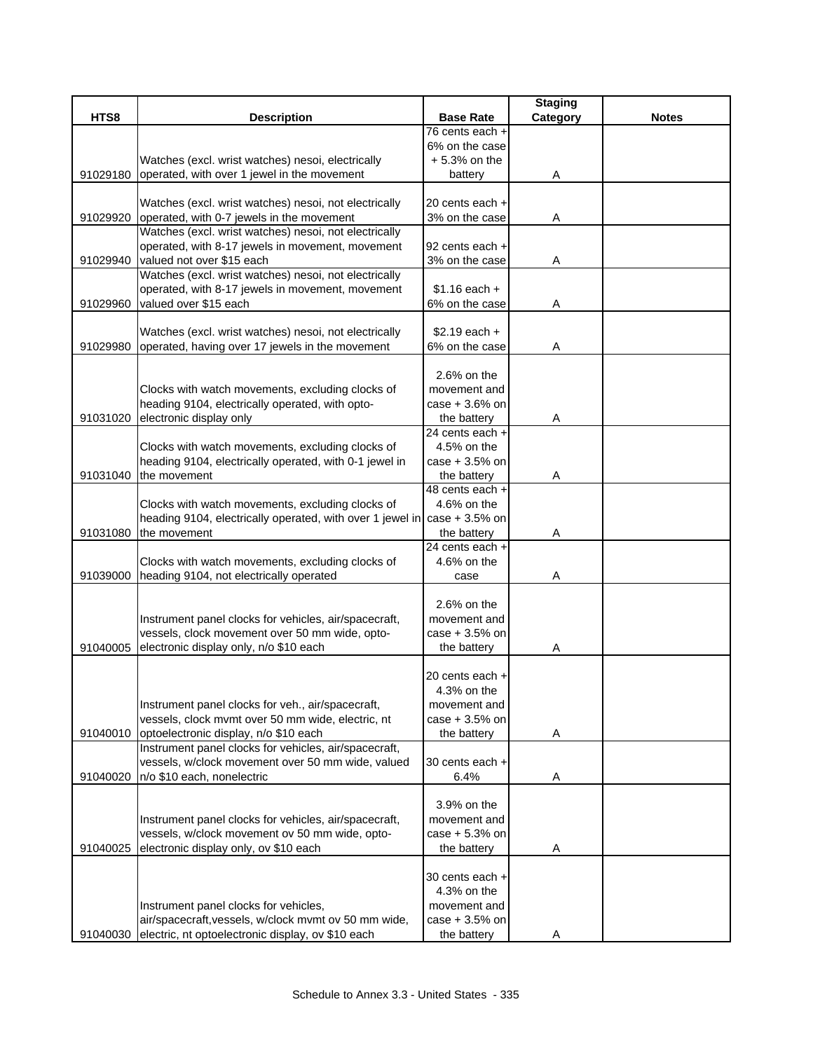|          |                                                                          |                  | <b>Staging</b> |              |
|----------|--------------------------------------------------------------------------|------------------|----------------|--------------|
| HTS8     | <b>Description</b>                                                       | <b>Base Rate</b> | Category       | <b>Notes</b> |
|          |                                                                          | 76 cents each +  |                |              |
|          |                                                                          | 6% on the case   |                |              |
|          | Watches (excl. wrist watches) nesoi, electrically                        | $+5.3%$ on the   |                |              |
| 91029180 | operated, with over 1 jewel in the movement                              | battery          | Α              |              |
|          | Watches (excl. wrist watches) nesoi, not electrically                    | 20 cents each +  |                |              |
| 91029920 | operated, with 0-7 jewels in the movement                                | 3% on the case   | A              |              |
|          | Watches (excl. wrist watches) nesoi, not electrically                    |                  |                |              |
|          | operated, with 8-17 jewels in movement, movement                         | 92 cents each +  |                |              |
| 91029940 | valued not over \$15 each                                                | 3% on the case   | Α              |              |
|          | Watches (excl. wrist watches) nesoi, not electrically                    |                  |                |              |
|          | operated, with 8-17 jewels in movement, movement                         | $$1.16$ each +   |                |              |
| 91029960 | valued over \$15 each                                                    | 6% on the case   | A              |              |
|          |                                                                          |                  |                |              |
|          | Watches (excl. wrist watches) nesoi, not electrically                    | $$2.19$ each +   |                |              |
| 91029980 | operated, having over 17 jewels in the movement                          | 6% on the case   | Α              |              |
|          |                                                                          |                  |                |              |
|          |                                                                          | $2.6%$ on the    |                |              |
|          | Clocks with watch movements, excluding clocks of                         | movement and     |                |              |
|          | heading 9104, electrically operated, with opto-                          | $case + 3.6%$ on |                |              |
| 91031020 | electronic display only                                                  | the battery      | Α              |              |
|          |                                                                          | 24 cents each +  |                |              |
|          | Clocks with watch movements, excluding clocks of                         | 4.5% on the      |                |              |
|          | heading 9104, electrically operated, with 0-1 jewel in                   | $case + 3.5%$ on |                |              |
| 91031040 | the movement                                                             | the battery      | Α              |              |
|          |                                                                          | 48 cents each +  |                |              |
|          | Clocks with watch movements, excluding clocks of                         | 4.6% on the      |                |              |
|          | heading 9104, electrically operated, with over 1 jewel in case + 3.5% on |                  |                |              |
| 91031080 | the movement                                                             | the battery      | Α              |              |
|          |                                                                          | 24 cents each +  |                |              |
|          | Clocks with watch movements, excluding clocks of                         | 4.6% on the      |                |              |
| 91039000 | heading 9104, not electrically operated                                  | case             | Α              |              |
|          |                                                                          |                  |                |              |
|          |                                                                          | $2.6%$ on the    |                |              |
|          | Instrument panel clocks for vehicles, air/spacecraft,                    | movement and     |                |              |
|          | vessels, clock movement over 50 mm wide, opto-                           | $case + 3.5%$ on |                |              |
| 91040005 | electronic display only, n/o \$10 each                                   | the battery      | A              |              |
|          |                                                                          | 20 cents each +  |                |              |
|          |                                                                          | 4.3% on the      |                |              |
|          | Instrument panel clocks for veh., air/spacecraft,                        | movement and     |                |              |
|          | vessels, clock mvmt over 50 mm wide, electric, nt                        | $case + 3.5%$ on |                |              |
| 91040010 | optoelectronic display, n/o \$10 each                                    | the battery      | Α              |              |
|          | Instrument panel clocks for vehicles, air/spacecraft,                    |                  |                |              |
|          | vessels, w/clock movement over 50 mm wide, valued                        | 30 cents each +  |                |              |
| 91040020 | n/o \$10 each, nonelectric                                               | 6.4%             | Α              |              |
|          |                                                                          |                  |                |              |
|          |                                                                          | 3.9% on the      |                |              |
|          | Instrument panel clocks for vehicles, air/spacecraft,                    | movement and     |                |              |
|          | vessels, w/clock movement ov 50 mm wide, opto-                           | case $+5.3%$ on  |                |              |
| 91040025 | electronic display only, ov \$10 each                                    | the battery      | Α              |              |
|          |                                                                          |                  |                |              |
|          |                                                                          | 30 cents each +  |                |              |
|          |                                                                          | 4.3% on the      |                |              |
|          | Instrument panel clocks for vehicles,                                    | movement and     |                |              |
|          | air/spacecraft, vessels, w/clock mvmt ov 50 mm wide,                     | $case + 3.5%$ on |                |              |
| 91040030 | electric, nt optoelectronic display, ov \$10 each                        | the battery      | Α              |              |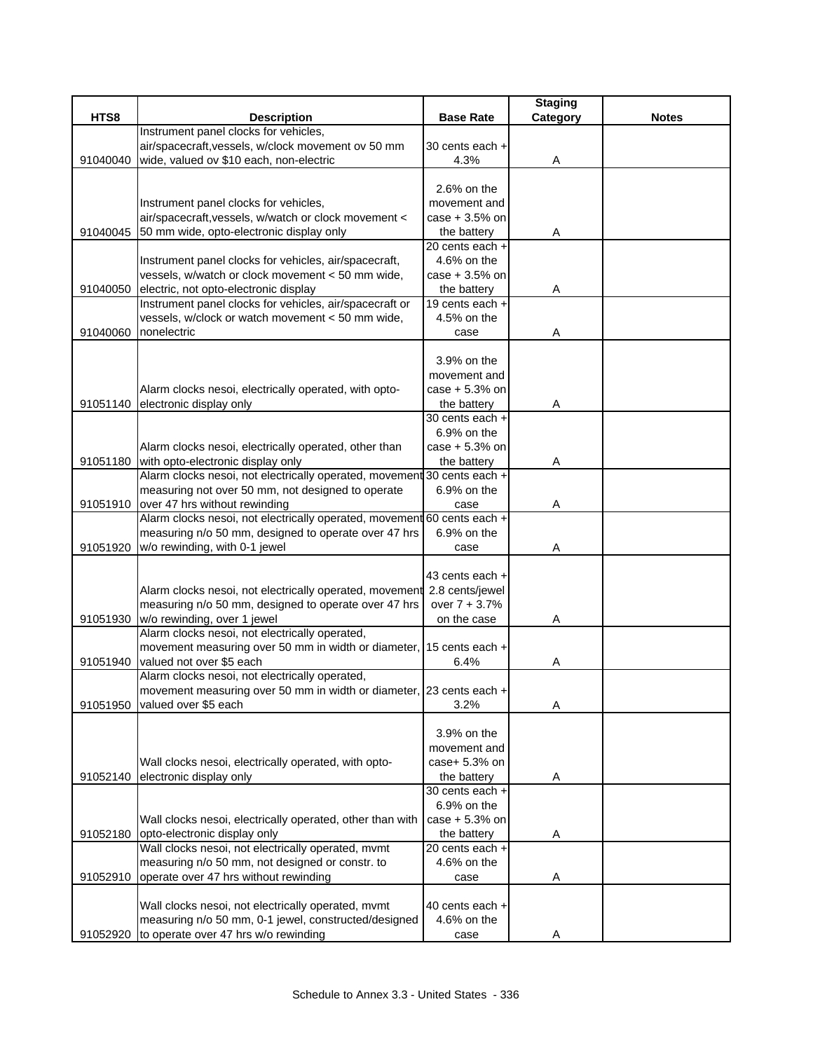|          |                                                                                                              |                  | <b>Staging</b> |              |
|----------|--------------------------------------------------------------------------------------------------------------|------------------|----------------|--------------|
| HTS8     | <b>Description</b>                                                                                           | <b>Base Rate</b> | Category       | <b>Notes</b> |
|          | Instrument panel clocks for vehicles,                                                                        |                  |                |              |
|          | air/spacecraft, vessels, w/clock movement ov 50 mm                                                           | 30 cents each +  |                |              |
| 91040040 | wide, valued ov \$10 each, non-electric                                                                      | 4.3%             | A              |              |
|          |                                                                                                              | $2.6%$ on the    |                |              |
|          | Instrument panel clocks for vehicles,                                                                        | movement and     |                |              |
|          | air/spacecraft, vessels, w/watch or clock movement <                                                         | case + 3.5% on   |                |              |
| 91040045 | 50 mm wide, opto-electronic display only                                                                     | the battery      | Α              |              |
|          |                                                                                                              | 20 cents each +  |                |              |
|          | Instrument panel clocks for vehicles, air/spacecraft,                                                        | 4.6% on the      |                |              |
|          | vessels, w/watch or clock movement < 50 mm wide,                                                             | $case + 3.5%$ on |                |              |
| 91040050 | electric, not opto-electronic display                                                                        | the battery      | Α              |              |
|          | Instrument panel clocks for vehicles, air/spacecraft or                                                      | 19 cents each +  |                |              |
|          | vessels, w/clock or watch movement < 50 mm wide,                                                             | 4.5% on the      |                |              |
| 91040060 | nonelectric                                                                                                  | case             | Α              |              |
|          |                                                                                                              |                  |                |              |
|          |                                                                                                              | 3.9% on the      |                |              |
|          |                                                                                                              | movement and     |                |              |
|          | Alarm clocks nesoi, electrically operated, with opto-                                                        | $case + 5.3%$ on |                |              |
| 91051140 | electronic display only                                                                                      | the battery      | Α              |              |
|          |                                                                                                              | 30 cents each +  |                |              |
|          |                                                                                                              | 6.9% on the      |                |              |
|          | Alarm clocks nesoi, electrically operated, other than                                                        | $case + 5.3%$ on |                |              |
| 91051180 | with opto-electronic display only<br>Alarm clocks nesoi, not electrically operated, movement 30 cents each + | the battery      | Α              |              |
|          | measuring not over 50 mm, not designed to operate                                                            | 6.9% on the      |                |              |
|          | 91051910 over 47 hrs without rewinding                                                                       | case             |                |              |
|          | Alarm clocks nesoi, not electrically operated, movement 60 cents each +                                      |                  | A              |              |
|          | measuring n/o 50 mm, designed to operate over 47 hrs                                                         | 6.9% on the      |                |              |
| 91051920 | w/o rewinding, with 0-1 jewel                                                                                | case             | Α              |              |
|          |                                                                                                              |                  |                |              |
|          |                                                                                                              | 43 cents each +  |                |              |
|          | Alarm clocks nesoi, not electrically operated, movement                                                      | 2.8 cents/jewel  |                |              |
|          | measuring n/o 50 mm, designed to operate over 47 hrs                                                         | over $7 + 3.7%$  |                |              |
| 91051930 | w/o rewinding, over 1 jewel                                                                                  | on the case      | Α              |              |
|          | Alarm clocks nesoi, not electrically operated,                                                               |                  |                |              |
|          | movement measuring over 50 mm in width or diameter,                                                          | 15 cents each +  |                |              |
| 91051940 | valued not over \$5 each                                                                                     | 6.4%             | A              |              |
|          | Alarm clocks nesoi, not electrically operated,                                                               |                  |                |              |
|          | movement measuring over 50 mm in width or diameter, 23 cents each +                                          |                  |                |              |
| 91051950 | valued over \$5 each                                                                                         | 3.2%             | Α              |              |
|          |                                                                                                              | 3.9% on the      |                |              |
|          |                                                                                                              | movement and     |                |              |
|          | Wall clocks nesoi, electrically operated, with opto-                                                         | case+ 5.3% on    |                |              |
| 91052140 | electronic display only                                                                                      | the battery      | Α              |              |
|          |                                                                                                              | 30 cents each +  |                |              |
|          |                                                                                                              | 6.9% on the      |                |              |
|          | Wall clocks nesoi, electrically operated, other than with                                                    | $case + 5.3%$ on |                |              |
| 91052180 | opto-electronic display only                                                                                 | the battery      | A              |              |
|          | Wall clocks nesoi, not electrically operated, mvmt                                                           | 20 cents each +  |                |              |
|          | measuring n/o 50 mm, not designed or constr. to                                                              | 4.6% on the      |                |              |
| 91052910 | operate over 47 hrs without rewinding                                                                        | case             | A              |              |
|          |                                                                                                              |                  |                |              |
|          | Wall clocks nesoi, not electrically operated, mvmt                                                           | 40 cents each +  |                |              |
|          | measuring n/o 50 mm, 0-1 jewel, constructed/designed                                                         | 4.6% on the      |                |              |
| 91052920 | to operate over 47 hrs w/o rewinding                                                                         | case             | A              |              |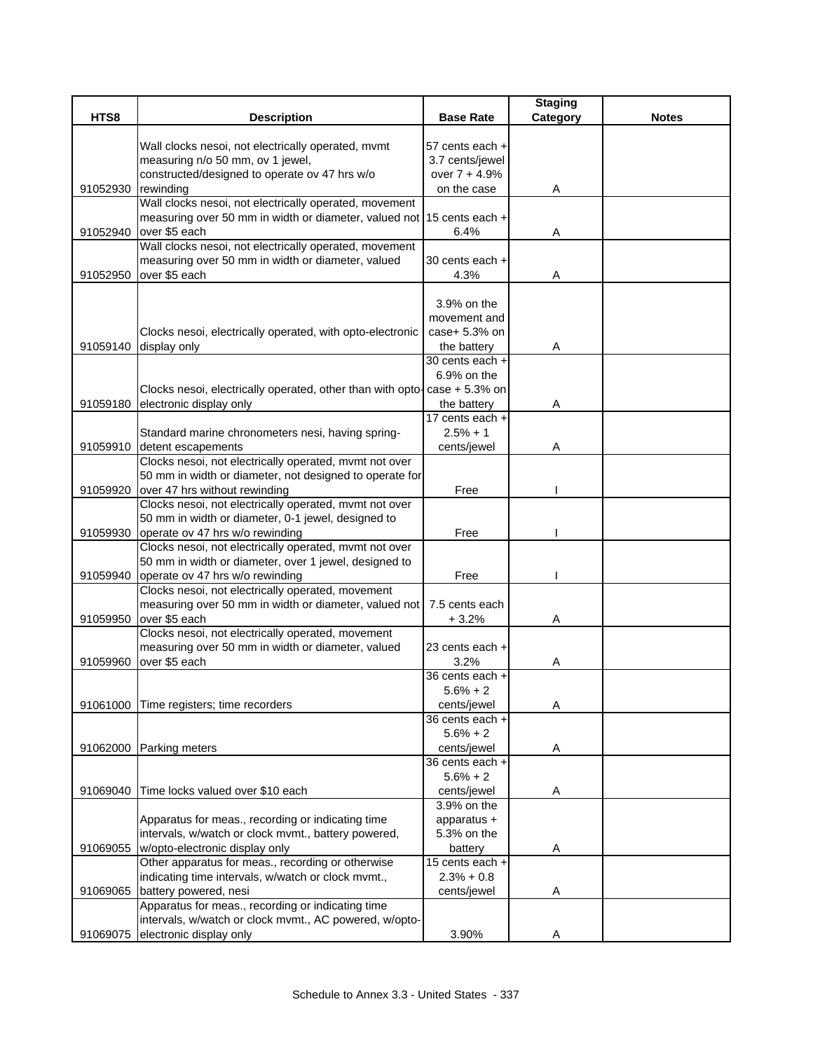|          |                                                                                                                                 |                            | <b>Staging</b> |              |
|----------|---------------------------------------------------------------------------------------------------------------------------------|----------------------------|----------------|--------------|
| HTS8     | <b>Description</b>                                                                                                              | <b>Base Rate</b>           | Category       | <b>Notes</b> |
|          |                                                                                                                                 |                            |                |              |
|          | Wall clocks nesoi, not electrically operated, mvmt                                                                              | 57 cents each +            |                |              |
|          | measuring n/o 50 mm, ov 1 jewel,                                                                                                | 3.7 cents/jewel            |                |              |
|          | constructed/designed to operate ov 47 hrs w/o                                                                                   | over 7 + 4.9%              |                |              |
| 91052930 | rewinding                                                                                                                       | on the case                | Α              |              |
|          | Wall clocks nesoi, not electrically operated, movement<br>measuring over 50 mm in width or diameter, valued not 15 cents each + |                            |                |              |
| 91052940 | over \$5 each                                                                                                                   | 6.4%                       |                |              |
|          | Wall clocks nesoi, not electrically operated, movement                                                                          |                            | Α              |              |
|          | measuring over 50 mm in width or diameter, valued                                                                               | 30 cents each +            |                |              |
| 91052950 | over \$5 each                                                                                                                   | 4.3%                       | Α              |              |
|          |                                                                                                                                 |                            |                |              |
|          |                                                                                                                                 | 3.9% on the                |                |              |
|          |                                                                                                                                 | movement and               |                |              |
|          | Clocks nesoi, electrically operated, with opto-electronic                                                                       | case+ 5.3% on              |                |              |
| 91059140 | display only                                                                                                                    | the battery                | Α              |              |
|          |                                                                                                                                 | 30 cents each +            |                |              |
|          |                                                                                                                                 | 6.9% on the                |                |              |
|          | Clocks nesoi, electrically operated, other than with opto- $\cos + 5.3\%$ on                                                    |                            |                |              |
| 91059180 | electronic display only                                                                                                         | the battery                | Α              |              |
|          |                                                                                                                                 | 17 cents each +            |                |              |
|          | Standard marine chronometers nesi, having spring-                                                                               | $2.5% + 1$                 |                |              |
| 91059910 | detent escapements                                                                                                              | cents/jewel                | Α              |              |
|          | Clocks nesoi, not electrically operated, mvmt not over                                                                          |                            |                |              |
|          | 50 mm in width or diameter, not designed to operate for                                                                         |                            |                |              |
| 91059920 | over 47 hrs without rewinding                                                                                                   | Free                       |                |              |
|          | Clocks nesoi, not electrically operated, mvmt not over                                                                          |                            |                |              |
|          | 50 mm in width or diameter, 0-1 jewel, designed to                                                                              |                            |                |              |
| 91059930 | operate ov 47 hrs w/o rewinding<br>Clocks nesoi, not electrically operated, mvmt not over                                       | Free                       |                |              |
|          | 50 mm in width or diameter, over 1 jewel, designed to                                                                           |                            |                |              |
| 91059940 | operate ov 47 hrs w/o rewinding                                                                                                 | Free                       |                |              |
|          | Clocks nesoi, not electrically operated, movement                                                                               |                            |                |              |
|          | measuring over 50 mm in width or diameter, valued not                                                                           | 7.5 cents each             |                |              |
| 91059950 | over \$5 each                                                                                                                   | $+3.2%$                    | Α              |              |
|          | Clocks nesoi, not electrically operated, movement                                                                               |                            |                |              |
|          | measuring over 50 mm in width or diameter, valued                                                                               | 23 cents each +            |                |              |
| 91059960 | over \$5 each                                                                                                                   | 3.2%                       | Α              |              |
|          |                                                                                                                                 | 36 cents each +            |                |              |
|          |                                                                                                                                 | $5.6% + 2$                 |                |              |
| 91061000 | Time registers; time recorders                                                                                                  | cents/jewel                | Α              |              |
|          |                                                                                                                                 | 36 cents each +            |                |              |
|          |                                                                                                                                 | $5.6% + 2$                 |                |              |
| 91062000 | Parking meters                                                                                                                  | cents/jewel                | Α              |              |
|          |                                                                                                                                 | 36 cents each +            |                |              |
|          |                                                                                                                                 | $5.6% + 2$                 |                |              |
| 91069040 | Time locks valued over \$10 each                                                                                                | cents/jewel                | A              |              |
|          |                                                                                                                                 | 3.9% on the                |                |              |
|          | Apparatus for meas., recording or indicating time<br>intervals, w/watch or clock mvmt., battery powered,                        | apparatus +<br>5.3% on the |                |              |
| 91069055 | w/opto-electronic display only                                                                                                  | battery                    | Α              |              |
|          | Other apparatus for meas., recording or otherwise                                                                               | 15 cents each +            |                |              |
|          | indicating time intervals, w/watch or clock mvmt.,                                                                              | $2.3% + 0.8$               |                |              |
| 91069065 | battery powered, nesi                                                                                                           | cents/jewel                | Α              |              |
|          | Apparatus for meas., recording or indicating time                                                                               |                            |                |              |
|          | intervals, w/watch or clock mvmt., AC powered, w/opto-                                                                          |                            |                |              |
| 91069075 | electronic display only                                                                                                         | 3.90%                      | Α              |              |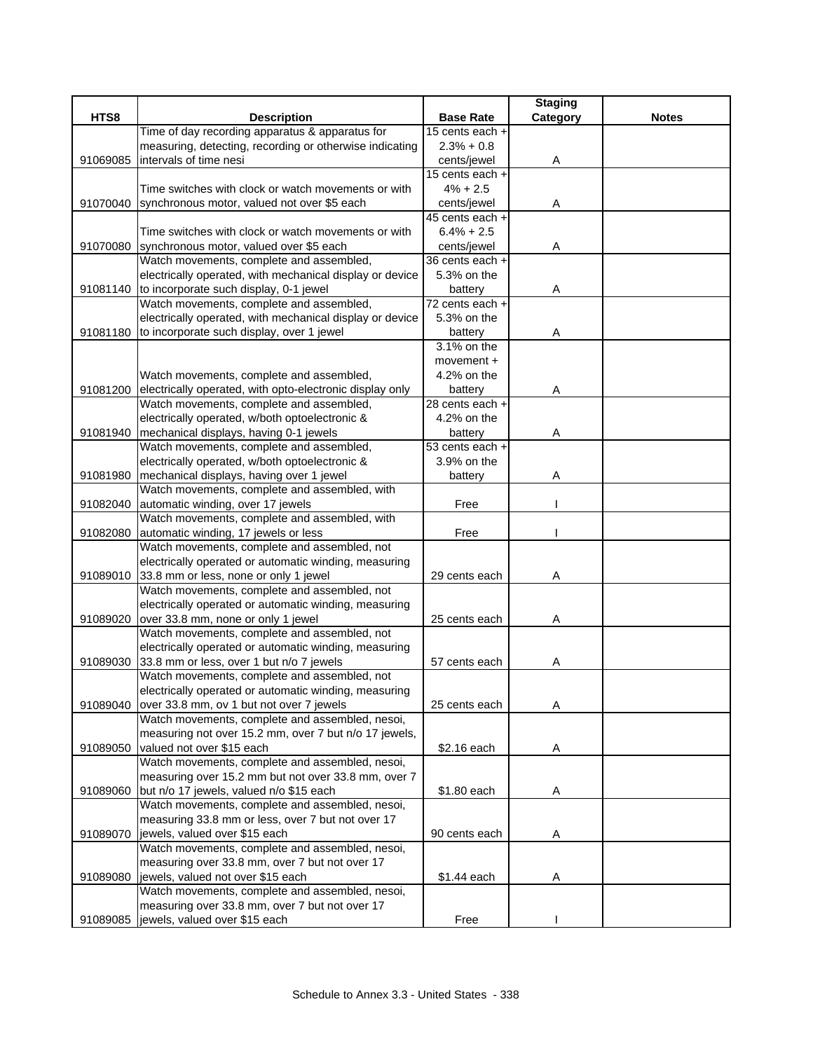|          |                                                          |                  | <b>Staging</b> |              |
|----------|----------------------------------------------------------|------------------|----------------|--------------|
| HTS8     | <b>Description</b>                                       | <b>Base Rate</b> | Category       | <b>Notes</b> |
|          | Time of day recording apparatus & apparatus for          | 15 cents each +  |                |              |
|          | measuring, detecting, recording or otherwise indicating  | $2.3% + 0.8$     |                |              |
| 91069085 | intervals of time nesi                                   | cents/jewel      | Α              |              |
|          |                                                          | 15 cents each +  |                |              |
|          | Time switches with clock or watch movements or with      | $4\% + 2.5$      |                |              |
| 91070040 | synchronous motor, valued not over \$5 each              | cents/jewel      | Α              |              |
|          |                                                          | 45 cents each +  |                |              |
|          | Time switches with clock or watch movements or with      | $6.4% + 2.5$     |                |              |
| 91070080 | synchronous motor, valued over \$5 each                  | cents/jewel      | Α              |              |
|          | Watch movements, complete and assembled,                 | 36 cents each +  |                |              |
|          | electrically operated, with mechanical display or device | 5.3% on the      |                |              |
| 91081140 | to incorporate such display, 0-1 jewel                   | battery          | Α              |              |
|          | Watch movements, complete and assembled,                 | 72 cents each +  |                |              |
|          | electrically operated, with mechanical display or device | 5.3% on the      |                |              |
| 91081180 | to incorporate such display, over 1 jewel                | battery          | Α              |              |
|          |                                                          | 3.1% on the      |                |              |
|          |                                                          | movement +       |                |              |
|          | Watch movements, complete and assembled,                 | 4.2% on the      |                |              |
| 91081200 | electrically operated, with opto-electronic display only | battery          | Α              |              |
|          | Watch movements, complete and assembled,                 | 28 cents each +  |                |              |
|          | electrically operated, w/both optoelectronic &           | 4.2% on the      |                |              |
| 91081940 | mechanical displays, having 0-1 jewels                   | battery          | Α              |              |
|          | Watch movements, complete and assembled,                 | 53 cents each +  |                |              |
|          | electrically operated, w/both optoelectronic &           | 3.9% on the      |                |              |
| 91081980 | mechanical displays, having over 1 jewel                 | battery          | Α              |              |
|          | Watch movements, complete and assembled, with            |                  |                |              |
| 91082040 | automatic winding, over 17 jewels                        | Free             |                |              |
|          | Watch movements, complete and assembled, with            |                  |                |              |
| 91082080 | automatic winding, 17 jewels or less                     | Free             |                |              |
|          | Watch movements, complete and assembled, not             |                  |                |              |
|          | electrically operated or automatic winding, measuring    |                  |                |              |
| 91089010 | 33.8 mm or less, none or only 1 jewel                    | 29 cents each    | Α              |              |
|          | Watch movements, complete and assembled, not             |                  |                |              |
|          | electrically operated or automatic winding, measuring    |                  |                |              |
| 91089020 | over 33.8 mm, none or only 1 jewel                       | 25 cents each    | Α              |              |
|          | Watch movements, complete and assembled, not             |                  |                |              |
|          | electrically operated or automatic winding, measuring    |                  |                |              |
| 91089030 | 33.8 mm or less, over 1 but n/o 7 jewels                 | 57 cents each    | Α              |              |
|          | Watch movements, complete and assembled, not             |                  |                |              |
|          | electrically operated or automatic winding, measuring    |                  |                |              |
| 91089040 | over 33.8 mm, ov 1 but not over 7 jewels                 | 25 cents each    | Α              |              |
|          | Watch movements, complete and assembled, nesoi,          |                  |                |              |
|          | measuring not over 15.2 mm, over 7 but n/o 17 jewels,    |                  |                |              |
| 91089050 | valued not over \$15 each                                | \$2.16 each      | Α              |              |
|          | Watch movements, complete and assembled, nesoi,          |                  |                |              |
|          | measuring over 15.2 mm but not over 33.8 mm, over 7      |                  |                |              |
| 91089060 | but n/o 17 jewels, valued n/o \$15 each                  | \$1.80 each      | Α              |              |
|          | Watch movements, complete and assembled, nesoi,          |                  |                |              |
|          | measuring 33.8 mm or less, over 7 but not over 17        |                  |                |              |
| 91089070 | jewels, valued over \$15 each                            | 90 cents each    | Α              |              |
|          | Watch movements, complete and assembled, nesoi,          |                  |                |              |
|          | measuring over 33.8 mm, over 7 but not over 17           |                  |                |              |
| 91089080 | jewels, valued not over \$15 each                        | \$1.44 each      | A              |              |
|          | Watch movements, complete and assembled, nesoi,          |                  |                |              |
|          | measuring over 33.8 mm, over 7 but not over 17           |                  |                |              |
| 91089085 | jewels, valued over \$15 each                            | Free             |                |              |
|          |                                                          |                  |                |              |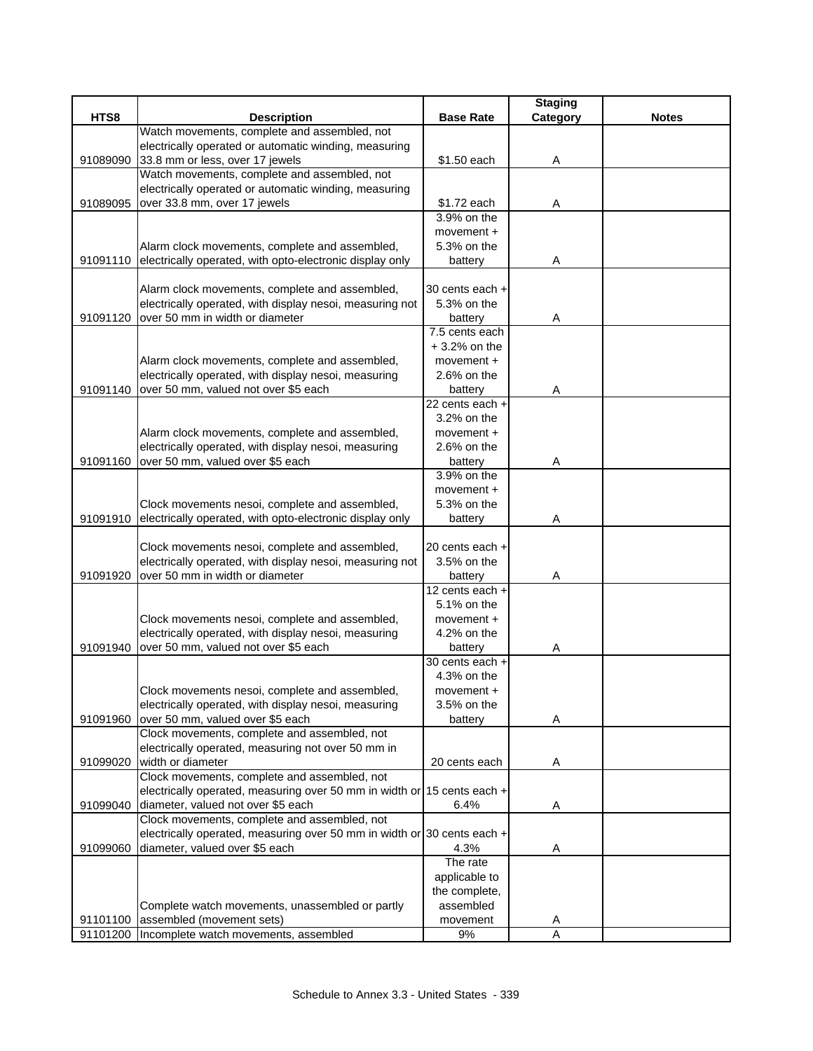|          |                                                                                                        |                                | <b>Staging</b> |              |
|----------|--------------------------------------------------------------------------------------------------------|--------------------------------|----------------|--------------|
| HTS8     | <b>Description</b>                                                                                     | <b>Base Rate</b>               | Category       | <b>Notes</b> |
|          | Watch movements, complete and assembled, not                                                           |                                |                |              |
|          | electrically operated or automatic winding, measuring                                                  |                                |                |              |
| 91089090 | 33.8 mm or less, over 17 jewels                                                                        | \$1.50 each                    | Α              |              |
|          | Watch movements, complete and assembled, not                                                           |                                |                |              |
| 91089095 | electrically operated or automatic winding, measuring<br>over 33.8 mm, over 17 jewels                  | \$1.72 each                    |                |              |
|          |                                                                                                        | 3.9% on the                    | Α              |              |
|          |                                                                                                        | movement +                     |                |              |
|          | Alarm clock movements, complete and assembled,                                                         | 5.3% on the                    |                |              |
| 91091110 | electrically operated, with opto-electronic display only                                               | battery                        | Α              |              |
|          |                                                                                                        |                                |                |              |
|          | Alarm clock movements, complete and assembled,                                                         | 30 cents each +                |                |              |
|          | electrically operated, with display nesoi, measuring not                                               | 5.3% on the                    |                |              |
| 91091120 | over 50 mm in width or diameter                                                                        | battery                        | Α              |              |
|          |                                                                                                        | $\overline{7.5}$ cents each    |                |              |
|          |                                                                                                        | $+3.2%$ on the                 |                |              |
|          | Alarm clock movements, complete and assembled,                                                         | movement +                     |                |              |
|          | electrically operated, with display nesoi, measuring                                                   | $2.6%$ on the                  |                |              |
| 91091140 | over 50 mm, valued not over \$5 each                                                                   | battery                        | A              |              |
|          |                                                                                                        | 22 cents each +                |                |              |
|          |                                                                                                        | 3.2% on the                    |                |              |
|          | Alarm clock movements, complete and assembled,<br>electrically operated, with display nesoi, measuring | movement +<br>$2.6%$ on the    |                |              |
| 91091160 | over 50 mm, valued over \$5 each                                                                       | battery                        | Α              |              |
|          |                                                                                                        | 3.9% on the                    |                |              |
|          |                                                                                                        | movement $+$                   |                |              |
|          | Clock movements nesoi, complete and assembled,                                                         | 5.3% on the                    |                |              |
| 91091910 | electrically operated, with opto-electronic display only                                               | battery                        | Α              |              |
|          |                                                                                                        |                                |                |              |
|          | Clock movements nesoi, complete and assembled,                                                         | 20 cents each +                |                |              |
|          | electrically operated, with display nesoi, measuring not                                               | 3.5% on the                    |                |              |
| 91091920 | over 50 mm in width or diameter                                                                        | battery                        | Α              |              |
|          |                                                                                                        | 12 cents each +                |                |              |
|          |                                                                                                        | 5.1% on the                    |                |              |
|          | Clock movements nesoi, complete and assembled,                                                         | $move$ mnt +                   |                |              |
|          | electrically operated, with display nesoi, measuring                                                   | 4.2% on the                    |                |              |
| 91091940 | over 50 mm, valued not over \$5 each                                                                   | battery<br>30 cents each +     | Α              |              |
|          |                                                                                                        | 4.3% on the                    |                |              |
|          | Clock movements nesoi, complete and assembled,                                                         | movement +                     |                |              |
|          | electrically operated, with display nesoi, measuring                                                   | 3.5% on the                    |                |              |
| 91091960 | over 50 mm, valued over \$5 each                                                                       | battery                        | A              |              |
|          | Clock movements, complete and assembled, not                                                           |                                |                |              |
|          | electrically operated, measuring not over 50 mm in                                                     |                                |                |              |
| 91099020 | width or diameter                                                                                      | 20 cents each                  | Α              |              |
|          | Clock movements, complete and assembled, not                                                           |                                |                |              |
|          | electrically operated, measuring over 50 mm in width or 15 cents each +                                |                                |                |              |
| 91099040 | diameter, valued not over \$5 each                                                                     | 6.4%                           | A              |              |
|          | Clock movements, complete and assembled, not                                                           |                                |                |              |
|          | electrically operated, measuring over 50 mm in width or 30 cents each +                                |                                |                |              |
| 91099060 | diameter, valued over \$5 each                                                                         | 4.3%                           | A              |              |
|          |                                                                                                        | The rate                       |                |              |
|          |                                                                                                        | applicable to<br>the complete, |                |              |
|          | Complete watch movements, unassembled or partly                                                        | assembled                      |                |              |
| 91101100 | assembled (movement sets)                                                                              | movement                       | A              |              |
| 91101200 | Incomplete watch movements, assembled                                                                  | 9%                             | A              |              |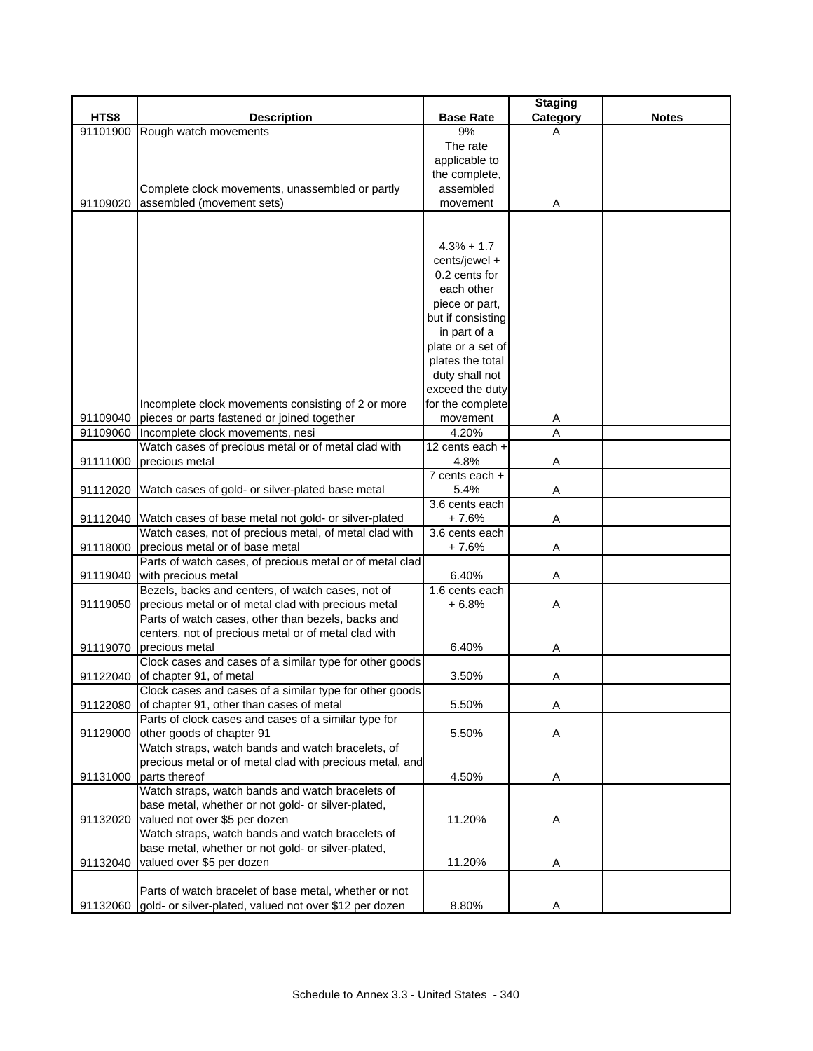|          |                                                                 |                    | <b>Staging</b> |              |
|----------|-----------------------------------------------------------------|--------------------|----------------|--------------|
| HTS8     | <b>Description</b>                                              | <b>Base Rate</b>   | Category       | <b>Notes</b> |
| 91101900 | Rough watch movements                                           | 9%                 | А              |              |
|          |                                                                 | The rate           |                |              |
|          |                                                                 | applicable to      |                |              |
|          |                                                                 | the complete,      |                |              |
|          | Complete clock movements, unassembled or partly                 | assembled          |                |              |
| 91109020 | assembled (movement sets)                                       | movement           | Α              |              |
|          |                                                                 |                    |                |              |
|          |                                                                 |                    |                |              |
|          |                                                                 | $4.3% + 1.7$       |                |              |
|          |                                                                 | cents/jewel +      |                |              |
|          |                                                                 | 0.2 cents for      |                |              |
|          |                                                                 | each other         |                |              |
|          |                                                                 | piece or part,     |                |              |
|          |                                                                 | but if consisting  |                |              |
|          |                                                                 | in part of a       |                |              |
|          |                                                                 | plate or a set of  |                |              |
|          |                                                                 | plates the total   |                |              |
|          |                                                                 | duty shall not     |                |              |
|          |                                                                 | exceed the duty    |                |              |
|          | Incomplete clock movements consisting of 2 or more              | for the complete   |                |              |
| 91109040 | pieces or parts fastened or joined together                     | movement           |                |              |
|          | Incomplete clock movements, nesi                                | 4.20%              | A<br>A         |              |
| 91109060 | Watch cases of precious metal or of metal clad with             | 12 cents each +    |                |              |
|          |                                                                 |                    |                |              |
| 91111000 | precious metal                                                  | 4.8%               | Α              |              |
|          |                                                                 | $7$ cents each $+$ |                |              |
|          | 91112020 Watch cases of gold- or silver-plated base metal       | 5.4%               | Α              |              |
|          |                                                                 | 3.6 cents each     |                |              |
|          | 91112040 Watch cases of base metal not gold- or silver-plated   | $+7.6%$            | Α              |              |
|          | Watch cases, not of precious metal, of metal clad with          | 3.6 cents each     |                |              |
| 91118000 | precious metal or of base metal                                 | $+7.6%$            | Α              |              |
|          | Parts of watch cases, of precious metal or of metal clad        |                    |                |              |
| 91119040 | with precious metal                                             | 6.40%              | Α              |              |
|          | Bezels, backs and centers, of watch cases, not of               | 1.6 cents each     |                |              |
| 91119050 | precious metal or of metal clad with precious metal             | $+6.8%$            | Α              |              |
|          | Parts of watch cases, other than bezels, backs and              |                    |                |              |
|          | centers, not of precious metal or of metal clad with            |                    |                |              |
| 91119070 | precious metal                                                  | 6.40%              | A              |              |
|          | Clock cases and cases of a similar type for other goods         |                    |                |              |
| 91122040 | of chapter 91, of metal                                         | 3.50%              | Α              |              |
|          | Clock cases and cases of a similar type for other goods         |                    |                |              |
| 91122080 | of chapter 91, other than cases of metal                        | 5.50%              | Α              |              |
|          | Parts of clock cases and cases of a similar type for            |                    |                |              |
| 91129000 | other goods of chapter 91                                       | 5.50%              | A              |              |
|          | Watch straps, watch bands and watch bracelets, of               |                    |                |              |
|          | precious metal or of metal clad with precious metal, and        |                    |                |              |
| 91131000 | parts thereof                                                   | 4.50%              | Α              |              |
|          | Watch straps, watch bands and watch bracelets of                |                    |                |              |
|          | base metal, whether or not gold- or silver-plated,              |                    |                |              |
| 91132020 | valued not over \$5 per dozen                                   | 11.20%             | A              |              |
|          | Watch straps, watch bands and watch bracelets of                |                    |                |              |
|          | base metal, whether or not gold- or silver-plated,              |                    |                |              |
| 91132040 | valued over \$5 per dozen                                       | 11.20%             | A              |              |
|          |                                                                 |                    |                |              |
|          | Parts of watch bracelet of base metal, whether or not           |                    |                |              |
|          | 91132060 gold- or silver-plated, valued not over \$12 per dozen | 8.80%              | Α              |              |
|          |                                                                 |                    |                |              |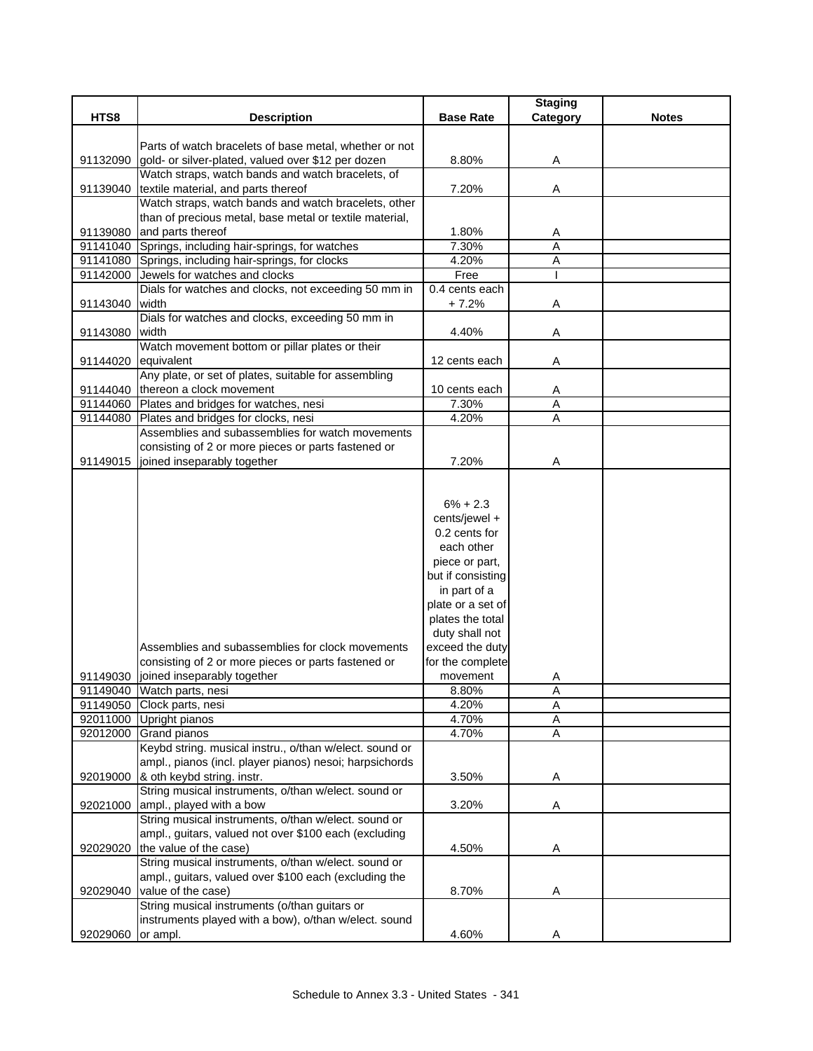|                     |                                                                                                         |                                   | <b>Staging</b> |              |
|---------------------|---------------------------------------------------------------------------------------------------------|-----------------------------------|----------------|--------------|
| HTS8                | <b>Description</b>                                                                                      | <b>Base Rate</b>                  | Category       | <b>Notes</b> |
|                     |                                                                                                         |                                   |                |              |
|                     | Parts of watch bracelets of base metal, whether or not                                                  |                                   |                |              |
| 91132090            | gold- or silver-plated, valued over \$12 per dozen<br>Watch straps, watch bands and watch bracelets, of | 8.80%                             | Α              |              |
|                     | 91139040 textile material, and parts thereof                                                            | 7.20%                             | Α              |              |
|                     | Watch straps, watch bands and watch bracelets, other                                                    |                                   |                |              |
|                     | than of precious metal, base metal or textile material,                                                 |                                   |                |              |
| 91139080            | and parts thereof                                                                                       | 1.80%                             | Α              |              |
|                     | 91141040 Springs, including hair-springs, for watches                                                   | 7.30%                             | A              |              |
|                     | 91141080 Springs, including hair-springs, for clocks                                                    | 4.20%                             | A              |              |
|                     | 91142000 Jewels for watches and clocks                                                                  | Free                              |                |              |
|                     | Dials for watches and clocks, not exceeding 50 mm in                                                    | 0.4 cents each                    |                |              |
| 91143040            | width                                                                                                   | $+7.2%$                           | Α              |              |
|                     | Dials for watches and clocks, exceeding 50 mm in                                                        |                                   |                |              |
| 91143080            | width                                                                                                   | 4.40%                             | Α              |              |
|                     | Watch movement bottom or pillar plates or their                                                         |                                   |                |              |
| 91144020 equivalent |                                                                                                         | 12 cents each                     | A              |              |
|                     | Any plate, or set of plates, suitable for assembling                                                    |                                   |                |              |
|                     | 91144040 thereon a clock movement                                                                       | 10 cents each                     | Α              |              |
|                     | 91144060 Plates and bridges for watches, nesi                                                           | 7.30%                             | A              |              |
|                     | 91144080 Plates and bridges for clocks, nesi                                                            | 4.20%                             | A              |              |
|                     | Assemblies and subassemblies for watch movements                                                        |                                   |                |              |
|                     | consisting of 2 or more pieces or parts fastened or                                                     |                                   |                |              |
| 91149015            | joined inseparably together                                                                             | 7.20%                             | Α              |              |
|                     |                                                                                                         |                                   |                |              |
|                     |                                                                                                         |                                   |                |              |
|                     |                                                                                                         | $6\% + 2.3$                       |                |              |
|                     |                                                                                                         | cents/jewel +                     |                |              |
|                     |                                                                                                         | 0.2 cents for                     |                |              |
|                     |                                                                                                         | each other                        |                |              |
|                     |                                                                                                         | piece or part,                    |                |              |
|                     |                                                                                                         | but if consisting<br>in part of a |                |              |
|                     |                                                                                                         | plate or a set of                 |                |              |
|                     |                                                                                                         | plates the total                  |                |              |
|                     |                                                                                                         | duty shall not                    |                |              |
|                     | Assemblies and subassemblies for clock movements                                                        | exceed the duty                   |                |              |
|                     | consisting of 2 or more pieces or parts fastened or                                                     | for the complete                  |                |              |
|                     | 91149030 joined inseparably together                                                                    | movement                          | Α              |              |
|                     | 91149040 Watch parts, nesi                                                                              | 8.80%                             | A              |              |
|                     | 91149050 Clock parts, nesi                                                                              | 4.20%                             | $\overline{A}$ |              |
|                     | 92011000 Upright pianos                                                                                 | 4.70%                             | A              |              |
|                     | 92012000 Grand pianos                                                                                   | 4.70%                             | A              |              |
|                     | Keybd string. musical instru., o/than w/elect. sound or                                                 |                                   |                |              |
|                     | ampl., pianos (incl. player pianos) nesoi; harpsichords                                                 |                                   |                |              |
| 92019000            | & oth keybd string. instr.                                                                              | 3.50%                             | Α              |              |
|                     | String musical instruments, o/than w/elect. sound or                                                    |                                   |                |              |
| 92021000            | ampl., played with a bow                                                                                | 3.20%                             | Α              |              |
|                     | String musical instruments, o/than w/elect. sound or                                                    |                                   |                |              |
|                     | ampl., guitars, valued not over \$100 each (excluding                                                   |                                   |                |              |
| 92029020            | the value of the case)                                                                                  | 4.50%                             | Α              |              |
|                     | String musical instruments, o/than w/elect. sound or                                                    |                                   |                |              |
|                     | ampl., guitars, valued over \$100 each (excluding the                                                   |                                   |                |              |
| 92029040            | value of the case)                                                                                      | 8.70%                             | Α              |              |
|                     | String musical instruments (o/than guitars or                                                           |                                   |                |              |
|                     | instruments played with a bow), o/than w/elect. sound                                                   |                                   |                |              |
| 92029060            | or ampl.                                                                                                | 4.60%                             | Α              |              |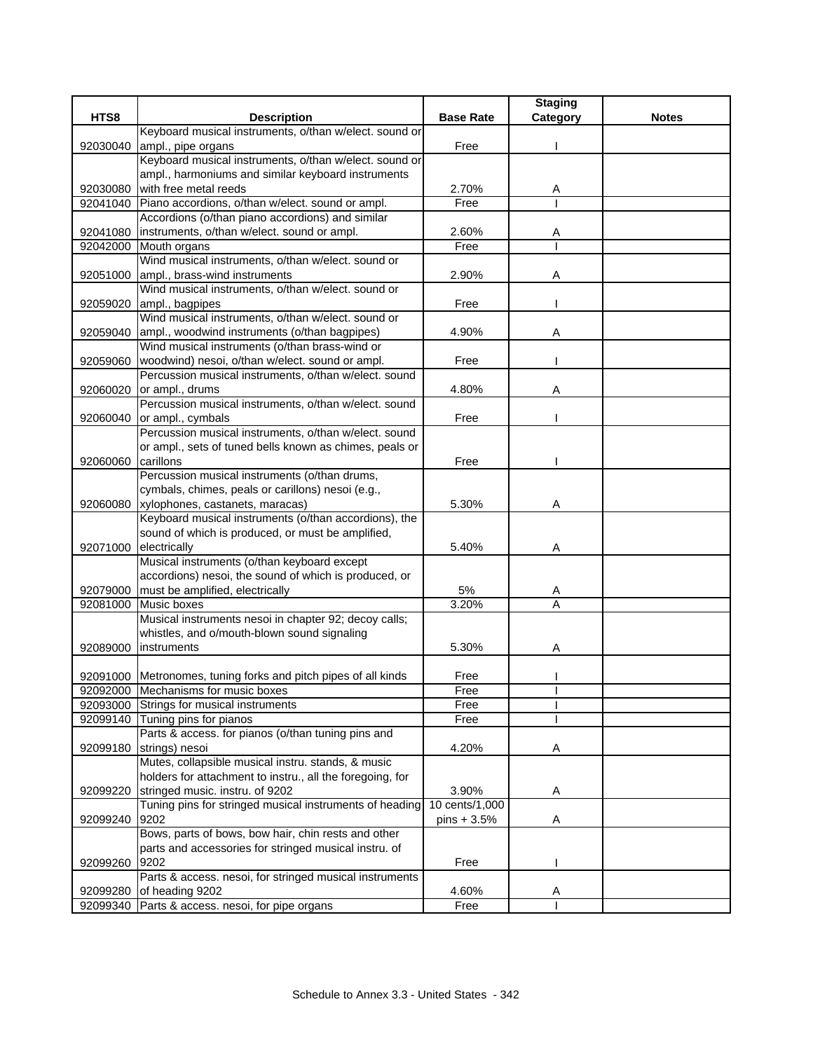|                                                                        |                  | <b>Staging</b> |              |
|------------------------------------------------------------------------|------------------|----------------|--------------|
| HTS8<br><b>Description</b>                                             | <b>Base Rate</b> | Category       | <b>Notes</b> |
| Keyboard musical instruments, o/than w/elect. sound or                 |                  |                |              |
| ampl., pipe organs<br>92030040                                         | Free             |                |              |
| Keyboard musical instruments, o/than w/elect. sound or                 |                  |                |              |
| ampl., harmoniums and similar keyboard instruments                     |                  |                |              |
| with free metal reeds<br>92030080                                      | 2.70%            | A              |              |
| Piano accordions, o/than w/elect. sound or ampl.<br>92041040           | Free             |                |              |
| Accordions (o/than piano accordions) and similar                       |                  |                |              |
| instruments, o/than w/elect. sound or ampl.<br>92041080                | 2.60%            | A              |              |
| 92042000 Mouth organs                                                  | Free             |                |              |
| Wind musical instruments, o/than w/elect. sound or                     |                  |                |              |
| 92051000<br>ampl., brass-wind instruments                              | 2.90%            | Α              |              |
| Wind musical instruments, o/than w/elect. sound or                     |                  |                |              |
| ampl., bagpipes<br>92059020                                            | Free             |                |              |
| Wind musical instruments, o/than w/elect. sound or                     |                  |                |              |
| ampl., woodwind instruments (o/than bagpipes)<br>92059040              | 4.90%            | A              |              |
| Wind musical instruments (o/than brass-wind or                         |                  |                |              |
| woodwind) nesoi, o/than w/elect. sound or ampl.<br>92059060            | Free             |                |              |
| Percussion musical instruments, o/than w/elect. sound                  |                  |                |              |
| or ampl., drums<br>92060020                                            | 4.80%            | A              |              |
| Percussion musical instruments, o/than w/elect. sound                  |                  |                |              |
| 92060040<br>or ampl., cymbals                                          | Free             |                |              |
| Percussion musical instruments, o/than w/elect. sound                  |                  |                |              |
| or ampl., sets of tuned bells known as chimes, peals or                |                  |                |              |
| 92060060<br>carillons                                                  | Free             |                |              |
| Percussion musical instruments (o/than drums,                          |                  |                |              |
| cymbals, chimes, peals or carillons) nesoi (e.g.,                      |                  |                |              |
| 92060080 xylophones, castanets, maracas)                               | 5.30%            | Α              |              |
| Keyboard musical instruments (o/than accordions), the                  |                  |                |              |
| sound of which is produced, or must be amplified,                      |                  |                |              |
| 92071000<br>electrically                                               | 5.40%            | Α              |              |
| Musical instruments (o/than keyboard except                            |                  |                |              |
| accordions) nesoi, the sound of which is produced, or                  |                  |                |              |
| must be amplified, electrically<br>92079000                            | 5%               | Α              |              |
| Music boxes<br>92081000                                                | 3.20%            | A              |              |
| Musical instruments nesoi in chapter 92; decoy calls;                  |                  |                |              |
| whistles, and o/mouth-blown sound signaling<br>instruments<br>92089000 | 5.30%            |                |              |
|                                                                        |                  | Α              |              |
| 92091000 Metronomes, tuning forks and pitch pipes of all kinds         | Free             |                |              |
| 92092000 Mechanisms for music boxes                                    | Free             |                |              |
| 92093000 Strings for musical instruments                               | Free             |                |              |
| 92099140<br>Tuning pins for pianos                                     | Free             |                |              |
| Parts & access. for pianos (o/than tuning pins and                     |                  |                |              |
| strings) nesoi<br>92099180                                             | 4.20%            | Α              |              |
| Mutes, collapsible musical instru. stands, & music                     |                  |                |              |
| holders for attachment to instru., all the foregoing, for              |                  |                |              |
| stringed music. instru. of 9202<br>92099220                            | 3.90%            | A              |              |
| Tuning pins for stringed musical instruments of heading                | 10 cents/1,000   |                |              |
| 92099240<br>9202                                                       | pins + 3.5%      | Α              |              |
| Bows, parts of bows, bow hair, chin rests and other                    |                  |                |              |
| parts and accessories for stringed musical instru. of                  |                  |                |              |
| 9202<br>92099260                                                       | Free             |                |              |
| Parts & access. nesoi, for stringed musical instruments                |                  |                |              |
| of heading 9202<br>92099280                                            | 4.60%            | Α              |              |
| 92099340 Parts & access. nesoi, for pipe organs                        | Free             |                |              |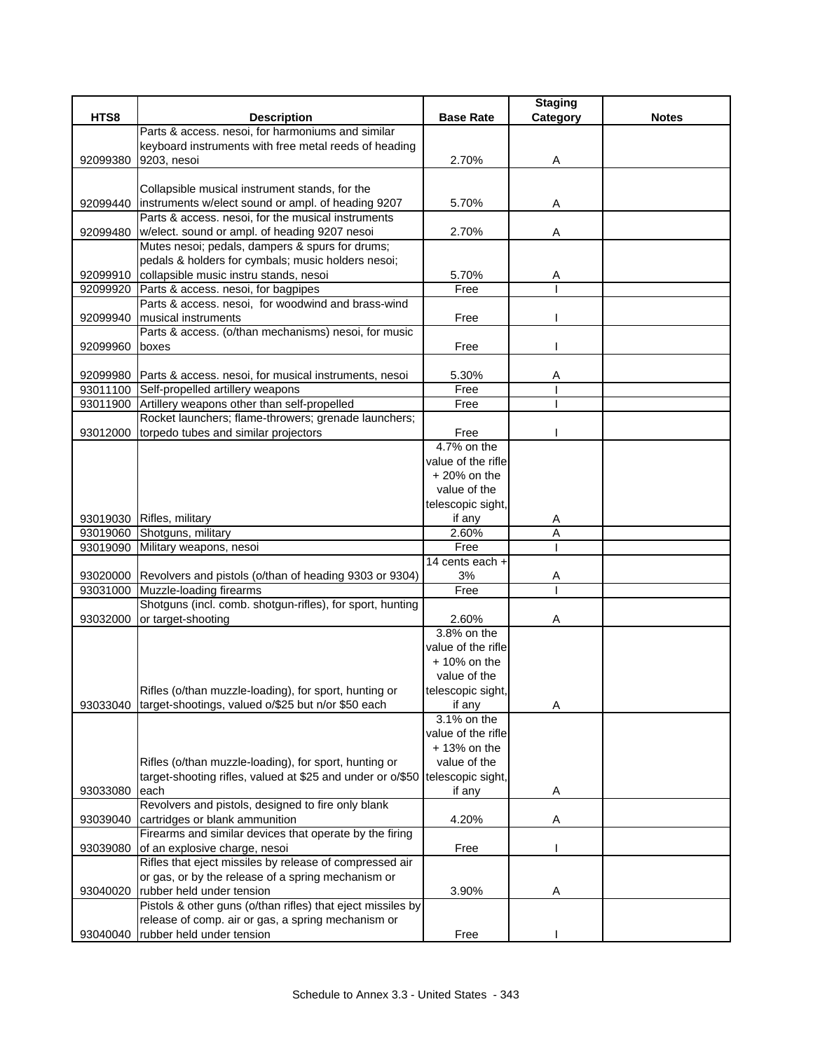|          |                                                                                                                     |                                     | <b>Staging</b> |              |
|----------|---------------------------------------------------------------------------------------------------------------------|-------------------------------------|----------------|--------------|
| HTS8     | <b>Description</b>                                                                                                  | <b>Base Rate</b>                    | Category       | <b>Notes</b> |
|          | Parts & access. nesoi, for harmoniums and similar                                                                   |                                     |                |              |
|          | keyboard instruments with free metal reeds of heading                                                               |                                     |                |              |
| 92099380 | 9203, nesoi                                                                                                         | 2.70%                               | Α              |              |
|          |                                                                                                                     |                                     |                |              |
|          | Collapsible musical instrument stands, for the                                                                      |                                     |                |              |
|          | 92099440   instruments w/elect sound or ampl. of heading 9207<br>Parts & access. nesoi, for the musical instruments | 5.70%                               | Α              |              |
|          | w/elect. sound or ampl. of heading 9207 nesoi                                                                       | 2.70%                               |                |              |
| 92099480 | Mutes nesoi; pedals, dampers & spurs for drums;                                                                     |                                     | Α              |              |
|          | pedals & holders for cymbals; music holders nesoi;                                                                  |                                     |                |              |
|          | 92099910 collapsible music instru stands, nesoi                                                                     | 5.70%                               | Α              |              |
| 92099920 | Parts & access. nesoi, for bagpipes                                                                                 | Free                                |                |              |
|          | Parts & access. nesoi, for woodwind and brass-wind                                                                  |                                     |                |              |
| 92099940 | <b>Imusical instruments</b>                                                                                         | Free                                |                |              |
|          | Parts & access. (o/than mechanisms) nesoi, for music                                                                |                                     |                |              |
| 92099960 | boxes                                                                                                               | Free                                |                |              |
|          |                                                                                                                     |                                     |                |              |
|          | 92099980 Parts & access. nesoi, for musical instruments, nesoi                                                      | 5.30%                               | Α              |              |
|          | 93011100 Self-propelled artillery weapons                                                                           | Free                                |                |              |
|          | 93011900 Artillery weapons other than self-propelled                                                                | Free                                |                |              |
|          | Rocket launchers; flame-throwers; grenade launchers;                                                                |                                     |                |              |
| 93012000 | torpedo tubes and similar projectors                                                                                | Free                                |                |              |
|          |                                                                                                                     | 4.7% on the                         |                |              |
|          |                                                                                                                     | value of the rifle                  |                |              |
|          |                                                                                                                     | $+20%$ on the                       |                |              |
|          |                                                                                                                     | value of the                        |                |              |
|          |                                                                                                                     | telescopic sight,                   |                |              |
|          | 93019030 Rifles, military                                                                                           | if any                              | A              |              |
|          | 93019060 Shotguns, military                                                                                         | 2.60%                               | Α              |              |
|          | 93019090 Military weapons, nesoi                                                                                    | Free                                |                |              |
|          |                                                                                                                     | 14 cents each +                     |                |              |
|          | 93020000 Revolvers and pistols (o/than of heading 9303 or 9304)                                                     | 3%                                  | Α              |              |
|          | 93031000 Muzzle-loading firearms                                                                                    | Free                                |                |              |
|          | Shotguns (incl. comb. shotgun-rifles), for sport, hunting                                                           |                                     |                |              |
| 93032000 | or target-shooting                                                                                                  | 2.60%                               | Α              |              |
|          |                                                                                                                     | 3.8% on the                         |                |              |
|          |                                                                                                                     | value of the rifle                  |                |              |
|          |                                                                                                                     | $+10\%$ on the                      |                |              |
|          |                                                                                                                     | value of the                        |                |              |
|          | Rifles (o/than muzzle-loading), for sport, hunting or                                                               | telescopic sight,                   |                |              |
| 93033040 | target-shootings, valued o/\$25 but n/or \$50 each                                                                  | if any                              | Α              |              |
|          |                                                                                                                     | 3.1% on the                         |                |              |
|          |                                                                                                                     | value of the rifle<br>$+13%$ on the |                |              |
|          |                                                                                                                     | value of the                        |                |              |
|          | Rifles (o/than muzzle-loading), for sport, hunting or<br>target-shooting rifles, valued at \$25 and under or o/\$50 |                                     |                |              |
| 93033080 | each                                                                                                                | telescopic sight,<br>if any         | Α              |              |
|          | Revolvers and pistols, designed to fire only blank                                                                  |                                     |                |              |
| 93039040 | cartridges or blank ammunition                                                                                      | 4.20%                               | Α              |              |
|          | Firearms and similar devices that operate by the firing                                                             |                                     |                |              |
| 93039080 | of an explosive charge, nesoi                                                                                       | Free                                |                |              |
|          | Rifles that eject missiles by release of compressed air                                                             |                                     |                |              |
|          | or gas, or by the release of a spring mechanism or                                                                  |                                     |                |              |
| 93040020 | rubber held under tension                                                                                           | 3.90%                               | Α              |              |
|          | Pistols & other guns (o/than rifles) that eject missiles by                                                         |                                     |                |              |
|          | release of comp. air or gas, a spring mechanism or                                                                  |                                     |                |              |
| 93040040 | rubber held under tension                                                                                           | Free                                |                |              |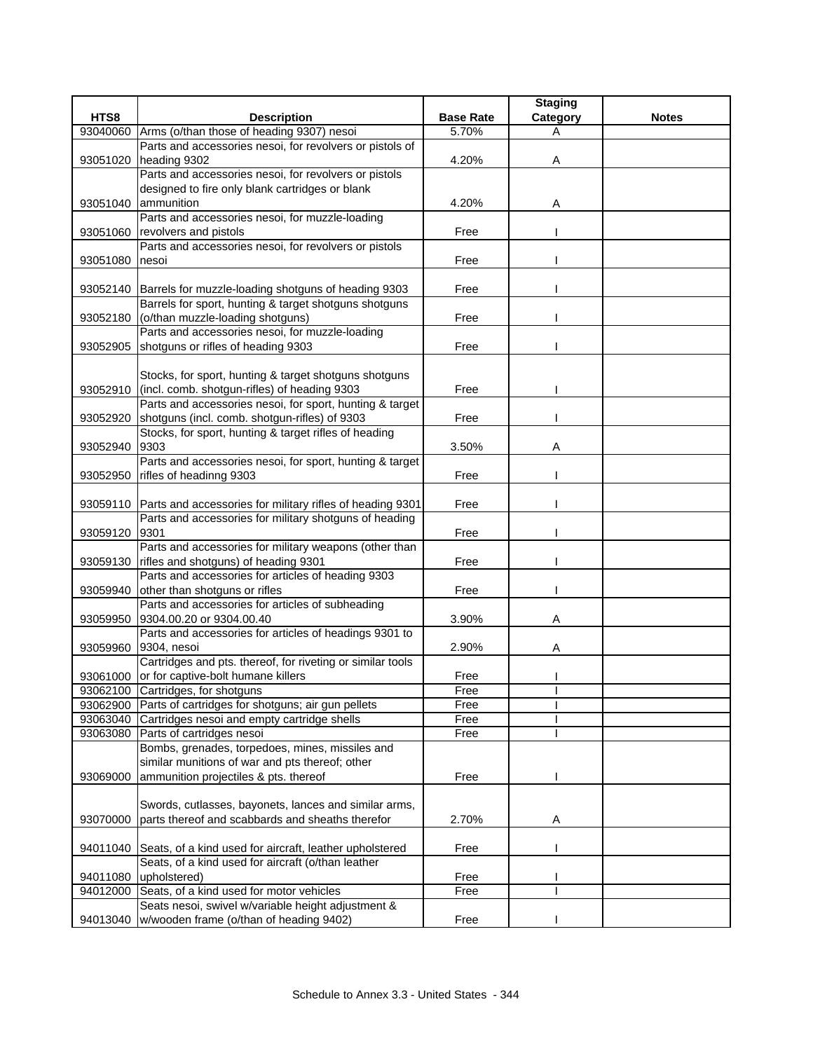|          |                                                                                                           |                  | <b>Staging</b> |              |
|----------|-----------------------------------------------------------------------------------------------------------|------------------|----------------|--------------|
| HTS8     | <b>Description</b>                                                                                        | <b>Base Rate</b> | Category       | <b>Notes</b> |
| 93040060 | Arms (o/than those of heading 9307) nesoi                                                                 | 5.70%            | A              |              |
|          | Parts and accessories nesoi, for revolvers or pistols of                                                  |                  |                |              |
| 93051020 | heading 9302<br>Parts and accessories nesoi, for revolvers or pistols                                     | 4.20%            | Α              |              |
|          | designed to fire only blank cartridges or blank                                                           |                  |                |              |
| 93051040 | ammunition                                                                                                | 4.20%            | Α              |              |
|          | Parts and accessories nesoi, for muzzle-loading                                                           |                  |                |              |
| 93051060 | revolvers and pistols                                                                                     | Free             |                |              |
|          | Parts and accessories nesoi, for revolvers or pistols                                                     |                  |                |              |
| 93051080 | nesoi                                                                                                     | Free             |                |              |
|          |                                                                                                           |                  |                |              |
|          | 93052140 Barrels for muzzle-loading shotguns of heading 9303                                              | Free             |                |              |
|          | Barrels for sport, hunting & target shotguns shotguns                                                     |                  |                |              |
| 93052180 | (o/than muzzle-loading shotguns)                                                                          | Free             |                |              |
|          | Parts and accessories nesoi, for muzzle-loading                                                           |                  |                |              |
| 93052905 | shotguns or rifles of heading 9303                                                                        | Free             |                |              |
|          |                                                                                                           |                  |                |              |
|          | Stocks, for sport, hunting & target shotguns shotguns                                                     |                  |                |              |
| 93052910 | (incl. comb. shotgun-rifles) of heading 9303<br>Parts and accessories nesoi, for sport, hunting & target  | Free             |                |              |
| 93052920 | shotguns (incl. comb. shotgun-rifles) of 9303                                                             | Free             |                |              |
|          | Stocks, for sport, hunting & target rifles of heading                                                     |                  |                |              |
| 93052940 | 9303                                                                                                      | 3.50%            | A              |              |
|          | Parts and accessories nesoi, for sport, hunting & target                                                  |                  |                |              |
| 93052950 | rifles of headinng 9303                                                                                   | Free             |                |              |
|          |                                                                                                           |                  |                |              |
|          | 93059110 Parts and accessories for military rifles of heading 9301                                        | Free             |                |              |
|          | Parts and accessories for military shotguns of heading                                                    |                  |                |              |
| 93059120 | 9301                                                                                                      | Free             |                |              |
|          | Parts and accessories for military weapons (other than                                                    |                  |                |              |
| 93059130 | rifles and shotguns) of heading 9301                                                                      | Free             |                |              |
|          | Parts and accessories for articles of heading 9303                                                        |                  |                |              |
| 93059940 | other than shotguns or rifles                                                                             | Free             |                |              |
| 93059950 | Parts and accessories for articles of subheading<br>9304.00.20 or 9304.00.40                              | 3.90%            | Α              |              |
|          | Parts and accessories for articles of headings 9301 to                                                    |                  |                |              |
|          | 93059960 9304, nesoi                                                                                      | 2.90%            | Α              |              |
|          | Cartridges and pts. thereof, for riveting or similar tools                                                |                  |                |              |
|          | 93061000 or for captive-bolt humane killers                                                               | Free             |                |              |
|          | 93062100 Cartridges, for shotguns                                                                         | Free             |                |              |
|          | 93062900 Parts of cartridges for shotguns; air gun pellets                                                | Free             |                |              |
|          | 93063040 Cartridges nesoi and empty cartridge shells                                                      | Free             |                |              |
| 93063080 | Parts of cartridges nesoi                                                                                 | Free             |                |              |
|          | Bombs, grenades, torpedoes, mines, missiles and                                                           |                  |                |              |
|          | similar munitions of war and pts thereof; other                                                           |                  |                |              |
| 93069000 | ammunition projectiles & pts. thereof                                                                     | Free             |                |              |
|          |                                                                                                           |                  |                |              |
| 93070000 | Swords, cutlasses, bayonets, lances and similar arms,<br>parts thereof and scabbards and sheaths therefor | 2.70%            | Α              |              |
|          |                                                                                                           |                  |                |              |
|          | 94011040 Seats, of a kind used for aircraft, leather upholstered                                          | Free             |                |              |
|          | Seats, of a kind used for aircraft (o/than leather                                                        |                  |                |              |
| 94011080 | upholstered)                                                                                              | Free             |                |              |
| 94012000 | Seats, of a kind used for motor vehicles                                                                  | Free             |                |              |
|          | Seats nesoi, swivel w/variable height adjustment &                                                        |                  |                |              |
| 94013040 | w/wooden frame (o/than of heading 9402)                                                                   | Free             |                |              |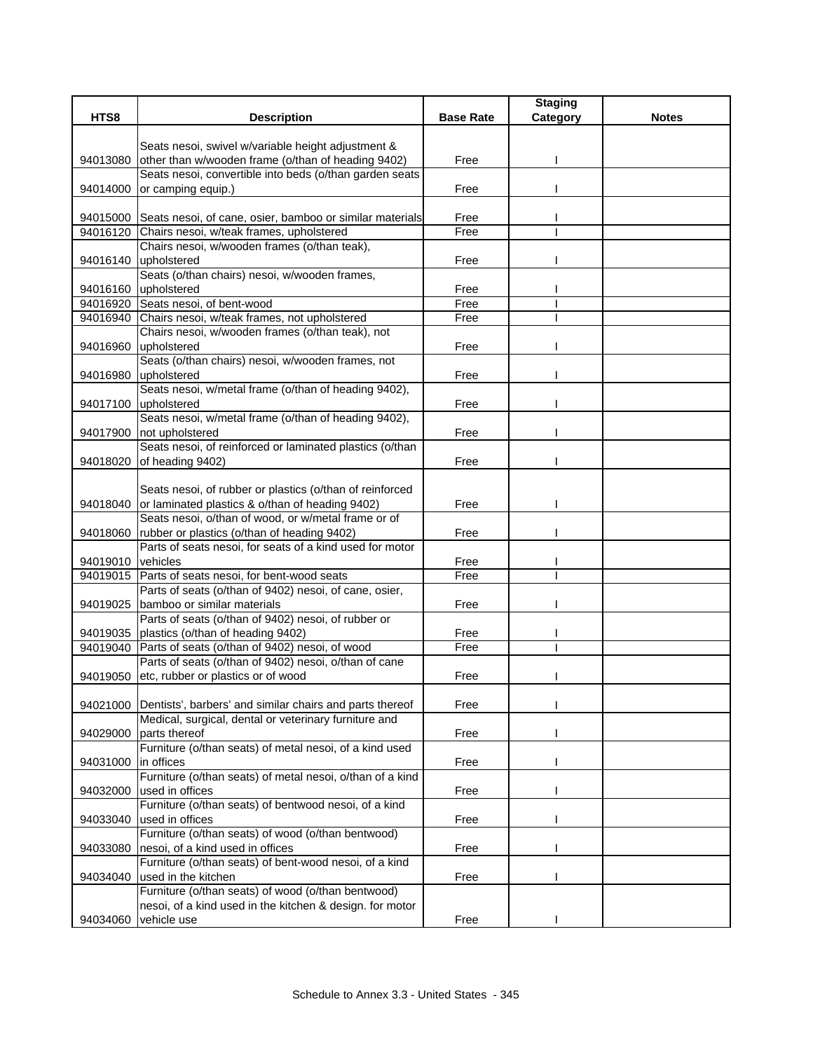|                   |                                                                                                               |                  | <b>Staging</b> |              |
|-------------------|---------------------------------------------------------------------------------------------------------------|------------------|----------------|--------------|
| HTS8              | <b>Description</b>                                                                                            | <b>Base Rate</b> | Category       | <b>Notes</b> |
|                   |                                                                                                               |                  |                |              |
|                   | Seats nesoi, swivel w/variable height adjustment &                                                            |                  |                |              |
| 94013080          | other than w/wooden frame (o/than of heading 9402)<br>Seats nesoi, convertible into beds (o/than garden seats | Free             |                |              |
| 94014000          | or camping equip.)                                                                                            | Free             |                |              |
|                   |                                                                                                               |                  |                |              |
|                   | 94015000 Seats nesoi, of cane, osier, bamboo or similar materials                                             | Free             |                |              |
|                   | 94016120 Chairs nesoi, w/teak frames, upholstered                                                             | Free             |                |              |
|                   | Chairs nesoi, w/wooden frames (o/than teak),                                                                  |                  |                |              |
|                   | 94016140 upholstered                                                                                          | Free             |                |              |
|                   | Seats (o/than chairs) nesoi, w/wooden frames,                                                                 |                  |                |              |
|                   | 94016160 upholstered                                                                                          | Free             |                |              |
|                   | 94016920 Seats nesoi, of bent-wood                                                                            | Free             |                |              |
|                   | 94016940 Chairs nesoi, w/teak frames, not upholstered                                                         | Free             |                |              |
|                   | Chairs nesoi, w/wooden frames (o/than teak), not                                                              |                  |                |              |
| 94016960          | upholstered                                                                                                   | Free             |                |              |
|                   | Seats (o/than chairs) nesoi, w/wooden frames, not                                                             |                  |                |              |
|                   | 94016980 upholstered                                                                                          | Free             |                |              |
|                   | Seats nesoi, w/metal frame (o/than of heading 9402),                                                          |                  |                |              |
|                   | 94017100 upholstered<br>Seats nesoi, w/metal frame (o/than of heading 9402),                                  | Free             |                |              |
|                   | 94017900 not upholstered                                                                                      | Free             |                |              |
|                   | Seats nesoi, of reinforced or laminated plastics (o/than                                                      |                  |                |              |
| 94018020          | of heading 9402)                                                                                              | Free             |                |              |
|                   |                                                                                                               |                  |                |              |
|                   | Seats nesoi, of rubber or plastics (o/than of reinforced                                                      |                  |                |              |
|                   | 94018040 or laminated plastics & o/than of heading 9402)                                                      | Free             |                |              |
|                   | Seats nesoi, o/than of wood, or w/metal frame or of                                                           |                  |                |              |
|                   | 94018060 rubber or plastics (o/than of heading 9402)                                                          | Free             |                |              |
|                   | Parts of seats nesoi, for seats of a kind used for motor                                                      |                  |                |              |
| 94019010 vehicles |                                                                                                               | Free             |                |              |
|                   | 94019015 Parts of seats nesoi, for bent-wood seats                                                            | Free             |                |              |
|                   | Parts of seats (o/than of 9402) nesoi, of cane, osier,                                                        |                  |                |              |
|                   | 94019025 bamboo or similar materials<br>Parts of seats (o/than of 9402) nesoi, of rubber or                   | Free             |                |              |
|                   | 94019035   plastics (o/than of heading 9402)                                                                  | Free             |                |              |
|                   | 94019040 Parts of seats (o/than of 9402) nesoi, of wood                                                       | Free             |                |              |
|                   | Parts of seats (o/than of 9402) nesoi, o/than of cane                                                         |                  |                |              |
|                   | 94019050 etc, rubber or plastics or of wood                                                                   | Free             |                |              |
|                   |                                                                                                               |                  |                |              |
|                   | 94021000 Dentists', barbers' and similar chairs and parts thereof                                             | Free             |                |              |
|                   | Medical, surgical, dental or veterinary furniture and                                                         |                  |                |              |
| 94029000          | parts thereof                                                                                                 | Free             |                |              |
|                   | Furniture (o/than seats) of metal nesoi, of a kind used                                                       |                  |                |              |
| 94031000          | in offices                                                                                                    | Free             |                |              |
|                   | Furniture (o/than seats) of metal nesoi, o/than of a kind                                                     |                  |                |              |
| 94032000          | used in offices                                                                                               | Free             |                |              |
|                   | Furniture (o/than seats) of bentwood nesoi, of a kind                                                         |                  |                |              |
| 94033040          | used in offices<br>Furniture (o/than seats) of wood (o/than bentwood)                                         | Free             |                |              |
|                   |                                                                                                               |                  |                |              |
| 94033080          | nesoi, of a kind used in offices<br>Furniture (o/than seats) of bent-wood nesoi, of a kind                    | Free             |                |              |
| 94034040          | used in the kitchen                                                                                           | Free             |                |              |
|                   | Furniture (o/than seats) of wood (o/than bentwood)                                                            |                  |                |              |
|                   | nesoi, of a kind used in the kitchen & design. for motor                                                      |                  |                |              |
| 94034060          | vehicle use                                                                                                   | Free             |                |              |
|                   |                                                                                                               |                  |                |              |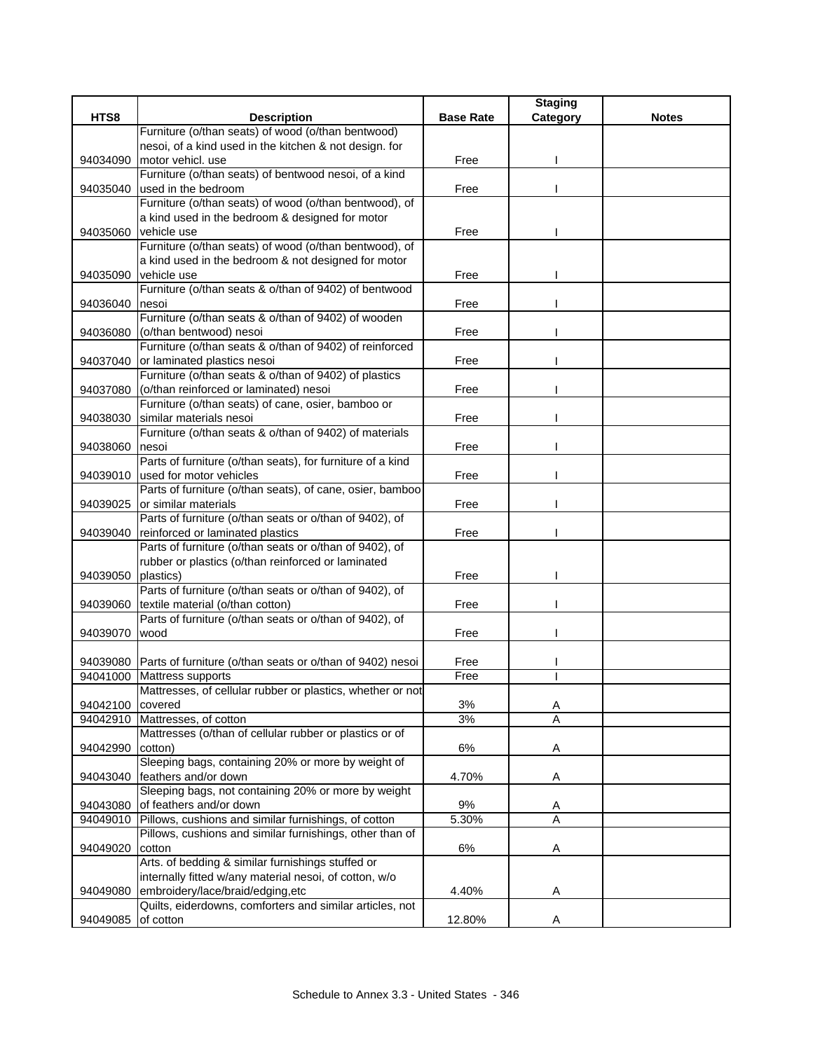|                      |                                                                                             |                  | <b>Staging</b>      |              |
|----------------------|---------------------------------------------------------------------------------------------|------------------|---------------------|--------------|
| HTS8                 | <b>Description</b>                                                                          | <b>Base Rate</b> | Category            | <b>Notes</b> |
|                      | Furniture (o/than seats) of wood (o/than bentwood)                                          |                  |                     |              |
|                      | nesoi, of a kind used in the kitchen & not design. for                                      |                  |                     |              |
| 94034090             | motor vehicl. use                                                                           | Free             |                     |              |
|                      | Furniture (o/than seats) of bentwood nesoi, of a kind                                       |                  |                     |              |
| 94035040             | used in the bedroom                                                                         | Free             |                     |              |
|                      | Furniture (o/than seats) of wood (o/than bentwood), of                                      |                  |                     |              |
|                      | a kind used in the bedroom & designed for motor<br>vehicle use                              | Free             |                     |              |
| 94035060             | Furniture (o/than seats) of wood (o/than bentwood), of                                      |                  |                     |              |
|                      | a kind used in the bedroom & not designed for motor                                         |                  |                     |              |
| 94035090             | vehicle use                                                                                 | Free             |                     |              |
|                      | Furniture (o/than seats & o/than of 9402) of bentwood                                       |                  |                     |              |
| 94036040             | nesoi                                                                                       | Free             |                     |              |
|                      | Furniture (o/than seats & o/than of 9402) of wooden                                         |                  |                     |              |
| 94036080             | (o/than bentwood) nesoi                                                                     | Free             |                     |              |
|                      | Furniture (o/than seats & o/than of 9402) of reinforced                                     |                  |                     |              |
| 94037040             | or laminated plastics nesoi                                                                 | Free             |                     |              |
|                      | Furniture (o/than seats & o/than of 9402) of plastics                                       |                  |                     |              |
| 94037080             | (o/than reinforced or laminated) nesoi                                                      | Free             |                     |              |
|                      | Furniture (o/than seats) of cane, osier, bamboo or                                          |                  |                     |              |
| 94038030             | similar materials nesoi                                                                     | Free             |                     |              |
|                      | Furniture (o/than seats & o/than of 9402) of materials                                      |                  |                     |              |
| 94038060             | nesoi                                                                                       | Free             |                     |              |
|                      | Parts of furniture (o/than seats), for furniture of a kind                                  |                  |                     |              |
| 94039010             | lused for motor vehicles                                                                    | Free             |                     |              |
|                      | Parts of furniture (o/than seats), of cane, osier, bamboo                                   |                  |                     |              |
| 94039025             | or similar materials                                                                        | Free             |                     |              |
|                      | Parts of furniture (o/than seats or o/than of 9402), of                                     |                  |                     |              |
| 94039040             | reinforced or laminated plastics<br>Parts of furniture (o/than seats or o/than of 9402), of | Free             |                     |              |
|                      | rubber or plastics (o/than reinforced or laminated                                          |                  |                     |              |
| 94039050             | plastics)                                                                                   | Free             |                     |              |
|                      | Parts of furniture (o/than seats or o/than of 9402), of                                     |                  |                     |              |
| 94039060             | textile material (o/than cotton)                                                            | Free             |                     |              |
|                      | Parts of furniture (o/than seats or o/than of 9402), of                                     |                  |                     |              |
| 94039070             | wood                                                                                        | Free             |                     |              |
|                      |                                                                                             |                  |                     |              |
|                      | 94039080 Parts of furniture (o/than seats or o/than of 9402) nesoi                          | Free             |                     |              |
|                      | 94041000 Mattress supports                                                                  | Free             |                     |              |
|                      | Mattresses, of cellular rubber or plastics, whether or not                                  |                  |                     |              |
| 94042100             | covered                                                                                     | 3%               | A                   |              |
| 94042910             | Mattresses, of cotton                                                                       | 3%               | A                   |              |
|                      | Mattresses (o/than of cellular rubber or plastics or of                                     |                  |                     |              |
| 94042990             | cotton)                                                                                     | 6%               | Α                   |              |
|                      | Sleeping bags, containing 20% or more by weight of                                          |                  |                     |              |
| 94043040             | feathers and/or down                                                                        | 4.70%            | A                   |              |
|                      | Sleeping bags, not containing 20% or more by weight<br>of feathers and/or down              | $9\%$            |                     |              |
| 94043080<br>94049010 | Pillows, cushions and similar furnishings, of cotton                                        | 5.30%            | Α<br>$\overline{A}$ |              |
|                      | Pillows, cushions and similar furnishings, other than of                                    |                  |                     |              |
| 94049020             | cotton                                                                                      | 6%               | Α                   |              |
|                      | Arts. of bedding & similar furnishings stuffed or                                           |                  |                     |              |
|                      | internally fitted w/any material nesoi, of cotton, w/o                                      |                  |                     |              |
| 94049080             | embroidery/lace/braid/edging,etc                                                            | 4.40%            | Α                   |              |
|                      | Quilts, eiderdowns, comforters and similar articles, not                                    |                  |                     |              |
| 94049085             | of cotton                                                                                   | 12.80%           | Α                   |              |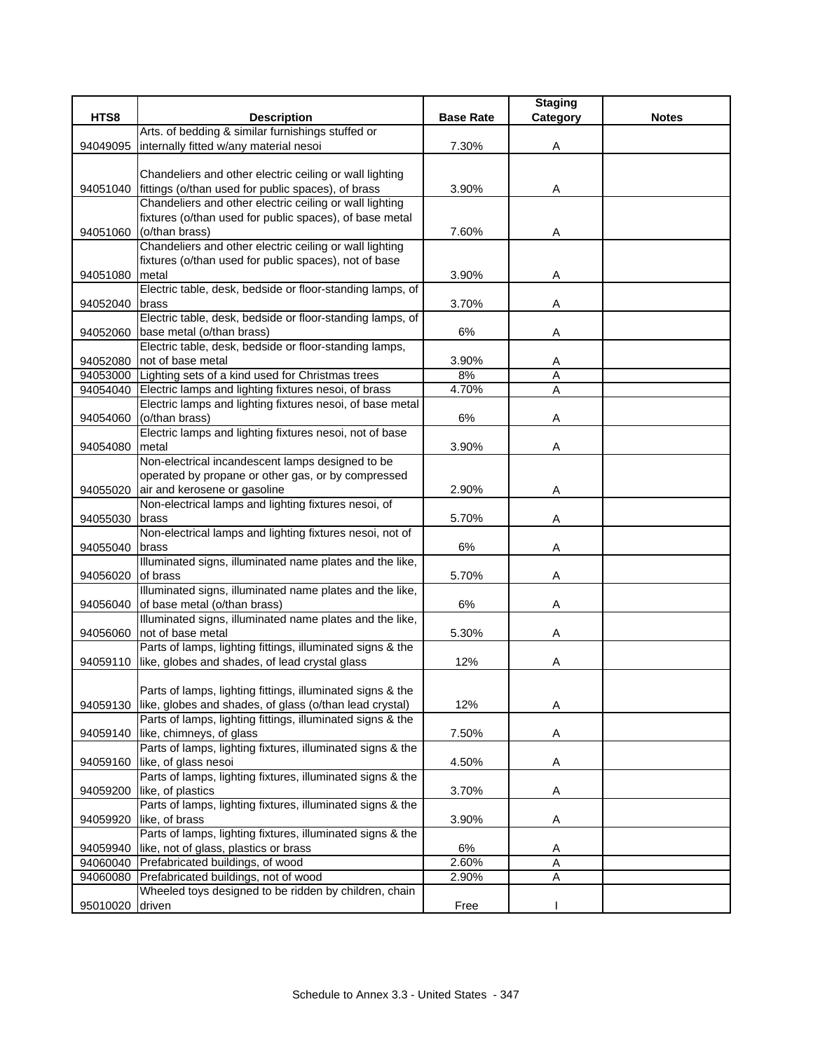|          |                                                                                    |                  | <b>Staging</b> |              |
|----------|------------------------------------------------------------------------------------|------------------|----------------|--------------|
| HTS8     | <b>Description</b>                                                                 | <b>Base Rate</b> | Category       | <b>Notes</b> |
|          | Arts. of bedding & similar furnishings stuffed or                                  |                  |                |              |
| 94049095 | internally fitted w/any material nesoi                                             | 7.30%            | Α              |              |
|          |                                                                                    |                  |                |              |
|          | Chandeliers and other electric ceiling or wall lighting                            |                  |                |              |
| 94051040 | fittings (o/than used for public spaces), of brass                                 | 3.90%            | Α              |              |
|          | Chandeliers and other electric ceiling or wall lighting                            |                  |                |              |
|          | fixtures (o/than used for public spaces), of base metal                            |                  |                |              |
| 94051060 | (o/than brass)                                                                     | 7.60%            | Α              |              |
|          | Chandeliers and other electric ceiling or wall lighting                            |                  |                |              |
|          | fixtures (o/than used for public spaces), not of base                              |                  |                |              |
| 94051080 | metal                                                                              | 3.90%            | Α              |              |
|          | Electric table, desk, bedside or floor-standing lamps, of                          |                  |                |              |
| 94052040 | brass                                                                              | 3.70%            | Α              |              |
|          | Electric table, desk, bedside or floor-standing lamps, of                          |                  |                |              |
| 94052060 | base metal (o/than brass)                                                          | 6%               | Α              |              |
|          | Electric table, desk, bedside or floor-standing lamps,                             |                  |                |              |
| 94052080 | not of base metal                                                                  | 3.90%            | A              |              |
| 94053000 | Lighting sets of a kind used for Christmas trees                                   | 8%               | Α              |              |
|          | 94054040 Electric lamps and lighting fixtures nesoi, of brass                      | 4.70%            | A              |              |
|          | Electric lamps and lighting fixtures nesoi, of base metal                          |                  |                |              |
| 94054060 | (o/than brass)                                                                     | $6\%$            | Α              |              |
|          | Electric lamps and lighting fixtures nesoi, not of base                            |                  |                |              |
| 94054080 | metal                                                                              | 3.90%            | Α              |              |
|          | Non-electrical incandescent lamps designed to be                                   |                  |                |              |
|          | operated by propane or other gas, or by compressed                                 |                  |                |              |
| 94055020 | air and kerosene or gasoline                                                       | 2.90%            | Α              |              |
|          | Non-electrical lamps and lighting fixtures nesoi, of                               |                  |                |              |
| 94055030 | brass                                                                              | 5.70%            | Α              |              |
|          | Non-electrical lamps and lighting fixtures nesoi, not of                           |                  |                |              |
| 94055040 | brass                                                                              | 6%               | A              |              |
|          | Illuminated signs, illuminated name plates and the like,                           |                  |                |              |
| 94056020 | of brass                                                                           | 5.70%            | Α              |              |
|          | Illuminated signs, illuminated name plates and the like,                           |                  |                |              |
| 94056040 | of base metal (o/than brass)                                                       | 6%               | Α              |              |
|          | Illuminated signs, illuminated name plates and the like,                           |                  |                |              |
| 94056060 | not of base metal                                                                  | 5.30%            | Α              |              |
|          | Parts of lamps, lighting fittings, illuminated signs & the                         |                  |                |              |
| 94059110 | like, globes and shades, of lead crystal glass                                     | 12%              | Α              |              |
|          |                                                                                    |                  |                |              |
|          | Parts of lamps, lighting fittings, illuminated signs & the                         |                  |                |              |
| 94059130 | like, globes and shades, of glass (o/than lead crystal)                            | 12%              | Α              |              |
|          | Parts of lamps, lighting fittings, illuminated signs & the                         |                  |                |              |
| 94059140 | like, chimneys, of glass                                                           | 7.50%            | A              |              |
|          | Parts of lamps, lighting fixtures, illuminated signs & the                         |                  |                |              |
| 94059160 | like, of glass nesoi<br>Parts of lamps, lighting fixtures, illuminated signs & the | 4.50%            | Α              |              |
|          |                                                                                    |                  |                |              |
| 94059200 | like, of plastics                                                                  | 3.70%            | Α              |              |
|          | Parts of lamps, lighting fixtures, illuminated signs & the                         |                  |                |              |
| 94059920 | like, of brass                                                                     | 3.90%            | Α              |              |
|          | Parts of lamps, lighting fixtures, illuminated signs & the                         |                  |                |              |
| 94059940 | like, not of glass, plastics or brass                                              | 6%               | A              |              |
| 94060040 | Prefabricated buildings, of wood                                                   | 2.60%            | Α              |              |
| 94060080 | Prefabricated buildings, not of wood                                               | 2.90%            | Α              |              |
|          | Wheeled toys designed to be ridden by children, chain                              |                  |                |              |
| 95010020 | driven                                                                             | Free             |                |              |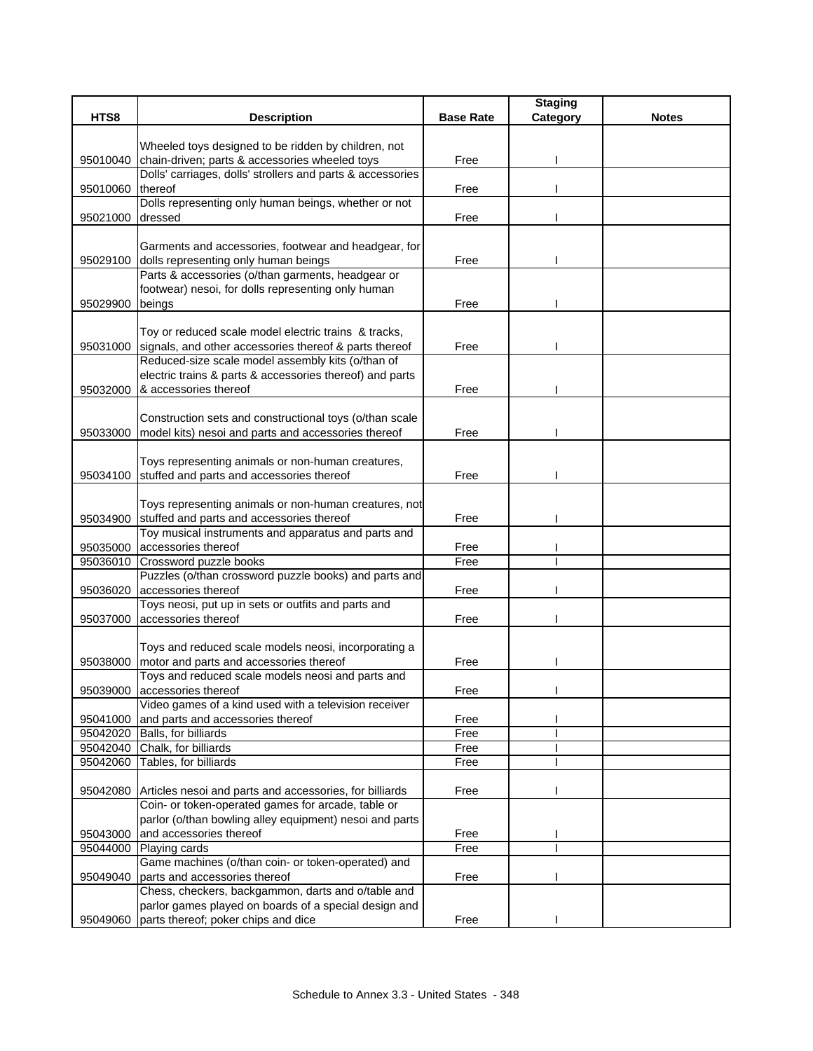|                  |                                                                                                                |                  | <b>Staging</b> |              |
|------------------|----------------------------------------------------------------------------------------------------------------|------------------|----------------|--------------|
| HTS8             | <b>Description</b>                                                                                             | <b>Base Rate</b> | Category       | <b>Notes</b> |
|                  | Wheeled toys designed to be ridden by children, not                                                            |                  |                |              |
| 95010040         | chain-driven; parts & accessories wheeled toys                                                                 | Free             |                |              |
|                  | Dolls' carriages, dolls' strollers and parts & accessories                                                     |                  |                |              |
| 95010060 thereof |                                                                                                                | Free             |                |              |
|                  | Dolls representing only human beings, whether or not                                                           |                  |                |              |
| 95021000         | dressed                                                                                                        | Free             |                |              |
|                  |                                                                                                                |                  |                |              |
|                  | Garments and accessories, footwear and headgear, for                                                           |                  |                |              |
|                  | 95029100 dolls representing only human beings                                                                  | Free             |                |              |
|                  | Parts & accessories (o/than garments, headgear or                                                              |                  |                |              |
|                  | footwear) nesoi, for dolls representing only human                                                             |                  |                |              |
| 95029900         | beings                                                                                                         | Free             |                |              |
|                  |                                                                                                                |                  |                |              |
|                  | Toy or reduced scale model electric trains & tracks,                                                           |                  |                |              |
| 95031000         | signals, and other accessories thereof & parts thereof                                                         | Free             |                |              |
|                  | Reduced-size scale model assembly kits (o/than of                                                              |                  |                |              |
|                  | electric trains & parts & accessories thereof) and parts                                                       |                  |                |              |
| 95032000         | & accessories thereof                                                                                          | Free             |                |              |
|                  |                                                                                                                |                  |                |              |
| 95033000         | Construction sets and constructional toys (o/than scale<br>model kits) nesoi and parts and accessories thereof | Free             |                |              |
|                  |                                                                                                                |                  |                |              |
|                  | Toys representing animals or non-human creatures,                                                              |                  |                |              |
|                  | 95034100 stuffed and parts and accessories thereof                                                             | Free             |                |              |
|                  |                                                                                                                |                  |                |              |
|                  | Toys representing animals or non-human creatures, not                                                          |                  |                |              |
| 95034900         | stuffed and parts and accessories thereof                                                                      | Free             |                |              |
|                  | Toy musical instruments and apparatus and parts and                                                            |                  |                |              |
| 95035000         | accessories thereof                                                                                            | Free             |                |              |
| 95036010         | Crossword puzzle books                                                                                         | Free             |                |              |
|                  | Puzzles (o/than crossword puzzle books) and parts and                                                          |                  |                |              |
| 95036020         | accessories thereof                                                                                            | Free             |                |              |
|                  | Toys neosi, put up in sets or outfits and parts and                                                            |                  |                |              |
| 95037000         | accessories thereof                                                                                            | Free             |                |              |
|                  |                                                                                                                |                  |                |              |
|                  | Toys and reduced scale models neosi, incorporating a<br>motor and parts and accessories thereof                |                  |                |              |
| 95038000         | Toys and reduced scale models neosi and parts and                                                              | Free             |                |              |
|                  | 95039000 accessories thereof                                                                                   | Free             |                |              |
|                  | Video games of a kind used with a television receiver                                                          |                  |                |              |
| 95041000         | and parts and accessories thereof                                                                              | Free             |                |              |
| 95042020         | Balls, for billiards                                                                                           | Free             |                |              |
| 95042040         | Chalk, for billiards                                                                                           | Free             |                |              |
| 95042060         | Tables, for billiards                                                                                          | Free             |                |              |
|                  |                                                                                                                |                  |                |              |
|                  | 95042080 Articles nesoi and parts and accessories, for billiards                                               | Free             |                |              |
|                  | Coin- or token-operated games for arcade, table or                                                             |                  |                |              |
|                  | parlor (o/than bowling alley equipment) nesoi and parts                                                        |                  |                |              |
| 95043000         | and accessories thereof                                                                                        | Free             |                |              |
| 95044000         | Playing cards                                                                                                  | Free             |                |              |
|                  | Game machines (o/than coin- or token-operated) and                                                             |                  |                |              |
| 95049040         | parts and accessories thereof                                                                                  | Free             |                |              |
|                  | Chess, checkers, backgammon, darts and o/table and                                                             |                  |                |              |
|                  | parlor games played on boards of a special design and                                                          |                  |                |              |
| 95049060         | parts thereof; poker chips and dice                                                                            | Free             |                |              |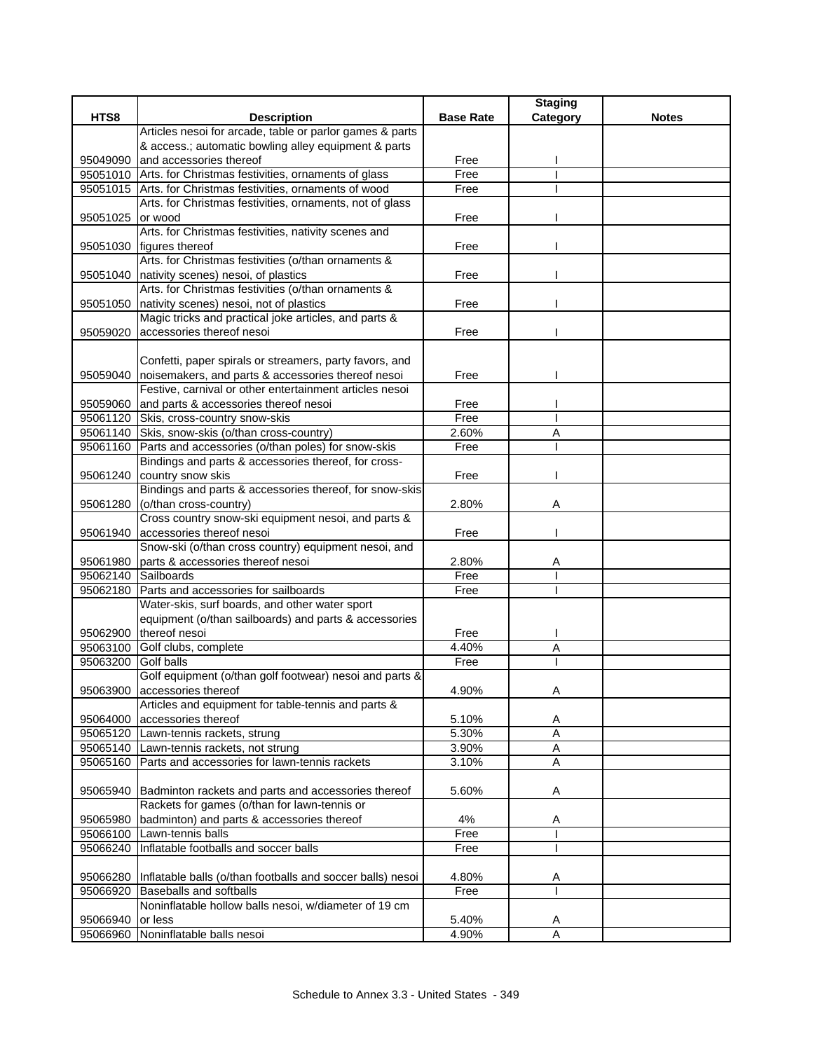|          |                                                                                           |                  | <b>Staging</b> |              |
|----------|-------------------------------------------------------------------------------------------|------------------|----------------|--------------|
| HTS8     | <b>Description</b>                                                                        | <b>Base Rate</b> | Category       | <b>Notes</b> |
|          | Articles nesoi for arcade, table or parlor games & parts                                  |                  |                |              |
|          | & access.; automatic bowling alley equipment & parts                                      |                  |                |              |
| 95049090 | land accessories thereof                                                                  | Free             |                |              |
|          | 95051010 Arts. for Christmas festivities, ornaments of glass                              | Free             |                |              |
|          | 95051015 Arts. for Christmas festivities, ornaments of wood                               | Free             |                |              |
|          | Arts. for Christmas festivities, ornaments, not of glass                                  |                  |                |              |
| 95051025 | or wood                                                                                   | Free             |                |              |
|          | Arts. for Christmas festivities, nativity scenes and<br>95051030 figures thereof          |                  |                |              |
|          | Arts. for Christmas festivities (o/than ornaments &                                       | Free             |                |              |
|          | 95051040 nativity scenes) nesoi, of plastics                                              | Free             |                |              |
|          | Arts. for Christmas festivities (o/than ornaments &                                       |                  |                |              |
| 95051050 | nativity scenes) nesoi, not of plastics                                                   | Free             |                |              |
|          | Magic tricks and practical joke articles, and parts &                                     |                  |                |              |
| 95059020 | accessories thereof nesoi                                                                 | Free             |                |              |
|          |                                                                                           |                  |                |              |
|          | Confetti, paper spirals or streamers, party favors, and                                   |                  |                |              |
|          | 95059040 noisemakers, and parts & accessories thereof nesoi                               | Free             |                |              |
|          | Festive, carnival or other entertainment articles nesoi                                   |                  |                |              |
|          | 95059060 and parts & accessories thereof nesoi                                            | Free             |                |              |
|          | 95061120 Skis, cross-country snow-skis                                                    | Free             |                |              |
|          | 95061140 Skis, snow-skis (o/than cross-country)                                           | 2.60%            | Α              |              |
|          | 95061160 Parts and accessories (o/than poles) for snow-skis                               | Free             |                |              |
|          | Bindings and parts & accessories thereof, for cross-                                      |                  |                |              |
|          | 95061240 country snow skis                                                                | Free             |                |              |
|          | Bindings and parts & accessories thereof, for snow-skis                                   |                  |                |              |
| 95061280 | (o/than cross-country)                                                                    | 2.80%            | Α              |              |
|          | Cross country snow-ski equipment nesoi, and parts &                                       |                  |                |              |
| 95061940 | accessories thereof nesoi                                                                 | Free             |                |              |
|          | Snow-ski (o/than cross country) equipment nesoi, and                                      |                  |                |              |
| 95061980 | parts & accessories thereof nesoi                                                         | 2.80%            | Α              |              |
| 95062140 | Sailboards                                                                                | Free             |                |              |
| 95062180 | Parts and accessories for sailboards                                                      | Free             |                |              |
|          | Water-skis, surf boards, and other water sport                                            |                  |                |              |
|          | equipment (o/than sailboards) and parts & accessories                                     |                  |                |              |
| 95062900 | thereof nesoi                                                                             | Free             |                |              |
| 95063100 | Golf clubs, complete                                                                      | 4.40%            | Α              |              |
| 95063200 | <b>Golf</b> balls                                                                         | Free             |                |              |
|          | Golf equipment (o/than golf footwear) nesoi and parts &                                   |                  |                |              |
| 95063900 | accessories thereof                                                                       | 4.90%            | A              |              |
|          | Articles and equipment for table-tennis and parts &                                       |                  |                |              |
| 95064000 | accessories thereof                                                                       | 5.10%            | A              |              |
|          | 95065120 Lawn-tennis rackets, strung                                                      | 5.30%            | Α              |              |
|          | 95065140 Lawn-tennis rackets, not strung                                                  | 3.90%            | Α              |              |
| 95065160 | Parts and accessories for lawn-tennis rackets                                             | 3.10%            | $\overline{A}$ |              |
|          |                                                                                           |                  |                |              |
| 95065940 | Badminton rackets and parts and accessories thereof                                       | 5.60%            | Α              |              |
|          | Rackets for games (o/than for lawn-tennis or                                              |                  |                |              |
| 95065980 | badminton) and parts & accessories thereof                                                | 4%               | A              |              |
|          | 95066100 Lawn-tennis balls                                                                | Free             |                |              |
| 95066240 | Inflatable footballs and soccer balls                                                     | Free             |                |              |
|          |                                                                                           |                  |                |              |
|          | 95066280 Inflatable balls (o/than footballs and soccer balls) nesoi                       | 4.80%            | A              |              |
|          | 95066920 Baseballs and softballs<br>Noninflatable hollow balls nesoi, w/diameter of 19 cm | Free             |                |              |
|          | or less                                                                                   |                  |                |              |
| 95066940 | 95066960 Noninflatable balls nesoi                                                        | 5.40%<br>4.90%   | Α<br>A         |              |
|          |                                                                                           |                  |                |              |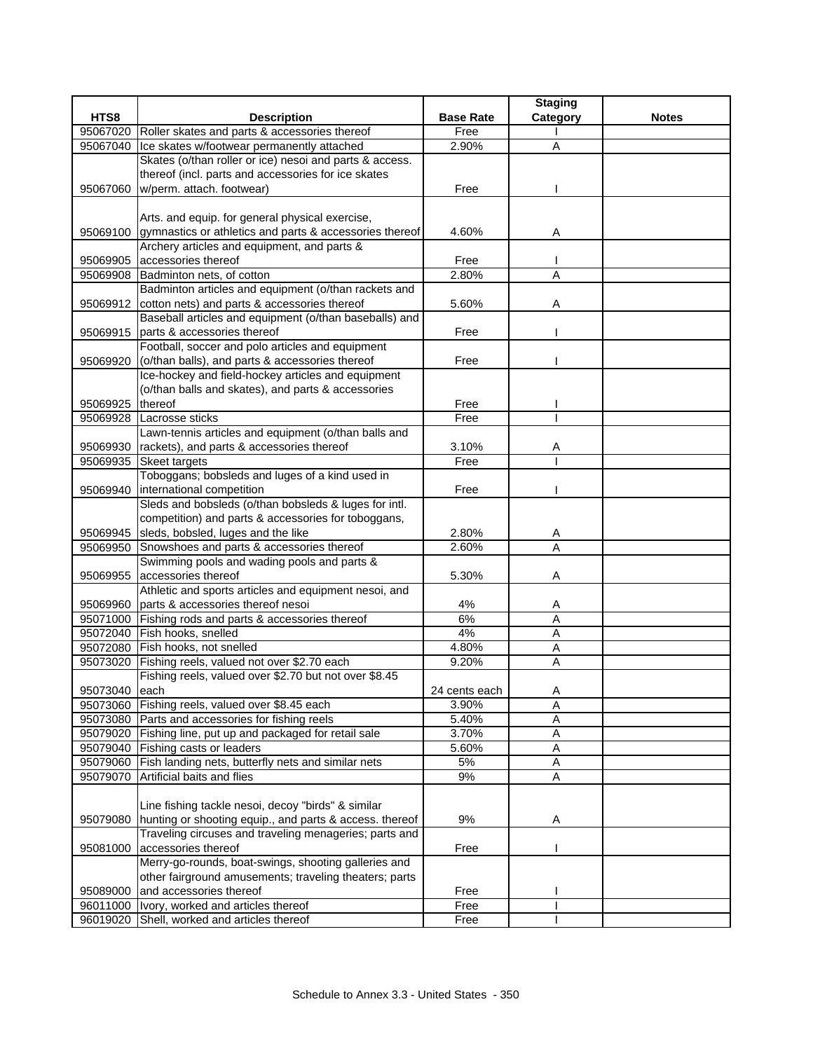| HTS8<br><b>Base Rate</b><br>Category<br><b>Description</b><br><b>Notes</b><br>95067020 Roller skates and parts & accessories thereof<br>Free<br>Ice skates w/footwear permanently attached<br>2.90%<br>95067040<br>A<br>Skates (o/than roller or ice) nesoi and parts & access.<br>thereof (incl. parts and accessories for ice skates<br>95067060<br>w/perm. attach. footwear)<br>Free<br>Arts. and equip. for general physical exercise,<br>95069100 gymnastics or athletics and parts & accessories thereof<br>4.60%<br>Α<br>Archery articles and equipment, and parts &<br>95069905 accessories thereof<br>Free<br>2.80%<br>A<br>95069908 Badminton nets, of cotton<br>Badminton articles and equipment (o/than rackets and<br>cotton nets) and parts & accessories thereof<br>5.60%<br>95069912<br>Α<br>Baseball articles and equipment (o/than baseballs) and<br>parts & accessories thereof<br>Free<br>95069915<br>Football, soccer and polo articles and equipment<br>(o/than balls), and parts & accessories thereof<br>Free<br>95069920<br>Ice-hockey and field-hockey articles and equipment<br>(o/than balls and skates), and parts & accessories<br>95069925<br><b>Ithereof</b><br>Free<br>Free<br>95069928<br>Lacrosse sticks<br>Lawn-tennis articles and equipment (o/than balls and<br>95069930 rackets), and parts & accessories thereof<br>3.10%<br>A<br>Free<br>95069935 Skeet targets<br>Toboggans; bobsleds and luges of a kind used in<br>95069940<br>international competition<br>Free<br>Sleds and bobsleds (o/than bobsleds & luges for intl.<br>competition) and parts & accessories for toboggans,<br>95069945 sleds, bobsled, luges and the like<br>2.80%<br>Α<br>$\overline{A}$<br>2.60%<br>95069950<br>Snowshoes and parts & accessories thereof<br>Swimming pools and wading pools and parts &<br>accessories thereof<br>5.30%<br>95069955<br>Α<br>Athletic and sports articles and equipment nesoi, and<br>parts & accessories thereof nesoi<br>4%<br>95069960<br>A<br>6%<br>A<br>95071000 Fishing rods and parts & accessories thereof<br>95072040 Fish hooks, snelled<br>4%<br>A<br>95072080 Fish hooks, not snelled<br>4.80%<br>Α<br>95073020 Fishing reels, valued not over \$2.70 each<br>9.20%<br>Α<br>Fishing reels, valued over \$2.70 but not over \$8.45<br>95073040<br>each<br>24 cents each<br>A<br>Fishing reels, valued over \$8.45 each<br>A<br>95073060<br>3.90%<br>95073080 Parts and accessories for fishing reels<br>5.40%<br>Α<br>95079020 Fishing line, put up and packaged for retail sale<br>3.70%<br>Α<br>95079040 Fishing casts or leaders<br>5.60%<br>Α<br>95079060 Fish landing nets, butterfly nets and similar nets<br>5%<br>A<br>95079070 Artificial baits and flies<br>9%<br>A<br>Line fishing tackle nesoi, decoy "birds" & similar<br>hunting or shooting equip., and parts & access. thereof<br>9%<br>95079080<br>Α<br>Traveling circuses and traveling menageries; parts and<br>accessories thereof<br>95081000<br>Free<br>Merry-go-rounds, boat-swings, shooting galleries and<br>other fairground amusements; traveling theaters; parts<br>and accessories thereof<br>95089000<br>Free<br>96011000 Vory, worked and articles thereof<br>Free<br>96019020 Shell, worked and articles thereof |  |      | <b>Staging</b> |  |
|------------------------------------------------------------------------------------------------------------------------------------------------------------------------------------------------------------------------------------------------------------------------------------------------------------------------------------------------------------------------------------------------------------------------------------------------------------------------------------------------------------------------------------------------------------------------------------------------------------------------------------------------------------------------------------------------------------------------------------------------------------------------------------------------------------------------------------------------------------------------------------------------------------------------------------------------------------------------------------------------------------------------------------------------------------------------------------------------------------------------------------------------------------------------------------------------------------------------------------------------------------------------------------------------------------------------------------------------------------------------------------------------------------------------------------------------------------------------------------------------------------------------------------------------------------------------------------------------------------------------------------------------------------------------------------------------------------------------------------------------------------------------------------------------------------------------------------------------------------------------------------------------------------------------------------------------------------------------------------------------------------------------------------------------------------------------------------------------------------------------------------------------------------------------------------------------------------------------------------------------------------------------------------------------------------------------------------------------------------------------------------------------------------------------------------------------------------------------------------------------------------------------------------------------------------------------------------------------------------------------------------------------------------------------------------------------------------------------------------------------------------------------------------------------------------------------------------------------------------------------------------------------------------------------------------------------------------------------------------------------------------------------------------------------------------------------------------------------------------------------------------------------------------------------------------------------------------------------------------------------------------------|--|------|----------------|--|
|                                                                                                                                                                                                                                                                                                                                                                                                                                                                                                                                                                                                                                                                                                                                                                                                                                                                                                                                                                                                                                                                                                                                                                                                                                                                                                                                                                                                                                                                                                                                                                                                                                                                                                                                                                                                                                                                                                                                                                                                                                                                                                                                                                                                                                                                                                                                                                                                                                                                                                                                                                                                                                                                                                                                                                                                                                                                                                                                                                                                                                                                                                                                                                                                                                                                  |  |      |                |  |
|                                                                                                                                                                                                                                                                                                                                                                                                                                                                                                                                                                                                                                                                                                                                                                                                                                                                                                                                                                                                                                                                                                                                                                                                                                                                                                                                                                                                                                                                                                                                                                                                                                                                                                                                                                                                                                                                                                                                                                                                                                                                                                                                                                                                                                                                                                                                                                                                                                                                                                                                                                                                                                                                                                                                                                                                                                                                                                                                                                                                                                                                                                                                                                                                                                                                  |  |      |                |  |
|                                                                                                                                                                                                                                                                                                                                                                                                                                                                                                                                                                                                                                                                                                                                                                                                                                                                                                                                                                                                                                                                                                                                                                                                                                                                                                                                                                                                                                                                                                                                                                                                                                                                                                                                                                                                                                                                                                                                                                                                                                                                                                                                                                                                                                                                                                                                                                                                                                                                                                                                                                                                                                                                                                                                                                                                                                                                                                                                                                                                                                                                                                                                                                                                                                                                  |  |      |                |  |
|                                                                                                                                                                                                                                                                                                                                                                                                                                                                                                                                                                                                                                                                                                                                                                                                                                                                                                                                                                                                                                                                                                                                                                                                                                                                                                                                                                                                                                                                                                                                                                                                                                                                                                                                                                                                                                                                                                                                                                                                                                                                                                                                                                                                                                                                                                                                                                                                                                                                                                                                                                                                                                                                                                                                                                                                                                                                                                                                                                                                                                                                                                                                                                                                                                                                  |  |      |                |  |
|                                                                                                                                                                                                                                                                                                                                                                                                                                                                                                                                                                                                                                                                                                                                                                                                                                                                                                                                                                                                                                                                                                                                                                                                                                                                                                                                                                                                                                                                                                                                                                                                                                                                                                                                                                                                                                                                                                                                                                                                                                                                                                                                                                                                                                                                                                                                                                                                                                                                                                                                                                                                                                                                                                                                                                                                                                                                                                                                                                                                                                                                                                                                                                                                                                                                  |  |      |                |  |
|                                                                                                                                                                                                                                                                                                                                                                                                                                                                                                                                                                                                                                                                                                                                                                                                                                                                                                                                                                                                                                                                                                                                                                                                                                                                                                                                                                                                                                                                                                                                                                                                                                                                                                                                                                                                                                                                                                                                                                                                                                                                                                                                                                                                                                                                                                                                                                                                                                                                                                                                                                                                                                                                                                                                                                                                                                                                                                                                                                                                                                                                                                                                                                                                                                                                  |  |      |                |  |
|                                                                                                                                                                                                                                                                                                                                                                                                                                                                                                                                                                                                                                                                                                                                                                                                                                                                                                                                                                                                                                                                                                                                                                                                                                                                                                                                                                                                                                                                                                                                                                                                                                                                                                                                                                                                                                                                                                                                                                                                                                                                                                                                                                                                                                                                                                                                                                                                                                                                                                                                                                                                                                                                                                                                                                                                                                                                                                                                                                                                                                                                                                                                                                                                                                                                  |  |      |                |  |
|                                                                                                                                                                                                                                                                                                                                                                                                                                                                                                                                                                                                                                                                                                                                                                                                                                                                                                                                                                                                                                                                                                                                                                                                                                                                                                                                                                                                                                                                                                                                                                                                                                                                                                                                                                                                                                                                                                                                                                                                                                                                                                                                                                                                                                                                                                                                                                                                                                                                                                                                                                                                                                                                                                                                                                                                                                                                                                                                                                                                                                                                                                                                                                                                                                                                  |  |      |                |  |
|                                                                                                                                                                                                                                                                                                                                                                                                                                                                                                                                                                                                                                                                                                                                                                                                                                                                                                                                                                                                                                                                                                                                                                                                                                                                                                                                                                                                                                                                                                                                                                                                                                                                                                                                                                                                                                                                                                                                                                                                                                                                                                                                                                                                                                                                                                                                                                                                                                                                                                                                                                                                                                                                                                                                                                                                                                                                                                                                                                                                                                                                                                                                                                                                                                                                  |  |      |                |  |
|                                                                                                                                                                                                                                                                                                                                                                                                                                                                                                                                                                                                                                                                                                                                                                                                                                                                                                                                                                                                                                                                                                                                                                                                                                                                                                                                                                                                                                                                                                                                                                                                                                                                                                                                                                                                                                                                                                                                                                                                                                                                                                                                                                                                                                                                                                                                                                                                                                                                                                                                                                                                                                                                                                                                                                                                                                                                                                                                                                                                                                                                                                                                                                                                                                                                  |  |      |                |  |
|                                                                                                                                                                                                                                                                                                                                                                                                                                                                                                                                                                                                                                                                                                                                                                                                                                                                                                                                                                                                                                                                                                                                                                                                                                                                                                                                                                                                                                                                                                                                                                                                                                                                                                                                                                                                                                                                                                                                                                                                                                                                                                                                                                                                                                                                                                                                                                                                                                                                                                                                                                                                                                                                                                                                                                                                                                                                                                                                                                                                                                                                                                                                                                                                                                                                  |  |      |                |  |
|                                                                                                                                                                                                                                                                                                                                                                                                                                                                                                                                                                                                                                                                                                                                                                                                                                                                                                                                                                                                                                                                                                                                                                                                                                                                                                                                                                                                                                                                                                                                                                                                                                                                                                                                                                                                                                                                                                                                                                                                                                                                                                                                                                                                                                                                                                                                                                                                                                                                                                                                                                                                                                                                                                                                                                                                                                                                                                                                                                                                                                                                                                                                                                                                                                                                  |  |      |                |  |
|                                                                                                                                                                                                                                                                                                                                                                                                                                                                                                                                                                                                                                                                                                                                                                                                                                                                                                                                                                                                                                                                                                                                                                                                                                                                                                                                                                                                                                                                                                                                                                                                                                                                                                                                                                                                                                                                                                                                                                                                                                                                                                                                                                                                                                                                                                                                                                                                                                                                                                                                                                                                                                                                                                                                                                                                                                                                                                                                                                                                                                                                                                                                                                                                                                                                  |  |      |                |  |
|                                                                                                                                                                                                                                                                                                                                                                                                                                                                                                                                                                                                                                                                                                                                                                                                                                                                                                                                                                                                                                                                                                                                                                                                                                                                                                                                                                                                                                                                                                                                                                                                                                                                                                                                                                                                                                                                                                                                                                                                                                                                                                                                                                                                                                                                                                                                                                                                                                                                                                                                                                                                                                                                                                                                                                                                                                                                                                                                                                                                                                                                                                                                                                                                                                                                  |  |      |                |  |
|                                                                                                                                                                                                                                                                                                                                                                                                                                                                                                                                                                                                                                                                                                                                                                                                                                                                                                                                                                                                                                                                                                                                                                                                                                                                                                                                                                                                                                                                                                                                                                                                                                                                                                                                                                                                                                                                                                                                                                                                                                                                                                                                                                                                                                                                                                                                                                                                                                                                                                                                                                                                                                                                                                                                                                                                                                                                                                                                                                                                                                                                                                                                                                                                                                                                  |  |      |                |  |
|                                                                                                                                                                                                                                                                                                                                                                                                                                                                                                                                                                                                                                                                                                                                                                                                                                                                                                                                                                                                                                                                                                                                                                                                                                                                                                                                                                                                                                                                                                                                                                                                                                                                                                                                                                                                                                                                                                                                                                                                                                                                                                                                                                                                                                                                                                                                                                                                                                                                                                                                                                                                                                                                                                                                                                                                                                                                                                                                                                                                                                                                                                                                                                                                                                                                  |  |      |                |  |
|                                                                                                                                                                                                                                                                                                                                                                                                                                                                                                                                                                                                                                                                                                                                                                                                                                                                                                                                                                                                                                                                                                                                                                                                                                                                                                                                                                                                                                                                                                                                                                                                                                                                                                                                                                                                                                                                                                                                                                                                                                                                                                                                                                                                                                                                                                                                                                                                                                                                                                                                                                                                                                                                                                                                                                                                                                                                                                                                                                                                                                                                                                                                                                                                                                                                  |  |      |                |  |
|                                                                                                                                                                                                                                                                                                                                                                                                                                                                                                                                                                                                                                                                                                                                                                                                                                                                                                                                                                                                                                                                                                                                                                                                                                                                                                                                                                                                                                                                                                                                                                                                                                                                                                                                                                                                                                                                                                                                                                                                                                                                                                                                                                                                                                                                                                                                                                                                                                                                                                                                                                                                                                                                                                                                                                                                                                                                                                                                                                                                                                                                                                                                                                                                                                                                  |  |      |                |  |
|                                                                                                                                                                                                                                                                                                                                                                                                                                                                                                                                                                                                                                                                                                                                                                                                                                                                                                                                                                                                                                                                                                                                                                                                                                                                                                                                                                                                                                                                                                                                                                                                                                                                                                                                                                                                                                                                                                                                                                                                                                                                                                                                                                                                                                                                                                                                                                                                                                                                                                                                                                                                                                                                                                                                                                                                                                                                                                                                                                                                                                                                                                                                                                                                                                                                  |  |      |                |  |
|                                                                                                                                                                                                                                                                                                                                                                                                                                                                                                                                                                                                                                                                                                                                                                                                                                                                                                                                                                                                                                                                                                                                                                                                                                                                                                                                                                                                                                                                                                                                                                                                                                                                                                                                                                                                                                                                                                                                                                                                                                                                                                                                                                                                                                                                                                                                                                                                                                                                                                                                                                                                                                                                                                                                                                                                                                                                                                                                                                                                                                                                                                                                                                                                                                                                  |  |      |                |  |
|                                                                                                                                                                                                                                                                                                                                                                                                                                                                                                                                                                                                                                                                                                                                                                                                                                                                                                                                                                                                                                                                                                                                                                                                                                                                                                                                                                                                                                                                                                                                                                                                                                                                                                                                                                                                                                                                                                                                                                                                                                                                                                                                                                                                                                                                                                                                                                                                                                                                                                                                                                                                                                                                                                                                                                                                                                                                                                                                                                                                                                                                                                                                                                                                                                                                  |  |      |                |  |
|                                                                                                                                                                                                                                                                                                                                                                                                                                                                                                                                                                                                                                                                                                                                                                                                                                                                                                                                                                                                                                                                                                                                                                                                                                                                                                                                                                                                                                                                                                                                                                                                                                                                                                                                                                                                                                                                                                                                                                                                                                                                                                                                                                                                                                                                                                                                                                                                                                                                                                                                                                                                                                                                                                                                                                                                                                                                                                                                                                                                                                                                                                                                                                                                                                                                  |  |      |                |  |
|                                                                                                                                                                                                                                                                                                                                                                                                                                                                                                                                                                                                                                                                                                                                                                                                                                                                                                                                                                                                                                                                                                                                                                                                                                                                                                                                                                                                                                                                                                                                                                                                                                                                                                                                                                                                                                                                                                                                                                                                                                                                                                                                                                                                                                                                                                                                                                                                                                                                                                                                                                                                                                                                                                                                                                                                                                                                                                                                                                                                                                                                                                                                                                                                                                                                  |  |      |                |  |
|                                                                                                                                                                                                                                                                                                                                                                                                                                                                                                                                                                                                                                                                                                                                                                                                                                                                                                                                                                                                                                                                                                                                                                                                                                                                                                                                                                                                                                                                                                                                                                                                                                                                                                                                                                                                                                                                                                                                                                                                                                                                                                                                                                                                                                                                                                                                                                                                                                                                                                                                                                                                                                                                                                                                                                                                                                                                                                                                                                                                                                                                                                                                                                                                                                                                  |  |      |                |  |
|                                                                                                                                                                                                                                                                                                                                                                                                                                                                                                                                                                                                                                                                                                                                                                                                                                                                                                                                                                                                                                                                                                                                                                                                                                                                                                                                                                                                                                                                                                                                                                                                                                                                                                                                                                                                                                                                                                                                                                                                                                                                                                                                                                                                                                                                                                                                                                                                                                                                                                                                                                                                                                                                                                                                                                                                                                                                                                                                                                                                                                                                                                                                                                                                                                                                  |  |      |                |  |
|                                                                                                                                                                                                                                                                                                                                                                                                                                                                                                                                                                                                                                                                                                                                                                                                                                                                                                                                                                                                                                                                                                                                                                                                                                                                                                                                                                                                                                                                                                                                                                                                                                                                                                                                                                                                                                                                                                                                                                                                                                                                                                                                                                                                                                                                                                                                                                                                                                                                                                                                                                                                                                                                                                                                                                                                                                                                                                                                                                                                                                                                                                                                                                                                                                                                  |  |      |                |  |
|                                                                                                                                                                                                                                                                                                                                                                                                                                                                                                                                                                                                                                                                                                                                                                                                                                                                                                                                                                                                                                                                                                                                                                                                                                                                                                                                                                                                                                                                                                                                                                                                                                                                                                                                                                                                                                                                                                                                                                                                                                                                                                                                                                                                                                                                                                                                                                                                                                                                                                                                                                                                                                                                                                                                                                                                                                                                                                                                                                                                                                                                                                                                                                                                                                                                  |  |      |                |  |
|                                                                                                                                                                                                                                                                                                                                                                                                                                                                                                                                                                                                                                                                                                                                                                                                                                                                                                                                                                                                                                                                                                                                                                                                                                                                                                                                                                                                                                                                                                                                                                                                                                                                                                                                                                                                                                                                                                                                                                                                                                                                                                                                                                                                                                                                                                                                                                                                                                                                                                                                                                                                                                                                                                                                                                                                                                                                                                                                                                                                                                                                                                                                                                                                                                                                  |  |      |                |  |
|                                                                                                                                                                                                                                                                                                                                                                                                                                                                                                                                                                                                                                                                                                                                                                                                                                                                                                                                                                                                                                                                                                                                                                                                                                                                                                                                                                                                                                                                                                                                                                                                                                                                                                                                                                                                                                                                                                                                                                                                                                                                                                                                                                                                                                                                                                                                                                                                                                                                                                                                                                                                                                                                                                                                                                                                                                                                                                                                                                                                                                                                                                                                                                                                                                                                  |  |      |                |  |
|                                                                                                                                                                                                                                                                                                                                                                                                                                                                                                                                                                                                                                                                                                                                                                                                                                                                                                                                                                                                                                                                                                                                                                                                                                                                                                                                                                                                                                                                                                                                                                                                                                                                                                                                                                                                                                                                                                                                                                                                                                                                                                                                                                                                                                                                                                                                                                                                                                                                                                                                                                                                                                                                                                                                                                                                                                                                                                                                                                                                                                                                                                                                                                                                                                                                  |  |      |                |  |
|                                                                                                                                                                                                                                                                                                                                                                                                                                                                                                                                                                                                                                                                                                                                                                                                                                                                                                                                                                                                                                                                                                                                                                                                                                                                                                                                                                                                                                                                                                                                                                                                                                                                                                                                                                                                                                                                                                                                                                                                                                                                                                                                                                                                                                                                                                                                                                                                                                                                                                                                                                                                                                                                                                                                                                                                                                                                                                                                                                                                                                                                                                                                                                                                                                                                  |  |      |                |  |
|                                                                                                                                                                                                                                                                                                                                                                                                                                                                                                                                                                                                                                                                                                                                                                                                                                                                                                                                                                                                                                                                                                                                                                                                                                                                                                                                                                                                                                                                                                                                                                                                                                                                                                                                                                                                                                                                                                                                                                                                                                                                                                                                                                                                                                                                                                                                                                                                                                                                                                                                                                                                                                                                                                                                                                                                                                                                                                                                                                                                                                                                                                                                                                                                                                                                  |  |      |                |  |
|                                                                                                                                                                                                                                                                                                                                                                                                                                                                                                                                                                                                                                                                                                                                                                                                                                                                                                                                                                                                                                                                                                                                                                                                                                                                                                                                                                                                                                                                                                                                                                                                                                                                                                                                                                                                                                                                                                                                                                                                                                                                                                                                                                                                                                                                                                                                                                                                                                                                                                                                                                                                                                                                                                                                                                                                                                                                                                                                                                                                                                                                                                                                                                                                                                                                  |  |      |                |  |
|                                                                                                                                                                                                                                                                                                                                                                                                                                                                                                                                                                                                                                                                                                                                                                                                                                                                                                                                                                                                                                                                                                                                                                                                                                                                                                                                                                                                                                                                                                                                                                                                                                                                                                                                                                                                                                                                                                                                                                                                                                                                                                                                                                                                                                                                                                                                                                                                                                                                                                                                                                                                                                                                                                                                                                                                                                                                                                                                                                                                                                                                                                                                                                                                                                                                  |  |      |                |  |
|                                                                                                                                                                                                                                                                                                                                                                                                                                                                                                                                                                                                                                                                                                                                                                                                                                                                                                                                                                                                                                                                                                                                                                                                                                                                                                                                                                                                                                                                                                                                                                                                                                                                                                                                                                                                                                                                                                                                                                                                                                                                                                                                                                                                                                                                                                                                                                                                                                                                                                                                                                                                                                                                                                                                                                                                                                                                                                                                                                                                                                                                                                                                                                                                                                                                  |  |      |                |  |
|                                                                                                                                                                                                                                                                                                                                                                                                                                                                                                                                                                                                                                                                                                                                                                                                                                                                                                                                                                                                                                                                                                                                                                                                                                                                                                                                                                                                                                                                                                                                                                                                                                                                                                                                                                                                                                                                                                                                                                                                                                                                                                                                                                                                                                                                                                                                                                                                                                                                                                                                                                                                                                                                                                                                                                                                                                                                                                                                                                                                                                                                                                                                                                                                                                                                  |  |      |                |  |
|                                                                                                                                                                                                                                                                                                                                                                                                                                                                                                                                                                                                                                                                                                                                                                                                                                                                                                                                                                                                                                                                                                                                                                                                                                                                                                                                                                                                                                                                                                                                                                                                                                                                                                                                                                                                                                                                                                                                                                                                                                                                                                                                                                                                                                                                                                                                                                                                                                                                                                                                                                                                                                                                                                                                                                                                                                                                                                                                                                                                                                                                                                                                                                                                                                                                  |  |      |                |  |
|                                                                                                                                                                                                                                                                                                                                                                                                                                                                                                                                                                                                                                                                                                                                                                                                                                                                                                                                                                                                                                                                                                                                                                                                                                                                                                                                                                                                                                                                                                                                                                                                                                                                                                                                                                                                                                                                                                                                                                                                                                                                                                                                                                                                                                                                                                                                                                                                                                                                                                                                                                                                                                                                                                                                                                                                                                                                                                                                                                                                                                                                                                                                                                                                                                                                  |  |      |                |  |
|                                                                                                                                                                                                                                                                                                                                                                                                                                                                                                                                                                                                                                                                                                                                                                                                                                                                                                                                                                                                                                                                                                                                                                                                                                                                                                                                                                                                                                                                                                                                                                                                                                                                                                                                                                                                                                                                                                                                                                                                                                                                                                                                                                                                                                                                                                                                                                                                                                                                                                                                                                                                                                                                                                                                                                                                                                                                                                                                                                                                                                                                                                                                                                                                                                                                  |  |      |                |  |
|                                                                                                                                                                                                                                                                                                                                                                                                                                                                                                                                                                                                                                                                                                                                                                                                                                                                                                                                                                                                                                                                                                                                                                                                                                                                                                                                                                                                                                                                                                                                                                                                                                                                                                                                                                                                                                                                                                                                                                                                                                                                                                                                                                                                                                                                                                                                                                                                                                                                                                                                                                                                                                                                                                                                                                                                                                                                                                                                                                                                                                                                                                                                                                                                                                                                  |  |      |                |  |
|                                                                                                                                                                                                                                                                                                                                                                                                                                                                                                                                                                                                                                                                                                                                                                                                                                                                                                                                                                                                                                                                                                                                                                                                                                                                                                                                                                                                                                                                                                                                                                                                                                                                                                                                                                                                                                                                                                                                                                                                                                                                                                                                                                                                                                                                                                                                                                                                                                                                                                                                                                                                                                                                                                                                                                                                                                                                                                                                                                                                                                                                                                                                                                                                                                                                  |  |      |                |  |
|                                                                                                                                                                                                                                                                                                                                                                                                                                                                                                                                                                                                                                                                                                                                                                                                                                                                                                                                                                                                                                                                                                                                                                                                                                                                                                                                                                                                                                                                                                                                                                                                                                                                                                                                                                                                                                                                                                                                                                                                                                                                                                                                                                                                                                                                                                                                                                                                                                                                                                                                                                                                                                                                                                                                                                                                                                                                                                                                                                                                                                                                                                                                                                                                                                                                  |  |      |                |  |
|                                                                                                                                                                                                                                                                                                                                                                                                                                                                                                                                                                                                                                                                                                                                                                                                                                                                                                                                                                                                                                                                                                                                                                                                                                                                                                                                                                                                                                                                                                                                                                                                                                                                                                                                                                                                                                                                                                                                                                                                                                                                                                                                                                                                                                                                                                                                                                                                                                                                                                                                                                                                                                                                                                                                                                                                                                                                                                                                                                                                                                                                                                                                                                                                                                                                  |  |      |                |  |
|                                                                                                                                                                                                                                                                                                                                                                                                                                                                                                                                                                                                                                                                                                                                                                                                                                                                                                                                                                                                                                                                                                                                                                                                                                                                                                                                                                                                                                                                                                                                                                                                                                                                                                                                                                                                                                                                                                                                                                                                                                                                                                                                                                                                                                                                                                                                                                                                                                                                                                                                                                                                                                                                                                                                                                                                                                                                                                                                                                                                                                                                                                                                                                                                                                                                  |  |      |                |  |
|                                                                                                                                                                                                                                                                                                                                                                                                                                                                                                                                                                                                                                                                                                                                                                                                                                                                                                                                                                                                                                                                                                                                                                                                                                                                                                                                                                                                                                                                                                                                                                                                                                                                                                                                                                                                                                                                                                                                                                                                                                                                                                                                                                                                                                                                                                                                                                                                                                                                                                                                                                                                                                                                                                                                                                                                                                                                                                                                                                                                                                                                                                                                                                                                                                                                  |  |      |                |  |
|                                                                                                                                                                                                                                                                                                                                                                                                                                                                                                                                                                                                                                                                                                                                                                                                                                                                                                                                                                                                                                                                                                                                                                                                                                                                                                                                                                                                                                                                                                                                                                                                                                                                                                                                                                                                                                                                                                                                                                                                                                                                                                                                                                                                                                                                                                                                                                                                                                                                                                                                                                                                                                                                                                                                                                                                                                                                                                                                                                                                                                                                                                                                                                                                                                                                  |  |      |                |  |
|                                                                                                                                                                                                                                                                                                                                                                                                                                                                                                                                                                                                                                                                                                                                                                                                                                                                                                                                                                                                                                                                                                                                                                                                                                                                                                                                                                                                                                                                                                                                                                                                                                                                                                                                                                                                                                                                                                                                                                                                                                                                                                                                                                                                                                                                                                                                                                                                                                                                                                                                                                                                                                                                                                                                                                                                                                                                                                                                                                                                                                                                                                                                                                                                                                                                  |  |      |                |  |
|                                                                                                                                                                                                                                                                                                                                                                                                                                                                                                                                                                                                                                                                                                                                                                                                                                                                                                                                                                                                                                                                                                                                                                                                                                                                                                                                                                                                                                                                                                                                                                                                                                                                                                                                                                                                                                                                                                                                                                                                                                                                                                                                                                                                                                                                                                                                                                                                                                                                                                                                                                                                                                                                                                                                                                                                                                                                                                                                                                                                                                                                                                                                                                                                                                                                  |  |      |                |  |
|                                                                                                                                                                                                                                                                                                                                                                                                                                                                                                                                                                                                                                                                                                                                                                                                                                                                                                                                                                                                                                                                                                                                                                                                                                                                                                                                                                                                                                                                                                                                                                                                                                                                                                                                                                                                                                                                                                                                                                                                                                                                                                                                                                                                                                                                                                                                                                                                                                                                                                                                                                                                                                                                                                                                                                                                                                                                                                                                                                                                                                                                                                                                                                                                                                                                  |  |      |                |  |
|                                                                                                                                                                                                                                                                                                                                                                                                                                                                                                                                                                                                                                                                                                                                                                                                                                                                                                                                                                                                                                                                                                                                                                                                                                                                                                                                                                                                                                                                                                                                                                                                                                                                                                                                                                                                                                                                                                                                                                                                                                                                                                                                                                                                                                                                                                                                                                                                                                                                                                                                                                                                                                                                                                                                                                                                                                                                                                                                                                                                                                                                                                                                                                                                                                                                  |  |      |                |  |
|                                                                                                                                                                                                                                                                                                                                                                                                                                                                                                                                                                                                                                                                                                                                                                                                                                                                                                                                                                                                                                                                                                                                                                                                                                                                                                                                                                                                                                                                                                                                                                                                                                                                                                                                                                                                                                                                                                                                                                                                                                                                                                                                                                                                                                                                                                                                                                                                                                                                                                                                                                                                                                                                                                                                                                                                                                                                                                                                                                                                                                                                                                                                                                                                                                                                  |  |      |                |  |
|                                                                                                                                                                                                                                                                                                                                                                                                                                                                                                                                                                                                                                                                                                                                                                                                                                                                                                                                                                                                                                                                                                                                                                                                                                                                                                                                                                                                                                                                                                                                                                                                                                                                                                                                                                                                                                                                                                                                                                                                                                                                                                                                                                                                                                                                                                                                                                                                                                                                                                                                                                                                                                                                                                                                                                                                                                                                                                                                                                                                                                                                                                                                                                                                                                                                  |  |      |                |  |
|                                                                                                                                                                                                                                                                                                                                                                                                                                                                                                                                                                                                                                                                                                                                                                                                                                                                                                                                                                                                                                                                                                                                                                                                                                                                                                                                                                                                                                                                                                                                                                                                                                                                                                                                                                                                                                                                                                                                                                                                                                                                                                                                                                                                                                                                                                                                                                                                                                                                                                                                                                                                                                                                                                                                                                                                                                                                                                                                                                                                                                                                                                                                                                                                                                                                  |  |      |                |  |
|                                                                                                                                                                                                                                                                                                                                                                                                                                                                                                                                                                                                                                                                                                                                                                                                                                                                                                                                                                                                                                                                                                                                                                                                                                                                                                                                                                                                                                                                                                                                                                                                                                                                                                                                                                                                                                                                                                                                                                                                                                                                                                                                                                                                                                                                                                                                                                                                                                                                                                                                                                                                                                                                                                                                                                                                                                                                                                                                                                                                                                                                                                                                                                                                                                                                  |  |      |                |  |
|                                                                                                                                                                                                                                                                                                                                                                                                                                                                                                                                                                                                                                                                                                                                                                                                                                                                                                                                                                                                                                                                                                                                                                                                                                                                                                                                                                                                                                                                                                                                                                                                                                                                                                                                                                                                                                                                                                                                                                                                                                                                                                                                                                                                                                                                                                                                                                                                                                                                                                                                                                                                                                                                                                                                                                                                                                                                                                                                                                                                                                                                                                                                                                                                                                                                  |  | Free |                |  |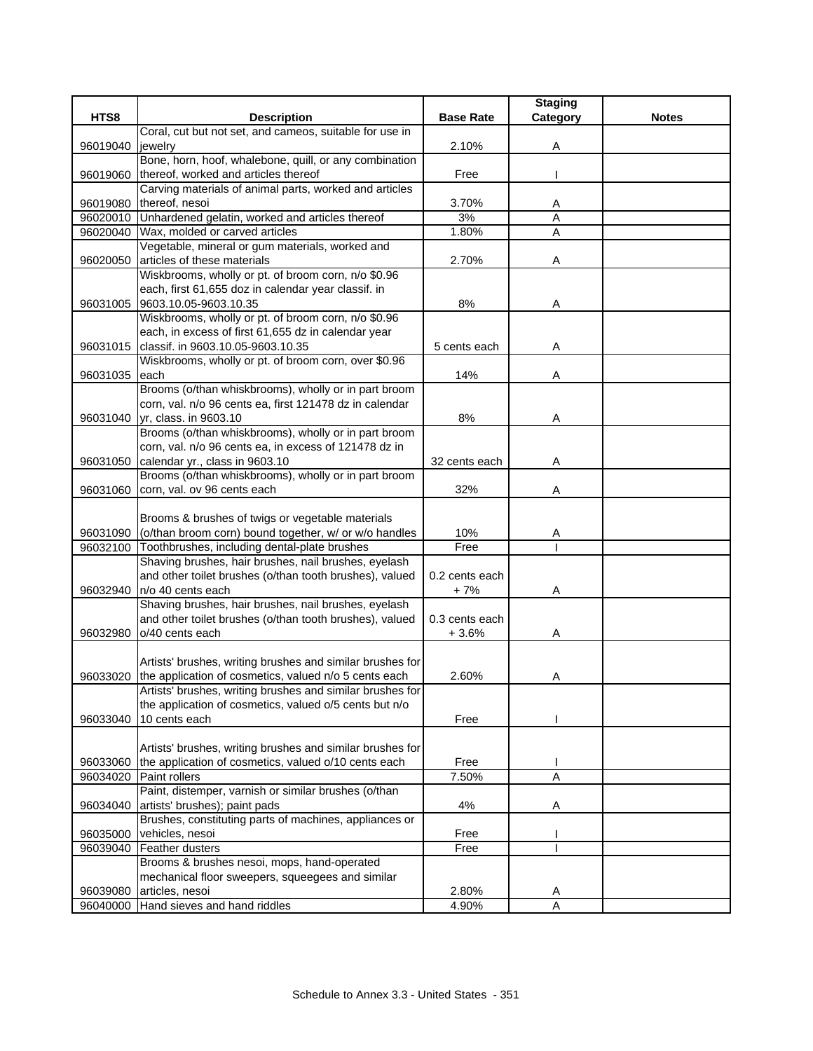|          |                                                               |                  | <b>Staging</b> |              |
|----------|---------------------------------------------------------------|------------------|----------------|--------------|
| HTS8     | <b>Description</b>                                            | <b>Base Rate</b> | Category       | <b>Notes</b> |
|          | Coral, cut but not set, and cameos, suitable for use in       |                  |                |              |
| 96019040 | jewelry                                                       | 2.10%            | Α              |              |
|          | Bone, horn, hoof, whalebone, quill, or any combination        |                  |                |              |
| 96019060 | thereof, worked and articles thereof                          | Free             |                |              |
|          | Carving materials of animal parts, worked and articles        |                  |                |              |
| 96019080 | thereof, nesoi                                                | 3.70%            | A              |              |
| 96020010 | Unhardened gelatin, worked and articles thereof               | 3%               | Α              |              |
| 96020040 | Wax, molded or carved articles                                | 1.80%            | Α              |              |
|          | Vegetable, mineral or gum materials, worked and               |                  |                |              |
| 96020050 | articles of these materials                                   | 2.70%            | A              |              |
|          | Wiskbrooms, wholly or pt. of broom corn, n/o \$0.96           |                  |                |              |
|          | each, first 61,655 doz in calendar year classif. in           |                  |                |              |
| 96031005 | 9603.10.05-9603.10.35                                         | 8%               | Α              |              |
|          | Wiskbrooms, wholly or pt. of broom corn, n/o \$0.96           |                  |                |              |
|          | each, in excess of first 61,655 dz in calendar year           |                  |                |              |
| 96031015 | classif. in 9603.10.05-9603.10.35                             | 5 cents each     | Α              |              |
|          | Wiskbrooms, wholly or pt. of broom corn, over \$0.96          |                  |                |              |
| 96031035 | each                                                          | 14%              | Α              |              |
|          | Brooms (o/than whiskbrooms), wholly or in part broom          |                  |                |              |
|          | corn, val. n/o 96 cents ea, first 121478 dz in calendar       |                  |                |              |
|          | 96031040 yr, class. in 9603.10                                | 8%               | Α              |              |
|          | Brooms (o/than whiskbrooms), wholly or in part broom          |                  |                |              |
|          | corn, val. n/o 96 cents ea, in excess of 121478 dz in         |                  |                |              |
| 96031050 | calendar yr., class in 9603.10                                | 32 cents each    | Α              |              |
|          | Brooms (o/than whiskbrooms), wholly or in part broom          |                  |                |              |
| 96031060 | corn, val. ov 96 cents each                                   | 32%              | Α              |              |
|          |                                                               |                  |                |              |
|          | Brooms & brushes of twigs or vegetable materials              |                  |                |              |
| 96031090 | (o/than broom corn) bound together, w/ or w/o handles         | 10%              |                |              |
|          | 96032100 Toothbrushes, including dental-plate brushes         | Free             | A              |              |
|          | Shaving brushes, hair brushes, nail brushes, eyelash          |                  |                |              |
|          | and other toilet brushes (o/than tooth brushes), valued       | 0.2 cents each   |                |              |
|          |                                                               |                  |                |              |
| 96032940 | n/o 40 cents each                                             | + 7%             | Α              |              |
|          | Shaving brushes, hair brushes, nail brushes, eyelash          |                  |                |              |
|          | and other toilet brushes (o/than tooth brushes), valued       | 0.3 cents each   |                |              |
| 96032980 | o/40 cents each                                               | $+3.6%$          | A              |              |
|          |                                                               |                  |                |              |
|          | Artists' brushes, writing brushes and similar brushes for     |                  |                |              |
| 96033020 | the application of cosmetics, valued n/o 5 cents each         | 2.60%            | Α              |              |
|          | Artists' brushes, writing brushes and similar brushes for     |                  |                |              |
|          | the application of cosmetics, valued o/5 cents but n/o        |                  |                |              |
| 96033040 | 10 cents each                                                 | Free             |                |              |
|          |                                                               |                  |                |              |
|          | Artists' brushes, writing brushes and similar brushes for     |                  |                |              |
|          | 96033060 the application of cosmetics, valued o/10 cents each | Free             |                |              |
|          | 96034020 Paint rollers                                        | 7.50%            | $\overline{A}$ |              |
|          | Paint, distemper, varnish or similar brushes (o/than          |                  |                |              |
| 96034040 | artists' brushes); paint pads                                 | 4%               | Α              |              |
|          | Brushes, constituting parts of machines, appliances or        |                  |                |              |
| 96035000 | vehicles, nesoi                                               | Free             |                |              |
| 96039040 | Feather dusters                                               | Free             |                |              |
|          | Brooms & brushes nesoi, mops, hand-operated                   |                  |                |              |
|          | mechanical floor sweepers, squeegees and similar              |                  |                |              |
| 96039080 | articles, nesoi                                               | 2.80%            | A              |              |
|          | 96040000 Hand sieves and hand riddles                         | 4.90%            | A              |              |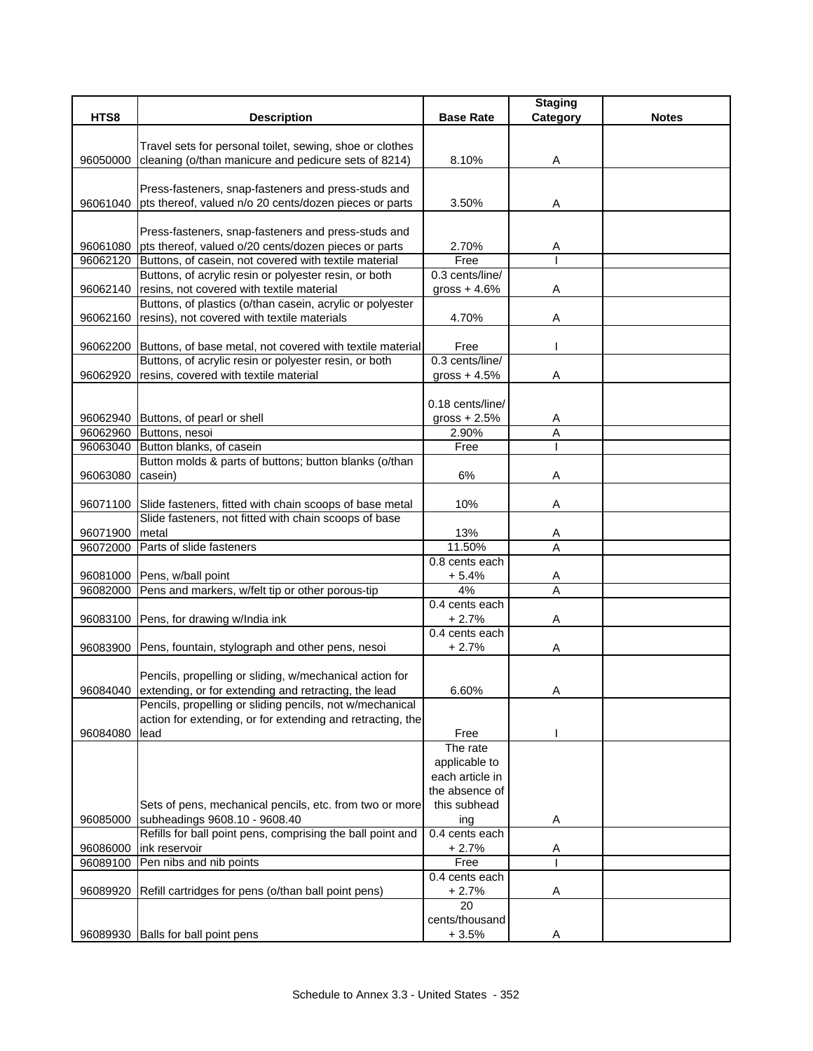|                      |                                                                |                  | <b>Staging</b> |              |
|----------------------|----------------------------------------------------------------|------------------|----------------|--------------|
| HTS8                 | <b>Description</b>                                             | <b>Base Rate</b> | Category       | <b>Notes</b> |
|                      | Travel sets for personal toilet, sewing, shoe or clothes       |                  |                |              |
| 96050000             | cleaning (o/than manicure and pedicure sets of 8214)           | 8.10%            | Α              |              |
|                      |                                                                |                  |                |              |
|                      | Press-fasteners, snap-fasteners and press-studs and            |                  |                |              |
| 96061040             | pts thereof, valued n/o 20 cents/dozen pieces or parts         | 3.50%            | Α              |              |
|                      |                                                                |                  |                |              |
|                      | Press-fasteners, snap-fasteners and press-studs and            |                  |                |              |
| 96061080             | pts thereof, valued o/20 cents/dozen pieces or parts           | 2.70%            | A              |              |
|                      | 96062120 Buttons, of casein, not covered with textile material | Free             |                |              |
|                      | Buttons, of acrylic resin or polyester resin, or both          | 0.3 cents/line/  |                |              |
| 96062140             | resins, not covered with textile material                      | gross $+4.6%$    | A              |              |
|                      | Buttons, of plastics (o/than casein, acrylic or polyester      |                  |                |              |
| 96062160             | resins), not covered with textile materials                    | 4.70%            | Α              |              |
| 96062200             | Buttons, of base metal, not covered with textile material      | Free             |                |              |
|                      | Buttons, of acrylic resin or polyester resin, or both          | 0.3 cents/line/  |                |              |
| 96062920             | resins, covered with textile material                          | gross $+4.5%$    | A              |              |
|                      |                                                                |                  |                |              |
|                      |                                                                | 0.18 cents/line/ |                |              |
|                      | 96062940 Buttons, of pearl or shell                            | gross $+2.5%$    | A              |              |
| 96062960             | Buttons, nesoi                                                 | 2.90%            | A              |              |
|                      | 96063040 Button blanks, of casein                              | Free             |                |              |
|                      | Button molds & parts of buttons; button blanks (o/than         |                  |                |              |
| 96063080             | casein)                                                        | 6%               | Α              |              |
|                      |                                                                |                  |                |              |
| 96071100             | Slide fasteners, fitted with chain scoops of base metal        | 10%              | A              |              |
|                      | Slide fasteners, not fitted with chain scoops of base          |                  |                |              |
| 96071900<br>96072000 | metal<br>Parts of slide fasteners                              | 13%<br>11.50%    | Α<br>A         |              |
|                      |                                                                | 0.8 cents each   |                |              |
|                      | 96081000 Pens, w/ball point                                    | $+5.4%$          | A              |              |
| 96082000             | Pens and markers, w/felt tip or other porous-tip               | 4%               | $\overline{A}$ |              |
|                      |                                                                | 0.4 cents each   |                |              |
| 96083100             | Pens, for drawing w/India ink                                  | $+2.7%$          | Α              |              |
|                      |                                                                | 0.4 cents each   |                |              |
|                      | 96083900 Pens, fountain, stylograph and other pens, nesoi      | $+2.7%$          | A              |              |
|                      |                                                                |                  |                |              |
|                      | Pencils, propelling or sliding, w/mechanical action for        |                  |                |              |
| 96084040             | extending, or for extending and retracting, the lead           | 6.60%            | A              |              |
|                      | Pencils, propelling or sliding pencils, not w/mechanical       |                  |                |              |
|                      | action for extending, or for extending and retracting, the     |                  |                |              |
| 96084080             | lead                                                           | Free<br>The rate |                |              |
|                      |                                                                | applicable to    |                |              |
|                      |                                                                | each article in  |                |              |
|                      |                                                                | the absence of   |                |              |
|                      | Sets of pens, mechanical pencils, etc. from two or more        | this subhead     |                |              |
| 96085000             | subheadings 9608.10 - 9608.40                                  | ing              | A              |              |
|                      | Refills for ball point pens, comprising the ball point and     | 0.4 cents each   |                |              |
| 96086000             | ink reservoir                                                  | $+2.7%$          | Α              |              |
| 96089100             | Pen nibs and nib points                                        | Free             |                |              |
|                      |                                                                | 0.4 cents each   |                |              |
| 96089920             | Refill cartridges for pens (o/than ball point pens)            | $+2.7%$          | Α              |              |
|                      |                                                                | 20               |                |              |
|                      |                                                                | cents/thousand   |                |              |
| 96089930             | Balls for ball point pens                                      | $+3.5%$          | A              |              |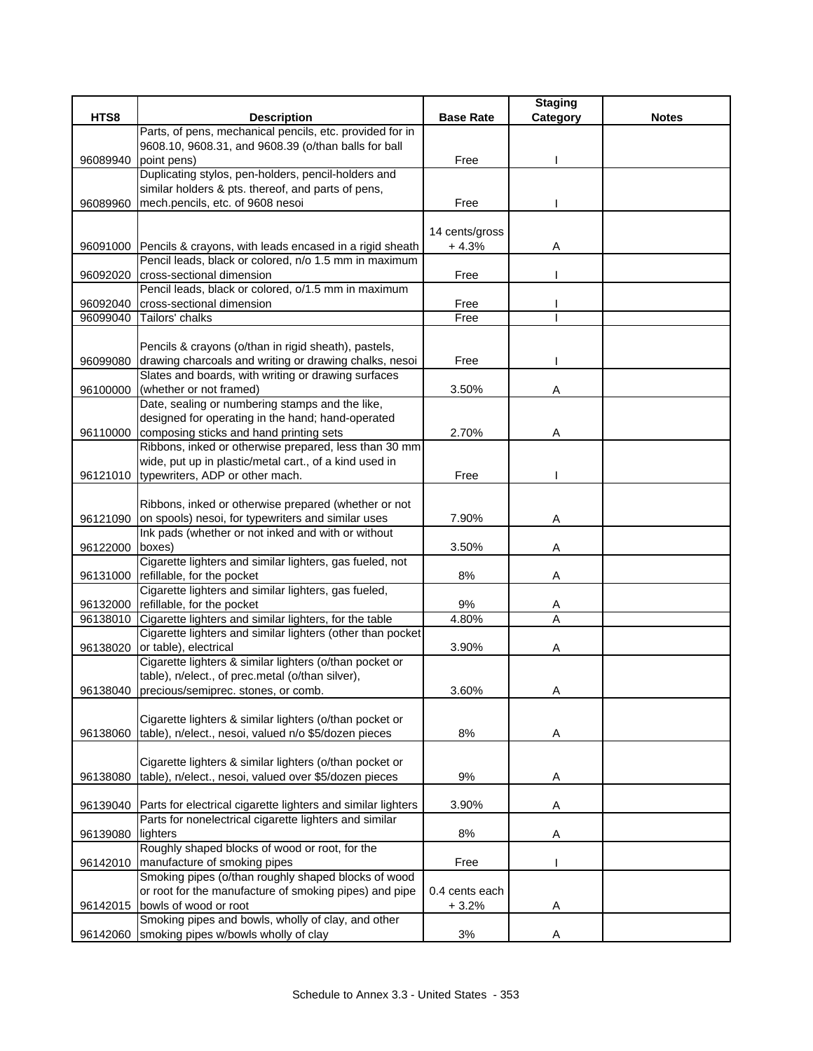|          |                                                                                  |                  | <b>Staging</b> |              |
|----------|----------------------------------------------------------------------------------|------------------|----------------|--------------|
| HTS8     | <b>Description</b>                                                               | <b>Base Rate</b> | Category       | <b>Notes</b> |
|          | Parts, of pens, mechanical pencils, etc. provided for in                         |                  |                |              |
|          | 9608.10, 9608.31, and 9608.39 (o/than balls for ball                             |                  |                |              |
| 96089940 | point pens)                                                                      | Free             |                |              |
|          | Duplicating stylos, pen-holders, pencil-holders and                              |                  |                |              |
|          | similar holders & pts. thereof, and parts of pens,                               |                  |                |              |
| 96089960 | mech.pencils, etc. of 9608 nesoi                                                 | Free             |                |              |
|          |                                                                                  |                  |                |              |
|          |                                                                                  | 14 cents/gross   |                |              |
|          | 96091000 Pencils & crayons, with leads encased in a rigid sheath                 | $+4.3%$          | Α              |              |
|          | Pencil leads, black or colored, n/o 1.5 mm in maximum                            |                  |                |              |
| 96092020 | cross-sectional dimension<br>Pencil leads, black or colored, o/1.5 mm in maximum | Free             |                |              |
|          | cross-sectional dimension                                                        |                  |                |              |
| 96092040 |                                                                                  | Free<br>Free     |                |              |
| 96099040 | Tailors' chalks                                                                  |                  |                |              |
|          | Pencils & crayons (o/than in rigid sheath), pastels,                             |                  |                |              |
| 96099080 | drawing charcoals and writing or drawing chalks, nesoi                           | Free             |                |              |
|          | Slates and boards, with writing or drawing surfaces                              |                  |                |              |
| 96100000 | (whether or not framed)                                                          | 3.50%            | Α              |              |
|          | Date, sealing or numbering stamps and the like,                                  |                  |                |              |
|          | designed for operating in the hand; hand-operated                                |                  |                |              |
| 96110000 | composing sticks and hand printing sets                                          | 2.70%            | Α              |              |
|          | Ribbons, inked or otherwise prepared, less than 30 mm                            |                  |                |              |
|          | wide, put up in plastic/metal cart., of a kind used in                           |                  |                |              |
| 96121010 | typewriters, ADP or other mach.                                                  | Free             |                |              |
|          |                                                                                  |                  |                |              |
|          | Ribbons, inked or otherwise prepared (whether or not                             |                  |                |              |
| 96121090 | on spools) nesoi, for typewriters and similar uses                               | 7.90%            | Α              |              |
|          | Ink pads (whether or not inked and with or without                               |                  |                |              |
| 96122000 | boxes)                                                                           | 3.50%            | Α              |              |
|          | Cigarette lighters and similar lighters, gas fueled, not                         |                  |                |              |
| 96131000 | refillable, for the pocket                                                       | 8%               | Α              |              |
|          | Cigarette lighters and similar lighters, gas fueled,                             |                  |                |              |
|          | 96132000 refillable, for the pocket                                              | 9%               | A              |              |
| 96138010 | Cigarette lighters and similar lighters, for the table                           | 4.80%            | A              |              |
|          | Cigarette lighters and similar lighters (other than pocket                       |                  |                |              |
|          | 96138020 or table), electrical                                                   | 3.90%            | Α              |              |
|          | Cigarette lighters & similar lighters (o/than pocket or                          |                  |                |              |
|          | table), n/elect., of prec.metal (o/than silver),                                 |                  |                |              |
|          | 96138040 precious/semiprec. stones, or comb.                                     | 3.60%            | A              |              |
|          |                                                                                  |                  |                |              |
|          | Cigarette lighters & similar lighters (o/than pocket or                          |                  |                |              |
| 96138060 | table), n/elect., nesoi, valued n/o \$5/dozen pieces                             | $8%$             | A              |              |
|          |                                                                                  |                  |                |              |
|          | Cigarette lighters & similar lighters (o/than pocket or                          |                  |                |              |
| 96138080 | table), n/elect., nesoi, valued over \$5/dozen pieces                            | 9%               | Α              |              |
|          | Parts for electrical cigarette lighters and similar lighters                     |                  |                |              |
| 96139040 | Parts for nonelectrical cigarette lighters and similar                           | 3.90%            | A              |              |
| 96139080 | lighters                                                                         | 8%               | Α              |              |
|          | Roughly shaped blocks of wood or root, for the                                   |                  |                |              |
| 96142010 | manufacture of smoking pipes                                                     | Free             |                |              |
|          | Smoking pipes (o/than roughly shaped blocks of wood                              |                  |                |              |
|          | or root for the manufacture of smoking pipes) and pipe                           | 0.4 cents each   |                |              |
| 96142015 | bowls of wood or root                                                            | $+3.2%$          | Α              |              |
|          | Smoking pipes and bowls, wholly of clay, and other                               |                  |                |              |
| 96142060 | smoking pipes w/bowls wholly of clay                                             | 3%               | Α              |              |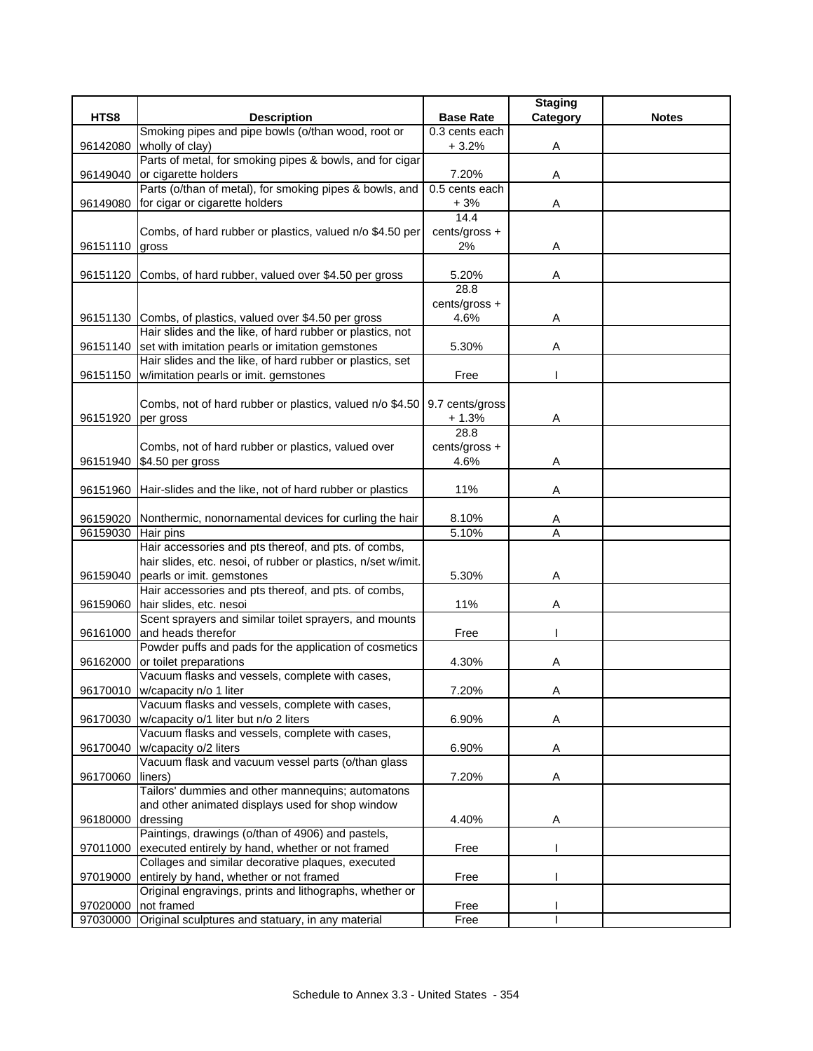|          |                                                                              |                     | <b>Staging</b> |              |
|----------|------------------------------------------------------------------------------|---------------------|----------------|--------------|
| HTS8     | <b>Description</b>                                                           | <b>Base Rate</b>    | Category       | <b>Notes</b> |
|          | Smoking pipes and pipe bowls (o/than wood, root or                           | 0.3 cents each      |                |              |
| 96142080 | wholly of clay)                                                              | $+3.2%$             | Α              |              |
|          | Parts of metal, for smoking pipes & bowls, and for cigar                     |                     |                |              |
| 96149040 | or cigarette holders                                                         | 7.20%               | Α              |              |
|          | Parts (o/than of metal), for smoking pipes & bowls, and                      | $0.5$ cents each    |                |              |
| 96149080 | for cigar or cigarette holders                                               | $+3%$<br>14.4       | Α              |              |
|          |                                                                              |                     |                |              |
| 96151110 | Combs, of hard rubber or plastics, valued n/o \$4.50 per                     | cents/gross +<br>2% | Α              |              |
|          | gross                                                                        |                     |                |              |
| 96151120 | Combs, of hard rubber, valued over \$4.50 per gross                          | 5.20%               | Α              |              |
|          |                                                                              | 28.8                |                |              |
|          |                                                                              | cents/gross +       |                |              |
|          | 96151130 Combs, of plastics, valued over \$4.50 per gross                    | 4.6%                | Α              |              |
|          | Hair slides and the like, of hard rubber or plastics, not                    |                     |                |              |
| 96151140 | set with imitation pearls or imitation gemstones                             | 5.30%               | Α              |              |
|          | Hair slides and the like, of hard rubber or plastics, set                    |                     |                |              |
| 96151150 | w/imitation pearls or imit. gemstones                                        | Free                |                |              |
|          |                                                                              |                     |                |              |
|          | Combs, not of hard rubber or plastics, valued n/o \$4.50                     | 9.7 cents/gross     |                |              |
| 96151920 | per gross                                                                    | $+1.3%$             | Α              |              |
|          |                                                                              | 28.8                |                |              |
|          | Combs, not of hard rubber or plastics, valued over                           | cents/gross +       |                |              |
| 96151940 | \$4.50 per gross                                                             | 4.6%                | Α              |              |
|          |                                                                              |                     |                |              |
| 96151960 | Hair-slides and the like, not of hard rubber or plastics                     | 11%                 | Α              |              |
|          |                                                                              | 8.10%               |                |              |
| 96159030 | 96159020 Nonthermic, nonornamental devices for curling the hair<br>Hair pins | 5.10%               | A<br>Α         |              |
|          | Hair accessories and pts thereof, and pts. of combs,                         |                     |                |              |
|          | hair slides, etc. nesoi, of rubber or plastics, n/set w/imit.                |                     |                |              |
| 96159040 | pearls or imit. gemstones                                                    | 5.30%               | Α              |              |
|          | Hair accessories and pts thereof, and pts. of combs,                         |                     |                |              |
| 96159060 | hair slides, etc. nesoi                                                      | 11%                 | Α              |              |
|          | Scent sprayers and similar toilet sprayers, and mounts                       |                     |                |              |
| 96161000 | and heads therefor                                                           | Free                |                |              |
|          | Powder puffs and pads for the application of cosmetics                       |                     |                |              |
| 96162000 | or toilet preparations                                                       | 4.30%               | Α              |              |
|          | Vacuum flasks and vessels, complete with cases,                              |                     |                |              |
| 96170010 | w/capacity n/o 1 liter                                                       | 7.20%               | Α              |              |
|          | Vacuum flasks and vessels, complete with cases,                              |                     |                |              |
| 96170030 | w/capacity o/1 liter but n/o 2 liters                                        | 6.90%               | A              |              |
|          | Vacuum flasks and vessels, complete with cases,                              |                     |                |              |
| 96170040 | w/capacity o/2 liters                                                        | 6.90%               | A              |              |
|          | Vacuum flask and vacuum vessel parts (o/than glass                           |                     |                |              |
| 96170060 | liners)<br>Tailors' dummies and other mannequins; automatons                 | 7.20%               | Α              |              |
|          | and other animated displays used for shop window                             |                     |                |              |
| 96180000 | dressing                                                                     | 4.40%               | Α              |              |
|          | Paintings, drawings (o/than of 4906) and pastels,                            |                     |                |              |
| 97011000 | executed entirely by hand, whether or not framed                             | Free                |                |              |
|          | Collages and similar decorative plaques, executed                            |                     |                |              |
| 97019000 | entirely by hand, whether or not framed                                      | Free                |                |              |
|          | Original engravings, prints and lithographs, whether or                      |                     |                |              |
| 97020000 | not framed                                                                   | Free                |                |              |
|          | 97030000 Original sculptures and statuary, in any material                   | Free                | I              |              |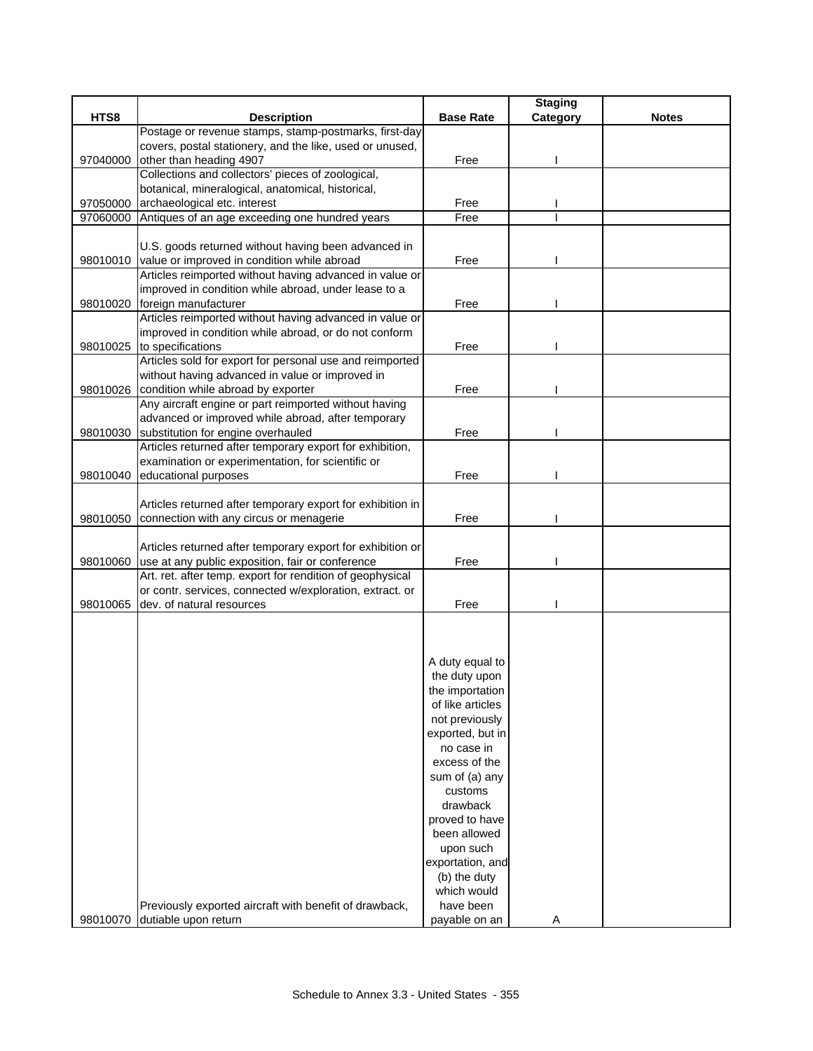|          |                                                            |                  | <b>Staging</b> |              |
|----------|------------------------------------------------------------|------------------|----------------|--------------|
| HTS8     | <b>Description</b>                                         | <b>Base Rate</b> | Category       | <b>Notes</b> |
|          | Postage or revenue stamps, stamp-postmarks, first-day      |                  |                |              |
|          | covers, postal stationery, and the like, used or unused,   |                  |                |              |
| 97040000 | other than heading 4907                                    | Free             |                |              |
|          | Collections and collectors' pieces of zoological,          |                  |                |              |
|          | botanical, mineralogical, anatomical, historical,          |                  |                |              |
| 97050000 | archaeological etc. interest                               | Free             |                |              |
| 97060000 | Antiques of an age exceeding one hundred years             | Free             |                |              |
|          |                                                            |                  |                |              |
|          | U.S. goods returned without having been advanced in        |                  |                |              |
|          | 98010010 value or improved in condition while abroad       | Free             |                |              |
|          | Articles reimported without having advanced in value or    |                  |                |              |
|          | improved in condition while abroad, under lease to a       |                  |                |              |
| 98010020 | foreign manufacturer                                       | Free             |                |              |
|          | Articles reimported without having advanced in value or    |                  |                |              |
|          | improved in condition while abroad, or do not conform      |                  |                |              |
| 98010025 | to specifications                                          | Free             |                |              |
|          | Articles sold for export for personal use and reimported   |                  |                |              |
|          | without having advanced in value or improved in            |                  |                |              |
| 98010026 | condition while abroad by exporter                         | Free             |                |              |
|          | Any aircraft engine or part reimported without having      |                  |                |              |
|          | advanced or improved while abroad, after temporary         |                  |                |              |
| 98010030 | substitution for engine overhauled                         | Free             |                |              |
|          | Articles returned after temporary export for exhibition,   |                  |                |              |
|          | examination or experimentation, for scientific or          |                  |                |              |
| 98010040 | educational purposes                                       | Free             |                |              |
|          |                                                            |                  |                |              |
|          | Articles returned after temporary export for exhibition in |                  |                |              |
| 98010050 | connection with any circus or menagerie                    | Free             |                |              |
|          |                                                            |                  |                |              |
|          | Articles returned after temporary export for exhibition or |                  |                |              |
| 98010060 | use at any public exposition, fair or conference           | Free             |                |              |
|          | Art. ret. after temp. export for rendition of geophysical  |                  |                |              |
|          | or contr. services, connected w/exploration, extract. or   |                  |                |              |
| 98010065 | dev. of natural resources                                  | Free             |                |              |
|          |                                                            |                  |                |              |
|          |                                                            |                  |                |              |
|          |                                                            |                  |                |              |
|          |                                                            | A duty equal to  |                |              |
|          |                                                            | the duty upon    |                |              |
|          |                                                            | the importation  |                |              |
|          |                                                            | of like articles |                |              |
|          |                                                            | not previously   |                |              |
|          |                                                            | exported, but in |                |              |
|          |                                                            | no case in       |                |              |
|          |                                                            | excess of the    |                |              |
|          |                                                            | sum of (a) any   |                |              |
|          |                                                            | customs          |                |              |
|          |                                                            | drawback         |                |              |
|          |                                                            | proved to have   |                |              |
|          |                                                            | been allowed     |                |              |
|          |                                                            | upon such        |                |              |
|          |                                                            | exportation, and |                |              |
|          |                                                            | (b) the duty     |                |              |
|          |                                                            | which would      |                |              |
|          | Previously exported aircraft with benefit of drawback,     | have been        |                |              |
| 98010070 | dutiable upon return                                       | payable on an    | Α              |              |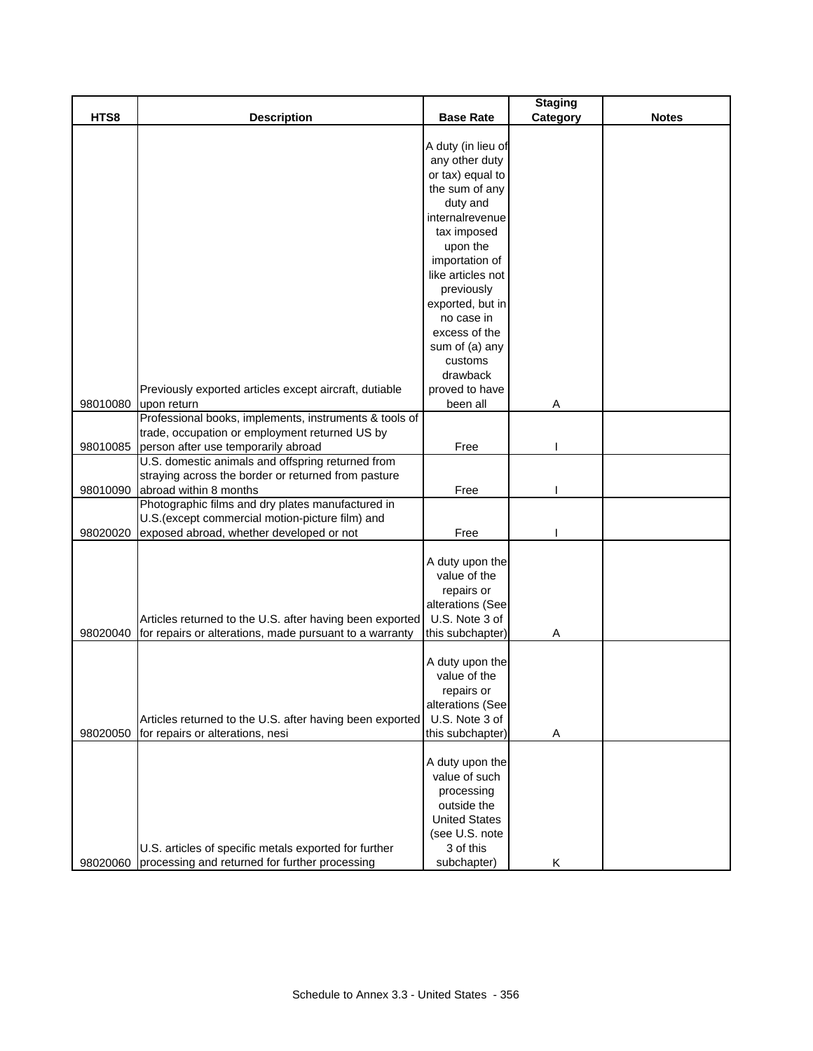|          |                                                          |                      | <b>Staging</b> |              |
|----------|----------------------------------------------------------|----------------------|----------------|--------------|
| HTS8     | <b>Description</b>                                       | <b>Base Rate</b>     | Category       | <b>Notes</b> |
|          |                                                          |                      |                |              |
|          |                                                          | A duty (in lieu of   |                |              |
|          |                                                          | any other duty       |                |              |
|          |                                                          | or tax) equal to     |                |              |
|          |                                                          | the sum of any       |                |              |
|          |                                                          | duty and             |                |              |
|          |                                                          | internalrevenue      |                |              |
|          |                                                          | tax imposed          |                |              |
|          |                                                          | upon the             |                |              |
|          |                                                          | importation of       |                |              |
|          |                                                          | like articles not    |                |              |
|          |                                                          | previously           |                |              |
|          |                                                          | exported, but in     |                |              |
|          |                                                          |                      |                |              |
|          |                                                          | no case in           |                |              |
|          |                                                          | excess of the        |                |              |
|          |                                                          | sum of (a) any       |                |              |
|          |                                                          | customs              |                |              |
|          |                                                          | drawback             |                |              |
|          | Previously exported articles except aircraft, dutiable   | proved to have       |                |              |
| 98010080 | upon return                                              | been all             | Α              |              |
|          | Professional books, implements, instruments & tools of   |                      |                |              |
|          | trade, occupation or employment returned US by           |                      |                |              |
| 98010085 | person after use temporarily abroad                      | Free                 |                |              |
|          | U.S. domestic animals and offspring returned from        |                      |                |              |
|          | straying across the border or returned from pasture      |                      |                |              |
| 98010090 | abroad within 8 months                                   | Free                 |                |              |
|          | Photographic films and dry plates manufactured in        |                      |                |              |
|          | U.S. (except commercial motion-picture film) and         |                      |                |              |
| 98020020 | exposed abroad, whether developed or not                 | Free                 |                |              |
|          |                                                          |                      |                |              |
|          |                                                          | A duty upon the      |                |              |
|          |                                                          | value of the         |                |              |
|          |                                                          | repairs or           |                |              |
|          |                                                          | alterations (See     |                |              |
|          | Articles returned to the U.S. after having been exported | U.S. Note 3 of       |                |              |
| 98020040 | for repairs or alterations, made pursuant to a warranty  | this subchapter)     | Α              |              |
|          |                                                          |                      |                |              |
|          |                                                          | A duty upon the      |                |              |
|          |                                                          | value of the         |                |              |
|          |                                                          |                      |                |              |
|          |                                                          | repairs or           |                |              |
|          |                                                          | alterations (See     |                |              |
|          | Articles returned to the U.S. after having been exported | U.S. Note 3 of       |                |              |
| 98020050 | for repairs or alterations, nesi                         | this subchapter)     | Α              |              |
|          |                                                          |                      |                |              |
|          |                                                          | A duty upon the      |                |              |
|          |                                                          | value of such        |                |              |
|          |                                                          | processing           |                |              |
|          |                                                          | outside the          |                |              |
|          |                                                          | <b>United States</b> |                |              |
|          |                                                          | (see U.S. note       |                |              |
|          | U.S. articles of specific metals exported for further    | 3 of this            |                |              |
| 98020060 | processing and returned for further processing           | subchapter)          | Κ              |              |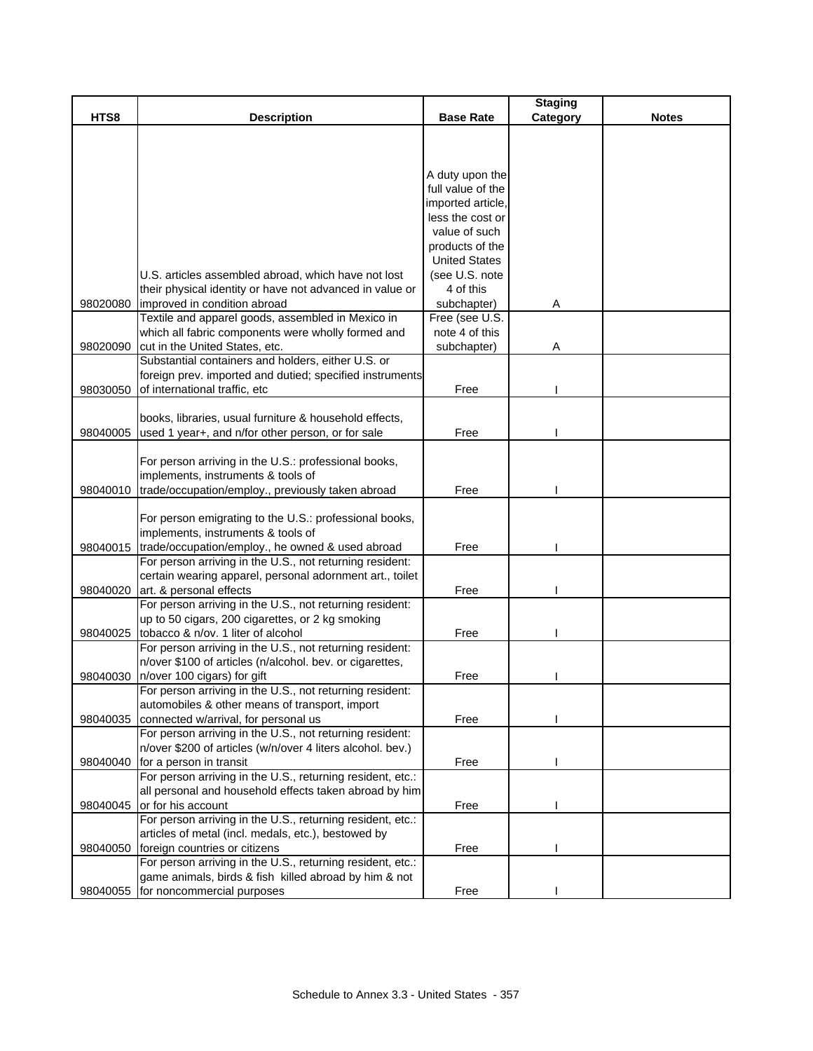|          |                                                                                      |                      | <b>Staging</b> |              |
|----------|--------------------------------------------------------------------------------------|----------------------|----------------|--------------|
| HTS8     | <b>Description</b>                                                                   | <b>Base Rate</b>     | Category       | <b>Notes</b> |
|          |                                                                                      |                      |                |              |
|          |                                                                                      |                      |                |              |
|          |                                                                                      |                      |                |              |
|          |                                                                                      | A duty upon the      |                |              |
|          |                                                                                      | full value of the    |                |              |
|          |                                                                                      | imported article,    |                |              |
|          |                                                                                      | less the cost or     |                |              |
|          |                                                                                      | value of such        |                |              |
|          |                                                                                      | products of the      |                |              |
|          |                                                                                      | <b>United States</b> |                |              |
|          | U.S. articles assembled abroad, which have not lost                                  | (see U.S. note       |                |              |
|          | their physical identity or have not advanced in value or                             | 4 of this            |                |              |
| 98020080 | improved in condition abroad                                                         | subchapter)          | Α              |              |
|          | Textile and apparel goods, assembled in Mexico in                                    | Free (see U.S.       |                |              |
|          | which all fabric components were wholly formed and                                   | note 4 of this       |                |              |
| 98020090 |                                                                                      |                      |                |              |
|          | cut in the United States, etc.<br>Substantial containers and holders, either U.S. or | subchapter)          | A              |              |
|          |                                                                                      |                      |                |              |
|          | foreign prev. imported and dutied; specified instruments                             |                      |                |              |
| 98030050 | of international traffic, etc                                                        | Free                 |                |              |
|          |                                                                                      |                      |                |              |
|          | books, libraries, usual furniture & household effects,                               |                      |                |              |
| 98040005 | used 1 year+, and n/for other person, or for sale                                    | Free                 |                |              |
|          |                                                                                      |                      |                |              |
|          | For person arriving in the U.S.: professional books,                                 |                      |                |              |
|          | implements, instruments & tools of                                                   |                      |                |              |
| 98040010 | trade/occupation/employ., previously taken abroad                                    | Free                 |                |              |
|          |                                                                                      |                      |                |              |
|          | For person emigrating to the U.S.: professional books,                               |                      |                |              |
|          | implements, instruments & tools of                                                   |                      |                |              |
|          | 98040015  trade/occupation/employ., he owned & used abroad                           | Free                 |                |              |
|          | For person arriving in the U.S., not returning resident:                             |                      |                |              |
|          | certain wearing apparel, personal adornment art., toilet                             |                      |                |              |
| 98040020 | art. & personal effects                                                              | Free                 |                |              |
|          | For person arriving in the U.S., not returning resident:                             |                      |                |              |
|          | up to 50 cigars, 200 cigarettes, or 2 kg smoking                                     |                      |                |              |
| 98040025 | tobacco & n/ov. 1 liter of alcohol                                                   | Free                 |                |              |
|          | For person arriving in the U.S., not returning resident:                             |                      |                |              |
|          | n/over \$100 of articles (n/alcohol. bev. or cigarettes,                             |                      |                |              |
| 98040030 | n/over 100 cigars) for gift                                                          | Free                 |                |              |
|          | For person arriving in the U.S., not returning resident:                             |                      |                |              |
|          | automobiles & other means of transport, import                                       |                      |                |              |
| 98040035 | connected w/arrival, for personal us                                                 | Free                 |                |              |
|          | For person arriving in the U.S., not returning resident:                             |                      |                |              |
|          | n/over \$200 of articles (w/n/over 4 liters alcohol. bev.)                           |                      |                |              |
|          | 98040040 for a person in transit                                                     | Free                 |                |              |
|          | For person arriving in the U.S., returning resident, etc.:                           |                      |                |              |
|          | all personal and household effects taken abroad by him                               |                      |                |              |
| 98040045 | or for his account                                                                   | Free                 |                |              |
|          | For person arriving in the U.S., returning resident, etc.:                           |                      |                |              |
|          | articles of metal (incl. medals, etc.), bestowed by                                  |                      |                |              |
| 98040050 | foreign countries or citizens                                                        | Free                 |                |              |
|          | For person arriving in the U.S., returning resident, etc.:                           |                      |                |              |
|          | game animals, birds & fish killed abroad by him & not                                |                      |                |              |
| 98040055 | for noncommercial purposes                                                           | Free                 |                |              |
|          |                                                                                      |                      |                |              |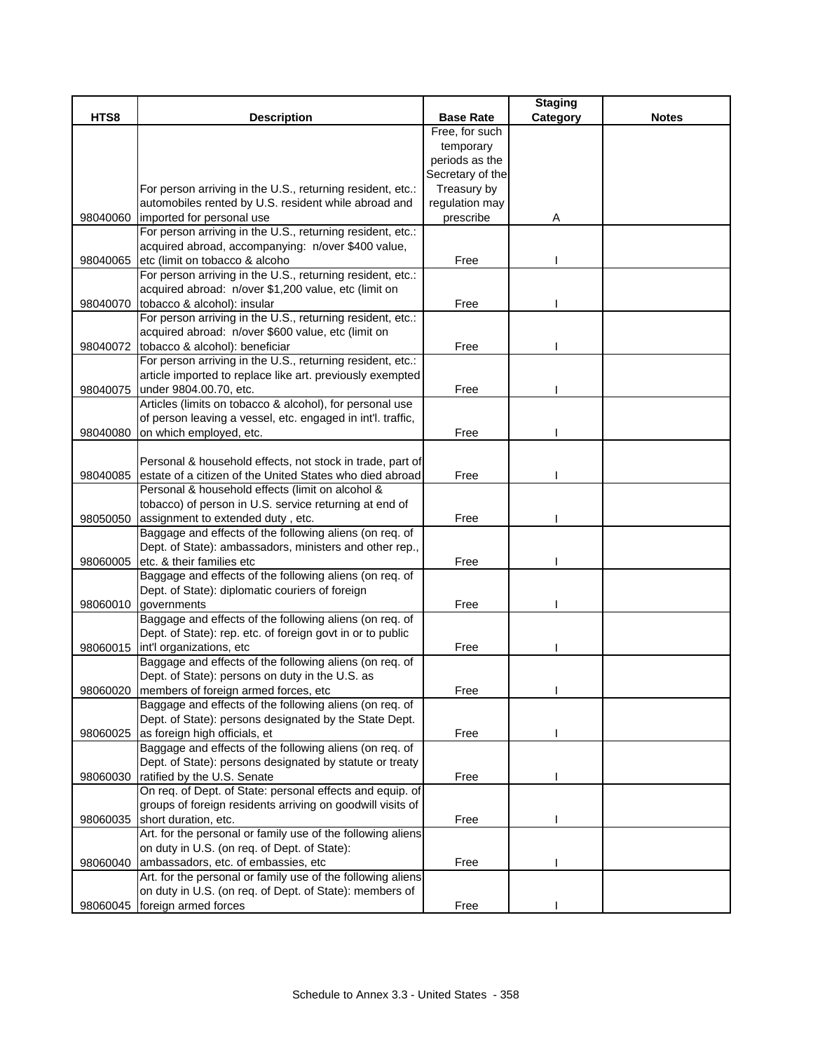|          |                                                                                                                  |                  | <b>Staging</b> |              |
|----------|------------------------------------------------------------------------------------------------------------------|------------------|----------------|--------------|
| HTS8     | <b>Description</b>                                                                                               | <b>Base Rate</b> | Category       | <b>Notes</b> |
|          |                                                                                                                  | Free, for such   |                |              |
|          |                                                                                                                  | temporary        |                |              |
|          |                                                                                                                  | periods as the   |                |              |
|          |                                                                                                                  | Secretary of the |                |              |
|          | For person arriving in the U.S., returning resident, etc.:                                                       | Treasury by      |                |              |
|          | automobiles rented by U.S. resident while abroad and                                                             | regulation may   |                |              |
| 98040060 | imported for personal use                                                                                        | prescribe        | Α              |              |
|          | For person arriving in the U.S., returning resident, etc.:                                                       |                  |                |              |
|          | acquired abroad, accompanying: n/over \$400 value,                                                               |                  |                |              |
| 98040065 | etc (limit on tobacco & alcoho                                                                                   | Free             |                |              |
|          | For person arriving in the U.S., returning resident, etc.:                                                       |                  |                |              |
|          | acquired abroad: n/over \$1,200 value, etc (limit on                                                             |                  |                |              |
| 98040070 | tobacco & alcohol): insular                                                                                      | Free             |                |              |
|          | For person arriving in the U.S., returning resident, etc.:<br>acquired abroad: n/over \$600 value, etc (limit on |                  |                |              |
|          | tobacco & alcohol): beneficiar                                                                                   |                  |                |              |
| 98040072 | For person arriving in the U.S., returning resident, etc.:                                                       | Free             |                |              |
|          | article imported to replace like art. previously exempted                                                        |                  |                |              |
| 98040075 | under 9804.00.70, etc.                                                                                           | Free             |                |              |
|          | Articles (limits on tobacco & alcohol), for personal use                                                         |                  |                |              |
|          | of person leaving a vessel, etc. engaged in int'l. traffic,                                                      |                  |                |              |
| 98040080 | on which employed, etc.                                                                                          | Free             |                |              |
|          |                                                                                                                  |                  |                |              |
|          | Personal & household effects, not stock in trade, part of                                                        |                  |                |              |
| 98040085 | estate of a citizen of the United States who died abroad                                                         | Free             |                |              |
|          | Personal & household effects (limit on alcohol &                                                                 |                  |                |              |
|          | tobacco) of person in U.S. service returning at end of                                                           |                  |                |              |
| 98050050 | assignment to extended duty, etc.                                                                                | Free             |                |              |
|          | Baggage and effects of the following aliens (on req. of                                                          |                  |                |              |
|          | Dept. of State): ambassadors, ministers and other rep.,                                                          |                  |                |              |
| 98060005 | etc. & their families etc                                                                                        | Free             |                |              |
|          | Baggage and effects of the following aliens (on req. of                                                          |                  |                |              |
|          | Dept. of State): diplomatic couriers of foreign                                                                  |                  |                |              |
| 98060010 | governments                                                                                                      | Free             |                |              |
|          | Baggage and effects of the following aliens (on req. of                                                          |                  |                |              |
|          | Dept. of State): rep. etc. of foreign govt in or to public                                                       |                  |                |              |
|          | 98060015   int'l organizations, etc                                                                              | Free             |                |              |
|          | Baggage and effects of the following aliens (on req. of                                                          |                  |                |              |
|          | Dept. of State): persons on duty in the U.S. as                                                                  |                  |                |              |
|          | 98060020 members of foreign armed forces, etc                                                                    | Free             |                |              |
|          | Baggage and effects of the following aliens (on req. of                                                          |                  |                |              |
|          | Dept. of State): persons designated by the State Dept.                                                           |                  |                |              |
| 98060025 | as foreign high officials, et                                                                                    | Free             |                |              |
|          | Baggage and effects of the following aliens (on req. of                                                          |                  |                |              |
|          | Dept. of State): persons designated by statute or treaty                                                         |                  |                |              |
| 98060030 | ratified by the U.S. Senate                                                                                      | Free             |                |              |
|          | On req. of Dept. of State: personal effects and equip. of                                                        |                  |                |              |
|          | groups of foreign residents arriving on goodwill visits of                                                       |                  |                |              |
| 98060035 | short duration, etc.                                                                                             | Free             |                |              |
|          | Art. for the personal or family use of the following aliens                                                      |                  |                |              |
|          | on duty in U.S. (on req. of Dept. of State):                                                                     |                  |                |              |
| 98060040 | ambassadors, etc. of embassies, etc                                                                              | Free             |                |              |
|          | Art. for the personal or family use of the following aliens                                                      |                  |                |              |
|          | on duty in U.S. (on req. of Dept. of State): members of                                                          |                  |                |              |
|          | 98060045 foreign armed forces                                                                                    | Free             |                |              |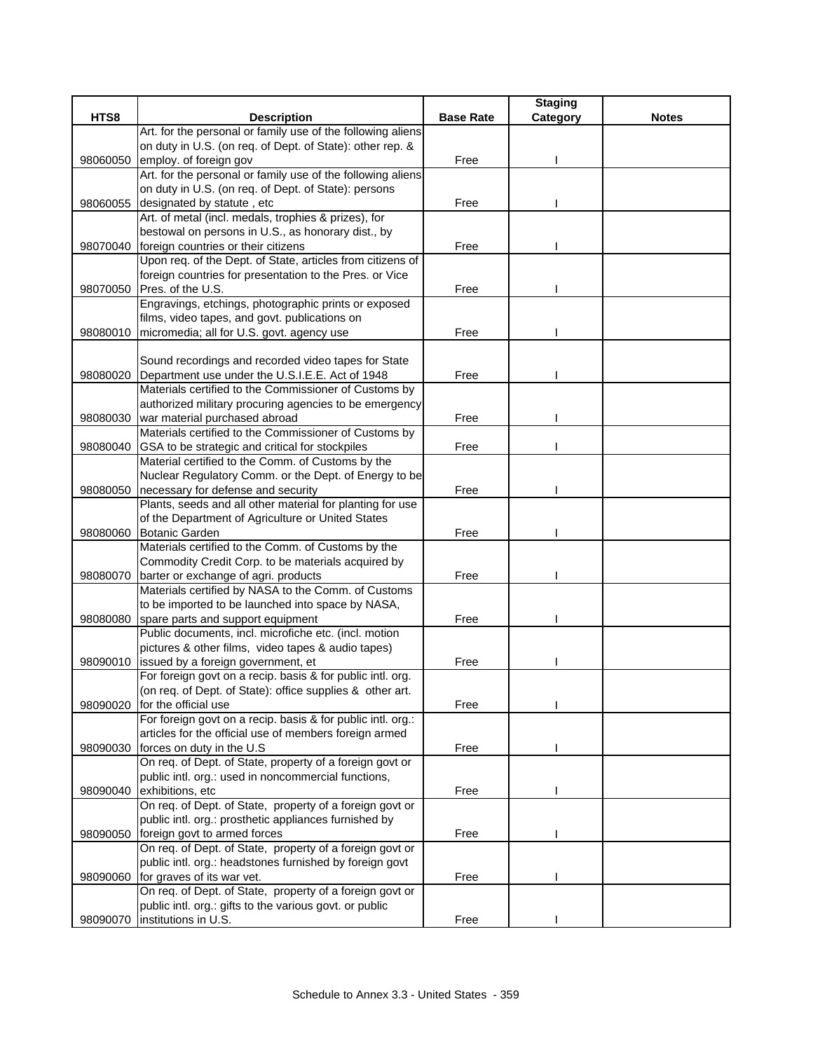|          |                                                                                                                   |                  | <b>Staging</b> |              |
|----------|-------------------------------------------------------------------------------------------------------------------|------------------|----------------|--------------|
| HTS8     | <b>Description</b>                                                                                                | <b>Base Rate</b> | Category       | <b>Notes</b> |
|          | Art. for the personal or family use of the following aliens                                                       |                  |                |              |
|          | on duty in U.S. (on req. of Dept. of State): other rep. &                                                         |                  |                |              |
| 98060050 | employ. of foreign gov                                                                                            | Free             |                |              |
|          | Art. for the personal or family use of the following aliens                                                       |                  |                |              |
|          | on duty in U.S. (on req. of Dept. of State): persons                                                              |                  |                |              |
| 98060055 | designated by statute, etc                                                                                        | Free             |                |              |
|          | Art. of metal (incl. medals, trophies & prizes), for                                                              |                  |                |              |
|          | bestowal on persons in U.S., as honorary dist., by                                                                |                  |                |              |
| 98070040 | foreign countries or their citizens                                                                               | Free             |                |              |
|          | Upon req. of the Dept. of State, articles from citizens of                                                        |                  |                |              |
|          | foreign countries for presentation to the Pres. or Vice<br>98070050 Pres. of the U.S.                             | Free             |                |              |
|          | Engravings, etchings, photographic prints or exposed                                                              |                  |                |              |
|          | films, video tapes, and govt. publications on                                                                     |                  |                |              |
|          | 98080010 micromedia; all for U.S. govt. agency use                                                                | Free             |                |              |
|          |                                                                                                                   |                  |                |              |
|          | Sound recordings and recorded video tapes for State                                                               |                  |                |              |
| 98080020 | Department use under the U.S.I.E.E. Act of 1948                                                                   | Free             |                |              |
|          | Materials certified to the Commissioner of Customs by                                                             |                  |                |              |
|          | authorized military procuring agencies to be emergency                                                            |                  |                |              |
| 98080030 | war material purchased abroad                                                                                     | Free             |                |              |
|          | Materials certified to the Commissioner of Customs by                                                             |                  |                |              |
| 98080040 | GSA to be strategic and critical for stockpiles                                                                   | Free             |                |              |
|          | Material certified to the Comm. of Customs by the                                                                 |                  |                |              |
|          | Nuclear Regulatory Comm. or the Dept. of Energy to be                                                             |                  |                |              |
| 98080050 | necessary for defense and security                                                                                | Free             |                |              |
|          | Plants, seeds and all other material for planting for use                                                         |                  |                |              |
|          | of the Department of Agriculture or United States                                                                 |                  |                |              |
| 98080060 | <b>Botanic Garden</b>                                                                                             | Free             |                |              |
|          | Materials certified to the Comm. of Customs by the                                                                |                  |                |              |
|          | Commodity Credit Corp. to be materials acquired by                                                                |                  |                |              |
| 98080070 | barter or exchange of agri. products                                                                              | Free             |                |              |
|          | Materials certified by NASA to the Comm. of Customs                                                               |                  |                |              |
|          | to be imported to be launched into space by NASA,                                                                 |                  |                |              |
|          | 98080080 spare parts and support equipment                                                                        | Free             |                |              |
|          | Public documents, incl. microfiche etc. (incl. motion                                                             |                  |                |              |
|          | pictures & other films, video tapes & audio tapes)                                                                |                  |                |              |
| 98090010 | issued by a foreign government, et                                                                                | Free             |                |              |
|          | For foreign govt on a recip. basis & for public intl. org.                                                        |                  |                |              |
|          | (on req. of Dept. of State): office supplies & other art.                                                         |                  |                |              |
| 98090020 | for the official use                                                                                              | Free             |                |              |
|          | For foreign govt on a recip. basis & for public intl. org.:                                                       |                  |                |              |
|          | articles for the official use of members foreign armed                                                            |                  |                |              |
| 98090030 | forces on duty in the U.S                                                                                         | Free             |                |              |
|          | On req. of Dept. of State, property of a foreign govt or                                                          |                  |                |              |
|          | public intl. org.: used in noncommercial functions,                                                               |                  |                |              |
| 98090040 | exhibitions, etc                                                                                                  | Free             |                |              |
|          | On req. of Dept. of State, property of a foreign govt or<br>public intl. org.: prosthetic appliances furnished by |                  |                |              |
| 98090050 | foreign govt to armed forces                                                                                      | Free             |                |              |
|          | On req. of Dept. of State, property of a foreign govt or                                                          |                  |                |              |
|          | public intl. org.: headstones furnished by foreign govt                                                           |                  |                |              |
| 98090060 | for graves of its war vet.                                                                                        | Free             |                |              |
|          | On req. of Dept. of State, property of a foreign govt or                                                          |                  |                |              |
|          | public intl. org.: gifts to the various govt. or public                                                           |                  |                |              |
| 98090070 | institutions in U.S.                                                                                              | Free             |                |              |
|          |                                                                                                                   |                  |                |              |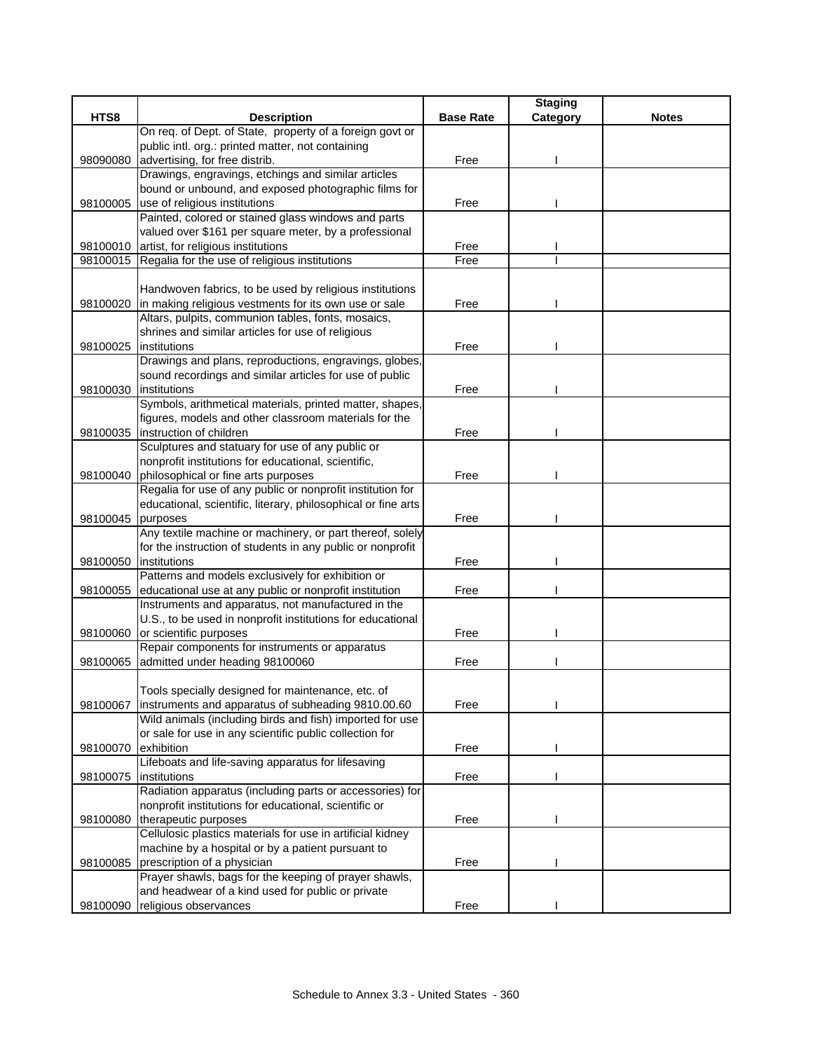|          |                                                                                      |                  | <b>Staging</b> |              |
|----------|--------------------------------------------------------------------------------------|------------------|----------------|--------------|
| HTS8     | <b>Description</b>                                                                   | <b>Base Rate</b> | Category       | <b>Notes</b> |
|          | On req. of Dept. of State, property of a foreign govt or                             |                  |                |              |
|          | public intl. org.: printed matter, not containing                                    |                  |                |              |
| 98090080 | advertising, for free distrib.                                                       | Free             |                |              |
|          | Drawings, engravings, etchings and similar articles                                  |                  |                |              |
|          | bound or unbound, and exposed photographic films for                                 |                  |                |              |
| 98100005 | use of religious institutions                                                        | Free             |                |              |
|          | Painted, colored or stained glass windows and parts                                  |                  |                |              |
|          | valued over \$161 per square meter, by a professional                                |                  |                |              |
|          | 98100010 artist, for religious institutions                                          | Free             |                |              |
|          | 98100015 Regalia for the use of religious institutions                               | Free             |                |              |
|          |                                                                                      |                  |                |              |
|          | Handwoven fabrics, to be used by religious institutions                              |                  |                |              |
| 98100020 | in making religious vestments for its own use or sale                                | Free             |                |              |
|          | Altars, pulpits, communion tables, fonts, mosaics,                                   |                  |                |              |
|          | shrines and similar articles for use of religious                                    |                  |                |              |
| 98100025 | institutions                                                                         | Free             |                |              |
|          | Drawings and plans, reproductions, engravings, globes,                               |                  |                |              |
|          | sound recordings and similar articles for use of public                              |                  |                |              |
| 98100030 | institutions                                                                         | Free             |                |              |
|          | Symbols, arithmetical materials, printed matter, shapes,                             |                  |                |              |
|          | figures, models and other classroom materials for the                                |                  |                |              |
|          | 98100035   instruction of children                                                   | Free             |                |              |
|          | Sculptures and statuary for use of any public or                                     |                  |                |              |
|          | nonprofit institutions for educational, scientific,                                  |                  |                |              |
| 98100040 | philosophical or fine arts purposes                                                  | Free             |                |              |
|          | Regalia for use of any public or nonprofit institution for                           |                  |                |              |
|          | educational, scientific, literary, philosophical or fine arts                        |                  |                |              |
| 98100045 | purposes                                                                             | Free             |                |              |
|          | Any textile machine or machinery, or part thereof, solely                            |                  |                |              |
|          | for the instruction of students in any public or nonprofit                           |                  |                |              |
| 98100050 | institutions                                                                         | Free             |                |              |
|          | Patterns and models exclusively for exhibition or                                    |                  |                |              |
| 98100055 | educational use at any public or nonprofit institution                               | Free             |                |              |
|          | Instruments and apparatus, not manufactured in the                                   |                  |                |              |
|          | U.S., to be used in nonprofit institutions for educational                           |                  |                |              |
| 98100060 | or scientific purposes                                                               | Free             |                |              |
|          | Repair components for instruments or apparatus                                       |                  |                |              |
| 98100065 | admitted under heading 98100060                                                      | Free             |                |              |
|          |                                                                                      |                  |                |              |
|          | Tools specially designed for maintenance, etc. of                                    |                  |                |              |
| 98100067 | instruments and apparatus of subheading 9810.00.60                                   | Free             |                |              |
|          | Wild animals (including birds and fish) imported for use                             |                  |                |              |
|          | or sale for use in any scientific public collection for                              |                  |                |              |
| 98100070 | exhibition<br>Lifeboats and life-saving apparatus for lifesaving                     | Free             |                |              |
|          |                                                                                      |                  |                |              |
| 98100075 | institutions<br>Radiation apparatus (including parts or accessories) for             | Free             |                |              |
|          | nonprofit institutions for educational, scientific or                                |                  |                |              |
|          |                                                                                      | Free             |                |              |
| 98100080 | therapeutic purposes<br>Cellulosic plastics materials for use in artificial kidney   |                  |                |              |
|          | machine by a hospital or by a patient pursuant to                                    |                  |                |              |
|          |                                                                                      | Free             |                |              |
| 98100085 | prescription of a physician<br>Prayer shawls, bags for the keeping of prayer shawls, |                  |                |              |
|          | and headwear of a kind used for public or private                                    |                  |                |              |
|          |                                                                                      |                  |                |              |
| 98100090 | religious observances                                                                | Free             |                |              |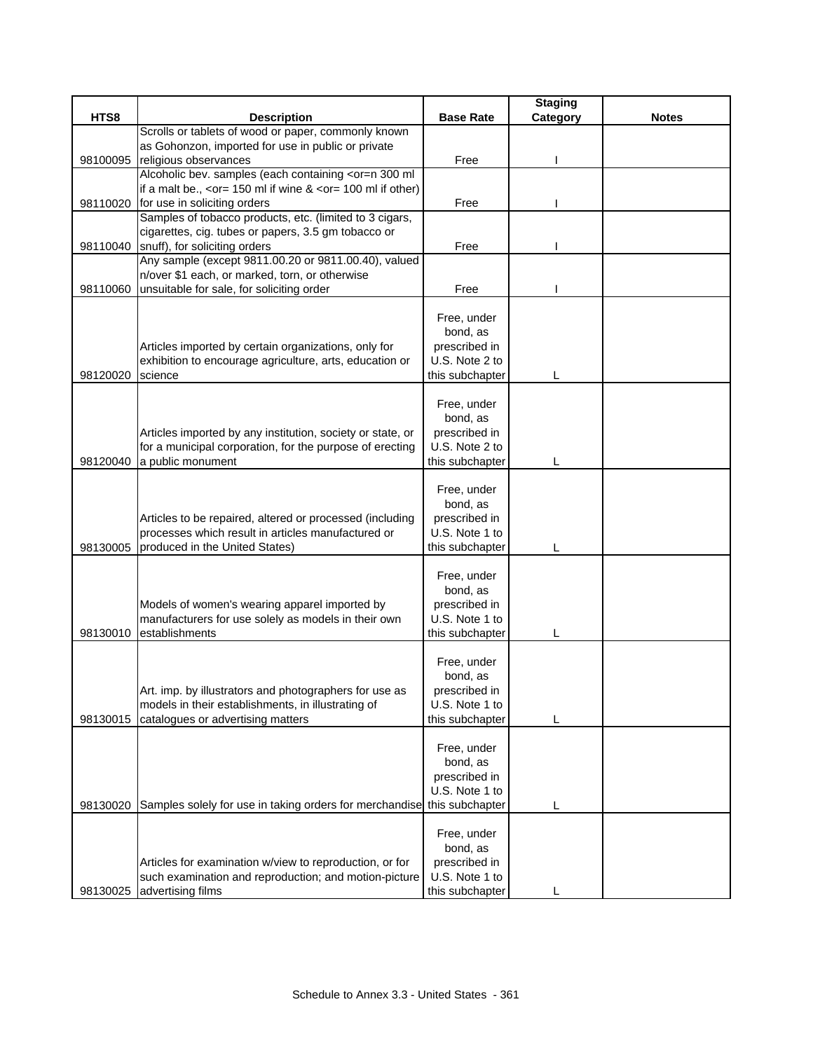| HTS8<br><b>Base Rate</b><br>Category<br><b>Description</b><br><b>Notes</b><br>Scrolls or tablets of wood or paper, commonly known<br>as Gohonzon, imported for use in public or private<br>religious observances<br>Free<br>98100095<br>Alcoholic bev. samples (each containing <or=n 300="" ml<br="">if a malt be., <math>\leq</math> or = 150 ml if wine &amp; <math>\leq</math> or = 100 ml if other)<br/>98110020<br/>for use in soliciting orders<br/>Free<br/>Samples of tobacco products, etc. (limited to 3 cigars,<br/>cigarettes, cig. tubes or papers, 3.5 gm tobacco or<br/>98110040 snuff), for soliciting orders<br/>Free<br/>Any sample (except 9811.00.20 or 9811.00.40), valued<br/>n/over \$1 each, or marked, torn, or otherwise<br/>unsuitable for sale, for soliciting order<br/>Free<br/>98110060<br/>Free, under<br/>bond, as<br/>Articles imported by certain organizations, only for<br/>prescribed in<br/>U.S. Note 2 to<br/>exhibition to encourage agriculture, arts, education or<br/>this subchapter<br/>science<br/>98120020<br/>L<br/>Free, under<br/>bond, as<br/>Articles imported by any institution, society or state, or<br/>prescribed in<br/>for a municipal corporation, for the purpose of erecting<br/>U.S. Note 2 to<br/>98120040<br/>a public monument<br/>this subchapter<br/>L<br/>Free, under</or=n> |
|-----------------------------------------------------------------------------------------------------------------------------------------------------------------------------------------------------------------------------------------------------------------------------------------------------------------------------------------------------------------------------------------------------------------------------------------------------------------------------------------------------------------------------------------------------------------------------------------------------------------------------------------------------------------------------------------------------------------------------------------------------------------------------------------------------------------------------------------------------------------------------------------------------------------------------------------------------------------------------------------------------------------------------------------------------------------------------------------------------------------------------------------------------------------------------------------------------------------------------------------------------------------------------------------------------------------------------------------------------|
|                                                                                                                                                                                                                                                                                                                                                                                                                                                                                                                                                                                                                                                                                                                                                                                                                                                                                                                                                                                                                                                                                                                                                                                                                                                                                                                                                     |
|                                                                                                                                                                                                                                                                                                                                                                                                                                                                                                                                                                                                                                                                                                                                                                                                                                                                                                                                                                                                                                                                                                                                                                                                                                                                                                                                                     |
|                                                                                                                                                                                                                                                                                                                                                                                                                                                                                                                                                                                                                                                                                                                                                                                                                                                                                                                                                                                                                                                                                                                                                                                                                                                                                                                                                     |
|                                                                                                                                                                                                                                                                                                                                                                                                                                                                                                                                                                                                                                                                                                                                                                                                                                                                                                                                                                                                                                                                                                                                                                                                                                                                                                                                                     |
|                                                                                                                                                                                                                                                                                                                                                                                                                                                                                                                                                                                                                                                                                                                                                                                                                                                                                                                                                                                                                                                                                                                                                                                                                                                                                                                                                     |
|                                                                                                                                                                                                                                                                                                                                                                                                                                                                                                                                                                                                                                                                                                                                                                                                                                                                                                                                                                                                                                                                                                                                                                                                                                                                                                                                                     |
|                                                                                                                                                                                                                                                                                                                                                                                                                                                                                                                                                                                                                                                                                                                                                                                                                                                                                                                                                                                                                                                                                                                                                                                                                                                                                                                                                     |
|                                                                                                                                                                                                                                                                                                                                                                                                                                                                                                                                                                                                                                                                                                                                                                                                                                                                                                                                                                                                                                                                                                                                                                                                                                                                                                                                                     |
|                                                                                                                                                                                                                                                                                                                                                                                                                                                                                                                                                                                                                                                                                                                                                                                                                                                                                                                                                                                                                                                                                                                                                                                                                                                                                                                                                     |
|                                                                                                                                                                                                                                                                                                                                                                                                                                                                                                                                                                                                                                                                                                                                                                                                                                                                                                                                                                                                                                                                                                                                                                                                                                                                                                                                                     |
|                                                                                                                                                                                                                                                                                                                                                                                                                                                                                                                                                                                                                                                                                                                                                                                                                                                                                                                                                                                                                                                                                                                                                                                                                                                                                                                                                     |
|                                                                                                                                                                                                                                                                                                                                                                                                                                                                                                                                                                                                                                                                                                                                                                                                                                                                                                                                                                                                                                                                                                                                                                                                                                                                                                                                                     |
|                                                                                                                                                                                                                                                                                                                                                                                                                                                                                                                                                                                                                                                                                                                                                                                                                                                                                                                                                                                                                                                                                                                                                                                                                                                                                                                                                     |
|                                                                                                                                                                                                                                                                                                                                                                                                                                                                                                                                                                                                                                                                                                                                                                                                                                                                                                                                                                                                                                                                                                                                                                                                                                                                                                                                                     |
|                                                                                                                                                                                                                                                                                                                                                                                                                                                                                                                                                                                                                                                                                                                                                                                                                                                                                                                                                                                                                                                                                                                                                                                                                                                                                                                                                     |
|                                                                                                                                                                                                                                                                                                                                                                                                                                                                                                                                                                                                                                                                                                                                                                                                                                                                                                                                                                                                                                                                                                                                                                                                                                                                                                                                                     |
|                                                                                                                                                                                                                                                                                                                                                                                                                                                                                                                                                                                                                                                                                                                                                                                                                                                                                                                                                                                                                                                                                                                                                                                                                                                                                                                                                     |
|                                                                                                                                                                                                                                                                                                                                                                                                                                                                                                                                                                                                                                                                                                                                                                                                                                                                                                                                                                                                                                                                                                                                                                                                                                                                                                                                                     |
|                                                                                                                                                                                                                                                                                                                                                                                                                                                                                                                                                                                                                                                                                                                                                                                                                                                                                                                                                                                                                                                                                                                                                                                                                                                                                                                                                     |
|                                                                                                                                                                                                                                                                                                                                                                                                                                                                                                                                                                                                                                                                                                                                                                                                                                                                                                                                                                                                                                                                                                                                                                                                                                                                                                                                                     |
|                                                                                                                                                                                                                                                                                                                                                                                                                                                                                                                                                                                                                                                                                                                                                                                                                                                                                                                                                                                                                                                                                                                                                                                                                                                                                                                                                     |
|                                                                                                                                                                                                                                                                                                                                                                                                                                                                                                                                                                                                                                                                                                                                                                                                                                                                                                                                                                                                                                                                                                                                                                                                                                                                                                                                                     |
|                                                                                                                                                                                                                                                                                                                                                                                                                                                                                                                                                                                                                                                                                                                                                                                                                                                                                                                                                                                                                                                                                                                                                                                                                                                                                                                                                     |
|                                                                                                                                                                                                                                                                                                                                                                                                                                                                                                                                                                                                                                                                                                                                                                                                                                                                                                                                                                                                                                                                                                                                                                                                                                                                                                                                                     |
|                                                                                                                                                                                                                                                                                                                                                                                                                                                                                                                                                                                                                                                                                                                                                                                                                                                                                                                                                                                                                                                                                                                                                                                                                                                                                                                                                     |
|                                                                                                                                                                                                                                                                                                                                                                                                                                                                                                                                                                                                                                                                                                                                                                                                                                                                                                                                                                                                                                                                                                                                                                                                                                                                                                                                                     |
| bond, as                                                                                                                                                                                                                                                                                                                                                                                                                                                                                                                                                                                                                                                                                                                                                                                                                                                                                                                                                                                                                                                                                                                                                                                                                                                                                                                                            |
| Articles to be repaired, altered or processed (including<br>prescribed in<br>processes which result in articles manufactured or<br>U.S. Note 1 to                                                                                                                                                                                                                                                                                                                                                                                                                                                                                                                                                                                                                                                                                                                                                                                                                                                                                                                                                                                                                                                                                                                                                                                                   |
| 98130005<br>produced in the United States)<br>this subchapter                                                                                                                                                                                                                                                                                                                                                                                                                                                                                                                                                                                                                                                                                                                                                                                                                                                                                                                                                                                                                                                                                                                                                                                                                                                                                       |
|                                                                                                                                                                                                                                                                                                                                                                                                                                                                                                                                                                                                                                                                                                                                                                                                                                                                                                                                                                                                                                                                                                                                                                                                                                                                                                                                                     |
| Free, under                                                                                                                                                                                                                                                                                                                                                                                                                                                                                                                                                                                                                                                                                                                                                                                                                                                                                                                                                                                                                                                                                                                                                                                                                                                                                                                                         |
| bond, as                                                                                                                                                                                                                                                                                                                                                                                                                                                                                                                                                                                                                                                                                                                                                                                                                                                                                                                                                                                                                                                                                                                                                                                                                                                                                                                                            |
| Models of women's wearing apparel imported by<br>prescribed in                                                                                                                                                                                                                                                                                                                                                                                                                                                                                                                                                                                                                                                                                                                                                                                                                                                                                                                                                                                                                                                                                                                                                                                                                                                                                      |
| U.S. Note 1 to<br>manufacturers for use solely as models in their own                                                                                                                                                                                                                                                                                                                                                                                                                                                                                                                                                                                                                                                                                                                                                                                                                                                                                                                                                                                                                                                                                                                                                                                                                                                                               |
| establishments<br>98130010<br>this subchapter                                                                                                                                                                                                                                                                                                                                                                                                                                                                                                                                                                                                                                                                                                                                                                                                                                                                                                                                                                                                                                                                                                                                                                                                                                                                                                       |
|                                                                                                                                                                                                                                                                                                                                                                                                                                                                                                                                                                                                                                                                                                                                                                                                                                                                                                                                                                                                                                                                                                                                                                                                                                                                                                                                                     |
| Free, under                                                                                                                                                                                                                                                                                                                                                                                                                                                                                                                                                                                                                                                                                                                                                                                                                                                                                                                                                                                                                                                                                                                                                                                                                                                                                                                                         |
| bond, as                                                                                                                                                                                                                                                                                                                                                                                                                                                                                                                                                                                                                                                                                                                                                                                                                                                                                                                                                                                                                                                                                                                                                                                                                                                                                                                                            |
| prescribed in<br>Art. imp. by illustrators and photographers for use as                                                                                                                                                                                                                                                                                                                                                                                                                                                                                                                                                                                                                                                                                                                                                                                                                                                                                                                                                                                                                                                                                                                                                                                                                                                                             |
| models in their establishments, in illustrating of<br>U.S. Note 1 to                                                                                                                                                                                                                                                                                                                                                                                                                                                                                                                                                                                                                                                                                                                                                                                                                                                                                                                                                                                                                                                                                                                                                                                                                                                                                |
| catalogues or advertising matters<br>this subchapter<br>98130015<br>L                                                                                                                                                                                                                                                                                                                                                                                                                                                                                                                                                                                                                                                                                                                                                                                                                                                                                                                                                                                                                                                                                                                                                                                                                                                                               |
|                                                                                                                                                                                                                                                                                                                                                                                                                                                                                                                                                                                                                                                                                                                                                                                                                                                                                                                                                                                                                                                                                                                                                                                                                                                                                                                                                     |
| Free, under                                                                                                                                                                                                                                                                                                                                                                                                                                                                                                                                                                                                                                                                                                                                                                                                                                                                                                                                                                                                                                                                                                                                                                                                                                                                                                                                         |
| bond, as                                                                                                                                                                                                                                                                                                                                                                                                                                                                                                                                                                                                                                                                                                                                                                                                                                                                                                                                                                                                                                                                                                                                                                                                                                                                                                                                            |
| prescribed in                                                                                                                                                                                                                                                                                                                                                                                                                                                                                                                                                                                                                                                                                                                                                                                                                                                                                                                                                                                                                                                                                                                                                                                                                                                                                                                                       |
| U.S. Note 1 to                                                                                                                                                                                                                                                                                                                                                                                                                                                                                                                                                                                                                                                                                                                                                                                                                                                                                                                                                                                                                                                                                                                                                                                                                                                                                                                                      |
| Samples solely for use in taking orders for merchandise<br>this subchapter<br>98130020<br>L                                                                                                                                                                                                                                                                                                                                                                                                                                                                                                                                                                                                                                                                                                                                                                                                                                                                                                                                                                                                                                                                                                                                                                                                                                                         |
| Free, under                                                                                                                                                                                                                                                                                                                                                                                                                                                                                                                                                                                                                                                                                                                                                                                                                                                                                                                                                                                                                                                                                                                                                                                                                                                                                                                                         |
| bond, as                                                                                                                                                                                                                                                                                                                                                                                                                                                                                                                                                                                                                                                                                                                                                                                                                                                                                                                                                                                                                                                                                                                                                                                                                                                                                                                                            |
| Articles for examination w/view to reproduction, or for<br>prescribed in                                                                                                                                                                                                                                                                                                                                                                                                                                                                                                                                                                                                                                                                                                                                                                                                                                                                                                                                                                                                                                                                                                                                                                                                                                                                            |
| such examination and reproduction; and motion-picture<br>U.S. Note 1 to                                                                                                                                                                                                                                                                                                                                                                                                                                                                                                                                                                                                                                                                                                                                                                                                                                                                                                                                                                                                                                                                                                                                                                                                                                                                             |
| advertising films<br>this subchapter<br>98130025                                                                                                                                                                                                                                                                                                                                                                                                                                                                                                                                                                                                                                                                                                                                                                                                                                                                                                                                                                                                                                                                                                                                                                                                                                                                                                    |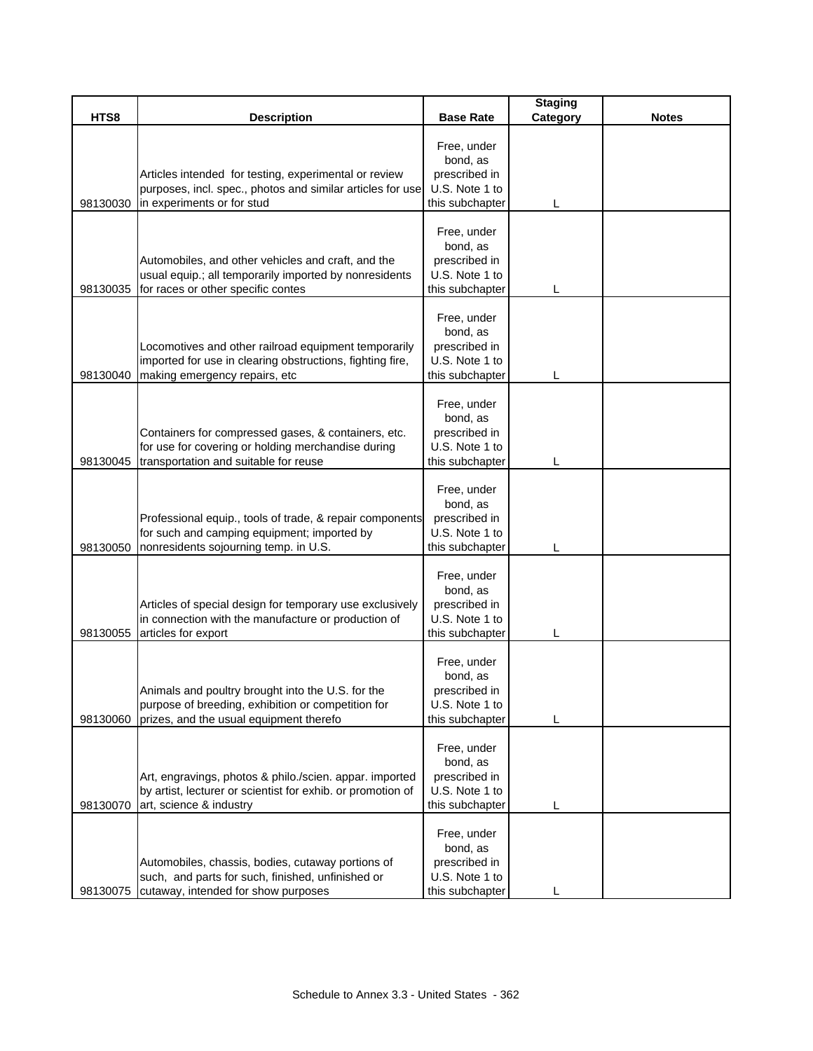| HTS8     |                                                                                                                                                    |                                                                               | <b>Staging</b> |              |
|----------|----------------------------------------------------------------------------------------------------------------------------------------------------|-------------------------------------------------------------------------------|----------------|--------------|
|          | <b>Description</b>                                                                                                                                 | <b>Base Rate</b>                                                              | Category       | <b>Notes</b> |
| 98130030 | Articles intended for testing, experimental or review<br>purposes, incl. spec., photos and similar articles for use<br>in experiments or for stud  | Free, under<br>bond, as<br>prescribed in<br>U.S. Note 1 to<br>this subchapter |                |              |
| 98130035 | Automobiles, and other vehicles and craft, and the<br>usual equip.; all temporarily imported by nonresidents<br>for races or other specific contes | Free, under<br>bond, as<br>prescribed in<br>U.S. Note 1 to<br>this subchapter |                |              |
| 98130040 | Locomotives and other railroad equipment temporarily<br>imported for use in clearing obstructions, fighting fire,<br>making emergency repairs, etc | Free, under<br>bond, as<br>prescribed in<br>U.S. Note 1 to<br>this subchapter |                |              |
| 98130045 | Containers for compressed gases, & containers, etc.<br>for use for covering or holding merchandise during<br>transportation and suitable for reuse | Free, under<br>bond, as<br>prescribed in<br>U.S. Note 1 to<br>this subchapter |                |              |
| 98130050 | Professional equip., tools of trade, & repair components<br>for such and camping equipment; imported by<br>nonresidents sojourning temp. in U.S.   | Free, under<br>bond, as<br>prescribed in<br>U.S. Note 1 to<br>this subchapter |                |              |
| 98130055 | Articles of special design for temporary use exclusively<br>in connection with the manufacture or production of<br>articles for export             | Free, under<br>bond, as<br>prescribed in<br>U.S. Note 1 to<br>this subchapter |                |              |
| 98130060 | Animals and poultry brought into the U.S. for the<br>purpose of breeding, exhibition or competition for<br>prizes, and the usual equipment therefo | Free, under<br>bond, as<br>prescribed in<br>U.S. Note 1 to<br>this subchapter |                |              |
| 98130070 | Art, engravings, photos & philo./scien. appar. imported<br>by artist, lecturer or scientist for exhib. or promotion of<br>art, science & industry  | Free, under<br>bond, as<br>prescribed in<br>U.S. Note 1 to<br>this subchapter | L              |              |
| 98130075 | Automobiles, chassis, bodies, cutaway portions of<br>such, and parts for such, finished, unfinished or<br>cutaway, intended for show purposes      | Free, under<br>bond, as<br>prescribed in<br>U.S. Note 1 to<br>this subchapter |                |              |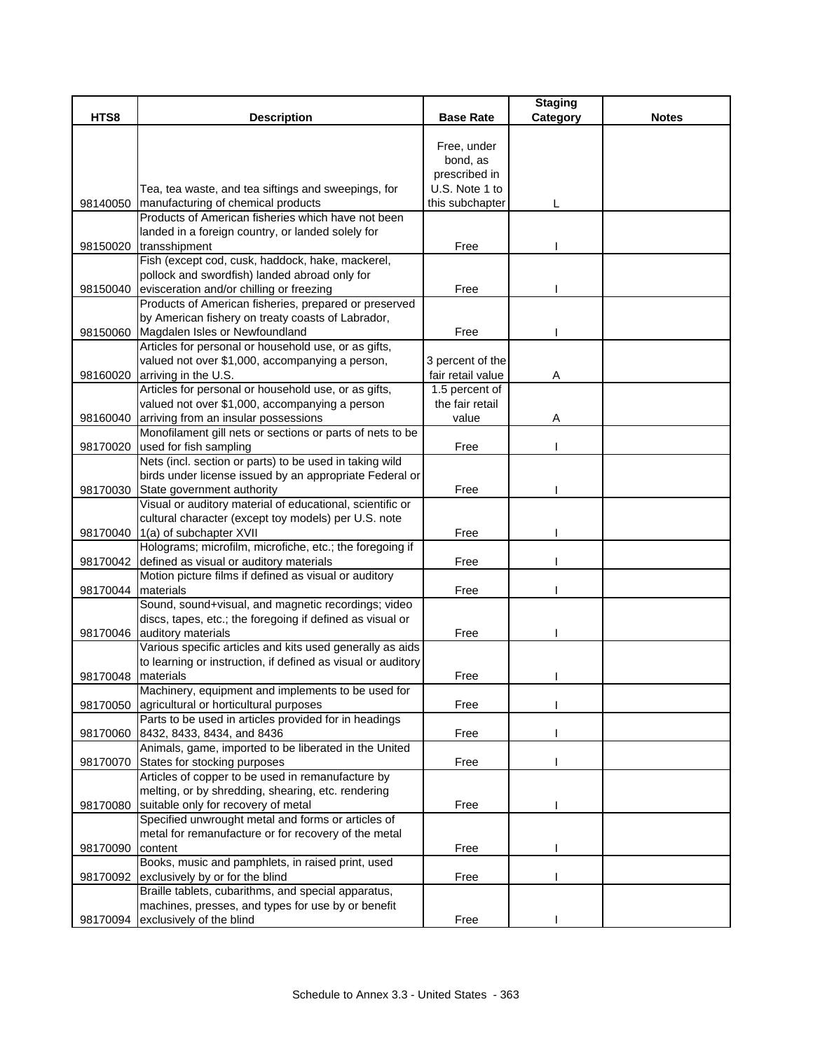|          |                                                                                                 |                   | <b>Staging</b> |              |
|----------|-------------------------------------------------------------------------------------------------|-------------------|----------------|--------------|
| HTS8     | <b>Description</b>                                                                              | <b>Base Rate</b>  | Category       | <b>Notes</b> |
|          |                                                                                                 |                   |                |              |
|          |                                                                                                 | Free, under       |                |              |
|          |                                                                                                 | bond, as          |                |              |
|          |                                                                                                 | prescribed in     |                |              |
|          | Tea, tea waste, and tea siftings and sweepings, for                                             | U.S. Note 1 to    |                |              |
| 98140050 | manufacturing of chemical products<br>Products of American fisheries which have not been        | this subchapter   |                |              |
|          | landed in a foreign country, or landed solely for                                               |                   |                |              |
|          | 98150020 transshipment                                                                          | Free              |                |              |
|          | Fish (except cod, cusk, haddock, hake, mackerel,                                                |                   |                |              |
|          | pollock and swordfish) landed abroad only for                                                   |                   |                |              |
| 98150040 | evisceration and/or chilling or freezing                                                        | Free              |                |              |
|          | Products of American fisheries, prepared or preserved                                           |                   |                |              |
|          | by American fishery on treaty coasts of Labrador,                                               |                   |                |              |
|          | 98150060 Magdalen Isles or Newfoundland                                                         | Free              |                |              |
|          | Articles for personal or household use, or as gifts,                                            |                   |                |              |
|          | valued not over \$1,000, accompanying a person,                                                 | 3 percent of the  |                |              |
|          | 98160020 arriving in the U.S.                                                                   | fair retail value | A              |              |
|          | Articles for personal or household use, or as gifts,                                            | 1.5 percent of    |                |              |
|          | valued not over \$1,000, accompanying a person                                                  | the fair retail   |                |              |
|          | 98160040 arriving from an insular possessions                                                   | value             | Α              |              |
|          | Monofilament gill nets or sections or parts of nets to be                                       |                   |                |              |
| 98170020 | used for fish sampling                                                                          | Free              |                |              |
|          | Nets (incl. section or parts) to be used in taking wild                                         |                   |                |              |
|          | birds under license issued by an appropriate Federal or                                         |                   |                |              |
|          | 98170030 State government authority                                                             | Free              |                |              |
|          | Visual or auditory material of educational, scientific or                                       |                   |                |              |
|          | cultural character (except toy models) per U.S. note                                            |                   |                |              |
|          | 98170040 1(a) of subchapter XVII                                                                | Free              |                |              |
|          | Holograms; microfilm, microfiche, etc.; the foregoing if                                        |                   |                |              |
|          | 98170042 defined as visual or auditory materials                                                | Free              |                |              |
|          | Motion picture films if defined as visual or auditory                                           |                   |                |              |
| 98170044 | materials                                                                                       | Free              |                |              |
|          | Sound, sound+visual, and magnetic recordings; video                                             |                   |                |              |
|          | discs, tapes, etc.; the foregoing if defined as visual or                                       |                   |                |              |
|          | 98170046 auditory materials                                                                     | Free              |                |              |
|          | Various specific articles and kits used generally as aids                                       |                   |                |              |
|          | to learning or instruction, if defined as visual or auditory                                    |                   |                |              |
| 98170048 | materials<br>Machinery, equipment and implements to be used for                                 | Free              |                |              |
|          |                                                                                                 |                   |                |              |
| 98170050 | agricultural or horticultural purposes<br>Parts to be used in articles provided for in headings | Free              |                |              |
|          | 98170060 8432, 8433, 8434, and 8436                                                             | Free              |                |              |
|          | Animals, game, imported to be liberated in the United                                           |                   |                |              |
| 98170070 | States for stocking purposes                                                                    | Free              |                |              |
|          | Articles of copper to be used in remanufacture by                                               |                   |                |              |
|          | melting, or by shredding, shearing, etc. rendering                                              |                   |                |              |
| 98170080 | suitable only for recovery of metal                                                             | Free              |                |              |
|          | Specified unwrought metal and forms or articles of                                              |                   |                |              |
|          | metal for remanufacture or for recovery of the metal                                            |                   |                |              |
| 98170090 | content                                                                                         | Free              |                |              |
|          | Books, music and pamphlets, in raised print, used                                               |                   |                |              |
| 98170092 | exclusively by or for the blind                                                                 | Free              |                |              |
|          | Braille tablets, cubarithms, and special apparatus,                                             |                   |                |              |
|          | machines, presses, and types for use by or benefit                                              |                   |                |              |
|          | 98170094 exclusively of the blind                                                               | Free              |                |              |